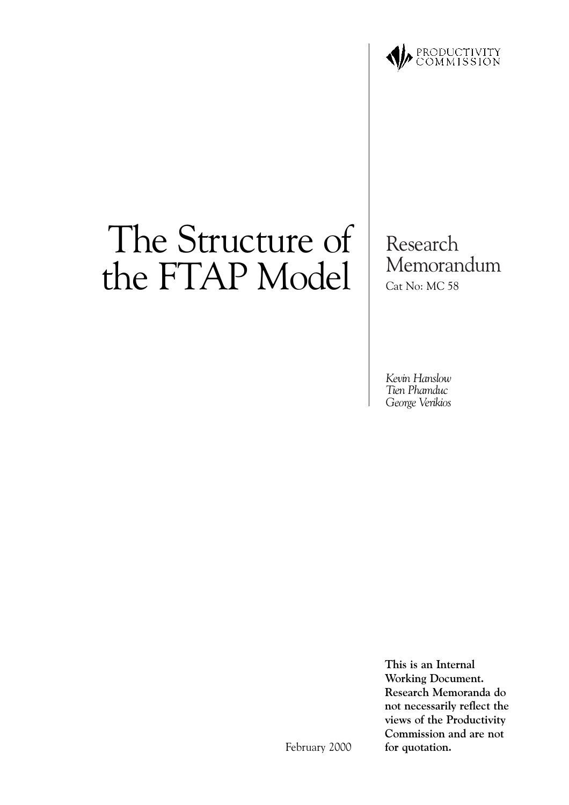

# The Structure of the FTAP Model

Research Memorandum Cat No: MC 58

*Kevin Hanslow Tien Phamduc George Verikios*

**This is an Internal Working Document. Research Memoranda do not necessarily reflect the views of the Productivity Commission and are not for quotation.**

February 2000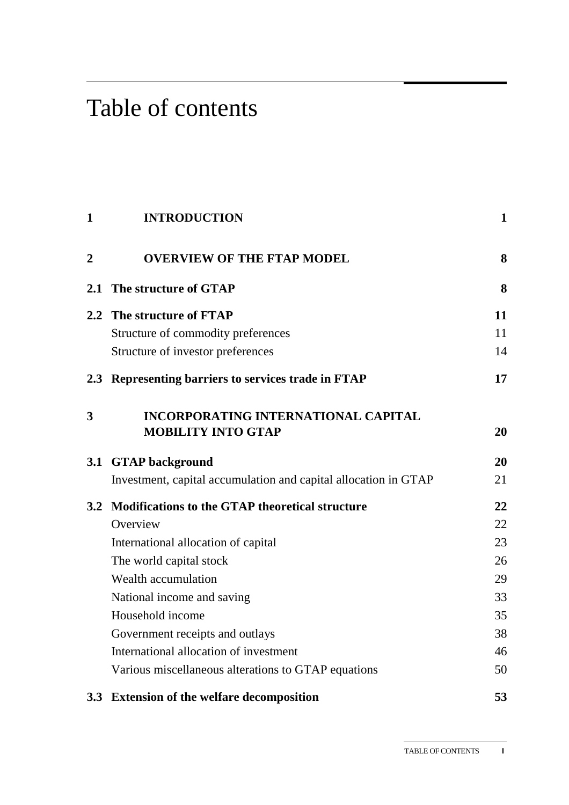# Table of contents

| $\mathbf{1}$   | <b>INTRODUCTION</b>                                                     | $\mathbf{1}$ |
|----------------|-------------------------------------------------------------------------|--------------|
| $\overline{2}$ | <b>OVERVIEW OF THE FTAP MODEL</b>                                       | 8            |
| 2.1            | The structure of GTAP                                                   | 8            |
| $2.2^{\circ}$  | The structure of FTAP                                                   | 11           |
|                | Structure of commodity preferences                                      | 11           |
|                | Structure of investor preferences                                       | 14           |
|                | 2.3 Representing barriers to services trade in FTAP                     | 17           |
| 3              | <b>INCORPORATING INTERNATIONAL CAPITAL</b><br><b>MOBILITY INTO GTAP</b> | 20           |
|                | 3.1 GTAP background                                                     | 20           |
|                | Investment, capital accumulation and capital allocation in GTAP         | 21           |
|                | 3.2 Modifications to the GTAP theoretical structure                     | 22           |
|                | Overview                                                                | 22           |
|                | International allocation of capital                                     | 23           |
|                | The world capital stock                                                 | 26           |
|                | Wealth accumulation                                                     | 29           |
|                | National income and saving                                              | 33           |
|                | Household income                                                        | 35           |
|                | Government receipts and outlays                                         | 38           |
|                | International allocation of investment                                  | 46           |
|                | Various miscellaneous alterations to GTAP equations                     | 50           |
|                | 3.3 Extension of the welfare decomposition                              | 53           |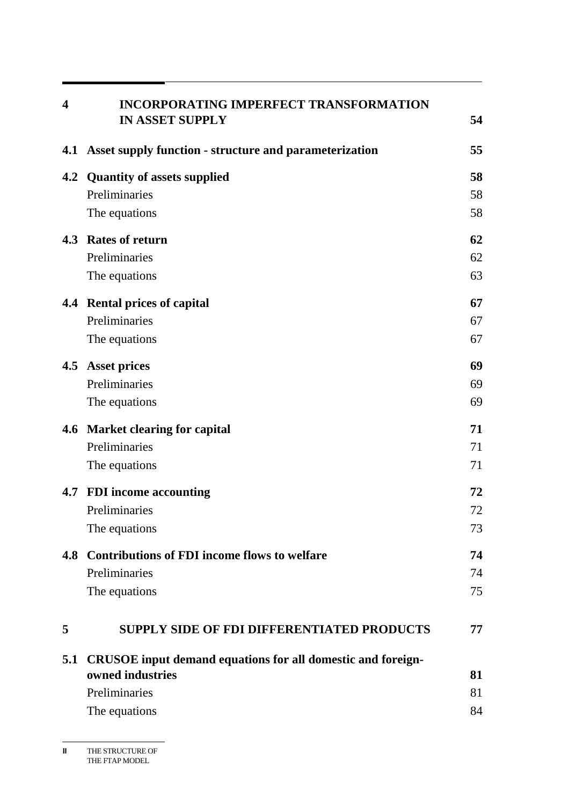| $\boldsymbol{4}$ | <b>INCORPORATING IMPERFECT TRANSFORMATION</b><br><b>IN ASSET SUPPLY</b> | 54 |
|------------------|-------------------------------------------------------------------------|----|
|                  | 4.1 Asset supply function - structure and parameterization              | 55 |
|                  | 4.2 Quantity of assets supplied                                         | 58 |
|                  | Preliminaries                                                           | 58 |
|                  | The equations                                                           | 58 |
|                  | 4.3 Rates of return                                                     | 62 |
|                  | Preliminaries                                                           | 62 |
|                  | The equations                                                           | 63 |
|                  | 4.4 Rental prices of capital                                            | 67 |
|                  | Preliminaries                                                           | 67 |
|                  | The equations                                                           | 67 |
| 4.5              | <b>Asset prices</b>                                                     | 69 |
|                  | Preliminaries                                                           | 69 |
|                  | The equations                                                           | 69 |
|                  | 4.6 Market clearing for capital                                         | 71 |
|                  | Preliminaries                                                           | 71 |
|                  | The equations                                                           | 71 |
|                  | 4.7 FDI income accounting                                               | 72 |
|                  | Preliminaries                                                           | 72 |
|                  | The equations                                                           | 73 |
|                  | 4.8 Contributions of FDI income flows to welfare                        | 74 |
|                  | Preliminaries                                                           | 74 |
|                  | The equations                                                           | 75 |
| 5                | <b>SUPPLY SIDE OF FDI DIFFERENTIATED PRODUCTS</b>                       | 77 |
| 5.1              | <b>CRUSOE</b> input demand equations for all domestic and foreign-      |    |
|                  | owned industries                                                        | 81 |
|                  | Preliminaries                                                           | 81 |
|                  | The equations                                                           | 84 |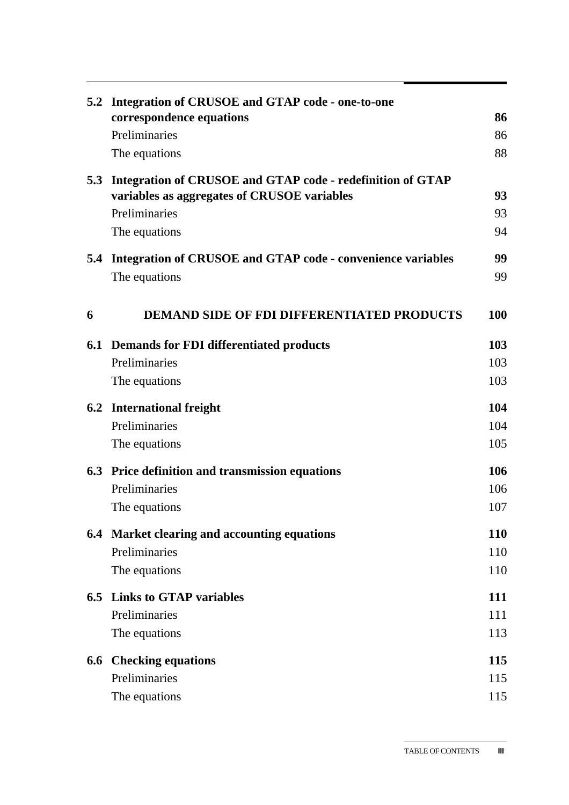|     | 5.2 Integration of CRUSOE and GTAP code - one-to-one        |     |
|-----|-------------------------------------------------------------|-----|
|     | correspondence equations                                    | 86  |
|     | Preliminaries                                               | 86  |
|     | The equations                                               | 88  |
| 5.3 | Integration of CRUSOE and GTAP code - redefinition of GTAP  |     |
|     | variables as aggregates of CRUSOE variables                 | 93  |
|     | Preliminaries                                               | 93  |
|     | The equations                                               | 94  |
| 5.4 | Integration of CRUSOE and GTAP code - convenience variables | 99  |
|     | The equations                                               | 99  |
| 6   | <b>DEMAND SIDE OF FDI DIFFERENTIATED PRODUCTS</b>           | 100 |
|     | 6.1 Demands for FDI differentiated products                 | 103 |
|     | Preliminaries                                               | 103 |
|     | The equations                                               | 103 |
|     | <b>6.2</b> International freight                            | 104 |
|     | Preliminaries                                               | 104 |
|     | The equations                                               | 105 |
|     | 6.3 Price definition and transmission equations             | 106 |
|     | Preliminaries                                               | 106 |
|     | The equations                                               | 107 |
|     | 6.4 Market clearing and accounting equations                | 110 |
|     | Preliminaries                                               | 110 |
|     | The equations                                               | 110 |
|     | <b>6.5 Links to GTAP variables</b>                          | 111 |
|     | Preliminaries                                               | 111 |
|     | The equations                                               | 113 |
|     | <b>6.6 Checking equations</b>                               | 115 |
|     | Preliminaries                                               | 115 |
|     | The equations                                               | 115 |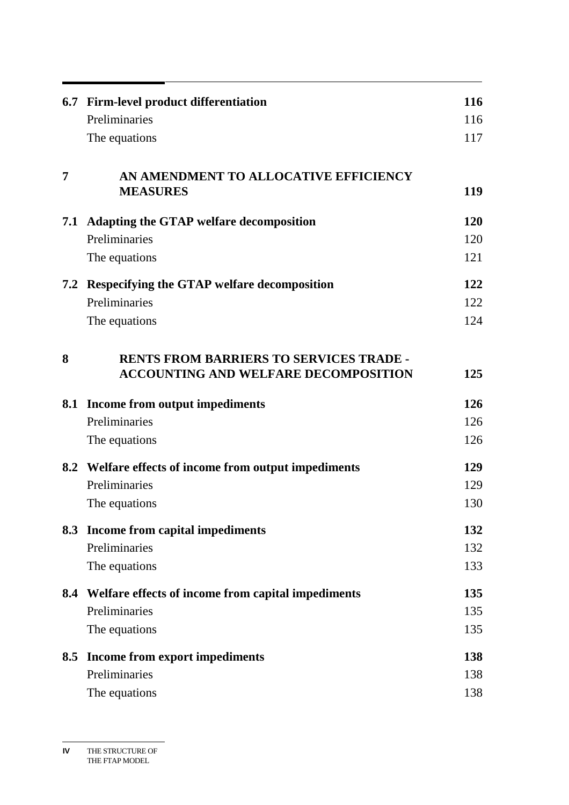|     | 6.7 Firm-level product differentiation                                                        | 116 |
|-----|-----------------------------------------------------------------------------------------------|-----|
|     | Preliminaries                                                                                 | 116 |
|     | The equations                                                                                 | 117 |
| 7   | AN AMENDMENT TO ALLOCATIVE EFFICIENCY<br><b>MEASURES</b>                                      | 119 |
| 7.1 | Adapting the GTAP welfare decomposition                                                       | 120 |
|     | Preliminaries                                                                                 | 120 |
|     | The equations                                                                                 | 121 |
| 7.2 | Respecifying the GTAP welfare decomposition                                                   | 122 |
|     | Preliminaries                                                                                 | 122 |
|     | The equations                                                                                 | 124 |
| 8   | <b>RENTS FROM BARRIERS TO SERVICES TRADE -</b><br><b>ACCOUNTING AND WELFARE DECOMPOSITION</b> | 125 |
| 8.1 | Income from output impediments                                                                | 126 |
|     | Preliminaries                                                                                 | 126 |
|     | The equations                                                                                 | 126 |
|     | 8.2 Welfare effects of income from output impediments                                         | 129 |
|     | Preliminaries                                                                                 | 129 |
|     | The equations                                                                                 | 130 |
|     | 8.3 Income from capital impediments                                                           | 132 |
|     | Preliminaries                                                                                 | 132 |
|     | The equations                                                                                 | 133 |
| 8.4 | Welfare effects of income from capital impediments                                            | 135 |
|     | Preliminaries                                                                                 | 135 |
|     | The equations                                                                                 | 135 |
| 8.5 | Income from export impediments                                                                | 138 |
|     | Preliminaries                                                                                 | 138 |
|     | The equations                                                                                 | 138 |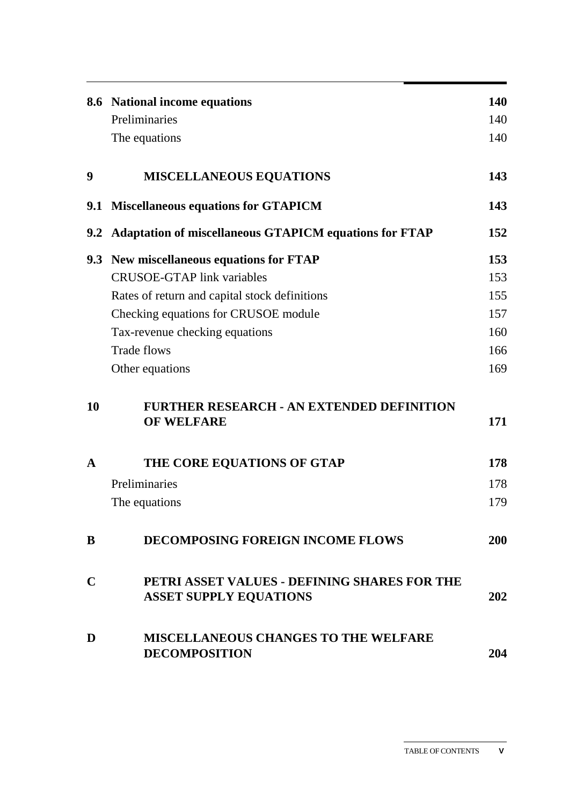|             | 8.6 National income equations                                                 | 140 |
|-------------|-------------------------------------------------------------------------------|-----|
|             | Preliminaries                                                                 | 140 |
|             | The equations                                                                 | 140 |
| 9           | <b>MISCELLANEOUS EQUATIONS</b>                                                | 143 |
|             | 9.1 Miscellaneous equations for GTAPICM                                       | 143 |
|             | 9.2 Adaptation of miscellaneous GTAPICM equations for FTAP                    | 152 |
|             | 9.3 New miscellaneous equations for FTAP                                      | 153 |
|             | <b>CRUSOE-GTAP</b> link variables                                             | 153 |
|             | Rates of return and capital stock definitions                                 | 155 |
|             | Checking equations for CRUSOE module                                          | 157 |
|             | Tax-revenue checking equations                                                | 160 |
|             | <b>Trade flows</b>                                                            | 166 |
|             | Other equations                                                               | 169 |
| 10          | <b>FURTHER RESEARCH - AN EXTENDED DEFINITION</b><br><b>OF WELFARE</b>         | 171 |
|             |                                                                               |     |
| $\mathbf A$ | THE CORE EQUATIONS OF GTAP                                                    | 178 |
|             | Preliminaries                                                                 | 178 |
|             | The equations                                                                 | 179 |
| B           | <b>DECOMPOSING FOREIGN INCOME FLOWS</b>                                       | 200 |
| C           | PETRI ASSET VALUES - DEFINING SHARES FOR THE<br><b>ASSET SUPPLY EQUATIONS</b> | 202 |
| D           | <b>MISCELLANEOUS CHANGES TO THE WELFARE</b><br><b>DECOMPOSITION</b>           | 204 |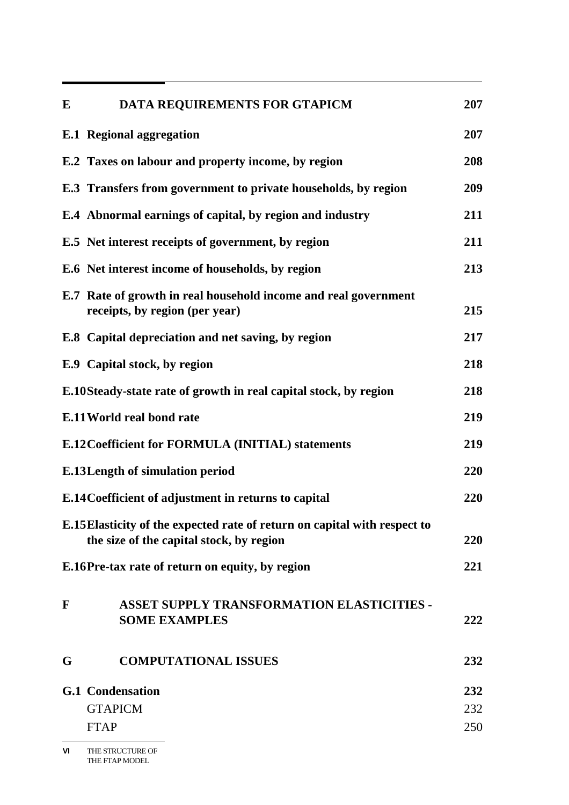| $\bf{E}$     | DATA REQUIREMENTS FOR GTAPICM                                                                                         | 207               |
|--------------|-----------------------------------------------------------------------------------------------------------------------|-------------------|
|              | <b>E.1</b> Regional aggregation                                                                                       | 207               |
|              | E.2 Taxes on labour and property income, by region                                                                    | 208               |
|              | E.3 Transfers from government to private households, by region                                                        | 209               |
|              | E.4 Abnormal earnings of capital, by region and industry                                                              | 211               |
|              | <b>E.5</b> Net interest receipts of government, by region                                                             | 211               |
|              | E.6 Net interest income of households, by region                                                                      | 213               |
|              | E.7 Rate of growth in real household income and real government<br>receipts, by region (per year)                     | 215               |
|              | <b>E.8</b> Capital depreciation and net saving, by region                                                             | 217               |
|              | E.9 Capital stock, by region                                                                                          | 218               |
|              | E.10Steady-state rate of growth in real capital stock, by region                                                      | 218               |
|              | E.11 World real bond rate                                                                                             | 219               |
|              | E.12 Coefficient for FORMULA (INITIAL) statements                                                                     | 219               |
|              | <b>E.13Length of simulation period</b>                                                                                | 220               |
|              | E.14 Coefficient of adjustment in returns to capital                                                                  | 220               |
|              | E.15 Elasticity of the expected rate of return on capital with respect to<br>the size of the capital stock, by region | 220               |
|              | E.16Pre-tax rate of return on equity, by region                                                                       | 221               |
| $\mathbf{F}$ | <b>ASSET SUPPLY TRANSFORMATION ELASTICITIES -</b><br><b>SOME EXAMPLES</b>                                             | 222               |
| G            | <b>COMPUTATIONAL ISSUES</b>                                                                                           | 232               |
|              | <b>G.1</b> Condensation<br><b>GTAPICM</b><br><b>FTAP</b>                                                              | 232<br>232<br>250 |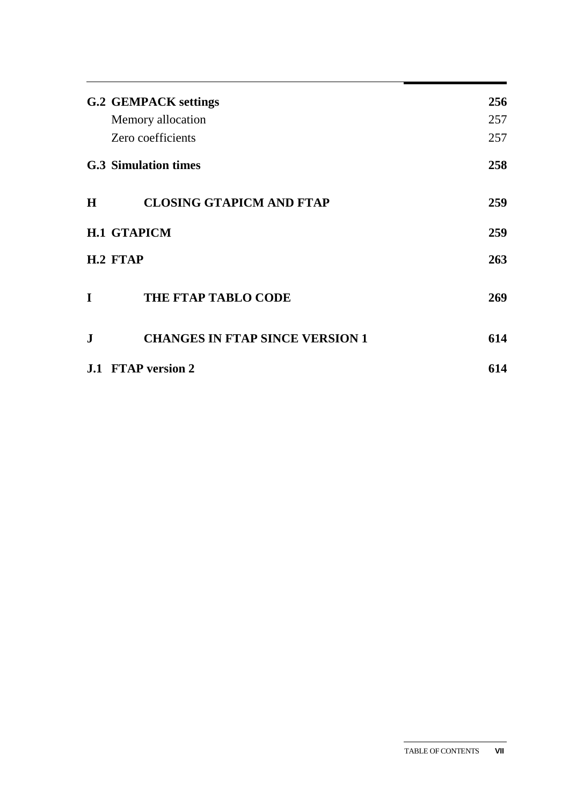|         | <b>G.2 GEMPACK settings</b>            | 256 |
|---------|----------------------------------------|-----|
|         | Memory allocation                      | 257 |
|         | Zero coefficients                      | 257 |
|         | <b>G.3 Simulation times</b>            | 258 |
| H       | <b>CLOSING GTAPICM AND FTAP</b>        | 259 |
|         | <b>H.1 GTAPICM</b>                     | 259 |
|         | H.2 FTAP                               | 263 |
| I       | THE FTAP TABLO CODE                    | 269 |
| $\bf J$ | <b>CHANGES IN FTAP SINCE VERSION 1</b> | 614 |
|         | <b>J.1 FTAP version 2</b>              | 614 |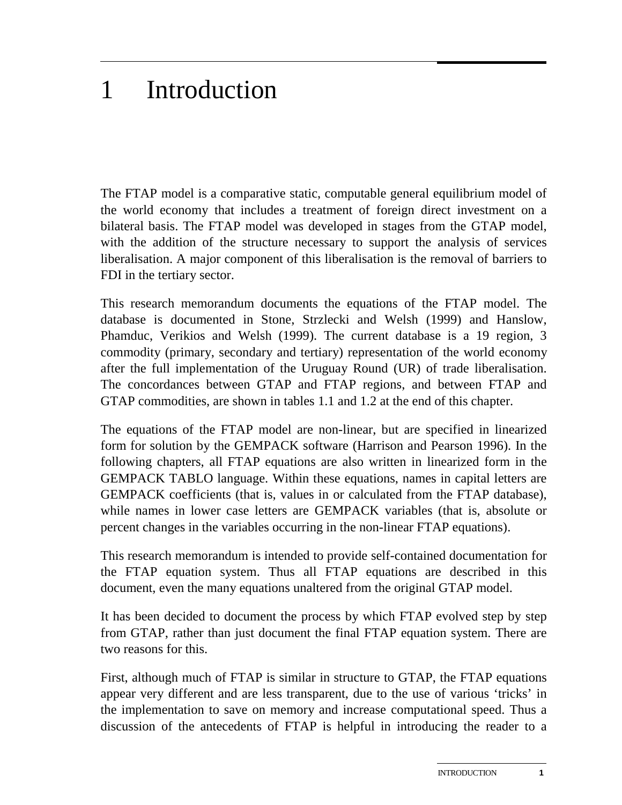# 1 Introduction

The FTAP model is a comparative static, computable general equilibrium model of the world economy that includes a treatment of foreign direct investment on a bilateral basis. The FTAP model was developed in stages from the GTAP model, with the addition of the structure necessary to support the analysis of services liberalisation. A major component of this liberalisation is the removal of barriers to FDI in the tertiary sector.

This research memorandum documents the equations of the FTAP model. The database is documented in Stone, Strzlecki and Welsh (1999) and Hanslow, Phamduc, Verikios and Welsh (1999). The current database is a 19 region, 3 commodity (primary, secondary and tertiary) representation of the world economy after the full implementation of the Uruguay Round (UR) of trade liberalisation. The concordances between GTAP and FTAP regions, and between FTAP and GTAP commodities, are shown in tables 1.1 and 1.2 at the end of this chapter.

The equations of the FTAP model are non-linear, but are specified in linearized form for solution by the GEMPACK software (Harrison and Pearson 1996). In the following chapters, all FTAP equations are also written in linearized form in the GEMPACK TABLO language. Within these equations, names in capital letters are GEMPACK coefficients (that is, values in or calculated from the FTAP database), while names in lower case letters are GEMPACK variables (that is, absolute or percent changes in the variables occurring in the non-linear FTAP equations).

This research memorandum is intended to provide self-contained documentation for the FTAP equation system. Thus all FTAP equations are described in this document, even the many equations unaltered from the original GTAP model.

It has been decided to document the process by which FTAP evolved step by step from GTAP, rather than just document the final FTAP equation system. There are two reasons for this.

First, although much of FTAP is similar in structure to GTAP, the FTAP equations appear very different and are less transparent, due to the use of various 'tricks' in the implementation to save on memory and increase computational speed. Thus a discussion of the antecedents of FTAP is helpful in introducing the reader to a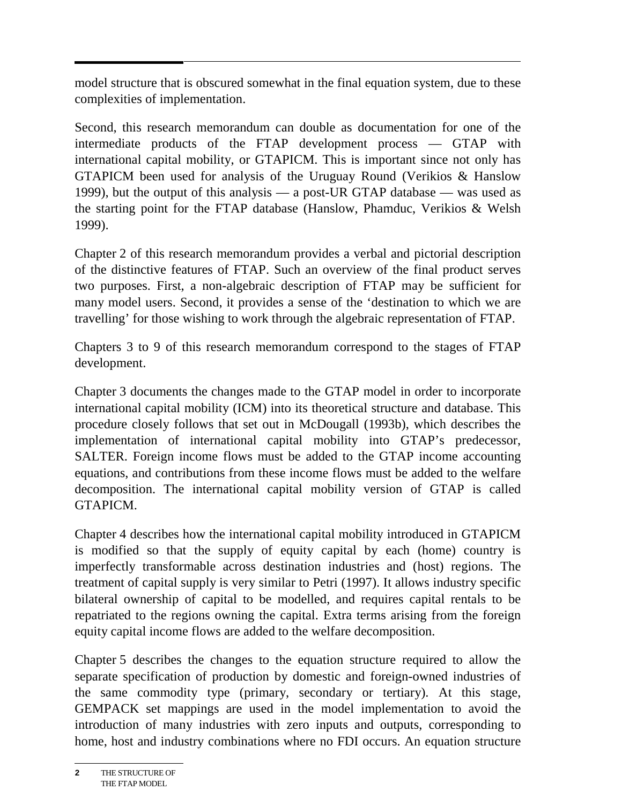model structure that is obscured somewhat in the final equation system, due to these complexities of implementation.

Second, this research memorandum can double as documentation for one of the intermediate products of the FTAP development process — GTAP with international capital mobility, or GTAPICM. This is important since not only has GTAPICM been used for analysis of the Uruguay Round (Verikios & Hanslow 1999), but the output of this analysis — a post-UR GTAP database — was used as the starting point for the FTAP database (Hanslow, Phamduc, Verikios & Welsh 1999).

Chapter 2 of this research memorandum provides a verbal and pictorial description of the distinctive features of FTAP. Such an overview of the final product serves two purposes. First, a non-algebraic description of FTAP may be sufficient for many model users. Second, it provides a sense of the 'destination to which we are travelling' for those wishing to work through the algebraic representation of FTAP.

Chapters 3 to 9 of this research memorandum correspond to the stages of FTAP development.

Chapter 3 documents the changes made to the GTAP model in order to incorporate international capital mobility (ICM) into its theoretical structure and database. This procedure closely follows that set out in McDougall (1993b), which describes the implementation of international capital mobility into GTAP's predecessor, SALTER. Foreign income flows must be added to the GTAP income accounting equations, and contributions from these income flows must be added to the welfare decomposition. The international capital mobility version of GTAP is called GTAPICM.

Chapter 4 describes how the international capital mobility introduced in GTAPICM is modified so that the supply of equity capital by each (home) country is imperfectly transformable across destination industries and (host) regions. The treatment of capital supply is very similar to Petri (1997). It allows industry specific bilateral ownership of capital to be modelled, and requires capital rentals to be repatriated to the regions owning the capital. Extra terms arising from the foreign equity capital income flows are added to the welfare decomposition.

Chapter 5 describes the changes to the equation structure required to allow the separate specification of production by domestic and foreign-owned industries of the same commodity type (primary, secondary or tertiary). At this stage, GEMPACK set mappings are used in the model implementation to avoid the introduction of many industries with zero inputs and outputs, corresponding to home, host and industry combinations where no FDI occurs. An equation structure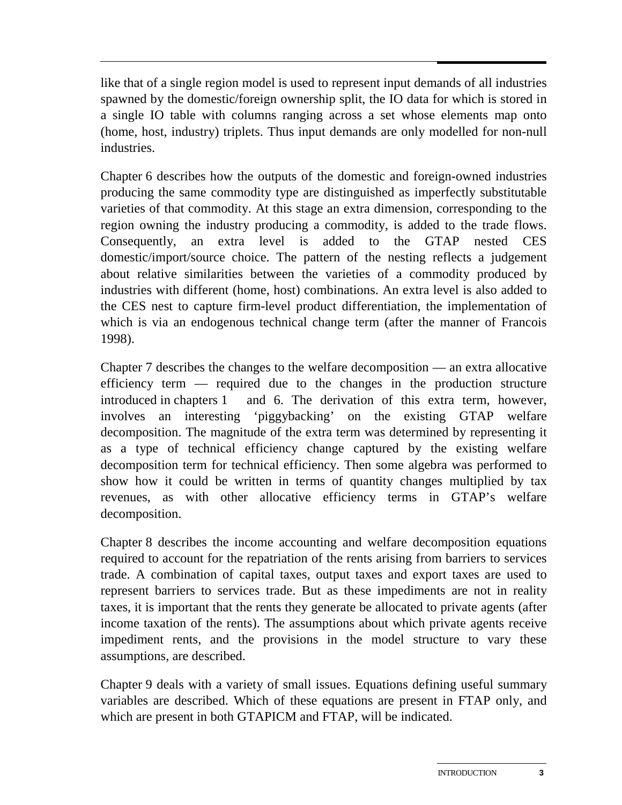like that of a single region model is used to represent input demands of all industries spawned by the domestic/foreign ownership split, the IO data for which is stored in a single IO table with columns ranging across a set whose elements map onto (home, host, industry) triplets. Thus input demands are only modelled for non-null industries.

Chapter 6 describes how the outputs of the domestic and foreign-owned industries producing the same commodity type are distinguished as imperfectly substitutable varieties of that commodity. At this stage an extra dimension, corresponding to the region owning the industry producing a commodity, is added to the trade flows. Consequently, an extra level is added to the GTAP nested CES domestic/import/source choice. The pattern of the nesting reflects a judgement about relative similarities between the varieties of a commodity produced by industries with different (home, host) combinations. An extra level is also added to the CES nest to capture firm-level product differentiation, the implementation of which is via an endogenous technical change term (after the manner of Francois 1998).

Chapter 7 describes the changes to the welfare decomposition — an extra allocative efficiency term — required due to the changes in the production structure introduced in chapters 1 and 6. The derivation of this extra term, however, involves an interesting 'piggybacking' on the existing GTAP welfare decomposition. The magnitude of the extra term was determined by representing it as a type of technical efficiency change captured by the existing welfare decomposition term for technical efficiency. Then some algebra was performed to show how it could be written in terms of quantity changes multiplied by tax revenues, as with other allocative efficiency terms in GTAP's welfare decomposition.

Chapter 8 describes the income accounting and welfare decomposition equations required to account for the repatriation of the rents arising from barriers to services trade. A combination of capital taxes, output taxes and export taxes are used to represent barriers to services trade. But as these impediments are not in reality taxes, it is important that the rents they generate be allocated to private agents (after income taxation of the rents). The assumptions about which private agents receive impediment rents, and the provisions in the model structure to vary these assumptions, are described.

Chapter 9 deals with a variety of small issues. Equations defining useful summary variables are described. Which of these equations are present in FTAP only, and which are present in both GTAPICM and FTAP, will be indicated.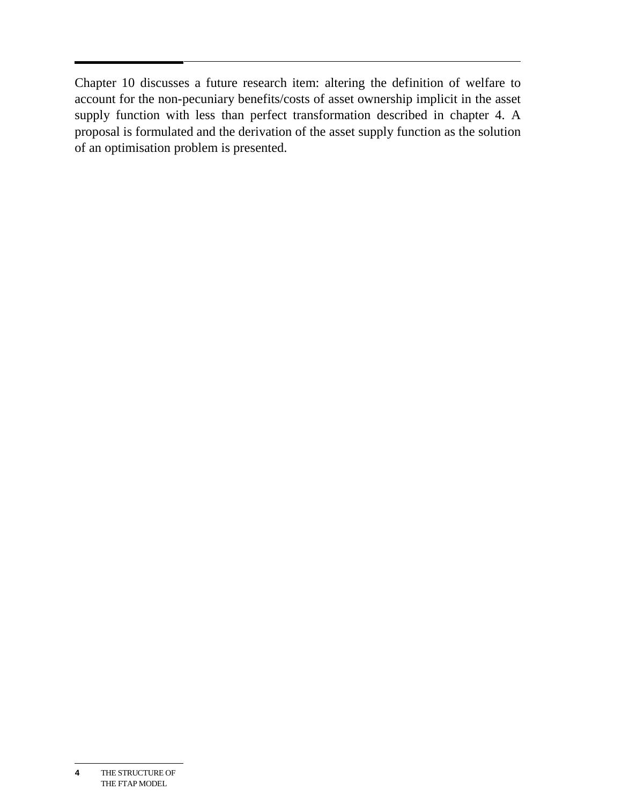Chapter 10 discusses a future research item: altering the definition of welfare to account for the non-pecuniary benefits/costs of asset ownership implicit in the asset supply function with less than perfect transformation described in chapter 4. A proposal is formulated and the derivation of the asset supply function as the solution of an optimisation problem is presented.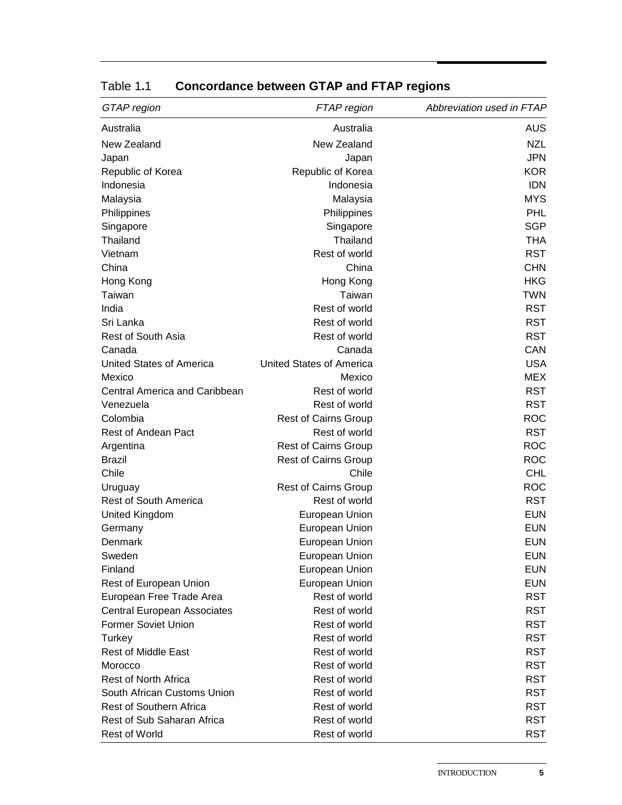| <b>GTAP</b> region                   | FTAP region                     | Abbreviation used in FTAP |
|--------------------------------------|---------------------------------|---------------------------|
| Australia                            | Australia                       | <b>AUS</b>                |
| New Zealand                          | New Zealand                     | <b>NZL</b>                |
| Japan                                | Japan                           | <b>JPN</b>                |
| Republic of Korea                    | Republic of Korea               | <b>KOR</b>                |
| Indonesia                            | Indonesia                       | <b>IDN</b>                |
| Malaysia                             | Malaysia                        | <b>MYS</b>                |
| Philippines                          | Philippines                     | PHL                       |
| Singapore                            | Singapore                       | <b>SGP</b>                |
| Thailand                             | Thailand                        | <b>THA</b>                |
| Vietnam                              | Rest of world                   | <b>RST</b>                |
| China                                | China                           | <b>CHN</b>                |
| Hong Kong                            | Hong Kong                       | <b>HKG</b>                |
| Taiwan                               | Taiwan                          | <b>TWN</b>                |
| India                                | Rest of world                   | <b>RST</b>                |
| Sri Lanka                            | Rest of world                   | <b>RST</b>                |
| <b>Rest of South Asia</b>            | Rest of world                   | <b>RST</b>                |
| Canada                               | Canada                          | CAN                       |
| United States of America             | <b>United States of America</b> | <b>USA</b>                |
| Mexico                               | Mexico                          | <b>MEX</b>                |
| <b>Central America and Caribbean</b> | Rest of world                   | <b>RST</b>                |
| Venezuela                            | Rest of world                   | <b>RST</b>                |
| Colombia                             | <b>Rest of Cairns Group</b>     | <b>ROC</b>                |
| <b>Rest of Andean Pact</b>           | Rest of world                   | <b>RST</b>                |
| Argentina                            | Rest of Cairns Group            | <b>ROC</b>                |
| <b>Brazil</b>                        | Rest of Cairns Group            | <b>ROC</b>                |
| Chile                                | Chile                           | <b>CHL</b>                |
| Uruguay                              | <b>Rest of Cairns Group</b>     | <b>ROC</b>                |
| <b>Rest of South America</b>         | Rest of world                   | <b>RST</b>                |
| United Kingdom                       | European Union                  | <b>EUN</b>                |
| Germany                              | European Union                  | <b>EUN</b>                |
| Denmark                              | European Union                  | <b>EUN</b>                |
| Sweden                               | European Union                  | <b>EUN</b>                |
| Finland                              | European Union                  | <b>EUN</b>                |
| Rest of European Union               | European Union                  | <b>EUN</b>                |
| European Free Trade Area             | Rest of world                   | <b>RST</b>                |
| Central European Associates          | Rest of world                   | <b>RST</b>                |
| <b>Former Soviet Union</b>           | Rest of world                   | <b>RST</b>                |
| Turkey                               | Rest of world                   | <b>RST</b>                |
| <b>Rest of Middle East</b>           | Rest of world                   | <b>RST</b>                |
| Morocco                              | Rest of world                   | <b>RST</b>                |
| Rest of North Africa                 | Rest of world                   | <b>RST</b>                |
| South African Customs Union          | Rest of world                   | <b>RST</b>                |
| <b>Rest of Southern Africa</b>       | Rest of world                   | <b>RST</b>                |
| Rest of Sub Saharan Africa           | Rest of world                   | <b>RST</b>                |
| Rest of World                        | Rest of world                   | <b>RST</b>                |

| Table 1.1 | <b>Concordance between GTAP and FTAP regions</b> |  |  |  |  |  |
|-----------|--------------------------------------------------|--|--|--|--|--|
|-----------|--------------------------------------------------|--|--|--|--|--|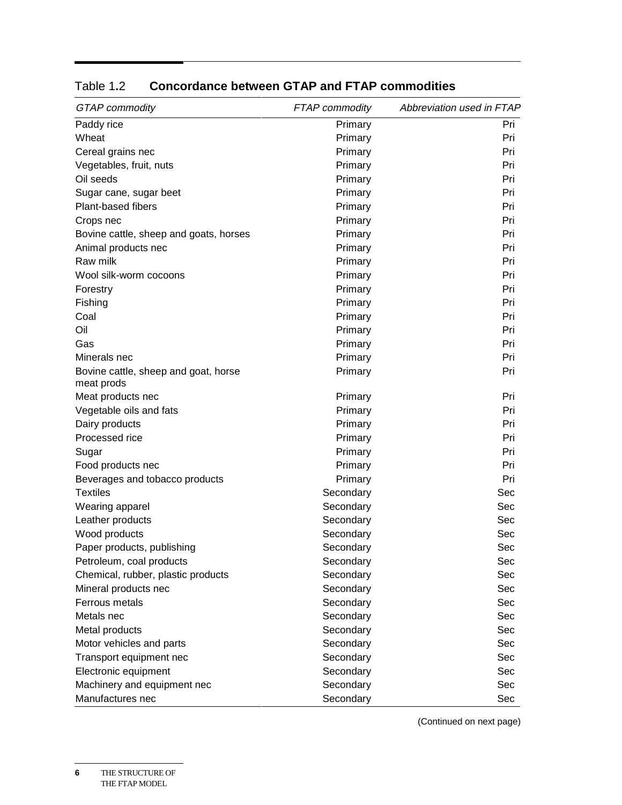| <b>GTAP</b> commodity                              | FTAP commodity | Abbreviation used in FTAP |
|----------------------------------------------------|----------------|---------------------------|
| Paddy rice                                         | Primary        | Pri                       |
| Wheat                                              | Primary        | Pri                       |
| Cereal grains nec                                  | Primary        | Pri                       |
| Vegetables, fruit, nuts                            | Primary        | Pri                       |
| Oil seeds                                          | Primary        | Pri                       |
| Sugar cane, sugar beet                             | Primary        | Pri                       |
| Plant-based fibers                                 | Primary        | Pri                       |
| Crops nec                                          | Primary        | Pri                       |
| Bovine cattle, sheep and goats, horses             | Primary        | Pri                       |
| Animal products nec                                | Primary        | Pri                       |
| Raw milk                                           | Primary        | Pri                       |
| Wool silk-worm cocoons                             | Primary        | Pri                       |
| Forestry                                           | Primary        | Pri                       |
| Fishing                                            | Primary        | Pri                       |
| Coal                                               | Primary        | Pri                       |
| Oil                                                | Primary        | Pri                       |
| Gas                                                | Primary        | Pri                       |
| Minerals nec                                       | Primary        | Pri                       |
| Bovine cattle, sheep and goat, horse<br>meat prods | Primary        | Pri                       |
| Meat products nec                                  | Primary        | Pri                       |
| Vegetable oils and fats                            | Primary        | Pri                       |
| Dairy products                                     | Primary        | Pri                       |
| Processed rice                                     | Primary        | Pri                       |
| Sugar                                              | Primary        | Pri                       |
| Food products nec                                  | Primary        | Pri                       |
| Beverages and tobacco products                     | Primary        | Pri                       |
| <b>Textiles</b>                                    | Secondary      | Sec                       |
| Wearing apparel                                    | Secondary      | Sec                       |
| Leather products                                   | Secondary      | Sec                       |
| Wood products                                      | Secondary      | Sec                       |
| Paper products, publishing                         | Secondary      | Sec                       |
| Petroleum, coal products                           | Secondary      | Sec                       |
| Chemical, rubber, plastic products                 | Secondary      | Sec                       |
| Mineral products nec                               | Secondary      | Sec                       |
| Ferrous metals                                     | Secondary      | Sec                       |
| Metals nec                                         | Secondary      | Sec                       |
| Metal products                                     | Secondary      | Sec                       |
| Motor vehicles and parts                           | Secondary      | Sec                       |
| Transport equipment nec                            | Secondary      | Sec                       |
| Electronic equipment                               | Secondary      | Sec                       |
| Machinery and equipment nec                        | Secondary      | Sec                       |
| Manufactures nec                                   | Secondary      | Sec                       |

#### Table 1**.**2 **Concordance between GTAP and FTAP commodities**

(Continued on next page)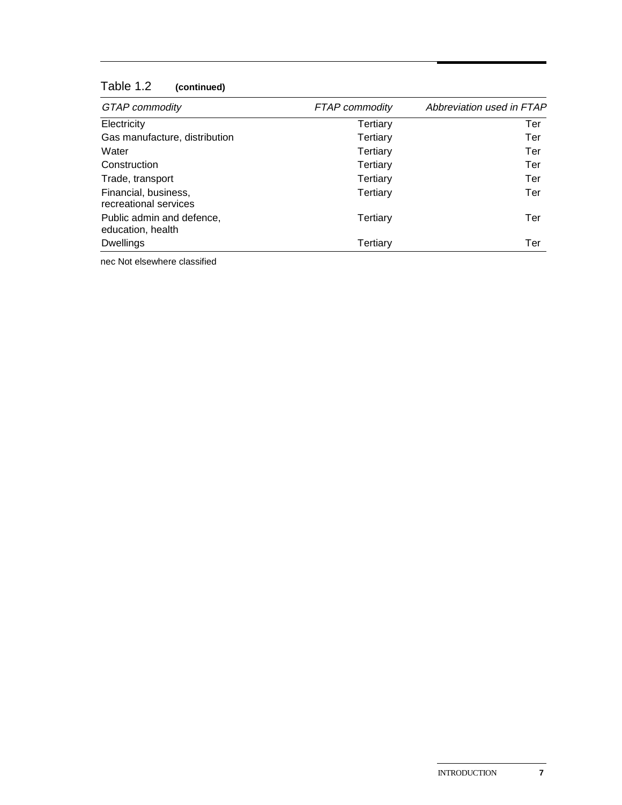| Table 1.2 | (continued) |
|-----------|-------------|
|-----------|-------------|

| GTAP commodity                                 | <b>FTAP</b> commodity | Abbreviation used in FTAP |
|------------------------------------------------|-----------------------|---------------------------|
| Electricity                                    | Tertiary              | Ter                       |
| Gas manufacture, distribution                  | Tertiary              | Ter                       |
| Water                                          | Tertiary              | Ter                       |
| Construction                                   | Tertiary              | Ter                       |
| Trade, transport                               | Tertiary              | Ter                       |
| Financial, business,<br>recreational services  | Tertiary              | Ter                       |
| Public admin and defence,<br>education, health | Tertiary              | Ter                       |
| <b>Dwellings</b>                               | Tertiary              | Ter                       |

nec Not elsewhere classified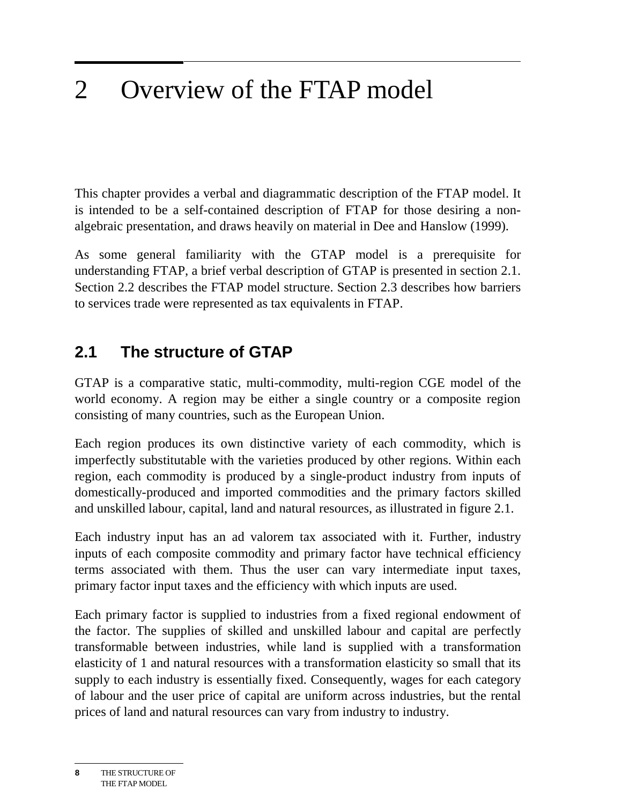# 2 Overview of the FTAP model

This chapter provides a verbal and diagrammatic description of the FTAP model. It is intended to be a self-contained description of FTAP for those desiring a nonalgebraic presentation, and draws heavily on material in Dee and Hanslow (1999).

As some general familiarity with the GTAP model is a prerequisite for understanding FTAP, a brief verbal description of GTAP is presented in section 2.1. Section 2.2 describes the FTAP model structure. Section 2.3 describes how barriers to services trade were represented as tax equivalents in FTAP.

### **2.1 The structure of GTAP**

GTAP is a comparative static, multi-commodity, multi-region CGE model of the world economy. A region may be either a single country or a composite region consisting of many countries, such as the European Union.

Each region produces its own distinctive variety of each commodity, which is imperfectly substitutable with the varieties produced by other regions. Within each region, each commodity is produced by a single-product industry from inputs of domestically-produced and imported commodities and the primary factors skilled and unskilled labour, capital, land and natural resources, as illustrated in figure 2.1.

Each industry input has an ad valorem tax associated with it. Further, industry inputs of each composite commodity and primary factor have technical efficiency terms associated with them. Thus the user can vary intermediate input taxes, primary factor input taxes and the efficiency with which inputs are used.

Each primary factor is supplied to industries from a fixed regional endowment of the factor. The supplies of skilled and unskilled labour and capital are perfectly transformable between industries, while land is supplied with a transformation elasticity of 1 and natural resources with a transformation elasticity so small that its supply to each industry is essentially fixed. Consequently, wages for each category of labour and the user price of capital are uniform across industries, but the rental prices of land and natural resources can vary from industry to industry.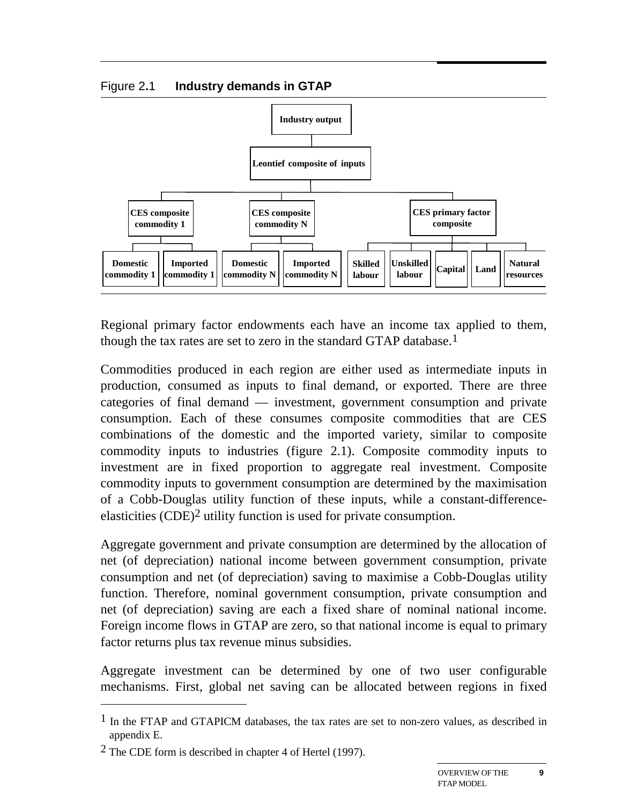Figure 2**.**1 **Industry demands in GTAP**



Regional primary factor endowments each have an income tax applied to them, though the tax rates are set to zero in the standard GTAP database.<sup>1</sup>

Commodities produced in each region are either used as intermediate inputs in production, consumed as inputs to final demand, or exported. There are three categories of final demand — investment, government consumption and private consumption. Each of these consumes composite commodities that are CES combinations of the domestic and the imported variety, similar to composite commodity inputs to industries (figure 2.1). Composite commodity inputs to investment are in fixed proportion to aggregate real investment. Composite commodity inputs to government consumption are determined by the maximisation of a Cobb-Douglas utility function of these inputs, while a constant-differenceelasticities (CDE)2 utility function is used for private consumption.

Aggregate government and private consumption are determined by the allocation of net (of depreciation) national income between government consumption, private consumption and net (of depreciation) saving to maximise a Cobb-Douglas utility function. Therefore, nominal government consumption, private consumption and net (of depreciation) saving are each a fixed share of nominal national income. Foreign income flows in GTAP are zero, so that national income is equal to primary factor returns plus tax revenue minus subsidies.

Aggregate investment can be determined by one of two user configurable mechanisms. First, global net saving can be allocated between regions in fixed

 $\overline{a}$ 

**9**

 $<sup>1</sup>$  In the FTAP and GTAPICM databases, the tax rates are set to non-zero values, as described in</sup> appendix E.

<sup>2</sup> The CDE form is described in chapter 4 of Hertel (1997).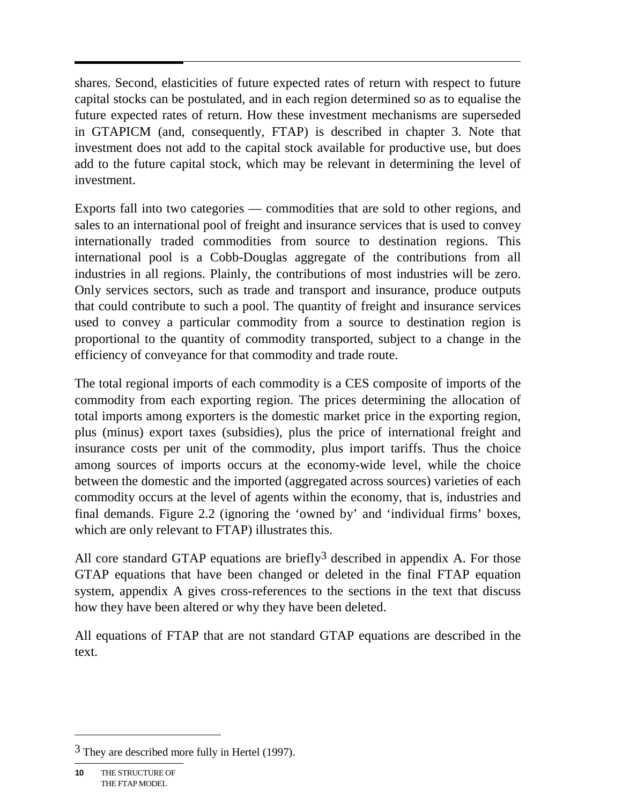shares. Second, elasticities of future expected rates of return with respect to future capital stocks can be postulated, and in each region determined so as to equalise the future expected rates of return. How these investment mechanisms are superseded in GTAPICM (and, consequently, FTAP) is described in chapter 3. Note that investment does not add to the capital stock available for productive use, but does add to the future capital stock, which may be relevant in determining the level of investment.

Exports fall into two categories — commodities that are sold to other regions, and sales to an international pool of freight and insurance services that is used to convey internationally traded commodities from source to destination regions. This international pool is a Cobb-Douglas aggregate of the contributions from all industries in all regions. Plainly, the contributions of most industries will be zero. Only services sectors, such as trade and transport and insurance, produce outputs that could contribute to such a pool. The quantity of freight and insurance services used to convey a particular commodity from a source to destination region is proportional to the quantity of commodity transported, subject to a change in the efficiency of conveyance for that commodity and trade route.

The total regional imports of each commodity is a CES composite of imports of the commodity from each exporting region. The prices determining the allocation of total imports among exporters is the domestic market price in the exporting region, plus (minus) export taxes (subsidies), plus the price of international freight and insurance costs per unit of the commodity, plus import tariffs. Thus the choice among sources of imports occurs at the economy-wide level, while the choice between the domestic and the imported (aggregated across sources) varieties of each commodity occurs at the level of agents within the economy, that is, industries and final demands. Figure 2.2 (ignoring the 'owned by' and 'individual firms' boxes, which are only relevant to FTAP) illustrates this.

All core standard GTAP equations are briefly<sup>3</sup> described in appendix A. For those GTAP equations that have been changed or deleted in the final FTAP equation system, appendix A gives cross-references to the sections in the text that discuss how they have been altered or why they have been deleted.

All equations of FTAP that are not standard GTAP equations are described in the text.

 $\overline{a}$ 

<sup>&</sup>lt;sup>3</sup> They are described more fully in Hertel (1997).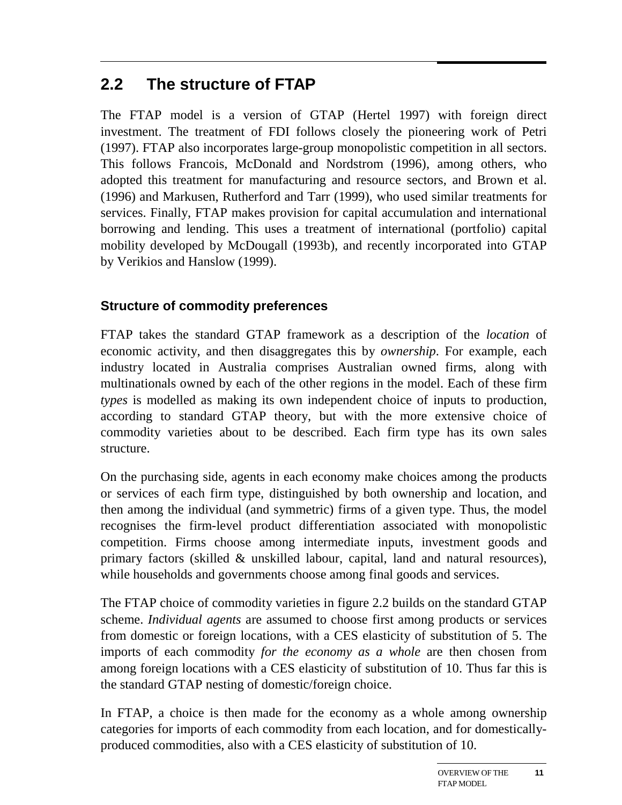### **2.2 The structure of FTAP**

The FTAP model is a version of GTAP (Hertel 1997) with foreign direct investment. The treatment of FDI follows closely the pioneering work of Petri (1997). FTAP also incorporates large-group monopolistic competition in all sectors. This follows Francois, McDonald and Nordstrom (1996), among others, who adopted this treatment for manufacturing and resource sectors, and Brown et al. (1996) and Markusen, Rutherford and Tarr (1999), who used similar treatments for services. Finally, FTAP makes provision for capital accumulation and international borrowing and lending. This uses a treatment of international (portfolio) capital mobility developed by McDougall (1993b), and recently incorporated into GTAP by Verikios and Hanslow (1999).

### **Structure of commodity preferences**

FTAP takes the standard GTAP framework as a description of the *location* of economic activity, and then disaggregates this by *ownership*. For example, each industry located in Australia comprises Australian owned firms, along with multinationals owned by each of the other regions in the model. Each of these firm *types* is modelled as making its own independent choice of inputs to production, according to standard GTAP theory, but with the more extensive choice of commodity varieties about to be described. Each firm type has its own sales structure.

On the purchasing side, agents in each economy make choices among the products or services of each firm type, distinguished by both ownership and location, and then among the individual (and symmetric) firms of a given type. Thus, the model recognises the firm-level product differentiation associated with monopolistic competition. Firms choose among intermediate inputs, investment goods and primary factors (skilled & unskilled labour, capital, land and natural resources), while households and governments choose among final goods and services.

The FTAP choice of commodity varieties in figure 2.2 builds on the standard GTAP scheme. *Individual agents* are assumed to choose first among products or services from domestic or foreign locations, with a CES elasticity of substitution of 5. The imports of each commodity *for the economy as a whole* are then chosen from among foreign locations with a CES elasticity of substitution of 10. Thus far this is the standard GTAP nesting of domestic/foreign choice.

In FTAP, a choice is then made for the economy as a whole among ownership categories for imports of each commodity from each location, and for domesticallyproduced commodities, also with a CES elasticity of substitution of 10.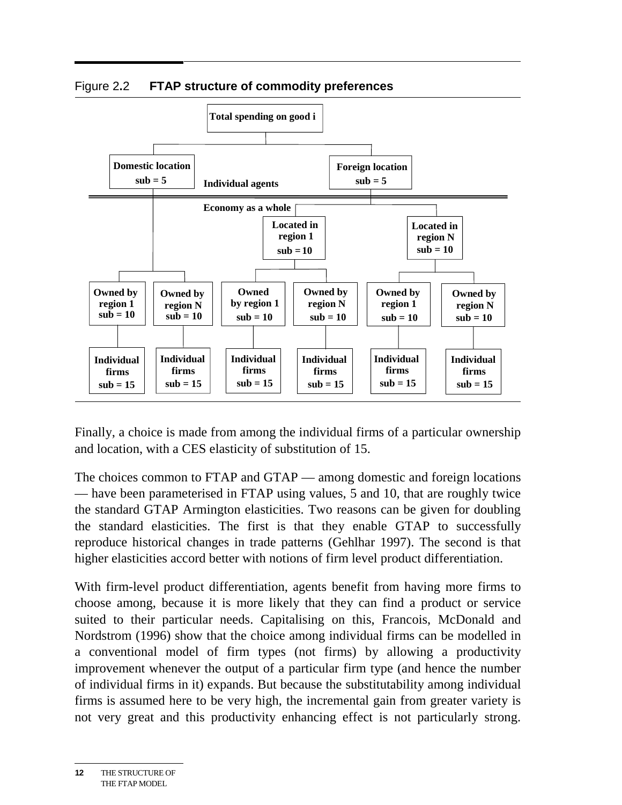

Figure 2**.**2 **FTAP structure of commodity preferences**

Finally, a choice is made from among the individual firms of a particular ownership and location, with a CES elasticity of substitution of 15.

The choices common to FTAP and GTAP — among domestic and foreign locations — have been parameterised in FTAP using values, 5 and 10, that are roughly twice the standard GTAP Armington elasticities. Two reasons can be given for doubling the standard elasticities. The first is that they enable GTAP to successfully reproduce historical changes in trade patterns (Gehlhar 1997). The second is that higher elasticities accord better with notions of firm level product differentiation.

With firm-level product differentiation, agents benefit from having more firms to choose among, because it is more likely that they can find a product or service suited to their particular needs. Capitalising on this, Francois, McDonald and Nordstrom (1996) show that the choice among individual firms can be modelled in a conventional model of firm types (not firms) by allowing a productivity improvement whenever the output of a particular firm type (and hence the number of individual firms in it) expands. But because the substitutability among individual firms is assumed here to be very high, the incremental gain from greater variety is not very great and this productivity enhancing effect is not particularly strong.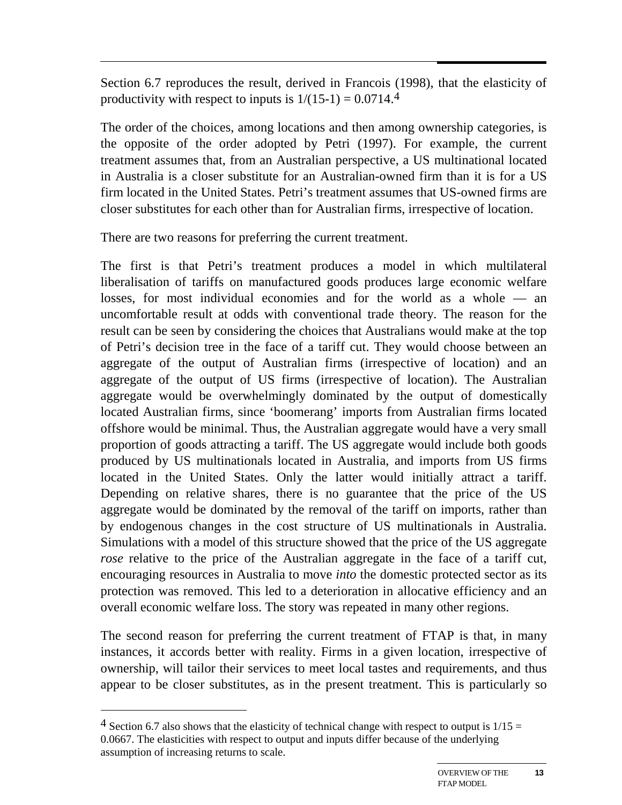Section 6.7 reproduces the result, derived in Francois (1998), that the elasticity of productivity with respect to inputs is  $1/(15-1) = 0.0714.4$ 

The order of the choices, among locations and then among ownership categories, is the opposite of the order adopted by Petri (1997). For example, the current treatment assumes that, from an Australian perspective, a US multinational located in Australia is a closer substitute for an Australian-owned firm than it is for a US firm located in the United States. Petri's treatment assumes that US-owned firms are closer substitutes for each other than for Australian firms, irrespective of location.

There are two reasons for preferring the current treatment.

The first is that Petri's treatment produces a model in which multilateral liberalisation of tariffs on manufactured goods produces large economic welfare losses, for most individual economies and for the world as a whole — an uncomfortable result at odds with conventional trade theory. The reason for the result can be seen by considering the choices that Australians would make at the top of Petri's decision tree in the face of a tariff cut. They would choose between an aggregate of the output of Australian firms (irrespective of location) and an aggregate of the output of US firms (irrespective of location). The Australian aggregate would be overwhelmingly dominated by the output of domestically located Australian firms, since 'boomerang' imports from Australian firms located offshore would be minimal. Thus, the Australian aggregate would have a very small proportion of goods attracting a tariff. The US aggregate would include both goods produced by US multinationals located in Australia, and imports from US firms located in the United States. Only the latter would initially attract a tariff. Depending on relative shares, there is no guarantee that the price of the US aggregate would be dominated by the removal of the tariff on imports, rather than by endogenous changes in the cost structure of US multinationals in Australia. Simulations with a model of this structure showed that the price of the US aggregate *rose* relative to the price of the Australian aggregate in the face of a tariff cut, encouraging resources in Australia to move *into* the domestic protected sector as its protection was removed. This led to a deterioration in allocative efficiency and an overall economic welfare loss. The story was repeated in many other regions.

The second reason for preferring the current treatment of FTAP is that, in many instances, it accords better with reality. Firms in a given location, irrespective of ownership, will tailor their services to meet local tastes and requirements, and thus appear to be closer substitutes, as in the present treatment. This is particularly so

 $\overline{a}$ 

<sup>4</sup> Section 6.7 also shows that the elasticity of technical change with respect to output is  $1/15 =$ 0.0667. The elasticities with respect to output and inputs differ because of the underlying assumption of increasing returns to scale.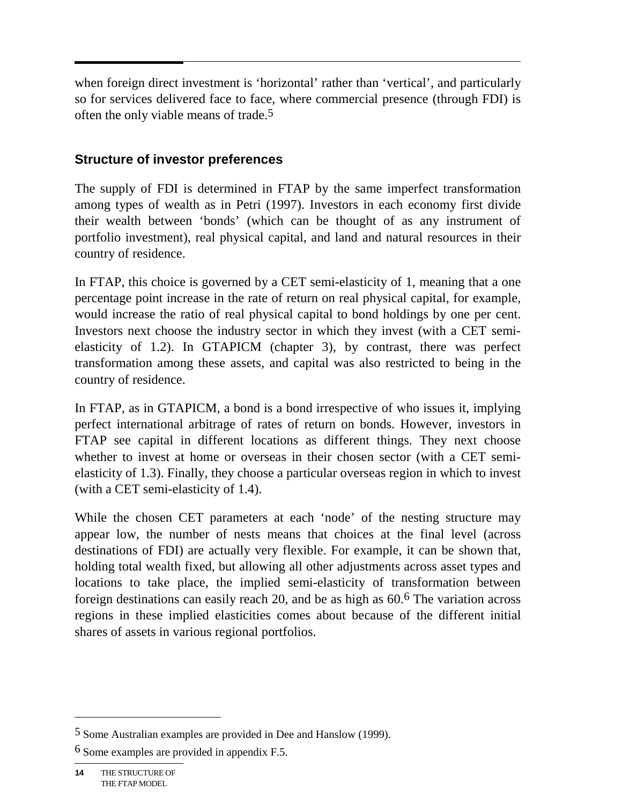when foreign direct investment is 'horizontal' rather than 'vertical', and particularly so for services delivered face to face, where commercial presence (through FDI) is often the only viable means of trade.5

### **Structure of investor preferences**

The supply of FDI is determined in FTAP by the same imperfect transformation among types of wealth as in Petri (1997). Investors in each economy first divide their wealth between 'bonds' (which can be thought of as any instrument of portfolio investment), real physical capital, and land and natural resources in their country of residence.

In FTAP, this choice is governed by a CET semi-elasticity of 1, meaning that a one percentage point increase in the rate of return on real physical capital, for example, would increase the ratio of real physical capital to bond holdings by one per cent. Investors next choose the industry sector in which they invest (with a CET semielasticity of 1.2). In GTAPICM (chapter 3), by contrast, there was perfect transformation among these assets, and capital was also restricted to being in the country of residence.

In FTAP, as in GTAPICM, a bond is a bond irrespective of who issues it, implying perfect international arbitrage of rates of return on bonds. However, investors in FTAP see capital in different locations as different things. They next choose whether to invest at home or overseas in their chosen sector (with a CET semielasticity of 1.3). Finally, they choose a particular overseas region in which to invest (with a CET semi-elasticity of 1.4).

While the chosen CET parameters at each 'node' of the nesting structure may appear low, the number of nests means that choices at the final level (across destinations of FDI) are actually very flexible. For example, it can be shown that, holding total wealth fixed, but allowing all other adjustments across asset types and locations to take place, the implied semi-elasticity of transformation between foreign destinations can easily reach 20, and be as high as 60.6 The variation across regions in these implied elasticities comes about because of the different initial shares of assets in various regional portfolios.

 $\overline{a}$ 

<sup>5</sup> Some Australian examples are provided in Dee and Hanslow (1999).

<sup>6</sup> Some examples are provided in appendix F.5.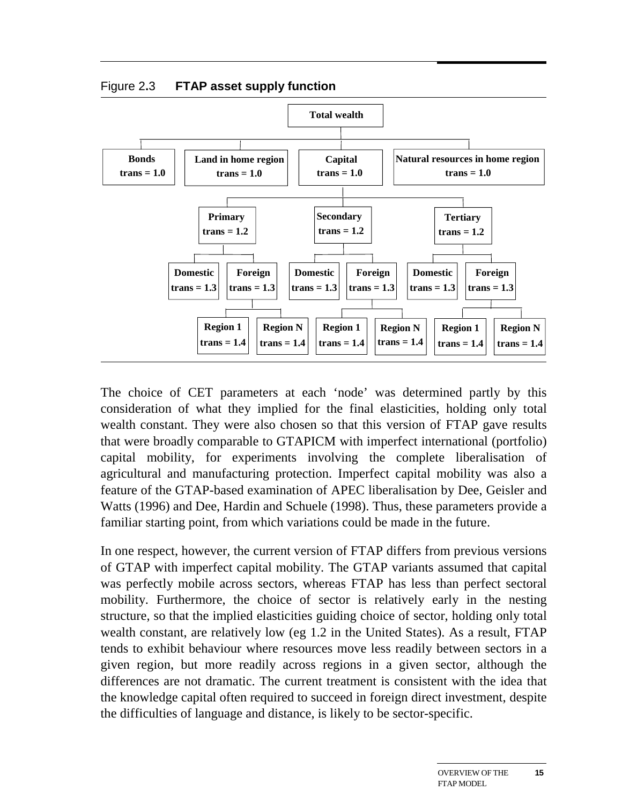Figure 2**.**3 **FTAP asset supply function**



The choice of CET parameters at each 'node' was determined partly by this consideration of what they implied for the final elasticities, holding only total wealth constant. They were also chosen so that this version of FTAP gave results that were broadly comparable to GTAPICM with imperfect international (portfolio) capital mobility, for experiments involving the complete liberalisation of agricultural and manufacturing protection. Imperfect capital mobility was also a feature of the GTAP-based examination of APEC liberalisation by Dee, Geisler and Watts (1996) and Dee, Hardin and Schuele (1998). Thus, these parameters provide a familiar starting point, from which variations could be made in the future.

In one respect, however, the current version of FTAP differs from previous versions of GTAP with imperfect capital mobility. The GTAP variants assumed that capital was perfectly mobile across sectors, whereas FTAP has less than perfect sectoral mobility. Furthermore, the choice of sector is relatively early in the nesting structure, so that the implied elasticities guiding choice of sector, holding only total wealth constant, are relatively low (eg 1.2 in the United States). As a result, FTAP tends to exhibit behaviour where resources move less readily between sectors in a given region, but more readily across regions in a given sector, although the differences are not dramatic. The current treatment is consistent with the idea that the knowledge capital often required to succeed in foreign direct investment, despite the difficulties of language and distance, is likely to be sector-specific.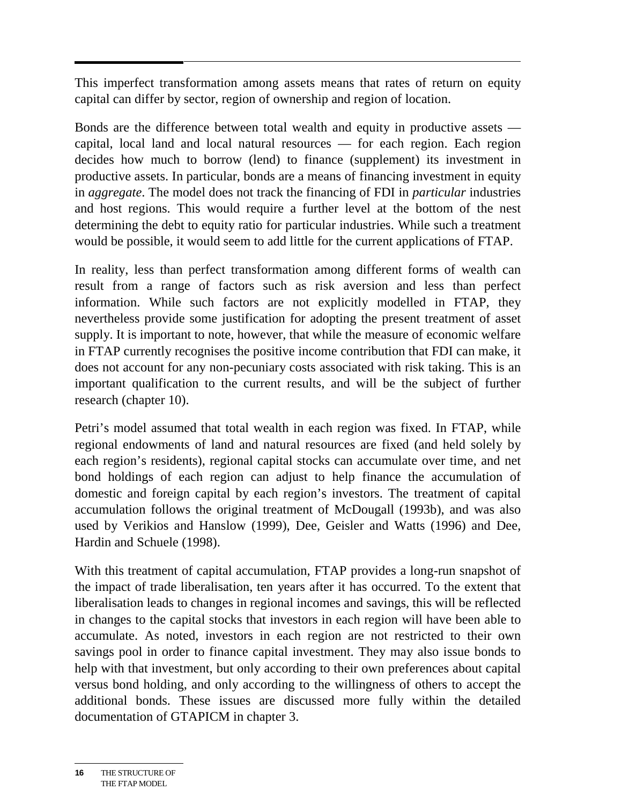This imperfect transformation among assets means that rates of return on equity capital can differ by sector, region of ownership and region of location.

Bonds are the difference between total wealth and equity in productive assets capital, local land and local natural resources — for each region. Each region decides how much to borrow (lend) to finance (supplement) its investment in productive assets. In particular, bonds are a means of financing investment in equity in *aggregate*. The model does not track the financing of FDI in *particular* industries and host regions. This would require a further level at the bottom of the nest determining the debt to equity ratio for particular industries. While such a treatment would be possible, it would seem to add little for the current applications of FTAP.

In reality, less than perfect transformation among different forms of wealth can result from a range of factors such as risk aversion and less than perfect information. While such factors are not explicitly modelled in FTAP, they nevertheless provide some justification for adopting the present treatment of asset supply. It is important to note, however, that while the measure of economic welfare in FTAP currently recognises the positive income contribution that FDI can make, it does not account for any non-pecuniary costs associated with risk taking. This is an important qualification to the current results, and will be the subject of further research (chapter 10).

Petri's model assumed that total wealth in each region was fixed. In FTAP, while regional endowments of land and natural resources are fixed (and held solely by each region's residents), regional capital stocks can accumulate over time, and net bond holdings of each region can adjust to help finance the accumulation of domestic and foreign capital by each region's investors. The treatment of capital accumulation follows the original treatment of McDougall (1993b), and was also used by Verikios and Hanslow (1999), Dee, Geisler and Watts (1996) and Dee, Hardin and Schuele (1998).

With this treatment of capital accumulation, FTAP provides a long-run snapshot of the impact of trade liberalisation, ten years after it has occurred. To the extent that liberalisation leads to changes in regional incomes and savings, this will be reflected in changes to the capital stocks that investors in each region will have been able to accumulate. As noted, investors in each region are not restricted to their own savings pool in order to finance capital investment. They may also issue bonds to help with that investment, but only according to their own preferences about capital versus bond holding, and only according to the willingness of others to accept the additional bonds. These issues are discussed more fully within the detailed documentation of GTAPICM in chapter 3.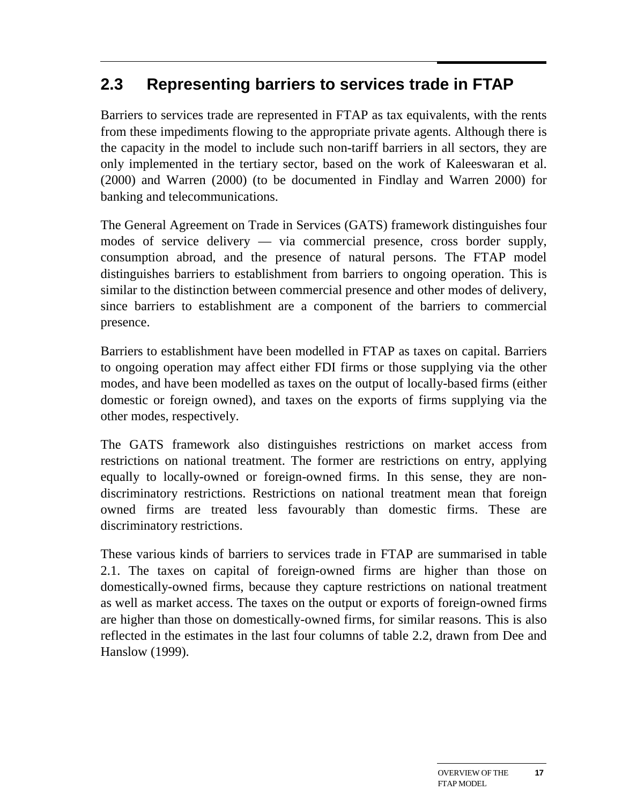## **2.3 Representing barriers to services trade in FTAP**

Barriers to services trade are represented in FTAP as tax equivalents, with the rents from these impediments flowing to the appropriate private agents. Although there is the capacity in the model to include such non-tariff barriers in all sectors, they are only implemented in the tertiary sector, based on the work of Kaleeswaran et al. (2000) and Warren (2000) (to be documented in Findlay and Warren 2000) for banking and telecommunications.

The General Agreement on Trade in Services (GATS) framework distinguishes four modes of service delivery — via commercial presence, cross border supply, consumption abroad, and the presence of natural persons. The FTAP model distinguishes barriers to establishment from barriers to ongoing operation. This is similar to the distinction between commercial presence and other modes of delivery, since barriers to establishment are a component of the barriers to commercial presence.

Barriers to establishment have been modelled in FTAP as taxes on capital. Barriers to ongoing operation may affect either FDI firms or those supplying via the other modes, and have been modelled as taxes on the output of locally-based firms (either domestic or foreign owned), and taxes on the exports of firms supplying via the other modes, respectively.

The GATS framework also distinguishes restrictions on market access from restrictions on national treatment. The former are restrictions on entry, applying equally to locally-owned or foreign-owned firms. In this sense, they are nondiscriminatory restrictions. Restrictions on national treatment mean that foreign owned firms are treated less favourably than domestic firms. These are discriminatory restrictions.

These various kinds of barriers to services trade in FTAP are summarised in table 2.1. The taxes on capital of foreign-owned firms are higher than those on domestically-owned firms, because they capture restrictions on national treatment as well as market access. The taxes on the output or exports of foreign-owned firms are higher than those on domestically-owned firms, for similar reasons. This is also reflected in the estimates in the last four columns of table 2.2, drawn from Dee and Hanslow (1999).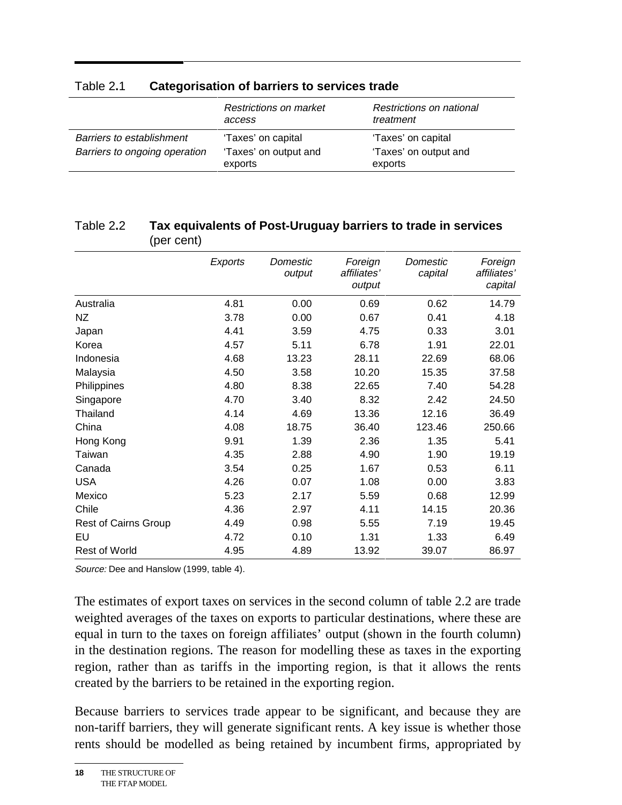#### Table 2**.**1 **Categorisation of barriers to services trade**

|                               | Restrictions on market<br>access | Restrictions on national<br>treatment |  |
|-------------------------------|----------------------------------|---------------------------------------|--|
| Barriers to establishment     | 'Taxes' on capital               | 'Taxes' on capital                    |  |
| Barriers to ongoing operation | 'Taxes' on output and<br>exports | 'Taxes' on output and<br>exports      |  |

#### Table 2**.**2 **Tax equivalents of Post-Uruguay barriers to trade in services** (per cent)

|                      | Exports | Domestic<br>output | Foreign<br>affiliates'<br>output | Domestic<br>capital | Foreign<br>affiliates'<br>capital |
|----------------------|---------|--------------------|----------------------------------|---------------------|-----------------------------------|
| Australia            | 4.81    | 0.00               | 0.69                             | 0.62                | 14.79                             |
| NZ                   | 3.78    | 0.00               | 0.67                             | 0.41                | 4.18                              |
| Japan                | 4.41    | 3.59               | 4.75                             | 0.33                | 3.01                              |
| Korea                | 4.57    | 5.11               | 6.78                             | 1.91                | 22.01                             |
| Indonesia            | 4.68    | 13.23              | 28.11                            | 22.69               | 68.06                             |
| Malaysia             | 4.50    | 3.58               | 10.20                            | 15.35               | 37.58                             |
| Philippines          | 4.80    | 8.38               | 22.65                            | 7.40                | 54.28                             |
| Singapore            | 4.70    | 3.40               | 8.32                             | 2.42                | 24.50                             |
| Thailand             | 4.14    | 4.69               | 13.36                            | 12.16               | 36.49                             |
| China                | 4.08    | 18.75              | 36.40                            | 123.46              | 250.66                            |
| Hong Kong            | 9.91    | 1.39               | 2.36                             | 1.35                | 5.41                              |
| Taiwan               | 4.35    | 2.88               | 4.90                             | 1.90                | 19.19                             |
| Canada               | 3.54    | 0.25               | 1.67                             | 0.53                | 6.11                              |
| <b>USA</b>           | 4.26    | 0.07               | 1.08                             | 0.00                | 3.83                              |
| Mexico               | 5.23    | 2.17               | 5.59                             | 0.68                | 12.99                             |
| Chile                | 4.36    | 2.97               | 4.11                             | 14.15               | 20.36                             |
| Rest of Cairns Group | 4.49    | 0.98               | 5.55                             | 7.19                | 19.45                             |
| EU                   | 4.72    | 0.10               | 1.31                             | 1.33                | 6.49                              |
| <b>Rest of World</b> | 4.95    | 4.89               | 13.92                            | 39.07               | 86.97                             |

Source: Dee and Hanslow (1999, table 4).

The estimates of export taxes on services in the second column of table 2.2 are trade weighted averages of the taxes on exports to particular destinations, where these are equal in turn to the taxes on foreign affiliates' output (shown in the fourth column) in the destination regions. The reason for modelling these as taxes in the exporting region, rather than as tariffs in the importing region, is that it allows the rents created by the barriers to be retained in the exporting region.

Because barriers to services trade appear to be significant, and because they are non-tariff barriers, they will generate significant rents. A key issue is whether those rents should be modelled as being retained by incumbent firms, appropriated by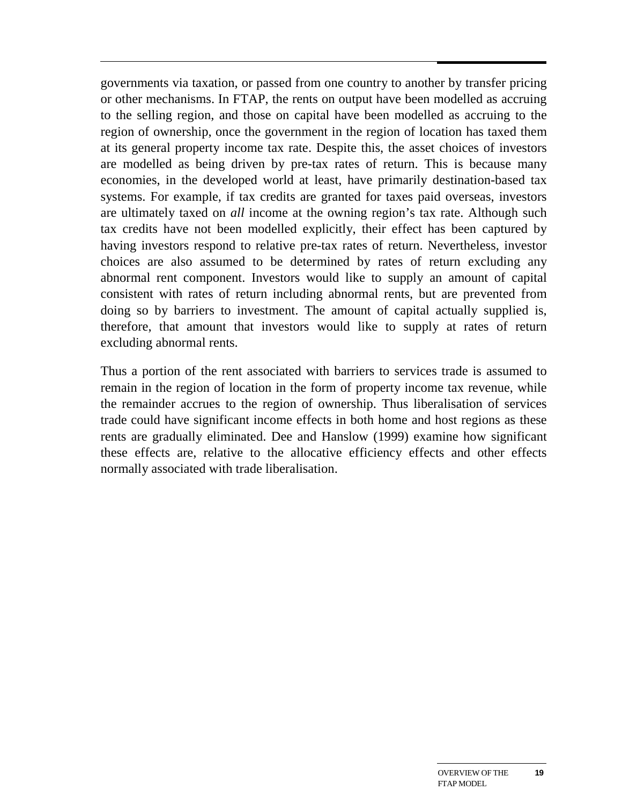governments via taxation, or passed from one country to another by transfer pricing or other mechanisms. In FTAP, the rents on output have been modelled as accruing to the selling region, and those on capital have been modelled as accruing to the region of ownership, once the government in the region of location has taxed them at its general property income tax rate. Despite this, the asset choices of investors are modelled as being driven by pre-tax rates of return. This is because many economies, in the developed world at least, have primarily destination-based tax systems. For example, if tax credits are granted for taxes paid overseas, investors are ultimately taxed on *all* income at the owning region's tax rate. Although such tax credits have not been modelled explicitly, their effect has been captured by having investors respond to relative pre-tax rates of return. Nevertheless, investor choices are also assumed to be determined by rates of return excluding any abnormal rent component. Investors would like to supply an amount of capital consistent with rates of return including abnormal rents, but are prevented from doing so by barriers to investment. The amount of capital actually supplied is, therefore, that amount that investors would like to supply at rates of return excluding abnormal rents.

Thus a portion of the rent associated with barriers to services trade is assumed to remain in the region of location in the form of property income tax revenue, while the remainder accrues to the region of ownership. Thus liberalisation of services trade could have significant income effects in both home and host regions as these rents are gradually eliminated. Dee and Hanslow (1999) examine how significant these effects are, relative to the allocative efficiency effects and other effects normally associated with trade liberalisation.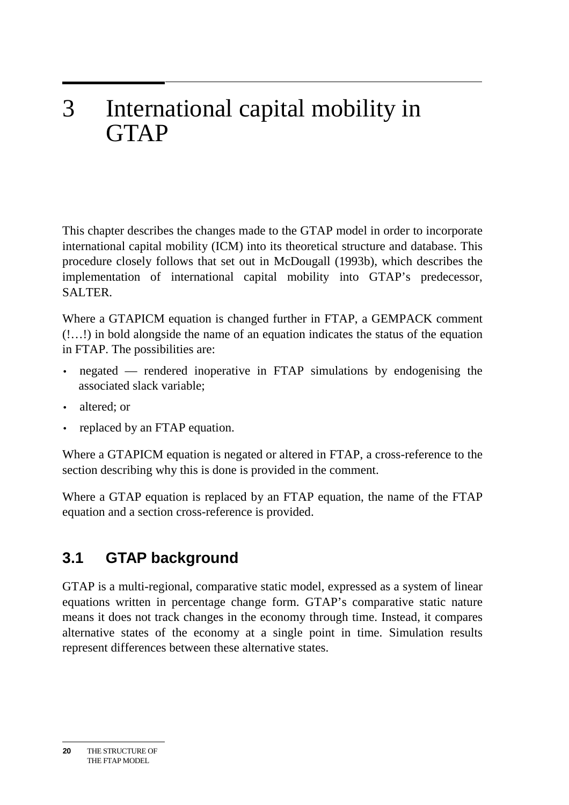# 3 International capital mobility in **GTAP**

This chapter describes the changes made to the GTAP model in order to incorporate international capital mobility (ICM) into its theoretical structure and database. This procedure closely follows that set out in McDougall (1993b), which describes the implementation of international capital mobility into GTAP's predecessor, SALTER.

Where a GTAPICM equation is changed further in FTAP, a GEMPACK comment (!…!) in bold alongside the name of an equation indicates the status of the equation in FTAP. The possibilities are:

- negated rendered inoperative in FTAP simulations by endogenising the associated slack variable;
- altered: or
- replaced by an FTAP equation.

Where a GTAPICM equation is negated or altered in FTAP, a cross-reference to the section describing why this is done is provided in the comment.

Where a GTAP equation is replaced by an FTAP equation, the name of the FTAP equation and a section cross-reference is provided.

## **3.1 GTAP background**

GTAP is a multi-regional, comparative static model, expressed as a system of linear equations written in percentage change form. GTAP's comparative static nature means it does not track changes in the economy through time. Instead, it compares alternative states of the economy at a single point in time. Simulation results represent differences between these alternative states.

**<sup>20</sup>** THE STRUCTURE OF THE FTAP MODEL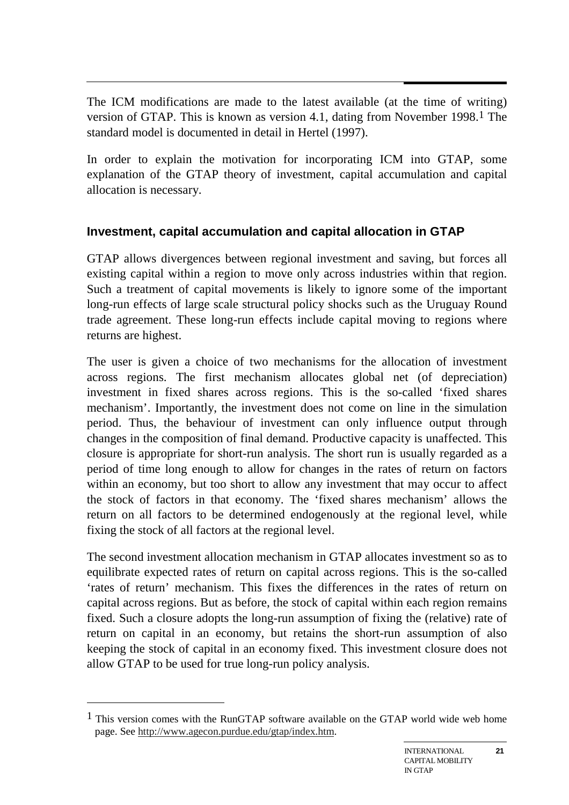The ICM modifications are made to the latest available (at the time of writing) version of GTAP. This is known as version 4.1, dating from November 1998.1 The standard model is documented in detail in Hertel (1997).

In order to explain the motivation for incorporating ICM into GTAP, some explanation of the GTAP theory of investment, capital accumulation and capital allocation is necessary.

### **Investment, capital accumulation and capital allocation in GTAP**

GTAP allows divergences between regional investment and saving, but forces all existing capital within a region to move only across industries within that region. Such a treatment of capital movements is likely to ignore some of the important long-run effects of large scale structural policy shocks such as the Uruguay Round trade agreement. These long-run effects include capital moving to regions where returns are highest.

The user is given a choice of two mechanisms for the allocation of investment across regions. The first mechanism allocates global net (of depreciation) investment in fixed shares across regions. This is the so-called 'fixed shares mechanism'. Importantly, the investment does not come on line in the simulation period. Thus, the behaviour of investment can only influence output through changes in the composition of final demand. Productive capacity is unaffected. This closure is appropriate for short-run analysis. The short run is usually regarded as a period of time long enough to allow for changes in the rates of return on factors within an economy, but too short to allow any investment that may occur to affect the stock of factors in that economy. The 'fixed shares mechanism' allows the return on all factors to be determined endogenously at the regional level, while fixing the stock of all factors at the regional level.

The second investment allocation mechanism in GTAP allocates investment so as to equilibrate expected rates of return on capital across regions. This is the so-called 'rates of return' mechanism. This fixes the differences in the rates of return on capital across regions. But as before, the stock of capital within each region remains fixed. Such a closure adopts the long-run assumption of fixing the (relative) rate of return on capital in an economy, but retains the short-run assumption of also keeping the stock of capital in an economy fixed. This investment closure does not allow GTAP to be used for true long-run policy analysis.

 $\overline{a}$ 

 $<sup>1</sup>$  This version comes with the RunGTAP software available on the GTAP world wide web home</sup> page. See http://www.agecon.purdue.edu/gtap/index.htm.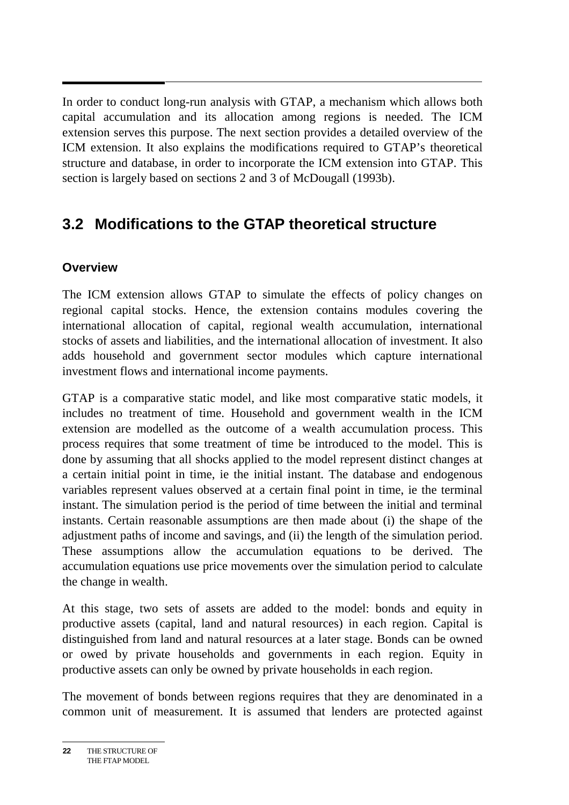In order to conduct long-run analysis with GTAP, a mechanism which allows both capital accumulation and its allocation among regions is needed. The ICM extension serves this purpose. The next section provides a detailed overview of the ICM extension. It also explains the modifications required to GTAP's theoretical structure and database, in order to incorporate the ICM extension into GTAP. This section is largely based on sections 2 and 3 of McDougall (1993b).

## **3.2 Modifications to the GTAP theoretical structure**

### **Overview**

The ICM extension allows GTAP to simulate the effects of policy changes on regional capital stocks. Hence, the extension contains modules covering the international allocation of capital, regional wealth accumulation, international stocks of assets and liabilities, and the international allocation of investment. It also adds household and government sector modules which capture international investment flows and international income payments.

GTAP is a comparative static model, and like most comparative static models, it includes no treatment of time. Household and government wealth in the ICM extension are modelled as the outcome of a wealth accumulation process. This process requires that some treatment of time be introduced to the model. This is done by assuming that all shocks applied to the model represent distinct changes at a certain initial point in time, ie the initial instant. The database and endogenous variables represent values observed at a certain final point in time, ie the terminal instant. The simulation period is the period of time between the initial and terminal instants. Certain reasonable assumptions are then made about (i) the shape of the adjustment paths of income and savings, and (ii) the length of the simulation period. These assumptions allow the accumulation equations to be derived. The accumulation equations use price movements over the simulation period to calculate the change in wealth.

At this stage, two sets of assets are added to the model: bonds and equity in productive assets (capital, land and natural resources) in each region. Capital is distinguished from land and natural resources at a later stage. Bonds can be owned or owed by private households and governments in each region. Equity in productive assets can only be owned by private households in each region.

The movement of bonds between regions requires that they are denominated in a common unit of measurement. It is assumed that lenders are protected against

**<sup>22</sup>** THE STRUCTURE OF THE FTAP MODEL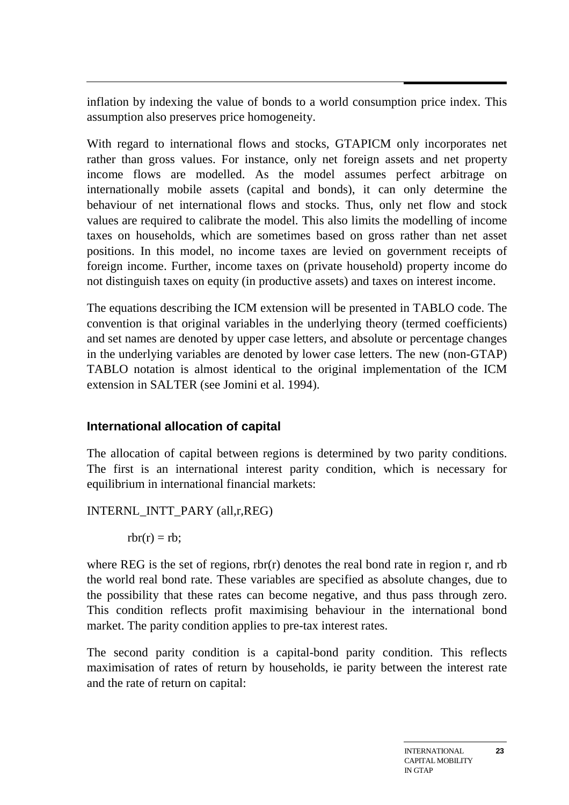inflation by indexing the value of bonds to a world consumption price index. This assumption also preserves price homogeneity.

With regard to international flows and stocks, GTAPICM only incorporates net rather than gross values. For instance, only net foreign assets and net property income flows are modelled. As the model assumes perfect arbitrage on internationally mobile assets (capital and bonds), it can only determine the behaviour of net international flows and stocks. Thus, only net flow and stock values are required to calibrate the model. This also limits the modelling of income taxes on households, which are sometimes based on gross rather than net asset positions. In this model, no income taxes are levied on government receipts of foreign income. Further, income taxes on (private household) property income do not distinguish taxes on equity (in productive assets) and taxes on interest income.

The equations describing the ICM extension will be presented in TABLO code. The convention is that original variables in the underlying theory (termed coefficients) and set names are denoted by upper case letters, and absolute or percentage changes in the underlying variables are denoted by lower case letters. The new (non-GTAP) TABLO notation is almost identical to the original implementation of the ICM extension in SALTER (see Jomini et al. 1994).

### **International allocation of capital**

The allocation of capital between regions is determined by two parity conditions. The first is an international interest parity condition, which is necessary for equilibrium in international financial markets:

INTERNL\_INTT\_PARY (all,r,REG)

 $rbr(r) = rb;$ 

where REG is the set of regions, rbr(r) denotes the real bond rate in region r, and rb the world real bond rate. These variables are specified as absolute changes, due to the possibility that these rates can become negative, and thus pass through zero. This condition reflects profit maximising behaviour in the international bond market. The parity condition applies to pre-tax interest rates.

The second parity condition is a capital-bond parity condition. This reflects maximisation of rates of return by households, ie parity between the interest rate and the rate of return on capital: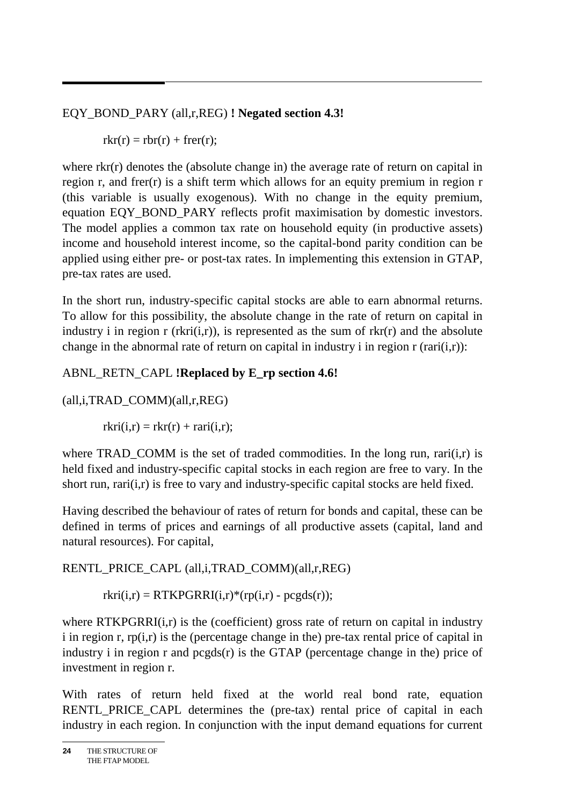### EQY\_BOND\_PARY (all,r,REG) **! Negated section 4.3!**

 $rkr(r) = rbr(r) + frer(r);$ 

where rkr(r) denotes the (absolute change in) the average rate of return on capital in region r, and frer $(r)$  is a shift term which allows for an equity premium in region  $r$ (this variable is usually exogenous). With no change in the equity premium, equation EQY\_BOND\_PARY reflects profit maximisation by domestic investors. The model applies a common tax rate on household equity (in productive assets) income and household interest income, so the capital-bond parity condition can be applied using either pre- or post-tax rates. In implementing this extension in GTAP, pre-tax rates are used.

In the short run, industry-specific capital stocks are able to earn abnormal returns. To allow for this possibility, the absolute change in the rate of return on capital in industry i in region r (rkri(i,r)), is represented as the sum of  $rkr(r)$  and the absolute change in the abnormal rate of return on capital in industry i in region  $r$  (rari(i,r)):

### ABNL\_RETN\_CAPL **!Replaced by E\_rp section 4.6!**

(all,i,TRAD\_COMM)(all,r,REG)

 $r kri(i,r) = r k r(r) + r ari(i,r);$ 

where TRAD COMM is the set of traded commodities. In the long run, rari( $i,r$ ) is held fixed and industry-specific capital stocks in each region are free to vary. In the short run, rari(*i,r*) is free to vary and industry-specific capital stocks are held fixed.

Having described the behaviour of rates of return for bonds and capital, these can be defined in terms of prices and earnings of all productive assets (capital, land and natural resources). For capital,

RENTL\_PRICE\_CAPL (all,i,TRAD\_COMM)(all,r,REG)

 $r kri(i,r) = RTKPGRRI(i,r) * (rp(i,r) - pcgds(r));$ 

where RTKPGRRI(i,r) is the (coefficient) gross rate of return on capital in industry i in region r,  $rp(i,r)$  is the (percentage change in the) pre-tax rental price of capital in industry i in region r and pcgds(r) is the GTAP (percentage change in the) price of investment in region r.

With rates of return held fixed at the world real bond rate, equation RENTL PRICE CAPL determines the (pre-tax) rental price of capital in each industry in each region. In conjunction with the input demand equations for current

**<sup>24</sup>** THE STRUCTURE OF THE FTAP MODEL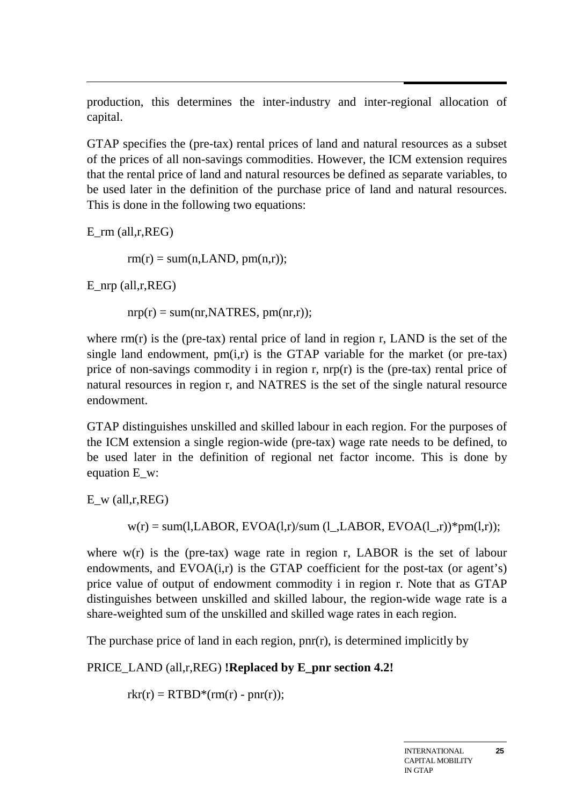production, this determines the inter-industry and inter-regional allocation of capital.

GTAP specifies the (pre-tax) rental prices of land and natural resources as a subset of the prices of all non-savings commodities. However, the ICM extension requires that the rental price of land and natural resources be defined as separate variables, to be used later in the definition of the purchase price of land and natural resources. This is done in the following two equations:

E\_rm (all,r,REG)

 $rm(r) = sum(n, LAND, pm(n,r));$ 

E\_nrp (all,r,REG)

 $nrp(r) = sum(nr, NATRES, pm(nr,r)$ ;

where  $rm(r)$  is the (pre-tax) rental price of land in region r, LAND is the set of the single land endowment,  $pm(i,r)$  is the GTAP variable for the market (or pre-tax) price of non-savings commodity i in region r,  $nrp(r)$  is the (pre-tax) rental price of natural resources in region r, and NATRES is the set of the single natural resource endowment.

GTAP distinguishes unskilled and skilled labour in each region. For the purposes of the ICM extension a single region-wide (pre-tax) wage rate needs to be defined, to be used later in the definition of regional net factor income. This is done by equation E\_w:

 $E$  w (all, r, REG)

```
w(r) = sum(l, LABOR, EVOA(l,r)/sum(l, LABOR, EVOA(l, r)) * pm(l,r));
```
where  $w(r)$  is the (pre-tax) wage rate in region r, LABOR is the set of labour endowments, and  $EVOA(i,r)$  is the GTAP coefficient for the post-tax (or agent's) price value of output of endowment commodity i in region r. Note that as GTAP distinguishes between unskilled and skilled labour, the region-wide wage rate is a share-weighted sum of the unskilled and skilled wage rates in each region.

The purchase price of land in each region,  $\text{pnr}(r)$ , is determined implicitly by

### PRICE\_LAND (all,r,REG) **!Replaced by E\_pnr section 4.2!**

 $rkr(r) = RTBD*(rm(r) - pn(r));$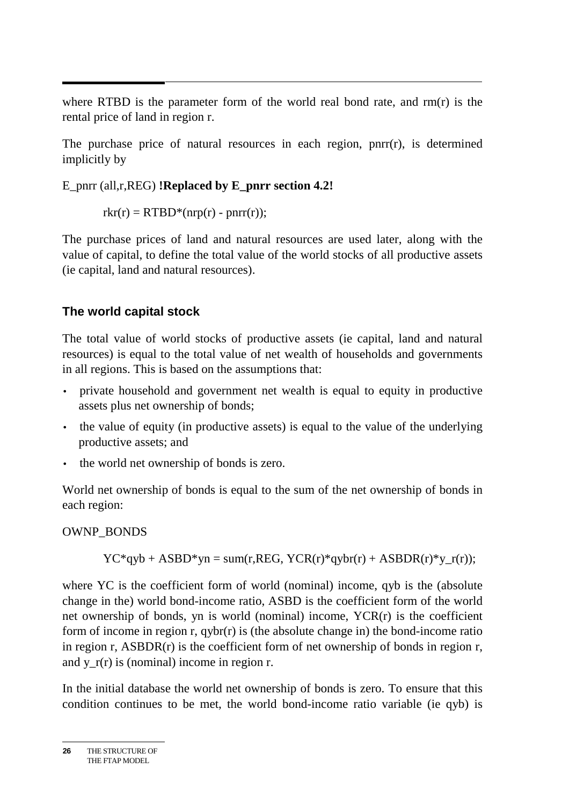where RTBD is the parameter form of the world real bond rate, and rm(r) is the rental price of land in region r.

The purchase price of natural resources in each region,  $pnr(r)$ , is determined implicitly by

E\_pnrr (all,r,REG) **!Replaced by E\_pnrr section 4.2!**

 $rkr(r) = RTBD*(nrp(r) - pnr(r));$ 

The purchase prices of land and natural resources are used later, along with the value of capital, to define the total value of the world stocks of all productive assets (ie capital, land and natural resources).

### **The world capital stock**

The total value of world stocks of productive assets (ie capital, land and natural resources) is equal to the total value of net wealth of households and governments in all regions. This is based on the assumptions that:

- private household and government net wealth is equal to equity in productive assets plus net ownership of bonds;
- the value of equity (in productive assets) is equal to the value of the underlying productive assets; and
- the world net ownership of bonds is zero.

World net ownership of bonds is equal to the sum of the net ownership of bonds in each region:

### OWNP\_BONDS

 $YC*qyb + ASBD*yn = sum(r, REG, YCR(r)*qybr(r) + ASBDR(r)*y_r(r));$ 

where YC is the coefficient form of world (nominal) income, qyb is the (absolute change in the) world bond-income ratio, ASBD is the coefficient form of the world net ownership of bonds, yn is world (nominal) income, YCR(r) is the coefficient form of income in region r, qybr(r) is (the absolute change in) the bond-income ratio in region r, ASBDR(r) is the coefficient form of net ownership of bonds in region r, and  $y_r(r)$  is (nominal) income in region r.

In the initial database the world net ownership of bonds is zero. To ensure that this condition continues to be met, the world bond-income ratio variable (ie qyb) is

**<sup>26</sup>** THE STRUCTURE OF THE FTAP MODEL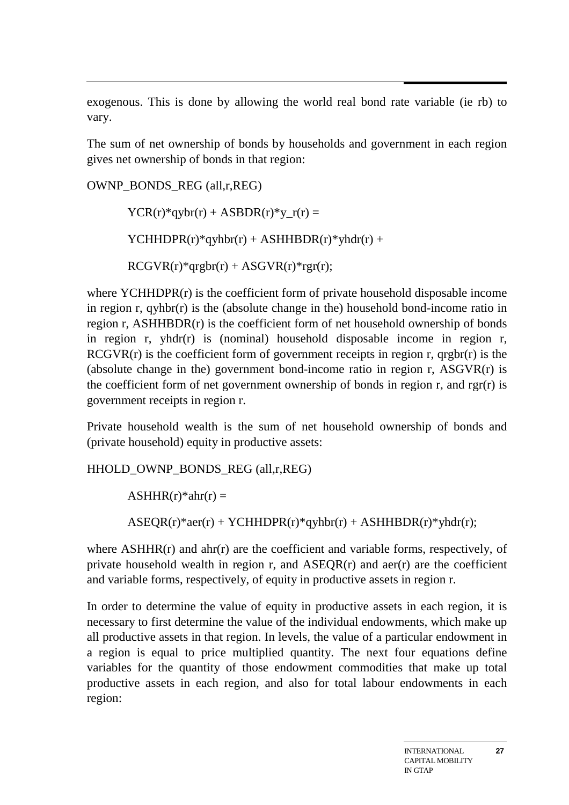exogenous. This is done by allowing the world real bond rate variable (ie rb) to vary.

The sum of net ownership of bonds by households and government in each region gives net ownership of bonds in that region:

OWNP\_BONDS\_REG (all,r,REG)

 $YCR(r)*qybr(r) + ASBDR(r)*y_r(r) =$  $YCHHDPR(r)*qyhbr(r) + ASHHBDR(r)*yhdr(r) +$  $RCGVR(r)*qrgbr(r) + ASGVR(r)*rgr(r);$ 

where YCHHDPR(r) is the coefficient form of private household disposable income in region r, qyhbr(r) is the (absolute change in the) household bond-income ratio in region r, ASHHBDR(r) is the coefficient form of net household ownership of bonds in region r, yhdr(r) is (nominal) household disposable income in region r,  $RCGVR(r)$  is the coefficient form of government receipts in region r,  $qrgbr(r)$  is the (absolute change in the) government bond-income ratio in region r, ASGVR(r) is the coefficient form of net government ownership of bonds in region r, and rgr(r) is government receipts in region r.

Private household wealth is the sum of net household ownership of bonds and (private household) equity in productive assets:

HHOLD\_OWNP\_BONDS\_REG (all,r,REG)

 $ASHHR(r)*ahr(r) =$ 

 $ASEQR(r)*aer(r) + YCHHDPR(r)*qyhbr(r) + ASHHBDR(r)*yhdr(r);$ 

where  $ASHHR(r)$  and ahr(r) are the coefficient and variable forms, respectively, of private household wealth in region r, and  $ASEQR(r)$  and  $aer(r)$  are the coefficient and variable forms, respectively, of equity in productive assets in region r.

In order to determine the value of equity in productive assets in each region, it is necessary to first determine the value of the individual endowments, which make up all productive assets in that region. In levels, the value of a particular endowment in a region is equal to price multiplied quantity. The next four equations define variables for the quantity of those endowment commodities that make up total productive assets in each region, and also for total labour endowments in each region: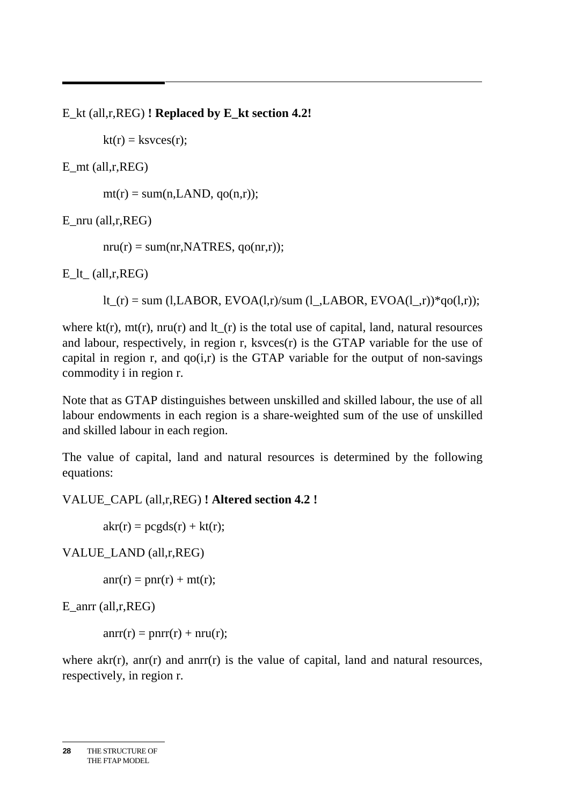E\_kt (all,r,REG) **! Replaced by E\_kt section 4.2!**

 $kt(r) = ksvces(r);$ 

 $E$  mt (all,r,REG)

 $mt(r) = sum(n, LAND, qo(n,r));$ 

 $E$  nru (all,r,REG)

 $nru(r) = sum(nr, NATRES, qo(nr,r);$ 

 $E_l_t$  (all, r, REG)

 $lt(r) = sum (l, LABOR, EVOA(l,r)/sum (l_{r}LABOR, EVOA(l_{r})))*q0(l,r);$ 

where kt(r),  $mt(r)$ ,  $nt(r)$  and lt (r) is the total use of capital, land, natural resources and labour, respectively, in region r, ksvces(r) is the GTAP variable for the use of capital in region r, and  $qo(i,r)$  is the GTAP variable for the output of non-savings commodity i in region r.

Note that as GTAP distinguishes between unskilled and skilled labour, the use of all labour endowments in each region is a share-weighted sum of the use of unskilled and skilled labour in each region.

The value of capital, land and natural resources is determined by the following equations:

VALUE\_CAPL (all,r,REG) **! Altered section 4.2 !**

 $akr(r) = pcgds(r) + kt(r);$ 

VALUE\_LAND (all,r,REG)

 $anr(r) = pnr(r) + mt(r);$ 

E\_anrr (all,r,REG)

 $anrr(r) = pnrr(r) + nru(r);$ 

where  $akr(r)$ ,  $anr(r)$  and  $anr(r)$  is the value of capital, land and natural resources, respectively, in region r.

**<sup>28</sup>** THE STRUCTURE OF THE FTAP MODEL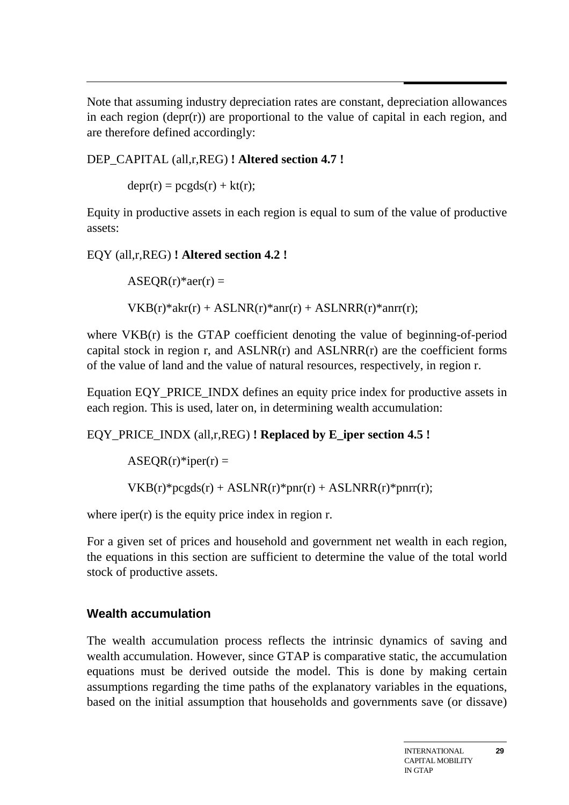Note that assuming industry depreciation rates are constant, depreciation allowances in each region (depr(r)) are proportional to the value of capital in each region, and are therefore defined accordingly:

DEP\_CAPITAL (all,r,REG) **! Altered section 4.7 !**

 $depr(r) = pegds(r) + kt(r);$ 

Equity in productive assets in each region is equal to sum of the value of productive assets:

EQY (all,r,REG) **! Altered section 4.2 !**

 $ASEOR(r)*aer(r) =$ 

 $VKB(r)*akr(r) + ASLNR(r)*anr(r) + ASLNRR(r)*anr(r);$ 

where VKB(r) is the GTAP coefficient denoting the value of beginning-of-period capital stock in region r, and  $ASINR(r)$  and  $ASINRR(r)$  are the coefficient forms of the value of land and the value of natural resources, respectively, in region r.

Equation EQY\_PRICE\_INDX defines an equity price index for productive assets in each region. This is used, later on, in determining wealth accumulation:

EQY\_PRICE\_INDX (all,r,REG) **! Replaced by E\_iper section 4.5 !** 

 $ASEQR(r)*iper(r) =$ 

 $VKB(r)*pcgds(r) + ASLNR(r)*pnr(r) + ASLNRR(r)*pnrr(r);$ 

where  $\text{iper}(r)$  is the equity price index in region r.

For a given set of prices and household and government net wealth in each region, the equations in this section are sufficient to determine the value of the total world stock of productive assets.

### **Wealth accumulation**

The wealth accumulation process reflects the intrinsic dynamics of saving and wealth accumulation. However, since GTAP is comparative static, the accumulation equations must be derived outside the model. This is done by making certain assumptions regarding the time paths of the explanatory variables in the equations, based on the initial assumption that households and governments save (or dissave)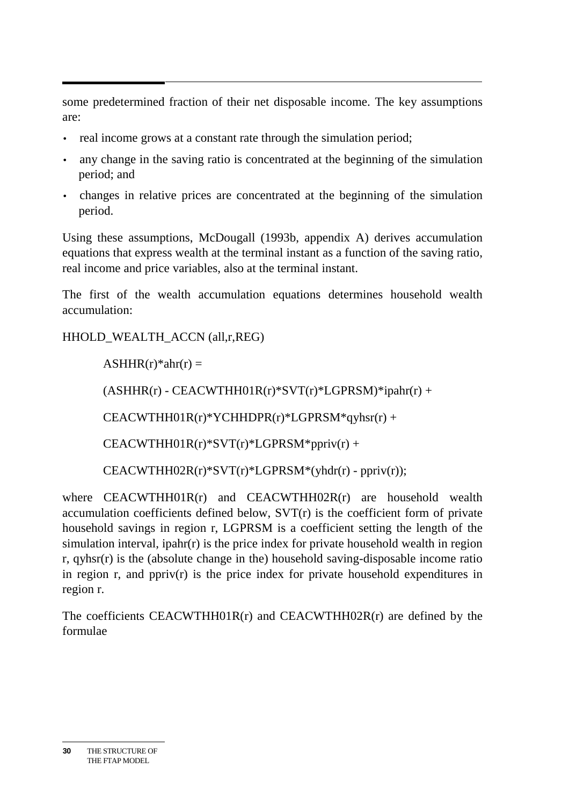some predetermined fraction of their net disposable income. The key assumptions are:

- real income grows at a constant rate through the simulation period;
- any change in the saving ratio is concentrated at the beginning of the simulation period; and
- changes in relative prices are concentrated at the beginning of the simulation period.

Using these assumptions, McDougall (1993b, appendix A) derives accumulation equations that express wealth at the terminal instant as a function of the saving ratio, real income and price variables, also at the terminal instant.

The first of the wealth accumulation equations determines household wealth accumulation:

HHOLD\_WEALTH\_ACCN (all,r,REG)

 $ASHHR(r)*ahr(r) =$ 

 $(ASHHR(r) - CEACWTHH01R(r)*SVT(r)*LGPRSM)*ipahr(r) +$ 

CEACWTHH01R(r)\*YCHHDPR(r)\*LGPRSM\*qyhsr(r) +

 $CEACWTHH01R(r)*SVT(r)*LGPRSM*ppriv(r) +$ 

 $CEACWTHH02R(r)*SVT(r)*LGPRSM*(yhdr(r) - ppriv(r));$ 

where CEACWTHH01R(r) and CEACWTHH02R(r) are household wealth accumulation coefficients defined below, SVT(r) is the coefficient form of private household savings in region r, LGPRSM is a coefficient setting the length of the simulation interval, ipahr $(r)$  is the price index for private household wealth in region r, qyhsr(r) is the (absolute change in the) household saving-disposable income ratio in region r, and  $ppriv(r)$  is the price index for private household expenditures in region r.

The coefficients CEACWTHH01R(r) and CEACWTHH02R(r) are defined by the formulae

**<sup>30</sup>** THE STRUCTURE OF THE FTAP MODEL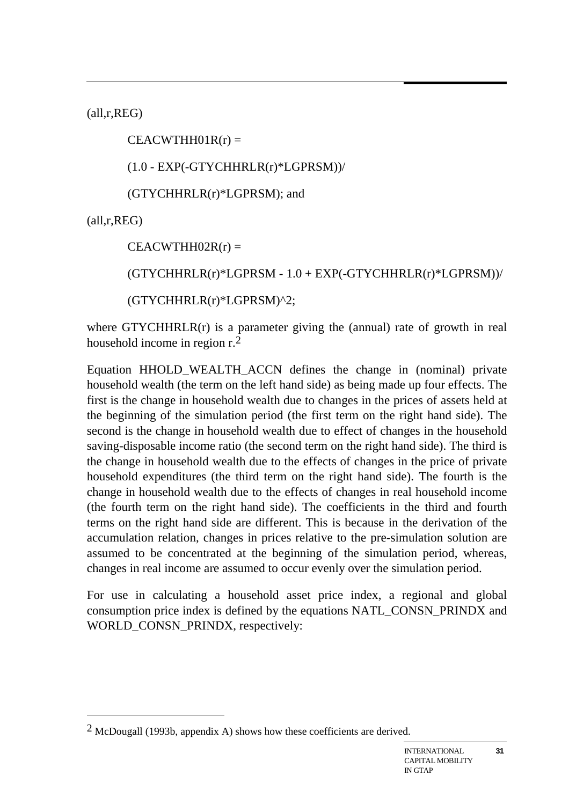(all,r,REG)

 $CEACWTHH01R(r) =$ 

(1.0 - EXP(-GTYCHHRLR(r)\*LGPRSM))/

(GTYCHHRLR(r)\*LGPRSM); and

(all,r,REG)

 $\overline{a}$ 

 $CEACWTHH02R(r) =$ 

 $(GTYCHHRLR(r)*LGPRSM - 1.0 + EXP(-GTYCHHRLR(r)*LGPRSM))/$ 

(GTYCHHRLR(r)\*LGPRSM)^2;

where GTYCHHRLR(r) is a parameter giving the (annual) rate of growth in real household income in region r.2

Equation HHOLD\_WEALTH\_ACCN defines the change in (nominal) private household wealth (the term on the left hand side) as being made up four effects. The first is the change in household wealth due to changes in the prices of assets held at the beginning of the simulation period (the first term on the right hand side). The second is the change in household wealth due to effect of changes in the household saving-disposable income ratio (the second term on the right hand side). The third is the change in household wealth due to the effects of changes in the price of private household expenditures (the third term on the right hand side). The fourth is the change in household wealth due to the effects of changes in real household income (the fourth term on the right hand side). The coefficients in the third and fourth terms on the right hand side are different. This is because in the derivation of the accumulation relation, changes in prices relative to the pre-simulation solution are assumed to be concentrated at the beginning of the simulation period, whereas, changes in real income are assumed to occur evenly over the simulation period.

For use in calculating a household asset price index, a regional and global consumption price index is defined by the equations NATL\_CONSN\_PRINDX and WORLD\_CONSN\_PRINDX, respectively:

<sup>2</sup> McDougall (1993b, appendix A) shows how these coefficients are derived.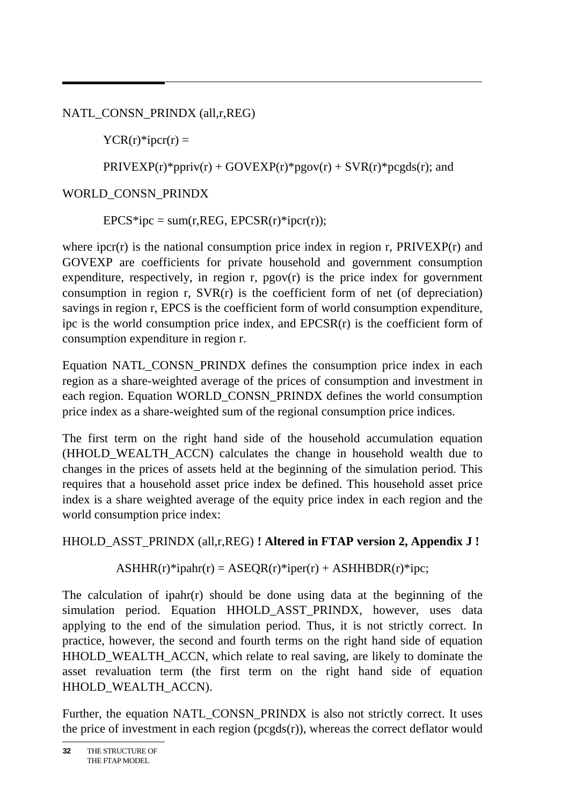NATL\_CONSN\_PRINDX (all,r,REG)

 $YCR(r)*ipcr(r) =$ 

 $PRIVEXP(r)*ppriv(r) + GOVEXP(r)*pgov(r) + SVR(r)*pcgds(r);$  and

WORLD\_CONSN\_PRINDX

 $EPCS*ipc = sum(r, REG, EPCSR(r)*ipcr(r));$ 

where ipcr(r) is the national consumption price index in region r, PRIVEXP(r) and GOVEXP are coefficients for private household and government consumption expenditure, respectively, in region r,  $pgov(r)$  is the price index for government consumption in region r, SVR(r) is the coefficient form of net (of depreciation) savings in region r, EPCS is the coefficient form of world consumption expenditure, ipc is the world consumption price index, and EPCSR(r) is the coefficient form of consumption expenditure in region r.

Equation NATL\_CONSN\_PRINDX defines the consumption price index in each region as a share-weighted average of the prices of consumption and investment in each region. Equation WORLD\_CONSN\_PRINDX defines the world consumption price index as a share-weighted sum of the regional consumption price indices.

The first term on the right hand side of the household accumulation equation (HHOLD\_WEALTH\_ACCN) calculates the change in household wealth due to changes in the prices of assets held at the beginning of the simulation period. This requires that a household asset price index be defined. This household asset price index is a share weighted average of the equity price index in each region and the world consumption price index:

#### HHOLD\_ASST\_PRINDX (all,r,REG) **! Altered in FTAP version 2, Appendix J !**

#### $ASHHR(r)*ipahr(r) = ASEQR(r)*iper(r) + ASHHBDR(r)*ipc;$

The calculation of ipahr(r) should be done using data at the beginning of the simulation period. Equation HHOLD\_ASST\_PRINDX, however, uses data applying to the end of the simulation period. Thus, it is not strictly correct. In practice, however, the second and fourth terms on the right hand side of equation HHOLD WEALTH ACCN, which relate to real saving, are likely to dominate the asset revaluation term (the first term on the right hand side of equation HHOLD\_WEALTH\_ACCN).

Further, the equation NATL\_CONSN\_PRINDX is also not strictly correct. It uses the price of investment in each region (pcgds(r)), whereas the correct deflator would

**<sup>32</sup>** THE STRUCTURE OF THE FTAP MODEL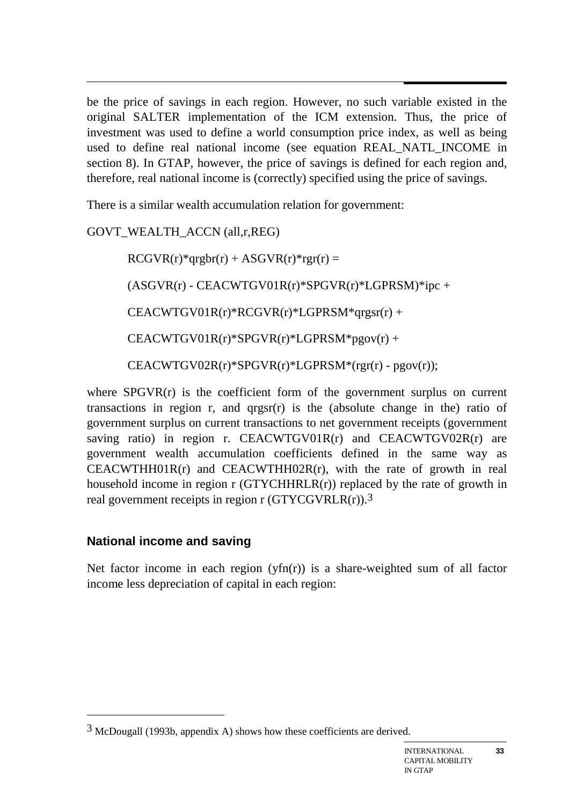be the price of savings in each region. However, no such variable existed in the original SALTER implementation of the ICM extension. Thus, the price of investment was used to define a world consumption price index, as well as being used to define real national income (see equation REAL\_NATL\_INCOME in section 8). In GTAP, however, the price of savings is defined for each region and, therefore, real national income is (correctly) specified using the price of savings.

There is a similar wealth accumulation relation for government:

GOVT\_WEALTH\_ACCN (all,r,REG)

 $RCGVR(r)*qrgbr(r) + ASGVR(r)*rgr(r) =$  $(ASGVR(r) - CEACWTGVO1R(r)*SPGVR(r)*LGPRSM)*ipc +$ CEACWTGV01R(r)\*RCGVR(r)\*LGPRSM\*qrgsr(r) +  $CEACWTGV01R(r)*SPGVR(r)*LGPRSM*pgov(r) +$ CEACWTGV02R(r)\*SPGVR(r)\*LGPRSM\*(rgr(r) - pgov(r));

where SPGVR(r) is the coefficient form of the government surplus on current transactions in region r, and  $qrgsr(r)$  is the (absolute change in the) ratio of government surplus on current transactions to net government receipts (government saving ratio) in region r. CEACWTGV01R(r) and CEACWTGV02R(r) are government wealth accumulation coefficients defined in the same way as CEACWTHH01R(r) and CEACWTHH02R(r), with the rate of growth in real household income in region  $r$  (GTYCHHRLR $(r)$ ) replaced by the rate of growth in real government receipts in region  $r$  (GTYCGVRLR(r)).<sup>3</sup>

#### **National income and saving**

 $\overline{a}$ 

Net factor income in each region  $(yfn(r))$  is a share-weighted sum of all factor income less depreciation of capital in each region:

<sup>3</sup> McDougall (1993b, appendix A) shows how these coefficients are derived.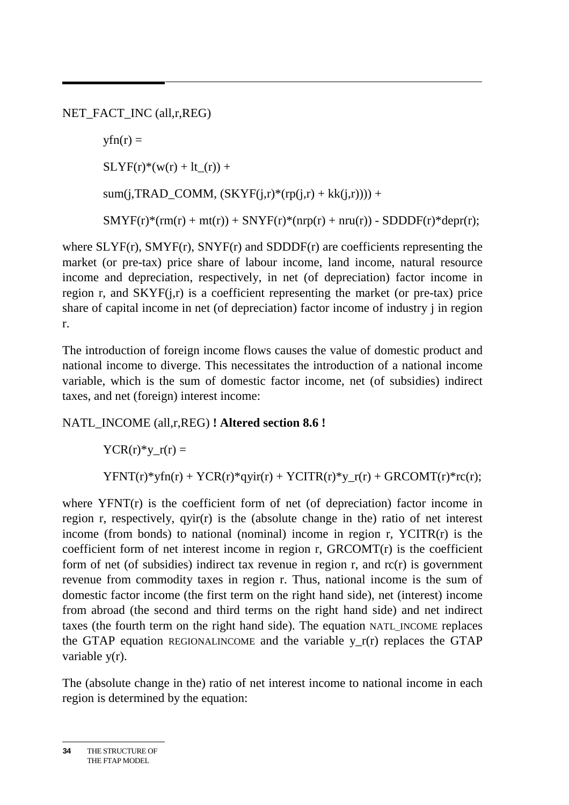NET\_FACT\_INC (all,r,REG)

 $yfn(r) =$  $SLYF(r)*(w(r) + lt(r)) +$  $sum(i,TRAD\_COMM, (SKYF(i,r)*(rp(i,r) + kk(i,r)))) +$  $SMYF(r)*(rm(r) + mt(r)) + SNYF(r)*(nrp(r) + nru(r)) - SDDDF(r)*depr(r);$ 

where SLYF(r), SMYF(r), SNYF(r) and SDDDF(r) are coefficients representing the market (or pre-tax) price share of labour income, land income, natural resource income and depreciation, respectively, in net (of depreciation) factor income in region r, and SKYF(j,r) is a coefficient representing the market (or pre-tax) price share of capital income in net (of depreciation) factor income of industry j in region r.

The introduction of foreign income flows causes the value of domestic product and national income to diverge. This necessitates the introduction of a national income variable, which is the sum of domestic factor income, net (of subsidies) indirect taxes, and net (foreign) interest income:

#### NATL\_INCOME (all,r,REG) **! Altered section 8.6 !**

 $YCR(r)*y r(r) =$  $YFNT(r)*yfn(r) + YCR(r)*qyir(r) + YCITR(r)*y_r(r) + GRCOMT(r)*rc(r);$ 

where YFNT(r) is the coefficient form of net (of depreciation) factor income in region r, respectively, qyir(r) is the (absolute change in the) ratio of net interest income (from bonds) to national (nominal) income in region r, YCITR(r) is the coefficient form of net interest income in region r, GRCOMT(r) is the coefficient form of net (of subsidies) indirect tax revenue in region r, and  $rc(r)$  is government revenue from commodity taxes in region r. Thus, national income is the sum of domestic factor income (the first term on the right hand side), net (interest) income from abroad (the second and third terms on the right hand side) and net indirect taxes (the fourth term on the right hand side). The equation NATL\_INCOME replaces the GTAP equation REGIONALINCOME and the variable  $y_r(r)$  replaces the GTAP variable y(r).

The (absolute change in the) ratio of net interest income to national income in each region is determined by the equation:

**<sup>34</sup>** THE STRUCTURE OF THE FTAP MODEL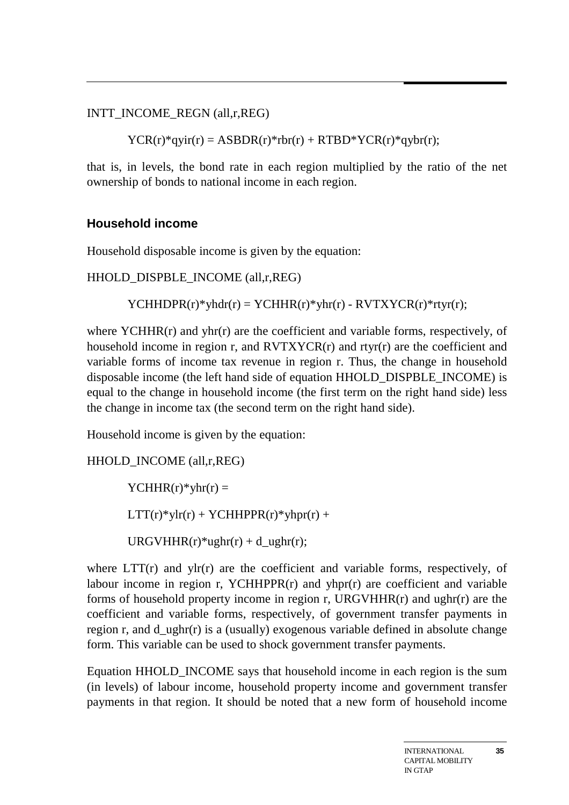INTT\_INCOME\_REGN (all,r,REG)

 $YCR(r)*qvir(r) = ASBDR(r)*rbr(r) + RTBD*YCR(r)*qvbr(r);$ 

that is, in levels, the bond rate in each region multiplied by the ratio of the net ownership of bonds to national income in each region.

#### **Household income**

Household disposable income is given by the equation:

```
HHOLD_DISPBLE_INCOME (all,r,REG)
```

```
YCHHDPR(r)*yhdr(r) = YCHHR(r)*yhr(r) - RVTXYCR(r)*rtyr(r);
```
where YCHHR(r) and yhr(r) are the coefficient and variable forms, respectively, of household income in region r, and RVTXYCR(r) and rtyr(r) are the coefficient and variable forms of income tax revenue in region r. Thus, the change in household disposable income (the left hand side of equation HHOLD\_DISPBLE\_INCOME) is equal to the change in household income (the first term on the right hand side) less the change in income tax (the second term on the right hand side).

Household income is given by the equation:

HHOLD\_INCOME (all,r,REG)

 $YCHHR(r)*yhr(r) =$  $LTT(r)*ylr(r) + YCHHPPR(r)*yhpr(r) +$  $URGVHHR(r)*ughr(r) + d_\text{ughr}(r);$ 

where  $LTT(r)$  and  $ylr(r)$  are the coefficient and variable forms, respectively, of labour income in region r, YCHHPPR(r) and yhpr(r) are coefficient and variable forms of household property income in region r, URGVHHR(r) and ughr(r) are the coefficient and variable forms, respectively, of government transfer payments in region r, and d\_ughr(r) is a (usually) exogenous variable defined in absolute change form. This variable can be used to shock government transfer payments.

Equation HHOLD\_INCOME says that household income in each region is the sum (in levels) of labour income, household property income and government transfer payments in that region. It should be noted that a new form of household income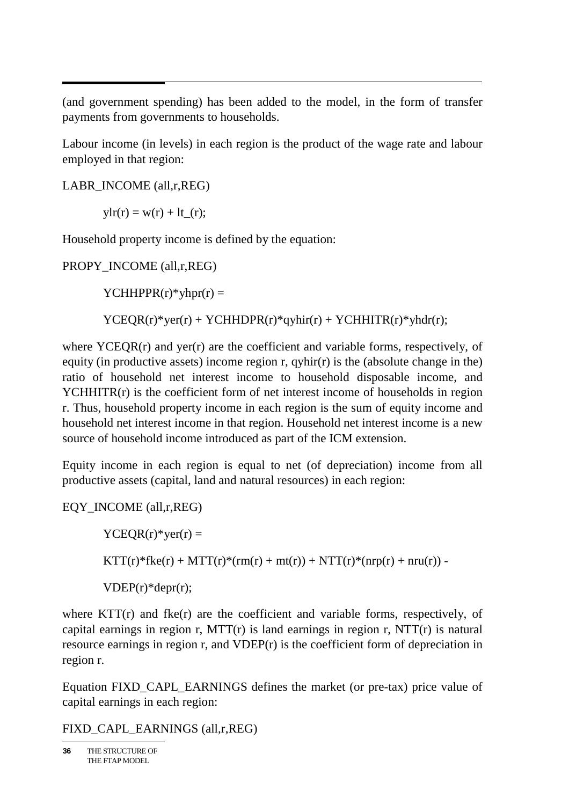(and government spending) has been added to the model, in the form of transfer payments from governments to households.

Labour income (in levels) in each region is the product of the wage rate and labour employed in that region:

LABR\_INCOME (all,r,REG)

 $ylr(r) = w(r) + lt(r);$ 

Household property income is defined by the equation:

PROPY\_INCOME (all,r,REG)

 $YCHHPPR(r)*vhpr(r) =$ 

 $YCEQR(r)*ver(r) + YCHHDPR(r)*qyhir(r) + YCHHITR(r)*yhat(r);$ 

where  $YCEQR(r)$  and yer(r) are the coefficient and variable forms, respectively, of equity (in productive assets) income region r, qyhir(r) is the (absolute change in the) ratio of household net interest income to household disposable income, and YCHHITR(r) is the coefficient form of net interest income of households in region r. Thus, household property income in each region is the sum of equity income and household net interest income in that region. Household net interest income is a new source of household income introduced as part of the ICM extension.

Equity income in each region is equal to net (of depreciation) income from all productive assets (capital, land and natural resources) in each region:

EQY\_INCOME (all,r,REG)

 $YCEQR(r)*ver(r) =$  $KTT(r)*fke(r) + MTT(r)*(rm(r) + mt(r)) + NTT(r)*(nrp(r) + nru(r)) VDEP(r)*depr(r);$ 

where KTT(r) and fke(r) are the coefficient and variable forms, respectively, of capital earnings in region r, MTT(r) is land earnings in region r, NTT(r) is natural resource earnings in region r, and VDEP(r) is the coefficient form of depreciation in region r.

Equation FIXD\_CAPL\_EARNINGS defines the market (or pre-tax) price value of capital earnings in each region:

FIXD\_CAPL\_EARNINGS (all,r,REG)

**<sup>36</sup>** THE STRUCTURE OF THE FTAP MODEL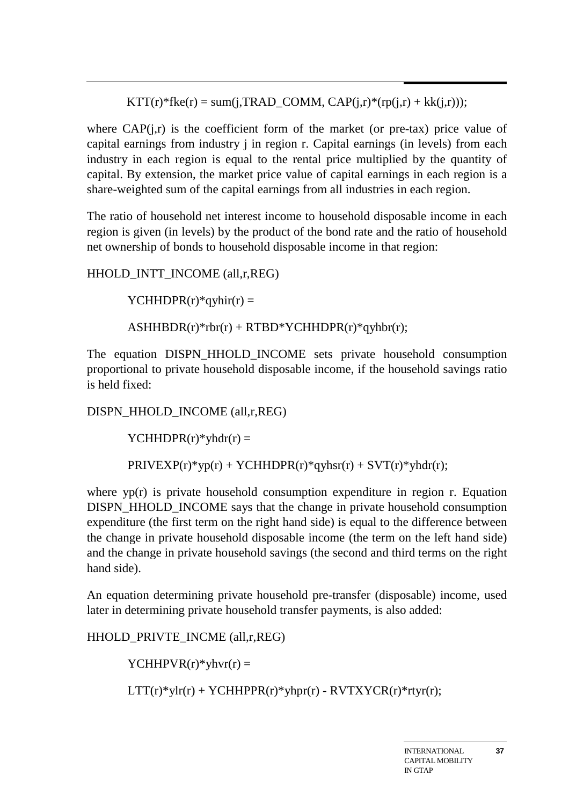$KTT(r)*fke(r) = sum(j, TRAD\_COMM, CAP(j,r)*(rp(j,r) + kk(j,r));$ 

where  $CAP(j,r)$  is the coefficient form of the market (or pre-tax) price value of capital earnings from industry j in region r. Capital earnings (in levels) from each industry in each region is equal to the rental price multiplied by the quantity of capital. By extension, the market price value of capital earnings in each region is a share-weighted sum of the capital earnings from all industries in each region.

The ratio of household net interest income to household disposable income in each region is given (in levels) by the product of the bond rate and the ratio of household net ownership of bonds to household disposable income in that region:

HHOLD\_INTT\_INCOME (all,r,REG)

 $YCHHDPR(r)$ <sup>\*</sup>qyhir(r) =

ASHHBDR(r)\*rbr(r) + RTBD\*YCHHDPR(r)\*qyhbr(r);

The equation DISPN\_HHOLD\_INCOME sets private household consumption proportional to private household disposable income, if the household savings ratio is held fixed:

DISPN\_HHOLD\_INCOME (all,r,REG)

 $YCHHDPR(r)*yhdr(r) =$ 

 $PRIVEXP(r)*yp(r) + YCHHDPR(r)*qvhsr(r) + SVT(r)*vhdr(r);$ 

where yp(r) is private household consumption expenditure in region r. Equation DISPN\_HHOLD\_INCOME says that the change in private household consumption expenditure (the first term on the right hand side) is equal to the difference between the change in private household disposable income (the term on the left hand side) and the change in private household savings (the second and third terms on the right hand side).

An equation determining private household pre-transfer (disposable) income, used later in determining private household transfer payments, is also added:

HHOLD\_PRIVTE\_INCME (all,r,REG)

 $YCHHPVR(r)*yhvr(r) =$ 

 $LTT(r)*ylr(r) + YCHHPPR(r)*yhpr(r) - RVTXYCR(r)*rtyr(r);$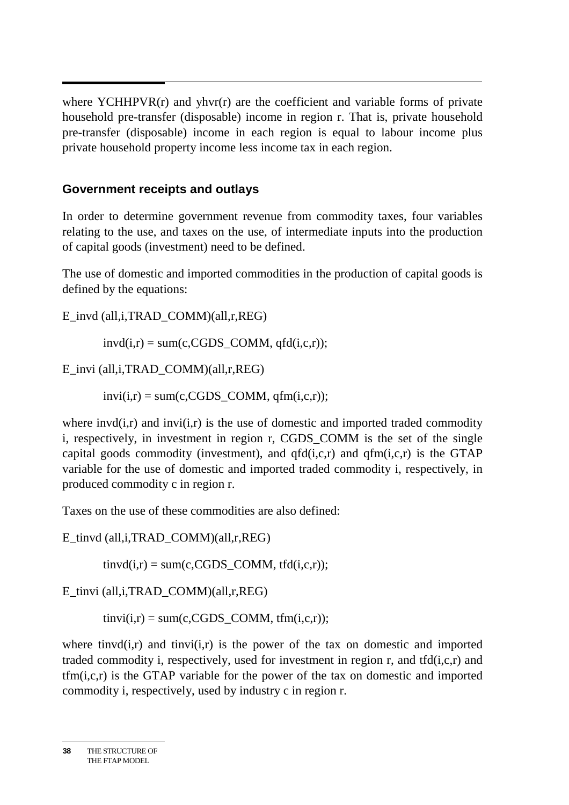where  $YCHHPVR(r)$  and  $yhvr(r)$  are the coefficient and variable forms of private household pre-transfer (disposable) income in region r. That is, private household pre-transfer (disposable) income in each region is equal to labour income plus private household property income less income tax in each region.

#### **Government receipts and outlays**

In order to determine government revenue from commodity taxes, four variables relating to the use, and taxes on the use, of intermediate inputs into the production of capital goods (investment) need to be defined.

The use of domestic and imported commodities in the production of capital goods is defined by the equations:

E\_invd (all,i,TRAD\_COMM)(all,r,REG)

 $invd(i,r) = sum(c, CGDS\_COMM, qfd(i,c,r));$ 

E\_invi (all,i,TRAD\_COMM)(all,r,REG)

 $inv(i,r) = sum(c, CGDS$  COMM,  $qfm(i,c,r)$ ;

where invd $(i,r)$  and invi $(i,r)$  is the use of domestic and imported traded commodity i, respectively, in investment in region r, CGDS\_COMM is the set of the single capital goods commodity (investment), and  $qfd(i,c,r)$  and  $qfm(i,c,r)$  is the GTAP variable for the use of domestic and imported traded commodity i, respectively, in produced commodity c in region r.

Taxes on the use of these commodities are also defined:

E\_tinvd (all,i,TRAD\_COMM)(all,r,REG)

 $tinvd(i,r) = sum(c, CGDS\_COMM, tfd(i,c,r));$ 

E\_tinvi (all,i,TRAD\_COMM)(all,r,REG)

 $tinv(i,r) = sum(c, CGDS\_COMM, tfm(i,c,r));$ 

where tinvd $(i,r)$  and tinvi $(i,r)$  is the power of the tax on domestic and imported traded commodity i, respectively, used for investment in region r, and  $tfd(i,c,r)$  and tfm(i,c,r) is the GTAP variable for the power of the tax on domestic and imported commodity i, respectively, used by industry c in region r.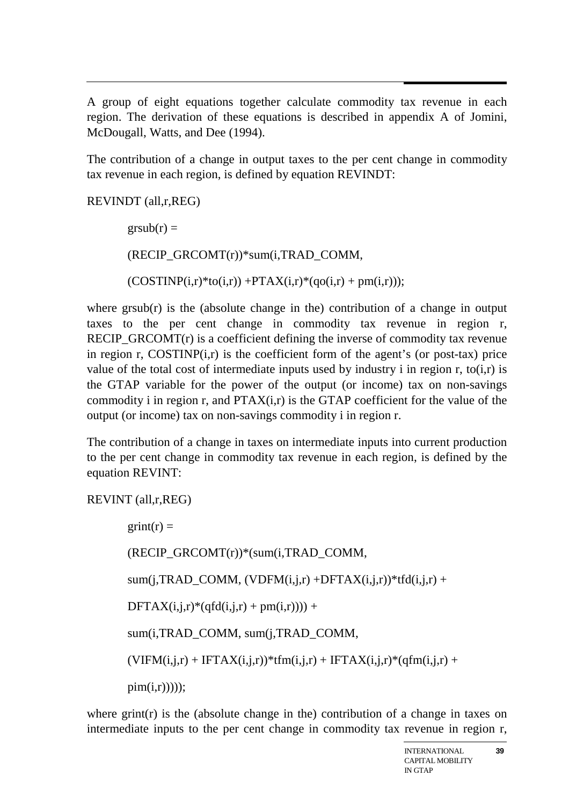A group of eight equations together calculate commodity tax revenue in each region. The derivation of these equations is described in appendix A of Jomini, McDougall, Watts, and Dee (1994).

The contribution of a change in output taxes to the per cent change in commodity tax revenue in each region, is defined by equation REVINDT:

REVINDT (all,r,REG)

 $grsub(r) =$ (RECIP\_GRCOMT(r))\*sum(i,TRAD\_COMM,  $(COSTINP(i,r)*to(i,r)) + PTAX(i,r)*(qo(i,r) + pm(i,r));$ 

where grsub(r) is the (absolute change in the) contribution of a change in output taxes to the per cent change in commodity tax revenue in region r, RECIP GRCOMT $(r)$  is a coefficient defining the inverse of commodity tax revenue in region r, COSTINP(i,r) is the coefficient form of the agent's (or post-tax) price value of the total cost of intermediate inputs used by industry i in region r, to $(i,r)$  is the GTAP variable for the power of the output (or income) tax on non-savings commodity i in region r, and  $PTAX(i,r)$  is the GTAP coefficient for the value of the output (or income) tax on non-savings commodity i in region r.

The contribution of a change in taxes on intermediate inputs into current production to the per cent change in commodity tax revenue in each region, is defined by the equation REVINT:

REVINT (all,r,REG)

 $grint(r) =$ (RECIP\_GRCOMT(r))\*(sum(i,TRAD\_COMM, sum(j,TRAD\_COMM, (VDFM(i,j,r) +DFTAX(i,j,r))\*tfd(i,j,r) +  $DFTAX(i,j,r)*(qfd(i,j,r) + pm(i,r)))$  + sum(i,TRAD\_COMM, sum(j,TRAD\_COMM,  $(VIFM(i,j,r) + IFTAX(i,j,r))$ \*tfm $(i,j,r) + IFTAX(i,j,r)$ \*(qfm $(i,j,r) +$  $pim(i,r))))$ ;

where  $grint(r)$  is the (absolute change in the) contribution of a change in taxes on intermediate inputs to the per cent change in commodity tax revenue in region r,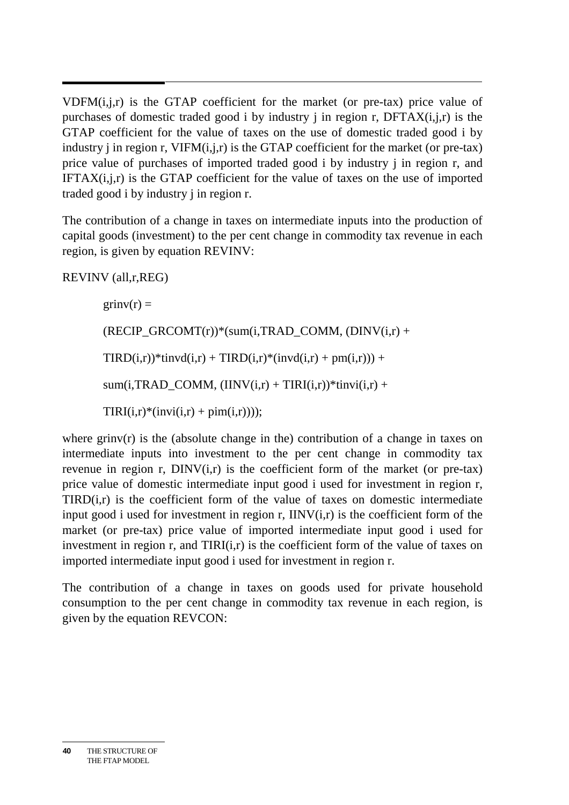VDFM $(i,j,r)$  is the GTAP coefficient for the market (or pre-tax) price value of purchases of domestic traded good i by industry j in region r,  $DFTAX(i,j,r)$  is the GTAP coefficient for the value of taxes on the use of domestic traded good i by industry j in region r,  $VIFM(i,j,r)$  is the GTAP coefficient for the market (or pre-tax) price value of purchases of imported traded good i by industry j in region r, and  $IFTAX(i,j,r)$  is the GTAP coefficient for the value of taxes on the use of imported traded good i by industry j in region r.

The contribution of a change in taxes on intermediate inputs into the production of capital goods (investment) to the per cent change in commodity tax revenue in each region, is given by equation REVINV:

REVINV (all,r,REG)

 $grinv(r) =$  $(RECIP_GRCOMMT(r))*(sum(i,TRAD_COMM, (DINV(i,r) +$  $TIRD(i,r)*tinvd(i,r) + TIRD(i,r)*(invd(i,r) + pm(i,r))) +$ sum(i,TRAD\_COMM,  $(IINV(i,r) + TIRI(i,r))$ \*tinvi(i,r) +  $TIRI(i,r)*(invi(i,r) + pim(i,r))))$ ;

where  $\text{griuv}(r)$  is the (absolute change in the) contribution of a change in taxes on intermediate inputs into investment to the per cent change in commodity tax revenue in region r,  $DINV(i,r)$  is the coefficient form of the market (or pre-tax) price value of domestic intermediate input good i used for investment in region r, TIRD(i,r) is the coefficient form of the value of taxes on domestic intermediate input good i used for investment in region r,  $\text{IINV}(i,r)$  is the coefficient form of the market (or pre-tax) price value of imported intermediate input good i used for investment in region r, and TIRI(i,r) is the coefficient form of the value of taxes on imported intermediate input good i used for investment in region r.

The contribution of a change in taxes on goods used for private household consumption to the per cent change in commodity tax revenue in each region, is given by the equation REVCON: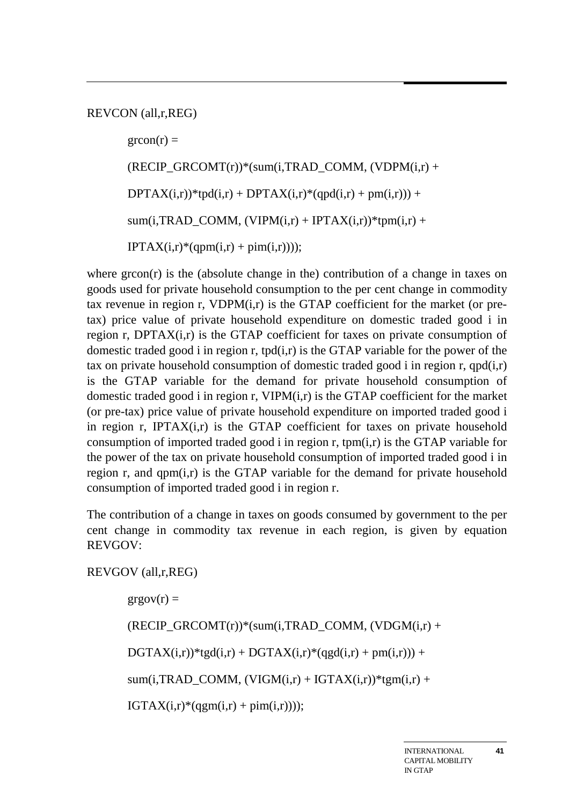#### REVCON (all,r,REG)

 $grcon(r) =$  $(RECIP_GRCOMMT(r))*(sum(i,TRAN_GOMM, (VDPM(i,r) +$  $DPTAX(i,r)*tpd(i,r) + DPTAX(i,r)*(qpd(i,r) + pm(i,r))) +$  $sum(i,TRAD\_COMM, (VIPM(i,r) + IPTAX(i,r))*tpm(i,r) +$  $IPTAX(i,r)*(qpm(i,r) + pim(i,r))))$ ;

where  $\text{grcon}(r)$  is the (absolute change in the) contribution of a change in taxes on goods used for private household consumption to the per cent change in commodity tax revenue in region r,  $VDPM(i,r)$  is the GTAP coefficient for the market (or pretax) price value of private household expenditure on domestic traded good i in region r, DPTAX(i,r) is the GTAP coefficient for taxes on private consumption of domestic traded good i in region r, tpd $(i,r)$  is the GTAP variable for the power of the tax on private household consumption of domestic traded good i in region r,  $qpd(i,r)$ is the GTAP variable for the demand for private household consumption of domestic traded good i in region r, VIPM(i,r) is the GTAP coefficient for the market (or pre-tax) price value of private household expenditure on imported traded good i in region r, IPTAX(i,r) is the GTAP coefficient for taxes on private household consumption of imported traded good i in region r, tpm(i,r) is the GTAP variable for the power of the tax on private household consumption of imported traded good i in region r, and qpm(i,r) is the GTAP variable for the demand for private household consumption of imported traded good i in region r.

The contribution of a change in taxes on goods consumed by government to the per cent change in commodity tax revenue in each region, is given by equation REVGOV:

REVGOV (all,r,REG)

 $grgov(r) =$ 

 $(RECIP_GRCOMMT(r))*(sum(i,TRAD_COMM, (VDGM(i,r) +$ 

 $DGTAX(i,r)*tgd(i,r) + DGTAX(i,r)*(qgd(i,r) + pm(i,r)) +$ 

 $sum(i,TRAD\_COMM, (VIGM(i,r) + IGTAX(i,r))*tgm(i,r) +$ 

IGTAX $(i,r)$ \* $(qgm(i,r) + pim(i,r)))$ ;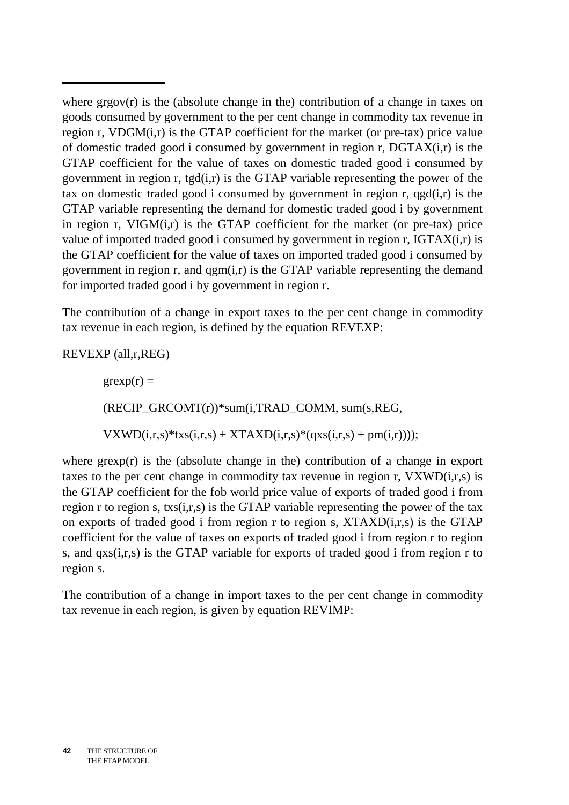where  $\text{grgov}(r)$  is the (absolute change in the) contribution of a change in taxes on goods consumed by government to the per cent change in commodity tax revenue in region r, VDGM(i,r) is the GTAP coefficient for the market (or pre-tax) price value of domestic traded good i consumed by government in region r, DGTAX(i,r) is the GTAP coefficient for the value of taxes on domestic traded good i consumed by government in region r,  $tgd(i,r)$  is the GTAP variable representing the power of the tax on domestic traded good i consumed by government in region r,  $qgd(i,r)$  is the GTAP variable representing the demand for domestic traded good i by government in region r,  $VIGM(i,r)$  is the GTAP coefficient for the market (or pre-tax) price value of imported traded good i consumed by government in region r, IGTAX(i,r) is the GTAP coefficient for the value of taxes on imported traded good i consumed by government in region r, and  $qgm(i,r)$  is the GTAP variable representing the demand for imported traded good i by government in region r.

The contribution of a change in export taxes to the per cent change in commodity tax revenue in each region, is defined by the equation REVEXP:

#### REVEXP (all,r,REG)

 $g$ rexp(r) = (RECIP\_GRCOMT(r))\*sum(i,TRAD\_COMM, sum(s,REG,  $VXWD(i,r,s)*txs(i,r,s) + XTAXD(i,r,s)*(qxs(i,r,s) + pm(i,r))))$ ;

where  $g$ rexp $(r)$  is the (absolute change in the) contribution of a change in export taxes to the per cent change in commodity tax revenue in region r,  $VXWD(i,r,s)$  is the GTAP coefficient for the fob world price value of exports of traded good i from region r to region s, txs(i,r,s) is the GTAP variable representing the power of the tax on exports of traded good i from region r to region s, XTAXD(i,r,s) is the GTAP coefficient for the value of taxes on exports of traded good i from region r to region s, and qxs(i,r,s) is the GTAP variable for exports of traded good i from region r to region s.

The contribution of a change in import taxes to the per cent change in commodity tax revenue in each region, is given by equation REVIMP: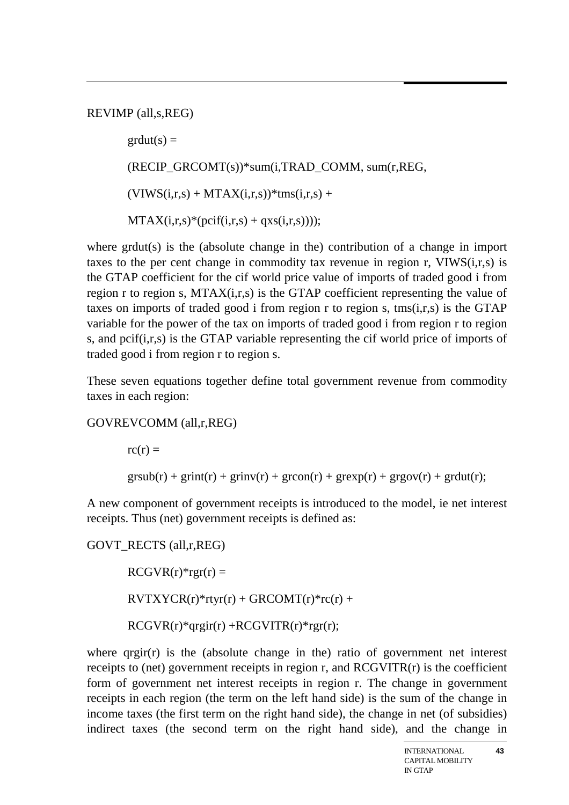REVIMP (all,s,REG)

 $grdut(s) =$ (RECIP\_GRCOMT(s))\*sum(i,TRAD\_COMM, sum(r,REG,  $(VIWS(i,r,s) + MTAX(i,r,s))$ \*tms $(i,r,s) +$  $MTAX(i,r,s)*(pcif(i,r,s) + qxs(i,r,s))))$ ;

where grdut(s) is the (absolute change in the) contribution of a change in import taxes to the per cent change in commodity tax revenue in region r,  $VIWS(i,r,s)$  is the GTAP coefficient for the cif world price value of imports of traded good i from region r to region s, MTAX(i,r,s) is the GTAP coefficient representing the value of taxes on imports of traded good i from region r to region s,  $\text{tms}(i,r,s)$  is the GTAP variable for the power of the tax on imports of traded good i from region r to region s, and pcif(i,r,s) is the GTAP variable representing the cif world price of imports of traded good i from region r to region s.

These seven equations together define total government revenue from commodity taxes in each region:

GOVREVCOMM (all,r,REG)

 $rc(r) =$  $grsub(r) + grint(r) + grinv(r) + grcon(r) + grexp(r) + grgov(r) + grdutr(r);$ 

A new component of government receipts is introduced to the model, ie net interest receipts. Thus (net) government receipts is defined as:

GOVT\_RECTS (all,r,REG)  $RCGVR(r)*rgr(r) =$  $RVTXYZR(r)*rtyr(r) + GRCOMT(r)*rc(r) +$  $RCGVR(r)*qrgir(r) + RCGVITR(r)*rgr(r);$ 

where  $\sigma$  qrgir(r) is the (absolute change in the) ratio of government net interest receipts to (net) government receipts in region r, and RCGVITR(r) is the coefficient form of government net interest receipts in region r. The change in government receipts in each region (the term on the left hand side) is the sum of the change in income taxes (the first term on the right hand side), the change in net (of subsidies) indirect taxes (the second term on the right hand side), and the change in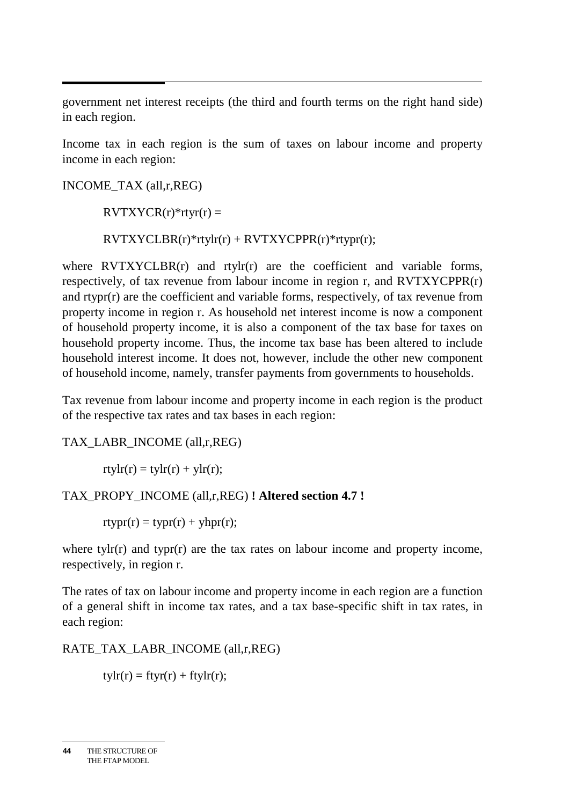government net interest receipts (the third and fourth terms on the right hand side) in each region.

Income tax in each region is the sum of taxes on labour income and property income in each region:

INCOME\_TAX (all,r,REG)

 $RVTXYZR(r)*rtyr(r) =$ 

 $RVTXYZLBR(r)*rtylr(r) + RVTXYZPPR(r)*rtypr(r);$ 

where  $RVTXYZLBR(r)$  and  $rtylr(r)$  are the coefficient and variable forms, respectively, of tax revenue from labour income in region r, and RVTXYCPPR(r) and rtypr(r) are the coefficient and variable forms, respectively, of tax revenue from property income in region r. As household net interest income is now a component of household property income, it is also a component of the tax base for taxes on household property income. Thus, the income tax base has been altered to include household interest income. It does not, however, include the other new component of household income, namely, transfer payments from governments to households.

Tax revenue from labour income and property income in each region is the product of the respective tax rates and tax bases in each region:

TAX\_LABR\_INCOME (all,r,REG)

 $rtylr(r) = tylr(r) + vlr(r);$ 

TAX\_PROPY\_INCOME (all,r,REG) **! Altered section 4.7 !**

 $rtypr(r) = typr(r) + yhpr(r);$ 

where tylr(r) and typr(r) are the tax rates on labour income and property income, respectively, in region r.

The rates of tax on labour income and property income in each region are a function of a general shift in income tax rates, and a tax base-specific shift in tax rates, in each region:

RATE\_TAX\_LABR\_INCOME (all,r,REG)

 $tvlr(r) = ftyr(r) + ftylr(r);$ 

**44** THE STRUCTURE OF THE FTAP MODEL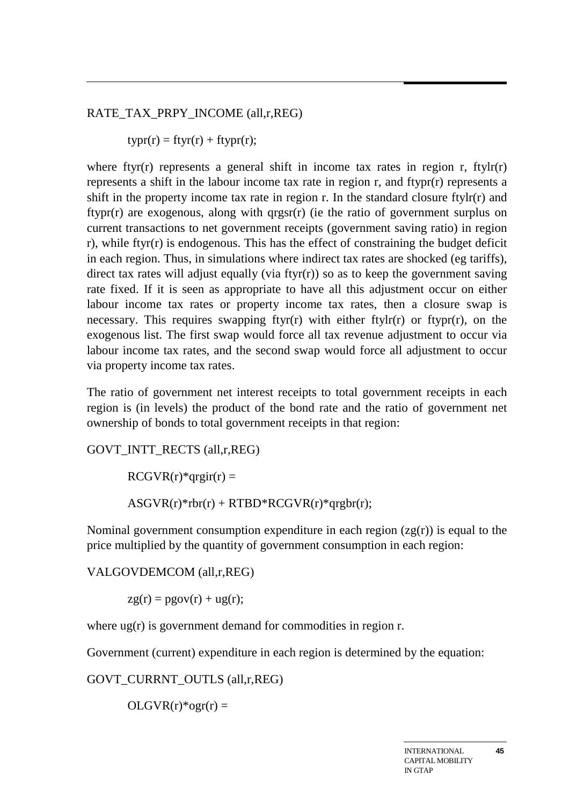RATE\_TAX\_PRPY\_INCOME (all,r,REG)

 $typr(r) = ftyr(r) + ftypr(r);$ 

where ftyr(r) represents a general shift in income tax rates in region r, ftylr(r) represents a shift in the labour income tax rate in region r, and ftypr(r) represents a shift in the property income tax rate in region r. In the standard closure ftylr(r) and ftypr(r) are exogenous, along with qrgsr(r) (ie the ratio of government surplus on current transactions to net government receipts (government saving ratio) in region r), while ftyr(r) is endogenous. This has the effect of constraining the budget deficit in each region. Thus, in simulations where indirect tax rates are shocked (eg tariffs), direct tax rates will adjust equally (via ftyr(r)) so as to keep the government saving rate fixed. If it is seen as appropriate to have all this adjustment occur on either labour income tax rates or property income tax rates, then a closure swap is necessary. This requires swapping ftyr(r) with either ftylr(r) or ftypr(r), on the exogenous list. The first swap would force all tax revenue adjustment to occur via labour income tax rates, and the second swap would force all adjustment to occur via property income tax rates.

The ratio of government net interest receipts to total government receipts in each region is (in levels) the product of the bond rate and the ratio of government net ownership of bonds to total government receipts in that region:

GOVT\_INTT\_RECTS (all,r,REG)

 $RCGVR(r)*$ qrgir(r) =  $ASGVR(r)*rbr(r) + RTBD*RCGVR(r)*qrgbr(r);$ 

Nominal government consumption expenditure in each region  $(zg(r))$  is equal to the price multiplied by the quantity of government consumption in each region:

VALGOVDEMCOM (all,r,REG)

 $zg(r) = pgov(r) + ug(r);$ 

where  $\mu$ g(r) is government demand for commodities in region r.

Government (current) expenditure in each region is determined by the equation:

GOVT\_CURRNT\_OUTLS (all,r,REG)

 $OLGVR(r)*ogr(r) =$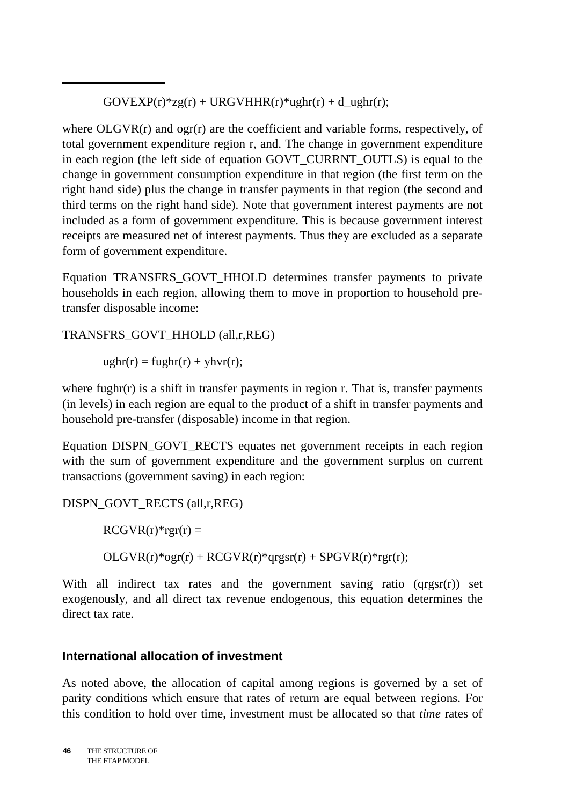$GOVEXP(r)*zg(r) + URGVHHR(r)*ughr(r) + d_ughr(r);$ 

where  $OLGVR(r)$  and  $ogr(r)$  are the coefficient and variable forms, respectively, of total government expenditure region r, and. The change in government expenditure in each region (the left side of equation GOVT\_CURRNT\_OUTLS) is equal to the change in government consumption expenditure in that region (the first term on the right hand side) plus the change in transfer payments in that region (the second and third terms on the right hand side). Note that government interest payments are not included as a form of government expenditure. This is because government interest receipts are measured net of interest payments. Thus they are excluded as a separate form of government expenditure.

Equation TRANSFRS\_GOVT\_HHOLD determines transfer payments to private households in each region, allowing them to move in proportion to household pretransfer disposable income:

TRANSFRS\_GOVT\_HHOLD (all,r,REG)

 $ughr(r) = fughr(r) + yhvr(r);$ 

where fughr $(r)$  is a shift in transfer payments in region r. That is, transfer payments (in levels) in each region are equal to the product of a shift in transfer payments and household pre-transfer (disposable) income in that region.

Equation DISPN\_GOVT\_RECTS equates net government receipts in each region with the sum of government expenditure and the government surplus on current transactions (government saving) in each region:

DISPN\_GOVT\_RECTS (all,r,REG)

 $RCGVR(r)*rgr(r) =$ 

 $OLGVR(r)*ogr(r) + RCGVR(r)*grgsr(r) + SPGVR(r)*rgr(r);$ 

With all indirect tax rates and the government saving ratio  $(qrgsr(r))$  set exogenously, and all direct tax revenue endogenous, this equation determines the direct tax rate.

#### **International allocation of investment**

As noted above, the allocation of capital among regions is governed by a set of parity conditions which ensure that rates of return are equal between regions. For this condition to hold over time, investment must be allocated so that *time* rates of

**<sup>46</sup>** THE STRUCTURE OF THE FTAP MODEL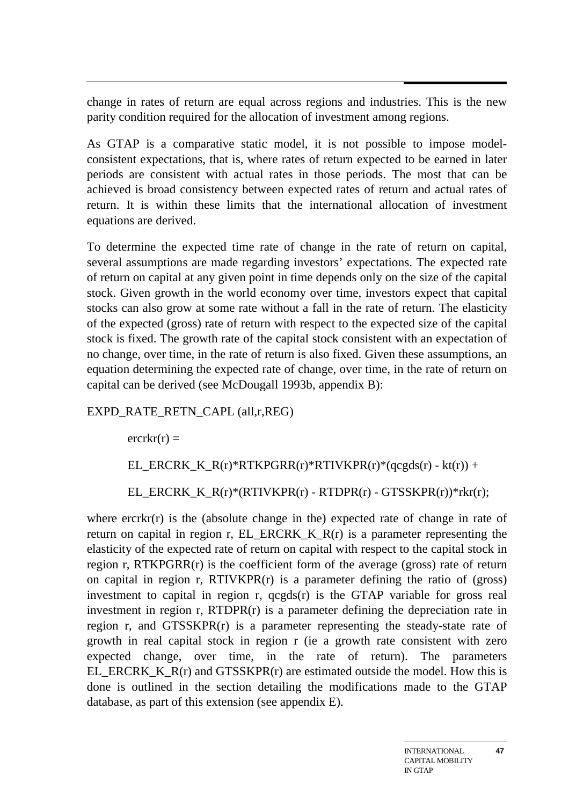change in rates of return are equal across regions and industries. This is the new parity condition required for the allocation of investment among regions.

As GTAP is a comparative static model, it is not possible to impose modelconsistent expectations, that is, where rates of return expected to be earned in later periods are consistent with actual rates in those periods. The most that can be achieved is broad consistency between expected rates of return and actual rates of return. It is within these limits that the international allocation of investment equations are derived.

To determine the expected time rate of change in the rate of return on capital, several assumptions are made regarding investors' expectations. The expected rate of return on capital at any given point in time depends only on the size of the capital stock. Given growth in the world economy over time, investors expect that capital stocks can also grow at some rate without a fall in the rate of return. The elasticity of the expected (gross) rate of return with respect to the expected size of the capital stock is fixed. The growth rate of the capital stock consistent with an expectation of no change, over time, in the rate of return is also fixed. Given these assumptions, an equation determining the expected rate of change, over time, in the rate of return on capital can be derived (see McDougall 1993b, appendix B):

#### EXPD\_RATE\_RETN\_CAPL (all,r,REG)

 $ercrkr(r) =$ 

EL\_ERCRK\_K\_R(r)\*RTKPGRR(r)\*RTIVKPR(r)\*(qcgds(r) - kt(r)) +

EL\_ERCRK\_K\_R(r)\*(RTIVKPR(r) - RTDPR(r) - GTSSKPR(r))\*rkr(r);

where  $ercrkr(r)$  is the (absolute change in the) expected rate of change in rate of return on capital in region r, EL\_ERCRK\_K\_R(r) is a parameter representing the elasticity of the expected rate of return on capital with respect to the capital stock in region r, RTKPGRR(r) is the coefficient form of the average (gross) rate of return on capital in region r,  $RTIVKPR(r)$  is a parameter defining the ratio of (gross) investment to capital in region r, qcgds(r) is the GTAP variable for gross real investment in region r, RTDPR(r) is a parameter defining the depreciation rate in region r, and GTSSKPR(r) is a parameter representing the steady-state rate of growth in real capital stock in region r (ie a growth rate consistent with zero expected change, over time, in the rate of return). The parameters EL\_ERCRK\_K\_R(r) and GTSSKPR(r) are estimated outside the model. How this is done is outlined in the section detailing the modifications made to the GTAP database, as part of this extension (see appendix E).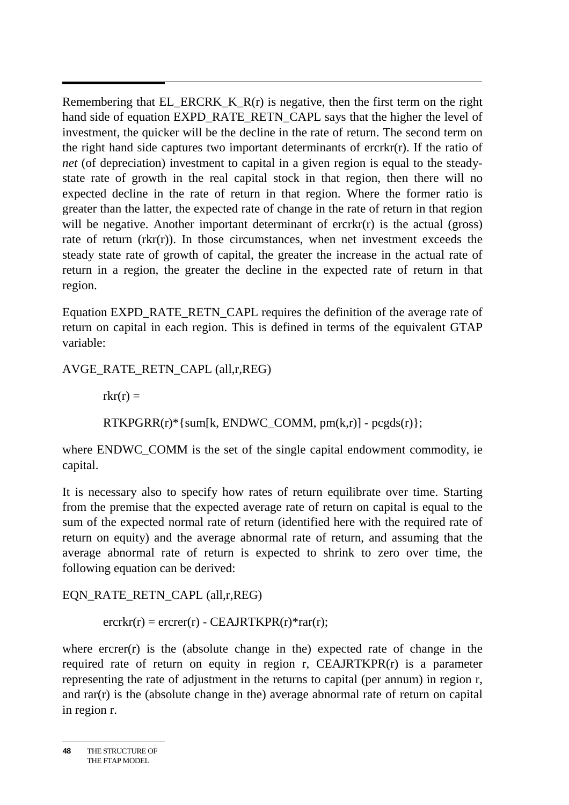Remembering that EL\_ERCRK\_K\_R(r) is negative, then the first term on the right hand side of equation EXPD\_RATE\_RETN\_CAPL says that the higher the level of investment, the quicker will be the decline in the rate of return. The second term on the right hand side captures two important determinants of ercrkr(r). If the ratio of *net* (of depreciation) investment to capital in a given region is equal to the steadystate rate of growth in the real capital stock in that region, then there will no expected decline in the rate of return in that region. Where the former ratio is greater than the latter, the expected rate of change in the rate of return in that region will be negative. Another important determinant of  $erckr(r)$  is the actual (gross) rate of return (rkr(r)). In those circumstances, when net investment exceeds the steady state rate of growth of capital, the greater the increase in the actual rate of return in a region, the greater the decline in the expected rate of return in that region.

Equation EXPD\_RATE\_RETN\_CAPL requires the definition of the average rate of return on capital in each region. This is defined in terms of the equivalent GTAP variable:

AVGE\_RATE\_RETN\_CAPL (all,r,REG)

 $rkr(r) =$ 

RTKPGRR $(r)^*$ {sum[k, ENDWC\_COMM, pm $(k,r)$ ] - pcgds $(r)$ };

where ENDWC\_COMM is the set of the single capital endowment commodity, ie capital.

It is necessary also to specify how rates of return equilibrate over time. Starting from the premise that the expected average rate of return on capital is equal to the sum of the expected normal rate of return (identified here with the required rate of return on equity) and the average abnormal rate of return, and assuming that the average abnormal rate of return is expected to shrink to zero over time, the following equation can be derived:

EQN\_RATE\_RETN\_CAPL (all,r,REG)

 $ercrkr(r) = ercer(r) - CEAJRTKPR(r) * rar(r);$ 

where ercrer $(r)$  is the (absolute change in the) expected rate of change in the required rate of return on equity in region r, CEAJRTKPR(r) is a parameter representing the rate of adjustment in the returns to capital (per annum) in region r, and rar(r) is the (absolute change in the) average abnormal rate of return on capital in region r.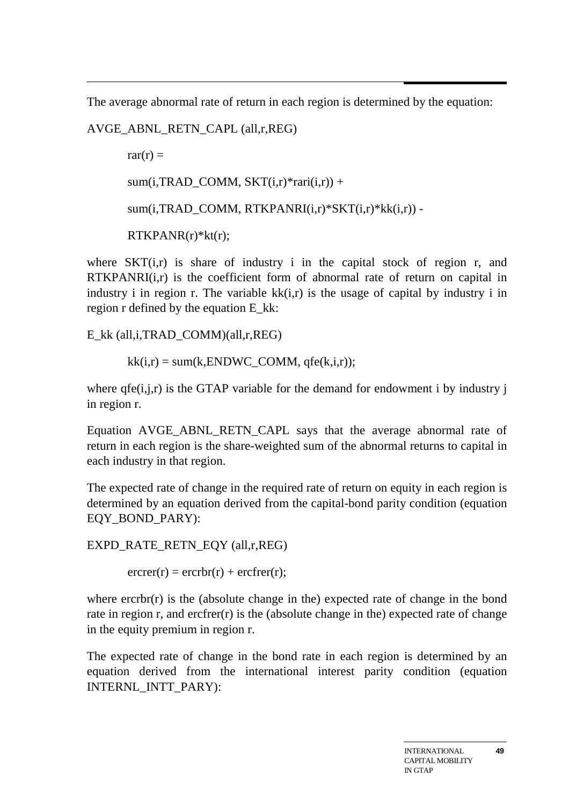The average abnormal rate of return in each region is determined by the equation:

AVGE\_ABNL\_RETN\_CAPL (all,r,REG)

 $rar(r) =$  $sum(i, TRAD_COMM, SKT(i,r)*rari(i,r)) +$  $sum(i,TRAD\_COMM, RTKPANRI(i,r)*SKT(i,r)*kk(i,r)) -$ RTKPANR(r)\*kt(r);

where  $SKT(i,r)$  is share of industry i in the capital stock of region r, and RTKPANRI(i,r) is the coefficient form of abnormal rate of return on capital in industry i in region r. The variable  $kk(i,r)$  is the usage of capital by industry i in region r defined by the equation E\_kk:

E\_kk (all,i,TRAD\_COMM)(all,r,REG)

 $kk(i,r) = sum(k, ENDWCCOMM, qfe(k,i,r));$ 

where  $qfe(i,j,r)$  is the GTAP variable for the demand for endowment i by industry j in region r.

Equation AVGE\_ABNL\_RETN\_CAPL says that the average abnormal rate of return in each region is the share-weighted sum of the abnormal returns to capital in each industry in that region.

The expected rate of change in the required rate of return on equity in each region is determined by an equation derived from the capital-bond parity condition (equation EQY\_BOND\_PARY):

EXPD\_RATE\_RETN\_EQY (all,r,REG)

 $\text{er}(\mathbf{r}) = \text{er}(\mathbf{r}) + \text{er}(\mathbf{r})$ ;

where ercrbr(r) is the (absolute change in the) expected rate of change in the bond rate in region r, and  $erfer(r)$  is the (absolute change in the) expected rate of change in the equity premium in region r.

The expected rate of change in the bond rate in each region is determined by an equation derived from the international interest parity condition (equation INTERNL\_INTT\_PARY):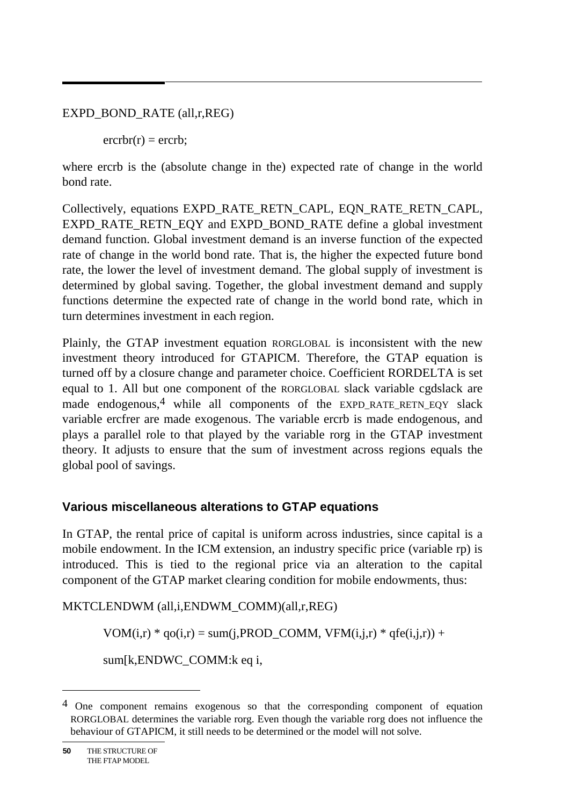#### EXPD\_BOND\_RATE (all,r,REG)

 $ercrbr(r) = ercrb;$ 

where ercrb is the (absolute change in the) expected rate of change in the world bond rate.

Collectively, equations EXPD\_RATE\_RETN\_CAPL, EQN\_RATE\_RETN\_CAPL, EXPD\_RATE\_RETN\_EQY and EXPD\_BOND\_RATE define a global investment demand function. Global investment demand is an inverse function of the expected rate of change in the world bond rate. That is, the higher the expected future bond rate, the lower the level of investment demand. The global supply of investment is determined by global saving. Together, the global investment demand and supply functions determine the expected rate of change in the world bond rate, which in turn determines investment in each region.

Plainly, the GTAP investment equation RORGLOBAL is inconsistent with the new investment theory introduced for GTAPICM. Therefore, the GTAP equation is turned off by a closure change and parameter choice. Coefficient RORDELTA is set equal to 1. All but one component of the RORGLOBAL slack variable cgdslack are made endogenous,<sup>4</sup> while all components of the EXPD RATE RETN EQY slack variable ercfrer are made exogenous. The variable ercrb is made endogenous, and plays a parallel role to that played by the variable rorg in the GTAP investment theory. It adjusts to ensure that the sum of investment across regions equals the global pool of savings.

#### **Various miscellaneous alterations to GTAP equations**

In GTAP, the rental price of capital is uniform across industries, since capital is a mobile endowment. In the ICM extension, an industry specific price (variable rp) is introduced. This is tied to the regional price via an alteration to the capital component of the GTAP market clearing condition for mobile endowments, thus:

MKTCLENDWM (all,i,ENDWM\_COMM)(all,r,REG)

VOM(i,r) \*  $qo(i,r) = sum(i,PROD$  COMM, VFM(i,j,r) \*  $qfe(i,j,r)$  +

sum[k,ENDWC\_COMM:k eq i,

<sup>&</sup>lt;sup>4</sup> One component remains exogenous so that the corresponding component of equation RORGLOBAL determines the variable rorg. Even though the variable rorg does not influence the behaviour of GTAPICM, it still needs to be determined or the model will not solve.

**<sup>50</sup>** THE STRUCTURE OF THE FTAP MODEL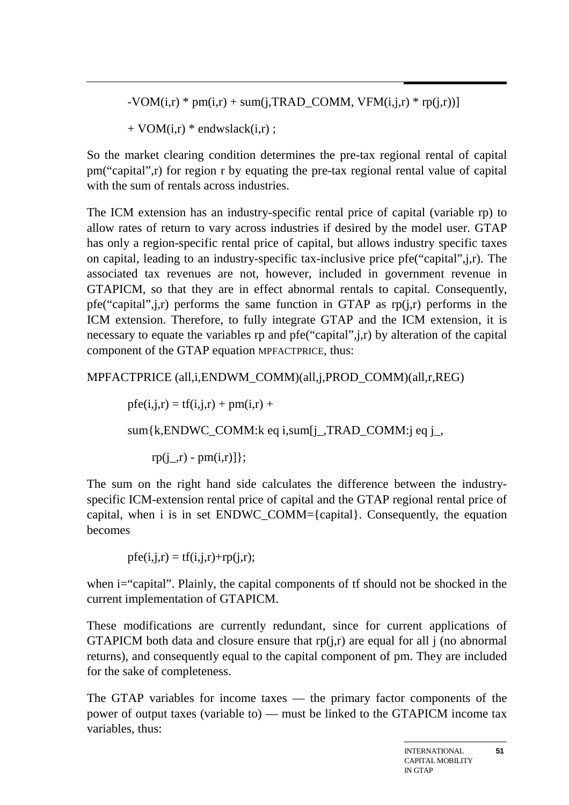$-VOM(i,r) * pm(i,r) + sum(j,TRAN\_COMM, VFM(i,j,r) * rp(j,r))]$ 

 $+$  VOM $(i,r)$  \* endwslack $(i,r)$ ;

So the market clearing condition determines the pre-tax regional rental of capital pm("capital",r) for region r by equating the pre-tax regional rental value of capital with the sum of rentals across industries.

The ICM extension has an industry-specific rental price of capital (variable rp) to allow rates of return to vary across industries if desired by the model user. GTAP has only a region-specific rental price of capital, but allows industry specific taxes on capital, leading to an industry-specific tax-inclusive price pfe("capital",j,r). The associated tax revenues are not, however, included in government revenue in GTAPICM, so that they are in effect abnormal rentals to capital. Consequently, pfe("capital",j,r) performs the same function in GTAP as  $rp(i,r)$  performs in the ICM extension. Therefore, to fully integrate GTAP and the ICM extension, it is necessary to equate the variables rp and pfe("capital",  $j, r$ ) by alteration of the capital component of the GTAP equation MPFACTPRICE, thus:

MPFACTPRICE (all,i,ENDWM\_COMM)(all,j,PROD\_COMM)(all,r,REG)

 $pfe(i,j,r) = tf(i,j,r) + pm(i,r) +$ sum{k,ENDWC\_COMM:k eq i,sum[j\_,TRAD\_COMM:j eq j\_,  $rp(i_r, r) - pm(i,r)]$ ;

The sum on the right hand side calculates the difference between the industryspecific ICM-extension rental price of capital and the GTAP regional rental price of capital, when i is in set ENDWC\_COMM={capital}. Consequently, the equation becomes

 $pfe(i,j,r) = tf(i,j,r)+rp(j,r);$ 

when i="capital". Plainly, the capital components of tf should not be shocked in the current implementation of GTAPICM.

These modifications are currently redundant, since for current applications of GTAPICM both data and closure ensure that  $rp(i,r)$  are equal for all j (no abnormal returns), and consequently equal to the capital component of pm. They are included for the sake of completeness.

The GTAP variables for income taxes — the primary factor components of the power of output taxes (variable to) — must be linked to the GTAPICM income tax variables, thus: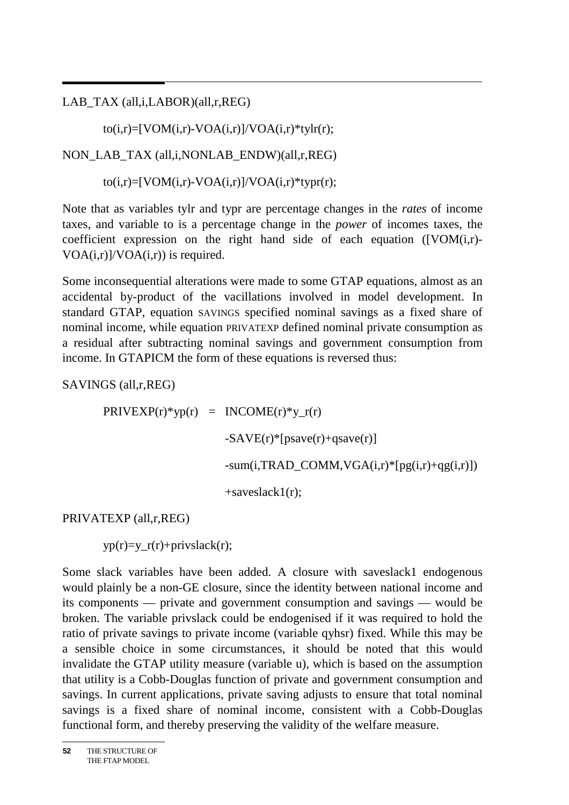LAB\_TAX (all,i,LABOR)(all,r,REG)

 $\text{to}(i,r) = [VOM(i,r)-VOA(i,r)]/VOA(i,r)*tylr(r);$ 

NON\_LAB\_TAX (all,i,NONLAB\_ENDW)(all,r,REG)

 $to(i,r)=[VOM(i,r)-VOA(i,r)]/VOA(i,r)*typr(r);$ 

Note that as variables tylr and typr are percentage changes in the *rates* of income taxes, and variable to is a percentage change in the *power* of incomes taxes, the coefficient expression on the right hand side of each equation ([VOM(i,r)-  $VOA(i,r)/VOA(i,r)$  is required.

Some inconsequential alterations were made to some GTAP equations, almost as an accidental by-product of the vacillations involved in model development. In standard GTAP, equation SAVINGS specified nominal savings as a fixed share of nominal income, while equation PRIVATEXP defined nominal private consumption as a residual after subtracting nominal savings and government consumption from income. In GTAPICM the form of these equations is reversed thus:

SAVINGS (all,r,REG)

 $PRIVEXP(r)*yp(r) = INCOME(r)*y_r(r)$  $-SAVE(r)*[psave(r)+qsave(r)]$  $-sum(i,TRAD$  COMM,  $VGA(i,r)*[pg(i,r)+qg(i,r)]$  $+$ saveslack $1(r)$ ;

PRIVATEXP (all,r,REG)

 $yp(r)=y(r)+privslack(r);$ 

Some slack variables have been added. A closure with saveslack1 endogenous would plainly be a non-GE closure, since the identity between national income and its components — private and government consumption and savings — would be broken. The variable privslack could be endogenised if it was required to hold the ratio of private savings to private income (variable qyhsr) fixed. While this may be a sensible choice in some circumstances, it should be noted that this would invalidate the GTAP utility measure (variable u), which is based on the assumption that utility is a Cobb-Douglas function of private and government consumption and savings. In current applications, private saving adjusts to ensure that total nominal savings is a fixed share of nominal income, consistent with a Cobb-Douglas functional form, and thereby preserving the validity of the welfare measure.

**<sup>52</sup>** THE STRUCTURE OF THE FTAP MODEL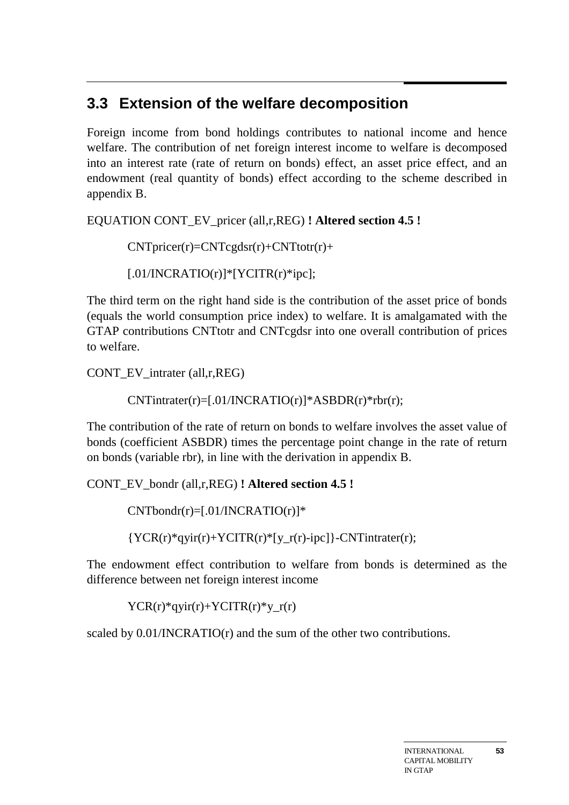## **3.3 Extension of the welfare decomposition**

Foreign income from bond holdings contributes to national income and hence welfare. The contribution of net foreign interest income to welfare is decomposed into an interest rate (rate of return on bonds) effect, an asset price effect, and an endowment (real quantity of bonds) effect according to the scheme described in appendix B.

EQUATION CONT\_EV\_pricer (all,r,REG) **! Altered section 4.5 !**

 $CNTpricer(r)=CNTcgdsr(r)+CNTtotr(r)+$ 

[.01/INCRATIO(r)]\*[YCITR(r)\*ipc];

The third term on the right hand side is the contribution of the asset price of bonds (equals the world consumption price index) to welfare. It is amalgamated with the GTAP contributions CNTtotr and CNTcgdsr into one overall contribution of prices to welfare.

CONT\_EV\_intrater (all,r,REG)

 $CNTinter(r)=[.01/INCRATION)*ASBDR(r)*rbr(r);$ 

The contribution of the rate of return on bonds to welfare involves the asset value of bonds (coefficient ASBDR) times the percentage point change in the rate of return on bonds (variable rbr), in line with the derivation in appendix B.

CONT\_EV\_bondr (all,r,REG) **! Altered section 4.5 !**

 $CNTbondr(r)=[.01/INCRATION(r)]*$ 

 ${YCR(r)*qvir(r)+YCITR(r)*[y_r(r)-ipc]}$ -CNTintrater(r);

The endowment effect contribution to welfare from bonds is determined as the difference between net foreign interest income

 $YCR(r)*qvir(r)+YCITR(r)*y_r(r)$ 

scaled by 0.01/INCRATIO(r) and the sum of the other two contributions.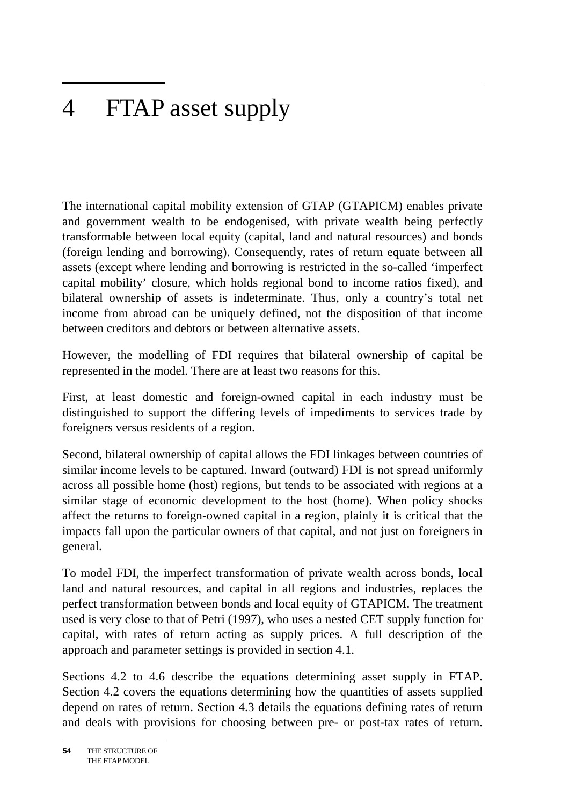# 4 FTAP asset supply

The international capital mobility extension of GTAP (GTAPICM) enables private and government wealth to be endogenised, with private wealth being perfectly transformable between local equity (capital, land and natural resources) and bonds (foreign lending and borrowing). Consequently, rates of return equate between all assets (except where lending and borrowing is restricted in the so-called 'imperfect capital mobility' closure, which holds regional bond to income ratios fixed), and bilateral ownership of assets is indeterminate. Thus, only a country's total net income from abroad can be uniquely defined, not the disposition of that income between creditors and debtors or between alternative assets.

However, the modelling of FDI requires that bilateral ownership of capital be represented in the model. There are at least two reasons for this.

First, at least domestic and foreign-owned capital in each industry must be distinguished to support the differing levels of impediments to services trade by foreigners versus residents of a region.

Second, bilateral ownership of capital allows the FDI linkages between countries of similar income levels to be captured. Inward (outward) FDI is not spread uniformly across all possible home (host) regions, but tends to be associated with regions at a similar stage of economic development to the host (home). When policy shocks affect the returns to foreign-owned capital in a region, plainly it is critical that the impacts fall upon the particular owners of that capital, and not just on foreigners in general.

To model FDI, the imperfect transformation of private wealth across bonds, local land and natural resources, and capital in all regions and industries, replaces the perfect transformation between bonds and local equity of GTAPICM. The treatment used is very close to that of Petri (1997), who uses a nested CET supply function for capital, with rates of return acting as supply prices. A full description of the approach and parameter settings is provided in section 4.1.

Sections 4.2 to 4.6 describe the equations determining asset supply in FTAP. Section 4.2 covers the equations determining how the quantities of assets supplied depend on rates of return. Section 4.3 details the equations defining rates of return and deals with provisions for choosing between pre- or post-tax rates of return.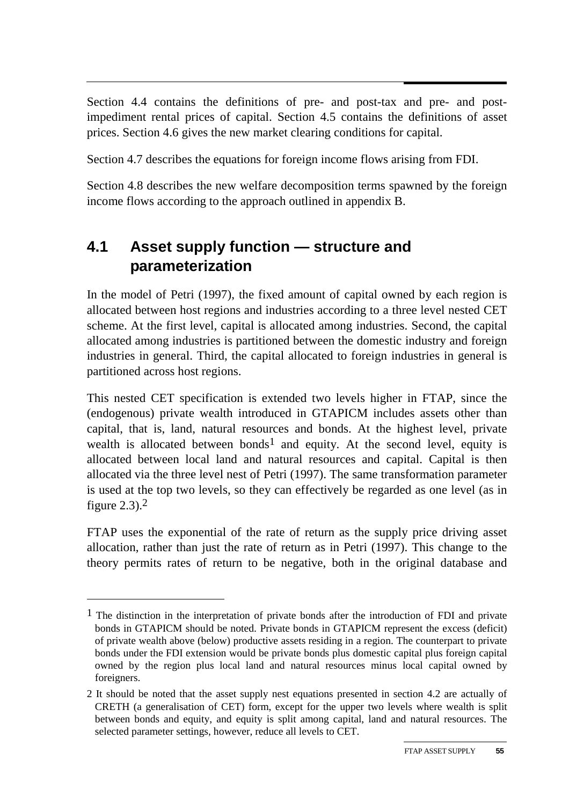Section 4.4 contains the definitions of pre- and post-tax and pre- and postimpediment rental prices of capital. Section 4.5 contains the definitions of asset prices. Section 4.6 gives the new market clearing conditions for capital.

Section 4.7 describes the equations for foreign income flows arising from FDI.

Section 4.8 describes the new welfare decomposition terms spawned by the foreign income flows according to the approach outlined in appendix B.

## **4.1 Asset supply function — structure and parameterization**

In the model of Petri (1997), the fixed amount of capital owned by each region is allocated between host regions and industries according to a three level nested CET scheme. At the first level, capital is allocated among industries. Second, the capital allocated among industries is partitioned between the domestic industry and foreign industries in general. Third, the capital allocated to foreign industries in general is partitioned across host regions.

This nested CET specification is extended two levels higher in FTAP, since the (endogenous) private wealth introduced in GTAPICM includes assets other than capital, that is, land, natural resources and bonds. At the highest level, private wealth is allocated between bonds<sup>1</sup> and equity. At the second level, equity is allocated between local land and natural resources and capital. Capital is then allocated via the three level nest of Petri (1997). The same transformation parameter is used at the top two levels, so they can effectively be regarded as one level (as in figure  $2.3$ ).<sup>2</sup>

FTAP uses the exponential of the rate of return as the supply price driving asset allocation, rather than just the rate of return as in Petri (1997). This change to the theory permits rates of return to be negative, both in the original database and

<sup>1</sup> The distinction in the interpretation of private bonds after the introduction of FDI and private bonds in GTAPICM should be noted. Private bonds in GTAPICM represent the excess (deficit) of private wealth above (below) productive assets residing in a region. The counterpart to private bonds under the FDI extension would be private bonds plus domestic capital plus foreign capital owned by the region plus local land and natural resources minus local capital owned by foreigners.

<sup>2</sup> It should be noted that the asset supply nest equations presented in section 4.2 are actually of CRETH (a generalisation of CET) form, except for the upper two levels where wealth is split between bonds and equity, and equity is split among capital, land and natural resources. The selected parameter settings, however, reduce all levels to CET.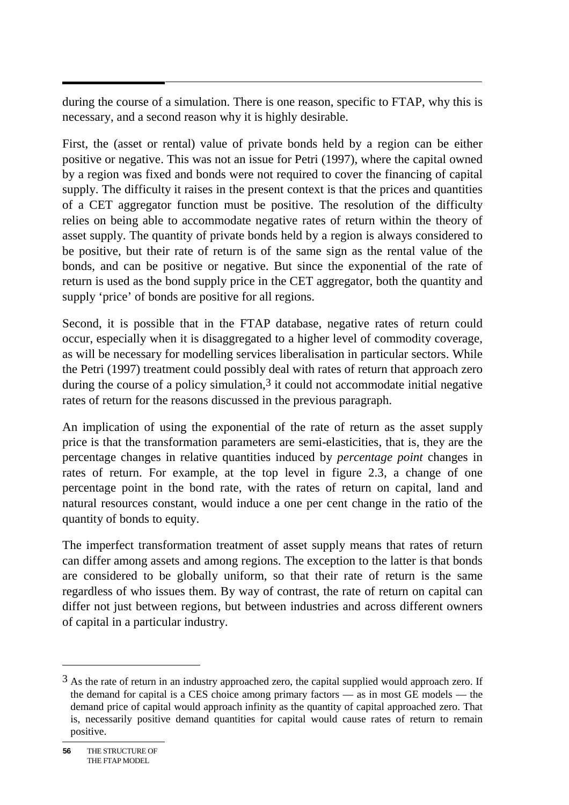during the course of a simulation. There is one reason, specific to FTAP, why this is necessary, and a second reason why it is highly desirable.

First, the (asset or rental) value of private bonds held by a region can be either positive or negative. This was not an issue for Petri (1997), where the capital owned by a region was fixed and bonds were not required to cover the financing of capital supply. The difficulty it raises in the present context is that the prices and quantities of a CET aggregator function must be positive. The resolution of the difficulty relies on being able to accommodate negative rates of return within the theory of asset supply. The quantity of private bonds held by a region is always considered to be positive, but their rate of return is of the same sign as the rental value of the bonds, and can be positive or negative. But since the exponential of the rate of return is used as the bond supply price in the CET aggregator, both the quantity and supply 'price' of bonds are positive for all regions.

Second, it is possible that in the FTAP database, negative rates of return could occur, especially when it is disaggregated to a higher level of commodity coverage, as will be necessary for modelling services liberalisation in particular sectors. While the Petri (1997) treatment could possibly deal with rates of return that approach zero during the course of a policy simulation, $3$  it could not accommodate initial negative rates of return for the reasons discussed in the previous paragraph.

An implication of using the exponential of the rate of return as the asset supply price is that the transformation parameters are semi-elasticities, that is, they are the percentage changes in relative quantities induced by *percentage point* changes in rates of return. For example, at the top level in figure 2.3, a change of one percentage point in the bond rate, with the rates of return on capital, land and natural resources constant, would induce a one per cent change in the ratio of the quantity of bonds to equity.

The imperfect transformation treatment of asset supply means that rates of return can differ among assets and among regions. The exception to the latter is that bonds are considered to be globally uniform, so that their rate of return is the same regardless of who issues them. By way of contrast, the rate of return on capital can differ not just between regions, but between industries and across different owners of capital in a particular industry.

 $3$  As the rate of return in an industry approached zero, the capital supplied would approach zero. If the demand for capital is a CES choice among primary factors — as in most GE models — the demand price of capital would approach infinity as the quantity of capital approached zero. That is, necessarily positive demand quantities for capital would cause rates of return to remain positive.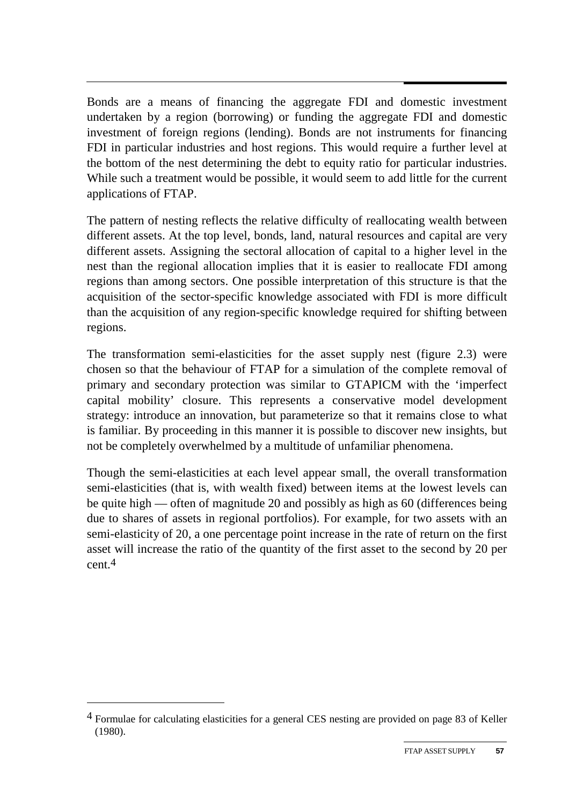Bonds are a means of financing the aggregate FDI and domestic investment undertaken by a region (borrowing) or funding the aggregate FDI and domestic investment of foreign regions (lending). Bonds are not instruments for financing FDI in particular industries and host regions. This would require a further level at the bottom of the nest determining the debt to equity ratio for particular industries. While such a treatment would be possible, it would seem to add little for the current applications of FTAP.

The pattern of nesting reflects the relative difficulty of reallocating wealth between different assets. At the top level, bonds, land, natural resources and capital are very different assets. Assigning the sectoral allocation of capital to a higher level in the nest than the regional allocation implies that it is easier to reallocate FDI among regions than among sectors. One possible interpretation of this structure is that the acquisition of the sector-specific knowledge associated with FDI is more difficult than the acquisition of any region-specific knowledge required for shifting between regions.

The transformation semi-elasticities for the asset supply nest (figure 2.3) were chosen so that the behaviour of FTAP for a simulation of the complete removal of primary and secondary protection was similar to GTAPICM with the 'imperfect capital mobility' closure. This represents a conservative model development strategy: introduce an innovation, but parameterize so that it remains close to what is familiar. By proceeding in this manner it is possible to discover new insights, but not be completely overwhelmed by a multitude of unfamiliar phenomena.

Though the semi-elasticities at each level appear small, the overall transformation semi-elasticities (that is, with wealth fixed) between items at the lowest levels can be quite high — often of magnitude 20 and possibly as high as 60 (differences being due to shares of assets in regional portfolios). For example, for two assets with an semi-elasticity of 20, a one percentage point increase in the rate of return on the first asset will increase the ratio of the quantity of the first asset to the second by 20 per cent<sup>4</sup>

<sup>&</sup>lt;sup>4</sup> Formulae for calculating elasticities for a general CES nesting are provided on page 83 of Keller (1980).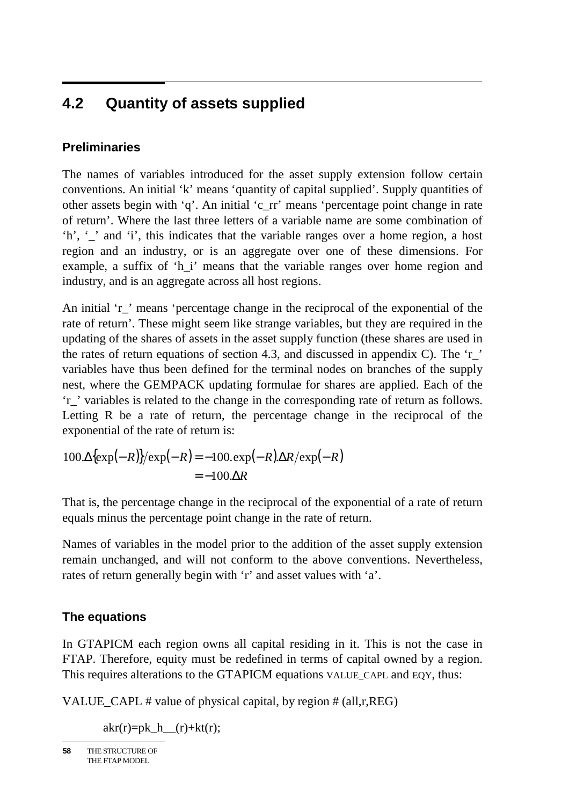## **4.2 Quantity of assets supplied**

#### **Preliminaries**

The names of variables introduced for the asset supply extension follow certain conventions. An initial 'k' means 'quantity of capital supplied'. Supply quantities of other assets begin with 'q'. An initial 'c\_rr' means 'percentage point change in rate of return'. Where the last three letters of a variable name are some combination of 'h', ' ' and 'i', this indicates that the variable ranges over a home region, a host region and an industry, or is an aggregate over one of these dimensions. For example, a suffix of 'h\_i' means that the variable ranges over home region and industry, and is an aggregate across all host regions.

An initial 'r ' means 'percentage change in the reciprocal of the exponential of the rate of return'. These might seem like strange variables, but they are required in the updating of the shares of assets in the asset supply function (these shares are used in the rates of return equations of section 4.3, and discussed in appendix C). The  $\dot{r}$ variables have thus been defined for the terminal nodes on branches of the supply nest, where the GEMPACK updating formulae for shares are applied. Each of the 'r\_' variables is related to the change in the corresponding rate of return as follows. Letting R be a rate of return, the percentage change in the reciprocal of the exponential of the rate of return is:

$$
100.\Delta\{\exp(-R)\} / \exp(-R) = -100.\exp(-R).\Delta R / \exp(-R)
$$
  
= -100.\Delta R

That is, the percentage change in the reciprocal of the exponential of a rate of return equals minus the percentage point change in the rate of return.

Names of variables in the model prior to the addition of the asset supply extension remain unchanged, and will not conform to the above conventions. Nevertheless, rates of return generally begin with 'r' and asset values with 'a'.

#### **The equations**

In GTAPICM each region owns all capital residing in it. This is not the case in FTAP. Therefore, equity must be redefined in terms of capital owned by a region. This requires alterations to the GTAPICM equations VALUE CAPL and EQY, thus:

VALUE\_CAPL  $#$  value of physical capital, by region  $# (all,r,REG)$ 

akr(r)=pk\_h\_(r)+kt(r);

**58** THE STRUCTURE OF THE FTAP MODEL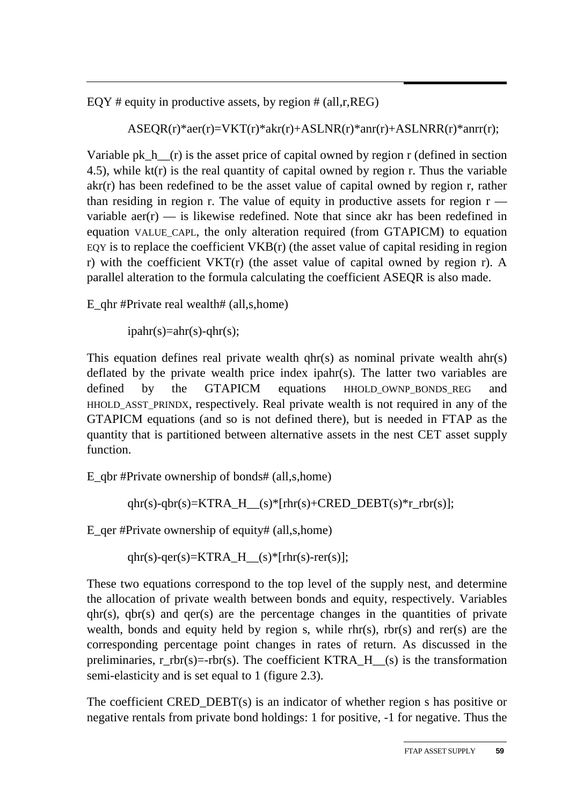EQY # equity in productive assets, by region #  $all,r,REG)$ 

ASEQR(r)\*aer(r)=VKT(r)\*akr(r)+ASLNR(r)\*anr(r)+ASLNRR(r)\*anrr(r);

Variable pk<sub>h</sub>  $(r)$  is the asset price of capital owned by region r (defined in section 4.5), while kt(r) is the real quantity of capital owned by region r. Thus the variable akr(r) has been redefined to be the asset value of capital owned by region r, rather than residing in region r. The value of equity in productive assets for region  $r$ variable  $aer(r)$  — is likewise redefined. Note that since akr has been redefined in equation VALUE\_CAPL, the only alteration required (from GTAPICM) to equation EQY is to replace the coefficient  $VKB(r)$  (the asset value of capital residing in region r) with the coefficient VKT(r) (the asset value of capital owned by region r). A parallel alteration to the formula calculating the coefficient ASEQR is also made.

E qhr #Private real wealth#  $(all, s, home)$ 

 $ipahr(s)=ahr(s)-qhr(s);$ 

This equation defines real private wealth qhr(s) as nominal private wealth ahr(s) deflated by the private wealth price index ipahr(s). The latter two variables are defined by the GTAPICM equations HHOLD\_OWNP\_BONDS\_REG and HHOLD ASST PRINDX, respectively. Real private wealth is not required in any of the GTAPICM equations (and so is not defined there), but is needed in FTAP as the quantity that is partitioned between alternative assets in the nest CET asset supply function.

E\_qbr #Private ownership of bonds# (all,s,home)

qhr(s)-qbr(s)=KTRA\_H\_(s)\*[rhr(s)+CRED\_DEBT(s)\*r\_rbr(s)];

E\_qer #Private ownership of equity# (all,s,home)

qhr(s)-qer(s)=KTRA\_H\_(s)\*[rhr(s)-rer(s)];

These two equations correspond to the top level of the supply nest, and determine the allocation of private wealth between bonds and equity, respectively. Variables  $ghr(s)$ ,  $gbr(s)$  and  $ger(s)$  are the percentage changes in the quantities of private wealth, bonds and equity held by region s, while rhr(s), rbr(s) and rer(s) are the corresponding percentage point changes in rates of return. As discussed in the preliminaries, r\_rbr(s)=-rbr(s). The coefficient KTRA  $H_{\alpha}$  (s) is the transformation semi-elasticity and is set equal to 1 (figure 2.3).

The coefficient CRED\_DEBT(s) is an indicator of whether region s has positive or negative rentals from private bond holdings: 1 for positive, -1 for negative. Thus the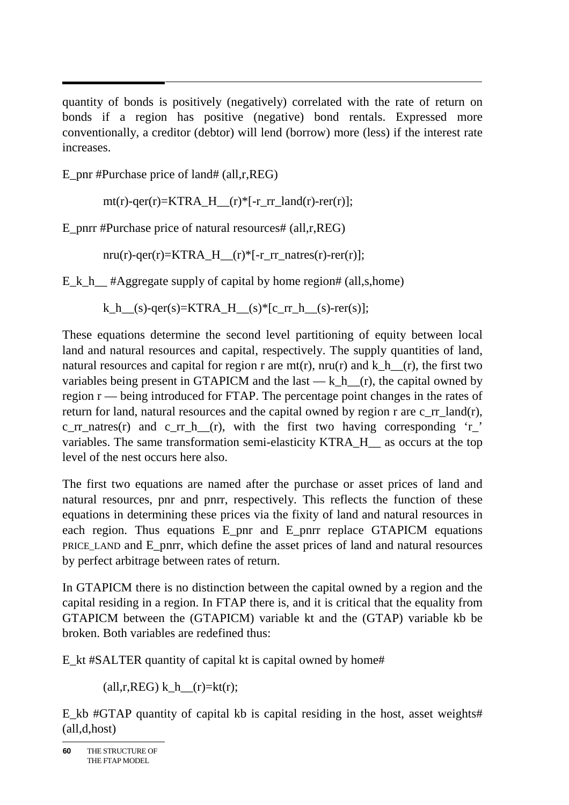quantity of bonds is positively (negatively) correlated with the rate of return on bonds if a region has positive (negative) bond rentals. Expressed more conventionally, a creditor (debtor) will lend (borrow) more (less) if the interest rate increases.

E\_pnr #Purchase price of land# (all,r,REG)

$$
mt(r)-qer(r)=KTRA_{H_{-}}(r)^*[-r_{rr\_land(r)-rer(r)];
$$

E\_pnrr #Purchase price of natural resources# (all,r,REG)

 $nru(r)-qer(r)=KTRA_H_{r-r-rr\_natres(r)-rer(r)}$ ;

E k h  $#Aggregate supply of capital by home region# (all,s,home)$ 

 $k_h_ (s)$ -qer(s)=KTRA\_H\_(s)\*[c\_rr\_h\_(s)-rer(s)];

These equations determine the second level partitioning of equity between local land and natural resources and capital, respectively. The supply quantities of land, natural resources and capital for region r are  $mt(r)$ ,  $nru(r)$  and k h (r), the first two variables being present in GTAPICM and the last — k\_h\_(r), the capital owned by region r — being introduced for FTAP. The percentage point changes in the rates of return for land, natural resources and the capital owned by region r are  $c$ \_rr\_land(r), c\_rr\_natres(r) and c\_rr\_h\_(r), with the first two having corresponding 'r\_' variables. The same transformation semi-elasticity KTRA\_H\_\_ as occurs at the top level of the nest occurs here also.

The first two equations are named after the purchase or asset prices of land and natural resources, pnr and pnrr, respectively. This reflects the function of these equations in determining these prices via the fixity of land and natural resources in each region. Thus equations E pnr and E pnrr replace GTAPICM equations PRICE LAND and E\_pnrr, which define the asset prices of land and natural resources by perfect arbitrage between rates of return.

In GTAPICM there is no distinction between the capital owned by a region and the capital residing in a region. In FTAP there is, and it is critical that the equality from GTAPICM between the (GTAPICM) variable kt and the (GTAP) variable kb be broken. Both variables are redefined thus:

E kt #SALTER quantity of capital kt is capital owned by home#

 $all,r,REG) k_h(r)=kt(r);$ 

E\_kb #GTAP quantity of capital kb is capital residing in the host, asset weights# (all,d,host)

**<sup>60</sup>** THE STRUCTURE OF THE FTAP MODEL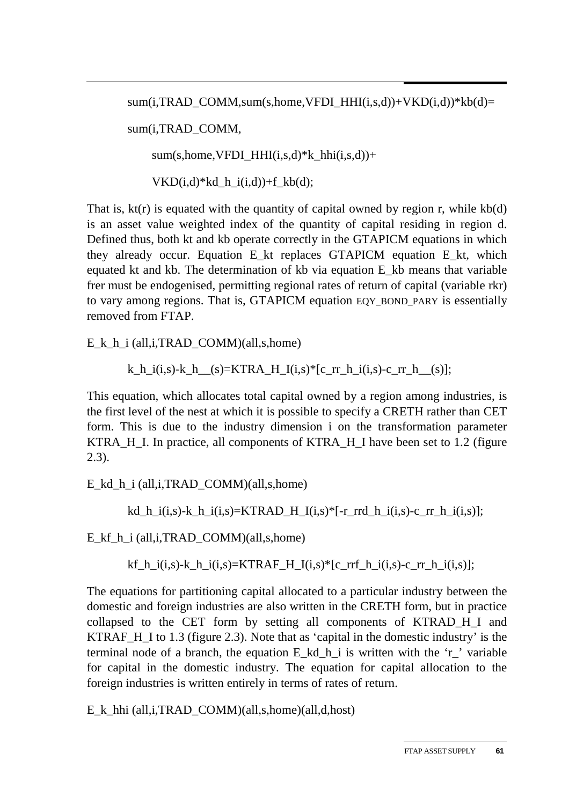$sum(i, TRAD\_COMM, sum(s, home, VFDI_HHI(i,s,d)) + VKD(i,d))*kb(d)=$ sum(i,TRAD\_COMM, sum(s,home, VFDI\_HHI(i,s,d)\*k\_hhi(i,s,d))+

 $VKD(i,d)*kd_h_i(i,d)) + f_kb(d);$ 

That is,  $kt(r)$  is equated with the quantity of capital owned by region r, while  $kb(d)$ is an asset value weighted index of the quantity of capital residing in region d. Defined thus, both kt and kb operate correctly in the GTAPICM equations in which they already occur. Equation E\_kt replaces GTAPICM equation E\_kt, which equated kt and kb. The determination of kb via equation E\_kb means that variable frer must be endogenised, permitting regional rates of return of capital (variable rkr) to vary among regions. That is, GTAPICM equation EQY\_BOND\_PARY is essentially removed from FTAP.

E\_k\_h\_i (all,i,TRAD\_COMM)(all,s,home)

k\_h\_i(i,s)-k\_h\_(s)=KTRA\_H\_I(i,s)\*[c\_rr\_h\_i(i,s)-c\_rr\_h\_(s)];

This equation, which allocates total capital owned by a region among industries, is the first level of the nest at which it is possible to specify a CRETH rather than CET form. This is due to the industry dimension i on the transformation parameter KTRA\_H\_I. In practice, all components of KTRA\_H\_I have been set to 1.2 (figure 2.3).

E\_kd\_h\_i (all,i,TRAD\_COMM)(all,s,home)

kd h\_i(i,s)-k\_h\_i(i,s)=KTRAD\_H\_I(i,s)\*[-r\_rrd\_h\_i(i,s)-c\_rr\_h\_i(i,s)];

E\_kf\_h\_i (all,i,TRAD\_COMM)(all,s,home)

kf\_h\_i(i,s)-k\_h\_i(i,s)=KTRAF\_H\_I(i,s)\*[c\_rrf\_h\_i(i,s)-c\_rr\_h\_i(i,s)];

The equations for partitioning capital allocated to a particular industry between the domestic and foreign industries are also written in the CRETH form, but in practice collapsed to the CET form by setting all components of KTRAD\_H\_I and KTRAF  $H$  I to 1.3 (figure 2.3). Note that as 'capital in the domestic industry' is the terminal node of a branch, the equation  $E_k$ d  $h_i$  is written with the 'r\_' variable for capital in the domestic industry. The equation for capital allocation to the foreign industries is written entirely in terms of rates of return.

E\_k\_hhi (all,i,TRAD\_COMM)(all,s,home)(all,d,host)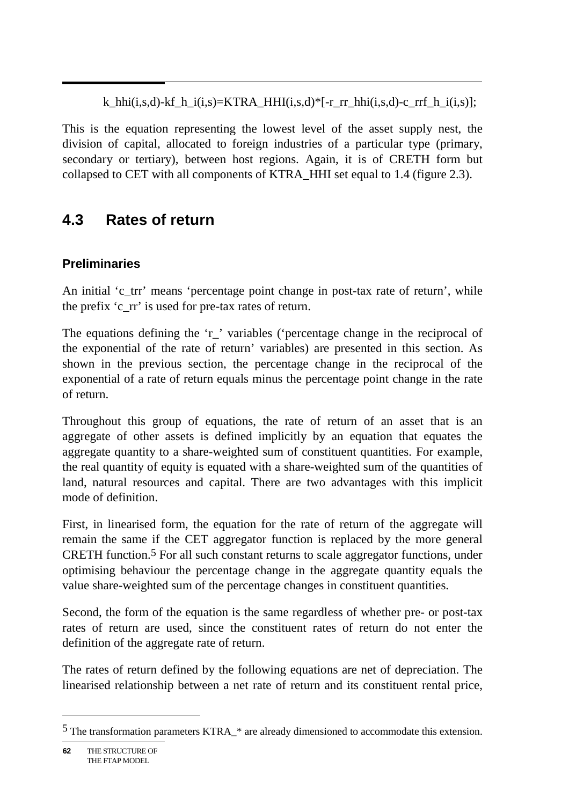k\_hhi(i,s,d)-kf\_h\_i(i,s)=KTRA\_HHI(i,s,d)\*[-r\_rr\_hhi(i,s,d)-c\_rrf\_h\_i(i,s)];

This is the equation representing the lowest level of the asset supply nest, the division of capital, allocated to foreign industries of a particular type (primary, secondary or tertiary), between host regions. Again, it is of CRETH form but collapsed to CET with all components of KTRA\_HHI set equal to 1.4 (figure 2.3).

# **4.3 Rates of return**

## **Preliminaries**

An initial 'c\_trr' means 'percentage point change in post-tax rate of return', while the prefix 'c\_rr' is used for pre-tax rates of return.

The equations defining the 'r' variables ('percentage change in the reciprocal of the exponential of the rate of return' variables) are presented in this section. As shown in the previous section, the percentage change in the reciprocal of the exponential of a rate of return equals minus the percentage point change in the rate of return.

Throughout this group of equations, the rate of return of an asset that is an aggregate of other assets is defined implicitly by an equation that equates the aggregate quantity to a share-weighted sum of constituent quantities. For example, the real quantity of equity is equated with a share-weighted sum of the quantities of land, natural resources and capital. There are two advantages with this implicit mode of definition.

First, in linearised form, the equation for the rate of return of the aggregate will remain the same if the CET aggregator function is replaced by the more general CRETH function.5 For all such constant returns to scale aggregator functions, under optimising behaviour the percentage change in the aggregate quantity equals the value share-weighted sum of the percentage changes in constituent quantities.

Second, the form of the equation is the same regardless of whether pre- or post-tax rates of return are used, since the constituent rates of return do not enter the definition of the aggregate rate of return.

The rates of return defined by the following equations are net of depreciation. The linearised relationship between a net rate of return and its constituent rental price,

<sup>5</sup> The transformation parameters KTRA\_\* are already dimensioned to accommodate this extension.

**<sup>62</sup>** THE STRUCTURE OF THE FTAP MODEL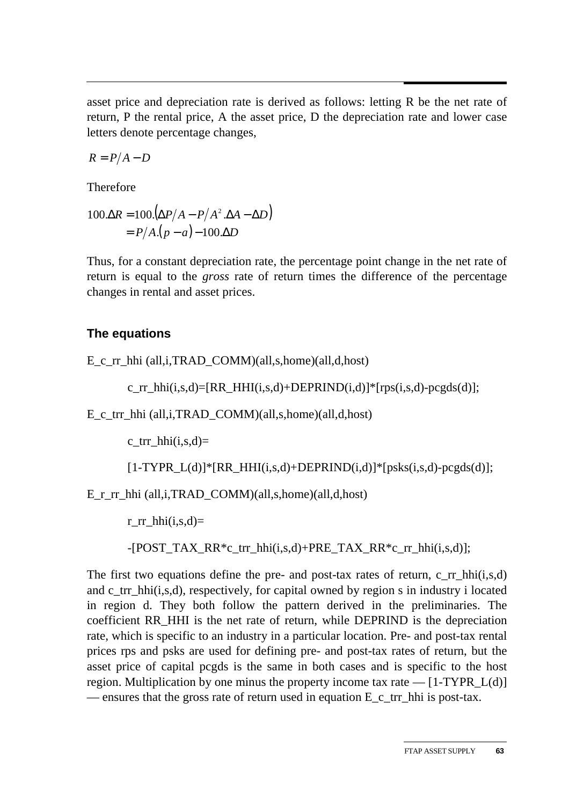asset price and depreciation rate is derived as follows: letting R be the net rate of return, P the rental price, A the asset price, D the depreciation rate and lower case letters denote percentage changes,

 $R = P/A - D$ 

Therefore

$$
100.\Delta R = 100.(\Delta P/A - P/A^2.\Delta A - \Delta D)
$$

$$
= P/A.(p - a) - 100.\Delta D
$$

Thus, for a constant depreciation rate, the percentage point change in the net rate of return is equal to the *gross* rate of return times the difference of the percentage changes in rental and asset prices.

#### **The equations**

E\_c\_rr\_hhi (all,i,TRAD\_COMM)(all,s,home)(all,d,host)

c\_rr\_hhi(i,s,d)=[RR\_HHI(i,s,d)+DEPRIND(i,d)]\*[rps(i,s,d)-pcgds(d)];

E\_c\_trr\_hhi (all,i,TRAD\_COMM)(all,s,home)(all,d,host)

 $c_{\text{tr}}_h$ hhi $(i, s, d)$ =

```
[1-TYPR_L(d)]*[RR_HH1(i,s,d)+DEPRIND(i,d)]*[psks(i,s,d)-pcgds(d)];
```
E\_r\_rr\_hhi (all,i,TRAD\_COMM)(all,s,home)(all,d,host)

 $r$ \_rr\_hhi(i,s,d)=

-[POST\_TAX\_RR\*c\_trr\_hhi(i,s,d)+PRE\_TAX\_RR\*c\_rr\_hhi(i,s,d)];

The first two equations define the pre- and post-tax rates of return,  $c$ <sub>rr</sub>\_hhi(i,s,d) and c\_trr\_hhi(i,s,d), respectively, for capital owned by region s in industry i located in region d. They both follow the pattern derived in the preliminaries. The coefficient RR\_HHI is the net rate of return, while DEPRIND is the depreciation rate, which is specific to an industry in a particular location. Pre- and post-tax rental prices rps and psks are used for defining pre- and post-tax rates of return, but the asset price of capital pcgds is the same in both cases and is specific to the host region. Multiplication by one minus the property income tax rate  $-$  [1-TYPR\_L(d)] — ensures that the gross rate of return used in equation  $E_c$  trr\_hhi is post-tax.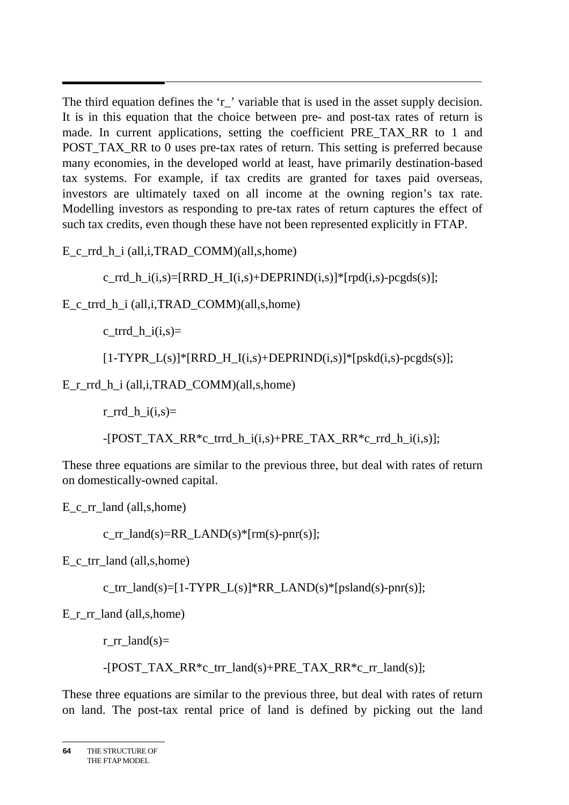The third equation defines the 'r\_' variable that is used in the asset supply decision. It is in this equation that the choice between pre- and post-tax rates of return is made. In current applications, setting the coefficient PRE\_TAX\_RR to 1 and POST TAX RR to 0 uses pre-tax rates of return. This setting is preferred because many economies, in the developed world at least, have primarily destination-based tax systems. For example, if tax credits are granted for taxes paid overseas, investors are ultimately taxed on all income at the owning region's tax rate. Modelling investors as responding to pre-tax rates of return captures the effect of such tax credits, even though these have not been represented explicitly in FTAP.

E\_c\_rrd\_h\_i (all,i,TRAD\_COMM)(all,s,home)

c\_rrd\_h\_i(i,s)=[RRD\_H\_I(i,s)+DEPRIND(i,s)]\*[rpd(i,s)-pcgds(s)];

E\_c\_trrd\_h\_i (all,i,TRAD\_COMM)(all,s,home)

c trrd h  $i(i,s)=$ 

 $[1-TYPR_L(s)]*[RRD_H_I(i,s)+DEPRIND(i,s)]*[pskd(i,s)-pcgds(s)];$ 

E\_r\_rrd\_h\_i (all,i,TRAD\_COMM)(all,s,home)

r\_rrd\_h\_ $i(i,s)=$ 

 $-[POST_TAX_RR*c_Trrd_hi(i,s)+PRE_TAX_RR*c_Trd_hi(i,s)];$ 

These three equations are similar to the previous three, but deal with rates of return on domestically-owned capital.

 $E_c$  r land (all, s, home)

c\_rr\_land(s)=RR\_LAND(s)\*[rm(s)-pnr(s)];

E c trr land (all, s, home)

c\_trr\_land(s)=[1-TYPR\_L(s)]\*RR\_LAND(s)\*[psland(s)-pnr(s)];

 $E_r$ r rr land (all, s, home)

 $rrr\_land(s)=$ 

-[POST\_TAX\_RR\*c\_trr\_land(s)+PRE\_TAX\_RR\*c\_rr\_land(s)];

These three equations are similar to the previous three, but deal with rates of return on land. The post-tax rental price of land is defined by picking out the land

**<sup>64</sup>** THE STRUCTURE OF THE FTAP MODEL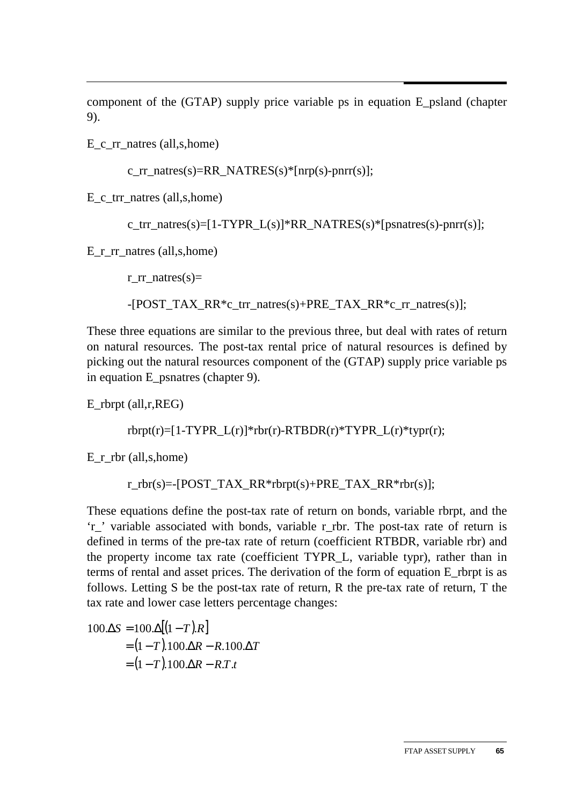component of the (GTAP) supply price variable ps in equation E\_psland (chapter 9).

E c rr natres (all, s, home)

c\_rr\_natres(s)=RR\_NATRES(s)\*[nrp(s)-pnrr(s)];

E\_c\_trr\_natres (all,s,home)

c\_trr\_natres(s)=[1-TYPR\_L(s)]\*RR\_NATRES(s)\*[psnatres(s)-pnrr(s)];

E  $r$  rr natres (all, s, home)

r\_rr natres(s)=

-[POST\_TAX\_RR\*c\_trr\_natres(s)+PRE\_TAX\_RR\*c\_rr\_natres(s)];

These three equations are similar to the previous three, but deal with rates of return on natural resources. The post-tax rental price of natural resources is defined by picking out the natural resources component of the (GTAP) supply price variable ps in equation E\_psnatres (chapter 9).

E\_rbrpt  $(all.r, REG)$ 

rbrpt(r)=[1-TYPR\_L(r)]\*rbr(r)-RTBDR(r)\*TYPR\_L(r)\*typr(r);

E r rbr (all, s, home)

 $r_rbr(s) = -[POST_TAX_RR*rbrt(s) + PRE_TAX_RR*rbrt(s)];$ 

These equations define the post-tax rate of return on bonds, variable rbrpt, and the 'r\_' variable associated with bonds, variable r\_rbr. The post-tax rate of return is defined in terms of the pre-tax rate of return (coefficient RTBDR, variable rbr) and the property income tax rate (coefficient TYPR\_L, variable typr), rather than in terms of rental and asset prices. The derivation of the form of equation E\_rbrpt is as follows. Letting S be the post-tax rate of return, R the pre-tax rate of return, T the tax rate and lower case letters percentage changes:

 $100.\Delta S = 100.\Delta[(1 - T).R]$  $=(1 - T) \cdot 100 \cdot \Delta R - R \cdot 100 \cdot \Delta T$  $=(1 - T) \cdot 100 \cdot \Delta R - R \cdot T \cdot t$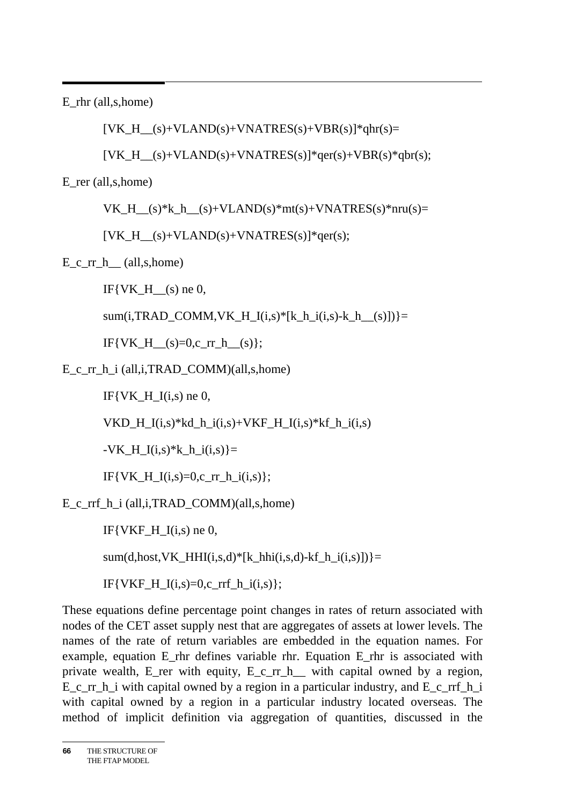E\_rhr (all,s,home)

 $[VK_H (s)+VLAND(s)+VNATRES(s)+VBR(s)]*qhr(s)=$ 

 $[VK_H (s)+VLAND(s)+VNATRES(s)]*qer(s)+VBR(s)*qbr(s);$ 

E\_rer (all,s,home)

VK\_H\_(s)\*k\_h\_(s)+VLAND(s)\*mt(s)+VNATRES(s)\*nru(s)=

[VK H  $(s)+VLAND(s)+VNATRES(s)]*qer(s);$ 

E c rr h  $(all,s,home)$ 

IF $\{VK \ H \}$  (s) ne 0,

sum(i,TRAD\_COMM,VK\_H\_I(i,s)\*[k\_h\_i(i,s)-k\_h\_(s)])}=

 $IF{VK_H_{s=0, c\_rr_h_{s}}(s)};$ 

E\_c\_rr\_h\_i (all,i,TRAD\_COMM)(all,s,home)

IF $\{VK H I(i,s) \neq 0,$ 

VKD H I(i,s)\*kd h i(i,s)+VKF H I(i,s)\*kf h i(i,s)

 $-VK_H_{i(s)}*k_h_{i(i,s)}=$ 

IF{VK H I(i,s)=0,c rr h i(i,s)};

E\_c\_rrf\_h\_i (all,i,TRAD\_COMM)(all,s,home)

 $IF{VKF_H_I(i,s)}$  ne 0,

 $sum(d, host, VK_HHI(i, s, d)*[k_hhi(i, s, d)-kf_h(i, s)])$  =

IF{VKF H I(i,s)=0,c rrf h i(i,s)};

These equations define percentage point changes in rates of return associated with nodes of the CET asset supply nest that are aggregates of assets at lower levels. The names of the rate of return variables are embedded in the equation names. For example, equation E\_rhr defines variable rhr. Equation E\_rhr is associated with private wealth, E\_rer with equity, E\_c\_rr\_h\_ with capital owned by a region, E c rr h i with capital owned by a region in a particular industry, and E c rrf h i with capital owned by a region in a particular industry located overseas. The method of implicit definition via aggregation of quantities, discussed in the

**<sup>66</sup>** THE STRUCTURE OF THE FTAP MODEL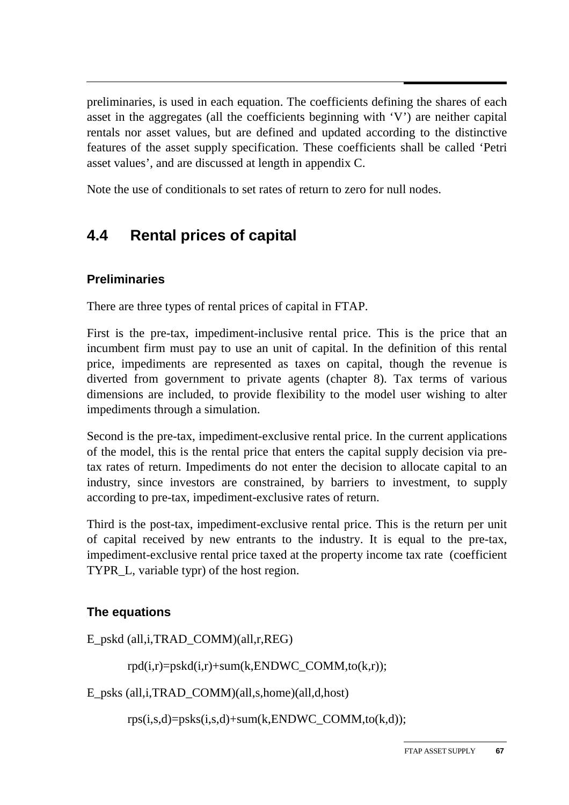preliminaries, is used in each equation. The coefficients defining the shares of each asset in the aggregates (all the coefficients beginning with 'V') are neither capital rentals nor asset values, but are defined and updated according to the distinctive features of the asset supply specification. These coefficients shall be called 'Petri asset values', and are discussed at length in appendix C.

Note the use of conditionals to set rates of return to zero for null nodes.

# **4.4 Rental prices of capital**

### **Preliminaries**

There are three types of rental prices of capital in FTAP.

First is the pre-tax, impediment-inclusive rental price. This is the price that an incumbent firm must pay to use an unit of capital. In the definition of this rental price, impediments are represented as taxes on capital, though the revenue is diverted from government to private agents (chapter 8). Tax terms of various dimensions are included, to provide flexibility to the model user wishing to alter impediments through a simulation.

Second is the pre-tax, impediment-exclusive rental price. In the current applications of the model, this is the rental price that enters the capital supply decision via pretax rates of return. Impediments do not enter the decision to allocate capital to an industry, since investors are constrained, by barriers to investment, to supply according to pre-tax, impediment-exclusive rates of return.

Third is the post-tax, impediment-exclusive rental price. This is the return per unit of capital received by new entrants to the industry. It is equal to the pre-tax, impediment-exclusive rental price taxed at the property income tax rate (coefficient TYPR L, variable typr) of the host region.

### **The equations**

```
E_pskd (all,i,TRAD_COMM)(all,r,REG)
```

```
rpd(i,r)=pskd(i,r)+sum(k,ENDWC\_COMM,to(k,r));
```
E\_psks (all,i,TRAD\_COMM)(all,s,home)(all,d,host)

 $rps(i,s,d)=psks(i,s,d)+sum(k,ENDWC\_COMM,to(k,d));$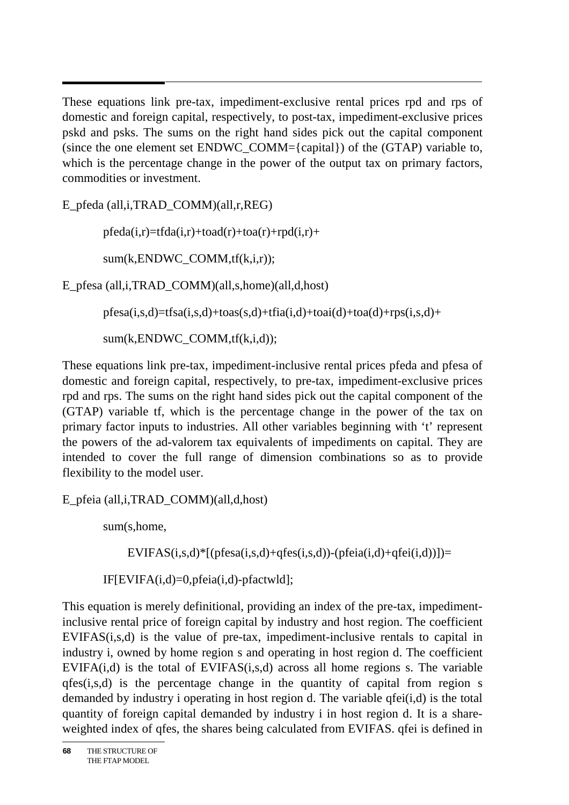These equations link pre-tax, impediment-exclusive rental prices rpd and rps of domestic and foreign capital, respectively, to post-tax, impediment-exclusive prices pskd and psks. The sums on the right hand sides pick out the capital component (since the one element set ENDWC\_COMM={capital}) of the (GTAP) variable to, which is the percentage change in the power of the output tax on primary factors, commodities or investment.

E\_pfeda (all,i,TRAD\_COMM)(all,r,REG)

```
pfeda(i,r)=tfda(i,r)+toad(r)+toa(r)+rpd(i,r)+
```
 $sum(k, ENDWC$  COMM,tf $(k,i,r)$ ;

E\_pfesa (all,i,TRAD\_COMM)(all,s,home)(all,d,host)

 $pfesa(i,s,d)=tfsa(i,s,d)+toas(s,d)+tfia(i,d)+toai(d)+toa(d)+rps(i,s,d)+$ 

 $sum(k, ENDWC$  COMM,tf $(k,i,d)$ );

These equations link pre-tax, impediment-inclusive rental prices pfeda and pfesa of domestic and foreign capital, respectively, to pre-tax, impediment-exclusive prices rpd and rps. The sums on the right hand sides pick out the capital component of the (GTAP) variable tf, which is the percentage change in the power of the tax on primary factor inputs to industries. All other variables beginning with 't' represent the powers of the ad-valorem tax equivalents of impediments on capital. They are intended to cover the full range of dimension combinations so as to provide flexibility to the model user.

E\_pfeia (all,i,TRAD\_COMM)(all,d,host)

sum(s,home,

EVIFAS(i,s,d)\*[(pfesa(i,s,d)+qfes(i,s,d))-(pfeia(i,d)+qfei(i,d))])=

 $IF[EVIFA(i,d)=0,pfeia(i,d)-pfactwld];$ 

This equation is merely definitional, providing an index of the pre-tax, impedimentinclusive rental price of foreign capital by industry and host region. The coefficient EVIFAS(i,s,d) is the value of pre-tax, impediment-inclusive rentals to capital in industry i, owned by home region s and operating in host region d. The coefficient EVIFA $(i,d)$  is the total of EVIFA $S(i,s,d)$  across all home regions s. The variable  $qfes(i,s,d)$  is the percentage change in the quantity of capital from region s demanded by industry i operating in host region d. The variable qfei(i,d) is the total quantity of foreign capital demanded by industry i in host region d. It is a shareweighted index of qfes, the shares being calculated from EVIFAS. qfei is defined in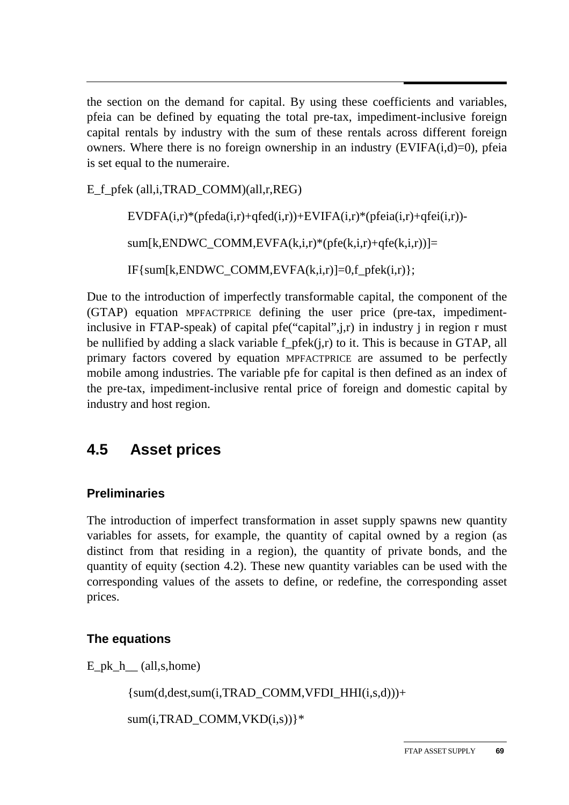the section on the demand for capital. By using these coefficients and variables, pfeia can be defined by equating the total pre-tax, impediment-inclusive foreign capital rentals by industry with the sum of these rentals across different foreign owners. Where there is no foreign ownership in an industry  $(EVIFA(i,d)=0)$ , pfeia is set equal to the numeraire.

E\_f\_pfek (all,i,TRAD\_COMM)(all,r,REG)

 $EVDFA(i,r)*(pfeda(i,r)+qfed(i,r))+EVIFA(i,r)*(pfeia(i,r)+qfei(i,r))$  $sum[k,ENDWC\_COMM, EVFA(k,i,r)*(pfe(k,i,r)+qfe(k,i,r))]$ = IF{sum[k,ENDWC\_COMM,EVFA $(k,i,r)$ ]=0,f\_pfek $(i,r)$ };

Due to the introduction of imperfectly transformable capital, the component of the (GTAP) equation MPFACTPRICE defining the user price (pre-tax, impedimentinclusive in FTAP-speak) of capital pfe("capital",j,r) in industry j in region r must be nullified by adding a slack variable f  $pfek(j,r)$  to it. This is because in GTAP, all primary factors covered by equation MPFACTPRICE are assumed to be perfectly mobile among industries. The variable pfe for capital is then defined as an index of the pre-tax, impediment-inclusive rental price of foreign and domestic capital by industry and host region.

# **4.5 Asset prices**

### **Preliminaries**

The introduction of imperfect transformation in asset supply spawns new quantity variables for assets, for example, the quantity of capital owned by a region (as distinct from that residing in a region), the quantity of private bonds, and the quantity of equity (section 4.2). These new quantity variables can be used with the corresponding values of the assets to define, or redefine, the corresponding asset prices.

### **The equations**

E pk  $h$  (all, s, home)

 $\{sum(d, dest, sum(i, TRAD_COMM, VFDI_HHI(i,s,d)))+\}$ 

 $sum(i, TRAD_COMM, VKD(i,s))$ <sup>\*</sup>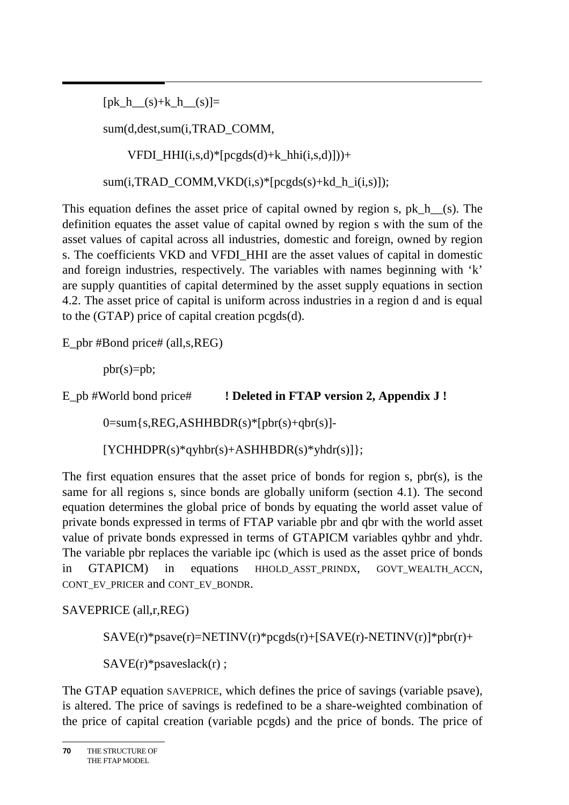$[pk_h_{(s)+k_h_{(s)}]=$ 

sum(d,dest,sum(i,TRAD\_COMM,

 $VFDI_HHI(i,s,d)*[pegds(d)+k_hhi(i,s,d)])+$ 

sum(i,TRAD\_COMM,VKD(i,s)\*[pcgds(s)+kd\_h\_i(i,s)]);

This equation defines the asset price of capital owned by region s, pk h (s). The definition equates the asset value of capital owned by region s with the sum of the asset values of capital across all industries, domestic and foreign, owned by region s. The coefficients VKD and VFDI\_HHI are the asset values of capital in domestic and foreign industries, respectively. The variables with names beginning with 'k' are supply quantities of capital determined by the asset supply equations in section 4.2. The asset price of capital is uniform across industries in a region d and is equal to the (GTAP) price of capital creation pcgds(d).

E\_pbr #Bond price# (all,s,REG)

 $pbr(s)=pb;$ 

E\_pb #World bond price# **! Deleted in FTAP version 2, Appendix J !**

 $0=sum{s, REG, ASHHBDR(s)*[pbr(s)+qbr(s)]-}$ 

[YCHHDPR(s)\*qyhbr(s)+ASHHBDR(s)\*yhdr(s)]};

The first equation ensures that the asset price of bonds for region s, pbr(s), is the same for all regions s, since bonds are globally uniform (section 4.1). The second equation determines the global price of bonds by equating the world asset value of private bonds expressed in terms of FTAP variable pbr and qbr with the world asset value of private bonds expressed in terms of GTAPICM variables qyhbr and yhdr. The variable pbr replaces the variable ipc (which is used as the asset price of bonds in GTAPICM) in equations HHOLD ASST\_PRINDX, GOVT\_WEALTH\_ACCN, CONT EV PRICER and CONT EV BONDR.

SAVEPRICE (all,r,REG)

 $SAVE(r)*psave(r)=NETINV(r)*pcgds(r)+[SAVE(r)-NETINV(r)]*pbr(r)+$ 

 $SAVE(r)*p$ saveslack $(r)$ ;

The GTAP equation SAVEPRICE, which defines the price of savings (variable psave), is altered. The price of savings is redefined to be a share-weighted combination of the price of capital creation (variable pcgds) and the price of bonds. The price of

**<sup>70</sup>** THE STRUCTURE OF THE FTAP MODEL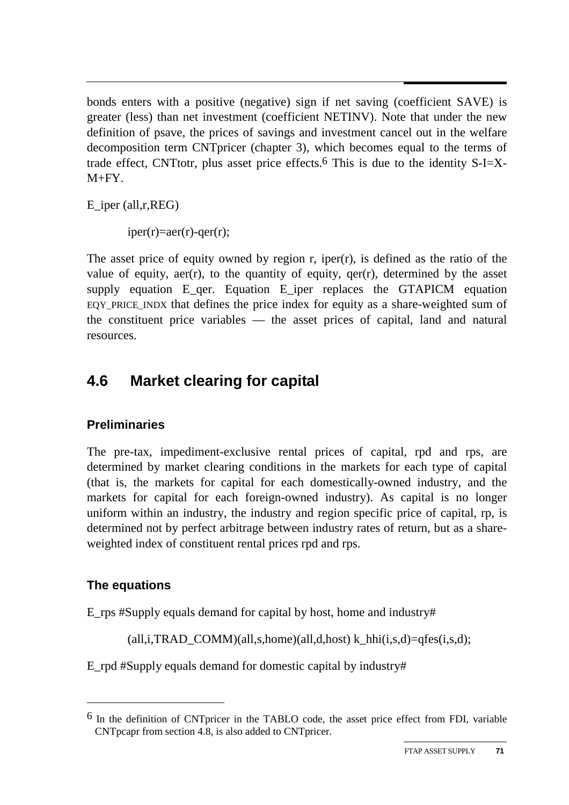bonds enters with a positive (negative) sign if net saving (coefficient SAVE) is greater (less) than net investment (coefficient NETINV). Note that under the new definition of psave, the prices of savings and investment cancel out in the welfare decomposition term CNTpricer (chapter 3), which becomes equal to the terms of trade effect, CNTtotr, plus asset price effects.<sup>6</sup> This is due to the identity  $S-I=X M + FY$ 

E\_iper (all,r,REG)

 $iper(r)=aer(r)-qer(r);$ 

The asset price of equity owned by region r, iper $(r)$ , is defined as the ratio of the value of equity,  $aer(r)$ , to the quantity of equity,  $qer(r)$ , determined by the asset supply equation E\_qer. Equation E\_iper replaces the GTAPICM equation EQY PRICE INDX that defines the price index for equity as a share-weighted sum of the constituent price variables — the asset prices of capital, land and natural resources.

## **4.6 Market clearing for capital**

#### **Preliminaries**

The pre-tax, impediment-exclusive rental prices of capital, rpd and rps, are determined by market clearing conditions in the markets for each type of capital (that is, the markets for capital for each domestically-owned industry, and the markets for capital for each foreign-owned industry). As capital is no longer uniform within an industry, the industry and region specific price of capital, rp, is determined not by perfect arbitrage between industry rates of return, but as a shareweighted index of constituent rental prices rpd and rps.

#### **The equations**

 $\overline{a}$ 

E\_rps #Supply equals demand for capital by host, home and industry#

(all,i,TRAD\_COMM)(all,s,home)(all,d,host) k\_hhi(i,s,d)=qfes(i,s,d);

E\_rpd #Supply equals demand for domestic capital by industry#

<sup>6</sup> In the definition of CNTpricer in the TABLO code, the asset price effect from FDI, variable CNTpcapr from section 4.8, is also added to CNTpricer.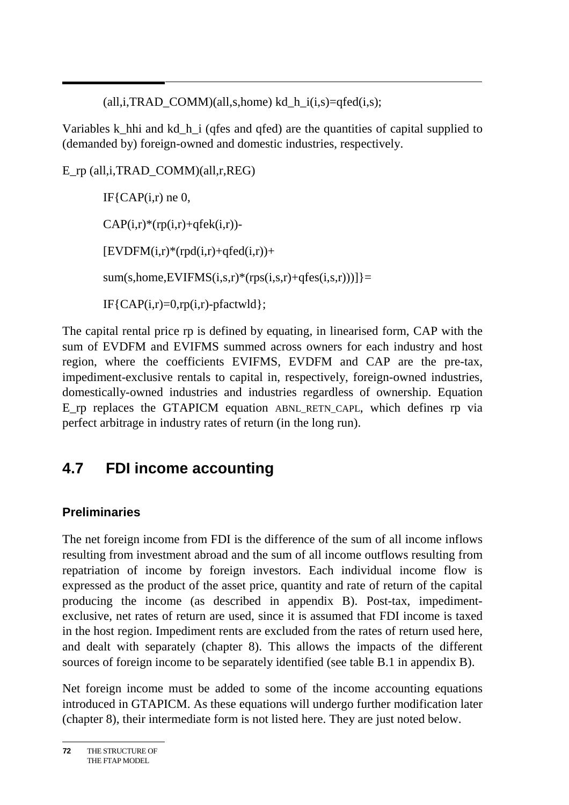$all,i,TRAD\_COMM)(all,s,home)$  kd\_h\_i $(i,s)=qfed(i,s);$ 

Variables k\_hhi and kd\_h\_i (qfes and qfed) are the quantities of capital supplied to (demanded by) foreign-owned and domestic industries, respectively.

E\_rp (all,i,TRAD\_COMM)(all,r,REG)  $IF{CAP(i,r)}$  ne 0,  $CAP(i,r)*(rp(i,r)+qfek(i,r))$ - $[EVDFM(i,r)*(rpd(i,r)+qfed(i,r))+$  $sum(s, home, EVIFMS(i, s, r)*(rps(i, s, r)+qfes(i, s, r)))$ ] =  $IF{CAP(i,r)=0, rp(i,r)-pfactwld};$ 

The capital rental price rp is defined by equating, in linearised form, CAP with the sum of EVDFM and EVIFMS summed across owners for each industry and host region, where the coefficients EVIFMS, EVDFM and CAP are the pre-tax, impediment-exclusive rentals to capital in, respectively, foreign-owned industries, domestically-owned industries and industries regardless of ownership. Equation E\_rp replaces the GTAPICM equation ABNL\_RETN\_CAPL, which defines rp via perfect arbitrage in industry rates of return (in the long run).

# **4.7 FDI income accounting**

### **Preliminaries**

The net foreign income from FDI is the difference of the sum of all income inflows resulting from investment abroad and the sum of all income outflows resulting from repatriation of income by foreign investors. Each individual income flow is expressed as the product of the asset price, quantity and rate of return of the capital producing the income (as described in appendix B). Post-tax, impedimentexclusive, net rates of return are used, since it is assumed that FDI income is taxed in the host region. Impediment rents are excluded from the rates of return used here, and dealt with separately (chapter 8). This allows the impacts of the different sources of foreign income to be separately identified (see table B.1 in appendix B).

Net foreign income must be added to some of the income accounting equations introduced in GTAPICM. As these equations will undergo further modification later (chapter 8), their intermediate form is not listed here. They are just noted below.

**<sup>72</sup>** THE STRUCTURE OF THE FTAP MODEL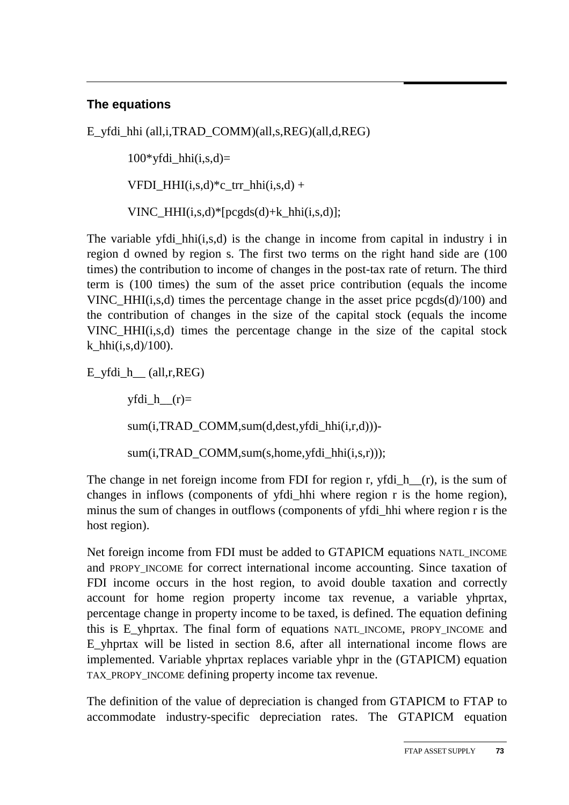#### **The equations**

E\_yfdi\_hhi (all,i,TRAD\_COMM)(all,s,REG)(all,d,REG)

 $100*$ yfdi\_hhi $(i,s,d)=$  $VFDI_HHI(i,s,d)*c_trr_hhi(i,s,d) +$  $VINC_HHI(i,s,d)*[pegds(d)+k_hhi(i,s,d)];$ 

The variable yfdi  $hhi(i,s,d)$  is the change in income from capital in industry i in region d owned by region s. The first two terms on the right hand side are (100 times) the contribution to income of changes in the post-tax rate of return. The third term is (100 times) the sum of the asset price contribution (equals the income VINC HHI(i,s,d) times the percentage change in the asset price pcgds(d)/100) and the contribution of changes in the size of the capital stock (equals the income VINC\_HHI(i,s,d) times the percentage change in the size of the capital stock  $k_1$ hhi $(i, s, d)/100$ ).

E yfdi  $h$  (all,r,REG)

 $yfdi_h$  (r)= sum(i,TRAD\_COMM,sum(d,dest,yfdi\_hhi(i,r,d))) sum(i,TRAD\_COMM,sum(s,home,yfdi\_hhi(i,s,r)));

The change in net foreign income from FDI for region r, yfdi h (r), is the sum of changes in inflows (components of yfdi\_hhi where region r is the home region), minus the sum of changes in outflows (components of yfdi\_hhi where region r is the host region).

Net foreign income from FDI must be added to GTAPICM equations NATL\_INCOME and PROPY\_INCOME for correct international income accounting. Since taxation of FDI income occurs in the host region, to avoid double taxation and correctly account for home region property income tax revenue, a variable yhprtax, percentage change in property income to be taxed, is defined. The equation defining this is E\_yhprtax. The final form of equations NATL\_INCOME, PROPY\_INCOME and E\_yhprtax will be listed in section 8.6, after all international income flows are implemented. Variable yhprtax replaces variable yhpr in the (GTAPICM) equation TAX PROPY INCOME defining property income tax revenue.

The definition of the value of depreciation is changed from GTAPICM to FTAP to accommodate industry-specific depreciation rates. The GTAPICM equation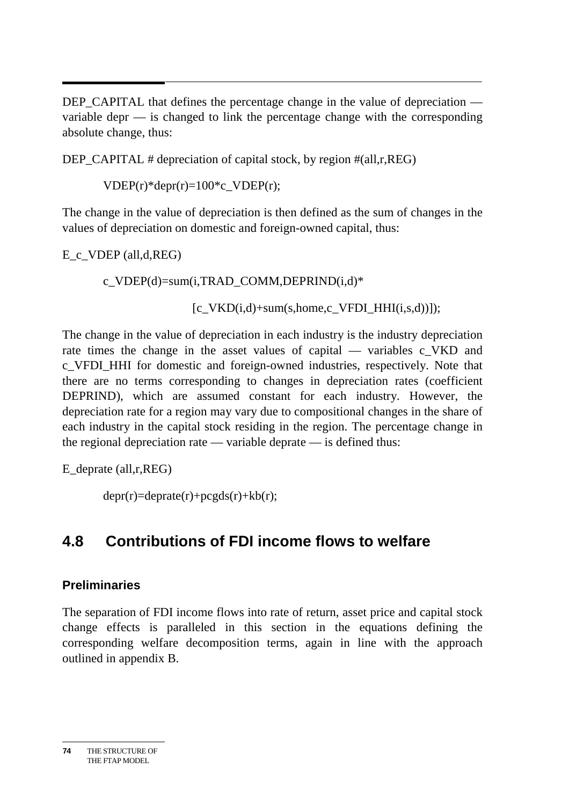DEP CAPITAL that defines the percentage change in the value of depreciation variable depr — is changed to link the percentage change with the corresponding absolute change, thus:

DEP\_CAPITAL # depreciation of capital stock, by region #(all,r,REG)

 $VDEP(r)*depr(r)=100*c_VDEP(r);$ 

The change in the value of depreciation is then defined as the sum of changes in the values of depreciation on domestic and foreign-owned capital, thus:

E\_c\_VDEP (all,d,REG)

c\_VDEP(d)=sum(i,TRAD\_COMM,DEPRIND(i,d)\*

 $[c$  VKD $(i,d)$ +sum $(s,home,c$  VFDI HHI $(i,s,d))$ );

The change in the value of depreciation in each industry is the industry depreciation rate times the change in the asset values of capital — variables c\_VKD and c\_VFDI\_HHI for domestic and foreign-owned industries, respectively. Note that there are no terms corresponding to changes in depreciation rates (coefficient DEPRIND), which are assumed constant for each industry. However, the depreciation rate for a region may vary due to compositional changes in the share of each industry in the capital stock residing in the region. The percentage change in the regional depreciation rate — variable deprate — is defined thus:

E\_deprate (all,r,REG)

 $depr(r)=deprate(r)+pcgds(r)+kb(r);$ 

### **4.8 Contributions of FDI income flows to welfare**

#### **Preliminaries**

The separation of FDI income flows into rate of return, asset price and capital stock change effects is paralleled in this section in the equations defining the corresponding welfare decomposition terms, again in line with the approach outlined in appendix B.

**<sup>74</sup>** THE STRUCTURE OF THE FTAP MODEL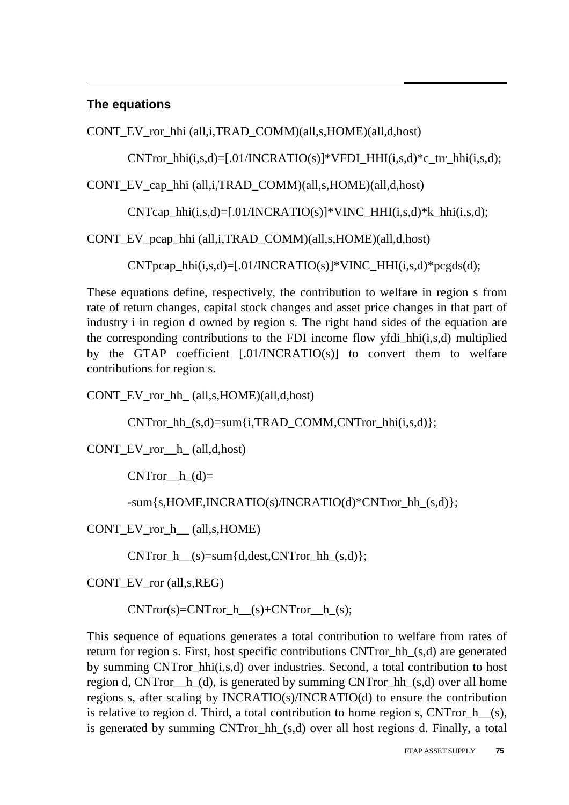#### **The equations**

CONT\_EV\_ror\_hhi (all,i,TRAD\_COMM)(all,s,HOME)(all,d,host)

 $CNTror_hhi(i,s,d)=[.01/INCRATION(s)]*VFDI_HHI(i,s,d)*c_trr_hhi(i,s,d);$ 

CONT\_EV\_cap\_hhi (all,i,TRAD\_COMM)(all,s,HOME)(all,d,host)

CNTcap\_hhi(i,s,d)=[.01/INCRATIO(s)]\*VINC\_HHI(i,s,d)\*k\_hhi(i,s,d);

CONT\_EV\_pcap\_hhi (all,i,TRAD\_COMM)(all,s,HOME)(all,d,host)

 $CNTpcap_hhi(i,s,d)=[.01/INCRATIO(s)]*VINC_HHI(i,s,d)*pcgds(d);$ 

These equations define, respectively, the contribution to welfare in region s from rate of return changes, capital stock changes and asset price changes in that part of industry i in region d owned by region s. The right hand sides of the equation are the corresponding contributions to the FDI income flow yfdi  $hhi(i,s,d)$  multiplied by the GTAP coefficient [.01/INCRATIO(s)] to convert them to welfare contributions for region s.

CONT\_EV\_ror\_hh\_ (all,s,HOME)(all,d,host)

 $CNTror_hh_s(s,d)=sum{i,TRAD_COMM,CNTror_hhi(i,s,d)};$ 

CONT\_EV\_ror\_\_h\_ (all,d,host)

CNTror  $h(d)=$ 

-sum{s,HOME,INCRATIO(s)/INCRATIO(d)\*CNTror\_hh\_(s,d)};

CONT\_EV\_ror\_h\_\_ (all,s,HOME)

CNTror h  $(s)=sum{d,dest,CNT}$  (s,d)};

CONT\_EV\_ror (all,s,REG)

 $CNTror(s)=CNTror_h$  (s)+CNTror\_h\_(s);

This sequence of equations generates a total contribution to welfare from rates of return for region s. First, host specific contributions CNTror\_hh\_(s,d) are generated by summing CNTror hhi(i,s,d) over industries. Second, a total contribution to host region d, CNTror h (d), is generated by summing CNTror hh (s,d) over all home regions s, after scaling by INCRATIO(s)/INCRATIO(d) to ensure the contribution is relative to region d. Third, a total contribution to home region s, CNTror<sub>\_h\_(s)</sub>, is generated by summing CNTror hh (s,d) over all host regions d. Finally, a total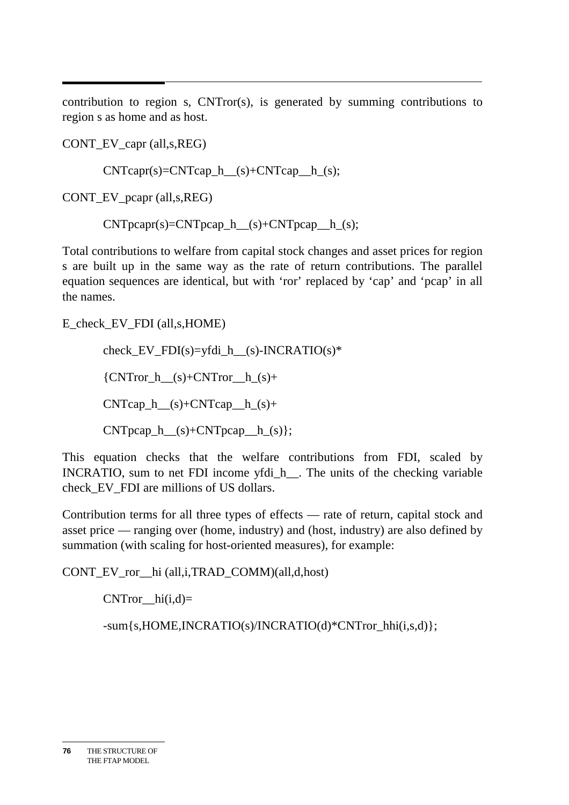contribution to region s, CNTror(s), is generated by summing contributions to region s as home and as host.

CONT\_EV\_capr (all,s,REG)

 $CNTcap(s)=CNTcap_h$ <sub>(s)+CNTcap<sub>\_h</sub><sub>(s);</sub></sub>

CONT\_EV\_pcapr (all,s,REG)

 $CNTpcapr(s) = CNTpcap_h$  (s)+CNTpcap\_h\_(s);

Total contributions to welfare from capital stock changes and asset prices for region s are built up in the same way as the rate of return contributions. The parallel equation sequences are identical, but with 'ror' replaced by 'cap' and 'pcap' in all the names.

E\_check\_EV\_FDI (all,s,HOME)

check EV FDI(s)=yfdi h (s)-INCRATIO(s)\*  ${CNTror_h_ (s)+CNTror_h_ (s)+}$  $CNTcap_h$ <sub>(s)+</sub>CNTcap<sub>h(s)+</sub> CNTpcap\_h\_(s)+CNTpcap\_h\_(s) $\}$ ;

This equation checks that the welfare contributions from FDI, scaled by INCRATIO, sum to net FDI income yfdi\_h\_\_. The units of the checking variable check\_EV\_FDI are millions of US dollars.

Contribution terms for all three types of effects — rate of return, capital stock and asset price — ranging over (home, industry) and (host, industry) are also defined by summation (with scaling for host-oriented measures), for example:

CONT\_EV\_ror\_\_hi (all,i,TRAD\_COMM)(all,d,host)

 $CNTror\_hi(i,d)=$ 

-sum{s,HOME,INCRATIO(s)/INCRATIO(d)\*CNTror\_hhi(i,s,d)};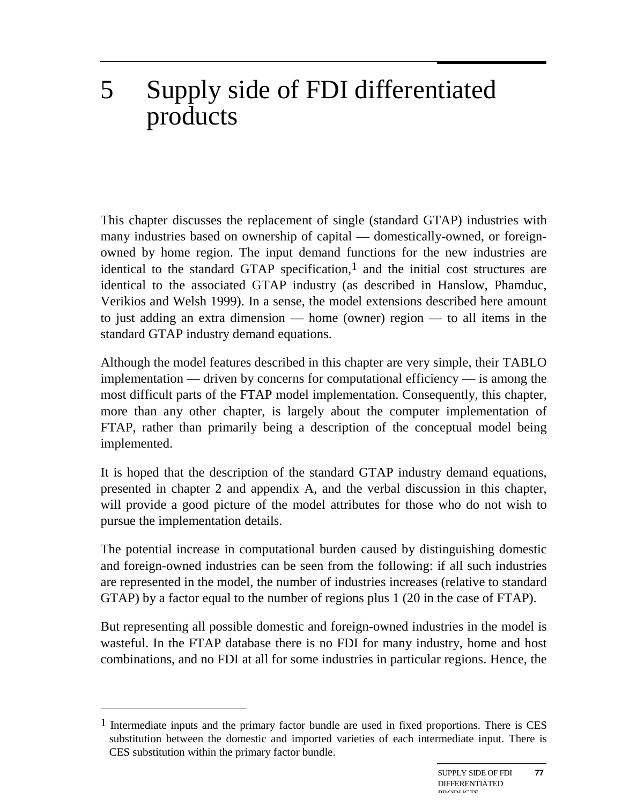# 5 Supply side of FDI differentiated products

This chapter discusses the replacement of single (standard GTAP) industries with many industries based on ownership of capital — domestically-owned, or foreignowned by home region. The input demand functions for the new industries are identical to the standard GTAP specification,<sup>1</sup> and the initial cost structures are identical to the associated GTAP industry (as described in Hanslow, Phamduc, Verikios and Welsh 1999). In a sense, the model extensions described here amount to just adding an extra dimension — home (owner) region — to all items in the standard GTAP industry demand equations.

Although the model features described in this chapter are very simple, their TABLO implementation — driven by concerns for computational efficiency — is among the most difficult parts of the FTAP model implementation. Consequently, this chapter, more than any other chapter, is largely about the computer implementation of FTAP, rather than primarily being a description of the conceptual model being implemented.

It is hoped that the description of the standard GTAP industry demand equations, presented in chapter 2 and appendix A, and the verbal discussion in this chapter, will provide a good picture of the model attributes for those who do not wish to pursue the implementation details.

The potential increase in computational burden caused by distinguishing domestic and foreign-owned industries can be seen from the following: if all such industries are represented in the model, the number of industries increases (relative to standard GTAP) by a factor equal to the number of regions plus 1 (20 in the case of FTAP).

But representing all possible domestic and foreign-owned industries in the model is wasteful. In the FTAP database there is no FDI for many industry, home and host combinations, and no FDI at all for some industries in particular regions. Hence, the

 $\overline{a}$ 

<sup>1</sup> Intermediate inputs and the primary factor bundle are used in fixed proportions. There is CES substitution between the domestic and imported varieties of each intermediate input. There is CES substitution within the primary factor bundle.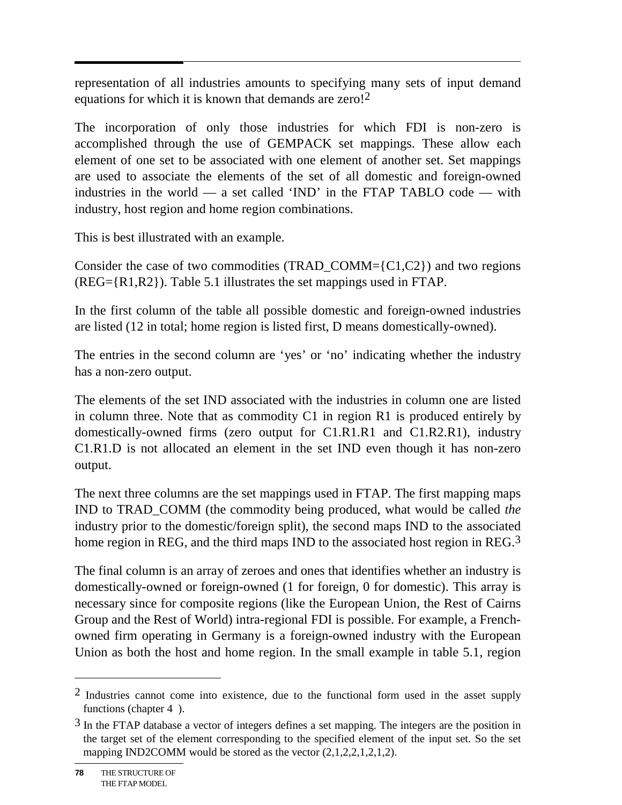representation of all industries amounts to specifying many sets of input demand equations for which it is known that demands are zero!<sup>2</sup>

The incorporation of only those industries for which FDI is non-zero is accomplished through the use of GEMPACK set mappings. These allow each element of one set to be associated with one element of another set. Set mappings are used to associate the elements of the set of all domestic and foreign-owned industries in the world — a set called 'IND' in the FTAP TABLO code — with industry, host region and home region combinations.

This is best illustrated with an example.

Consider the case of two commodities (TRAD\_COMM= $\{C1, C2\}$ ) and two regions  $(REG = {R1, R2})$ . Table 5.1 illustrates the set mappings used in FTAP.

In the first column of the table all possible domestic and foreign-owned industries are listed (12 in total; home region is listed first, D means domestically-owned).

The entries in the second column are 'yes' or 'no' indicating whether the industry has a non-zero output.

The elements of the set IND associated with the industries in column one are listed in column three. Note that as commodity C1 in region R1 is produced entirely by domestically-owned firms (zero output for C1.R1.R1 and C1.R2.R1), industry C1.R1.D is not allocated an element in the set IND even though it has non-zero output.

The next three columns are the set mappings used in FTAP. The first mapping maps IND to TRAD\_COMM (the commodity being produced, what would be called *the* industry prior to the domestic/foreign split), the second maps IND to the associated home region in REG, and the third maps IND to the associated host region in REG.<sup>3</sup>

The final column is an array of zeroes and ones that identifies whether an industry is domestically-owned or foreign-owned (1 for foreign, 0 for domestic). This array is necessary since for composite regions (like the European Union, the Rest of Cairns Group and the Rest of World) intra-regional FDI is possible. For example, a Frenchowned firm operating in Germany is a foreign-owned industry with the European Union as both the host and home region. In the small example in table 5.1, region

 $\overline{a}$ 

 $2$  Industries cannot come into existence, due to the functional form used in the asset supply functions (chapter 4).

<sup>&</sup>lt;sup>3</sup> In the FTAP database a vector of integers defines a set mapping. The integers are the position in the target set of the element corresponding to the specified element of the input set. So the set mapping IND2COMM would be stored as the vector (2,1,2,2,1,2,1,2).

**<sup>78</sup>** THE STRUCTURE OF THE FTAP MODEL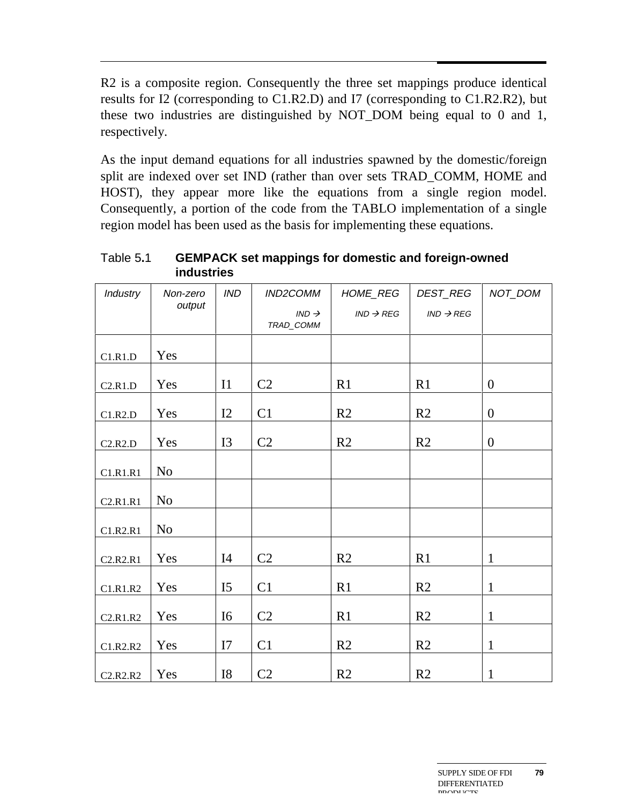R2 is a composite region. Consequently the three set mappings produce identical results for I2 (corresponding to C1.R2.D) and I7 (corresponding to C1.R2.R2), but these two industries are distinguished by NOT\_DOM being equal to 0 and 1, respectively.

As the input demand equations for all industries spawned by the domestic/foreign split are indexed over set IND (rather than over sets TRAD\_COMM, HOME and HOST), they appear more like the equations from a single region model. Consequently, a portion of the code from the TABLO implementation of a single region model has been used as the basis for implementing these equations.

Table 5**.**1 **GEMPACK set mappings for domestic and foreign-owned industries**

| <b>Industry</b>                                | Non-zero       | <b>IND</b>     | IND2COMM                       | <b>HOME_REG</b>       | DEST_REG              | NOT_DOM        |
|------------------------------------------------|----------------|----------------|--------------------------------|-----------------------|-----------------------|----------------|
|                                                | output         |                | $IND \rightarrow$<br>TRAD_COMM | $IND \rightarrow REG$ | $IND \rightarrow REG$ |                |
| C1.R1.D                                        | Yes            |                |                                |                       |                       |                |
| C2.R1.D                                        | Yes            | I1             | C <sub>2</sub>                 | R1                    | R1                    | $\overline{0}$ |
| C1.R2.D                                        | Yes            | 12             | C1                             | R <sub>2</sub>        | R2                    | $\overline{0}$ |
| C2.R2.D                                        | Yes            | I3             | C <sub>2</sub>                 | R2                    | R2                    | $\mathbf{0}$   |
| C1.R1.R1                                       | N <sub>o</sub> |                |                                |                       |                       |                |
| C2.R1.R1                                       | N <sub>o</sub> |                |                                |                       |                       |                |
| C1.R2.R1                                       | N <sub>o</sub> |                |                                |                       |                       |                |
| C2.R2.R1                                       | Yes            | I4             | C <sub>2</sub>                 | R <sub>2</sub>        | R1                    | $\mathbf{1}$   |
| C1.R1.R2                                       | Yes            | I <sub>5</sub> | C1                             | R1                    | R <sub>2</sub>        | $\mathbf{1}$   |
| C2.R1.R2                                       | Yes            | I <sub>6</sub> | C <sub>2</sub>                 | R1                    | R2                    | $\mathbf{1}$   |
| C1.R2.R2                                       | Yes            | I7             | C1                             | R2                    | R2                    | $\mathbf{1}$   |
| C <sub>2</sub> .R <sub>2</sub> .R <sub>2</sub> | Yes            | 18             | C <sub>2</sub>                 | R2                    | R2                    | $\mathbf{1}$   |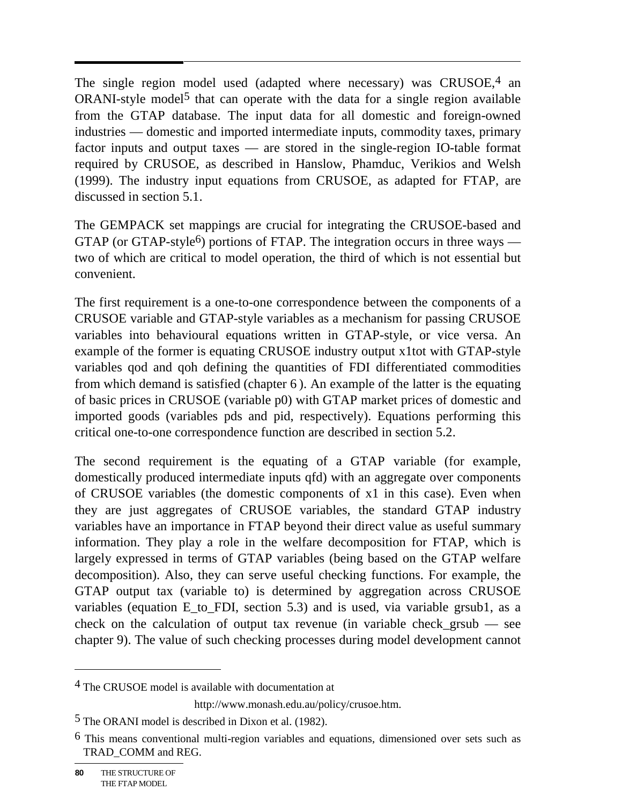The single region model used (adapted where necessary) was CRUSOE,<sup>4</sup> an ORANI-style model<sup>5</sup> that can operate with the data for a single region available from the GTAP database. The input data for all domestic and foreign-owned industries — domestic and imported intermediate inputs, commodity taxes, primary factor inputs and output taxes — are stored in the single-region IO-table format required by CRUSOE, as described in Hanslow, Phamduc, Verikios and Welsh (1999). The industry input equations from CRUSOE, as adapted for FTAP, are discussed in section 5.1.

The GEMPACK set mappings are crucial for integrating the CRUSOE-based and GTAP (or GTAP-style<sup>6</sup>) portions of FTAP. The integration occurs in three ways two of which are critical to model operation, the third of which is not essential but convenient.

The first requirement is a one-to-one correspondence between the components of a CRUSOE variable and GTAP-style variables as a mechanism for passing CRUSOE variables into behavioural equations written in GTAP-style, or vice versa. An example of the former is equating CRUSOE industry output x1tot with GTAP-style variables qod and qoh defining the quantities of FDI differentiated commodities from which demand is satisfied (chapter 6 ). An example of the latter is the equating of basic prices in CRUSOE (variable p0) with GTAP market prices of domestic and imported goods (variables pds and pid, respectively). Equations performing this critical one-to-one correspondence function are described in section 5.2.

The second requirement is the equating of a GTAP variable (for example, domestically produced intermediate inputs qfd) with an aggregate over components of CRUSOE variables (the domestic components of x1 in this case). Even when they are just aggregates of CRUSOE variables, the standard GTAP industry variables have an importance in FTAP beyond their direct value as useful summary information. They play a role in the welfare decomposition for FTAP, which is largely expressed in terms of GTAP variables (being based on the GTAP welfare decomposition). Also, they can serve useful checking functions. For example, the GTAP output tax (variable to) is determined by aggregation across CRUSOE variables (equation E\_to\_FDI, section 5.3) and is used, via variable grsub1, as a check on the calculation of output tax revenue (in variable check\_grsub — see chapter 9). The value of such checking processes during model development cannot

 $\overline{a}$ 

<sup>&</sup>lt;sup>4</sup> The CRUSOE model is available with documentation at

http://www.monash.edu.au/policy/crusoe.htm.

<sup>5</sup> The ORANI model is described in Dixon et al. (1982).

<sup>6</sup> This means conventional multi-region variables and equations, dimensioned over sets such as TRAD\_COMM and REG.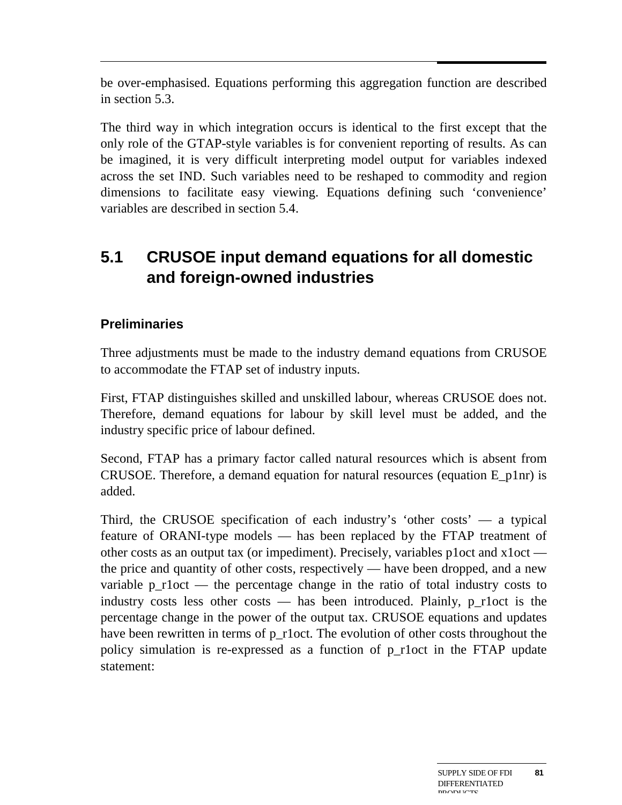be over-emphasised. Equations performing this aggregation function are described in section 5.3.

The third way in which integration occurs is identical to the first except that the only role of the GTAP-style variables is for convenient reporting of results. As can be imagined, it is very difficult interpreting model output for variables indexed across the set IND. Such variables need to be reshaped to commodity and region dimensions to facilitate easy viewing. Equations defining such 'convenience' variables are described in section 5.4.

### **5.1 CRUSOE input demand equations for all domestic and foreign-owned industries**

#### **Preliminaries**

Three adjustments must be made to the industry demand equations from CRUSOE to accommodate the FTAP set of industry inputs.

First, FTAP distinguishes skilled and unskilled labour, whereas CRUSOE does not. Therefore, demand equations for labour by skill level must be added, and the industry specific price of labour defined.

Second, FTAP has a primary factor called natural resources which is absent from CRUSOE. Therefore, a demand equation for natural resources (equation E\_p1nr) is added.

Third, the CRUSOE specification of each industry's 'other costs' — a typical feature of ORANI-type models — has been replaced by the FTAP treatment of other costs as an output tax (or impediment). Precisely, variables p1oct and x1oct the price and quantity of other costs, respectively — have been dropped, and a new variable p\_r1oct — the percentage change in the ratio of total industry costs to industry costs less other costs — has been introduced. Plainly, p\_r1oct is the percentage change in the power of the output tax. CRUSOE equations and updates have been rewritten in terms of  $p_{i}$  and note. The evolution of other costs throughout the policy simulation is re-expressed as a function of p\_r1oct in the FTAP update statement: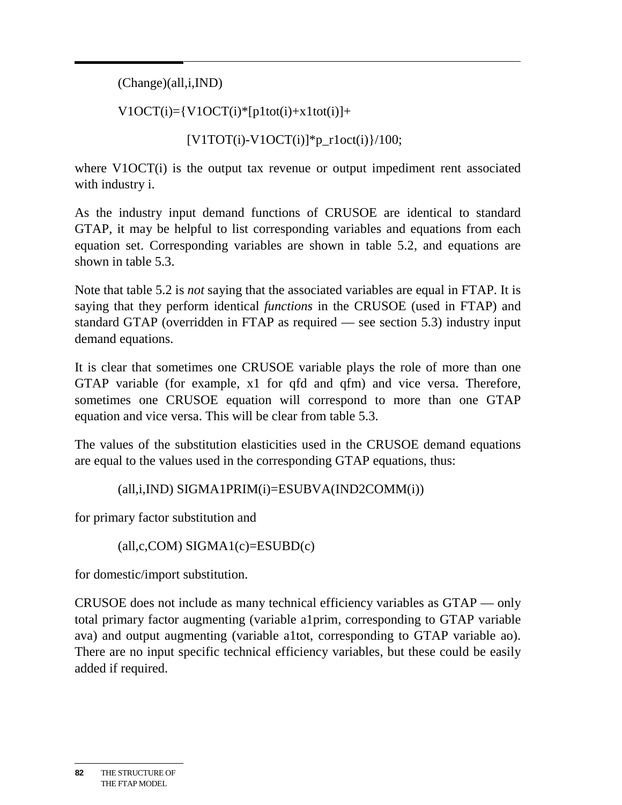(Change)(all,i,IND)

 $V1OCT(i)=\{V1OCT(i)*[pltot(i)+x1tot(i)]+\}$ 

 $[V1TOT(i)-V1OCT(i)]$ <sup>\*</sup>p\_r1oct(i)}/100;

where V1OCT(i) is the output tax revenue or output impediment rent associated with industry i.

As the industry input demand functions of CRUSOE are identical to standard GTAP, it may be helpful to list corresponding variables and equations from each equation set. Corresponding variables are shown in table 5.2, and equations are shown in table 5.3.

Note that table 5.2 is *not* saying that the associated variables are equal in FTAP. It is saying that they perform identical *functions* in the CRUSOE (used in FTAP) and standard GTAP (overridden in FTAP as required — see section 5.3) industry input demand equations.

It is clear that sometimes one CRUSOE variable plays the role of more than one GTAP variable (for example, x1 for qfd and qfm) and vice versa. Therefore, sometimes one CRUSOE equation will correspond to more than one GTAP equation and vice versa. This will be clear from table 5.3.

The values of the substitution elasticities used in the CRUSOE demand equations are equal to the values used in the corresponding GTAP equations, thus:

(all,i,IND) SIGMA1PRIM(i)=ESUBVA(IND2COMM(i))

for primary factor substitution and

 $(all,c,COM)$  SIGMA1 $(c)=$ ESUBD $(c)$ 

for domestic/import substitution.

CRUSOE does not include as many technical efficiency variables as GTAP — only total primary factor augmenting (variable a1prim, corresponding to GTAP variable ava) and output augmenting (variable a1tot, corresponding to GTAP variable ao). There are no input specific technical efficiency variables, but these could be easily added if required.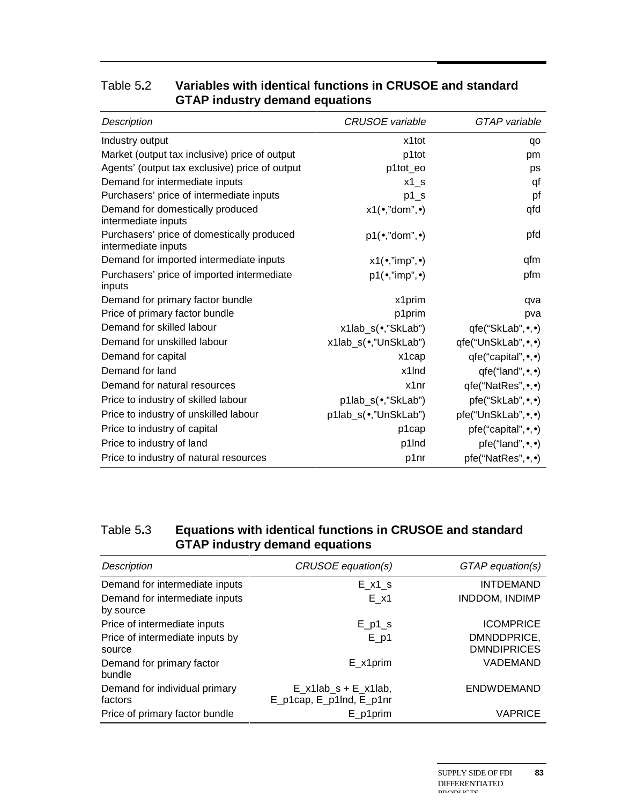| <b>Description</b>                                                | <b>CRUSOE</b> variable        | GTAP variable                      |
|-------------------------------------------------------------------|-------------------------------|------------------------------------|
| Industry output                                                   | x <sub>1</sub> tot            | qo                                 |
| Market (output tax inclusive) price of output                     | p1tot                         | pm                                 |
| Agents' (output tax exclusive) price of output                    | p1tot_eo                      | ps                                 |
| Demand for intermediate inputs                                    | $x1$ s                        | qf                                 |
| Purchasers' price of intermediate inputs                          | $p1_s$                        | pf                                 |
| Demand for domestically produced<br>intermediate inputs           | $x1(\bullet, "dom", \bullet)$ | qfd                                |
| Purchasers' price of domestically produced<br>intermediate inputs | $p1(\bullet, "dom", \bullet)$ | pfd                                |
| Demand for imported intermediate inputs                           | $x1(\bullet, "imp", \bullet)$ | qfm                                |
| Purchasers' price of imported intermediate<br>inputs              | $p1(\bullet, "imp", \bullet)$ | pfm                                |
| Demand for primary factor bundle                                  | x1prim                        | qva                                |
| Price of primary factor bundle                                    | p1prim                        | pva                                |
| Demand for skilled labour                                         | x1lab_s(•,"SkLab")            | qfe("SkLab",•,•)                   |
| Demand for unskilled labour                                       | x1lab_s(•,"UnSkLab")          | qfe("UnSkLab",•,•)                 |
| Demand for capital                                                | x1cap                         | $qfe("capital", \bullet, \bullet)$ |
| Demand for land                                                   | x1lnd                         | $qfe("land", \bullet, \bullet)$    |
| Demand for natural resources                                      | x <sub>1</sub> nr             | qfe("NatRes",•,•)                  |
| Price to industry of skilled labour                               | p1lab_s(•,"SkLab")            | pfe("SkLab",•,•)                   |
| Price to industry of unskilled labour                             | p1lab_s(•,"UnSkLab")          | pfe("UnSkLab",•,•)                 |
| Price to industry of capital                                      | p1cap                         | pfe("capital",•,•)                 |
| Price to industry of land                                         | p1Ind                         | $pfe("land", \bullet, \bullet)$    |
| Price to industry of natural resources                            | p1nr                          | pfe("NatRes",•,•)                  |

#### Table 5**.**2 **Variables with identical functions in CRUSOE and standard GTAP industry demand equations**

#### Table 5**.**3 **Equations with identical functions in CRUSOE and standard GTAP industry demand equations**

| <b>Description</b>                          | CRUSOE equation(s)                                     | GTAP equation(s)                  |
|---------------------------------------------|--------------------------------------------------------|-----------------------------------|
| Demand for intermediate inputs              | $E_x1_s$                                               | <b>INTDEMAND</b>                  |
| Demand for intermediate inputs<br>by source | $E \times 1$                                           | <b>INDDOM, INDIMP</b>             |
| Price of intermediate inputs                | $E_p1_s$                                               | <b>ICOMPRICE</b>                  |
| Price of intermediate inputs by<br>source   | $E_p1$                                                 | DMNDDPRICE,<br><b>DMNDIPRICES</b> |
| Demand for primary factor<br>bundle         | $E_{x1}$ prim                                          | VADEMAND                          |
| Demand for individual primary<br>factors    | $E_x1$ lab $s + E_x1$ lab,<br>E_p1cap, E_p1lnd, E_p1nr | <b>ENDWDEMAND</b>                 |
| Price of primary factor bundle              | $E_p1$ prim                                            | <b>VAPRICE</b>                    |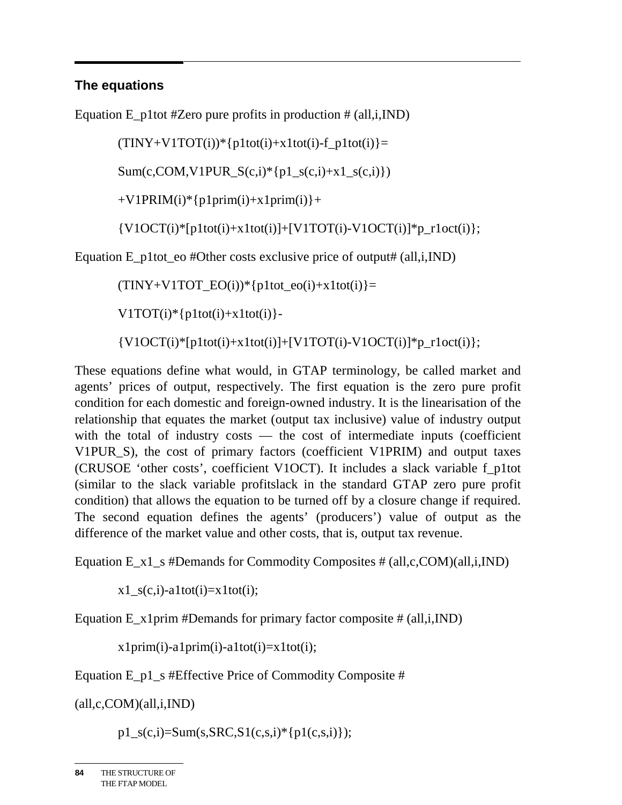#### **The equations**

Equation E\_p1tot  $#Zero$  pure profits in production  $# (all,i,IND)$ 

 $(TINY+V1TOT(i))*{p1tot(i)+x1tot(i)-f_p1tot(i)}=$  $Sum(c, COM, V1PUR_S(c,i)*{p1_s(c,i)+x1_s(c,i)})$ 

 $+V1PRIM(i)*{p1prim(i)+x1prim(i)}+$ 

```
\{V1OCT(i)*[pltot(i)+x1tot(i)]+[V1TOT(i)-V1OCT(i)]*p\_r1oct(i)\};\
```
Equation E\_p1tot\_eo #Other costs exclusive price of output# (all,i,IND)

 $(TINY+V1TOT_EO(i))*{p1tot_eO(i)+x1tot(i)}=$ 

 $V1TOT(i)*{p1tot(i)+x1tot(i)}$ -

 ${V10CT(i)*[p1tot(i)+x1tot(i)]+[V1TOT(i)-V1OCT(i)]*p_110ct(i)}$ ;

These equations define what would, in GTAP terminology, be called market and agents' prices of output, respectively. The first equation is the zero pure profit condition for each domestic and foreign-owned industry. It is the linearisation of the relationship that equates the market (output tax inclusive) value of industry output with the total of industry costs — the cost of intermediate inputs (coefficient V1PUR\_S), the cost of primary factors (coefficient V1PRIM) and output taxes (CRUSOE 'other costs', coefficient V1OCT). It includes a slack variable f\_p1tot (similar to the slack variable profitslack in the standard GTAP zero pure profit condition) that allows the equation to be turned off by a closure change if required. The second equation defines the agents' (producers') value of output as the difference of the market value and other costs, that is, output tax revenue.

Equation E\_x1\_s #Demands for Commodity Composites # (all,c,COM)(all,i,IND)

 $x1_s(c,i)$ -a1tot(i)=x1tot(i);

Equation E\_x1prim #Demands for primary factor composite # (all,i,IND)

 $x1$ prim(i)-a1prim(i)-a1tot(i)= $x1$ tot(i);

Equation E\_p1\_s #Effective Price of Commodity Composite #

 $(all,c,COM)(all,i,IND)$ 

 $p1_s(c,i)=Sum(s,SRC,S1(c,s,i)*{p1(c,s,i)});$ 

**84** THE STRUCTURE OF THE FTAP MODEL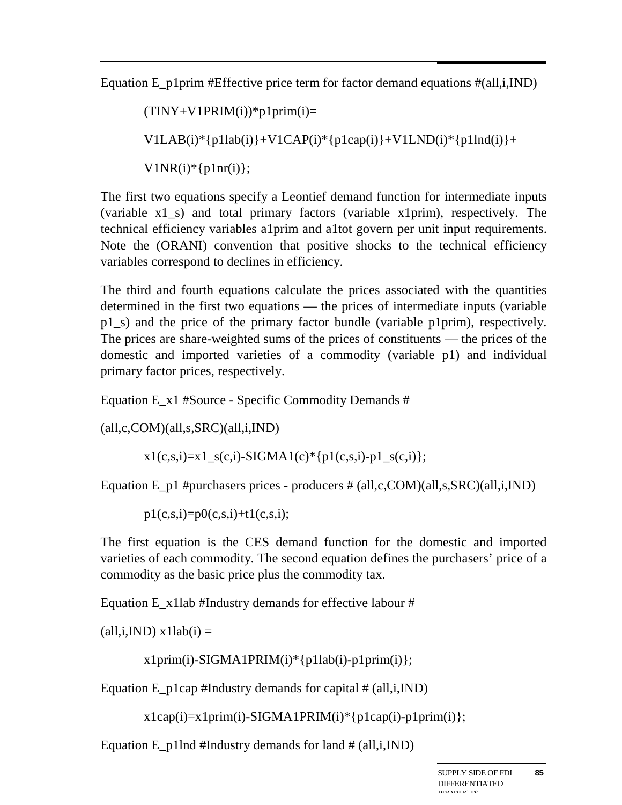Equation E\_p1prim #Effective price term for factor demand equations #(all,i,IND)

 $(TINY+V1PRIM(i))*p1prim(i)=$  $V1LAB(i)*{p1lab(i)}+V1CAP(i)*{p1cap(i)}+V1LND(i)*{p1Ind(i)}+$  $V1NR(i)*{p1nr(i)}$ ;

The first two equations specify a Leontief demand function for intermediate inputs (variable x1\_s) and total primary factors (variable x1prim), respectively. The technical efficiency variables a1prim and a1tot govern per unit input requirements. Note the (ORANI) convention that positive shocks to the technical efficiency variables correspond to declines in efficiency.

The third and fourth equations calculate the prices associated with the quantities determined in the first two equations — the prices of intermediate inputs (variable p1\_s) and the price of the primary factor bundle (variable p1prim), respectively. The prices are share-weighted sums of the prices of constituents — the prices of the domestic and imported varieties of a commodity (variable p1) and individual primary factor prices, respectively.

Equation E\_x1 #Source - Specific Commodity Demands #

 $(all,c,COM)(all,s,SRC)(all,i,IND)$ 

 $x1(c,s,i)=x1_s(c,i)-SIGMA1(c)*{p1(c,s,i)-p1_s(c,i)};$ 

Equation E\_p1 #purchasers prices - producers # (all,c,COM)(all,s,SRC)(all,i,IND)

 $p1(c,s,i)=p0(c,s,i)+t1(c,s,i);$ 

The first equation is the CES demand function for the domestic and imported varieties of each commodity. The second equation defines the purchasers' price of a commodity as the basic price plus the commodity tax.

Equation E\_x1lab #Industry demands for effective labour #

 $(\text{all},\text{i},\text{IND}) \times \text{1lab}(\text{i}) =$ 

 $x1prim(i) - SIGMA1PRIM(i)*{p1lab(i) - p1prim(i)};$ 

Equation E\_p1cap #Industry demands for capital  $\#$  (all,i,IND)

 $x1cap(i)=x1prim(i)-SIGMA1PRIM(i)*{p1cap(i)-p1prim(i)};$ 

Equation E\_p1lnd #Industry demands for land #  $(all,i,IND)$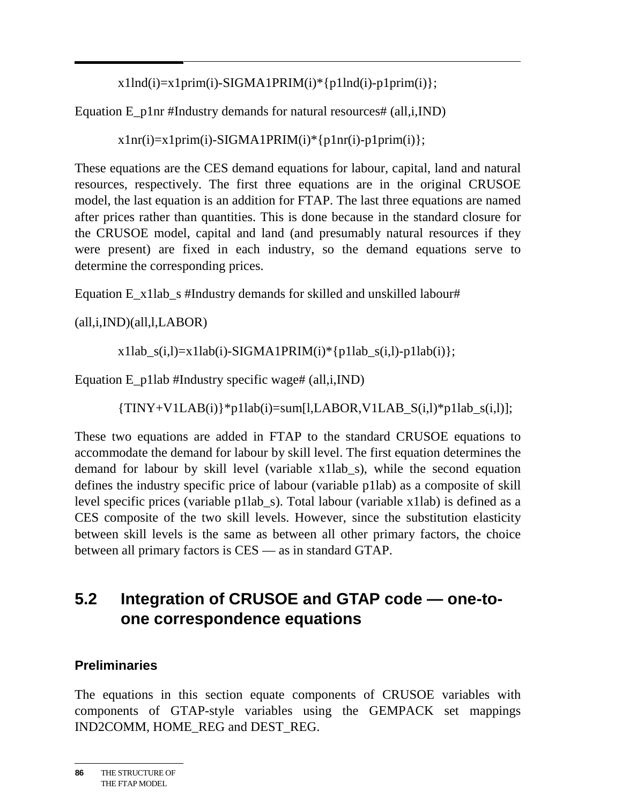$x1Ind(i)=x1prim(i)-SIGMA1PRIM(i)*{p1Ind(i)-p1prim(i)};$ 

Equation E\_p1nr #Industry demands for natural resources# (all,i,IND)

 $x1nr(i)=x1prim(i)-SIGMA1PRIM(i)*{p1nr(i)-p1prim(i)};$ 

These equations are the CES demand equations for labour, capital, land and natural resources, respectively. The first three equations are in the original CRUSOE model, the last equation is an addition for FTAP. The last three equations are named after prices rather than quantities. This is done because in the standard closure for the CRUSOE model, capital and land (and presumably natural resources if they were present) are fixed in each industry, so the demand equations serve to determine the corresponding prices.

Equation E\_x1lab\_s #Industry demands for skilled and unskilled labour#

 $(all,i,IND)(all,l,LABOR)$ 

 $x1$ lab\_s(i,l)= $x1$ lab(i)-SIGMA1PRIM(i)\*{p1lab\_s(i,l)-p1lab(i)};

Equation E\_p1lab #Industry specific wage#  $\text{(all, i, IND)}$ 

 ${\rm TINY+V1LAB(i)}$ \*p1lab(i)=sum[l,LABOR,V1LAB\_S(i,l)\*p1lab\_s(i,l)];

These two equations are added in FTAP to the standard CRUSOE equations to accommodate the demand for labour by skill level. The first equation determines the demand for labour by skill level (variable x1lab\_s), while the second equation defines the industry specific price of labour (variable p1lab) as a composite of skill level specific prices (variable p1lab\_s). Total labour (variable x1lab) is defined as a CES composite of the two skill levels. However, since the substitution elasticity between skill levels is the same as between all other primary factors, the choice between all primary factors is CES — as in standard GTAP.

## **5.2 Integration of CRUSOE and GTAP code — one-toone correspondence equations**

#### **Preliminaries**

The equations in this section equate components of CRUSOE variables with components of GTAP-style variables using the GEMPACK set mappings IND2COMM, HOME\_REG and DEST\_REG.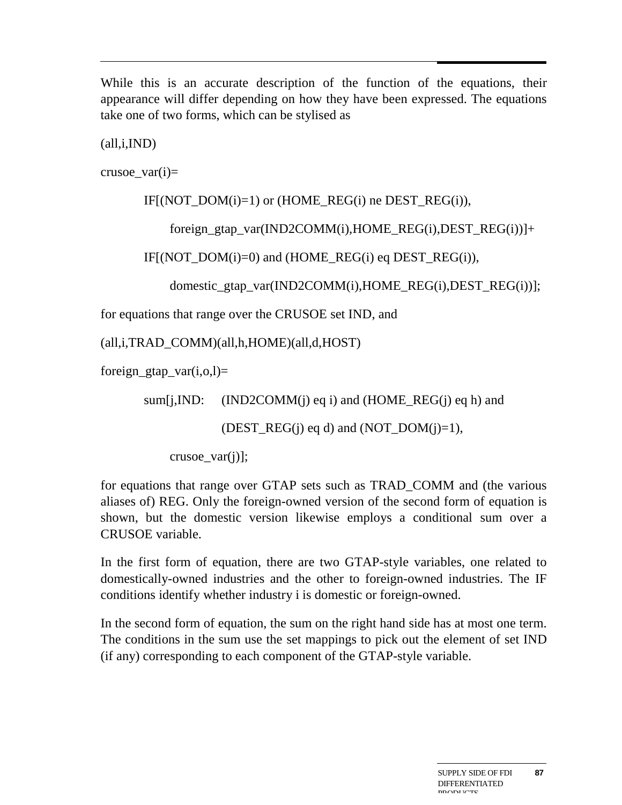While this is an accurate description of the function of the equations, their appearance will differ depending on how they have been expressed. The equations take one of two forms, which can be stylised as

 $(all,i,IND)$ 

 $crusoe\_var(i) =$ 

 $IF[NOT\_DOM(i)=1)$  or  $(HOME\_REG(i)$  ne  $TEST\_REG(i)$ ,

foreign\_gtap\_var(IND2COMM(i),HOME\_REG(i),DEST\_REG(i))]+

IF[(NOT\_DOM(i)=0) and (HOME\_REG(i) eq DEST\_REG(i)),

domestic\_gtap\_var(IND2COMM(i),HOME\_REG(i),DEST\_REG(i))];

for equations that range over the CRUSOE set IND, and

(all,i,TRAD\_COMM)(all,h,HOME)(all,d,HOST)

foreign\_gtap\_var $(i, o, l)$ =

sum[j,IND: (IND2COMM(j) eq i) and (HOME\_REG(j) eq h) and

 $(DEFedian equation)$  (NOT\_DOM(j)=1),

crusoe\_var(j)];

for equations that range over GTAP sets such as TRAD\_COMM and (the various aliases of) REG. Only the foreign-owned version of the second form of equation is shown, but the domestic version likewise employs a conditional sum over a CRUSOE variable.

In the first form of equation, there are two GTAP-style variables, one related to domestically-owned industries and the other to foreign-owned industries. The IF conditions identify whether industry i is domestic or foreign-owned.

In the second form of equation, the sum on the right hand side has at most one term. The conditions in the sum use the set mappings to pick out the element of set IND (if any) corresponding to each component of the GTAP-style variable.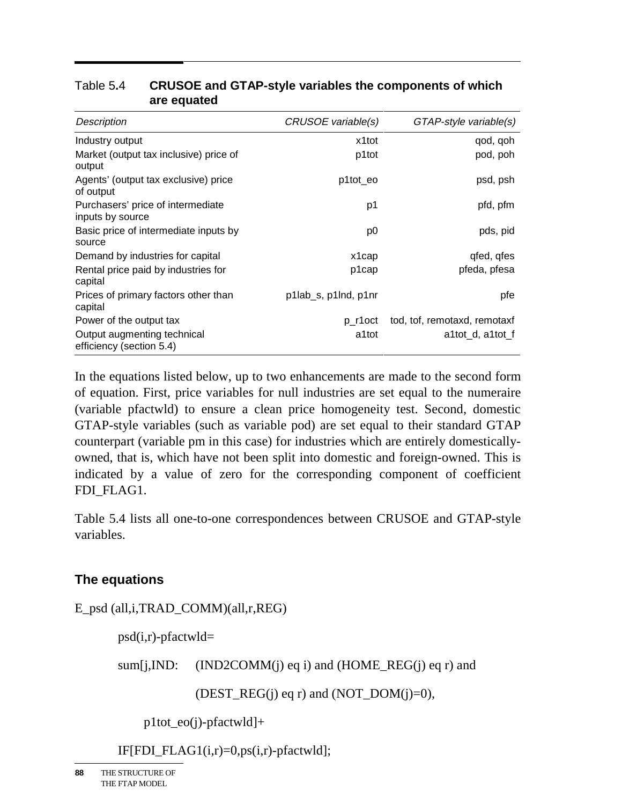| Description                                             | CRUSOE variable(s)   | GTAP-style variable(s)       |
|---------------------------------------------------------|----------------------|------------------------------|
| Industry output                                         | x1tot                | qod, qoh                     |
| Market (output tax inclusive) price of<br>output        | p1tot                | pod, poh                     |
| Agents' (output tax exclusive) price<br>of output       | p1tot eo             | psd, psh                     |
| Purchasers' price of intermediate<br>inputs by source   | p1                   | pfd, pfm                     |
| Basic price of intermediate inputs by<br>source         | p0                   | pds, pid                     |
| Demand by industries for capital                        | x1cap                | qfed, qfes                   |
| Rental price paid by industries for<br>capital          | p1cap                | pfeda, pfesa                 |
| Prices of primary factors other than<br>capital         | p1lab_s, p1lnd, p1nr | pfe                          |
| Power of the output tax                                 | p r1oct              | tod, tof, remotaxd, remotaxf |
| Output augmenting technical<br>efficiency (section 5.4) | a1tot                | a1tot_d, a1tot_f             |

#### Table 5**.**4 **CRUSOE and GTAP-style variables the components of which are equated**

In the equations listed below, up to two enhancements are made to the second form of equation. First, price variables for null industries are set equal to the numeraire (variable pfactwld) to ensure a clean price homogeneity test. Second, domestic GTAP-style variables (such as variable pod) are set equal to their standard GTAP counterpart (variable pm in this case) for industries which are entirely domesticallyowned, that is, which have not been split into domestic and foreign-owned. This is indicated by a value of zero for the corresponding component of coefficient FDI\_FLAG1.

Table 5.4 lists all one-to-one correspondences between CRUSOE and GTAP-style variables.

#### **The equations**

E\_psd (all,i,TRAD\_COMM)(all,r,REG)

 $psd(i,r)$ -pfactwld=

sum[j,IND: (IND2COMM(j) eq i) and (HOME\_REG(j) eq r) and

(DEST\_REG(j) eq r) and (NOT\_DOM(j)=0),

p1tot\_eo(j)-pfactwld]+

IF[FDI\_FLAG1(i,r)=0,ps(i,r)-pfactwld];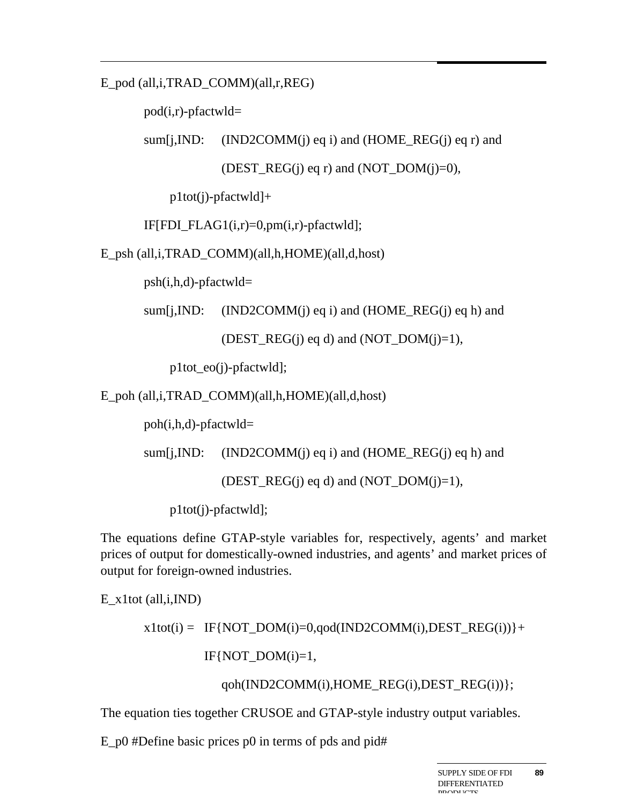#### E\_pod (all,i,TRAD\_COMM)(all,r,REG)

 $pod(i,r)$ -pfactwld=

sum[j,IND: (IND2COMM(j) eq i) and (HOME\_REG(j) eq r) and

(DEST\_REG(j) eq r) and (NOT\_DOM(j)=0),

p1tot(j)-pfactwld]+

IF[FDI\_FLAG1(i,r)=0,pm(i,r)-pfactwld];

E\_psh (all,i,TRAD\_COMM)(all,h,HOME)(all,d,host)

 $psh(i,h,d)$ -pfactwld=

sum[j,IND: (IND2COMM(j) eq i) and (HOME\_REG(j) eq h) and

 $(DEST\_REG(i)$  eq d) and  $(NOT\_DOM(i)=1)$ ,

p1tot\_eo(j)-pfactwld];

E\_poh (all,i,TRAD\_COMM)(all,h,HOME)(all,d,host)

 $poh(i,h,d)$ -pfactwld=

sum[j,IND: (IND2COMM(j) eq i) and (HOME\_REG(j) eq h) and

 $(DEST\_REG(j)$  eq d) and  $(NOT\_DOM(j)=1)$ ,

p1tot(j)-pfactwld];

The equations define GTAP-style variables for, respectively, agents' and market prices of output for domestically-owned industries, and agents' and market prices of output for foreign-owned industries.

E  $x1$ tot (all, i, IND)

 $x1tot(i) = IF\{NOT\_DOM(i)=0, qod(IND2COMM(i),DEST\_REG(i))\}+$ IF{NOT\_DOM(i)=1,

```
qoh(IND2COMM(i),HOME_REG(i),DEST_REG(i))};
```
The equation ties together CRUSOE and GTAP-style industry output variables.

E\_p0 #Define basic prices p0 in terms of pds and pid#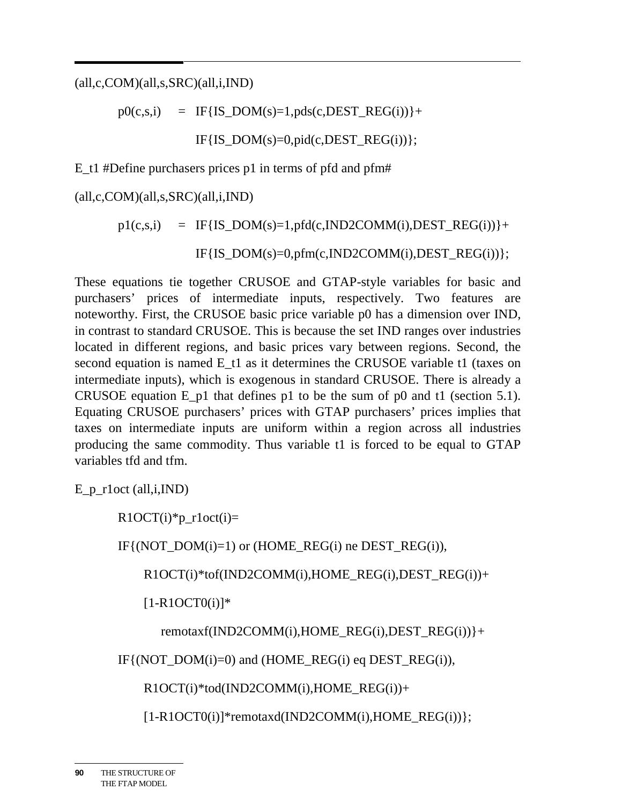$(all,c,COM)(all,s,SRC)(all,i,IND)$ 

 $p0(c,s,i)$  = IF{IS\_DOM(s)=1,pds(c,DEST\_REG(i))}+

 $IF{IS_DOM(s)=0,pid(c,DEST\_REG(i))};$ 

E t1 #Define purchasers prices p1 in terms of pfd and pfm#

 $(all.c.COM)(all.s,SRC)(all.i,IND)$ 

 $p1(c,s,i)$  = IF{IS\_DOM(s)=1,pfd(c,IND2COMM(i),DEST\_REG(i))}+  $IF{IS\_DOM(s)=0,pfm(c,IND2COMM(i),DEST\_REG(i))};$ 

These equations tie together CRUSOE and GTAP-style variables for basic and purchasers' prices of intermediate inputs, respectively. Two features are noteworthy. First, the CRUSOE basic price variable p0 has a dimension over IND, in contrast to standard CRUSOE. This is because the set IND ranges over industries located in different regions, and basic prices vary between regions. Second, the second equation is named E\_t1 as it determines the CRUSOE variable t1 (taxes on intermediate inputs), which is exogenous in standard CRUSOE. There is already a CRUSOE equation E\_p1 that defines p1 to be the sum of p0 and t1 (section 5.1). Equating CRUSOE purchasers' prices with GTAP purchasers' prices implies that taxes on intermediate inputs are uniform within a region across all industries producing the same commodity. Thus variable t1 is forced to be equal to GTAP variables tfd and tfm.

 $E_p$  r1oct (all, i, IND)

 $R1OCT(i)*p_11oct(i)=$ 

 $IF{(NOT\_DOM(i)=1)}$  or  $(HOME\_REG(i))$  ne  $TEST\_REG(i)$ ),

R1OCT(i)\*tof(IND2COMM(i),HOME\_REG(i),DEST\_REG(i))+

 $[1-R1OCT0(i)]$ \*

remotaxf(IND2COMM(i),HOME\_REG(i),DEST\_REG(i))}+

IF{(NOT\_DOM(i)=0) and (HOME\_REG(i) eq DEST\_REG(i)),

R1OCT(i)\*tod(IND2COMM(i),HOME\_REG(i))+

 $[1-R1OCT0(i)]$ \*remotaxd(IND2COMM(i),HOME\_REG(i))};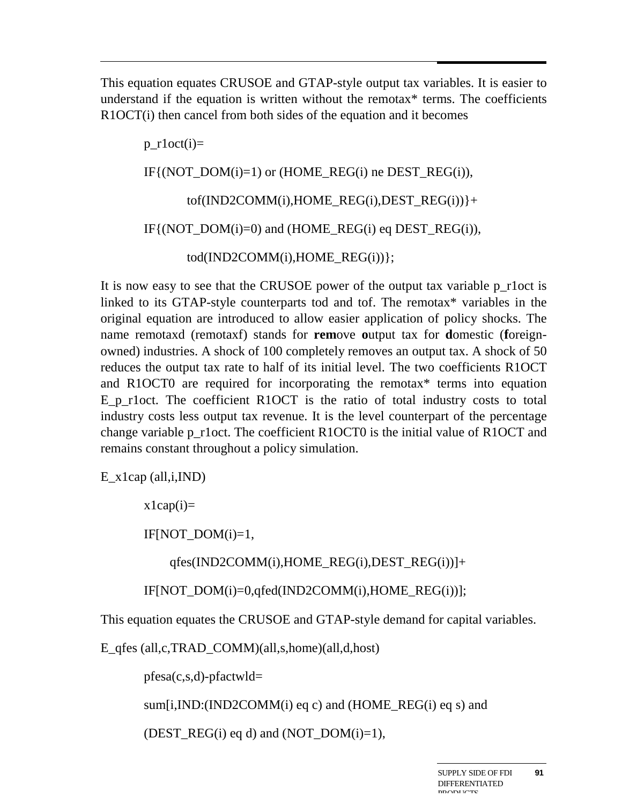This equation equates CRUSOE and GTAP-style output tax variables. It is easier to understand if the equation is written without the remotax\* terms. The coefficients R1OCT(i) then cancel from both sides of the equation and it becomes

 $p\_r1oct(i) =$  $IF{(NOT\_DOM(i)=1)}$  or  $(HOME\_REG(i))$  ne  $TEST\_REG(i)$ ), tof(IND2COMM(i),HOME\_REG(i),DEST\_REG(i))}+  $IF{(NOT\_DOM(i)=0)}$  and  $(HOME\_REG(i)$  eq  $DEST\_REG(i)$ , tod(IND2COMM(i),HOME\_REG(i))};

It is now easy to see that the CRUSOE power of the output tax variable p\_r1oct is linked to its GTAP-style counterparts tod and tof. The remotax\* variables in the original equation are introduced to allow easier application of policy shocks. The name remotaxd (remotaxf) stands for **rem**ove **o**utput tax for **d**omestic (**f**oreignowned) industries. A shock of 100 completely removes an output tax. A shock of 50 reduces the output tax rate to half of its initial level. The two coefficients R1OCT and R1OCT0 are required for incorporating the remotax\* terms into equation E\_p\_r1oct. The coefficient R1OCT is the ratio of total industry costs to total industry costs less output tax revenue. It is the level counterpart of the percentage change variable p\_r1oct. The coefficient R1OCT0 is the initial value of R1OCT and remains constant throughout a policy simulation.

 $E_x1cap (all,i,IND)$ 

 $x1cap(i)=$ 

IF[NOT\_DOM(i)=1,

 $qfes(IND2COMM(i),HOME\_REG(i),DEST\_REG(i))$ ]+

IF[NOT\_DOM(i)=0,qfed(IND2COMM(i),HOME\_REG(i))];

This equation equates the CRUSOE and GTAP-style demand for capital variables.

E\_qfes (all,c,TRAD\_COMM)(all,s,home)(all,d,host)

pfesa(c,s,d)-pfactwld=

sum[i,IND:(IND2COMM(i) eq c) and (HOME REG(i) eq s) and

(DEST\_REG(i) eq d) and (NOT\_DOM(i)=1),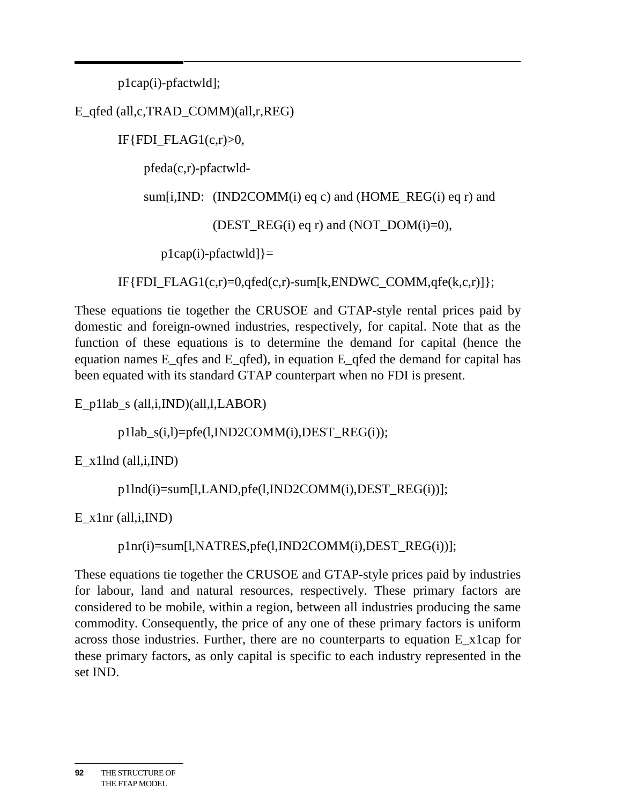p1cap(i)-pfactwld];

E\_qfed (all,c,TRAD\_COMM)(all,r,REG)

 $IF{FDI_FLAG1(c,r)>0,}$ 

pfeda(c,r)-pfactwld-

sum[i,IND: (IND2COMM(i) eq c) and (HOME REG(i) eq r) and

(DEST\_REG(i) eq r) and (NOT\_DOM(i)=0),

 $p1cap(i)$ -pfactwld]}=

IF{FDI\_FLAG1(c,r)=0,qfed(c,r)-sum[k,ENDWC\_COMM,qfe(k,c,r)]};

These equations tie together the CRUSOE and GTAP-style rental prices paid by domestic and foreign-owned industries, respectively, for capital. Note that as the function of these equations is to determine the demand for capital (hence the equation names  $E$  qfes and  $E$  qfed), in equation  $E$  qfed the demand for capital has been equated with its standard GTAP counterpart when no FDI is present.

 $E$  p1lab s (all,i,IND)(all,l,LABOR)

p1lab\_s(i,l)=pfe(l,IND2COMM(i),DEST\_REG(i));

E  $x1lnd$  (all,i, IND)

```
p1lnd(i)=sum[l,LAND,pfe(l,IND2COMM(i),DEST_REG(i))];
```
 $E_x1nr$  (all, i, IND)

```
p1nr(i)=sum[l,NATRES,pfe(l,IND2COMM(i),DEST_REG(i))];
```
These equations tie together the CRUSOE and GTAP-style prices paid by industries for labour, land and natural resources, respectively. These primary factors are considered to be mobile, within a region, between all industries producing the same commodity. Consequently, the price of any one of these primary factors is uniform across those industries. Further, there are no counterparts to equation E\_x1cap for these primary factors, as only capital is specific to each industry represented in the set IND.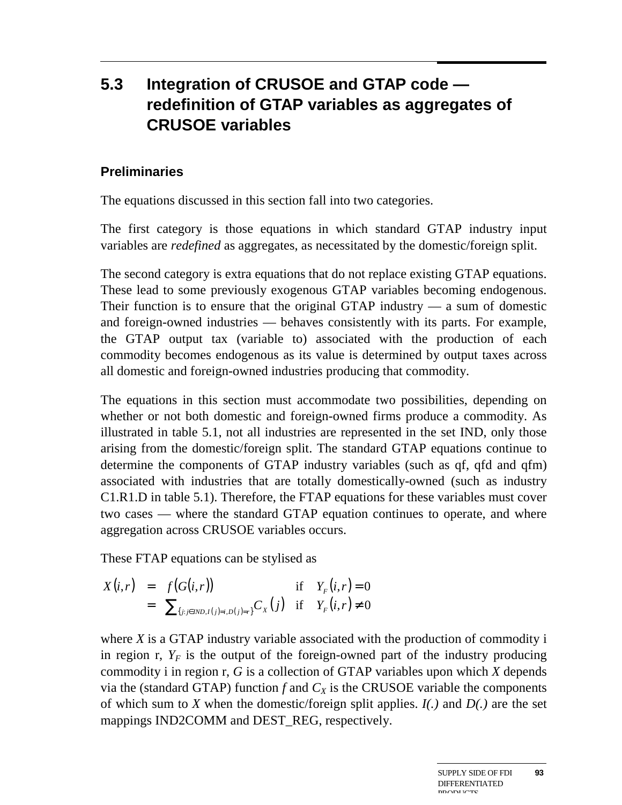## **5.3 Integration of CRUSOE and GTAP code redefinition of GTAP variables as aggregates of CRUSOE variables**

#### **Preliminaries**

The equations discussed in this section fall into two categories.

The first category is those equations in which standard GTAP industry input variables are *redefined* as aggregates, as necessitated by the domestic/foreign split.

The second category is extra equations that do not replace existing GTAP equations. These lead to some previously exogenous GTAP variables becoming endogenous. Their function is to ensure that the original GTAP industry  $-$  a sum of domestic and foreign-owned industries — behaves consistently with its parts. For example, the GTAP output tax (variable to) associated with the production of each commodity becomes endogenous as its value is determined by output taxes across all domestic and foreign-owned industries producing that commodity.

The equations in this section must accommodate two possibilities, depending on whether or not both domestic and foreign-owned firms produce a commodity. As illustrated in table 5.1, not all industries are represented in the set IND, only those arising from the domestic/foreign split. The standard GTAP equations continue to determine the components of GTAP industry variables (such as qf, qfd and qfm) associated with industries that are totally domestically-owned (such as industry C1.R1.D in table 5.1). Therefore, the FTAP equations for these variables must cover two cases — where the standard GTAP equation continues to operate, and where aggregation across CRUSOE variables occurs.

These FTAP equations can be stylised as

$$
X(i,r) = f(G(i,r))
$$
if  $Y_F(i,r) = 0$   
=  $\sum_{\{j:j\in IND, I(j)=i,D(j)=r\}} C_X(j)$  if  $Y_F(i,r) \neq 0$ 

where *X* is a GTAP industry variable associated with the production of commodity i in region r,  $Y_F$  is the output of the foreign-owned part of the industry producing commodity i in region r, *G* is a collection of GTAP variables upon which *X* depends via the (standard GTAP) function  $f$  and  $C_X$  is the CRUSOE variable the components of which sum to *X* when the domestic/foreign split applies. *I(.)* and *D(.)* are the set mappings IND2COMM and DEST\_REG, respectively.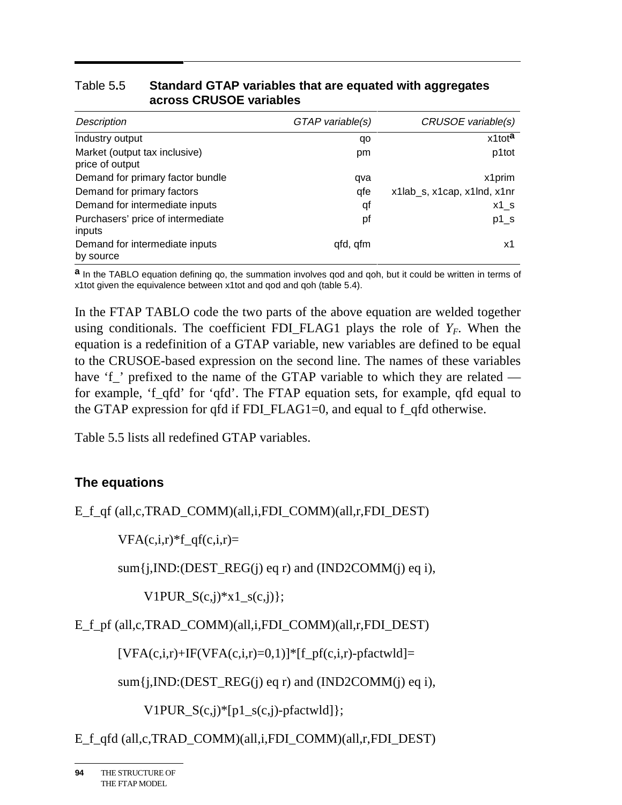| Table 5.5 | Standard GTAP variables that are equated with aggregates |
|-----------|----------------------------------------------------------|
|           | across CRUSOE variables                                  |

| <b>Description</b>                               | GTAP variable(s) | CRUSOE variable(s)          |
|--------------------------------------------------|------------------|-----------------------------|
| Industry output                                  | qo               | x1tot <sup>a</sup>          |
| Market (output tax inclusive)<br>price of output | pm               | p1tot                       |
| Demand for primary factor bundle                 | qva              | x1prim                      |
| Demand for primary factors                       | afe              | x1lab_s, x1cap, x1lnd, x1nr |
| Demand for intermediate inputs                   | qf               | x1 s                        |
| Purchasers' price of intermediate<br>inputs      | pf               | $p1$ <sub>_S</sub>          |
| Demand for intermediate inputs<br>by source      | qfd, qfm         | х1                          |

**a** In the TABLO equation defining qo, the summation involves qod and qoh, but it could be written in terms of x1tot given the equivalence between x1tot and qod and qoh (table 5.4).

In the FTAP TABLO code the two parts of the above equation are welded together using conditionals. The coefficient FDI\_FLAG1 plays the role of  $Y_F$ . When the equation is a redefinition of a GTAP variable, new variables are defined to be equal to the CRUSOE-based expression on the second line. The names of these variables have 'f' prefixed to the name of the GTAP variable to which they are related for example, 'f\_qfd' for 'qfd'. The FTAP equation sets, for example, qfd equal to the GTAP expression for qfd if FDI FLAG1=0, and equal to f\_qfd otherwise.

Table 5.5 lists all redefined GTAP variables.

#### **The equations**

E\_f\_qf (all,c,TRAD\_COMM)(all,i,FDI\_COMM)(all,r,FDI\_DEST)

 $VFA(c,i,r)*f_qf(c,i,r)=$ 

 $sum{j, IND: (DEST\_REG(j) eq r)}$  and  $(IND2COMM(j) eq i)$ ,

 $V1PUR_S(c,j)*x1_s(c,j);$ 

E\_f\_pf (all,c,TRAD\_COMM)(all,i,FDI\_COMM)(all,r,FDI\_DEST)

 $[VFA(c,i,r)+IF(VFA(c,i,r)=0,1)]*[f_pf(c,i,r)-pfactwld]=$ 

 $sum{j, IND: (DEST\_REG(j) eq r)}$  and  $(IND2COMM(j) eq i)$ ,

 $V1PUR_S(c,i)*[p1_s(c,i)-pfactwld]$ ;

E\_f\_qfd (all,c,TRAD\_COMM)(all,i,FDI\_COMM)(all,r,FDI\_DEST)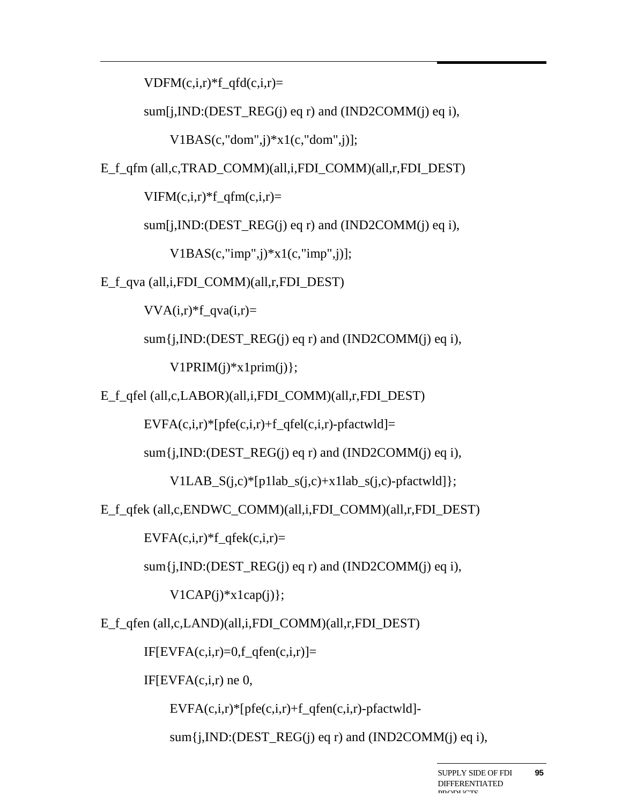$VDFM(c,i,r)*f_qfd(c,i,r)=$ 

sum[j,IND:(DEST\_REG(j) eq r) and (IND2COMM(j) eq i),

 $V1BAS(c,"dom",j)*x1(c,"dom",j);$ 

E\_f\_qfm (all,c,TRAD\_COMM)(all,i,FDI\_COMM)(all,r,FDI\_DEST)

 $VIFM(c,i,r)*f_qfm(c,i,r)=$ 

sum[j,IND:(DEST\_REG(j) eq r) and (IND2COMM(j) eq i),

 $V1BAS(c,"imp",j)*x1(c,"imp",j)$ ;

E\_f\_qva (all,i,FDI\_COMM)(all,r,FDI\_DEST)

 $VVA(i,r)*f_qva(i,r)=$ 

 $sum{j, IND: (DEST\_REG(j) eq r)}$  and  $(IND2COMM(j) eq i)$ ,

 $V1PRIM(i)*x1prim(i);$ 

E\_f\_qfel (all,c,LABOR)(all,i,FDI\_COMM)(all,r,FDI\_DEST)

 $EVFA(c,i,r)*[pfe(c,i,r)+f_qfe(c,i,r)-pfactwld]=$ 

 $sum{j, IND: (DEST\_REG(j) eq r)}$  and  $(IND2COMM(j) eq i)$ ,

V1LAB\_S( $i,c$ )\*[p1lab\_s( $i,c$ )+x1lab\_s( $i,c$ )-pfactwld]};

E\_f\_qfek (all,c,ENDWC\_COMM)(all,i,FDI\_COMM)(all,r,FDI\_DEST)

EVFA $(c,i,r)*f$  qfek $(c,i,r)=$ 

 $sum{j, IND: (DEST\_REG(j) eq r)}$  and  $(IND2COMM(j) eq i)$ ,

 $V1CAP(j)*x1cap(i);$ 

E\_f\_qfen (all,c,LAND)(all,i,FDI\_COMM)(all,r,FDI\_DEST)

 $IF[EVFA(c,i,r)=0,f_qfen(c,i,r)]=$ 

 $IF[EVFA(c,i,r)$  ne 0,

 $EVFA(c,i,r)*[pfe(c,i,r)+f_qfe(c,i,r)-pfactwld]-$ 

 $sum{j, IND:(DEST\_REG(j) eq r)}$  and  $(IND2COMM(j) eq i)$ ,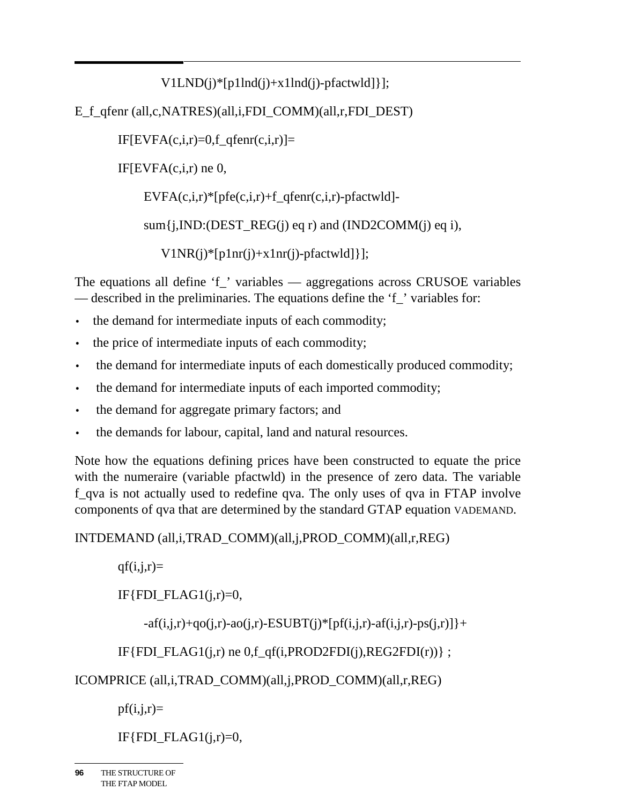```
V1LND(j)*[p1Ind(j)+x1Ind(j)-pfactwld]];
E_f_qfenr (all,c,NATRES)(all,i,FDI_COMM)(all,r,FDI_DEST)
       IF[EVFA(c,i,r)=0,f_qfern(c,i,r)]=IF/EVFA(c,i,r) ne 0,
            EVFA(c,i,r)*[pfe(c,i,r)+fqfe(n,c,i,r)-pfactwld]-sum{j, IND:(DEST\_REG(j) eq r)} and (IND2COMM(j) eq i),
```
 $V1NR(i)*[p1nr(j)+x1nr(j)-pfactwld]]$ ;

The equations all define 'f' variables — aggregations across CRUSOE variables — described in the preliminaries. The equations define the 'f\_' variables for:

- the demand for intermediate inputs of each commodity;
- the price of intermediate inputs of each commodity;
- the demand for intermediate inputs of each domestically produced commodity;
- the demand for intermediate inputs of each imported commodity;
- the demand for aggregate primary factors; and
- the demands for labour, capital, land and natural resources.

Note how the equations defining prices have been constructed to equate the price with the numeraire (variable pfactwld) in the presence of zero data. The variable f\_qva is not actually used to redefine qva. The only uses of qva in FTAP involve components of qva that are determined by the standard GTAP equation VADEMAND.

INTDEMAND (all,i,TRAD\_COMM)(all,j,PROD\_COMM)(all,r,REG)

 $qf(i,j,r)=$ 

 $IF{FDI_FLAG1(j,r)=0}$ ,

 $-af(i,j,r)+qo(i,r)-ao(j,r)-ESUBT(i)*[pf(i,j,r)-af(i,j,r)-ps(j,r)]+$ 

IF{FDI\_FLAG1(j,r) ne  $0,f_qf(i,PROD2FDI(j),REG2FDI(r))$  ;

ICOMPRICE (all,i,TRAD\_COMM)(all,j,PROD\_COMM)(all,r,REG)

 $pf(i,j,r)=$ 

 $IF{FDI_FLAG1(j,r)=0}$ ,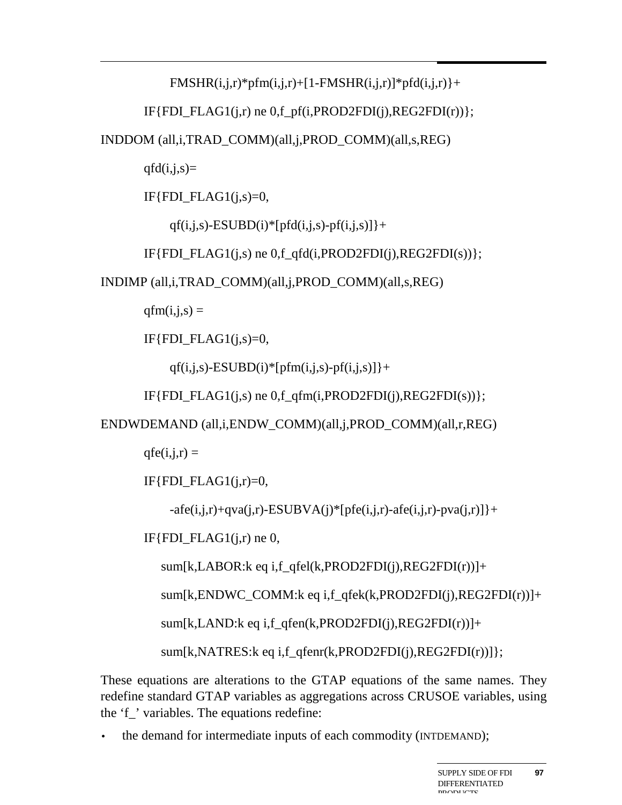```
FMSHR(i,j,r)*pfm(i,j,r)+[1-FMSHR(i,j,r)]*pfd(i,j,r)+
```
IF{FDI\_FLAG1(j,r) ne  $0,f_pf(i,PROD2FDI(i),REG2FDI(r))$ ;

INDDOM (all,i,TRAD\_COMM)(all,j,PROD\_COMM)(all,s,REG)

 $qfd(i,j,s)=$ 

IF{FDI\_FLAG1 $(i,s)=0$ ,

 $qf(i,j,s)$ -ESUBD $(i)$ \*[pfd $(i,j,s)$ -pf $(i,j,s)$ ]}+

 $IF{FDI_FLAG1(i,s)}$  ne 0,f\_qfd(i,PROD2FDI(j),REG2FDI(s))};

INDIMP (all,i,TRAD\_COMM)(all,j,PROD\_COMM)(all,s,REG)

 $qfm(i,j,s) =$ 

 $IF{FDI_FLAG1(i,s)=0}$ 

 $qf(i,j,s)-ESUBD(i)*[pfm(i,j,s)-pf(i,j,s)]$  +

IF{FDI\_FLAG1(j,s) ne  $0,f_qfm(i,PROD2FDI(j),REG2FDI(s))$ ;

ENDWDEMAND (all,i,ENDW\_COMM)(all,j,PROD\_COMM)(all,r,REG)

 $qfe(i,j,r) =$ 

 $IF{FDI_FLAG1(i,r)=0}$ ,

```
-afe(i,j,r)+qva(j,r)-ESUBVA(j)*[pfe(i,j,r)-afe(i,j,r)-pva(j,r)]+
```
IF{FDI\_FLAG1( $i,r$ ) ne 0,

sum[k,LABOR:k eq i,f\_qfel(k,PROD2FDI(j),REG2FDI(r))]+

sum[k,ENDWC\_COMM:k eq i,f\_qfek(k,PROD2FDI(j),REG2FDI(r))]+

 $sum[k, LAND:k \text{ eq } i,f_qfen(k,PROD2FDI(i),REG2FDI(r))] +$ 

sum[k,NATRES:k eq i,f\_qfenr(k,PROD2FDI(j),REG2FDI(r))]};

These equations are alterations to the GTAP equations of the same names. They redefine standard GTAP variables as aggregations across CRUSOE variables, using the 'f\_' variables. The equations redefine:

the demand for intermediate inputs of each commodity (INTDEMAND);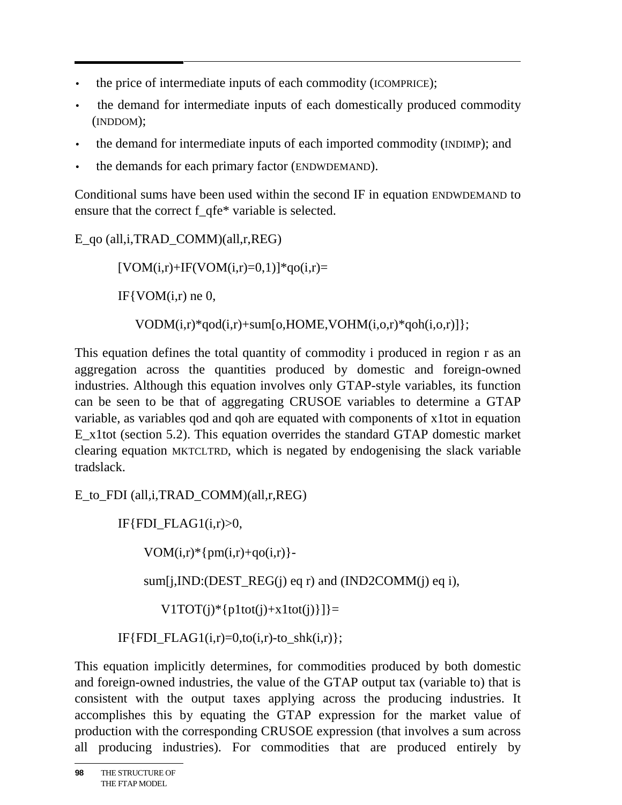- the price of intermediate inputs of each commodity (ICOMPRICE);
- the demand for intermediate inputs of each domestically produced commodity (INDDOM);
- the demand for intermediate inputs of each imported commodity (INDIMP); and
- the demands for each primary factor (ENDWDEMAND).

Conditional sums have been used within the second IF in equation ENDWDEMAND to ensure that the correct f\_qfe\* variable is selected.

E\_qo (all,i,TRAD\_COMM)(all,r,REG)

 $[VOM(i,r)+IF(VOM(i,r)=0,1)]$ \*qo $(i,r)=$ 

 $IF\{VOM(i,r) \neq 0,$ 

 $VODM(i,r)*qod(i,r)+sum[o,HOME,VOHM(i,o,r)*qoh(i,o,r)]$ ;

This equation defines the total quantity of commodity i produced in region r as an aggregation across the quantities produced by domestic and foreign-owned industries. Although this equation involves only GTAP-style variables, its function can be seen to be that of aggregating CRUSOE variables to determine a GTAP variable, as variables qod and qoh are equated with components of x1tot in equation E\_x1tot (section 5.2). This equation overrides the standard GTAP domestic market clearing equation MKTCLTRD, which is negated by endogenising the slack variable tradslack.

E\_to\_FDI (all,i,TRAD\_COMM)(all,r,REG)

 $IF{FDI_FLAG1(i,r)} > 0,$ 

 $VOM(i,r)*{pm(i,r)+qo(i,r)}$ -

sum[j,IND:(DEST\_REG(j) eq r) and (IND2COMM(j) eq i),

 $V1TOT(j)*{p1tot(j)+x1tot(j)}$ ]}=

IF{FDI\_FLAG1(i,r)=0,to(i,r)-to\_shk(i,r)};

This equation implicitly determines, for commodities produced by both domestic and foreign-owned industries, the value of the GTAP output tax (variable to) that is consistent with the output taxes applying across the producing industries. It accomplishes this by equating the GTAP expression for the market value of production with the corresponding CRUSOE expression (that involves a sum across all producing industries). For commodities that are produced entirely by

**<sup>98</sup>** THE STRUCTURE OF THE FTAP MODEL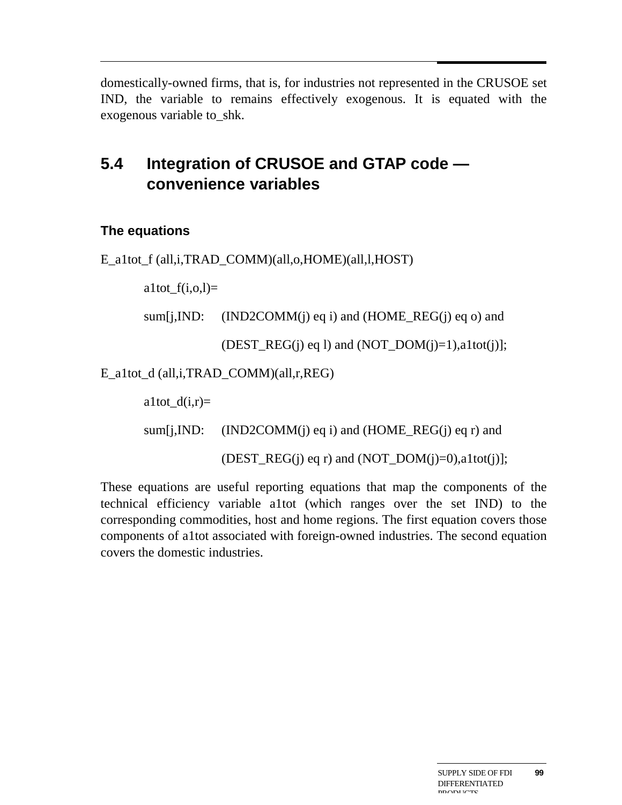domestically-owned firms, that is, for industries not represented in the CRUSOE set IND, the variable to remains effectively exogenous. It is equated with the exogenous variable to\_shk.

## **5.4 Integration of CRUSOE and GTAP code convenience variables**

#### **The equations**

E\_a1tot\_f (all,i,TRAD\_COMM)(all,o,HOME)(all,l,HOST)

a1tot\_ $f(i, o, l) =$ 

sum[j,IND: (IND2COMM(j) eq i) and (HOME\_REG(j) eq o) and

 $(DEST\_REG(i)$  eq 1) and  $(NOT\_DOM(i)=1)$ ,a1tot(j)];

E\_a1tot\_d (all,i,TRAD\_COMM)(all,r,REG)

a1tot $_d(i,r)=$ 

sum[j,IND: (IND2COMM(j) eq i) and (HOME\_REG(j) eq r) and

(DEST\_REG(j) eq r) and (NOT\_DOM(j)=0),a1tot(j)];

These equations are useful reporting equations that map the components of the technical efficiency variable a1tot (which ranges over the set IND) to the corresponding commodities, host and home regions. The first equation covers those components of a1tot associated with foreign-owned industries. The second equation covers the domestic industries.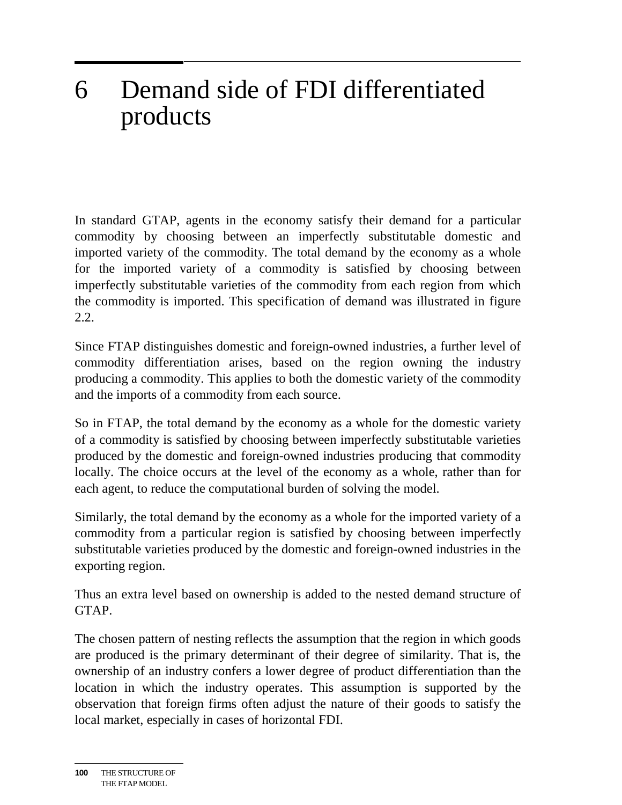# 6 Demand side of FDI differentiated products

In standard GTAP, agents in the economy satisfy their demand for a particular commodity by choosing between an imperfectly substitutable domestic and imported variety of the commodity. The total demand by the economy as a whole for the imported variety of a commodity is satisfied by choosing between imperfectly substitutable varieties of the commodity from each region from which the commodity is imported. This specification of demand was illustrated in figure 2.2.

Since FTAP distinguishes domestic and foreign-owned industries, a further level of commodity differentiation arises, based on the region owning the industry producing a commodity. This applies to both the domestic variety of the commodity and the imports of a commodity from each source.

So in FTAP, the total demand by the economy as a whole for the domestic variety of a commodity is satisfied by choosing between imperfectly substitutable varieties produced by the domestic and foreign-owned industries producing that commodity locally. The choice occurs at the level of the economy as a whole, rather than for each agent, to reduce the computational burden of solving the model.

Similarly, the total demand by the economy as a whole for the imported variety of a commodity from a particular region is satisfied by choosing between imperfectly substitutable varieties produced by the domestic and foreign-owned industries in the exporting region.

Thus an extra level based on ownership is added to the nested demand structure of GTAP.

The chosen pattern of nesting reflects the assumption that the region in which goods are produced is the primary determinant of their degree of similarity. That is, the ownership of an industry confers a lower degree of product differentiation than the location in which the industry operates. This assumption is supported by the observation that foreign firms often adjust the nature of their goods to satisfy the local market, especially in cases of horizontal FDI.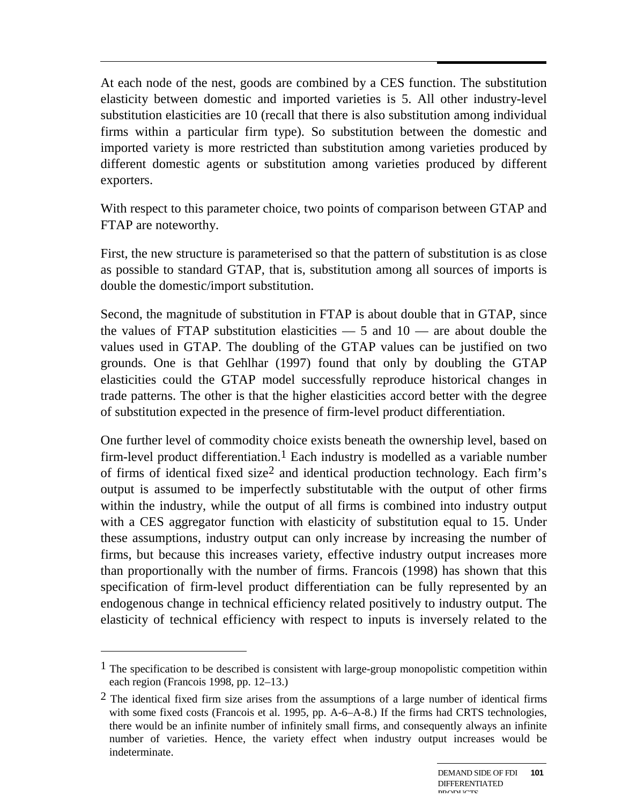At each node of the nest, goods are combined by a CES function. The substitution elasticity between domestic and imported varieties is 5. All other industry-level substitution elasticities are 10 (recall that there is also substitution among individual firms within a particular firm type). So substitution between the domestic and imported variety is more restricted than substitution among varieties produced by different domestic agents or substitution among varieties produced by different exporters.

With respect to this parameter choice, two points of comparison between GTAP and FTAP are noteworthy.

First, the new structure is parameterised so that the pattern of substitution is as close as possible to standard GTAP, that is, substitution among all sources of imports is double the domestic/import substitution.

Second, the magnitude of substitution in FTAP is about double that in GTAP, since the values of FTAP substitution elasticities  $-5$  and  $10$  — are about double the values used in GTAP. The doubling of the GTAP values can be justified on two grounds. One is that Gehlhar (1997) found that only by doubling the GTAP elasticities could the GTAP model successfully reproduce historical changes in trade patterns. The other is that the higher elasticities accord better with the degree of substitution expected in the presence of firm-level product differentiation.

One further level of commodity choice exists beneath the ownership level, based on  $firm-level product differentiation<sup>1</sup>$  Each industry is modelled as a variable number of firms of identical fixed size2 and identical production technology. Each firm's output is assumed to be imperfectly substitutable with the output of other firms within the industry, while the output of all firms is combined into industry output with a CES aggregator function with elasticity of substitution equal to 15. Under these assumptions, industry output can only increase by increasing the number of firms, but because this increases variety, effective industry output increases more than proportionally with the number of firms. Francois (1998) has shown that this specification of firm-level product differentiation can be fully represented by an endogenous change in technical efficiency related positively to industry output. The elasticity of technical efficiency with respect to inputs is inversely related to the

<sup>&</sup>lt;sup>1</sup> The specification to be described is consistent with large-group monopolistic competition within each region (Francois 1998, pp. 12–13.)

 $<sup>2</sup>$  The identical fixed firm size arises from the assumptions of a large number of identical firms</sup> with some fixed costs (Francois et al. 1995, pp. A-6–A-8.) If the firms had CRTS technologies, there would be an infinite number of infinitely small firms, and consequently always an infinite number of varieties. Hence, the variety effect when industry output increases would be indeterminate.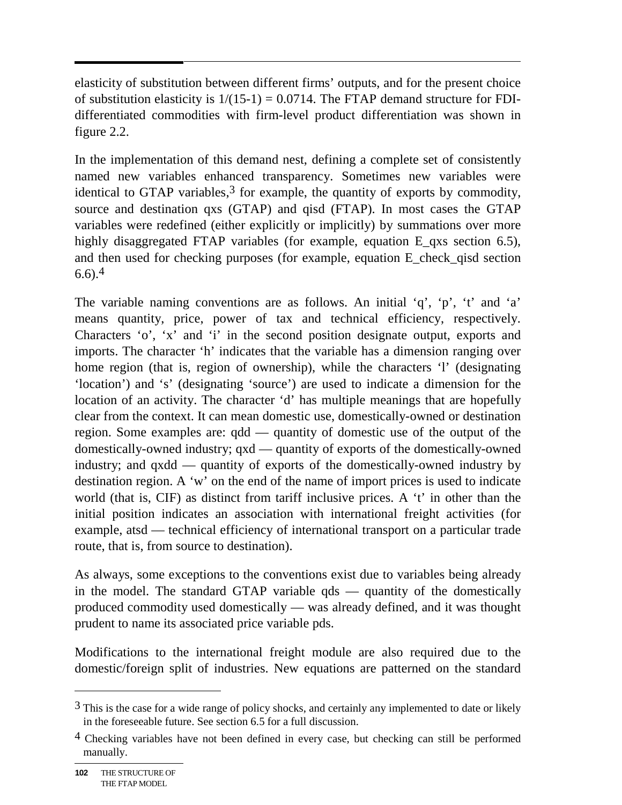elasticity of substitution between different firms' outputs, and for the present choice of substitution elasticity is  $1/(15-1) = 0.0714$ . The FTAP demand structure for FDIdifferentiated commodities with firm-level product differentiation was shown in figure 2.2.

In the implementation of this demand nest, defining a complete set of consistently named new variables enhanced transparency. Sometimes new variables were identical to GTAP variables,  $3$  for example, the quantity of exports by commodity, source and destination qxs (GTAP) and qisd (FTAP). In most cases the GTAP variables were redefined (either explicitly or implicitly) by summations over more highly disaggregated FTAP variables (for example, equation E\_qxs section 6.5), and then used for checking purposes (for example, equation E\_check\_qisd section  $6.6$ ).<sup>4</sup>

The variable naming conventions are as follows. An initial 'q', 'p', 't' and 'a' means quantity, price, power of tax and technical efficiency, respectively. Characters 'o', 'x' and 'i' in the second position designate output, exports and imports. The character 'h' indicates that the variable has a dimension ranging over home region (that is, region of ownership), while the characters 'l' (designating 'location') and 's' (designating 'source') are used to indicate a dimension for the location of an activity. The character 'd' has multiple meanings that are hopefully clear from the context. It can mean domestic use, domestically-owned or destination region. Some examples are: qdd — quantity of domestic use of the output of the domestically-owned industry; qxd — quantity of exports of the domestically-owned industry; and qxdd — quantity of exports of the domestically-owned industry by destination region. A 'w' on the end of the name of import prices is used to indicate world (that is, CIF) as distinct from tariff inclusive prices. A 't' in other than the initial position indicates an association with international freight activities (for example, atsd — technical efficiency of international transport on a particular trade route, that is, from source to destination).

As always, some exceptions to the conventions exist due to variables being already in the model. The standard GTAP variable qds — quantity of the domestically produced commodity used domestically — was already defined, and it was thought prudent to name its associated price variable pds.

Modifications to the international freight module are also required due to the domestic/foreign split of industries. New equations are patterned on the standard

 $3$  This is the case for a wide range of policy shocks, and certainly any implemented to date or likely in the foreseeable future. See section 6.5 for a full discussion.

<sup>&</sup>lt;sup>4</sup> Checking variables have not been defined in every case, but checking can still be performed manually.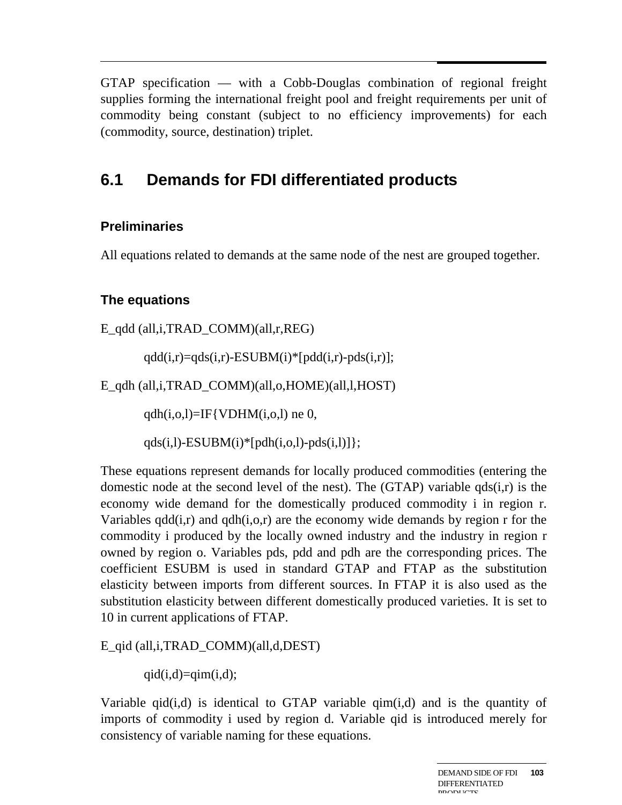GTAP specification — with a Cobb-Douglas combination of regional freight supplies forming the international freight pool and freight requirements per unit of commodity being constant (subject to no efficiency improvements) for each (commodity, source, destination) triplet.

## **6.1 Demands for FDI differentiated products**

#### **Preliminaries**

All equations related to demands at the same node of the nest are grouped together.

#### **The equations**

E\_qdd (all,i,TRAD\_COMM)(all,r,REG)

qdd $(i,r)$ =qds $(i,r)$ -ESUBM $(i)$ \*[pdd $(i,r)$ -pds $(i,r)$ ];

E\_qdh (all,i,TRAD\_COMM)(all,o,HOME)(all,l,HOST)

qdh $(i, o, l)$ =IF{VDHM $(i, o, l)$  ne 0,

qds(i,l)-ESUBM(i)\*[pdh(i,o,l)-pds(i,l)]};

These equations represent demands for locally produced commodities (entering the domestic node at the second level of the nest). The  $(GTAP)$  variable  $qds(i,r)$  is the economy wide demand for the domestically produced commodity i in region r. Variables  $\text{qdd}(i,r)$  and  $\text{qdh}(i,o,r)$  are the economy wide demands by region r for the commodity i produced by the locally owned industry and the industry in region r owned by region o. Variables pds, pdd and pdh are the corresponding prices. The coefficient ESUBM is used in standard GTAP and FTAP as the substitution elasticity between imports from different sources. In FTAP it is also used as the substitution elasticity between different domestically produced varieties. It is set to 10 in current applications of FTAP.

E\_qid (all,i,TRAD\_COMM)(all,d,DEST)

 $qid(i,d)=qim(i,d);$ 

Variable  $\text{qid}(i,d)$  is identical to GTAP variable  $\text{qim}(i,d)$  and is the quantity of imports of commodity i used by region d. Variable qid is introduced merely for consistency of variable naming for these equations.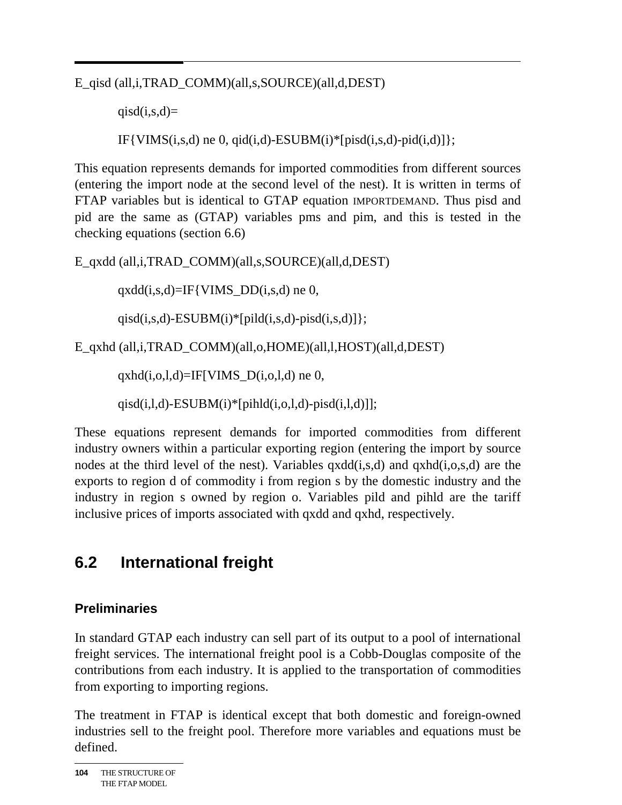E\_qisd (all,i,TRAD\_COMM)(all,s,SOURCE)(all,d,DEST)

 $qisd(i,s,d)=$ 

IF{VIMS $(i,s,d)$  ne 0, qid $(i,d)$ -ESUBM $(i)$ \*[pisd $(i,s,d)$ -pid $(i,d)$ ]};

This equation represents demands for imported commodities from different sources (entering the import node at the second level of the nest). It is written in terms of FTAP variables but is identical to GTAP equation IMPORTDEMAND. Thus pisd and pid are the same as (GTAP) variables pms and pim, and this is tested in the checking equations (section 6.6)

E\_qxdd (all,i,TRAD\_COMM)(all,s,SOURCE)(all,d,DEST)

 $q \times dd(i,s,d) = IF\{VIMS\_DD(i,s,d) \text{ ne } 0,$ 

qisd $(i,s,d)$ -ESUBM $(i)$ \*[pild $(i,s,d)$ -pisd $(i,s,d)$ ]};

E\_qxhd (all,i,TRAD\_COMM)(all,o,HOME)(all,l,HOST)(all,d,DEST)

 $qxhd(i,o,l,d)=IF[VIMS_D(i,o,l,d)$  ne 0,

qisd $(i,l,d)$ -ESUBM $(i)$ \*[pihld $(i,o,l,d)$ -pisd $(i,l,d)$ ]];

These equations represent demands for imported commodities from different industry owners within a particular exporting region (entering the import by source nodes at the third level of the nest). Variables  $\alpha$ dd $(i,s,d)$  and  $\alpha$ xhd $(i,o,s,d)$  are the exports to region d of commodity i from region s by the domestic industry and the industry in region s owned by region o. Variables pild and pihld are the tariff inclusive prices of imports associated with qxdd and qxhd, respectively.

# **6.2 International freight**

#### **Preliminaries**

In standard GTAP each industry can sell part of its output to a pool of international freight services. The international freight pool is a Cobb-Douglas composite of the contributions from each industry. It is applied to the transportation of commodities from exporting to importing regions.

The treatment in FTAP is identical except that both domestic and foreign-owned industries sell to the freight pool. Therefore more variables and equations must be defined.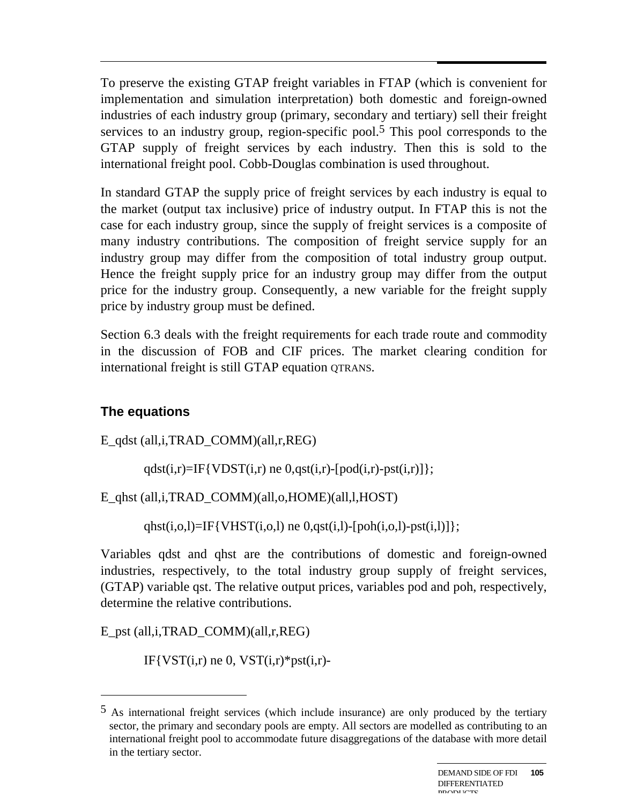To preserve the existing GTAP freight variables in FTAP (which is convenient for implementation and simulation interpretation) both domestic and foreign-owned industries of each industry group (primary, secondary and tertiary) sell their freight services to an industry group, region-specific pool.<sup>5</sup> This pool corresponds to the GTAP supply of freight services by each industry. Then this is sold to the international freight pool. Cobb-Douglas combination is used throughout.

In standard GTAP the supply price of freight services by each industry is equal to the market (output tax inclusive) price of industry output. In FTAP this is not the case for each industry group, since the supply of freight services is a composite of many industry contributions. The composition of freight service supply for an industry group may differ from the composition of total industry group output. Hence the freight supply price for an industry group may differ from the output price for the industry group. Consequently, a new variable for the freight supply price by industry group must be defined.

Section 6.3 deals with the freight requirements for each trade route and commodity in the discussion of FOB and CIF prices. The market clearing condition for international freight is still GTAP equation QTRANS.

#### **The equations**

 $\overline{a}$ 

E\_qdst (all,i,TRAD\_COMM)(all,r,REG)

qdst(i,r)=IF{VDST(i,r) ne  $0$ ,qst(i,r)-[pod(i,r)-pst(i,r)]};

E\_qhst (all,i,TRAD\_COMM)(all,o,HOME)(all,l,HOST)

qhst(i,o,l)=IF{VHST(i,o,l) ne 0,qst(i,l)-[poh(i,o,l)-pst(i,l)]};

Variables qdst and qhst are the contributions of domestic and foreign-owned industries, respectively, to the total industry group supply of freight services, (GTAP) variable qst. The relative output prices, variables pod and poh, respectively, determine the relative contributions.

E\_pst (all,i,TRAD\_COMM)(all,r,REG)

IF{VST(i,r) ne 0, VST(i,r)\*pst(i,r)-

<sup>5</sup> As international freight services (which include insurance) are only produced by the tertiary sector, the primary and secondary pools are empty. All sectors are modelled as contributing to an international freight pool to accommodate future disaggregations of the database with more detail in the tertiary sector.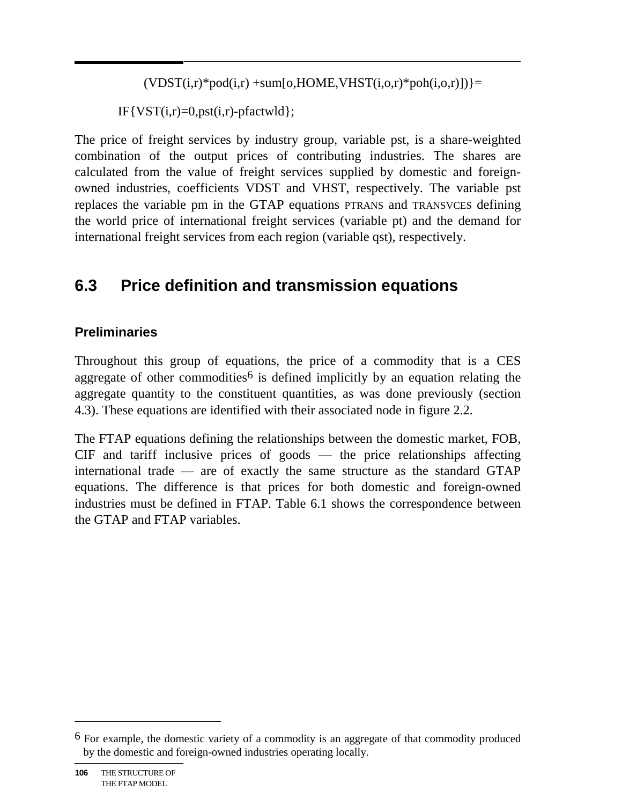$(VDST(i,r)*pod(i,r) + sum[0,HOME,VHST(i,o,r)*poh(i,o,r)])$ =  $IF{VST(i,r)=0,pst(i,r)-pfactwld};$ 

The price of freight services by industry group, variable pst, is a share-weighted combination of the output prices of contributing industries. The shares are calculated from the value of freight services supplied by domestic and foreignowned industries, coefficients VDST and VHST, respectively. The variable pst replaces the variable pm in the GTAP equations PTRANS and TRANSVCES defining the world price of international freight services (variable pt) and the demand for international freight services from each region (variable qst), respectively.

# **6.3 Price definition and transmission equations**

### **Preliminaries**

Throughout this group of equations, the price of a commodity that is a CES aggregate of other commodities<sup>6</sup> is defined implicitly by an equation relating the aggregate quantity to the constituent quantities, as was done previously (section 4.3). These equations are identified with their associated node in figure 2.2.

The FTAP equations defining the relationships between the domestic market, FOB, CIF and tariff inclusive prices of goods  $-$  the price relationships affecting international trade — are of exactly the same structure as the standard GTAP equations. The difference is that prices for both domestic and foreign-owned industries must be defined in FTAP. Table 6.1 shows the correspondence between the GTAP and FTAP variables.

 $6$  For example, the domestic variety of a commodity is an aggregate of that commodity produced by the domestic and foreign-owned industries operating locally.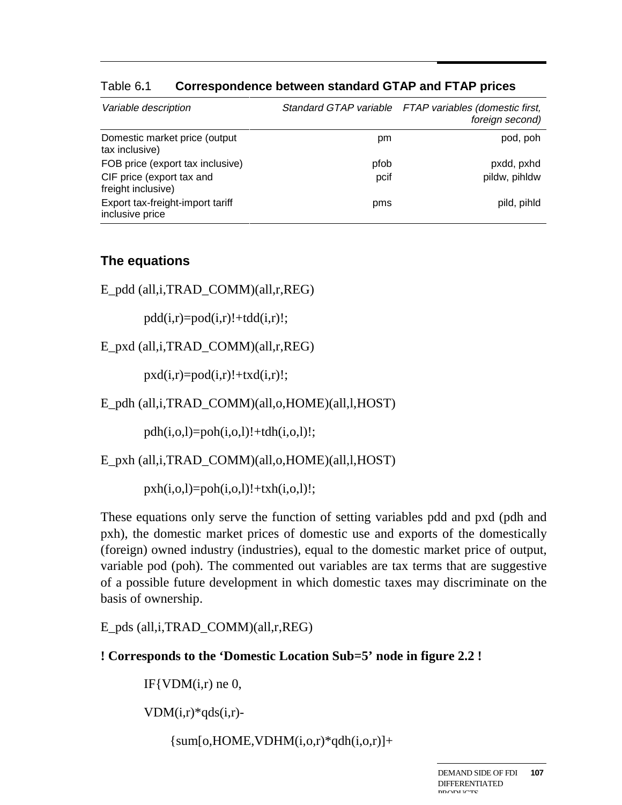| Table 6.1 | Correspondence between standard GTAP and FTAP prices |
|-----------|------------------------------------------------------|
|-----------|------------------------------------------------------|

| Variable description                                |      | Standard GTAP variable FTAP variables (domestic first,<br>foreign second) |
|-----------------------------------------------------|------|---------------------------------------------------------------------------|
| Domestic market price (output<br>tax inclusive)     | pm   | pod, poh                                                                  |
| FOB price (export tax inclusive)                    | pfob | pxdd, pxhd                                                                |
| CIF price (export tax and<br>freight inclusive)     | pcif | pildw, pihldw                                                             |
| Export tax-freight-import tariff<br>inclusive price | pms  | pild, pihld                                                               |

#### **The equations**

E\_pdd (all,i,TRAD\_COMM)(all,r,REG)

 $pdd(i,r)=pod(i,r)!+tdd(i,r)!;$ 

E\_pxd (all,i,TRAD\_COMM)(all,r,REG)

 $pxd(i,r)=pod(i,r)!+txd(i,r)!;$ 

E\_pdh (all,i,TRAD\_COMM)(all,o,HOME)(all,l,HOST)

 $pdh(i,o,l)=poh(i,o,l)!+tdh(i,o,l)!;$ 

E\_pxh (all,i,TRAD\_COMM)(all,o,HOME)(all,l,HOST)

 $pxh(i,o,l)=poh(i,o,l)!+txh(i,o,l)!;$ 

These equations only serve the function of setting variables pdd and pxd (pdh and pxh), the domestic market prices of domestic use and exports of the domestically (foreign) owned industry (industries), equal to the domestic market price of output, variable pod (poh). The commented out variables are tax terms that are suggestive of a possible future development in which domestic taxes may discriminate on the basis of ownership.

E\_pds (all,i,TRAD\_COMM)(all,r,REG)

#### **! Corresponds to the 'Domestic Location Sub=5' node in figure 2.2 !**

 $IF\{VDM(i,r) \neq 0,$ 

 $VDM(i,r)*qds(i,r)-$ 

 $\{\text{sum[o,HOME, VDHM(i,o,r)*qdh(i,o,r)]}+\}$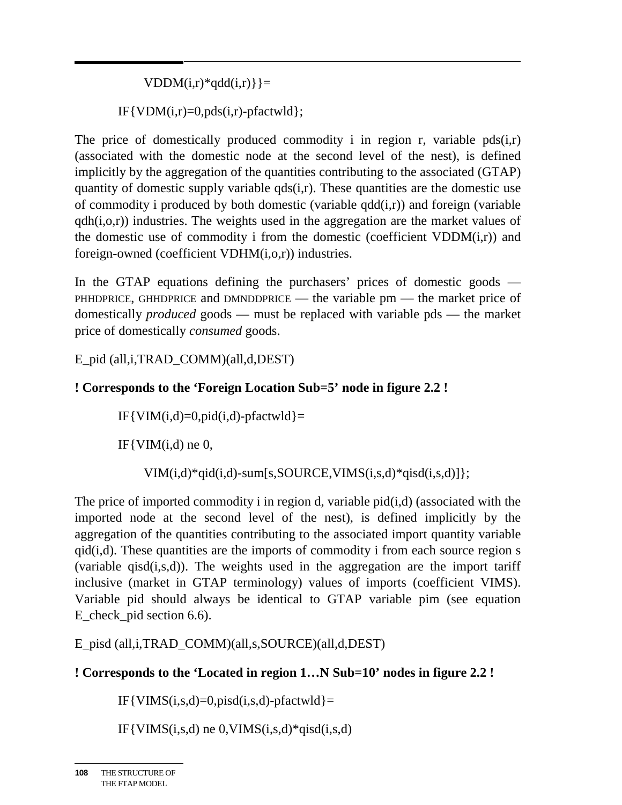$VDDM(i,r)*qdd(i,r)$ } }=

 $IF{VDM(i,r)=0,pds(i,r)-pfactwld};$ 

The price of domestically produced commodity i in region r, variable  $pds(i,r)$ (associated with the domestic node at the second level of the nest), is defined implicitly by the aggregation of the quantities contributing to the associated (GTAP) quantity of domestic supply variable  $qds(i,r)$ . These quantities are the domestic use of commodity i produced by both domestic (variable  $qdd(i,r)$ ) and foreign (variable  $qdh(i, o, r)$  industries. The weights used in the aggregation are the market values of the domestic use of commodity i from the domestic (coefficient  $VDDM(i,r)$ ) and foreign-owned (coefficient VDHM(i,o,r)) industries.

In the GTAP equations defining the purchasers' prices of domestic goods — PHHDPRICE, GHHDPRICE and DMNDDPRICE — the variable  $pm$  — the market price of domestically *produced* goods — must be replaced with variable pds — the market price of domestically *consumed* goods.

E\_pid (all,i,TRAD\_COMM)(all,d,DEST)

#### **! Corresponds to the 'Foreign Location Sub=5' node in figure 2.2 !**

 $IF\{VIM(i,d)=0,pid(i,d)-\text{ifactwld}\}$ =

 $IF\{VIM(i,d) \neq 0,$ 

 $VIM(i,d)*qid(i,d)-sum[s,SOURCE, VIMS(i,s,d)*qisd(i,s,d)]$ ;

The price of imported commodity i in region d, variable  $pid(i,d)$  (associated with the imported node at the second level of the nest), is defined implicitly by the aggregation of the quantities contributing to the associated import quantity variable  $qid(i,d)$ . These quantities are the imports of commodity i from each source region s (variable  $qisd(i,s,d)$ ). The weights used in the aggregation are the import tariff inclusive (market in GTAP terminology) values of imports (coefficient VIMS). Variable pid should always be identical to GTAP variable pim (see equation E\_check\_pid section 6.6).

E\_pisd (all,i,TRAD\_COMM)(all,s,SOURCE)(all,d,DEST)

#### **! Corresponds to the 'Located in region 1…N Sub=10' nodes in figure 2.2 !**

 $IF\{VIMS(i,s,d)=0,pisd(i,s,d)-pfactwld\} =$ 

 $IF\{VIMS(i,s,d) \neq 0, VIMS(i,s,d) \neq qisd(i,s,d)$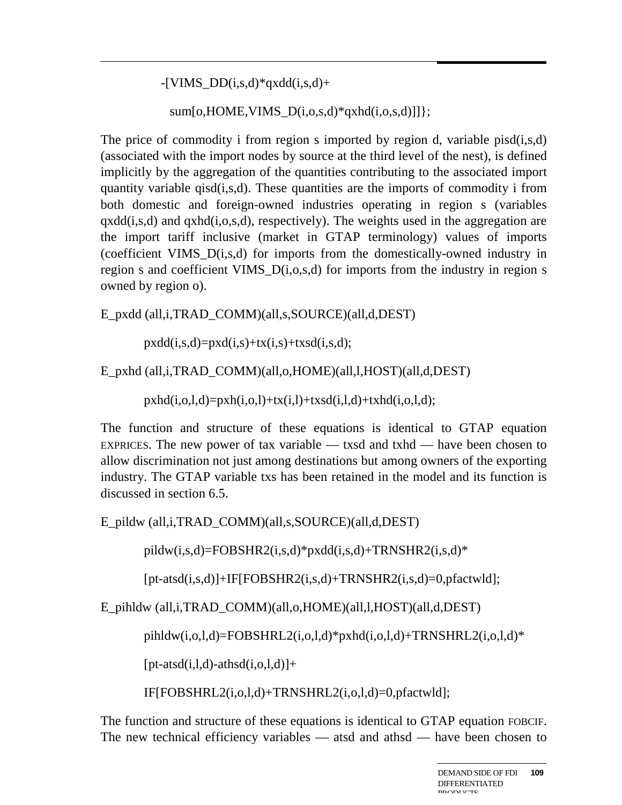$-[VIMS_DD(i,s,d)*qxdd(i,s,d)+$ 

```
sum[o,HOME, VIMS_D(i,o,s,d)*qxhd(i,o,s,d)] };
```
The price of commodity i from region s imported by region d, variable  $pisd(i,s,d)$ (associated with the import nodes by source at the third level of the nest), is defined implicitly by the aggregation of the quantities contributing to the associated import quantity variable qisd(i,s,d). These quantities are the imports of commodity i from both domestic and foreign-owned industries operating in region s (variables  $q \times d(d(i,s,d))$  and  $q \times h(d(i,o,s,d))$ , respectively). The weights used in the aggregation are the import tariff inclusive (market in GTAP terminology) values of imports (coefficient VIMS\_D(i,s,d) for imports from the domestically-owned industry in region s and coefficient VIMS\_D(i,o,s,d) for imports from the industry in region s owned by region o).

E\_pxdd (all,i,TRAD\_COMM)(all,s,SOURCE)(all,d,DEST)

 $p \times d\cdot (i,s,d) = p \times d(i,s) + t \times (i,s) + t \times s \cdot d(i,s,d);$ 

E\_pxhd (all,i,TRAD\_COMM)(all,o,HOME)(all,l,HOST)(all,d,DEST)

 $pxhd(i,o,l,d)=pxh(i,o,l)+tx(i,l)+txsd(i,l,d)+txhd(i,o,l,d);$ 

The function and structure of these equations is identical to GTAP equation EXPRICES. The new power of tax variable — txsd and txhd — have been chosen to allow discrimination not just among destinations but among owners of the exporting industry. The GTAP variable txs has been retained in the model and its function is discussed in section 6.5.

E\_pildw (all,i,TRAD\_COMM)(all,s,SOURCE)(all,d,DEST)

 $pildw(i,s,d)=FOBSHR2(i,s,d)*pxdd(i,s,d)+TRNSHR2(i,s,d)*$ 

[pt-atsd(i,s,d)]+IF[FOBSHR2(i,s,d)+TRNSHR2(i,s,d)=0,pfactwld];

E\_pihldw (all,i,TRAD\_COMM)(all,o,HOME)(all,l,HOST)(all,d,DEST)

 $pihldw(i,o,l,d)=FOBSHRL2(i,o,l,d)*pxhd(i,o,l,d)+TRNSHRL2(i,o,l,d)*$ 

 $[pt-atsd(i,l,d)-athsd(i,o,l,d)]+$ 

IF[FOBSHRL2(i,o,l,d)+TRNSHRL2(i,o,l,d)=0,pfactwld];

The function and structure of these equations is identical to GTAP equation FOBCIF. The new technical efficiency variables — atsd and athsd — have been chosen to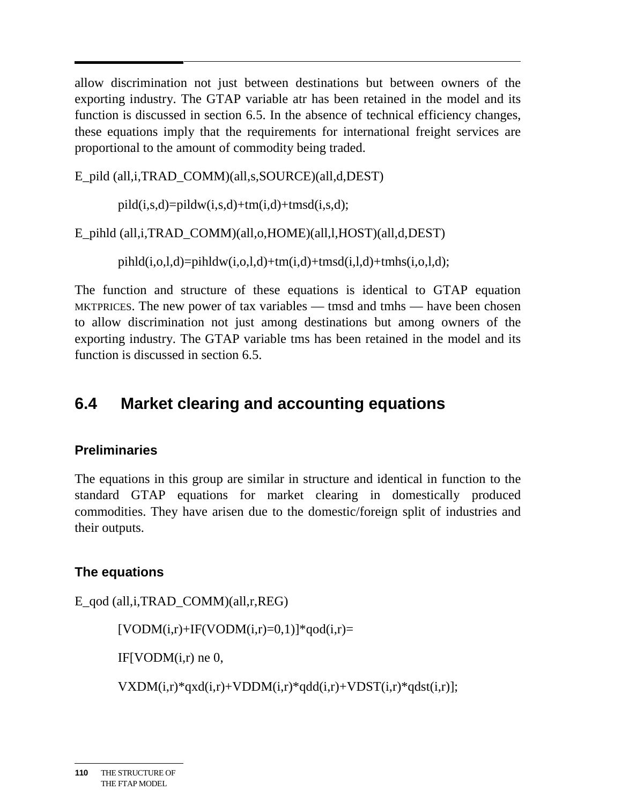allow discrimination not just between destinations but between owners of the exporting industry. The GTAP variable atr has been retained in the model and its function is discussed in section 6.5. In the absence of technical efficiency changes, these equations imply that the requirements for international freight services are proportional to the amount of commodity being traded.

E\_pild (all,i,TRAD\_COMM)(all,s,SOURCE)(all,d,DEST)

 $pild(i,s,d)=pildw(i,s,d)+tm(i,d)+tmsd(i,s,d);$ 

E\_pihld (all,i,TRAD\_COMM)(all,o,HOME)(all,l,HOST)(all,d,DEST)

 $pihld(i,o,l,d)=pihldw(i,o,l,d)+tm(i,d)+tmsd(i,l,d)+tmhs(i,o,l,d);$ 

The function and structure of these equations is identical to GTAP equation MKTPRICES. The new power of tax variables — tmsd and tmhs — have been chosen to allow discrimination not just among destinations but among owners of the exporting industry. The GTAP variable tms has been retained in the model and its function is discussed in section 6.5.

## **6.4 Market clearing and accounting equations**

#### **Preliminaries**

The equations in this group are similar in structure and identical in function to the standard GTAP equations for market clearing in domestically produced commodities. They have arisen due to the domestic/foreign split of industries and their outputs.

#### **The equations**

E\_qod (all,i,TRAD\_COMM)(all,r,REG)

```
[VODM(i,r)+IF(VODM(i,r)=0,1)]*qod(i,r)=
```
 $IF[VODM(i,r)$  ne 0,

 $VXDM(i,r)*qxd(i,r)+VDDM(i,r)*qdd(i,r)+VDST(i,r)*qdst(i,r)$ ;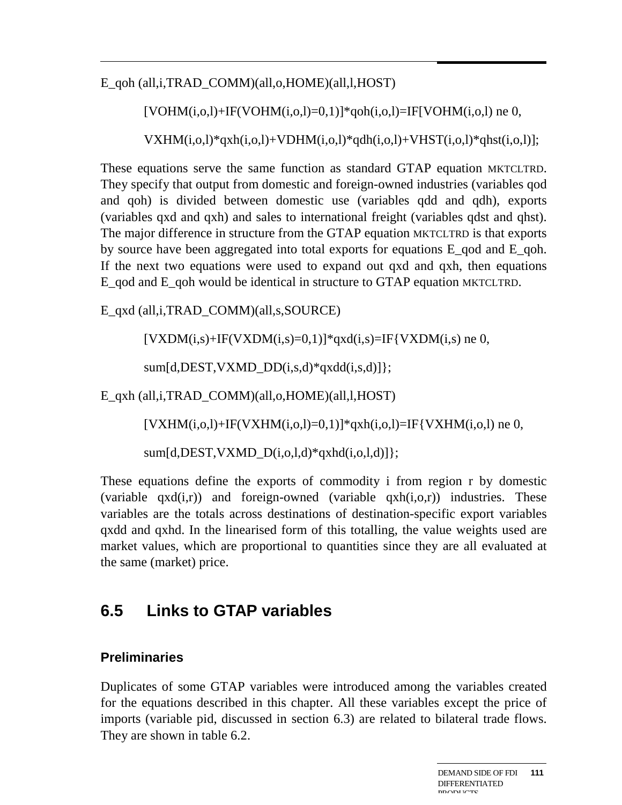E\_qoh (all,i,TRAD\_COMM)(all,o,HOME)(all,l,HOST)

 $[VOHM(i,0,1)+IF(VOHM(i,0,1)=0,1)]*qoh(i,0,1)=IF[VOHM(i,0,1)$  ne 0,

 $VXHM(i, o, l)*qxh(i, o, l)+VDHM(i, o, l)*qdh(i, o, l)+VHST(i, o, l)*qhst(i, o, l)];$ 

These equations serve the same function as standard GTAP equation MKTCLTRD. They specify that output from domestic and foreign-owned industries (variables qod and qoh) is divided between domestic use (variables qdd and qdh), exports (variables qxd and qxh) and sales to international freight (variables qdst and qhst). The major difference in structure from the GTAP equation MKTCLTRD is that exports by source have been aggregated into total exports for equations E\_qod and E\_qoh. If the next two equations were used to expand out qxd and qxh, then equations E\_qod and E\_qoh would be identical in structure to GTAP equation MKTCLTRD.

E\_qxd (all,i,TRAD\_COMM)(all,s,SOURCE)

 $[VXDM(i,s)+IF(VXDM(i,s)=0,1)]$ <sup>\*</sup>qxd(i,s)=IF{VXDM(i,s) ne 0,

 $sum[d,DEST, VXMD_DD(i,s,d)*qxdd(i,s,d)]$ ;

E\_qxh (all,i,TRAD\_COMM)(all,o,HOME)(all,l,HOST)

 $[VXHM(i,0,1)+IF(VXHM(i,0,1)=0,1)]$ <sup>\*</sup>qxh(i,o,l)=IF{VXHM(i,o,l) ne 0,

 $sum[d,DEST, VXMD_D(i,o,1,d)*qxhd(i,o,1,d)]$ ;

These equations define the exports of commodity i from region r by domestic (variable  $qxd(i,r)$ ) and foreign-owned (variable  $qxh(i,0,r)$ ) industries. These variables are the totals across destinations of destination-specific export variables qxdd and qxhd. In the linearised form of this totalling, the value weights used are market values, which are proportional to quantities since they are all evaluated at the same (market) price.

## **6.5 Links to GTAP variables**

#### **Preliminaries**

Duplicates of some GTAP variables were introduced among the variables created for the equations described in this chapter. All these variables except the price of imports (variable pid, discussed in section 6.3) are related to bilateral trade flows. They are shown in table 6.2.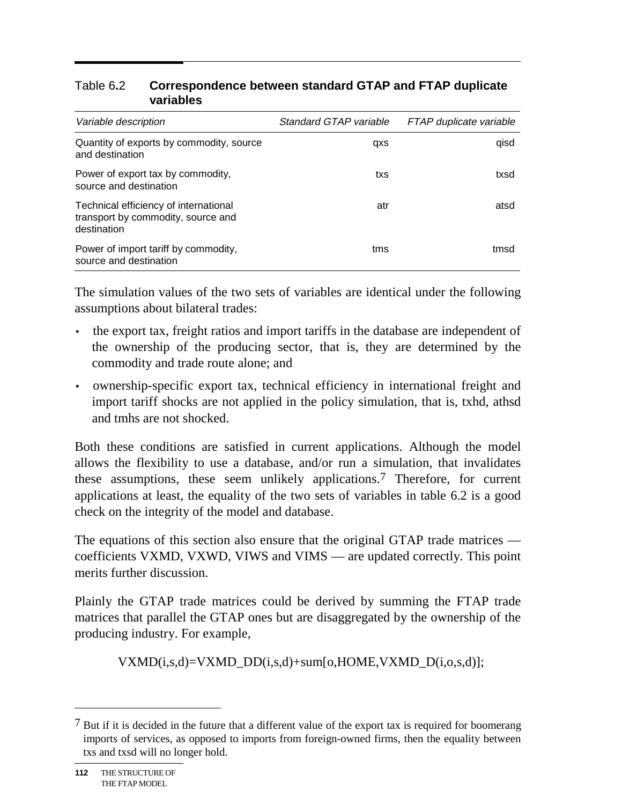#### Table 6**.**2 **Correspondence between standard GTAP and FTAP duplicate variables**

| Variable description                                                                       | Standard GTAP variable | FTAP duplicate variable |
|--------------------------------------------------------------------------------------------|------------------------|-------------------------|
| Quantity of exports by commodity, source<br>and destination                                | qxs                    | qisd                    |
| Power of export tax by commodity,<br>source and destination                                | txs                    | txsd                    |
| Technical efficiency of international<br>transport by commodity, source and<br>destination | atr                    | atsd                    |
| Power of import tariff by commodity,<br>source and destination                             | tms                    | tmsd                    |

The simulation values of the two sets of variables are identical under the following assumptions about bilateral trades:

- the export tax, freight ratios and import tariffs in the database are independent of the ownership of the producing sector, that is, they are determined by the commodity and trade route alone; and
- ownership-specific export tax, technical efficiency in international freight and import tariff shocks are not applied in the policy simulation, that is, txhd, athsd and tmhs are not shocked.

Both these conditions are satisfied in current applications. Although the model allows the flexibility to use a database, and/or run a simulation, that invalidates these assumptions, these seem unlikely applications.7 Therefore, for current applications at least, the equality of the two sets of variables in table 6.2 is a good check on the integrity of the model and database.

The equations of this section also ensure that the original GTAP trade matrices coefficients VXMD, VXWD, VIWS and VIMS — are updated correctly. This point merits further discussion.

Plainly the GTAP trade matrices could be derived by summing the FTAP trade matrices that parallel the GTAP ones but are disaggregated by the ownership of the producing industry. For example,

 $VXMD(i,s,d)=VXMD_D(i,s,d)+sum[o,HOME,VXMD_D(i,o,s,d)];$ 

 $<sup>7</sup>$  But if it is decided in the future that a different value of the export tax is required for boomerang</sup> imports of services, as opposed to imports from foreign-owned firms, then the equality between txs and txsd will no longer hold.

**<sup>112</sup>** THE STRUCTURE OF THE FTAP MODEL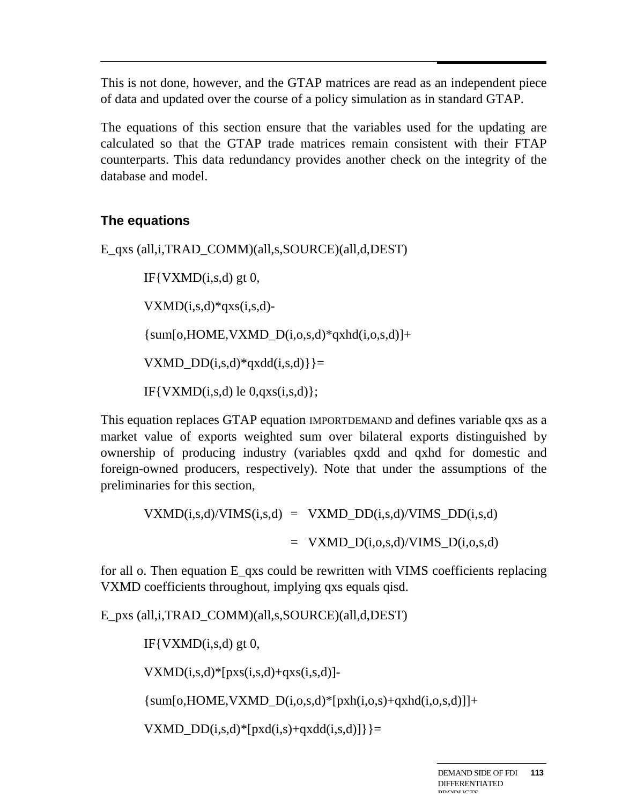This is not done, however, and the GTAP matrices are read as an independent piece of data and updated over the course of a policy simulation as in standard GTAP.

The equations of this section ensure that the variables used for the updating are calculated so that the GTAP trade matrices remain consistent with their FTAP counterparts. This data redundancy provides another check on the integrity of the database and model.

#### **The equations**

E\_qxs (all,i,TRAD\_COMM)(all,s,SOURCE)(all,d,DEST)

 $IF{VXMD(i,s,d)gt 0}$ ,  $VXMD(i,s,d)*qxs(i,s,d) \{\text{sum}[o,HOME, VXMD\_D(i,o,s,d)*qxhd(i,o,s,d)]+\}$ VXMD\_DD $(i,s,d)*qxdd(i,s,d)$ } = IF{VXMD $(i,s,d)$  le  $0,qxs(i,s,d)$ };

This equation replaces GTAP equation IMPORTDEMAND and defines variable qxs as a market value of exports weighted sum over bilateral exports distinguished by ownership of producing industry (variables qxdd and qxhd for domestic and foreign-owned producers, respectively). Note that under the assumptions of the preliminaries for this section,

 $VXMD(i,s,d)/VIMS(i,s,d) = VXMD_D(i,s,d)/VIMS_D(i,s,d)$  $=$  VXMD\_D(i,o,s,d)/VIMS\_D(i,o,s,d)

for all o. Then equation E\_qxs could be rewritten with VIMS coefficients replacing VXMD coefficients throughout, implying qxs equals qisd.

E\_pxs (all,i,TRAD\_COMM)(all,s,SOURCE)(all,d,DEST)

 $IF{VXMD(i,s,d)}$  gt 0,

 $VXMD(i,s,d)*[pxs(i,s,d)+qxs(i,s,d)]-$ 

 $\{sum[o,HOME, VXMD_D(i,o,s,d)*[p x h(i,o,s)+q x h d(i,o,s,d)]\}+$ 

VXMD\_DD(i,s,d)\*[pxd(i,s)+qxdd(i,s,d)]}}=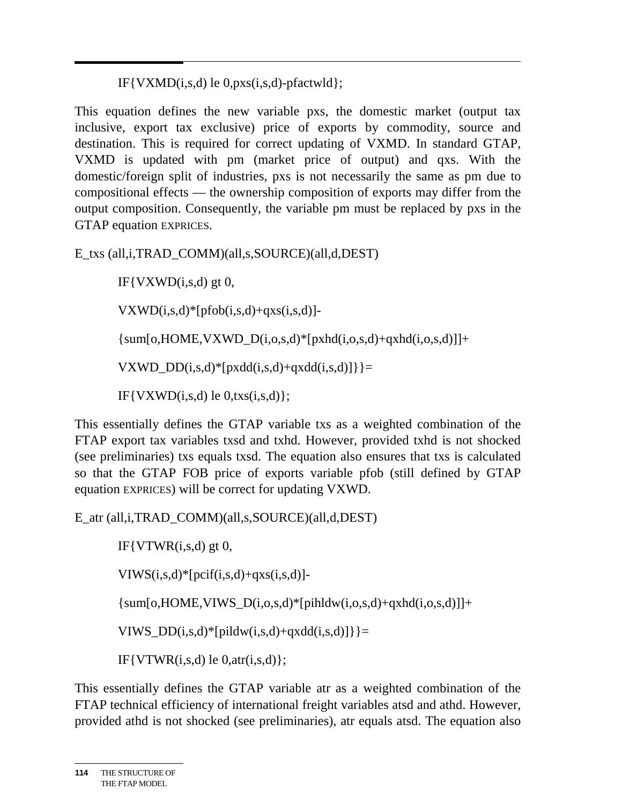$IF{VXMD(i,s,d) \leq 0, pxs(i,s,d)}\text{-} \text{if } \text{actwld};$ 

This equation defines the new variable pxs, the domestic market (output tax inclusive, export tax exclusive) price of exports by commodity, source and destination. This is required for correct updating of VXMD. In standard GTAP, VXMD is updated with pm (market price of output) and qxs. With the domestic/foreign split of industries, pxs is not necessarily the same as pm due to compositional effects — the ownership composition of exports may differ from the output composition. Consequently, the variable pm must be replaced by pxs in the GTAP equation EXPRICES.

E\_txs (all,i,TRAD\_COMM)(all,s,SOURCE)(all,d,DEST)

 $IF{VXWD(i,s,d)$  gt 0,  $VXWD(i,s,d)*[pfob(i,s,d)+qxs(i,s,d)] \{sum[o,HOME,VXWD_D(i,o,s,d)*[pxhd(i,o,s,d)+qxhd(i,o,s,d)]\}$ VXWD\_DD $(i,s,d)$ \*[pxdd $(i,s,d)$ +qxdd $(i,s,d)$ ]}}= IF{ $VXWD(i,s,d)$  le  $0,txs(i,s,d)$ };

This essentially defines the GTAP variable txs as a weighted combination of the FTAP export tax variables txsd and txhd. However, provided txhd is not shocked (see preliminaries) txs equals txsd. The equation also ensures that txs is calculated so that the GTAP FOB price of exports variable pfob (still defined by GTAP equation EXPRICES) will be correct for updating VXWD.

E\_atr (all,i,TRAD\_COMM)(all,s,SOURCE)(all,d,DEST)

 $IF\{VTWR(i,s,d)$  gt 0,  $VIWS(i,s,d)*[pcif(i,s,d)+qxs(i,s,d)] \{sum[o,HOME, VIWS_D(i,o,s,d)*[pihldw(i,o,s,d)+qxhd(i,o,s,d)]\}+$ VIWS\_DD $(i,s,d)$ \*[pildw $(i,s,d)$ +qxdd $(i,s,d)$ ]}}=  $IF{VTWR}(i,s,d)$  le  $0,atr(i,s,d)$  :

This essentially defines the GTAP variable atr as a weighted combination of the FTAP technical efficiency of international freight variables atsd and athd. However, provided athd is not shocked (see preliminaries), atr equals atsd. The equation also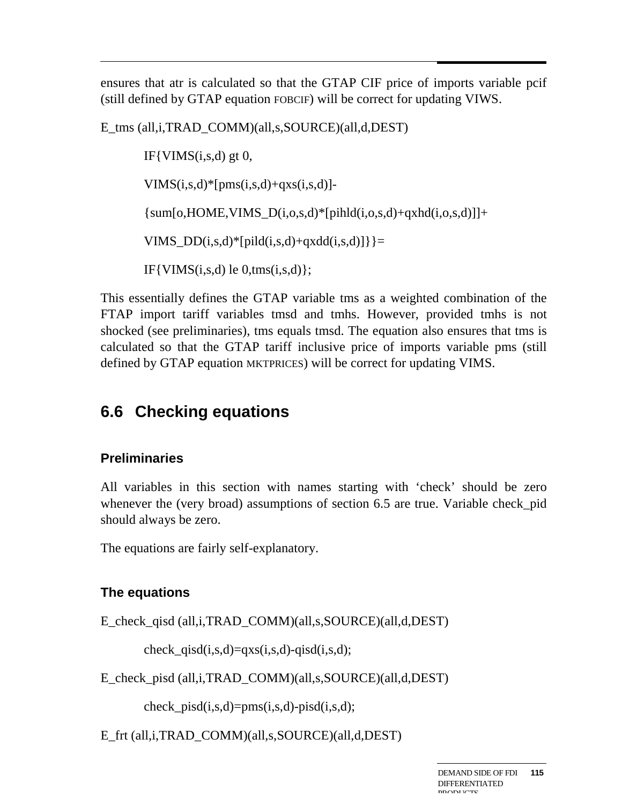ensures that atr is calculated so that the GTAP CIF price of imports variable pcif (still defined by GTAP equation FOBCIF) will be correct for updating VIWS.

E\_tms (all,i,TRAD\_COMM)(all,s,SOURCE)(all,d,DEST)

 $IF\{VIMS(i,s,d)gt 0,$  $VIMS(i,s,d)*[pms(i,s,d)+qxs(i,s,d)] \{sum[o,HOME, VIMS_D(i,o,s,d)*[pihld(i,o,s,d)+qxhd(i,o,s,d)]\}$ + VIMS\_DD(i,s,d)\*[pild(i,s,d)+qxdd(i,s,d)]}}= IF{VIMS $(i,s,d)$  le 0,tms $(i,s,d)$ };

This essentially defines the GTAP variable tms as a weighted combination of the FTAP import tariff variables tmsd and tmhs. However, provided tmhs is not shocked (see preliminaries), tms equals tmsd. The equation also ensures that tms is calculated so that the GTAP tariff inclusive price of imports variable pms (still defined by GTAP equation MKTPRICES) will be correct for updating VIMS.

## **6.6 Checking equations**

#### **Preliminaries**

All variables in this section with names starting with 'check' should be zero whenever the (very broad) assumptions of section 6.5 are true. Variable check pid should always be zero.

The equations are fairly self-explanatory.

#### **The equations**

E\_check\_qisd (all,i,TRAD\_COMM)(all,s,SOURCE)(all,d,DEST)

check\_qisd $(i,s,d)$ =qxs $(i,s,d)$ -qisd $(i,s,d)$ ;

E\_check\_pisd (all,i,TRAD\_COMM)(all,s,SOURCE)(all,d,DEST)

 $check\_pisd(i,s,d)=pms(i,s,d)-pisd(i,s,d);$ 

E\_frt (all,i,TRAD\_COMM)(all,s,SOURCE)(all,d,DEST)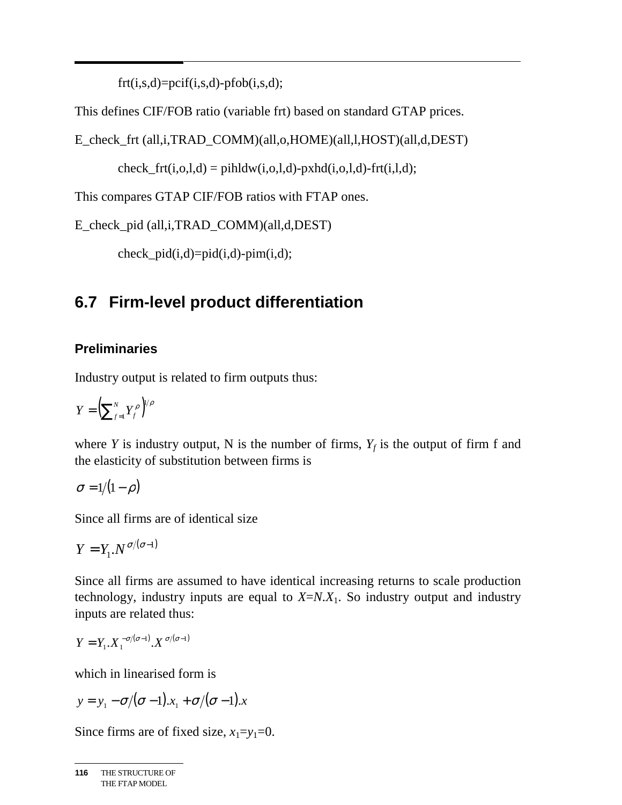$frt(i,s,d)=\text{pcif}(i,s,d)-\text{pfob}(i,s,d);$ 

This defines CIF/FOB ratio (variable frt) based on standard GTAP prices.

E\_check\_frt (all,i,TRAD\_COMM)(all,o,HOME)(all,l,HOST)(all,d,DEST)

check\_frt(i,o,l,d) = pihldw(i,o,l,d)-pxhd(i,o,l,d)-frt(i,l,d);

This compares GTAP CIF/FOB ratios with FTAP ones.

E\_check\_pid (all,i,TRAD\_COMM)(all,d,DEST)

 $check\_pid(i,d)=pid(i,d)-pim(i,d);$ 

## **6.7 Firm-level product differentiation**

#### **Preliminaries**

Industry output is related to firm outputs thus:

$$
Y=\left(\sum\nolimits_{f=1}^{N}Y_{f}^{\rho}\right)^{\!\!\!1/\rho}
$$

where *Y* is industry output, N is the number of firms,  $Y_f$  is the output of firm f and the elasticity of substitution between firms is

$$
\sigma = 1/(1-\rho)
$$

Since all firms are of identical size

$$
Y = Y_1 . N^{\sigma/(\sigma - 1)}
$$

Since all firms are assumed to have identical increasing returns to scale production technology, industry inputs are equal to  $X=N.X_1$ . So industry output and industry inputs are related thus:

$$
Y=Y_1.X_1^{-\sigma/(\sigma-1)}\cdot X^{\sigma/(\sigma-1)}
$$

which in linearised form is

$$
y = y_1 - \sigma/(\sigma - 1).x_1 + \sigma/(\sigma - 1).x
$$

Since firms are of fixed size,  $x_1=y_1=0$ .

**<sup>116</sup>** THE STRUCTURE OF THE FTAP MODEL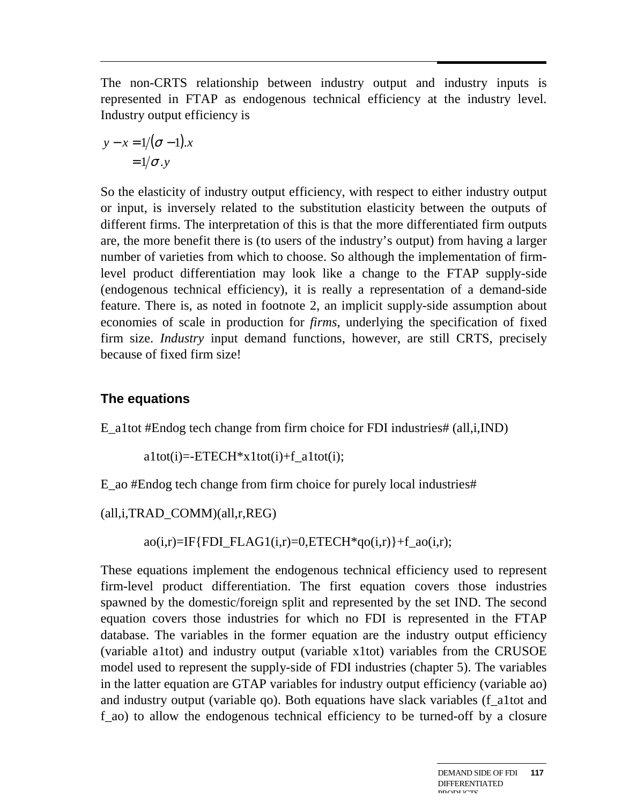The non-CRTS relationship between industry output and industry inputs is represented in FTAP as endogenous technical efficiency at the industry level. Industry output efficiency is

$$
y - x = 1/(\sigma - 1).x
$$
  
= 1/(\sigma .y)

So the elasticity of industry output efficiency, with respect to either industry output or input, is inversely related to the substitution elasticity between the outputs of different firms. The interpretation of this is that the more differentiated firm outputs are, the more benefit there is (to users of the industry's output) from having a larger number of varieties from which to choose. So although the implementation of firmlevel product differentiation may look like a change to the FTAP supply-side (endogenous technical efficiency), it is really a representation of a demand-side feature. There is, as noted in footnote 2, an implicit supply-side assumption about economies of scale in production for *firms*, underlying the specification of fixed firm size. *Industry* input demand functions, however, are still CRTS, precisely because of fixed firm size!

#### **The equations**

E\_a1tot #Endog tech change from firm choice for FDI industries# (all,i,IND)

 $a1\text{tot}(i) = -ETECH*x1\text{tot}(i) + f_a1\text{tot}(i);$ 

E\_ao #Endog tech change from firm choice for purely local industries#

(all,i,TRAD\_COMM)(all,r,REG)

 $ao(i,r)=IF\{FDI_FLAG1(i,r)=0, ETECH*qo(i,r)\}+f_ao(i,r);$ 

These equations implement the endogenous technical efficiency used to represent firm-level product differentiation. The first equation covers those industries spawned by the domestic/foreign split and represented by the set IND. The second equation covers those industries for which no FDI is represented in the FTAP database. The variables in the former equation are the industry output efficiency (variable a1tot) and industry output (variable x1tot) variables from the CRUSOE model used to represent the supply-side of FDI industries (chapter 5). The variables in the latter equation are GTAP variables for industry output efficiency (variable ao) and industry output (variable qo). Both equations have slack variables (f\_a1tot and f\_ao) to allow the endogenous technical efficiency to be turned-off by a closure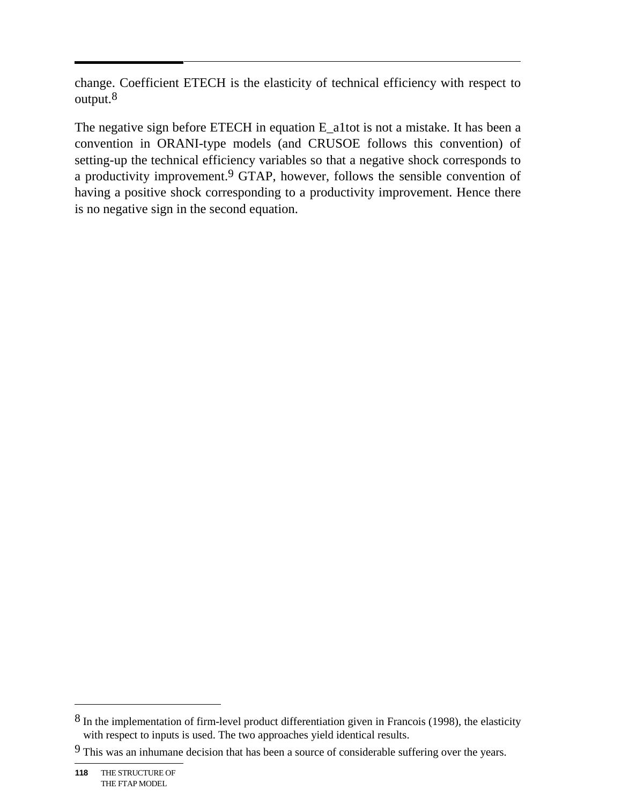change. Coefficient ETECH is the elasticity of technical efficiency with respect to output.8

The negative sign before ETECH in equation E\_a1tot is not a mistake. It has been a convention in ORANI-type models (and CRUSOE follows this convention) of setting-up the technical efficiency variables so that a negative shock corresponds to a productivity improvement.9 GTAP, however, follows the sensible convention of having a positive shock corresponding to a productivity improvement. Hence there is no negative sign in the second equation.

<sup>8</sup> In the implementation of firm-level product differentiation given in Francois (1998), the elasticity with respect to inputs is used. The two approaches yield identical results.

 $9$  This was an inhumane decision that has been a source of considerable suffering over the years.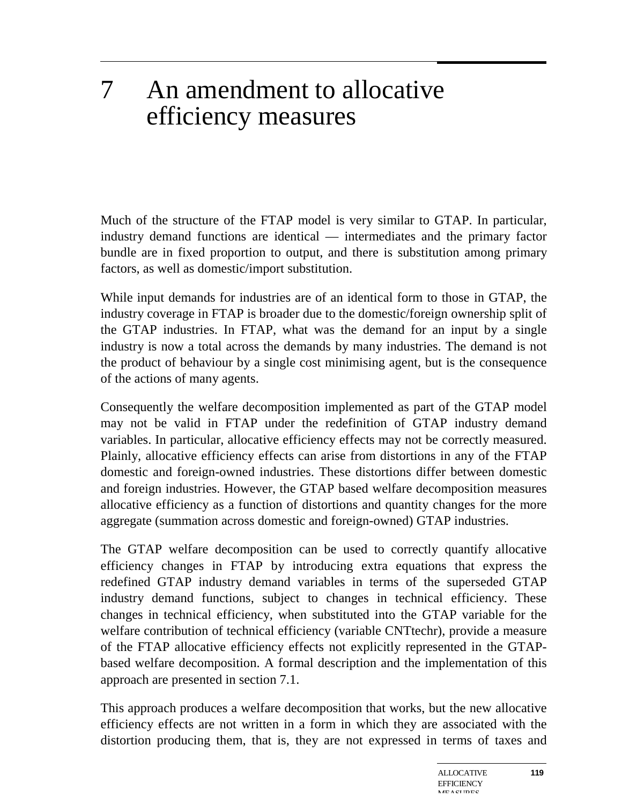# 7 An amendment to allocative efficiency measures

Much of the structure of the FTAP model is very similar to GTAP. In particular, industry demand functions are identical — intermediates and the primary factor bundle are in fixed proportion to output, and there is substitution among primary factors, as well as domestic/import substitution.

While input demands for industries are of an identical form to those in GTAP, the industry coverage in FTAP is broader due to the domestic/foreign ownership split of the GTAP industries. In FTAP, what was the demand for an input by a single industry is now a total across the demands by many industries. The demand is not the product of behaviour by a single cost minimising agent, but is the consequence of the actions of many agents.

Consequently the welfare decomposition implemented as part of the GTAP model may not be valid in FTAP under the redefinition of GTAP industry demand variables. In particular, allocative efficiency effects may not be correctly measured. Plainly, allocative efficiency effects can arise from distortions in any of the FTAP domestic and foreign-owned industries. These distortions differ between domestic and foreign industries. However, the GTAP based welfare decomposition measures allocative efficiency as a function of distortions and quantity changes for the more aggregate (summation across domestic and foreign-owned) GTAP industries.

The GTAP welfare decomposition can be used to correctly quantify allocative efficiency changes in FTAP by introducing extra equations that express the redefined GTAP industry demand variables in terms of the superseded GTAP industry demand functions, subject to changes in technical efficiency. These changes in technical efficiency, when substituted into the GTAP variable for the welfare contribution of technical efficiency (variable CNTtechr), provide a measure of the FTAP allocative efficiency effects not explicitly represented in the GTAPbased welfare decomposition. A formal description and the implementation of this approach are presented in section 7.1.

This approach produces a welfare decomposition that works, but the new allocative efficiency effects are not written in a form in which they are associated with the distortion producing them, that is, they are not expressed in terms of taxes and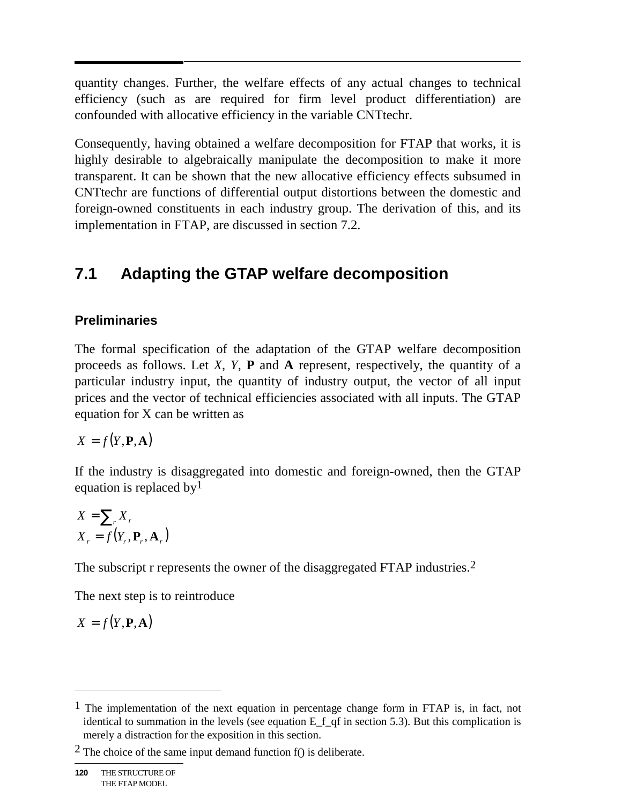quantity changes. Further, the welfare effects of any actual changes to technical efficiency (such as are required for firm level product differentiation) are confounded with allocative efficiency in the variable CNTtechr.

Consequently, having obtained a welfare decomposition for FTAP that works, it is highly desirable to algebraically manipulate the decomposition to make it more transparent. It can be shown that the new allocative efficiency effects subsumed in CNTtechr are functions of differential output distortions between the domestic and foreign-owned constituents in each industry group. The derivation of this, and its implementation in FTAP, are discussed in section 7.2.

## **7.1 Adapting the GTAP welfare decomposition**

#### **Preliminaries**

The formal specification of the adaptation of the GTAP welfare decomposition proceeds as follows. Let *X*, *Y*, **P** and **A** represent, respectively, the quantity of a particular industry input, the quantity of industry output, the vector of all input prices and the vector of technical efficiencies associated with all inputs. The GTAP equation for X can be written as

 $X = f(Y, \mathbf{P}, \mathbf{A})$ 

If the industry is disaggregated into domestic and foreign-owned, then the GTAP equation is replaced by  $l_1$ 

$$
X = \sum_{r} X_{r}
$$

$$
X_{r} = f(Y_{r}, \mathbf{P}_{r}, \mathbf{A}_{r})
$$

The subscript r represents the owner of the disaggregated FTAP industries.<sup>2</sup>

The next step is to reintroduce

 $X = f(Y, \mathbf{P}, \mathbf{A})$ 

<sup>&</sup>lt;sup>1</sup> The implementation of the next equation in percentage change form in FTAP is, in fact, not identical to summation in the levels (see equation E\_f\_qf in section 5.3). But this complication is merely a distraction for the exposition in this section.

<sup>&</sup>lt;sup>2</sup> The choice of the same input demand function  $f()$  is deliberate.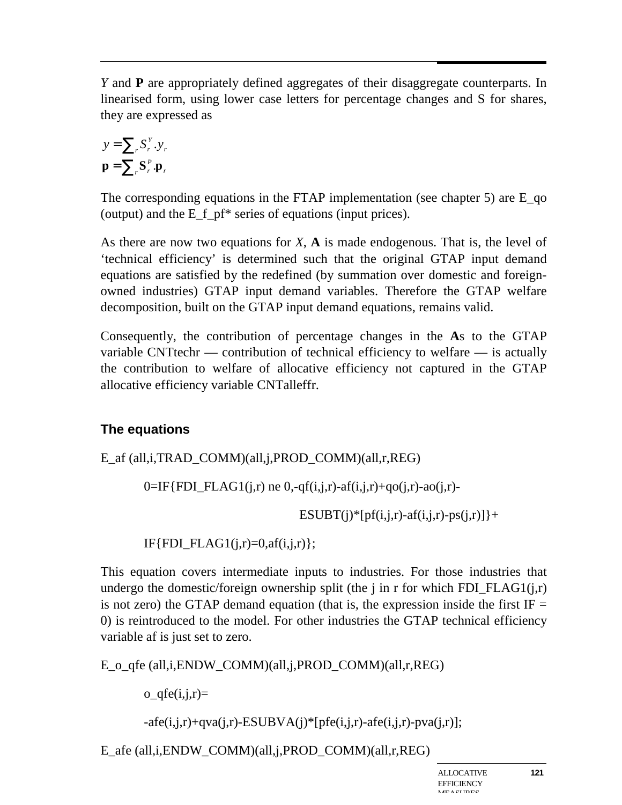*Y* and **P** are appropriately defined aggregates of their disaggregate counterparts. In linearised form, using lower case letters for percentage changes and S for shares, they are expressed as

$$
y = \sum_{r} S_{r}^{Y} . y_{r}
$$

$$
\mathbf{p} = \sum_{r} \mathbf{S}_{r}^{P} . \mathbf{p}_{r}
$$

The corresponding equations in the FTAP implementation (see chapter 5) are E\_qo (output) and the E\_f\_pf\* series of equations (input prices).

As there are now two equations for *X*, **A** is made endogenous. That is, the level of 'technical efficiency' is determined such that the original GTAP input demand equations are satisfied by the redefined (by summation over domestic and foreignowned industries) GTAP input demand variables. Therefore the GTAP welfare decomposition, built on the GTAP input demand equations, remains valid.

Consequently, the contribution of percentage changes in the **A**s to the GTAP variable CNTtechr — contribution of technical efficiency to welfare — is actually the contribution to welfare of allocative efficiency not captured in the GTAP allocative efficiency variable CNTalleffr.

## **The equations**

E\_af (all,i,TRAD\_COMM)(all,j,PROD\_COMM)(all,r,REG)

 $0=IF\{FDI_FLAG1(j,r) \text{ ne } 0, -qf(i,j,r)-af(i,j,r)+qo(j,r)-ao(j,r)-q(i,j,r)\}$ 

 $ESUBT(j)*[pf(i,j,r)-af(i,j,r)-ps(j,r)]+$ 

 $IF{FDI_FLAG1(i,r)=0,af(i,j,r)};$ 

This equation covers intermediate inputs to industries. For those industries that undergo the domestic/foreign ownership split (the j in r for which FDI FLAG1(j,r) is not zero) the GTAP demand equation (that is, the expression inside the first  $IF =$ 0) is reintroduced to the model. For other industries the GTAP technical efficiency variable af is just set to zero.

E\_o\_qfe (all,i,ENDW\_COMM)(all,j,PROD\_COMM)(all,r,REG)

 $o_qfe(i,j,r)=$ 

 $-afe(i,j,r)+qva(j,r)-ESUBVA(j)*[pfe(i,j,r)-afe(i,j,r)-pva(j,r)];$ 

E\_afe (all,i,ENDW\_COMM)(all,j,PROD\_COMM)(all,r,REG)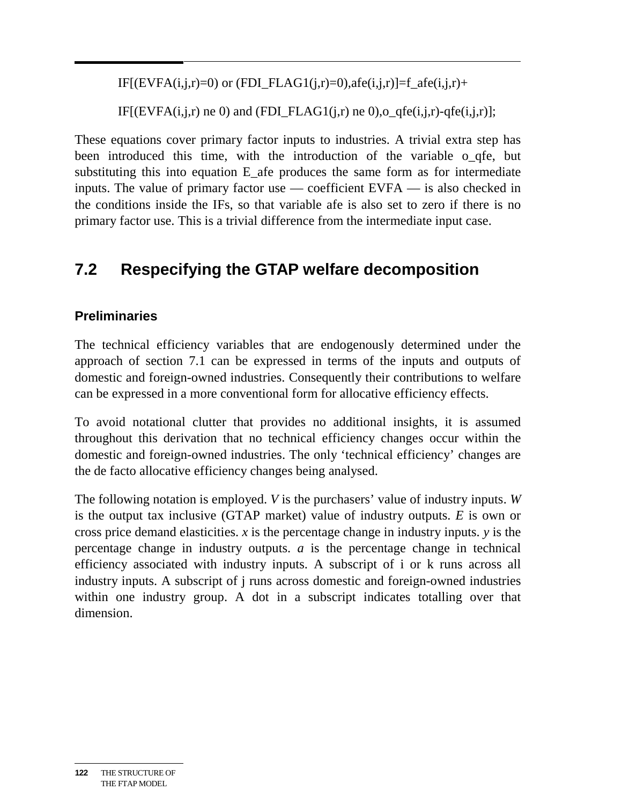$IF[(EVFA(i,j,r)=0)$  or  $(FDI\_FLAG1(i,r)=0)$ ,  $afe(i,j,r)=f\_afe(i,j,r)+$ 

IF[(EVFA(i,j,r) ne 0) and (FDI\_FLAG1(j,r) ne 0),o\_qfe(i,j,r)-qfe(i,j,r)];

These equations cover primary factor inputs to industries. A trivial extra step has been introduced this time, with the introduction of the variable o\_qfe, but substituting this into equation E\_afe produces the same form as for intermediate inputs. The value of primary factor use — coefficient EVFA — is also checked in the conditions inside the IFs, so that variable afe is also set to zero if there is no primary factor use. This is a trivial difference from the intermediate input case.

# **7.2 Respecifying the GTAP welfare decomposition**

#### **Preliminaries**

The technical efficiency variables that are endogenously determined under the approach of section 7.1 can be expressed in terms of the inputs and outputs of domestic and foreign-owned industries. Consequently their contributions to welfare can be expressed in a more conventional form for allocative efficiency effects.

To avoid notational clutter that provides no additional insights, it is assumed throughout this derivation that no technical efficiency changes occur within the domestic and foreign-owned industries. The only 'technical efficiency' changes are the de facto allocative efficiency changes being analysed.

The following notation is employed. *V* is the purchasers' value of industry inputs. *W* is the output tax inclusive (GTAP market) value of industry outputs. *E* is own or cross price demand elasticities. *x* is the percentage change in industry inputs. *y* is the percentage change in industry outputs. *a* is the percentage change in technical efficiency associated with industry inputs. A subscript of i or k runs across all industry inputs. A subscript of j runs across domestic and foreign-owned industries within one industry group. A dot in a subscript indicates totalling over that dimension.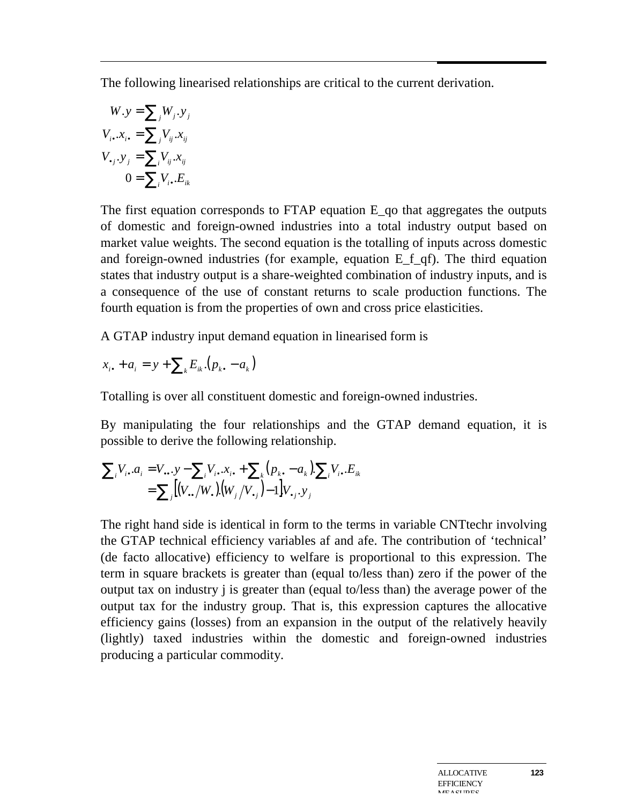The following linearised relationships are critical to the current derivation.

$$
W.y = \sum_{j} W_{j}.y_{j}
$$
  
\n
$$
V_{i\bullet}.x_{i\bullet} = \sum_{j} V_{ij}.x_{ij}
$$
  
\n
$$
V_{\bullet j}.y_{j} = \sum_{i} V_{ij}.x_{ij}
$$
  
\n
$$
0 = \sum_{i} V_{i\bullet}.E_{ik}
$$

The first equation corresponds to FTAP equation E\_qo that aggregates the outputs of domestic and foreign-owned industries into a total industry output based on market value weights. The second equation is the totalling of inputs across domestic and foreign-owned industries (for example, equation  $E_f_q(f)$ ). The third equation states that industry output is a share-weighted combination of industry inputs, and is a consequence of the use of constant returns to scale production functions. The fourth equation is from the properties of own and cross price elasticities.

A GTAP industry input demand equation in linearised form is

$$
x_{i\bullet} + a_i = y + \sum_k E_{ik} (p_{k\bullet} - a_k)
$$

Totalling is over all constituent domestic and foreign-owned industries.

By manipulating the four relationships and the GTAP demand equation, it is possible to derive the following relationship.

$$
\sum_{i} V_{i\bullet} . a_{i} = V_{\bullet\bullet} . y - \sum_{i} V_{i\bullet} . x_{i\bullet} + \sum_{k} (p_{k\bullet} - a_{k}) . \sum_{i} V_{i\bullet} . E_{ik}
$$

$$
= \sum_{j} \left[ (V_{\bullet\bullet} / W_{\bullet}) . (W_{j} / V_{\bullet j}) - 1 \right] V_{\bullet j} . y_{j}
$$

The right hand side is identical in form to the terms in variable CNTtechr involving the GTAP technical efficiency variables af and afe. The contribution of 'technical' (de facto allocative) efficiency to welfare is proportional to this expression. The term in square brackets is greater than (equal to/less than) zero if the power of the output tax on industry j is greater than (equal to/less than) the average power of the output tax for the industry group. That is, this expression captures the allocative efficiency gains (losses) from an expansion in the output of the relatively heavily (lightly) taxed industries within the domestic and foreign-owned industries producing a particular commodity.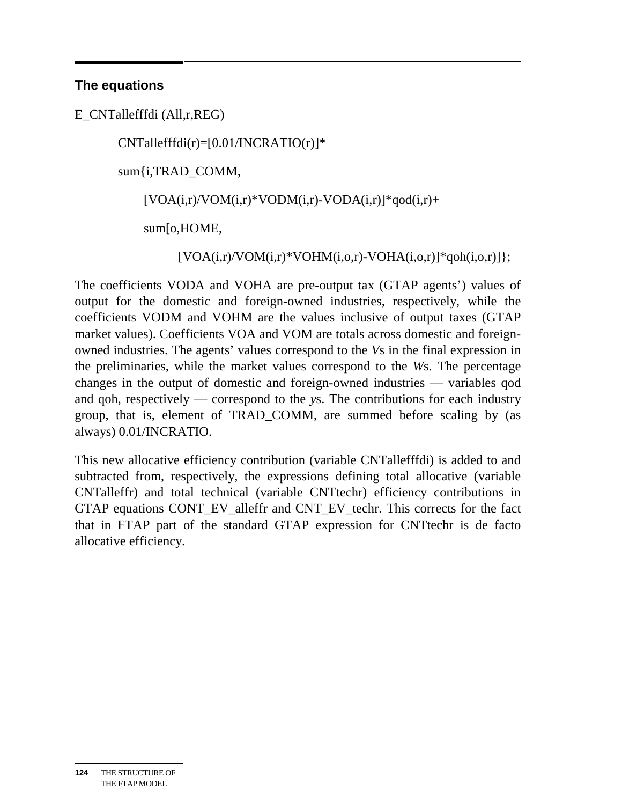#### **The equations**

E\_CNTallefffdi (All,r,REG)

 $CNTalleffdi(r)=[0.01/INCRATIO(r)]*$ 

sum{i,TRAD\_COMM,

 $[VOA(i,r)/VOM(i,r)*VODM(i,r)-VODA(i,r)]*qod(i,r)+$ 

sum[o,HOME,

 $[VOA(i,r)/VOM(i,r)*VOHM(i,o,r)-VOHA(i,o,r)]*(qoh(i,o,r)]$ ;

The coefficients VODA and VOHA are pre-output tax (GTAP agents') values of output for the domestic and foreign-owned industries, respectively, while the coefficients VODM and VOHM are the values inclusive of output taxes (GTAP market values). Coefficients VOA and VOM are totals across domestic and foreignowned industries. The agents' values correspond to the *V*s in the final expression in the preliminaries, while the market values correspond to the *W*s. The percentage changes in the output of domestic and foreign-owned industries — variables qod and qoh, respectively — correspond to the *y*s. The contributions for each industry group, that is, element of TRAD\_COMM, are summed before scaling by (as always) 0.01/INCRATIO.

This new allocative efficiency contribution (variable CNTallefffdi) is added to and subtracted from, respectively, the expressions defining total allocative (variable CNTalleffr) and total technical (variable CNTtechr) efficiency contributions in GTAP equations CONT EV alleffr and CNT EV techr. This corrects for the fact that in FTAP part of the standard GTAP expression for CNTtechr is de facto allocative efficiency.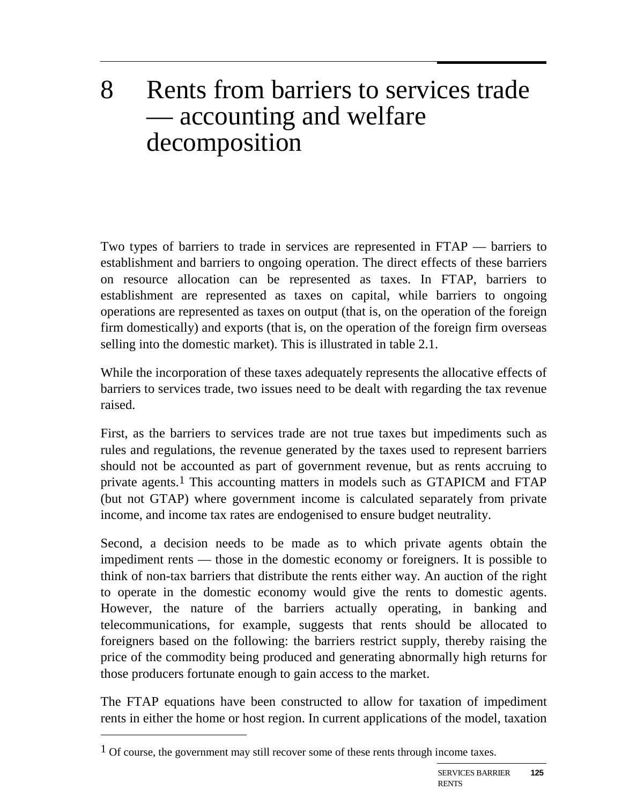# 8 Rents from barriers to services trade — accounting and welfare decomposition

Two types of barriers to trade in services are represented in FTAP — barriers to establishment and barriers to ongoing operation. The direct effects of these barriers on resource allocation can be represented as taxes. In FTAP, barriers to establishment are represented as taxes on capital, while barriers to ongoing operations are represented as taxes on output (that is, on the operation of the foreign firm domestically) and exports (that is, on the operation of the foreign firm overseas selling into the domestic market). This is illustrated in table 2.1.

While the incorporation of these taxes adequately represents the allocative effects of barriers to services trade, two issues need to be dealt with regarding the tax revenue raised.

First, as the barriers to services trade are not true taxes but impediments such as rules and regulations, the revenue generated by the taxes used to represent barriers should not be accounted as part of government revenue, but as rents accruing to private agents.1 This accounting matters in models such as GTAPICM and FTAP (but not GTAP) where government income is calculated separately from private income, and income tax rates are endogenised to ensure budget neutrality.

Second, a decision needs to be made as to which private agents obtain the impediment rents — those in the domestic economy or foreigners. It is possible to think of non-tax barriers that distribute the rents either way. An auction of the right to operate in the domestic economy would give the rents to domestic agents. However, the nature of the barriers actually operating, in banking and telecommunications, for example, suggests that rents should be allocated to foreigners based on the following: the barriers restrict supply, thereby raising the price of the commodity being produced and generating abnormally high returns for those producers fortunate enough to gain access to the market.

The FTAP equations have been constructed to allow for taxation of impediment rents in either the home or host region. In current applications of the model, taxation

<sup>&</sup>lt;sup>1</sup> Of course, the government may still recover some of these rents through income taxes.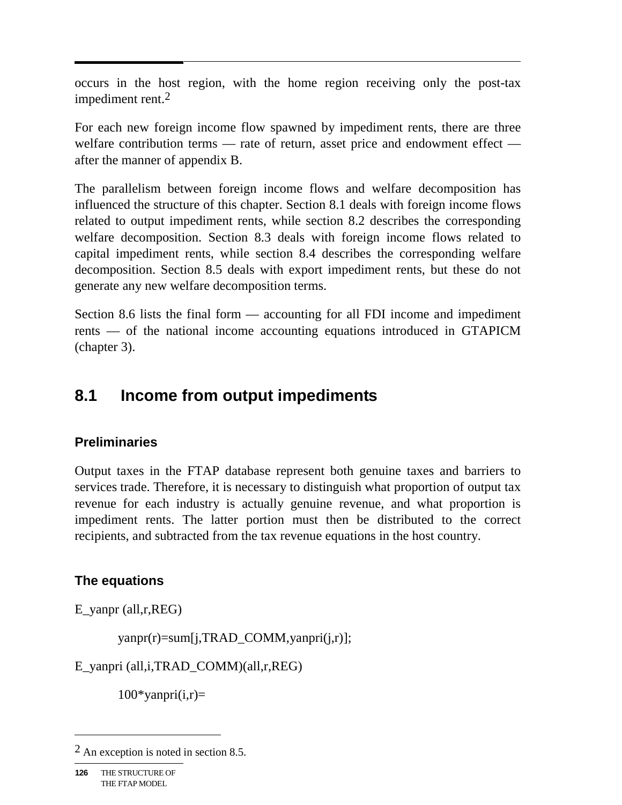occurs in the host region, with the home region receiving only the post-tax impediment rent.2

For each new foreign income flow spawned by impediment rents, there are three welfare contribution terms — rate of return, asset price and endowment effect after the manner of appendix B.

The parallelism between foreign income flows and welfare decomposition has influenced the structure of this chapter. Section 8.1 deals with foreign income flows related to output impediment rents, while section 8.2 describes the corresponding welfare decomposition. Section 8.3 deals with foreign income flows related to capital impediment rents, while section 8.4 describes the corresponding welfare decomposition. Section 8.5 deals with export impediment rents, but these do not generate any new welfare decomposition terms.

Section 8.6 lists the final form — accounting for all FDI income and impediment rents — of the national income accounting equations introduced in GTAPICM (chapter 3).

## **8.1 Income from output impediments**

#### **Preliminaries**

Output taxes in the FTAP database represent both genuine taxes and barriers to services trade. Therefore, it is necessary to distinguish what proportion of output tax revenue for each industry is actually genuine revenue, and what proportion is impediment rents. The latter portion must then be distributed to the correct recipients, and subtracted from the tax revenue equations in the host country.

## **The equations**

E\_yanpr  $\text{(all,r,REG)}$ 

yanpr(r)=sum[j,TRAD\_COMM,yanpri(j,r)];

E\_yanpri (all,i,TRAD\_COMM)(all,r,REG)

 $100*$ yanpri $(i,r)=$ 

<sup>2</sup> An exception is noted in section 8.5.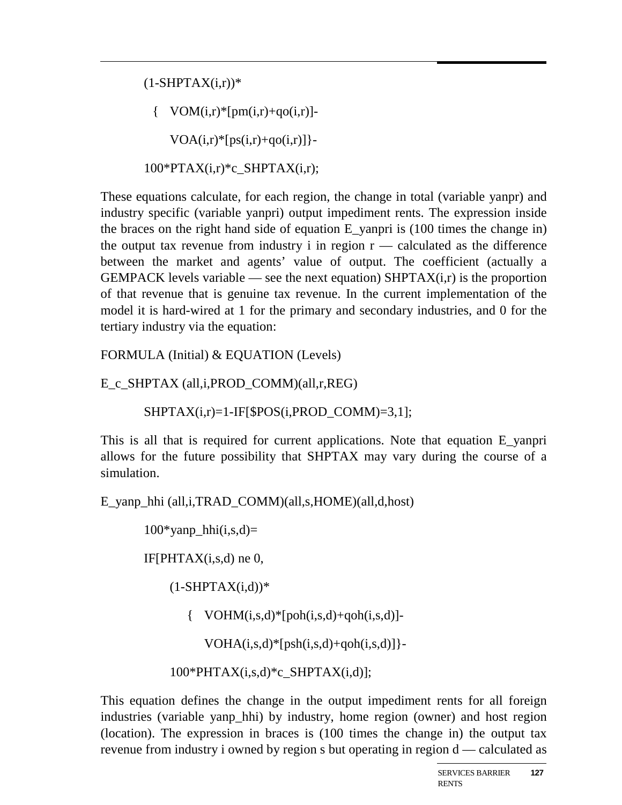$(1-SHPTAX(i,r))^*$ 

{  $VOM(i,r)*[pm(i,r)+qo(i,r)]$ -

 $\text{VOA}(i,r)$ \* $\{ps(i,r)+qo(i,r)\}$ -

 $100*PTAX(i,r)*c$  SHPTAX(i,r);

These equations calculate, for each region, the change in total (variable yanpr) and industry specific (variable yanpri) output impediment rents. The expression inside the braces on the right hand side of equation E\_yanpri is (100 times the change in) the output tax revenue from industry i in region  $r -$  calculated as the difference between the market and agents' value of output. The coefficient (actually a GEMPACK levels variable — see the next equation) SHPTA $X(i,r)$  is the proportion of that revenue that is genuine tax revenue. In the current implementation of the model it is hard-wired at 1 for the primary and secondary industries, and 0 for the tertiary industry via the equation:

FORMULA (Initial) & EQUATION (Levels)

E\_c\_SHPTAX (all,i,PROD\_COMM)(all,r,REG)

 $SHPTAX(i,r)=1-IF[$POS(i,PROD\_COMM)=3,1];$ 

This is all that is required for current applications. Note that equation E\_yanpri allows for the future possibility that SHPTAX may vary during the course of a simulation.

E\_yanp\_hhi (all,i,TRAD\_COMM)(all,s,HOME)(all,d,host)

 $100*$ yanp\_hhi $(i,s,d)=$ 

IF[PHTAX $(i, s, d)$  ne 0,

 $(1-SHPTAX(i,d))^*$ 

 $\{ VOHM(i,s,d)*[poh(i,s,d)+qoh(i,s,d)]-$ 

 $VOHA(i,s,d)*[psh(i,s,d)+qoh(i,s,d)]$  -

 $100*PHTAX(i,s,d)*c$  SHPTAX $(i,d)$ ];

This equation defines the change in the output impediment rents for all foreign industries (variable yanp\_hhi) by industry, home region (owner) and host region (location). The expression in braces is (100 times the change in) the output tax revenue from industry i owned by region s but operating in region d — calculated as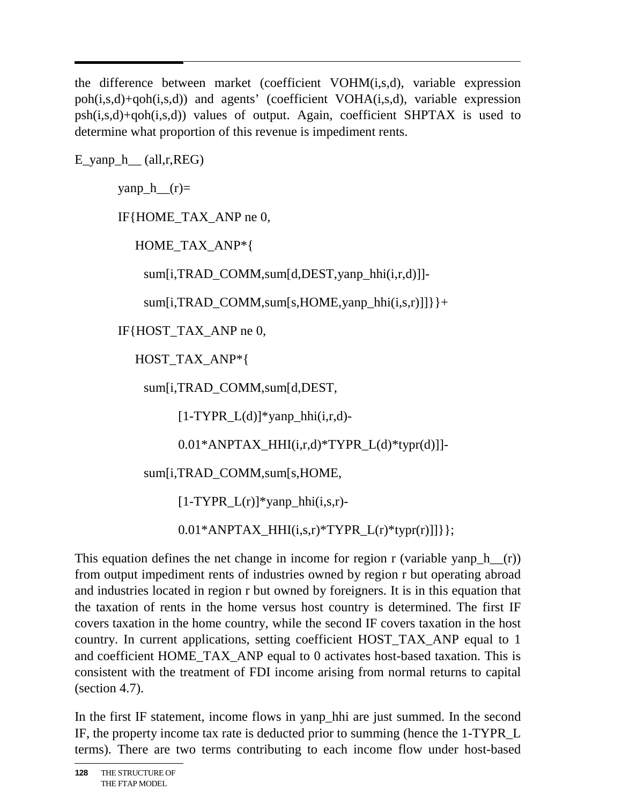the difference between market (coefficient VOHM(i,s,d), variable expression poh(i,s,d)+qoh(i,s,d)) and agents' (coefficient VOHA(i,s,d), variable expression  $psh(i,s,d) + qoh(i,s,d)$  values of output. Again, coefficient SHPTAX is used to determine what proportion of this revenue is impediment rents.

E\_yanp\_h\_ (all,r, $REG$ ) yanp\_h\_\_(r)= IF{HOME\_TAX\_ANP ne 0, HOME\_TAX\_ANP\*{ sum[i,TRAD\_COMM,sum[d,DEST,yanp\_hhi(i,r,d)]]  $sum[i,TRAN$  COMM,sum[s,HOME,yanp hhi(i,s,r)]]}}+ IF{HOST\_TAX\_ANP ne 0, HOST\_TAX\_ANP\*{ sum[i,TRAD\_COMM,sum[d,DEST,  $[1-TYPR_L(d)]$ \*yanp\_hhi $(i,r,d)$ -0.01\*ANPTAX\_HHI(i,r,d)\*TYPR\_L(d)\*typr(d)]]-

sum[i,TRAD\_COMM,sum[s,HOME,

 $[1-TYPR_L(r)]$ \*yanp\_hhi $(i,s,r)$ -

 $0.01*$ ANPTAX\_HHI $(i,s,r)*$ TYPR\_L(r)\*typr(r)]]}};

This equation defines the net change in income for region r (variable yanp  $h(r)$ ) from output impediment rents of industries owned by region r but operating abroad and industries located in region r but owned by foreigners. It is in this equation that the taxation of rents in the home versus host country is determined. The first IF covers taxation in the home country, while the second IF covers taxation in the host country. In current applications, setting coefficient HOST\_TAX\_ANP equal to 1 and coefficient HOME\_TAX\_ANP equal to 0 activates host-based taxation. This is consistent with the treatment of FDI income arising from normal returns to capital (section 4.7).

In the first IF statement, income flows in yanp hhi are just summed. In the second IF, the property income tax rate is deducted prior to summing (hence the 1-TYPR\_L terms). There are two terms contributing to each income flow under host-based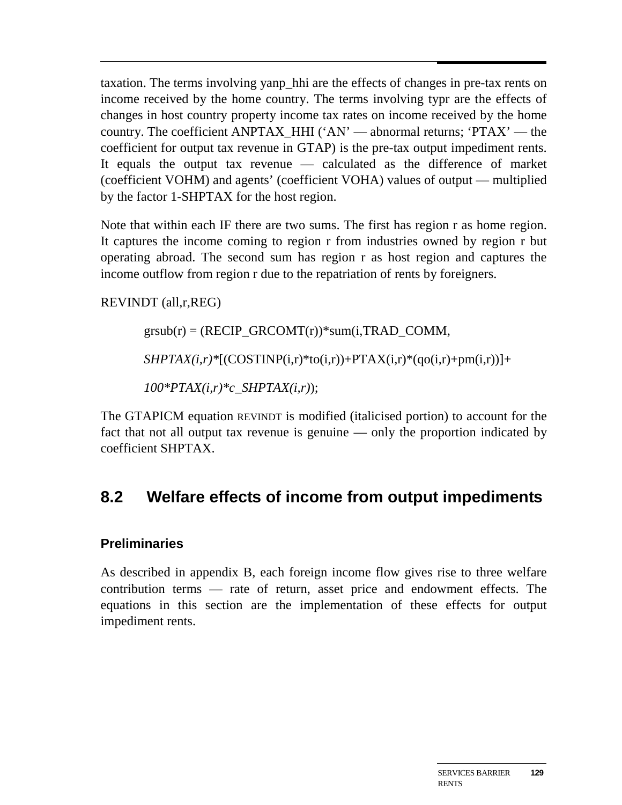taxation. The terms involving yanp\_hhi are the effects of changes in pre-tax rents on income received by the home country. The terms involving typr are the effects of changes in host country property income tax rates on income received by the home country. The coefficient ANPTAX\_HHI ('AN' — abnormal returns; 'PTAX' — the coefficient for output tax revenue in GTAP) is the pre-tax output impediment rents. It equals the output tax revenue — calculated as the difference of market (coefficient VOHM) and agents' (coefficient VOHA) values of output — multiplied by the factor 1-SHPTAX for the host region.

Note that within each IF there are two sums. The first has region r as home region. It captures the income coming to region r from industries owned by region r but operating abroad. The second sum has region r as host region and captures the income outflow from region r due to the repatriation of rents by foreigners.

REVINDT (all,r,REG)

 $grsub(r) = (RECIP_GRCOMT(r))*sum(i, TRAD_COMM,$ *SHPTAX(i,r)\**[(COSTINP(i,r)\*to(i,r))+PTAX(i,r)\*(qo(i,r)+pm(i,r))]+ *100\*PTAX(i,r)\*c\_SHPTAX(i,r)*);

The GTAPICM equation REVINDT is modified (italicised portion) to account for the fact that not all output tax revenue is genuine — only the proportion indicated by coefficient SHPTAX.

## **8.2 Welfare effects of income from output impediments**

#### **Preliminaries**

As described in appendix B, each foreign income flow gives rise to three welfare contribution terms — rate of return, asset price and endowment effects. The equations in this section are the implementation of these effects for output impediment rents.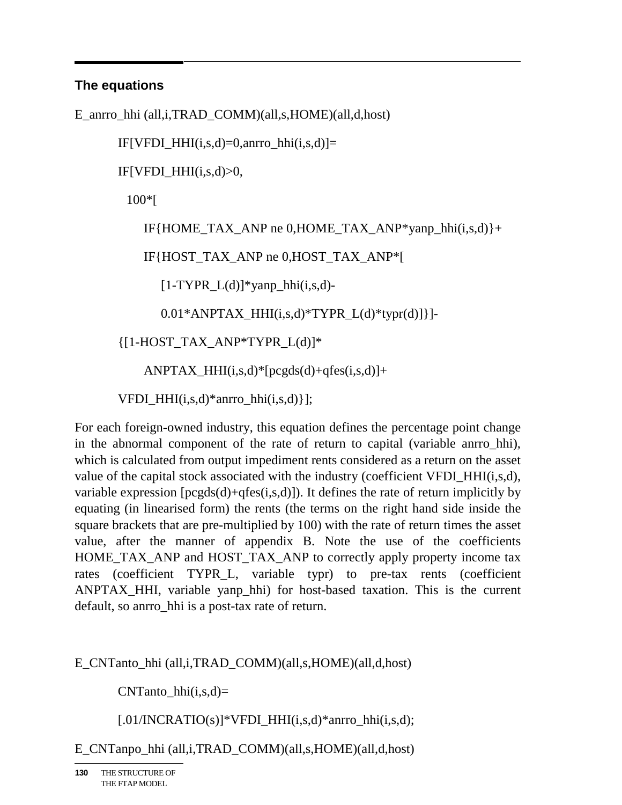#### **The equations**

E\_anrro\_hhi (all,i,TRAD\_COMM)(all,s,HOME)(all,d,host)

 $IF[VPDI_HHI(i,s,d)=0, \text{anrro}_hhi(i,s,d)]=$ IF[VFDI  $HHI(i,s,d) > 0$ , 100\*[ IF{HOME\_TAX\_ANP ne  $0,$ HOME\_TAX\_ANP\*yanp\_hhi $(i,s,d)$ }+ IF{HOST\_TAX\_ANP ne 0,HOST\_TAX\_ANP\*[  $[1-TYPR_L(d)]$ \*yanp\_hhi $(i,s,d)$ - $0.01*$ ANPTAX HHI $(i,s,d)*$ TYPR L(d)\*typr(d)]}]- ${[1-HOST TAX ANP*TYPR L(d)]*}$  $ANPTAX_HHI(i,s,d)*[pcgds(d)+qfes(i,s,d)]+$ VFDI HHI(i,s,d)\*anrro hhi(i,s,d)}];

For each foreign-owned industry, this equation defines the percentage point change in the abnormal component of the rate of return to capital (variable anrro\_hhi), which is calculated from output impediment rents considered as a return on the asset value of the capital stock associated with the industry (coefficient VFDI\_HHI(i,s,d), variable expression  $[\text{pcgds}(d) + q \text{fes}(i,s,d)]$ ). It defines the rate of return implicitly by equating (in linearised form) the rents (the terms on the right hand side inside the square brackets that are pre-multiplied by 100) with the rate of return times the asset value, after the manner of appendix B. Note the use of the coefficients HOME\_TAX\_ANP and HOST\_TAX\_ANP to correctly apply property income tax rates (coefficient TYPR\_L, variable typr) to pre-tax rents (coefficient ANPTAX\_HHI, variable yanp\_hhi) for host-based taxation. This is the current default, so anrro\_hhi is a post-tax rate of return.

E\_CNTanto\_hhi (all,i,TRAD\_COMM)(all,s,HOME)(all,d,host)

CNTanto  $hhi(i,s,d)=$ 

 $[.01/INCRATION(s)]*VFDI_HHI(i,s,d)*anro_hhi(i,s,d);$ 

E\_CNTanpo\_hhi (all,i,TRAD\_COMM)(all,s,HOME)(all,d,host)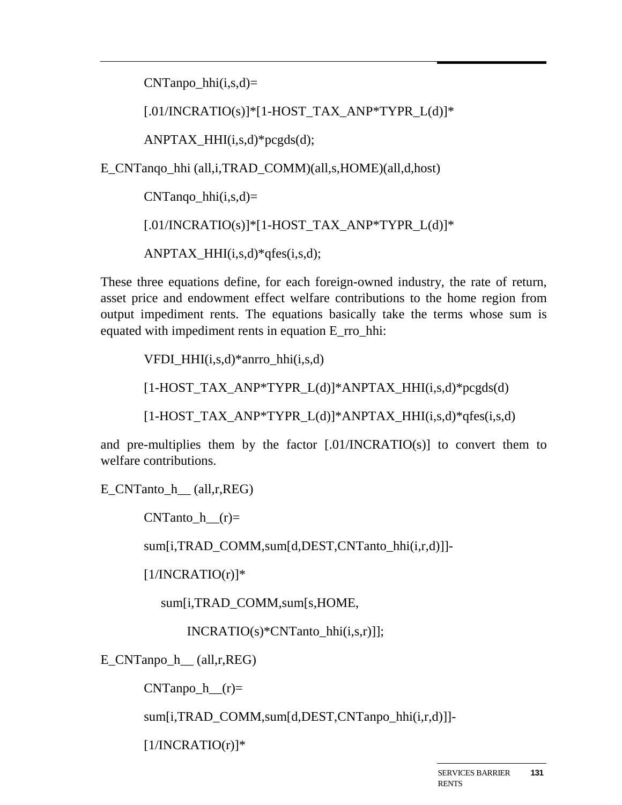$CNTanpo_hhi(i,s,d)=$ 

 $[.01/INCRATIO(s)]*[1-HOST_TAX_ANP*TYPE_L(d)]*$ 

ANPTAX\_HHI $(i,s,d)*pcgds(d);$ 

E\_CNTango\_hhi (all,i,TRAD\_COMM)(all,s,HOME)(all,d,host)

CNTango  $hhi(i,s,d)=$ 

 $[.01/INCRATION(s)]*[1-HOST_TAX_ANP*TYPE_L(d)]*$ 

ANPTAX\_HHI(i,s,d)\*qfes(i,s,d);

These three equations define, for each foreign-owned industry, the rate of return, asset price and endowment effect welfare contributions to the home region from output impediment rents. The equations basically take the terms whose sum is equated with impediment rents in equation E\_rro\_hhi:

VFDI\_HHI(i,s,d)\*anrro\_hhi(i,s,d)  $[1-HOST TAX ANP*TYPR L(d)]*ANPTAX HHI(i,s,d)*pcgds(d)$  $[1-HOST_TAX_ANP*TYPR_L(d)]*ANPTAX_HHI(i,s,d)*qfes(i,s,d)$ 

and pre-multiplies them by the factor  $[0.01/INCRATION]$  to convert them to welfare contributions.

E\_CNTanto\_h\_\_ (all,r,REG)

 $CNTanto_h$   $(r)=$ 

sum[i,TRAD\_COMM,sum[d,DEST,CNTanto\_hhi(i,r,d)]]-

 $[1/INCRATION]$ \*

sum[i,TRAD\_COMM,sum[s,HOME,

INCRATIO(s)\*CNTanto\_hhi(i,s,r)]];

 $E$  CNTanpo h (all,r,REG)

 $CNTanpo_h$   $(r)$ =

sum[i,TRAD\_COMM,sum[d,DEST,CNTanpo\_hhi(i,r,d)]]-

 $[1/INCRATION]$ \*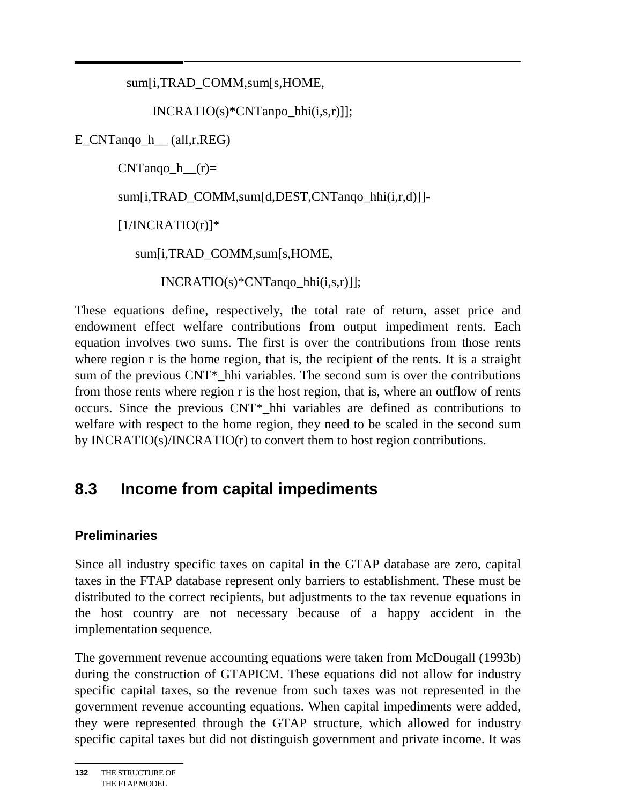sum[i,TRAD\_COMM,sum[s,HOME,

INCRATIO(s)\*CNTanpo\_hhi(i,s,r)]];

E\_CNTanqo\_h\_\_ (all,r,REG)

CNTango  $h$   $(r)=$ 

sum[i,TRAD\_COMM,sum[d,DEST,CNTango\_hhi(i,r,d)]]-

 $[1/INCRATION(r)]$ \*

sum[i,TRAD\_COMM,sum[s,HOME,

INCRATIO(s)\*CNTanqo\_hhi(i,s,r)]];

These equations define, respectively, the total rate of return, asset price and endowment effect welfare contributions from output impediment rents. Each equation involves two sums. The first is over the contributions from those rents where region r is the home region, that is, the recipient of the rents. It is a straight sum of the previous  $CNT^*$  hhi variables. The second sum is over the contributions from those rents where region r is the host region, that is, where an outflow of rents occurs. Since the previous CNT\*\_hhi variables are defined as contributions to welfare with respect to the home region, they need to be scaled in the second sum by INCRATIO(s)/INCRATIO(r) to convert them to host region contributions.

## **8.3 Income from capital impediments**

#### **Preliminaries**

Since all industry specific taxes on capital in the GTAP database are zero, capital taxes in the FTAP database represent only barriers to establishment. These must be distributed to the correct recipients, but adjustments to the tax revenue equations in the host country are not necessary because of a happy accident in the implementation sequence.

The government revenue accounting equations were taken from McDougall (1993b) during the construction of GTAPICM. These equations did not allow for industry specific capital taxes, so the revenue from such taxes was not represented in the government revenue accounting equations. When capital impediments were added, they were represented through the GTAP structure, which allowed for industry specific capital taxes but did not distinguish government and private income. It was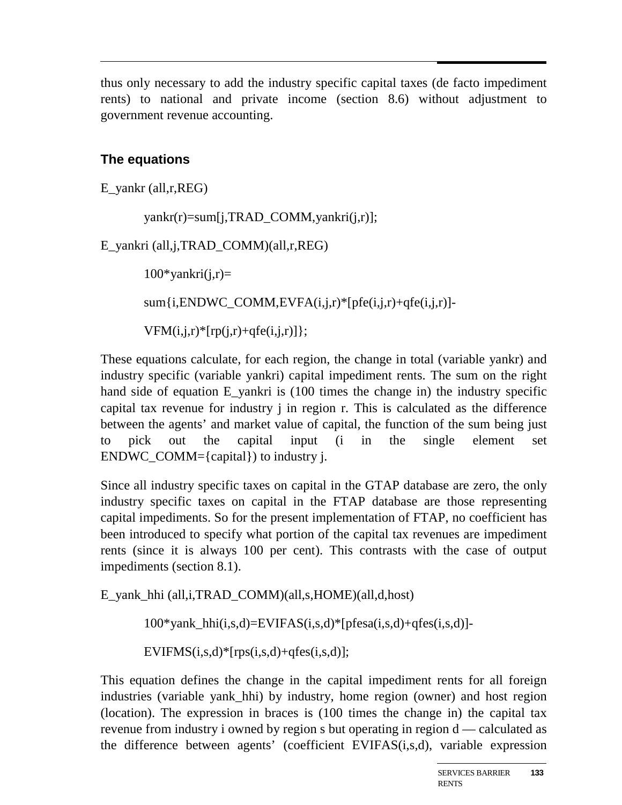thus only necessary to add the industry specific capital taxes (de facto impediment rents) to national and private income (section 8.6) without adjustment to government revenue accounting.

#### **The equations**

E\_yankr (all,r,REG)

yankr(r)=sum[j,TRAD\_COMM,yankri(j,r)];

E\_yankri (all,j,TRAD\_COMM)(all,r,REG)

 $100*$ yankri $(j,r)=$ 

 $sum{if}$ i,ENDWC\_COMM,EVFA $(i,j,r)$ \*[pfe $(i,j,r)$ +qfe $(i,j,r)$ ]-

 $VFM(i,j,r)*[rp(i,r)+qfe(i,j,r)]$ ;

These equations calculate, for each region, the change in total (variable yankr) and industry specific (variable yankri) capital impediment rents. The sum on the right hand side of equation E yankri is (100 times the change in) the industry specific capital tax revenue for industry j in region r. This is calculated as the difference between the agents' and market value of capital, the function of the sum being just to pick out the capital input (i in the single element set ENDWC\_COMM={capital}) to industry j.

Since all industry specific taxes on capital in the GTAP database are zero, the only industry specific taxes on capital in the FTAP database are those representing capital impediments. So for the present implementation of FTAP, no coefficient has been introduced to specify what portion of the capital tax revenues are impediment rents (since it is always 100 per cent). This contrasts with the case of output impediments (section 8.1).

E\_yank\_hhi (all,i,TRAD\_COMM)(all,s,HOME)(all,d,host)

 $100*$ yank\_hhi $(i,s,d)$ =EVIFAS $(i,s,d)$ \*[pfesa $(i,s,d)$ +qfes $(i,s,d)$ ]-

 $EVIFMS(i,s,d)*[rps(i,s,d)+qfes(i,s,d)];$ 

This equation defines the change in the capital impediment rents for all foreign industries (variable yank\_hhi) by industry, home region (owner) and host region (location). The expression in braces is (100 times the change in) the capital tax revenue from industry i owned by region s but operating in region d — calculated as the difference between agents' (coefficient EVIFAS(i,s,d), variable expression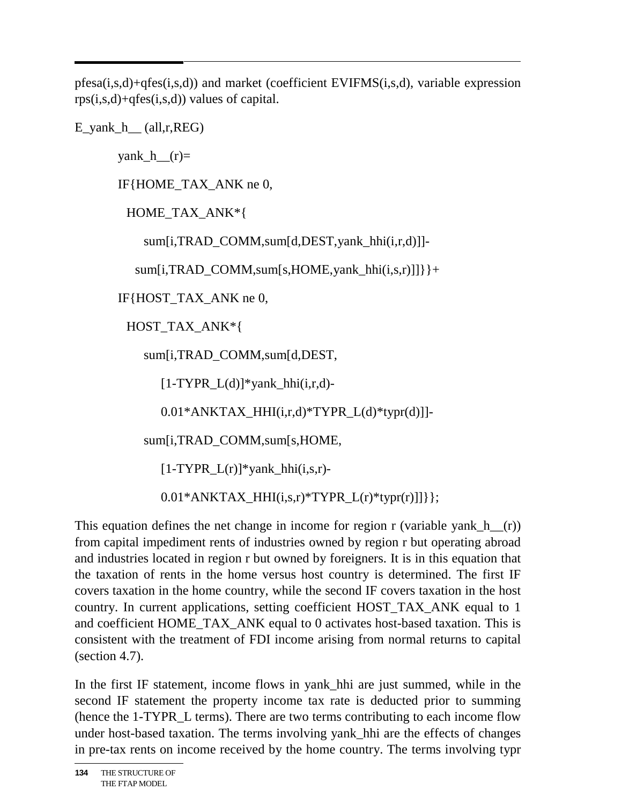pfesa(i,s,d)+qfes(i,s,d)) and market (coefficient EVIFMS(i,s,d), variable expression  $rps(i,s,d)+qfes(i,s,d)$ ) values of capital.

 $E_y$ ank\_h\_\_ (all,r,REG)

yank\_h\_(r)=

IF{HOME\_TAX\_ANK ne 0,

HOME\_TAX\_ANK\*{

sum[i,TRAD\_COMM,sum[d,DEST,yank\_hhi(i,r,d)]]-

 $sum[i,TRAD_COMM, sum[s, HOME, yank_h]h(i,s,r)]$ }}+

IF{HOST\_TAX\_ANK ne 0,

HOST TAX ANK\*{

sum[i,TRAD\_COMM,sum[d,DEST,

 $[1-TYPR_L(d)]$ \*yank\_hhi $(i,r,d)$ -

 $0.01*ANKTAX_HHI(i,r,d)*TYPR_L(d)*type(d)]$ ]-

sum[i,TRAD\_COMM,sum[s,HOME,

 $[1-TYPR_L(r)]$ \*yank\_hhi $(i,s,r)$ -

 $0.01*ANKTAX_HHI(i,s,r)*TYPR_L(r)*typr(r)]$ };

This equation defines the net change in income for region r (variable yank  $h_{(r)}$ ) from capital impediment rents of industries owned by region r but operating abroad and industries located in region r but owned by foreigners. It is in this equation that the taxation of rents in the home versus host country is determined. The first IF covers taxation in the home country, while the second IF covers taxation in the host country. In current applications, setting coefficient HOST\_TAX\_ANK equal to 1 and coefficient HOME\_TAX\_ANK equal to 0 activates host-based taxation. This is consistent with the treatment of FDI income arising from normal returns to capital (section 4.7).

In the first IF statement, income flows in yank\_hhi are just summed, while in the second IF statement the property income tax rate is deducted prior to summing (hence the 1-TYPR\_L terms). There are two terms contributing to each income flow under host-based taxation. The terms involving yank\_hhi are the effects of changes in pre-tax rents on income received by the home country. The terms involving typr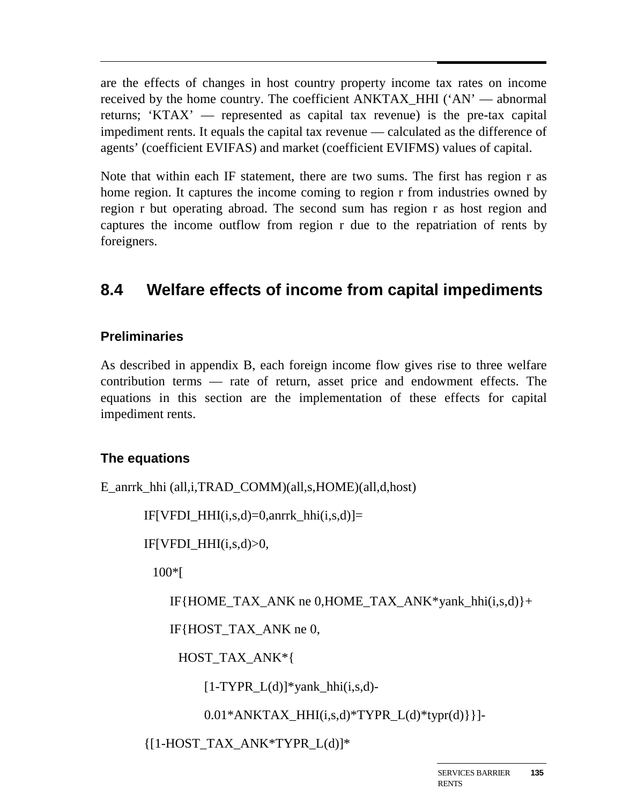are the effects of changes in host country property income tax rates on income received by the home country. The coefficient ANKTAX\_HHI ('AN' — abnormal returns; 'KTAX' — represented as capital tax revenue) is the pre-tax capital impediment rents. It equals the capital tax revenue — calculated as the difference of agents' (coefficient EVIFAS) and market (coefficient EVIFMS) values of capital.

Note that within each IF statement, there are two sums. The first has region r as home region. It captures the income coming to region r from industries owned by region r but operating abroad. The second sum has region r as host region and captures the income outflow from region r due to the repatriation of rents by foreigners.

# **8.4 Welfare effects of income from capital impediments**

## **Preliminaries**

As described in appendix B, each foreign income flow gives rise to three welfare contribution terms — rate of return, asset price and endowment effects. The equations in this section are the implementation of these effects for capital impediment rents.

## **The equations**

```
E_anrrk_hhi (all,i,TRAD_COMM)(all,s,HOME)(all,d,host)
```

```
IF[VFDI_HHI(i,s,d)=0,anrrk_hhi(i,s,d)]=
```
IF[VFDI  $HHI(i,s,d) > 0$ ,

100\*[

```
IF{HOME_TAX_ANK ne 0,HOME_TAX_ANK*yank_hhi(i,s,d)}+
```
IF{HOST\_TAX\_ANK ne 0,

HOST\_TAX\_ANK\*{

 $[1-TYPR_L(d)]$ \*yank\_hhi $(i,s,d)$ -

```
0.01*ANKTAX_HHI(i,s,d)*TYPR_L(d)*typr(d)}]-
```
{[1-HOST\_TAX\_ANK\*TYPR\_L(d)]\*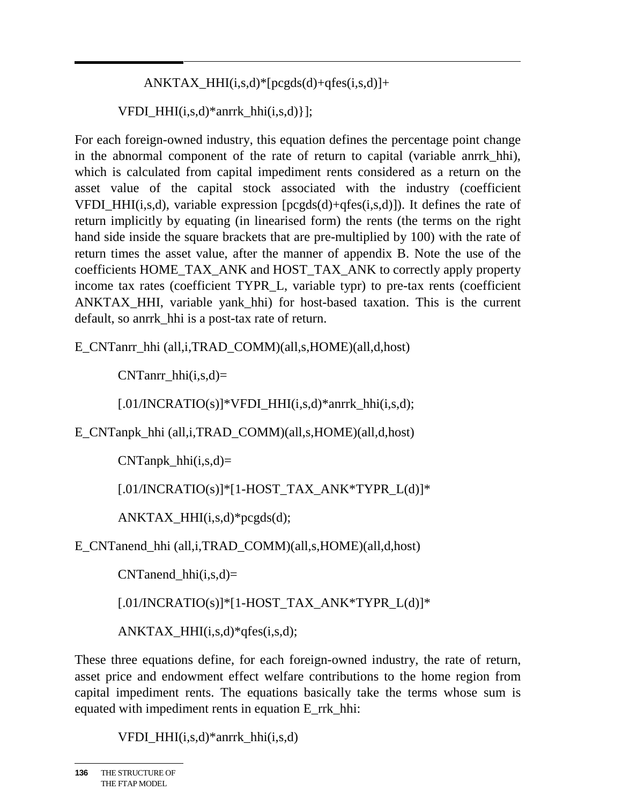$ANKTAX_HHI(i,s,d)*[pcgds(d)+qfes(i,s,d)]+$ 

VFDI\_HHI $(i,s,d)*anrk_hhi(i,s,d)}$ ];

For each foreign-owned industry, this equation defines the percentage point change in the abnormal component of the rate of return to capital (variable anrrk\_hhi), which is calculated from capital impediment rents considered as a return on the asset value of the capital stock associated with the industry (coefficient VFDI\_HHI(i,s,d), variable expression  $[\text{pcgds}(d) + q \text{fes}(i,s,d)]$ ). It defines the rate of return implicitly by equating (in linearised form) the rents (the terms on the right hand side inside the square brackets that are pre-multiplied by 100) with the rate of return times the asset value, after the manner of appendix B. Note the use of the coefficients HOME\_TAX\_ANK and HOST\_TAX\_ANK to correctly apply property income tax rates (coefficient TYPR\_L, variable typr) to pre-tax rents (coefficient ANKTAX HHI, variable yank hhi) for host-based taxation. This is the current default, so anrrk\_hhi is a post-tax rate of return.

E\_CNTanrr\_hhi (all,i,TRAD\_COMM)(all,s,HOME)(all,d,host)

CNTanrr  $hhi(i,s,d)=$ 

 $[0.01/\text{INCRATION}$ (s)]\*VFDI\_HHI(i,s,d)\*anrrk\_hhi(i,s,d);

E\_CNTanpk\_hhi (all,i,TRAD\_COMM)(all,s,HOME)(all,d,host)

CNTanpk  $hhi(i,s,d)=$ 

 $[0.01$ /INCRATIO(s)]\* $[1-HOST_TAX_ANK*TYPR_L(d)]*$ 

ANKTAX\_HHI(i,s,d)\*pcgds(d);

E\_CNTanend\_hhi (all,i,TRAD\_COMM)(all,s,HOME)(all,d,host)

 $CNTanend_hhi(i,s,d)=$ 

 $[.01/INCRATION(s)]*[1-HOST_TAX_ANK*TYPE_L(d)]*$ 

ANKTAX\_HHI(i,s,d)\*qfes(i,s,d);

These three equations define, for each foreign-owned industry, the rate of return, asset price and endowment effect welfare contributions to the home region from capital impediment rents. The equations basically take the terms whose sum is equated with impediment rents in equation E\_rrk\_hhi:

VFDI\_HHI(i,s,d)\*anrrk\_hhi(i,s,d)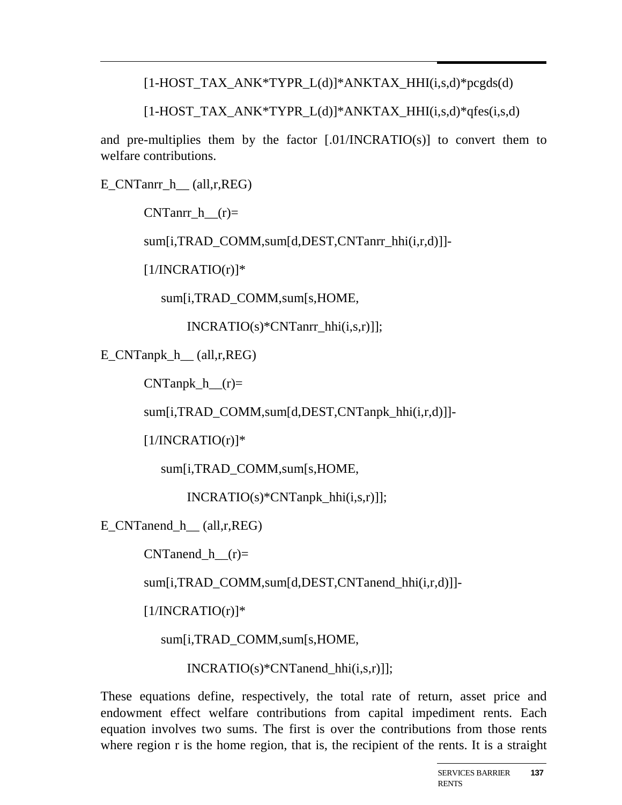$[1-HOST_TAX_ANK*TYPR_L(d)]*ANKTAX_HHI(i,s,d)*pcgds(d)$ 

 $[1-HOST_TAX_ANK*TYPR_L(d)]*ANKTAX_HHI(i,s,d)*qfs(i,s,d)$ 

and pre-multiplies them by the factor  $[0.01/INCRATION(S)]$  to convert them to welfare contributions.

E\_CNTanrr\_h\_  $\text{(all,r,REG)}$ 

CNTanrr $h$  (r)=

sum[i,TRAD\_COMM,sum[d,DEST,CNTanrr\_hhi(i,r,d)]]-

 $[1/INCRATION]$ \*

sum[i,TRAD\_COMM,sum[s,HOME,

 $INCRATION(s)*CNTanrr$  hhi $(i,s,r)$ ]];

 $E_CNTanpk_h$  (all,r,REG)

 $CNTanpk_h$ \_(r)=

sum[i,TRAD\_COMM,sum[d,DEST,CNTanpk\_hhi(i,r,d)]]-

 $[1/INCRATION(r)]$ \*

sum[i,TRAD\_COMM,sum[s,HOME,

INCRATIO(s)\*CNTanpk\_hhi(i,s,r)]];

 $E$  CNTanend h (all,r,REG)

CNTanend $h$  (r)=

sum[i,TRAD\_COMM,sum[d,DEST,CNTanend\_hhi(i,r,d)]]-

 $[1/INCRATION]$ \*

sum[i,TRAD\_COMM,sum[s,HOME,

INCRATIO(s)\*CNTanend\_hhi(i,s,r)]];

These equations define, respectively, the total rate of return, asset price and endowment effect welfare contributions from capital impediment rents. Each equation involves two sums. The first is over the contributions from those rents where region r is the home region, that is, the recipient of the rents. It is a straight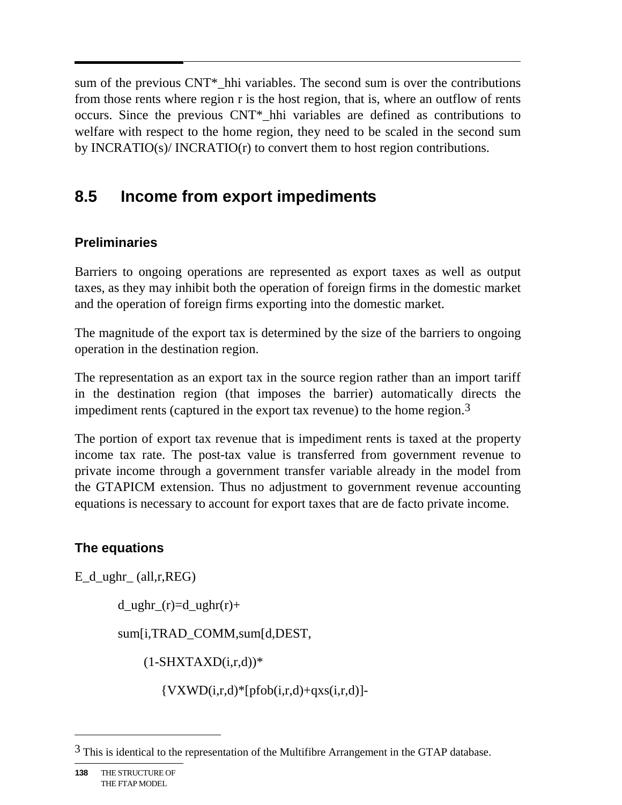sum of the previous CNT\*\_hhi variables. The second sum is over the contributions from those rents where region r is the host region, that is, where an outflow of rents occurs. Since the previous CNT\*\_hhi variables are defined as contributions to welfare with respect to the home region, they need to be scaled in the second sum by INCRATIO(s)/ INCRATIO(r) to convert them to host region contributions.

## **8.5 Income from export impediments**

#### **Preliminaries**

Barriers to ongoing operations are represented as export taxes as well as output taxes, as they may inhibit both the operation of foreign firms in the domestic market and the operation of foreign firms exporting into the domestic market.

The magnitude of the export tax is determined by the size of the barriers to ongoing operation in the destination region.

The representation as an export tax in the source region rather than an import tariff in the destination region (that imposes the barrier) automatically directs the impediment rents (captured in the export tax revenue) to the home region.<sup>3</sup>

The portion of export tax revenue that is impediment rents is taxed at the property income tax rate. The post-tax value is transferred from government revenue to private income through a government transfer variable already in the model from the GTAPICM extension. Thus no adjustment to government revenue accounting equations is necessary to account for export taxes that are de facto private income.

### **The equations**

 $E_d_\text{ughr}$  (all, r, REG)

 $d_\text{ughr}(r) = d_\text{ughr}(r) +$ 

sum[i,TRAD\_COMM,sum[d,DEST,

 $(1-SHXTAXD(i,r,d))^*$ 

 $\{VXWD(i,r,d)*(pfb(i,r,d)+qxs(i,r,d)\}-$ 

 $\overline{a}$ 

 $3$  This is identical to the representation of the Multifibre Arrangement in the GTAP database.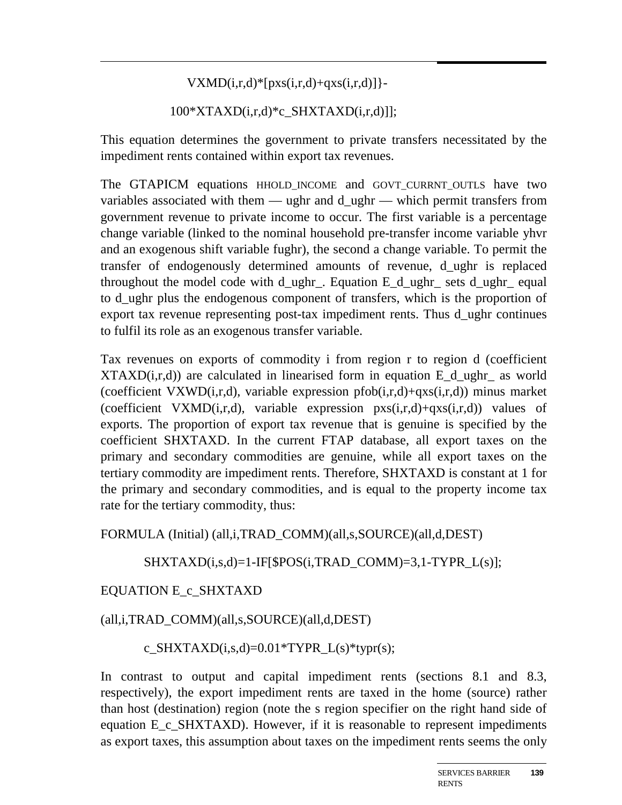```
VXMD(i,r,d)*[pxs(i,r,d)+qxs(i,r,d)] -
100*XTAXD(i,r,d)*c_SHXTAXD(i,r,d)];
```
This equation determines the government to private transfers necessitated by the impediment rents contained within export tax revenues.

The GTAPICM equations HHOLD\_INCOME and GOVT\_CURRNT\_OUTLS have two variables associated with them — ughr and d\_ughr — which permit transfers from government revenue to private income to occur. The first variable is a percentage change variable (linked to the nominal household pre-transfer income variable yhvr and an exogenous shift variable fughr), the second a change variable. To permit the transfer of endogenously determined amounts of revenue, d\_ughr is replaced throughout the model code with d\_ughr\_. Equation E\_d\_ughr\_ sets d\_ughr\_ equal to d\_ughr plus the endogenous component of transfers, which is the proportion of export tax revenue representing post-tax impediment rents. Thus d\_ughr continues to fulfil its role as an exogenous transfer variable.

Tax revenues on exports of commodity i from region r to region d (coefficient  $XTAXD(i,r,d)$  are calculated in linearised form in equation E d ughr as world (coefficient VXWD(i,r,d), variable expression  $p fob(i,r,d) + q x s(i,r,d)$ ) minus market (coefficient VXMD(i,r,d), variable expression  $pxs(i,r,d)+qxs(i,r,d)$  values of exports. The proportion of export tax revenue that is genuine is specified by the coefficient SHXTAXD. In the current FTAP database, all export taxes on the primary and secondary commodities are genuine, while all export taxes on the tertiary commodity are impediment rents. Therefore, SHXTAXD is constant at 1 for the primary and secondary commodities, and is equal to the property income tax rate for the tertiary commodity, thus:

FORMULA (Initial) (all,i,TRAD\_COMM)(all,s,SOURCE)(all,d,DEST)

 $SHXTAXD(i,s,d)=1-IF[\$POS(i,TRAD\_COMM)=3,1-TYPR\_L(s)];$ 

EQUATION E\_c\_SHXTAXD

(all,i,TRAD\_COMM)(all,s,SOURCE)(all,d,DEST)

c\_SHXTAXD $(i,s,d)=0.01*$ TYPR\_L $(s)*$ typr $(s);$ 

In contrast to output and capital impediment rents (sections 8.1 and 8.3, respectively), the export impediment rents are taxed in the home (source) rather than host (destination) region (note the s region specifier on the right hand side of equation E\_c\_SHXTAXD). However, if it is reasonable to represent impediments as export taxes, this assumption about taxes on the impediment rents seems the only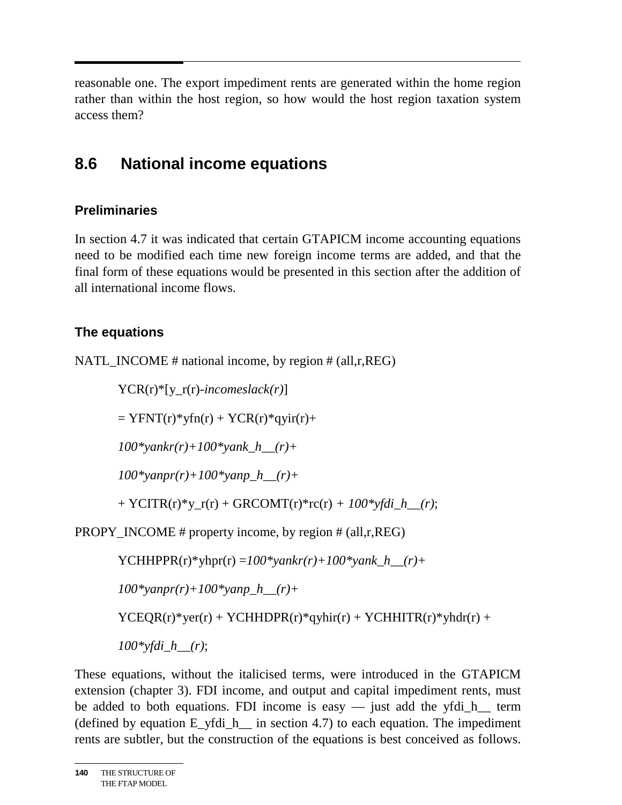reasonable one. The export impediment rents are generated within the home region rather than within the host region, so how would the host region taxation system access them?

## **8.6 National income equations**

#### **Preliminaries**

In section 4.7 it was indicated that certain GTAPICM income accounting equations need to be modified each time new foreign income terms are added, and that the final form of these equations would be presented in this section after the addition of all international income flows.

#### **The equations**

NATL\_INCOME  $#$  national income, by region  $# (all,r,REG)$ 

YCR(r)\*[y\_r(r)*-incomeslack(r)*]  $= YFNT(r)*yfn(r) + YCR(r)*qyir(r)+$ *100\*yankr(r)+100\*yank\_h\_\_(r)+ 100\*yanpr(r)+100\*yanp\_h\_\_(r)+* + YCITR(r)\*y\_r(r) + GRCOMT(r)\*rc(r) + 100\*yfdi\_h\_(r); PROPY\_INCOME # property income, by region # (all,r,REG)

YCHHPPR(r)\*yhpr(r) =*100\*yankr(r)+100\*yank\_h\_\_(r)+*

*100\*yanpr(r)+100\*yanp\_h\_\_(r)+*

 $YCEQR(r)*yer(r) + YCHHDPR(r)*qyhir(r) + YCHHITR(r)*yhat(r) +$ 

*100\*yfdi\_h\_\_(r)*;

These equations, without the italicised terms, were introduced in the GTAPICM extension (chapter 3). FDI income, and output and capital impediment rents, must be added to both equations. FDI income is easy  $-$  just add the yfdi $_h$  term (defined by equation E\_yfdi\_h\_ in section 4.7) to each equation. The impediment rents are subtler, but the construction of the equations is best conceived as follows.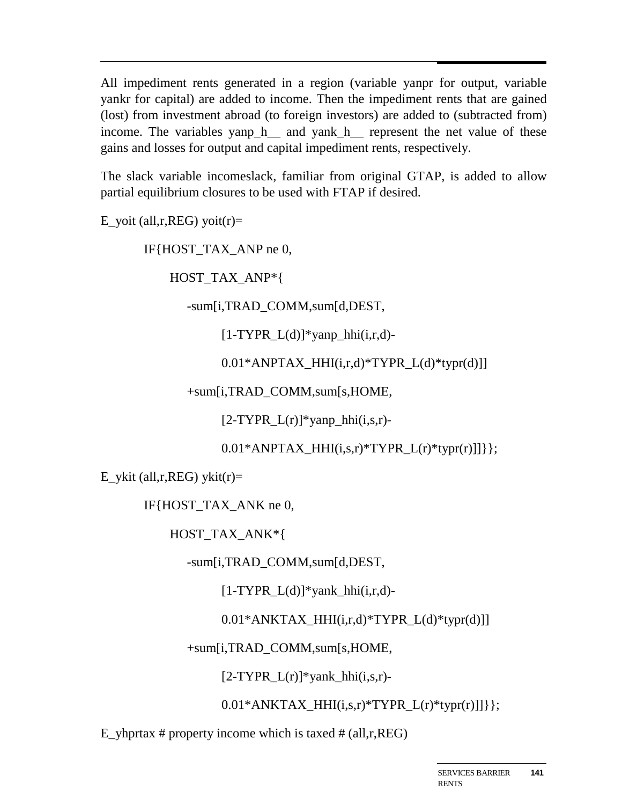All impediment rents generated in a region (variable yanpr for output, variable yankr for capital) are added to income. Then the impediment rents that are gained (lost) from investment abroad (to foreign investors) are added to (subtracted from) income. The variables yanp h<sub>er</sub> and yank h<sub>er</sub> represent the net value of these gains and losses for output and capital impediment rents, respectively.

The slack variable incomeslack, familiar from original GTAP, is added to allow partial equilibrium closures to be used with FTAP if desired.

E\_yoit (all,r, $REG$ ) yoit(r)=

IF{HOST\_TAX\_ANP ne 0,

HOST\_TAX\_ANP\*{

-sum[i,TRAD\_COMM,sum[d,DEST,

 $[1-TYPR_L(d)]$ \*yanp\_hhi $(i,r,d)$ -

0.01\*ANPTAX\_HHI(i,r,d)\*TYPR\_L(d)\*typr(d)]]

+sum[i,TRAD\_COMM,sum[s,HOME,

 $[2-TYPR_L(r)]$ \*yanp\_hhi(i,s,r)-

 $0.01*$ ANPTAX\_HHI $(i,s,r)*$ TYPR\_L(r)\*typr(r)]]}};

E\_ykit (all,r, $REG$ ) ykit(r)=

IF{HOST\_TAX\_ANK ne 0,

HOST\_TAX\_ANK\*{

-sum[i,TRAD\_COMM,sum[d,DEST,

 $[1-TYPR_L(d)]$ \*yank\_hhi $(i,r,d)$ -

 $0.01*ANKTAX_HHI(i,r,d)*TYPR_L(d)*typr(d))]$ 

+sum[i,TRAD\_COMM,sum[s,HOME,

 $[2-TYPR_L(r)]$ \*yank\_hhi $(i,s,r)$ -

```
0.01*ANKTAX_HHI(i,s,r)*TYPR_L(r)*typr(r)]};
```
E\_yhprtax # property income which is taxed  $# (all,r,REG)$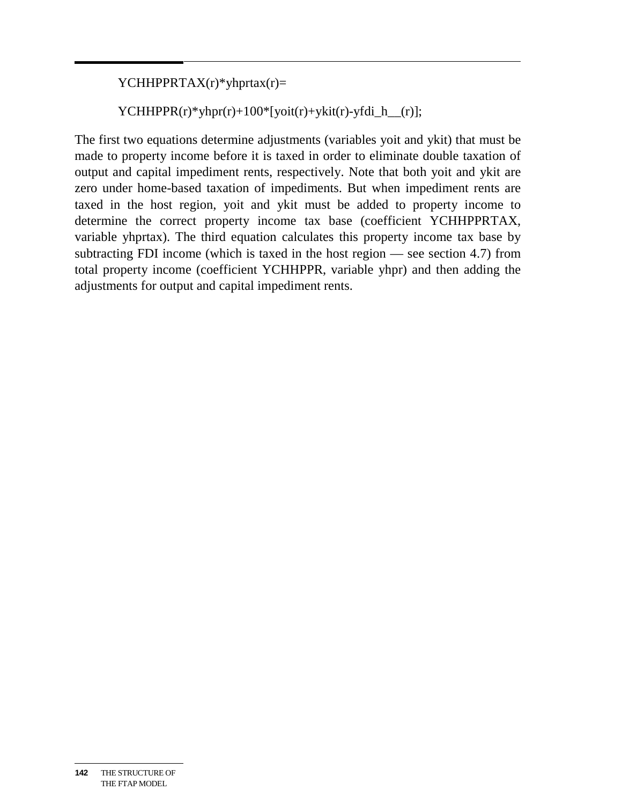$YCHHPPRTAX(r)*yhprtax(r)=$ 

#### $YCHHPPR(r)*vhpr(r)+100*[voit(r)+vkit(r)-vfdi_h(r)];$

The first two equations determine adjustments (variables yoit and ykit) that must be made to property income before it is taxed in order to eliminate double taxation of output and capital impediment rents, respectively. Note that both yoit and ykit are zero under home-based taxation of impediments. But when impediment rents are taxed in the host region, yoit and ykit must be added to property income to determine the correct property income tax base (coefficient YCHHPPRTAX, variable yhprtax). The third equation calculates this property income tax base by subtracting FDI income (which is taxed in the host region — see section 4.7) from total property income (coefficient YCHHPPR, variable yhpr) and then adding the adjustments for output and capital impediment rents.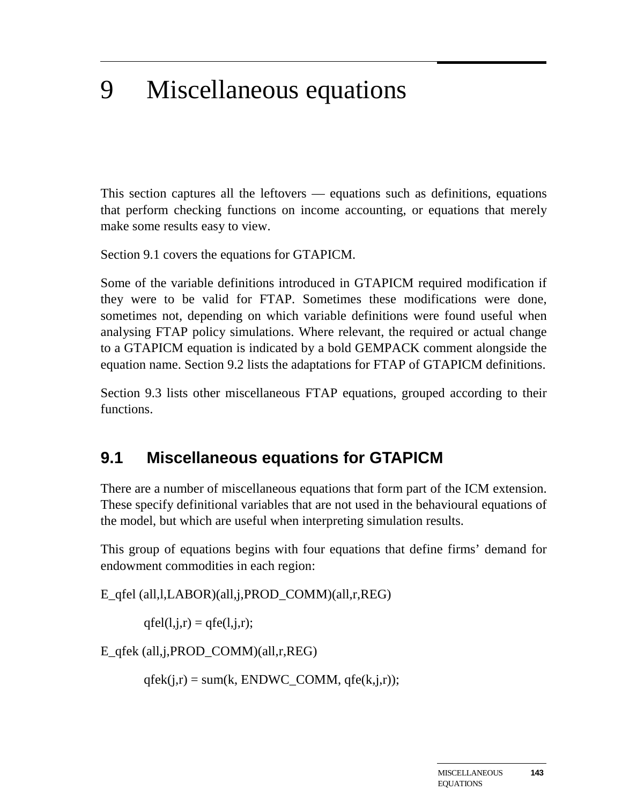# 9 Miscellaneous equations

This section captures all the leftovers — equations such as definitions, equations that perform checking functions on income accounting, or equations that merely make some results easy to view.

Section 9.1 covers the equations for GTAPICM.

Some of the variable definitions introduced in GTAPICM required modification if they were to be valid for FTAP. Sometimes these modifications were done, sometimes not, depending on which variable definitions were found useful when analysing FTAP policy simulations. Where relevant, the required or actual change to a GTAPICM equation is indicated by a bold GEMPACK comment alongside the equation name. Section 9.2 lists the adaptations for FTAP of GTAPICM definitions.

Section 9.3 lists other miscellaneous FTAP equations, grouped according to their functions.

## **9.1 Miscellaneous equations for GTAPICM**

There are a number of miscellaneous equations that form part of the ICM extension. These specify definitional variables that are not used in the behavioural equations of the model, but which are useful when interpreting simulation results.

This group of equations begins with four equations that define firms' demand for endowment commodities in each region:

E\_qfel (all,l,LABOR)(all,j,PROD\_COMM)(all,r,REG)

 $qfel(1, j, r) = qfe(1, j, r);$ 

E\_qfek (all,j,PROD\_COMM)(all,r,REG)

 $qfek(j,r) = sum(k, ENDWC\_COMM, qfe(k,j,r));$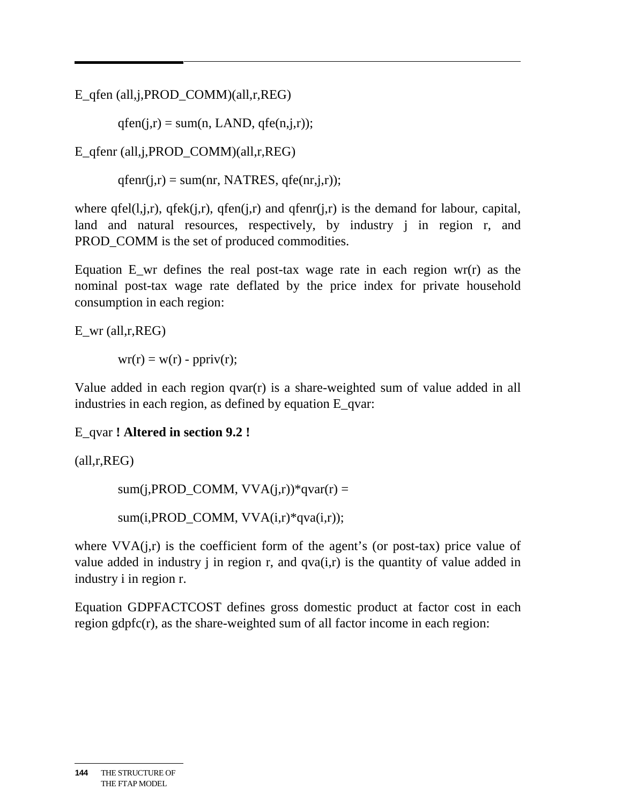E qfen (all,j,PROD COMM)(all,r,REG)

 $qfen(j,r) = sum(n, LAND, qfe(n,j,r));$ 

E\_qfenr (all,j,PROD\_COMM)(all,r,REG)

 $qfenr(j,r) = sum(nr, NATRES, qfe(nr,j,r);$ 

where qfel $(l,j,r)$ , qfek $(j,r)$ , qfen $(j,r)$  and qfenr $(j,r)$  is the demand for labour, capital, land and natural resources, respectively, by industry j in region r, and PROD COMM is the set of produced commodities.

Equation E wr defines the real post-tax wage rate in each region wr(r) as the nominal post-tax wage rate deflated by the price index for private household consumption in each region:

E wr (all, r, REG)

 $wr(r) = w(r)$  - ppriv(r);

Value added in each region qvar(r) is a share-weighted sum of value added in all industries in each region, as defined by equation E\_qvar:

E\_qvar **! Altered in section 9.2 !**

 $(all,r,REG)$ 

sum(j,PROD\_COMM,  $VVA(j,r)*qvar(r) =$ 

sum(i,PROD\_COMM, VVA(i,r)\*qva(i,r));

where  $VVA(j,r)$  is the coefficient form of the agent's (or post-tax) price value of value added in industry  $\mathbf i$  in region r, and  $\mathbf q$ va $(\mathbf i, \mathbf r)$  is the quantity of value added in industry i in region r.

Equation GDPFACTCOST defines gross domestic product at factor cost in each region gdpfc(r), as the share-weighted sum of all factor income in each region: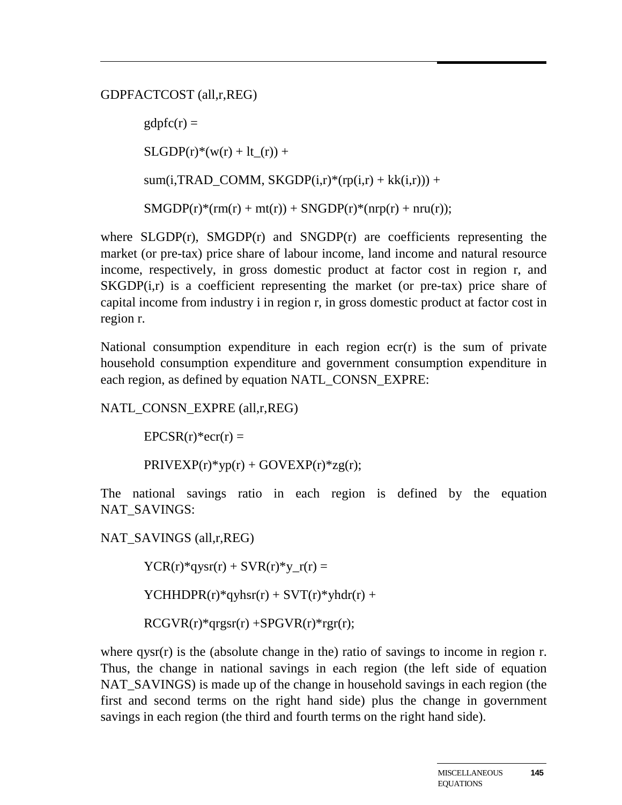GDPFACTCOST (all,r,REG)

 $gdpfc(r) =$  $SLGDP(r)*(w(r) + lt(r)) +$  $sum(i,TRAD\_COMM, SKGDP(i,r)*(rp(i,r) + kk(i,r))) +$  $SMGDP(r)*(rm(r) + mt(r)) + SNGDP(r)*(nrp(r) + nru(r));$ 

where  $SLGDP(r)$ ,  $SMGDP(r)$  and  $SNGDP(r)$  are coefficients representing the market (or pre-tax) price share of labour income, land income and natural resource income, respectively, in gross domestic product at factor cost in region r, and SKGDP(i,r) is a coefficient representing the market (or pre-tax) price share of capital income from industry i in region r, in gross domestic product at factor cost in region r.

National consumption expenditure in each region ecr(r) is the sum of private household consumption expenditure and government consumption expenditure in each region, as defined by equation NATL\_CONSN\_EXPRE:

NATL\_CONSN\_EXPRE (all,r,REG)

 $EPCSR(r)*ecr(r) =$  $PRIVEXP(r)*yp(r) + GOVEXP(r)*zg(r);$ 

The national savings ratio in each region is defined by the equation NAT\_SAVINGS:

NAT\_SAVINGS (all,r,REG)

 $YCR(r)*qysr(r) + SVR(r)*y_r(r) =$ 

 $YCHHDPR(r)*qyhsr(r) + SVT(r)*yhdr(r) +$ 

 $RCGVR(r)*qrgsr(r) + SPGVR(r)*rgr(r);$ 

where  $qysr(r)$  is the (absolute change in the) ratio of savings to income in region r. Thus, the change in national savings in each region (the left side of equation NAT\_SAVINGS) is made up of the change in household savings in each region (the first and second terms on the right hand side) plus the change in government savings in each region (the third and fourth terms on the right hand side).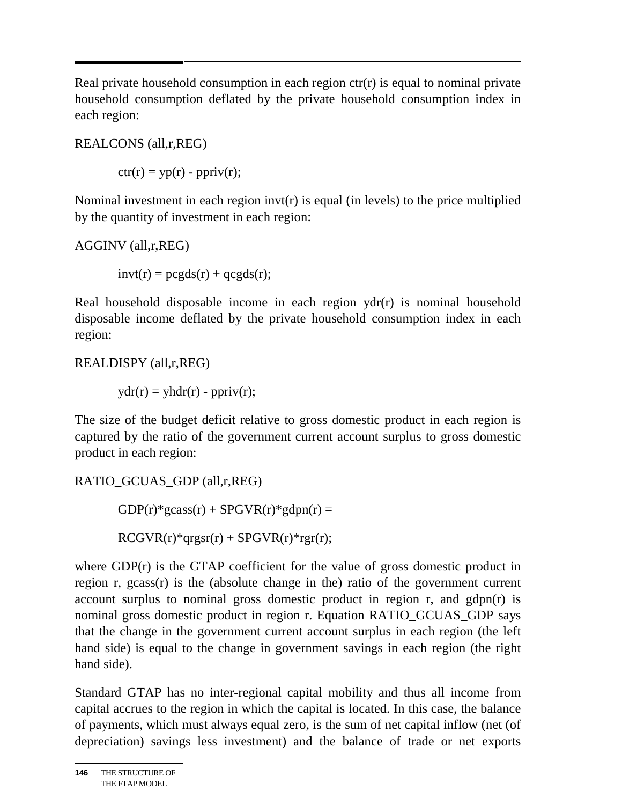Real private household consumption in each region ctr(r) is equal to nominal private household consumption deflated by the private household consumption index in each region:

REALCONS (all,r,REG)

 $ctr(r) = yp(r) - ppriv(r);$ 

Nominal investment in each region  $\text{inv}(r)$  is equal (in levels) to the price multiplied by the quantity of investment in each region:

AGGINV (all,r,REG)

 $invt(r) = pcgds(r) + qcgds(r);$ 

Real household disposable income in each region ydr(r) is nominal household disposable income deflated by the private household consumption index in each region:

REALDISPY (all,r,REG)

 $\text{vdr}(r) = \text{vhdr}(r)$  - ppriv(r);

The size of the budget deficit relative to gross domestic product in each region is captured by the ratio of the government current account surplus to gross domestic product in each region:

RATIO\_GCUAS\_GDP (all,r,REG)

 $GDP(r)*gcases(r) + SPGVR(r)*gdpn(r) =$ 

 $RCGVR(r)*qrgsr(r) + SPGVR(r)*rgr(r);$ 

where GDP(r) is the GTAP coefficient for the value of gross domestic product in region r, gcass(r) is the (absolute change in the) ratio of the government current account surplus to nominal gross domestic product in region r, and gdpn(r) is nominal gross domestic product in region r. Equation RATIO\_GCUAS\_GDP says that the change in the government current account surplus in each region (the left hand side) is equal to the change in government savings in each region (the right hand side).

Standard GTAP has no inter-regional capital mobility and thus all income from capital accrues to the region in which the capital is located. In this case, the balance of payments, which must always equal zero, is the sum of net capital inflow (net (of depreciation) savings less investment) and the balance of trade or net exports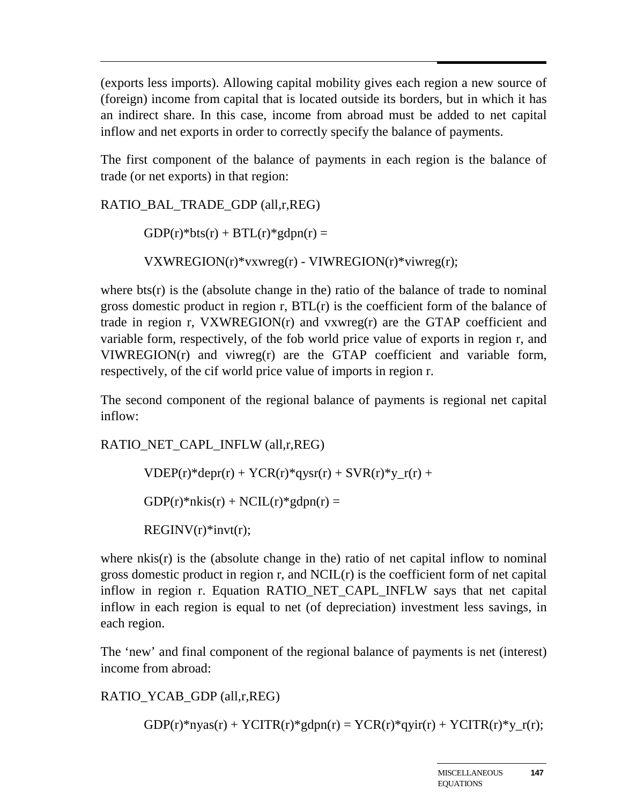(exports less imports). Allowing capital mobility gives each region a new source of (foreign) income from capital that is located outside its borders, but in which it has an indirect share. In this case, income from abroad must be added to net capital inflow and net exports in order to correctly specify the balance of payments.

The first component of the balance of payments in each region is the balance of trade (or net exports) in that region:

RATIO\_BAL\_TRADE\_GDP (all,r,REG)

 $GDP(r)*bts(r) + BTL(r)*gdpn(r) =$ 

VXWREGION(r)\*vxwreg(r) - VIWREGION(r)\*viwreg(r);

where bts(r) is the (absolute change in the) ratio of the balance of trade to nominal gross domestic product in region r, BTL(r) is the coefficient form of the balance of trade in region r, VXWREGION(r) and vxwreg(r) are the GTAP coefficient and variable form, respectively, of the fob world price value of exports in region r, and VIWREGION(r) and viwreg(r) are the GTAP coefficient and variable form, respectively, of the cif world price value of imports in region r.

The second component of the regional balance of payments is regional net capital inflow:

RATIO\_NET\_CAPL\_INFLW (all,r,REG)

 $VDEF(r)*depr(r) + YCR(r)*qysr(r) + SVR(r)*y_r(r) +$ 

 $GDP(r)*nkis(r) + NCIL(r)*gdpn(r) =$ 

 $REGINV(r)*invt(r);$ 

where  $nkis(r)$  is the (absolute change in the) ratio of net capital inflow to nominal gross domestic product in region r, and NCIL(r) is the coefficient form of net capital inflow in region r. Equation RATIO\_NET\_CAPL\_INFLW says that net capital inflow in each region is equal to net (of depreciation) investment less savings, in each region.

The 'new' and final component of the regional balance of payments is net (interest) income from abroad:

RATIO\_YCAB\_GDP (all,r,REG)

 $GDP(r)*nyas(r) + YCITR(r)*gdpn(r) = YCR(r)*qyir(r) + YCITR(r)*y_r(r);$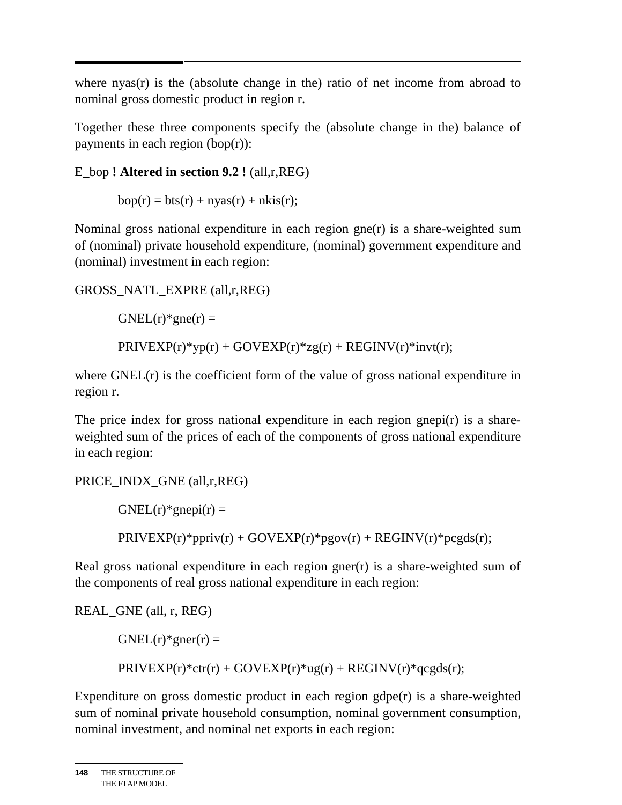where nyas(r) is the (absolute change in the) ratio of net income from abroad to nominal gross domestic product in region r.

Together these three components specify the (absolute change in the) balance of payments in each region (bop(r)):

E\_bop **! Altered in section 9.2 !** (all,r,REG)

 $bop(r) = bts(r) + nyas(r) + nkis(r);$ 

Nominal gross national expenditure in each region gne(r) is a share-weighted sum of (nominal) private household expenditure, (nominal) government expenditure and (nominal) investment in each region:

GROSS\_NATL\_EXPRE (all,r,REG)

 $GNEL(r)*gne(r) =$ 

 $PRIVEXP(r)*yp(r) + GOVEXP(r)*zg(r) + REGINV(r)*inv(r);$ 

where  $GNEL(r)$  is the coefficient form of the value of gross national expenditure in region r.

The price index for gross national expenditure in each region gnepi(r) is a shareweighted sum of the prices of each of the components of gross national expenditure in each region:

PRICE\_INDX\_GNE (all,r,REG)

 $GNEL(r)**g*nepi(r) =$  $PRIVEXP(r)*ppriv(r) + GOVEXP(r)*pgov(r) + REGINV(r)*pcgds(r);$ 

Real gross national expenditure in each region gner(r) is a share-weighted sum of the components of real gross national expenditure in each region:

REAL GNE (all, r, REG)

 $GNEL(r)*gner(r) =$ 

 $PRIVEXP(r)*ctr(r) + GOVEXP(r)*ug(r) + REGINV(r)*qcgds(r);$ 

Expenditure on gross domestic product in each region gdpe(r) is a share-weighted sum of nominal private household consumption, nominal government consumption, nominal investment, and nominal net exports in each region: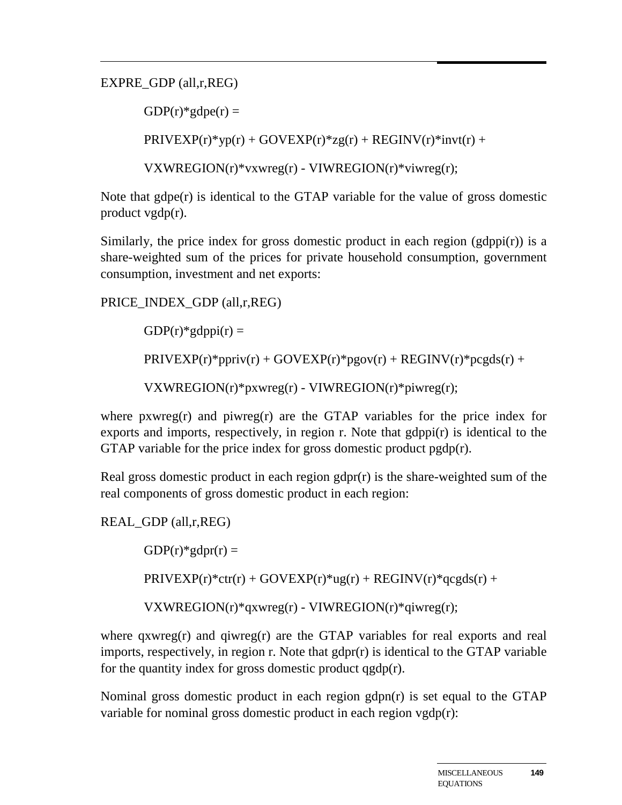EXPRE GDP (all,r,REG)

 $GDP(r)*gdpe(r) =$ 

 $PRIVEXP(r)*yp(r) + GOVEXP(r)*zg(r) + REGINV(r)*invt(r) +$ 

VXWREGION(r)\*vxwreg(r) - VIWREGION(r)\*viwreg(r);

Note that gdpe(r) is identical to the GTAP variable for the value of gross domestic product vgdp(r).

Similarly, the price index for gross domestic product in each region  $(gdppi(r))$  is a share-weighted sum of the prices for private household consumption, government consumption, investment and net exports:

PRICE\_INDEX\_GDP (all,r,REG)

 $GDP(r)*gdppi(r) =$  $PRIVEXP(r)*ppriv(r) + GOVEXP(r)*pgov(r) + REGINV(r)*pcgds(r) +$ VXWREGION(r)\*pxwreg(r) - VIWREGION(r)\*piwreg(r);

where  $pxwreg(r)$  and  $piwreg(r)$  are the GTAP variables for the price index for exports and imports, respectively, in region r. Note that gdppi(r) is identical to the GTAP variable for the price index for gross domestic product pgdp(r).

Real gross domestic product in each region  $gdpr(r)$  is the share-weighted sum of the real components of gross domestic product in each region:

REAL\_GDP (all,r,REG)

 $GDP(r)*gdpr(r) =$  $PRIVERPr(r)*ctr(r) + GOVEXP(r)*ug(r) + REGINV(r)*qcgds(r) +$ VXWREGION(r)\*qxwreg(r) - VIWREGION(r)\*qiwreg(r);

where qxwreg(r) and qiwreg(r) are the GTAP variables for real exports and real imports, respectively, in region r. Note that gdpr(r) is identical to the GTAP variable for the quantity index for gross domestic product qgdp(r).

Nominal gross domestic product in each region gdpn(r) is set equal to the GTAP variable for nominal gross domestic product in each region vgdp(r):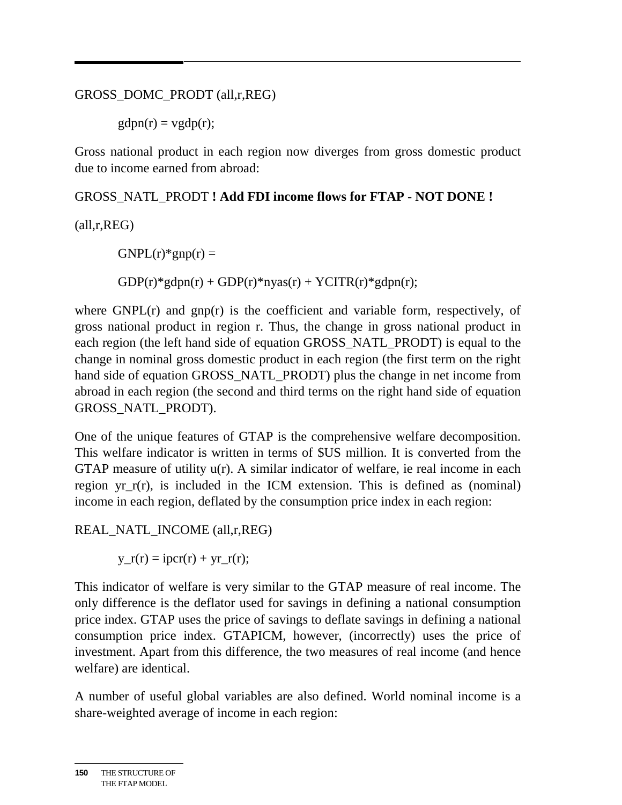#### GROSS\_DOMC\_PRODT (all,r,REG)

 $gdpn(r) = vgdp(r);$ 

Gross national product in each region now diverges from gross domestic product due to income earned from abroad:

#### GROSS\_NATL\_PRODT **! Add FDI income flows for FTAP - NOT DONE !**

 $(all,r,REG)$ 

 $GNPL(r)*gnp(r) =$  $GDP(r)*gdpn(r) + GDP(r)*nyas(r) + YCITR(r)*gdpn(r);$ 

where  $GNPL(r)$  and  $gnp(r)$  is the coefficient and variable form, respectively, of gross national product in region r. Thus, the change in gross national product in each region (the left hand side of equation GROSS\_NATL\_PRODT) is equal to the change in nominal gross domestic product in each region (the first term on the right hand side of equation GROSS NATL PRODT) plus the change in net income from abroad in each region (the second and third terms on the right hand side of equation GROSS\_NATL\_PRODT).

One of the unique features of GTAP is the comprehensive welfare decomposition. This welfare indicator is written in terms of \$US million. It is converted from the GTAP measure of utility  $u(r)$ . A similar indicator of welfare, ie real income in each region  $yr_r(r)$ , is included in the ICM extension. This is defined as (nominal) income in each region, deflated by the consumption price index in each region:

REAL\_NATL\_INCOME (all,r,REG)

 $y_{r}(r) = ipcr(r) + yr_{r}(r);$ 

This indicator of welfare is very similar to the GTAP measure of real income. The only difference is the deflator used for savings in defining a national consumption price index. GTAP uses the price of savings to deflate savings in defining a national consumption price index. GTAPICM, however, (incorrectly) uses the price of investment. Apart from this difference, the two measures of real income (and hence welfare) are identical.

A number of useful global variables are also defined. World nominal income is a share-weighted average of income in each region: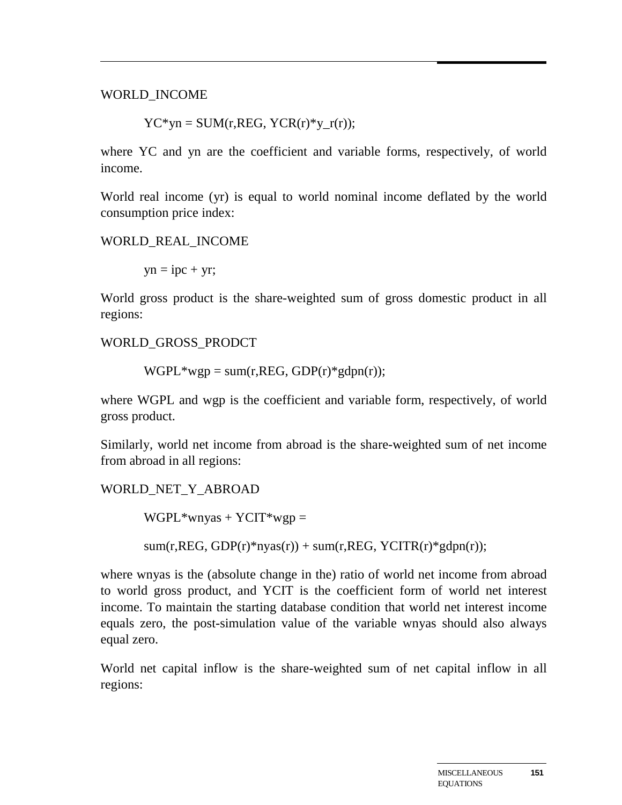#### WORLD\_INCOME

 $YC*yn = SUM(r, REG, YCR(r)*y_r(r));$ 

where YC and yn are the coefficient and variable forms, respectively, of world income.

World real income (yr) is equal to world nominal income deflated by the world consumption price index:

#### WORLD\_REAL\_INCOME

 $yn = ipc + vr$ ;

World gross product is the share-weighted sum of gross domestic product in all regions:

#### WORLD\_GROSS\_PRODCT

 $WGPL*wgp = sum(r, REG, GDP(r)*gdpn(r));$ 

where WGPL and wgp is the coefficient and variable form, respectively, of world gross product.

Similarly, world net income from abroad is the share-weighted sum of net income from abroad in all regions:

WORLD\_NET\_Y\_ABROAD

 $WGPL*wnyas + YCIT*wgp =$ 

 $sum(r, REG, GDP(r)*nyas(r)) + sum(r, REG, YCITR(r)*gdpn(r));$ 

where wnyas is the (absolute change in the) ratio of world net income from abroad to world gross product, and YCIT is the coefficient form of world net interest income. To maintain the starting database condition that world net interest income equals zero, the post-simulation value of the variable wnyas should also always equal zero.

World net capital inflow is the share-weighted sum of net capital inflow in all regions: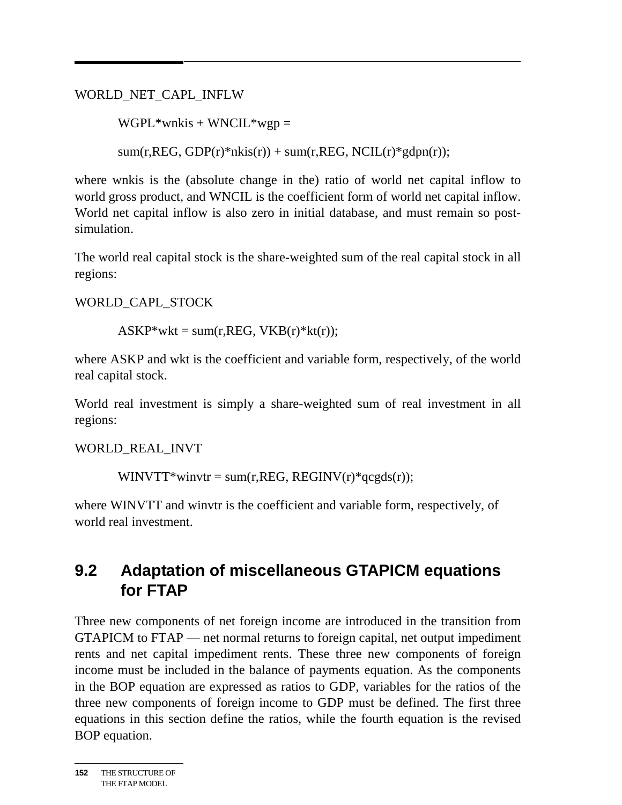#### WORLD\_NET\_CAPL\_INFLW

```
WGPL*whkis + WNCIL*wgp =sum(r, REG, GDP(r)*nkis(r)) + sum(r, REG, NCL(r)*gdpn(r));
```
where wnkis is the (absolute change in the) ratio of world net capital inflow to world gross product, and WNCIL is the coefficient form of world net capital inflow. World net capital inflow is also zero in initial database, and must remain so postsimulation.

The world real capital stock is the share-weighted sum of the real capital stock in all regions:

WORLD\_CAPL\_STOCK

 $ASKP*wkt = sum(r, REG, VKB(r)*kt(r));$ 

where ASKP and wkt is the coefficient and variable form, respectively, of the world real capital stock.

World real investment is simply a share-weighted sum of real investment in all regions:

#### WORLD\_REAL\_INVT

WINVTT\*winvtr =  $sum(r, REGINV(r)*qcgds(r))$ ;

where WINVTT and winvtr is the coefficient and variable form, respectively, of world real investment.

## **9.2 Adaptation of miscellaneous GTAPICM equations for FTAP**

Three new components of net foreign income are introduced in the transition from GTAPICM to FTAP — net normal returns to foreign capital, net output impediment rents and net capital impediment rents. These three new components of foreign income must be included in the balance of payments equation. As the components in the BOP equation are expressed as ratios to GDP, variables for the ratios of the three new components of foreign income to GDP must be defined. The first three equations in this section define the ratios, while the fourth equation is the revised BOP equation.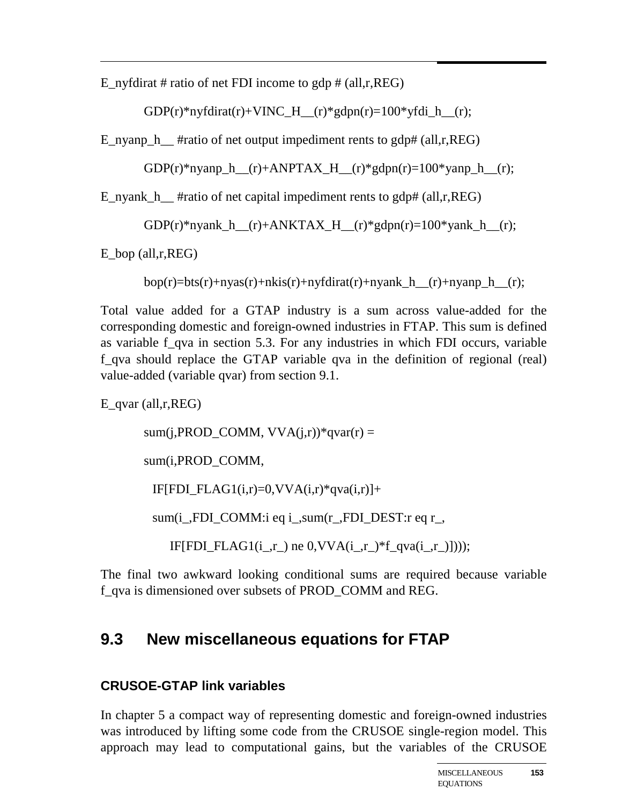E\_nyfdirat # ratio of net FDI income to gdp #  $(all,r,REG)$ 

GDP(r)\*nyfdirat(r)+VINC\_H\_\_(r)\*gdpn(r)=100\*yfdi\_h\_\_(r);

E\_nyanp\_h\_\_ #ratio of net output impediment rents to gdp# (all,r,REG)

GDP(r)\*nyanp\_h\_\_(r)+ANPTAX\_H\_\_(r)\*gdpn(r)=100\*yanp\_h\_\_(r);

E\_nyank\_h = #ratio of net capital impediment rents to gdp#  $\text{(all,r,REG)}$ 

GDP(r)\*nyank\_h\_(r)+ANKTAX\_H\_(r)\*gdpn(r)=100\*yank\_h\_(r);

 $E_{\text{loop}}$  (all, r, REG)

bop(r)=bts(r)+nyas(r)+nkis(r)+nyfdirat(r)+nyank\_h\_(r)+nyanp\_h\_(r);

Total value added for a GTAP industry is a sum across value-added for the corresponding domestic and foreign-owned industries in FTAP. This sum is defined as variable f qva in section 5.3. For any industries in which FDI occurs, variable f\_qva should replace the GTAP variable qva in the definition of regional (real) value-added (variable qvar) from section 9.1.

E\_qvar (all,r,REG)

sum(j,PROD\_COMM,  $VVA(j,r)*qvar(r) =$ 

sum(i,PROD\_COMM,

IF[FDI\_FLAG1(i,r)=0,VVA(i,r)\*qva(i,r)]+

sum(i\_,FDI\_COMM:i eq i\_,sum(r\_,FDI\_DEST:r eq r\_,

IF[FDI\_FLAG1(i\_,r\_) ne  $0$ ,  $VVA(i_r, r_$ )\*f\_qva(i\_,r\_)])));

The final two awkward looking conditional sums are required because variable f\_qva is dimensioned over subsets of PROD\_COMM and REG.

## **9.3 New miscellaneous equations for FTAP**

#### **CRUSOE-GTAP link variables**

In chapter 5 a compact way of representing domestic and foreign-owned industries was introduced by lifting some code from the CRUSOE single-region model. This approach may lead to computational gains, but the variables of the CRUSOE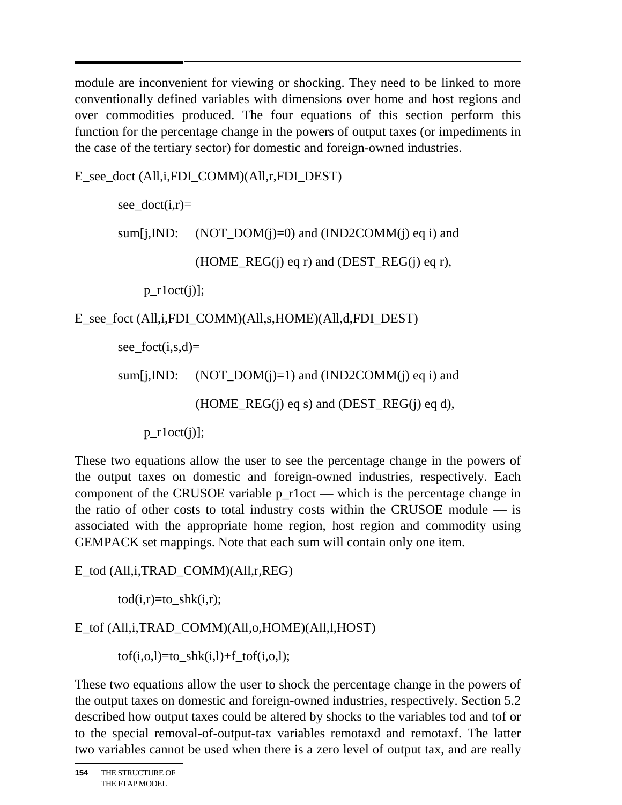module are inconvenient for viewing or shocking. They need to be linked to more conventionally defined variables with dimensions over home and host regions and over commodities produced. The four equations of this section perform this function for the percentage change in the powers of output taxes (or impediments in the case of the tertiary sector) for domestic and foreign-owned industries.

E\_see\_doct (All,i,FDI\_COMM)(All,r,FDI\_DEST)

```
see\_doct(i,r)=sum[j,IND: (NOT_DOM(j)=0) and (IND2COMM(j) eq i) and
             (HOME\_REG(j) eq r) and (DEST\_REG(j) eq r),
    p\_r1oct(j);
```
E\_see\_foct (All,i,FDI\_COMM)(All,s,HOME)(All,d,FDI\_DEST)

see\_foct $(i,s,d)=$ 

sum[j,IND: (NOT\_DOM(j)=1) and (IND2COMM(j) eq i) and

 $(HOME\_REG(i)$  eq s) and  $(DEST\_REG(i)$  eq d),

 $p\_rloct(j);$ 

These two equations allow the user to see the percentage change in the powers of the output taxes on domestic and foreign-owned industries, respectively. Each component of the CRUSOE variable  $p_{\text{r}}$  node — which is the percentage change in the ratio of other costs to total industry costs within the CRUSOE module  $-$  is associated with the appropriate home region, host region and commodity using GEMPACK set mappings. Note that each sum will contain only one item.

E\_tod (All,i,TRAD\_COMM)(All,r,REG)

 $\text{tod}(i,r)=\text{to\_shk}(i,r);$ 

E\_tof (All,i,TRAD\_COMM)(All,o,HOME)(All,l,HOST)

tof(i,o,l)=to shk(i,l)+f\_tof(i,o,l);

These two equations allow the user to shock the percentage change in the powers of the output taxes on domestic and foreign-owned industries, respectively. Section 5.2 described how output taxes could be altered by shocks to the variables tod and tof or to the special removal-of-output-tax variables remotaxd and remotaxf. The latter two variables cannot be used when there is a zero level of output tax, and are really

**<sup>154</sup>** THE STRUCTURE OF THE FTAP MODEL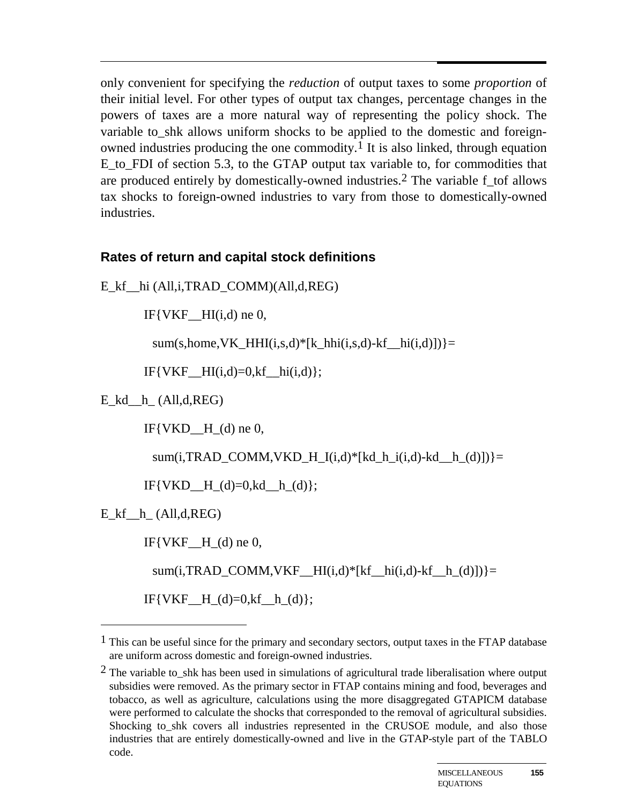only convenient for specifying the *reduction* of output taxes to some *proportion* of their initial level. For other types of output tax changes, percentage changes in the powers of taxes are a more natural way of representing the policy shock. The variable to\_shk allows uniform shocks to be applied to the domestic and foreignowned industries producing the one commodity.<sup>1</sup> It is also linked, through equation E to FDI of section 5.3, to the GTAP output tax variable to, for commodities that are produced entirely by domestically-owned industries.2 The variable f\_tof allows tax shocks to foreign-owned industries to vary from those to domestically-owned industries.

#### **Rates of return and capital stock definitions**

E  $k$ f hi (All,i,TRAD COMM)(All,d,REG)

 $IF{VKF_HI(i,d)}$  ne 0,

 $sum(s, home, VK\_HHI(i, s, d)*[k_hhi(i, s, d)-kf_hi(i, d)])$ }=

 $IF{VKF_HI(i,d)=0, kf_hi(i,d)};$ 

 $E_k$ d h  $(All,d,REG)$ 

 $IF{VKD_H_d}d$  ne 0,

 $sum(i, TRAD\_COMM, VKD_H_i(i,d)*[kd_h_i(i,d)-kd_h_i(d)])$  =

 $IF{VKD_H(d)=0, kd_h(d)};$ 

 $E_kf_h$  (All,d,REG)

 $\overline{a}$ 

IF{VKF  $H(d)$  ne 0,

 $sum(i, TRAD_COMM, VKF_HI(i,d)*[kf_h(i,d)-kf_h(d)])$ =

 $IF{VKF_H_d}(d)=0, kf_h(d)};$ 

 $<sup>1</sup>$  This can be useful since for the primary and secondary sectors, output taxes in the FTAP database</sup> are uniform across domestic and foreign-owned industries.

 $2$  The variable to shk has been used in simulations of agricultural trade liberalisation where output subsidies were removed. As the primary sector in FTAP contains mining and food, beverages and tobacco, as well as agriculture, calculations using the more disaggregated GTAPICM database were performed to calculate the shocks that corresponded to the removal of agricultural subsidies. Shocking to\_shk covers all industries represented in the CRUSOE module, and also those industries that are entirely domestically-owned and live in the GTAP-style part of the TABLO code.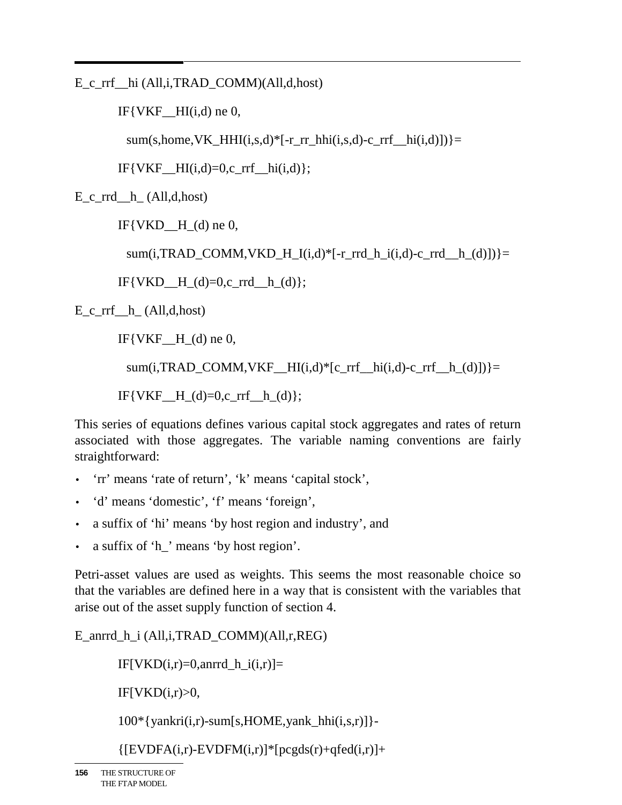E\_c\_rrf\_\_hi (All,i,TRAD\_COMM)(All,d,host)

 $IF{VKF_HI(i,d)}$  ne 0,

 $sum(s, home, VK\_HHI(i, s, d)*[-r\_rr\_hhi(i, s, d)-c\_rrf\_hi(i, d)])$ }=

IF{VKF HI(i,d)=0,c rrf hi(i,d)};

 $E$  c rrd h (All,d,host)

 $IF{VKD_H_d}(d)$  ne 0,

```
sum(i, TRAD_COMM, VKD_H_I(i,d)*[-r_rrrd_h_i(i,d)-c_rrrd_h_d(i)])]=
```
IF{VKD\_H\_(d)=0,c\_rrd\_h\_(d)};

 $E_crrf_h_{(All,d,host)}$ 

```
IF{VKF_H_d}(d) ne 0,
```

```
sum(i, TRAD_COMM, VKF_HI(i,d)*[c_rrrf_h(i,d)-c_rrrf_h(d)]) =
```
 $IF{VKF_H_d}(d)=0, crrf_h(d);$ 

This series of equations defines various capital stock aggregates and rates of return associated with those aggregates. The variable naming conventions are fairly straightforward:

- 'rr' means 'rate of return', 'k' means 'capital stock',
- 'd' means 'domestic', 'f' means 'foreign',
- a suffix of 'hi' means 'by host region and industry', and
- a suffix of 'h\_' means 'by host region'.

Petri-asset values are used as weights. This seems the most reasonable choice so that the variables are defined here in a way that is consistent with the variables that arise out of the asset supply function of section 4.

E\_anrrd\_h\_i (All,i,TRAD\_COMM)(All,r,REG)

 $IF[VKD(i,r)=0, \text{anrrd\_h\_i}(i,r)]=$ 

 $IF[VRD(i,r)>0,$ 

 $100^*$ {yankri(i,r)-sum[s,HOME,yank\_hhi(i,s,r)]}-

 ${[EVDFA(i,r)-EVDFM(i,r)]*[pcgds(r)+qfed(i,r)]+}$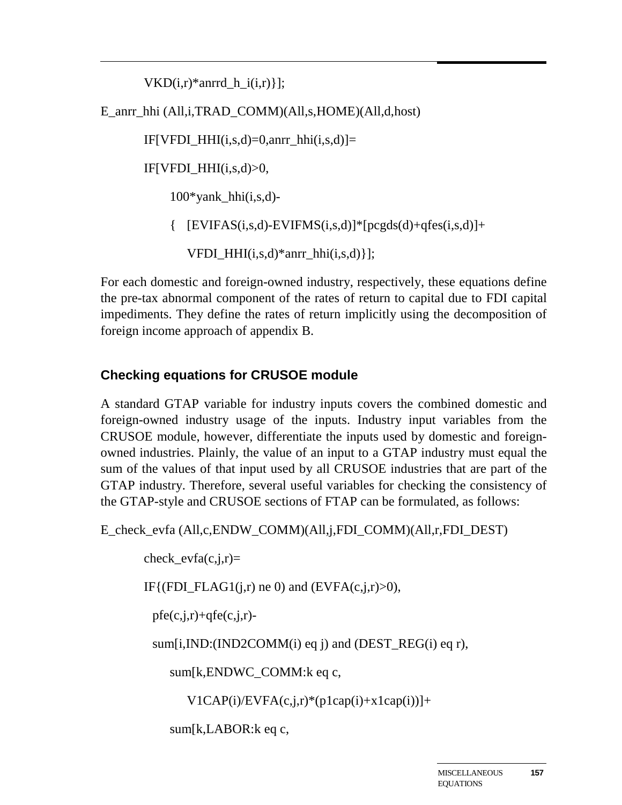```
VKD(i,r)*anrrd_h_i(i,r)}];
```
E\_anrr\_hhi (All,i,TRAD\_COMM)(All,s,HOME)(All,d,host)

```
IF[VFDI_HHI(i,s,d)=0,anrr_hhi(i,s,d)]=
IF[VFDI HHI(i,s,d) > 0,
    100*yank hhi(i,s,d)-
    \{ [EVIFAS(i,s,d)-EVIFMS(i,s,d)]*[pcgds(d)+qfes(i,s,d)]+
```

```
VFDI_HHI(i,s,d)*anrr_hhi(i,s,d)}];
```
For each domestic and foreign-owned industry, respectively, these equations define the pre-tax abnormal component of the rates of return to capital due to FDI capital impediments. They define the rates of return implicitly using the decomposition of foreign income approach of appendix B.

#### **Checking equations for CRUSOE module**

A standard GTAP variable for industry inputs covers the combined domestic and foreign-owned industry usage of the inputs. Industry input variables from the CRUSOE module, however, differentiate the inputs used by domestic and foreignowned industries. Plainly, the value of an input to a GTAP industry must equal the sum of the values of that input used by all CRUSOE industries that are part of the GTAP industry. Therefore, several useful variables for checking the consistency of the GTAP-style and CRUSOE sections of FTAP can be formulated, as follows:

E\_check\_evfa (All,c,ENDW\_COMM)(All,j,FDI\_COMM)(All,r,FDI\_DEST)

```
check\_evfa(c,j,r) =
```
IF $\{ (FDI_FLAG1(j,r) \neq 0) \text{ and } (EVFA(c,j,r) > 0),\}$ 

 $pfe(c,j,r)+qfe(c,j,r)-$ 

sum[i,IND:(IND2COMM(i) eq j) and (DEST\_REG(i) eq r),

sum[k,ENDWC\_COMM:k eq c,

 $V1CAP(i)/EVFA(c,j,r)*(p1cap(i)+x1cap(i))$  +

sum[k,LABOR:k eq c,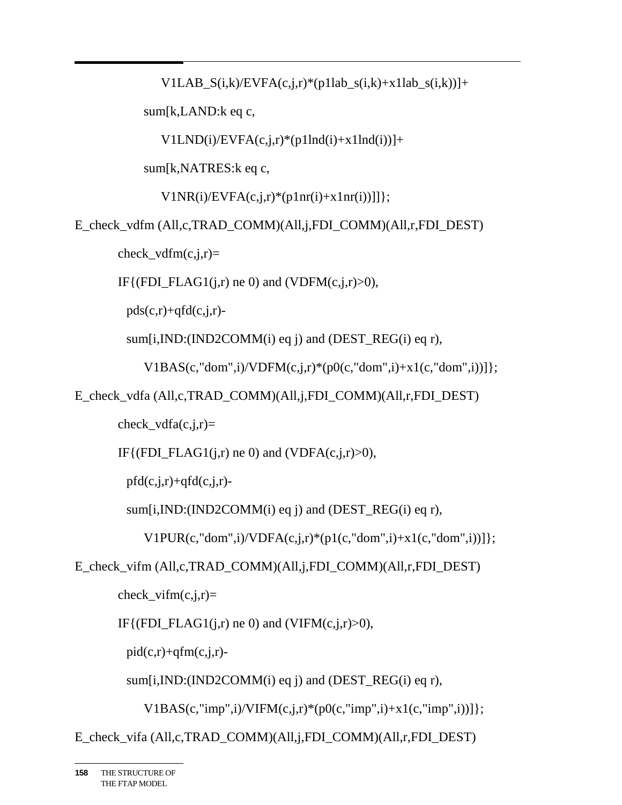$V1LAB_S(i,k)/EVFA(c,i,r)*(p1lab_S(i,k)+x1lab_S(i,k))$  +

sum[k,LAND:k eq c,

 $V1LND(i)/EVFA(c,i,r)*(p1Ind(i)+x1Ind(i))]+$ 

sum[k,NATRES:k eq c,

 $V1NR(i)/EVFA(c,i,r)*(p1nr(i)+x1nr(i))]]$ ;

E\_check\_vdfm (All,c,TRAD\_COMM)(All,j,FDI\_COMM)(All,r,FDI\_DEST)

check  $vdfm(c,j,r)=$ 

IF $\{ (FDI\_FLAG1(i,r) \neq 0) \text{ and } (VDFM(c,j,r) > 0),\}$ 

 $pds(c,r)+qfd(c,j,r)-$ 

sum[i,IND:(IND2COMM(i) eq j) and (DEST\_REG(i) eq r),

 $V1BAS(c, "dom", i)/VDFM(c, j, r)*(p0(c, "dom", i)+x1(c, "dom", i))];$ 

E\_check\_vdfa (All,c,TRAD\_COMM)(All,j,FDI\_COMM)(All,r,FDI\_DEST)

 $check_vdfa(c,j,r)=$ 

IF $\{ (FDI_FLAG1(j,r) \neq 0) \text{ and } (VDFA(c,j,r) > 0),\}$ 

 $pfd(c,j,r)+qfd(c,j,r)-$ 

sum[i,IND:(IND2COMM(i) eq j) and (DEST REG(i) eq r),

 $V1PUR(c, "dom", i)/VDFA(c, j, r)*(p1(c, "dom", i)+x1(c, "dom", i))]\};$ 

E\_check\_vifm (All,c,TRAD\_COMM)(All,j,FDI\_COMM)(All,r,FDI\_DEST)

check  $vifm(c,j,r)=$ 

IF $\{(\text{FDI}_\text{FLAG1}(i,r) \text{ ne } 0) \text{ and } (\text{VIFM}(c,i,r) > 0),\}$ 

 $pid(c,r)+qfm(c,j,r)$ -

sum[i,IND:(IND2COMM(i) eq j) and (DEST\_REG(i) eq r),

 $V1BAS(c,"imp",i)/VIFM(c,i,r)*(p0(c,"imp",i)+x1(c,"imp",i))$  };

E\_check\_vifa (All,c,TRAD\_COMM)(All,j,FDI\_COMM)(All,r,FDI\_DEST)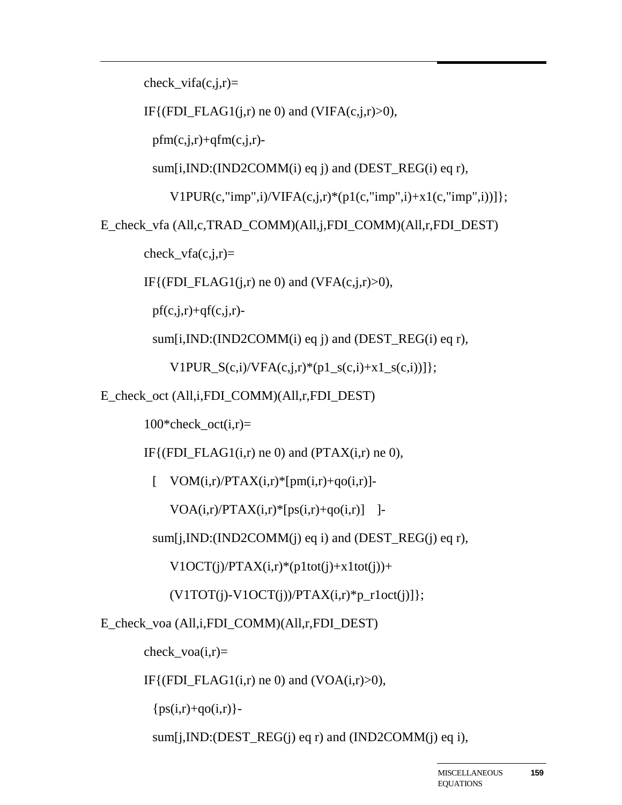$check\_vifa(c,j,r)=$ 

IF $\{(\text{FDI}_\text{FLAG1}(i,r) \text{ ne } 0) \text{ and } (\text{VIFA}(c,j,r) > 0),\}$ 

 $pfm(c,j,r)+qfm(c,j,r)-$ 

sum[i,IND:(IND2COMM(i) eq j) and (DEST\_REG(i) eq r),

 $V1PUR(c,"imp",i)/VIFA(c,j,r)*(p1(c,"imp",i)+x1(c,"imp",i))]\};$ 

E\_check\_vfa (All,c,TRAD\_COMM)(All,j,FDI\_COMM)(All,r,FDI\_DEST)

check  $vfa(c,i,r)=$ 

IF $\{(\text{FDI}_\text{FLAG1}(i,r) \text{ ne } 0) \text{ and } (\text{VFA}(c,i,r) > 0),\}$ 

 $pf(c,j,r)+qf(c,j,r)-$ 

sum[i,IND:(IND2COMM(i) eq j) and (DEST\_REG(i) eq r),

 $V1PUR_S(c,i)/VFA(c,j,r)*(p1_s(c,i)+x1_s(c,i))$ ];

E\_check\_oct (All,i,FDI\_COMM)(All,r,FDI\_DEST)

 $100^*$ check\_oct $(i,r)$ =

IF $\{$ (FDI\_FLAG1(i,r) ne 0) and (PTAX(i,r) ne 0),

 $\left[ \quad VOM(i,r)/PTAX(i,r)*[pm(i,r)+qo(i,r)] - \right]$ 

 $VOA(i,r)/PTAX(i,r)*[ps(i,r)+qo(i,r)]$  ]-

 $sum[i, IND:(IND2COMM(i) eq i) and (DEST\_REG(i) eq r),$ 

 $V1OCT(j)/PTAX(i,r)*(plot(j)+x1tot(j))+$ 

 $(V1TOT(j)-V1OCT(j))/PTAX(i,r)*p_r1oct(j)]$ ;

E\_check\_voa (All,i,FDI\_COMM)(All,r,FDI\_DEST)

 $check\_voa(i,r) =$ 

IF $\{(\text{FDI\_FLAG1}(i,r) \text{ ne } 0) \text{ and } (\text{VOA}(i,r) > 0),\}$ 

 $\{ps(i,r)+qo(i,r)\}-$ 

sum[j,IND:(DEST\_REG(j) eq r) and (IND2COMM(j) eq i),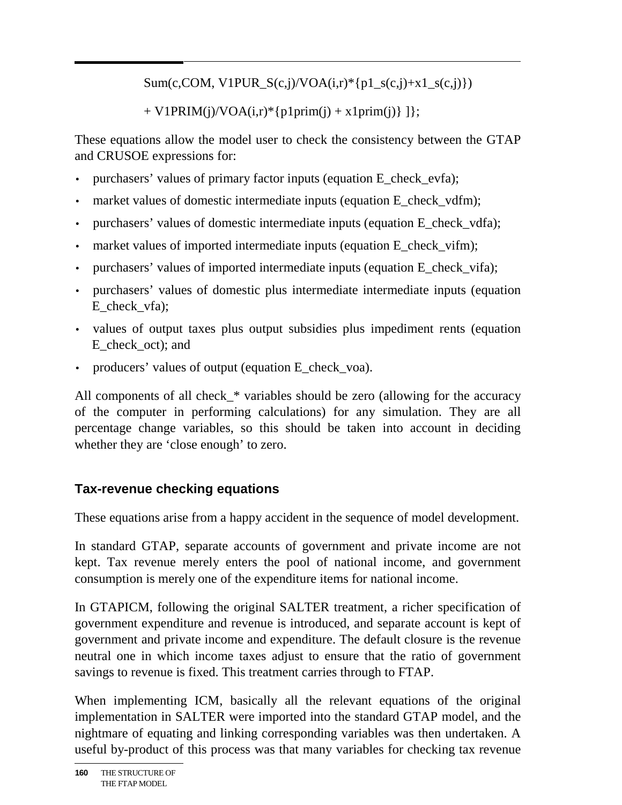$Sum(c, COM, V1PUR_S(c,j)/VOA(i,r)*{p1_s(c,j)+x1_s(c,j)})$ 

 $+ \text{V1PRIM}(i)/\text{VOA}(i,r) * \{\text{plprim}(i) + \text{x1prim}(i)\}\$  };

These equations allow the model user to check the consistency between the GTAP and CRUSOE expressions for:

- purchasers' values of primary factor inputs (equation E\_check\_evfa);
- market values of domestic intermediate inputs (equation E\_check\_vdfm);
- purchasers' values of domestic intermediate inputs (equation E\_check\_vdfa);
- market values of imported intermediate inputs (equation E\_check\_vifm);
- purchasers' values of imported intermediate inputs (equation E\_check\_vifa);
- purchasers' values of domestic plus intermediate intermediate inputs (equation E check  $vfa$ ;
- values of output taxes plus output subsidies plus impediment rents (equation E\_check\_oct); and
- producers' values of output (equation E\_check\_voa).

All components of all check\_\* variables should be zero (allowing for the accuracy of the computer in performing calculations) for any simulation. They are all percentage change variables, so this should be taken into account in deciding whether they are 'close enough' to zero.

## **Tax-revenue checking equations**

These equations arise from a happy accident in the sequence of model development.

In standard GTAP, separate accounts of government and private income are not kept. Tax revenue merely enters the pool of national income, and government consumption is merely one of the expenditure items for national income.

In GTAPICM, following the original SALTER treatment, a richer specification of government expenditure and revenue is introduced, and separate account is kept of government and private income and expenditure. The default closure is the revenue neutral one in which income taxes adjust to ensure that the ratio of government savings to revenue is fixed. This treatment carries through to FTAP.

When implementing ICM, basically all the relevant equations of the original implementation in SALTER were imported into the standard GTAP model, and the nightmare of equating and linking corresponding variables was then undertaken. A useful by-product of this process was that many variables for checking tax revenue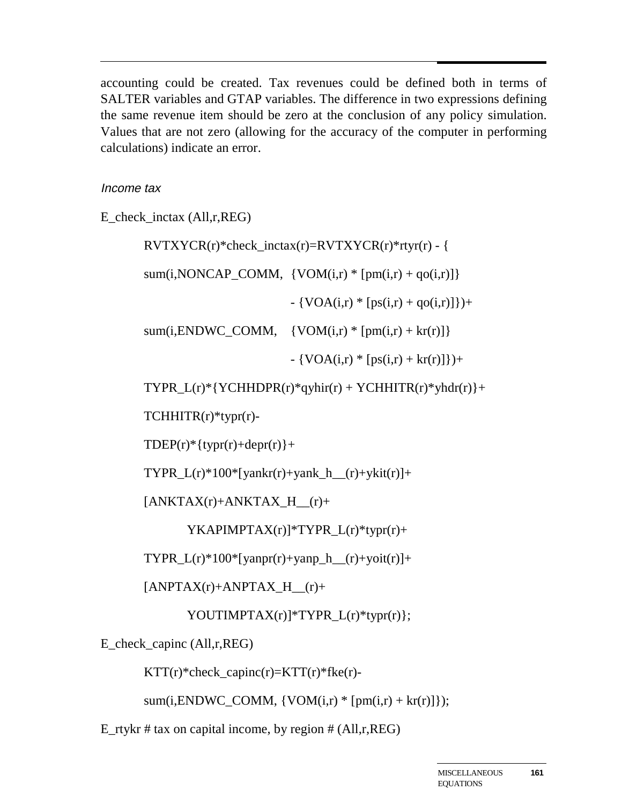accounting could be created. Tax revenues could be defined both in terms of SALTER variables and GTAP variables. The difference in two expressions defining the same revenue item should be zero at the conclusion of any policy simulation. Values that are not zero (allowing for the accuracy of the computer in performing calculations) indicate an error.

Income tax

E\_check\_inctax (All,r,REG)

 $RVTXYZR(r)*check\_intax(r)=RVTXYZR(r)*rtyr(r) - {$ sum(i,NONCAP\_COMM,  $\{VOM(i,r) * [pm(i,r) + qo(i,r)]\}$  $- \{VOA(i,r) * [ps(i,r) + qo(i,r)]\}$ + sum(i,ENDWC\_COMM, {VOM(i,r) \*  $[pm(i,r) + kr(r)]$ }  $- \{VOA(i,r) * [ps(i,r) + kr(r)]\}$ 

```
TYPR\_L(r)*{YCHHDPR(r)*qyhir(r) + YCHHITR(r)*yhat(r)}+
```
TCHHITR(r)\*typr(r)-

 $TDEP(r)$ <sup>\*</sup>{typr(r)+depr(r)}+

TYPR\_L(r)\*100\*[yankr(r)+yank\_h\_(r)+ykit(r)]+

 $[ANKTAX(r)+ANKTAX_H$   $(r)+$ 

 $YKAPIMPTAX(r)]*TYPR_L(r)*typr(r)+$ 

TYPR\_L(r)\*100\*[yanpr(r)+yanp\_h\_(r)+yoit(r)]+

 $[ANPTAX(r)+ANDTAX_H(r)+$ 

YOUTIMPTAX(r)]\*TYPR\_L(r)\*typr(r)};

E check capinc  $(All,r,REG)$ 

 $KTT(r)*check\_capinc(r)=KTT(r)*fke(r)-$ 

sum(i,ENDWC\_COMM,  $\{VOM(i,r) * [pm(i,r) + kr(r)]\};$ 

E\_rtykr # tax on capital income, by region #  $(All,r,REG)$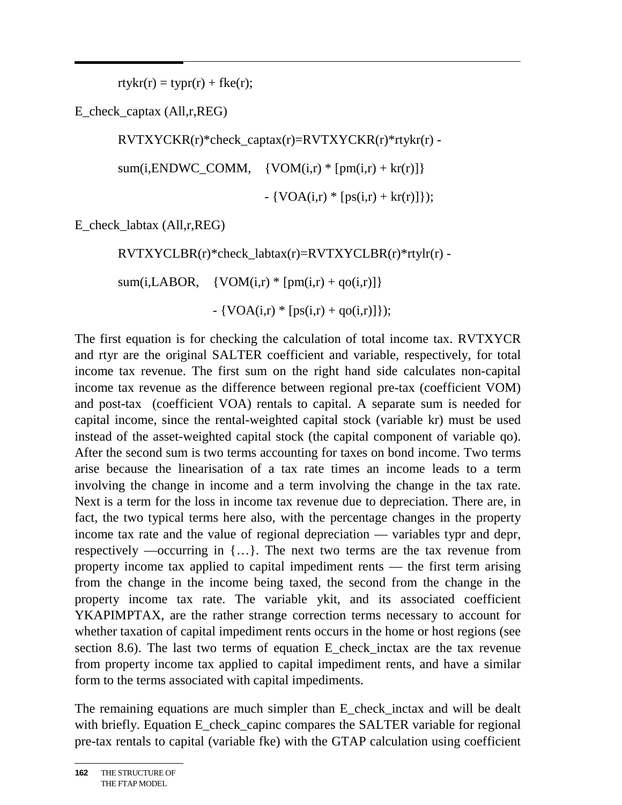$rtykr(r) = typr(r) + fke(r);$ 

E\_check\_captax (All,r,REG)

RVTXYCKR(r)\*check\_captax(r)=RVTXYCKR(r)\*rtykr(r) sum(i,ENDWC\_COMM, {VOM(i,r) \*  $[pm(i,r) + kr(r)]$ }

 $- \{VOA(i,r) * [ps(i,r) + kr(r)]\};$ 

E\_check\_labtax (All,r,REG)

RVTXYCLBR(r)\*check\_labtax(r)=RVTXYCLBR(r)\*rtylr(r) -

sum(i,LABOR,  $\{VOM(i,r) * [pm(i,r) + qo(i,r)]\}$ 

 $-$  {VOA(i,r) \* [ps(i,r) + qo(i,r)]});

The first equation is for checking the calculation of total income tax. RVTXYCR and rtyr are the original SALTER coefficient and variable, respectively, for total income tax revenue. The first sum on the right hand side calculates non-capital income tax revenue as the difference between regional pre-tax (coefficient VOM) and post-tax (coefficient VOA) rentals to capital. A separate sum is needed for capital income, since the rental-weighted capital stock (variable kr) must be used instead of the asset-weighted capital stock (the capital component of variable qo). After the second sum is two terms accounting for taxes on bond income. Two terms arise because the linearisation of a tax rate times an income leads to a term involving the change in income and a term involving the change in the tax rate. Next is a term for the loss in income tax revenue due to depreciation. There are, in fact, the two typical terms here also, with the percentage changes in the property income tax rate and the value of regional depreciation — variables typr and depr, respectively —occurring in  $\{...\}$ . The next two terms are the tax revenue from property income tax applied to capital impediment rents — the first term arising from the change in the income being taxed, the second from the change in the property income tax rate. The variable ykit, and its associated coefficient YKAPIMPTAX, are the rather strange correction terms necessary to account for whether taxation of capital impediment rents occurs in the home or host regions (see section 8.6). The last two terms of equation E\_check\_inctax are the tax revenue from property income tax applied to capital impediment rents, and have a similar form to the terms associated with capital impediments.

The remaining equations are much simpler than E\_check\_inctax and will be dealt with briefly. Equation E\_check\_capinc compares the SALTER variable for regional pre-tax rentals to capital (variable fke) with the GTAP calculation using coefficient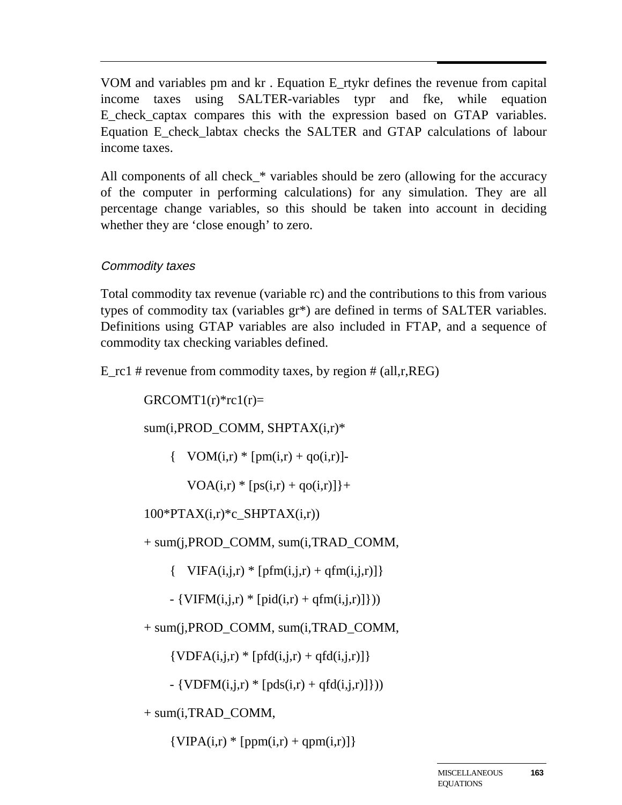VOM and variables pm and kr . Equation E\_rtykr defines the revenue from capital income taxes using SALTER-variables typr and fke, while equation E\_check\_captax compares this with the expression based on GTAP variables. Equation E\_check\_labtax checks the SALTER and GTAP calculations of labour income taxes.

All components of all check\_\* variables should be zero (allowing for the accuracy of the computer in performing calculations) for any simulation. They are all percentage change variables, so this should be taken into account in deciding whether they are 'close enough' to zero.

#### Commodity taxes

Total commodity tax revenue (variable rc) and the contributions to this from various types of commodity tax (variables gr\*) are defined in terms of SALTER variables. Definitions using GTAP variables are also included in FTAP, and a sequence of commodity tax checking variables defined.

E\_rc1 # revenue from commodity taxes, by region  $\#$  (all,r, REG)

 $GRCOMT1(r)*rcl(r)=$ 

sum(i,PROD\_COMM, SHPTAX(i,r)\*

 $\{$  VOM(i,r) \* [pm(i,r) + qo(i,r)]-

 $\text{VOA}(i,r) * [\text{ps}(i,r) + \text{qo}(i,r)]$ 

 $100*PTAX(i,r)*c\_SHPTAX(i,r))$ 

+ sum(j,PROD\_COMM, sum(i,TRAD\_COMM,

 $\{ VIFA(i,j,r) * [pfm(i,j,r) + qfm(i,j,r)] \}$ 

 $-$  {VIFM(i,j,r) \* [pid(i,r) + qfm(i,j,r)]}))

+ sum(j,PROD\_COMM, sum(i,TRAD\_COMM,

 $\{VDFA(i,j,r) * [pfd(i,j,r) + qfd(i,j,r)]\}$ 

 $-$  {VDFM(i,j,r) \* [pds(i,r) + qfd(i,j,r)]}))

+ sum(i,TRAD\_COMM,

 $\{VIPA(i,r) * [ppm(i,r) + qpm(i,r)]\}$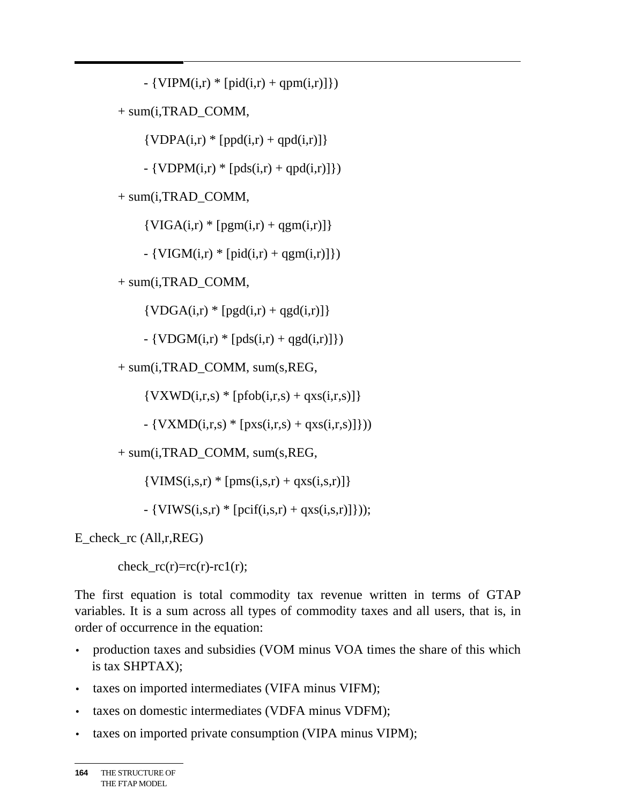$-$  {VIPM(i,r) \* [pid(i,r) + qpm(i,r)]})

+ sum(i,TRAD\_COMM,

 $\{VDPA(i,r) * [ppd(i,r) + qpd(i,r)]\}$ 

 $-$  {VDPM(i,r) \* [pds(i,r) + qpd(i,r)]})

+ sum(i,TRAD\_COMM,

 $\{VIGA(i,r) * [pgm(i,r) + qgm(i,r)]\}$ 

 $-$  {VIGM(i,r) \* [pid(i,r) + qgm(i,r)]})

+ sum(i,TRAD\_COMM,

 $\{VDGA(i,r) * [pgd(i,r) + qgd(i,r)]\}$ 

 $-$  {VDGM(i,r) \* [pds(i,r) + qgd(i,r)]})

+ sum(i,TRAD\_COMM, sum(s,REG,

 $\{VXWD(i,r,s) * [pfob(i,r,s) + qxs(i,r,s)]\}$ 

 $- \{VXMD(i,r,s) * [pxs(i,r,s) + qxs(i,r,s)]\})$ 

+ sum(i,TRAD\_COMM, sum(s,REG,

 $\{VIMS(i,s,r) * [pms(i,s,r) + qxs(i,s,r)]\}$ 

- {VIWS(i,s,r) \* [pcif(i,s,r) + qxs(i,s,r)]}));

E check  $rc$  (All,r,REG)

check\_rc(r)=rc(r)-rc1(r);

The first equation is total commodity tax revenue written in terms of GTAP variables. It is a sum across all types of commodity taxes and all users, that is, in order of occurrence in the equation:

- production taxes and subsidies (VOM minus VOA times the share of this which is tax SHPTAX);
- taxes on imported intermediates (VIFA minus VIFM);
- taxes on domestic intermediates (VDFA minus VDFM);
- taxes on imported private consumption (VIPA minus VIPM);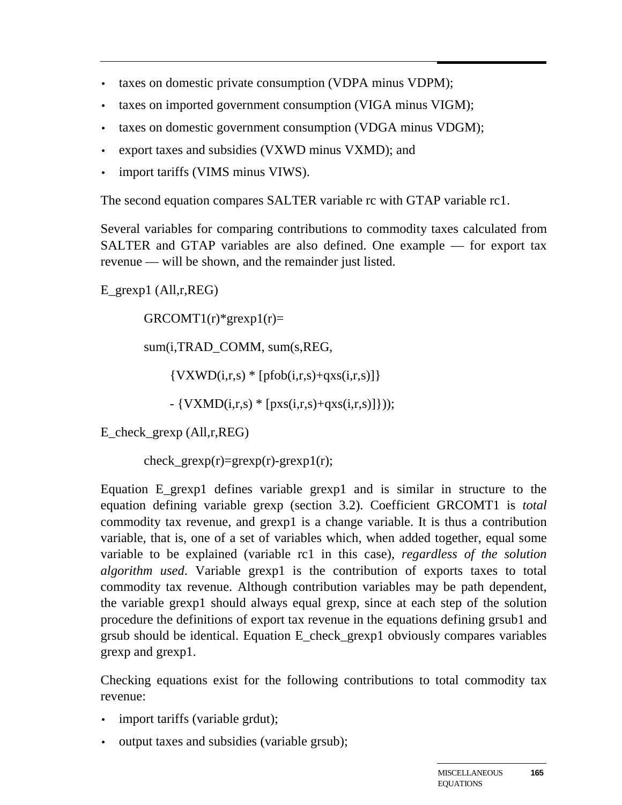- taxes on domestic private consumption (VDPA minus VDPM);
- taxes on imported government consumption (VIGA minus VIGM);
- taxes on domestic government consumption (VDGA minus VDGM);
- export taxes and subsidies (VXWD minus VXMD); and
- import tariffs (VIMS minus VIWS).

The second equation compares SALTER variable rc with GTAP variable rc1.

Several variables for comparing contributions to commodity taxes calculated from SALTER and GTAP variables are also defined. One example — for export tax revenue — will be shown, and the remainder just listed.

E\_grexp1 (All,r,REG)

 $GRCOMT1(r)$ <sup>\*</sup>grexp1(r)=

sum(i,TRAD\_COMM, sum(s,REG,

 $\{VXWD(i,r,s) * [pfob(i,r,s)+qxs(i,r,s)]\}$ 

 $-$  {VXMD(i,r,s) \* [pxs(i,r,s)+qxs(i,r,s)]}));

E\_check\_grexp (All,r,REG)

check\_grexp(r)=grexp(r)-grexp1(r);

Equation E\_grexp1 defines variable grexp1 and is similar in structure to the equation defining variable grexp (section 3.2). Coefficient GRCOMT1 is *total* commodity tax revenue, and grexp1 is a change variable. It is thus a contribution variable, that is, one of a set of variables which, when added together, equal some variable to be explained (variable rc1 in this case), *regardless of the solution algorithm used*. Variable grexp1 is the contribution of exports taxes to total commodity tax revenue. Although contribution variables may be path dependent, the variable grexp1 should always equal grexp, since at each step of the solution procedure the definitions of export tax revenue in the equations defining grsub1 and grsub should be identical. Equation E\_check\_grexp1 obviously compares variables grexp and grexp1.

Checking equations exist for the following contributions to total commodity tax revenue:

- import tariffs (variable grdut);
- output taxes and subsidies (variable grsub);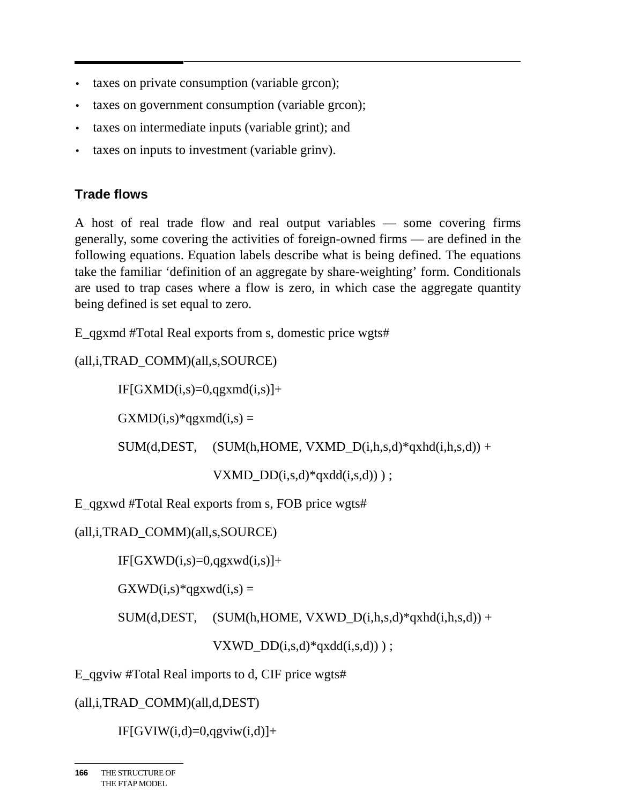- taxes on private consumption (variable grcon);
- taxes on government consumption (variable grcon);
- taxes on intermediate inputs (variable grint); and
- taxes on inputs to investment (variable grinv).

#### **Trade flows**

A host of real trade flow and real output variables — some covering firms generally, some covering the activities of foreign-owned firms — are defined in the following equations. Equation labels describe what is being defined. The equations take the familiar 'definition of an aggregate by share-weighting' form. Conditionals are used to trap cases where a flow is zero, in which case the aggregate quantity being defined is set equal to zero.

E\_qgxmd #Total Real exports from s, domestic price wgts#

(all,i,TRAD\_COMM)(all,s,SOURCE)

 $IF[GXMD(i,s)=0, qgxmd(i,s)]+$ 

 $GXMD(i,s)*qgxmd(i,s) =$ 

 $SUM(d,DEST, (SUM(h,HOME, VXMD_D(i,h,s,d)*qxhd(i,h,s,d)) +$ 

VXMD\_DD $(i,s,d)*qxdd(i,s,d))$  );

E\_qgxwd #Total Real exports from s, FOB price wgts#

(all,i,TRAD\_COMM)(all,s,SOURCE)

 $IF[GXWD(i,s)=0, qgxwd(i,s)]+$ 

 $GXWD(i,s)*qgxwd(i,s) =$ 

 $SUM(d,DEST, (SUM(h,HOME, VXWD\_D(i,h,s,d)*qxhd(i,h,s,d)) +$ 

 $VXWD\_DD(i,s,d)*qxdd(i,s,d))$  );

E\_qgviw #Total Real imports to d, CIF price wgts#

(all,i,TRAD\_COMM)(all,d,DEST)

 $IF[GVIW(i,d)=0, qgviw(i,d)]+$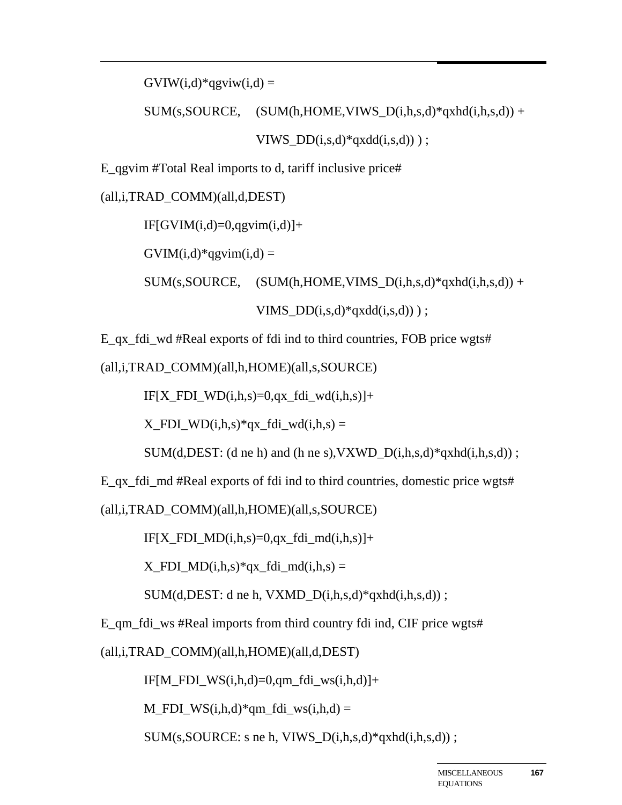$GVIW(i,d)*qgviW(i,d) =$ 

 $SUM(s, SOLRCE, (SUM(h,HOME, VIWS_D(i,h,s,d)*qxhd(i,h,s,d)) +$ 

VIWS\_DD $(i,s,d)*qxdd(i,s,d))$  );

E\_qgvim #Total Real imports to d, tariff inclusive price#

(all,i,TRAD\_COMM)(all,d,DEST)

 $IF[GVIM(i,d)=0, qgvim(i,d)]+$ 

 $GVM(i,d)*qgvim(i,d) =$ 

 $SUM(s, SOLRCE, (SUM(h,HOME, VIMS_D(i,h,s,d)*qxhd(i,h,s,d)) +$ 

 $VIMS\_DD(i,s,d)*qxdd(i,s,d))$  );

E\_qx\_fdi\_wd #Real exports of fdi ind to third countries, FOB price wgts#

(all,i,TRAD\_COMM)(all,h,HOME)(all,s,SOURCE)

 $IF[X_FDI_WD(i,h,s)=0, qx_fdi_Wd(i,h,s)]+$ 

 $X_FDI_WD(i,h,s)*qx_fdi_wd(i,h,s) =$ 

SUM(d, DEST: (d ne h) and (h ne s),  $VXWD\_D(i,h,s,d)*qxhd(i,h,s,d))$ ;

E\_qx\_fdi\_md #Real exports of fdi ind to third countries, domestic price wgts#

(all,i,TRAD\_COMM)(all,h,HOME)(all,s,SOURCE)

 $IF[X_FDI_MD(i,h,s)=0, qx_fdi_M(i,h,s)]+$ 

 $X_FDI_MD(i,h,s)*qx_fdi_M(i,h,s) =$ 

 $SUM(d,DEST: d, ne, h, VXMD_D(i,h,s,d)*qxhd(i,h,s,d));$ 

E\_qm\_fdi\_ws #Real imports from third country fdi ind, CIF price wgts#

(all,i,TRAD\_COMM)(all,h,HOME)(all,d,DEST)

 $IF[M_FDI_WS(i,h,d)=0,qm_fdi_ws(i,h,d)]+$ 

M\_FDI\_WS $(i,h,d)$ \*qm\_fdi\_ws $(i,h,d)$  =

 $SUM(s, SOLRCE: s \neq h, VIWS_D(i,h,s,d)*qxhd(i,h,s,d));$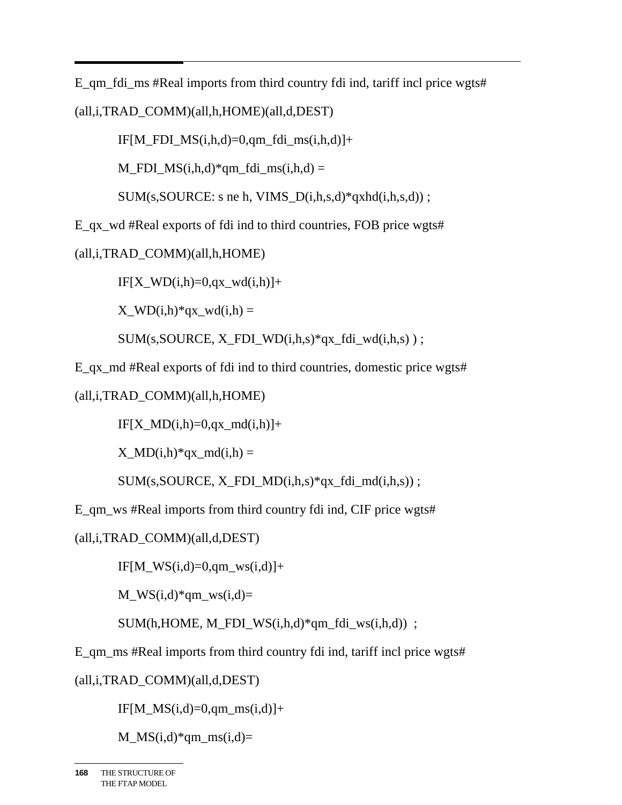E qm fdi ms #Real imports from third country fdi ind, tariff incl price wgts# (all,i,TRAD\_COMM)(all,h,HOME)(all,d,DEST)

 $IF[M_FDI_MS(i,h,d)=0,qm_fdi_ms(i,h,d)]+$ 

M\_FDI\_MS(i,h,d)\*qm\_fdi\_ms(i,h,d) =

 $SUM(s, SOLRCE: s \neq h, VIMS_D(i,h,s,d)*qxhd(i,h,s,d));$ 

E\_qx\_wd #Real exports of fdi ind to third countries, FOB price wgts#

(all,i,TRAD\_COMM)(all,h,HOME)

 $IF[X_WD(i,h)=0, qx_wd(i,h)]+$ 

 $X_WD(i,h)*qx_wd(i,h) =$ 

 $SUM(s, SOLRCE, X_FDI_WD(i,h,s)*qx_fdi_Wd(i,h,s)$  ;

E\_qx\_md #Real exports of fdi ind to third countries, domestic price wgts#

(all,i,TRAD\_COMM)(all,h,HOME)

 $IF[X_MD(i,h)=0, qx_md(i,h)]+$ 

 $X_MD(i,h)*qx_md(i,h) =$ 

 $SUM(s, SOLRCE, X_FDI_MD(i,h,s)*qx_fdi_Md(i,h,s));$ 

E qm ws #Real imports from third country fdi ind, CIF price wgts#

(all,i,TRAD\_COMM)(all,d,DEST)

 $IF[M_WS(i,d)=0,qm_Ws(i,d)]+$ 

 $M$ \_WS $(i,d)$ \*qm\_ws $(i,d)$ =

 $SUM(h,HOME, M_FDI_WS(i,h,d)*qm_fdi_ws(i,h,d))$ ;

E\_qm\_ms #Real imports from third country fdi ind, tariff incl price wgts#

(all,i,TRAD\_COMM)(all,d,DEST)

 $IF[M_MS(i,d)=0,qm_mss(i,d)]+$ 

 $M_MS(i,d)*qm_ms(i,d)=$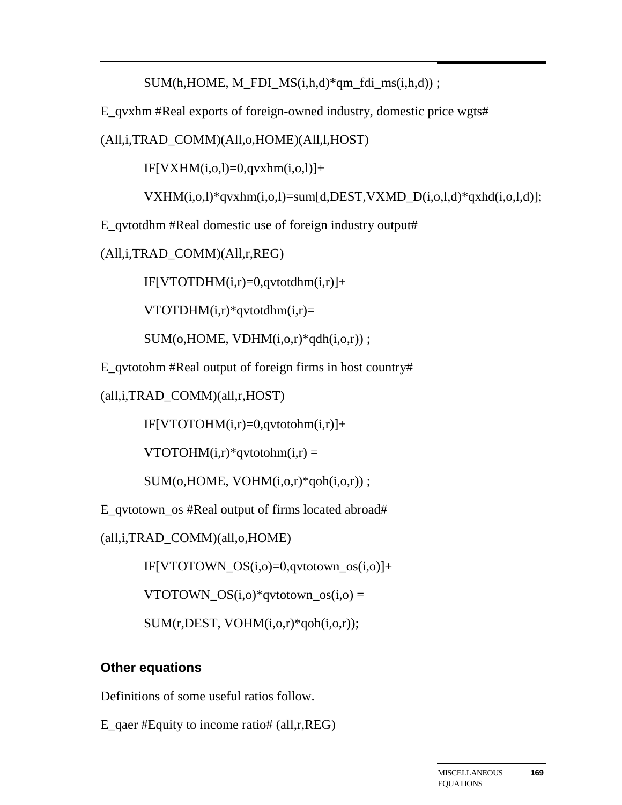$SUM(h, HOME, M_FDI_MS(i,h,d)*qm_fdi_msi(i,h,d));$ 

E\_qvxhm #Real exports of foreign-owned industry, domestic price wgts#

(All,i,TRAD\_COMM)(All,o,HOME)(All,l,HOST)

 $IF[VXHM(i,o,1)=0, qvxhm(i,o,1)]+$ 

 $VXHM(i,o,1)*qvxhm(i,o,1)=sum[d,DEST,VXMD_D(i,o,1,d)*qxhd(i,o,1,d)];$ 

E\_qvtotdhm #Real domestic use of foreign industry output#

(All,i,TRAD\_COMM)(All,r,REG)

 $IF[VTOTDHM(i,r)=0, qvtotdhm(i,r)]+$ 

 $VTOTDHM(i,r)*qvtotdhm(i,r)=$ 

 $SUM(o, HOME, VDHM(i,o,r)*qdh(i,o,r))$ ;

E\_qvtotohm #Real output of foreign firms in host country#

(all,i,TRAD\_COMM)(all,r,HOST)

 $IF[VTOTOHM(i,r)=0, qvtotohm(i,r)]+$ 

 $VTOTOHM(i,r)*qvtotohm(i,r) =$ 

 $SUM(o, HOME, VOHM(i,o,r)*qoh(i,o,r))$ ;

E\_qvtotown\_os #Real output of firms located abroad#

(all,i,TRAD\_COMM)(all,o,HOME)

IF[VTOTOWN\_OS(i,o)=0,qvtotown\_os(i,o)]+

 $VTOTOWN_OS(i,o)*qvtotown\_os(i,o) =$ 

SUM $(r,$ DEST, VOHM $(i, o, r)$ \*qoh $(i, o, r)$ ;

#### **Other equations**

Definitions of some useful ratios follow.

E\_qaer #Equity to income ratio# (all,r,REG)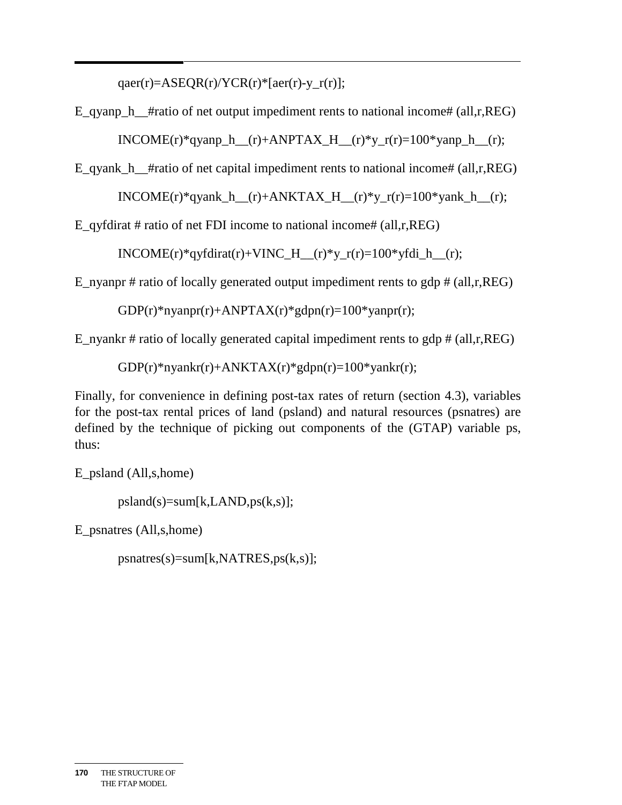qaer(r)= $ASEQR(r)/YCR(r)$ \*[aer(r)-y\_r(r)];

E\_qyanp\_h\_\_#ratio of net output impediment rents to national income# (all,r,REG)

INCOME(r)\*qyanp\_h\_\_(r)+ANPTAX\_H\_\_(r)\*y\_r(r)=100\*yanp\_h\_\_(r);

E qyank h #ratio of net capital impediment rents to national income#  $(all,r,REG)$ 

INCOME $(r)$ <sup>\*</sup>qyank\_h\_(r)+ANKTAX\_H\_(r)<sup>\*</sup>y\_r(r)=100<sup>\*</sup>yank\_h\_(r);

E\_qyfdirat # ratio of net FDI income to national income#  $all,r,REG)$ 

INCOME $(r)^*$ qyfdirat $(r)+$ VINC H  $(r)^*$ y r $(r)=100^*$ yfdi h  $(r);$ 

E nyanpr # ratio of locally generated output impediment rents to gdp  $\#$  (all,r,REG)

GDP(r)\*nyanpr(r)+ANPTAX(r)\*gdpn(r)=100\*yanpr(r);

E\_nyankr # ratio of locally generated capital impediment rents to gdp # (all,r,REG)

GDP(r)\*nyankr(r)+ANKTAX(r)\*gdpn(r)=100\*yankr(r);

Finally, for convenience in defining post-tax rates of return (section 4.3), variables for the post-tax rental prices of land (psland) and natural resources (psnatres) are defined by the technique of picking out components of the (GTAP) variable ps, thus:

E\_psland (All,s,home)

 $psland(s)=sum[k,LAND,ps(k,s)]$ ;

E\_psnatres (All,s,home)

psnatres(s)=sum[k,NATRES,ps(k,s)];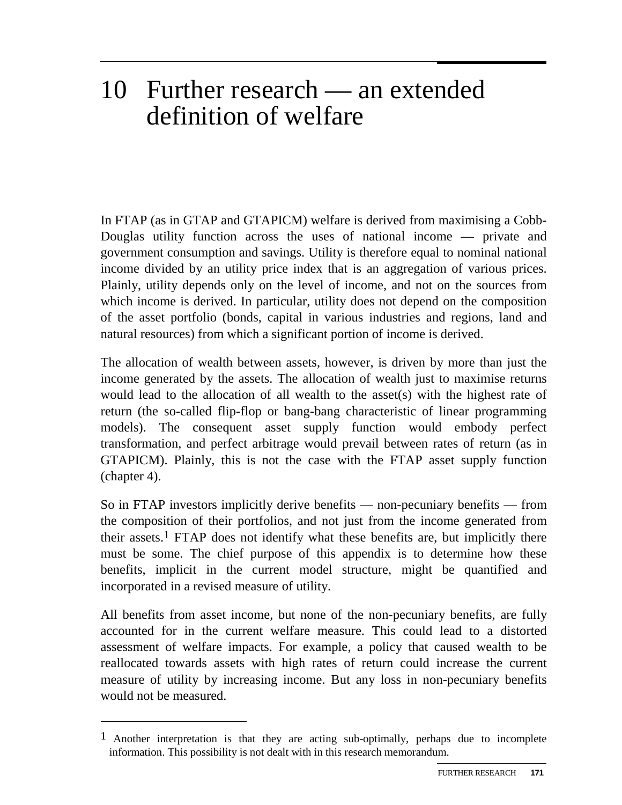## 10 Further research — an extended definition of welfare

In FTAP (as in GTAP and GTAPICM) welfare is derived from maximising a Cobb-Douglas utility function across the uses of national income — private and government consumption and savings. Utility is therefore equal to nominal national income divided by an utility price index that is an aggregation of various prices. Plainly, utility depends only on the level of income, and not on the sources from which income is derived. In particular, utility does not depend on the composition of the asset portfolio (bonds, capital in various industries and regions, land and natural resources) from which a significant portion of income is derived.

The allocation of wealth between assets, however, is driven by more than just the income generated by the assets. The allocation of wealth just to maximise returns would lead to the allocation of all wealth to the asset(s) with the highest rate of return (the so-called flip-flop or bang-bang characteristic of linear programming models). The consequent asset supply function would embody perfect transformation, and perfect arbitrage would prevail between rates of return (as in GTAPICM). Plainly, this is not the case with the FTAP asset supply function (chapter 4).

So in FTAP investors implicitly derive benefits — non-pecuniary benefits — from the composition of their portfolios, and not just from the income generated from their assets.<sup>1</sup> FTAP does not identify what these benefits are, but implicitly there must be some. The chief purpose of this appendix is to determine how these benefits, implicit in the current model structure, might be quantified and incorporated in a revised measure of utility.

All benefits from asset income, but none of the non-pecuniary benefits, are fully accounted for in the current welfare measure. This could lead to a distorted assessment of welfare impacts. For example, a policy that caused wealth to be reallocated towards assets with high rates of return could increase the current measure of utility by increasing income. But any loss in non-pecuniary benefits would not be measured.

 $\overline{a}$ 

<sup>&</sup>lt;sup>1</sup> Another interpretation is that they are acting sub-optimally, perhaps due to incomplete information. This possibility is not dealt with in this research memorandum.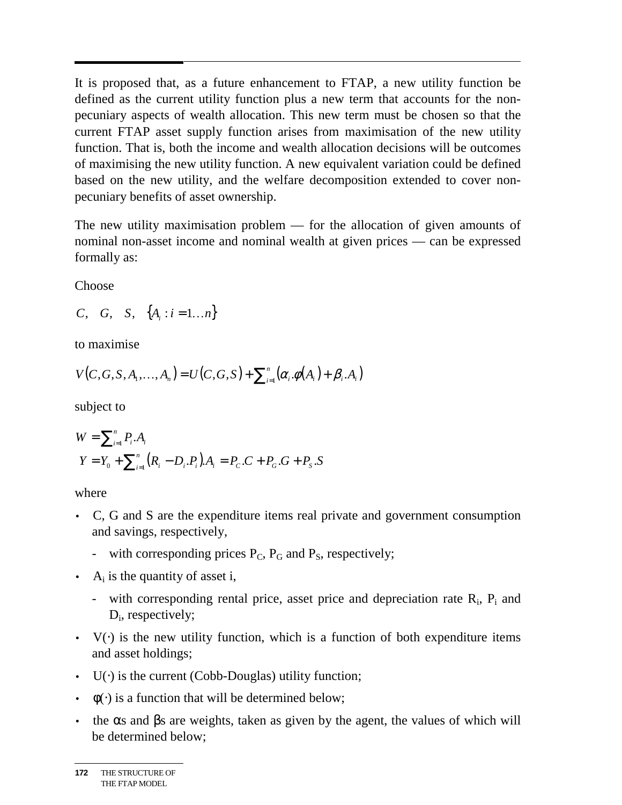It is proposed that, as a future enhancement to FTAP, a new utility function be defined as the current utility function plus a new term that accounts for the nonpecuniary aspects of wealth allocation. This new term must be chosen so that the current FTAP asset supply function arises from maximisation of the new utility function. That is, both the income and wealth allocation decisions will be outcomes of maximising the new utility function. A new equivalent variation could be defined based on the new utility, and the welfare decomposition extended to cover nonpecuniary benefits of asset ownership.

The new utility maximisation problem — for the allocation of given amounts of nominal non-asset income and nominal wealth at given prices — can be expressed formally as:

Choose

*C*, *G*, *S*,  ${A_i : i = 1...n}$ 

to maximise

$$
V(C, G, S, A_1, \ldots, A_n) = U(C, G, S) + \sum_{i=1}^n (\alpha_i \phi(A_i) + \beta_i A_i)
$$

subject to

$$
W = \sum_{i=1}^{n} P_i A_i
$$
  
 
$$
Y = Y_0 + \sum_{i=1}^{n} (R_i - D_i P_i) A_i = P_C . C + P_G . G + P_S . S
$$

where

- C, G and S are the expenditure items real private and government consumption and savings, respectively,
	- with corresponding prices  $P_C$ ,  $P_G$  and  $P_S$ , respectively;
- $A_i$  is the quantity of asset i,
	- with corresponding rental price, asset price and depreciation rate  $R_i$ ,  $P_i$  and D<sub>i</sub>, respectively;
- $V(\cdot)$  is the new utility function, which is a function of both expenditure items and asset holdings;
- $U(\cdot)$  is the current (Cobb-Douglas) utility function;
- $\phi(\cdot)$  is a function that will be determined below;
- the  $\alpha$ s and  $\beta$ s are weights, taken as given by the agent, the values of which will be determined below;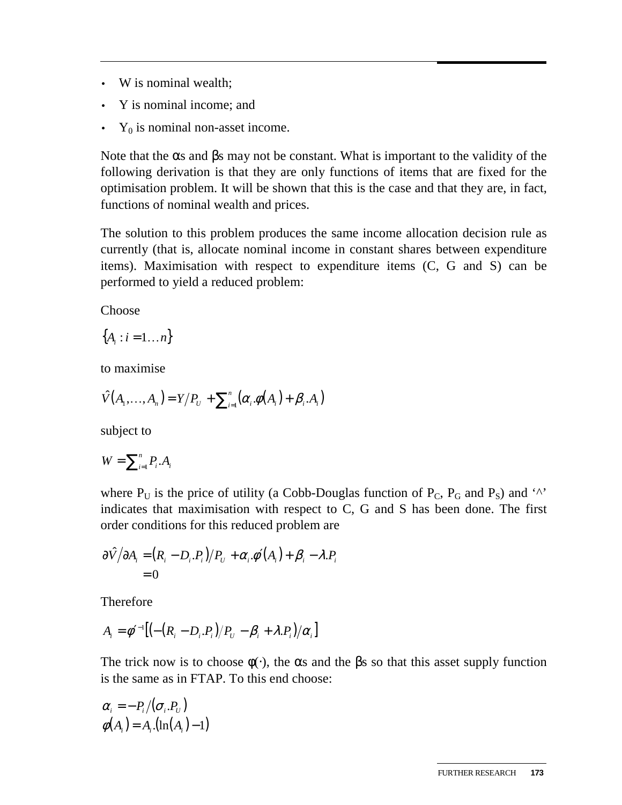- W is nominal wealth;
- Y is nominal income; and
- $Y_0$  is nominal non-asset income.

Note that the αs and βs may not be constant. What is important to the validity of the following derivation is that they are only functions of items that are fixed for the optimisation problem. It will be shown that this is the case and that they are, in fact, functions of nominal wealth and prices.

The solution to this problem produces the same income allocation decision rule as currently (that is, allocate nominal income in constant shares between expenditure items). Maximisation with respect to expenditure items (C, G and S) can be performed to yield a reduced problem:

Choose

$$
\{A_i : i = 1 \dots n\}
$$

to maximise

$$
\hat{V}(A_1,\ldots,A_n)=Y/P_{U}+\sum_{i=1}^n(\alpha_i.\phi(A_i)+\beta_i.A_i)
$$

subject to

$$
W = \sum_{i=1}^n P_i.A_i
$$

where  $P_U$  is the price of utility (a Cobb-Douglas function of  $P_C$ ,  $P_G$  and  $P_S$ ) and '^' indicates that maximisation with respect to C, G and S has been done. The first order conditions for this reduced problem are

$$
\frac{\partial \hat{V}}{\partial A_i} = (R_i - D_i.P_i)/P_U + \alpha_i.\phi'(A_i) + \beta_i - \lambda.P_i
$$
  
= 0

Therefore

$$
A_i = \phi'^{-1}\big[ \big( -\big(R_i - D_i P_i\big)/P_U - \beta_i + \lambda P_i\big)/\alpha_i \big]
$$

The trick now is to choose  $\phi(\cdot)$ , the  $\alpha s$  and the  $\beta s$  so that this asset supply function is the same as in FTAP. To this end choose:

$$
\alpha_i = -P_i/(\sigma_i.P_{\scriptscriptstyle U})
$$
  

$$
\phi(A_i) = A_i.(\ln(A_i) - 1)
$$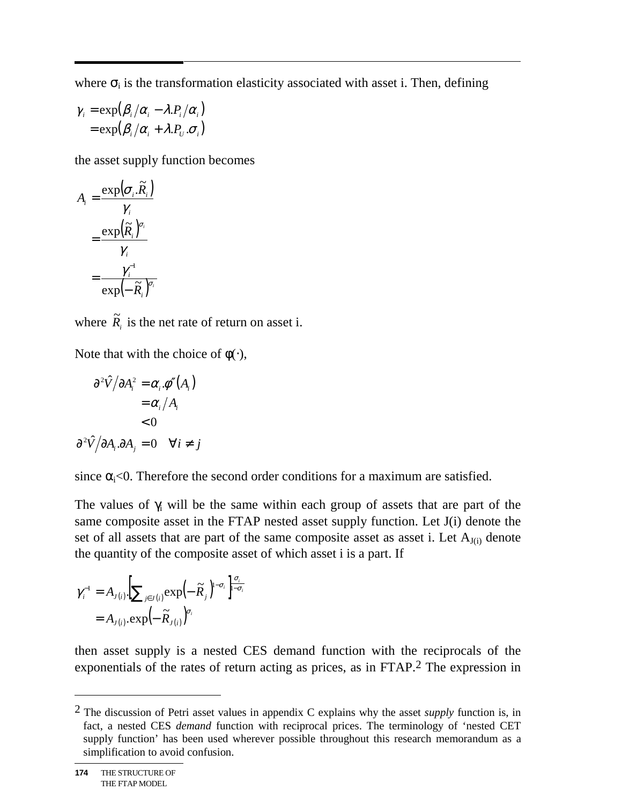where  $\sigma_i$  is the transformation elasticity associated with asset i. Then, defining

$$
\gamma_i = \exp(\beta_i/\alpha_i - \lambda P_i/\alpha_i)
$$
  
= 
$$
\exp(\beta_i/\alpha_i + \lambda P_i \sigma_i)
$$

the asset supply function becomes

$$
A_i = \frac{\exp(\sigma_i \cdot \widetilde{R}_i)}{\gamma_i}
$$
  
= 
$$
\frac{\exp(\widetilde{R}_i)^{\sigma_i}}{\gamma_i}
$$
  
= 
$$
\frac{\gamma_i^{-1}}{\exp(-\widetilde{R}_i)^{\sigma_i}}
$$

where  $\tilde{R}_i$  is the net rate of return on asset i.

Note that with the choice of  $\phi(\cdot)$ ,

$$
\frac{\partial^2 \hat{V}}{\partial A_i^2} = \alpha_i \phi''(A_i)
$$
  
=  $\alpha_i / A_i$   
<  $0$   
 $\frac{\partial^2 \hat{V}}{\partial A_i \partial A_j} = 0 \quad \forall i \neq j$ 

since  $\alpha$  < 0. Therefore the second order conditions for a maximum are satisfied.

The values of  $\gamma_i$  will be the same within each group of assets that are part of the same composite asset in the FTAP nested asset supply function. Let J(i) denote the set of all assets that are part of the same composite asset as asset i. Let  $A_{J(i)}$  denote the quantity of the composite asset of which asset i is a part. If

$$
\gamma_i^{-1} = A_{J(i)} \cdot \left[ \sum_{j \in J(i)} \exp\left(-\widetilde{R}_j\right)^{1-\sigma_i} \right]_{-\sigma_i}^{\sigma_i}
$$

$$
= A_{J(i)} \cdot \exp\left(-\widetilde{R}_{J(i)}\right)^{\sigma_i}
$$

then asset supply is a nested CES demand function with the reciprocals of the exponentials of the rates of return acting as prices, as in FTAP.2 The expression in

 $\overline{a}$ 

<sup>2</sup> The discussion of Petri asset values in appendix C explains why the asset *supply* function is, in fact, a nested CES *demand* function with reciprocal prices. The terminology of 'nested CET supply function' has been used wherever possible throughout this research memorandum as a simplification to avoid confusion.

**<sup>174</sup>** THE STRUCTURE OF THE FTAP MODEL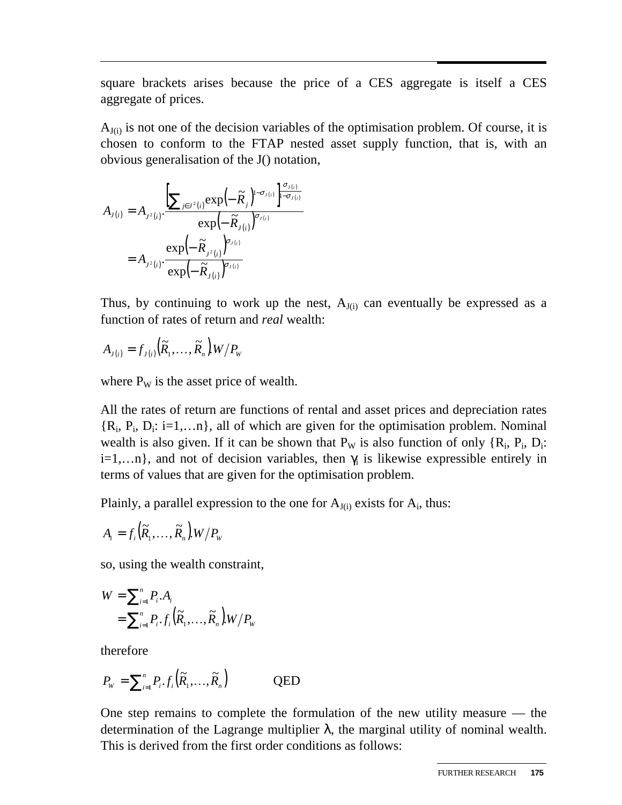square brackets arises because the price of a CES aggregate is itself a CES aggregate of prices.

 $A_{J(i)}$  is not one of the decision variables of the optimisation problem. Of course, it is chosen to conform to the FTAP nested asset supply function, that is, with an obvious generalisation of the J() notation,

$$
A_{J(i)} = A_{J^{2}(i)} \cdot \frac{\left[\sum_{j \in J^{2}(i)} exp\left(-\widetilde{R}_{j}\right)^{1-\sigma_{J(i)}}\right]^{-\sigma_{J(i)}}}{exp\left(-\widetilde{R}_{J(i)}\right)^{\sigma_{J(i)}}}
$$

$$
= A_{J^{2}(i)} \cdot \frac{exp\left(-\widetilde{R}_{J^{2}(i)}\right)^{\sigma_{J(i)}}}{exp\left(-\widetilde{R}_{J(i)}\right)^{\sigma_{J(i)}}}
$$

Thus, by continuing to work up the nest,  $A_{J(i)}$  can eventually be expressed as a function of rates of return and *real* wealth:

$$
A_{J(i)} = f_{J(i)}(\widetilde{R}_1,\ldots,\widetilde{R}_n)W/P_{W}
$$

where  $P_W$  is the asset price of wealth.

All the rates of return are functions of rental and asset prices and depreciation rates  ${R_i, P_i, D_i: i=1,...n}$ , all of which are given for the optimisation problem. Nominal wealth is also given. If it can be shown that  $P_W$  is also function of only  $\{R_i, P_i, D_i\}$ : i=1,...n}, and not of decision variables, then  $\gamma_i$  is likewise expressible entirely in terms of values that are given for the optimisation problem.

Plainly, a parallel expression to the one for  $A_{J(i)}$  exists for  $A_i$ , thus:

$$
A_i = f_i(\widetilde{R}_1, \ldots, \widetilde{R}_n) W / P_w
$$

so, using the wealth constraint,

$$
W = \sum_{i=1}^{n} P_i A_i
$$
  
= 
$$
\sum_{i=1}^{n} P_i f_i \left( \widetilde{R}_1, \ldots, \widetilde{R}_n \right) W / P_w
$$

therefore

$$
P_{W} = \sum_{i=1}^{n} P_{i} \cdot f_{i} \left( \widetilde{R}_{1}, \ldots, \widetilde{R}_{n} \right)
$$
 QED

One step remains to complete the formulation of the new utility measure — the determination of the Lagrange multiplier  $\lambda$ , the marginal utility of nominal wealth. This is derived from the first order conditions as follows: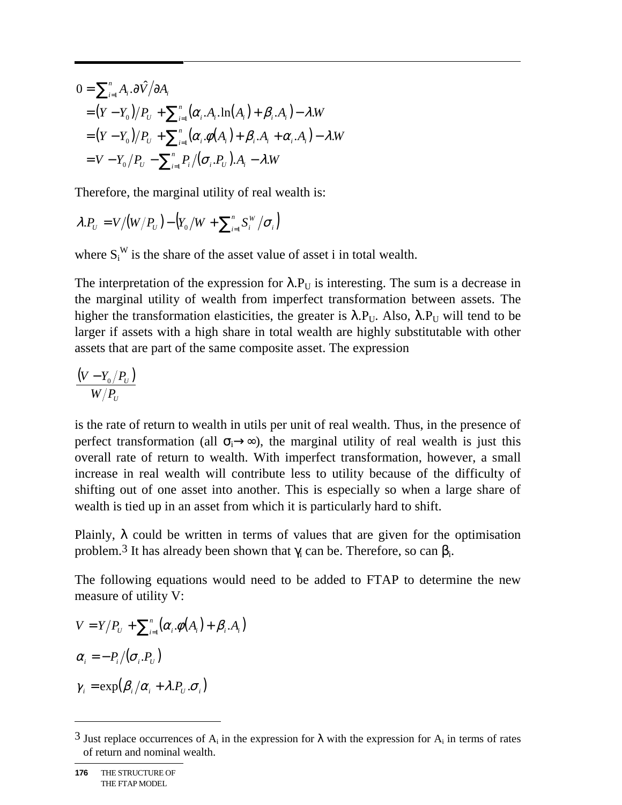$$
0 = \sum_{i=1}^{n} A_{i} \cdot \partial \hat{V} / \partial A_{i}
$$
  
=  $(Y - Y_{0}) / P_{U} + \sum_{i=1}^{n} (\alpha_{i} \cdot A_{i} \cdot \ln(A_{i}) + \beta_{i} \cdot A_{i}) - \lambda W$   
=  $(Y - Y_{0}) / P_{U} + \sum_{i=1}^{n} (\alpha_{i} \cdot \phi(A_{i}) + \beta_{i} \cdot A_{i} + \alpha_{i} \cdot A_{i}) - \lambda W$   
=  $V - Y_{0} / P_{U} - \sum_{i=1}^{n} P_{i} / (\sigma_{i} \cdot P_{U}) \cdot A_{i} - \lambda W$ 

Therefore, the marginal utility of real wealth is:

$$
\lambda.P_{\scriptscriptstyle U} = V/(W/P_{\scriptscriptstyle U}) - \left(Y_{\scriptscriptstyle 0}/W + \sum_{\scriptscriptstyle i=1}^n S_i^W/\sigma_i\right)
$$

where  $S_i^W$  is the share of the asset value of asset i in total wealth.

The interpretation of the expression for  $\lambda P_U$  is interesting. The sum is a decrease in the marginal utility of wealth from imperfect transformation between assets. The higher the transformation elasticities, the greater is  $\lambda.P_{U}$ . Also,  $\lambda.P_{U}$  will tend to be larger if assets with a high share in total wealth are highly substitutable with other assets that are part of the same composite asset. The expression

$$
\frac{\left(V-Y_{_0}/P_{_U}\right)}{W/P_{_U}}
$$

is the rate of return to wealth in utils per unit of real wealth. Thus, in the presence of perfect transformation (all  $\sigma_i \rightarrow \infty$ ), the marginal utility of real wealth is just this overall rate of return to wealth. With imperfect transformation, however, a small increase in real wealth will contribute less to utility because of the difficulty of shifting out of one asset into another. This is especially so when a large share of wealth is tied up in an asset from which it is particularly hard to shift.

Plainly,  $\lambda$  could be written in terms of values that are given for the optimisation problem.<sup>3</sup> It has already been shown that  $\gamma_i$  can be. Therefore, so can  $\beta_i$ .

The following equations would need to be added to FTAP to determine the new measure of utility V:

$$
V = Y/P_U + \sum_{i=1}^{n} (\alpha_i \phi(A_i) + \beta_i A_i)
$$
  
\n
$$
\alpha_i = -P_i/(\sigma_i.P_U)
$$
  
\n
$$
\gamma_i = \exp(\beta_i/\alpha_i + \lambda.P_U.\sigma_i)
$$

 $\overline{a}$ 

<sup>&</sup>lt;sup>3</sup> Just replace occurrences of A<sub>i</sub> in the expression for  $\lambda$  with the expression for A<sub>i</sub> in terms of rates of return and nominal wealth.

**<sup>176</sup>** THE STRUCTURE OF THE FTAP MODEL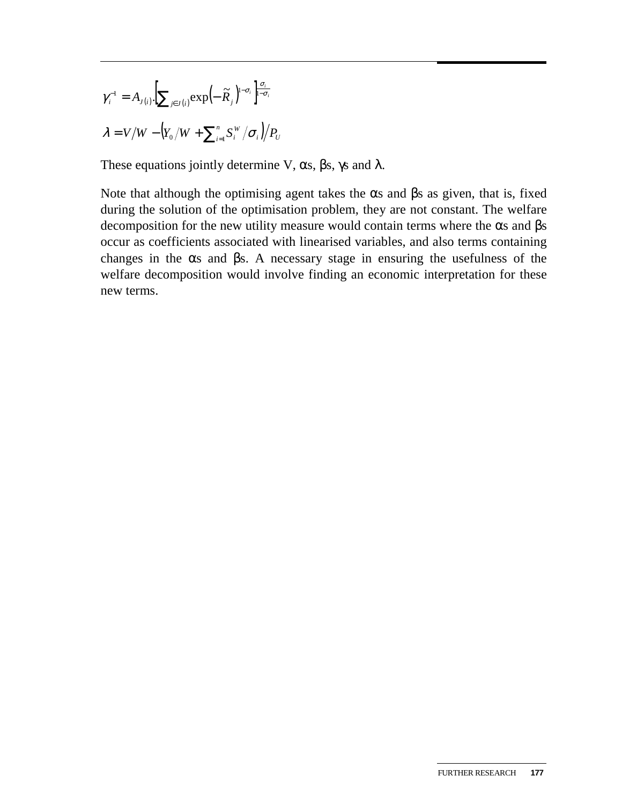$$
\gamma_i^{-1} = A_{J(i)} \cdot \left[ \sum_{j \in J(i)} \exp\left(-\widetilde{R}_j\right)^{1-\sigma_i} \right]_{-\sigma_i}^{\sigma_i}
$$

$$
\lambda = V/W - \left( Y_0/W + \sum_{i=1}^n S_i^W / \sigma_i \right) / P_U
$$

These equations jointly determine V,  $\alpha$ s,  $\beta$ s,  $\gamma$ s and  $\lambda$ .

Note that although the optimising agent takes the  $\alpha s$  and  $\beta s$  as given, that is, fixed during the solution of the optimisation problem, they are not constant. The welfare decomposition for the new utility measure would contain terms where the  $\alpha s$  and  $\beta s$ occur as coefficients associated with linearised variables, and also terms containing changes in the  $\alpha s$  and  $\beta s$ . A necessary stage in ensuring the usefulness of the welfare decomposition would involve finding an economic interpretation for these new terms.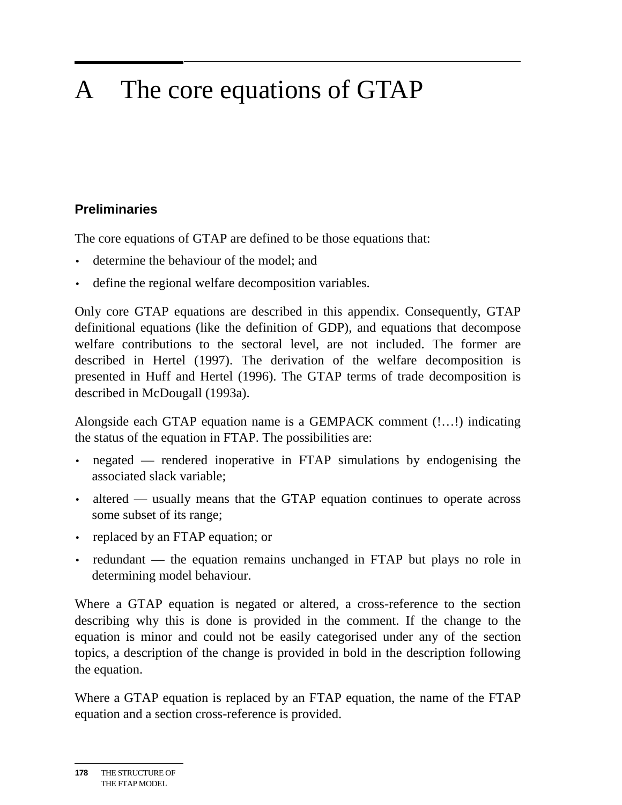# A The core equations of GTAP

#### **Preliminaries**

The core equations of GTAP are defined to be those equations that:

- determine the behaviour of the model; and
- define the regional welfare decomposition variables.

Only core GTAP equations are described in this appendix. Consequently, GTAP definitional equations (like the definition of GDP), and equations that decompose welfare contributions to the sectoral level, are not included. The former are described in Hertel (1997). The derivation of the welfare decomposition is presented in Huff and Hertel (1996). The GTAP terms of trade decomposition is described in McDougall (1993a).

Alongside each GTAP equation name is a GEMPACK comment (!…!) indicating the status of the equation in FTAP. The possibilities are:

- negated rendered inoperative in FTAP simulations by endogenising the associated slack variable;
- altered usually means that the GTAP equation continues to operate across some subset of its range;
- replaced by an FTAP equation; or
- redundant the equation remains unchanged in FTAP but plays no role in determining model behaviour.

Where a GTAP equation is negated or altered, a cross-reference to the section describing why this is done is provided in the comment. If the change to the equation is minor and could not be easily categorised under any of the section topics, a description of the change is provided in bold in the description following the equation.

Where a GTAP equation is replaced by an FTAP equation, the name of the FTAP equation and a section cross-reference is provided.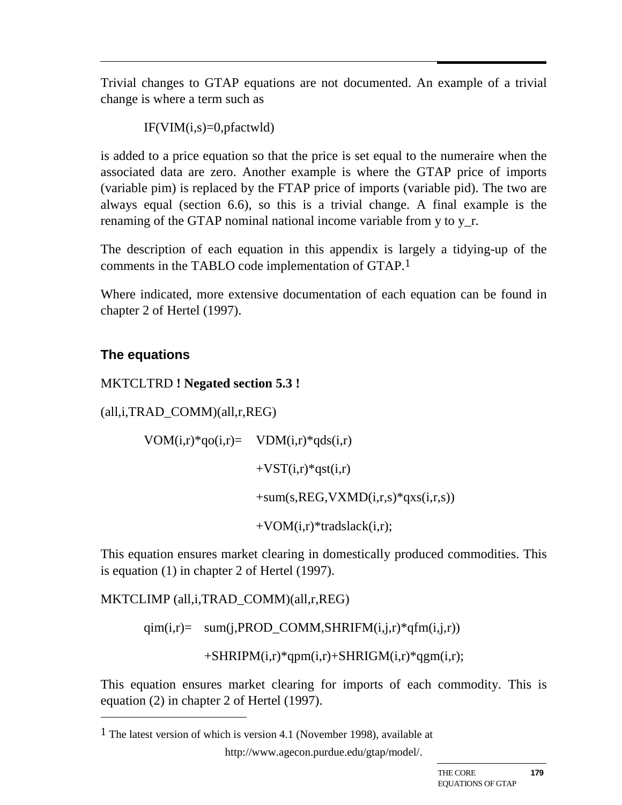Trivial changes to GTAP equations are not documented. An example of a trivial change is where a term such as

 $IF(VIM(i,s)=0,pfactwld)$ 

is added to a price equation so that the price is set equal to the numeraire when the associated data are zero. Another example is where the GTAP price of imports (variable pim) is replaced by the FTAP price of imports (variable pid). The two are always equal (section 6.6), so this is a trivial change. A final example is the renaming of the GTAP nominal national income variable from y to y\_r.

The description of each equation in this appendix is largely a tidying-up of the comments in the TABLO code implementation of GTAP.1

Where indicated, more extensive documentation of each equation can be found in chapter 2 of Hertel (1997).

#### **The equations**

 $\overline{a}$ 

MKTCLTRD **! Negated section 5.3 !**

(all,i,TRAD\_COMM)(all,r,REG)

 $VOM(i,r)*qo(i,r)= VDM(i,r)*qds(i,r)$ 

 $+VST(i,r)*qst(i,r)$ 

 $+sum(s, REG, VXMD(i,r,s)*qxs(i,r,s))$ 

 $+VOM(i,r)*tradslack(i,r);$ 

This equation ensures market clearing in domestically produced commodities. This is equation (1) in chapter 2 of Hertel (1997).

MKTCLIMP (all,i,TRAD\_COMM)(all,r,REG)

 $qim(i,r) = sum(j, PROD\_COMM, SHRIFM(i,j,r)*qfm(i,j,r))$ 

 $+SHRIPM(i,r)*qpm(i,r)+SHRIGM(i,r)*qgm(i,r);$ 

This equation ensures market clearing for imports of each commodity. This is equation (2) in chapter 2 of Hertel (1997).

<sup>1</sup> The latest version of which is version 4.1 (November 1998), available at http://www.agecon.purdue.edu/gtap/model/.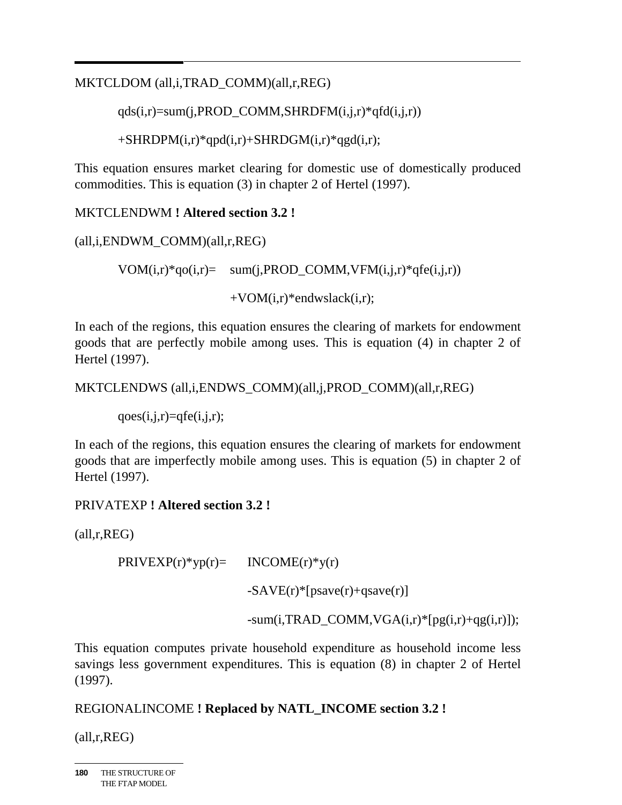#### MKTCLDOM (all,i,TRAD\_COMM)(all,r,REG)

 $qds(i,r)=sum(j,PROD_{M,M,SHRDFM(i,j,r)}*qfd(i,j,r))$ 

 $+SHRDPM(i,r)*qpd(i,r)+SHRDGM(i,r)*qgd(i,r);$ 

This equation ensures market clearing for domestic use of domestically produced commodities. This is equation (3) in chapter 2 of Hertel (1997).

MKTCLENDWM **! Altered section 3.2 !**

```
(all,i,ENDWM_COMM)(all,r,REG)
```
 $VOM(i,r)*qo(i,r)=$  sum(i,PROD COMM,VFM $(i,j,r)*qfe(i,j,r)$ )

 $+VOM(i,r)*endwslack(i,r);$ 

In each of the regions, this equation ensures the clearing of markets for endowment goods that are perfectly mobile among uses. This is equation (4) in chapter 2 of Hertel (1997).

MKTCLENDWS (all,i,ENDWS\_COMM)(all,j,PROD\_COMM)(all,r,REG)

 $qoes(i,i,r)=qfe(i,i,r);$ 

In each of the regions, this equation ensures the clearing of markets for endowment goods that are imperfectly mobile among uses. This is equation (5) in chapter 2 of Hertel (1997).

PRIVATEXP **! Altered section 3.2 !**

 $(all,r,REG)$ 

 $PRIVEXP(r)*yp(r)=$   $INCOME(r)*y(r)$  $-SAVE(r)*[psave(r)+qsave(r)]$  $-sum(i,TRAD\_COMM, VGA(i,r)*[pg(i,r)+qg(i,r)]);$ 

This equation computes private household expenditure as household income less savings less government expenditures. This is equation (8) in chapter 2 of Hertel (1997).

REGIONALINCOME **! Replaced by NATL\_INCOME section 3.2 !**

(all,r,REG)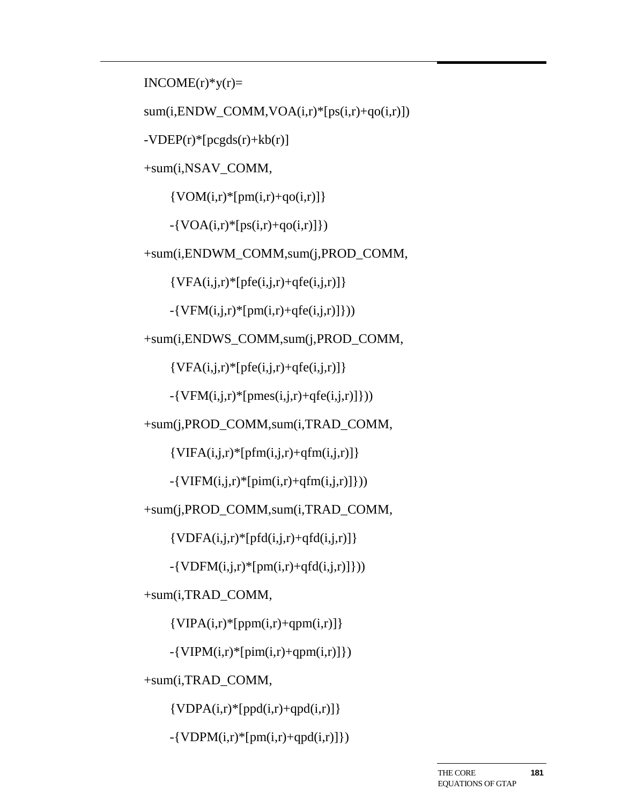```
INCOME(r)<sup>*</sup>y(r)=
```

```
sum(i, ENDW_COMM,VOA(i,r)*[ps(i,r)+qo(i,r)])
```
 $-VDEP(r)$ <sup>\*</sup>[pcgds(r)+kb(r)]

+sum(i,NSAV\_COMM,

 $\{VOM(i,r)*[pm(i,r)+qo(i,r)]\}$ 

 $-\{VOA(i,r)*[ps(i,r)+qo(i,r)]\})$ 

+sum(i,ENDWM\_COMM,sum(j,PROD\_COMM,

 $\{VFA(i,j,r)*[pfe(i,j,r)+qfe(i,j,r)]\}$ 

 $-\{VFM(i,j,r)*[pm(i,r)+qfe(i,j,r)]\})$ 

+sum(i,ENDWS\_COMM,sum(j,PROD\_COMM,

 $\{VFA(i,j,r)*[pfe(i,j,r)+qfe(i,j,r)]\}$ 

 $-\{VFM(i,j,r)*[pmes(i,j,r)+qfe(i,j,r)]\})$ 

+sum(j,PROD\_COMM,sum(i,TRAD\_COMM,

 $\{VIFA(i,j,r)*[pfm(i,j,r)+qfm(i,j,r)]\}$ 

 $-\{VIFM(i,j,r)*[pim(i,r)+qfm(i,j,r)]\})$ 

+sum(j,PROD\_COMM,sum(i,TRAD\_COMM,

 $\{VDFA(i,j,r)*[pfd(i,j,r)+qfd(i,j,r)]\}$ 

 $-\{VDFM(i,j,r)*[pm(i,r)+qfd(i,j,r)]\})$ 

+sum(i,TRAD\_COMM,

 $\{VIPA(i,r)*[ppm(i,r)+qpm(i,r)]\}$ 

 $-\{VIPM(i,r)*[pim(i,r)+qpm(i,r)]\}\$ 

+sum(i,TRAD\_COMM,

 $\{VDPA(i,r)*[ppd(i,r)+qpd(i,r)]\}$ 

 $-\{VDPM(i,r)*[pm(i,r)+qpd(i,r)]\})$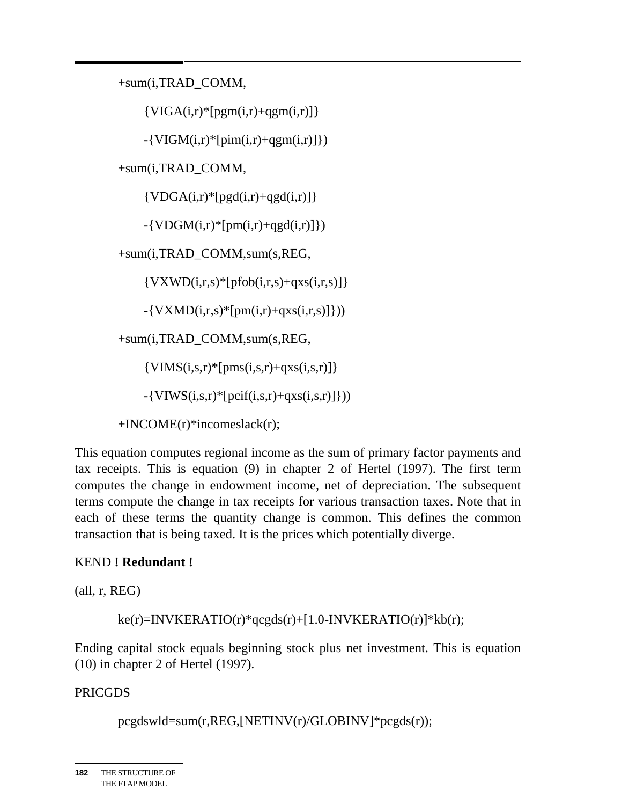```
+sum(i,TRAD_COMM,
```

```
\{VIGA(i,r)*[pgm(i,r)+qgm(i,r)]\}
```
 $-\{VIGM(i,r)*[pim(i,r)+qgm(i,r)]\}\$ 

+sum(i,TRAD\_COMM,

 $\{VDGA(i,r)*[pgd(i,r)+qgd(i,r)]\}$ 

 $-\{VDGM(i,r)*[pm(i,r)+qgd(i,r)]\}$ 

+sum(i,TRAD\_COMM,sum(s,REG,

 $\{VXWD(i,r,s)*[pfob(i,r,s)+qxs(i,r,s)]\}$ 

 $-\{VXMD(i,r,s)*[pm(i,r)+qxs(i,r,s)]\})$ 

+sum(i,TRAD\_COMM,sum(s,REG,

 $\{VIMS(i,s,r)*[pms(i,s,r)+qxs(i,s,r)]\}$ 

 $-\{VIWS(i,s,r)*[pcif(i,s,r)+qxs(i,s,r)]\})$ 

+INCOME(r)\*incomeslack(r);

This equation computes regional income as the sum of primary factor payments and tax receipts. This is equation (9) in chapter 2 of Hertel (1997). The first term computes the change in endowment income, net of depreciation. The subsequent terms compute the change in tax receipts for various transaction taxes. Note that in each of these terms the quantity change is common. This defines the common transaction that is being taxed. It is the prices which potentially diverge.

#### KEND **! Redundant !**

(all, r, REG)

```
ke(r)=INVKERATIO(r)*qcgds(r)+[1.0-INVKERATIO(r)*kb(r);
```
Ending capital stock equals beginning stock plus net investment. This is equation (10) in chapter 2 of Hertel (1997).

PRICGDS

pcgdswld=sum(r,REG,[NETINV(r)/GLOBINV]\*pcgds(r));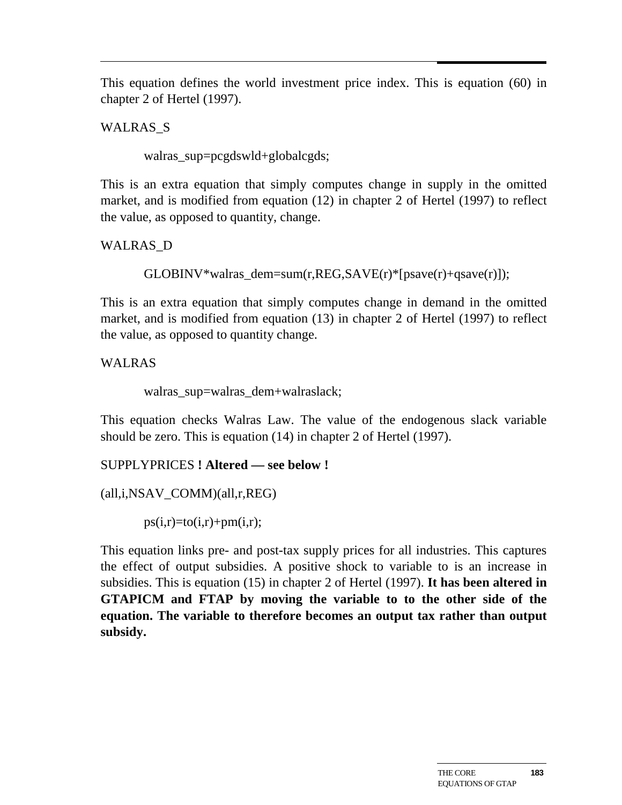This equation defines the world investment price index. This is equation (60) in chapter 2 of Hertel (1997).

WALRAS\_S

walras\_sup=pcgdswld+globalcgds;

This is an extra equation that simply computes change in supply in the omitted market, and is modified from equation (12) in chapter 2 of Hertel (1997) to reflect the value, as opposed to quantity, change.

WALRAS\_D

GLOBINV\*walras\_dem=sum(r,REG,SAVE(r)\*[psave(r)+qsave(r)]);

This is an extra equation that simply computes change in demand in the omitted market, and is modified from equation (13) in chapter 2 of Hertel (1997) to reflect the value, as opposed to quantity change.

WALRAS

walras\_sup=walras\_dem+walraslack;

This equation checks Walras Law. The value of the endogenous slack variable should be zero. This is equation (14) in chapter 2 of Hertel (1997).

SUPPLYPRICES **! Altered — see below !**

(all,i,NSAV\_COMM)(all,r,REG)

 $ps(i,r)=to(i,r)+pm(i,r);$ 

This equation links pre- and post-tax supply prices for all industries. This captures the effect of output subsidies. A positive shock to variable to is an increase in subsidies. This is equation (15) in chapter 2 of Hertel (1997). **It has been altered in GTAPICM and FTAP by moving the variable to to the other side of the equation. The variable to therefore becomes an output tax rather than output subsidy.**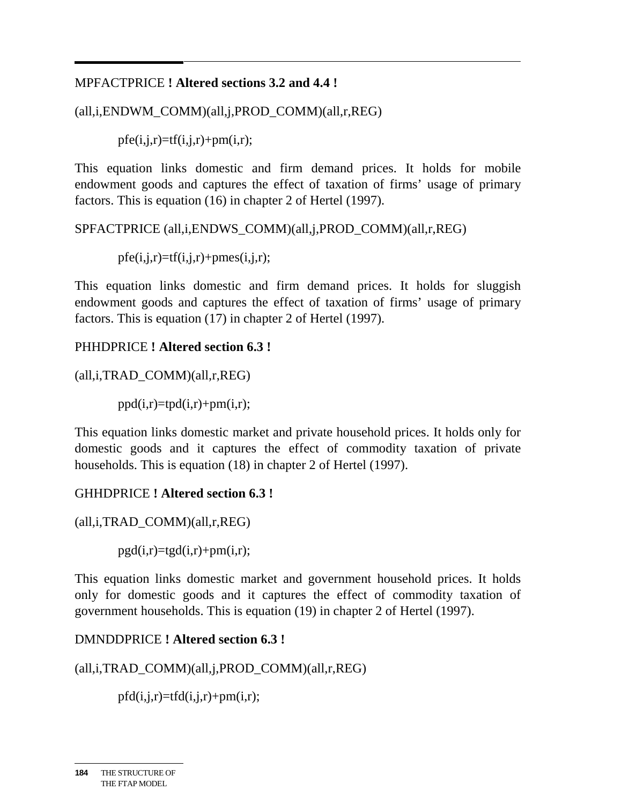#### MPFACTPRICE **! Altered sections 3.2 and 4.4 !**

#### (all,i,ENDWM\_COMM)(all,j,PROD\_COMM)(all,r,REG)

 $pfe(i,j,r)=tf(i,j,r)+pm(i,r);$ 

This equation links domestic and firm demand prices. It holds for mobile endowment goods and captures the effect of taxation of firms' usage of primary factors. This is equation (16) in chapter 2 of Hertel (1997).

#### SPFACTPRICE (all,i,ENDWS\_COMM)(all,j,PROD\_COMM)(all,r,REG)

 $pfe(i,j,r)=tf(i,j,r)+pmes(i,j,r);$ 

This equation links domestic and firm demand prices. It holds for sluggish endowment goods and captures the effect of taxation of firms' usage of primary factors. This is equation (17) in chapter 2 of Hertel (1997).

#### PHHDPRICE **! Altered section 6.3 !**

 $all,i, TRAD$   $COMM)(all,r,REG)$ 

 $ppd(i,r)=tpd(i,r)+pm(i,r);$ 

This equation links domestic market and private household prices. It holds only for domestic goods and it captures the effect of commodity taxation of private households. This is equation (18) in chapter 2 of Hertel (1997).

#### GHHDPRICE **! Altered section 6.3 !**

 $all,i, TRAD$   $COMM)(all,r,REG)$ 

 $pgd(i,r)=tgd(i,r)+pm(i,r);$ 

This equation links domestic market and government household prices. It holds only for domestic goods and it captures the effect of commodity taxation of government households. This is equation (19) in chapter 2 of Hertel (1997).

#### DMNDDPRICE **! Altered section 6.3 !**

 $all,i,TRAD$  COMM $)(all,i,PROD$  COMM $)(all,r,REG)$ 

 $pfd(i,j,r)=tfd(i,j,r)+pm(i,r);$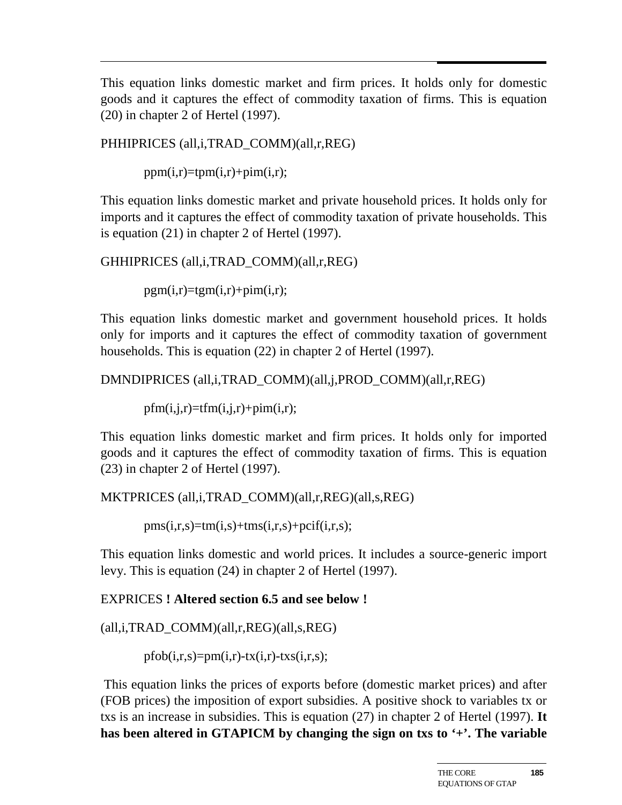This equation links domestic market and firm prices. It holds only for domestic goods and it captures the effect of commodity taxation of firms. This is equation (20) in chapter 2 of Hertel (1997).

PHHIPRICES (all,i,TRAD\_COMM)(all,r,REG)

 $ppm(i,r)=tpm(i,r)+pim(i,r);$ 

This equation links domestic market and private household prices. It holds only for imports and it captures the effect of commodity taxation of private households. This is equation (21) in chapter 2 of Hertel (1997).

GHHIPRICES (all,i,TRAD\_COMM)(all,r,REG)

 $pgm(i,r)=tgm(i,r)+pim(i,r);$ 

This equation links domestic market and government household prices. It holds only for imports and it captures the effect of commodity taxation of government households. This is equation (22) in chapter 2 of Hertel (1997).

DMNDIPRICES (all,i,TRAD\_COMM)(all,j,PROD\_COMM)(all,r,REG)

 $pfm(i,j,r)=tfm(i,j,r)+pim(i,r);$ 

This equation links domestic market and firm prices. It holds only for imported goods and it captures the effect of commodity taxation of firms. This is equation (23) in chapter 2 of Hertel (1997).

MKTPRICES (all,i,TRAD\_COMM)(all,r,REG)(all,s,REG)

 $pms(i,r,s)=tm(i,s)+tms(i,r,s)+pcif(i,r,s);$ 

This equation links domestic and world prices. It includes a source-generic import levy. This is equation (24) in chapter 2 of Hertel (1997).

#### EXPRICES **! Altered section 6.5 and see below !**

(all,i,TRAD\_COMM)(all,r,REG)(all,s,REG)

 $pfb(i,r,s)=pm(i,r)-tx(i,r)-tx(s(i,r,s));$ 

 This equation links the prices of exports before (domestic market prices) and after (FOB prices) the imposition of export subsidies. A positive shock to variables tx or txs is an increase in subsidies. This is equation (27) in chapter 2 of Hertel (1997). **It has been altered in GTAPICM by changing the sign on txs to '+'. The variable**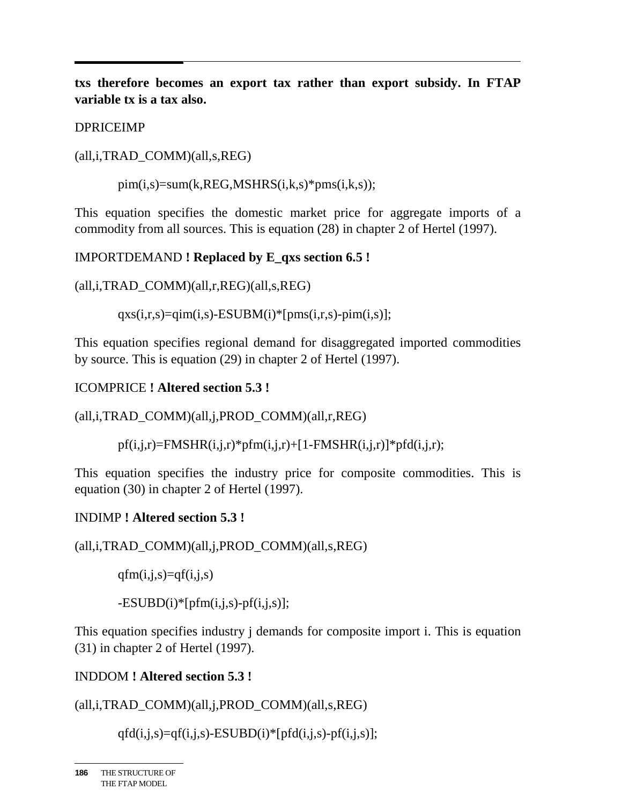**txs therefore becomes an export tax rather than export subsidy. In FTAP variable tx is a tax also.**

#### DPRICEIMP

(all,i,TRAD\_COMM)(all,s,REG)

 $pim(i,s)=sum(k,REG,MSHRS(i,k,s)*pms(i,k,s));$ 

This equation specifies the domestic market price for aggregate imports of a commodity from all sources. This is equation (28) in chapter 2 of Hertel (1997).

#### IMPORTDEMAND **! Replaced by E\_qxs section 6.5 !**

(all,i,TRAD\_COMM)(all,r,REG)(all,s,REG)

 $qxs(i,r,s)=qim(i,s)-ESUBM(i)*[pms(i,r,s)-pim(i,s)];$ 

This equation specifies regional demand for disaggregated imported commodities by source. This is equation (29) in chapter 2 of Hertel (1997).

#### ICOMPRICE **! Altered section 5.3 !**

(all,i,TRAD\_COMM)(all,j,PROD\_COMM)(all,r,REG)

 $pf(i,j,r)=FMSHR(i,j,r)*pfm(i,j,r)+[1-FMSHR(i,j,r)]*pfd(i,j,r);$ 

This equation specifies the industry price for composite commodities. This is equation (30) in chapter 2 of Hertel (1997).

#### INDIMP **! Altered section 5.3 !**

(all,i,TRAD\_COMM)(all,j,PROD\_COMM)(all,s,REG)

 $qfm(i,j,s)=qf(i,j,s)$ 

 $-ESUBD(i)*(pfm(i,j,s)-pf(i,j,s));$ 

This equation specifies industry j demands for composite import i. This is equation (31) in chapter 2 of Hertel (1997).

#### INDDOM **! Altered section 5.3 !**

```
all,i,TRAD COMM)(all,j,PROD COMM)(all,s,REG)
```
 $qfd(i,j,s)=qf(i,j,s)-ESUBD(i)*[pfd(i,j,s)-pf(i,j,s)]$ ;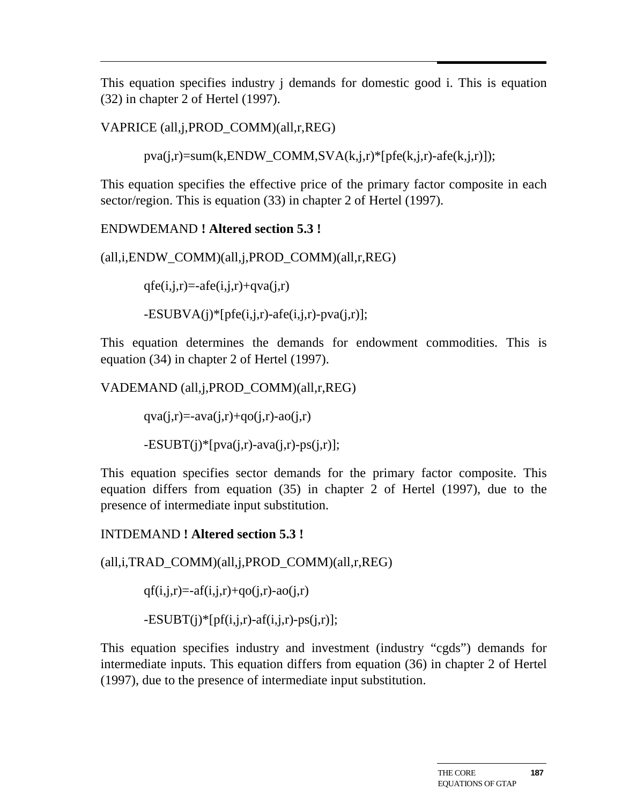This equation specifies industry j demands for domestic good i. This is equation (32) in chapter 2 of Hertel (1997).

VAPRICE (all,j,PROD\_COMM)(all,r,REG)

 $pva(j,r)=sum(k,ENDW\_COMM,SVA(k,j,r)*[pfe(k,j,r)-afe(k,j,r)]);$ 

This equation specifies the effective price of the primary factor composite in each sector/region. This is equation (33) in chapter 2 of Hertel (1997).

#### ENDWDEMAND **! Altered section 5.3 !**

(all,i,ENDW\_COMM)(all,j,PROD\_COMM)(all,r,REG)

 $qfe(i,j,r) = -afe(i,j,r) + qva(j,r)$ 

 $-ESUBVA(i)*[pfe(i,j,r)-afe(i,j,r)-pva(j,r)];$ 

This equation determines the demands for endowment commodities. This is equation (34) in chapter 2 of Hertel (1997).

VADEMAND (all,j,PROD\_COMM)(all,r,REG)

qva(j,r)=-ava(j,r)+qo(j,r)-ao(j,r)

 $-ESUBT(j)*[pva(j,r)-ava(j,r)-ps(j,r)];$ 

This equation specifies sector demands for the primary factor composite. This equation differs from equation (35) in chapter 2 of Hertel (1997), due to the presence of intermediate input substitution.

#### INTDEMAND **! Altered section 5.3 !**

(all,i,TRAD\_COMM)(all,j,PROD\_COMM)(all,r,REG)

qf(i,j,r)=-af(i,j,r)+qo(j,r)-ao(j,r)

 $-ESUBT(j)*[pf(i,j,r)-af(i,j,r)-ps(j,r)];$ 

This equation specifies industry and investment (industry "cgds") demands for intermediate inputs. This equation differs from equation (36) in chapter 2 of Hertel (1997), due to the presence of intermediate input substitution.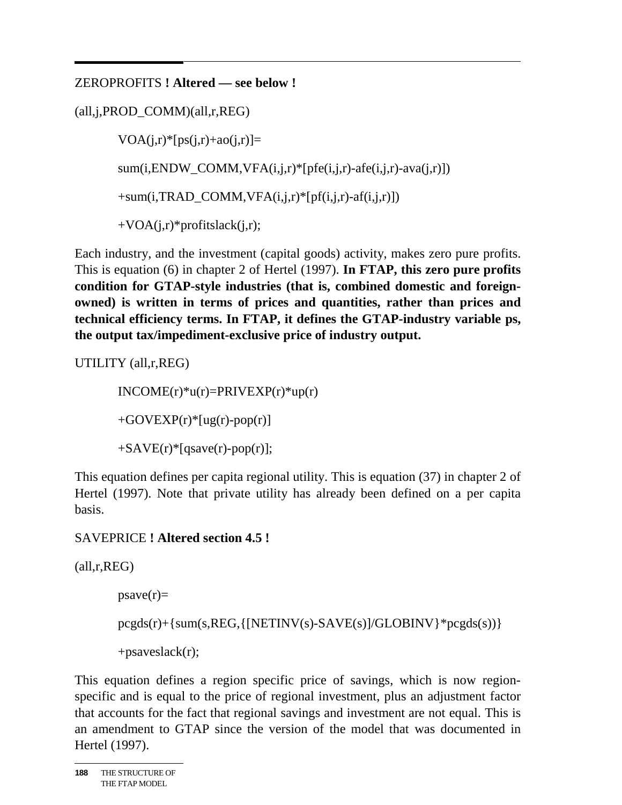#### ZEROPROFITS **! Altered — see below !**

(all,j,PROD\_COMM)(all,r,REG)

 $VOA(j,r)*[ps(j,r)+ao(j,r)] =$ sum(i,ENDW\_COMM,VFA $(i,j,r)$ \*[pfe $(i,j,r)$ -afe $(i,j,r)$ -ava $(j,r)$ ])  $+sum(i,TRAD\_COMM, VFA(i,j,r)*[pf(i,j,r)-af(i,j,r)])$  $+VOA(j,r)**profit*slack(j,r);$ 

Each industry, and the investment (capital goods) activity, makes zero pure profits. This is equation (6) in chapter 2 of Hertel (1997). **In FTAP, this zero pure profits condition for GTAP-style industries (that is, combined domestic and foreignowned) is written in terms of prices and quantities, rather than prices and technical efficiency terms. In FTAP, it defines the GTAP-industry variable ps, the output tax/impediment-exclusive price of industry output.**

UTILITY (all,r,REG)

 $INCOME(r)*u(r)=PRIVEXP(r)*up(r)$  $+GOVEXP(r)*[ug(r)-pop(r)]$  $+SAVE(r)$ <sup>\*</sup>[qsave(r)-pop(r)];

This equation defines per capita regional utility. This is equation (37) in chapter 2 of Hertel (1997). Note that private utility has already been defined on a per capita basis.

#### SAVEPRICE **! Altered section 4.5 !**

```
(all,r,REG)
```

```
psave(r) =pegds(r) + {sum(s, REG, {[NETINV(s)-SAVE(s)]/GLOBINV]} * pcgds(s))}+psaveslack(r);
```
This equation defines a region specific price of savings, which is now regionspecific and is equal to the price of regional investment, plus an adjustment factor that accounts for the fact that regional savings and investment are not equal. This is an amendment to GTAP since the version of the model that was documented in Hertel (1997).

**<sup>188</sup>** THE STRUCTURE OF THE FTAP MODEL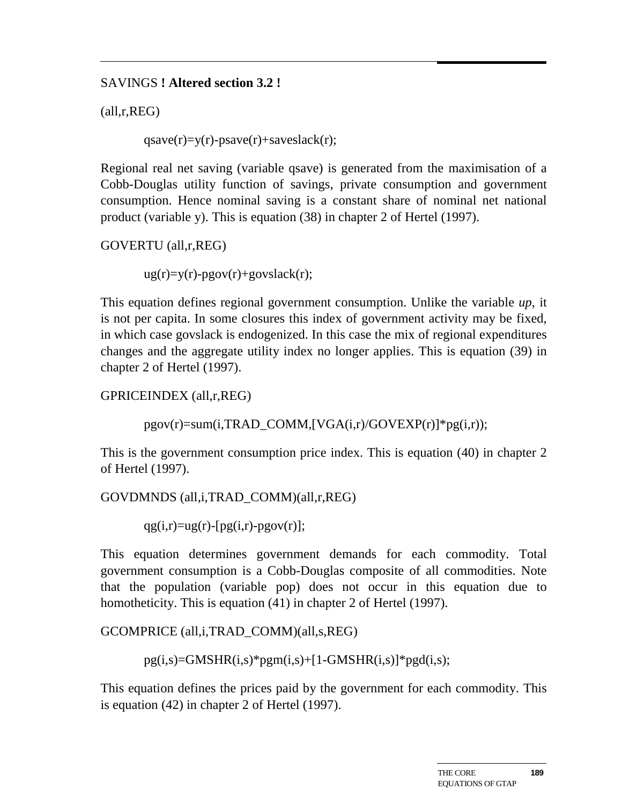#### SAVINGS **! Altered section 3.2 !**

 $(all,r, REG)$ 

qsave(r)=y(r)-psave(r)+saveslack(r);

Regional real net saving (variable qsave) is generated from the maximisation of a Cobb-Douglas utility function of savings, private consumption and government consumption. Hence nominal saving is a constant share of nominal net national product (variable y). This is equation (38) in chapter 2 of Hertel (1997).

GOVERTU (all,r,REG)

 $ug(r)=y(r)-pgov(r)+govslack(r);$ 

This equation defines regional government consumption. Unlike the variable *up*, it is not per capita. In some closures this index of government activity may be fixed, in which case govslack is endogenized. In this case the mix of regional expenditures changes and the aggregate utility index no longer applies. This is equation (39) in chapter 2 of Hertel (1997).

#### GPRICEINDEX (all,r,REG)

 $pgov(r)=sum(i,TRAD\_COMM,[VGA(i,r)/GOVEXP(r)]*pg(i,r));$ 

This is the government consumption price index. This is equation (40) in chapter 2 of Hertel (1997).

#### GOVDMNDS (all,i,TRAD\_COMM)(all,r,REG)

qg(i,r)=ug(r)- $[pg(i,r)-pgo(v(r)]$ ;

This equation determines government demands for each commodity. Total government consumption is a Cobb-Douglas composite of all commodities. Note that the population (variable pop) does not occur in this equation due to homotheticity. This is equation (41) in chapter 2 of Hertel (1997).

GCOMPRICE (all,i,TRAD\_COMM)(all,s,REG)

 $pg(i,s)=GMSHR(i,s)*pgm(i,s)+[1-GMSHR(i,s)]*pgd(i,s);$ 

This equation defines the prices paid by the government for each commodity. This is equation (42) in chapter 2 of Hertel (1997).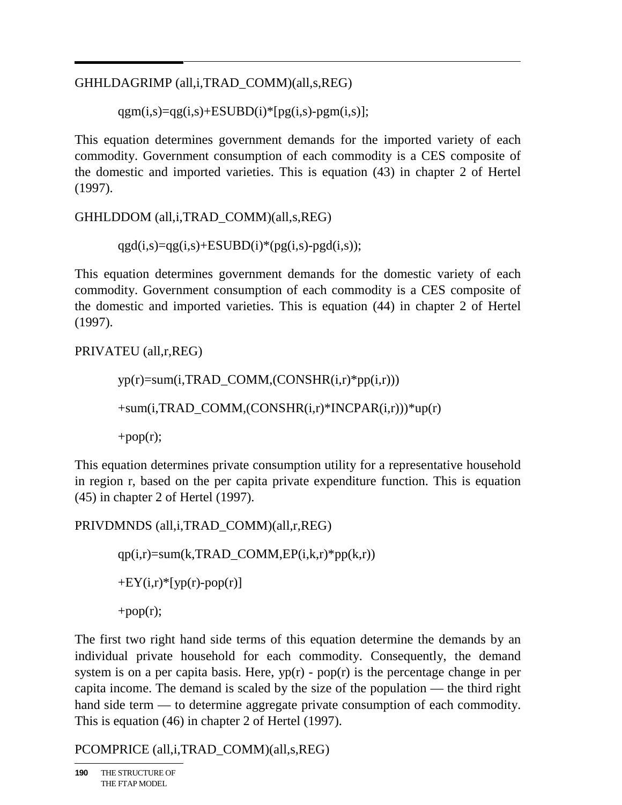GHHLDAGRIMP (all,i,TRAD\_COMM)(all,s,REG)

qgm(i,s)=qg(i,s)+ESUBD(i)\*[pg(i,s)-pgm(i,s)];

This equation determines government demands for the imported variety of each commodity. Government consumption of each commodity is a CES composite of the domestic and imported varieties. This is equation (43) in chapter 2 of Hertel (1997).

GHHLDDOM (all,i,TRAD\_COMM)(all,s,REG)

qgd(i,s)=qg(i,s)+ESUBD(i)\*(pg(i,s)-pgd(i,s));

This equation determines government demands for the domestic variety of each commodity. Government consumption of each commodity is a CES composite of the domestic and imported varieties. This is equation (44) in chapter 2 of Hertel (1997).

PRIVATEU (all,r,REG)

 $yp(r)=sum(i,TRAD\_COMM,(CONSHR(i,r)*pp(i,r)))$  $+sum(i,TRAD\_COMM,(CONSHR(i,r)*INCPAR(i,r)))$ \*up(r)  $+pop(r);$ 

This equation determines private consumption utility for a representative household in region r, based on the per capita private expenditure function. This is equation (45) in chapter 2 of Hertel (1997).

PRIVDMNDS (all,i,TRAD\_COMM)(all,r,REG)

 $qp(i,r)=sum(k,TRAD\_COMM,EP(i,k,r)*pp(k,r))$  $+EY(i,r)$ <sup>\*</sup>[yp(r)-pop(r)]  $+pop(r);$ 

The first two right hand side terms of this equation determine the demands by an individual private household for each commodity. Consequently, the demand system is on a per capita basis. Here,  $yp(r)$  -  $pop(r)$  is the percentage change in per capita income. The demand is scaled by the size of the population — the third right hand side term — to determine aggregate private consumption of each commodity. This is equation (46) in chapter 2 of Hertel (1997).

PCOMPRICE (all,i,TRAD\_COMM)(all,s,REG)

**<sup>190</sup>** THE STRUCTURE OF THE FTAP MODEL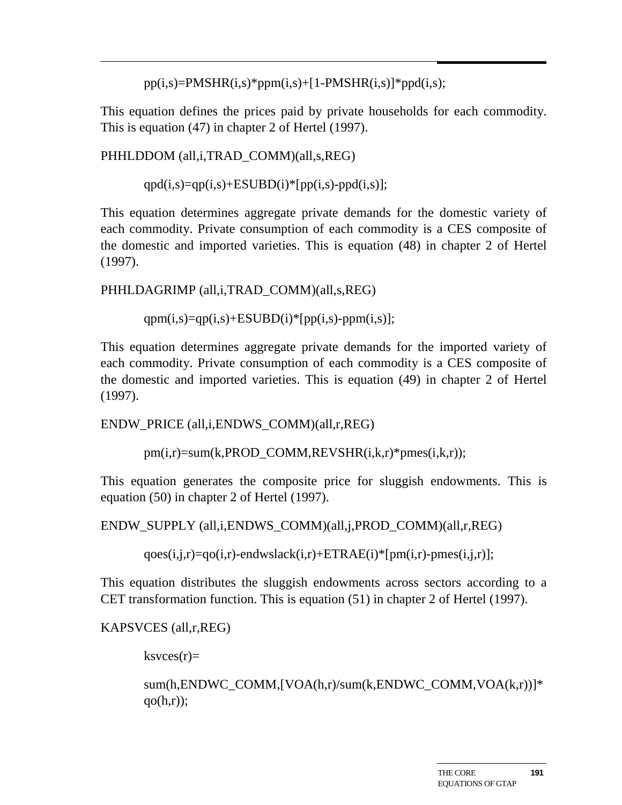$pp(i,s)=PMSHR(i,s)*ppm(i,s)+[1-PMSHR(i,s)]*ppd(i,s);$ 

This equation defines the prices paid by private households for each commodity. This is equation (47) in chapter 2 of Hertel (1997).

PHHLDDOM (all,i,TRAD\_COMM)(all,s,REG)

qpd(i,s)=qp(i,s)+ESUBD(i)\*[pp(i,s)-ppd(i,s)];

This equation determines aggregate private demands for the domestic variety of each commodity. Private consumption of each commodity is a CES composite of the domestic and imported varieties. This is equation (48) in chapter 2 of Hertel (1997).

PHHLDAGRIMP (all,i,TRAD\_COMM)(all,s,REG)

qpm(i,s)=qp(i,s)+ESUBD(i)\*[pp(i,s)-ppm(i,s)];

This equation determines aggregate private demands for the imported variety of each commodity. Private consumption of each commodity is a CES composite of the domestic and imported varieties. This is equation (49) in chapter 2 of Hertel (1997).

ENDW\_PRICE (all,i,ENDWS\_COMM)(all,r,REG)

pm(i,r)=sum(k,PROD\_COMM,REVSHR(i,k,r)\*pmes(i,k,r));

This equation generates the composite price for sluggish endowments. This is equation (50) in chapter 2 of Hertel (1997).

ENDW\_SUPPLY (all,i,ENDWS\_COMM)(all,j,PROD\_COMM)(all,r,REG)

 $qoes(i,j,r)=qo(i,r)-endwslack(i,r)+ETRAE(i)*[pm(i,r)-pmes(i,j,r)];$ 

This equation distributes the sluggish endowments across sectors according to a CET transformation function. This is equation (51) in chapter 2 of Hertel (1997).

KAPSVCES (all,r,REG)

 $k$ svces $(r)$ =

sum(h,ENDWC\_COMM, $[VOA(h,r)/sum(k,ENDWC-COMM,VOA(k,r))]^*$  $qo(h,r)$ ;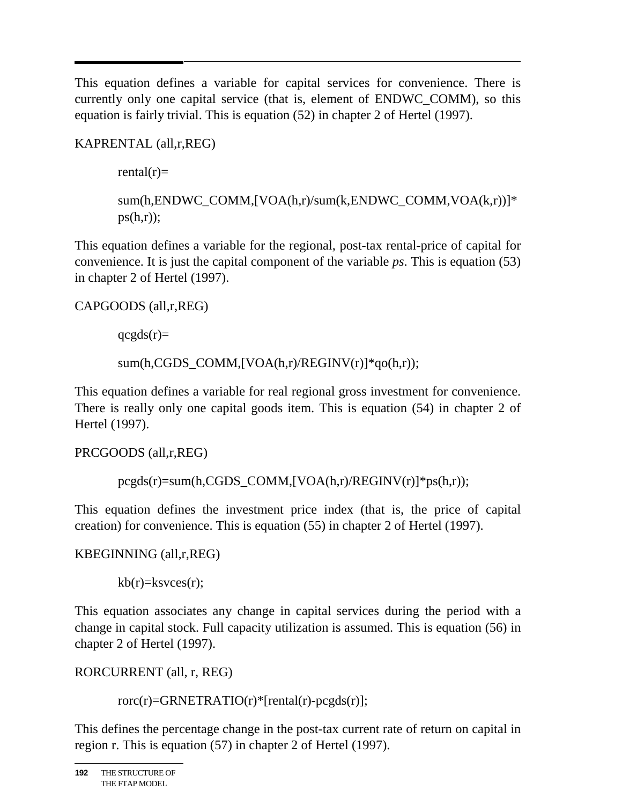This equation defines a variable for capital services for convenience. There is currently only one capital service (that is, element of ENDWC\_COMM), so this equation is fairly trivial. This is equation (52) in chapter 2 of Hertel (1997).

#### KAPRENTAL (all,r,REG)

```
rental(r) =
```
sum(h,ENDWC\_COMM,[VOA(h,r)/sum(k,ENDWC\_COMM,VOA(k,r))]\*  $ps(h,r)$ ;

This equation defines a variable for the regional, post-tax rental-price of capital for convenience. It is just the capital component of the variable *ps*. This is equation (53) in chapter 2 of Hertel (1997).

#### CAPGOODS (all,r,REG)

 $qcgds(r)=$ 

```
sum(h,CGDS_COMM,[VOA(h,r)/REGINV(r)]*qo(h,r));
```
This equation defines a variable for real regional gross investment for convenience. There is really only one capital goods item. This is equation (54) in chapter 2 of Hertel (1997).

#### PRCGOODS (all,r,REG)

 $pegds(r)=sum(h, CGDS\_COMM,[VOA(h,r)/REGINV(r)]*ps(h,r));$ 

This equation defines the investment price index (that is, the price of capital creation) for convenience. This is equation (55) in chapter 2 of Hertel (1997).

KBEGINNING (all,r,REG)

 $kb(r)=k$ svces $(r)$ ;

This equation associates any change in capital services during the period with a change in capital stock. Full capacity utilization is assumed. This is equation (56) in chapter 2 of Hertel (1997).

RORCURRENT (all, r, REG)

rorc(r)=GRNETRATIO(r)\*[rental(r)-pcgds(r)];

This defines the percentage change in the post-tax current rate of return on capital in region r. This is equation (57) in chapter 2 of Hertel (1997).

**<sup>192</sup>** THE STRUCTURE OF THE FTAP MODEL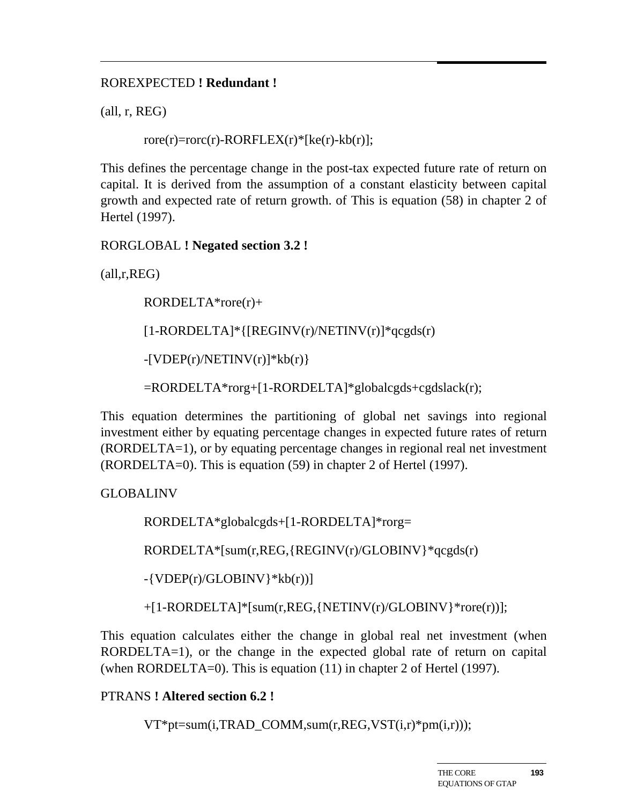#### ROREXPECTED **! Redundant !**

(all, r, REG)

rore(r)=rorc(r)-RORFLEX(r)\*[ke(r)-kb(r)];

This defines the percentage change in the post-tax expected future rate of return on capital. It is derived from the assumption of a constant elasticity between capital growth and expected rate of return growth. of This is equation (58) in chapter 2 of Hertel (1997).

RORGLOBAL **! Negated section 3.2 !**

 $(all,r, REG)$ 

RORDELTA\*rore(r)+

[1-RORDELTA]\*{[REGINV(r)/NETINV(r)]\*qcgds(r)

 $-[VDEP(r)/NETINV(r)]*kb(r)]$ 

=RORDELTA\*rorg+[1-RORDELTA]\*globalcgds+cgdslack(r);

This equation determines the partitioning of global net savings into regional investment either by equating percentage changes in expected future rates of return (RORDELTA=1), or by equating percentage changes in regional real net investment (RORDELTA=0). This is equation (59) in chapter 2 of Hertel (1997).

GLOBALINV

RORDELTA\*globalcgds+[1-RORDELTA]\*rorg=

RORDELTA\*[sum(r,REG,{REGINV(r)/GLOBINV}\*qcgds(r)

 $-\{VDEP(r)/GLOBINV\} * kb(r)\}$ 

+[1-RORDELTA]\*[sum(r,REG,{NETINV(r)/GLOBINV}\*rore(r))];

This equation calculates either the change in global real net investment (when RORDELTA=1), or the change in the expected global rate of return on capital (when RORDELTA=0). This is equation (11) in chapter 2 of Hertel (1997).

#### PTRANS **! Altered section 6.2 !**

VT\*pt=sum(i,TRAD\_COMM,sum(r,REG,VST(i,r)\*pm(i,r)));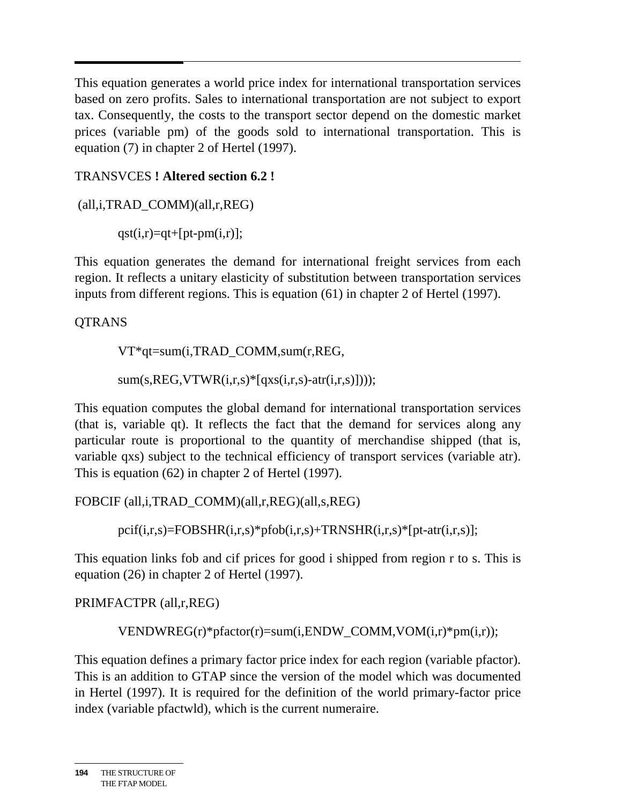This equation generates a world price index for international transportation services based on zero profits. Sales to international transportation are not subject to export tax. Consequently, the costs to the transport sector depend on the domestic market prices (variable pm) of the goods sold to international transportation. This is equation (7) in chapter 2 of Hertel (1997).

#### TRANSVCES **! Altered section 6.2 !**

(all,i,TRAD\_COMM)(all,r,REG)

qst $(i,r)=qt+[pt-pm(i,r)]$ ;

This equation generates the demand for international freight services from each region. It reflects a unitary elasticity of substitution between transportation services inputs from different regions. This is equation (61) in chapter 2 of Hertel (1997).

QTRANS

VT\*qt=sum(i,TRAD\_COMM,sum(r,REG,

 $sum(s, REG, VTWR(i,r,s)*[qxs(i,r,s)-atr(i,r,s)]))$ ;

This equation computes the global demand for international transportation services (that is, variable qt). It reflects the fact that the demand for services along any particular route is proportional to the quantity of merchandise shipped (that is, variable qxs) subject to the technical efficiency of transport services (variable atr). This is equation (62) in chapter 2 of Hertel (1997).

FOBCIF (all,i,TRAD\_COMM)(all,r,REG)(all,s,REG)

 $\text{pcif}(i,r,s)=\text{FOBSHR}(i,r,s)*\text{pfb}(i,r,s)+\text{TRNSHR}(i,r,s)*[\text{pt-atr}(i,r,s)];$ 

This equation links fob and cif prices for good i shipped from region r to s. This is equation (26) in chapter 2 of Hertel (1997).

PRIMFACTPR (all,r,REG)

VENDWREG(r)\*pfactor(r)=sum(i,ENDW\_COMM,VOM(i,r)\*pm(i,r));

This equation defines a primary factor price index for each region (variable pfactor). This is an addition to GTAP since the version of the model which was documented in Hertel (1997). It is required for the definition of the world primary-factor price index (variable pfactwld), which is the current numeraire.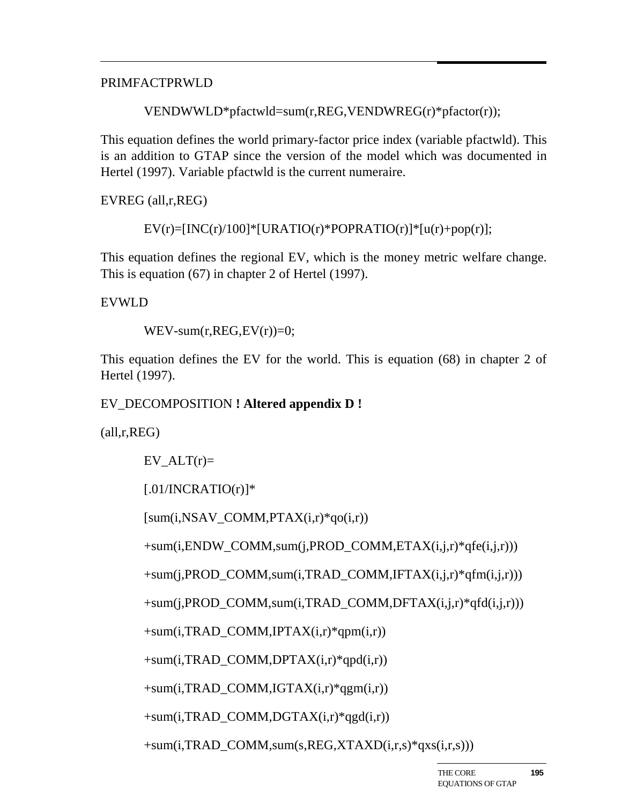#### PRIMFACTPRWLD

VENDWWLD\*pfactwld=sum(r,REG,VENDWREG(r)\*pfactor(r));

This equation defines the world primary-factor price index (variable pfactwld). This is an addition to GTAP since the version of the model which was documented in Hertel (1997). Variable pfactwld is the current numeraire.

EVREG (all,r,REG)

 $EV(r)=[INC(r)/100]*[URATIO(r)*POPRATION](r) * [u(r)+pop(r)];$ 

This equation defines the regional EV, which is the money metric welfare change. This is equation (67) in chapter 2 of Hertel (1997).

EVWLD

 $WEV-sum(r, REG, EV(r))=0;$ 

This equation defines the EV for the world. This is equation (68) in chapter 2 of Hertel (1997).

EV\_DECOMPOSITION **! Altered appendix D !**

 $(all,r, REG)$ 

EV ALT $(r)$ =

 $[.01/INCRATION(r)]$ \*

 $[sum(i,NSAV\_COMM,PTAX(i,r)*qo(i,r))]$ 

 $+sum(i, ENDW_COMM, sum(i,PROD_COMM,ETAX(i,j,r)*qfe(i,j,r)))$ 

 $+sum(i,PROD_{COMM,sum}(i,TRAD_{COMM,IFTAX}(i,j,r)*qfm(i,j,r)))$ 

+sum(j,PROD\_COMM,sum(i,TRAD\_COMM,DFTAX(i,j,r)\*qfd(i,j,r)))

 $+sum(i,TRAD\_COMM, IPTAX(i,r)*qpm(i,r))$ 

+sum(i,TRAD\_COMM,DPTAX(i,r)\*qpd(i,r))

 $+sum(i,TRAD\_COMM, IGTAX(i,r)*qgm(i,r))$ 

 $+sum(i,TRAD\_COMM,DGTAX(i,r)*qgd(i,r))$ 

 $+sum(i,TRAD$  COMM,sum(s,REG,XTAXD(i,r,s)\*qxs(i,r,s)))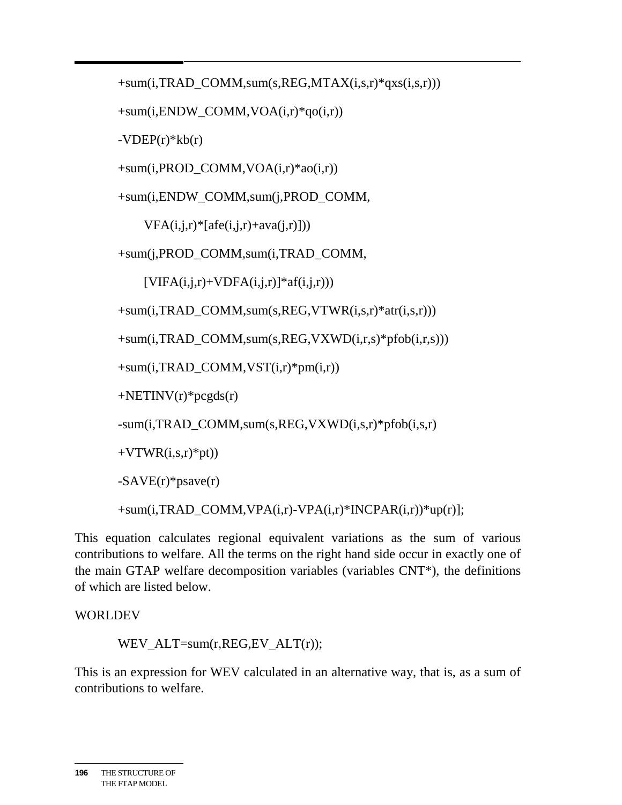```
+sum(i,TRAD\_COMM,sum(s,REG,MTAX(i,s,r)*qxs(i,s,r)))
```

```
+sum(i, ENDW_COMM,VOA(i,r)*qo(i,r))
```
 $-VDEP(r)*kb(r)$ 

```
+sum(i, PROD<sub>COMM</sub>,VOA(i,r)*ao(i,r))
```
+sum(i,ENDW\_COMM,sum(j,PROD\_COMM,

 $VFA(i,j,r)*[afe(i,j,r)+ava(j,r)])$ 

+sum(j,PROD\_COMM,sum(i,TRAD\_COMM,

 $[VIFA(i,j,r)+VDFA(i,j,r)]*af(i,j,r))$ 

+sum(i,TRAD\_COMM,sum(s,REG,VTWR(i,s,r)\*atr(i,s,r)))

```
+sum(i,TRAD\_COMM,sum(s,REG,VXWD(i,r,s)*pjob(i,r,s)))
```

```
+sum(i,TRAD\_COMM, VST(i,r)*pm(i,r))
```
 $+NETINV(r)*pcgds(r)$ 

-sum(i,TRAD\_COMM,sum(s,REG,VXWD(i,s,r)\*pfob(i,s,r)

 $+VTWR(i,s,r)*pt)$ 

 $-SAVE(r)*psave(r)$ 

+sum(i,TRAD\_COMM,VPA(i,r)-VPA(i,r)\*INCPAR(i,r))\*up(r)];

This equation calculates regional equivalent variations as the sum of various contributions to welfare. All the terms on the right hand side occur in exactly one of the main GTAP welfare decomposition variables (variables CNT\*), the definitions of which are listed below.

WORLDEV

WEV ALT=sum(r, $REG,EV$  ALT(r));

This is an expression for WEV calculated in an alternative way, that is, as a sum of contributions to welfare.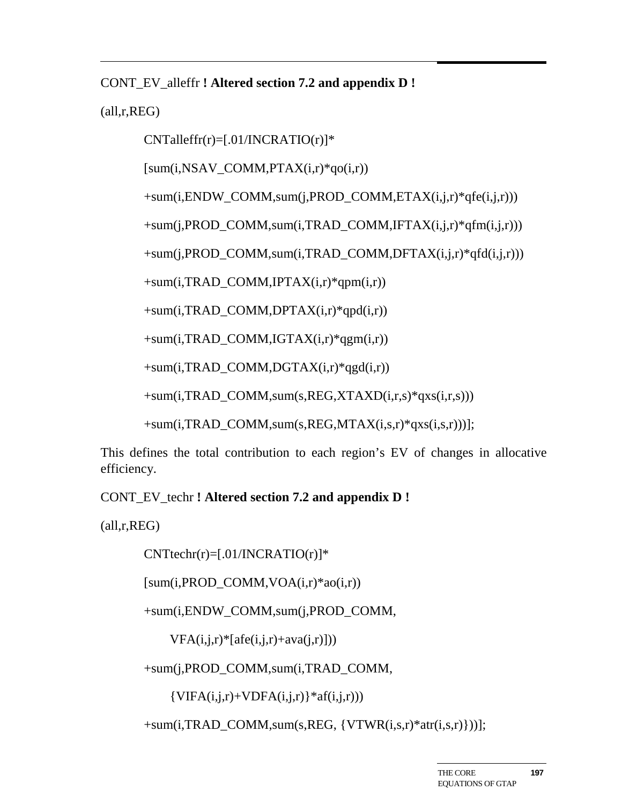CONT\_EV\_alleffr **! Altered section 7.2 and appendix D !**

 $(all,r,REG)$ 

 $CNTalletfr(r)=[.01/INCRATION])$ \*

 $[sum(i,NSAVCOMM,PTAX(i,r)*qo(i,r))]$ 

 $+sum(i, ENDW_COMM, sum(i,PROD_COMM,ETAX(i,j,r)*qfe(i,j,r)))$ 

 $+sum(i,PROD_{COMM,sum}(i,TRAD_{COMM,IFTAX}(i,j,r)*qfm(i,j,r)))$ 

 $+sum(i,PROD_COMM, sum(i,TRAD-COMM, DFTAX(i,j,r)*qfd(i,j,r)))$ 

 $+sum(i,TRAD\_COMM, IPTAX(i,r)*qpm(i,r))$ 

 $+sum(i,TRAD\_COMM, DPTAX(i,r)*qpd(i,r))$ 

 $+sum(i,TRAD\_COMM, IGTAX(i,r)*qgm(i,r))$ 

 $+sum(i, TRAD\_COMM, DGTAX(i,r)*qgd(i,r))$ 

+sum(i,TRAD\_COMM,sum(s,REG,XTAXD(i,r,s)\*qxs(i,r,s)))

 $+sum(i,TRAD\_COMM,sum(s,REG,MTAX(i,s,r)*qxs(i,s,r)))$ ];

This defines the total contribution to each region's EV of changes in allocative efficiency.

CONT\_EV\_techr **! Altered section 7.2 and appendix D !**

(all,r,REG)

 $CNTtechn(r)=[.01/INCRATION(r)]*$ 

 $[sum(i,PROD<sub>COMM</sub>,VOA(i,r)*ao(i,r))$ 

+sum(i,ENDW\_COMM,sum(j,PROD\_COMM,

 $VFA(i,j,r)*[afe(i,j,r)+ava(j,r)])$ 

+sum(j,PROD\_COMM,sum(i,TRAD\_COMM,

 $\{VIFA(i,j,r)+VDFA(i,j,r)\} * af(i,j,r))\}$ 

 $+sum(i,TRAD\_COMM, sum(s,REG, {VTWR}(i,s,r)*atr(i,s,r))))$ ;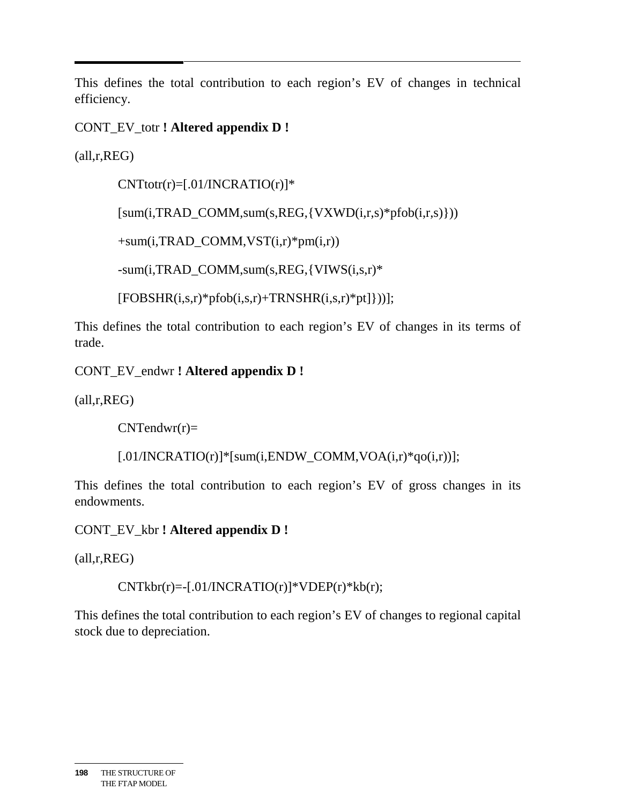This defines the total contribution to each region's EV of changes in technical efficiency.

CONT\_EV\_totr **! Altered appendix D !**

 $(all,r,REG)$ 

 $CNTtot(r)=[.01/INCRATION(r)]*$ 

 $[sum(i,TRAD\_COMM,sum(s,REG, {VXWD(i,r,s)*pfob(i,r,s)}))$ 

 $+sum(i,TRAD\_COMM, VST(i,r)*pm(i,r))$ 

-sum(i,TRAD\_COMM,sum(s,REG,{VIWS(i,s,r)\*

```
[FOBSHR(i,s,r)*p{fob(i,s,r)+TRNSHR(i,s,r)*pt]}))];
```
This defines the total contribution to each region's EV of changes in its terms of trade.

CONT\_EV\_endwr **! Altered appendix D !**

(all,r,REG)

 $CNTendwr(r) =$ 

 $[.01/INCRATION(r)]$ <sup>\*</sup>[sum(i,ENDW\_COMM,VOA(i,r)<sup>\*</sup>qo(i,r))];

This defines the total contribution to each region's EV of gross changes in its endowments.

CONT\_EV\_kbr **! Altered appendix D !**

(all,r,REG)

 $CNTkbr(r) = -[.01/INCRATION(r)]*VDEP(r)*kb(r);$ 

This defines the total contribution to each region's EV of changes to regional capital stock due to depreciation.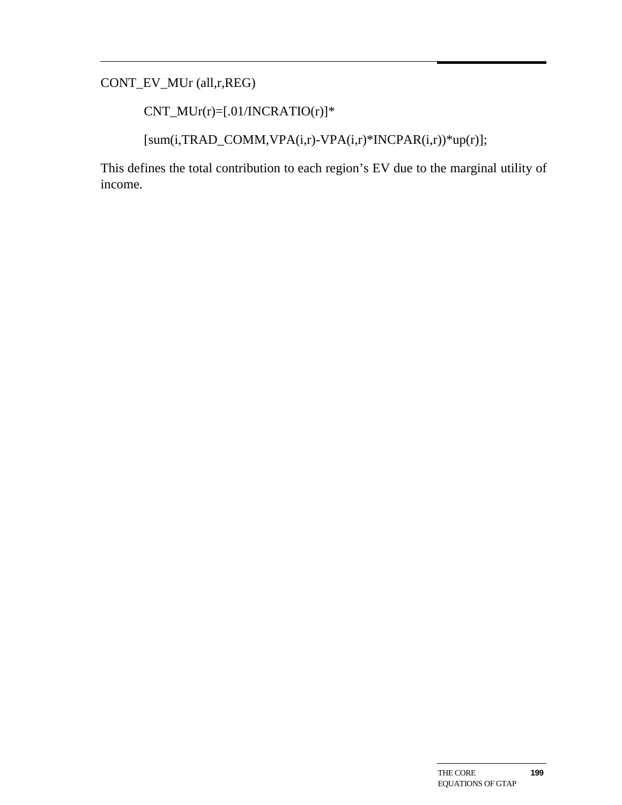CONT\_EV\_MUr (all,r,REG)

 $CNT_MUr(r)=[.01/INCRATION(r)]*$ 

[sum(i,TRAD\_COMM,VPA(i,r)-VPA(i,r)\*INCPAR(i,r))\*up(r)];

This defines the total contribution to each region's EV due to the marginal utility of income.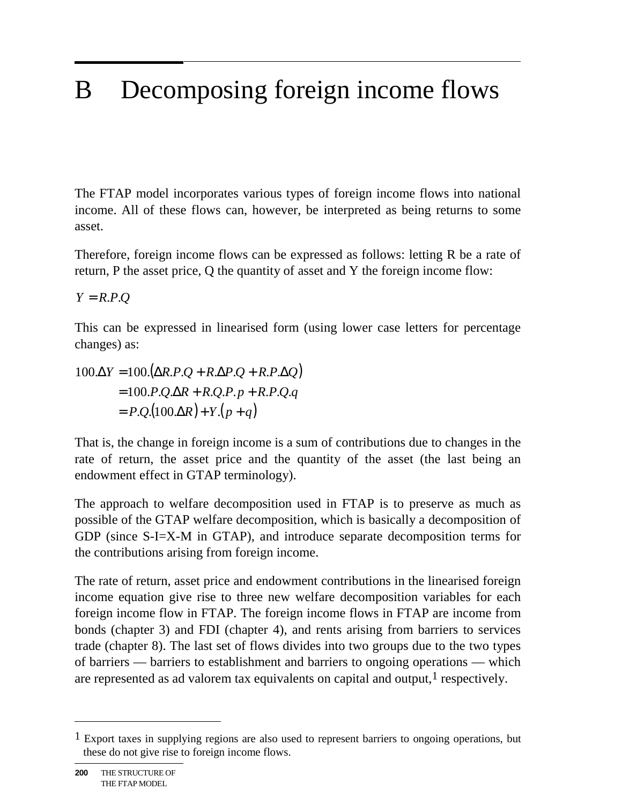# B Decomposing foreign income flows

The FTAP model incorporates various types of foreign income flows into national income. All of these flows can, however, be interpreted as being returns to some asset.

Therefore, foreign income flows can be expressed as follows: letting R be a rate of return, P the asset price, Q the quantity of asset and Y the foreign income flow:

$$
Y = R.P.Q
$$

This can be expressed in linearised form (using lower case letters for percentage changes) as:

$$
100.\Delta Y = 100.(\Delta R.P.Q + R.\Delta P.Q + R.P.\Delta Q)
$$
  
= 100.P.Q.\Delta R + R.Q.P.p + R.P.Q.q  
= P.Q.(100.\Delta R) + Y.(p + q)

That is, the change in foreign income is a sum of contributions due to changes in the rate of return, the asset price and the quantity of the asset (the last being an endowment effect in GTAP terminology).

The approach to welfare decomposition used in FTAP is to preserve as much as possible of the GTAP welfare decomposition, which is basically a decomposition of GDP (since S-I=X-M in GTAP), and introduce separate decomposition terms for the contributions arising from foreign income.

The rate of return, asset price and endowment contributions in the linearised foreign income equation give rise to three new welfare decomposition variables for each foreign income flow in FTAP. The foreign income flows in FTAP are income from bonds (chapter 3) and FDI (chapter 4), and rents arising from barriers to services trade (chapter 8). The last set of flows divides into two groups due to the two types of barriers — barriers to establishment and barriers to ongoing operations — which are represented as ad valorem tax equivalents on capital and output, $<sup>1</sup>$  respectively.</sup>

 $\overline{a}$ 

<sup>1</sup> Export taxes in supplying regions are also used to represent barriers to ongoing operations, but these do not give rise to foreign income flows.

**<sup>200</sup>** THE STRUCTURE OF THE FTAP MODEL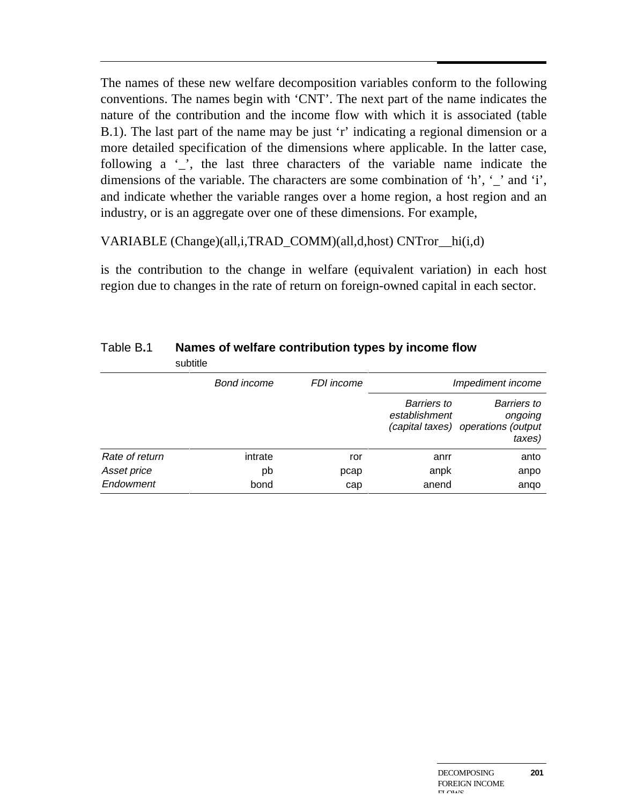The names of these new welfare decomposition variables conform to the following conventions. The names begin with 'CNT'. The next part of the name indicates the nature of the contribution and the income flow with which it is associated (table B.1). The last part of the name may be just 'r' indicating a regional dimension or a more detailed specification of the dimensions where applicable. In the latter case, following a '\_', the last three characters of the variable name indicate the dimensions of the variable. The characters are some combination of 'h', ' ' and 'i', and indicate whether the variable ranges over a home region, a host region and an industry, or is an aggregate over one of these dimensions. For example,

```
VARIABLE (Change)(all,i,TRAD_COMM)(all,d,host) CNTror__hi(i,d)
```
is the contribution to the change in welfare (equivalent variation) in each host region due to changes in the rate of return on foreign-owned capital in each sector.

|                | subtitle    |            |                                     |                                                                               |
|----------------|-------------|------------|-------------------------------------|-------------------------------------------------------------------------------|
|                | Bond income | FDI income | Impediment income                   |                                                                               |
|                |             |            | <b>Barriers to</b><br>establishment | <b>Barriers to</b><br>ongoing<br>(capital taxes) operations (output<br>taxes) |
| Rate of return | intrate     | ror        | anrr                                | anto                                                                          |
| Asset price    | pb          | pcap       | anpk                                | anpo                                                                          |
| Endowment      | bond        | cap        | anend                               | ango                                                                          |

### Table B**.**1 **Names of welfare contribution types by income flow**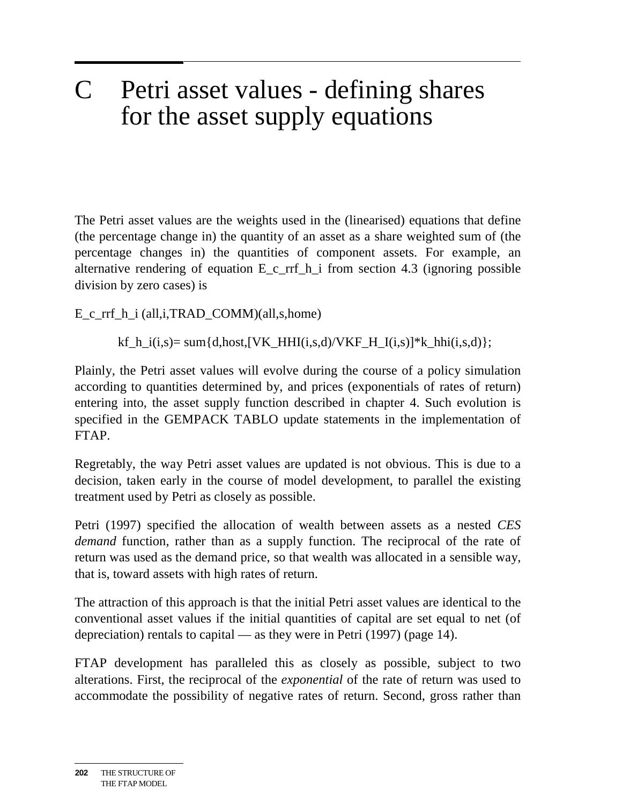## C Petri asset values - defining shares for the asset supply equations

The Petri asset values are the weights used in the (linearised) equations that define (the percentage change in) the quantity of an asset as a share weighted sum of (the percentage changes in) the quantities of component assets. For example, an alternative rendering of equation  $E_c$  rf h i from section 4.3 (ignoring possible division by zero cases) is

E\_c\_rrf\_h\_i (all,i,TRAD\_COMM)(all,s,home)

kf\_h\_i(i,s)= sum{d,host,[VK\_HHI(i,s,d)/VKF\_H\_I(i,s)]\*k\_hhi(i,s,d)};

Plainly, the Petri asset values will evolve during the course of a policy simulation according to quantities determined by, and prices (exponentials of rates of return) entering into, the asset supply function described in chapter 4. Such evolution is specified in the GEMPACK TABLO update statements in the implementation of FTAP.

Regretably, the way Petri asset values are updated is not obvious. This is due to a decision, taken early in the course of model development, to parallel the existing treatment used by Petri as closely as possible.

Petri (1997) specified the allocation of wealth between assets as a nested *CES demand* function, rather than as a supply function. The reciprocal of the rate of return was used as the demand price, so that wealth was allocated in a sensible way, that is, toward assets with high rates of return.

The attraction of this approach is that the initial Petri asset values are identical to the conventional asset values if the initial quantities of capital are set equal to net (of depreciation) rentals to capital — as they were in Petri (1997) (page 14).

FTAP development has paralleled this as closely as possible, subject to two alterations. First, the reciprocal of the *exponential* of the rate of return was used to accommodate the possibility of negative rates of return. Second, gross rather than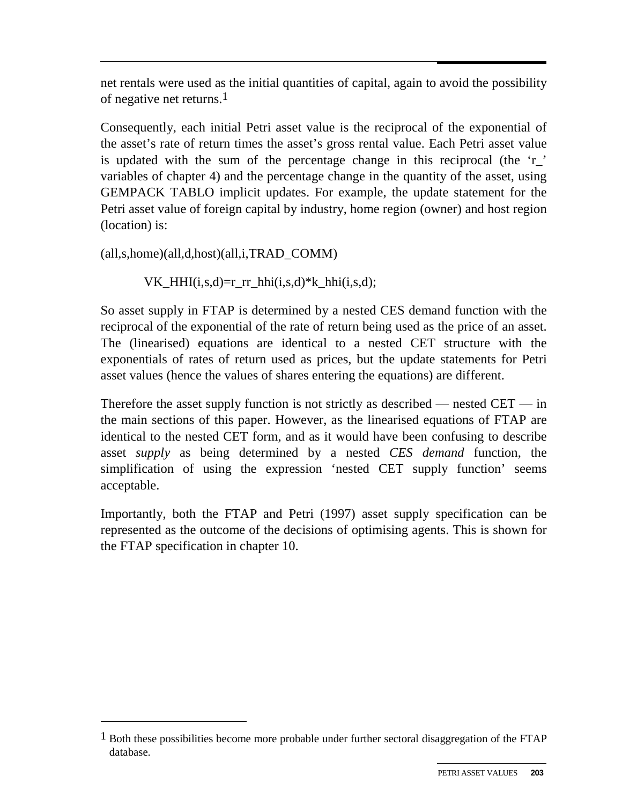net rentals were used as the initial quantities of capital, again to avoid the possibility of negative net returns.1

Consequently, each initial Petri asset value is the reciprocal of the exponential of the asset's rate of return times the asset's gross rental value. Each Petri asset value is updated with the sum of the percentage change in this reciprocal (the 'r\_' variables of chapter 4) and the percentage change in the quantity of the asset, using GEMPACK TABLO implicit updates. For example, the update statement for the Petri asset value of foreign capital by industry, home region (owner) and host region (location) is:

 $(all,s,home)(all,d,host)(all,i,TRAD$  COMM)

 $\overline{a}$ 

 $VK\_HHI(i,s,d)=r\_rr\_hhi(i,s,d)*k\_hhi(i,s,d);$ 

So asset supply in FTAP is determined by a nested CES demand function with the reciprocal of the exponential of the rate of return being used as the price of an asset. The (linearised) equations are identical to a nested CET structure with the exponentials of rates of return used as prices, but the update statements for Petri asset values (hence the values of shares entering the equations) are different.

Therefore the asset supply function is not strictly as described — nested  $CET - in$ the main sections of this paper. However, as the linearised equations of FTAP are identical to the nested CET form, and as it would have been confusing to describe asset *supply* as being determined by a nested *CES demand* function, the simplification of using the expression 'nested CET supply function' seems acceptable.

Importantly, both the FTAP and Petri (1997) asset supply specification can be represented as the outcome of the decisions of optimising agents. This is shown for the FTAP specification in chapter 10.

 $<sup>1</sup>$  Both these possibilities become more probable under further sectoral disaggregation of the FTAP</sup> database.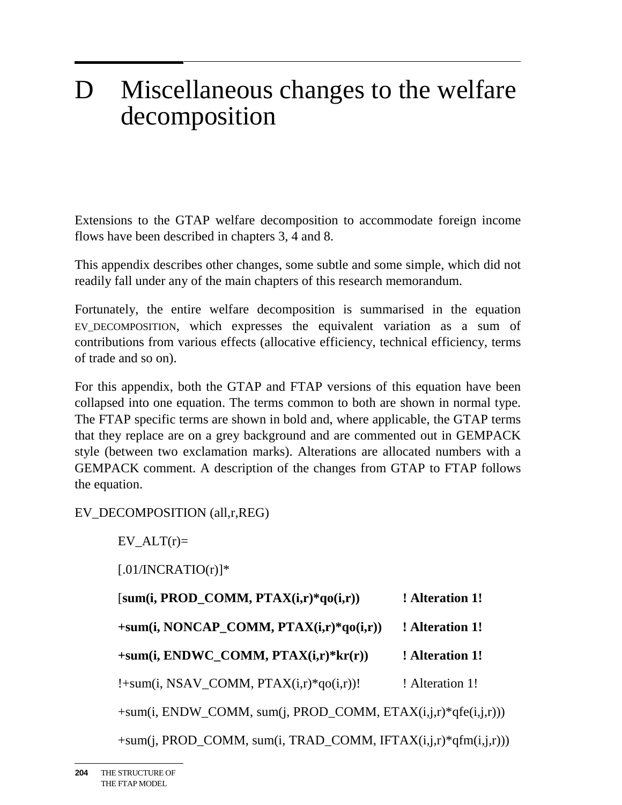## D Miscellaneous changes to the welfare decomposition

Extensions to the GTAP welfare decomposition to accommodate foreign income flows have been described in chapters 3, 4 and 8.

This appendix describes other changes, some subtle and some simple, which did not readily fall under any of the main chapters of this research memorandum.

Fortunately, the entire welfare decomposition is summarised in the equation EV DECOMPOSITION, which expresses the equivalent variation as a sum of contributions from various effects (allocative efficiency, technical efficiency, terms of trade and so on).

For this appendix, both the GTAP and FTAP versions of this equation have been collapsed into one equation. The terms common to both are shown in normal type. The FTAP specific terms are shown in bold and, where applicable, the GTAP terms that they replace are on a grey background and are commented out in GEMPACK style (between two exclamation marks). Alterations are allocated numbers with a GEMPACK comment. A description of the changes from GTAP to FTAP follows the equation.

EV\_DECOMPOSITION (all,r,REG)

 $EV\_ALT(r) =$ 

 $[.01/INCRATION(r)]$ \*

| $[sum(i, PROD_{COMM}, PTAX(i,r)*qo(i,r))]$                      | ! Alteration 1! |  |
|-----------------------------------------------------------------|-----------------|--|
| $+sum(i, NONCAP\_COMM, PTAX(i,r)*qo(i,r))$                      | ! Alteration 1! |  |
| $+sum(i, ENDWC\_COMM, PTAX(i,r)*kr(r))$                         | ! Alteration 1! |  |
| $!+sum(i, NSAV\_COMM, PTAX(i,r)*qo(i,r))!$                      | ! Alteration 1! |  |
| $+sum(i, ENDW_COMM, sum(i, PROD_COMM, ETAX(i,j,r)*qfe(i,j,r)))$ |                 |  |
|                                                                 |                 |  |

 $+\text{sum}(i, \text{PROD\_COMM}, \text{sum}(i, \text{TRAD\_COMM}, \text{IFTAX}(i,j,r)*qfm(i,j,r)))$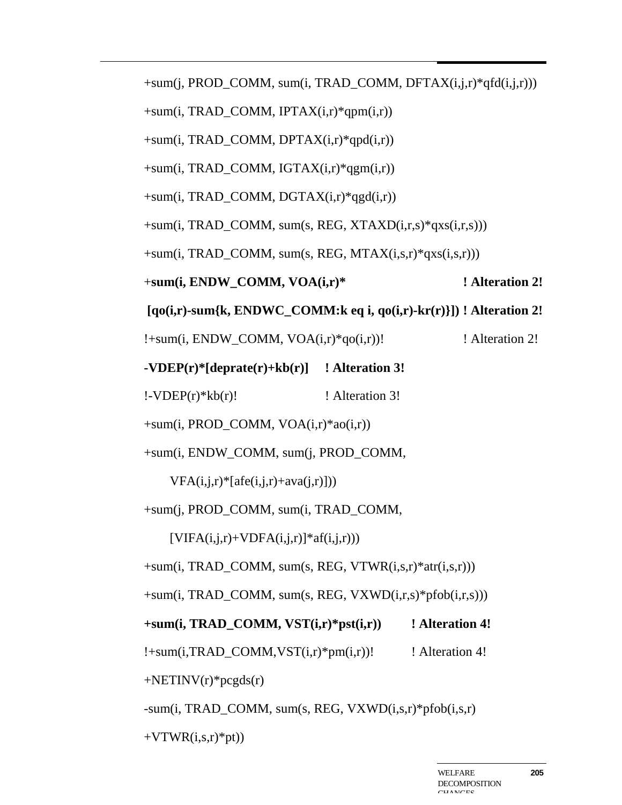```
+sum(i, PROD_COMM, sum(i, TRAD_COMM, DFTAX(i,j,r)*qfd(i,j,r)))+sum(i, TRAD\_COMM, IPTAX(i,r)*qpm(i,r))+sum(i, TRAD\_COMM, DPTAX(i,r)*qpd(i,r))+sum(i, TRAD COMM, IGTAX(i,r)*qgm(i,r)+sum(i, TRAD_COMM, DGTAX(i,r)*qgd(i,r))
+sum(i, TRAD\_COMM, sum(s, REG, XTAXD(i,r,s)*qxs(i,r,s)))+sum(i, TRAD COMM, sum(s, REG, MTAX(i,s,r)*qxs(i,s,r)))
+sum(i, ENDW_COMM, VOA(i,r)* ! Alteration 2!
 [qo(i,r)-sum{k, ENDWC_COMM:k eq i, qo(i,r)-kr(r)}]) ! Alteration 2!
!+sum(i, ENDW_COMM, VOA(i,r)*qo(i,r))! ! Alteration 2!
-VDEP(r)*[deprate(r)+kb(r)] ! Alteration 3!
! -VDEP(r)*kb(r)! ! Alteration 3!
+sum(i, PROD_COMM, VOA(i,r)*ao(i,r))+sum(i, ENDW_COMM, sum(j, PROD_COMM,
    VFA(i,j,r)*[afe(i,j,r)+ava(j,r)])+sum(j, PROD_COMM, sum(i, TRAD_COMM,
    [VIFA(i,j,r)+VDFA(i,j,r)]*af(i,j,r))+sum(i, TRAD\_COMM, sum(s, REG, VTWR(i,s,r)*atr(i,s,r)))+sum(i, TRAD_COMM, sum(s, REG, VXWD(i,r,s)*pfob(i,r,s)))
+sum(i, TRAD_COMM, VST(i,r)*pst(i,r)) ! Alteration 4!
!+sum(i, TRAD\_COMM, VST(i,r)*pm(i,r))! ! Alteration 4!
+NETINV(r)*pcgds(r)-sum(i, TRAD_COMM, sum(s, REG, VXWD(i,s,r)*pfob(i,s,r)
```
 $+VTWR(i,s,r)*pt)$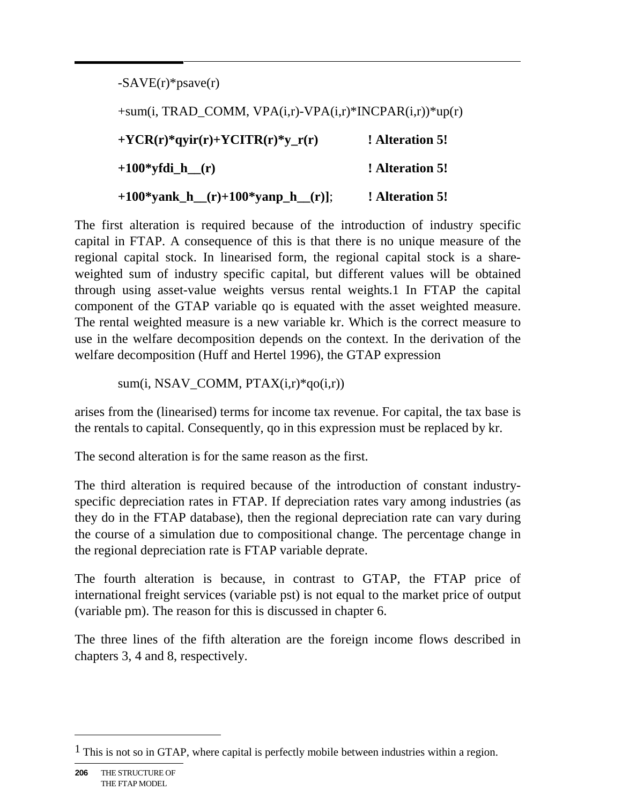| +100*yank_h_(r)+100*yanp_h_(r)];                           | ! Alteration 5! |  |  |  |
|------------------------------------------------------------|-----------------|--|--|--|
| $+100$ *yfdi_h_(r)                                         | ! Alteration 5! |  |  |  |
| $+YCR(r)*qyir(r)+YCITR(r)*y_r(r)$                          | ! Alteration 5! |  |  |  |
| $+sum(i, TRAD\_COMM, VPA(i,r)-VPA(i,r)*INCPAR(i,r))*up(r)$ |                 |  |  |  |
| $-SAVE(r)*psave(r)$                                        |                 |  |  |  |

The first alteration is required because of the introduction of industry specific capital in FTAP. A consequence of this is that there is no unique measure of the regional capital stock. In linearised form, the regional capital stock is a shareweighted sum of industry specific capital, but different values will be obtained through using asset-value weights versus rental weights.1 In FTAP the capital component of the GTAP variable qo is equated with the asset weighted measure. The rental weighted measure is a new variable kr. Which is the correct measure to use in the welfare decomposition depends on the context. In the derivation of the welfare decomposition (Huff and Hertel 1996), the GTAP expression

sum(i, NSAV\_COMM,  $PTAX(i,r)*qo(i,r)$ )

arises from the (linearised) terms for income tax revenue. For capital, the tax base is the rentals to capital. Consequently, qo in this expression must be replaced by kr.

The second alteration is for the same reason as the first.

The third alteration is required because of the introduction of constant industryspecific depreciation rates in FTAP. If depreciation rates vary among industries (as they do in the FTAP database), then the regional depreciation rate can vary during the course of a simulation due to compositional change. The percentage change in the regional depreciation rate is FTAP variable deprate.

The fourth alteration is because, in contrast to GTAP, the FTAP price of international freight services (variable pst) is not equal to the market price of output (variable pm). The reason for this is discussed in chapter 6.

The three lines of the fifth alteration are the foreign income flows described in chapters 3, 4 and 8, respectively.

 $\overline{a}$ 

<sup>&</sup>lt;sup>1</sup> This is not so in GTAP, where capital is perfectly mobile between industries within a region.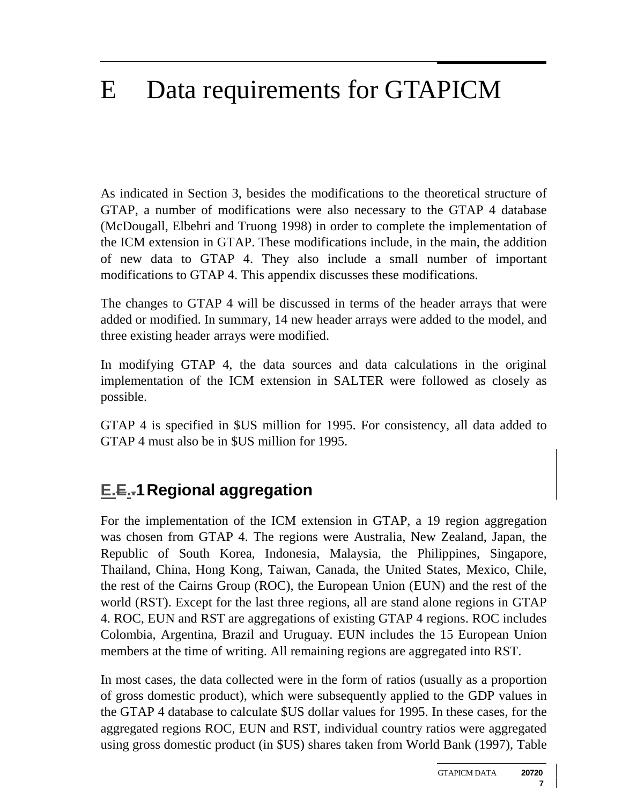# E Data requirements for GTAPICM

As indicated in Section 3, besides the modifications to the theoretical structure of GTAP, a number of modifications were also necessary to the GTAP 4 database (McDougall, Elbehri and Truong 1998) in order to complete the implementation of the ICM extension in GTAP. These modifications include, in the main, the addition of new data to GTAP 4. They also include a small number of important modifications to GTAP 4. This appendix discusses these modifications.

The changes to GTAP 4 will be discussed in terms of the header arrays that were added or modified. In summary, 14 new header arrays were added to the model, and three existing header arrays were modified.

In modifying GTAP 4, the data sources and data calculations in the original implementation of the ICM extension in SALTER were followed as closely as possible.

GTAP 4 is specified in \$US million for 1995. For consistency, all data added to GTAP 4 must also be in \$US million for 1995.

### **E.E..1Regional aggregation**

For the implementation of the ICM extension in GTAP, a 19 region aggregation was chosen from GTAP 4. The regions were Australia, New Zealand, Japan, the Republic of South Korea, Indonesia, Malaysia, the Philippines, Singapore, Thailand, China, Hong Kong, Taiwan, Canada, the United States, Mexico, Chile, the rest of the Cairns Group (ROC), the European Union (EUN) and the rest of the world (RST). Except for the last three regions, all are stand alone regions in GTAP 4. ROC, EUN and RST are aggregations of existing GTAP 4 regions. ROC includes Colombia, Argentina, Brazil and Uruguay. EUN includes the 15 European Union members at the time of writing. All remaining regions are aggregated into RST.

In most cases, the data collected were in the form of ratios (usually as a proportion of gross domestic product), which were subsequently applied to the GDP values in the GTAP 4 database to calculate \$US dollar values for 1995. In these cases, for the aggregated regions ROC, EUN and RST, individual country ratios were aggregated using gross domestic product (in \$US) shares taken from World Bank (1997), Table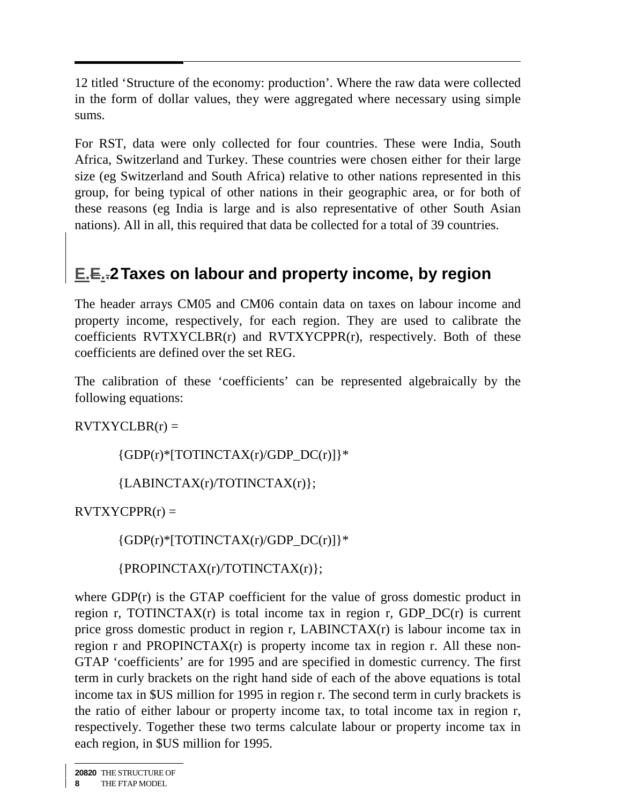12 titled 'Structure of the economy: production'. Where the raw data were collected in the form of dollar values, they were aggregated where necessary using simple sums.

For RST, data were only collected for four countries. These were India, South Africa, Switzerland and Turkey. These countries were chosen either for their large size (eg Switzerland and South Africa) relative to other nations represented in this group, for being typical of other nations in their geographic area, or for both of these reasons (eg India is large and is also representative of other South Asian nations). All in all, this required that data be collected for a total of 39 countries.

### **E.E..2Taxes on labour and property income, by region**

The header arrays CM05 and CM06 contain data on taxes on labour income and property income, respectively, for each region. They are used to calibrate the coefficients RVTXYCLBR(r) and RVTXYCPPR(r), respectively. Both of these coefficients are defined over the set REG.

The calibration of these 'coefficients' can be represented algebraically by the following equations:

 $RVTXYZLBR(r) =$ 

 ${GDP(r)*[TOTINCTAX(r)/GDP\_DC(r)]}$ \*

{LABINCTAX(r)/TOTINCTAX(r)};

 $RVTXYZPPR(r) =$ 

 ${GDP(r)*[TOTINCTAX(r)/GDP\_DC(r)]}$ \*

{PROPINCTAX(r)/TOTINCTAX(r)};

where  $GDP(r)$  is the  $GTAP$  coefficient for the value of gross domestic product in region r, TOTINCTAX $(r)$  is total income tax in region r, GDP\_DC $(r)$  is current price gross domestic product in region r, LABINCTAX(r) is labour income tax in region r and PROPINCTAX(r) is property income tax in region r. All these non-GTAP 'coefficients' are for 1995 and are specified in domestic currency. The first term in curly brackets on the right hand side of each of the above equations is total income tax in \$US million for 1995 in region r. The second term in curly brackets is the ratio of either labour or property income tax, to total income tax in region r, respectively. Together these two terms calculate labour or property income tax in each region, in \$US million for 1995.

**20820** THE STRUCTURE OF **8** THE FTAP MODEL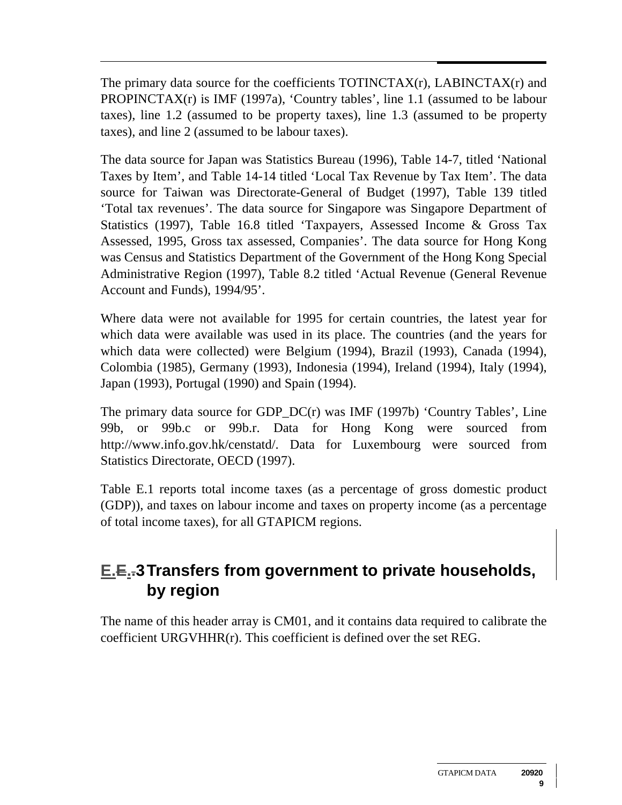The primary data source for the coefficients TOTINCTAX(r), LABINCTAX(r) and PROPINCTAX(r) is IMF (1997a), 'Country tables', line 1.1 (assumed to be labour taxes), line 1.2 (assumed to be property taxes), line 1.3 (assumed to be property taxes), and line 2 (assumed to be labour taxes).

The data source for Japan was Statistics Bureau (1996), Table 14-7, titled 'National Taxes by Item', and Table 14-14 titled 'Local Tax Revenue by Tax Item'. The data source for Taiwan was Directorate-General of Budget (1997), Table 139 titled 'Total tax revenues'. The data source for Singapore was Singapore Department of Statistics (1997), Table 16.8 titled 'Taxpayers, Assessed Income & Gross Tax Assessed, 1995, Gross tax assessed, Companies'. The data source for Hong Kong was Census and Statistics Department of the Government of the Hong Kong Special Administrative Region (1997), Table 8.2 titled 'Actual Revenue (General Revenue Account and Funds), 1994/95'.

Where data were not available for 1995 for certain countries, the latest year for which data were available was used in its place. The countries (and the years for which data were collected) were Belgium (1994), Brazil (1993), Canada (1994), Colombia (1985), Germany (1993), Indonesia (1994), Ireland (1994), Italy (1994), Japan (1993), Portugal (1990) and Spain (1994).

The primary data source for GDP\_DC(r) was IMF (1997b) 'Country Tables', Line 99b, or 99b.c or 99b.r. Data for Hong Kong were sourced from http://www.info.gov.hk/censtatd/. Data for Luxembourg were sourced from Statistics Directorate, OECD (1997).

Table E.1 reports total income taxes (as a percentage of gross domestic product (GDP)), and taxes on labour income and taxes on property income (as a percentage of total income taxes), for all GTAPICM regions.

# **E.E..3Transfers from government to private households, by region**

The name of this header array is CM01, and it contains data required to calibrate the coefficient URGVHHR(r). This coefficient is defined over the set REG.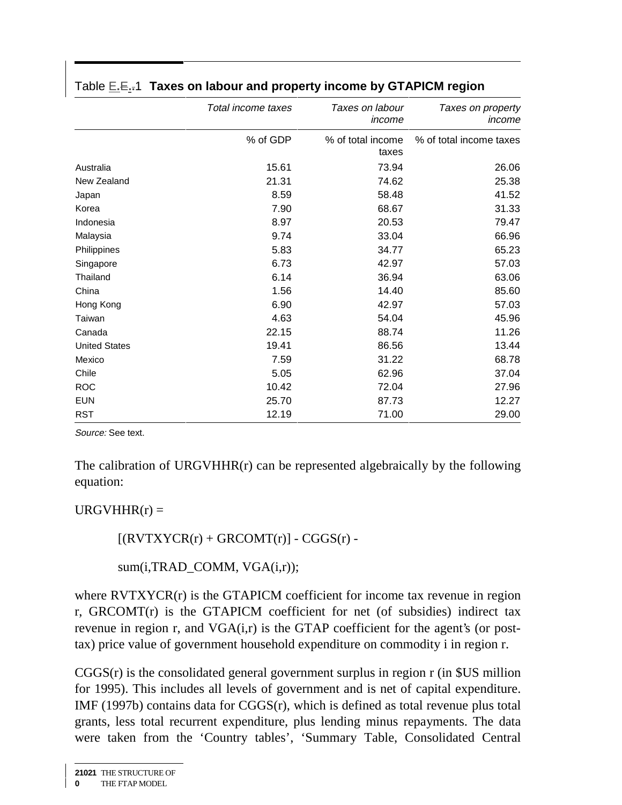|                      | Total income taxes | Taxes on labour<br>income  | Taxes on property<br>income |
|----------------------|--------------------|----------------------------|-----------------------------|
|                      | % of GDP           | % of total income<br>taxes | % of total income taxes     |
| Australia            | 15.61              | 73.94                      | 26.06                       |
| New Zealand          | 21.31              | 74.62                      | 25.38                       |
| Japan                | 8.59               | 58.48                      | 41.52                       |
| Korea                | 7.90               | 68.67                      | 31.33                       |
| Indonesia            | 8.97               | 20.53                      | 79.47                       |
| Malaysia             | 9.74               | 33.04                      | 66.96                       |
| Philippines          | 5.83               | 34.77                      | 65.23                       |
| Singapore            | 6.73               | 42.97                      | 57.03                       |
| Thailand             | 6.14               | 36.94                      | 63.06                       |
| China                | 1.56               | 14.40                      | 85.60                       |
| Hong Kong            | 6.90               | 42.97                      | 57.03                       |
| Taiwan               | 4.63               | 54.04                      | 45.96                       |
| Canada               | 22.15              | 88.74                      | 11.26                       |
| <b>United States</b> | 19.41              | 86.56                      | 13.44                       |
| Mexico               | 7.59               | 31.22                      | 68.78                       |
| Chile                | 5.05               | 62.96                      | 37.04                       |
| <b>ROC</b>           | 10.42              | 72.04                      | 27.96                       |
| <b>EUN</b>           | 25.70              | 87.73                      | 12.27                       |
| <b>RST</b>           | 12.19              | 71.00                      | 29.00                       |

#### Table E**.**E**..**1 **Taxes on labour and property income by GTAPICM region**

Source: See text.

The calibration of URGVHHR(r) can be represented algebraically by the following equation:

 $URGVHHR(r) =$ 

 $[(RVTXYCR(r) + GRCOMT(r)] - CGGS(r) -$ 

sum(i,TRAD\_COMM, VGA(i,r));

where RVTXYCR(r) is the GTAPICM coefficient for income tax revenue in region r, GRCOMT(r) is the GTAPICM coefficient for net (of subsidies) indirect tax revenue in region r, and VGA(i,r) is the GTAP coefficient for the agent's (or posttax) price value of government household expenditure on commodity i in region r.

CGGS(r) is the consolidated general government surplus in region r (in \$US million for 1995). This includes all levels of government and is net of capital expenditure. IMF (1997b) contains data for CGGS(r), which is defined as total revenue plus total grants, less total recurrent expenditure, plus lending minus repayments. The data were taken from the 'Country tables', 'Summary Table, Consolidated Central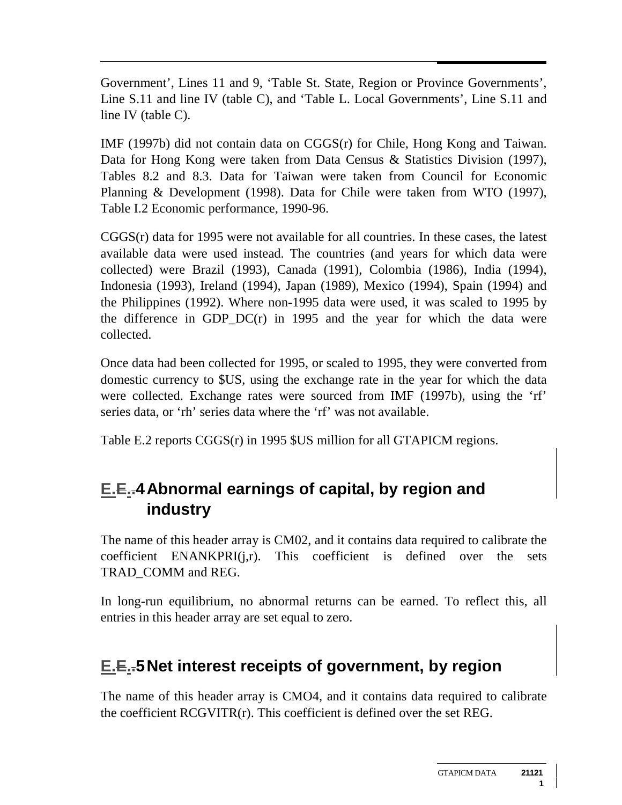Government', Lines 11 and 9, 'Table St. State, Region or Province Governments', Line S.11 and line IV (table C), and 'Table L. Local Governments', Line S.11 and line IV (table C).

IMF (1997b) did not contain data on CGGS(r) for Chile, Hong Kong and Taiwan. Data for Hong Kong were taken from Data Census & Statistics Division (1997), Tables 8.2 and 8.3. Data for Taiwan were taken from Council for Economic Planning & Development (1998). Data for Chile were taken from WTO (1997), Table I.2 Economic performance, 1990-96.

CGGS(r) data for 1995 were not available for all countries. In these cases, the latest available data were used instead. The countries (and years for which data were collected) were Brazil (1993), Canada (1991), Colombia (1986), India (1994), Indonesia (1993), Ireland (1994), Japan (1989), Mexico (1994), Spain (1994) and the Philippines (1992). Where non-1995 data were used, it was scaled to 1995 by the difference in GDP\_DC $(r)$  in 1995 and the year for which the data were collected.

Once data had been collected for 1995, or scaled to 1995, they were converted from domestic currency to \$US, using the exchange rate in the year for which the data were collected. Exchange rates were sourced from IMF (1997b), using the 'rf' series data, or 'rh' series data where the 'rf' was not available.

Table E.2 reports CGGS(r) in 1995 \$US million for all GTAPICM regions.

### **E.E..4Abnormal earnings of capital, by region and industry**

The name of this header array is CM02, and it contains data required to calibrate the coefficient ENANKPRI(j,r). This coefficient is defined over the sets TRAD\_COMM and REG.

In long-run equilibrium, no abnormal returns can be earned. To reflect this, all entries in this header array are set equal to zero.

# **E.E..5Net interest receipts of government, by region**

The name of this header array is CMO4, and it contains data required to calibrate the coefficient RCGVITR(r). This coefficient is defined over the set REG.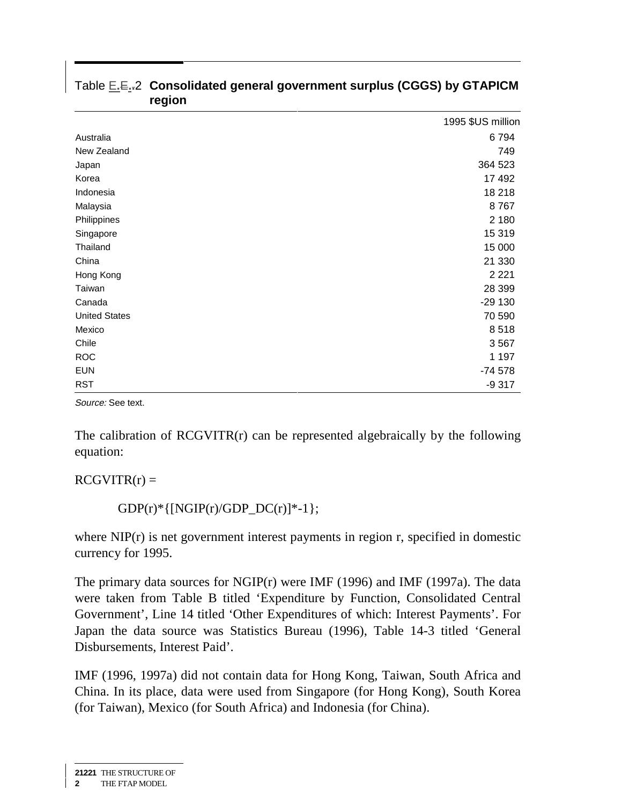|                      | 1995 \$US million |
|----------------------|-------------------|
| Australia            | 6794              |
| New Zealand          | 749               |
| Japan                | 364 523           |
| Korea                | 17 492            |
| Indonesia            | 18 218            |
| Malaysia             | 8767              |
| Philippines          | 2 1 8 0           |
| Singapore            | 15 319            |
| Thailand             | 15 000            |
| China                | 21 330            |
| Hong Kong            | 2 2 2 1           |
| Taiwan               | 28 399            |
| Canada               | $-29130$          |
| <b>United States</b> | 70 590            |
| Mexico               | 8518              |
| Chile                | 3567              |
| <b>ROC</b>           | 1 1 9 7           |
| <b>EUN</b>           | $-74578$          |
| <b>RST</b>           | -9 317            |

#### Table E**.**E**..**2 **Consolidated general government surplus (CGGS) by GTAPICM region**

Source: See text.

The calibration of RCGVITR(r) can be represented algebraically by the following equation:

 $RCGVITR(r) =$ 

```
GDP(r)*{[NGIP(r)/GDPDC(r)]*-1};
```
where NIP(r) is net government interest payments in region r, specified in domestic currency for 1995.

The primary data sources for NGIP(r) were IMF (1996) and IMF (1997a). The data were taken from Table B titled 'Expenditure by Function, Consolidated Central Government', Line 14 titled 'Other Expenditures of which: Interest Payments'. For Japan the data source was Statistics Bureau (1996), Table 14-3 titled 'General Disbursements, Interest Paid'.

IMF (1996, 1997a) did not contain data for Hong Kong, Taiwan, South Africa and China. In its place, data were used from Singapore (for Hong Kong), South Korea (for Taiwan), Mexico (for South Africa) and Indonesia (for China).

**<sup>2</sup>** THE FTAP MODEL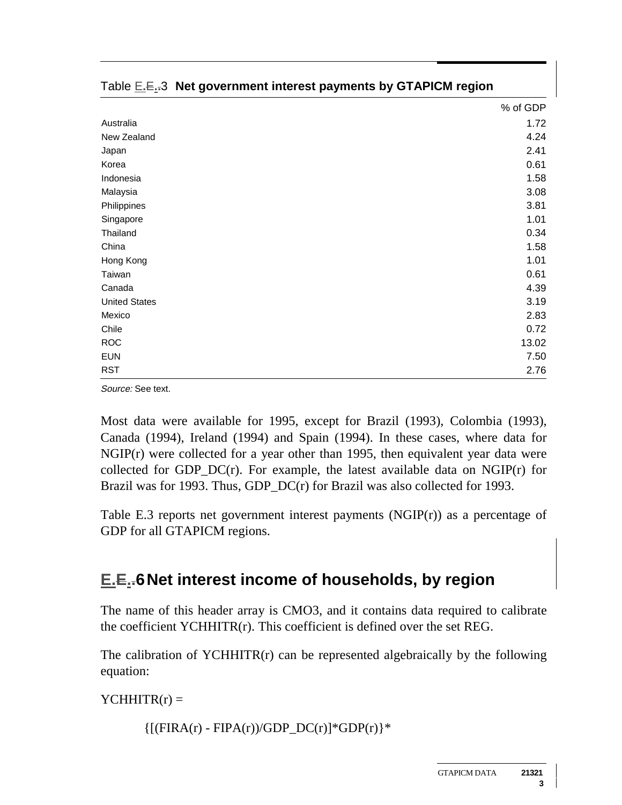|                      | % of GDP |
|----------------------|----------|
| Australia            | 1.72     |
| New Zealand          | 4.24     |
| Japan                | 2.41     |
| Korea                | 0.61     |
| Indonesia            | 1.58     |
| Malaysia             | 3.08     |
| Philippines          | 3.81     |
| Singapore            | 1.01     |
| Thailand             | 0.34     |
| China                | 1.58     |
| Hong Kong            | 1.01     |
| Taiwan               | 0.61     |
| Canada               | 4.39     |
| <b>United States</b> | 3.19     |
| Mexico               | 2.83     |
| Chile                | 0.72     |
| <b>ROC</b>           | 13.02    |
| <b>EUN</b>           | 7.50     |
| <b>RST</b>           | 2.76     |

#### Table E**.**E**..**3 **Net government interest payments by GTAPICM region**

Source: See text.

Most data were available for 1995, except for Brazil (1993), Colombia (1993), Canada (1994), Ireland (1994) and Spain (1994). In these cases, where data for NGIP(r) were collected for a year other than 1995, then equivalent year data were collected for GDP  $DC(r)$ . For example, the latest available data on NGIP $(r)$  for Brazil was for 1993. Thus, GDP\_DC(r) for Brazil was also collected for 1993.

Table E.3 reports net government interest payments (NGIP(r)) as a percentage of GDP for all GTAPICM regions.

### **E.E..6Net interest income of households, by region**

The name of this header array is CMO3, and it contains data required to calibrate the coefficient YCHHITR(r). This coefficient is defined over the set REG.

The calibration of YCHHITR(r) can be represented algebraically by the following equation:

 $YCHHITR(r) =$ 

 ${[(FIRA(r) - FIPA(r))/GDP\_DC(r)]*GDP(r)}*$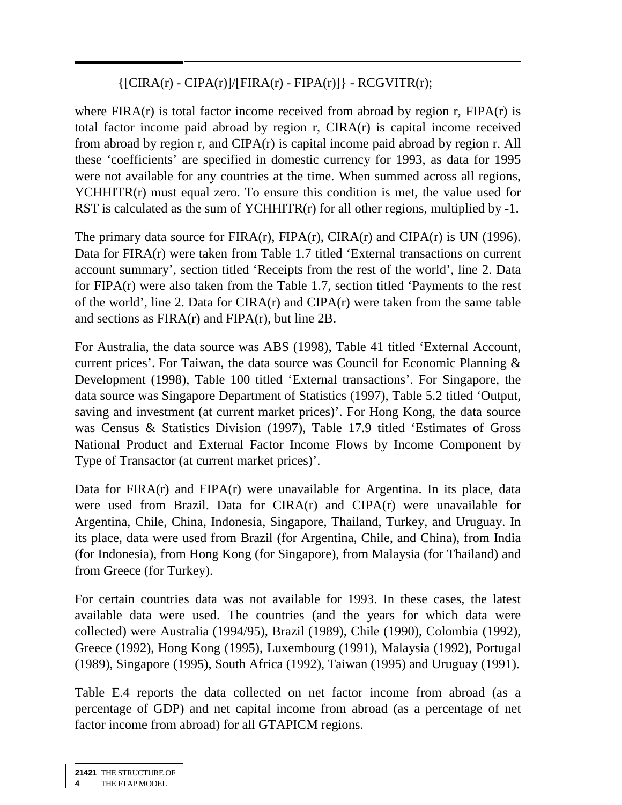#### ${[CIRA(r) - CIPA(r)] / [FIRA(r) - FIPA(r)] } - RCGVITR(r);$

where  $FIRA(r)$  is total factor income received from abroad by region r,  $FIPA(r)$  is total factor income paid abroad by region r, CIRA(r) is capital income received from abroad by region r, and CIPA(r) is capital income paid abroad by region r. All these 'coefficients' are specified in domestic currency for 1993, as data for 1995 were not available for any countries at the time. When summed across all regions, YCHHITR(r) must equal zero. To ensure this condition is met, the value used for RST is calculated as the sum of YCHHITR(r) for all other regions, multiplied by -1.

The primary data source for  $FIRA(r)$ ,  $FIPA(r)$ ,  $CIRA(r)$  and  $CIPA(r)$  is UN (1996). Data for FIRA(r) were taken from Table 1.7 titled 'External transactions on current account summary', section titled 'Receipts from the rest of the world', line 2. Data for FIPA(r) were also taken from the Table 1.7, section titled 'Payments to the rest of the world', line 2. Data for CIRA(r) and CIPA(r) were taken from the same table and sections as FIRA(r) and FIPA(r), but line 2B.

For Australia, the data source was ABS (1998), Table 41 titled 'External Account, current prices'. For Taiwan, the data source was Council for Economic Planning & Development (1998), Table 100 titled 'External transactions'. For Singapore, the data source was Singapore Department of Statistics (1997), Table 5.2 titled 'Output, saving and investment (at current market prices)'. For Hong Kong, the data source was Census & Statistics Division (1997), Table 17.9 titled 'Estimates of Gross National Product and External Factor Income Flows by Income Component by Type of Transactor (at current market prices)'.

Data for  $FIRA(r)$  and  $FIPA(r)$  were unavailable for Argentina. In its place, data were used from Brazil. Data for CIRA(r) and CIPA(r) were unavailable for Argentina, Chile, China, Indonesia, Singapore, Thailand, Turkey, and Uruguay. In its place, data were used from Brazil (for Argentina, Chile, and China), from India (for Indonesia), from Hong Kong (for Singapore), from Malaysia (for Thailand) and from Greece (for Turkey).

For certain countries data was not available for 1993. In these cases, the latest available data were used. The countries (and the years for which data were collected) were Australia (1994/95), Brazil (1989), Chile (1990), Colombia (1992), Greece (1992), Hong Kong (1995), Luxembourg (1991), Malaysia (1992), Portugal (1989), Singapore (1995), South Africa (1992), Taiwan (1995) and Uruguay (1991).

Table E.4 reports the data collected on net factor income from abroad (as a percentage of GDP) and net capital income from abroad (as a percentage of net factor income from abroad) for all GTAPICM regions.

**<sup>21421</sup>** THE STRUCTURE OF

**<sup>4</sup>** THE FTAP MODEL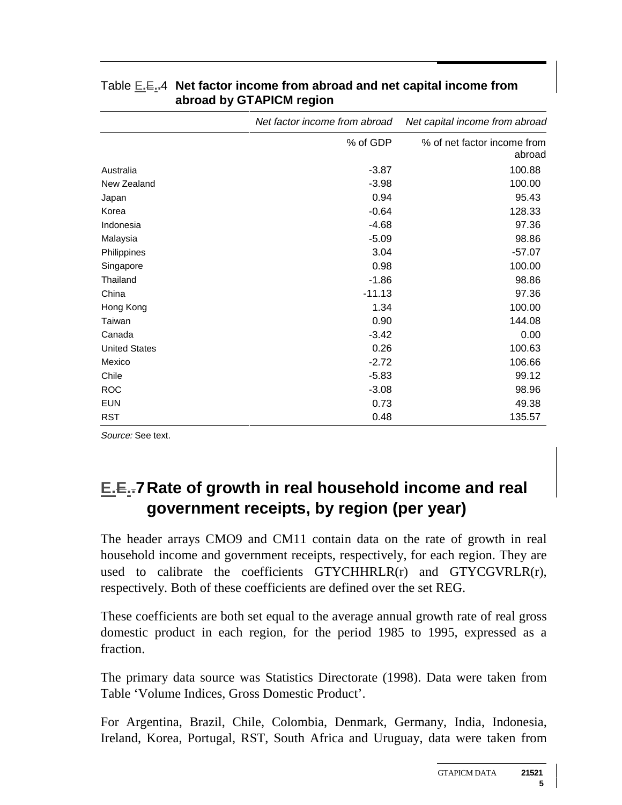|                      | Net factor income from abroad | Net capital income from abroad        |
|----------------------|-------------------------------|---------------------------------------|
|                      | % of GDP                      | % of net factor income from<br>abroad |
| Australia            | $-3.87$                       | 100.88                                |
| New Zealand          | $-3.98$                       | 100.00                                |
| Japan                | 0.94                          | 95.43                                 |
| Korea                | $-0.64$                       | 128.33                                |
| Indonesia            | $-4.68$                       | 97.36                                 |
| Malaysia             | $-5.09$                       | 98.86                                 |
| Philippines          | 3.04                          | $-57.07$                              |
| Singapore            | 0.98                          | 100.00                                |
| Thailand             | $-1.86$                       | 98.86                                 |
| China                | $-11.13$                      | 97.36                                 |
| Hong Kong            | 1.34                          | 100.00                                |
| Taiwan               | 0.90                          | 144.08                                |
| Canada               | $-3.42$                       | 0.00                                  |
| <b>United States</b> | 0.26                          | 100.63                                |
| Mexico               | $-2.72$                       | 106.66                                |
| Chile                | $-5.83$                       | 99.12                                 |
| <b>ROC</b>           | $-3.08$                       | 98.96                                 |
| <b>EUN</b>           | 0.73                          | 49.38                                 |
| <b>RST</b>           | 0.48                          | 135.57                                |

#### Table E**.**E**..**4 **Net factor income from abroad and net capital income from abroad by GTAPICM region**

Source: See text.

### **E.E..7Rate of growth in real household income and real government receipts, by region (per year)**

The header arrays CMO9 and CM11 contain data on the rate of growth in real household income and government receipts, respectively, for each region. They are used to calibrate the coefficients GTYCHHRLR(r) and GTYCGVRLR(r), respectively. Both of these coefficients are defined over the set REG.

These coefficients are both set equal to the average annual growth rate of real gross domestic product in each region, for the period 1985 to 1995, expressed as a fraction.

The primary data source was Statistics Directorate (1998). Data were taken from Table 'Volume Indices, Gross Domestic Product'.

For Argentina, Brazil, Chile, Colombia, Denmark, Germany, India, Indonesia, Ireland, Korea, Portugal, RST, South Africa and Uruguay, data were taken from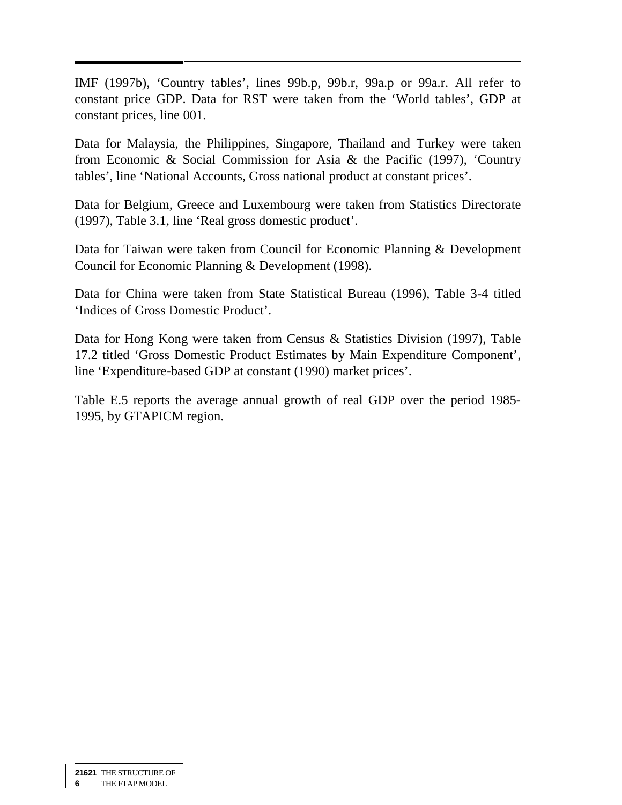IMF (1997b), 'Country tables', lines 99b.p, 99b.r, 99a.p or 99a.r. All refer to constant price GDP. Data for RST were taken from the 'World tables', GDP at constant prices, line 001.

Data for Malaysia, the Philippines, Singapore, Thailand and Turkey were taken from Economic & Social Commission for Asia & the Pacific (1997), 'Country tables', line 'National Accounts, Gross national product at constant prices'.

Data for Belgium, Greece and Luxembourg were taken from Statistics Directorate (1997), Table 3.1, line 'Real gross domestic product'.

Data for Taiwan were taken from Council for Economic Planning & Development Council for Economic Planning & Development (1998).

Data for China were taken from State Statistical Bureau (1996), Table 3-4 titled 'Indices of Gross Domestic Product'.

Data for Hong Kong were taken from Census & Statistics Division (1997), Table 17.2 titled 'Gross Domestic Product Estimates by Main Expenditure Component', line 'Expenditure-based GDP at constant (1990) market prices'.

Table E.5 reports the average annual growth of real GDP over the period 1985- 1995, by GTAPICM region.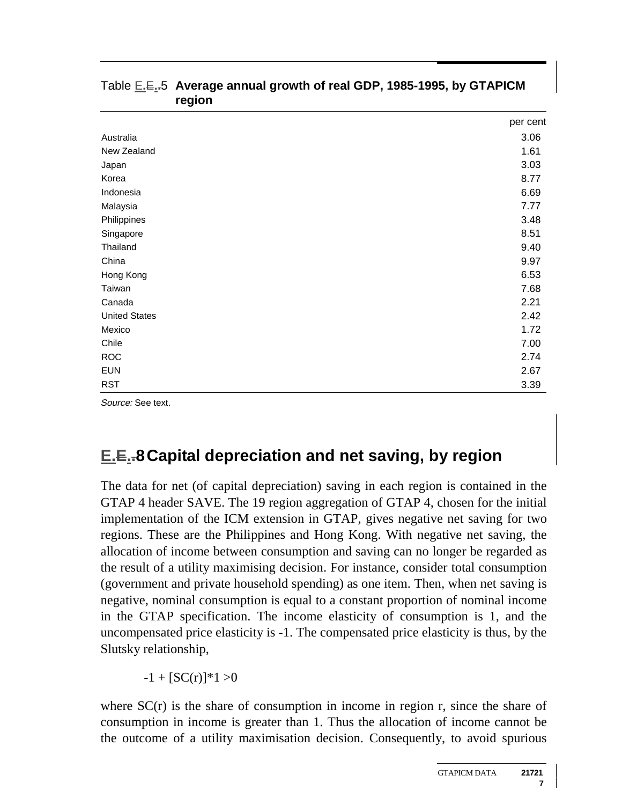|                      | per cent |
|----------------------|----------|
| Australia            | 3.06     |
| New Zealand          | 1.61     |
| Japan                | 3.03     |
| Korea                | 8.77     |
| Indonesia            | 6.69     |
| Malaysia             | 7.77     |
| Philippines          | 3.48     |
| Singapore            | 8.51     |
| Thailand             | 9.40     |
| China                | 9.97     |
| Hong Kong            | 6.53     |
| Taiwan               | 7.68     |
| Canada               | 2.21     |
| <b>United States</b> | 2.42     |
| Mexico               | 1.72     |
| Chile                | 7.00     |
| <b>ROC</b>           | 2.74     |
| <b>EUN</b>           | 2.67     |
| <b>RST</b>           | 3.39     |

Table E**.**E**..**5 **Average annual growth of real GDP, 1985-1995, by GTAPICM region**

Source: See text.

### **E.E..8Capital depreciation and net saving, by region**

The data for net (of capital depreciation) saving in each region is contained in the GTAP 4 header SAVE. The 19 region aggregation of GTAP 4, chosen for the initial implementation of the ICM extension in GTAP, gives negative net saving for two regions. These are the Philippines and Hong Kong. With negative net saving, the allocation of income between consumption and saving can no longer be regarded as the result of a utility maximising decision. For instance, consider total consumption (government and private household spending) as one item. Then, when net saving is negative, nominal consumption is equal to a constant proportion of nominal income in the GTAP specification. The income elasticity of consumption is 1, and the uncompensated price elasticity is -1. The compensated price elasticity is thus, by the Slutsky relationship,

 $-1 + [SC(r)]^{*}1 > 0$ 

where  $SC(r)$  is the share of consumption in income in region r, since the share of consumption in income is greater than 1. Thus the allocation of income cannot be the outcome of a utility maximisation decision. Consequently, to avoid spurious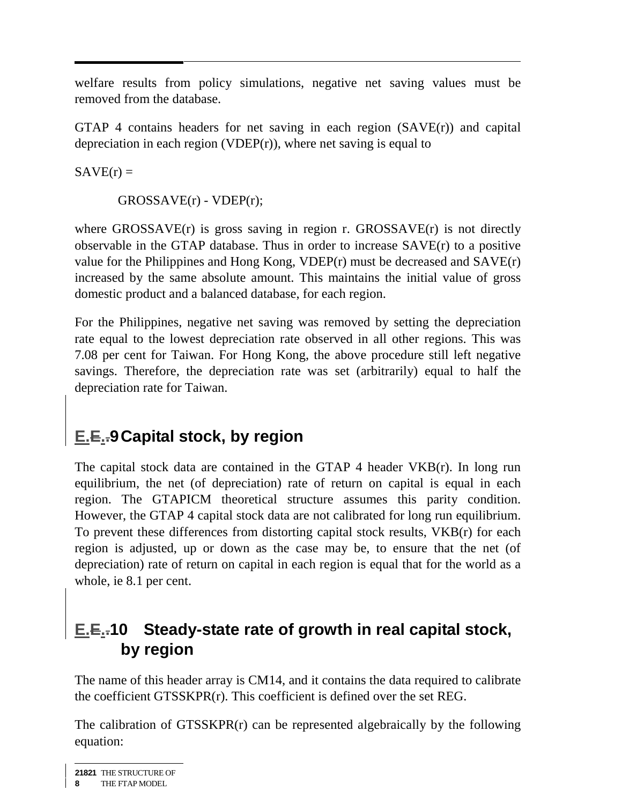welfare results from policy simulations, negative net saving values must be removed from the database.

GTAP 4 contains headers for net saving in each region (SAVE(r)) and capital depreciation in each region (VDEP $(r)$ ), where net saving is equal to

 $SAVE(r) =$ 

GROSSAVE(r) - VDEP(r);

where GROSSAVE(r) is gross saving in region r. GROSSAVE(r) is not directly observable in the GTAP database. Thus in order to increase SAVE(r) to a positive value for the Philippines and Hong Kong,  $VDEP(r)$  must be decreased and  $SAVE(r)$ increased by the same absolute amount. This maintains the initial value of gross domestic product and a balanced database, for each region.

For the Philippines, negative net saving was removed by setting the depreciation rate equal to the lowest depreciation rate observed in all other regions. This was 7.08 per cent for Taiwan. For Hong Kong, the above procedure still left negative savings. Therefore, the depreciation rate was set (arbitrarily) equal to half the depreciation rate for Taiwan.

# **E.E..9Capital stock, by region**

The capital stock data are contained in the GTAP 4 header VKB(r). In long run equilibrium, the net (of depreciation) rate of return on capital is equal in each region. The GTAPICM theoretical structure assumes this parity condition. However, the GTAP 4 capital stock data are not calibrated for long run equilibrium. To prevent these differences from distorting capital stock results, VKB(r) for each region is adjusted, up or down as the case may be, to ensure that the net (of depreciation) rate of return on capital in each region is equal that for the world as a whole, ie 8.1 per cent.

### **E.E..10 Steady-state rate of growth in real capital stock, by region**

The name of this header array is CM14, and it contains the data required to calibrate the coefficient GTSSKPR(r). This coefficient is defined over the set REG.

The calibration of GTSSKPR(r) can be represented algebraically by the following equation:

**<sup>21821</sup>** THE STRUCTURE OF **8** THE FTAP MODEL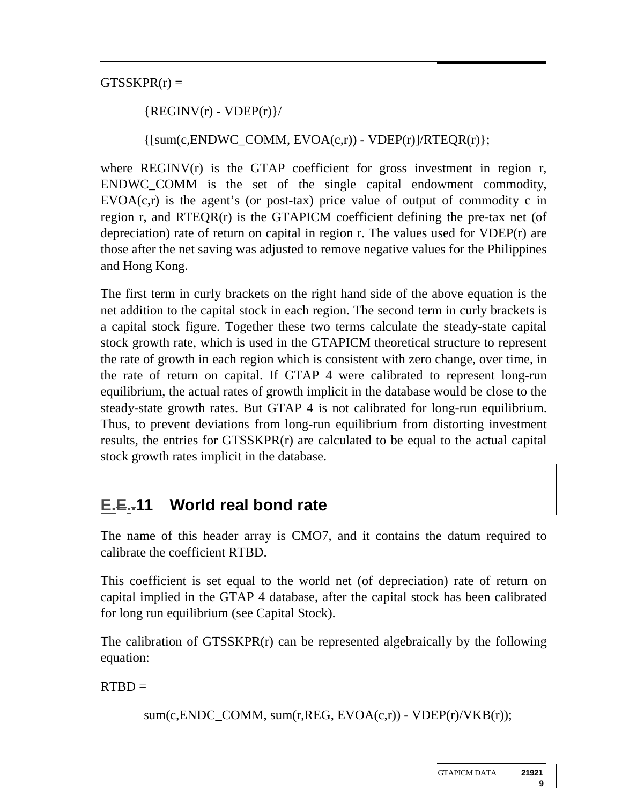$GTSSKPR(r) =$ 

```
{REGINV(r) - VDEP(r)}/
```
 ${\rm [sum(c, ENDWC\_COMM, EVOA(c,r)) - VDEP(r)]/RTEQR(r)}$ ;

where  $REGINV(r)$  is the GTAP coefficient for gross investment in region r, ENDWC\_COMM is the set of the single capital endowment commodity,  $EVOA(c,r)$  is the agent's (or post-tax) price value of output of commodity c in region r, and RTEQR(r) is the GTAPICM coefficient defining the pre-tax net (of depreciation) rate of return on capital in region r. The values used for VDEP(r) are those after the net saving was adjusted to remove negative values for the Philippines and Hong Kong.

The first term in curly brackets on the right hand side of the above equation is the net addition to the capital stock in each region. The second term in curly brackets is a capital stock figure. Together these two terms calculate the steady-state capital stock growth rate, which is used in the GTAPICM theoretical structure to represent the rate of growth in each region which is consistent with zero change, over time, in the rate of return on capital. If GTAP 4 were calibrated to represent long-run equilibrium, the actual rates of growth implicit in the database would be close to the steady-state growth rates. But GTAP 4 is not calibrated for long-run equilibrium. Thus, to prevent deviations from long-run equilibrium from distorting investment results, the entries for GTSSKPR(r) are calculated to be equal to the actual capital stock growth rates implicit in the database.

# **E.E..11 World real bond rate**

The name of this header array is CMO7, and it contains the datum required to calibrate the coefficient RTBD.

This coefficient is set equal to the world net (of depreciation) rate of return on capital implied in the GTAP 4 database, after the capital stock has been calibrated for long run equilibrium (see Capital Stock).

The calibration of GTSSKPR(r) can be represented algebraically by the following equation:

 $RTBD =$ 

```
sum(c,ENDC_COMM, sum(r,REG, EVOA(c,r)) - VDEP(r)/VKB(r));
```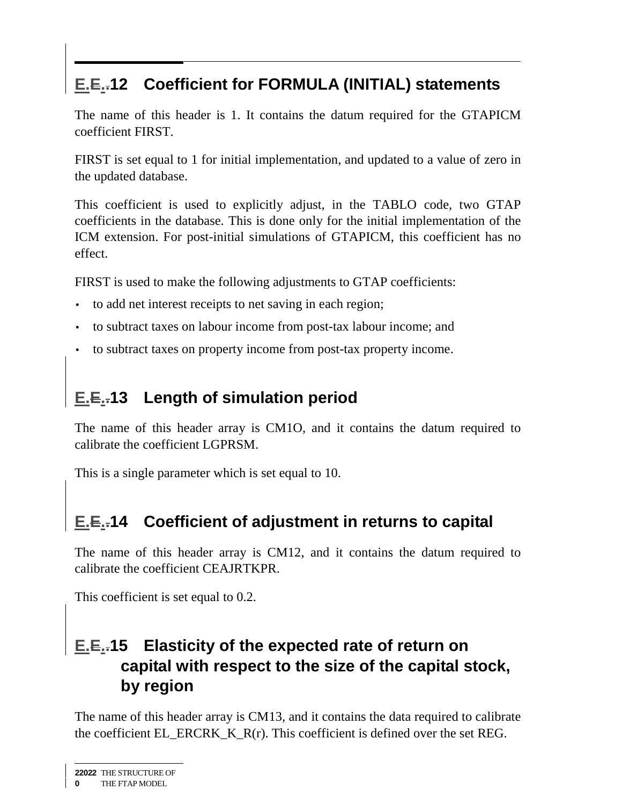# **E.E..12 Coefficient for FORMULA (INITIAL) statements**

The name of this header is 1. It contains the datum required for the GTAPICM coefficient FIRST.

FIRST is set equal to 1 for initial implementation, and updated to a value of zero in the updated database.

This coefficient is used to explicitly adjust, in the TABLO code, two GTAP coefficients in the database. This is done only for the initial implementation of the ICM extension. For post-initial simulations of GTAPICM, this coefficient has no effect.

FIRST is used to make the following adjustments to GTAP coefficients:

- to add net interest receipts to net saving in each region;
- to subtract taxes on labour income from post-tax labour income; and
- to subtract taxes on property income from post-tax property income.

# **E.E..13 Length of simulation period**

The name of this header array is CM1O, and it contains the datum required to calibrate the coefficient LGPRSM.

This is a single parameter which is set equal to 10.

# **E.E..14 Coefficient of adjustment in returns to capital**

The name of this header array is CM12, and it contains the datum required to calibrate the coefficient CEAJRTKPR.

This coefficient is set equal to 0.2.

### **E.E..15 Elasticity of the expected rate of return on capital with respect to the size of the capital stock, by region**

The name of this header array is CM13, and it contains the data required to calibrate the coefficient EL\_ERCRK\_K\_R(r). This coefficient is defined over the set REG.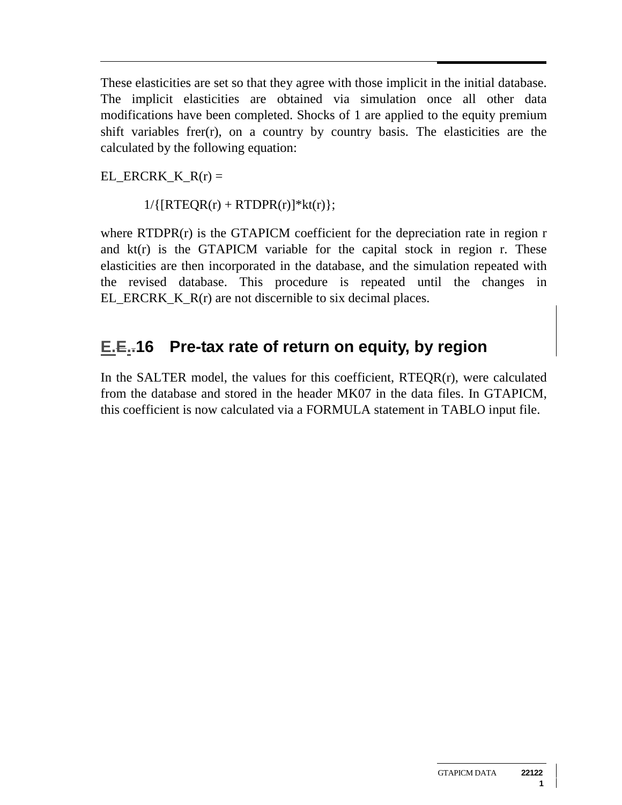These elasticities are set so that they agree with those implicit in the initial database. The implicit elasticities are obtained via simulation once all other data modifications have been completed. Shocks of 1 are applied to the equity premium shift variables frer(r), on a country by country basis. The elasticities are the calculated by the following equation:

 $EL$   $ERCRK$   $_K$   $R(r)$  =

 $1/{[RTEQR(r) + RTDPR(r)]^{*}kt(r)}$ ;

where RTDPR(r) is the GTAPICM coefficient for the depreciation rate in region r and  $kt(r)$  is the GTAPICM variable for the capital stock in region r. These elasticities are then incorporated in the database, and the simulation repeated with the revised database. This procedure is repeated until the changes in EL\_ERCRK\_K\_R(r) are not discernible to six decimal places.

# **E.E..16 Pre-tax rate of return on equity, by region**

In the SALTER model, the values for this coefficient,  $RTEQR(r)$ , were calculated from the database and stored in the header MK07 in the data files. In GTAPICM, this coefficient is now calculated via a FORMULA statement in TABLO input file.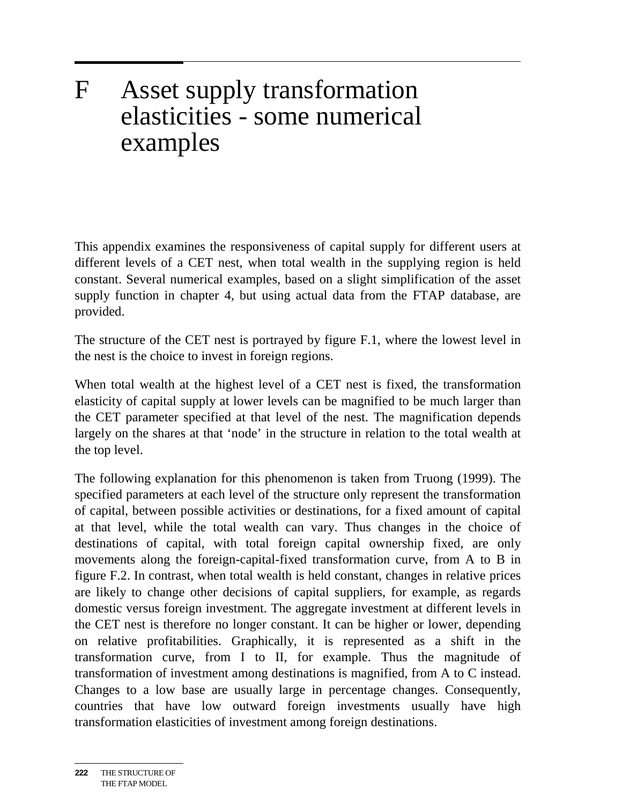# F Asset supply transformation elasticities - some numerical examples

This appendix examines the responsiveness of capital supply for different users at different levels of a CET nest, when total wealth in the supplying region is held constant. Several numerical examples, based on a slight simplification of the asset supply function in chapter 4, but using actual data from the FTAP database, are provided.

The structure of the CET nest is portrayed by figure F.1, where the lowest level in the nest is the choice to invest in foreign regions.

When total wealth at the highest level of a CET nest is fixed, the transformation elasticity of capital supply at lower levels can be magnified to be much larger than the CET parameter specified at that level of the nest. The magnification depends largely on the shares at that 'node' in the structure in relation to the total wealth at the top level.

The following explanation for this phenomenon is taken from Truong (1999). The specified parameters at each level of the structure only represent the transformation of capital, between possible activities or destinations, for a fixed amount of capital at that level, while the total wealth can vary. Thus changes in the choice of destinations of capital, with total foreign capital ownership fixed, are only movements along the foreign-capital-fixed transformation curve, from A to B in figure F.2. In contrast, when total wealth is held constant, changes in relative prices are likely to change other decisions of capital suppliers, for example, as regards domestic versus foreign investment. The aggregate investment at different levels in the CET nest is therefore no longer constant. It can be higher or lower, depending on relative profitabilities. Graphically, it is represented as a shift in the transformation curve, from I to II, for example. Thus the magnitude of transformation of investment among destinations is magnified, from A to C instead. Changes to a low base are usually large in percentage changes. Consequently, countries that have low outward foreign investments usually have high transformation elasticities of investment among foreign destinations.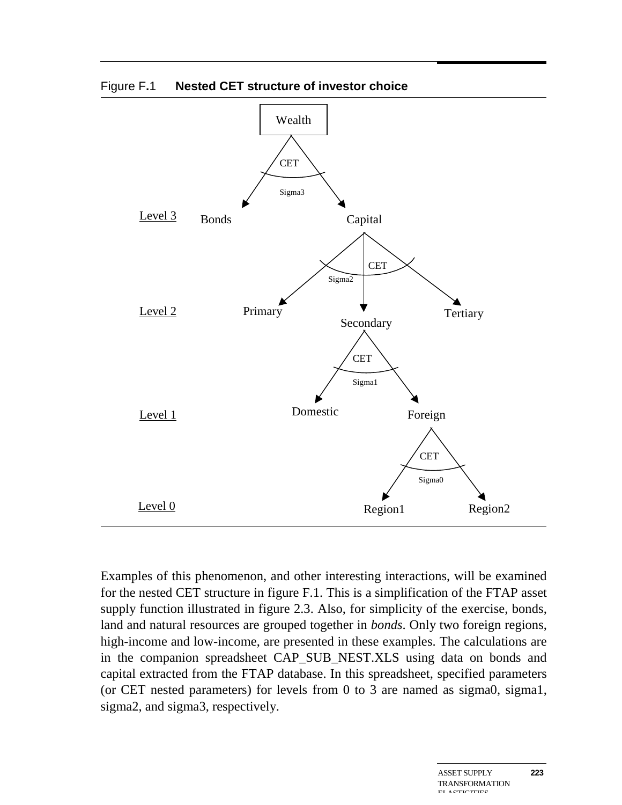

Figure F**.**1 **Nested CET structure of investor choice**

Examples of this phenomenon, and other interesting interactions, will be examined for the nested CET structure in figure F.1. This is a simplification of the FTAP asset supply function illustrated in figure 2.3. Also, for simplicity of the exercise, bonds, land and natural resources are grouped together in *bonds*. Only two foreign regions, high-income and low-income, are presented in these examples. The calculations are in the companion spreadsheet CAP\_SUB\_NEST.XLS using data on bonds and capital extracted from the FTAP database. In this spreadsheet, specified parameters (or CET nested parameters) for levels from 0 to 3 are named as sigma0, sigma1, sigma2, and sigma3, respectively.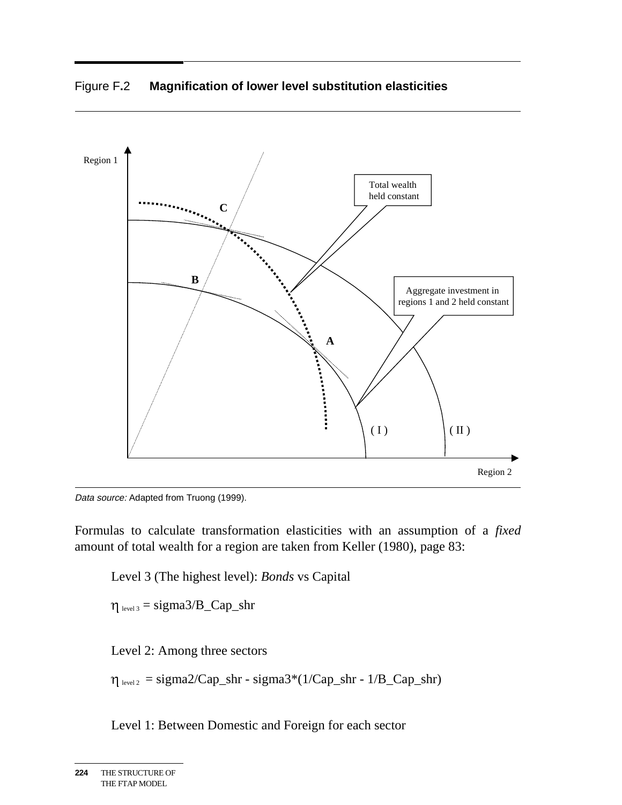

#### Figure F**.**2 **Magnification of lower level substitution elasticities**

Data source: Adapted from Truong (1999).

Formulas to calculate transformation elasticities with an assumption of a *fixed* amount of total wealth for a region are taken from Keller (1980), page 83:

Level 3 (The highest level): *Bonds* vs Capital

 $\eta_{\text{level }3} = \text{sigma3/B\_Cap\_shr}$ 

Level 2: Among three sectors

 $\eta_{\text{level 2}} = \text{sigma2/Cap\_shr} - \text{sigma3*(1/Cap\_shr} - 1/B_Cap\_shr)$ 

Level 1: Between Domestic and Foreign for each sector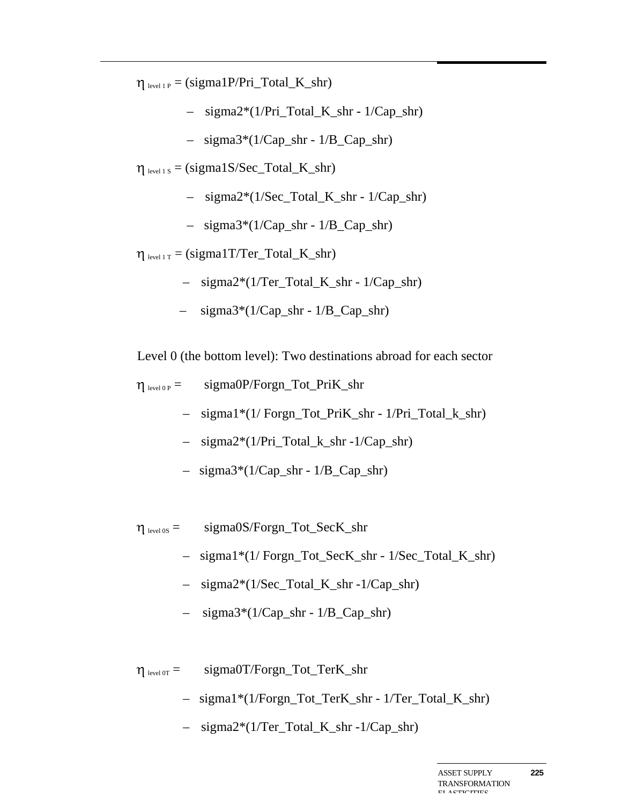$\eta_{\text{level 1 P}} = (sigma1P/Pri\_Total\_K\_shr)$ 

- sigma2\*(1/Pri\_Total\_K\_shr 1/Cap\_shr)
- $-$  sigma3\*(1/Cap\_shr 1/B\_Cap\_shr)

 $\eta_{\text{level 1 s}} = (\text{sigma1S/Sec\_Total\_K\_shr})$ 

- $-$  sigma2\*(1/Sec\_Total\_K\_shr 1/Cap\_shr)
- $-$  sigma3\*(1/Cap\_shr 1/B\_Cap\_shr)

 $\eta_{\text{level 1 T}} = (signal T/Ter\_Total_K_shr)$ 

- sigma2\*(1/Ter\_Total\_K\_shr 1/Cap\_shr)
- $-$  sigma3\*(1/Cap\_shr 1/B\_Cap\_shr)

Level 0 (the bottom level): Two destinations abroad for each sector

$$
\eta_{\text{ level 0 P}} = \text{sigma0P/Forgn\_Tot\_PriK\_shr}
$$

- $-$  sigma1\*(1/ Forgn\_Tot\_PriK\_shr 1/Pri\_Total\_k\_shr)
- sigma2\*(1/Pri\_Total\_k\_shr -1/Cap\_shr)
- $-$  sigma3\*(1/Cap\_shr 1/B\_Cap\_shr)

 $\eta_{\text{level 0S}} = \text{sigmaOS/Forgan\_Tot\_SecK\_shr}$ 

- sigma1\*(1/ Forgn\_Tot\_SecK\_shr 1/Sec\_Total\_K\_shr)
- sigma2\*(1/Sec\_Total\_K\_shr -1/Cap\_shr)
- $-$  sigma3\*(1/Cap\_shr 1/B\_Cap\_shr)
- $\eta_{\text{level } 0T} =$  sigma0T/Forgn\_Tot\_TerK\_shr
	- sigma1\*(1/Forgn\_Tot\_TerK\_shr 1/Ter\_Total\_K\_shr)
	- sigma2\*(1/Ter\_Total\_K\_shr -1/Cap\_shr)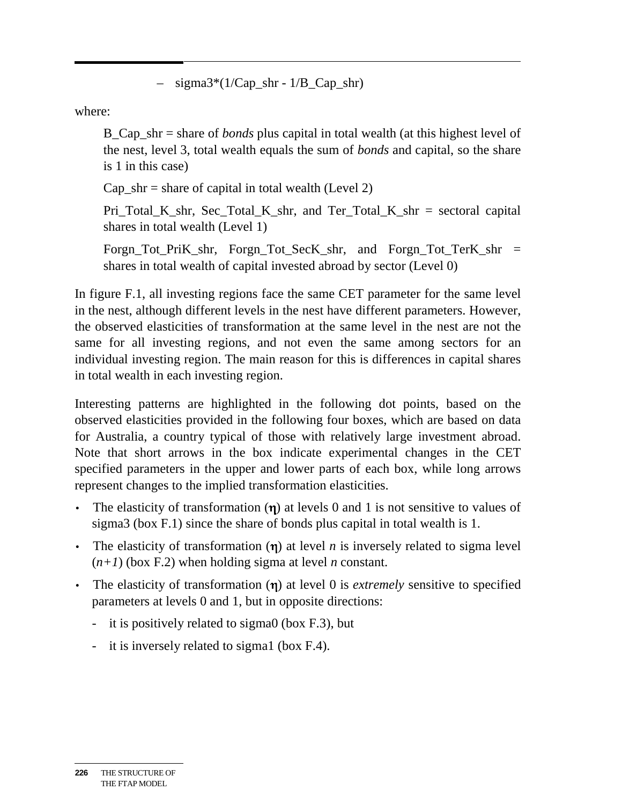$-$  sigma3\*(1/Cap\_shr - 1/B\_Cap\_shr)

where:

B\_Cap\_shr = share of *bonds* plus capital in total wealth (at this highest level of the nest, level 3, total wealth equals the sum of *bonds* and capital, so the share is 1 in this case)

 $Cap<sub>sub</sub>$ shr = share of capital in total wealth (Level 2)

 $Pr$ *\_Total\_K\_shr, Sec\_Total\_K\_shr, and Ter\_Total\_K\_shr = sectoral capital* shares in total wealth (Level 1)

Forgn\_Tot\_PriK\_shr, Forgn\_Tot\_SecK\_shr, and Forgn\_Tot\_TerK\_shr = shares in total wealth of capital invested abroad by sector (Level 0)

In figure F.1, all investing regions face the same CET parameter for the same level in the nest, although different levels in the nest have different parameters. However, the observed elasticities of transformation at the same level in the nest are not the same for all investing regions, and not even the same among sectors for an individual investing region. The main reason for this is differences in capital shares in total wealth in each investing region.

Interesting patterns are highlighted in the following dot points, based on the observed elasticities provided in the following four boxes, which are based on data for Australia, a country typical of those with relatively large investment abroad. Note that short arrows in the box indicate experimental changes in the CET specified parameters in the upper and lower parts of each box, while long arrows represent changes to the implied transformation elasticities.

- The elasticity of transformation  $(\eta)$  at levels 0 and 1 is not sensitive to values of sigma3 (box F.1) since the share of bonds plus capital in total wealth is 1.
- The elasticity of transformation  $(\eta)$  at level *n* is inversely related to sigma level  $(n+1)$  (box F.2) when holding sigma at level *n* constant.
- The elasticity of transformation (**q**) at level 0 is *extremely* sensitive to specified parameters at levels 0 and 1, but in opposite directions:
	- it is positively related to sigma0 (box F.3), but
	- it is inversely related to sigma1 (box F.4).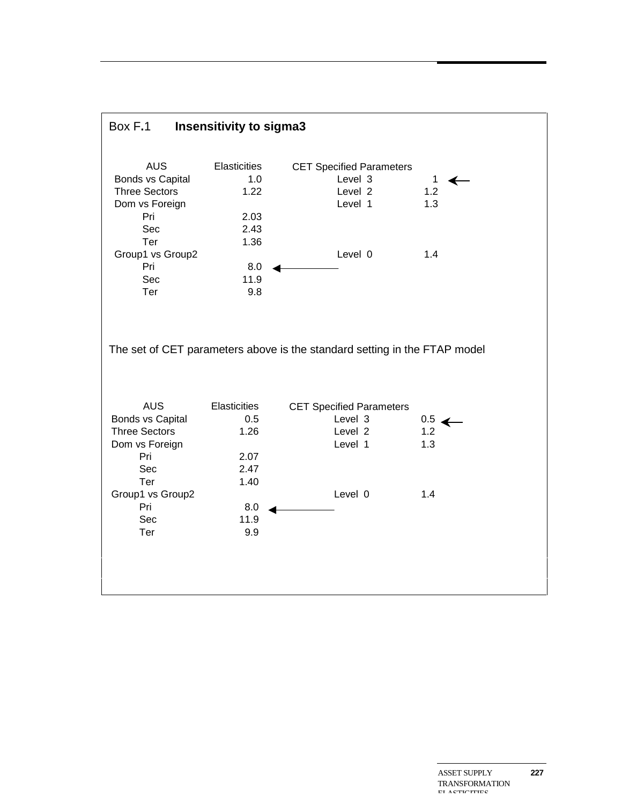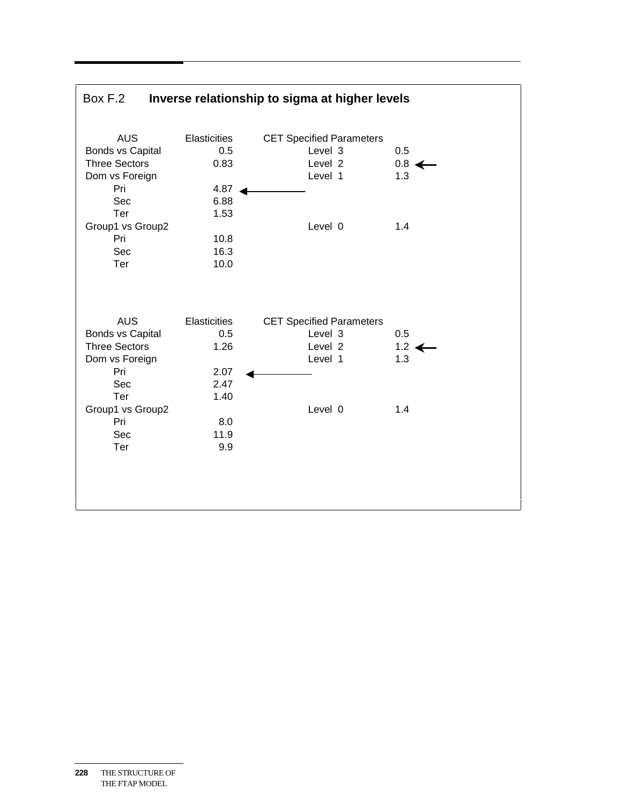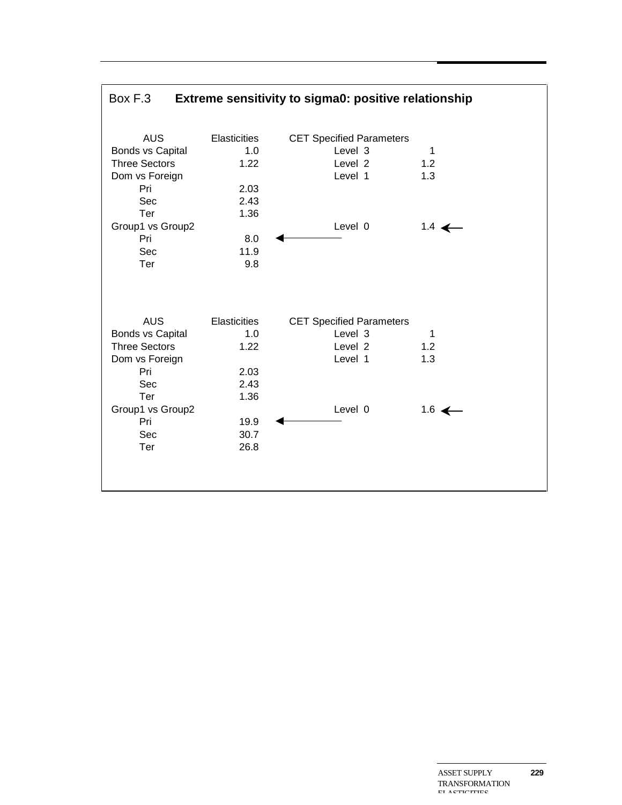| Box F.3                                                                                                                         |                                                                            | Extreme sensitivity to sigma0: positive relationship                        |                                     |
|---------------------------------------------------------------------------------------------------------------------------------|----------------------------------------------------------------------------|-----------------------------------------------------------------------------|-------------------------------------|
| <b>AUS</b>                                                                                                                      | <b>Elasticities</b>                                                        | <b>CET Specified Parameters</b>                                             |                                     |
| Bonds vs Capital                                                                                                                | 1.0                                                                        | Level 3                                                                     | 1                                   |
| <b>Three Sectors</b>                                                                                                            | 1.22                                                                       | Level 2                                                                     | 1.2                                 |
| Dom vs Foreign                                                                                                                  |                                                                            | Level 1                                                                     | 1.3                                 |
| Pri                                                                                                                             | 2.03                                                                       |                                                                             |                                     |
| Sec                                                                                                                             | 2.43                                                                       |                                                                             |                                     |
| Ter                                                                                                                             | 1.36                                                                       |                                                                             |                                     |
| Group1 vs Group2                                                                                                                |                                                                            | Level 0                                                                     | $1.4 \leftarrow$                    |
| Pri                                                                                                                             | 8.0                                                                        |                                                                             |                                     |
| Sec                                                                                                                             | 11.9                                                                       |                                                                             |                                     |
| Ter                                                                                                                             | 9.8                                                                        |                                                                             |                                     |
| <b>AUS</b><br>Bonds vs Capital<br><b>Three Sectors</b><br>Dom vs Foreign<br>Pri<br>Sec<br>Ter<br>Group1 vs Group2<br>Pri<br>Sec | <b>Elasticities</b><br>1.0<br>1.22<br>2.03<br>2.43<br>1.36<br>19.9<br>30.7 | <b>CET Specified Parameters</b><br>Level 3<br>Level 2<br>Level 1<br>Level 0 | 1<br>1.2<br>1.3<br>1.6 $\leftarrow$ |
| Ter                                                                                                                             | 26.8                                                                       |                                                                             |                                     |
|                                                                                                                                 |                                                                            |                                                                             |                                     |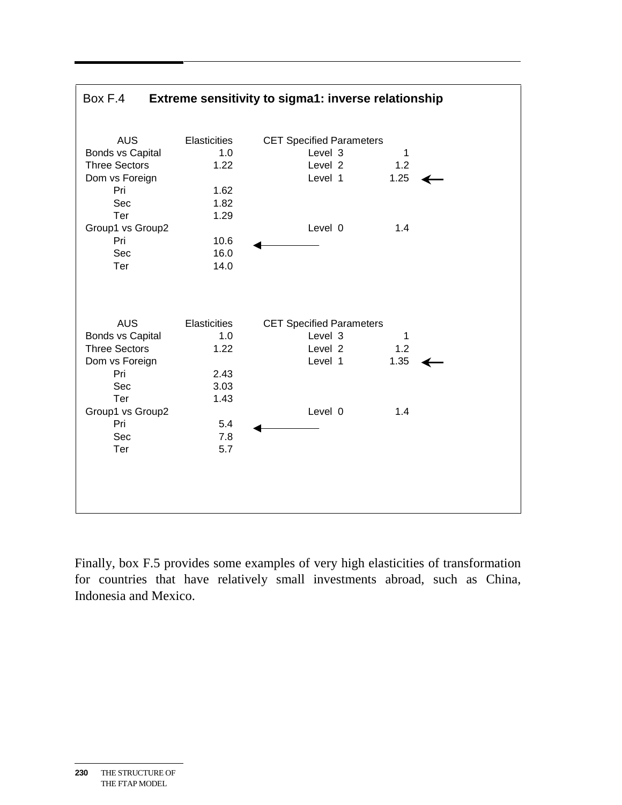

Finally, box F.5 provides some examples of very high elasticities of transformation for countries that have relatively small investments abroad, such as China, Indonesia and Mexico.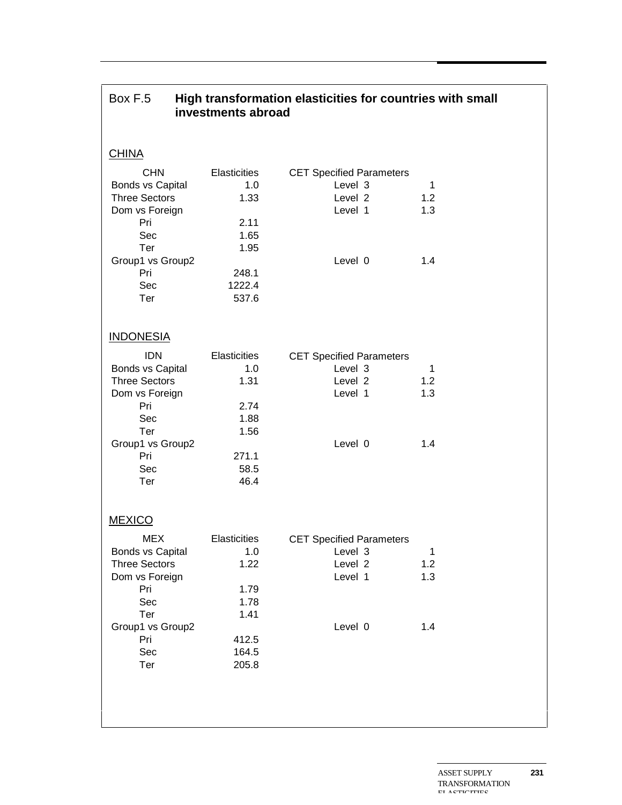| Box F.5<br>High transformation elasticities for countries with small<br>investments abroad |                     |                                 |             |
|--------------------------------------------------------------------------------------------|---------------------|---------------------------------|-------------|
| <b>CHINA</b>                                                                               |                     |                                 |             |
| <b>CHN</b>                                                                                 | <b>Elasticities</b> | <b>CET Specified Parameters</b> |             |
| Bonds vs Capital                                                                           | 1.0                 | Level 3                         | 1           |
| <b>Three Sectors</b>                                                                       | 1.33                | Level 2                         | 1.2         |
| Dom vs Foreign                                                                             |                     | Level 1                         | 1.3         |
| Pri                                                                                        | 2.11                |                                 |             |
| Sec                                                                                        | 1.65                |                                 |             |
| Ter                                                                                        | 1.95                |                                 |             |
| Group1 vs Group2                                                                           |                     | Level 0                         | 1.4         |
| Pri                                                                                        | 248.1               |                                 |             |
| Sec                                                                                        | 1222.4              |                                 |             |
| Ter                                                                                        | 537.6               |                                 |             |
| <b>INDONESIA</b>                                                                           |                     |                                 |             |
| <b>IDN</b>                                                                                 | <b>Elasticities</b> | <b>CET Specified Parameters</b> |             |
| Bonds vs Capital                                                                           | 1.0                 | Level 3                         | 1           |
| <b>Three Sectors</b>                                                                       | 1.31                | Level 2                         | 1.2         |
| Dom vs Foreign                                                                             |                     | Level 1                         | 1.3         |
| Pri                                                                                        | 2.74                |                                 |             |
| Sec                                                                                        | 1.88                |                                 |             |
| Ter                                                                                        | 1.56                |                                 |             |
| Group1 vs Group2                                                                           |                     | Level 0                         | 1.4         |
| Pri                                                                                        | 271.1               |                                 |             |
| Sec                                                                                        | 58.5                |                                 |             |
| Ter                                                                                        | 46.4                |                                 |             |
| <b>MEXICO</b>                                                                              |                     |                                 |             |
| <b>MEX</b>                                                                                 | Elasticities        | <b>CET Specified Parameters</b> |             |
| Bonds vs Capital                                                                           | 1.0                 | Level 3                         | $\mathbf 1$ |
| <b>Three Sectors</b>                                                                       | 1.22                | Level 2                         | 1.2         |
| Dom vs Foreign                                                                             |                     | Level 1                         | 1.3         |
| Pri                                                                                        | 1.79                |                                 |             |
| Sec                                                                                        | 1.78                |                                 |             |
| Ter                                                                                        | 1.41                |                                 |             |
| Group1 vs Group2                                                                           |                     | Level 0                         | 1.4         |
| Pri                                                                                        | 412.5               |                                 |             |
| Sec                                                                                        | 164.5               |                                 |             |
| Ter                                                                                        | 205.8               |                                 |             |
|                                                                                            |                     |                                 |             |
|                                                                                            |                     |                                 |             |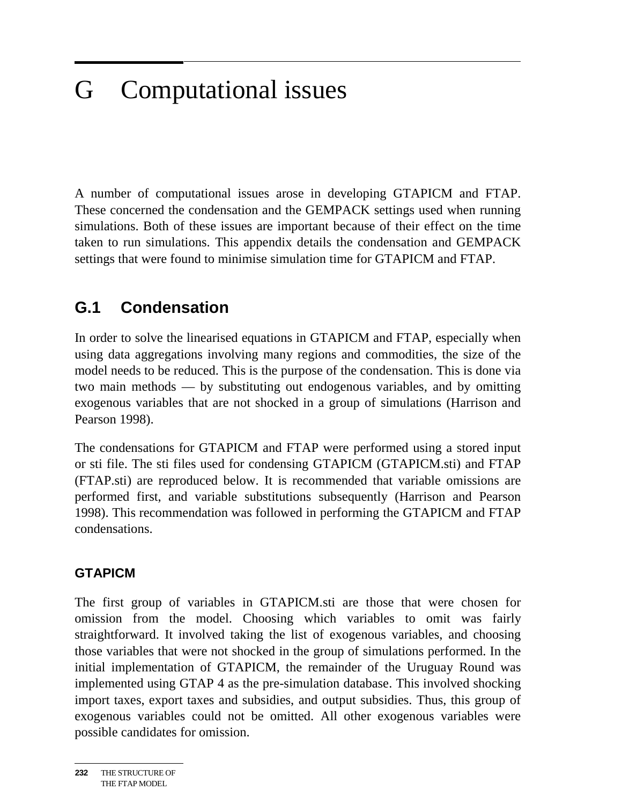# G Computational issues

A number of computational issues arose in developing GTAPICM and FTAP. These concerned the condensation and the GEMPACK settings used when running simulations. Both of these issues are important because of their effect on the time taken to run simulations. This appendix details the condensation and GEMPACK settings that were found to minimise simulation time for GTAPICM and FTAP.

#### **G.1 Condensation**

In order to solve the linearised equations in GTAPICM and FTAP, especially when using data aggregations involving many regions and commodities, the size of the model needs to be reduced. This is the purpose of the condensation. This is done via two main methods — by substituting out endogenous variables, and by omitting exogenous variables that are not shocked in a group of simulations (Harrison and Pearson 1998).

The condensations for GTAPICM and FTAP were performed using a stored input or sti file. The sti files used for condensing GTAPICM (GTAPICM.sti) and FTAP (FTAP.sti) are reproduced below. It is recommended that variable omissions are performed first, and variable substitutions subsequently (Harrison and Pearson 1998). This recommendation was followed in performing the GTAPICM and FTAP condensations.

#### **GTAPICM**

The first group of variables in GTAPICM.sti are those that were chosen for omission from the model. Choosing which variables to omit was fairly straightforward. It involved taking the list of exogenous variables, and choosing those variables that were not shocked in the group of simulations performed. In the initial implementation of GTAPICM, the remainder of the Uruguay Round was implemented using GTAP 4 as the pre-simulation database. This involved shocking import taxes, export taxes and subsidies, and output subsidies. Thus, this group of exogenous variables could not be omitted. All other exogenous variables were possible candidates for omission.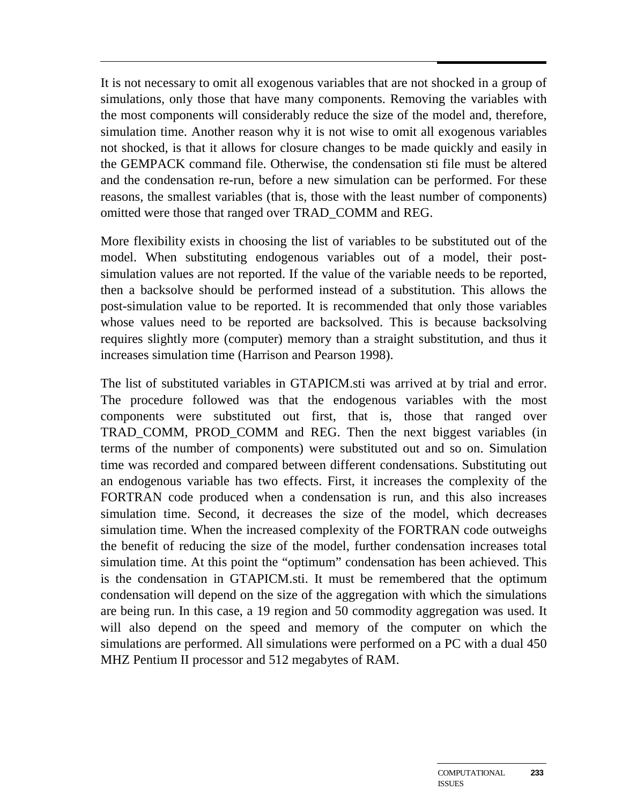It is not necessary to omit all exogenous variables that are not shocked in a group of simulations, only those that have many components. Removing the variables with the most components will considerably reduce the size of the model and, therefore, simulation time. Another reason why it is not wise to omit all exogenous variables not shocked, is that it allows for closure changes to be made quickly and easily in the GEMPACK command file. Otherwise, the condensation sti file must be altered and the condensation re-run, before a new simulation can be performed. For these reasons, the smallest variables (that is, those with the least number of components) omitted were those that ranged over TRAD\_COMM and REG.

More flexibility exists in choosing the list of variables to be substituted out of the model. When substituting endogenous variables out of a model, their postsimulation values are not reported. If the value of the variable needs to be reported, then a backsolve should be performed instead of a substitution. This allows the post-simulation value to be reported. It is recommended that only those variables whose values need to be reported are backsolved. This is because backsolving requires slightly more (computer) memory than a straight substitution, and thus it increases simulation time (Harrison and Pearson 1998).

The list of substituted variables in GTAPICM.sti was arrived at by trial and error. The procedure followed was that the endogenous variables with the most components were substituted out first, that is, those that ranged over TRAD\_COMM, PROD\_COMM and REG. Then the next biggest variables (in terms of the number of components) were substituted out and so on. Simulation time was recorded and compared between different condensations. Substituting out an endogenous variable has two effects. First, it increases the complexity of the FORTRAN code produced when a condensation is run, and this also increases simulation time. Second, it decreases the size of the model, which decreases simulation time. When the increased complexity of the FORTRAN code outweighs the benefit of reducing the size of the model, further condensation increases total simulation time. At this point the "optimum" condensation has been achieved. This is the condensation in GTAPICM.sti. It must be remembered that the optimum condensation will depend on the size of the aggregation with which the simulations are being run. In this case, a 19 region and 50 commodity aggregation was used. It will also depend on the speed and memory of the computer on which the simulations are performed. All simulations were performed on a PC with a dual 450 MHZ Pentium II processor and 512 megabytes of RAM.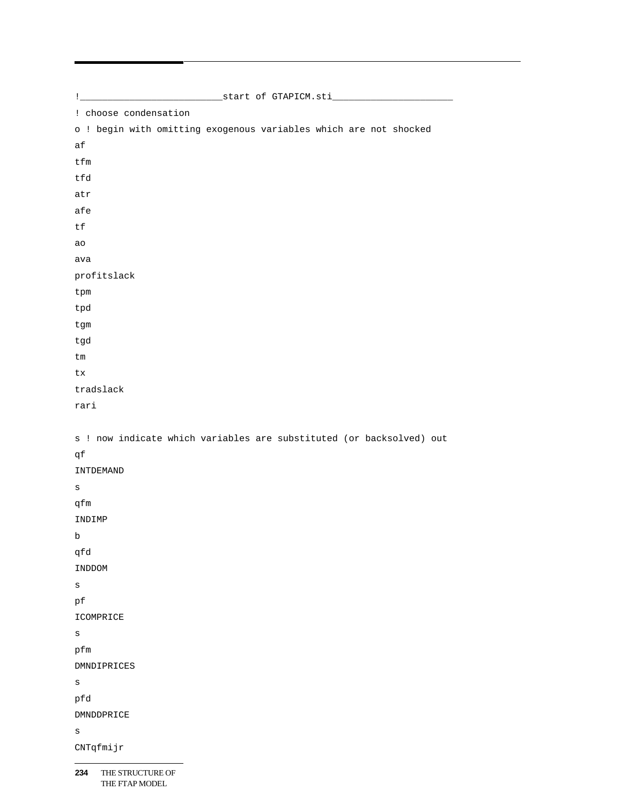$\frac{1}{2}$ ! choose condensation o ! begin with omitting exogenous variables which are not shocked af tfm tfd atr afe  $tf$  $a<sub>o</sub>$ ava profitslack tpm  $tpd$ tgm tgd  $t$ m tx tradslack rari s ! now indicate which variables are substituted (or backsolved) out qf INTDEMAND  $\mathtt{s}$ qfm INDIMP  $\rm{b}$ qfd INDDOM  $\mathtt{s}$ pf ICOMPRICE  $\mathtt{s}$ pfm DMNDIPRICES  $\mathtt{s}$ pfd DMNDDPRICE  $\mathtt{s}$  $CNTqfmijr$ 234 THE STRUCTURE OF

THE FTAP MODEL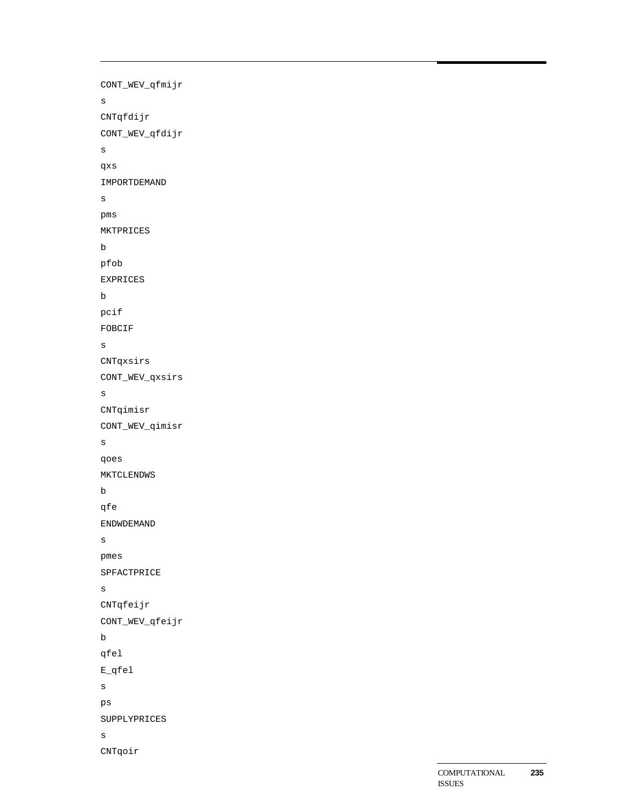```
CONT_WEV_qfmijr
\mathtt{s}CNTqfdijr
CONT_WEV_qfdijr
\mathtt{s}qxs
IMPORTDEMAND
\mathtt{s}pms
MKTPRICES
bpfob
EXPRICES
bpcif
FOBCIF
\mathtt{s}CNTqxsirs
CONT_WEV_qxsirs
\mathtt{s}CNTqimisr
CONT_WEV_qimisr
\mathtt{s}qoes
MKTCLENDWS
\rm{b}qfe
ENDWDEMAND
\mathtt{s}pmes
SPFACTPRICE
\mathtt{s}CNTqfeijr
CONT_WEV_qfeijr
\, b
qfel
E_qfel\mathtt{s}psSUPPLYPRICES
\mathtt{s}CNTgoir
```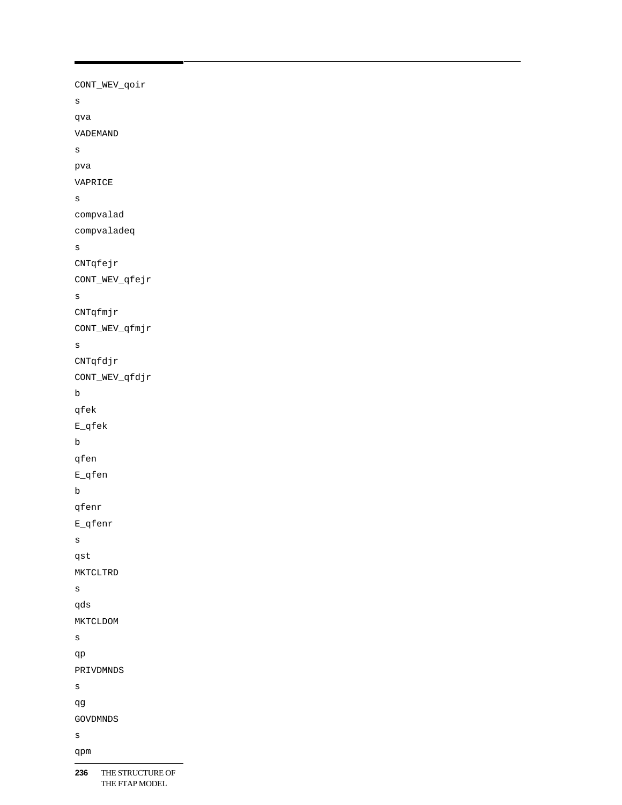```
CONT_WEV_qoir
\mathtt{s}qva
VADEMAND
\mathtt{s}pva
VAPRICE
\mathtt{s}compvalad
compvaladeq
\mathtt{s}CNTqfejr
CONT_WEV_qfejr
\mathtt{s}CNTqfmjr
CONT_WEV_qfmjr
\mathtt{s}CNTqfdjrCONT_WEV_qfdjr
\mathtt{b}qfek
E_qfek
bqfen
E_qfen
bqfenr
E_qfenr\mathtt{s}qst
MKTCLTRD
\mathtt{s}qds
MKTCLDOM
\mathtt{s}\mathrm{qp}PRIVDMNDS
\, {\bf s}qg
GOVDMNDS
\mathtt{s}qpm
```
236 THE STRUCTURE OF THE FTAP MODEL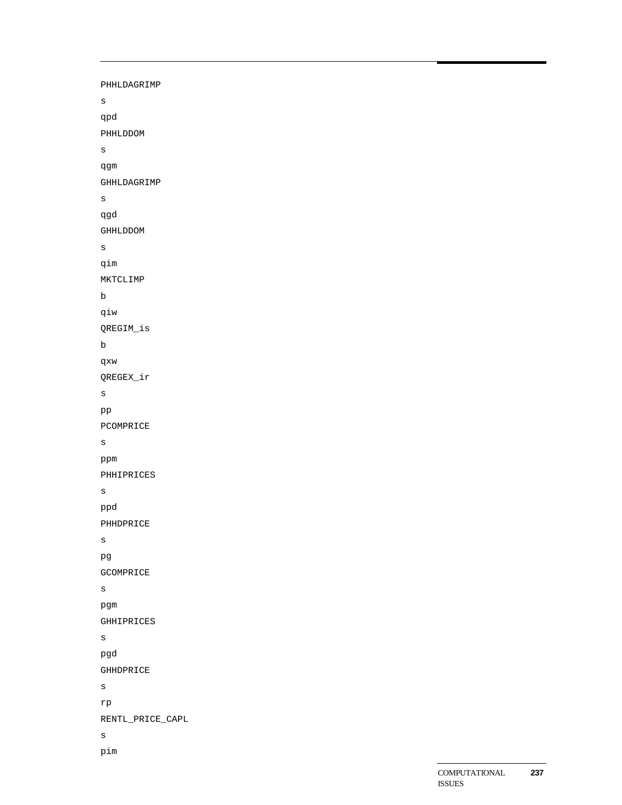PHHLDAGRIMP  $\mathtt{s}$ qpd PHHLDDOM  $\mathtt{s}$ qgm GHHLDAGRIMP  $\mathtt{s}$ qgd GHHLDDOM  $\mathtt{s}$ qim MKTCLIMP  $b$ qiw  $QREGIM\_is$  $\,$  b qxw  $\mathtt{QREGEX\_ir}$  $\mathtt{s}$  $pp$ PCOMPRICE  $\mathtt{s}$ ppm PHHIPRICES  $\mathtt{s}$ ppd PHHDPRICE  $\mathtt{s}$ pg GCOMPRICE  $\mathtt{s}$ pgm GHHIPRICES  $\, {\bf s}$ pgd GHHDPRICE  $\mathtt{s}$  $\mathtt{rp}$ RENTL\_PRICE\_CAPL  $\mathtt{s}$ 

pim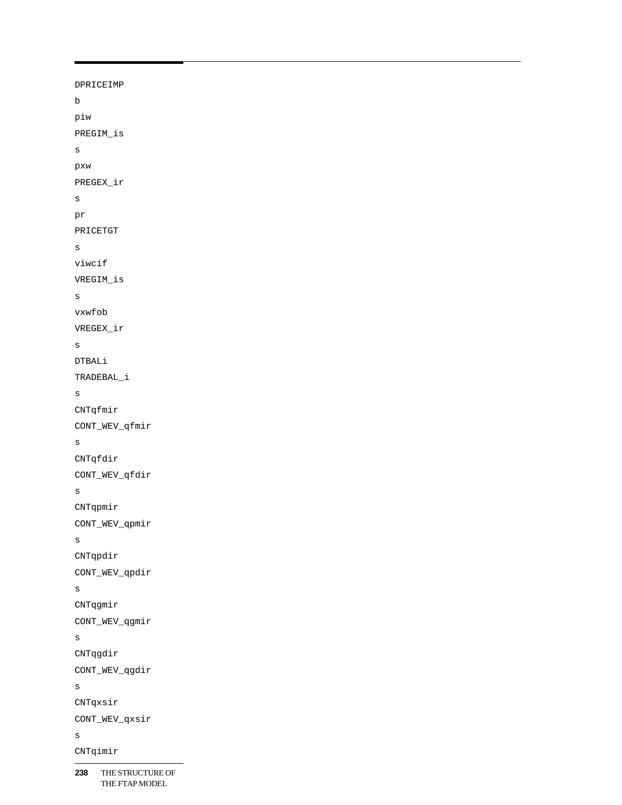```
DPRICEIMP
b
piw
PREGIM_is
s
pxw
PREGEX_ir
s
pr
PRICETGT
s
viwcif
VREGIM_is
s
vxwfob
VREGEX_ir
s
DTBALi
TRADEBAL_i
s
CNTqfmir
CONT_WEV_qfmir
s
CNTqfdir
CONT_WEV_qfdir
s
CNTqpmir
CONT_WEV_qpmir
s
CNTqpdir
CONT_WEV_qpdir
s
CNTqgmir
CONT_WEV_qgmir
s
CNTqgdir
CONT_WEV_qgdir
s
CNTqxsir
CONT_WEV_qxsir
s
CNTqimir
```
**238** THE STRUCTURE OF THE FTAP MODEL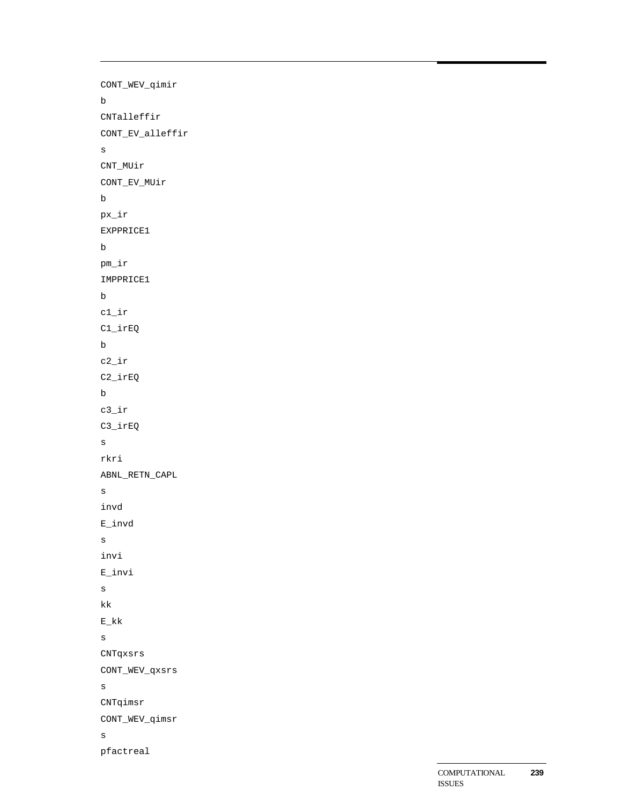```
CONT_WEV_qimir
\, b
CNTalleffir
CONT_EV_alleffir
\mathtt{s}CNT_MUir\texttt{CONT\_EV\_MUi} \texttt{r}\mathbf bpx_ir
EXPPRICE1
bpm_ir
IMPPRICE1
bc1_ir
Cl\_irEQ\, b
c2\_irC2\_irEQ\, b
c3\_irC3\_irEQ\mathbf{s}rkri
ABNL_RETN_CAPL
\mathtt{s}invd
\texttt{E\_invd}\mathbf{s}invi
E_invi
\mathtt{s}kkE_{\perp}kk
\mathtt{s}CNTqxsrs
CONT_WEV_qxsrs
\mathtt{s}CNTqimsrCONT_WEV_qimsr\mathtt{s}pfactreal
```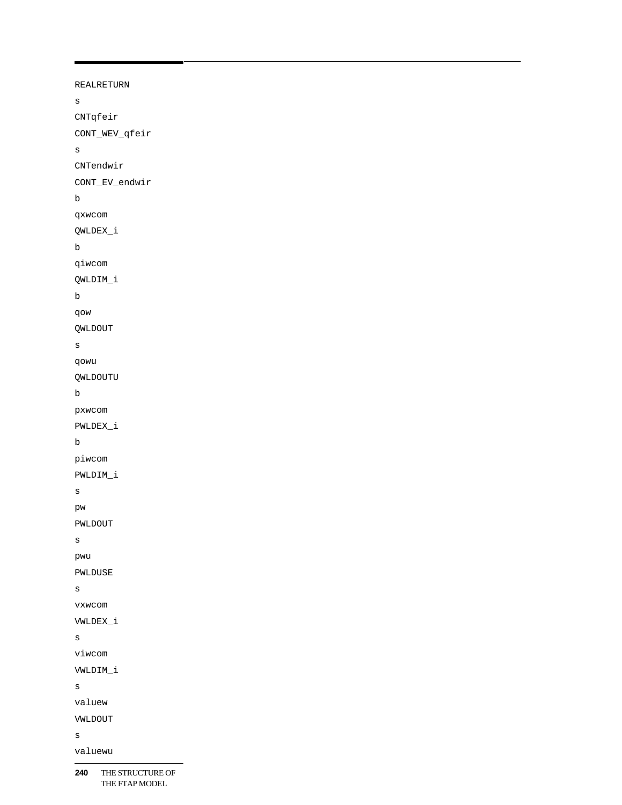```
REALRETURN
\mathtt{s}CNTqfeir
CONT_WEV_qfeir
\mathtt{s}CNTendwirCONT_EV_endwir
\rm bqxwcom
QWLDEX_i
\, b
qiwcom
QWLDIM_i
\, b
qow
QWLDOUT
\mathtt{s}qowu
QWLDOUTU
\, b
pxwcom
PWLDEX_i
\, b
piwcom
PWLDIM_i
\mathtt{s}pw
PWLDOUT
\mathtt{s}pwu
PWLDUSE
\mathtt{s}vxwcom
VWLDEX_i
\mathtt{s}viwcom
VWLDIM_i
\mathtt{s}valuew
VWLDOUT
\mathtt{s}valuewu
```
240 THE STRUCTURE OF THE FTAP MODEL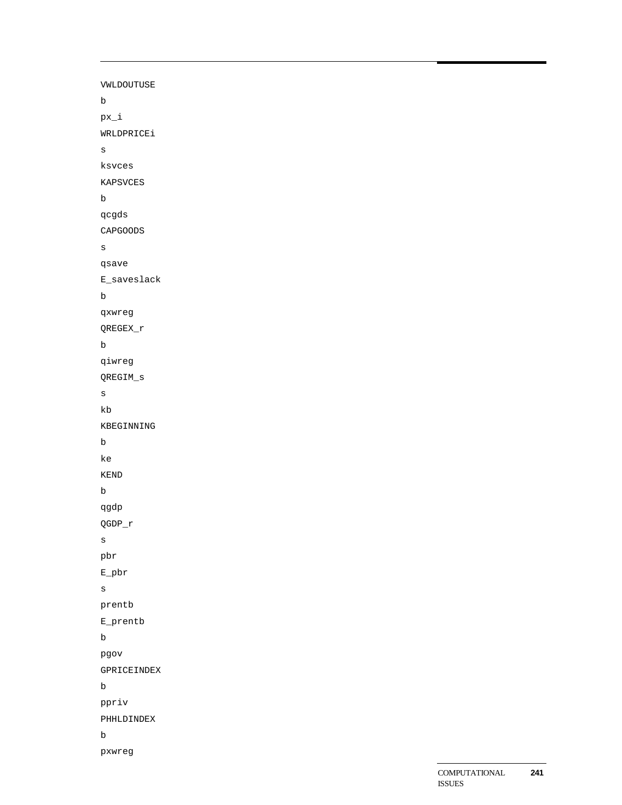VWLDOUTUSE  $\,$  b px\_i WRLDPRICEi  $\mathtt{s}$ ksvces KAPSVCES  $b$ qcgds CAPGOODS  $\mathtt{s}$ qsave E\_saveslack  $\,$  b qxwreg  $QREGEX_r$  $\,$  b qiwreg  $QREGIM$ <sub> $S$ </sub>  $\mathtt{s}$  $kb$ KBEGINNING  $\,$  b ke KEND  $\,$  b qgdp  $QGDP\_r$  $\mathbf{s}$ pbr  $E$  pbr  $\mathtt{s}$ prentb E\_prentb  $\,$  b pgov GPRICEINDEX  $\,$  b ppriv PHHLDINDEX  $b$ 

pxwreg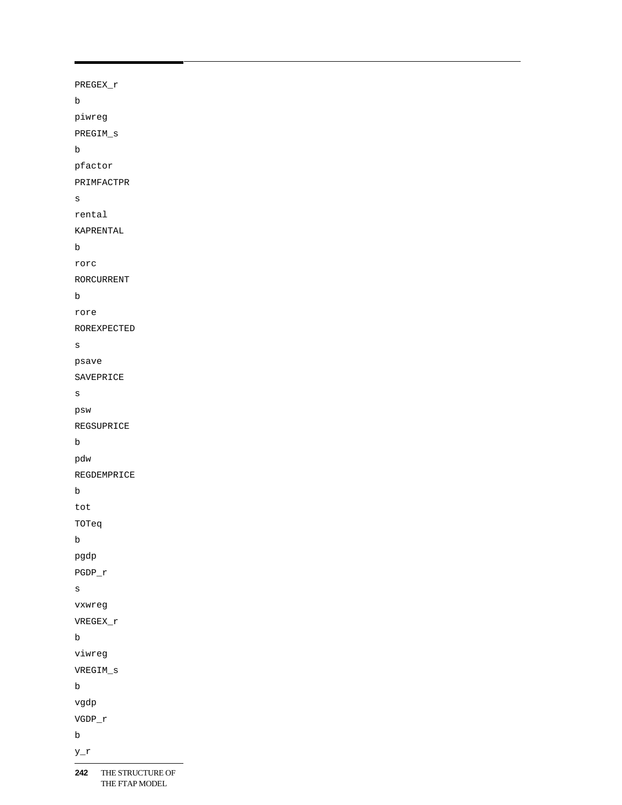```
PREGEX_r
b
piwreg
PREGIM_s
b
pfactor
PRIMFACTPR
s
rental
KAPRENTAL
b
rorc
RORCURRENT
b
rore
ROREXPECTED
s
psave
SAVEPRICE
s
psw
REGSUPRICE
b
pdw
REGDEMPRICE
b
tot
TOTeq
b
pgdp
PGDP_r
s
vxwreg
VREGEX_r
b
viwreg
VREGIM_s
b
vgdp
VGDP_r
b
y_r
```
**242** THE STRUCTURE OF THE FTAP MODEL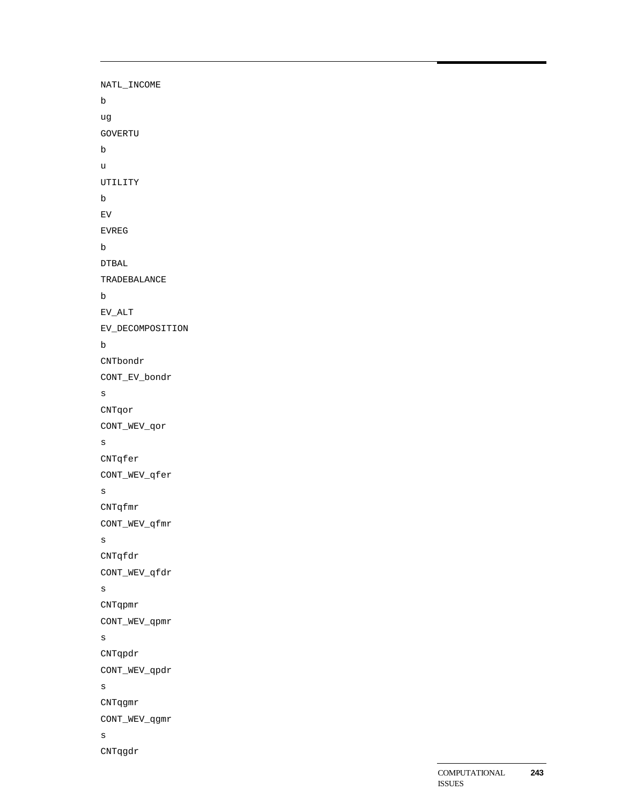```
NATL_INCOME
\, b
ug
GOVERTU
\, b
\mathbf{u}UTILITY
b{\rm EV}EVREG
bDTBAL
TRADEBALANCE
bEV\_ALTEV_DECOMPOSITION
bCNTbondr
CONT_EV_bondr
\mathtt{s}CNTqor
CONT_WEV_qor
\mathtt{s}CNTqfer
CONT_WEV_qfer
\mathtt{s}CNTqfmrCONT_WEV_qfmr
\mathtt{s}CNTqfdrCONT_WEV_qfdr
\mathtt{s}CNTqpmr
CONT_WEV_qpmr
\mathtt{s}CNTqpdr
CONT_WEV_qpdr
\mathtt{s}CNTqgmrCONT_WEV_qgmr
\mathtt{s}CNTqgdr
```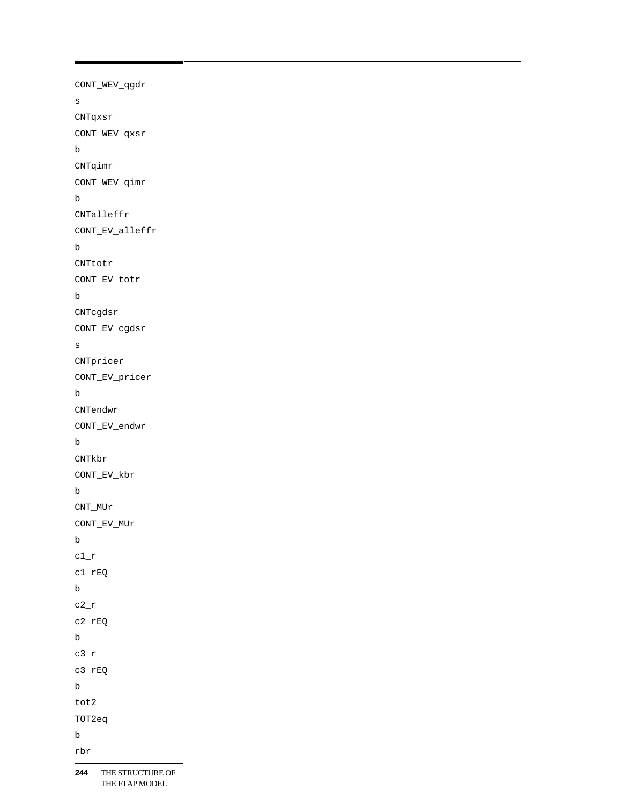```
CONT_WEV_qgdr
s
CNTqxsr
CONT_WEV_qxsr
b
CNTqimr
CONT_WEV_qimr
b
CNTalleffr
CONT_EV_alleffr
b
CNTtotr
CONT_EV_totr
b
CNTcgdsr
CONT_EV_cgdsr
s
CNTpricer
CONT_EV_pricer
b
CNTendwr
CONT_EV_endwr
b
CNTkbr
CONT_EV_kbr
b
CNT_MUr
CONT_EV_MUr
b
c1_r
c1_rEQ
b
c2_r
c2_rEQ
b
c3_r
c3_rEQ
b
tot2
TOT2eq
b
rbr
```
**244** THE STRUCTURE OF THE FTAP MODEL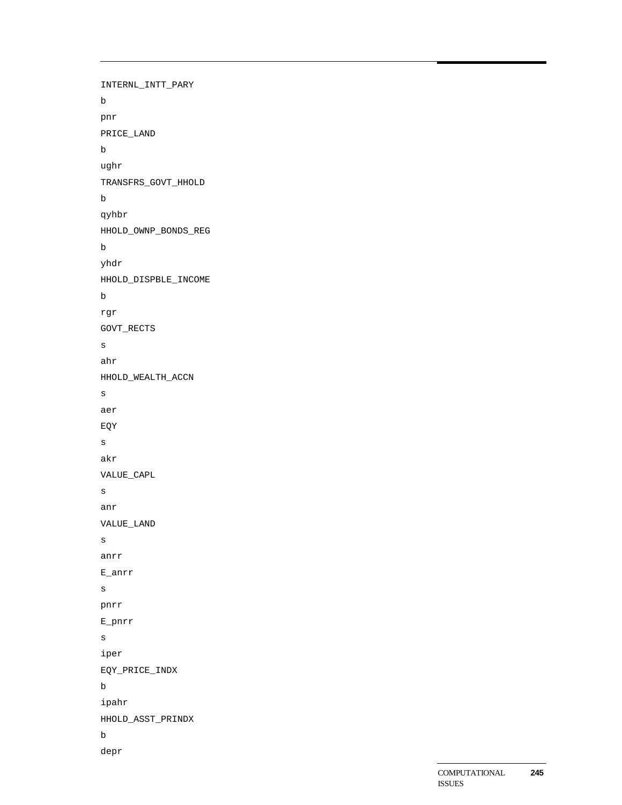```
INTERNL_INTT_PARY
\rm bpnr
PRICE_LAND
\, b
ughr
TRANSFRS_GOVT_HHOLD
\rm{b}qyhbr
HHOLD_OWNP_BONDS_REG
\, b
yhdr
HHOLD_DISPBLE_INCOME
\, b
rgr
GOVT_RECTS
\mathtt{s}ahr
HHOLD_WEALTH_ACCN
\mathtt{s}aer
EQY
\mathtt{s}akr
VALUE_CAPL
\mathtt{s}anr
VALUE_LAND
\mathtt{s}anrr
E\_anrr\mathtt{s}pnrr
E_pnrr
\mathtt{s}iper
EQY_PRICE_INDX
\, b
ipahr
HHOLD_ASST_PRINDX
\rm{b}depr
```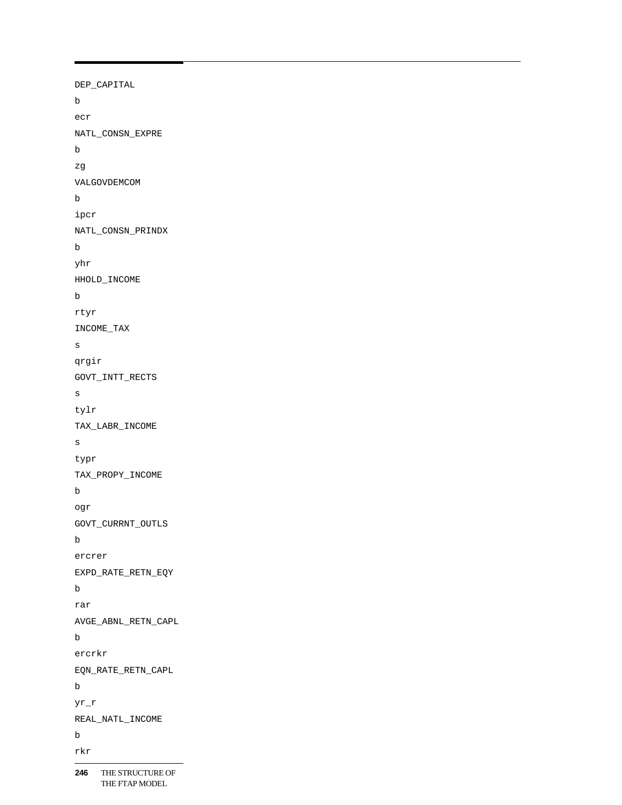```
DEP_CAPITAL
\, b
ecr
NATL_CONSN_EXPRE
\rm bzg
VALGOVDEMCOM
\rm{b}ipcr
NATL_CONSN_PRINDX
\, b
yhr
HHOLD_INCOME
\, b
rtyr
INCOME_TAX
\mathtt{s}qrgir
GOVT_INTT_RECTS
\mathtt{s}tylr
TAX_LABR_INCOME
\mathtt{s}typr
TAX_PROPY_INCOME
\rm{b}ogr
GOVT_CURRNT_OUTLS
\rm{b}ercrer
EXPD_RATE_RETN_EQY
\, b
rar
AVGE_ABNL_RETN_CAPL
\, b
ercrkr
EQN_RATE_RETN_CAPL
\rm byr\_r\verb!REAL_NATL_INCOME!\rm{b}rkr
```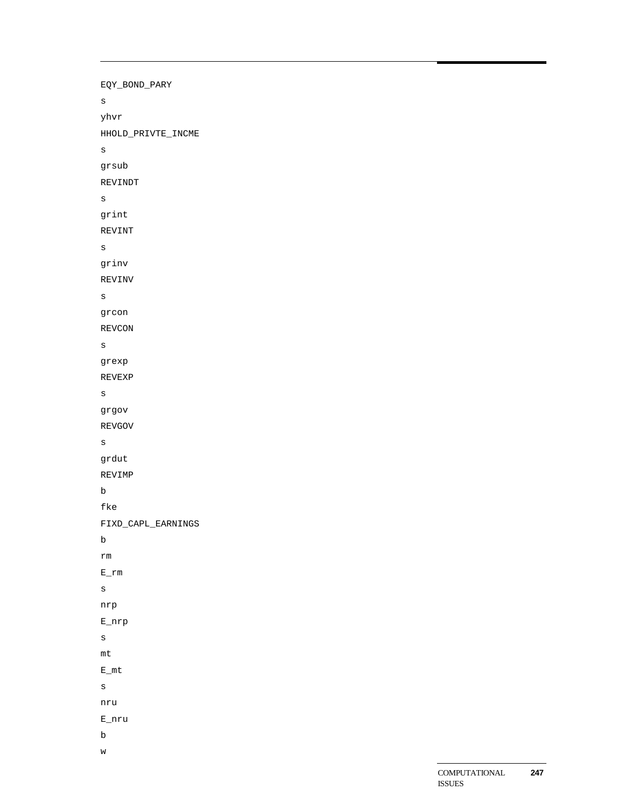```
EQY_BOND_PARY
\mathtt{s}yhvr
HHOLD_PRIVTE_INCME
\mathtt{s}grsub
REVINDT
\mathbf{s}grint
REVINT
\mathtt{s}grinvREVINV
\mathtt{s}grcon
REVCON
\mathtt{s}grexp
REVEXP
Sgrgov
REVGOV
\mathbf{s}grdut
REVIMP
bfke
FIXD_CAPL_EARNINGS
\rm{b}rmE\_rm\mathbf{s}nrp
E_nrp
\mathtt{s}m<sub>t</sub>E\_mt\mathtt{s}nru
E_nru\rm{b}W
```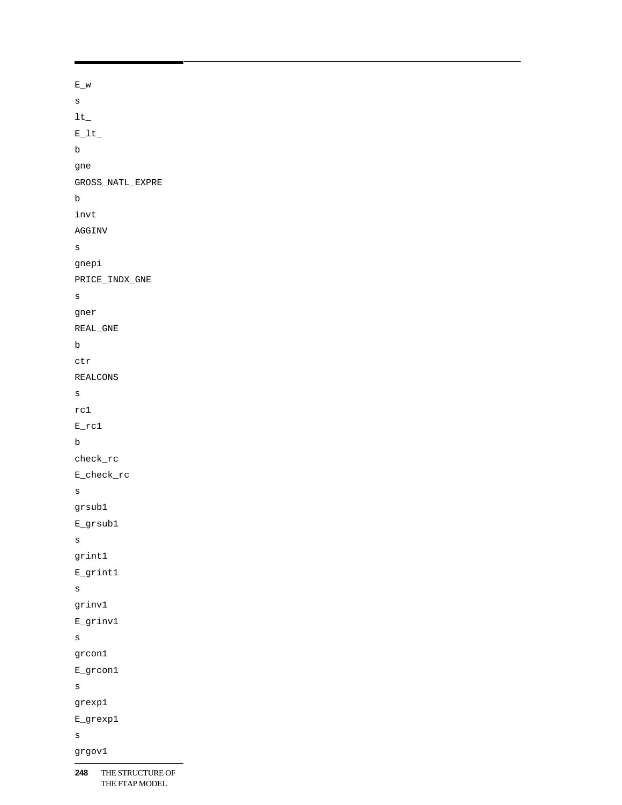$\mathbb{E}_\mathbb{L} \mathbb{w}$ s  $lt_$  $E_l$ lt\_ b gne GROSS\_NATL\_EXPRE b invt AGGINV s gnepi PRICE\_INDX\_GNE s gner REAL\_GNE b ctr REALCONS s rc1 E\_rc1 b check\_rc E\_check\_rc s grsub1 E\_grsub1 s grint1 E\_grint1 s grinv1 E\_grinv1 s grcon1 E\_grcon1 s grexp1 E\_grexp1 s grgov1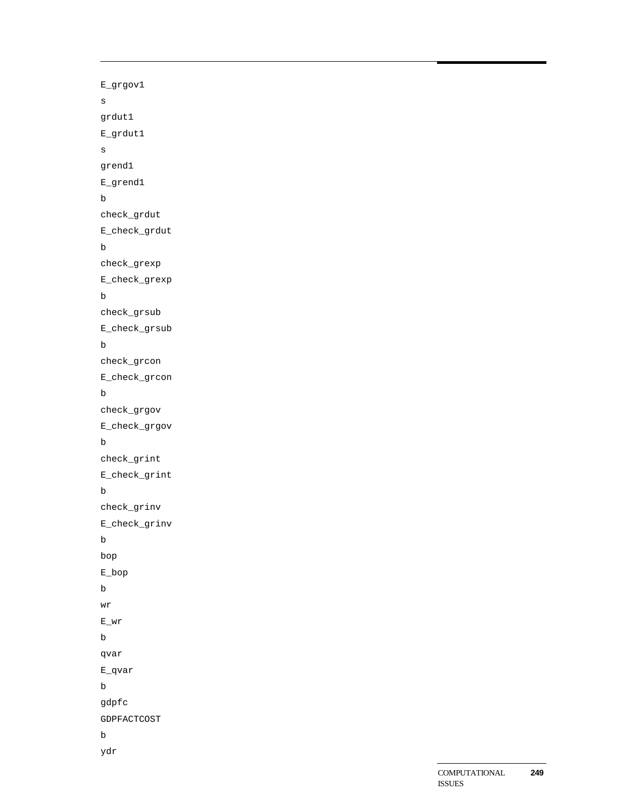```
E_grgov1 s
grdut1
E_grdut1 s
grend1
E_grend1 b
check_grdut
E_check_grdut b
check_grexp
E_check_grexp b
check_grsub
E_check_grsub b
check_grcon
E_check_grcon b
check_grgov
E_check_grgov b
check_grint
E_check_grint b
check_grinv
E_check_grinv b
bop
E_bop b
wr
E_wr b
qvar
E_qvar b
gdpfc
GDPFACTCOST b
ydr
```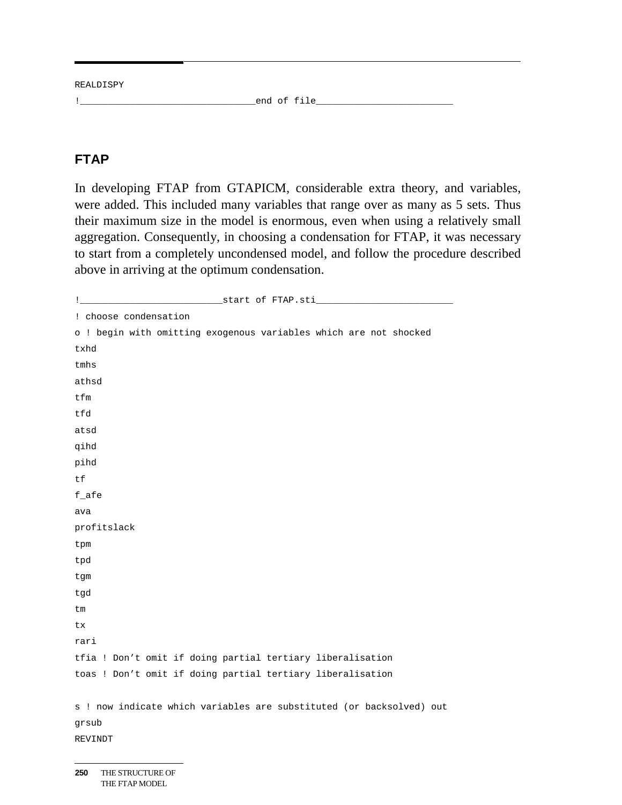REALDISPY

 $\mathbf{I}$ 

end of file\_

### **FTAP**

In developing FTAP from GTAPICM, considerable extra theory, and variables, were added. This included many variables that range over as many as 5 sets. Thus their maximum size in the model is enormous, even when using a relatively small aggregation. Consequently, in choosing a condensation for FTAP, it was necessary to start from a completely uncondensed model, and follow the procedure described above in arriving at the optimum condensation.

 $\frac{1}{2}$ \_\_\_start of FTAP.sti\_ ! choose condensation o ! begin with omitting exogenous variables which are not shocked txhd tmhs athsd  $t$ fm tfd atsd gihd pihd  $t.f$ f afe ava profitslack tpm tpd tgm tqd tm tx rari tfia ! Don't omit if doing partial tertiary liberalisation toas ! Don't omit if doing partial tertiary liberalisation s ! now indicate which variables are substituted (or backsolved) out grsub REVINDT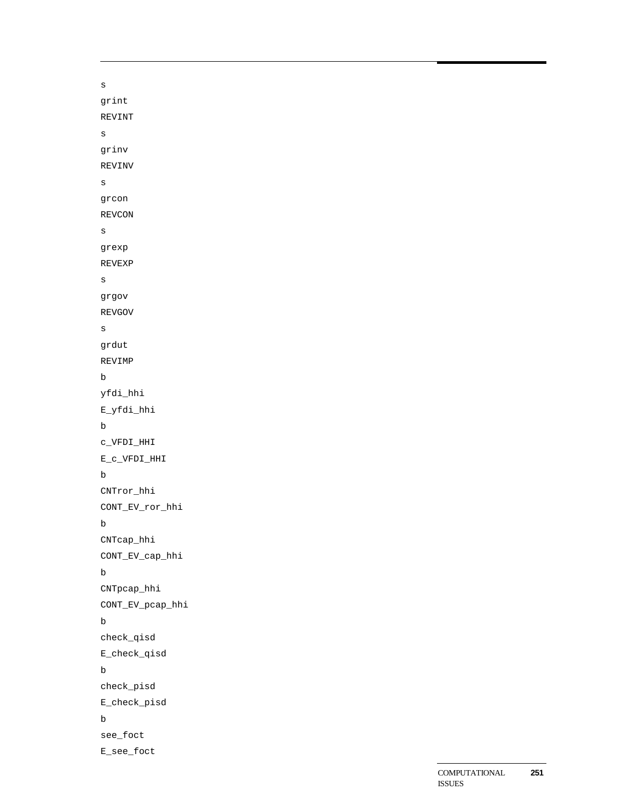```
\mathtt{s}grintREVINT
\mathtt{s}grinv
REVINV
\mathtt{s}grcon
REVCON
\mathbf{s}grexp
REVEXP
\mathtt{s}grgov
REVGOV
\mathtt{s}grdut
REVIMP
byfdi_hhi
E_yfdi_hhi
bC_VFDI_HHI
E_C_VFDI_HHI
\mathbf b{\tt CNTror\_hhi}CONT_EV_ror_hhi
bCNTcap_hhi
CONT_EV_cap_hhi
\, b
CNTpcap_hhi
CONT_EV_pcap_hhi
\, b
check_qisd
E_check_qisd
\rm bcheck_pisd
E_check_pisd
bsee_foct
```
E\_see\_foct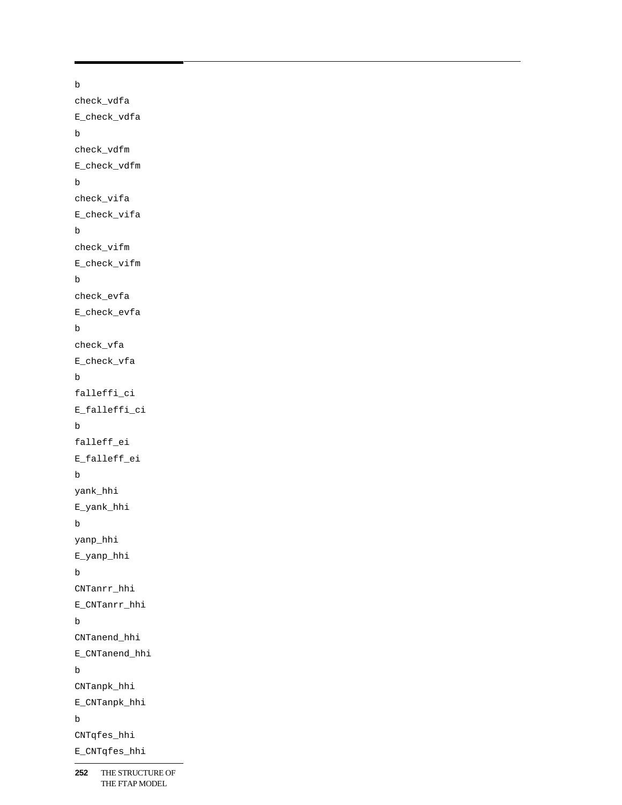```
b
check_vdfa
E_check_vdfa
b
check_vdfm
E_check_vdfm
b
check_vifa
E_check_vifa
b
check_vifm
E_check_vifm
b
check_evfa
E_check_evfa
b
check_vfa
E_check_vfa
b
falleffi_ci
E_falleffi_ci
b
falleff_ei
E_falleff_ei
b
yank_hhi
E_yank_hhi
b
yanp_hhi
E_yanp_hhi
b
CNTanrr_hhi
E_CNTanrr_hhi
b
CNTanend_hhi
E_CNTanend_hhi
b
CNTanpk_hhi
E_CNTanpk_hhi
b
CNTqfes_hhi
E_CNTqfes_hhi
```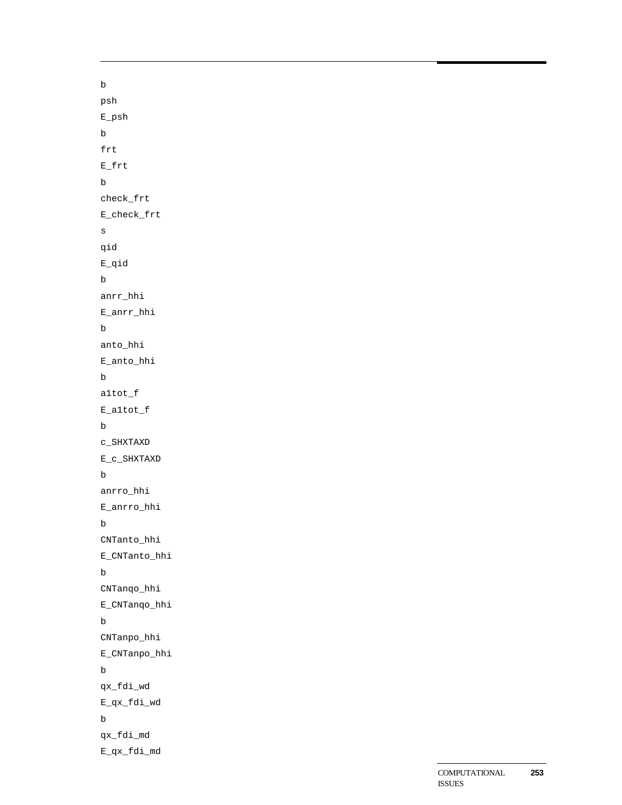```
\rm bpsh
E psh
\, b
frt
E_{frt}bcheck\_frtE_check_frt
\mathtt{s}qid
E_qid
\mathbf banrr_hhi
E\_anrr\_hhi\, b
anto_hhi
E_anto_hhi
baltot_fE_altot_fbC_SHXTAXD
E_C_SHXTAXD
\mathbf b\texttt{anrro\_hhi}E_anrro_hhi
bCNTanto_hhi
E_CNTanto_hhi
\mathbf bCNTanqo_hhi
E_CNTanqo_hhi
\, b
CNTanpo_hhi
E_CNTanpo_hhi
\rm bqx_fdi_wd
E_qx_fdi_wd
bqx_fdi_mdE_qx_fdi_md
```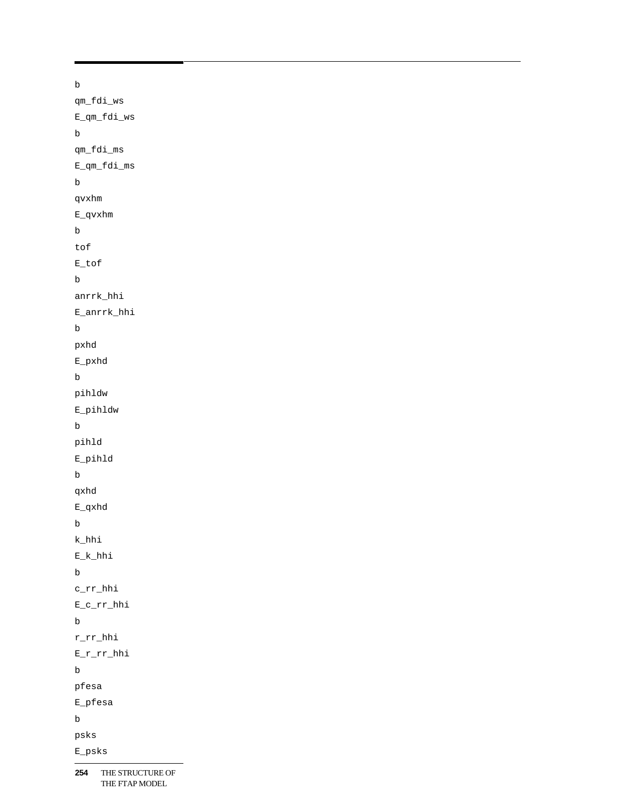b qm\_fdi\_ws E\_qm\_fdi\_ws b qm\_fdi\_ms E\_qm\_fdi\_ms b qvxhm E\_qvxhm b tof E\_tof b anrrk\_hhi E\_anrrk\_hhi b pxhd E\_pxhd b pihldw E\_pihldw b pihld E\_pihld b qxhd E\_qxhd b k\_hhi E\_k\_hhi b c\_rr\_hhi E\_c\_rr\_hhi b r\_rr\_hhi E\_r\_rr\_hhi b pfesa E\_pfesa b psks E\_psks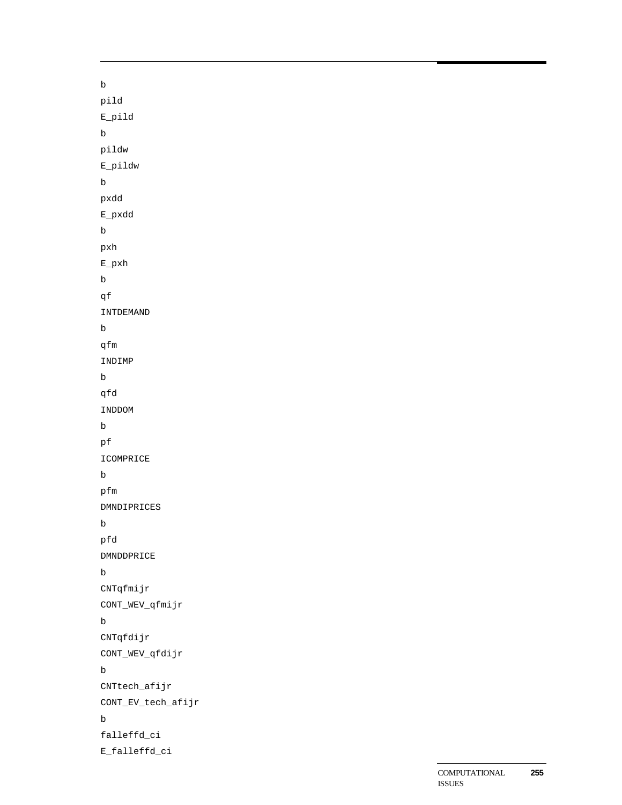b pild E\_pild b pildw E\_pildw b pxdd E\_pxdd b pxh E\_pxh b qf INTDEMAND b qfm INDIMP b qfd INDDOM b pf ICOMPRICE b pfm DMNDIPRICES b pfd DMNDDPRICE b CNTqfmijr CONT\_WEV\_qfmijr b CNTqfdijr CONT\_WEV\_qfdijr b CNTtech\_afijr CONT\_EV\_tech\_afijr b falleffd\_ci E\_falleffd\_ci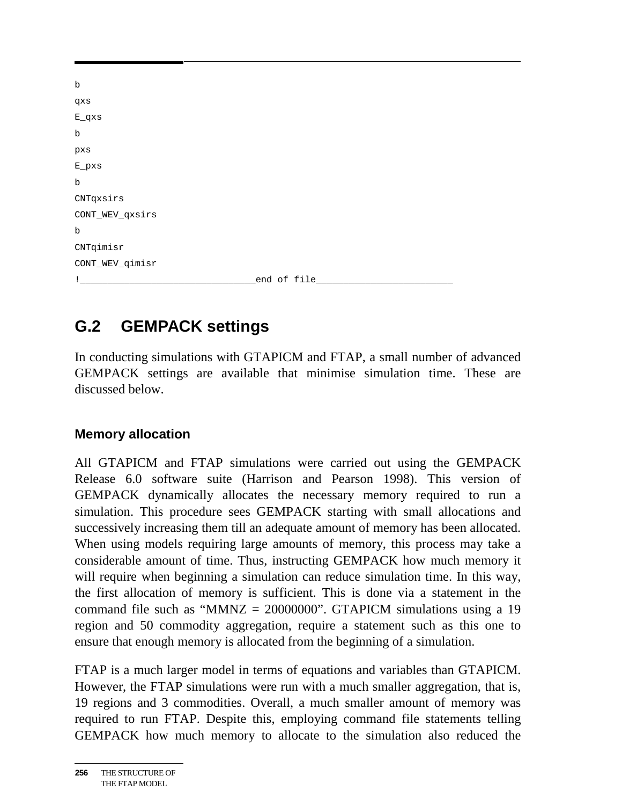```
b
qxs
E_qxs
b
pxs
E_pxs
b
CNTqxsirs
CONT_WEV_qxsirs
b
CNTqimisr
CONT_WEV_qimisr
                                   _end of file_
```
# **G.2 GEMPACK settings**

In conducting simulations with GTAPICM and FTAP, a small number of advanced GEMPACK settings are available that minimise simulation time. These are discussed below.

### **Memory allocation**

All GTAPICM and FTAP simulations were carried out using the GEMPACK Release 6.0 software suite (Harrison and Pearson 1998). This version of GEMPACK dynamically allocates the necessary memory required to run a simulation. This procedure sees GEMPACK starting with small allocations and successively increasing them till an adequate amount of memory has been allocated. When using models requiring large amounts of memory, this process may take a considerable amount of time. Thus, instructing GEMPACK how much memory it will require when beginning a simulation can reduce simulation time. In this way, the first allocation of memory is sufficient. This is done via a statement in the command file such as "MMNZ =  $20000000$ ". GTAPICM simulations using a 19 region and 50 commodity aggregation, require a statement such as this one to ensure that enough memory is allocated from the beginning of a simulation.

FTAP is a much larger model in terms of equations and variables than GTAPICM. However, the FTAP simulations were run with a much smaller aggregation, that is, 19 regions and 3 commodities. Overall, a much smaller amount of memory was required to run FTAP. Despite this, employing command file statements telling GEMPACK how much memory to allocate to the simulation also reduced the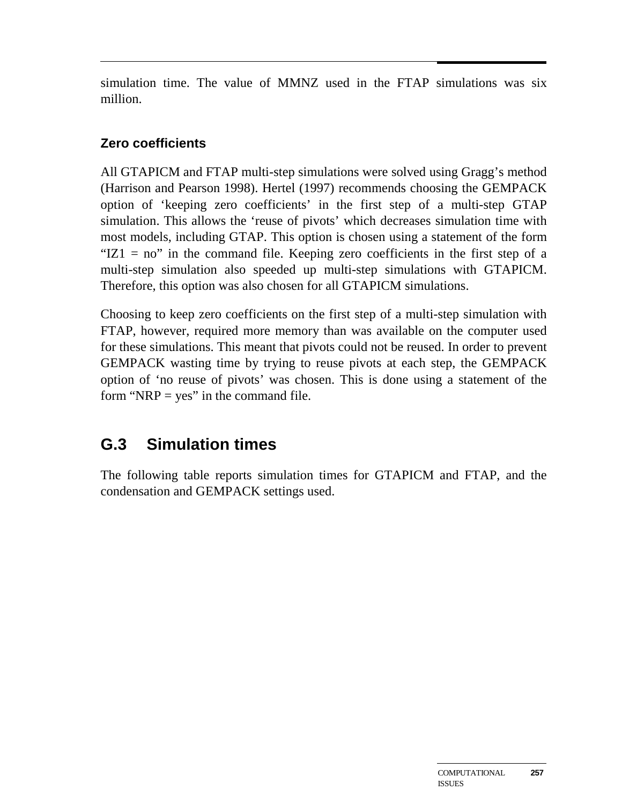simulation time. The value of MMNZ used in the FTAP simulations was six million.

### **Zero coefficients**

All GTAPICM and FTAP multi-step simulations were solved using Gragg's method (Harrison and Pearson 1998). Hertel (1997) recommends choosing the GEMPACK option of 'keeping zero coefficients' in the first step of a multi-step GTAP simulation. This allows the 'reuse of pivots' which decreases simulation time with most models, including GTAP. This option is chosen using a statement of the form " $IZ1 = no$ " in the command file. Keeping zero coefficients in the first step of a multi-step simulation also speeded up multi-step simulations with GTAPICM. Therefore, this option was also chosen for all GTAPICM simulations.

Choosing to keep zero coefficients on the first step of a multi-step simulation with FTAP, however, required more memory than was available on the computer used for these simulations. This meant that pivots could not be reused. In order to prevent GEMPACK wasting time by trying to reuse pivots at each step, the GEMPACK option of 'no reuse of pivots' was chosen. This is done using a statement of the form "NRP  $=$  yes" in the command file.

## **G.3 Simulation times**

The following table reports simulation times for GTAPICM and FTAP, and the condensation and GEMPACK settings used.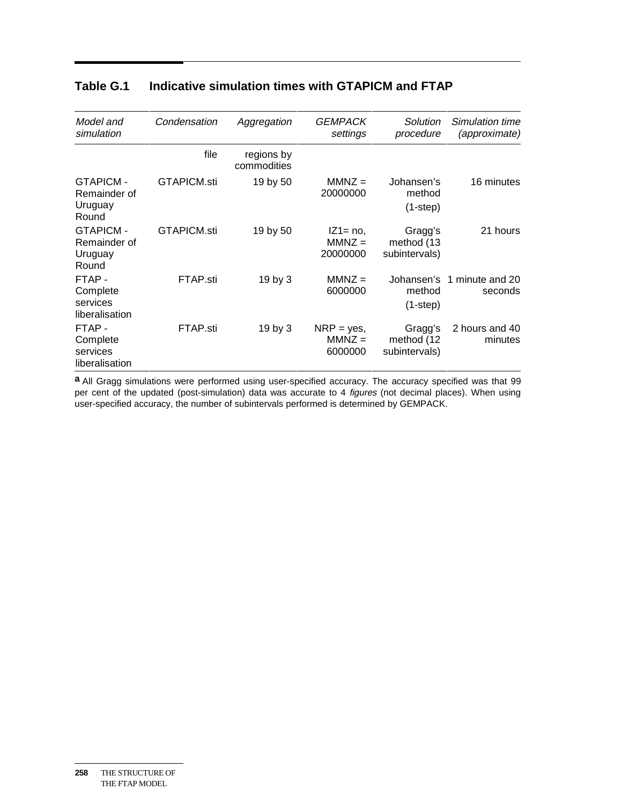| Model and<br>simulation                             | Condensation | Aggregation               | <i><b>GEMPACK</b></i><br>settings    | Solution<br>procedure                  | Simulation time<br>(approximate)      |
|-----------------------------------------------------|--------------|---------------------------|--------------------------------------|----------------------------------------|---------------------------------------|
|                                                     | file         | regions by<br>commodities |                                      |                                        |                                       |
| <b>GTAPICM-</b><br>Remainder of<br>Uruguay<br>Round | GTAPICM.sti  | 19 by 50                  | $MMZ =$<br>20000000                  | Johansen's<br>method<br>$(1-step)$     | 16 minutes                            |
| <b>GTAPICM-</b><br>Remainder of<br>Uruguay<br>Round | GTAPICM.sti  | 19 by 50                  | $IZ1 = no$ .<br>$MMZ =$<br>20000000  | Gragg's<br>method (13<br>subintervals) | 21 hours                              |
| FTAP-<br>Complete<br>services<br>liberalisation     | FTAP.sti     | 19 by 3                   | $MMNZ =$<br>6000000                  | method<br>$(1-step)$                   | Johansen's 1 minute and 20<br>seconds |
| FTAP-<br>Complete<br>services<br>liberalisation     | FTAP.sti     | 19 by 3                   | $NRP = yes$ ,<br>$MMNZ =$<br>6000000 | Gragg's<br>method (12<br>subintervals) | 2 hours and 40<br>minutes             |

### **Table G.1 Indicative simulation times with GTAPICM and FTAP**

**a** All Gragg simulations were performed using user-specified accuracy. The accuracy specified was that 99 per cent of the updated (post-simulation) data was accurate to 4 figures (not decimal places). When using user-specified accuracy, the number of subintervals performed is determined by GEMPACK.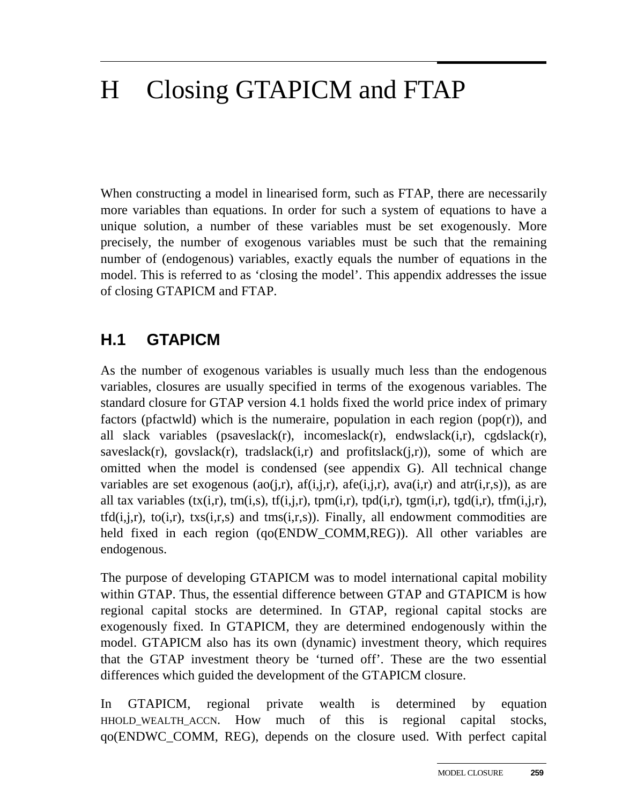# H Closing GTAPICM and FTAP

When constructing a model in linearised form, such as FTAP, there are necessarily more variables than equations. In order for such a system of equations to have a unique solution, a number of these variables must be set exogenously. More precisely, the number of exogenous variables must be such that the remaining number of (endogenous) variables, exactly equals the number of equations in the model. This is referred to as 'closing the model'. This appendix addresses the issue of closing GTAPICM and FTAP.

### **H.1 GTAPICM**

As the number of exogenous variables is usually much less than the endogenous variables, closures are usually specified in terms of the exogenous variables. The standard closure for GTAP version 4.1 holds fixed the world price index of primary factors (pfactwld) which is the numeraire, population in each region ( $pop(r)$ ), and all slack variables (psaveslack(r), incomeslack(r), endwslack(i,r), cgdslack(r), saveslack(r), govslack(r), tradslack(i,r) and profitslack(j,r)), some of which are omitted when the model is condensed (see appendix G). All technical change variables are set exogenous (ao(j,r), af(i,j,r), afe(i,j,r), ava(i,r) and atr(i,r,s)), as are all tax variables (tx(i,r), tm(i,s), tf(i,j,r), tpm(i,r), tpd(i,r), tgm(i,r), tgd(i,r), tfm(i,j,r),  $tfd(i,j,r), to (i,r), txs(i,r,s)$  and  $tms(i,r,s)$ . Finally, all endowment commodities are held fixed in each region (qo(ENDW\_COMM,REG)). All other variables are endogenous.

The purpose of developing GTAPICM was to model international capital mobility within GTAP. Thus, the essential difference between GTAP and GTAPICM is how regional capital stocks are determined. In GTAP, regional capital stocks are exogenously fixed. In GTAPICM, they are determined endogenously within the model. GTAPICM also has its own (dynamic) investment theory, which requires that the GTAP investment theory be 'turned off'. These are the two essential differences which guided the development of the GTAPICM closure.

In GTAPICM, regional private wealth is determined by equation HHOLD\_WEALTH\_ACCN. How much of this is regional capital stocks, qo(ENDWC\_COMM, REG), depends on the closure used. With perfect capital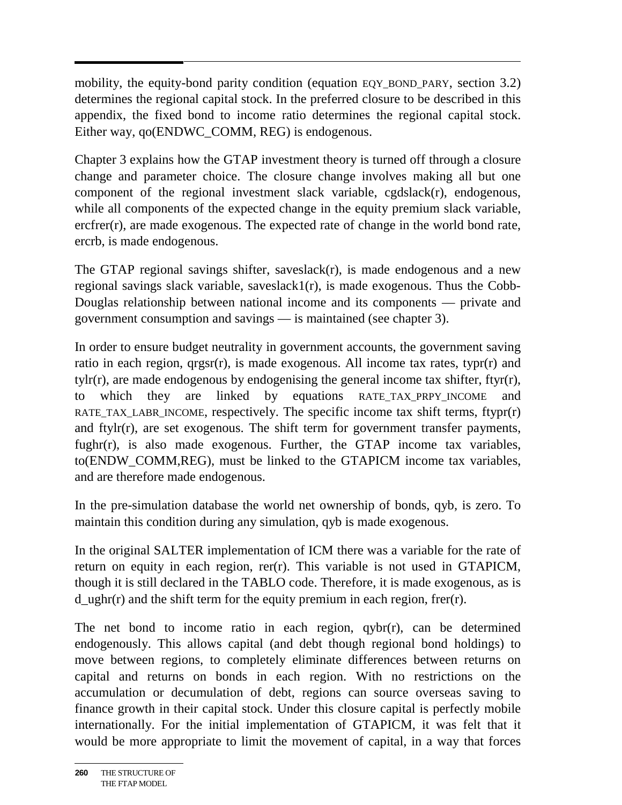mobility, the equity-bond parity condition (equation EQY\_BOND\_PARY, section 3.2) determines the regional capital stock. In the preferred closure to be described in this appendix, the fixed bond to income ratio determines the regional capital stock. Either way, qo(ENDWC\_COMM, REG) is endogenous.

Chapter 3 explains how the GTAP investment theory is turned off through a closure change and parameter choice. The closure change involves making all but one component of the regional investment slack variable, cgdslack(r), endogenous, while all components of the expected change in the equity premium slack variable,  $er, (r)$ , are made exogenous. The expected rate of change in the world bond rate, ercrb, is made endogenous.

The GTAP regional savings shifter, saveslack(r), is made endogenous and a new regional savings slack variable, saveslack1(r), is made exogenous. Thus the Cobb-Douglas relationship between national income and its components — private and government consumption and savings — is maintained (see chapter 3).

In order to ensure budget neutrality in government accounts, the government saving ratio in each region,  $qrgsr(r)$ , is made exogenous. All income tax rates, typr $(r)$  and  $tylr(r)$ , are made endogenous by endogenising the general income tax shifter, ftyr $(r)$ , to which they are linked by equations RATE\_TAX\_PRPY\_INCOME and RATE\_TAX\_LABR\_INCOME, respectively. The specific income tax shift terms, ftypr(r) and ftylr(r), are set exogenous. The shift term for government transfer payments, fughr $(r)$ , is also made exogenous. Further, the GTAP income tax variables, to(ENDW\_COMM,REG), must be linked to the GTAPICM income tax variables, and are therefore made endogenous.

In the pre-simulation database the world net ownership of bonds, qyb, is zero. To maintain this condition during any simulation, qyb is made exogenous.

In the original SALTER implementation of ICM there was a variable for the rate of return on equity in each region, rer(r). This variable is not used in GTAPICM, though it is still declared in the TABLO code. Therefore, it is made exogenous, as is  $d_\text{up}$  ughr(r) and the shift term for the equity premium in each region, frer(r).

The net bond to income ratio in each region, qybr(r), can be determined endogenously. This allows capital (and debt though regional bond holdings) to move between regions, to completely eliminate differences between returns on capital and returns on bonds in each region. With no restrictions on the accumulation or decumulation of debt, regions can source overseas saving to finance growth in their capital stock. Under this closure capital is perfectly mobile internationally. For the initial implementation of GTAPICM, it was felt that it would be more appropriate to limit the movement of capital, in a way that forces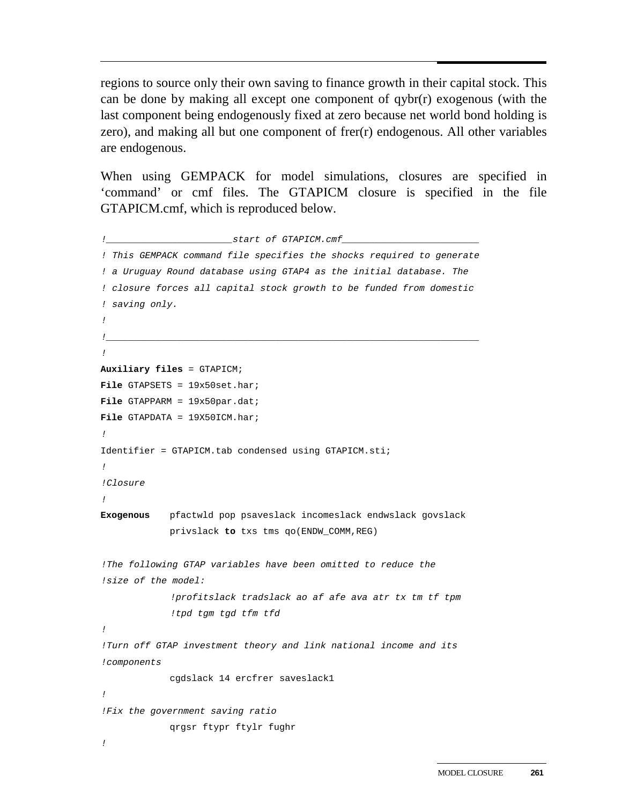regions to source only their own saving to finance growth in their capital stock. This can be done by making all except one component of qybr(r) exogenous (with the last component being endogenously fixed at zero because net world bond holding is zero), and making all but one component of frer(r) endogenous. All other variables are endogenous.

When using GEMPACK for model simulations, closures are specified in 'command' or cmf files. The GTAPICM closure is specified in the file GTAPICM.cmf, which is reproduced below.

```
!_______________________start of GTAPICM.cmf_________________________
! This GEMPACK command file specifies the shocks required to generate
! a Uruguay Round database using GTAP4 as the initial database. The
! closure forces all capital stock growth to be funded from domestic
! saving only.
!
!____________________________________________________________________
!
Auxiliary files = GTAPICM;
File GTAPSETS = 19x50set.har;
File GTAPPARM = 19x50par.dat;
File GTAPDATA = 19X50ICM.har;
!
Identifier = GTAPICM.tab condensed using GTAPICM.sti;
!
!Closure
!
Exogenous pfactwld pop psaveslack incomeslack endwslack govslack
             privslack to txs tms qo(ENDW_COMM,REG)
!The following GTAP variables have been omitted to reduce the
!size of the model:
             !profitslack tradslack ao af afe ava atr tx tm tf tpm
             !tpd tgm tgd tfm tfd
!
!Turn off GTAP investment theory and link national income and its
!components
             cgdslack 14 ercfrer saveslack1
!
!Fix the government saving ratio
             qrgsr ftypr ftylr fughr
!
```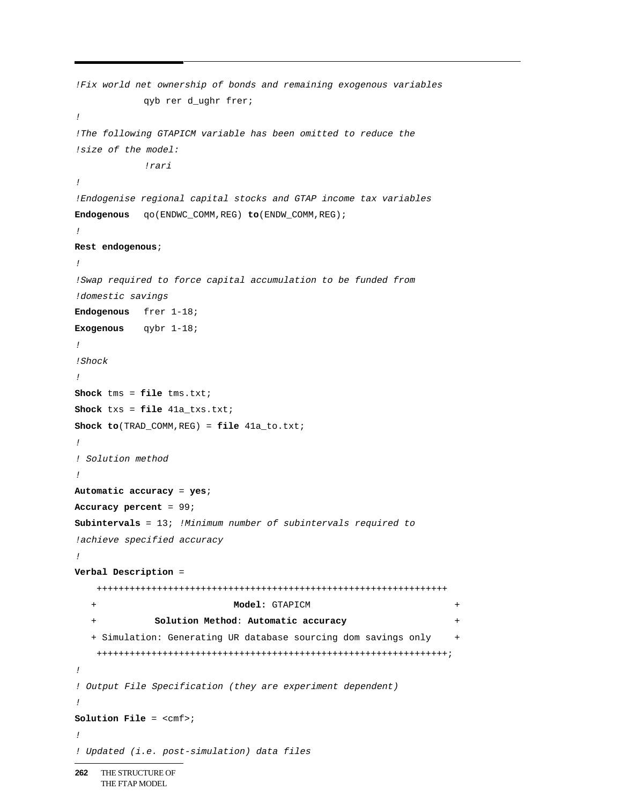```
!Fix world net ownership of bonds and remaining exogenous variables
            qyb rer d_ughr frer;
!
!The following GTAPICM variable has been omitted to reduce the
!size of the model:
            !rari
!
!Endogenise regional capital stocks and GTAP income tax variables
Endogenous qo(ENDWC_COMM,REG) to(ENDW_COMM,REG);
!
Rest endogenous;
!
!Swap required to force capital accumulation to be funded from
!domestic savings
Endogenous frer 1-18;
Exogenous qybr 1-18;
!
!Shock
!
Shock tms = file tms.txt;
Shock txs = file 41a_txs.txt;
Shock to(TRAD_COMM,REG) = file 41a_to.txt;
!
! Solution method
!
Automatic accuracy = yes;
Accuracy percent = 99;
Subintervals = 13; !Minimum number of subintervals required to
!achieve specified accuracy
!
Verbal Description =
    ++++++++++++++++++++++++++++++++++++++++++++++++++++++++++++++++
    + Model: GTAPICM +
               + Solution Method: Automatic accuracy +
   + Simulation: Generating UR database sourcing dom savings only +
     ++++++++++++++++++++++++++++++++++++++++++++++++++++++++++++++++;
!
! Output File Specification (they are experiment dependent)
!
Solution File = <cmf>;
!
! Updated (i.e. post-simulation) data files
```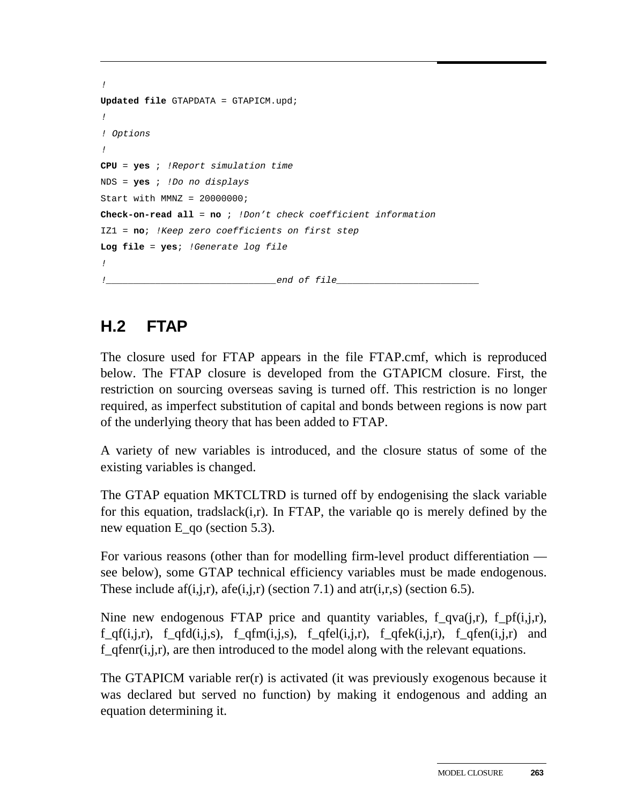```
!
Updated file GTAPDATA = GTAPICM.upd;
!
! Options
!
CPU = yes ; !Report simulation time
NDS = yes ; !Do no displays
Start with MMX = 20000000;
Check-on-read all = no ; !Don't check coefficient information
IZ1 = no; !Keep zero coefficients on first step
Log file = yes; !Generate log file
!
!_______________________________end of file__________________________
```
## **H.2 FTAP**

The closure used for FTAP appears in the file FTAP.cmf, which is reproduced below. The FTAP closure is developed from the GTAPICM closure. First, the restriction on sourcing overseas saving is turned off. This restriction is no longer required, as imperfect substitution of capital and bonds between regions is now part of the underlying theory that has been added to FTAP.

A variety of new variables is introduced, and the closure status of some of the existing variables is changed.

The GTAP equation MKTCLTRD is turned off by endogenising the slack variable for this equation, tradslack $(i,r)$ . In FTAP, the variable qo is merely defined by the new equation E\_qo (section 5.3).

For various reasons (other than for modelling firm-level product differentiation see below), some GTAP technical efficiency variables must be made endogenous. These include af(i,j,r), afe(i,j,r) (section 7.1) and atr(i,r,s) (section 6.5).

Nine new endogenous FTAP price and quantity variables,  $f_qva(i,r)$ ,  $f_pfi(i,j,r)$ ,  $f_qf(i,j,r), f_qf(d(i,j,s), f_qf(m(i,j,s), f_qfel(i,j,r), f_qfek(i,j,r), f_qfen(i,j,r))$  and f\_qfenr(i,j,r), are then introduced to the model along with the relevant equations.

The GTAPICM variable rer(r) is activated (it was previously exogenous because it was declared but served no function) by making it endogenous and adding an equation determining it.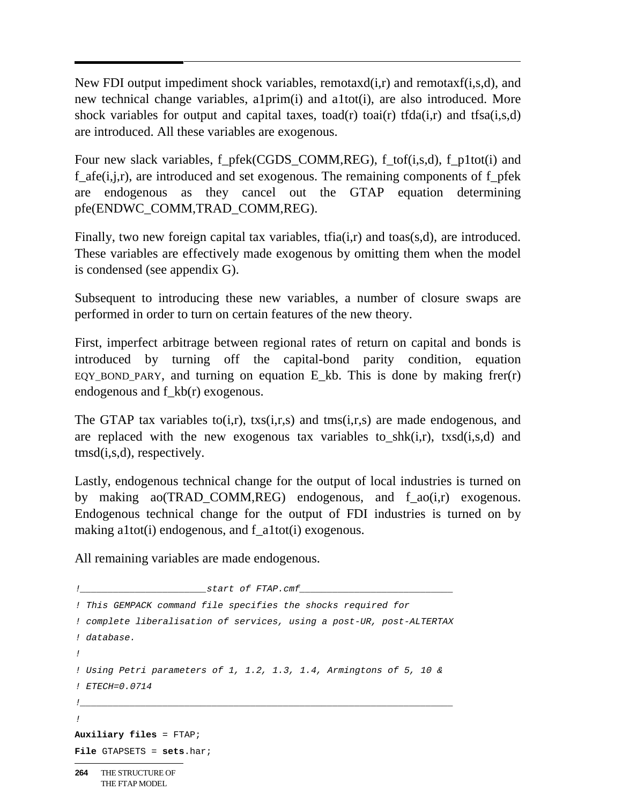New FDI output impediment shock variables, remotaxd(i,r) and remotaxf(i,s,d), and new technical change variables, a1prim(i) and a1tot(i), are also introduced. More shock variables for output and capital taxes, toad(r) toai(r) tfda(i,r) and tfsa(i,s,d) are introduced. All these variables are exogenous.

Four new slack variables, f\_pfek(CGDS\_COMM,REG), f\_tof(i,s,d), f\_p1tot(i) and f\_afe(i,j,r), are introduced and set exogenous. The remaining components of f\_pfek are endogenous as they cancel out the GTAP equation determining pfe(ENDWC\_COMM,TRAD\_COMM,REG).

Finally, two new foreign capital tax variables,  $t$ fia $(i,r)$  and toas $(s,d)$ , are introduced. These variables are effectively made exogenous by omitting them when the model is condensed (see appendix G).

Subsequent to introducing these new variables, a number of closure swaps are performed in order to turn on certain features of the new theory.

First, imperfect arbitrage between regional rates of return on capital and bonds is introduced by turning off the capital-bond parity condition, equation EQY\_BOND\_PARY, and turning on equation  $E_k$ b. This is done by making frer(r) endogenous and f\_kb(r) exogenous.

The GTAP tax variables to(i,r), txs(i,r,s) and tms(i,r,s) are made endogenous, and are replaced with the new exogenous tax variables to shk $(i,r)$ , txsd $(i,s,d)$  and tmsd(i,s,d), respectively.

Lastly, endogenous technical change for the output of local industries is turned on by making ao(TRAD\_COMM,REG) endogenous, and f\_ao(i,r) exogenous. Endogenous technical change for the output of FDI industries is turned on by making a1tot(i) endogenous, and f\_a1tot(i) exogenous.

All remaining variables are made endogenous.

```
264 THE STRUCTURE OF
    THE FTAP MODEL
                  start of FTAP.cmf
! This GEMPACK command file specifies the shocks required for
! complete liberalisation of services, using a post-UR, post-ALTERTAX
! database.
!
! Using Petri parameters of 1, 1.2, 1.3, 1.4, Armingtons of 5, 10 &
! ETECH=0.0714
!____________________________________________________________________
!
Auxiliary files = FTAP;
File GTAPSETS = sets.har;
```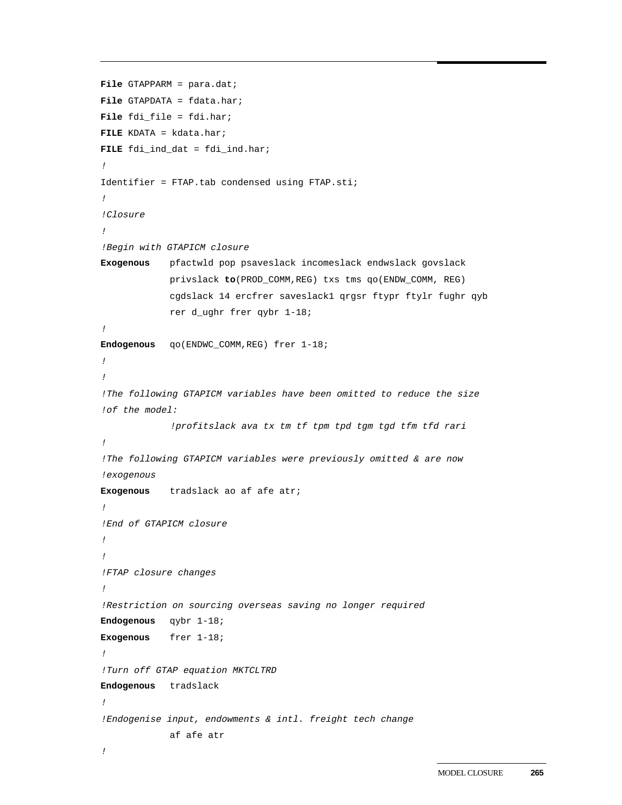```
File GTAPPARM = para.dat;
File GTAPDATA = fdata.har;
File fdi_file = fdi.har;
FILE KDATA = kdata.har;
FILE fdi_ind_dat = fdi_ind.har;
!
Identifier = FTAP.tab condensed using FTAP.sti;
!
!Closure
!
!Begin with GTAPICM closure
Exogenous pfactwld pop psaveslack incomeslack endwslack govslack
            privslack to(PROD_COMM,REG) txs tms qo(ENDW_COMM, REG)
            cgdslack 14 ercfrer saveslack1 qrgsr ftypr ftylr fughr qyb
            rer d_ughr frer qybr 1-18;
!
Endogenous qo(ENDWC_COMM,REG) frer 1-18;
!
!
!The following GTAPICM variables have been omitted to reduce the size
!of the model:
             !profitslack ava tx tm tf tpm tpd tgm tgd tfm tfd rari
!
!The following GTAPICM variables were previously omitted & are now
!exogenous
Exogenous tradslack ao af afe atr;
!
!End of GTAPICM closure
!
!
!FTAP closure changes
!
!Restriction on sourcing overseas saving no longer required
Endogenous qybr 1-18;
Exogenous frer 1-18;
!
!Turn off GTAP equation MKTCLTRD
Endogenous tradslack
!
!Endogenise input, endowments & intl. freight tech change
            af afe atr
```
!

```
MODEL CLOSURE 265
```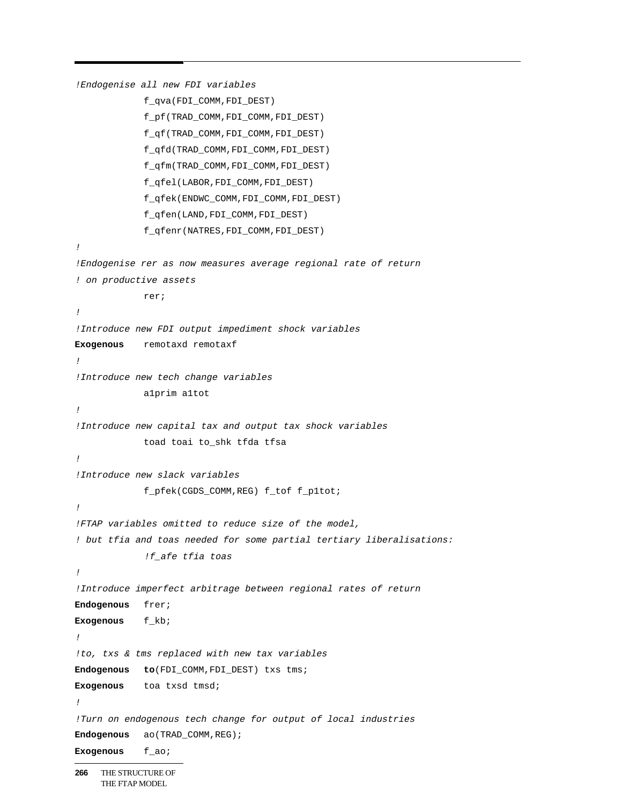```
!Endogenise all new FDI variables
            f_qva(FDI_COMM,FDI_DEST)
            f_pf(TRAD_COMM,FDI_COMM,FDI_DEST)
            f_qf(TRAD_COMM,FDI_COMM,FDI_DEST)
            f_qfd(TRAD_COMM,FDI_COMM,FDI_DEST)
            f_qfm(TRAD_COMM,FDI_COMM,FDI_DEST)
            f_qfel(LABOR,FDI_COMM,FDI_DEST)
            f_qfek(ENDWC_COMM,FDI_COMM,FDI_DEST)
            f_qfen(LAND,FDI_COMM,FDI_DEST)
            f_qfenr(NATRES,FDI_COMM,FDI_DEST)
!
!Endogenise rer as now measures average regional rate of return
! on productive assets
            rer;
!
!Introduce new FDI output impediment shock variables
Exogenous remotaxd remotaxf
!
!Introduce new tech change variables
            a1prim a1tot
!
!Introduce new capital tax and output tax shock variables
            toad toai to_shk tfda tfsa
!
!Introduce new slack variables
            f_pfek(CGDS_COMM,REG) f_tof f_p1tot;
!
!FTAP variables omitted to reduce size of the model,
! but tfia and toas needed for some partial tertiary liberalisations:
            !f_afe tfia toas
!
!Introduce imperfect arbitrage between regional rates of return
Endogenous frer;
Exogenous f_kb;
!
!to, txs & tms replaced with new tax variables
Endogenous to(FDI_COMM,FDI_DEST) txs tms;
Exogenous toa txsd tmsd;
!
!Turn on endogenous tech change for output of local industries
Endogenous ao(TRAD_COMM,REG);
Exogenous f_ao;
```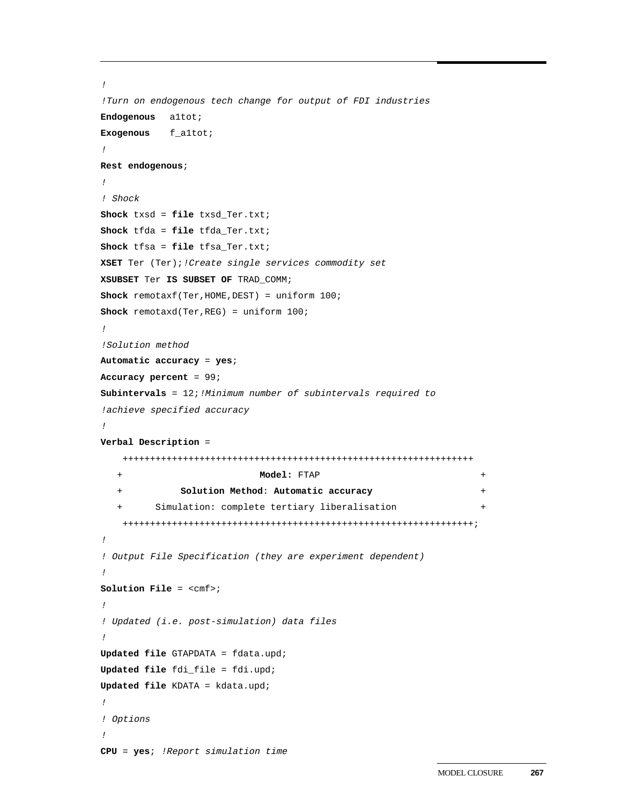```
!
!Turn on endogenous tech change for output of FDI industries
Endogenous a1tot;
Exogenous f_a1tot;
!
Rest endogenous;
!
! Shock
Shock txsd = file txsd_Ter.txt;
Shock tfda = file tfda_Ter.txt;
Shock tfsa = file tfsa_Ter.txt;
XSET Ter (Ter);!Create single services commodity set
XSUBSET Ter IS SUBSET OF TRAD_COMM;
Shock remotaxf(Ter,HOME,DEST) = uniform 100;
Shock remotaxd(Ter,REG) = uniform 100;
!
!Solution method
Automatic accuracy = yes;
Accuracy percent = 99;
Subintervals = 12;!Minimum number of subintervals required to
!achieve specified accuracy
!
Verbal Description =
    ++++++++++++++++++++++++++++++++++++++++++++++++++++++++++++++++
                            + Model: FTAP +
   + Solution Method: Automatic accuracy +
   + Simulation: complete tertiary liberalisation +
    ++++++++++++++++++++++++++++++++++++++++++++++++++++++++++++++++;
!
! Output File Specification (they are experiment dependent)
!
Solution File = <cmf>;
!
! Updated (i.e. post-simulation) data files
!
Updated file GTAPDATA = fdata.upd;
Updated file fdi_file = fdi.upd;
Updated file KDATA = kdata.upd;
!
! Options
!
CPU = yes; !Report simulation time
```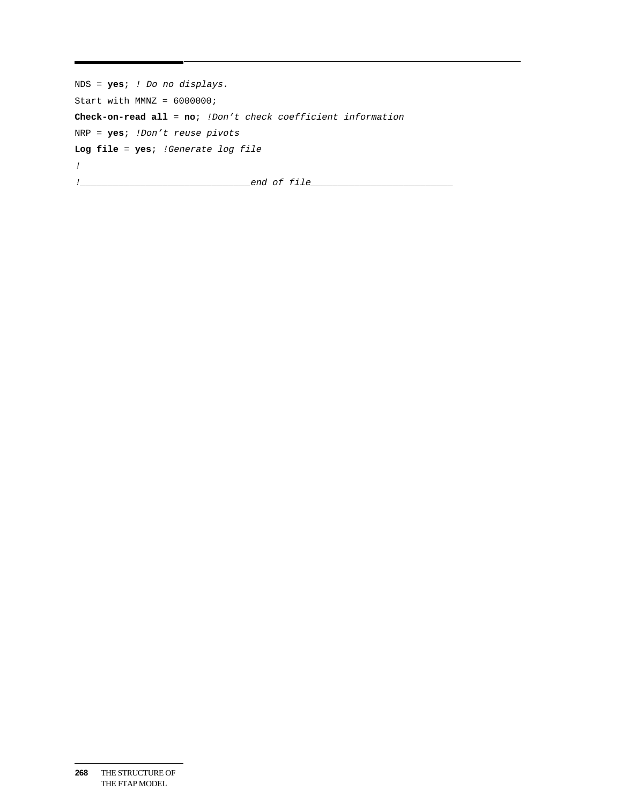```
NDS = yes; ! Do no displays.
Start with MMX = 6000000;
Check-on-read all = no; !Don't check coefficient information
NRP = yes; !Don't reuse pivots
Log file = yes; !Generate log file
!
!_______________________________end of file__________________________
```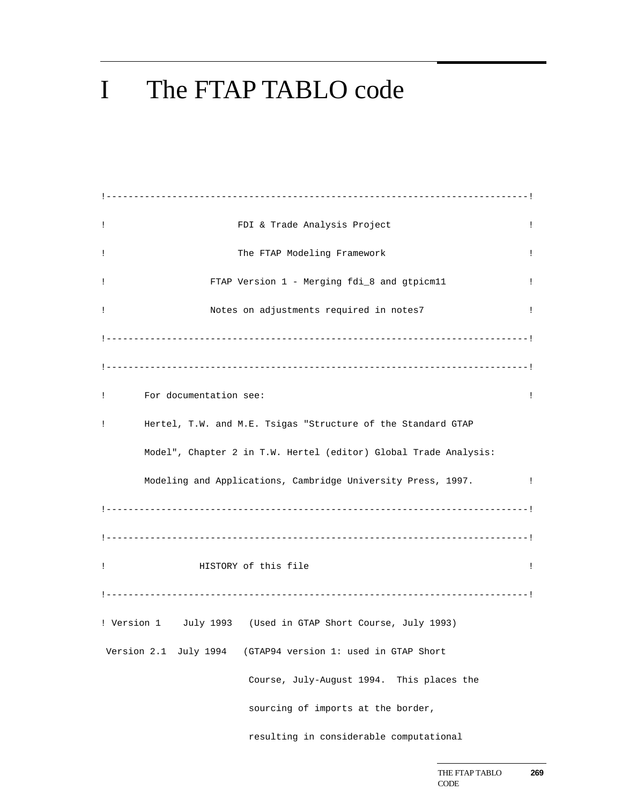# I The FTAP TABLO code

| FDI & Trade Analysis Project<br>Ţ<br>Ι.                                                                        |
|----------------------------------------------------------------------------------------------------------------|
| The FTAP Modeling Framework<br>Ţ<br>Ι.                                                                         |
| FTAP Version 1 - Merging fdi_8 and gtpicm11<br>1<br>÷                                                          |
| Notes on adjustments required in notes7<br>Ţ<br>Ι.                                                             |
|                                                                                                                |
| [concerted accession accession accession accession accession accession accession accession accession accession |
| For documentation see:<br>Ţ<br>Ι.                                                                              |
| Hertel, T.W. and M.E. Tsigas "Structure of the Standard GTAP<br>Ţ                                              |
| Model", Chapter 2 in T.W. Hertel (editor) Global Trade Analysis:                                               |
| Modeling and Applications, Cambridge University Press, 1997.<br>$\mathbf{I}$                                   |
|                                                                                                                |
|                                                                                                                |
| HISTORY of this file<br>Ţ<br>Ι.                                                                                |
|                                                                                                                |
| ! Version 1 July 1993 (Used in GTAP Short Course, July 1993)                                                   |
| (GTAP94 version 1: used in GTAP Short<br>Version 2.1 July 1994                                                 |
| Course, July-August 1994. This places the                                                                      |
| sourcing of imports at the border,                                                                             |
| resulting in considerable computational                                                                        |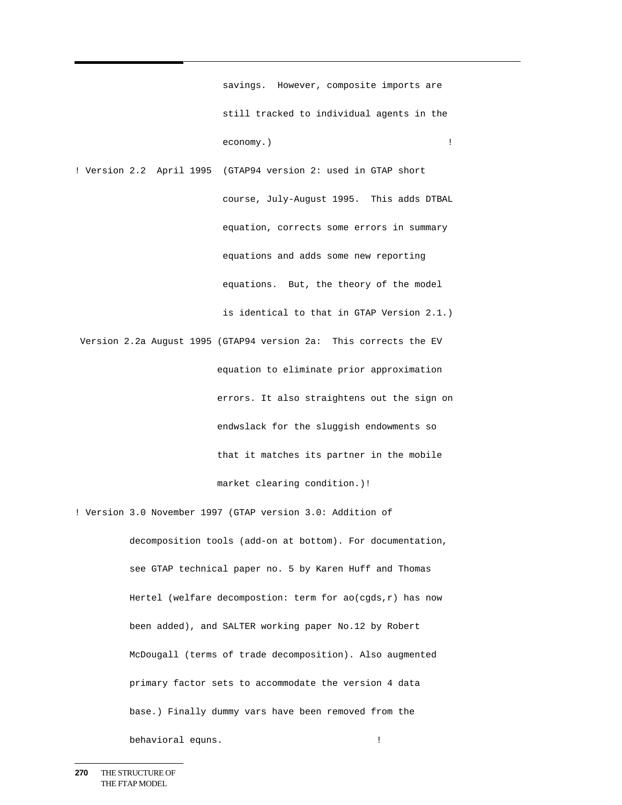savings. However, composite imports are still tracked to individual agents in the economy.) !

! Version 2.2 April 1995 (GTAP94 version 2: used in GTAP short course, July-August 1995. This adds DTBAL equation, corrects some errors in summary equations and adds some new reporting equations. But, the theory of the model is identical to that in GTAP Version 2.1.)

 Version 2.2a August 1995 (GTAP94 version 2a: This corrects the EV equation to eliminate prior approximation errors. It also straightens out the sign on endwslack for the sluggish endowments so that it matches its partner in the mobile market clearing condition.)!

! Version 3.0 November 1997 (GTAP version 3.0: Addition of decomposition tools (add-on at bottom). For documentation, see GTAP technical paper no. 5 by Karen Huff and Thomas Hertel (welfare decompostion: term for ao(cgds,r) has now been added), and SALTER working paper No.12 by Robert McDougall (terms of trade decomposition). Also augmented primary factor sets to accommodate the version 4 data base.) Finally dummy vars have been removed from the behavioral equns. !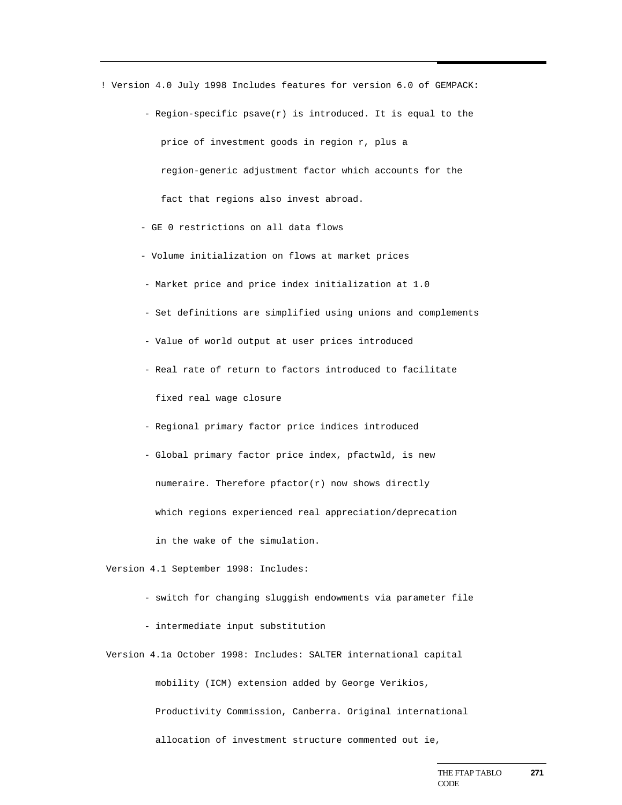! Version 4.0 July 1998 Includes features for version 6.0 of GEMPACK:

- Region-specific psave(r) is introduced. It is equal to the price of investment goods in region r, plus a region-generic adjustment factor which accounts for the fact that regions also invest abroad.
- GE 0 restrictions on all data flows
- Volume initialization on flows at market prices
- Market price and price index initialization at 1.0
- Set definitions are simplified using unions and complements
- Value of world output at user prices introduced
- Real rate of return to factors introduced to facilitate
	- fixed real wage closure
- Regional primary factor price indices introduced
- Global primary factor price index, pfactwld, is new numeraire. Therefore  $pfactor(r)$  now shows directly which regions experienced real appreciation/deprecation in the wake of the simulation.

Version 4.1 September 1998: Includes:

- switch for changing sluggish endowments via parameter file

- intermediate input substitution

 Version 4.1a October 1998: Includes: SALTER international capital mobility (ICM) extension added by George Verikios, Productivity Commission, Canberra. Original international allocation of investment structure commented out ie,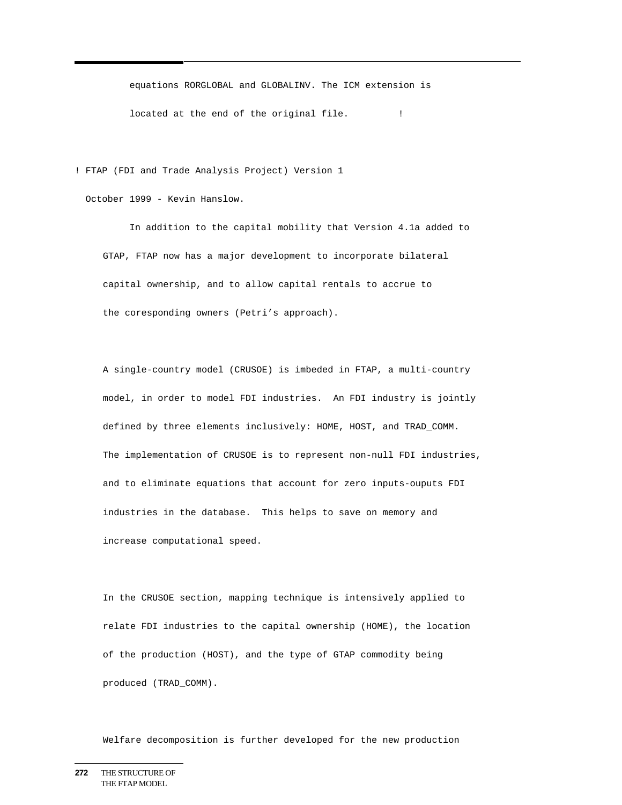equations RORGLOBAL and GLOBALINV. The ICM extension is located at the end of the original file.  $\qquad \qquad$  !

! FTAP (FDI and Trade Analysis Project) Version 1

October 1999 - Kevin Hanslow.

 In addition to the capital mobility that Version 4.1a added to GTAP, FTAP now has a major development to incorporate bilateral capital ownership, and to allow capital rentals to accrue to the coresponding owners (Petri's approach).

 A single-country model (CRUSOE) is imbeded in FTAP, a multi-country model, in order to model FDI industries. An FDI industry is jointly defined by three elements inclusively: HOME, HOST, and TRAD\_COMM. The implementation of CRUSOE is to represent non-null FDI industries, and to eliminate equations that account for zero inputs-ouputs FDI industries in the database. This helps to save on memory and increase computational speed.

 In the CRUSOE section, mapping technique is intensively applied to relate FDI industries to the capital ownership (HOME), the location of the production (HOST), and the type of GTAP commodity being produced (TRAD\_COMM).

Welfare decomposition is further developed for the new production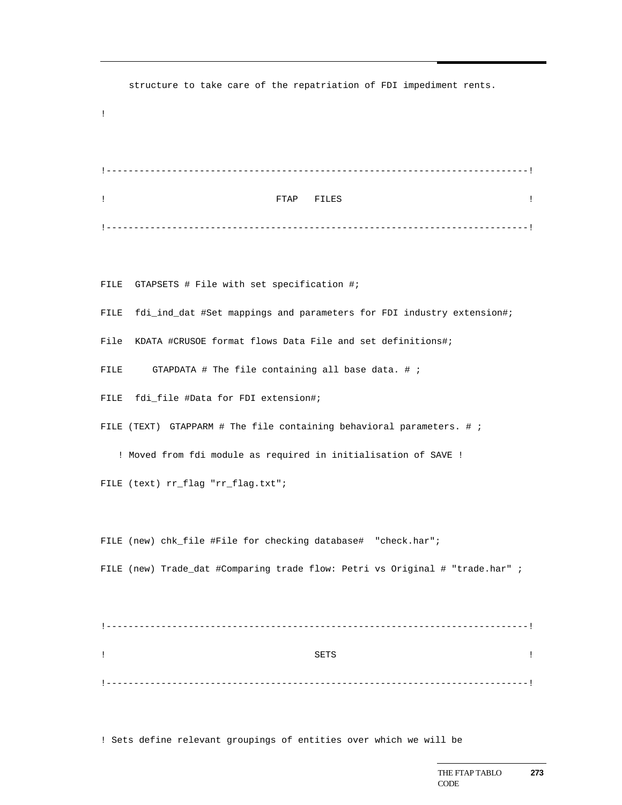| structure to take care of the repatriation of FDI impediment rents.           |
|-------------------------------------------------------------------------------|
| $\cdot$                                                                       |
|                                                                               |
|                                                                               |
| FTAP<br>FILES<br>$\mathbf{I}$<br>$\mathbf{I}$                                 |
|                                                                               |
|                                                                               |
| GTAPSETS # File with set specification #;<br>FILE                             |
| fdi_ind_dat #Set mappings and parameters for FDI industry extension#;<br>FILE |
| KDATA #CRUSOE format flows Data File and set definitions#;<br>File            |
| GTAPDATA # The file containing all base data. # ;<br>FILE                     |
| fdi_file #Data for FDI extension#;<br>FILE                                    |
| FILE (TEXT) GTAPPARM # The file containing behavioral parameters. # ;         |
| ! Moved from fdi module as required in initialisation of SAVE !               |
| FILE (text) rr_flag "rr_flag.txt";                                            |
|                                                                               |
| FILE (new) chk_file #File for checking database# "check.har";                 |
| FILE (new) Trade_dat #Comparing trade flow: Petri vs Original # "trade.har" ; |
|                                                                               |
|                                                                               |
| Ţ<br>SETS<br>$\mathbf{I}$                                                     |
|                                                                               |

! Sets define relevant groupings of entities over which we will be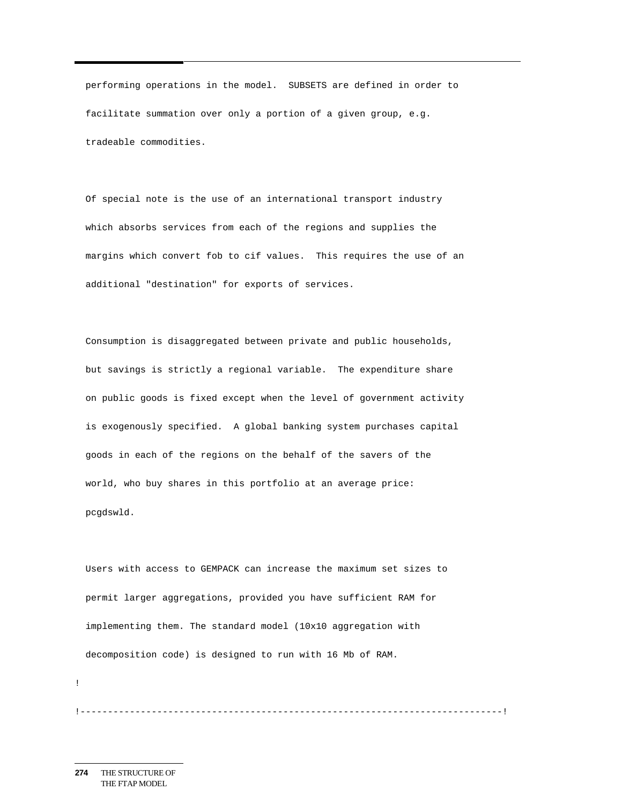performing operations in the model. SUBSETS are defined in order to facilitate summation over only a portion of a given group, e.g. tradeable commodities.

 Of special note is the use of an international transport industry which absorbs services from each of the regions and supplies the margins which convert fob to cif values. This requires the use of an additional "destination" for exports of services.

 Consumption is disaggregated between private and public households, but savings is strictly a regional variable. The expenditure share on public goods is fixed except when the level of government activity is exogenously specified. A global banking system purchases capital goods in each of the regions on the behalf of the savers of the world, who buy shares in this portfolio at an average price: pcgdswld.

 Users with access to GEMPACK can increase the maximum set sizes to permit larger aggregations, provided you have sufficient RAM for implementing them. The standard model (10x10 aggregation with decomposition code) is designed to run with 16 Mb of RAM.

!

!-----------------------------------------------------------------------------!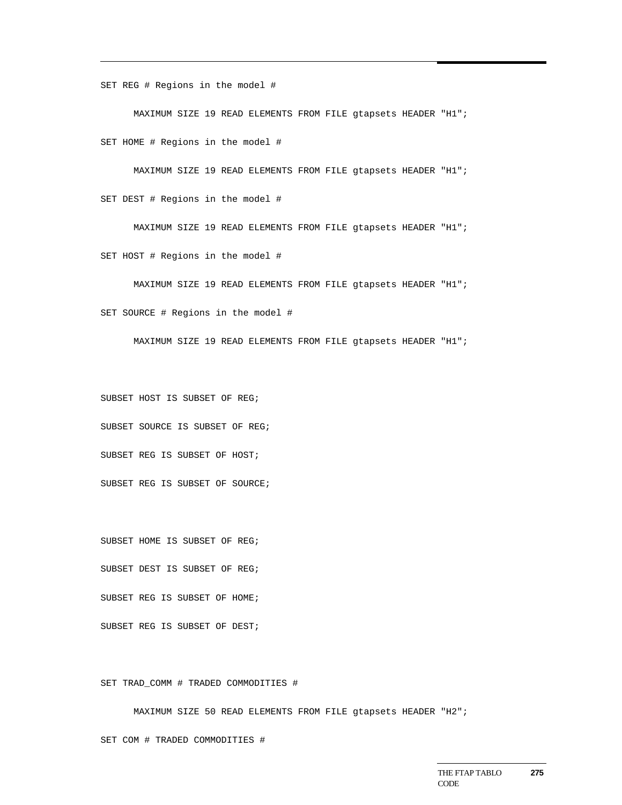SET COM # TRADED COMMODITIES #

SET TRAD\_COMM # TRADED COMMODITIES #

SUBSET REG IS SUBSET OF HOME; SUBSET REG IS SUBSET OF DEST;

SUBSET HOME IS SUBSET OF REG; SUBSET DEST IS SUBSET OF REG;

SUBSET REG IS SUBSET OF HOST;

SUBSET REG IS SUBSET OF SOURCE;

SUBSET SOURCE IS SUBSET OF REG;

SUBSET HOST IS SUBSET OF REG;

MAXIMUM SIZE 19 READ ELEMENTS FROM FILE gtapsets HEADER "H1";

MAXIMUM SIZE 50 READ ELEMENTS FROM FILE gtapsets HEADER "H2";

MAXIMUM SIZE 19 READ ELEMENTS FROM FILE gtapsets HEADER "H1";

 MAXIMUM SIZE 19 READ ELEMENTS FROM FILE gtapsets HEADER "H1"; SET DEST # Regions in the model # MAXIMUM SIZE 19 READ ELEMENTS FROM FILE gtapsets HEADER "H1";

 MAXIMUM SIZE 19 READ ELEMENTS FROM FILE gtapsets HEADER "H1"; SET HOME # Regions in the model #

SET REG # Regions in the model #

SET HOST # Regions in the model #

SET SOURCE # Regions in the model #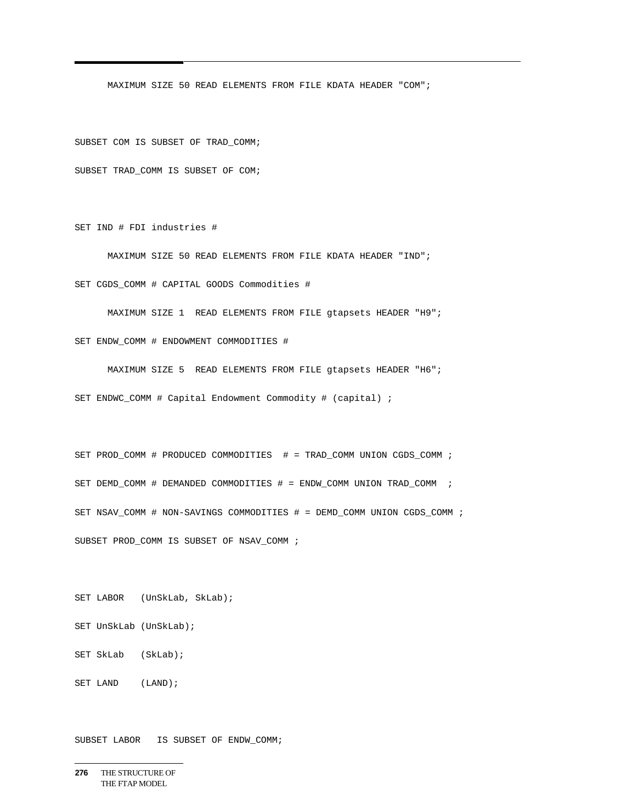MAXIMUM SIZE 50 READ ELEMENTS FROM FILE KDATA HEADER "COM";

SUBSET COM IS SUBSET OF TRAD\_COMM;

SUBSET TRAD\_COMM IS SUBSET OF COM;

SET IND # FDI industries #

 MAXIMUM SIZE 50 READ ELEMENTS FROM FILE KDATA HEADER "IND"; SET CGDS\_COMM # CAPITAL GOODS Commodities #

 MAXIMUM SIZE 1 READ ELEMENTS FROM FILE gtapsets HEADER "H9"; SET ENDW\_COMM # ENDOWMENT COMMODITIES #

 MAXIMUM SIZE 5 READ ELEMENTS FROM FILE gtapsets HEADER "H6"; SET ENDWC\_COMM # Capital Endowment Commodity # (capital) ;

SET PROD\_COMM # PRODUCED COMMODITIES # = TRAD\_COMM UNION CGDS\_COMM ; SET DEMD\_COMM # DEMANDED COMMODITIES # = ENDW\_COMM UNION TRAD\_COMM ; SET NSAV\_COMM # NON-SAVINGS COMMODITIES # = DEMD\_COMM UNION CGDS\_COMM ; SUBSET PROD\_COMM IS SUBSET OF NSAV\_COMM ;

SET LABOR (UnSkLab, SkLab);

SET UnSkLab (UnSkLab);

SET SkLab (SkLab);

SET LAND (LAND);

SUBSET LABOR IS SUBSET OF ENDW\_COMM;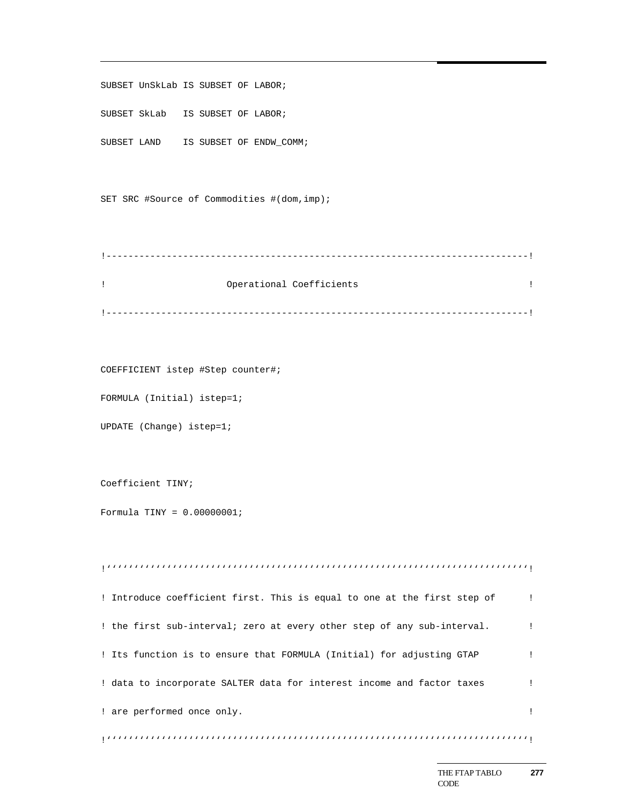```
SUBSET UnSkLab IS SUBSET OF LABOR;
SUBSET SkLab IS SUBSET OF LABOR;
SUBSET LAND IS SUBSET OF ENDW COMM;
SET SRC #Source of Commodities #(dom,imp);
!-----------------------------------------------------------------------------!
! Operational Coefficients !
!-----------------------------------------------------------------------------!
COEFFICIENT istep #Step counter#;
FORMULA (Initial) istep=1;
UPDATE (Change) istep=1;
Coefficient TINY;
Formula TINY = 0.00000001;
!'''''''''''''''''''''''''''''''''''''''''''''''''''''''''''''''''''''''''''''!
! Introduce coefficient first. This is equal to one at the first step of !
! the first sub-interval; zero at every other step of any sub-interval. \qquad !
! Its function is to ensure that FORMULA (Initial) for adjusting GTAP !
! data to incorporate SALTER data for interest income and factor taxes !
! are performed once only. !
```
!'''''''''''''''''''''''''''''''''''''''''''''''''''''''''''''''''''''''''''''!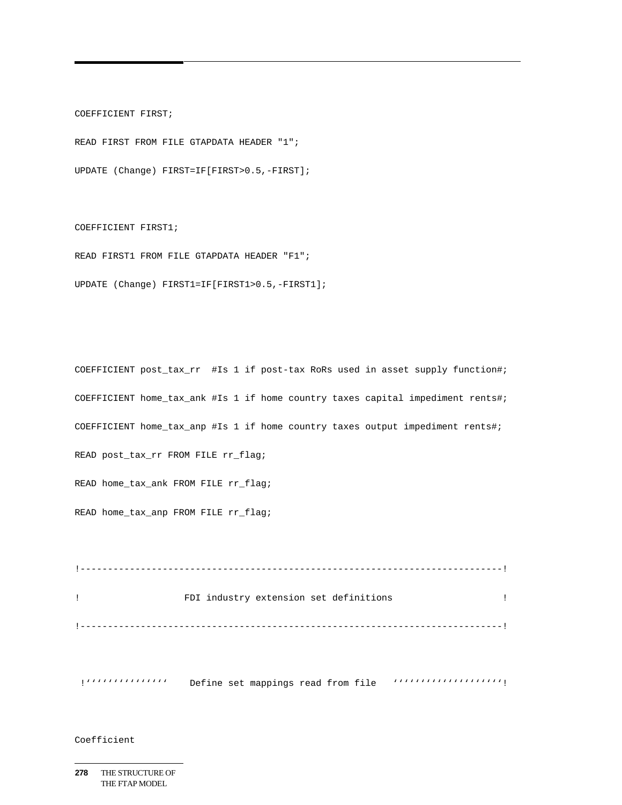COEFFICIENT FIRST;

READ FIRST FROM FILE GTAPDATA HEADER "1";

UPDATE (Change) FIRST=IF[FIRST>0.5,-FIRST];

COEFFICIENT FIRST1;

READ FIRST1 FROM FILE GTAPDATA HEADER "F1"; UPDATE (Change) FIRST1=IF[FIRST1>0.5,-FIRST1];

COEFFICIENT post\_tax\_rr #Is 1 if post-tax RoRs used in asset supply function#; COEFFICIENT home\_tax\_ank #Is 1 if home country taxes capital impediment rents#; COEFFICIENT home\_tax\_anp #Is 1 if home country taxes output impediment rents#; READ post\_tax\_rr FROM FILE rr\_flag; READ home\_tax\_ank FROM FILE rr\_flag;

READ home\_tax\_anp FROM FILE rr\_flag;

!-----------------------------------------------------------------------------! ! FDI industry extension set definitions ! !-----------------------------------------------------------------------------!

!''''''''''''''' Define set mappings read from file ''''''''''''''''''''!

Coefficient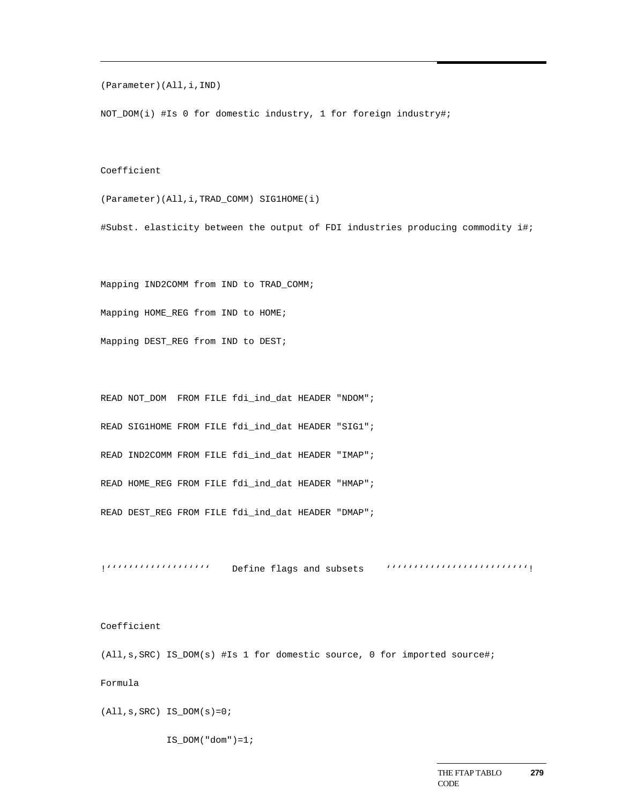(Parameter)(All,i,IND)

NOT\_DOM(i) #Is 0 for domestic industry, 1 for foreign industry#;

#### Coefficient

(Parameter)(All,i,TRAD\_COMM) SIG1HOME(i)

#Subst. elasticity between the output of FDI industries producing commodity i#;

Mapping IND2COMM from IND to TRAD\_COMM;

Mapping HOME\_REG from IND to HOME;

Mapping DEST\_REG from IND to DEST;

READ NOT\_DOM FROM FILE fdi\_ind\_dat HEADER "NDOM"; READ SIG1HOME FROM FILE fdi\_ind\_dat HEADER "SIG1"; READ IND2COMM FROM FILE fdi\_ind\_dat HEADER "IMAP"; READ HOME\_REG FROM FILE fdi\_ind\_dat HEADER "HMAP"; READ DEST\_REG FROM FILE fdi\_ind\_dat HEADER "DMAP";

 $\lbrack$   $\lbrack$   $\lbrack$   $\lbrack$   $\lbrack$   $\lbrack$   $\lbrack$   $\lbrack$   $\lbrack$   $\lbrack$   $\lbrack$   $\lbrack$   $\lbrack$   $\lbrack$   $\lbrack$   $\lbrack$   $\lbrack$   $\lbrack$   $\lbrack$   $\lbrack$   $\lbrack$   $\lbrack$   $\lbrack$   $\lbrack$   $\lbrack$   $\lbrack$   $\lbrack$   $\lbrack$   $\lbrack$   $\lbrack$   $\lbrack$   $\lbr$ 

#### Coefficient

(All,s,SRC) IS\_DOM(s) #Is 1 for domestic source, 0 for imported source#;

Formula

 $(All, s, SRC)$  IS DOM(s)=0;

 $IS\_DOM('dom")=1;$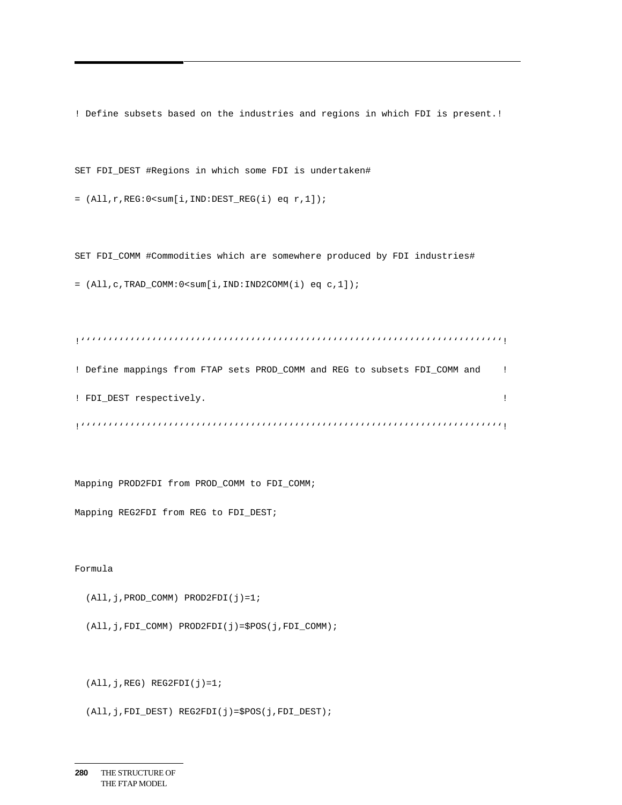! Define subsets based on the industries and regions in which FDI is present.!

SET FDI\_DEST #Regions in which some FDI is undertaken#

 $= (All,r,REG:0< sum[i,IND:DEST\_REG(i) eq r,1]);$ 

SET FDI\_COMM #Commodities which are somewhere produced by FDI industries#

= (All,c,TRAD\_COMM:0<sum[i,IND:IND2COMM(i) eq c,1]);

!'''''''''''''''''''''''''''''''''''''''''''''''''''''''''''''''''''''''''''''! ! Define mappings from FTAP sets PROD\_COMM and REG to subsets FDI\_COMM and ! ! FDI\_DEST respectively. ! !'''''''''''''''''''''''''''''''''''''''''''''''''''''''''''''''''''''''''''''!

Mapping PROD2FDI from PROD\_COMM to FDI\_COMM;

Mapping REG2FDI from REG to FDI\_DEST;

Formula

(All,j,PROD\_COMM) PROD2FDI(j)=1;

(All,j,FDI\_COMM) PROD2FDI(j)=\$POS(j,FDI\_COMM);

 $(All, j, REG) REG2FDI(j)=1;$ 

(All,j,FDI\_DEST) REG2FDI(j)=\$POS(j,FDI\_DEST);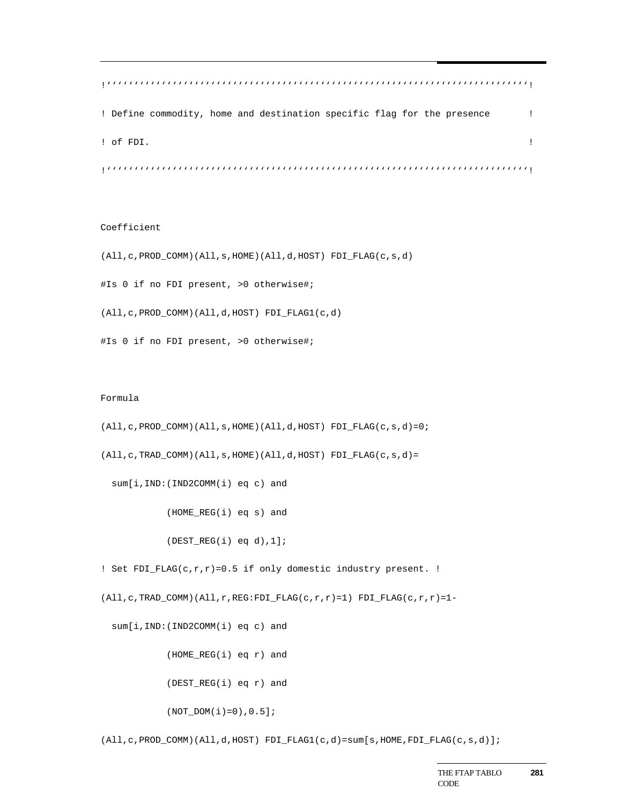|           |  |  |  | ! Define commodity, home and destination specific flag for the presence |  |  | $\perp$ |
|-----------|--|--|--|-------------------------------------------------------------------------|--|--|---------|
| ! of FDI. |  |  |  |                                                                         |  |  |         |
|           |  |  |  |                                                                         |  |  |         |

#### Coefficient

(All,c,PROD\_COMM)(All,s,HOME)(All,d,HOST) FDI\_FLAG(c,s,d)

#Is 0 if no FDI present, >0 otherwise#;

(All,c,PROD\_COMM)(All,d,HOST) FDI\_FLAG1(c,d)

#Is 0 if no FDI present, >0 otherwise#;

## Formula

```
(All,c,PROD_COMM)(All,s,HOME)(All,d,HOST) FDI_FLAG(c,s,d)=0;
```
 $(All,c,TRAD_COMM)(All,s,HOME)(All,d,HOST) FDI_FLAG(c,s,d) =$ 

sum[i,IND:(IND2COMM(i) eq c) and

(HOME\_REG(i) eq s) and

(DEST\_REG(i) eq d),1];

! Set FDI\_FLAG(c,r,r)=0.5 if only domestic industry present. !

 $(A11, c, TRAD_COMM) (A11, r, REG: FDI_FLAG(c, r, r) = 1) FDI_FLAG(c, r, r) = 1-$ 

sum[i,IND:(IND2COMM(i) eq c) and

(HOME\_REG(i) eq r) and

(DEST\_REG(i) eq r) and

 $(NOT\_DOM(i)=0)$ ,  $0.5$ ];

 $(A11, c, PROD_COMM)$   $(A11, d, HOST)$   $FDI_FLAG1(c, d) = sum[s, HOME, FDI_FLAG(c, s, d)]$ ;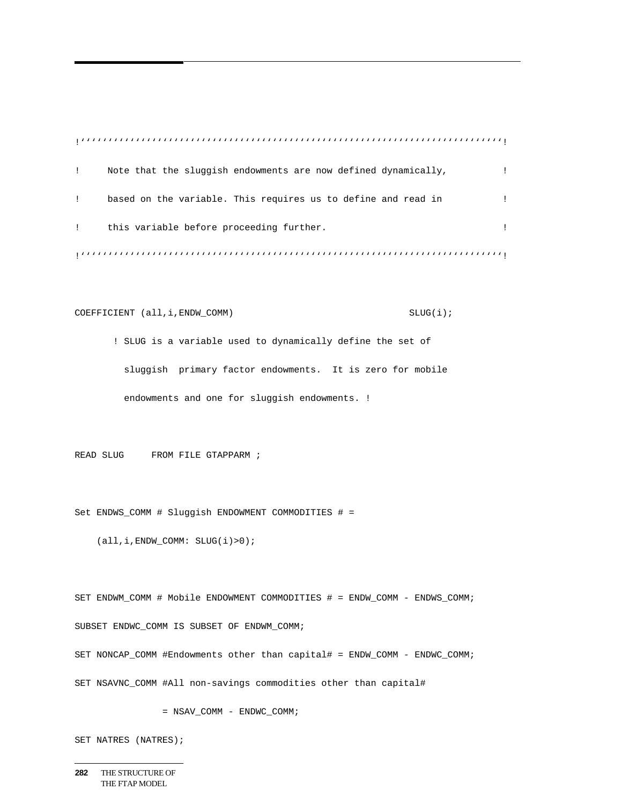!'''''''''''''''''''''''''''''''''''''''''''''''''''''''''''''''''''''''''''''! ! Note that the sluggish endowments are now defined dynamically,  $\qquad$  ! ! based on the variable. This requires us to define and read in  $\qquad$  ! ! this variable before proceeding further. ! !'''''''''''''''''''''''''''''''''''''''''''''''''''''''''''''''''''''''''''''!

COEFFICIENT (all, i, ENDW\_COMM) SLUG(i);

 ! SLUG is a variable used to dynamically define the set of sluggish primary factor endowments. It is zero for mobile endowments and one for sluggish endowments. !

READ SLUG FROM FILE GTAPPARM ;

Set ENDWS\_COMM # Sluggish ENDOWMENT COMMODITIES # =

```
 (all,i,ENDW_COMM: SLUG(i)>0);
```
SET ENDWM\_COMM # Mobile ENDOWMENT COMMODITIES # = ENDW\_COMM - ENDWS\_COMM; SUBSET ENDWC\_COMM IS SUBSET OF ENDWM\_COMM; SET NONCAP\_COMM #Endowments other than capital# = ENDW\_COMM - ENDWC\_COMM; SET NSAVNC\_COMM #All non-savings commodities other than capital#

= NSAV\_COMM - ENDWC\_COMM;

SET NATRES (NATRES);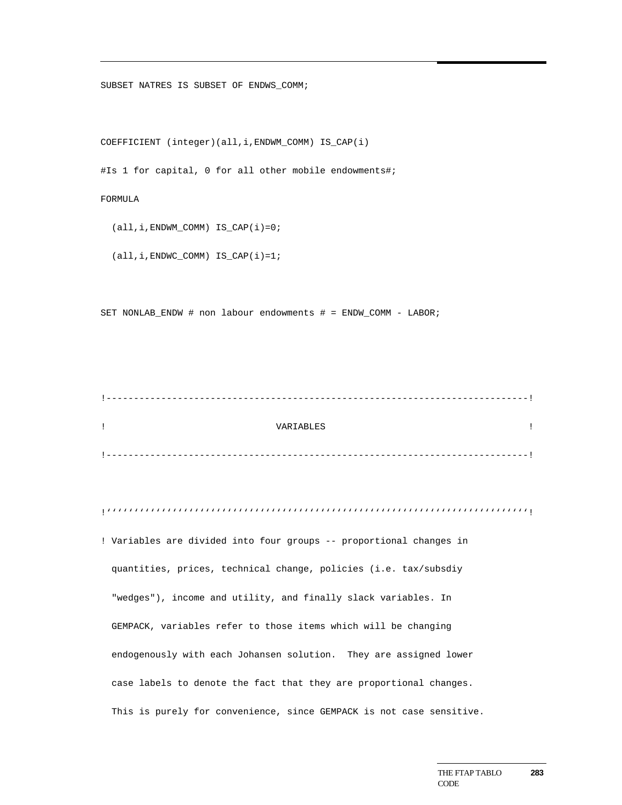```
SUBSET NATRES IS SUBSET OF ENDWS_COMM;
COEFFICIENT (integer)(all,i,ENDWM_COMM) IS_CAP(i)
#Is 1 for capital, 0 for all other mobile endowments#;
FORMULA
  (all,i,ENDWM_COMM) IS_CAP(i)=0;
  (a11,i,ENDWC\_COMM) IS_CAP(i)=1;
```
SET NONLAB\_ENDW # non labour endowments # = ENDW\_COMM - LABOR;

```
!-----------------------------------------------------------------------------!
! VARIABLES !
!-----------------------------------------------------------------------------!
```
!'''''''''''''''''''''''''''''''''''''''''''''''''''''''''''''''''''''''''''''!

| ! Variables are divided into four groups -- proportional changes in  |
|----------------------------------------------------------------------|
| quantities, prices, technical change, policies (i.e. tax/subsdiy     |
| "wedges"), income and utility, and finally slack variables. In       |
| GEMPACK, variables refer to those items which will be changing       |
| endogenously with each Johansen solution. They are assigned lower    |
| case labels to denote the fact that they are proportional changes.   |
| This is purely for convenience, since GEMPACK is not case sensitive. |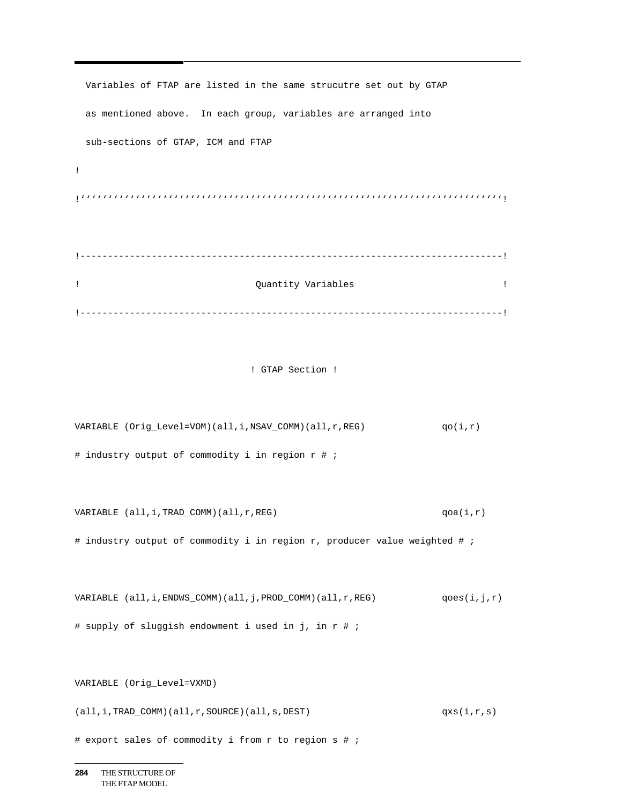Variables of FTAP are listed in the same strucutre set out by GTAP as mentioned above. In each group, variables are arranged into sub-sections of GTAP, ICM and FTAP ! !'''''''''''''''''''''''''''''''''''''''''''''''''''''''''''''''''''''''''''''! !-----------------------------------------------------------------------------! ! Quantity Variables ! !-----------------------------------------------------------------------------!

! GTAP Section !

VARIABLE (Orig\_Level=VOM)(all,i,NSAV\_COMM)(all,r,REG) qo(i,r)

# industry output of commodity i in region r # ;

```
VARIABLE (all,i,TRAD_COMM)(all,r,REG) qoa(i,r)
```
# industry output of commodity i in region r, producer value weighted # ;

```
VARIABLE (all,i,ENDWS_COMM)(all,j,PROD_COMM)(all,r,REG) qoes(i,j,r)
# supply of sluggish endowment i used in j, in r # ;
```
VARIABLE (Orig\_Level=VXMD)

 $(all,i,TRAD_COMM)(all,r,SOWRCE)(all,s,DEST)$  qxs $(i,r,s)$ 

# export sales of commodity i from r to region s # ;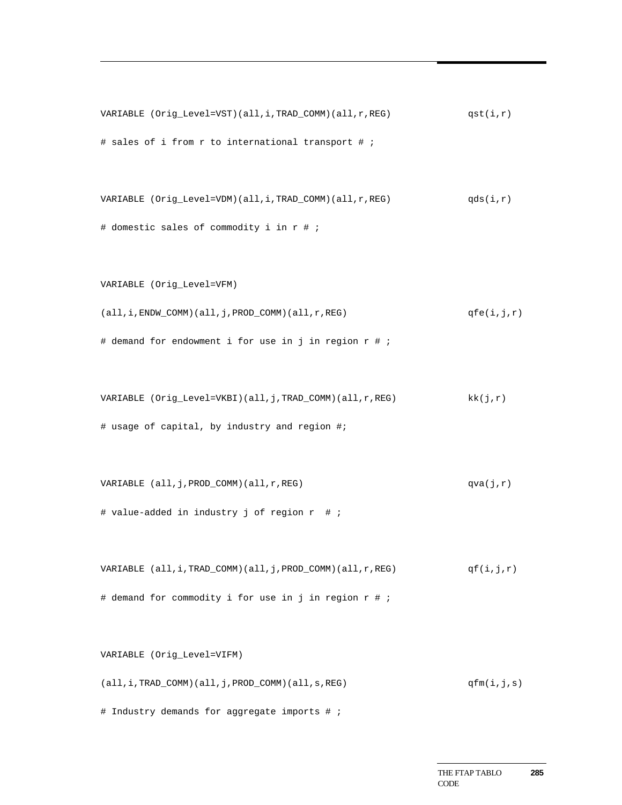```
VARIABLE (Orig_Level=VST)(all,i,TRAD_COMM)(all,r,REG) qst(i,r)
# sales of i from r to international transport # ;
```

```
VARIABLE (Orig_Level=VDM)(all,i,TRAD_COMM)(all,r,REG) qds(i,r)
# domestic sales of commodity i in r # ;
```
VARIABLE (Orig\_Level=VFM)

```
(all, i, ENDW_COMM)(all, j, PROD_COMM)(all, r, REG) qfe(i, j, r)# demand for endowment i for use in j in region r # ;
```

```
VARIABLE (Orig_Level=VKBI)(all,j,TRAD_COMM)(all,r,REG) kk(j,r)
# usage of capital, by industry and region #;
```

```
VARIABLE (all,j,PROD_COMM)(all,r,REG) qva(j,r)# value-added in industry j of region r # ;
```

```
VARIABLE (all,i,TRAD_COMM)(all,j,PROD_COMM)(all,r,REG) qf(i,j,r)# demand for commodity i for use in j in region r # ;
```

```
VARIABLE (Orig_Level=VIFM)
(all, i, TRAD_COMM)(all, j, PROD_COMM)(all, s, REG) qfm(i, j, s)# Industry demands for aggregate imports # ;
```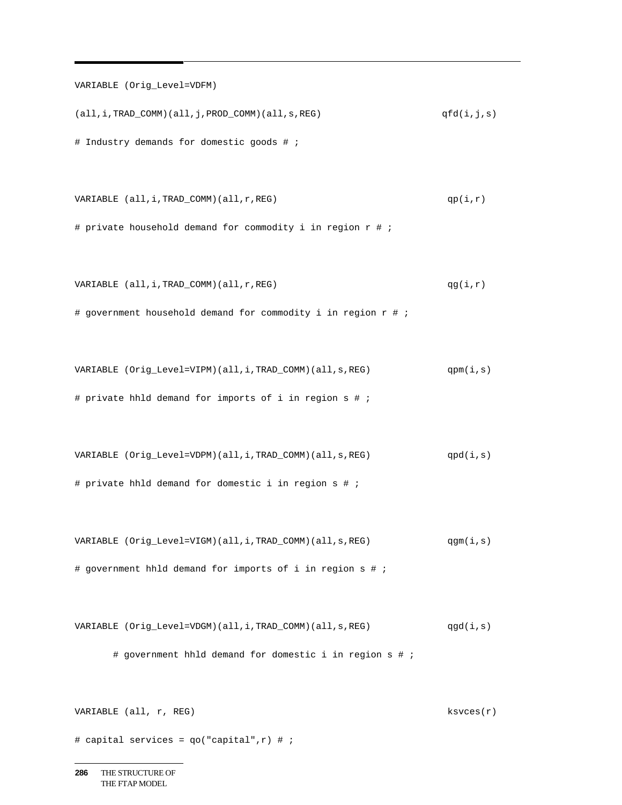VARIABLE (Orig\_Level=VDFM)

 $(all, i, TRAD_COMM)(all, j, PROD_COMM)(all, s, REG)$  qfd(i,j,s) # Industry demands for domestic goods # ;

```
VARIABLE (all, i, TRAD_COMM)(all, r, REG) qp(i, r)
```
# private household demand for commodity i in region r # ;

```
VARIABLE (all, i, TRAD\_COMM)(all, r, REG) qg(i, r)
```
# government household demand for commodity i in region r # ;

```
VARIABLE (Orig_Level=VIPM)(all,i,TRAD_COMM)(all,s,REG) qpm(i,s)
# private hhld demand for imports of i in region s # ;
```

```
VARIABLE (Orig_Level=VDPM)(all,i,TRAD_COMM)(all,s,REG) qpd(i,s)
# private hhld demand for domestic i in region s # ;
```

```
VARIABLE (Orig_Level=VIGM)(all,i,TRAD_COMM)(all,s,REG) qgm(i,s)
# government hhld demand for imports of i in region s # ;
```
 ${\tt VARIABLE} \hspace{1.5mm} (\texttt{Orig\_Level=VDGM}) \hspace{1.5mm} (\texttt{all},i,\texttt{TRAD\_COMM}) \hspace{1.5mm} (\texttt{all},s,\texttt{REG}) \hspace{1.5mm} \texttt{qgd}(i,s)$ 

# government hhld demand for domestic i in region s # ;

```
VARIABLE (all, r, REG) ksvces(r)
# capital services = qo("capital", r) # ;
```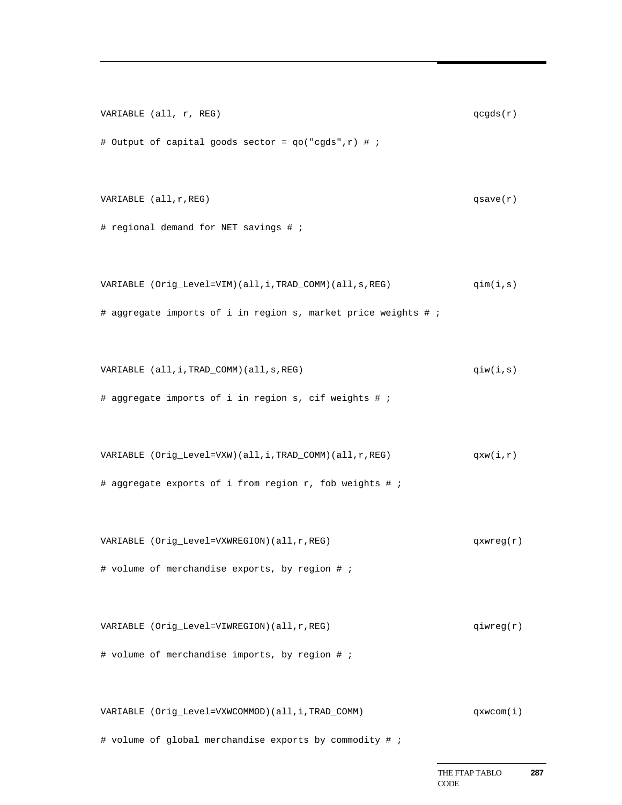```
VARIABLE (all, r, REG) qcgds(r)# Output of capital goods sector = qo("cgds",r) # ;
VARIABLE (all, r, REG) qsave(r)
# regional demand for NET savings # ;
VARIABLE (Orig_Level=VIM)(all,i,TRAD_COMM)(all,s,REG) qim(i,s)
# aggregate imports of i in region s, market price weights # ;
VARIABLE (all,i,TRAD_COMM)(all,s,REG) qiw(i,s)
# aggregate imports of i in region s, cif weights # ;
{\tt VARIABLE} \hspace{1.5mm} (\texttt{Orig\_Level=VXW}) \hspace{1.5mm} (\texttt{all},i,\texttt{TRAD\_COMM}) \hspace{1.5mm} (\texttt{all},r,\texttt{REG}) \hspace{1.5mm} \texttt{qxw}\hspace{1.5mm} (i,r)# aggregate exports of i from region r, fob weights # ;
VARIABLE (Orig_Level=VXWREGION)(all,r,REG) qxwreg(r)# volume of merchandise exports, by region # ;
VARIABLE (Orig_Level=VIWREGION)(all,r,REG) qivreg(r)# volume of merchandise imports, by region # ;
VARIABLE (Orig_Level=VXWCOMMOD)(all,i,TRAD_COMM) qxwcom(i)
# volume of global merchandise exports by commodity # ;
```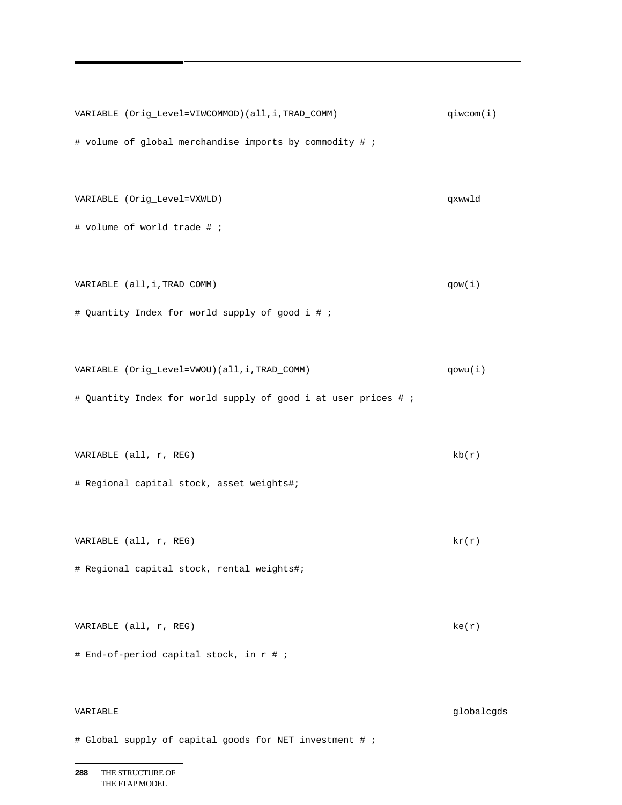VARIABLE (Orig\_Level=VIWCOMMOD)(all,i,TRAD\_COMM) qiwcom(i) # volume of global merchandise imports by commodity # ; VARIABLE (Orig\_Level=VXWLD) qxwwld # volume of world trade # ; VARIABLE (all, i, TRAD\_COMM) qow(i) # Quantity Index for world supply of good i # ; VARIABLE (Orig\_Level=VWOU)(all,i,TRAD\_COMM) qowu(i) # Quantity Index for world supply of good i at user prices # ; VARIABLE (all,  $r$ , REG) kb( $r$ ) kb( $r$ ) # Regional capital stock, asset weights#; VARIABLE (all,  $r$ , REG) kr(r) # Regional capital stock, rental weights#; VARIABLE (all,  $r$ , REG) ke(r) # End-of-period capital stock, in r # ; VARIABLE quantity of the control of the control of the control of the control of the control of the control of the control of the control of the control of the control of the control of the control of the control of the co # Global supply of capital goods for NET investment # ;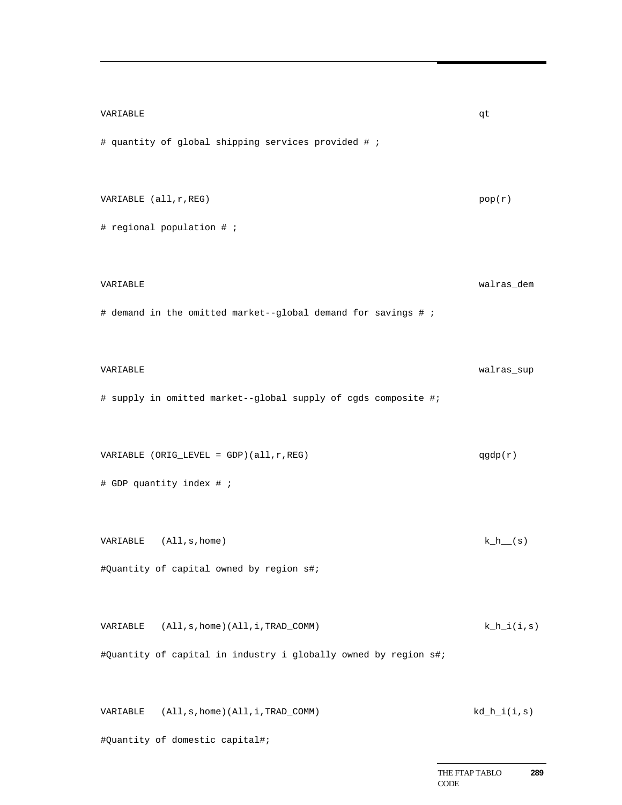# VARIABLE qualitative of the control of the control of the control of the control of the control of the control of the control of the control of the control of the control of the control of the control of the control of the # quantity of global shipping services provided # ; VARIABLE (all,r,REG) pop(r) # regional population # ; VARIABLE walras\_dem # demand in the omitted market--global demand for savings # ; VARIABLE walras\_sup # supply in omitted market--global supply of cgds composite #; VARIABLE (ORIG\_LEVEL = GDP)(all,r,REG)  $qgdp(r)$ # GDP quantity index # ;  $\verb|VARIABLE|(A11, s, home) \qquad k_h( s)$ #Quantity of capital owned by region s#; VARIABLE  $(All, s, home) (All, i, TRAD\_COMM)$  k\_h\_i(i,s) #Quantity of capital in industry i globally owned by region s#;  $\verb|VARIABLE|(All,s,home)(All,i,TRAD\_COMM) |$ #Quantity of domestic capital#;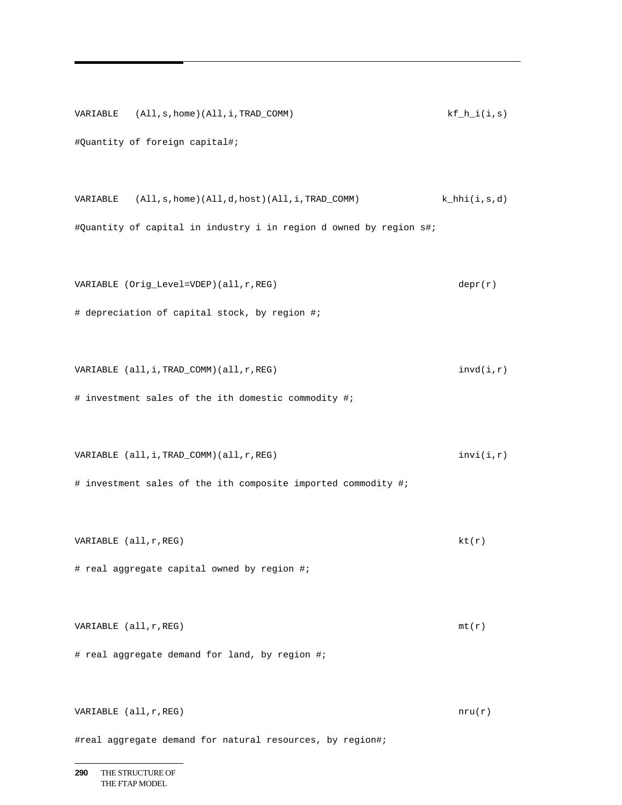```
VARIABLE (All, s, home) (All, i, TRAD\_COMM) kf_h(i, s)#Quantity of foreign capital#;
VARIABLE (All,s,home)(All,d,host)(All,i,TRAD_COMM) k_hhi(i,s,d)
```
#Quantity of capital in industry i in region d owned by region s#;

VARIABLE (Orig\_Level=VDEP)(all,r,REG) depr(r) depr(r) # depreciation of capital stock, by region #;

VARIABLE  $(all, i, TRAD_COMM)(all, r, REG)$  invd $(i, r)$ 

# investment sales of the ith domestic commodity #;

VARIABLE  $(all, i, TRAD_COMM)(all, r, REG)$  invi $(i, r)$ 

# investment sales of the ith composite imported commodity #;

```
VARIABLE (all,r,REG) kt(r)
```
# real aggregate capital owned by region #;

VARIABLE  $(all, r, REG)$  mt $(r)$ 

# real aggregate demand for land, by region #;

VARIABLE  $(all, r, REG)$  nru $(r)$ 

#real aggregate demand for natural resources, by region#;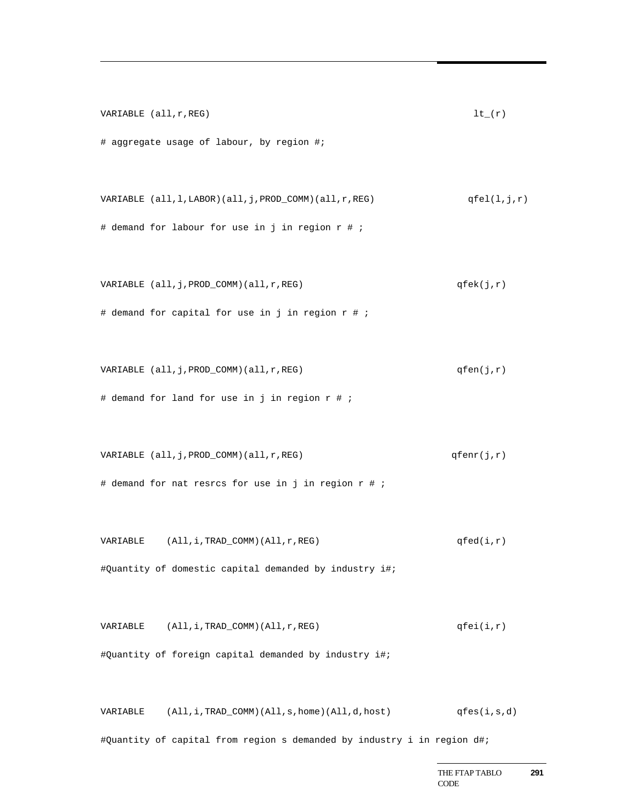```
VARIABLE (all, r, REG) lt_(r)
# aggregate usage of labour, by region #;
VARIABLE (all,l,LABOR)(all,j,PROD\_COMM)(all,r,REG) qfel(l,j,r)
# demand for labour for use in j in region r # ;
VARIABLE (all, j, PROD_COMM)(all, r, REG) qfek(j, r)# demand for capital for use in j in region r # ;
VARIABLE (all, j, PROD_COMM)(all, r, REG) qfen(j, r)# demand for land for use in j in region r # ;
VARIABLE (all, j, PROD_COMM)(all, r, REG) qfenr(j,r)
# demand for nat resrcs for use in j in region r # ;
VARIABLE (All,i,TRAD_COMM)(All,r,REG) qfed(i,r)
#Quantity of domestic capital demanded by industry i#;
\verb|VARIABLE | (All,i,TRAD_COMM)(All,r,REG) | (All,ref) | (All,ref) | (All,ref) | (All,ref) | (All,ref) | (All,ref) | (All,ref) | (All,ref) | (All,ref) | (All,ref) | (All,ref) | (All,ref) | (All,ref) | (All,ref) | (All,ref) | (All,ref) | (All,ref) | (All,ref) | (All,ref) | (All,ref) | (All,ref) | (All,ref) | (All,ref) | (All,ref) | (All,ref) | (All,ref) | (All,ref) | (All,ref) | (All,ref) | (All,ref) | (All,ref) | (All,ref) | (All,ref)#Quantity of foreign capital demanded by industry i#;
VARIABLE (All,i,TRAD_COMM)(All,s,home)(All,d,host) qfes(i,s,d)
#Quantity of capital from region s demanded by industry i in region d#;
```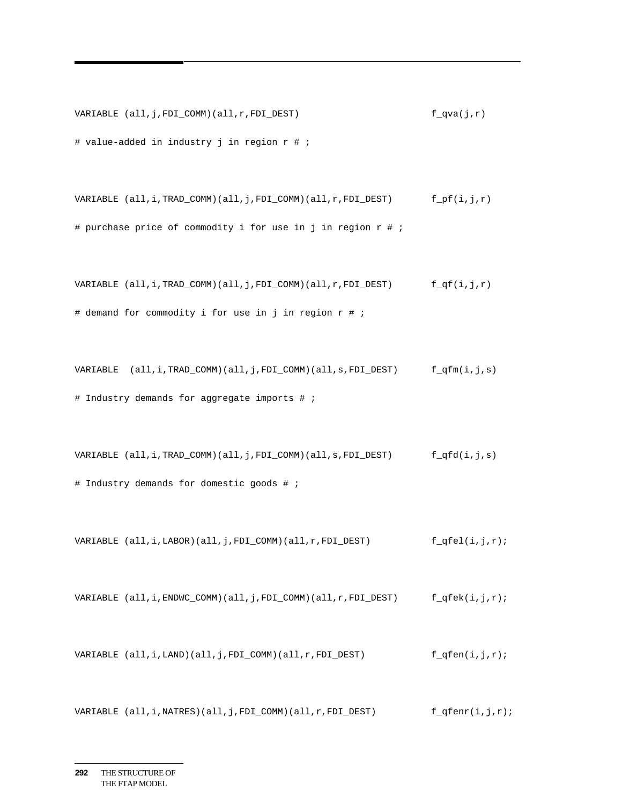```
VARIABLE (all, j, FDI\_COMM)(all, r, FDI\_DEST) f_qva(j,r)
# value-added in industry j in region r # ;
```

```
VARIABLE (all, i, TRAD_COMM)(all, j, FDI_COMM)(all, r, FDI_DEST) f_pf(i,j,r)# purchase price of commodity i for use in j in region r # ;
```

```
VARIABLE (all,i,TRAD\_COMM)(all,j,FDI\_COMM)(all,r,FDI\_DEF) f_qf(i,j,r)# demand for commodity i for use in j in region r # ;
```

```
VARIABLE (all,i,TRAD\_COMM)(all,j,FDI\_COMM)(all,s,FDI\_DEF) f_qf(m(i,j,s))
```
# Industry demands for aggregate imports # ;

VARIABLE  $(all,i,TRAD\_COMM)(all,j,FDI\_COMM)(all,s,FDI\_DEST)$   $f_qfd(i,j,s)$ # Industry demands for domestic goods # ;

 $\verb|VARIABLE (all,i,LABOR)(all,j,FDI\_COMM)(all,r,FDI\_DEST) \text{ } f_qfel(i,j,r);$ 

VARIABLE  $(all, i, ENDWC\_COMM)(all, j, FDI\_COMM)(all, r, FDI\_DEST)$   $f_qfek(i,j,r);$ 

VARIABLE  $(all, i, LAND)$  $(all, j, FDI_COMM)$  $(all, r, FDI_DEST)$  f\_qfen(i,j,r);

VARIABLE  $(all, i, NATRES)(all, j, FDI_COMM)(all, r, FDI_DEST)$   $f_qfenr(i,j,r);$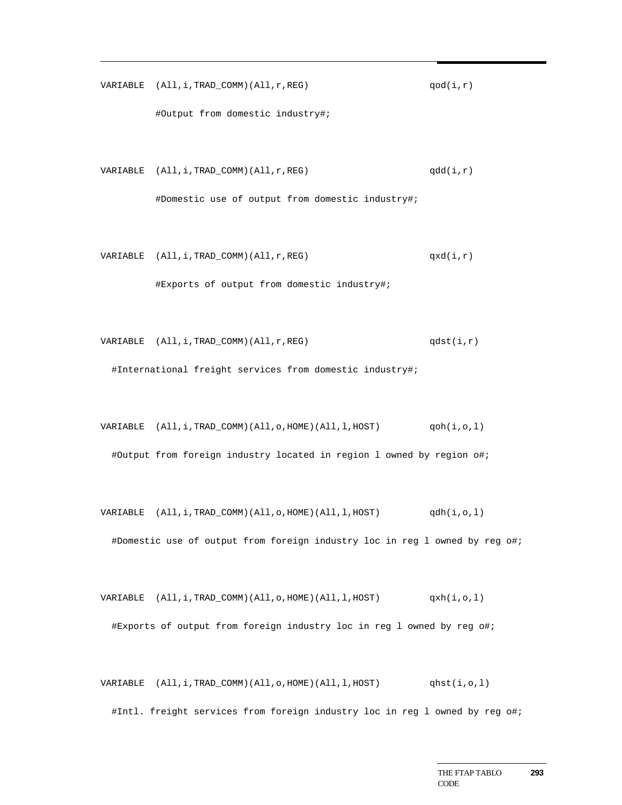VARIABLE  $(All, i, TRAD_COMM)(All, r, REG)$  qod $(i, r)$  #Output from domestic industry#; VARIABLE  $(All, i, TRAD_COMM)(All, r, REG)$  qdd $(i, r)$  #Domestic use of output from domestic industry#; VARIABLE  $(All, i, TRAD\_COMM)(All, r, REG)$  qxd $(i, r)$ 

#Exports of output from domestic industry#;

VARIABLE  $(All, i, TRAD\_COMM)(All, r, REG)$  qdst $(i, r)$ 

#International freight services from domestic industry#;

VARIABLE (All,i,TRAD\_COMM)(All,o,HOME)(All,l,HOST) qoh(i,o,l)

#Output from foreign industry located in region 1 owned by region o#;

VARIABLE  $(A11, i, TRAD\_COMM)(A11, o, HOME)(A11, 1, HOST)$  qdh $(i, o, 1)$ #Domestic use of output from foreign industry loc in reg l owned by reg o#;

VARIABLE (All,i,TRAD\_COMM)(All,o,HOME)(All,l,HOST) qxh(i,o,l) #Exports of output from foreign industry loc in reg l owned by reg o#;

VARIABLE (All,i,TRAD\_COMM)(All,o,HOME)(All,l,HOST) qhst(i,o,l) #Intl. freight services from foreign industry loc in reg l owned by reg o#;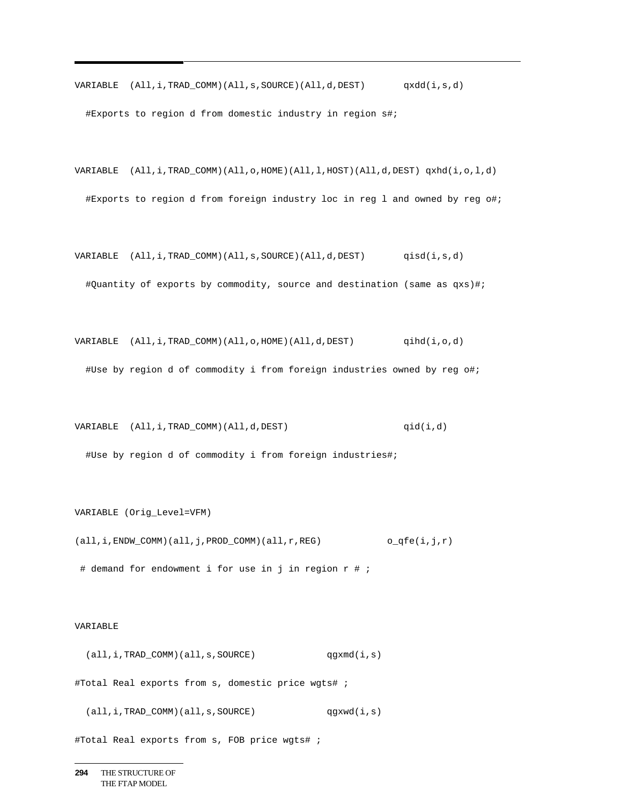VARIABLE (All,i,TRAD\_COMM)(All,s,SOURCE)(All,d,DEST) qxdd(i,s,d) #Exports to region d from domestic industry in region s#;

VARIABLE (All,i,TRAD\_COMM)(All,o,HOME)(All,l,HOST)(All,d,DEST) qxhd(i,o,l,d) #Exports to region d from foreign industry loc in reg l and owned by reg o#;

VARIABLE (All,i,TRAD\_COMM)(All,s,SOURCE)(All,d,DEST) qisd(i,s,d) #Quantity of exports by commodity, source and destination (same as qxs)#;

VARIABLE (All,i,TRAD\_COMM)(All,o,HOME)(All,d,DEST) qihd(i,o,d) #Use by region d of commodity i from foreign industries owned by reg o#;

VARIABLE (All,i,TRAD\_COMM)(All,d,DEST) qid(i,d) #Use by region d of commodity i from foreign industries#;

VARIABLE (Orig\_Level=VFM)

 $(all, i, ENDW_COMM)(all, j, PROD_COMM)(all, r, REG)$   $o_qfe(i,j,r)$ 

# demand for endowment i for use in j in region r # ;

### VARIABLE

 (all,i,TRAD\_COMM)(all,s,SOURCE) qgxmd(i,s) #Total Real exports from s, domestic price wgts# ; (all,i,TRAD\_COMM)(all,s,SOURCE) qgxwd(i,s)

#Total Real exports from s, FOB price wgts# ;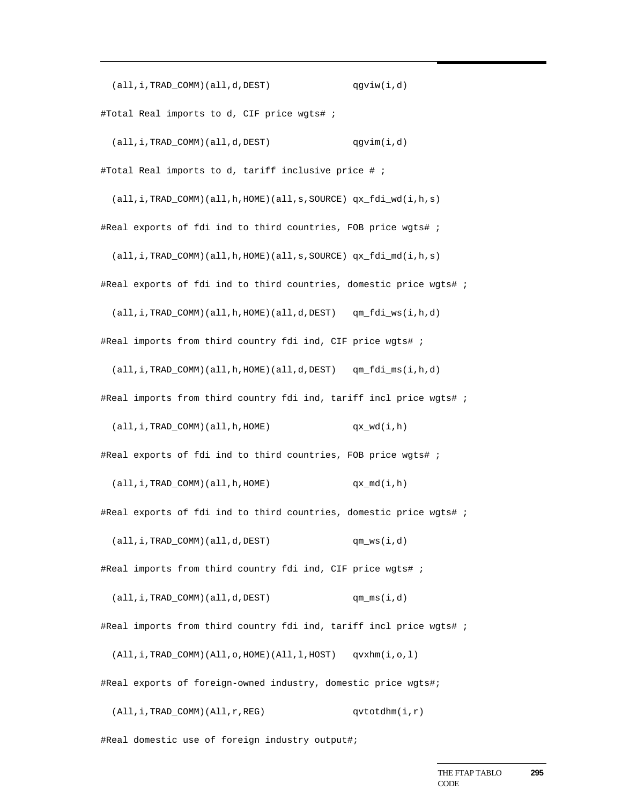$(\text{all}, i, \text{TRAD} \text{COMM})(\text{all}, d, \text{DEST})$  qqviw $(i, d)$ #Total Real imports to d, CIF price wgts# ;  $(\text{all}, i, \text{TRAD} \text{ COMM})(\text{all}, d, \text{DEST})$  qqvim $(i, d)$ #Total Real imports to d, tariff inclusive price # ; (all,i,TRAD\_COMM)(all,h,HOME)(all,s,SOURCE) qx\_fdi\_wd(i,h,s) #Real exports of fdi ind to third countries, FOB price wgts# ; (all,i,TRAD\_COMM)(all,h,HOME)(all,s,SOURCE) qx\_fdi\_md(i,h,s) #Real exports of fdi ind to third countries, domestic price wgts# ;  $(\text{all}, i, \text{TRAD}\_\text{COMM})(\text{all}, h, \text{HOME})(\text{all}, d, \text{DEST})$  qm $\text{fdi\_ws}(i, h, d)$ #Real imports from third country fdi ind, CIF price wgts# ;  $(\text{all}, i, \text{TRAD}\_\text{COMM}) (\text{all}, h, \text{HOME}) (\text{all}, d, \text{DEST})$  qm\_fdi\_ms(i,h,d) #Real imports from third country fdi ind, tariff incl price wgts# ;  $(\text{all}, i, \text{TRAD} \text{COMM})(\text{all}, h, \text{HOME})$  qx\_wd(i,h) #Real exports of fdi ind to third countries, FOB price wgts# ;  $(all, i, TRAD_COMM)(all, h, HOME)$  qx\_md(i,h) #Real exports of fdi ind to third countries, domestic price wgts# ; (all,i,TRAD\_COMM)(all,d,DEST) qm\_ws(i,d) #Real imports from third country fdi ind, CIF price wgts# ; (all,i,TRAD\_COMM)(all,d,DEST) qm\_ms(i,d) #Real imports from third country fdi ind, tariff incl price wgts# ; (All,i,TRAD\_COMM)(All,o,HOME)(All,l,HOST) qvxhm(i,o,l) #Real exports of foreign-owned industry, domestic price wgts#;  $(All, i, TRAD$  COMM $)(All, r, REG)$  qvtotdhm $(i, r)$ #Real domestic use of foreign industry output#;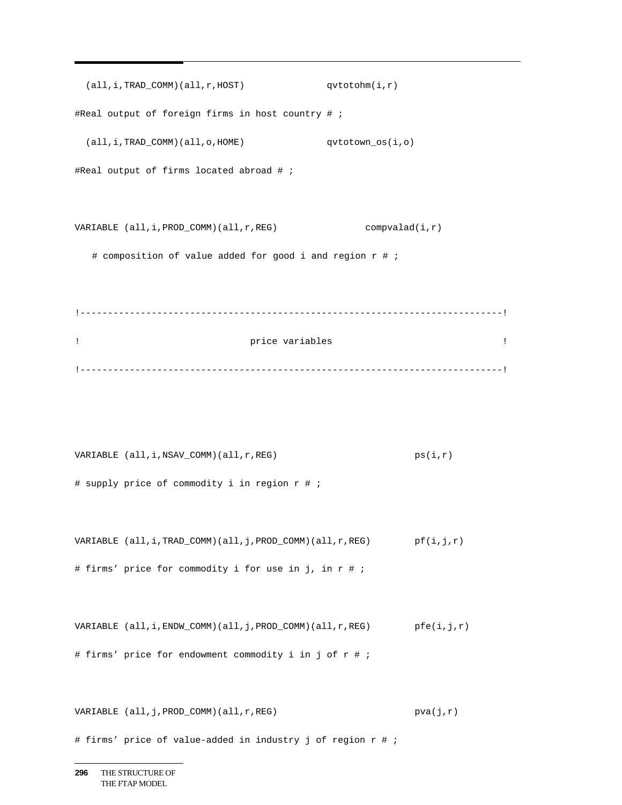```
(all,i,TRAD_COMM)(all,r,HOST) qvtotohm(i,r)
#Real output of foreign firms in host country # ;
  (all,i,TRAD_COMM)(all,o,HOME) qvtotown_os(i,o)
#Real output of firms located abroad # ;
VARIABLE (all, i, PROD_COMM)(all, r, REG) compvalad(i, r)# composition of value added for good i and region r # ;
!-----------------------------------------------------------------------------!
! price variables !
!-----------------------------------------------------------------------------!
VARIABLE (all,i,NSAV_COMM)(all,r,REG) ps(i,r)
# supply price of commodity i in region r # ;
VARIABLE (all,i,TRAD\_COMM)(all,j,PROD\_COMM)(all,r,REG) pf(i,j,r)# firms' price for commodity i for use in j, in r # ;
VARIABLE (all,i,ENDW_COMM)(all,j,PROD_COMM)(all,r,REG) pfe(i,j,r)# firms' price for endowment commodity i in j of r # ;
VARIABLE (all, j, PROD_COMM)(all, r, REG) pva(j, r)# firms' price of value-added in industry j of region r # ;
```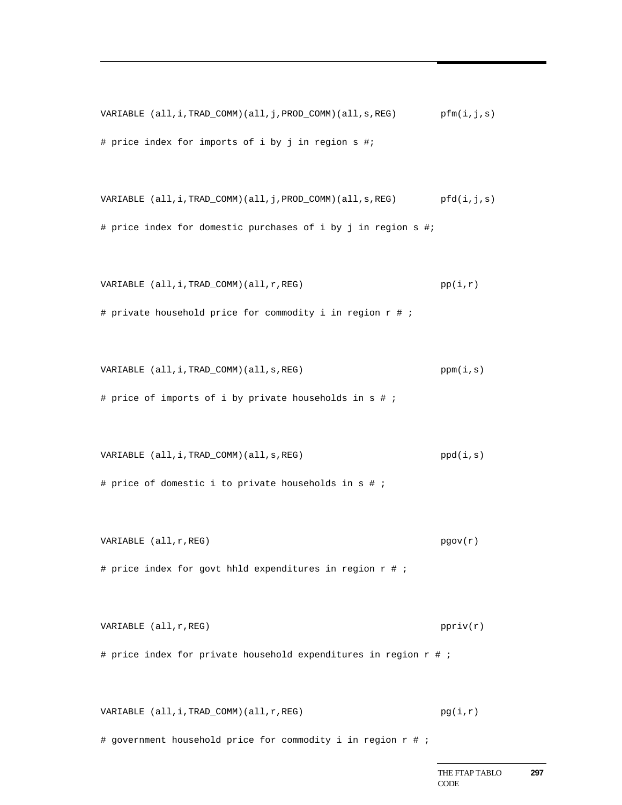```
VARIABLE (all, i, TRAD_COMM)(all, j, PROD_COMM)(all, s, REG) pfm(i,j,s)# price index for imports of i by j in region s #;
```

```
VARIABLE (all,i,TRAD_COMM)(all,j,PROD_COMM)(all,s,REG) pfd(i,j,s)
# price index for domestic purchases of i by j in region s #;
```

```
VARIABLE (all, i, TRAD_COMM)(all, r, REG) pp(i, r)# private household price for commodity i in region r # ;
```

```
VARIABLE (all,i,TRAD_COMM)(all,s,REG) ppm(i,s)
```
# price of imports of i by private households in s # ;

```
VARIABLE (all,i,TRAD_COMM)(all,s,REG) ppd(i,s)
```
# price of domestic i to private households in s # ;

```
VARIABLE (all,r,REG) pgov(r)# price index for govt hhld expenditures in region r # ;
```

```
VARIABLE (all, r, REG) ppriv(r)
```
# price index for private household expenditures in region r # ;

VARIABLE  $(all,i,TRAD$  COMM $)(all,r,REG)$  pg( $i,r$ )

# government household price for commodity i in region r # ;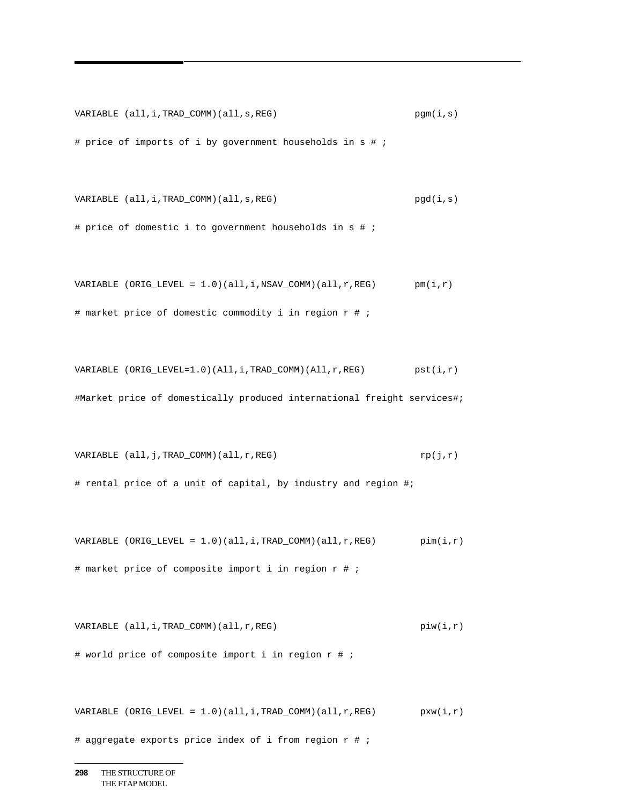```
VARIABLE (all,i,TRAD_COMM)(all,s,REG) pgm(i,s)
# price of imports of i by government households in s # ;
```

```
VARIABLE (all,i,TRAD_COMM)(all,s,REG) pgd(i,s)
```
# price of domestic i to government households in s # ;

```
VARIABLE (ORIG_LEVEL = 1.0)(all,i,NSAV_COMM)(all,r,REG) pm(i,r)# market price of domestic commodity i in region r # ;
```

```
VARIABLE (ORIG_LEVEL=1.0)(All,i,TRAD_COMM)(All,r,REG) pst(i,r)
#Market price of domestically produced international freight services#;
```

```
VARIABLE (all, j, TRAD\_COMM)(all, r, REG) rp(j, r)# rental price of a unit of capital, by industry and region #;
```

```
VARIABLE (ORIG_LEVEL = 1.0)(all, i, TRAD_COMM)(all, r, REG) pin(i, r)# market price of composite import i in region r # ;
```

```
VARIABLE (all,i,TRAD_COMM)(all,r,REG) piw(i,r)
```
# world price of composite import i in region r # ;

VARIABLE (ORIG\_LEVEL = 1.0)(all,i,TRAD\_COMM)(all,r,REG)  $pxw(i,r)$ 

# aggregate exports price index of i from region r # ;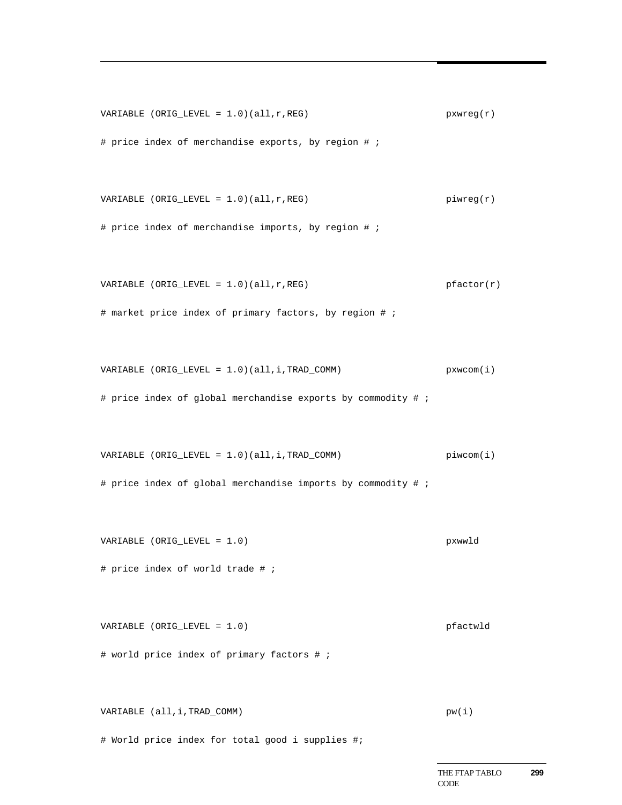```
VARIABLE (ORIG_LEVEL = 1.0)(all,r,REG) pxwreg(r)
# price index of merchandise exports, by region # ;
VARIABLE (ORIG_LEVEL = 1.0)(all,r,REG) piwreg(r)
# price index of merchandise imports, by region # ;
VARIABLE (ORIG_LEVEL = 1.0)(all, r, REG) pfactor(r)
# market price index of primary factors, by region # ;
VARIABLE (ORIG_LEVEL = 1.0)(all,i,TRAD_COMM) pxwcom(i)
# price index of global merchandise exports by commodity # ;
VARIABLE (ORIG_LEVEL = 1.0)(all,i,TRAD_COMM) piwcom(i)
# price index of global merchandise imports by commodity # ;
VARIABLE (ORIG_LEVEL = 1.0) pxwwld
# price index of world trade # ;
VARIABLE (ORIG_LEVEL = 1.0)    pfactwld
# world price index of primary factors # ;
VARIABLE (all, i, TRAD_COMM) pw(i)
# World price index for total good i supplies #;
```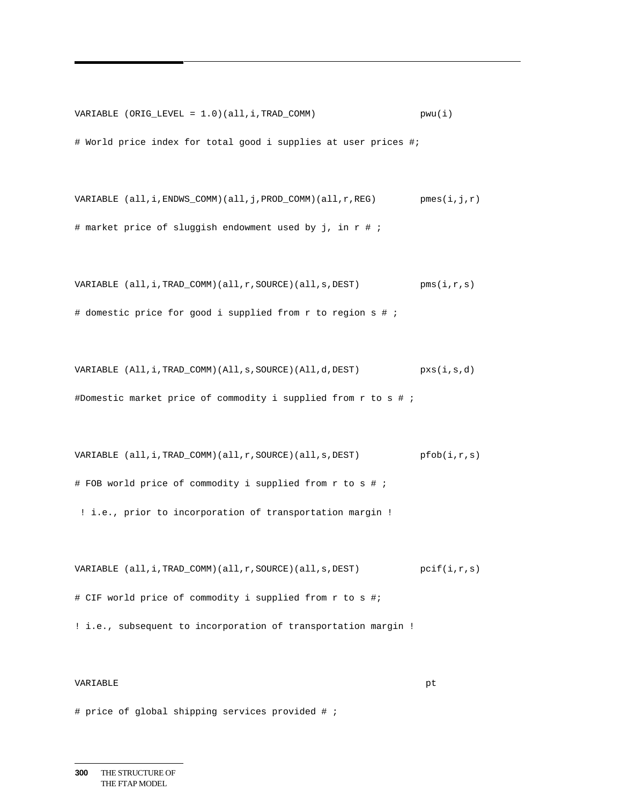VARIABLE (ORIG\_LEVEL = 1.0)(all,i,TRAD\_COMM) pwu(i) # World price index for total good i supplies at user prices #;

```
VARIABLE (all,i,ENDWS_COMM)(all,j,PROD_COMM)(all,r,REG) pmes(i,j,r)
# market price of sluggish endowment used by j, in r # ;
```
VARIABLE (all,i,TRAD\_COMM)(all,r,SOURCE)(all,s,DEST) pms(i,r,s) # domestic price for good i supplied from r to region s # ;

VARIABLE (All,i,TRAD\_COMM)(All,s,SOURCE)(All,d,DEST) pxs(i,s,d) #Domestic market price of commodity i supplied from r to s # ;

VARIABLE (all,i,TRAD\_COMM)(all,r,SOURCE)(all,s,DEST) pfob(i,r,s) # FOB world price of commodity i supplied from r to s # ; ! i.e., prior to incorporation of transportation margin !

```
VARIABLE (all,i,TRAD\_COMM)(all,r,SOWRCE)(all,s,DEST) pcif(i,r,s)
# CIF world price of commodity i supplied from r to s #;
! i.e., subsequent to incorporation of transportation margin !
```
VARIABLE pt

# price of global shipping services provided # ;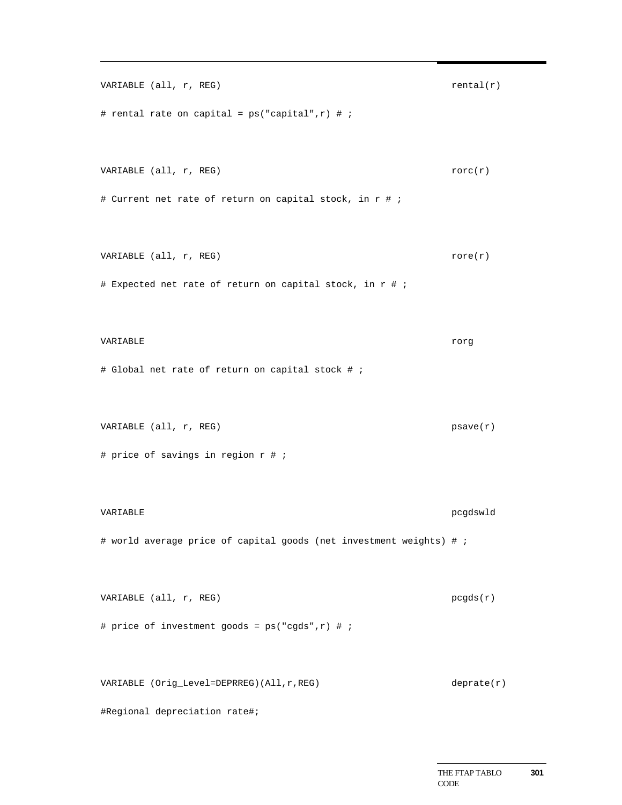```
VARIABLE (all, r, REG) rental(r)
# rental rate on capital = ps("capital", r) # ;VARIABLE (all, r, REG) rorc(r)# Current net rate of return on capital stock, in r # ;
VARIABLE (all, r, REG) r rore(r)# Expected net rate of return on capital stock, in r # ;
VARIABLE rorg rorg
# Global net rate of return on capital stock # ;
VARIABLE (all, r, REG) psave(r)
# price of savings in region r # ;
VARIABLE pcgdswld
# world average price of capital goods (net investment weights) # ;
VARIABLE (all, r, REG) pcgds(r)
# price of investment goods = ps("cgds",r) # ;
VARIABLE (Orig_Level=DEPRREG)(All,r,REG) deprate(r)
#Regional depreciation rate#;
```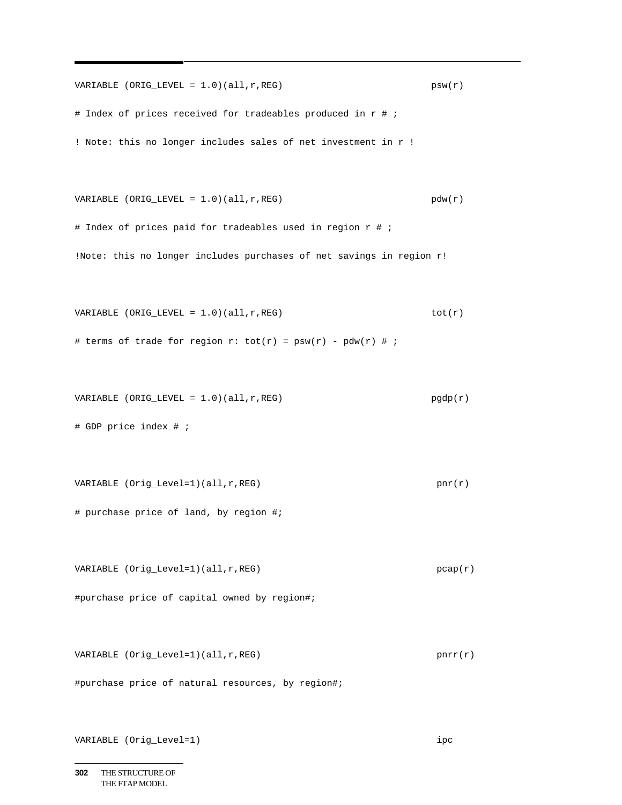VARIABLE (ORIG LEVEL =  $1.0$ )(all,r,REG) psw(r) # Index of prices received for tradeables produced in r # ; ! Note: this no longer includes sales of net investment in r ! VARIABLE  $(ORIG_LEVEL = 1.0)(all, r, REG)$  pdw(r) # Index of prices paid for tradeables used in region r # ; !Note: this no longer includes purchases of net savings in region r! VARIABLE  $(ORIG\_LEVEL = 1.0)(all,r,REG)$  tot $(r)$ # terms of trade for region r: tot(r) =  $psw(r) - pdw(r)$  # ; VARIABLE  $(ORIG_LEVEL = 1.0)(all,r,REG)$  pgdp $(r)$ # GDP price index # ; VARIABLE  $(Orig\_Level=1)(all,r,REG)$  pnr(r) # purchase price of land, by region #; VARIABLE  $(Orig\_Level=1)(all,r,REG)$  pcap(r) #purchase price of capital owned by region#; VARIABLE  $(Orig\_Level=1)(all,r,REG)$  pnrr(r) #purchase price of natural resources, by region#;

VARIABLE (Orig\_Level=1) ipc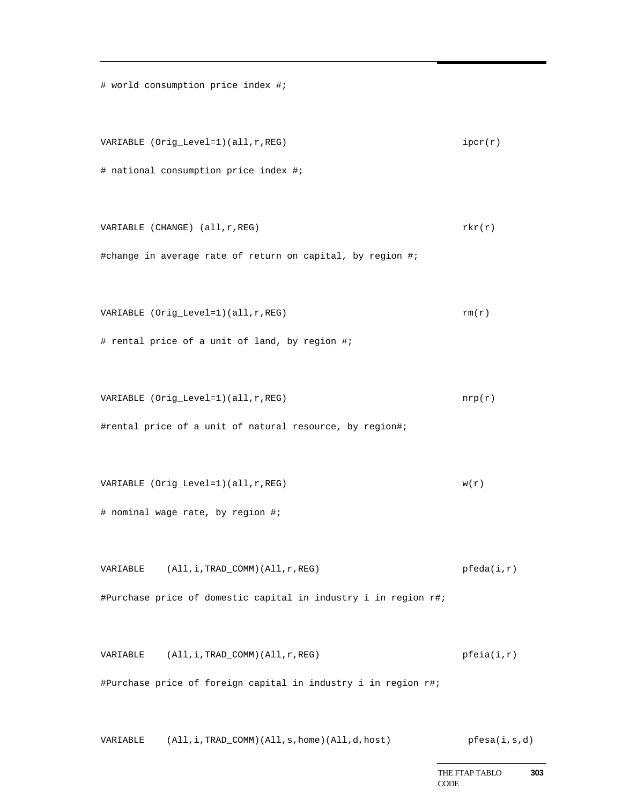```
# world consumption price index #;
VARIABLE (Oriq Level=1)(all,r,REG) ipcr(r)
# national consumption price index #;
VARIABLE (CHANGE) (all,r,REG) rkr(r)
#change in average rate of return on capital, by region #;
VARIABLE (Orig\_Level=1)(all, r, REG) rm(r)# rental price of a unit of land, by region #;
VARIABLE (Orig\_Level=1)(all,r,REG) nrp(r)#rental price of a unit of natural resource, by region#;
VARIABLE (Orig\_Level=1)(all,r,REG) w(r)
# nominal wage rate, by region #;
VARIABLE (All,i,TRAD_COMM)(All,r,REG) pfeda(i,r)
#Purchase price of domestic capital in industry i in region r#;
VARIABLE (All,i,TRAD_COMM)(All,r,REG) pfeia(i,r)
```
#Purchase price of foreign capital in industry i in region r#;

VARIABLE (All,i,TRAD\_COMM)(All,s,home)(All,d,host) pfesa(i,s,d)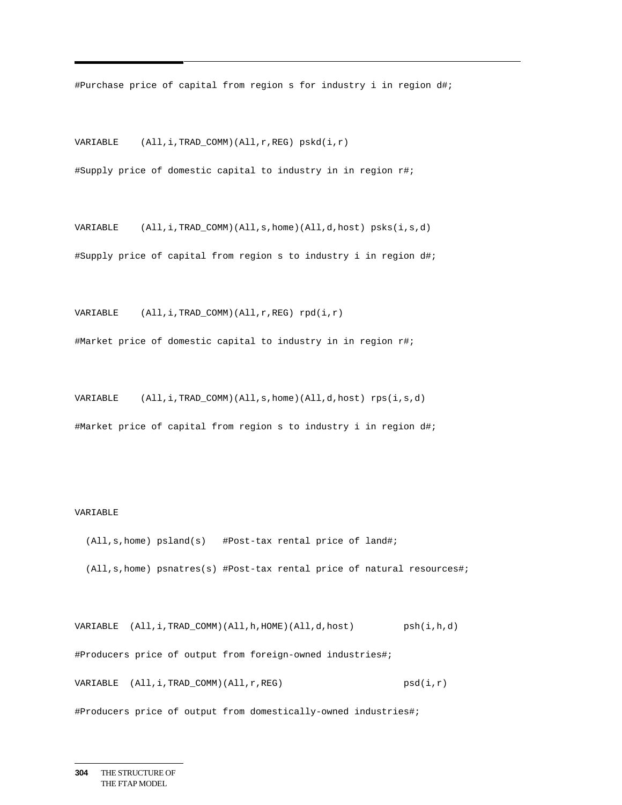#Purchase price of capital from region s for industry i in region d#;

VARIABLE (All, $i$ ,TRAD COMM)(All, $r$ ,REG) pskd( $i$ , $r$ )

#Supply price of domestic capital to industry in in region r#;

VARIABLE (All,i,TRAD\_COMM)(All,s,home)(All,d,host) psks(i,s,d) #Supply price of capital from region s to industry i in region d#;

VARIABLE (All,i,TRAD\_COMM)(All,r,REG) rpd(i,r)

#Market price of domestic capital to industry in in region r#;

VARIABLE (All,i,TRAD\_COMM)(All,s,home)(All,d,host) rps(i,s,d) #Market price of capital from region s to industry i in region d#;

### VARIABLE

 (All,s,home) psland(s) #Post-tax rental price of land#; (All, s, home) psnatres(s) #Post-tax rental price of natural resources#;

VARIABLE (All,i,TRAD\_COMM)(All,h,HOME)(All,d,host) psh(i,h,d) #Producers price of output from foreign-owned industries#; VARIABLE  $(All, i, TRAD_COMM)(All, r, REG)$  psd $(i, r)$ #Producers price of output from domestically-owned industries#;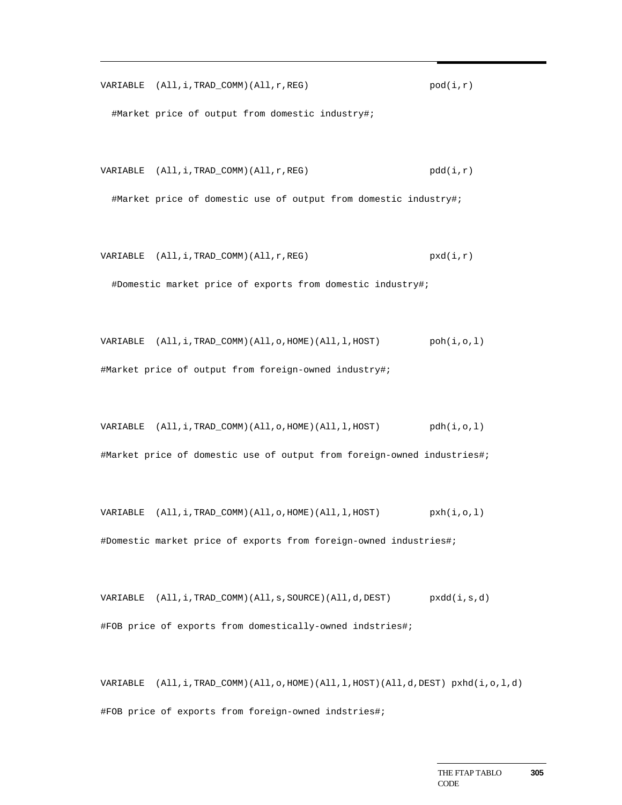```
VARIABLE (All, i, TRAD COMM)(All, r, REG) pod(i, r) #Market price of output from domestic industry#;
```
VARIABLE (All,i,TRAD\_COMM)(All,r,REG) pdd(i,r)

#Market price of domestic use of output from domestic industry#;

```
VARIABLE (A11, i, TRAD\_COMM)(A11, r, REG) pxd(i,r)
```
#Domestic market price of exports from domestic industry#;

```
VARIABLE (All,i,TRAD_COMM)(All,o,HOME)(All,l,HOST) poh(i,o,l)
#Market price of output from foreign-owned industry#;
```

```
VARIABLE (All,i,TRAD_COMM)(All,o,HOME)(All,l,HOST) pdh(i,o,l)
#Market price of domestic use of output from foreign-owned industries#;
```

```
VARIABLE (All,i,TRAD_COMM)(All,o,HOME)(All,l,HOST) pxh(i,o,l)
#Domestic market price of exports from foreign-owned industries#;
```

```
VARIABLE (All,i,TRAD_COMM)(All,s,SOURCE)(All,d,DEST) pxdd(i,s,d)
#FOB price of exports from domestically-owned indstries#;
```
VARIABLE (All,i,TRAD\_COMM)(All,o,HOME)(All,l,HOST)(All,d,DEST) pxhd(i,o,l,d) #FOB price of exports from foreign-owned indstries#;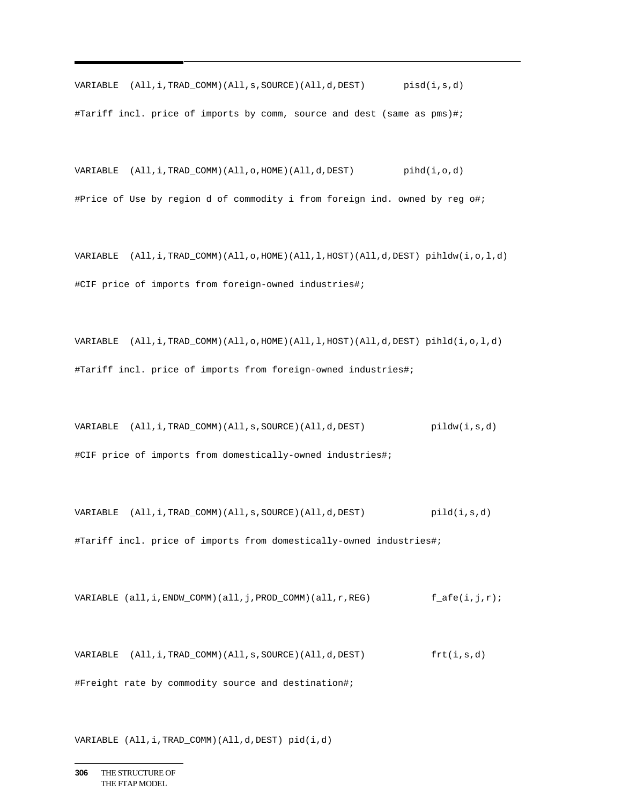VARIABLE (All,i,TRAD\_COMM)(All,s,SOURCE)(All,d,DEST) pisd(i,s,d) #Tariff incl. price of imports by comm, source and dest (same as pms)#;

VARIABLE (All,i,TRAD\_COMM)(All,o,HOME)(All,d,DEST) pihd(i,o,d) #Price of Use by region d of commodity i from foreign ind. owned by reg o#;

VARIABLE (All,i,TRAD\_COMM)(All,o,HOME)(All,l,HOST)(All,d,DEST) pihldw(i,o,l,d) #CIF price of imports from foreign-owned industries#;

VARIABLE (All,i,TRAD\_COMM)(All,o,HOME)(All,l,HOST)(All,d,DEST) pihld(i,o,l,d) #Tariff incl. price of imports from foreign-owned industries#;

VARIABLE (All,i,TRAD\_COMM)(All,s,SOURCE)(All,d,DEST) pildw(i,s,d) #CIF price of imports from domestically-owned industries#;

VARIABLE (All,i,TRAD\_COMM)(All,s,SOURCE)(All,d,DEST) pild(i,s,d) #Tariff incl. price of imports from domestically-owned industries#;

VARIABLE  $(all, i, ENDW_COMM)(all, j, PROD_COMM)(all, r, REG)$   $f_afe(i,j,r);$ 

VARIABLE (All,i,TRAD\_COMM)(All,s,SOURCE)(All,d,DEST) frt(i,s,d) #Freight rate by commodity source and destination#;

VARIABLE (All,i,TRAD\_COMM)(All,d,DEST) pid(i,d)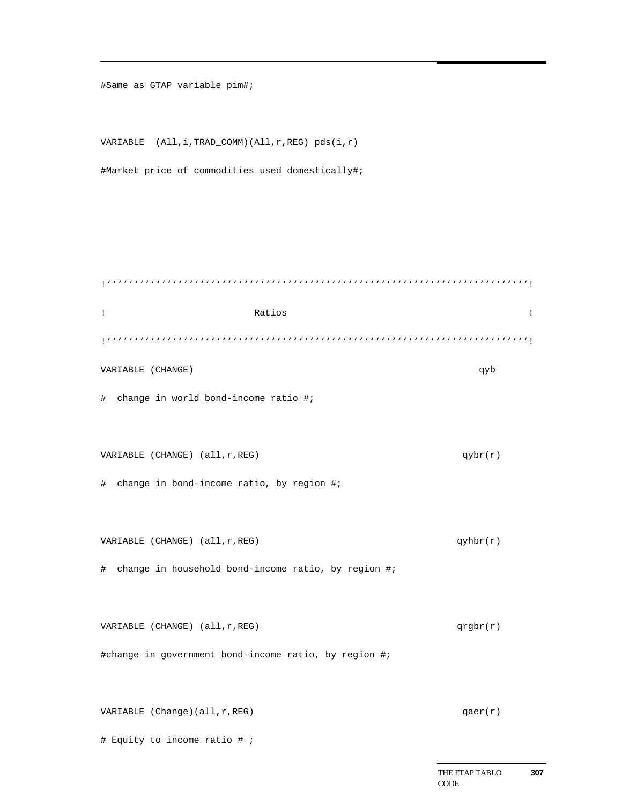#Same as GTAP variable pim#;

VARIABLE (All,i,TRAD\_COMM)(All,r,REG) pds(i,r)

```
#Market price of commodities used domestically#;
```
!'''''''''''''''''''''''''''''''''''''''''''''''''''''''''''''''''''''''''''''! ! Ratios ! !'''''''''''''''''''''''''''''''''''''''''''''''''''''''''''''''''''''''''''''! VARIABLE (CHANGE) qyb # change in world bond-income ratio #; VARIABLE (CHANGE) (all, $r$ ,REG) qybr( $r$ ) qybr( $r$ ) # change in bond-income ratio, by region #;  ${\tt VARIABLE} \hspace{1.5cm} ({\tt CHANGE}) \hspace{1.5cm} ({\tt all}, r, \tt REG) \hspace{1.5cm} {\tt qyhbr}(r)$ # change in household bond-income ratio, by region #;  $\verb|VARIABLE|(CHANGE)(all,r,REG) |\qquad \qquad \verb|VARIABLE|(r)| |\qquad \qquad \verb|VARTABLE|(r)| |\qquad \qquad \verb|VARTABLE|(r)| |\qquad \qquad \verb|VARTABLE|(r)| |\qquad \qquad \verb|VARTABLE|(r)| |\qquad \qquad \verb|VARTABLE|(r)| |\qquad \qquad \verb|VARTABLE|(r)| |\qquad \qquad \verb|VARTABLE|(r)| |\qquad \qquad \verb|VARTABLE|(r)| |\qquad \qquad \verb|VASTABLE|(r)| |\qquad \qquad \verb|VASTABLE|(r)| |\qquad \qquad \verb|VASTABLE|(r)| |\qquad \qquad \verb|VASTABLE|(r)| |\qquad \qquad \verb|V$ #change in government bond-income ratio, by region #; VARIABLE (Change)(all, $r$ ,REG)  $qear(r)$ # Equity to income ratio # ;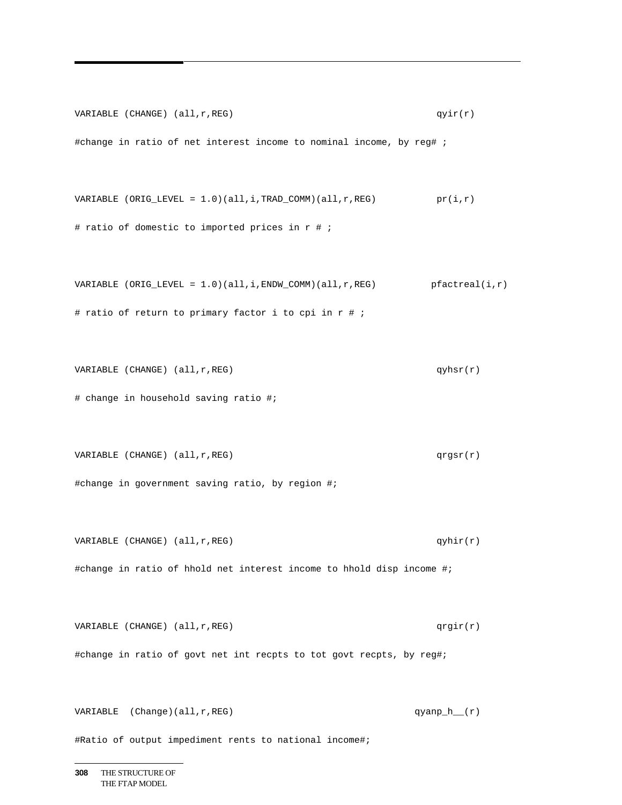```
\verb|VARIABLE|(CHANGE)(all,r,REG) \qquad \qquad \verb|VARIABLE|(r)#change in ratio of net interest income to nominal income, by reg# ;
VARIABLE (ORIG_LEVEL = 1.0)(all, i, TRAD_COMM)(all, r, REG) pr(i,r)
# ratio of domestic to imported prices in r # ;
VARIABLE (ORIG_LEVEL = 1.0)(all,i,ENDW_COMM)(all,r,REG) pfactreal(i,r)
# ratio of return to primary factor i to cpi in r # ;
VARIABLE (CHANGE) (all, r, REG) qyhsr(r)# change in household saving ratio #;
VARIABLE (CHANGE) (all, r, REG) (all(r)) qrgsr(r)#change in government saving ratio, by region #;
VARIABLE (CHANGE) (all, r, REG) qyhir(r)#change in ratio of hhold net interest income to hhold disp income #;
VARIABLE (CHANGE) (all,r,REG) qrgir(r)
#change in ratio of govt net int recpts to tot govt recpts, by reg#;
VARIABLE (Change)(all, r, REG) qyanp_h_(r)
```
#Ratio of output impediment rents to national income#;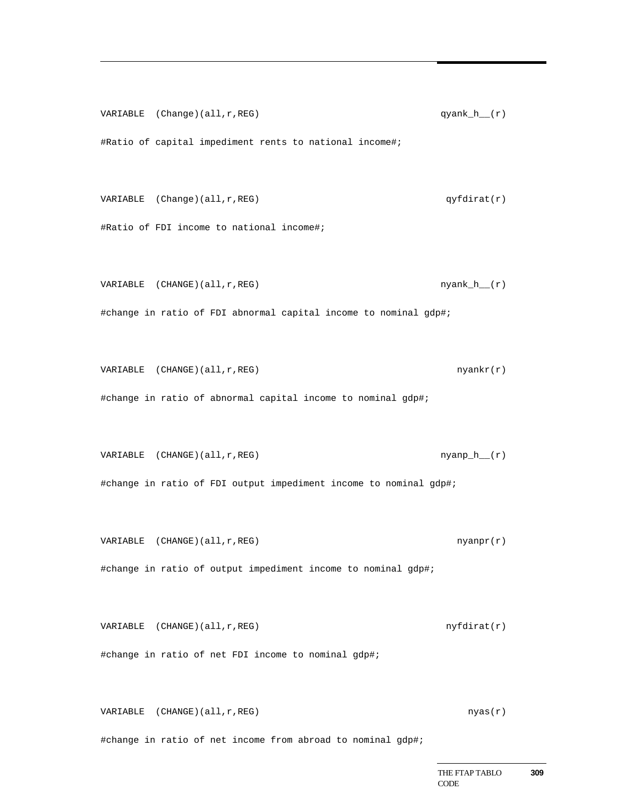```
VARIABLE (Change)(all, r, REG) qyankh_r(r)#Ratio of capital impediment rents to national income#;
VARIABLE (Change)(all,r,REG) qyfdirat(r)#Ratio of FDI income to national income#;
VARIABLE (CHANGE)(all, r, REG) nyank_h_(r)
#change in ratio of FDI abnormal capital income to nominal gdp#;
VARIABLE (CHANGE)(all, r, REG) nyankr(r)#change in ratio of abnormal capital income to nominal gdp#;
VARIABLE (CHANGE)(all, r, REG) nyanph<sub>(r)</sub>
#change in ratio of FDI output impediment income to nominal gdp#;
VARIABLE (CHANGE)(all, r, REG) nyanpr(r)#change in ratio of output impediment income to nominal gdp#;
VARIABLE (CHANGE)(all, r, REG) nyfdirat(r)
#change in ratio of net FDI income to nominal gdp#;
VARIABLE (CHANGE)(all,r,REG) nyas(r)
```
#change in ratio of net income from abroad to nominal gdp#;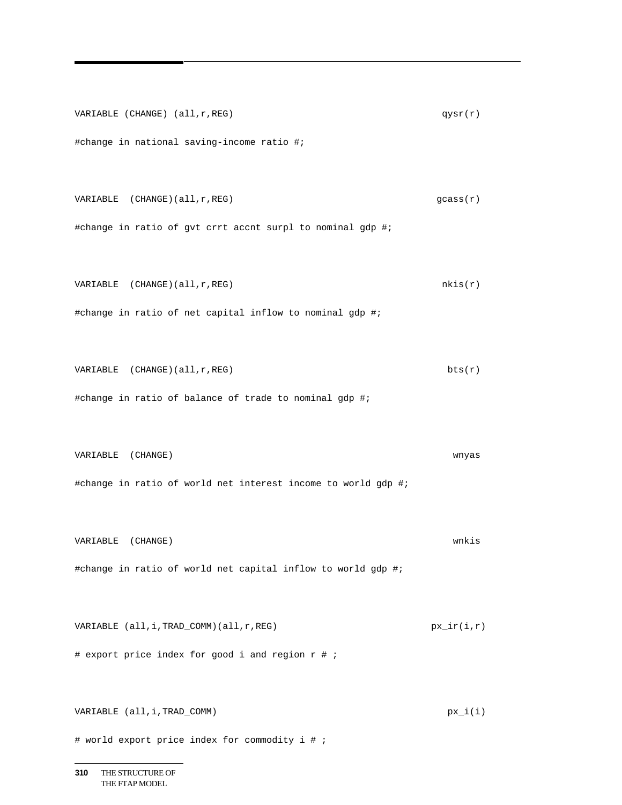```
VARIABLE (CHANGE) (all,r,REG) qysr(r)
#change in national saving-income ratio #;
VARIABLE (CHANGE)(all,r,REG) specific example of the set of the set of the set of the set of the set of the set of the set of the set of the set of the set of the set of the set of the set of the set of the set of the set 
#change in ratio of gvt crrt accnt surpl to nominal gdp #;
VARIABLE (CHANGE)(all, r, REG) nkis(r)#change in ratio of net capital inflow to nominal gdp #;
VARIABLE (CHANGE)(all, r, REG) bts(r)#change in ratio of balance of trade to nominal gdp #;
VARIABLE (CHANGE) wnyas
#change in ratio of world net interest income to world gdp #;
VARIABLE (CHANGE) wnkis
#change in ratio of world net capital inflow to world gdp #;
VARIABLE (all,i,TRAD_COMM)(all,r,REG) px_ir(i,r)
# export price index for good i and region r # ;
VARIABLE (all,i,TRAD_COMM) px_i(i)
# world export price index for commodity i # ;
```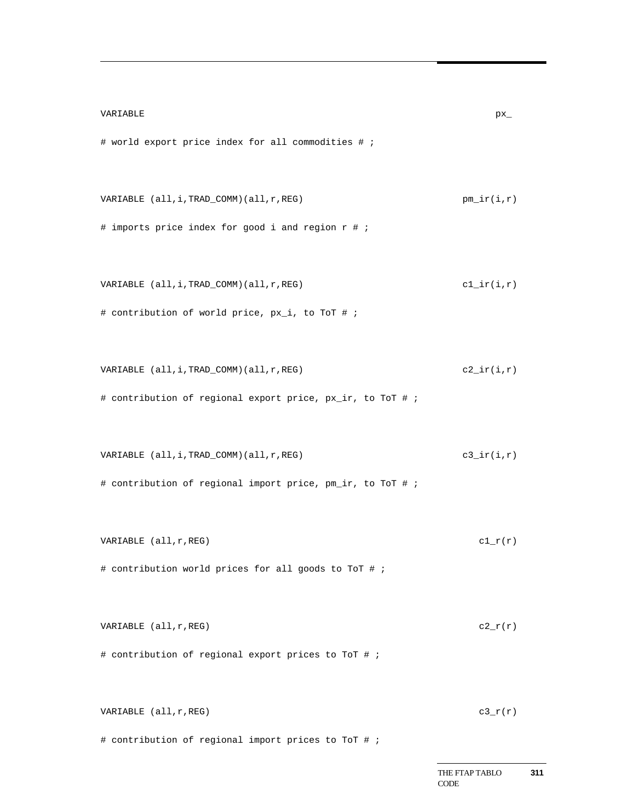```
VARIABLE px_
# world export price index for all commodities # ;
VARIABLE (all,i,TRAD\_COMM)(all,r,REG) pm_ir(i,r)# imports price index for good i and region r # ;
VARIABLE (all,i,TRAD_COMM)(all,r,REG) c1_ir(i,r)
# contribution of world price, px_i, to ToT # ;
VARIABLE (all,i,TRAD\_COMM)(all,r,REG) c2_ir(i,r)# contribution of regional export price, px_ir, to ToT # ;
VARIABLE (all,i,TRAD_COMM)(all,r,REG) c3_ir(i,r)
# contribution of regional import price, pm_ir, to ToT # ;
VARIABLE (all, r, REG) c1_r(r)
# contribution world prices for all goods to ToT # ;
VARIABLE (all,r,REG) c2_r(r)
# contribution of regional export prices to ToT # ;
VARIABLE \text{(all, r, REG)} c3_r(r)
# contribution of regional import prices to ToT # ;
```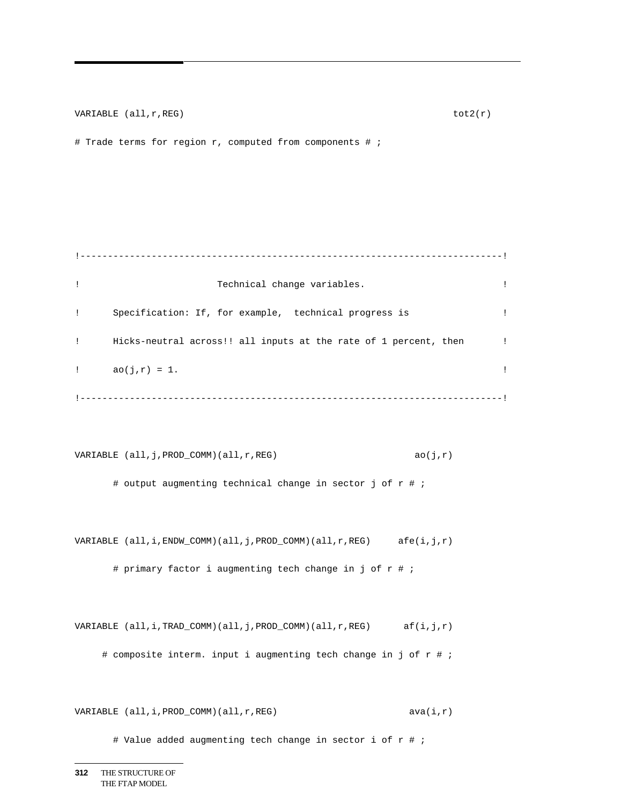```
VARIABLE (all,r,REG) tot2(r)
# Trade terms for region r, computed from components # ;
```

```
! Technical change variables. !
! Specification: If, for example, technical progress is !
! Hicks-neutral across!! all inputs at the rate of 1 percent, then !
a_0(j,r) = 1.!-----------------------------------------------------------------------------!
```
!-----------------------------------------------------------------------------!

VARIABLE  $(all, j, PROD_COMM)(all, r, REG)$  ao $(j, r)$ 

# output augmenting technical change in sector j of r # ;

VARIABLE (all,i,ENDW\_COMM)(all,j,PROD\_COMM)(all,r,REG) afe(i,j,r)

# primary factor i augmenting tech change in j of r # ;

VARIABLE (all,i,TRAD\_COMM)(all,j,PROD\_COMM)(all,r,REG) af(i,j,r)

# composite interm. input i augmenting tech change in j of  $r \# i$ 

VARIABLE  $(all,i,PROD COMM)(all,r,REG)$  ava $(i,r)$ 

# Value added augmenting tech change in sector i of  $r \# i$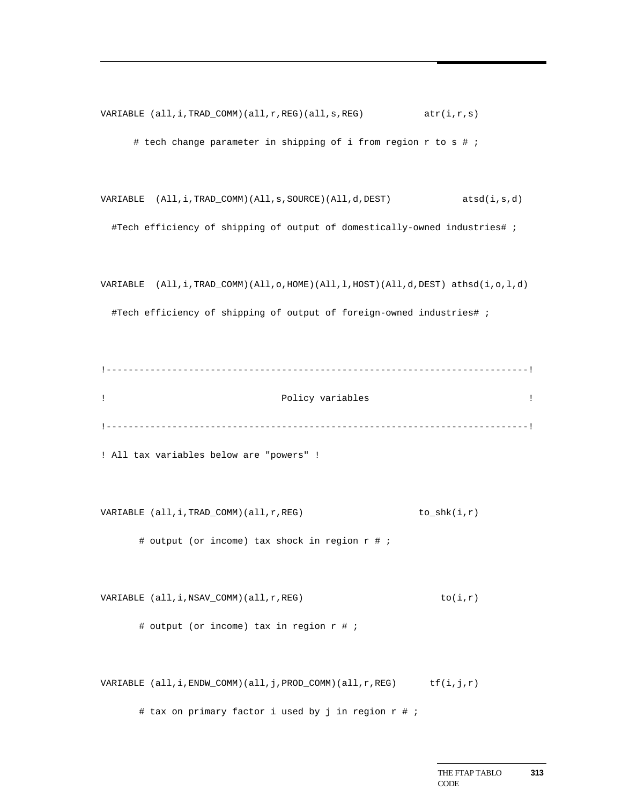```
VARIABLE (all,i,TRAD_COMM)(all,r,REG)(all,s,REG) atr(i,r,s) # tech change parameter in shipping of i from region r to s # ;
```

```
VARIABLE (All,i,TRAD_COMM)(All,s,SOURCE)(All,d,DEST) atsd(i,s,d)
 #Tech efficiency of shipping of output of domestically-owned industries# ;
```
VARIABLE (All,i,TRAD\_COMM)(All,o,HOME)(All,l,HOST)(All,d,DEST) athsd(i,o,l,d) #Tech efficiency of shipping of output of foreign-owned industries# ;

!-----------------------------------------------------------------------------! ! Policy variables ! !-----------------------------------------------------------------------------! ! All tax variables below are "powers" !

VARIABLE (all,i,TRAD\_COMM)(all, $r$ ,REG) to\_shk(i, $r$ )

# output (or income) tax shock in region r # ;

VARIABLE  $(all, i, NSAV_COMM)(all, r, REG)$  to $(i, r)$ 

# output (or income) tax in region r # ;

VARIABLE  $(all,i,ENDW_COMM)(all,j, PROD_COMM)(all,r,REG)$  tf $(i,j,r)$ 

# tax on primary factor i used by j in region r # ;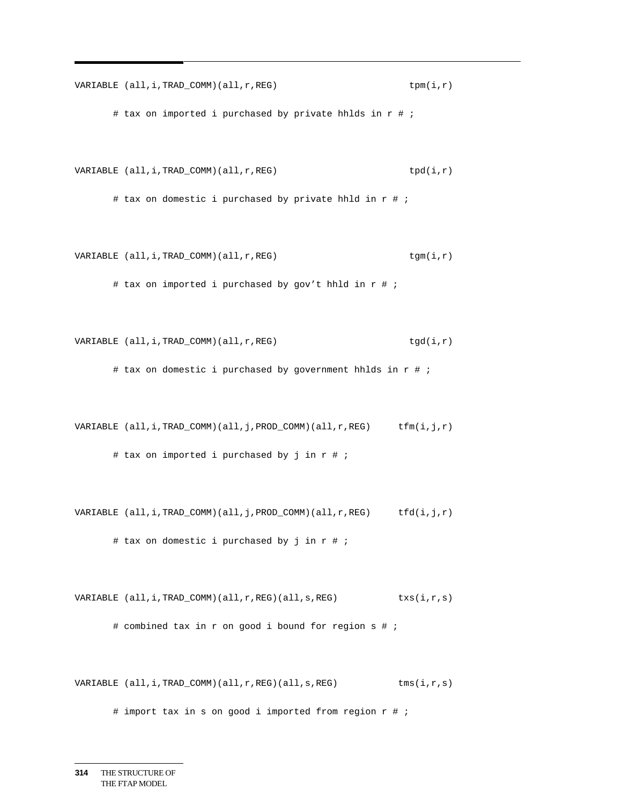```
VARIABLE (all, i, TRAD COMM)(all, r, REG) tpm(i, r)
      # tax on imported i purchased by private hhlds in r # ;
VARIABLE (all, i, TRAD_COMM)(all, r, REG) tpd(i, r)# tax on domestic i purchased by private hhld in r # ;
VARIABLE (all, i, TRAD_COMM)(all, r, REG) tgm(i, r) # tax on imported i purchased by gov't hhld in r # ;
VARIABLE (all, i, TRAD_COMM)(all, r, REG) tgd(i, r)# tax on domestic i purchased by government hhlds in r # ;
VARIABLE (all, i, TRAD_COMM)(all, j, PROD_COMM)(all, r, REG) tfm(i,j,r)# tax on imported i purchased by j in r # ;
VARIABLE (all, i, TRAD_COMM)(all, j, PROD_COMM)(all, r, REG) tfd(i,j,r)# tax on domestic i purchased by j in r # ;
VARIABLE (all,i,TRAD\_COMM)(all,r,REG)(all,s,REG) txs(i,r,s) # combined tax in r on good i bound for region s # ;
\verb|VARIABLE (all,i,TRAD_COMM)(all,r,REG)(all,s,REG) \qquad \qquad \verb|tms(i,r,s)|
```
# import tax in s on good i imported from region r # ;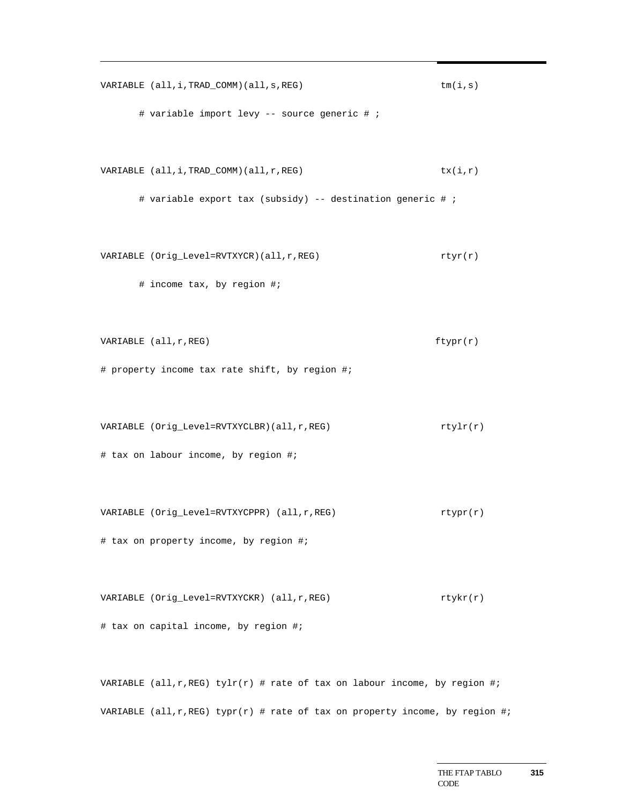```
VARIABLE (al, i, TRAD COMM)(all, s, REG) tm(i, s)# variable import levy -- source generic # ;
VARIABLE (all, i, TRAD_COMM)(all, r, REG) tx(i, r) # variable export tax (subsidy) -- destination generic # ;
{\tt VARIABLE}~~({\tt Orig\_Level=RVTXYZR})~({\tt all},r,{\tt REG})~~ {\tt tryr}(r) # income tax, by region #;
VARIABLE (all,r,REG) ftypr(r)# property income tax rate shift, by region #;
VARIABLE (Orig_Level=RVTXYCLBR)(all,r,REG) rtylr(r)
# tax on labour income, by region #;
VARIABLE (Orig_Level=RVTXYCPPR) (all,r,REG) rtypr(r)
# tax on property income, by region #;
VARIABLE (Orig_Level=RVTXYCKR) (all,r,REG) rtykr(r)
# tax on capital income, by region #;
VARIABLE (all, r, REG) tylr(r) # rate of tax on labour income, by region #;
```
VARIABLE (all,r,REG) typr(r) # rate of tax on property income, by region #;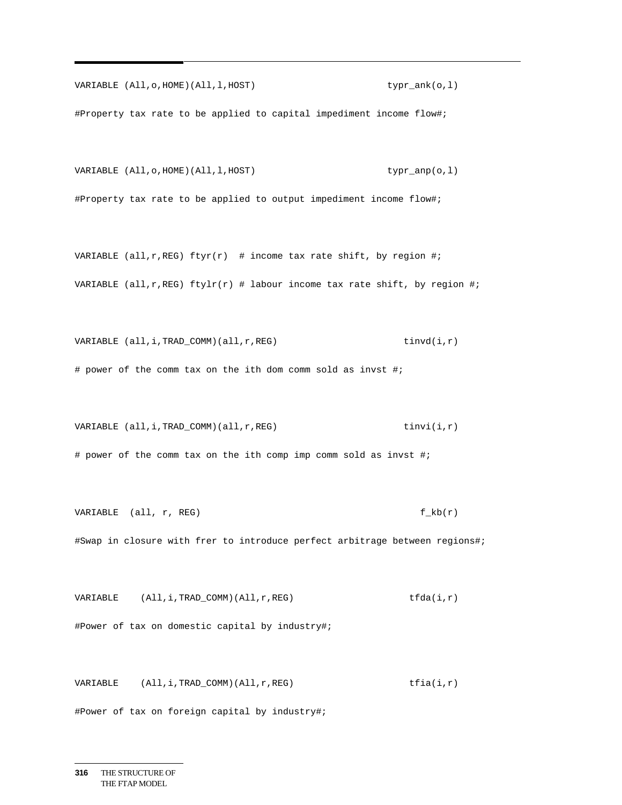VARIABLE (All,o,HOME)(All,l,HOST) typr\_ank(o,l)

#Property tax rate to be applied to capital impediment income flow#;

VARIABLE (All, o, HOME)(All, l, HOST) typr\_anp(o, l) #Property tax rate to be applied to output impediment income flow#;

VARIABLE (all,  $r$ , REG) ftyr( $r$ ) # income tax rate shift, by region #; VARIABLE (all,r,REG) ftylr(r) # labour income tax rate shift, by region #;

VARIABLE  $(all, i, TRAD_COMM)(all, r, REG)$  tinvd $(i, r)$ # power of the comm tax on the ith dom comm sold as invst #;

VARIABLE  $(all, i, TRAD_COMM)(all, r, REG)$  tinvi $(i, r)$ # power of the comm tax on the ith comp imp comm sold as invst #;

VARIABLE (all,  $r$ , REG) f $\pm k b(r)$ 

#Swap in closure with frer to introduce perfect arbitrage between regions#;

VARIABLE  $(All, i, TRAD\_COMM)(All, r, REG)$  tfda(i,r) #Power of tax on domestic capital by industry#;

VARIABLE  $(All, i, TRAD_COMM)(All, r, REG)$  tfia $(i, r)$ #Power of tax on foreign capital by industry#;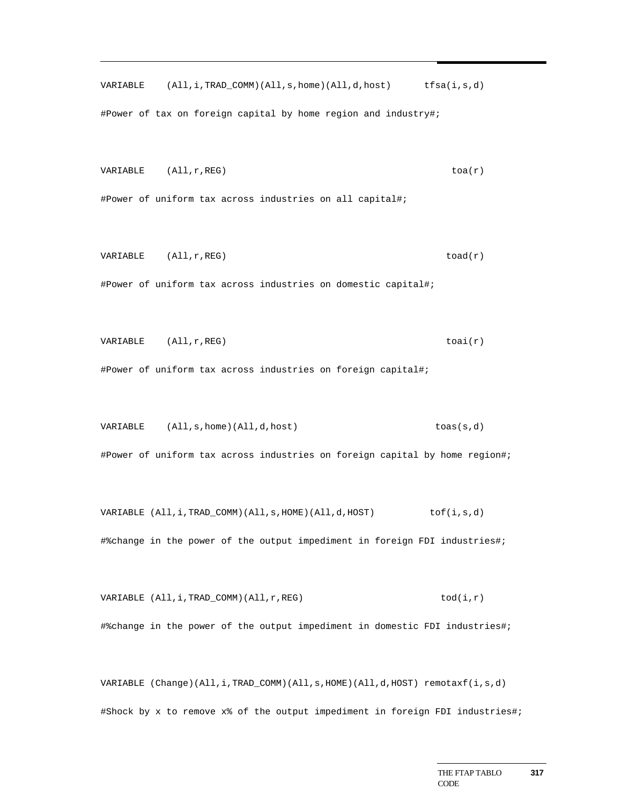VARIABLE (All,i,TRAD\_COMM)(All,s,home)(All,d,host) tfsa(i,s,d)

#Power of tax on foreign capital by home region and industry#;

 $VARIABLE \qquad (All, r, REG) \qquad \qquad \text{toa}(r)$ 

#Power of uniform tax across industries on all capital#;

 $\texttt{VARIABLE} \qquad \texttt{(All,r,REG)} \qquad \qquad \texttt{(1)}$ 

#Power of uniform tax across industries on domestic capital#;

 $VARIABLE \qquad (All, r, REG) \qquad \qquad \qquad \text{toa}(r)$ 

#Power of uniform tax across industries on foreign capital#;

VARIABLE (All,s,home)(All,d,host) toas(s,d)

#Power of uniform tax across industries on foreign capital by home region#;

VARIABLE (All,i,TRAD\_COMM)(All,s,HOME)(All,d,HOST) tof(i,s,d) #%change in the power of the output impediment in foreign FDI industries#;

VARIABLE  $(All, i, TRAD_COMM)(All, r, REG)$  tod $(i, r)$ 

#%change in the power of the output impediment in domestic FDI industries#;

VARIABLE (Change)(All,i,TRAD\_COMM)(All,s,HOME)(All,d,HOST) remotaxf(i,s,d) #Shock by x to remove x% of the output impediment in foreign FDI industries#;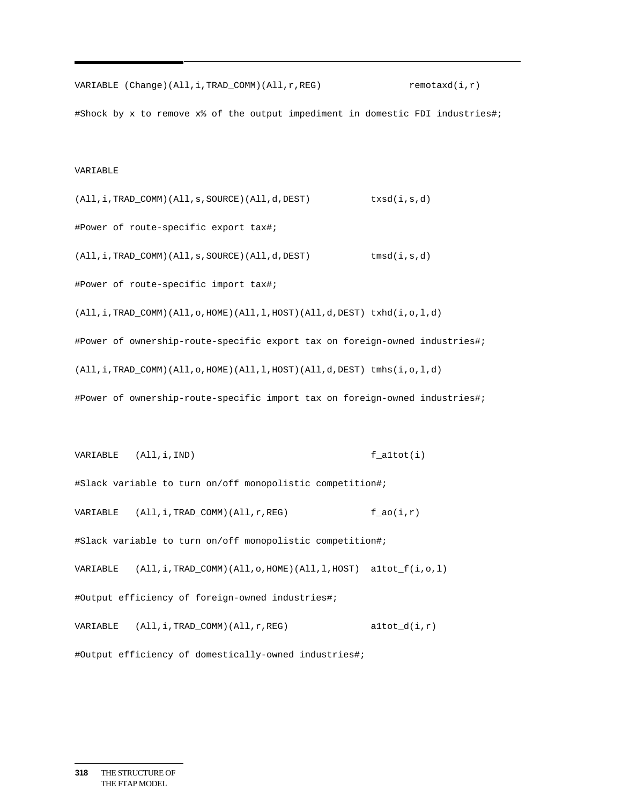VARIABLE  $(Change)(All, i, TRAD COMM)(All, r, REG)$  remotaxd $(i, r)$ 

#Shock by x to remove x% of the output impediment in domestic FDI industries#;

#### VARIABLE

(All,i,TRAD\_COMM)(All,s,SOURCE)(All,d,DEST) txsd(i,s,d)

 $(A11, i, TRAD_COMM)(All, s, SOURCE)(All, d, DEST)$   $tmd(i, s, d)$ 

#Power of route-specific import tax#;

#Power of route-specific export tax#;

(All,i,TRAD\_COMM)(All,o,HOME)(All,l,HOST)(All,d,DEST) txhd(i,o,l,d)

#Power of ownership-route-specific export tax on foreign-owned industries#; (All,i,TRAD\_COMM)(All,o,HOME)(All,l,HOST)(All,d,DEST) tmhs(i,o,l,d)

#Power of ownership-route-specific import tax on foreign-owned industries#;

VARIABLE (All, i, IND) f\_altot(i) #Slack variable to turn on/off monopolistic competition#; VARIABLE  $(All, i, TRAD_COMM)(All, r, REG)$   $f_a o(i, r)$ #Slack variable to turn on/off monopolistic competition#; VARIABLE (All,i,TRAD\_COMM)(All,o,HOME)(All,l,HOST) a1tot\_f(i,o,l) #Output efficiency of foreign-owned industries#;  $\verb|VARIABLE|(All,i,TRAD_COMM)(All,r,REG) | | |$ #Output efficiency of domestically-owned industries#;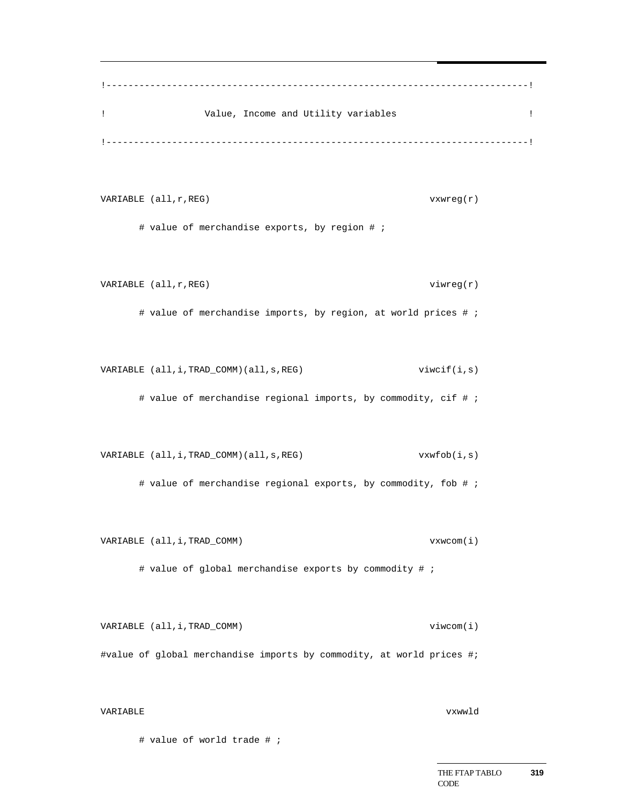!-----------------------------------------------------------------------------! ! Value, Income and Utility variables ! !-----------------------------------------------------------------------------! VARIABLE (all,r,REG) vxwreg(r) # value of merchandise exports, by region # ; VARIABLE (all, r, REG) viwreg(r) # value of merchandise imports, by region, at world prices # ; VARIABLE (all,i,TRAD\_COMM)(all,s,REG) viwcif(i,s) # value of merchandise regional imports, by commodity, cif # ; VARIABLE (all,i,TRAD\_COMM)(all,s,REG) vxwfob(i,s) # value of merchandise regional exports, by commodity, fob # ; VARIABLE (all,i,TRAD\_COMM) vxwcom(i) # value of global merchandise exports by commodity # ; VARIABLE (all,i,TRAD\_COMM) viwcom(i) #value of global merchandise imports by commodity, at world prices #; VARIABLE vxwwld # value of world trade # ;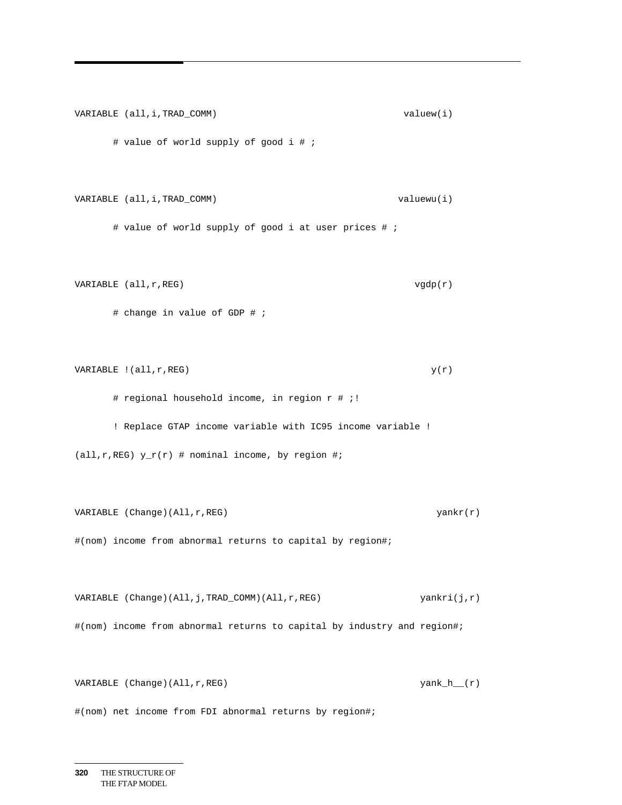```
VARIABLE (all,i,TRAD_COMM) valuew(i)
      # value of world supply of good i # ;
VARIABLE (all,i,TRAD_COMM) valuewu(i)
      # value of world supply of good i at user prices # ;
VARIABLE (all, r, REG) vgdp(r) vgdp(r)
      # change in value of GDP # ;
VARIABLE !(all,r,REG) Y(r)# regional household income, in region r # ;!
      ! Replace GTAP income variable with IC95 income variable !
(all,r,REG) y_r(r) # nominal income, by region #;
VARIABLE (Change)(All, r, REG) yankr(r)#(nom) income from abnormal returns to capital by region#;
VARIABLE (Change)(All,j,TRAD_COMM)(All,r,REG) yankri(j,r)
#(nom) income from abnormal returns to capital by industry and region#;
VARIABLE (Change)(All,r,REG) yank_h_(r)
#(nom) net income from FDI abnormal returns by region#;
```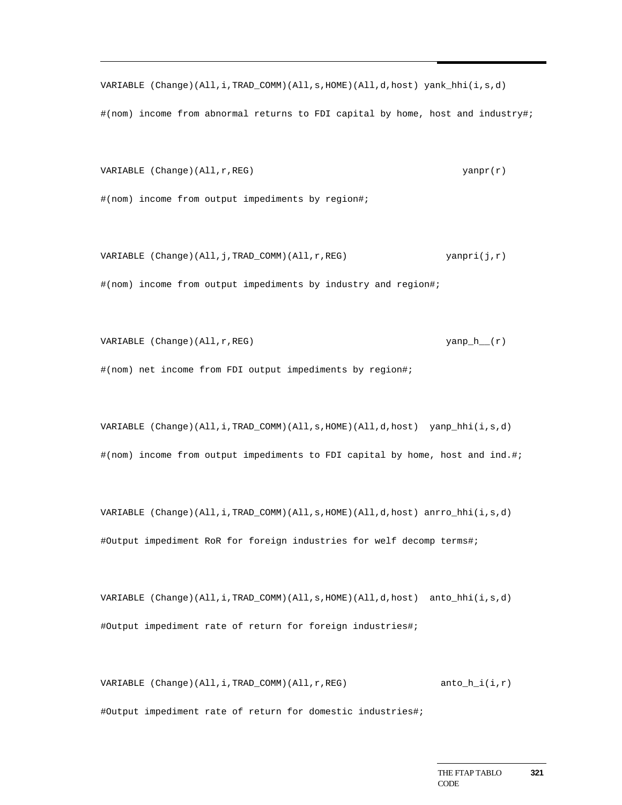VARIABLE (Change)(All,i,TRAD\_COMM)(All,s,HOME)(All,d,host) yank\_hhi(i,s,d) #(nom) income from abnormal returns to FDI capital by home, host and industry#;

VARIABLE (Change)(All, r, REG) yanpr(r)

#(nom) income from output impediments by region#;

VARIABLE (Change)(All,j,TRAD\_COMM)(All,r,REG) yanpri(j,r)

#(nom) income from output impediments by industry and region#;

VARIABLE (Change)(All,  $r$ , REG) yanp\_h\_(r)

#(nom) net income from FDI output impediments by region#;

VARIABLE (Change)(All,i,TRAD\_COMM)(All,s,HOME)(All,d,host) yanp\_hhi(i,s,d) #(nom) income from output impediments to FDI capital by home, host and ind.#;

VARIABLE (Change)(All,i,TRAD\_COMM)(All,s,HOME)(All,d,host) anrro\_hhi(i,s,d) #Output impediment RoR for foreign industries for welf decomp terms#;

VARIABLE (Change)(All,i,TRAD\_COMM)(All,s,HOME)(All,d,host) anto\_hhi(i,s,d) #Output impediment rate of return for foreign industries#;

VARIABLE  $(Change)(All, i, TRAD_COMM)(All, r, REG)$  anto $h_i(i, r)$ #Output impediment rate of return for domestic industries#;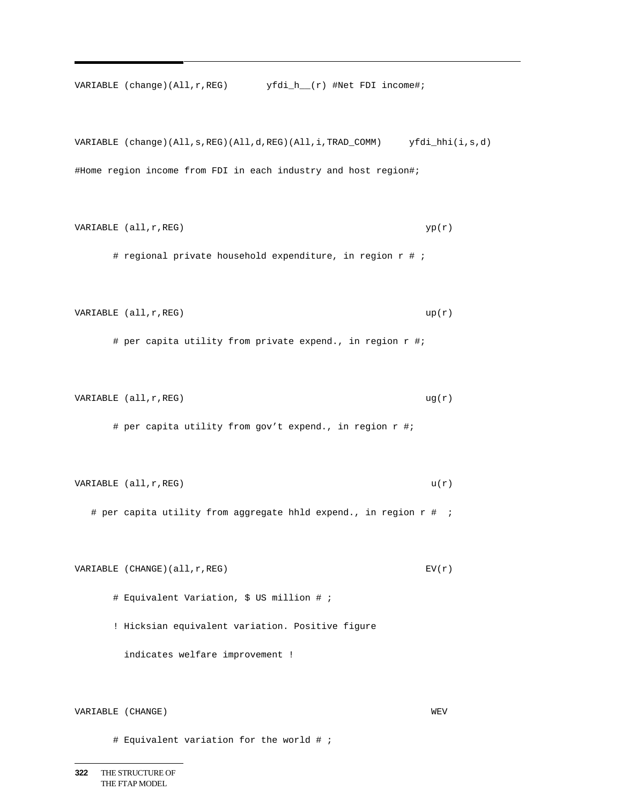VARIABLE (change)(All,r,REG)  $yfdi_h(r)$  #Net FDI income#;

VARIABLE (change)(All,s,REG)(All,d,REG)(All,i,TRAD\_COMM) yfdi\_hhi(i,s,d) #Home region income from FDI in each industry and host region#;

```
VARIABLE (\text{all}, r, \text{REG}) yp(r)
```
# regional private household expenditure, in region r # ;

```
VARIABLE (all, r, REG) up(r)
```
# per capita utility from private expend., in region r #;

```
VARIABLE (all, r, REG)
```
# per capita utility from gov't expend., in region r #;

```
VARIABLE (\text{all}, r, \text{REG}) u(r)
```
# per capita utility from aggregate hhld expend., in region r # ;

```
VARIABLE (CHANGE)(all,r,REG) EV(r)
```
# Equivalent Variation, \$ US million # ;

! Hicksian equivalent variation. Positive figure

indicates welfare improvement !

## VARIABLE (CHANGE) WEV

# Equivalent variation for the world # ;

### **322** THE STRUCTURE OF THE FTAP MODEL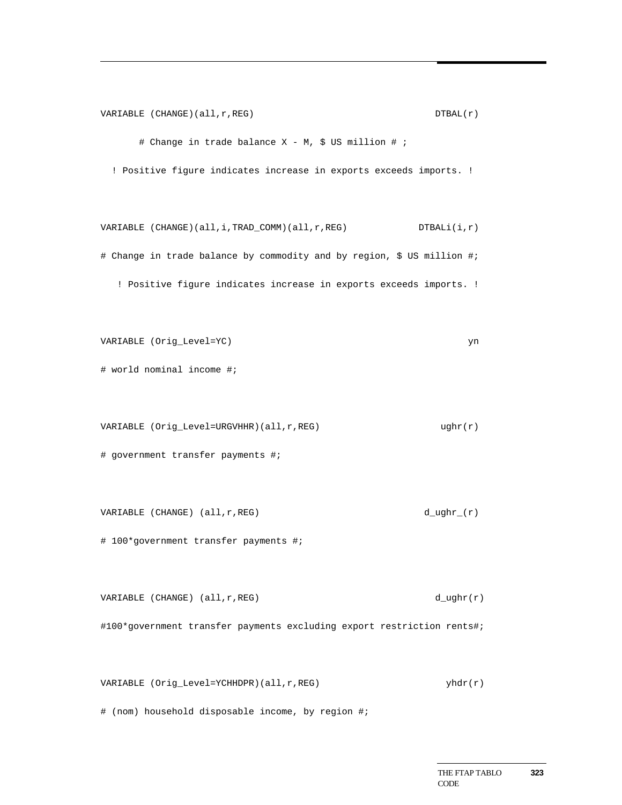```
VARIABLE (CHANGE)(all,r,REG) DTBAL(r)
       # Change in trade balance X - M, $ US million # ;
  ! Positive figure indicates increase in exports exceeds imports. !
VARIABLE (CHANGE) (all, i, TRAD_COMM) (all, r, REG) DTBALi(i, r)# Change in trade balance by commodity and by region, $ US million #;
   ! Positive figure indicates increase in exports exceeds imports. !
VARIABLE (Orig_Level=YC) yn
# world nominal income #;
VARIABLE (Orig\_Level=URGVHHR)(all,r,REG) ughr(r)# government transfer payments #;
\verb|VARIABLE|(CHANGE)(all,r,REG) \qquad \qquad \verb|d_qahr(r)|# 100*government transfer payments #;
VARIABLE (CHANGE) (all,r, REG) d_ughr(r)
#100*government transfer payments excluding export restriction rents#;
VARIABLE (Orig_Level=YCHHDPR)(all,r,REG) yhdr(r)
# (nom) household disposable income, by region #;
```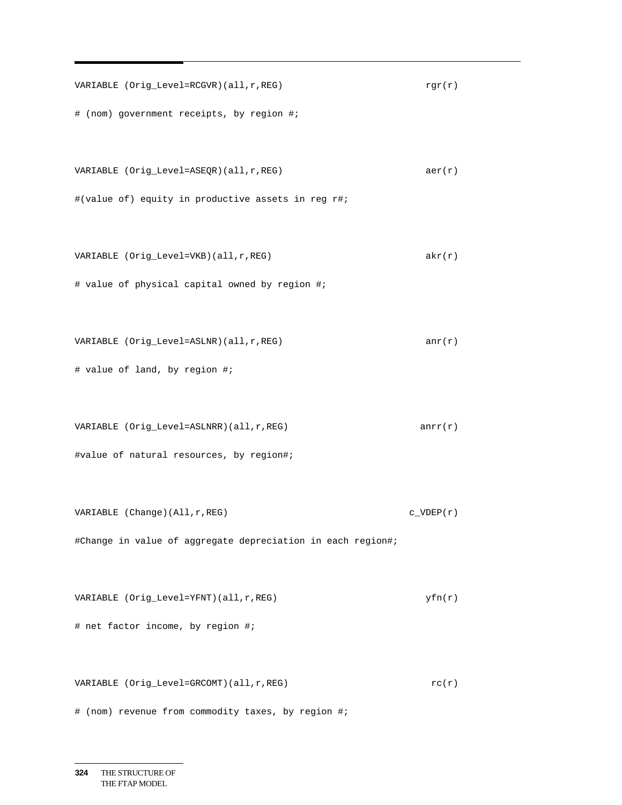VARIABLE  $(Orig\_Level=RCGVR) (all, r, REG)$  rgr $(r)$ # (nom) government receipts, by region #; VARIABLE (Orig\_Level=ASEQR)(all,r,REG)  $aer(r)$ #(value of) equity in productive assets in reg r#; VARIABLE  $(Orig\_Level=VKB) (all, r, REG)$  akr $(r)$ # value of physical capital owned by region #; VARIABLE (Orig\_Level=ASLNR)(all,r,REG) anr(r) # value of land, by region #; VARIABLE (Orig\_Level=ASLNRR)(all,r,REG) anrr(r) #value of natural resources, by region#; VARIABLE  $(Change)(All, r, REG)$  c\_VDEP(r) #Change in value of aggregate depreciation in each region#; VARIABLE (Orig\_Level=YFNT)(all,r,REG) yfn(r) # net factor income, by region #; VARIABLE  $(Orig\_Level=GRCOMT) (all, r, REG)$   $rc(r)$ # (nom) revenue from commodity taxes, by region #;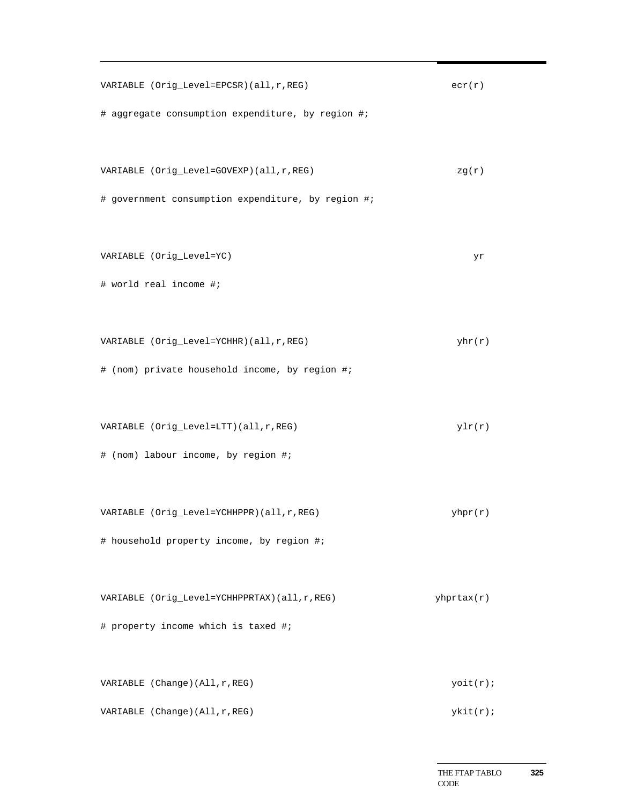| VARIABLE (Orig_Level=EPCSR)(all,r,REG)             | $\text{ecr}(r)$     |
|----------------------------------------------------|---------------------|
| # aggregate consumption expenditure, by region #;  |                     |
| VARIABLE (Orig_Level=GOVEXP)(all,r,REG)            | zg(r)               |
| # government consumption expenditure, by region #; |                     |
| VARIABLE (Orig_Level=YC)                           | yr                  |
| # world real income #;                             |                     |
| VARIABLE (Orig_Level=YCHHR)(all,r,REG)             | yhr(r)              |
| # (nom) private household income, by region #;     |                     |
| VARIABLE (Orig_Level=LTT)(all,r,REG)               | ylr(r)              |
| # (nom) labour income, by region #;                |                     |
| VARIABLE (Orig_Level=YCHHPPR)(all,r,REG)           | $y$ hpr $(r)$       |
| # household property income, by region #;          |                     |
| VARIABLE (Orig_Level=YCHHPPRTAX)(all,r,REG)        | $y$ hprtax $(r)$    |
| # property income which is taxed #;                |                     |
| VARIABLE (Change) (All, r, REG)                    | $\text{point}(r)$ ; |
| VARIABLE (Change) (All, r, REG)                    | ykit(r);            |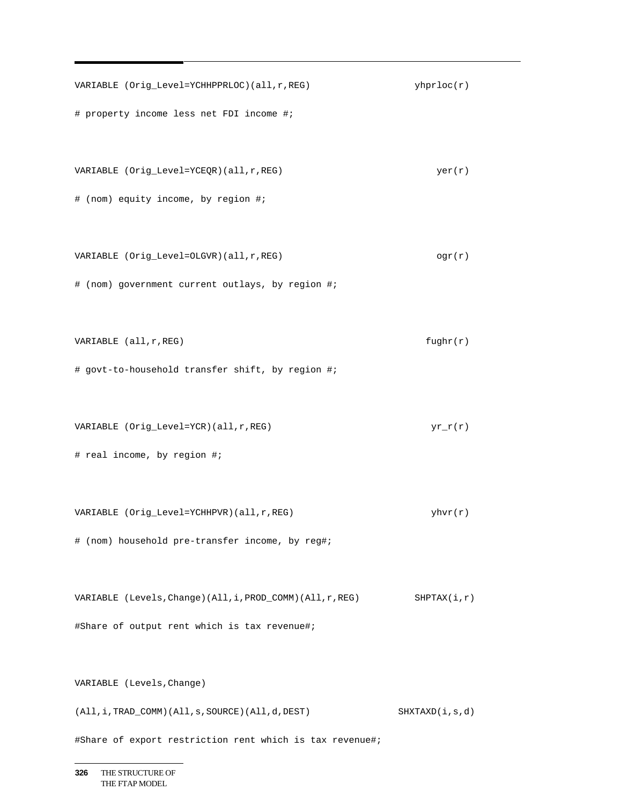VARIABLE (Orig\_Level=YCHHPPRLOC)(all,r,REG) yhprloc(r) # property income less net FDI income #; VARIABLE (Orig\_Level=YCEQR)(all,r,REG) yer(r) # (nom) equity income, by region #; VARIABLE (Orig\_Level=OLGVR)(all,r,REG) ogr(r) # (nom) government current outlays, by region #; VARIABLE  $(all, r, REG)$  fughr $(r)$ # govt-to-household transfer shift, by region #; VARIABLE  $(Orig\_Level=YCR) (all, r, REG)$  yr\_r(r) # real income, by region #; VARIABLE (Orig\_Level=YCHHPVR)(all,r,REG) yhvr(r) # (nom) household pre-transfer income, by reg#; VARIABLE (Levels,Change)(All,i,PROD\_COMM)(All,r,REG) SHPTAX(i,r) #Share of output rent which is tax revenue#; VARIABLE (Levels,Change)  $\verb|[All,j,TRAD_COMM)|(All,s,SOURCE)|(All,d,DEST)|$  SHXTAXD(i,s,d) #Share of export restriction rent which is tax revenue#;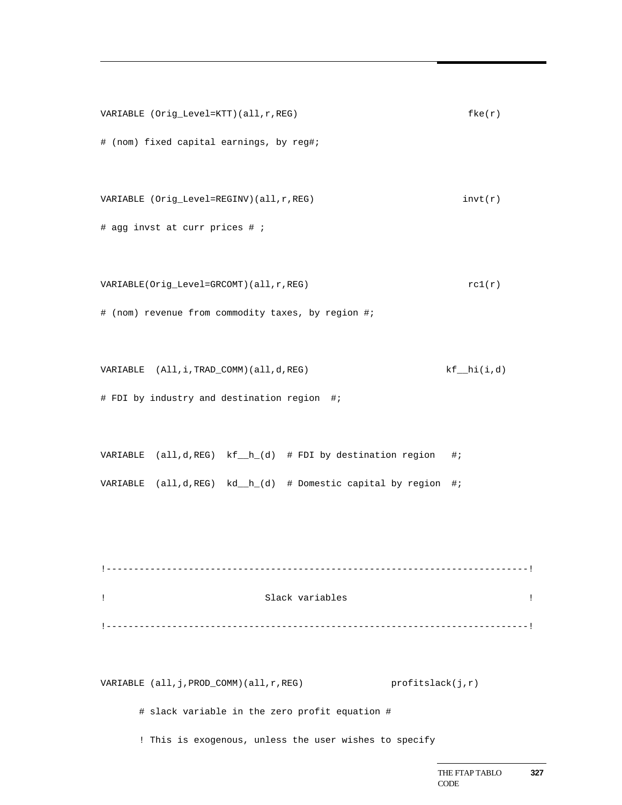```
VARIABLE (Orig\_Level=KTT)(all,r,REG) fke(r)
# (nom) fixed capital earnings, by reg#;
VARIABLE (Orig\_Level = REGINV) (all, r, REG) invt(r)# agg invst at curr prices # ;
VARIABLE(Orig\_Level=GRCOMT)(all,r,REG) rcl(r)# (nom) revenue from commodity taxes, by region #;
VARIABLE (All,i,TRAD_COMM)(all,d,REG) kf__hi(i,d)
# FDI by industry and destination region #;
VARIABLE (all,d,REG) kf__h_(d) # FDI by destination region #;
VARIABLE (all,d,REG) kd__h_(d) # Domestic capital by region #;
!-----------------------------------------------------------------------------!
! Slack variables !
!-----------------------------------------------------------------------------!
```
VARIABLE  $(all,j,PROD_COMM)(all,r,REG)$  profitslack $(j,r)$ 

# slack variable in the zero profit equation #

! This is exogenous, unless the user wishes to specify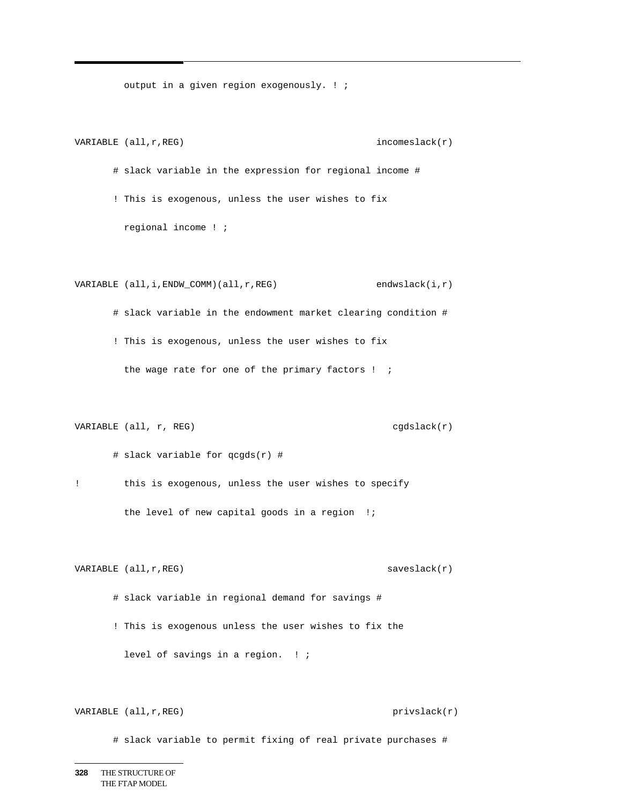output in a given region exogenously. ! ;

VARIABLE  $(al, r, REG)$  incomeslack(r) # slack variable in the expression for regional income # ! This is exogenous, unless the user wishes to fix regional income ! ; VARIABLE (all,i,ENDW\_COMM)(all,r,REG) endwslack(i,r) # slack variable in the endowment market clearing condition # ! This is exogenous, unless the user wishes to fix the wage rate for one of the primary factors  $!$  ; VARIABLE (all,  $r$ , REG) cgdslack( $r$ ) # slack variable for qcgds(r) # ! this is exogenous, unless the user wishes to specify the level of new capital goods in a region !; VARIABLE (all,r,REG) saveslack(r) # slack variable in regional demand for savings # ! This is exogenous unless the user wishes to fix the level of savings in a region. ! ; VARIABLE (all, r, REG) privslack(r)

# slack variable to permit fixing of real private purchases #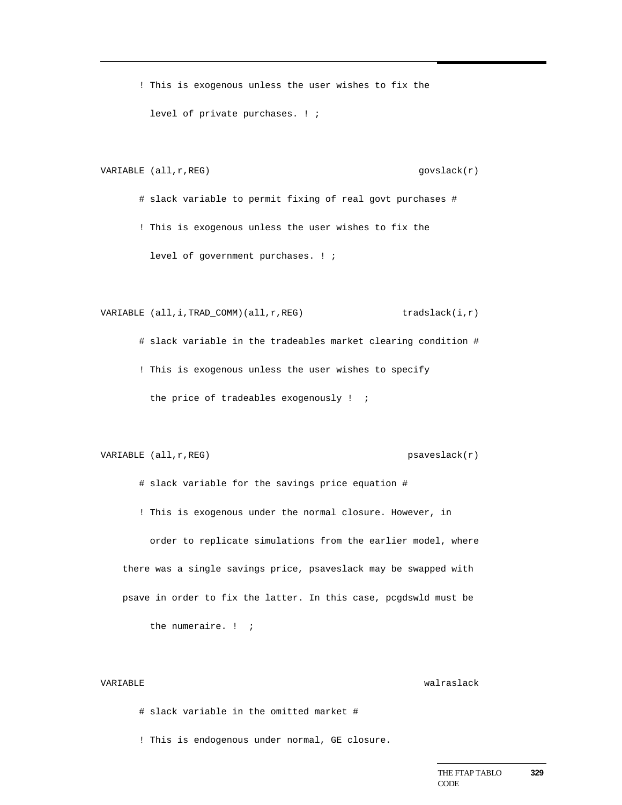! This is exogenous unless the user wishes to fix the

level of private purchases. ! ;

VARIABLE (all, r, REG) govslack(r) # slack variable to permit fixing of real govt purchases #

! This is exogenous unless the user wishes to fix the

level of government purchases. ! ;

VARIABLE  $(all,i,TRAD\_COMM)(all,r,REG)$  tradslack $(i,r)$ 

# slack variable in the tradeables market clearing condition # ! This is exogenous unless the user wishes to specify the price of tradeables exogenously ! ;

```
VARIABLE (all, r, REG) psaveslack(r)
```
 # slack variable for the savings price equation # ! This is exogenous under the normal closure. However, in order to replicate simulations from the earlier model, where there was a single savings price, psaveslack may be swapped with psave in order to fix the latter. In this case, pcgdswld must be the numeraire. ! ;

VARIABLE walraslack

- # slack variable in the omitted market #
- ! This is endogenous under normal, GE closure.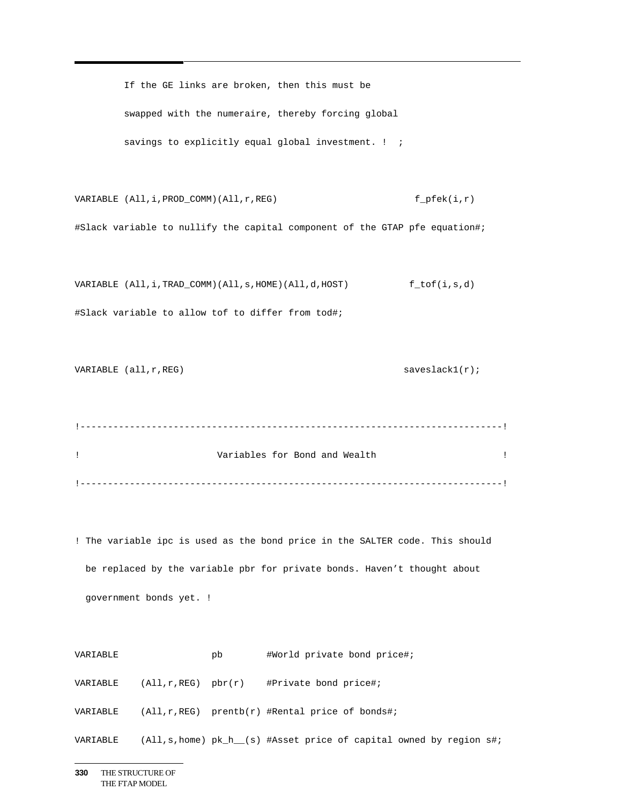If the GE links are broken, then this must be swapped with the numeraire, thereby forcing global savings to explicitly equal global investment. ! ;

VARIABLE  $(All, i, PROD_COMM)(All, r, REG)$   $f_pfek(i, r)$ 

#Slack variable to nullify the capital component of the GTAP pfe equation#;

 $\verb|VARIABLE (All,i,TRAD\_COMM)(All,s,HOME)(All,d,HOST) \textcolor{red}{f\_tof(i,s,d)}$ #Slack variable to allow tof to differ from tod#;

 $\verb|VARIABLE (all,r, REG)||\\ \verb|Saveslack(r)||\\$ 

!-----------------------------------------------------------------------------! ! Variables for Bond and Wealth ! !-----------------------------------------------------------------------------!

! The variable ipc is used as the bond price in the SALTER code. This should be replaced by the variable pbr for private bonds. Haven't thought about government bonds yet. !

VARIABLE pb #World private bond price#; VARIABLE (All,r,REG) pbr(r) #Private bond price#; VARIABLE (All,r,REG) prentb(r) #Rental price of bonds#; VARIABLE (All,s,home) pk\_h\_\_(s) #Asset price of capital owned by region s#;

**330** THE STRUCTURE OF THE FTAP MODEL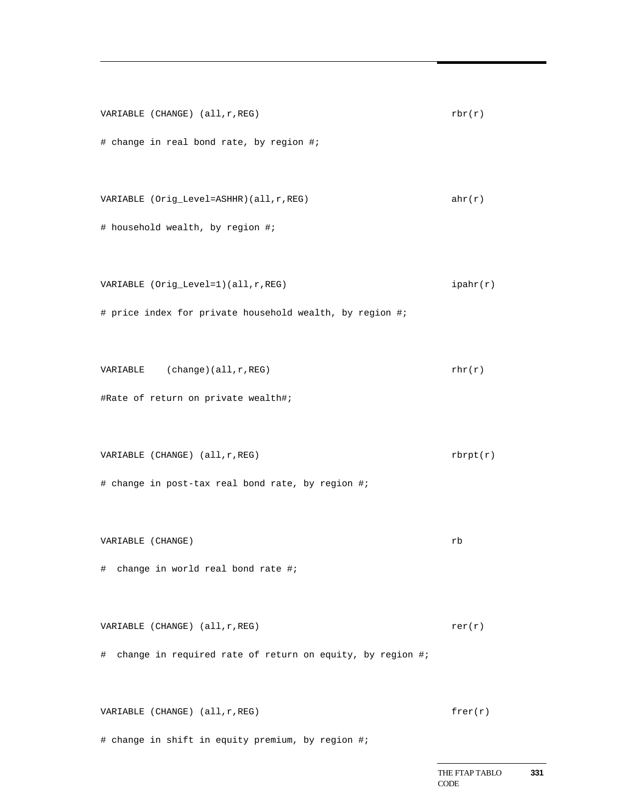```
VARIABLE (CHANGE) (all,r,REG) rbr(r)
# change in real bond rate, by region #;
VARIABLE (Orig_Level=ASHHR)(all,r,REG) ahr(r)
# household wealth, by region #;
VARIABLE (Orig_Level=1)(all,r,REG) ipahr(r)
# price index for private household wealth, by region #;
VARIABLE (change)(all,r,REG) rhr(r)#Rate of return on private wealth#;
VARIABLE (CHANGE) (all,r,REG) rbrpt(r)
# change in post-tax real bond rate, by region #;
VARIABLE (CHANGE) rb
# change in world real bond rate #;
\verb|VARIABLE|(CHANGE)(all,r,REG) \qquad \qquad \verb|VARIABLE|(r)# change in required rate of return on equity, by region #;
VARIABLE (CHANGE) (all, r, REG) frer(r)# change in shift in equity premium, by region #;
```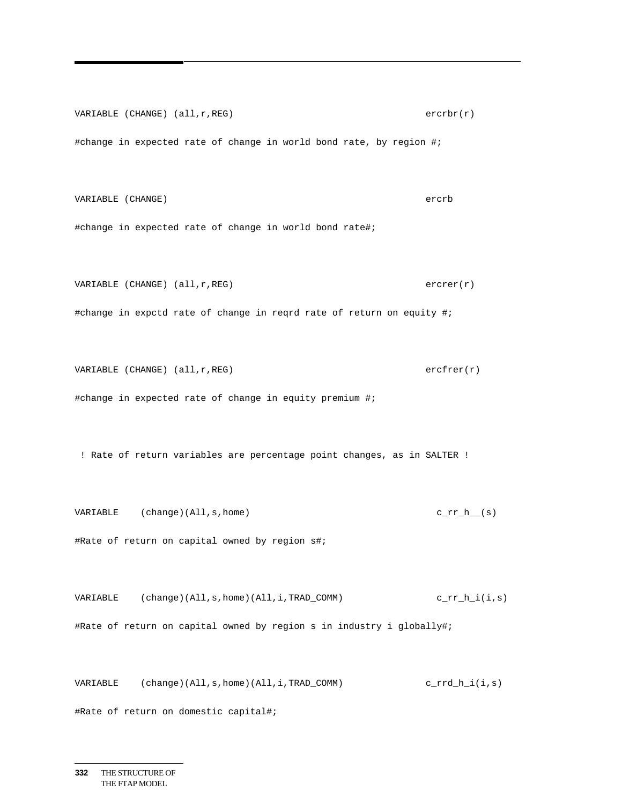VARIABLE (CHANGE)  $(all, r, REG)$  ercrbr $(r)$ #change in expected rate of change in world bond rate, by region #; VARIABLE (CHANGE) ercrb #change in expected rate of change in world bond rate#; VARIABLE (CHANGE)  $(all, r, REG)$  ercrer $(r)$ #change in expctd rate of change in reqrd rate of return on equity #; VARIABLE (CHANGE) (all,r,REG) ercfrer(r) #change in expected rate of change in equity premium #; ! Rate of return variables are percentage point changes, as in SALTER ! VARIABLE  $(change)(All, s, home)$  c\_rr\_h\_(s) #Rate of return on capital owned by region s#; VARIABLE (change)(All,s,home)(All,i,TRAD\_COMM) c\_rr\_h\_i(i,s) #Rate of return on capital owned by region s in industry i globally#; VARIABLE (change)(All,s,home)(All,i,TRAD\_COMM) c\_rrd\_h\_i(i,s) #Rate of return on domestic capital#;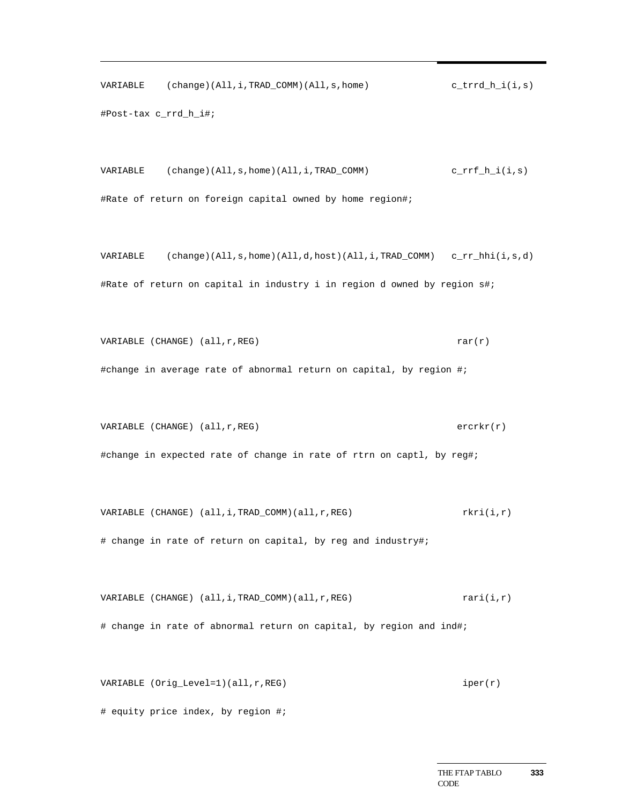VARIABLE (change)(All,i,TRAD\_COMM)(All,s,home) c\_trrd\_h\_i(i,s) #Post-tax c\_rrd\_h\_i#;

VARIABLE (change)(All,s,home)(All,i,TRAD\_COMM) c\_rrf\_h\_i(i,s) #Rate of return on foreign capital owned by home region#;

VARIABLE (change)(All,s,home)(All,d,host)(All,i,TRAD\_COMM) c\_rr\_hhi(i,s,d) #Rate of return on capital in industry i in region d owned by region s#;

VARIABLE (CHANGE) (all, $r$ ,REG) rar( $r$ ) rar( $r$ ) #change in average rate of abnormal return on capital, by region #;

VARIABLE (CHANGE)  $\text{(all, r, REG)}$  ercrkr(r) #change in expected rate of change in rate of rtrn on captl, by reg#;

VARIABLE (CHANGE)  $(all, i, TRAD_COMM)(all, r, REG)$  rkri $(i, r)$ # change in rate of return on capital, by reg and industry#;

VARIABLE (CHANGE) (all,i,TRAD\_COMM)(all,r,REG) rari(i,r) # change in rate of abnormal return on capital, by region and ind#;

VARIABLE (Orig\_Level=1)(all,r,REG) iper(r)

# equity price index, by region #;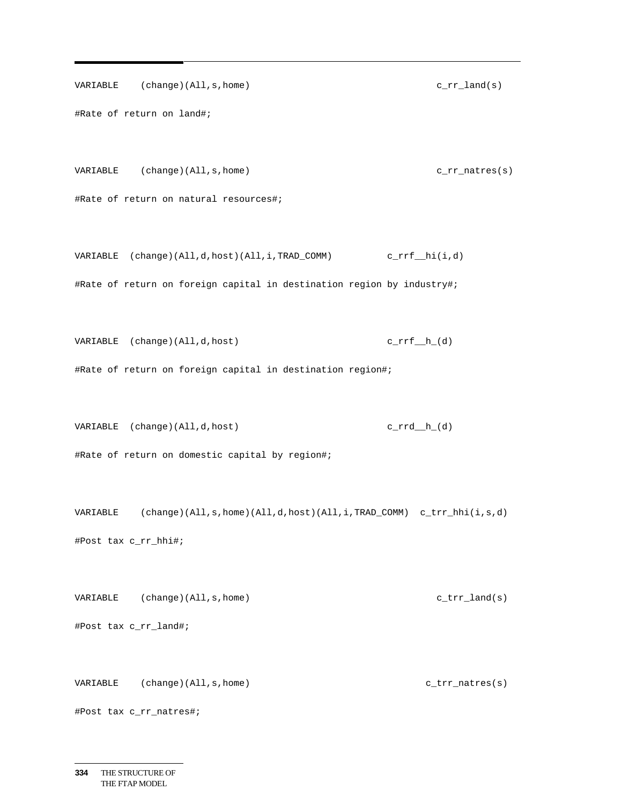#Rate of return on land#; VARIABLE (change)(All,s,home) c\_rr\_natres(s) #Rate of return on natural resources#;  $\verb|VARIABLE|(change)(All,d,host)(All,i,TRAD\_COMM)| (c\_rrf\_hi(i,d)$ #Rate of return on foreign capital in destination region by industry#; VARIABLE  $(charge)(All,d,host)$  c\_rrf\_h\_(d) #Rate of return on foreign capital in destination region#; VARIABLE  $(charge)(All,d,host)$  c\_rrd\_h\_(d) #Rate of return on domestic capital by region#; VARIABLE (change)(All,s,home)(All,d,host)(All,i,TRAD\_COMM) c\_trr\_hhi(i,s,d) #Post tax c\_rr\_hhi#; VARIABLE (change)(All,s,home) c\_trr\_land(s) #Post tax c\_rr\_land#;

VARIABLE (change)(All,s,home) c\_trr\_natres(s)

VARIABLE (change)(All,s,home) c\_rr\_land(s)

#Post tax c\_rr\_natres#;

**334** THE STRUCTURE OF THE FTAP MODEL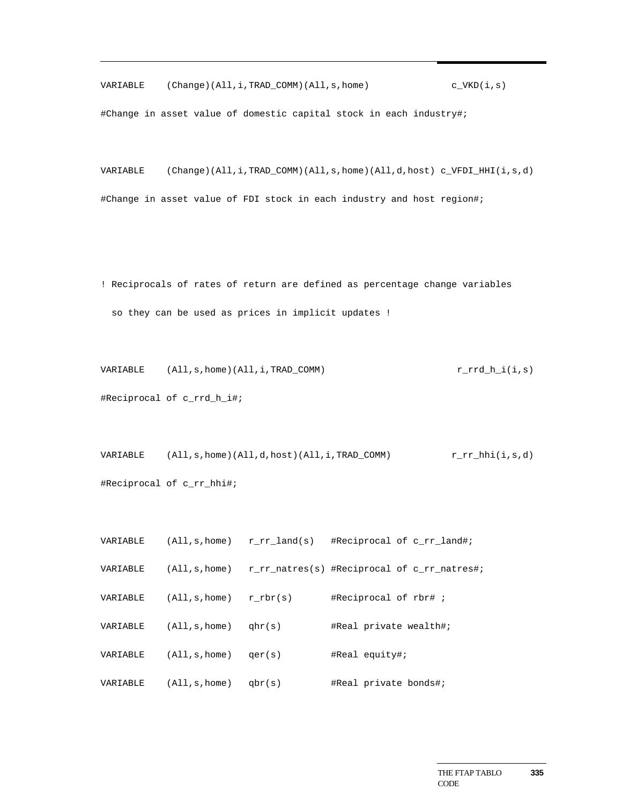VARIABLE (Change)(All,i,TRAD\_COMM)(All,s,home) c\_VKD(i,s) #Change in asset value of domestic capital stock in each industry#;

VARIABLE (Change)(All,i,TRAD\_COMM)(All,s,home)(All,d,host) c\_VFDI\_HHI(i,s,d) #Change in asset value of FDI stock in each industry and host region#;

! Reciprocals of rates of return are defined as percentage change variables so they can be used as prices in implicit updates !

VARIABLE  $(All, s, home) (All, i, TRAD\_COMM)$   $r\_rrd_h(i, s)$ #Reciprocal of c\_rrd\_h\_i#;

VARIABLE  $(All, s, home) (All, d, host) (All, i, TRAD_COMM)$   $r\_rr\_hhi(i, s, d)$ 

#Reciprocal of c\_rr\_hhi#;

| VARIABLE |                             | $(All, s, home)$ r $rr$ $land(s)$ | #Reciprocal of c_rr_land#;                                   |
|----------|-----------------------------|-----------------------------------|--------------------------------------------------------------|
| VARIABLE |                             |                                   | $(All, s, home)$ r rr natres(s) #Reciprocal of c rr natres#; |
| VARIABLE | $(All, s, home)$ r $rbr(s)$ |                                   | #Reciprocal of rbr# ;                                        |
| VARIABLE | (All, s, home)              | ahr(s)                            | #Real private wealth#;                                       |
| VARIABLE | $(All, s, home)$ qer $(s)$  |                                   | #Real equity#;                                               |
| VARIABLE | (Alll,s,home)               | qbr(s)                            | #Real private bonds#;                                        |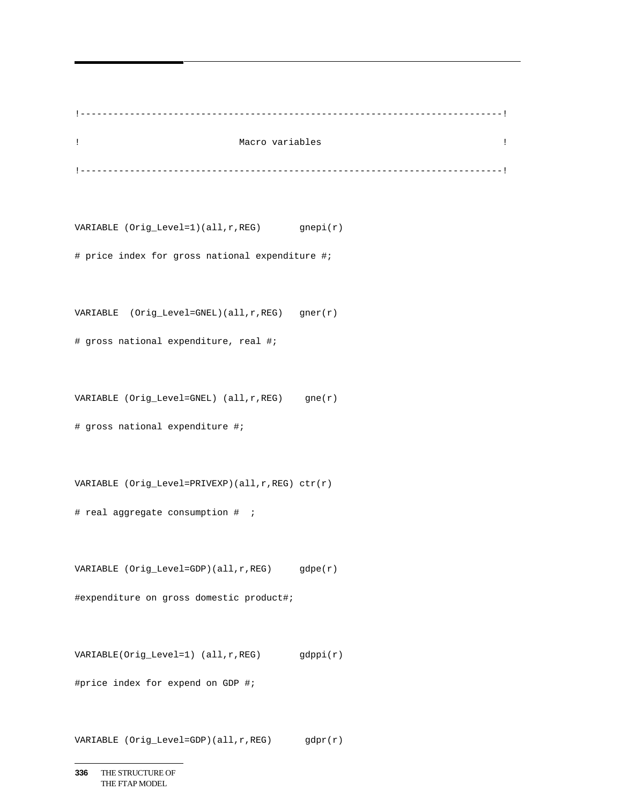```
!-----------------------------------------------------------------------------!
! Macro variables !
!-----------------------------------------------------------------------------!
```

```
VARIABLE (Orig_Level=1)(all,r,REG) gnepi(r)
```
# price index for gross national expenditure #;

VARIABLE (Orig\_Level=GNEL)(all,r,REG) gner(r)

# gross national expenditure, real #;

VARIABLE (Orig\_Level=GNEL) (all,r,REG) gne(r)

# gross national expenditure #;

VARIABLE (Orig\_Level=PRIVEXP)(all,r,REG) ctr(r)

# real aggregate consumption # ;

VARIABLE (Orig\_Level=GDP)(all,r,REG) gdpe(r)

#expenditure on gross domestic product#;

VARIABLE(Orig\_Level=1) (all,r,REG) gdppi(r)

#price index for expend on GDP #;

```
VARIABLE (Orig_Level=GDP)(all,r,REG) gdpr(r)
```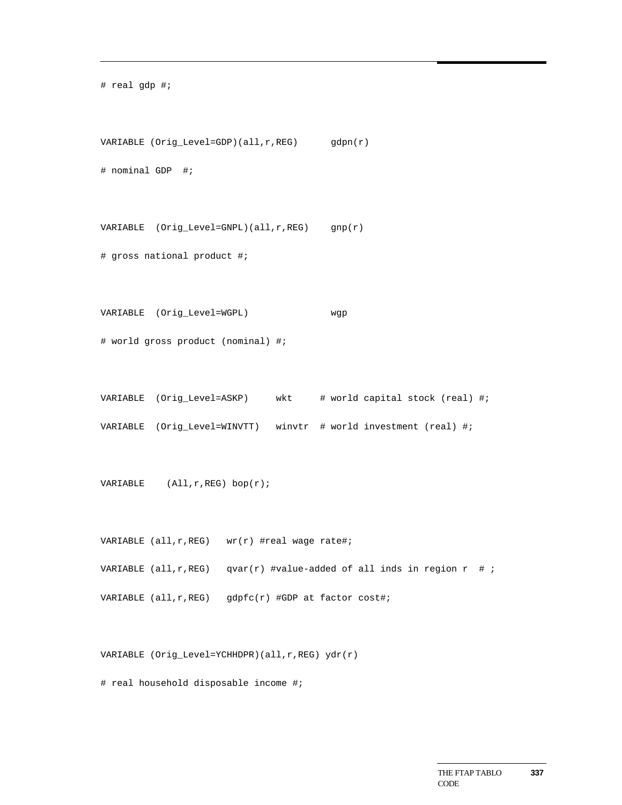```
VARIABLE (Orig_Level=GDP)(all,r,REG) gdpn(r)
```
# nominal GDP #;

# real gdp #;

VARIABLE (Orig\_Level=GNPL)(all,r,REG) gnp(r)

# gross national product #;

```
VARIABLE (Orig_Level=WGPL) wgp
# world gross product (nominal) #;
```

```
VARIABLE (Orig_Level=ASKP) wkt # world capital stock (real) #;
VARIABLE (Orig_Level=WINVTT) winvtr # world investment (real) #;
```
VARIABLE (All,r,REG) bop(r);

```
VARIABLE (all,r,REG) wr(r) #real wage rate#;
```
VARIABLE (all,  $r$ , REG) qvar(r) #value-added of all inds in region  $r$  # ;

VARIABLE (all,r,REG) gdpfc(r) #GDP at factor cost#;

VARIABLE (Orig\_Level=YCHHDPR)(all,r,REG) ydr(r)

# real household disposable income #;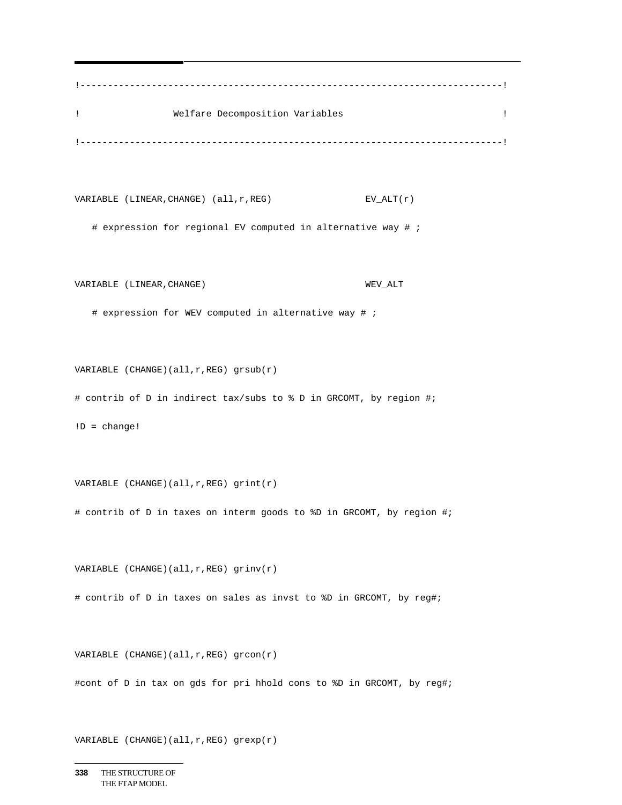# !-----------------------------------------------------------------------------! ! Welfare Decomposition Variables ! !-----------------------------------------------------------------------------!

VARIABLE (LINEAR, CHANGE) (all, r, REG)  $EV_LAT(r)$ 

# expression for regional EV computed in alternative way # ;

VARIABLE (LINEAR,CHANGE) WEV\_ALT

# expression for WEV computed in alternative way # ;

VARIABLE (CHANGE)(all,r,REG) grsub(r)

# contrib of D in indirect tax/subs to % D in GRCOMT, by region #;

!D = change!

VARIABLE (CHANGE)(all,r,REG) grint(r)

# contrib of D in taxes on interm goods to %D in GRCOMT, by region #;

VARIABLE  $(CHANGE)(all,r,REG)$  grinv $(r)$ 

# contrib of D in taxes on sales as invst to %D in GRCOMT, by reg#;

VARIABLE (CHANGE)(all,r,REG) grcon(r)

#cont of D in tax on gds for pri hhold cons to %D in GRCOMT, by reg#;

VARIABLE (CHANGE)(all,r,REG) grexp(r)

**338** THE STRUCTURE OF THE FTAP MODEL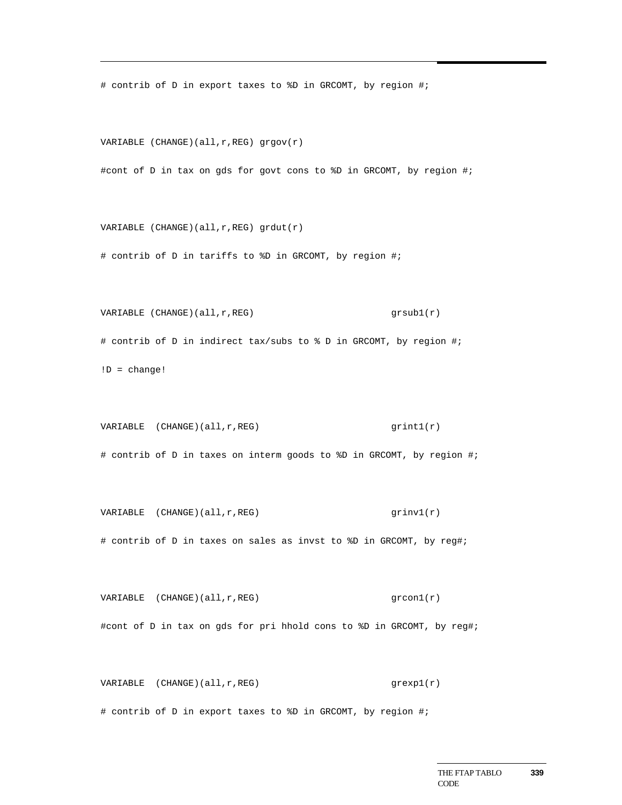```
# contrib of D in export taxes to %D in GRCOMT, by region #;
```
VARIABLE (CHANGE)(all,r,REG) grgov(r)

#cont of D in tax on gds for govt cons to %D in GRCOMT, by region #;

VARIABLE (CHANGE)(all,r,REG) grdut(r)

# contrib of D in tariffs to %D in GRCOMT, by region #;

```
VARIABLE (CHANGE)(all, r, REG) grsub1(r)
# contrib of D in indirect tax/subs to % D in GRCOMT, by region #;
!D = change!
```
VARIABLE  $(CHANGE)(all,r,REG)$  grint $1(r)$ # contrib of D in taxes on interm goods to %D in GRCOMT, by region #;

```
VARIABLE (CHANGE)(all,r,REG) grinv1(r)
# contrib of D in taxes on sales as invst to %D in GRCOMT, by reg#;
```
VARIABLE  $(CHANGE)(all,r,REG)$  grcon $1(r)$ #cont of D in tax on gds for pri hhold cons to %D in GRCOMT, by reg#;

VARIABLE  $(CHANGE)(all,r,REG)$  grexp1(r) # contrib of D in export taxes to %D in GRCOMT, by region #;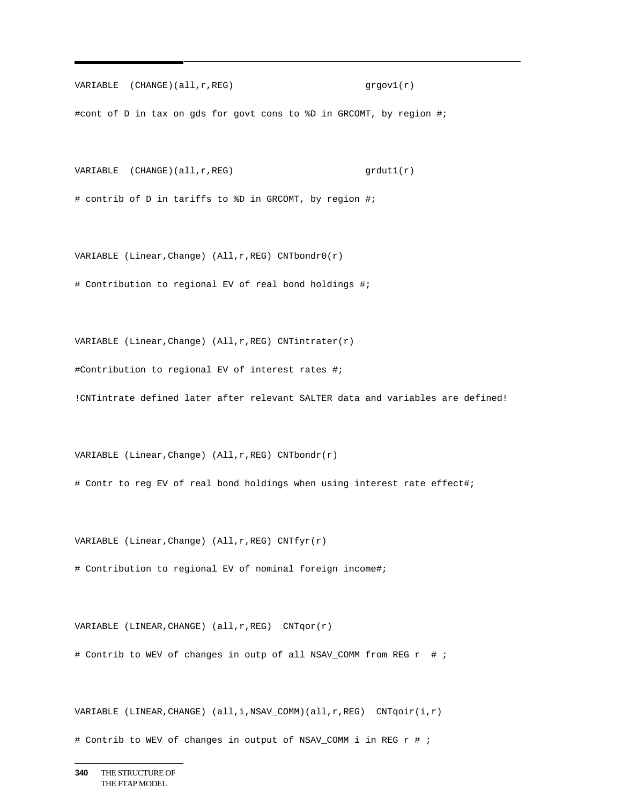VARIABLE  $(CHANGE)(all,r,REG)$  grgov $1(r)$ 

#cont of D in tax on gds for govt cons to %D in GRCOMT, by region #;

VARIABLE  $(CHANGE)(all, r, REG)$  grdut $1(r)$ # contrib of D in tariffs to %D in GRCOMT, by region #;

VARIABLE (Linear,Change) (All,r,REG) CNTbondr0(r)

# Contribution to regional EV of real bond holdings #;

VARIABLE (Linear,Change) (All,r,REG) CNTintrater(r)

#Contribution to regional EV of interest rates #;

!CNTintrate defined later after relevant SALTER data and variables are defined!

VARIABLE (Linear,Change) (All,r,REG) CNTbondr(r)

# Contr to reg EV of real bond holdings when using interest rate effect#;

VARIABLE (Linear,Change) (All,r,REG) CNTfyr(r)

# Contribution to regional EV of nominal foreign income#;

VARIABLE (LINEAR, CHANGE) (all,  $r$ , REG) CNTqor( $r$ )

# Contrib to WEV of changes in outp of all NSAV\_COMM from REG r # ;

VARIABLE (LINEAR,CHANGE) (all,i,NSAV\_COMM)(all,r,REG) CNTqoir(i,r)

# Contrib to WEV of changes in output of NSAV\_COMM i in REG r # ;

**340** THE STRUCTURE OF THE FTAP MODEL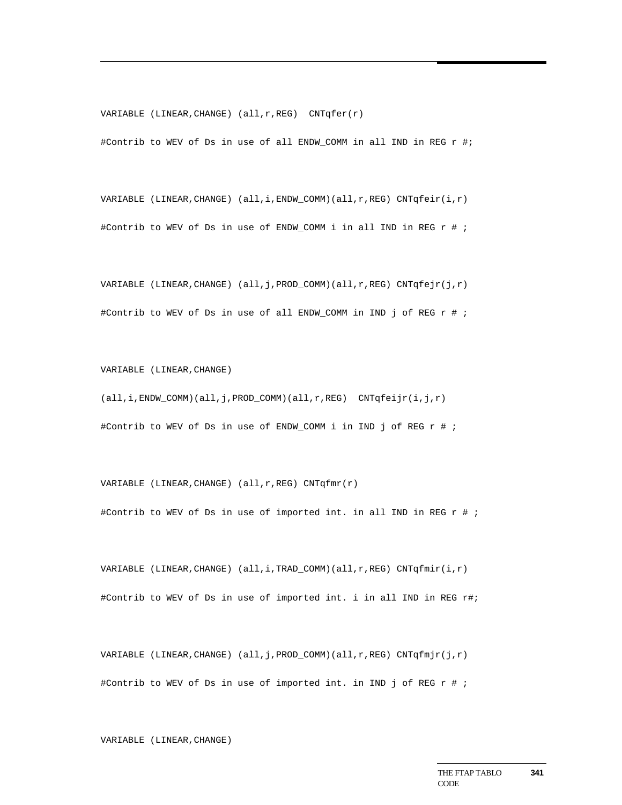```
VARIABLE (LINEAR,CHANGE) (all,r,REG) CNTqfer(r)
#Contrib to WEV of Ds in use of all ENDW COMM in all IND in REG r #;
```

```
VARIABLE (LINEAR, CHANGE) (all, i, ENDW_COMM)(all, r, REG) CNTqfeir(i, r)
#Contrib to WEV of Ds in use of ENDW_COMM i in all IND in REG r # ;
```
VARIABLE (LINEAR,CHANGE) (all,j,PROD\_COMM)(all,r,REG) CNTqfejr(j,r) #Contrib to WEV of Ds in use of all ENDW\_COMM in IND j of REG r # ;

VARIABLE (LINEAR, CHANGE)

 $(\text{all}, i, \text{ENDW}\_\text{COMM}) (\text{all}, j, \text{PROD}\_\text{COMM}) (\text{all}, r, \text{REG})$   $\text{CNTqfeijr}(i,j,r)$ #Contrib to WEV of Ds in use of ENDW\_COMM i in IND j of REG r # ;

VARIABLE (LINEAR,CHANGE) (all,r,REG) CNTqfmr(r) #Contrib to WEV of Ds in use of imported int. in all IND in REG r # ;

VARIABLE (LINEAR,CHANGE) (all,i,TRAD\_COMM)(all,r,REG) CNTqfmir(i,r) #Contrib to WEV of Ds in use of imported int. i in all IND in REG r#;

VARIABLE (LINEAR, CHANGE) (all, j, PROD\_COMM)(all,  $r$ , REG) CNTqfmjr(j,  $r$ ) #Contrib to WEV of Ds in use of imported int. in IND j of REG r # ;

VARIABLE (LINEAR, CHANGE)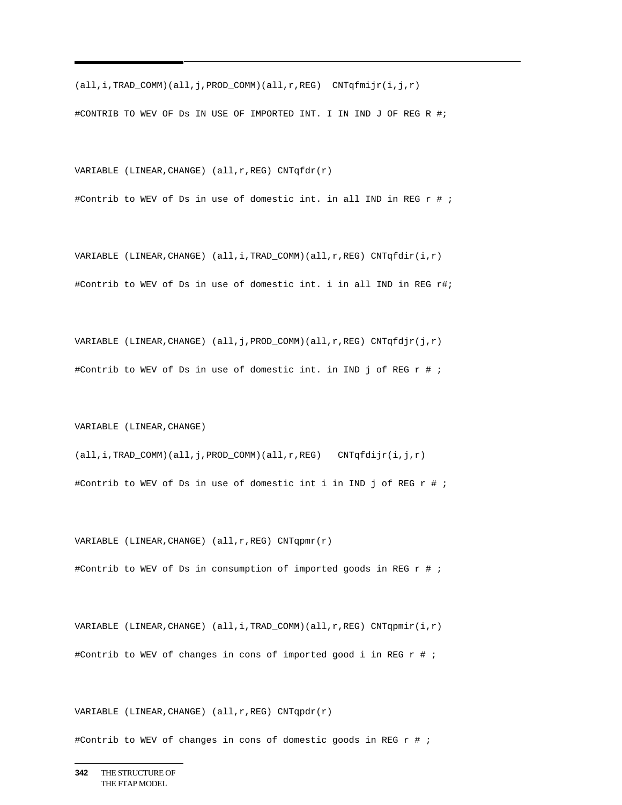```
(\text{all},i,\text{TRAD}) COMM(\text{all},j,\text{PROD}) COMM(\text{all},r,\text{REG}) CNTqfmijr(i,j,r)#CONTRIB TO WEV OF Ds IN USE OF IMPORTED INT. I IN IND J OF REG R #;
```
VARIABLE (LINEAR,CHANGE) (all,r,REG) CNTqfdr(r)

#Contrib to WEV of Ds in use of domestic int. in all IND in REG r # ;

VARIABLE (LINEAR,CHANGE) (all,i,TRAD\_COMM)(all,r,REG) CNTqfdir(i,r) #Contrib to WEV of Ds in use of domestic int. i in all IND in REG r#;

VARIABLE (LINEAR,CHANGE) (all,j,PROD\_COMM)(all,r,REG) CNTqfdjr(j,r) #Contrib to WEV of Ds in use of domestic int. in IND j of REG r # ;

VARIABLE (LINEAR, CHANGE)

(all,i,TRAD\_COMM)(all,j,PROD\_COMM)(all,r,REG) CNTqfdijr(i,j,r) #Contrib to WEV of Ds in use of domestic int i in IND j of REG r # ;

VARIABLE (LINEAR,CHANGE) (all,r,REG) CNTqpmr(r)

#Contrib to WEV of Ds in consumption of imported goods in REG r # ;

VARIABLE (LINEAR,CHANGE) (all,i,TRAD\_COMM)(all,r,REG) CNTqpmir(i,r) #Contrib to WEV of changes in cons of imported good i in REG r # ;

VARIABLE (LINEAR,CHANGE) (all,r,REG) CNTqpdr(r)

#Contrib to WEV of changes in cons of domestic goods in REG r # ;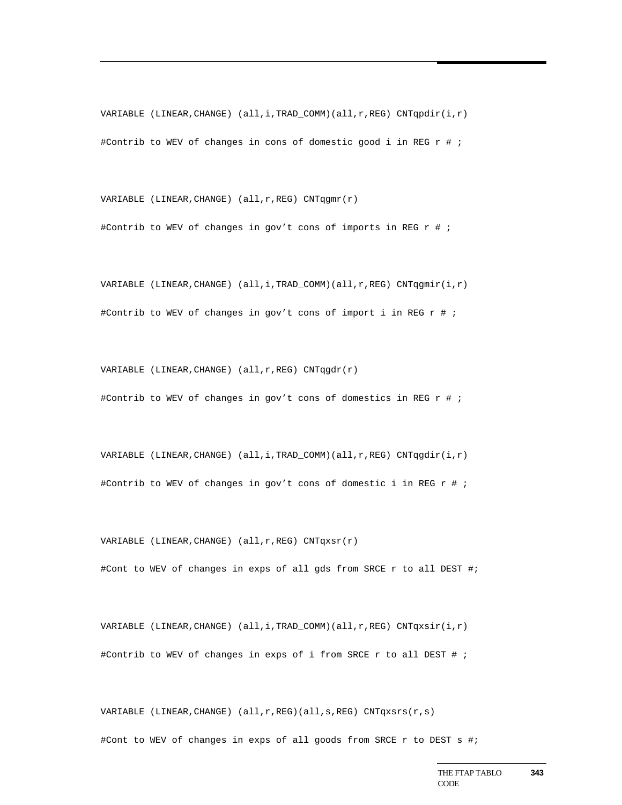VARIABLE (LINEAR,CHANGE) (all,i,TRAD\_COMM)(all,r,REG) CNTqpdir(i,r) #Contrib to WEV of changes in cons of domestic good i in REG  $r \# i$ 

VARIABLE (LINEAR,CHANGE) (all,r,REG) CNTqgmr(r)

#Contrib to WEV of changes in gov't cons of imports in REG r # ;

VARIABLE (LINEAR,CHANGE) (all,i,TRAD\_COMM)(all,r,REG) CNTqgmir(i,r) #Contrib to WEV of changes in gov't cons of import i in REG r # ;

VARIABLE (LINEAR,CHANGE) (all,r,REG) CNTqgdr(r)

#Contrib to WEV of changes in gov't cons of domestics in REG r # ;

VARIABLE (LINEAR, CHANGE) (all, i, TRAD\_COMM)(all,  $r$ , REG) CNTqgdir(i,  $r$ ) #Contrib to WEV of changes in gov't cons of domestic i in REG r # ;

VARIABLE (LINEAR,CHANGE) (all,r,REG) CNTqxsr(r)

#Cont to WEV of changes in exps of all gds from SRCE r to all DEST #;

VARIABLE (LINEAR,CHANGE) (all,i,TRAD\_COMM)(all,r,REG) CNTqxsir(i,r) #Contrib to WEV of changes in exps of i from SRCE r to all DEST # ;

VARIABLE (LINEAR, CHANGE) (all,  $r$ , REG)(all,  $s$ , REG) CNTqxsrs( $r$ ,  $s$ ) #Cont to WEV of changes in exps of all goods from SRCE r to DEST s #;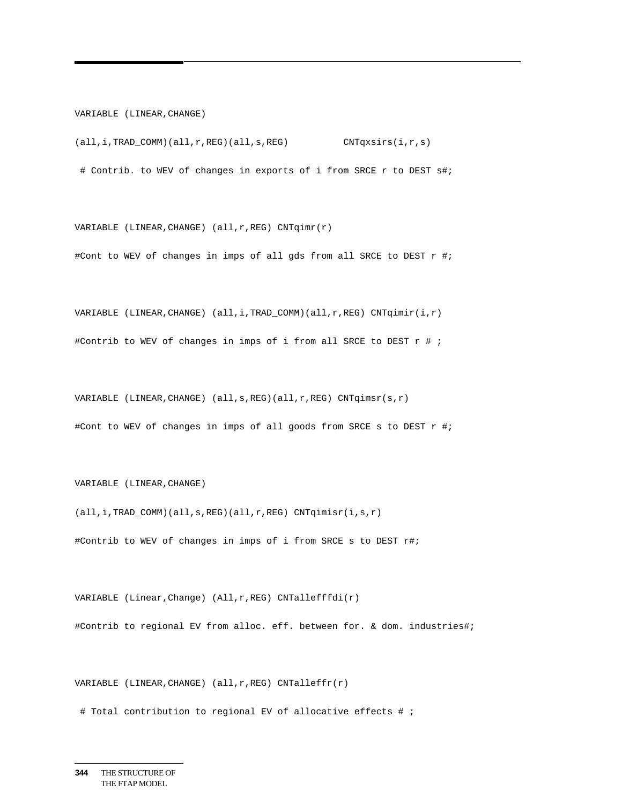VARIABLE (LINEAR, CHANGE)

 $(\text{all}, i, \text{TRAD\_COMM})(\text{all}, r, \text{REG})(\text{all}, s, \text{REG})$  CNT $\text{qxsirs}(i, r, s)$ # Contrib. to WEV of changes in exports of i from SRCE r to DEST s#;

VARIABLE (LINEAR,CHANGE) (all,r,REG) CNTqimr(r)

#Cont to WEV of changes in imps of all gds from all SRCE to DEST r #;

VARIABLE (LINEAR,CHANGE) (all,i,TRAD\_COMM)(all,r,REG) CNTqimir(i,r) #Contrib to WEV of changes in imps of i from all SRCE to DEST r # ;

VARIABLE (LINEAR,CHANGE) (all,s,REG)(all,r,REG) CNTqimsr(s,r) #Cont to WEV of changes in imps of all goods from SRCE s to DEST r #;

VARIABLE (LINEAR, CHANGE)

(all,i,TRAD\_COMM)(all,s,REG)(all,r,REG) CNTqimisr(i,s,r) #Contrib to WEV of changes in imps of i from SRCE s to DEST r#;

VARIABLE (Linear,Change) (All,r,REG) CNTallefffdi(r) #Contrib to regional EV from alloc. eff. between for. & dom. industries#;

VARIABLE (LINEAR,CHANGE) (all,r,REG) CNTalleffr(r)

# Total contribution to regional EV of allocative effects # ;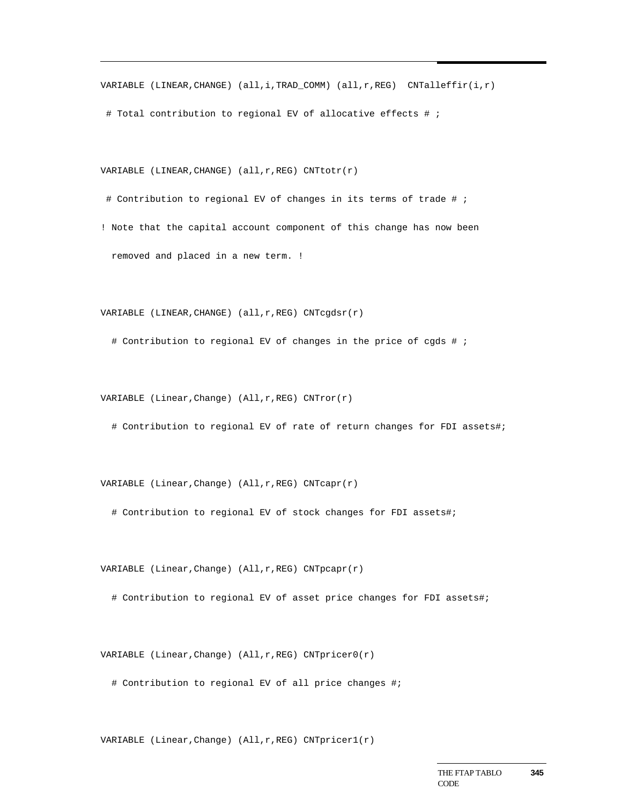```
VARIABLE (LINEAR,CHANGE) (all,i,TRAD_COMM) (all,r,REG) CNTalleffir(i,r)
 # Total contribution to regional EV of allocative effects # ;
```
VARIABLE (LINEAR,CHANGE) (all,r,REG) CNTtotr(r)

# Contribution to regional EV of changes in its terms of trade # ;

! Note that the capital account component of this change has now been removed and placed in a new term. !

VARIABLE (LINEAR, CHANGE) (all,  $r$ , REG) CNTcgdsr( $r$ )

# Contribution to regional EV of changes in the price of cgds # ;

VARIABLE (Linear,Change) (All,r,REG) CNTror(r)

# Contribution to regional EV of rate of return changes for FDI assets#;

VARIABLE (Linear,Change) (All,r,REG) CNTcapr(r)

# Contribution to regional EV of stock changes for FDI assets#;

VARIABLE (Linear,Change) (All,r,REG) CNTpcapr(r)

# Contribution to regional EV of asset price changes for FDI assets#;

VARIABLE (Linear,Change) (All,r,REG) CNTpricer0(r)

# Contribution to regional EV of all price changes #;

VARIABLE (Linear,Change) (All,r,REG) CNTpricer1(r)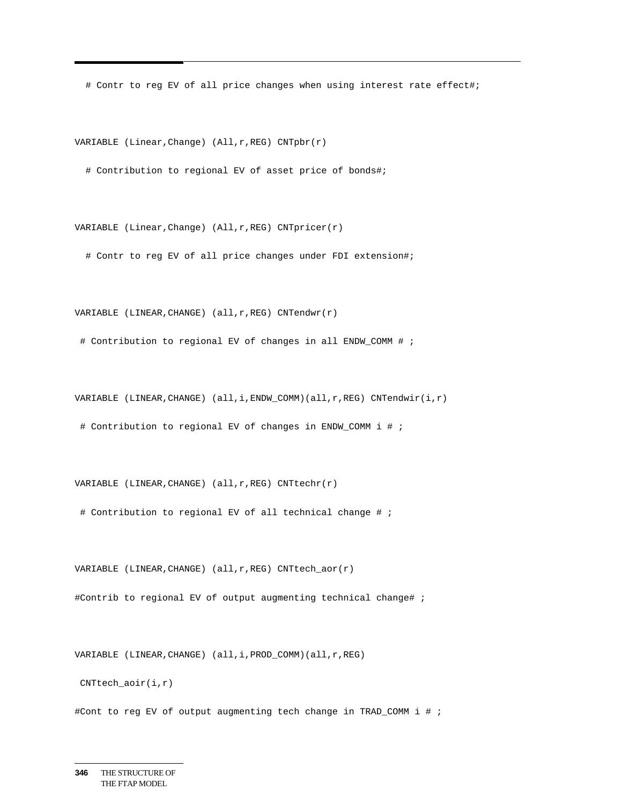# Contr to reg EV of all price changes when using interest rate effect#;

VARIABLE (Linear,Change) (All,r,REG) CNTpbr(r)

# Contribution to regional EV of asset price of bonds#;

VARIABLE (Linear,Change) (All,r,REG) CNTpricer(r)

# Contr to reg EV of all price changes under FDI extension#;

VARIABLE (LINEAR,CHANGE) (all,r,REG) CNTendwr(r)

# Contribution to regional EV of changes in all ENDW\_COMM # ;

VARIABLE (LINEAR, CHANGE) (all, i, ENDW\_COMM)(all, r, REG) CNTendwir(i, r)

# Contribution to regional EV of changes in ENDW\_COMM i # ;

VARIABLE (LINEAR,CHANGE) (all,r,REG) CNTtechr(r)

# Contribution to regional EV of all technical change # ;

VARIABLE (LINEAR,CHANGE) (all,r,REG) CNTtech\_aor(r)

#Contrib to regional EV of output augmenting technical change# ;

VARIABLE (LINEAR,CHANGE) (all,i,PROD\_COMM)(all,r,REG)

CNTtech\_aoir(i,r)

#Cont to reg EV of output augmenting tech change in TRAD\_COMM i # ;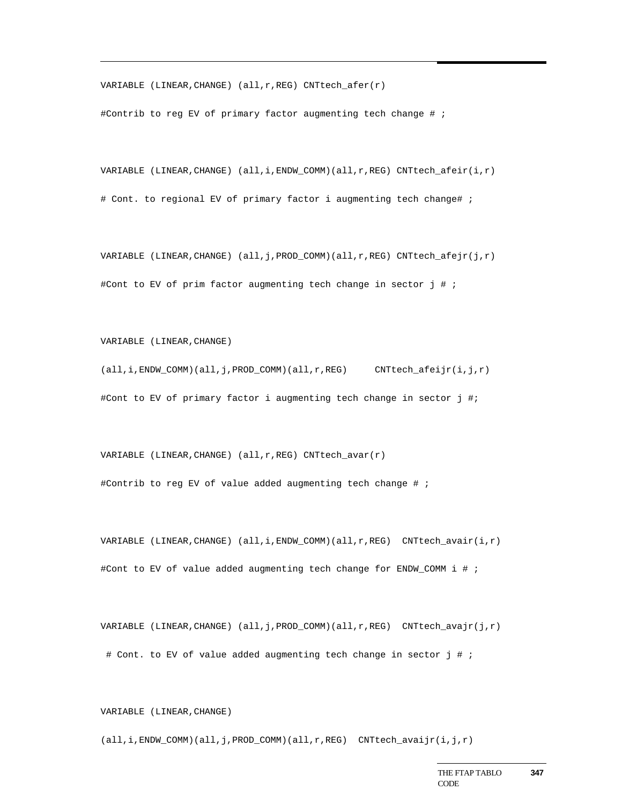VARIABLE (LINEAR,CHANGE) (all,r,REG) CNTtech\_afer(r)

#Contrib to reg EV of primary factor augmenting tech change # ;

VARIABLE (LINEAR,CHANGE) (all,i,ENDW\_COMM)(all,r,REG) CNTtech\_afeir(i,r) # Cont. to regional EV of primary factor i augmenting tech change# ;

VARIABLE (LINEAR,CHANGE) (all,j,PROD\_COMM)(all,r,REG) CNTtech\_afejr(j,r) #Cont to EV of prim factor augmenting tech change in sector j # ;

VARIABLE (LINEAR, CHANGE)

 $(\text{all}, i, \text{ENDW\_COMM}) (\text{all}, j, \text{PROD\_COMM}) (\text{all}, r, \text{REG})$  CNTtech\_afeijr(i,j,r) #Cont to EV of primary factor i augmenting tech change in sector j #;

VARIABLE (LINEAR,CHANGE) (all,r,REG) CNTtech\_avar(r)

#Contrib to reg EV of value added augmenting tech change # ;

VARIABLE (LINEAR,CHANGE) (all,i,ENDW\_COMM)(all,r,REG) CNTtech\_avair(i,r) #Cont to EV of value added augmenting tech change for ENDW\_COMM i # ;

VARIABLE (LINEAR,CHANGE) (all,j,PROD\_COMM)(all,r,REG) CNTtech\_avajr(j,r) # Cont. to EV of value added augmenting tech change in sector j # ;

VARIABLE (LINEAR, CHANGE)

 $(\text{all}, i, \text{ENDW\_COMM})(\text{all}, j, \text{PROD\_COMM})(\text{all}, r, \text{REG})$  CNTtech\_avaijr(i,j,r)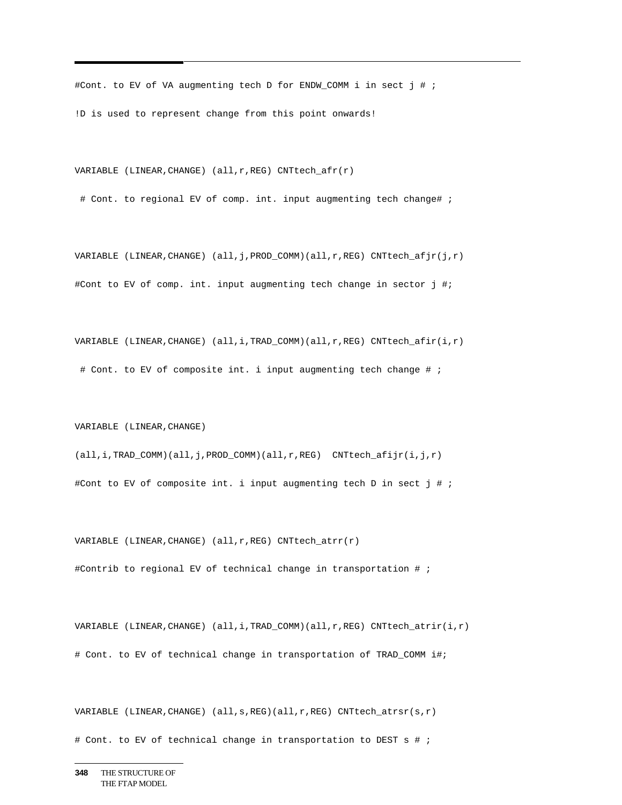#Cont. to EV of VA augmenting tech D for ENDW\_COMM i in sect j # ; !D is used to represent change from this point onwards!

VARIABLE (LINEAR,CHANGE) (all,r,REG) CNTtech\_afr(r)

# Cont. to regional EV of comp. int. input augmenting tech change# ;

VARIABLE (LINEAR, CHANGE) (all, j, PROD\_COMM)(all, r, REG) CNTtech\_afjr(j, r) #Cont to EV of comp. int. input augmenting tech change in sector j #;

VARIABLE (LINEAR, CHANGE) (all, i, TRAD\_COMM)(all,  $r$ , REG) CNTtech\_afir(i,  $r$ ) # Cont. to EV of composite int. i input augmenting tech change # ;

VARIABLE (LINEAR, CHANGE)

 $(\text{all},i,\text{TRAD\_COMM})(\text{all},j,\text{PROD\_COMM})(\text{all},r,\text{REG})$  CNTtech\_afijr(i,j,r) #Cont to EV of composite int. i input augmenting tech D in sect j # ;

VARIABLE (LINEAR,CHANGE) (all,r,REG) CNTtech\_atrr(r)

#Contrib to regional EV of technical change in transportation # ;

VARIABLE (LINEAR,CHANGE) (all,i,TRAD\_COMM)(all,r,REG) CNTtech\_atrir(i,r) # Cont. to EV of technical change in transportation of TRAD\_COMM i#;

VARIABLE (LINEAR, CHANGE) (all, s, REG)(all, r, REG) CNTtech\_atrsr(s, r) # Cont. to EV of technical change in transportation to DEST s # ;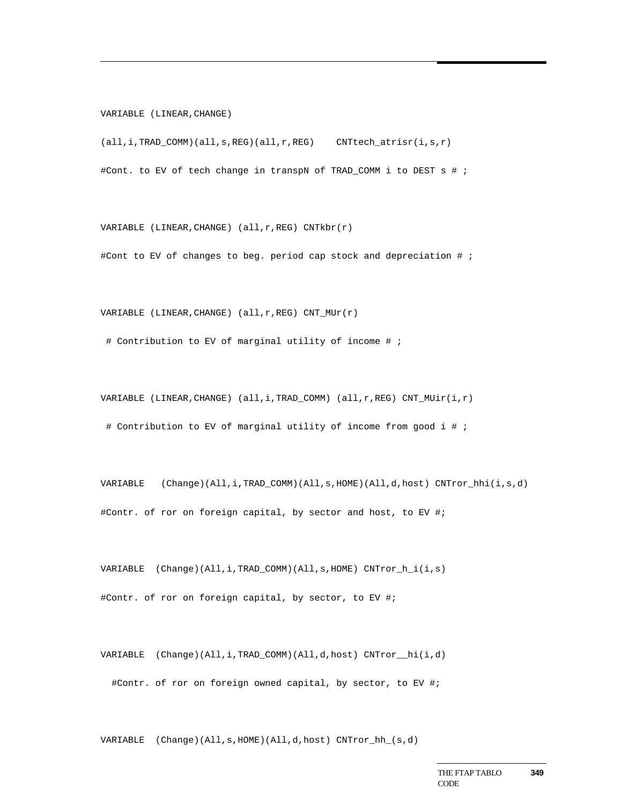VARIABLE (LINEAR, CHANGE)

 $(\text{all}, i, \text{TRAD COMM})(all, s, REG)(all, r, REG)$  CNTtech atrisr(i,s,r) #Cont. to EV of tech change in transpN of TRAD\_COMM i to DEST s # ;

VARIABLE (LINEAR,CHANGE) (all,r,REG) CNTkbr(r)

#Cont to EV of changes to beg. period cap stock and depreciation # ;

VARIABLE (LINEAR,CHANGE) (all,r,REG) CNT\_MUr(r)

# Contribution to EV of marginal utility of income # ;

VARIABLE (LINEAR,CHANGE) (all,i,TRAD\_COMM) (all,r,REG) CNT\_MUir(i,r)

# Contribution to EV of marginal utility of income from good i # ;

VARIABLE (Change)(All,i,TRAD\_COMM)(All,s,HOME)(All,d,host) CNTror\_hhi(i,s,d) #Contr. of ror on foreign capital, by sector and host, to EV #;

VARIABLE (Change)(All,i,TRAD\_COMM)(All,s,HOME) CNTror\_h\_i(i,s) #Contr. of ror on foreign capital, by sector, to EV #;

VARIABLE (Change)(All,i,TRAD\_COMM)(All,d,host) CNTror\_\_hi(i,d) #Contr. of ror on foreign owned capital, by sector, to EV #;

VARIABLE (Change)(All,s,HOME)(All,d,host) CNTror\_hh\_(s,d)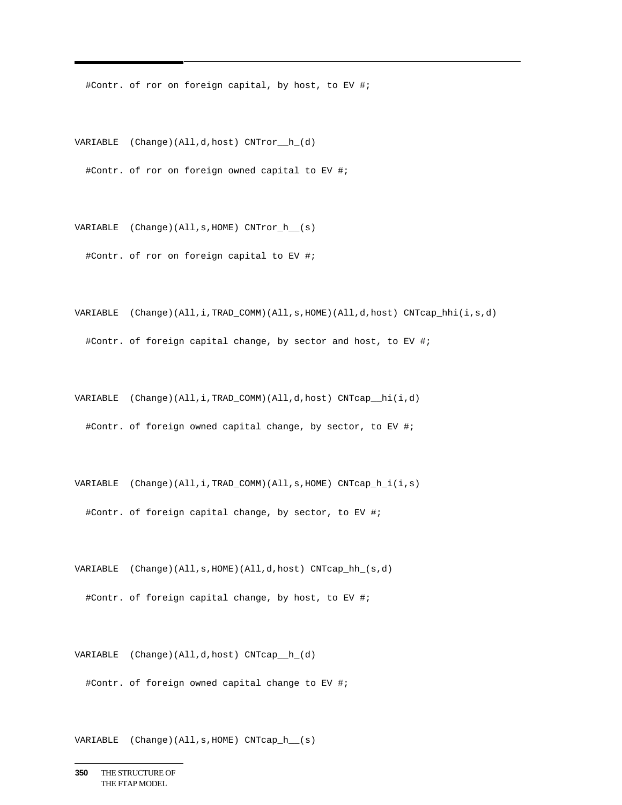#Contr. of ror on foreign capital, by host, to EV #;

VARIABLE (Change)(All,d,host) CNTror\_\_h\_(d)

#Contr. of ror on foreign owned capital to EV #;

VARIABLE (Change)(All,s,HOME) CNTror\_h\_\_(s)

#Contr. of ror on foreign capital to EV #;

VARIABLE (Change)(All,i,TRAD\_COMM)(All,s,HOME)(All,d,host) CNTcap\_hhi(i,s,d) #Contr. of foreign capital change, by sector and host, to EV #;

VARIABLE (Change)(All,i,TRAD\_COMM)(All,d,host) CNTcap\_\_hi(i,d)

#Contr. of foreign owned capital change, by sector, to EV #;

VARIABLE (Change)(All,i,TRAD\_COMM)(All,s,HOME) CNTcap\_h\_i(i,s)

#Contr. of foreign capital change, by sector, to EV #;

VARIABLE (Change)(All,s,HOME)(All,d,host) CNTcap\_hh\_(s,d) #Contr. of foreign capital change, by host, to EV #;

VARIABLE (Change)(All,d,host) CNTcap\_\_h\_(d) #Contr. of foreign owned capital change to EV #;

VARIABLE (Change)(All,s,HOME) CNTcap\_h\_\_(s)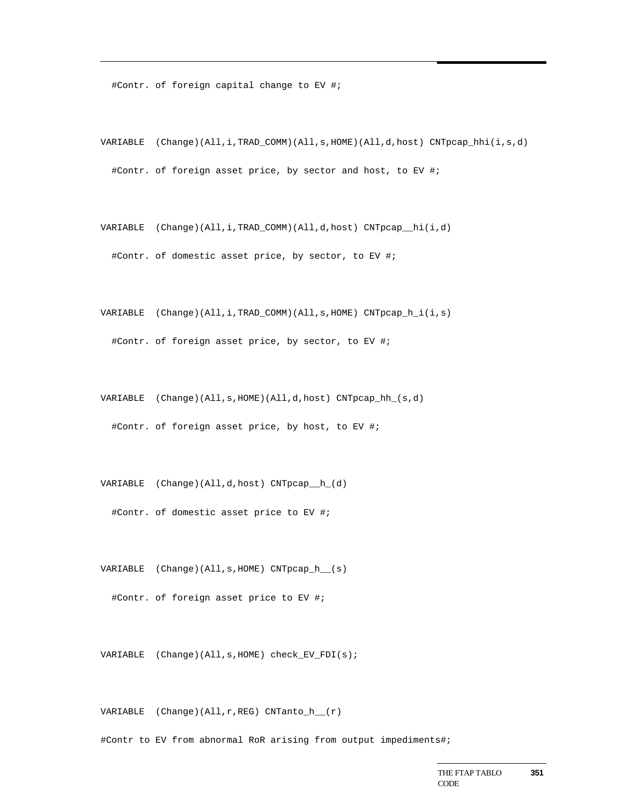#Contr. of foreign capital change to EV #;

- VARIABLE (Change)(All,i,TRAD COMM)(All,s,HOME)(All,d,host) CNTpcap hhi(i,s,d) #Contr. of foreign asset price, by sector and host, to EV #;
- VARIABLE (Change)(All,i,TRAD\_COMM)(All,d,host) CNTpcap\_\_hi(i,d) #Contr. of domestic asset price, by sector, to EV #;
- VARIABLE (Change)(All,i,TRAD\_COMM)(All,s,HOME) CNTpcap\_h\_i(i,s) #Contr. of foreign asset price, by sector, to EV #;
- VARIABLE (Change)(All,s,HOME)(All,d,host) CNTpcap\_hh\_(s,d) #Contr. of foreign asset price, by host, to EV #;
- VARIABLE (Change)(All,d,host) CNTpcap\_\_h\_(d)

#Contr. of domestic asset price to EV #;

VARIABLE (Change)(All,s,HOME) CNTpcap\_h\_\_(s) #Contr. of foreign asset price to EV #;

VARIABLE (Change)(All,s,HOME) check\_EV\_FDI(s);

VARIABLE (Change)(All,r,REG) CNTanto\_h\_\_(r)

#Contr to EV from abnormal RoR arising from output impediments#;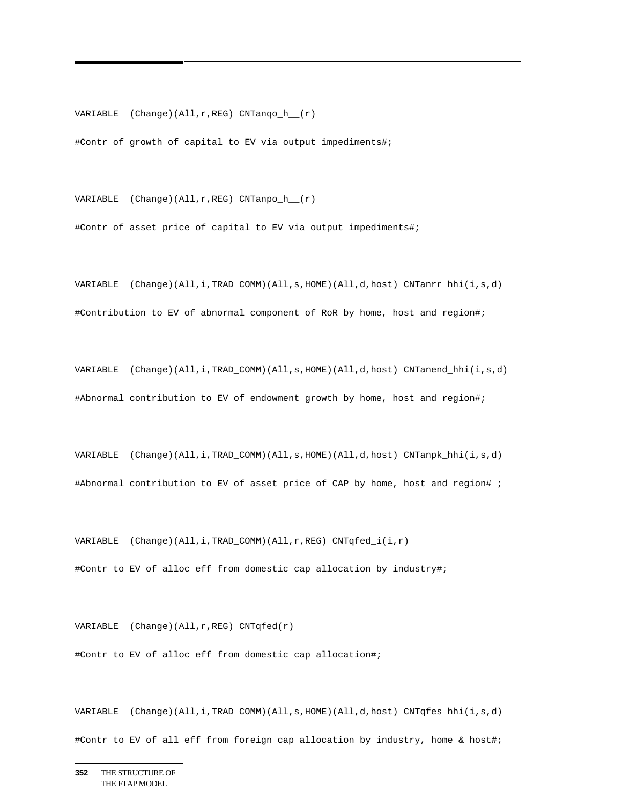VARIABLE (Change)(All,r,REG) CNTanqo\_h\_\_(r)

#Contr of growth of capital to EV via output impediments#;

VARIABLE (Change)(All,r,REG) CNTanpo\_h\_\_(r)

#Contr of asset price of capital to EV via output impediments#;

VARIABLE (Change)(All,i,TRAD\_COMM)(All,s,HOME)(All,d,host) CNTanrr\_hhi(i,s,d) #Contribution to EV of abnormal component of RoR by home, host and region#;

VARIABLE (Change)(All,i,TRAD\_COMM)(All,s,HOME)(All,d,host) CNTanend\_hhi(i,s,d) #Abnormal contribution to EV of endowment growth by home, host and region#;

VARIABLE (Change)(All,i,TRAD\_COMM)(All,s,HOME)(All,d,host) CNTanpk\_hhi(i,s,d) #Abnormal contribution to EV of asset price of CAP by home, host and region# ;

VARIABLE (Change)(All,i,TRAD\_COMM)(All,r,REG) CNTqfed\_i(i,r) #Contr to EV of alloc eff from domestic cap allocation by industry#;

VARIABLE (Change)(All,r,REG) CNTqfed(r)

#Contr to EV of alloc eff from domestic cap allocation#;

VARIABLE (Change)(All,i,TRAD\_COMM)(All,s,HOME)(All,d,host) CNTqfes\_hhi(i,s,d) #Contr to EV of all eff from foreign cap allocation by industry, home & host#;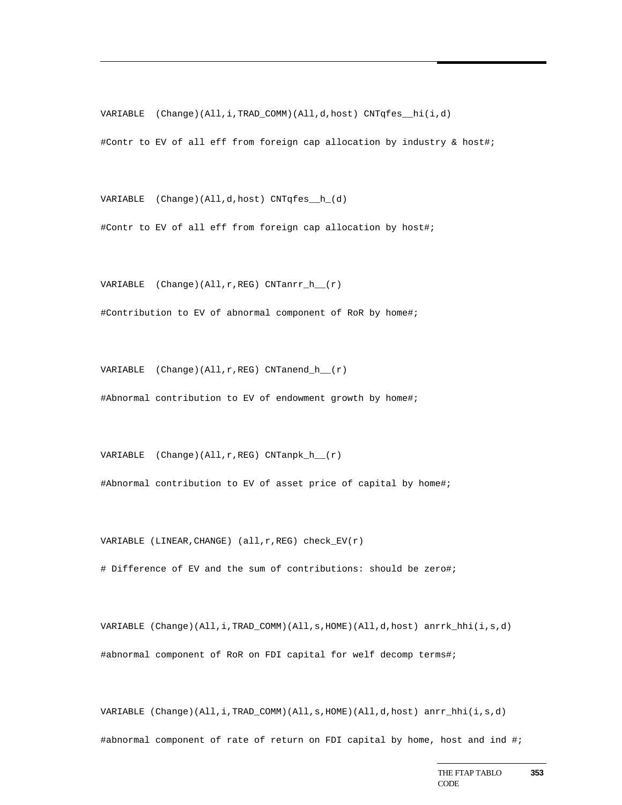```
VARIABLE (Change)(All,i,TRAD_COMM)(All,d,host) CNTqfes__hi(i,d)
#Contr to EV of all eff from foreign cap allocation by industry & host#;
```
VARIABLE (Change)(All,d,host) CNTqfes\_\_h\_(d)

#Contr to EV of all eff from foreign cap allocation by host#;

VARIABLE (Change)(All,r,REG) CNTanrr\_h\_\_(r)

#Contribution to EV of abnormal component of RoR by home#;

VARIABLE (Change)(All,r,REG) CNTanend\_h\_\_(r)

#Abnormal contribution to EV of endowment growth by home#;

VARIABLE (Change)(All,r,REG) CNTanpk\_h\_\_(r)

#Abnormal contribution to EV of asset price of capital by home#;

VARIABLE (LINEAR,CHANGE) (all,r,REG) check\_EV(r)

# Difference of EV and the sum of contributions: should be zero#;

VARIABLE (Change)(All,i,TRAD\_COMM)(All,s,HOME)(All,d,host) anrrk\_hhi(i,s,d) #abnormal component of RoR on FDI capital for welf decomp terms#;

VARIABLE (Change)(All,i,TRAD\_COMM)(All,s,HOME)(All,d,host) anrr\_hhi(i,s,d) #abnormal component of rate of return on FDI capital by home, host and ind #;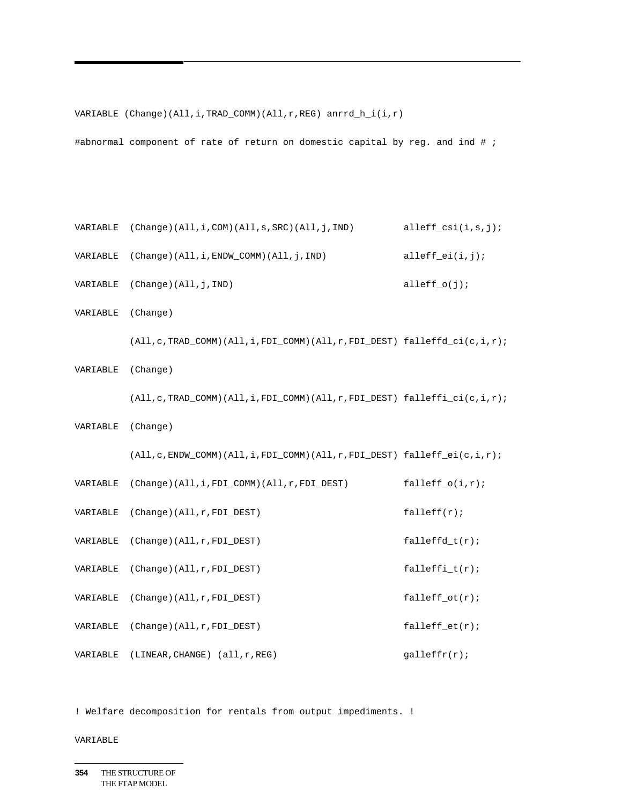VARIABLE (Change)(All,i,TRAD\_COMM)(All,r,REG) anrrd\_h\_i(i,r)

#abnormal component of rate of return on domestic capital by reg. and ind # ;

VARIABLE  $(Change)(All,i,COM)(All,s,SRC)(All,j,IND)$  alleff $_csi(i,s,j);$ VARIABLE (Change)(All,i,ENDW\_COMM)(All,j,IND) alleff\_ei(i,j); VARIABLE (Change)(All,j,IND) alleff\_o(j); VARIABLE (Change)  $(All,c,TRAD_COMM)(All, i,FDI_COMM)(All, r, FDI_DEST)$  falleffd\_ci(c,i,r); VARIABLE (Change) (All,c,TRAD\_COMM)(All,i,FDI\_COMM)(All,r,FDI\_DEST) falleffi\_ci(c,i,r); VARIABLE (Change)  $(All, c, ENDW_COMM)$ (All,i,FDI\_COMM)(All,r,FDI\_DEST) falleff\_ei(c,i,r); VARIABLE  $(Change)(All,i,FDI_COMM)(All,r,FDI_DEST)$   $falleff_o(i,r);$ VARIABLE  $(Change)(All, r, FDI_DEST)$  falleff(r); VARIABLE  $(Change)(All, r, FDI_DEST)$  falleffd\_t(r); VARIABLE  $(Change)(All, r, FDI_DEST)$  falleffi\_t(r); VARIABLE (Change)(All,r,FDI\_DEST) falleff\_ot(r);  ${\tt VARIABLE} \quad {\tt (Change)\, (All,r,FDI_DEST)} \qquad \qquad {\tt falleff\_et(r);\,}$ VARIABLE (LINEAR, CHANGE) (all,  $r$ , REG) galleffr( $r$ );

! Welfare decomposition for rentals from output impediments. !

#### VARIABLE

**354** THE STRUCTURE OF THE FTAP MODEL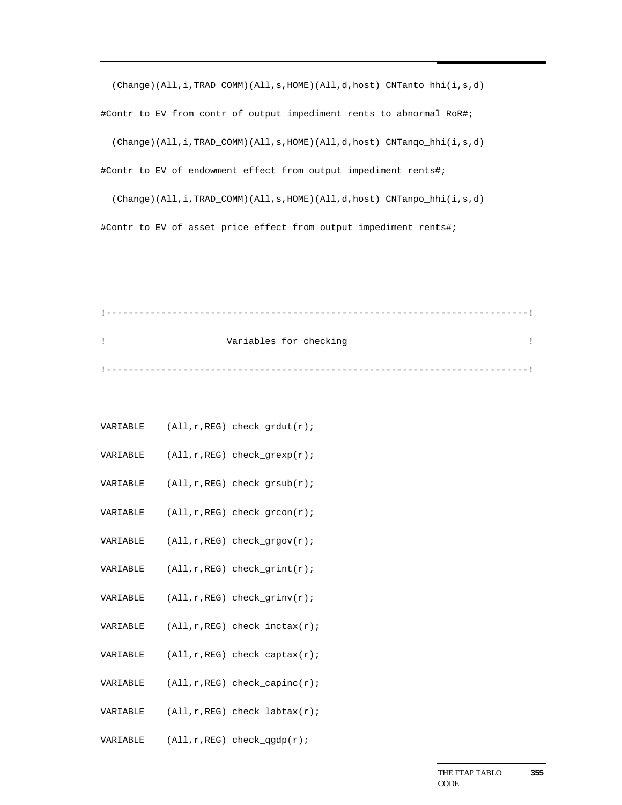(Change)(All,i,TRAD\_COMM)(All,s,HOME)(All,d,host) CNTanto\_hhi(i,s,d)

#Contr to EV from contr of output impediment rents to abnormal RoR#;

(Change)(All,i,TRAD\_COMM)(All,s,HOME)(All,d,host) CNTanqo\_hhi(i,s,d)

#Contr to EV of endowment effect from output impediment rents#;

(Change)(All,i,TRAD\_COMM)(All,s,HOME)(All,d,host) CNTanpo\_hhi(i,s,d)

#Contr to EV of asset price effect from output impediment rents#;

| Variables for checking |  |
|------------------------|--|
|                        |  |

| VARIABLE | $All, r, REG) check_qrdut(r);$   |
|----------|----------------------------------|
| VARIABLE | $All, r, REG) check\_grexp(r);$  |
| VARIABLE | $(All, r, REG) check_grsub(r);$  |
| VARIABLE | $All, r, REG) check_qrcon(r);$   |
| VARIABLE | $All, r, REG) check_qrgov(r);$   |
| VARIABLE | $All, r, REG) check_grint(r);$   |
| VARIABLE | $(All, r, REG) check_grinv(r);$  |
| VARIABLE | $(All,r,REG) check_interest(x);$ |
| VARIABLE | $All, r, REG) check_captax(r);$  |
| VARIABLE | $All, r, REG) check-capinc(r);$  |
| VARIABLE | $(All, r, REG) check_labtax(r);$ |
| VARIABLE | $All, r, REG) check_qqdp(r);$    |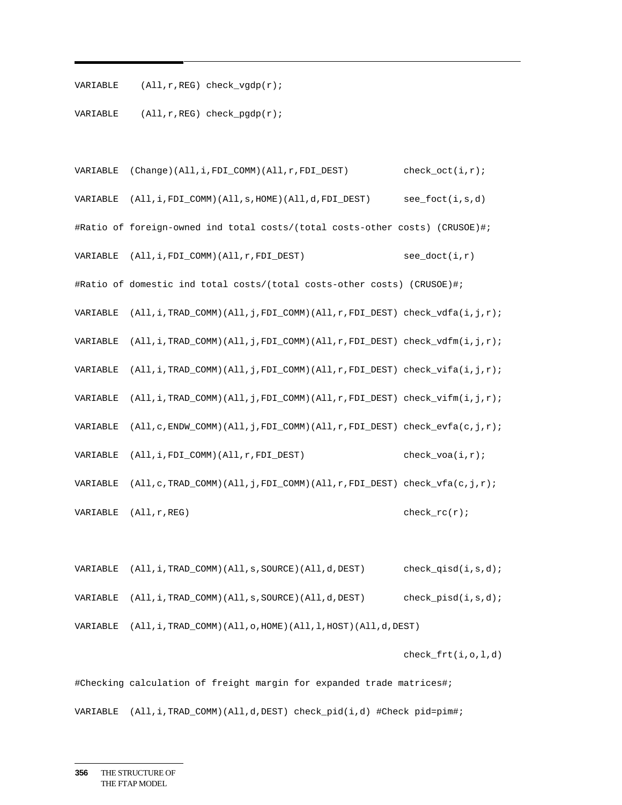VARIABLE (All,r,REG) check\_vgdp(r);

VARIABLE (All,r,REG) check\_pgdp(r);

VARIABLE  $(Change)(All, i, FDI_COMM)(All, r, FDI_DEST)$  check\_oct $(i, r);$ 

VARIABLE (All,i,FDI\_COMM)(All,s,HOME)(All,d,FDI\_DEST) see\_foct(i,s,d)

#Ratio of foreign-owned ind total costs/(total costs-other costs) (CRUSOE)#;

VARIABLE  $(All, i, FDI\_COMM)(All, r, FDI\_DEST)$  see\_doct $(i, r)$ 

#Ratio of domestic ind total costs/(total costs-other costs) (CRUSOE)#;

VARIABLE (All,i,TRAD\_COMM)(All,j,FDI\_COMM)(All,r,FDI\_DEST) check\_vdfa(i,j,r);

VARIABLE (All,i,TRAD\_COMM)(All,j,FDI\_COMM)(All,r,FDI\_DEST) check\_vdfm(i,j,r);

VARIABLE (All,i,TRAD\_COMM)(All,j,FDI\_COMM)(All,r,FDI\_DEST) check\_vifa(i,j,r);

VARIABLE  $(All, i, TRAD_COMM)(All, j, FDI_COMM)(All, r, FDI_DEST) check_vifm(i, j, r);$ 

VARIABLE (All,c,ENDW\_COMM)(All,j,FDI\_COMM)(All,r,FDI\_DEST) check\_evfa(c,j,r);

 ${\tt VARIABLE} \quad ({\tt All}, {\tt i}, {\tt FDI\_COMM})\, ({\tt All}, {\tt r}, {\tt FDI\_DEF}) \qquad \qquad {\tt check\_voa(i,r)} \, ;$ VARIABLE  $(All, c, TRAD_COMM)(All, j, FDI_COMM)(All, r, FDI_DEST) check_vfa(c, j, r);$ 

VARIABLE  $(All, r, REG)$  check $rc(r);$ 

VARIABLE (All,i,TRAD\_COMM)(All,s,SOURCE)(All,d,DEST) check\_qisd(i,s,d);

VARIABLE (All,i,TRAD\_COMM)(All,s,SOURCE)(All,d,DEST) check\_pisd(i,s,d);

VARIABLE (All,i,TRAD\_COMM)(All,o,HOME)(All,l,HOST)(All,d,DEST)

check\_frt(i,o,l,d)

#Checking calculation of freight margin for expanded trade matrices#; VARIABLE (All,i,TRAD\_COMM)(All,d,DEST) check\_pid(i,d) #Check pid=pim#;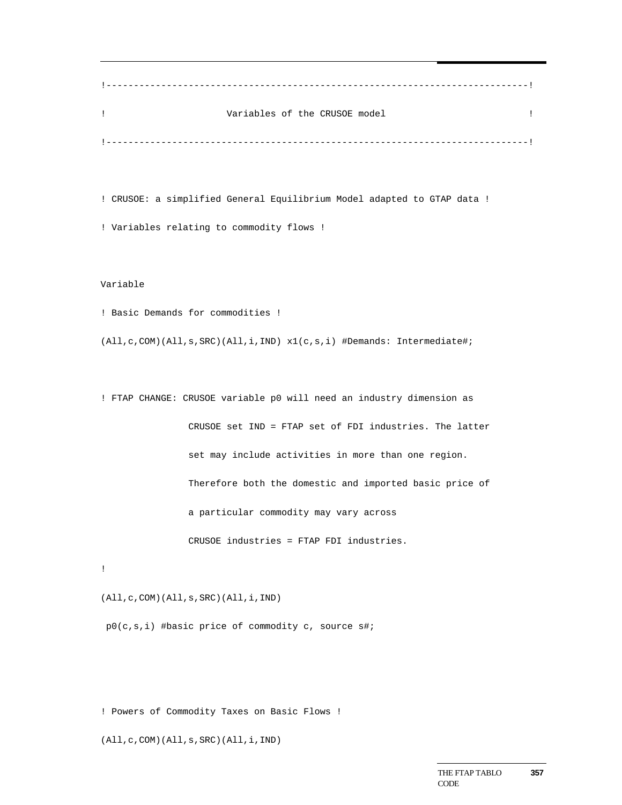!-----------------------------------------------------------------------------! ! Variables of the CRUSOE model ! !-----------------------------------------------------------------------------!

! CRUSOE: a simplified General Equilibrium Model adapted to GTAP data !

! Variables relating to commodity flows !

Variable

! Basic Demands for commodities !

(All,c,COM)(All,s,SRC)(All,i,IND) x1(c,s,i) #Demands: Intermediate#;

! FTAP CHANGE: CRUSOE variable p0 will need an industry dimension as CRUSOE set IND = FTAP set of FDI industries. The latter set may include activities in more than one region. Therefore both the domestic and imported basic price of a particular commodity may vary across CRUSOE industries = FTAP FDI industries.

!

(All,c,COM)(All,s,SRC)(All,i,IND)

p0(c,s,i) #basic price of commodity c, source s#;

! Powers of Commodity Taxes on Basic Flows !

(All,c,COM)(All,s,SRC)(All,i,IND)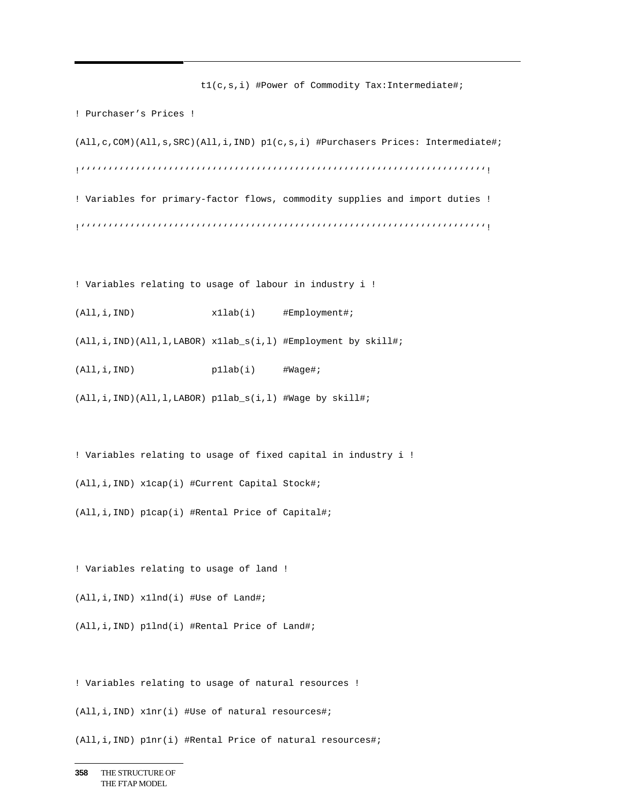$t1(c,s,i)$  #Power of Commodity Tax:Intermediate#;

! Purchaser's Prices !

(All,c,COM)(All,s,SRC)(All,i,IND) p1(c,s,i) #Purchasers Prices: Intermediate#; !''''''''''''''''''''''''''''''''''''''''''''''''''''''''''''''''''''''''''! ! Variables for primary-factor flows, commodity supplies and import duties ! !''''''''''''''''''''''''''''''''''''''''''''''''''''''''''''''''''''''''''!

! Variables relating to usage of labour in industry i !

(All,i,IND)  $x1lab(i)$  #Employment#;

(All,i,IND)(All,l,LABOR) x1lab\_s(i,l) #Employment by skill#;

 $(All, i, IND)$  pllab $(i)$  #Wage#;

(All,i,IND)(All,l,LABOR) p1lab\_s(i,l) #Wage by skill#;

! Variables relating to usage of fixed capital in industry i ! (All,i,IND) x1cap(i) #Current Capital Stock#;

(All,i,IND) p1cap(i) #Rental Price of Capital#;

! Variables relating to usage of land !

(All,i,IND) x1lnd(i) #Use of Land#;

(All,i,IND) p1lnd(i) #Rental Price of Land#;

! Variables relating to usage of natural resources ! (All,i,IND) x1nr(i) #Use of natural resources#; (All,i,IND) plnr(i) #Rental Price of natural resources#;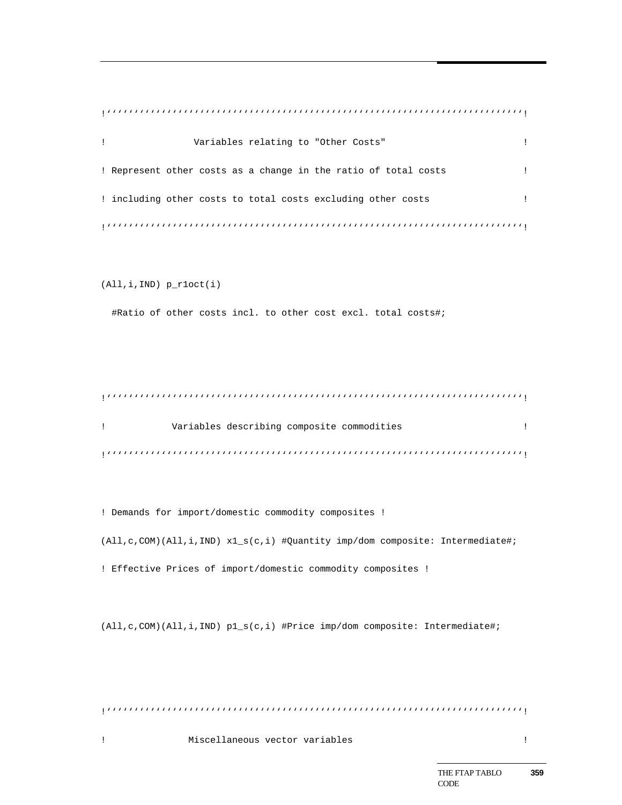!''''''''''''''''''''''''''''''''''''''''''''''''''''''''''''''''''''''''''''! ! Variables relating to "Other Costs" ! ! Represent other costs as a change in the ratio of total costs [100] ! including other costs to total costs excluding other costs ! !''''''''''''''''''''''''''''''''''''''''''''''''''''''''''''''''''''''''''''!

(All,i,IND) p\_r1oct(i)

#Ratio of other costs incl. to other cost excl. total costs#;

!''''''''''''''''''''''''''''''''''''''''''''''''''''''''''''''''''''''''''''!

| Variables describing composite commodities |  |
|--------------------------------------------|--|
|                                            |  |
|                                            |  |

! Demands for import/domestic commodity composites !

 $(All,c,COM)$ (All,i,IND)  $x1_s(c,i)$  #Quantity imp/dom composite: Intermediate#;

! Effective Prices of import/domestic commodity composites !

(All,c,COM)(All,i,IND) p1\_s(c,i) #Price imp/dom composite: Intermediate#;

!''''''''''''''''''''''''''''''''''''''''''''''''''''''''''''''''''''''''''''!

! Miscellaneous vector variables !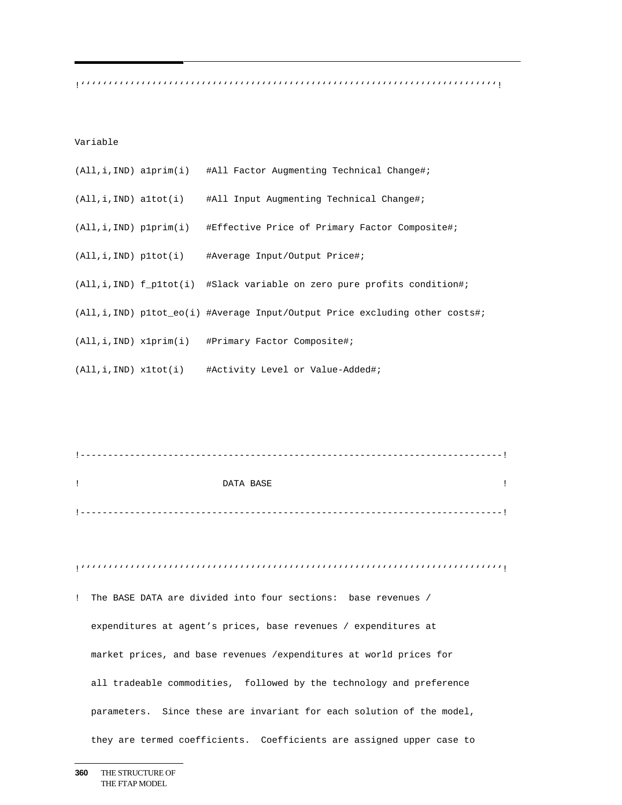!''''''''''''''''''''''''''''''''''''''''''''''''''''''''''''''''''''''''''''!

## Variable

(All,i,IND) a1prim(i) #All Factor Augmenting Technical Change#; (All,i,IND) altot(i) #All Input Augmenting Technical Change#; (All,i,IND) p1prim(i) #Effective Price of Primary Factor Composite#; (All,i,IND) p1tot(i) #Average Input/Output Price#; (All,i,IND) f\_p1tot(i) #Slack variable on zero pure profits condition#; (All,i,IND) p1tot\_eo(i) #Average Input/Output Price excluding other costs#; (All,i,IND) x1prim(i) #Primary Factor Composite#; (All,i,IND) x1tot(i) #Activity Level or Value-Added#;

!-----------------------------------------------------------------------------! ! DATA BASE ! !-----------------------------------------------------------------------------!

!'''''''''''''''''''''''''''''''''''''''''''''''''''''''''''''''''''''''''''''! ! The BASE DATA are divided into four sections: base revenues / expenditures at agent's prices, base revenues / expenditures at market prices, and base revenues /expenditures at world prices for all tradeable commodities, followed by the technology and preference parameters. Since these are invariant for each solution of the model, they are termed coefficients. Coefficients are assigned upper case to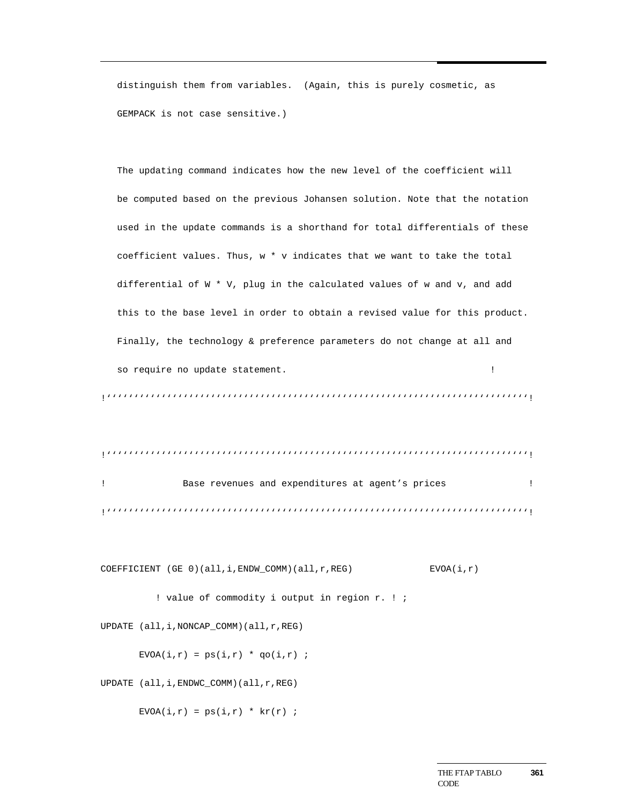distinguish them from variables. (Again, this is purely cosmetic, as GEMPACK is not case sensitive.)

 The updating command indicates how the new level of the coefficient will be computed based on the previous Johansen solution. Note that the notation used in the update commands is a shorthand for total differentials of these coefficient values. Thus, w \* v indicates that we want to take the total differential of  $W * V$ , plug in the calculated values of w and  $v$ , and add this to the base level in order to obtain a revised value for this product. Finally, the technology & preference parameters do not change at all and so require no update statement. The state of  $\mathbf{R}$  is the statement of  $\mathbf{R}$  is the statement.

!'''''''''''''''''''''''''''''''''''''''''''''''''''''''''''''''''''''''''''''!

```
!'''''''''''''''''''''''''''''''''''''''''''''''''''''''''''''''''''''''''''''!
! Base revenues and expenditures at agent's prices !
!'''''''''''''''''''''''''''''''''''''''''''''''''''''''''''''''''''''''''''''!
```
COEFFICIENT (GE 0)(all,i,ENDW\_COMM)(all,r,REG) EVOA(i,r)

! value of commodity i output in region r. ! ;

UPDATE (all,i,NONCAP\_COMM)(all,r,REG)

EVOA $(i,r) = ps(i,r) * qo(i,r)$  ;

UPDATE (all,i,ENDWC\_COMM)(all,r,REG)

EVOA $(i,r)$  = ps $(i,r)$  \*  $kr(r)$  ;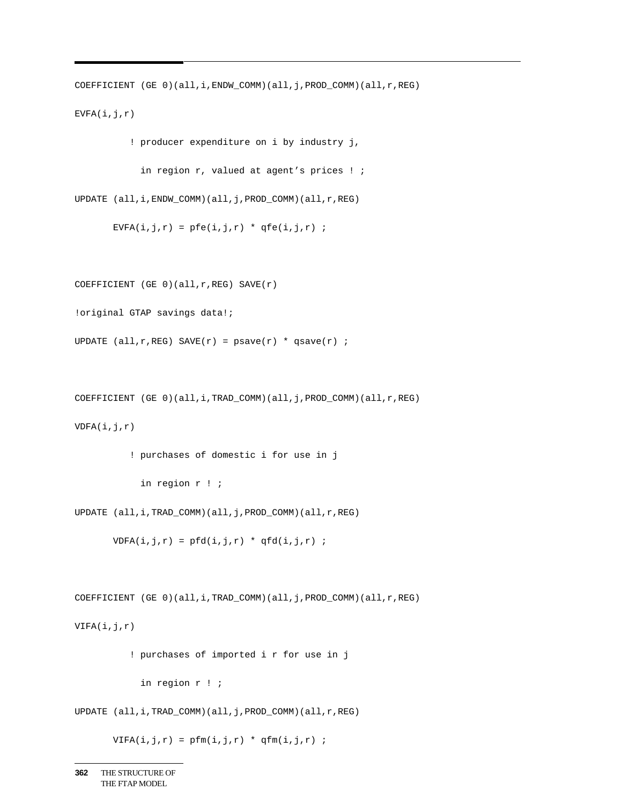```
COEFFICIENT (GE 0)(all,i,ENDW_COMM)(all,j,PROD_COMM)(all,r,REG)
EVFA(i,j,r) ! producer expenditure on i by industry j,
             in region r, valued at agent's prices ! ;
UPDATE (all,i,ENDW_COMM)(all,j,PROD_COMM)(all,r,REG)
       EVFA(i,j,r) = pfe(i,j,r) * qfe(i,j,r) ;
COEFFICIENT (GE 0)(all,r,REG) SAVE(r)
```
!original GTAP savings data!;

UPDATE (all, $r$ ,REG) SAVE( $r$ ) = psave( $r$ ) \* qsave( $r$ ) ;

```
COEFFICIENT (GE 0)(all,i,TRAD_COMM)(all,j,PROD_COMM)(all,r,REG)
```
 $VDFA(i,j,r)$ 

```
 ! purchases of domestic i for use in j
  in region r ! ;
```
UPDATE (all,i,TRAD\_COMM)(all,j,PROD\_COMM)(all,r,REG)

 $\texttt{VDFA}(i,j,r) = \texttt{pfd}(i,j,r) * \texttt{qfd}(i,j,r) ;$ 

```
COEFFICIENT (GE 0)(all,i,TRAD_COMM)(all,j,PROD_COMM)(all,r,REG)
VIFA(i,j,r) ! purchases of imported i r for use in j
             in region r ! ;
UPDATE (all,i,TRAD_COMM)(all,j,PROD_COMM)(all,r,REG)
       VIFA(i,j,r) = pfm(i,j,r) * qfm(i,j,r) ;
```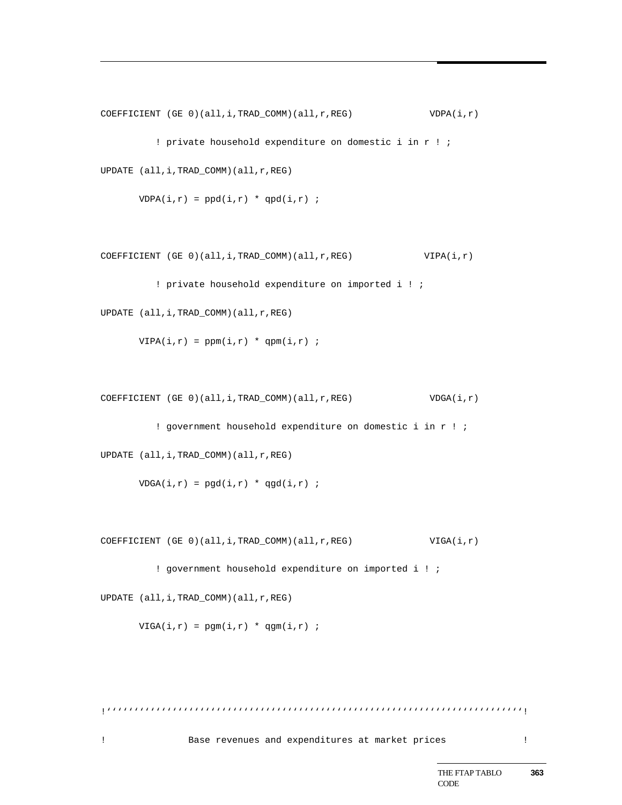COEFFICIENT  $(GE 0)(all,i,TRAD_COMM)(all,r,REG)$  VDPA $(i,r)$ 

! private household expenditure on domestic i in r ! ;

UPDATE (all,i,TRAD\_COMM)(all,r,REG)

 $VDPA(i,r) = ppd(i,r) * qpd(i,r)$ ;

COEFFICIENT  $(GE 0)(all, i, TRAD_COMM)(all, r, REG)$  VIPA $(i, r)$ 

! private household expenditure on imported i ! ;

UPDATE (all,i,TRAD\_COMM)(all,r,REG)

 $VIPA(i,r) = ppm(i,r) * qpm(i,r)$  ;

COEFFICIENT (GE 0)(all,i,TRAD\_COMM)(all, $r$ ,REG) VDGA(i, $r$ )

! government household expenditure on domestic i in r ! ;

UPDATE (all,i,TRAD\_COMM)(all,r,REG)

 $VDGA(i,r) = pgd(i,r) * qgd(i,r)$  ;

COEFFICIENT  $(GE 0)(all,i,TRAD_COMM)(all,r,REG)$  VIGA $(i,r)$ 

! government household expenditure on imported i ! ;

UPDATE (all,i,TRAD\_COMM)(all,r,REG)

 $VIGA(i,r) = pgm(i,r) * qgm(i,r)$  ;

!''''''''''''''''''''''''''''''''''''''''''''''''''''''''''''''''''''''''''''!

! Base revenues and expenditures at market prices !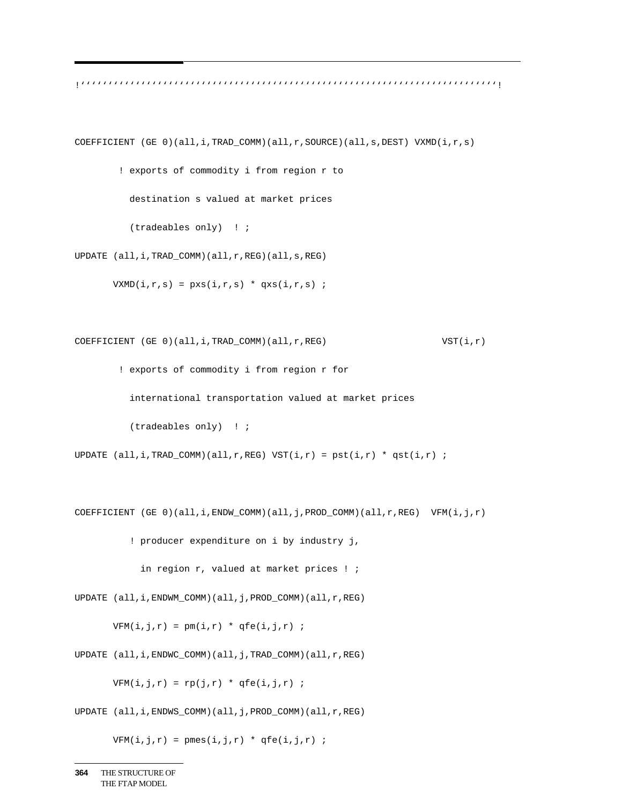!''''''''''''''''''''''''''''''''''''''''''''''''''''''''''''''''''''''''''''!

```
COEFFICIENT (GE 0)(all,i,TRAD COMM)(all,r,SOURCE)(all,s,DEST) VXMD(i,r,s)
          ! exports of commodity i from region r to
            destination s valued at market prices
            (tradeables only) ! ;
UPDATE (all,i,TRAD_COMM)(all,r,REG)(all,s,REG)
       \texttt{VXMD}(i,r,s) = \texttt{pxs}(i,r,s) * \texttt{qxs}(i,r,s);
```

```
COEFFICIENT (GE 0)(all, i, TRAD_COMM)(all, r, REG) VST(i, r) ! exports of commodity i from region r for
          international transportation valued at market prices
          (tradeables only) ! ;
```
UPDATE (all,i,TRAD\_COMM)(all, $r$ ,REG) VST(i, $r$ ) = pst(i, $r$ ) \* qst(i, $r$ ) ;

```
COEFFICIENT (GE 0)(all,i,ENDW_COMM)(all,j,PROD_COMM)(all,r,REG) VFM(i,j,r)
```
! producer expenditure on i by industry j,

in region r, valued at market prices ! ;

UPDATE (all,i,ENDWM\_COMM)(all,j,PROD\_COMM)(all,r,REG)

 $VFM(i,j,r) = pm(i,r) * qfe(i,j,r)$  ;

UPDATE (all,i,ENDWC\_COMM)(all,j,TRAD\_COMM)(all,r,REG)

 $VFM(i,j,r) = rp(j,r) * qfe(i,j,r)$  ;

UPDATE (all,i,ENDWS\_COMM)(all,j,PROD\_COMM)(all,r,REG)

 $VFM(i,j,r) = pmes(i,j,r) * qfe(i,j,r)$  ;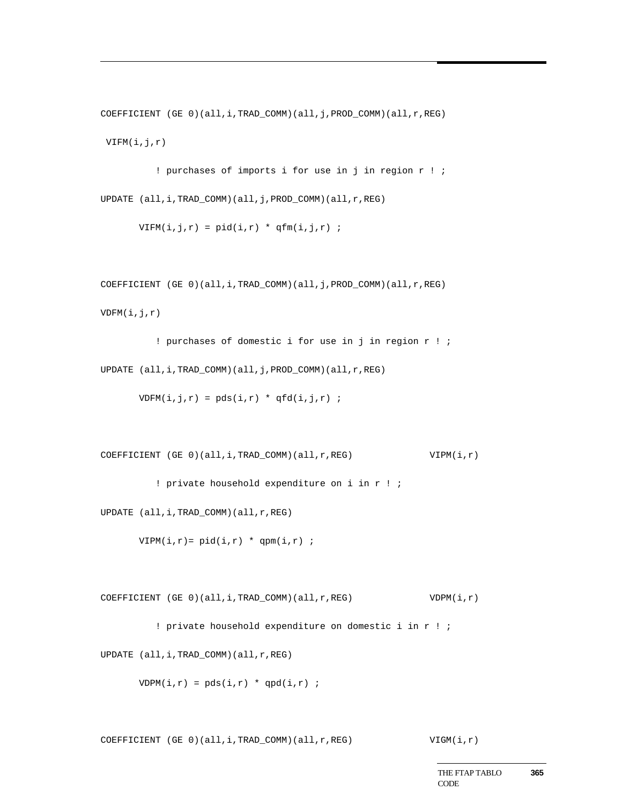COEFFICIENT (GE 0)(all,i,TRAD\_COMM)(all,j,PROD\_COMM)(all,r,REG)  $VIFM(i,j,r)$ 

 ! purchases of imports i for use in j in region r ! ; UPDATE (all,i,TRAD\_COMM)(all,j,PROD\_COMM)(all,r,REG)

 $VIFM(i,j,r) = pid(i,r) * qfm(i,j,r)$  ;

COEFFICIENT (GE 0)(all,i,TRAD\_COMM)(all,j,PROD\_COMM)(all,r,REG)

 $VDFM(i,j,r)$ 

 ! purchases of domestic i for use in j in region r ! ; UPDATE (all,i,TRAD\_COMM)(all,j,PROD\_COMM)(all,r,REG)

 $VDFM(i,j,r) = pds(i,r) * qfd(i,j,r)$  ;

COEFFICIENT  $(GE 0)(all, i, TRAD_COMM)(all, r, REG)$  VIPM $(i, r)$ 

! private household expenditure on i in r ! ;

UPDATE (all,i,TRAD\_COMM)(all,r,REG)

 $VIPM(i,r) = pid(i,r) * qpm(i,r)$  ;

COEFFICIENT  $(GE 0)(all,i,TRAD_COMM)(all,r,REG)$  VDPM $(i,r)$ 

! private household expenditure on domestic i in r ! ;

UPDATE (all,i,TRAD\_COMM)(all,r,REG)

 $VDPM(i,r) = pds(i,r) * qpd(i,r)$  ;

COEFFICIENT  $(GE 0)(all,i,TRAD\_COMM)(all,r,REG)$  VIGM $(i,r)$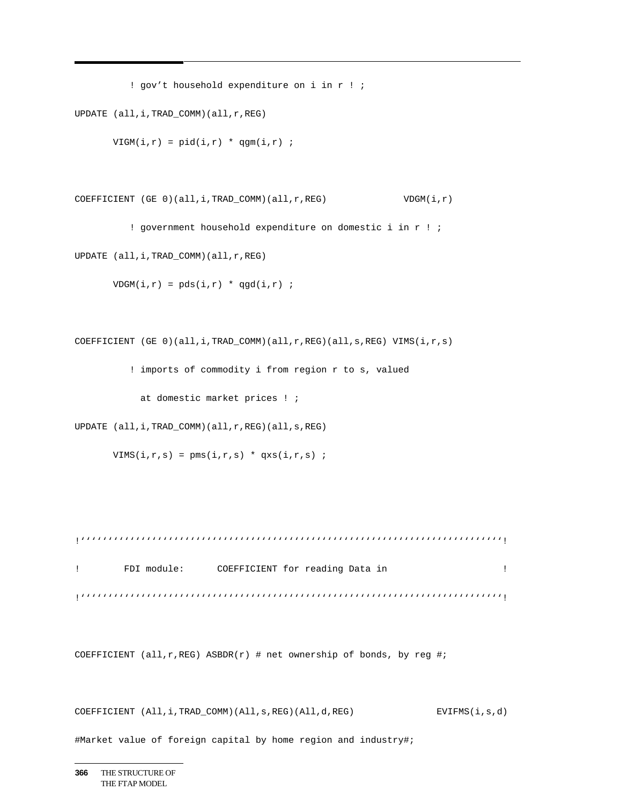```
UPDATE (all,i,TRAD_COMM)(all,r,REG)
      VIGM(i,r) = pid(i,r) * qqm(i,r) ;
COEFFICIENT (GE 0)(all, i, TRAD_COMM)(all, r, REG) VDGM(i, r) ! government household expenditure on domestic i in r ! ;
UPDATE (all,i,TRAD_COMM)(all,r,REG)
      VDGM(i,r) = pds(i,r) * qgd(i,r) ;
COEFFICIENT (GE 0)(all,i,TRAD_COMM)(all,r,REG)(all,s,REG) VIMS(i,r,s)
          ! imports of commodity i from region r to s, valued
            at domestic market prices ! ;
UPDATE (all,i,TRAD_COMM)(all,r,REG)(all,s,REG)
      VIMS(i, r, s) = pms(i, r, s) * qxs(i, r, s) ;
!'''''''''''''''''''''''''''''''''''''''''''''''''''''''''''''''''''''''''''''!
! FDI module: COEFFICIENT for reading Data in !
```
! gov't household expenditure on i in r ! ;

!'''''''''''''''''''''''''''''''''''''''''''''''''''''''''''''''''''''''''''''!

COEFFICIENT  $(all,r,REG)$  ASBDR(r) # net ownership of bonds, by reg #;

COEFFICIENT (All,i,TRAD\_COMM)(All,s,REG)(All,d,REG) EVIFMS(i,s,d)

#Market value of foreign capital by home region and industry#;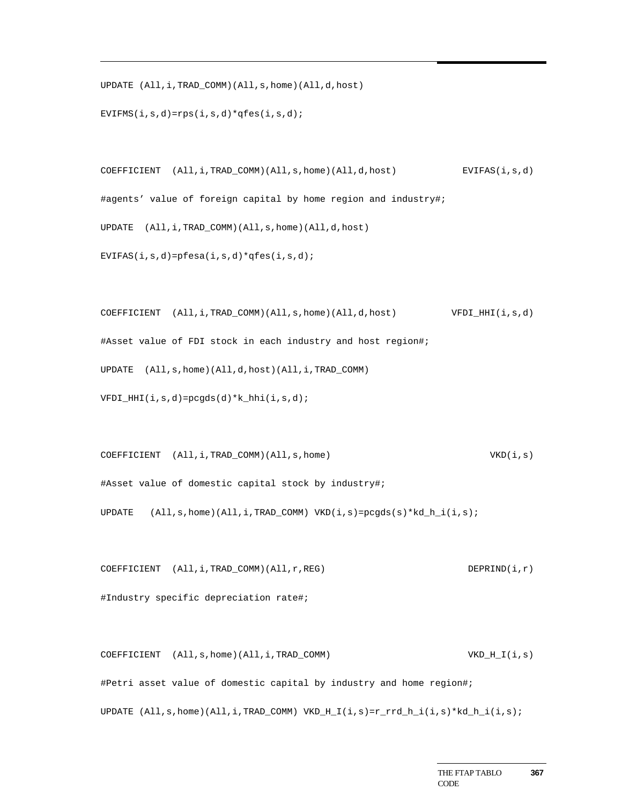```
UPDATE (All,i,TRAD_COMM)(All,s,home)(All,d,host)
```

```
EVIFMS(i,s,d)=rps(i,s,d)*qfes(i,s,d);
```

```
COEFFICIENT (All,i,TRAD_COMM)(All,s,home)(All,d,host) EVIFAS(i,s,d)
#agents' value of foreign capital by home region and industry#;
UPDATE (All,i,TRAD_COMM)(All,s,home)(All,d,host)
EVIFAS(i,s,d)=pfeas(i,s,d)*qfes(i,s,d);
```

```
COEFFICIENT (All,i,TRAD_COMM)(All,s,home)(All,d,host) VFDI_HHI(i,s,d)
#Asset value of FDI stock in each industry and host region#;
UPDATE (All,s,home)(All,d,host)(All,i,TRAD_COMM)
VFDI_HHI(i,s,d)=pcgds(d)*k_hhi(i,s,d);
```

```
COEFFICIENT (All, i, TRAD_COMM)(All, s, home) VKD(i, s)
#Asset value of domestic capital stock by industry#;
UPDATE (All, s, home) (All, i, TRAD_COMM) VKD(i, s) = pcgds(s)*kd_h_i(i, s);
```

```
COEFFICIENT (All, i, TRAD\_COMM)(All, r, REG) DEPRIND(i, r)#Industry specific depreciation rate#;
```

```
COEFFICIENT (All,s,home)(All,i,TRAD_COMM) VKD_H_I(i,s)
#Petri asset value of domestic capital by industry and home region#;
UPDATE (All, s, home) (All, i, TRAD\_COMM) VKD_H_l(i, s) = r_r r d_h_i(i, s) * k d_h_i(i, s);
```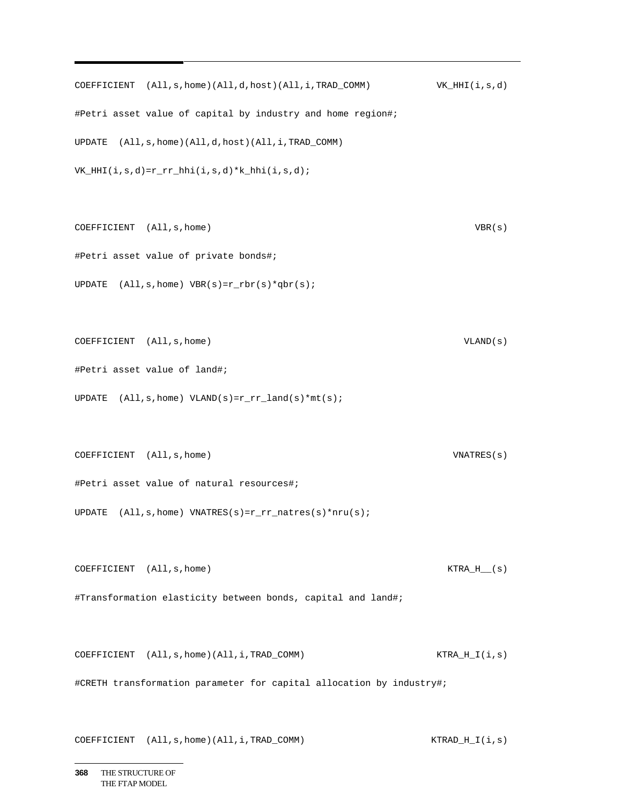```
COEFFICIENT (All,s,home)(All,d,host)(All,i,TRAD_COMM) VK_HHI(i,s,d)
#Petri asset value of capital by industry and home region#;
UPDATE (All,s,home)(All,d,host)(All,i,TRAD_COMM)
VK_HHI(i,s,d)=r\_rr_hhi(i,s,d)*k_hhi(i,s,d);COEFFICIENT (All, s, home) VBR(s)
#Petri asset value of private bonds#;
UPDATE (All, s, home) VBR(s) = r_rbr(s) * qbr(s);COEFFICIENT (All,s,home) VLAND(s)
#Petri asset value of land#;
UPDATE (All, s, home) VLAND(s)=r\_rr\_land(s)*mt(s);COEFFICIENT (All,s,home) VNATRES(s)
#Petri asset value of natural resources#;
UPDATE (All, s, home) VNATRES(s)=r_rr_natres(s)*nru(s);
COEFFICIENT (All, s, home) KTRA_H_(s)
#Transformation elasticity between bonds, capital and land#;
COEFFICIENT (All,s,home)(All,i,TRAD_COMM) KTRA_H_I(i,s)
#CRETH transformation parameter for capital allocation by industry#;
```
COEFFICIENT (All,s,home)(All,i,TRAD\_COMM) KTRAD\_H\_I(i,s)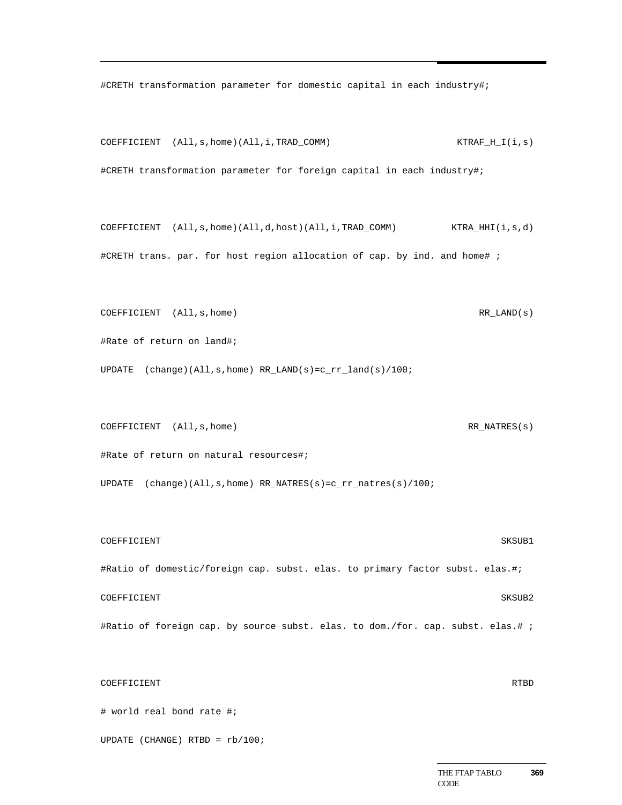#CRETH transformation parameter for domestic capital in each industry#;

COEFFICIENT (All,s,home)(All,i,TRAD\_COMM) KTRAF\_H\_I(i,s) #CRETH transformation parameter for foreign capital in each industry#;

COEFFICIENT  $(All, s, home) (All, d, host) (All, i, TRAD\_COMM)$  KTRA\_HHI $(i, s, d)$ #CRETH trans. par. for host region allocation of cap. by ind. and home# ;

COEFFICIENT (All, s, home) RR\_LAND(s)

#Rate of return on land#;

UPDATE (change)(All,s,home) RR\_LAND(s)=c\_rr\_land(s)/100;

COEFFICIENT (All, s, home) RR\_NATRES(s)

#Rate of return on natural resources#;

UPDATE (change)(All,s,home) RR\_NATRES(s)=c\_rr\_natres(s)/100;

COEFFICIENT SKSUB1 #Ratio of domestic/foreign cap. subst. elas. to primary factor subst. elas.#; COEFFICIENT SKSUB2 #Ratio of foreign cap. by source subst. elas. to dom./for. cap. subst. elas.# ;

COEFFICIENT **RTBD** 

# world real bond rate #;

UPDATE (CHANGE) RTBD = rb/100;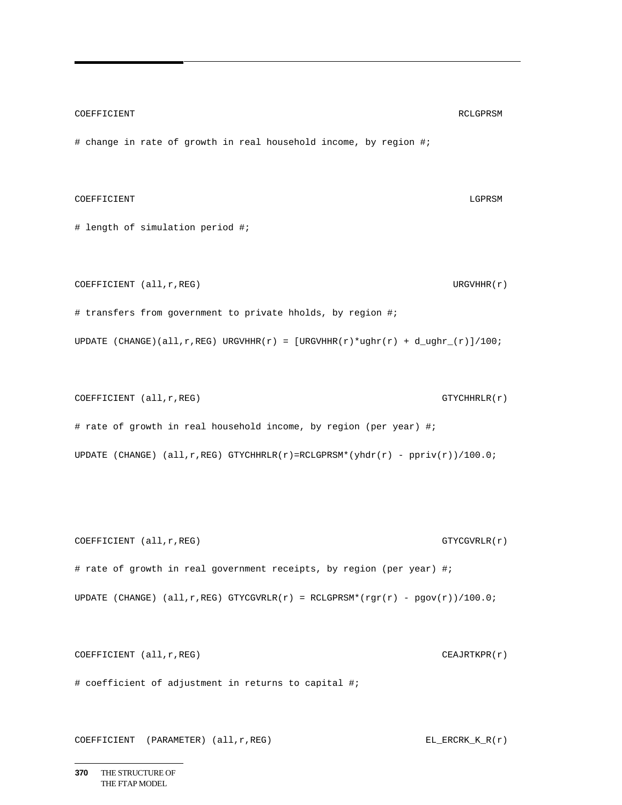```
COEFFICIENT RCLGPRSM
# change in rate of growth in real household income, by region #;
COEFFICIENT LGPRSM
# length of simulation period #;
COEFFICIENT (all, r, REG) URGVHHR(r)
# transfers from government to private hholds, by region #;
UPDATE (CHANGE)(all,r,REG) URGVHHR(r) = [URGVHHR(r)*ughr(r) + d_ughr(r)]/100;
COEFFICIENT (\text{all},r,\text{REG}) GTYCHHRLR(r)
# rate of growth in real household income, by region (per year) #;
UPDATE (CHANGE) (all,r,REG) GTYCHHRLR(r)=RCLGPRSM*(yhdr(r) - ppriv(r))/100.0;
COEFFICIENT (all, r, REG) GTYCGVRLR(r)# rate of growth in real government receipts, by region (per year) #;
UPDATE (CHANGE) (all,r,REG) GTYCGVRLR(r) = RCLGPRSM*(rgr(r) - pgov(r))/100.0;
COEFFICIENT (\text{all}, r, \text{REG}) (CEAJRTKPR(r)
# coefficient of adjustment in returns to capital #;
COEFFICIENT (PARAMETER) (all, r, REG) ellercrk_k_r(r)
```
**370** THE STRUCTURE OF THE FTAP MODEL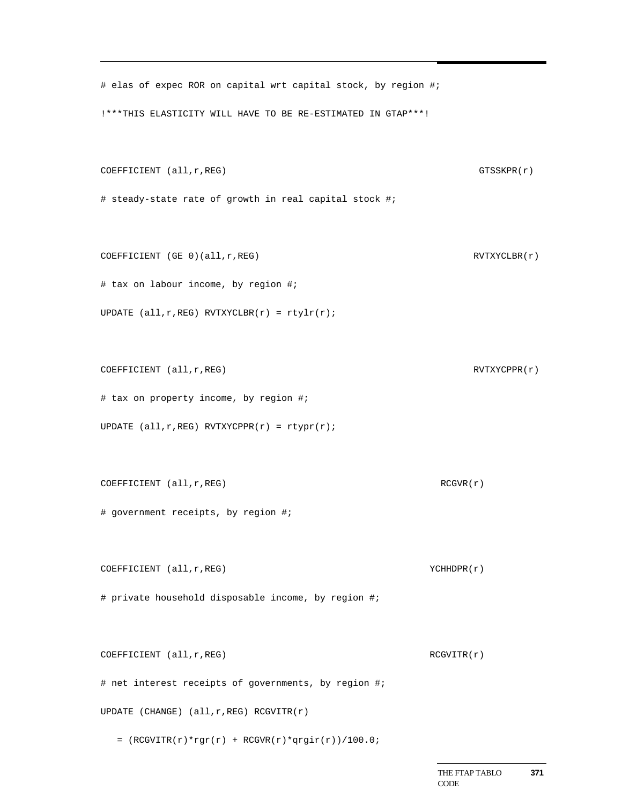```
# elas of expec ROR on capital wrt capital stock, by region #;
!***THIS ELASTICITY WILL HAVE TO BE RE-ESTIMATED IN GTAP***!
COEFFICIENT (all, r, REG) GTSSKPR(r)
# steady-state rate of growth in real capital stock #;
COEFFICIENT (GE 0)(all,r,REG) RVTXYCLBR(r)# tax on labour income, by region #;
UPDATE (all,r,REG) RVTXYCLBR(r) = rtylr(r);
COEFFICIENT (\text{all},r,\text{REG}) RVTXYCPPR(r)# tax on property income, by region #;
UPDATE (all,r,REG) RVTXYCPPR(r) = rtypr(r);COEFFICIENT (all,r,REG) RCGVR(r)
# government receipts, by region #;
COEFFICIENT (all,r,REG) YCHHDPR(r)
# private household disposable income, by region #;
COEFFICIENT (all,r,REG) RCGVITR(r)
# net interest receipts of governments, by region #;
UPDATE (CHANGE) (all,r,REG) RCGVITR(r)
```
 $= (RCGVITR(r)*rgr(r) + RCGVR(r)*qrgir(r))/100.0;$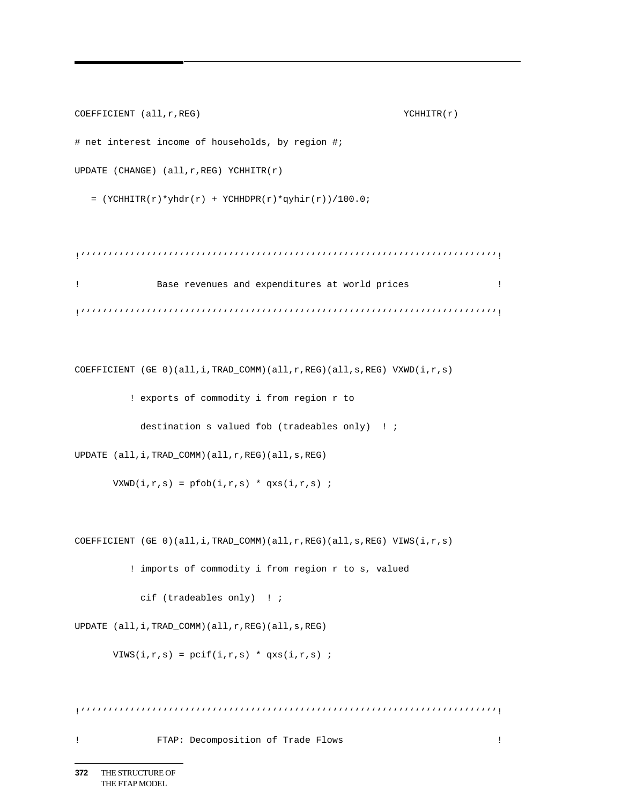```
COEFFICIENT (all,r,REG) YCHHITR(r)# net interest income of households, by region #;
UPDATE (CHANGE) (all,r,REG) YCHHITR(r)
  = (YCHHITR(r)*yhdr(r) + YCHHDPR(r)*qyhir(r))/100.0;
!''''''''''''''''''''''''''''''''''''''''''''''''''''''''''''''''''''''''''''!
! Base revenues and expenditures at world prices !
!''''''''''''''''''''''''''''''''''''''''''''''''''''''''''''''''''''''''''''!
COEFFICIENT (GE 0)(all,i,TRAD_COMM)(all,r,REG)(all,s,REG) VXWD(i,r,s)
          ! exports of commodity i from region r to
            destination s valued fob (tradeables only) ! ;
UPDATE (all,i,TRAD_COMM)(all,r,REG)(all,s,REG)
      VXWD(i,r,s) = pfob(i,r,s) * qxs(i,r,s) ;
COEFFICIENT (GE 0)(all,i,TRAD_COMM)(all,r,REG)(all,s,REG) VIWS(i,r,s)
          ! imports of commodity i from region r to s, valued
            cif (tradeables only) ! ;
UPDATE (all,i,TRAD_COMM)(all,r,REG)(all,s,REG)
      VIWS(i,r,s) = \text{pcif}(i,r,s) * \text{qxs}(i,r,s) ;
!''''''''''''''''''''''''''''''''''''''''''''''''''''''''''''''''''''''''''''!
```
! FTAP: Decomposition of Trade Flows !

```
372 THE STRUCTURE OF
     THE FTAP MODEL
```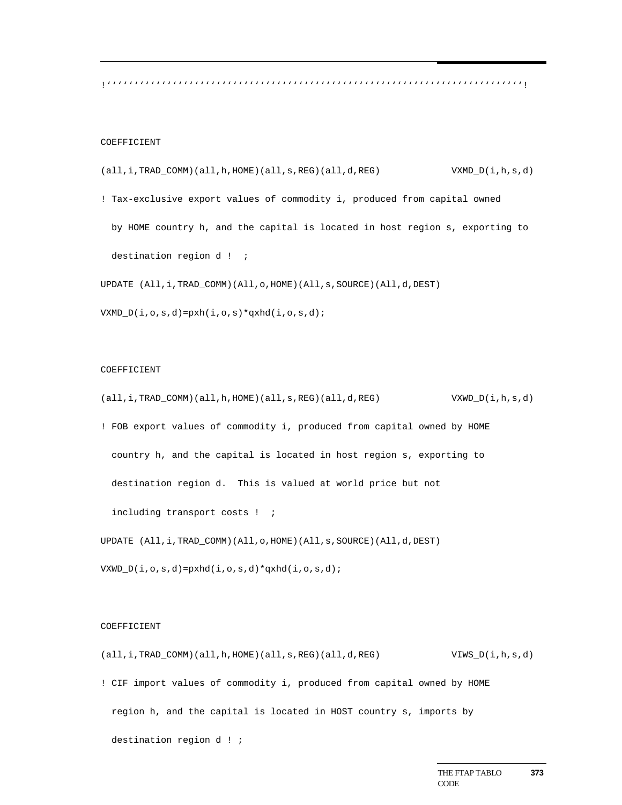!''''''''''''''''''''''''''''''''''''''''''''''''''''''''''''''''''''''''''''!

## COEFFICIENT

 $(all, i, TRAD_COMM)(all, h, HOME)(all, s, REG)(all, d, REG)$  VXMD\_ $D(i, h, s, d)$ ! Tax-exclusive export values of commodity i, produced from capital owned by HOME country h, and the capital is located in host region s, exporting to destination region d ! ;

UPDATE (All,i,TRAD\_COMM)(All,o,HOME)(All,s,SOURCE)(All,d,DEST)

 $VXMD_D(i, o, s, d) = pxh(i, o, s) * qxhd(i, o, s, d);$ 

## COEFFICIENT

 $(all, i, TRAD_COMM)(all, h, HOME)(all, s, REG)(all, d, REG)$  VXWD\_ $D(i, h, s, d)$ 

! FOB export values of commodity i, produced from capital owned by HOME country h, and the capital is located in host region s, exporting to destination region d. This is valued at world price but not

including transport costs ! ;

UPDATE (All,i,TRAD\_COMM)(All,o,HOME)(All,s,SOURCE)(All,d,DEST)

 $VXWD\_D(i, o, s, d) = pxhd(i, o, s, d) * qxhd(i, o, s, d);$ 

# COEFFICIENT

 $(all, i, TRAD_COMM)(all, h, HOME)(all, s, REG)(all, d, REG)$  VIWS\_ $D(i, h, s, d)$ 

! CIF import values of commodity i, produced from capital owned by HOME region h, and the capital is located in HOST country s, imports by destination region d ! ;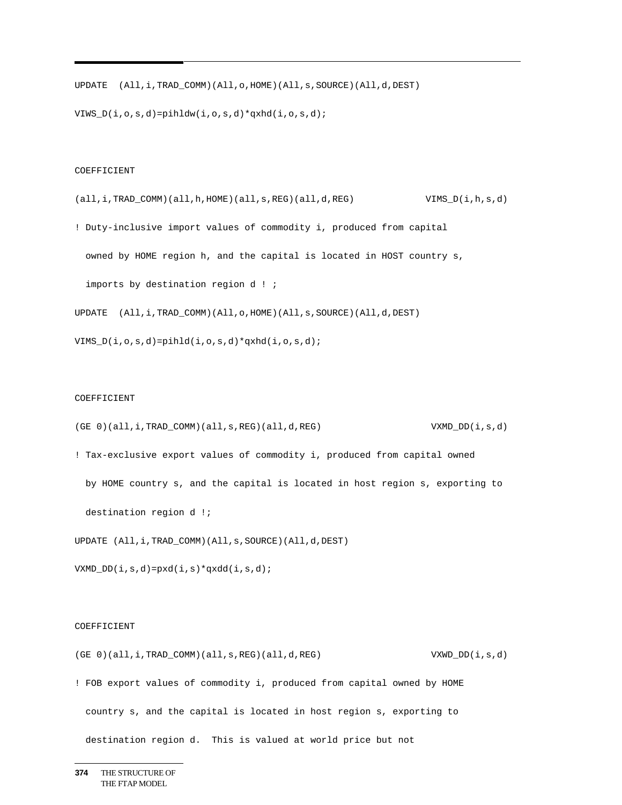UPDATE (All,i,TRAD\_COMM)(All,o,HOME)(All,s,SOURCE)(All,d,DEST)

VIWS\_D(i,o,s,d)=pihldw(i,o,s,d)\*qxhd(i,o,s,d);

## COEFFICIENT

```
(all, i, TRAD_COMM)(all, h, HOME)(all, s, REG)(all, d, REG) VIMS_D(i, h, s, d)! Duty-inclusive import values of commodity i, produced from capital
   owned by HOME region h, and the capital is located in HOST country s,
   imports by destination region d ! ;
UPDATE (All,i,TRAD_COMM)(All,o,HOME)(All,s,SOURCE)(All,d,DEST)
VIMS_D(i,o,s,d)=pihld(i,o,s,d)*qxhd(i,o,s,d);
```
# COEFFICIENT

(GE  $0$ )(all,i,TRAD\_COMM)(all,s,REG)(all,d,REG) vXMD\_DD(i,s,d)

! Tax-exclusive export values of commodity i, produced from capital owned by HOME country s, and the capital is located in host region s, exporting to destination region d !;

UPDATE (All,i,TRAD\_COMM)(All,s,SOURCE)(All,d,DEST)

VXMD\_DD $(i,s,d)$ =pxd $(i,s)*qxdd(i,s,d);$ 

## COEFFICIENT

 $(GE 0)(all,i,TRAD_COMM)(all,s,REG)(all,d,REG)$  VXWD\_DD $(i,s,d)$ 

! FOB export values of commodity i, produced from capital owned by HOME country s, and the capital is located in host region s, exporting to destination region d. This is valued at world price but not

**374** THE STRUCTURE OF THE FTAP MODEL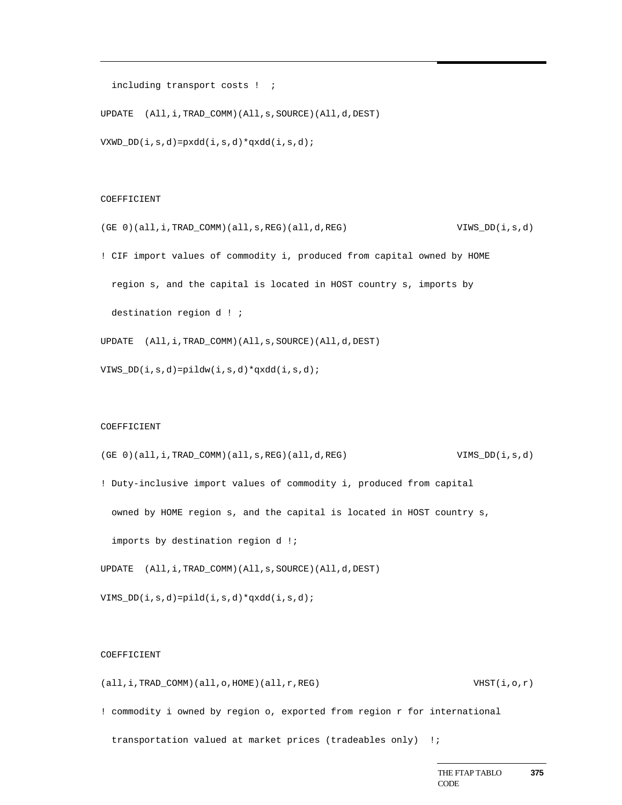```
 including transport costs ! ;
```
UPDATE (All,i,TRAD\_COMM)(All,s,SOURCE)(All,d,DEST)

```
VXWD DD(i,s,d)=pxdd(i,s,d)*qxdd(i,s,d);
```
## COEFFICIENT

```
(GE 0)(all,i,TRAD_COMM)(all,s,REG)(all,d,REG) VIWS_DD(i,s,d)
```
! CIF import values of commodity i, produced from capital owned by HOME region s, and the capital is located in HOST country s, imports by destination region d ! ;

UPDATE (All,i,TRAD\_COMM)(All,s,SOURCE)(All,d,DEST)

VIWS\_DD(i,s,d)=pildw(i,s,d)\*qxdd(i,s,d);

## COEFFICIENT

```
(GE 0)(all,i,TRAD_COMM)(all,s,REG)(all,d,REG) VIMS_DD(i,s,d)
```
! Duty-inclusive import values of commodity i, produced from capital

owned by HOME region s, and the capital is located in HOST country s,

imports by destination region d !;

UPDATE (All,i,TRAD\_COMM)(All,s,SOURCE)(All,d,DEST)

VIMS\_DD(i,s,d)=pild(i,s,d)\*qxdd(i,s,d);

## COEFFICIENT

(all,i,TRAD\_COMM)(all,o,HOME)(all,r,REG) VHST(i,o,r)

! commodity i owned by region o, exported from region r for international transportation valued at market prices (tradeables only) !;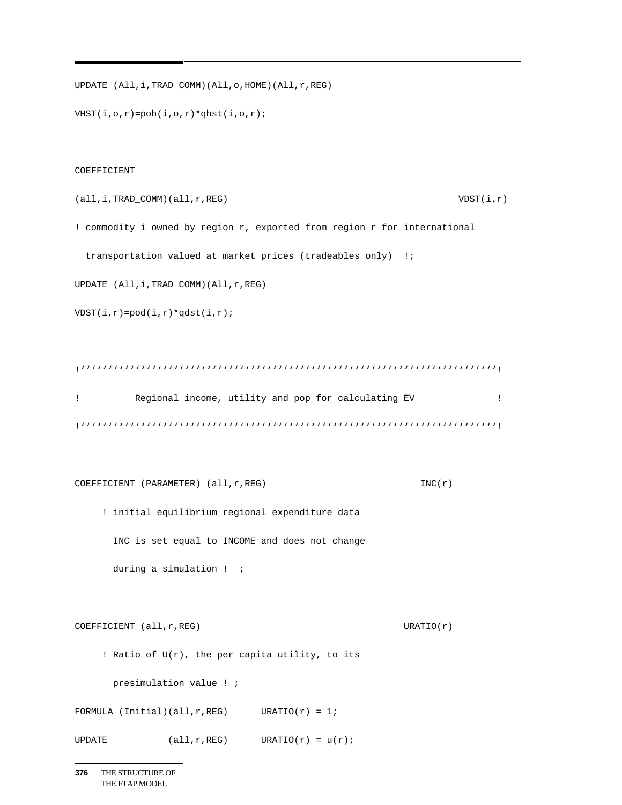```
UPDATE (All,i,TRAD_COMM)(All,o,HOME)(All,r,REG)
```

```
VHST(i, o, r) = poh(i, o, r) * qhst(i, o, r);
```
#### COEFFICIENT

```
(L, i, TRAD_COMM)(all, r, REG) VDST(i, r)! commodity i owned by region r, exported from region r for international
  transportation valued at market prices (tradeables only) !;
UPDATE (All,i,TRAD_COMM)(All,r,REG)
VDST(i,r)=pod(i,r)*qdst(i,r);!''''''''''''''''''''''''''''''''''''''''''''''''''''''''''''''''''''''''''''!
! Regional income, utility and pop for calculating EV !
!''''''''''''''''''''''''''''''''''''''''''''''''''''''''''''''''''''''''''''!
COEFFICIENT (PARAMETER) (all, r, REG) include INC(r) ! initial equilibrium regional expenditure data
       INC is set equal to INCOME and does not change
      during a simulation ! ;
COEFFICIENT (\text{all}, r, \text{REG}) ! Ratio of U(r), the per capita utility, to its
       presimulation value ! ;
FORMULA (Initial)(all,r,REG) URATIO(r) = 1;
```

```
UPDATE (all, r, REG) URATIO(r) = u(r);
```

```
376 THE STRUCTURE OF
     THE FTAP MODEL
```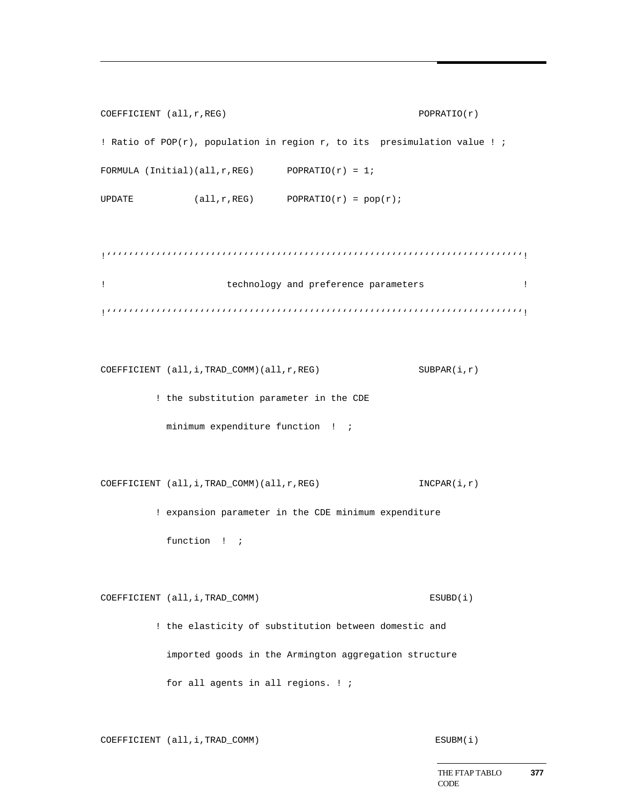```
COEFFICIENT (all, r, REG) POPRATIO(r)
! Ratio of POP(r), population in region r, to its presimulation value ! ;
FORMULA (Initial)(all,r,REG) POPRATIO(r) = 1;
UPDATE (all, r, REG) POPRATIO(r) = pop(r);
!''''''''''''''''''''''''''''''''''''''''''''''''''''''''''''''''''''''''''''!
! technology and preference parameters !
!''''''''''''''''''''''''''''''''''''''''''''''''''''''''''''''''''''''''''''!
COEFFICIENT (all,i,TRAD_COMM)(all,r,REG) SUBPAR(i,r) ! the substitution parameter in the CDE
          minimum expenditure function ! ;
COEFFICIENT (a11,i,TRAD\_COMM)(a11,r,REG) INCPAR(i,r) ! expansion parameter in the CDE minimum expenditure
           function ! ;
COEFFICIENT (all, i, TRAD_COMM) ESUBD(i)
         ! the elasticity of substitution between domestic and
           imported goods in the Armington aggregation structure
           for all agents in all regions. ! ;
```
COEFFICIENT (all, i, TRAD\_COMM) ESUBM(i)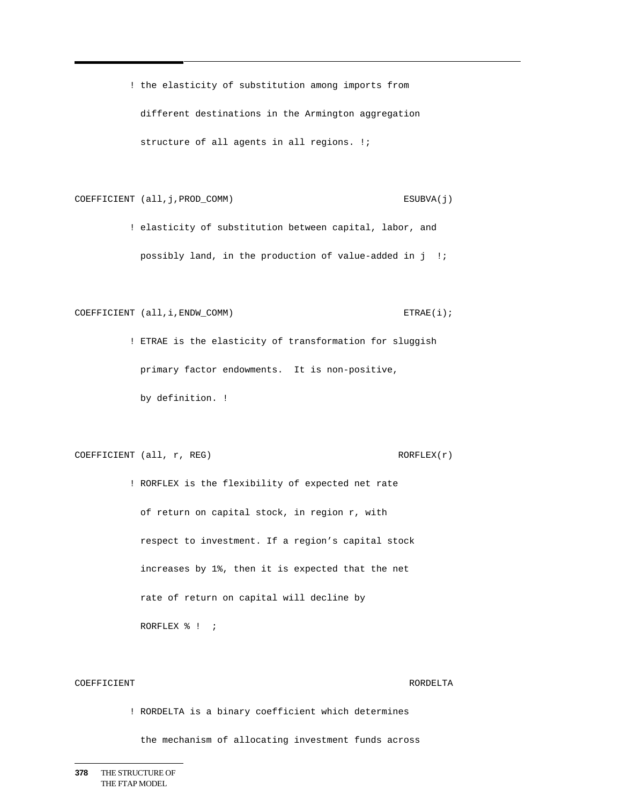! the elasticity of substitution among imports from different destinations in the Armington aggregation structure of all agents in all regions. !;

```
COEFFICIENT (all,j,PROD_COMM) ESUBVA(j)
```
 ! elasticity of substitution between capital, labor, and possibly land, in the production of value-added in j !;

```
COEFFICIENT (all, i, ENDW_COMM) ETRAE(i);
         ! ETRAE is the elasticity of transformation for sluggish
           primary factor endowments. It is non-positive,
```

```
COEFFICIENT (all, r, REG) RORFLEX(r)
```
by definition. !

 ! RORFLEX is the flexibility of expected net rate of return on capital stock, in region r, with respect to investment. If a region's capital stock increases by 1%, then it is expected that the net rate of return on capital will decline by RORFLEX % ! ;

# COEFFICIENT RORDELTA

! RORDELTA is a binary coefficient which determines

the mechanism of allocating investment funds across

**378** THE STRUCTURE OF THE FTAP MODEL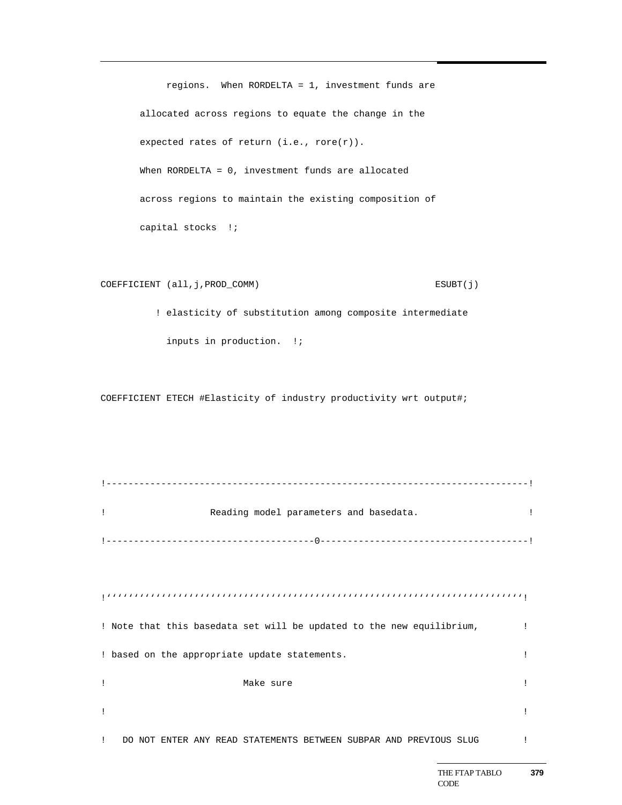regions. When RORDELTA = 1, investment funds are allocated across regions to equate the change in the expected rates of return (i.e., rore(r)). When RORDELTA = 0, investment funds are allocated across regions to maintain the existing composition of capital stocks !;

```
COEFFICIENT (all,j,PROD_COMM) ESUBT(j)
```
 ! elasticity of substitution among composite intermediate inputs in production. !;

COEFFICIENT ETECH #Elasticity of industry productivity wrt output#;

| Reading model parameters and basedata. |  |
|----------------------------------------|--|
| ______________________________         |  |

|              | ! Note that this basedata set will be updated to the new equilibrium, |  |
|--------------|-----------------------------------------------------------------------|--|
|              | ! based on the appropriate update statements.                         |  |
|              | Make sure                                                             |  |
|              |                                                                       |  |
| $\mathbf{I}$ | DO NOT ENTER ANY READ STATEMENTS BETWEEN SUBPAR AND PREVIOUS SLUG     |  |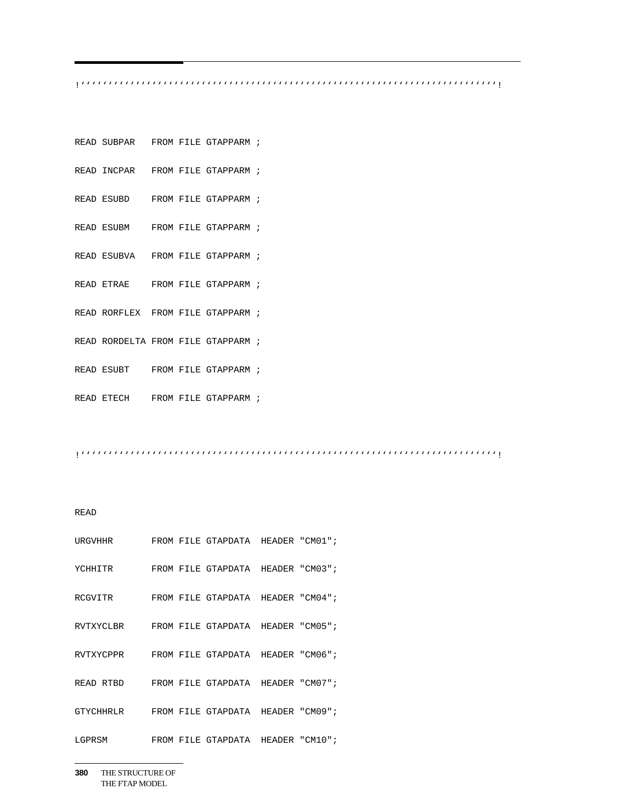**380** THE STRUCTURE OF THE FTAP MODEL

| YCHHITR                                     |  | FROM FILE GTAPDATA HEADER "CM03"; |  |
|---------------------------------------------|--|-----------------------------------|--|
| RCGVITR FROM FILE GTAPDATA HEADER "CM04";   |  |                                   |  |
| RVTXYCLBR FROM FILE GTAPDATA HEADER "CM05"; |  |                                   |  |
| RVTXYCPPR FROM FILE GTAPDATA HEADER "CM06"; |  |                                   |  |
| READ RTBD FROM FILE GTAPDATA HEADER "CM07"; |  |                                   |  |
| GTYCHHRLR FROM FILE GTAPDATA HEADER "CM09"; |  |                                   |  |
| LGPRSM                                      |  | FROM FILE GTAPDATA HEADER "CM10"; |  |

YCHHITR FROM FILE GTAPDATA HEADER "CM03";

URGVHHR FROM FILE GTAPDATA HEADER "CM01";

READ

!''''''''''''''''''''''''''''''''''''''''''''''''''''''''''''''''''''''''''''!

READ RORDELTA FROM FILE GTAPPARM ; READ ESUBT FROM FILE GTAPPARM ;

READ ETECH FROM FILE GTAPPARM ;

READ RORFLEX FROM FILE GTAPPARM ;

READ ETRAE FROM FILE GTAPPARM ;

READ ESUBVA FROM FILE GTAPPARM ;

READ ESUBM FROM FILE GTAPPARM ;

READ INCPAR FROM FILE GTAPPARM ; READ ESUBD FROM FILE GTAPPARM ;

READ SUBPAR FROM FILE GTAPPARM ;

!''''''''''''''''''''''''''''''''''''''''''''''''''''''''''''''''''''''''''''!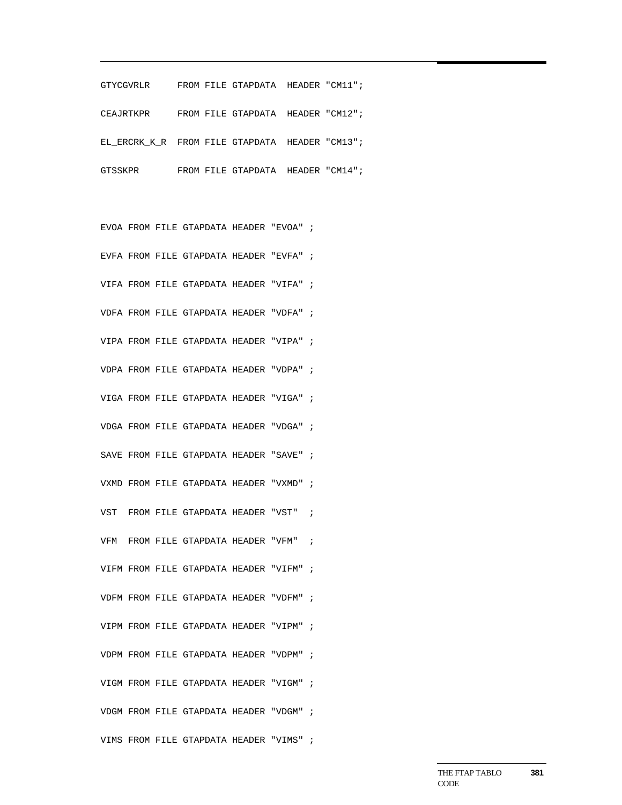GTYCGVRLR FROM FILE GTAPDATA HEADER "CM11"; CEAJRTKPR FROM FILE GTAPDATA HEADER "CM12"; EL ERCRK K R FROM FILE GTAPDATA HEADER "CM13"; GTSSKPR FROM FILE GTAPDATA HEADER "CM14";

EVOA FROM FILE GTAPDATA HEADER "EVOA" ; EVFA FROM FILE GTAPDATA HEADER "EVFA" ; VIFA FROM FILE GTAPDATA HEADER "VIFA" ; VDFA FROM FILE GTAPDATA HEADER "VDFA" ; VIPA FROM FILE GTAPDATA HEADER "VIPA" ; VDPA FROM FILE GTAPDATA HEADER "VDPA" ; VIGA FROM FILE GTAPDATA HEADER "VIGA" ; VDGA FROM FILE GTAPDATA HEADER "VDGA" ; SAVE FROM FILE GTAPDATA HEADER "SAVE" ; VXMD FROM FILE GTAPDATA HEADER "VXMD" ; VST FROM FILE GTAPDATA HEADER "VST" ; VFM FROM FILE GTAPDATA HEADER "VFM" ; VIFM FROM FILE GTAPDATA HEADER "VIFM" ; VDFM FROM FILE GTAPDATA HEADER "VDFM" ; VIPM FROM FILE GTAPDATA HEADER "VIPM" ; VDPM FROM FILE GTAPDATA HEADER "VDPM" ; VIGM FROM FILE GTAPDATA HEADER "VIGM" ; VDGM FROM FILE GTAPDATA HEADER "VDGM" ; VIMS FROM FILE GTAPDATA HEADER "VIMS" ;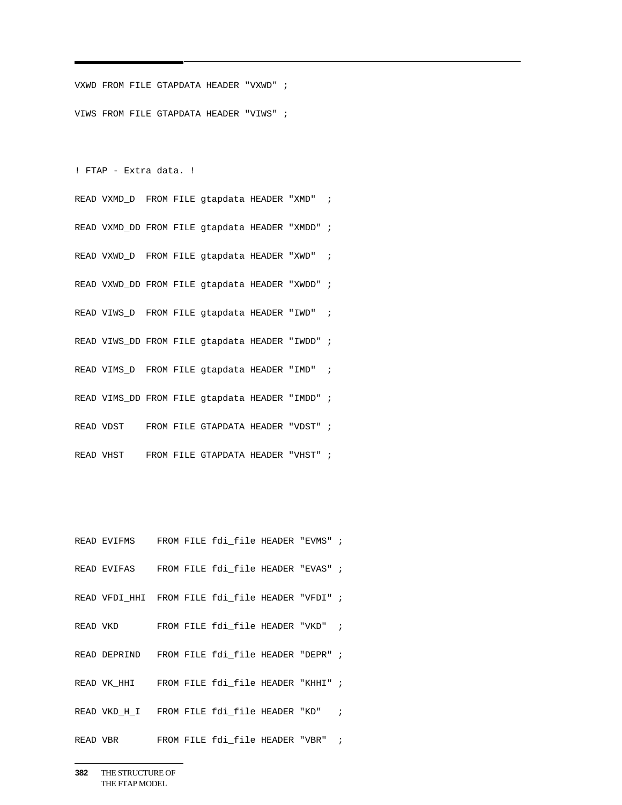```
VXWD FROM FILE GTAPDATA HEADER "VXWD" ;
VIWS FROM FILE GTAPDATA HEADER "VIWS" ;
```
! FTAP - Extra data. !

READ VXMD\_D FROM FILE gtapdata HEADER "XMD" ; READ VXMD\_DD FROM FILE gtapdata HEADER "XMDD" ; READ VXWD\_D FROM FILE gtapdata HEADER "XWD" ; READ VXWD\_DD FROM FILE gtapdata HEADER "XWDD" ; READ VIWS\_D FROM FILE gtapdata HEADER "IWD" ; READ VIWS\_DD FROM FILE gtapdata HEADER "IWDD" ; READ VIMS\_D FROM FILE gtapdata HEADER "IMD" ; READ VIMS\_DD FROM FILE gtapdata HEADER "IMDD" ; READ VDST FROM FILE GTAPDATA HEADER "VDST" ; READ VHST FROM FILE GTAPDATA HEADER "VHST" ;

READ EVIFMS FROM FILE fdi\_file HEADER "EVMS" ; READ EVIFAS FROM FILE fdi\_file HEADER "EVAS" ; READ VFDI\_HHI FROM FILE fdi\_file HEADER "VFDI" ; READ VKD FROM FILE fdi\_file HEADER "VKD" ; READ DEPRIND FROM FILE fdi\_file HEADER "DEPR" ; READ VK\_HHI FROM FILE fdi\_file HEADER "KHHI" ; READ VKD\_H\_I FROM FILE fdi\_file HEADER "KD" ; READ VBR FROM FILE fdi\_file HEADER "VBR" ;

**382** THE STRUCTURE OF THE FTAP MODEL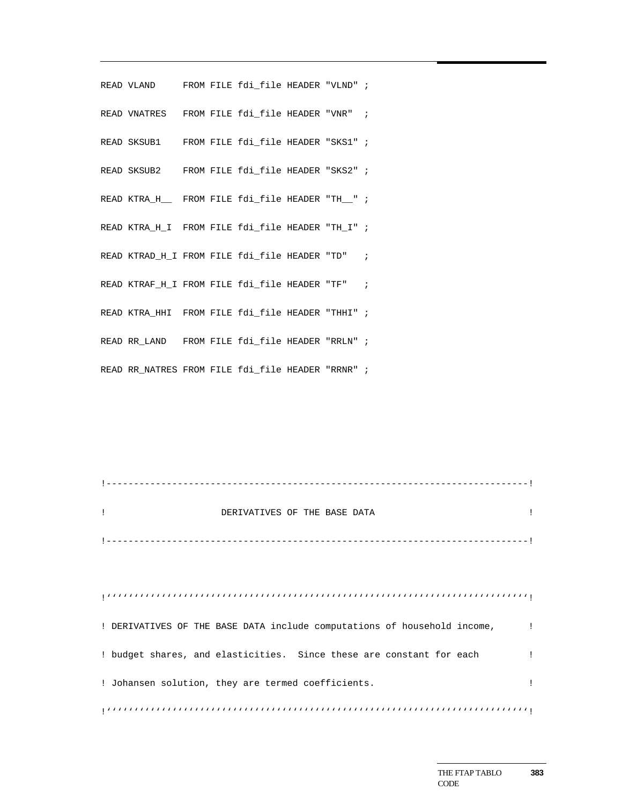READ VLAND FROM FILE fdi\_file HEADER "VLND" ; READ VNATRES FROM FILE fdi\_file HEADER "VNR" ; READ SKSUB1 FROM FILE fdi file HEADER "SKS1" ; READ SKSUB2 FROM FILE fdi\_file HEADER "SKS2" ; READ KTRA\_H\_\_ FROM FILE fdi\_file HEADER "TH\_\_" ; READ KTRA\_H\_I FROM FILE fdi\_file HEADER "TH\_I" ; READ KTRAD\_H\_I FROM FILE fdi\_file HEADER "TD" ; READ KTRAF\_H\_I FROM FILE fdi\_file HEADER "TF" ; READ KTRA\_HHI FROM FILE fdi\_file HEADER "THHI" ; READ RR\_LAND FROM FILE fdi\_file HEADER "RRLN" ; READ RR\_NATRES FROM FILE fdi\_file HEADER "RRNR" ;

!-----------------------------------------------------------------------------! ! DERIVATIVES OF THE BASE DATA ! !-----------------------------------------------------------------------------!

!'''''''''''''''''''''''''''''''''''''''''''''''''''''''''''''''''''''''''''''! ! DERIVATIVES OF THE BASE DATA include computations of household income,  $\qquad$  ! ! budget shares, and elasticities. Since these are constant for each ! ! Johansen solution, they are termed coefficients. ! !'''''''''''''''''''''''''''''''''''''''''''''''''''''''''''''''''''''''''''''!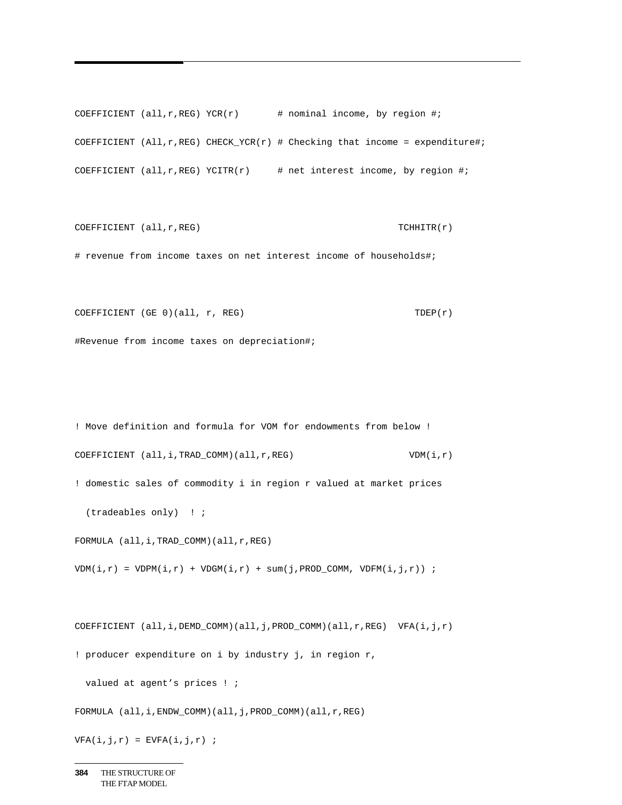```
COEFFICIENT (al, r, REG) YCR(r) # nominal income, by region #;
COEFFICIENT (All, r, REG) CHECK_YCR(r) # Checking that income = expenditure#;
COEFFICIENT (all,r,REG) YCITR(r) # net interest income, by region #;
```
 $COEFFICIENT (all, r, REG)$  TCHHITR(r)

# revenue from income taxes on net interest income of households#;

```
COEFFICIENT (GE 0)(all, r, REG) TDEP(r)
#Revenue from income taxes on depreciation#;
```

```
! Move definition and formula for VOM for endowments from below !
COEFFICIENT (all, i, TRAD_COMM)(all, r, REG) VDM(i, r)! domestic sales of commodity i in region r valued at market prices
  (tradeables only) ! ;
FORMULA (all,i,TRAD_COMM)(all,r,REG)
```
 $VDM(i, r) = VDPM(i, r) + VDGM(i, r) + sum(j, PROD_COMM, VDFM(i, j, r))$  ;

```
COEFFICIENT (all,i,DEMD_COMM)(all,j,PROD_COMM)(all,r,REG) VFA(i,j,r)
! producer expenditure on i by industry j, in region r,
  valued at agent's prices ! ;
FORMULA (all,i,ENDW_COMM)(all,j,PROD_COMM)(all,r,REG)
VFA(i,j,r) = EVFA(i,j,r) ;
```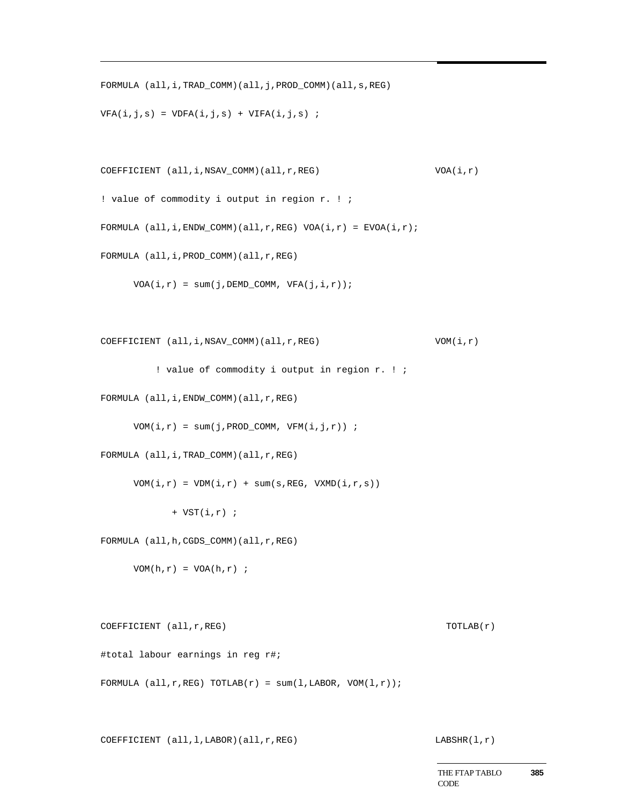```
FORMULA (all,i,TRAD_COMM)(all,j,PROD_COMM)(all,s,REG)
VFA(i,j,s) = VDFA(i,j,s) + VIFA(i,j,s);
```

```
COEFFICIENT (all, i, NSAV_COMM)(all, r, REG) VOA(i, r)! value of commodity i output in region r. ! ;
FORMULA (all,i,ENDW_COMM)(all,r,REG) VOA(i,r) = EVOA(i,r);
FORMULA (all,i,PROD_COMM)(all,r,REG)
     VOA(i,r) = sum(j, DEMD_COMM, VFA(j,i,r));COEFFICIENT (a11,i,NSAV\_COMM)(a11,r,REG) VOM(i,r) ! value of commodity i output in region r. ! ;
FORMULA (all,i,ENDW_COMM)(all,r,REG)
     VOM(i,r) = sum(j, PROD_COMM, VFM(i,j,r)) ;
FORMULA (all,i,TRAD_COMM)(all,r,REG)
     VOM(i,r) = VDM(i,r) + sum(s, REG, VXMD(i,r,s))
```

```
+ VST(i,r) ;
```
FORMULA (all,h,CGDS\_COMM)(all,r,REG)

 $VOM(h,r) = VOA(h,r)$  ;

COEFFICIENT  $(all,r,REG)$  TOTLAB(r)

#total labour earnings in reg r#;

FORMULA  $(all,r,REG)$  TOTLAB $(r)$  = sum $(l,LABOR, VOM(l,r));$ 

COEFFICIENT (all,l,LABOR)(all,r,REG) LABSHR(l,r)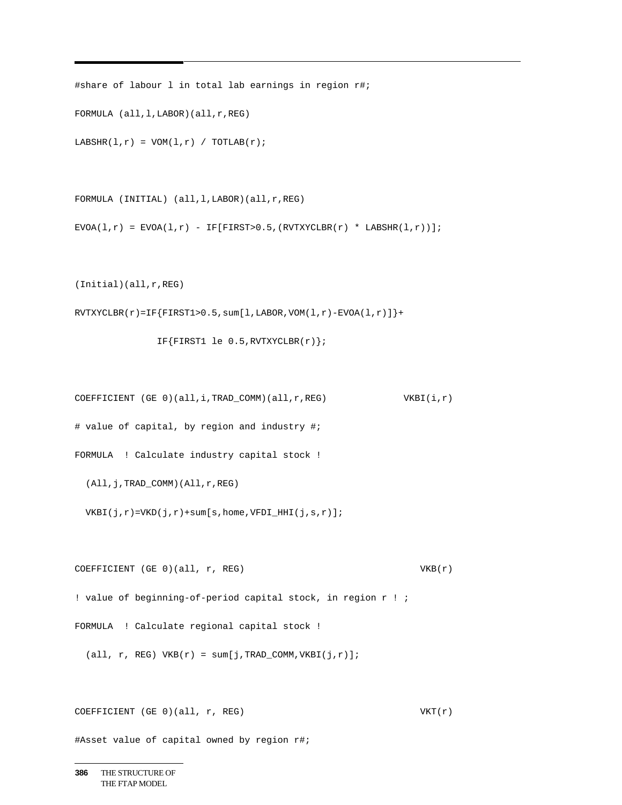```
#share of labour l in total lab earnings in region r#;
FORMULA (all,l,LABOR)(all,r,REG)
LABSHR(l,r) = VOM(l,r) / TOTLAB(r);
```
FORMULA (INITIAL) (all,l,LABOR)(all,r,REG)

 $EVOA(1,r) = EVOA(1,r) - IF[FIRST>0.5, (RVTXYZLBR(r) * LABSHR(1,r))]$ ;

(Initial)(all,r,REG)

```
RVTXYCLBR(r)=IF{FIRST1>0.5,sum[l,LABOR,VOM(l,r)-EVOA(l,r)]}+
```

```
IF{FIRST1 le 0.5, RVTXYCLBR(r) };
```
COEFFICIENT (GE 0)(all,i,TRAD\_COMM)(all, $r$ ,REG) VKBI(i, $r$ ) # value of capital, by region and industry #; FORMULA ! Calculate industry capital stock ! (All,j,TRAD\_COMM)(All,r,REG)  $VKBI(j,r)=VKD(j,r)+sum[s,home,VFDI_HHI(j,s,r)];$ 

```
COEFFICIENT (GE 0)(all, r, REG) VKB(r)! value of beginning-of-period capital stock, in region r ! ;
FORMULA ! Calculate regional capital stock !
 (all, r, REG) VKB(r) = sum[j,TRAD_COMM,VKBI(j,r)];
```
COEFFICIENT (GE  $0)(all, r, REG)$  VKT $(r)$ #Asset value of capital owned by region r#;

**386** THE STRUCTURE OF THE FTAP MODEL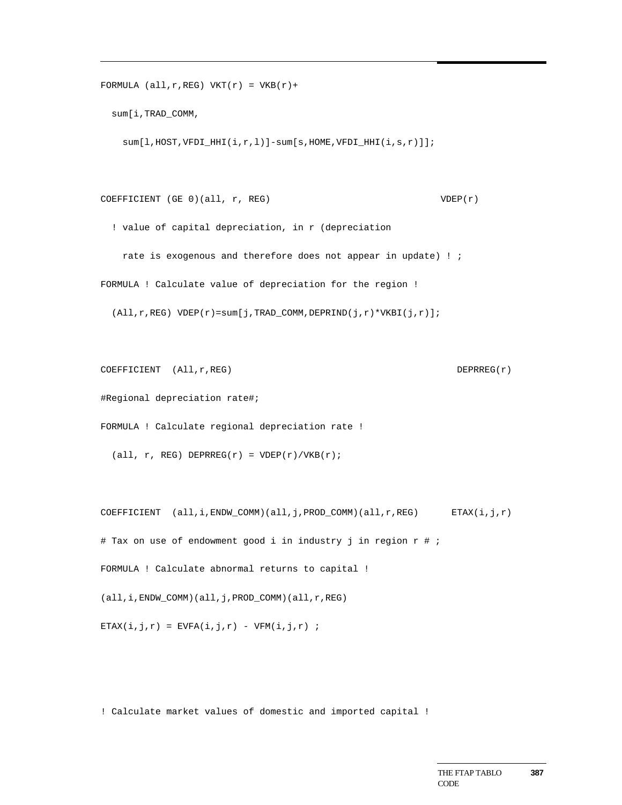```
FORMULA (all,r,REG) VKT(r) = VKB(r) +
```

```
 sum[i,TRAD_COMM,
```
 $sum[1, HOST, VFDI_HHI(i,r,1)]-sum[s, HOME, VFDI_HHI(i,s,r)]];$ 

```
COEFFICIENT (GE 0)(all, r, REG) VDEP(r)
```
rate is exogenous and therefore does not appear in update) ! ; FORMULA ! Calculate value of depreciation for the region !

! value of capital depreciation, in r (depreciation

 $(All,r,REG)$  VDEP(r)=sum[j,TRAD\_COMM,DEPRIND(j,r)\*VKBI(j,r)];

```
COEFFICIENT (Al1,r,REG)#Regional depreciation rate#;
FORMULA ! Calculate regional depreciation rate !
 (all, r, REG) DEPRREG(r) = VDEP(r)/VKB(r);
```

```
COEFFICIENT (all,i,ENDW_COMM)(all,j, PROD_COMM)(all,r,REG) ETAX(i,j,r)# Tax on use of endowment good i in industry j in region r # ;
FORMULA ! Calculate abnormal returns to capital !
(all,i,ENDW_COMM)(all,j,PROD_COMM)(all,r,REG)
```
! Calculate market values of domestic and imported capital !

 $ETAX(i,j,r) = EVFA(i,j,r) - VFM(i,j,r)$ ;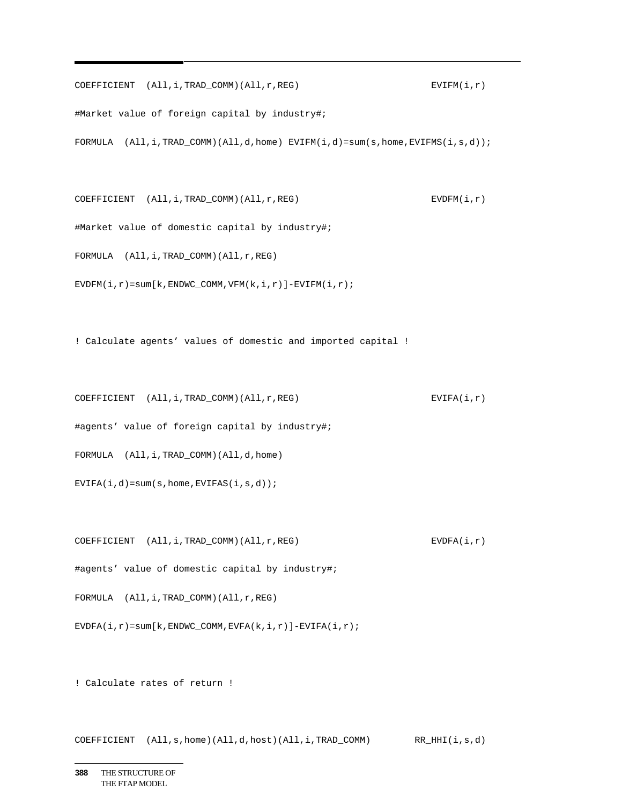```
COEFFICIENT (A11, i, TRAD_COMM) (A11, r, REG) EVIFM(i, r)#Market value of foreign capital by industry#;
FORMULA (All, i, TRAD COMM)(All, d, home) EVIFM(i,d)=sum(s, home, EVIFMS(i,s,d));
```

```
COEFFICIENT (All, i, TRAD\_COMM)(All, r, REG) EVDFM(i, r)
```
#Market value of domestic capital by industry#;

FORMULA (All, i, TRAD\_COMM)(All, r, REG)

 $EVDFM(i,r)=sum[k,ENDWC_COMM,VFM(k,i,r)]-EVIFM(i,r);$ 

! Calculate agents' values of domestic and imported capital !

COEFFICIENT  $(All, i, TRAD\_COMM)(All, r, REG)$  EVIFA $(i, r)$ 

#agents' value of foreign capital by industry#;

FORMULA (All,i,TRAD\_COMM)(All,d,home)

 $EVIFA(i,d)=sum(s,home,EVIFAS(i,s,d));$ 

```
COEFFICIENT (All, i, TRAD\_COMM)(All, r, REG) EVDFA(i, r)
```
#agents' value of domestic capital by industry#;

FORMULA (All, i, TRAD\_COMM)(All, r, REG)

 $EVDFA(i,r)=sum[k,ENDWC_COMM,EVFA(k,i,r)]-EVIFA(i,r);$ 

! Calculate rates of return !

COEFFICIENT (All,s,home)(All,d,host)(All,i,TRAD\_COMM) RR\_HHI(i,s,d)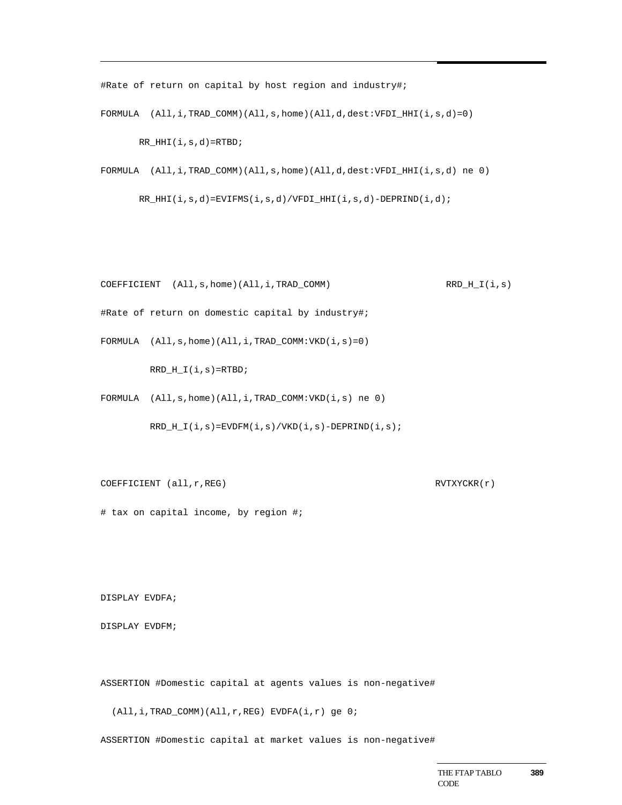#Rate of return on capital by host region and industry#;

FORMULA (All,i,TRAD\_COMM)(All,s,home)(All,d,dest:VFDI\_HHI(i,s,d)=0)

RR  $HHI(i,s,d)=RTBD;$ 

FORMULA (All,i,TRAD\_COMM)(All,s,home)(All,d,dest:VFDI\_HHI(i,s,d) ne 0)

RR\_HHI(i,s,d)=EVIFMS(i,s,d)/VFDI\_HHI(i,s,d)-DEPRIND(i,d);

COEFFICIENT (All,s,home)(All,i,TRAD\_COMM) RRD\_H\_I(i,s) #Rate of return on domestic capital by industry#; FORMULA (All,s,home)(All,i,TRAD\_COMM:VKD(i,s)=0)  $RRD_H_I(i,s)=RTBD;$ 

FORMULA (All,s,home)(All,i,TRAD\_COMM:VKD(i,s) ne 0)

 $RRD_H_I(i,s)=EVDFM(i,s)/VKD(i,s)-DEFIND(i,s);$ 

COEFFICIENT  $(all,r,REG)$  RVTXYCKR(r)

# tax on capital income, by region #;

DISPLAY EVDFA;

DISPLAY EVDFM;

ASSERTION #Domestic capital at agents values is non-negative#

(All,i,TRAD\_COMM)(All,r,REG) EVDFA(i,r) ge 0;

ASSERTION #Domestic capital at market values is non-negative#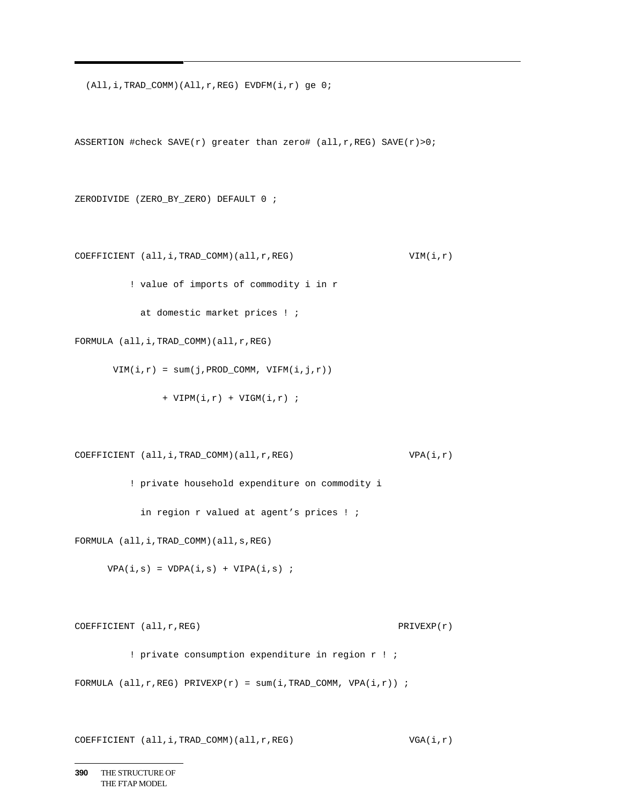```
ASSERTION #check SAVE(r) greater than zero# (all,r,REG) SAVE(r) > 0;ZERODIVIDE (ZERO_BY_ZERO) DEFAULT 0 ;
COEFFICIENT (all,i,TRAD\_COMM)(all,r,REG) VIM(i,r) ! value of imports of commodity i in r
           at domestic market prices ! ;
FORMULA (all,i,TRAD_COMM)(all,r,REG)
      VIM(i,r) = sum(j, PROD\_COMM, VIFM(i,j,r))+ VIPM(i,r) + VIGM(i,r) ;
COEFFICIENT (a11,i,TRAD_COMM)(a11,r,REG) VPA(i,r) ! private household expenditure on commodity i
           in region r valued at agent's prices ! ;
FORMULA (all,i,TRAD_COMM)(all,s,REG)
     VPA(i,s) = VDPA(i,s) + VIPA(i,s);
COEFFICIENT (\text{all}, r, \text{REG}) ! private consumption expenditure in region r ! ;
FORMULA (all,r,REG) PRIVEXP) = sum(i,TRAD_COMM, VPA(i,r)) ;
```
 $(All, i, TRAD$  COMM)(All,r,REG) EVDFM(i,r) ge 0;

COEFFICIENT  $(all, i, TRAD_COMM)$  $(all, r, REG)$  VGA $(i, r)$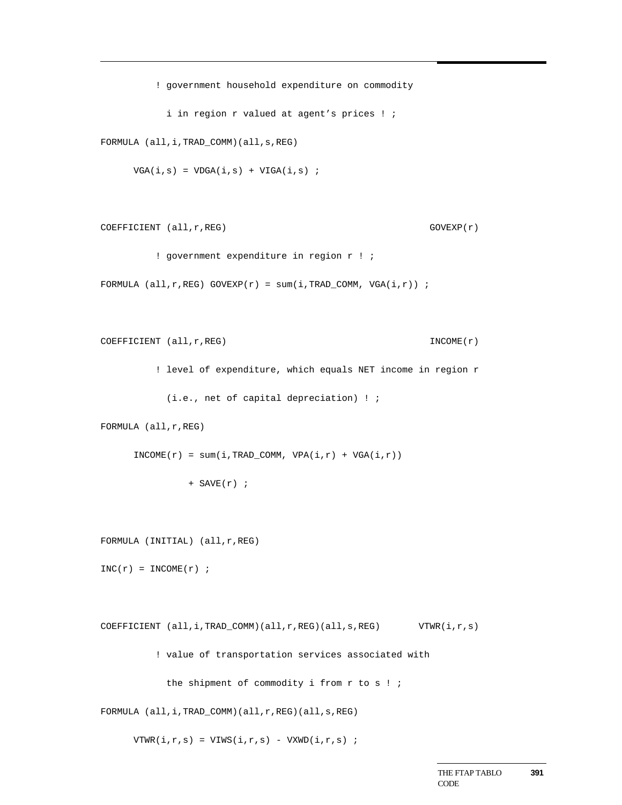```
 ! government household expenditure on commodity
```

```
i in region r valued at agent's prices ! ;
```
FORMULA (all,i,TRAD\_COMM)(all,s,REG)

 $VGA(i,s) = VDGA(i,s) + VIGA(i,s)$ ;

```
COEFFICIENT (all, r, REG) GOVEXP(r)
```
! government expenditure in region r ! ;

```
FORMULA (all,r,REG) GOVEXP(r) = sum(i,TRAD_COMM, VGA(i,r)) ;
```

```
COEFFICIENT (\text{all}, r, \text{REG}) INCOME(r)
```
! level of expenditure, which equals NET income in region r

(i.e., net of capital depreciation) ! ;

FORMULA (all,r,REG)

```
INCOME(r) = sum(i, TRAD_COMM, VPA(i,r) + VGA(i,r))
```
 $+$  SAVE $(r)$ ;

FORMULA (INITIAL) (all,r,REG)

 $INC(r) = INCOME(r)$  ;

```
COEFFICIENT (all,i,TRAD\_COMM)(all,r,REG)(all,s,REG) VTWR(i,r,s)
```
! value of transportation services associated with

the shipment of commodity i from r to s ! ;

FORMULA (all,i,TRAD\_COMM)(all,r,REG)(all,s,REG)

 $VTWR(i,r,s) = VIWS(i,r,s) - VXWD(i,r,s)$  ;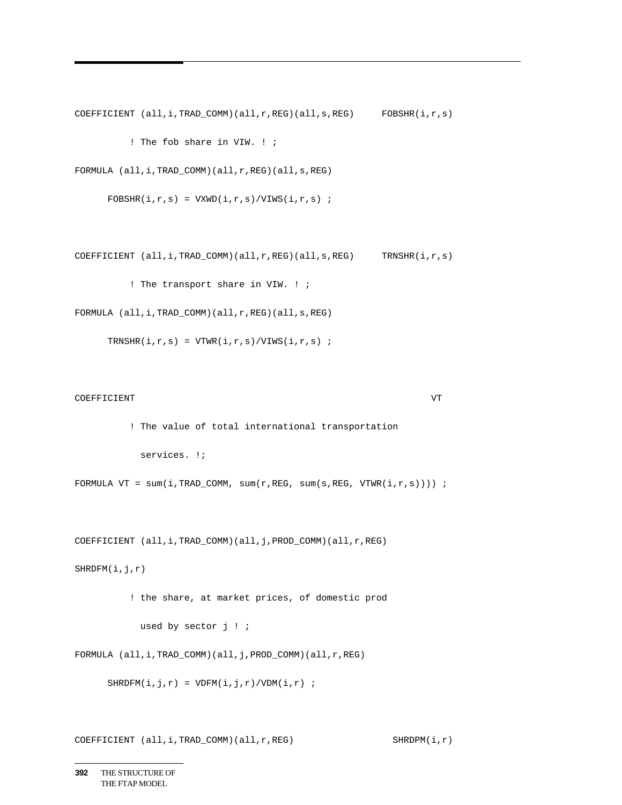```
COEFFICIENT (all,i,TRAD_COMM)(all,r,REG)(all,s,REG) FOBSHR(i,r,s) ! The fob share in VIW. ! ;
```

```
FOBSHR(i,r,s) = VXWD(i,r,s)/VINS(i,r,s) ;
```
FORMULA (all,i,TRAD\_COMM)(all,r,REG)(all,s,REG)

```
COEFFICIENT (all,i,TRAD_COMM)(all,r,REG)(all,s,REG) TRNSHR(i,r,s)
```
! The transport share in VIW. ! ;

FORMULA (all,i,TRAD\_COMM)(all,r,REG)(all,s,REG)

 $TRNSHR(i,r,s) = VTWR(i,r,s)/VINS(i,r,s)$  ;

```
COEFFICIENT VT
        ! The value of total international transportation
          services. !;
FORMULA VT = sum(i, TRAD_COMM, sum(r, REG, sum(s, REG, VTWR(i, r, s)))) ;
```

```
COEFFICIENT (all,i,TRAD_COMM)(all,j,PROD_COMM)(all,r,REG)
```

```
SHRDFM(i,j,r)
```
! the share, at market prices, of domestic prod

used by sector j ! ;

FORMULA (all,i,TRAD\_COMM)(all,j,PROD\_COMM)(all,r,REG)

 $SHRDFM(i,j,r) = VDFM(i,j,r)/VDM(i,r)$  ;

COEFFICIENT  $(all, i, TRAD_COMM)$  $(all, r, REG)$  SHRDPM $(i, r)$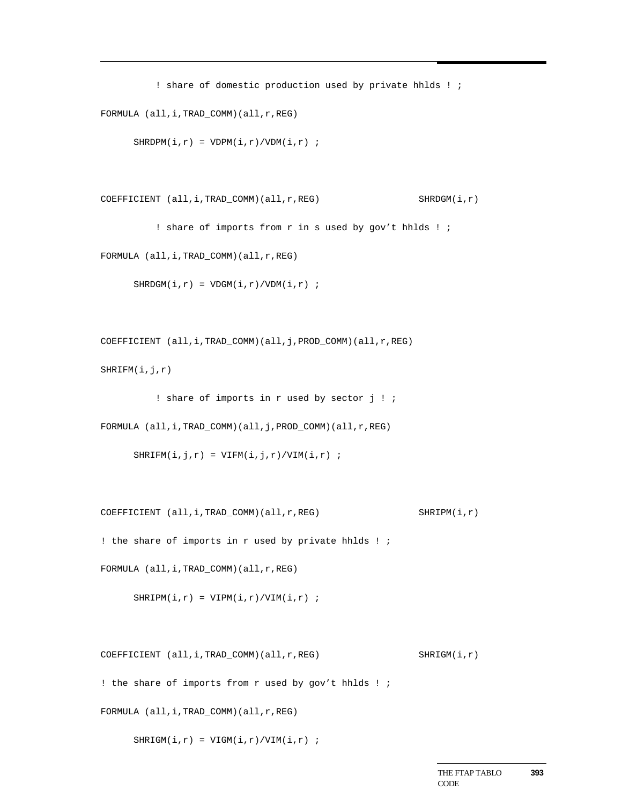```
 ! share of domestic production used by private hhlds ! ;
```

```
FORMULA (all,i,TRAD_COMM)(all,r,REG)
```

```
SHRDPM(i,r) = VDPM(i,r)/VDM(i,r) ;
```

```
COEFFICIENT (all,i,TRAD_COMM)(all,r,REG) SHRDGM(i,r)
```
! share of imports from r in s used by gov't hhlds ! ;

FORMULA (all,i,TRAD\_COMM)(all,r,REG)

 $SHRDGM(i,r) = VDGM(i,r)/VDM(i,r)$  ;

```
COEFFICIENT (all,i,TRAD_COMM)(all,j,PROD_COMM)(all,r,REG)
```
 $SHRIFM(i,j,r)$ 

! share of imports in r used by sector j ! ;

FORMULA (all,i,TRAD\_COMM)(all,j,PROD\_COMM)(all,r,REG)

 $SHRIFM(i,j,r) = VIFM(i,j,r)/VIM(i,r)$  ;

```
COEFFICIENT (all, i, TRAD_COMM)(all, r, REG) SHRIPM(i, r)! the share of imports in r used by private hhlds ! ;
```
FORMULA (all,i,TRAD\_COMM)(all,r,REG)

 $SHRIPM(i,r) = VIPM(i,r)/VIM(i,r)$  ;

COEFFICIENT  $(a11,i,TRAD\_COMM)(a11,r,REG)$  SHRIGM $(i,r)$ 

! the share of imports from r used by gov't hhlds ! ;

FORMULA (all,i,TRAD\_COMM)(all,r,REG)

 $SHRIGM(i,r) = VIGM(i,r)/VIM(i,r)$  ;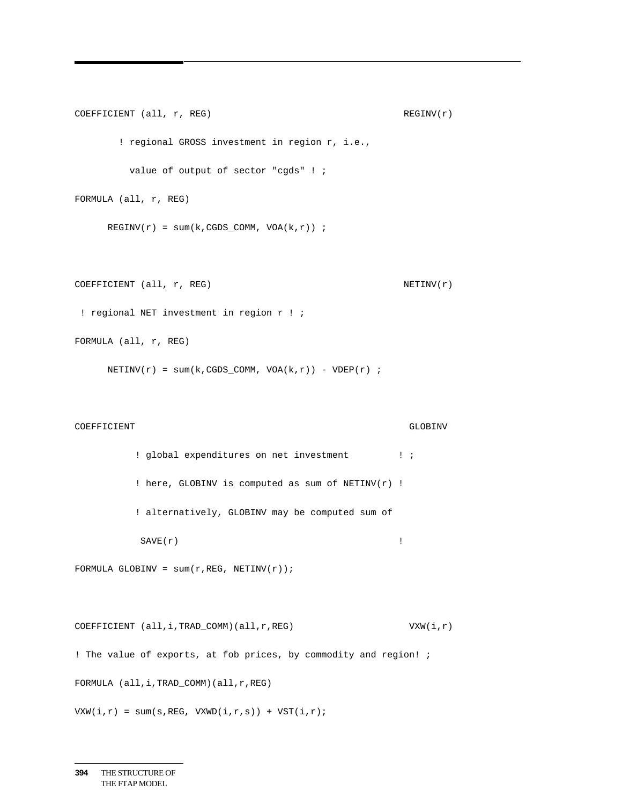```
COEFFICIENT (all, r, REG) REGINV(r)
       ! regional GROSS investment in region r, i.e.,
         value of output of sector "cgds" ! ;
FORMULA (all, r, REG)
    REGINV(r) = sum(k, CGDS_COMM, VOA(k, r)) ;
COEFFICIENT (all, r, REG) NETINV(r)
 ! regional NET investment in region r ! ;
FORMULA (all, r, REG)
    NETINV(r) = sum(k, CGDS_COMM, VOA(k,r)) - VDEF(r) ;
COEFFICIENT GLOBINV
         ! global expenditures on net investment ! :
          ! here, GLOBINV is computed as sum of NETINV(r) !
          ! alternatively, GLOBINV may be computed sum of
         SAVE(r) !
FORMULA GLOBINV = sum(r, REG, NETINV(r));COEFFICIENT (all,i,TRAD_COMM)(all,r,REG) VXW(i,r)! The value of exports, at fob prices, by commodity and region! ;
FORMULA (all,i,TRAD_COMM)(all,r,REG)
VXW(i,r) = sum(s, REG, VXWD(i,r,s)) + VST(i,r);
```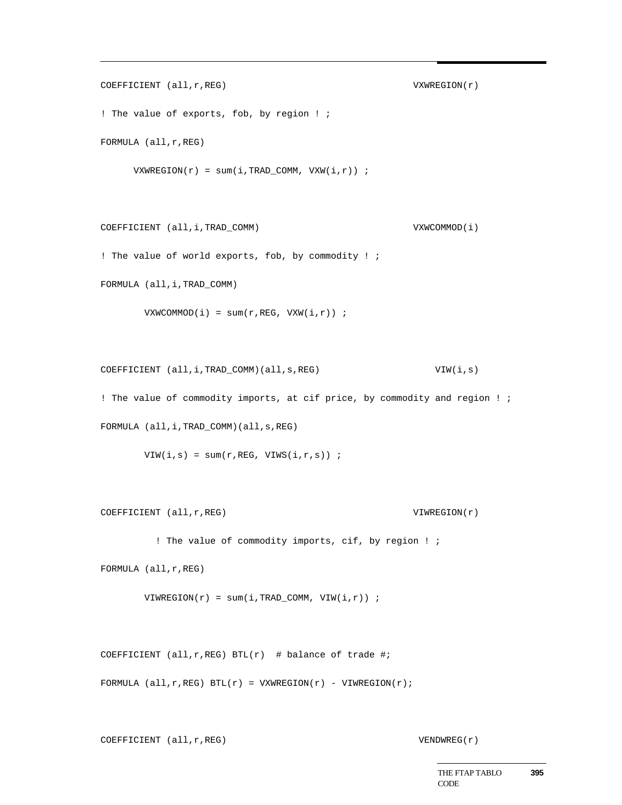```
COEFFICIENT (all, r, REG) VXWREGION(r)
! The value of exports, fob, by region ! ;
FORMULA (all,r,REG)
     VXWREGION(r) = sum(i, TRAD_COMM, VXW(i,r)) ;
COEFFICIENT (all,i,TRAD_COMM) VXWCOMMOD(i)
! The value of world exports, fob, by commodity ! ;
FORMULA (all,i,TRAD_COMM)
      VXWCOMMOD(i) = sum(r, REG, VXW(i,r)) ;
COEFFICIENT (all,i,TRAD_COMM)(all,s,REG) VIW(i,s)
! The value of commodity imports, at cif price, by commodity and region ! ;
FORMULA (all,i,TRAD_COMM)(all,s,REG)
      VIW(i,s) = sum(r, REG, VINS(i,r,s)) ;
COEFFICIENT (all, r, REG) VIWREGION(r)
         ! The value of commodity imports, cif, by region ! ;
FORMULA (all,r,REG)
      VIWREGION(r) = sum(i, TRAD_COMM, VIW(i, r)) ;
COEFFICIENT (all,r,REG) BTL(r) # balance of trade #;
```
COEFFICIENT (all, r, REG) VENDWREG(r)

FORMULA (all,r,REG) BTL(r) = VXWREGION(r) - VIWREGION(r);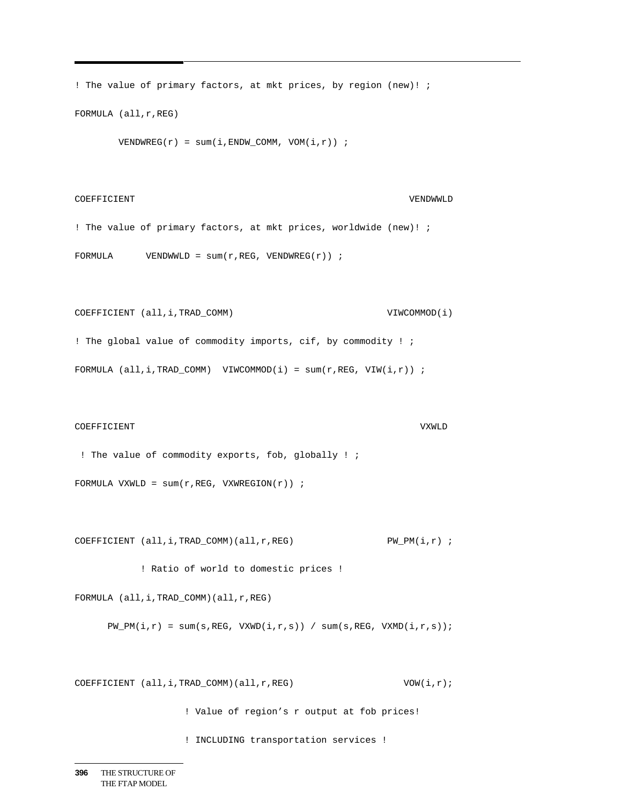! The value of primary factors, at mkt prices, by region (new)! ; FORMULA (all,r,REG)

 $VENDWREG(r) = sum(i, ENDW COMM, VOM(i,r))$  ;

#### COEFFICIENT VENDWWLD

! The value of primary factors, at mkt prices, worldwide (new)! ; FORMULA VENDWWLD =  $sum(r, REG, VENDWREG(r))$  ;

```
COEFFICIENT (all,i,TRAD_COMM) VIWCOMMOD(i)
! The global value of commodity imports, cif, by commodity ! ;
FORMULA (all,i,TRAD_COMM) VIWCOMMOD(i) = sum(r,REG, VIW(i,r)) ;
```
#### COEFFICIENT VXWLD

! The value of commodity exports, fob, globally ! ;

FORMULA VXWLD =  $sum(r, REG, VXWREGION(r))$  ;

```
COEFFICIENT (all, i, TRAD_COMM)(all, r, REG) PW_PM(i, r);
```
! Ratio of world to domestic prices !

FORMULA (all,i,TRAD\_COMM)(all,r,REG)

 $PW\_PM(i,r) = sum(s,REG, VXWD(i,r,s)) / sum(s,REG, VXMD(i,r,s))$ ;

COEFFICIENT  $(a11,i,TRAD_COMM)(a11,r,REG)$  VOW $(i,r);$ 

! Value of region's r output at fob prices!

! INCLUDING transportation services !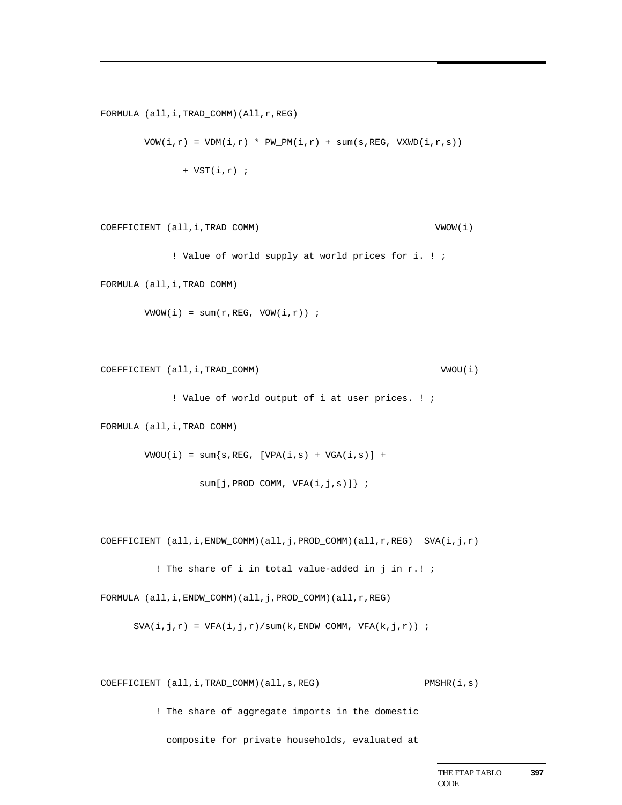```
FORMULA (all,i,TRAD_COMM)(All,r,REG)
```
 $VOW(i,r) = VDM(i,r) * PWPM(i,r) + sum(s,REG, VXWD(i,r,s))$ + VST(i,r) ;

COEFFICIENT (all,i,TRAD\_COMM) VWOW(i)

! Value of world supply at world prices for i. ! ;

FORMULA (all,i,TRAD\_COMM)

 $VWWW(i) = sum(r, REG, VOW(i, r))$  ;

COEFFICIENT (all,i,TRAD\_COMM) VWOU(i)

! Value of world output of i at user prices. ! ;

FORMULA (all,i,TRAD\_COMM)

 $VWOU(i) = sum{s, REG, [VPA(i,s) + VGA(i,s)] +$ 

 $sum[j, PROD_COMM, VFA(i,j,s)]$  ;

COEFFICIENT (all,i,ENDW\_COMM)(all,j,PROD\_COMM)(all,r,REG) SVA(i,j,r)

! The share of i in total value-added in j in r.! ;

FORMULA (all,i,ENDW\_COMM)(all,j,PROD\_COMM)(all,r,REG)

 $\texttt{SVA}(i,j,r) = \texttt{VFA}(i,j,r)/\texttt{sum}(k,\texttt{ENDW\_COMM}, \texttt{VFA}(k,j,r)) \text{ ; }$ 

COEFFICIENT (all,i,TRAD\_COMM)(all,s,REG) PMSHR(i,s)

 ! The share of aggregate imports in the domestic composite for private households, evaluated at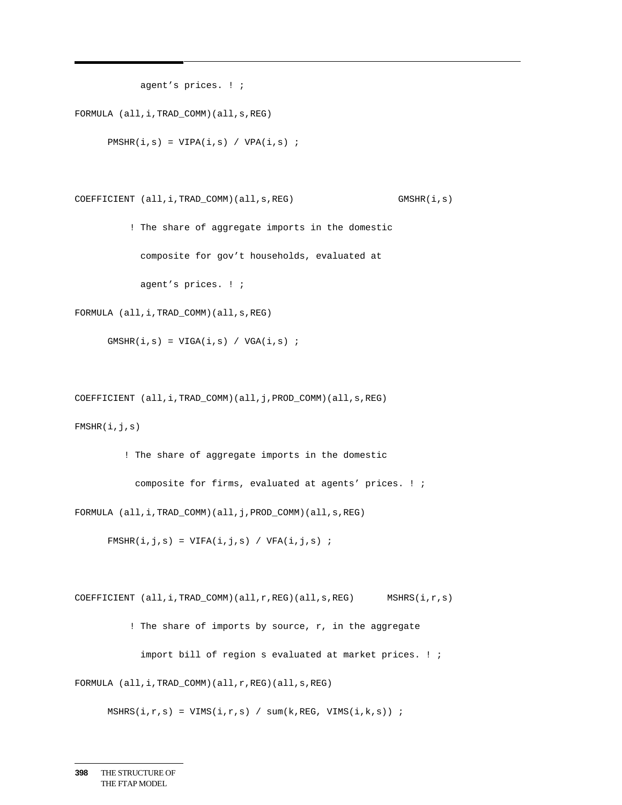```
 agent's prices. ! ;
```

```
FORMULA (all,i,TRAD_COMM)(all,s,REG)
```

```
PMSHR(i,s) = VIPA(i,s) / VPA(i,s)
```

```
COEFFICIENT (all,i,TRAD_COMM)(all,s,REG) GMSHR(i,s)
```
! The share of aggregate imports in the domestic

composite for gov't households, evaluated at

agent's prices. ! ;

```
FORMULA (all,i,TRAD_COMM)(all,s,REG)
```
 $GMSHR(i,s) = VIGA(i,s) / VGA(i,s)$ ;

```
COEFFICIENT (all,i,TRAD_COMM)(all,j,PROD_COMM)(all,s,REG)
```
 $FMSHR(i,j,s)$ 

! The share of aggregate imports in the domestic

composite for firms, evaluated at agents' prices. ! ;

FORMULA (all,i,TRAD\_COMM)(all,j,PROD\_COMM)(all,s,REG)

 $FMSHR(i,j,s) = VIFA(i,j,s) / VFA(i,j,s)$ ;

```
COEFFICIENT (all,i,TRAD_COMM)(all,r,REG)(all,s,REG) MSHRS(i,r,s)
```
! The share of imports by source, r, in the aggregate

import bill of region s evaluated at market prices. ! ;

FORMULA (all,i,TRAD\_COMM)(all,r,REG)(all,s,REG)

 $MSHRS(i,r,s) = VIMS(i,r,s) / sum(k, REG, VIMS(i,k,s))$  ;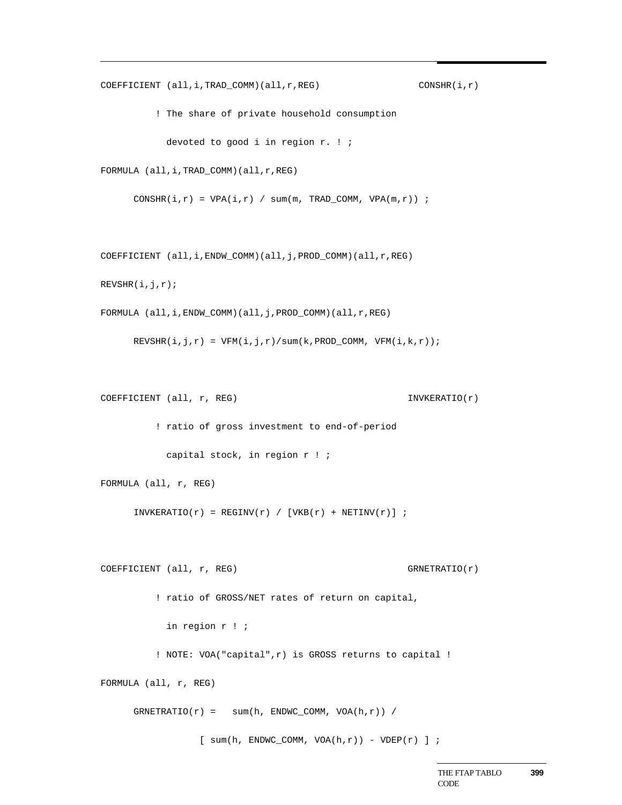```
COEFFICIENT (al, i, TRAD COMM)(all, r, REG) CONSHR(i, r) ! The share of private household consumption
            devoted to good i in region r. ! ;
FORMULA (all,i,TRAD_COMM)(all,r,REG)
     CONF(R(i, r) = VPA(i, r) / sum(m, TRAD_COMM, VPA(m, r)) ;
COEFFICIENT (all,i,ENDW_COMM)(all,j,PROD_COMM)(all,r,REG)
REVSHR(i,j,r);
FORMULA (all,i,ENDW_COMM)(all,j,PROD_COMM)(all,r,REG)
     REVSHR(i,j,r) = VFM(i,j,r)/sum(k,PROD_COMM, VFM(i,k,r));COEFFICIENT (all, r, REG) INVKERATIO(r)
          ! ratio of gross investment to end-of-period
           capital stock, in region r ! ;
FORMULA (all, r, REG)
     INVKERATIO(r) = REGINV(r) / [VKB(r) + NETWORK(r)] ;
COEFFICIENT (all, r, REG) GRNETRATIO(r)
          ! ratio of GROSS/NET rates of return on capital,
            in region r ! ;
          ! NOTE: VOA("capital",r) is GROSS returns to capital !
FORMULA (all, r, REG)
     GRNETRATIO(r) = sum(h, ENDWC\_COMM, VOA(h,r)) /
                 [ sum(h, ENDWC_COMM, VOA(h,r)) - VDEP(r) ] ;
```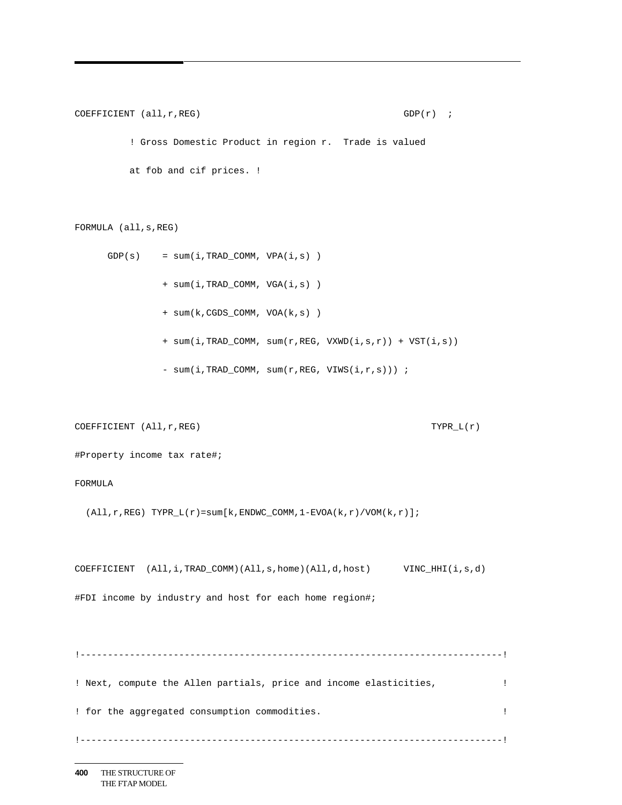```
COEFFICIENT (all, r, REG) GDP(r) ;
        ! Gross Domestic Product in region r. Trade is valued
        at fob and cif prices. !
```

```
FORMULA (all,s,REG)
```

```
\texttt{GDP(s)} \quad = \texttt{sum}(\texttt{i}, \texttt{TRAD\_COMM}, \texttt{VPA}(\texttt{i}, \texttt{s}) \enspace ) + sum(i,TRAD_COMM, VGA(i,s) )
               + sum(k,CGDS_COMM, VOA(k,s) )
               + sum(i,TRAD_COMM, sum(r,REG, VXWD(i,s,r)) + VST(i,s))
              - sum(i,TRAD_COMM, sum(r,REG, VIWS(i,r,s))) ;
```

```
COEFFICIENT (All, r, REG) TYPR L(r)
```
#Property income tax rate#;

# FORMULA

 $(A11, r, REG)$  TYPR $_L(r)$ =sum[k,ENDWC\_COMM,1-EVOA(k,r)/VOM(k,r)];

```
COEFFICIENT (All, i, TRAD\_COMM)(All, s, home)(All, d, host) VINC_HHI(i, s, d)
```
#FDI income by industry and host for each home region#;

```
!-----------------------------------------------------------------------------!
! Next, compute the Allen partials, price and income elasticities, \hspace{1.6cm} !
! for the aggregated consumption commodities. !
!-----------------------------------------------------------------------------!
```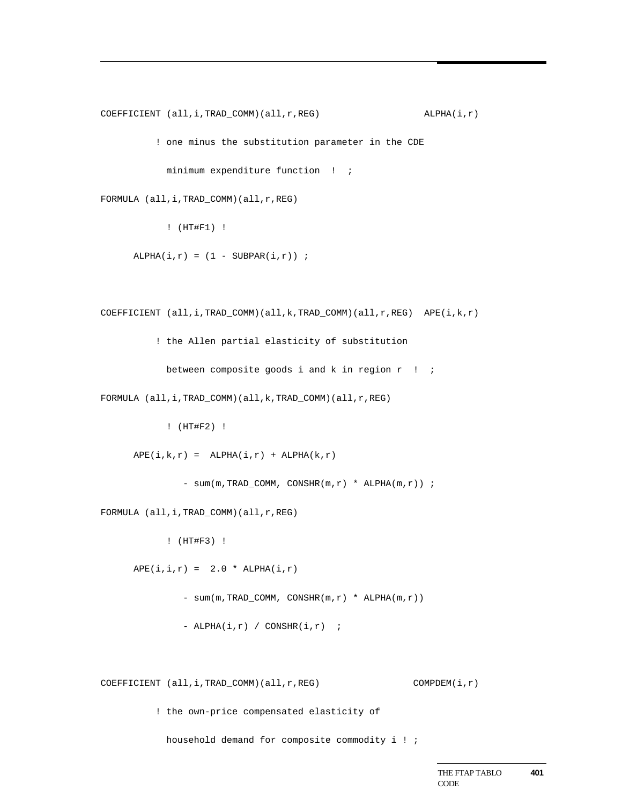```
COEFFICIENT (a11,i,TRAD\_COMM)(a11,r,REG) ALPHA(i,r) ! one minus the substitution parameter in the CDE
            minimum expenditure function ! ;
FORMULA (all,i,TRAD_COMM)(all,r,REG)
            ! (HT#F1) !
     ALPHA(i,r) = (1 - SUBPAR(i,r)) ;
COEFFICIENT (all,i,TRAD_COMM)(all,k,TRAD_COMM)(all,r,REG) APE(i,k,r)
          ! the Allen partial elasticity of substitution
           between composite goods i and k in region r ! ;
FORMULA (all,i,TRAD_COMM)(all,k,TRAD_COMM)(all,r,REG)
            ! (HT#F2) !
     APE(i, k, r) = ALPHA(i, r) + ALPHA(k, r)- sum(m,TRAD_COMM, CONSHR(m,r) * ALPHA(m,r)) ;
FORMULA (all,i,TRAD_COMM)(all,r,REG)
            ! (HT#F3) !
     APE(i,i,r) = 2.0 * ALPHA(i,r)- sum(m,TRAD_COMM, CONSHR(m,r) * ALPHA(m,r))
              - ALPHA(i,r) / CONSHR(i,r) ;
COEFFICIENT (all,i,TRAD\_COMM)(all,r,REG) COMPDEM(i,r) ! the own-price compensated elasticity of
            household demand for composite commodity i ! ;
```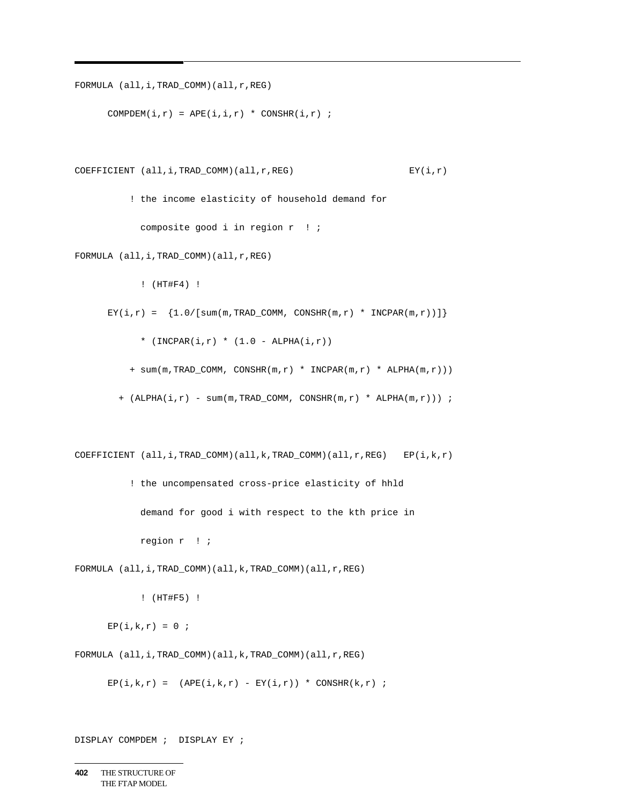```
FORMULA (all,i,TRAD_COMM)(all,r,REG)
     COMPDEM(i,r) = APE(i,i,r) * CONSHR(i,r) ;
COEFFICIENT (all, i, TRAD_COMM) (all, r, REG) EY(i, r) ! the income elasticity of household demand for
            composite good i in region r ! ;
FORMULA (all,i,TRAD_COMM)(all,r,REG)
             ! (HT#F4) !
     EY(i,r) = \{1.0/[sum(m,TRAD\_COMM, CONSHR(m,r) * INCPAR(m,r))] \}* (INCPAR(i, r) * (1.0 - ALPHA(i, r))) + sum(m,TRAD_COMM, CONSHR(m,r) * INCPAR(m,r) * ALPHA(m,r)))
        + (ALPHA(i, r) - sum(m, TRAD_COMM, CONSHR(m, r) * ALPHA(m, r))) ;
```

```
 ! the uncompensated cross-price elasticity of hhld
             demand for good i with respect to the kth price in
             region r ! ;
FORMULA (all,i,TRAD_COMM)(all,k,TRAD_COMM)(all,r,REG)
             ! (HT#F5) !
      EP(i,k,r) = 0 ;
```
COEFFICIENT (all,i,TRAD\_COMM)(all,k,TRAD\_COMM)(all,r,REG) EP(i,k,r)

```
FORMULA (all,i,TRAD_COMM)(all,k,TRAD_COMM)(all,r,REG)
```
 $\texttt{EP}(\texttt{i},\texttt{k},\texttt{r})\ =\ \texttt{(APE}(\texttt{i},\texttt{k},\texttt{r})\ -\ \texttt{EY}(\texttt{i},\texttt{r}))\ \texttt{\text{*}\ CONSHR}(\texttt{k},\texttt{r})\ \texttt{\text{;}}$ 

DISPLAY COMPDEM ; DISPLAY EY ;

**402** THE STRUCTURE OF THE FTAP MODEL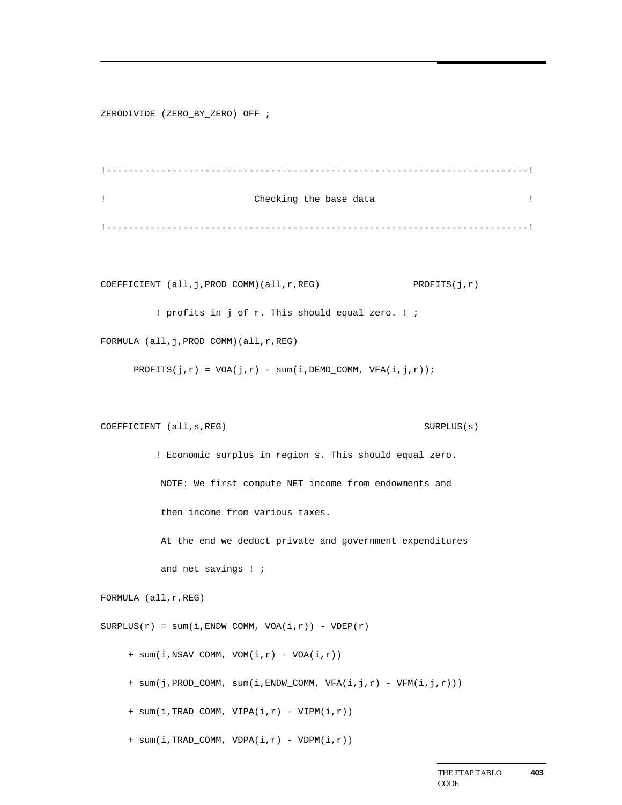ZERODIVIDE (ZERO\_BY\_ZERO) OFF ;

```
!-----------------------------------------------------------------------------!
! Checking the base data !
!-----------------------------------------------------------------------------!
```
COEFFICIENT  $(all,j,PROD\_COMM)(all,r,REG)$  PROFITS $(j,r)$ 

! profits in j of r. This should equal zero. ! ;

```
FORMULA (all,j,PROD_COMM)(all,r,REG)
```
PROFITS( $j,r$ ) = VOA( $j,r$ ) - sum( $i$ ,DEMD\_COMM, VFA( $i$ , $j,r$ ));

```
COEFFICIENT (all, s, REG) SURPLUS(s)
          ! Economic surplus in region s. This should equal zero.
           NOTE: We first compute NET income from endowments and
           then income from various taxes.
           At the end we deduct private and government expenditures
           and net savings ! ;
FORMULA (all,r,REG)
SURPLUS(r) = sum(i, ENDW_COMM, VOA(i, r)) - VDEP(r)+ sum(i,NSAV\_COMM, VOM(i,r) - VOA(i,r))+ sum(j, PROD_COMM, sum(i, ENDW_COMM, VFA(i,j,r) - VFM(i,j,r)))) + sum(i,TRAD_COMM, VIPA(i,r) - VIPM(i,r))
     + sum(i, TRAD_COMM, VDPA(i, r) - VDPM(i, r))
```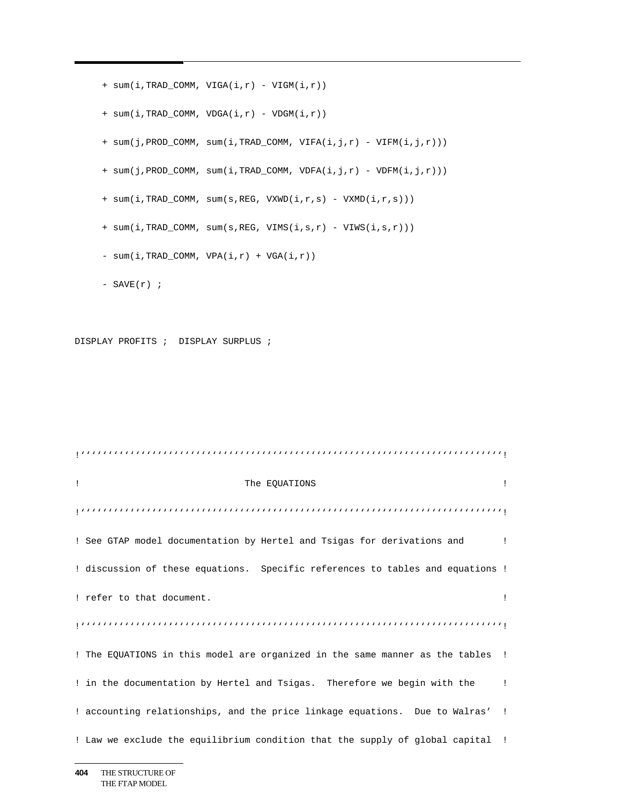```
 + sum(i,TRAD_COMM, VIGA(i,r) - VIGM(i,r))
```
- + sum(i,TRAD\_COMM, VDGA(i,r) VDGM(i,r))
- + sum(j,PROD\_COMM, sum(i,TRAD\_COMM, VIFA(i,j,r) VIFM(i,j,r)))
- + sum(j,PROD\_COMM, sum(i,TRAD\_COMM, VDFA(i,j,r) VDFM(i,j,r)))
- + sum(i,TRAD\_COMM, sum(s,REG, VXWD(i,r,s) VXMD(i,r,s)))
- + sum(i,TRAD\_COMM, sum(s,REG, VIMS(i,s,r) VIWS(i,s,r)))
- $sum(i,TRAD_COMM, VPA(i,r) + VGA(i,r))$

 $-$  SAVE(r) ;

```
DISPLAY PROFITS ; DISPLAY SURPLUS ;
```

| $\perp$ | The EOUATIONS                                                                           | Τ. |
|---------|-----------------------------------------------------------------------------------------|----|
|         | .<br>.<br>.<br>.                                                                        |    |
|         | $\sim$ $  1$<br>! See GTAP model documentation by Hertel and Tsigas for derivations and |    |
|         | ! discussion of these equations. Specific references to tables and equations !          |    |
|         | ! refer to that document.                                                               | T  |
|         |                                                                                         |    |
|         | ! The EQUATIONS in this model are organized in the same manner as the tables !          |    |
|         | ! in the documentation by Hertel and Tsigas. Therefore we begin with the !              |    |
|         | ! accounting relationships, and the price linkage equations. Due to Walras' !           |    |
|         | ! Law we exclude the equilibrium condition that the supply of global capital !          |    |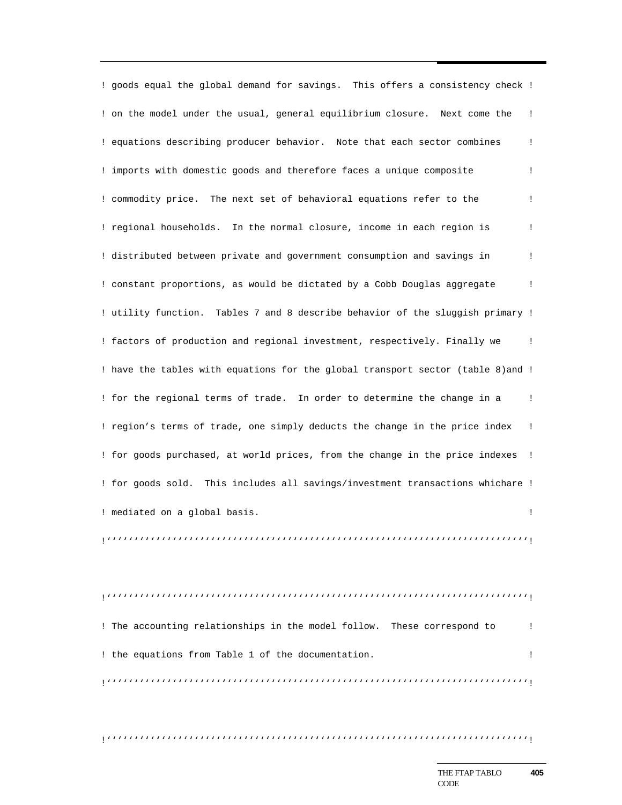! goods equal the global demand for savings. This offers a consistency check ! ! on the model under the usual, general equilibrium closure. Next come the ! ! equations describing producer behavior. Note that each sector combines ! ! imports with domestic goods and therefore faces a unique composite ! ! commodity price. The next set of behavioral equations refer to the  $\qquad$  ! ! regional households. In the normal closure, income in each region is  $\qquad$  ! ! distributed between private and government consumption and savings in  $\qquad$  ! ! constant proportions, as would be dictated by a Cobb Douglas aggregate ! ! utility function. Tables 7 and 8 describe behavior of the sluggish primary ! ! factors of production and regional investment, respectively. Finally we ! ! have the tables with equations for the global transport sector (table 8)and ! ! for the regional terms of trade. In order to determine the change in a ! ! region's terms of trade, one simply deducts the change in the price index ! ! for goods purchased, at world prices, from the change in the price indexes ! ! for goods sold. This includes all savings/investment transactions whichare ! ! mediated on a global basis. ! !'''''''''''''''''''''''''''''''''''''''''''''''''''''''''''''''''''''''''''''!

!'''''''''''''''''''''''''''''''''''''''''''''''''''''''''''''''''''''''''''''! ! The accounting relationships in the model follow. These correspond to ! ! the equations from Table 1 of the documentation.  $\qquad \qquad$  ! !'''''''''''''''''''''''''''''''''''''''''''''''''''''''''''''''''''''''''''''!

!'''''''''''''''''''''''''''''''''''''''''''''''''''''''''''''''''''''''''''''!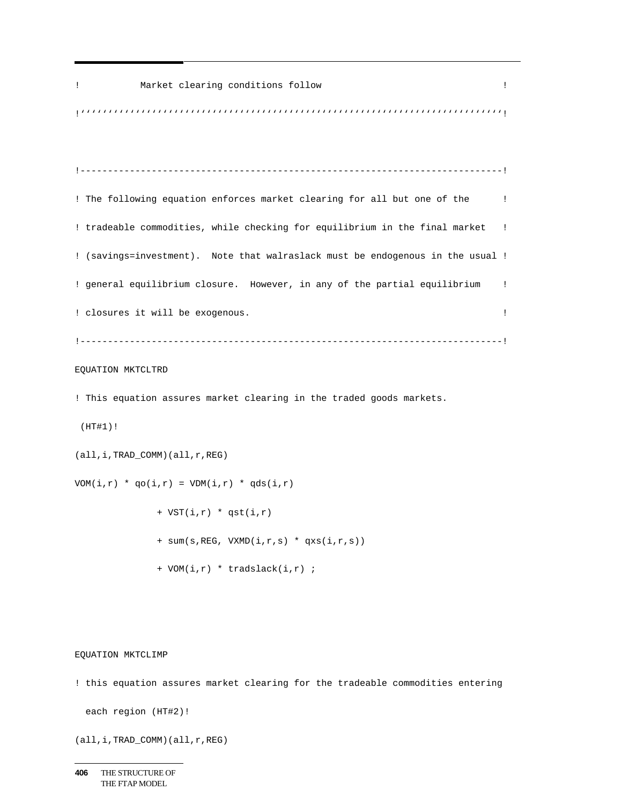| Market clearing conditions follow |
|-----------------------------------|
|                                   |
|                                   |

```
!-----------------------------------------------------------------------------!
! The following equation enforces market clearing for all but one of the !
! tradeable commodities, while checking for equilibrium in the final market !
! (savings=investment). Note that walraslack must be endogenous in the usual !
! general equilibrium closure. However, in any of the partial equilibrium !
! closures it will be exogenous. !
!-----------------------------------------------------------------------------!
EQUATION MKTCLTRD
! This equation assures market clearing in the traded goods markets.
 (HT#1)!
(all,i,TRAD_COMM)(all,r,REG)
VOM(i,r) * qo(i,r) = VDM(i,r) * qds(i,r)
```
+  $VST(i,r)$  \*  $qst(i,r)$  + sum(s,REG, VXMD(i,r,s) \* qxs(i,r,s)) + VOM(i,r) \* tradslack(i,r) ;

EQUATION MKTCLIMP

! this equation assures market clearing for the tradeable commodities entering each region (HT#2)!

(all,i,TRAD\_COMM)(all,r,REG)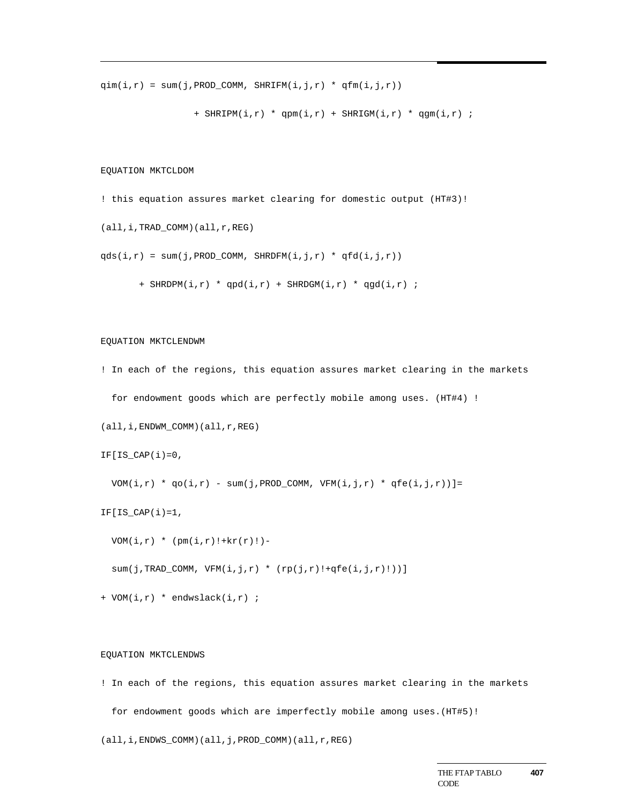```
qim(i,r) = sum(j,PROD_COMM, SHRIFM(i,j,r) * qfm(i,j,r))
```
+ SHRIPM $(i, r)$  \* qpm $(i, r)$  + SHRIGM $(i, r)$  \* qgm $(i, r)$  ;

#### EQUATION MKTCLDOM

! this equation assures market clearing for domestic output (HT#3)!

```
(all,i,TRAD_COMM)(all,r,REG)
```

```
qds(i,r) = sum(j,PROD_COMM, SHRDFM(i,j,r) * qfd(i,j,r))
```

```
+ SHRDPM(i, r) * qpd(i, r) + SHRDGM(i, r) * qgd(i, r) ;
```
# EQUATION MKTCLENDWM

! In each of the regions, this equation assures market clearing in the markets for endowment goods which are perfectly mobile among uses. (HT#4) !

```
(all,i,ENDWM_COMM)(all,r,REG)
```
 $IF[IS_CAP(i)=0,$ 

 $VOM(i,r) * qo(i,r) - sum(j, PROD_COMM, VFM(i,j,r) * qfe(i,j,r))] =$ 

 $IF[IS_CAP(i)=1,$ 

 $VOM(i,r) * (pm(i,r)!+kr(r)!)-$ 

 $sum(j,TRAD\_COMM, VFM(i,j,r) * (rp(j,r)!+qfe(i,j,r)!)))$ 

```
+ VOM(i,r) * endwslack(i,r) ;
```
#### EQUATION MKTCLENDWS

! In each of the regions, this equation assures market clearing in the markets for endowment goods which are imperfectly mobile among uses.(HT#5)!

(all,i,ENDWS\_COMM)(all,j,PROD\_COMM)(all,r,REG)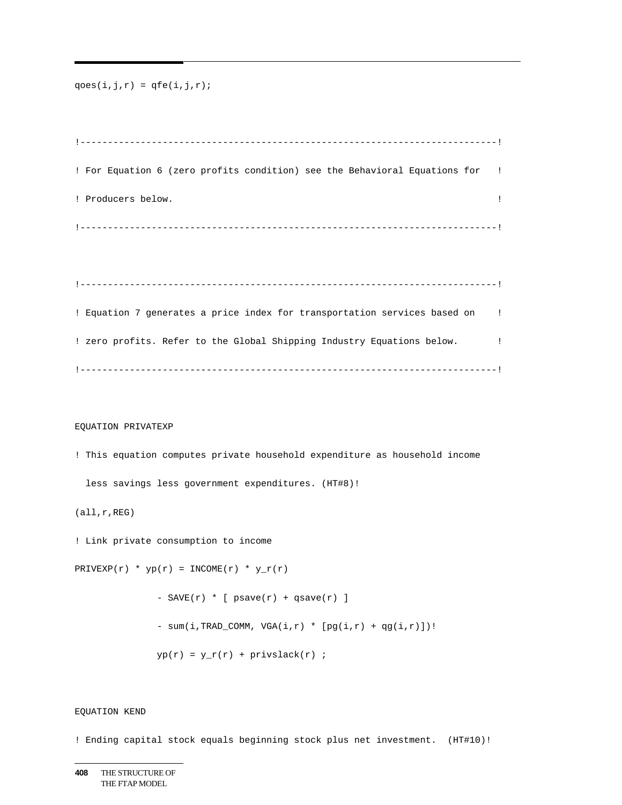$qoes(i,j,r) = qfe(i,j,r);$ 

!----------------------------------------------------------------------------! ! For Equation 6 (zero profits condition) see the Behavioral Equations for ! ! Producers below. ! !----------------------------------------------------------------------------! !----------------------------------------------------------------------------! ! Equation 7 generates a price index for transportation services based on ! ! zero profits. Refer to the Global Shipping Industry Equations below. ! !----------------------------------------------------------------------------!

EQUATION PRIVATEXP

```
! This equation computes private household expenditure as household income
  less savings less government expenditures. (HT#8)!
(all,r,REG)
! Link private consumption to income
PRIVEXP) * yp(r) = INCOME(r) * y_r(r)- SAVE(r) * [ psave(r) + qsave(r) ]
```
-  $sum(i,TRAD_COMM, VGA(i,r) * [pg(i,r) + qg(i,r)])!$ 

 $yp(r) = y_r(r) + privslack(r)$ ;

EQUATION KEND

! Ending capital stock equals beginning stock plus net investment. (HT#10)!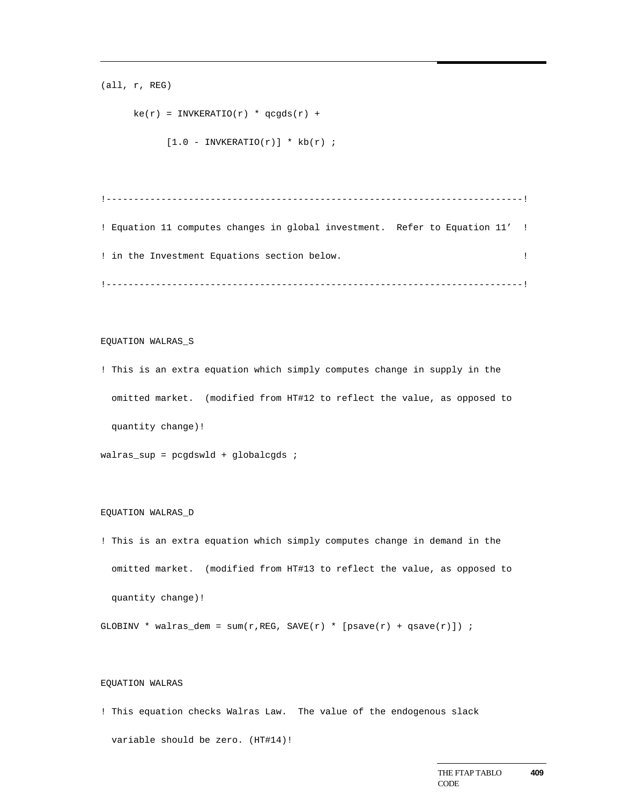```
(all, r, REG)
     ke(r) = INVKERATIO(r) * qcgds(r) +[1.0 - INVKERATION(r)] * kb(r);
```

```
!----------------------------------------------------------------------------!
! Equation 11 computes changes in global investment. Refer to Equation 11' !
! in the Investment Equations section below. !
!----------------------------------------------------------------------------!
```

```
EQUATION WALRAS_S
```
! This is an extra equation which simply computes change in supply in the omitted market. (modified from HT#12 to reflect the value, as opposed to quantity change)!

```
walras_sup = pcgdswld + globalcgds ;
```

```
EQUATION WALRAS_D
```
! This is an extra equation which simply computes change in demand in the omitted market. (modified from HT#13 to reflect the value, as opposed to quantity change)!

GLOBINV \* walras\_dem = sum(r, REG, SAVE(r) \* [ $psave(r)$  + qsave(r)]) ;

# EQUATION WALRAS

! This equation checks Walras Law. The value of the endogenous slack variable should be zero. (HT#14)!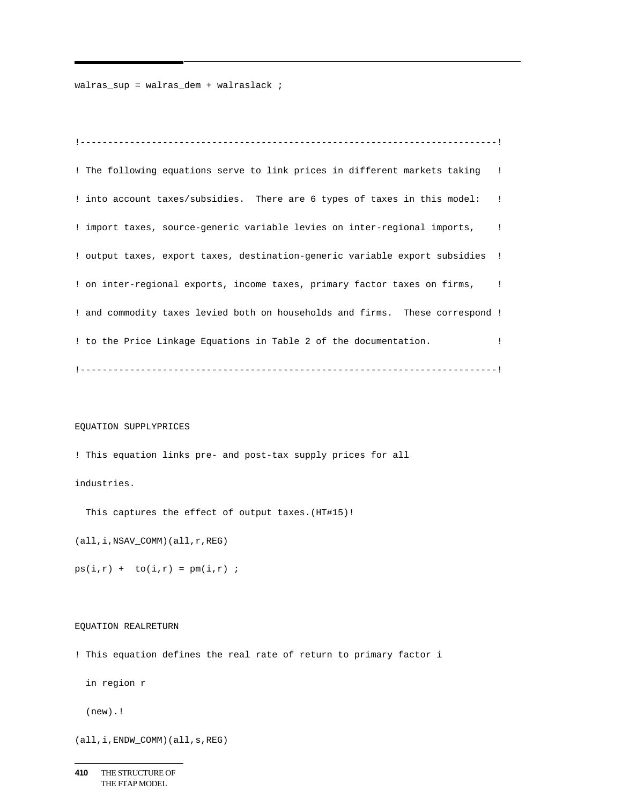walras\_sup = walras\_dem + walraslack ;

| ! The following equations serve to link prices in different markets taking !  |              |
|-------------------------------------------------------------------------------|--------------|
| ! into account taxes/subsidies. There are 6 types of taxes in this model: !   |              |
| ! import taxes, source-generic variable levies on inter-regional imports,     |              |
| ! output taxes, export taxes, destination-generic variable export subsidies ! |              |
| ! on inter-regional exports, income taxes, primary factor taxes on firms,     |              |
| ! and commodity taxes levied both on households and firms. These correspond ! |              |
| ! to the Price Linkage Equations in Table 2 of the documentation.             | $\mathbf{I}$ |
|                                                                               |              |

#### EQUATION SUPPLYPRICES

! This equation links pre- and post-tax supply prices for all

industries.

This captures the effect of output taxes.(HT#15)!

(all,i,NSAV\_COMM)(all,r,REG)

 $\texttt{ps}(i,r) + \texttt{to}(i,r) = \texttt{pm}(i,r) \texttt{;}$ 

# EQUATION REALRETURN

! This equation defines the real rate of return to primary factor i

in region r

(new).!

(all,i,ENDW\_COMM)(all,s,REG)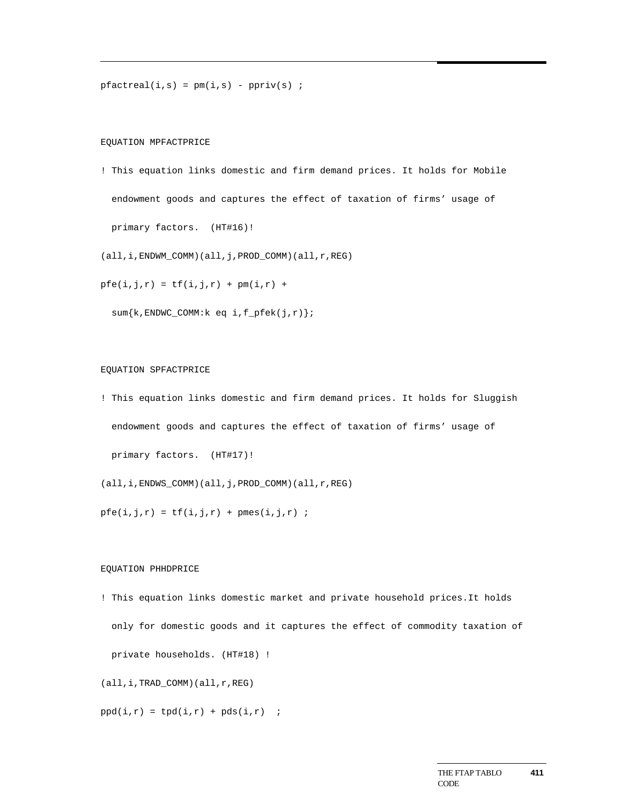$pfactreal(i,s) = pm(i,s) - ppriv(s)$ ;

#### EQUATION MPFACTPRICE

! This equation links domestic and firm demand prices. It holds for Mobile endowment goods and captures the effect of taxation of firms' usage of primary factors. (HT#16)!

(all,i,ENDWM\_COMM)(all,j,PROD\_COMM)(all,r,REG)

 $pfe(i,j,r) = tf(i,j,r) + pm(i,r) +$ 

```
 sum{k,ENDWC_COMM:k eq i,f_pfek(j,r)};
```
# EQUATION SPFACTPRICE

! This equation links domestic and firm demand prices. It holds for Sluggish endowment goods and captures the effect of taxation of firms' usage of primary factors. (HT#17)!

(all,i,ENDWS\_COMM)(all,j,PROD\_COMM)(all,r,REG)

 $pfe(i,j,r) = tf(i,j,r) + pmes(i,j,r)$ ;

# EQUATION PHHDPRICE

! This equation links domestic market and private household prices.It holds only for domestic goods and it captures the effect of commodity taxation of private households. (HT#18) ! (all,i,TRAD\_COMM)(all,r,REG)

```
ppd(i,r) = tpd(i,r) + pds(i,r) ;
```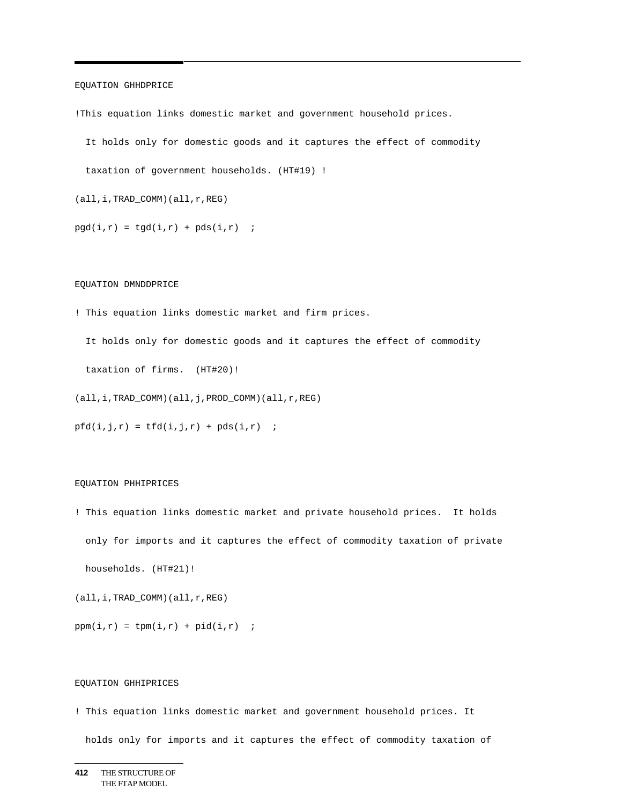#### EQUATION GHHDPRICE

!This equation links domestic market and government household prices.

It holds only for domestic goods and it captures the effect of commodity

taxation of government households. (HT#19) !

```
(all,i,TRAD_COMM)(all,r,REG)
```
 $pgd(i,r) = tgd(i,r) + pds(i,r)$  ;

### EQUATION DMNDDPRICE

! This equation links domestic market and firm prices.

 It holds only for domestic goods and it captures the effect of commodity taxation of firms. (HT#20)!

(all,i,TRAD\_COMM)(all,j,PROD\_COMM)(all,r,REG)

 $pfd(i,j,r) = tfd(i,j,r) + pds(i,r)$  ;

#### EQUATION PHHIPRICES

! This equation links domestic market and private household prices. It holds only for imports and it captures the effect of commodity taxation of private households. (HT#21)!

(all,i,TRAD\_COMM)(all,r,REG)

 $ppm(i,r) = tpm(i,r) + pid(i,r)$  ;

# EQUATION GHHIPRICES

! This equation links domestic market and government household prices. It

holds only for imports and it captures the effect of commodity taxation of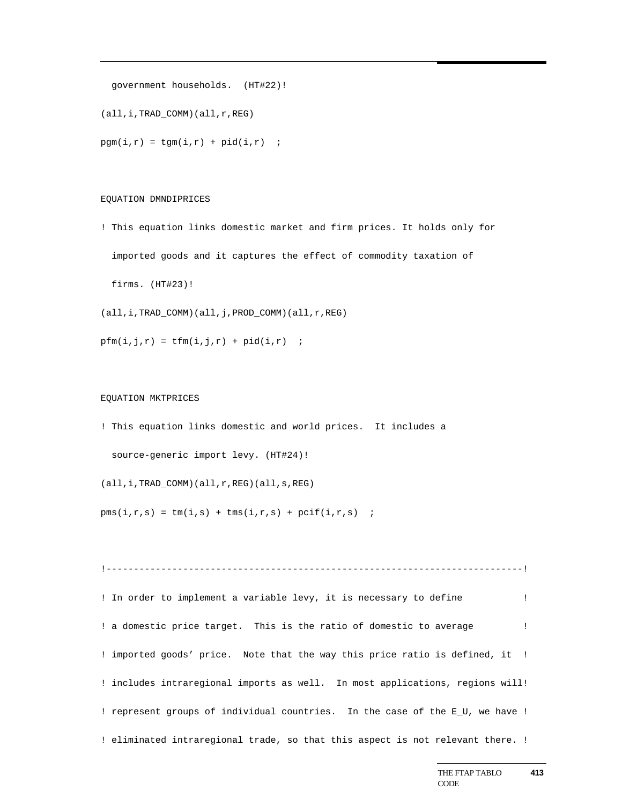government households. (HT#22)!

(all,i,TRAD\_COMM)(all,r,REG)

 $pqm(i,r) = tqm(i,r) + pid(i,r)$  ;

#### EQUATION DMNDIPRICES

! This equation links domestic market and firm prices. It holds only for imported goods and it captures the effect of commodity taxation of firms. (HT#23)!

(all,i,TRAD\_COMM)(all,j,PROD\_COMM)(all,r,REG)

 $pfm(i,j,r) = tfm(i,j,r) + pid(i,r)$  ;

#### EQUATION MKTPRICES

! This equation links domestic and world prices. It includes a source-generic import levy. (HT#24)!

(all,i,TRAD\_COMM)(all,r,REG)(all,s,REG)

 $pms(i,r,s) = tm(i,s) + tms(i,r,s) + pcif(i,r,s)$ ;

! In order to implement a variable levy, it is necessary to define  $\qquad$  ! ! a domestic price target. This is the ratio of domestic to average ! ! imported goods' price. Note that the way this price ratio is defined, it ! ! includes intraregional imports as well. In most applications, regions will! ! represent groups of individual countries. In the case of the E\_U, we have ! ! eliminated intraregional trade, so that this aspect is not relevant there. !

!----------------------------------------------------------------------------!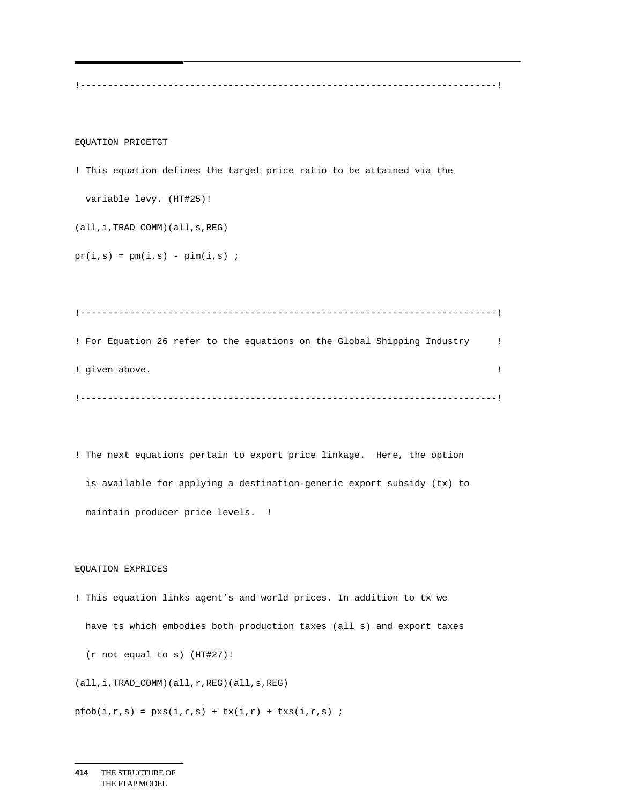!----------------------------------------------------------------------------!

#### EQUATION PRICETGT

! This equation defines the target price ratio to be attained via the variable levy. (HT#25)!

(all,i,TRAD\_COMM)(all,s,REG)

 $pr(i,s) = pm(i,s) - pim(i,s)$ ;

```
!----------------------------------------------------------------------------!
! For Equation 26 refer to the equations on the Global Shipping Industry !
! given above. !
!----------------------------------------------------------------------------!
```
! The next equations pertain to export price linkage. Here, the option is available for applying a destination-generic export subsidy (tx) to maintain producer price levels. !

#### EQUATION EXPRICES

```
! This equation links agent's and world prices. In addition to tx we
  have ts which embodies both production taxes (all s) and export taxes
  (r not equal to s) (HT#27)!
(all,i,TRAD_COMM)(all,r,REG)(all,s,REG)
```
 $pfob(i,r,s) = pxs(i,r,s) + tx(i,r) + tx(s(i,r,s))$  ;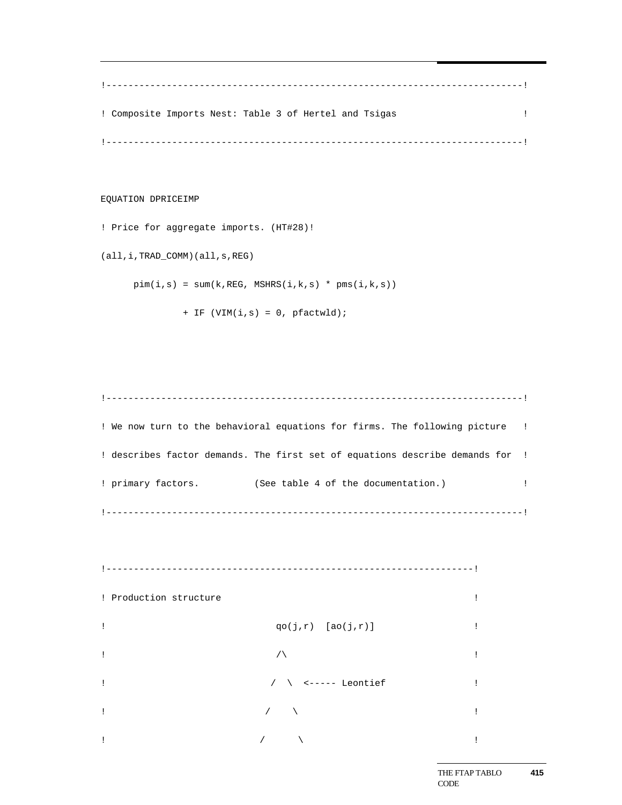```
!----------------------------------------------------------------------------!
! Composite Imports Nest: Table 3 of Hertel and Tsigas !
!----------------------------------------------------------------------------!
```

```
EQUATION DPRICEIMP
```
! Price for aggregate imports. (HT#28)!

(all,i,TRAD\_COMM)(all,s,REG)

 $pim(i,s) = sum(k, REG, MSHRS(i,k,s) * pms(i,k,s))$ 

```
 + IF (VIM(i,s) = 0, pfactwld);
```

```
!----------------------------------------------------------------------------!
! We now turn to the behavioral equations for firms. The following picture !
! describes factor demands. The first set of equations describe demands for !
! primary factors. (See table 4 of the documentation.) !
!----------------------------------------------------------------------------!
```

| ! Production structure |                                              |  |
|------------------------|----------------------------------------------|--|
|                        | $qo(j,r)$ [ao(j,r)]                          |  |
| Ţ                      | ハ                                            |  |
|                        | $/$ \                        <----- Leontief |  |
|                        |                                              |  |
|                        |                                              |  |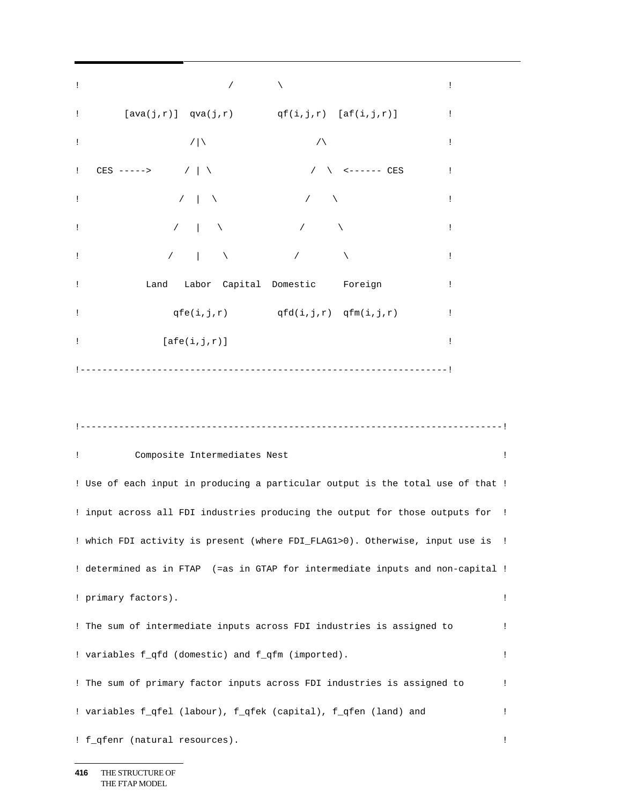| Ţ             |                                                   |                                        |   |
|---------------|---------------------------------------------------|----------------------------------------|---|
| Ţ             | $[ava(j,r)]$ $qva(j,r)$ $qf(i,j,r)$ $[af(i,j,r)]$ |                                        | Ţ |
| Ţ             | $1/\sqrt{2}$                                      | $\sqrt{}$                              | 1 |
| $\mathbf{I}$  | $\sqrt{ \lambda }$<br>$CES$ ----->                | $---CES$<br>$/$ \                      | Ţ |
| $\mathfrak l$ | $1 - 1 - 1$                                       | $\sqrt{2}$                             | L |
| Ţ             | $1 \mid \lambda$                                  | $\sqrt{2}$<br>∖                        | 1 |
| Ţ             | $\sqrt{2}$                                        | $\sqrt{2}$                             | Ţ |
| Ţ             | Land Labor Capital Domestic Foreign               |                                        | Ţ |
| Ť             |                                                   | $qfe(i,j,r)$ $qfd(i,j,r)$ $qfm(i,j,r)$ | 1 |
| Ť             | [afe(i,j,r)]                                      |                                        |   |
|               |                                                   |                                        |   |

# !-----------------------------------------------------------------------------!

| $\mathbf{I}$ | Composite Intermediates Nest                                                    |              |
|--------------|---------------------------------------------------------------------------------|--------------|
|              | ! Use of each input in producing a particular output is the total use of that ! |              |
|              | ! input across all FDI industries producing the output for those outputs for !  |              |
|              | ! which FDI activity is present (where FDI_FLAG1>0). Otherwise, input use is !  |              |
|              | ! determined as in FTAP (=as in GTAP for intermediate inputs and non-capital !  |              |
|              | ! primary factors).                                                             | T            |
|              | ! The sum of intermediate inputs across FDI industries is assigned to           | Ţ.           |
|              | ! variables f_qfd (domestic) and f_qfm (imported).                              | T            |
|              | ! The sum of primary factor inputs across FDI industries is assigned to         | $\mathbf{I}$ |
|              | ! variables f_qfel (labour), f_qfek (capital), f_qfen (land) and                | 1            |
|              | ! f_qfenr (natural resources).                                                  | Ţ            |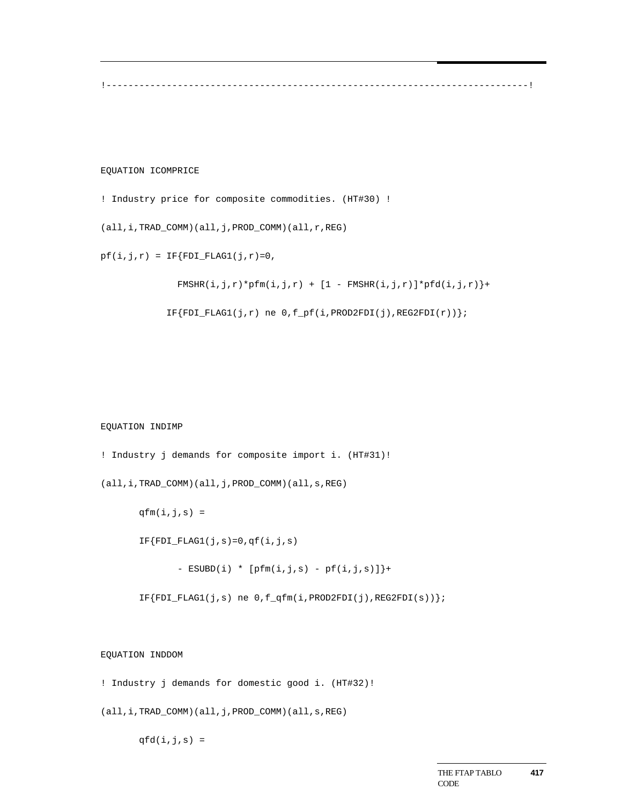!-----------------------------------------------------------------------------!

EQUATION ICOMPRICE

! Industry price for composite commodities. (HT#30) ! (all,i,TRAD\_COMM)(all,j,PROD\_COMM)(all,r,REG)  $\texttt{pf(i,j,r)} = \texttt{IF}\{\texttt{FDI\_FLAGl(j,r)=0}\},$  $FMSHR(i,j,r)*pfm(i,j,r) + [1 - FMSHR(i,j,r)] * pfd(i,j,r)$  +

 $IF{FDI_FLAG1(j,r)}$  ne  $0, f_pf(i, PROD2FDI(j), REG2FDI(r))};$ 

EQUATION INDIMP

! Industry j demands for composite import i. (HT#31)!

(all,i,TRAD\_COMM)(all,j,PROD\_COMM)(all,s,REG)

 $qfm(i,j,s) =$  $IF{FDI_FLAG1(j,s)=0, qf(i,j,s)}$  $-$  ESUBD(i) \* [pfm(i,j,s) - pf(i,j,s)]}+ IF{FDI\_FLAG1(j,s) ne 0,f\_qfm(i,PROD2FDI(j),REG2FDI(s))};

EQUATION INDDOM

! Industry j demands for domestic good i. (HT#32)!

(all,i,TRAD\_COMM)(all,j,PROD\_COMM)(all,s,REG)

 $qfd(i,j,s) =$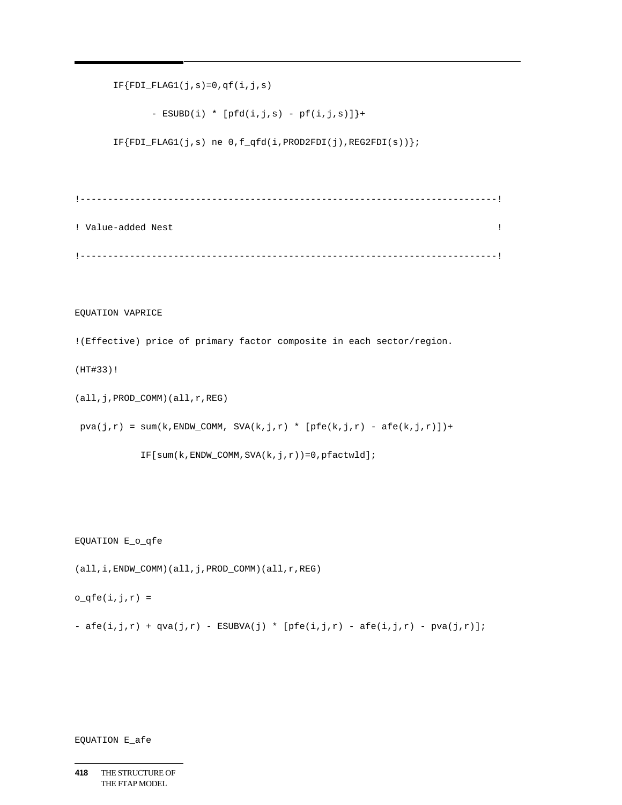$IF{FDI_FLAG1(j,s)=0, qf(i,j,s)}$ 

 $-$  ESUBD(i) \* [pfd(i,j,s) - pf(i,j,s)]}+

 $IF{FDI_FLAG1(j,s)}$  ne  $0, f_qfd(i, PROD2FDI(j), REG2FDI(s))$ ;

!----------------------------------------------------------------------------!

! Value-added Nest !

!----------------------------------------------------------------------------!

EQUATION VAPRICE

!(Effective) price of primary factor composite in each sector/region.

(HT#33)!

(all,j,PROD\_COMM)(all,r,REG)

 $pva(j,r) = sum(k, ENDW_COMM, SVA(k,j,r) * [pfe(k,j,r) - afe(k,j,r)])+$ 

IF[sum(k,ENDW\_COMM,SVA(k,j,r))=0,pfactwld];

EQUATION E\_o\_qfe

(all,i,ENDW\_COMM)(all,j,PROD\_COMM)(all,r,REG)

 $o_qfe(i,j,r) =$ 

-  $afe(i,j,r) + qva(j,r) - ESUBVA(j) * [pfe(i,j,r) - afe(i,j,r) - pva(j,r)]$ ;

EQUATION E\_afe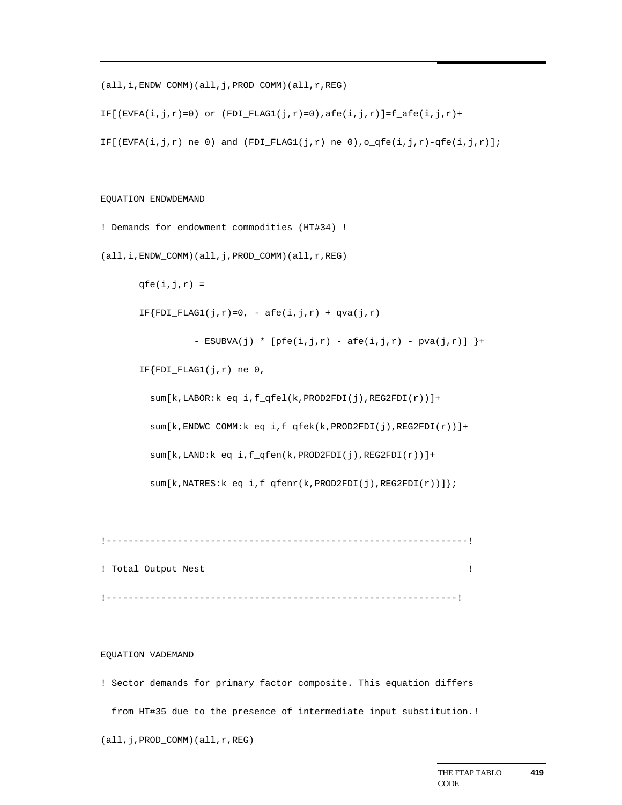```
(all,i,ENDW_COMM)(all,j,PROD_COMM)(all,r,REG)
```

```
IF[(EVFA(i,j,r)=0) or (FDI_FLAG1(j,r)=0),afe(i,j,r)]=f_afe(i,j,r)+
```

```
IF[(EVFA(i,j,r) ne 0) and (FDI_FLAG1(j,r) ne 0), o_q f e(i,j,r) - q f e(i,j,r)];
```
#### EQUATION ENDWDEMAND

```
! Demands for endowment commodities (HT#34) !
```

```
(all,i,ENDW_COMM)(all,j,PROD_COMM)(all,r,REG)
```
 $qfe(i,j,r) =$ 

 $IF{FDI_FLAG1(j,r)=0, - afe(i,j,r) + qva(j,r)}$ 

 $-$  ESUBVA(j) \* [pfe(i,j,r) - afe(i,j,r) - pva(j,r)] }+

 $IF{FDI_FLAG1(j,r)}$  ne 0,

sum[k,LABOR:k eq i,f\_qfel(k,PROD2FDI(j),REG2FDI(r))]+

sum[k,ENDWC\_COMM:k eq i,f\_qfek(k,PROD2FDI(j),REG2FDI(r))]+

sum[k,LAND:k eq i,f\_qfen(k,PROD2FDI(j),REG2FDI(r))]+

sum[k,NATRES:k eq i,f\_qfenr(k,PROD2FDI(j),REG2FDI(r))]};

!------------------------------------------------------------------!

```
! Total Output Nest !
!----------------------------------------------------------------!
```
# EQUATION VADEMAND

! Sector demands for primary factor composite. This equation differs from HT#35 due to the presence of intermediate input substitution.! (all,j,PROD\_COMM)(all,r,REG)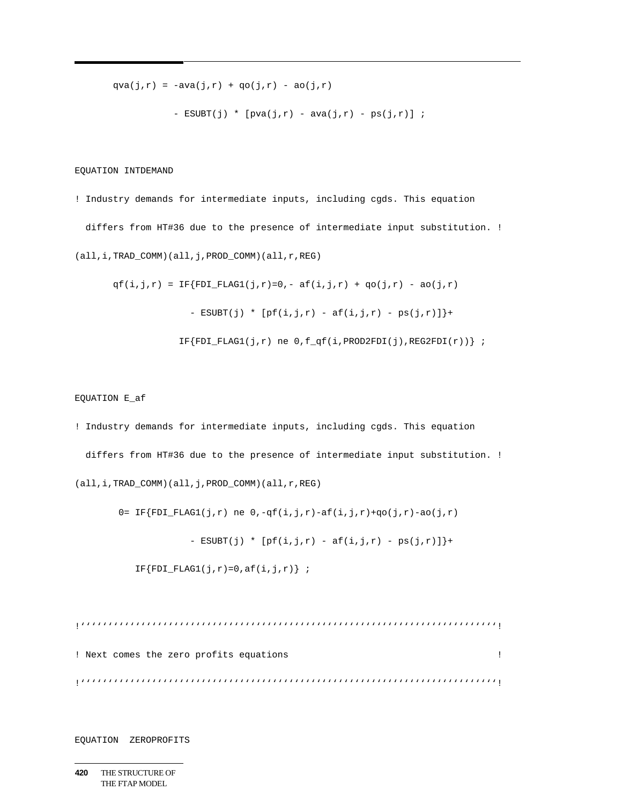```
qva(j,r) = -ava(j,r) + qo(j,r) - ao(j,r)
```

```
- ESUBT(j) * [pva(j,r) - ava(j,r) - ps(j,r)] ;
```
EQUATION INTDEMAND

! Industry demands for intermediate inputs, including cgds. This equation differs from HT#36 due to the presence of intermediate input substitution. ! (all,i,TRAD\_COMM)(all,j,PROD\_COMM)(all,r,REG)

$$
qf(i,j,r) = IF\{FDI_FLAG1(j,r)=0, - af(i,j,r) + qo(j,r) - ao(j,r)
$$

$$
- ESUBT(j) * [pf(i,j,r) - af(i,j,r) - ps(j,r)]\}
$$

$$
IF\{FDI_FLAG1(j,r) ne 0, f_qf(i, PROD2FDI(j), REG2FDI(r))\};
$$

EQUATION E\_af

! Industry demands for intermediate inputs, including cgds. This equation differs from HT#36 due to the presence of intermediate input substitution. ! (all,i,TRAD\_COMM)(all,j,PROD\_COMM)(all,r,REG)

0= IF{FDI\_FLAG1(j,r) ne  $0, -qf(i,j,r)-af(i,j,r)+qo(j,r)-ao(j,r)$ 

-  $EST(j) * [pf(i,j,r) - af(i,j,r) - ps(j,r)]$ 

 $IF{FDI_FLAG1(j,r)=0,af(i,j,r)}$ ;

!''''''''''''''''''''''''''''''''''''''''''''''''''''''''''''''''''''''''''''! ! Next comes the zero profits equations ! !''''''''''''''''''''''''''''''''''''''''''''''''''''''''''''''''''''''''''''!

EQUATION ZEROPROFITS

**420** THE STRUCTURE OF THE FTAP MODEL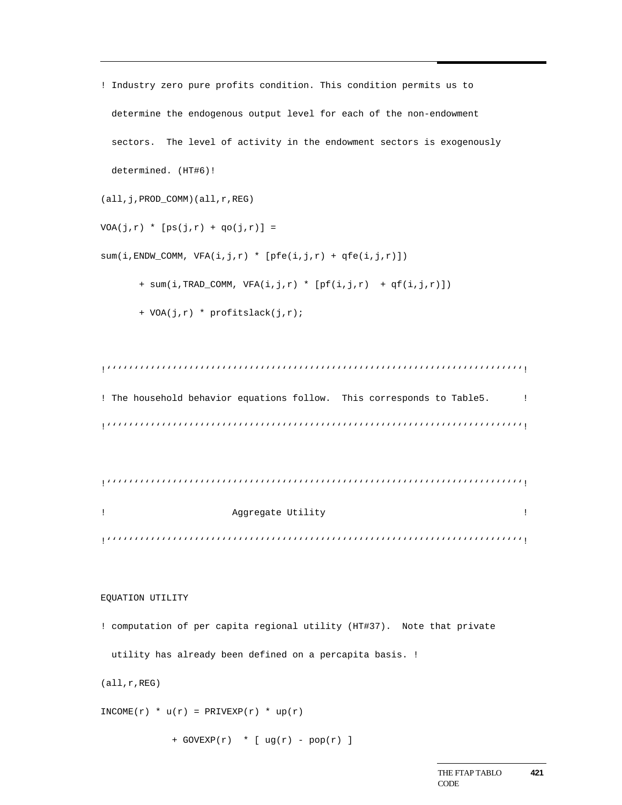```
! Industry zero pure profits condition. This condition permits us to
  determine the endogenous output level for each of the non-endowment
   sectors. The level of activity in the endowment sectors is exogenously
  determined. (HT#6)!
(all,j,PROD_COMM)(all,r,REG)
VOA(j,r) * [ps(j,r) + qo(j,r)] =sum(i, ENDW_COMM, VFA(i,j,r) * [pfe(i,j,r) + qfe(i,j,r)])+ sum(i,TRAD_COMM, VFA(i,j,r) * [pf(i,j,r) + qf(i,j,r)])
```

```
 + VOA(j,r) * profitslack(j,r);
```

```
!''''''''''''''''''''''''''''''''''''''''''''''''''''''''''''''''''''''''''''!
```
! The household behavior equations follow. This corresponds to Table5. ! !''''''''''''''''''''''''''''''''''''''''''''''''''''''''''''''''''''''''''''!

```
!''''''''''''''''''''''''''''''''''''''''''''''''''''''''''''''''''''''''''''!
! Aggregate Utility !
!''''''''''''''''''''''''''''''''''''''''''''''''''''''''''''''''''''''''''''!
```

```
EQUATION UTILITY
! computation of per capita regional utility (HT#37). Note that private
  utility has already been defined on a percapita basis. !
(all,r,REG)
INCOME(r) * u(r) = PRIVEXP * up(r)
```
+ GOVEXP $(r)$  \* [ ug $(r)$  - pop $(r)$  ]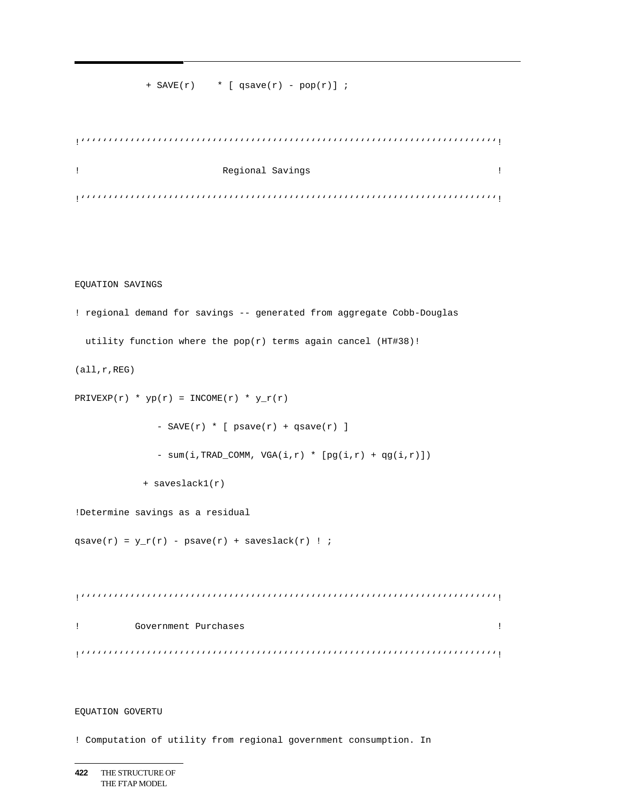#### +  $SAVE(r)$  \* [ qsave $(r)$  -  $pop(r)$ ] ;

```
!''''''''''''''''''''''''''''''''''''''''''''''''''''''''''''''''''''''''''''!
! Regional Savings !
!''''''''''''''''''''''''''''''''''''''''''''''''''''''''''''''''''''''''''''!
```
#### EQUATION SAVINGS

```
! regional demand for savings -- generated from aggregate Cobb-Douglas
  utility function where the pop(r) terms again cancel (HT#38)!
(all,r,REG)
PRIVER(r) * yp(r) = INCOME(r) * y_r(r)- SAVE(r) * [ psave(r) + qsave(r) ]
             - sum(i,TRAD_COMM, VGA(i,r) * [pg(i,r) + qg(i,r)]) + saveslack1(r)
!Determine savings as a residual
qsave(r) = y_r(r) - psave(r) + saveslack(r) ! ;
!''''''''''''''''''''''''''''''''''''''''''''''''''''''''''''''''''''''''''''!
! Government Purchases !
!''''''''''''''''''''''''''''''''''''''''''''''''''''''''''''''''''''''''''''!
```
### EQUATION GOVERTU

! Computation of utility from regional government consumption. In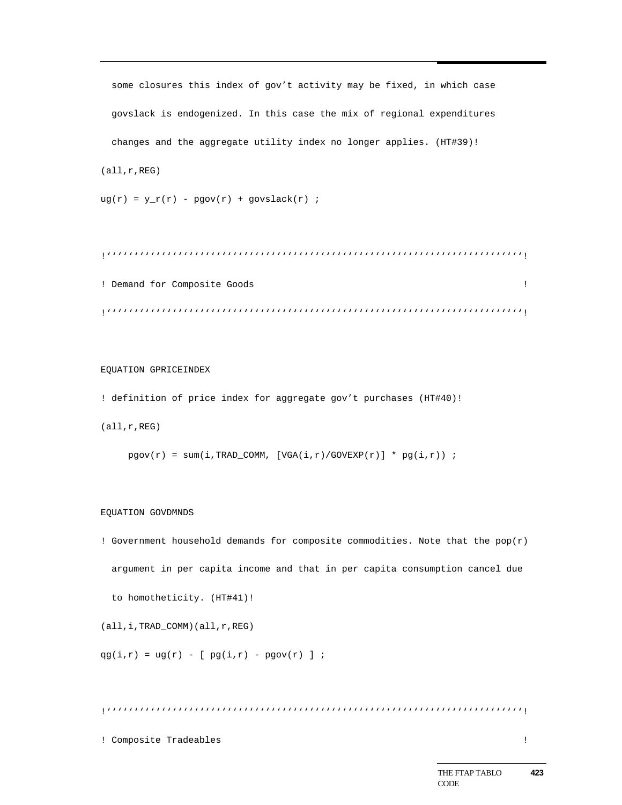```
 some closures this index of gov't activity may be fixed, in which case
   govslack is endogenized. In this case the mix of regional expenditures
   changes and the aggregate utility index no longer applies. (HT#39)!
(all,r,REG)
ug(r) = y_r(r) - pgov(r) + govslack(r);
```

```
! Demand for Composite Goods !
!''''''''''''''''''''''''''''''''''''''''''''''''''''''''''''''''''''''''''''!
```
!''''''''''''''''''''''''''''''''''''''''''''''''''''''''''''''''''''''''''''!

# EQUATION GPRICEINDEX

! definition of price index for aggregate gov't purchases (HT#40)!

(all,r,REG)

```
pgov(r) = sum(i, TRAD\_COMM, [VGA(i, r)/G OVERPr(r)] * pg(i, r)) ;
```
#### EQUATION GOVDMNDS

! Government household demands for composite commodities. Note that the pop(r) argument in per capita income and that in per capita consumption cancel due to homotheticity. (HT#41)! (all,i,TRAD\_COMM)(all,r,REG)  $qg(i,r) = ug(r) - [pg(i,r) - pgov(r)]$  ;

!''''''''''''''''''''''''''''''''''''''''''''''''''''''''''''''''''''''''''''!

! Composite Tradeables !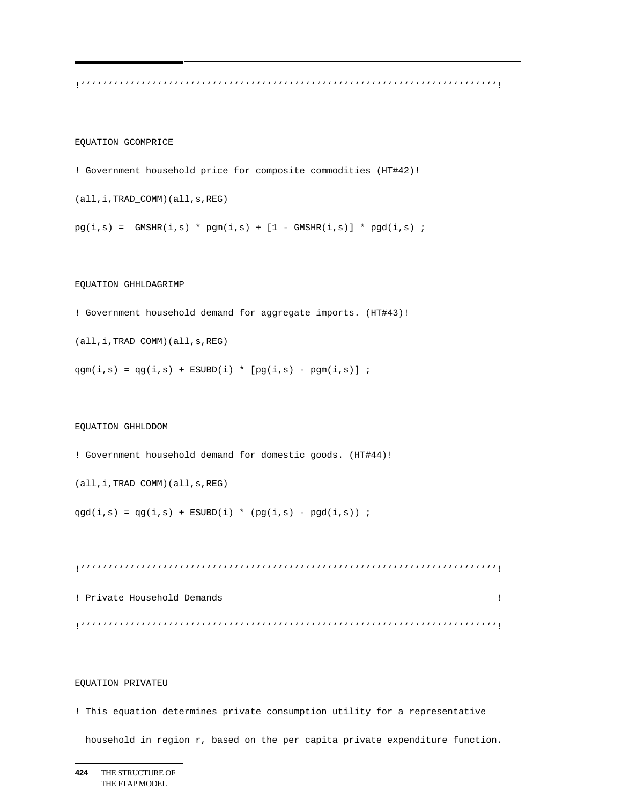!''''''''''''''''''''''''''''''''''''''''''''''''''''''''''''''''''''''''''''!

#### EQUATION GCOMPRICE

! Government household price for composite commodities (HT#42)! (all,i,TRAD\_COMM)(all,s,REG)  $pg(i,s) = GMSHR(i,s) * pgm(i,s) + [1 - GMSHR(i,s)] * pgd(i,s)$ ;

# EQUATION GHHLDAGRIMP

! Government household demand for aggregate imports. (HT#43)!

(all,i,TRAD\_COMM)(all,s,REG)

 $qgm(i,s) = qg(i,s) + ESUBD(i) * [pg(i,s) - pgm(i,s)]$  ;

#### EQUATION GHHLDDOM

! Government household demand for domestic goods. (HT#44)!

(all,i,TRAD\_COMM)(all,s,REG)

 $qgd(i,s) = qg(i,s) + ESUBD(i) * (pg(i,s) - pgd(i,s))$ ;

|  |  |  |  |  |  |  |  | ! Private Household Demands |  |  |  |  |  |  |  |  |  |  |  |  |  |  |  |  |  |  |  |  |  |  |  |
|--|--|--|--|--|--|--|--|-----------------------------|--|--|--|--|--|--|--|--|--|--|--|--|--|--|--|--|--|--|--|--|--|--|--|
|  |  |  |  |  |  |  |  |                             |  |  |  |  |  |  |  |  |  |  |  |  |  |  |  |  |  |  |  |  |  |  |  |

# EQUATION PRIVATEU

! This equation determines private consumption utility for a representative

household in region r, based on the per capita private expenditure function.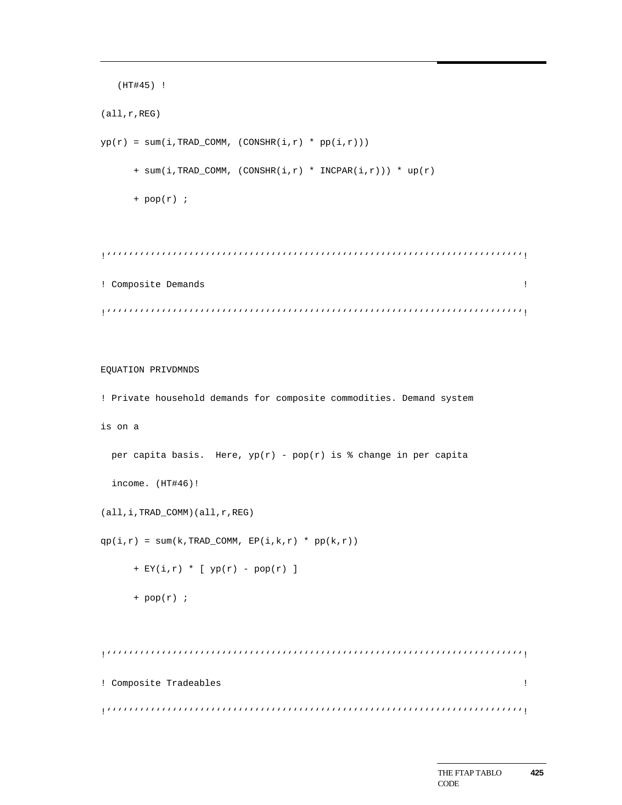```
 (HT#45) !
(all,r,REG)
yp(r) = sum(i, TRAD_COMM, (CONSHR(i,r) * pp(i,r))) + sum(i,TRAD_COMM, (CONSHR(i,r) * INCPAR(i,r))) * up(r)
     + pop(r) ;
!''''''''''''''''''''''''''''''''''''''''''''''''''''''''''''''''''''''''''''!
! Composite Demands !
```
!''''''''''''''''''''''''''''''''''''''''''''''''''''''''''''''''''''''''''''!

```
EQUATION PRIVDMNDS
```

```
! Private household demands for composite commodities. Demand system
```

```
is on a
```

```
per capita basis. Here, yp(r) - pop(r) is % change in per capita
```
income. (HT#46)!

(all,i,TRAD\_COMM)(all,r,REG)

 $qp(i,r) = sum(k, TRAD_COMM, EP(i,k,r) * pp(k,r))$ 

```
 + EY(i,r) * [ yp(r) - pop(r) ]
```

```
 + pop(r) ;
```

```
!''''''''''''''''''''''''''''''''''''''''''''''''''''''''''''''''''''''''''''!
! Composite Tradeables !
!''''''''''''''''''''''''''''''''''''''''''''''''''''''''''''''''''''''''''''!
```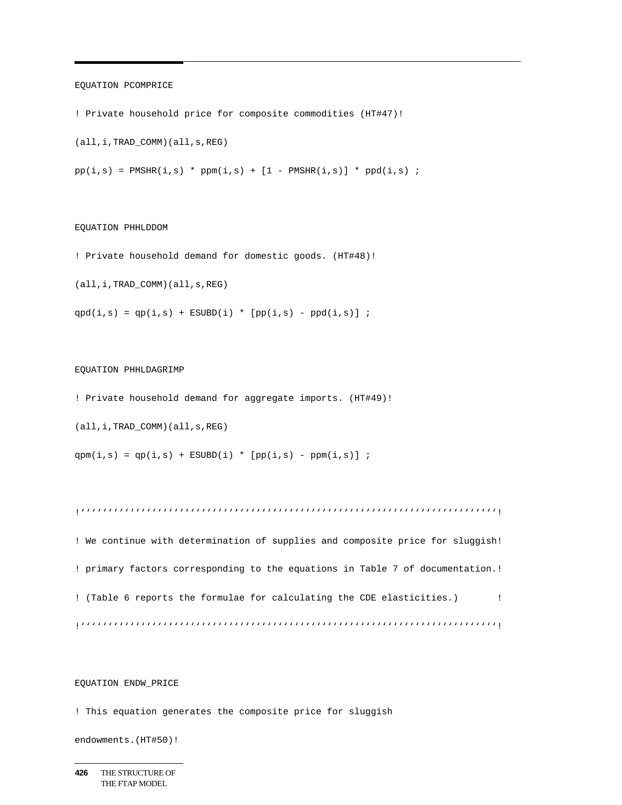EQUATION PCOMPRICE

! Private household price for composite commodities (HT#47)!

(all,i,TRAD\_COMM)(all,s,REG)

 $pp(i,s) = PMSHR(i,s) * ppm(i,s) + [1 - PMSHR(i,s)] * ppd(i,s)$ ;

### EQUATION PHHLDDOM

! Private household demand for domestic goods. (HT#48)!

(all,i,TRAD\_COMM)(all,s,REG)

 $qpd(i,s) = qp(i,s) + ESUBD(i) * [pp(i,s) - ppd(i,s)]$ ;

EQUATION PHHLDAGRIMP

! Private household demand for aggregate imports. (HT#49)!

(all,i,TRAD\_COMM)(all,s,REG)

 $qpm(i,s) = qp(i,s) + ESUBD(i) * [pp(i,s) - ppm(i,s)]$ ;

```
!''''''''''''''''''''''''''''''''''''''''''''''''''''''''''''''''''''''''''''!
```

```
! We continue with determination of supplies and composite price for sluggish!
! primary factors corresponding to the equations in Table 7 of documentation.!
! (Table 6 reports the formulae for calculating the CDE elasticities.) !
!''''''''''''''''''''''''''''''''''''''''''''''''''''''''''''''''''''''''''''!
```
EQUATION ENDW\_PRICE

! This equation generates the composite price for sluggish

endowments.(HT#50)!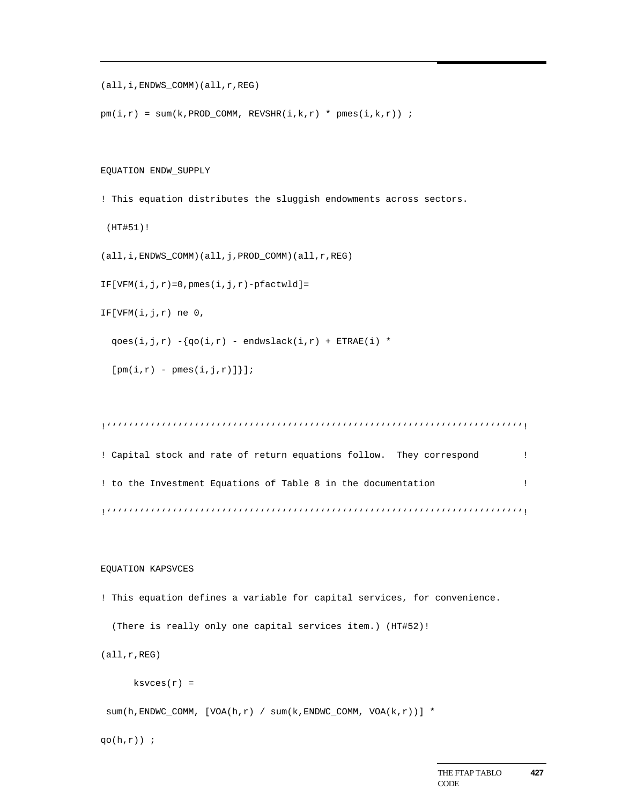```
(all,i,ENDWS_COMM)(all,r,REG)
```
 $pm(i,r) = sum(k, PROD_COMM, REVSHR(i,k,r) * pmes(i,k,r))$  ;

```
EQUATION ENDW_SUPPLY
```
! This equation distributes the sluggish endowments across sectors.

(HT#51)!

(all,i,ENDWS\_COMM)(all,j,PROD\_COMM)(all,r,REG)

 $IF[VFM(i,j,r)=0, pmes(i,j,r)-pfactwld]=$ 

 $IF[VFM(i,j,r)$  ne  $0$ ,

```
qoes(i,j,r) - {qo(i,r) - endwslack(i,r) + ETRAE(i) * }
```
 $[pm(i,r) - pmes(i,j,r)]$ ];

```
!''''''''''''''''''''''''''''''''''''''''''''''''''''''''''''''''''''''''''''!
! Capital stock and rate of return equations follow. They correspond !
! to the Investment Equations of Table 8 in the documentation !
!''''''''''''''''''''''''''''''''''''''''''''''''''''''''''''''''''''''''''''!
```
EQUATION KAPSVCES

```
! This equation defines a variable for capital services, for convenience.
   (There is really only one capital services item.) (HT#52)!
(all,r,REG)
      ksvces(r) =
```
 $sum(h,ENDWC_COMM, [VOA(h,r) / sum(k, ENDWC_COMM, VOA(k,r))] *$ 

 $qo(h,r)$ ) ;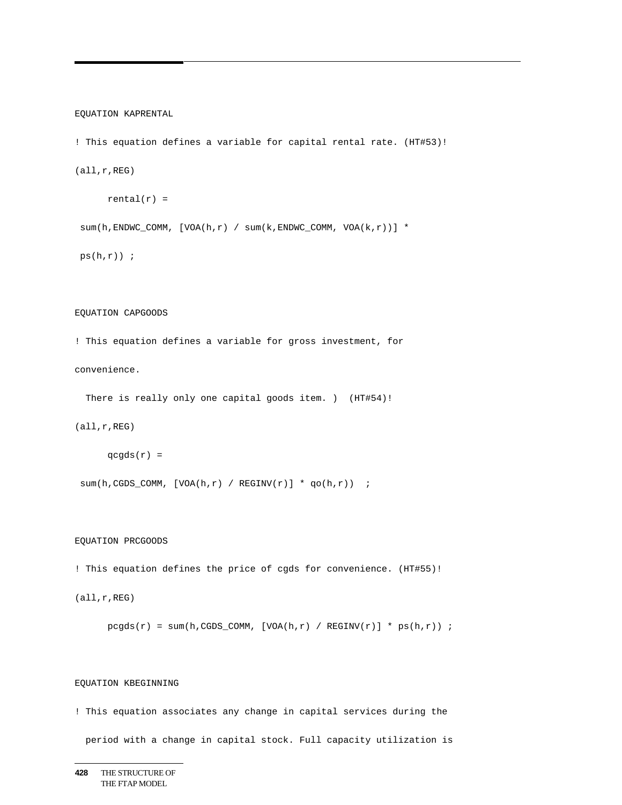EQUATION KAPRENTAL

```
! This equation defines a variable for capital rental rate. (HT#53)!
(all,r,REG)
      rental(r) =sum(h, ENDWC_COMM, [VOA(h,r) / sum(k, ENDWC_COMM, VOA(k,r))] *ps(h,r) ) \; ;
EQUATION CAPGOODS
! This equation defines a variable for gross investment, for
```
convenience.

There is really only one capital goods item. ) (HT#54)!

(all,r,REG)

 $qcgds(r) =$ 

 $sum(h, CGDS_COMM, [VOA(h,r) / REGINV(r)] * qo(h,r))$  ;

EQUATION PRCGOODS

! This equation defines the price of cgds for convenience. (HT#55)!

(all,r,REG)

 $pcgds(r) = sum(h, CGDS_COMM, [VOA(h,r) / REGINV(r)] * ps(h,r))$  ;

# EQUATION KBEGINNING

! This equation associates any change in capital services during the period with a change in capital stock. Full capacity utilization is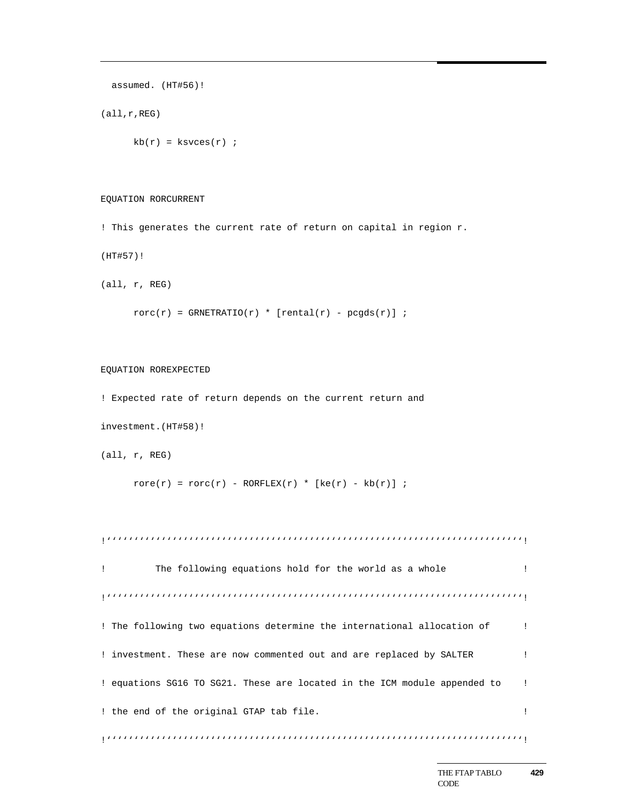```
 assumed. (HT#56)!
(all,r,REG)
     kb(r) = ksvces(r);
```
EQUATION RORCURRENT

! This generates the current rate of return on capital in region r.

(HT#57)!

(all, r, REG)

 $rorc(r) = GNNETRATIO(r) * [rental(r) - pcgds(r)]$ ;

EQUATION ROREXPECTED

! Expected rate of return depends on the current return and

investment.(HT#58)!

(all, r, REG)

rore $(r)$  = rorc $(r)$  - RORFLEX $(r)$  \*  $[ke(r) - kb(r)]$  ;

!''''''''''''''''''''''''''''''''''''''''''''''''''''''''''''''''''''''''''''! ! The following equations hold for the world as a whole ! !''''''''''''''''''''''''''''''''''''''''''''''''''''''''''''''''''''''''''''! ! The following two equations determine the international allocation of ! ! investment. These are now commented out and are replaced by SALTER ! ! equations SG16 TO SG21. These are located in the ICM module appended to ! ! the end of the original GTAP tab file.  $\qquad \qquad$  ! !''''''''''''''''''''''''''''''''''''''''''''''''''''''''''''''''''''''''''''!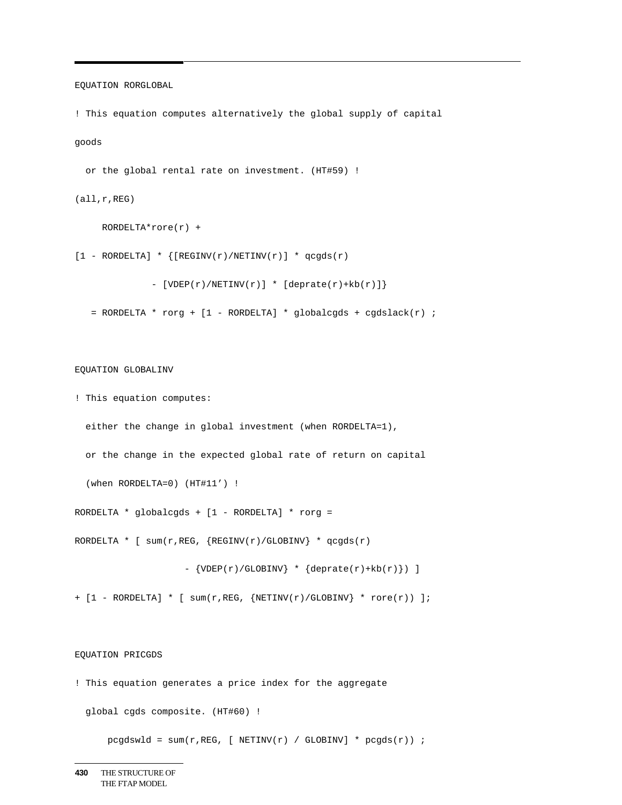EQUATION RORGLOBAL

! This equation computes alternatively the global supply of capital

goods

or the global rental rate on investment. (HT#59) !

### (all,r,REG)

RORDELTA\*rore(r) +

```
[1 - RORDELTA] * {[REGINV(r)/NETINV(r)] * qcgds(r)}
```

```
- [VDEF(r)/NETINV(r)] * [deprate(r)+kb(r)]
```

```
 = RORDELTA * rorg + [1 - RORDELTA] * globalcgds + cgdslack(r) ;
```
#### EQUATION GLOBALINV

! This equation computes: either the change in global investment (when RORDELTA=1), or the change in the expected global rate of return on capital (when RORDELTA=0) (HT#11') !

RORDELTA \* globalcgds + [1 - RORDELTA] \* rorg =

RORDELTA \* [  $sum(r, REG, {REGINV(r) / GLOBINV}$  \*  $qqds(r)$ 

-  $\{VDEF(r)/GLOBINV\}$  \*  $\{dept(r)+kb(r)\})$  ]

+  $[1 - RORDERIA] * [sum(r, REG, {NETINV(r) / GLOBINV} * rore(r))]$ 

EQUATION PRICGDS

! This equation generates a price index for the aggregate

global cgds composite. (HT#60) !

 $pcgdswld = sum(r, REG, [NETINV(r) / GLOBINV] * pcgds(r))$  ;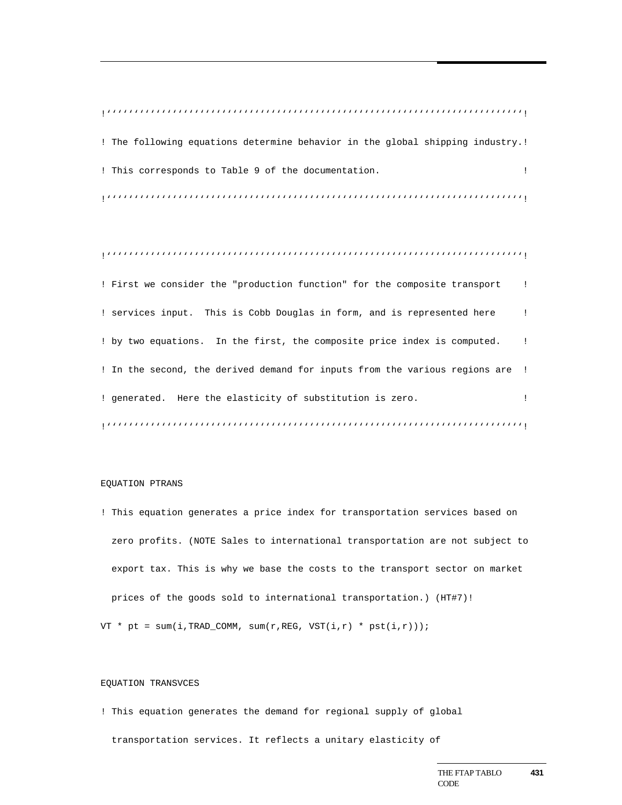!''''''''''''''''''''''''''''''''''''''''''''''''''''''''''''''''''''''''''''! ! The following equations determine behavior in the global shipping industry.! ! This corresponds to Table 9 of the documentation. ! !''''''''''''''''''''''''''''''''''''''''''''''''''''''''''''''''''''''''''''!

#### !''''''''''''''''''''''''''''''''''''''''''''''''''''''''''''''''''''''''''''!

! First we consider the "production function" for the composite transport ! ! services input. This is Cobb Douglas in form, and is represented here ! ! by two equations. In the first, the composite price index is computed. ! ! In the second, the derived demand for inputs from the various regions are ! ! generated. Here the elasticity of substitution is zero.  $\qquad$  ! !''''''''''''''''''''''''''''''''''''''''''''''''''''''''''''''''''''''''''''!

### EQUATION PTRANS

! This equation generates a price index for transportation services based on zero profits. (NOTE Sales to international transportation are not subject to export tax. This is why we base the costs to the transport sector on market prices of the goods sold to international transportation.) (HT#7)!

 $VT * pt = sum(i, TRAD_COMM, sum(r, REG, VST(i, r) * pst(i, r)))$ ;

## EQUATION TRANSVCES

! This equation generates the demand for regional supply of global transportation services. It reflects a unitary elasticity of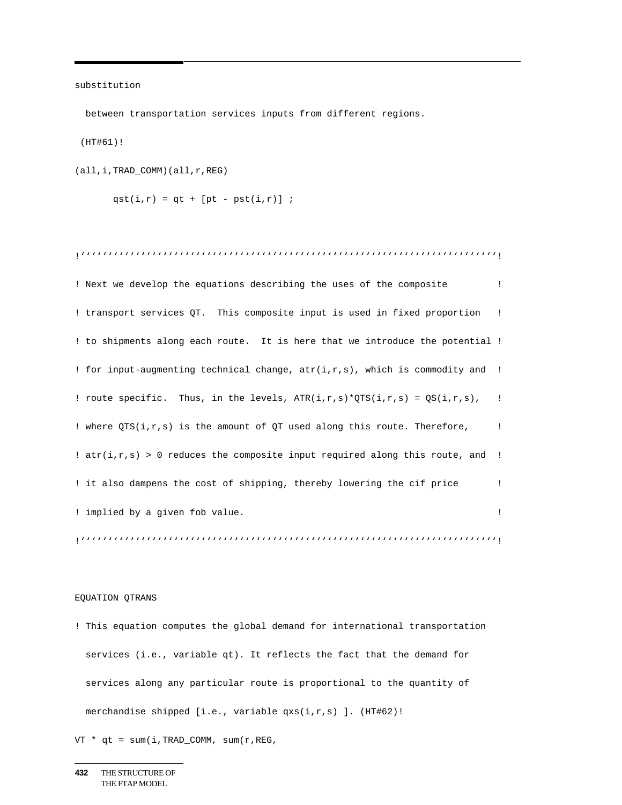substitution

between transportation services inputs from different regions.

(HT#61)!

(all,i,TRAD\_COMM)(all,r,REG)

 $qst(i,r) = qt + [pt - pst(i,r)]$  ;

!''''''''''''''''''''''''''''''''''''''''''''''''''''''''''''''''''''''''''''!

| ! Next we develop the equations describing the uses of the composite               | $\mathbf{I}$ |
|------------------------------------------------------------------------------------|--------------|
| ! transport services QT. This composite input is used in fixed proportion !        |              |
| ! to shipments along each route. It is here that we introduce the potential !      |              |
| ! for input-augmenting technical change, $atr(i, r, s)$ , which is commodity and ! |              |
| ! route specific. Thus, in the levels, $ATR(i,r,s)*QTS(i,r,s) = QS(i,r,s)$ , !     |              |
| ! where $QTS(i,r,s)$ is the amount of $QT$ used along this route. Therefore,       | $\mathbf{1}$ |
| ! $atr(i,r,s) > 0$ reduces the composite input required along this route, and !    |              |
| ! it also dampens the cost of shipping, thereby lowering the cif price             | $\mathbf{I}$ |
| ! implied by a given fob value.                                                    |              |
|                                                                                    |              |

## EQUATION QTRANS

! This equation computes the global demand for international transportation services (i.e., variable qt). It reflects the fact that the demand for services along any particular route is proportional to the quantity of merchandise shipped [i.e., variable qxs(i,r,s) ]. (HT#62)!

 $VT * qt = sum(i, TRAD_COMM, sum(r, REG,$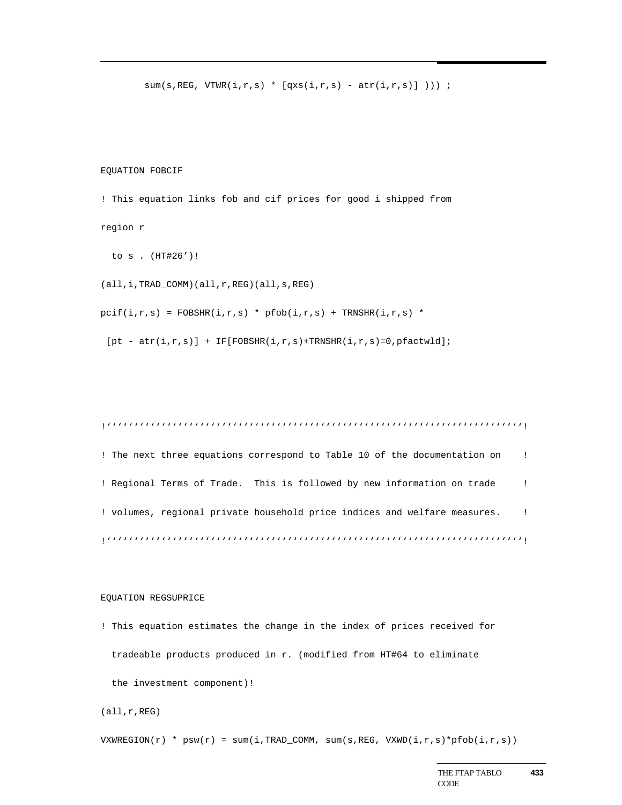$sum(s, REG, VTWR(i, r, s) * [qxs(i, r, s) - atr(i, r, s)])$  )

EQUATION FOBCIF

! This equation links fob and cif prices for good i shipped from

region r

to s . (HT#26')!

(all,i,TRAD\_COMM)(all,r,REG)(all,s,REG)

 $pcif(i,r,s) = FOBSHR(i,r,s) * pfb(i,r,s) + TRNSHR(i,r,s) *$ 

 $[pt - atr(i,r,s)] + IF[FOBSHR(i,r,s)+TRNSHR(i,r,s)=0,pfactwld];$ 

!''''''''''''''''''''''''''''''''''''''''''''''''''''''''''''''''''''''''''''! ! The next three equations correspond to Table 10 of the documentation on ! ! Regional Terms of Trade. This is followed by new information on trade ! ! volumes, regional private household price indices and welfare measures. ! !''''''''''''''''''''''''''''''''''''''''''''''''''''''''''''''''''''''''''''!

### EQUATION REGSUPRICE

! This equation estimates the change in the index of prices received for tradeable products produced in r. (modified from HT#64 to eliminate the investment component)!

(all,r,REG)

 $VXWREGION(r) * psw(r) = sum(i, TRAD_COMM, sum(s, REG, VXWD(i, r, s)*pfob(i, r, s))$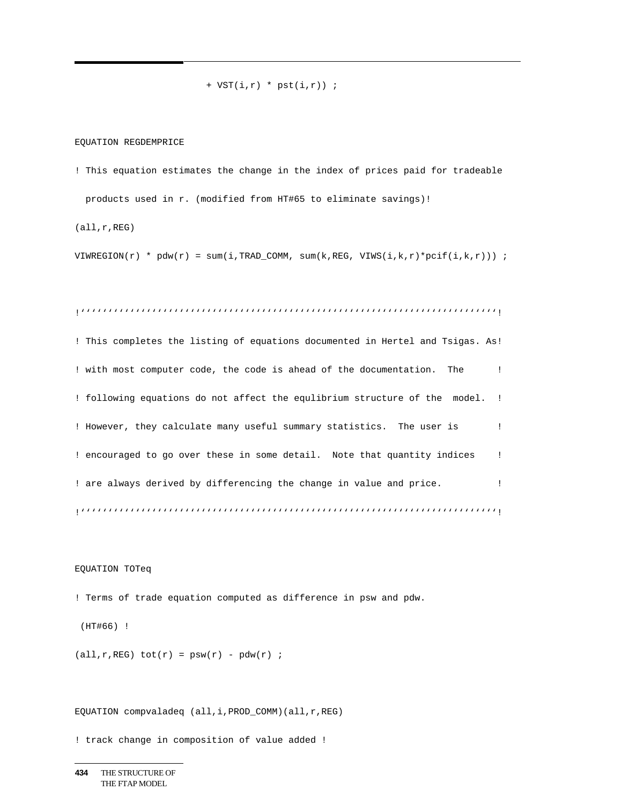+  $VST(i,r) * pst(i,r)$  ;

### EQUATION REGDEMPRICE

! This equation estimates the change in the index of prices paid for tradeable products used in r. (modified from HT#65 to eliminate savings)!

(all,r,REG)

 $VINREGION(r) * pdw(r) = sum(i, TRAD_COMM, sum(k, REG, VINS(i, k, r) *pcif(i, k, r)))$  ;

```
!''''''''''''''''''''''''''''''''''''''''''''''''''''''''''''''''''''''''''''!
! This completes the listing of equations documented in Hertel and Tsigas. As!
! with most computer code, the code is ahead of the documentation. The !
! following equations do not affect the equlibrium structure of the model. !
! However, they calculate many useful summary statistics. The user is \qquad !
! encouraged to go over these in some detail. Note that quantity indices !
! are always derived by differencing the change in value and price. \qquad !
!''''''''''''''''''''''''''''''''''''''''''''''''''''''''''''''''''''''''''''!
```
EQUATION TOTeq

! Terms of trade equation computed as difference in psw and pdw.

(HT#66) !

 $(\text{all}, r, \text{REG})$  tot $(r) = \text{psw}(r) - \text{pdw}(r)$  ;

EQUATION compvaladeq (all,i,PROD\_COMM)(all,r,REG)

! track change in composition of value added !

```
434 THE STRUCTURE OF
     THE FTAP MODEL
```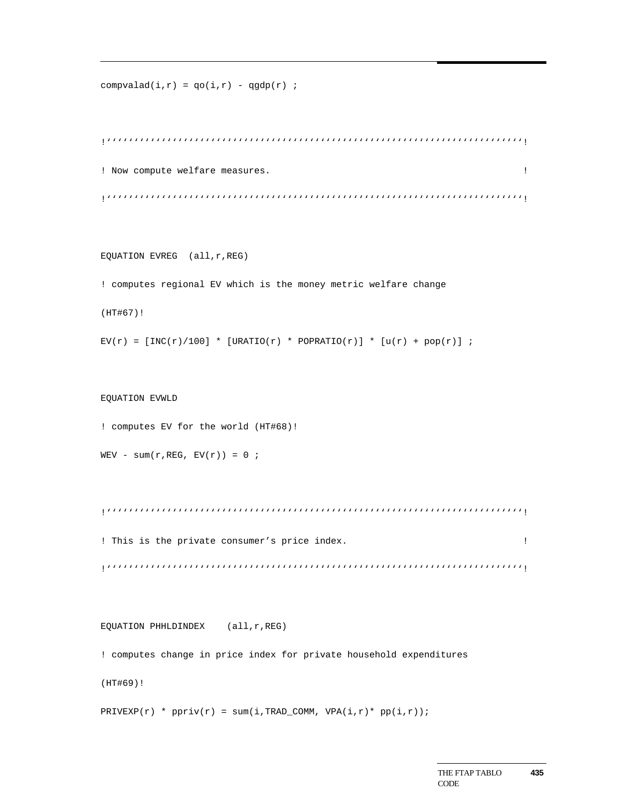```
!''''''''''''''''''''''''''''''''''''''''''''''''''''''''''''''''''''''''''''!
! Now compute welfare measures. !
!''''''''''''''''''''''''''''''''''''''''''''''''''''''''''''''''''''''''''''!
EQUATION EVREG (all, r, REG)
! computes regional EV which is the money metric welfare change
(HT#67)!
EV(r) = [INC(r)/100] * [URATIO(r) * POPRatio(r)] * [u(r) + pop(r)] ;
EQUATION EVWLD
! computes EV for the world (HT#68)!
WEV - sum(r, REG, EV(r)) = 0 ;
!''''''''''''''''''''''''''''''''''''''''''''''''''''''''''''''''''''''''''''!
! This is the private consumer's price index. !
!''''''''''''''''''''''''''''''''''''''''''''''''''''''''''''''''''''''''''''!
EQUATION PHHLDINDEX (all,r,REG)
! computes change in price index for private household expenditures
(HT#69)!
PRIVEXP * ppriv(r) = sum(i,TRAD_COMM, VPA(i,r)* pp(i,r));
```
compvalad(i,r) =  $qo(i,r)$  -  $qgdp(r)$  ;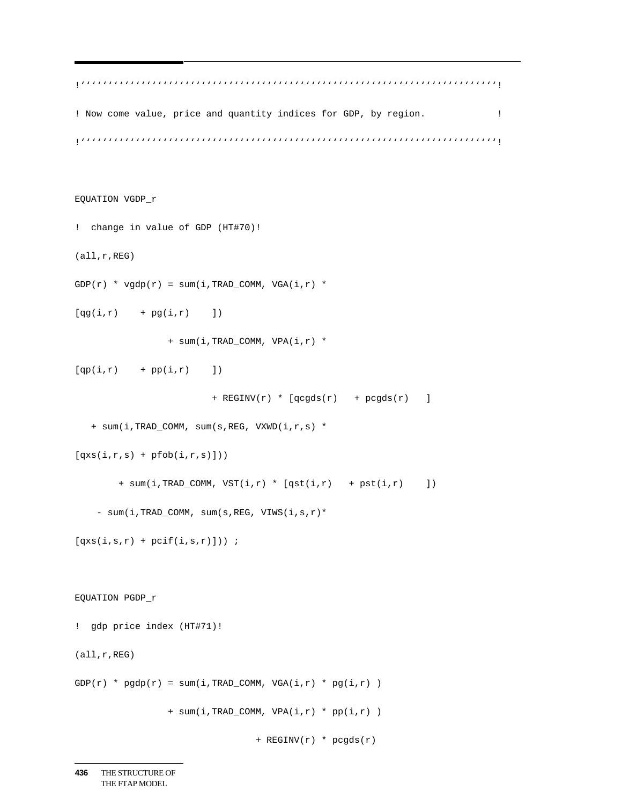```
!''''''''''''''''''''''''''''''''''''''''''''''''''''''''''''''''''''''''''''!
! Now come value, price and quantity indices for GDP, by region. !
!''''''''''''''''''''''''''''''''''''''''''''''''''''''''''''''''''''''''''''!
EQUATION VGDP_r
! change in value of GDP (HT#70)!
(all,r,REG)
GDP(r) * vgdp(r) = sum(i, TRAD_COMM, VGA(i, r) *[qq(i,r) + pg(i,r) ] + sum(i,TRAD_COMM, VPA(i,r) *
[qp(i,r) + pp(i,r) ]+ REGINV(r) * [qcgds(r) + pcgds(r) ]+ sum(i,TRAD_COMM, sum(s,REG, VXWD(i,r,s) *
[qxs(i,r,s) + pfob(i,r,s)])
       + sum(i,TRAD_COMM, VST(i,r) * [qst(i,r) + pst(i,r) ])
    - sum(i,TRAD_COMM, sum(s,REG, VIWS(i,s,r)*
[qxs(i,s,r) + pet(i,s,r)] ) ;
EQUATION PGDP_r
! gdp price index (HT#71)!
(all,r,REG)
GDP(r) * pgdp(r) = sum(i, TRAD_COMM, VGA(i, r) * pg(i, r)) + sum(i,TRAD_COMM, VPA(i,r) * pp(i,r) )
                                + REGINV(r) * pcgds(r)
```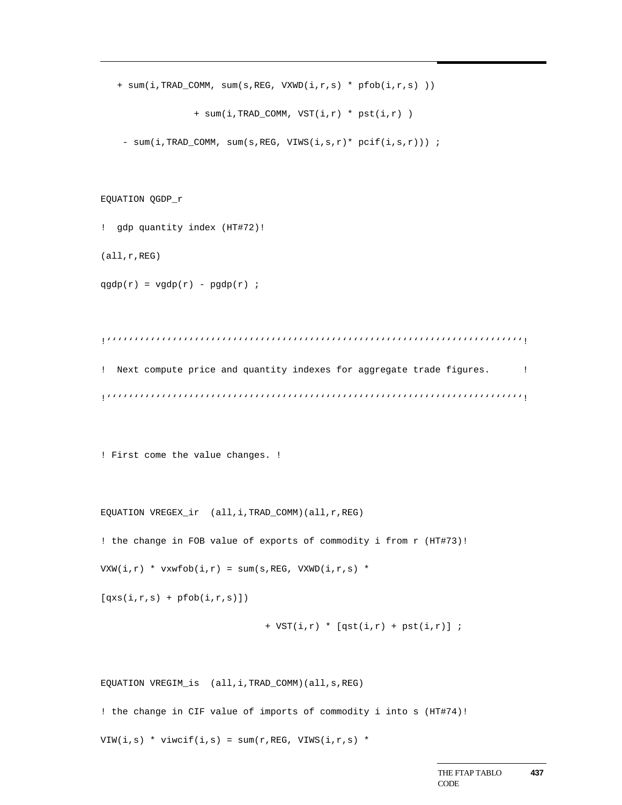```
 + sum(i,TRAD_COMM, sum(s,REG, VXWD(i,r,s) * pfob(i,r,s) ))
               + sum(i,TRAD_COMM, VST(i,r) * pst(i,r) )
 - sum(i,TRAD_COMM, sum(s,REG, VIWS(i,s,r)* pcif(i,s,r))) ;
```
EQUATION QGDP\_r

! gdp quantity index (HT#72)!

(all,r,REG)

 $qgdp(r) = vgdp(r) - pgdp(r)$ ;

!''''''''''''''''''''''''''''''''''''''''''''''''''''''''''''''''''''''''''''! ! Next compute price and quantity indexes for aggregate trade figures. ! !''''''''''''''''''''''''''''''''''''''''''''''''''''''''''''''''''''''''''''!

! First come the value changes. !

EQUATION VREGEX\_ir (all,i,TRAD\_COMM)(all,r,REG)

! the change in FOB value of exports of commodity i from r (HT#73)!

 $VXW(i,r) * vxwfob(i,r) = sum(s, REG, VXWD(i,r,s) *$ 

 $[qxs(i,r,s) + pfob(i,r,s)]$ 

+ VST(i,r) \* [qst(i,r) + pst(i,r)] ;

EQUATION VREGIM\_is (all,i,TRAD\_COMM)(all,s,REG)

! the change in CIF value of imports of commodity i into s (HT#74)!

VIW(i,s) \* viwcif(i,s) = sum(r, REG, VIWS(i, r, s) \*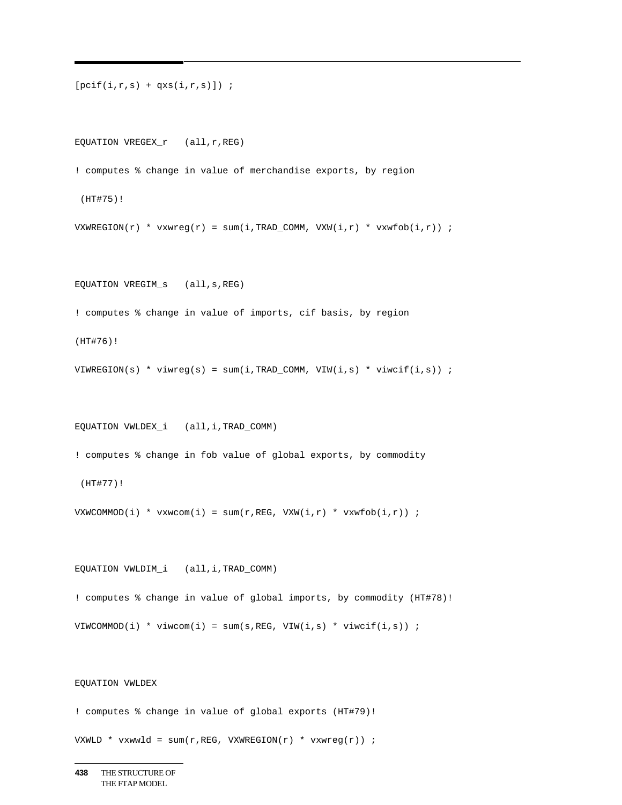```
[pcif(i,r,s) + qxs(i,r,s)]) ;
EQUATION VREGEX r (all,r,REG)
! computes % change in value of merchandise exports, by region
 (HT#75)!
VXWREGION(r) * vxwreg(r) = sum(i, TRAD_COMM, VXW(i,r) * vxwfob(i,r)) ;
EQUATION VREGIM_s (all,s,REG)
! computes % change in value of imports, cif basis, by region
(HT#76)!
VINREGION(s) * viwreg(s) = sum(i, TRAD\_COMM, VIW(i,s) * viwci(i,s)) ;
EQUATION VWLDEX_i (all,i,TRAD_COMM)
! computes % change in fob value of global exports, by commodity
 (HT#77)!
VXWCOMMOD(i) * vxwcom(i) = sum(r, REG, VXW(i,r) * vxwfob(i,r)) ;
EQUATION VWLDIM_i (all,i,TRAD_COMM)
! computes % change in value of global imports, by commodity (HT#78)!
VIWCOMMOD(i) * viwcom(i) = sum(s, REG, VIW(i,s) * viwcif(i,s)) ;
EQUATION VWLDEX
! computes % change in value of global exports (HT#79)!
```

```
VXWLD * vxwwld = sum(r, REG, VXWREGION(r) * vxwreg(r)) ;
```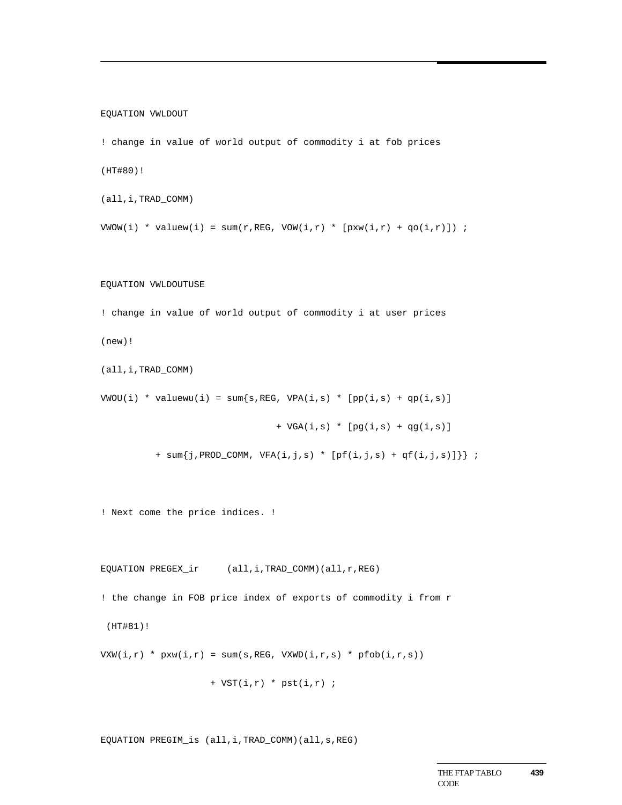```
EQUATION VWLDOUT
! change in value of world output of commodity i at fob prices
(HT#80)!
(all,i,TRAD_COMM)
VWWW(i) * valuew(i) = sum(r, REG, VOW(i,r) * [p x w(i,r) + q o(i,r)]) ;
EQUATION VWLDOUTUSE
! change in value of world output of commodity i at user prices
(new)!
(all,i,TRAD_COMM)
VWOU(i) * valuewu(i) = sum{s, REG, VPA(i,s) * [pp(i,s) + qp(i,s)]}+ VGA(i,s) * [pg(i,s) + qg(i,s)] + sum{j,PROD_COMM, VFA(i,j,s) * [pf(i,j,s) + qf(i,j,s)]}} ;
! Next come the price indices. !
EQUATION PREGEX_ir (all,i,TRAD_COMM)(all,r,REG)
! the change in FOB price index of exports of commodity i from r
 (HT#81)!
VXW(i,r) * pXW(i,r) = sum(s, REG, VXWD(i,r,s) * pfob(i,r,s))+ VST(i,r) * pst(i,r) ;
```
EQUATION PREGIM\_is (all,i,TRAD\_COMM)(all,s,REG)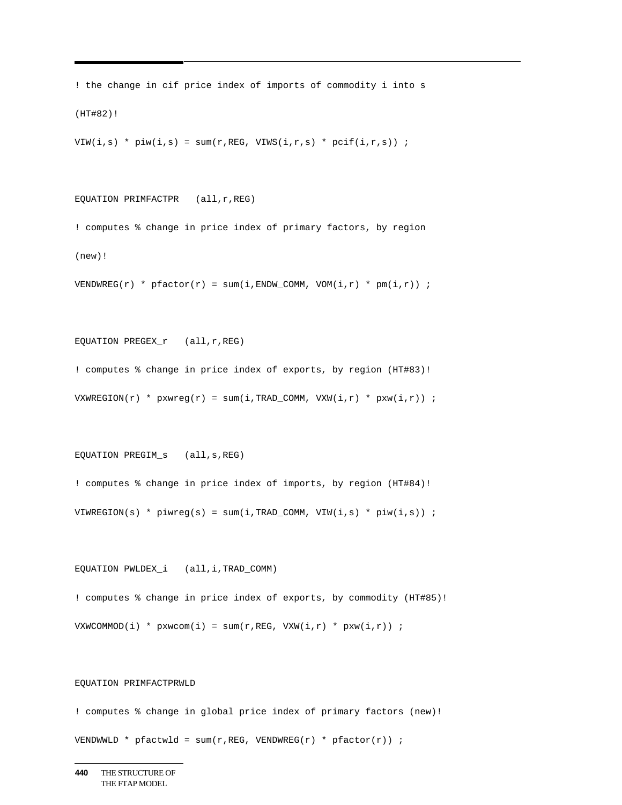! the change in cif price index of imports of commodity i into s (HT#82)!

VIW(i,s) \* piw(i,s) = sum(r,REG, VIWS(i,r,s) \* pcif(i,r,s)) ;

EQUATION PRIMFACTPR (all,r,REG)

! computes % change in price index of primary factors, by region (new)!

VENDWREG(r) \* pfactor(r) = sum(i,ENDW\_COMM, VOM(i,r) \* pm(i,r)) ;

```
EQUATION PREGEX_r (all,r,REG)
```
! computes % change in price index of exports, by region (HT#83)!  $VXWREGION(r) * pxwreg(r) = sum(i,TRAD_COMM, VXW(i,r) * pxw(i,r))$  ;

```
EQUATION PREGIM_s (all,s,REG)
```
! computes % change in price index of imports, by region (HT#84)!

VIWREGION(s) \* piwreg(s) = sum(i,TRAD\_COMM, VIW(i,s) \* piw(i,s)) ;

```
EQUATION PWLDEX_i (all,i,TRAD_COMM)
```

```
! computes % change in price index of exports, by commodity (HT#85)!
VXWCOMMOD(i) * p x w com(i) = sum(r, REG, VXW(i,r) * p x w(i,r)) ;
```
EQUATION PRIMFACTPRWLD

! computes % change in global price index of primary factors (new)! VENDWWLD \* pfactwld = sum(r, REG, VENDWREG(r) \* pfactor(r)) ;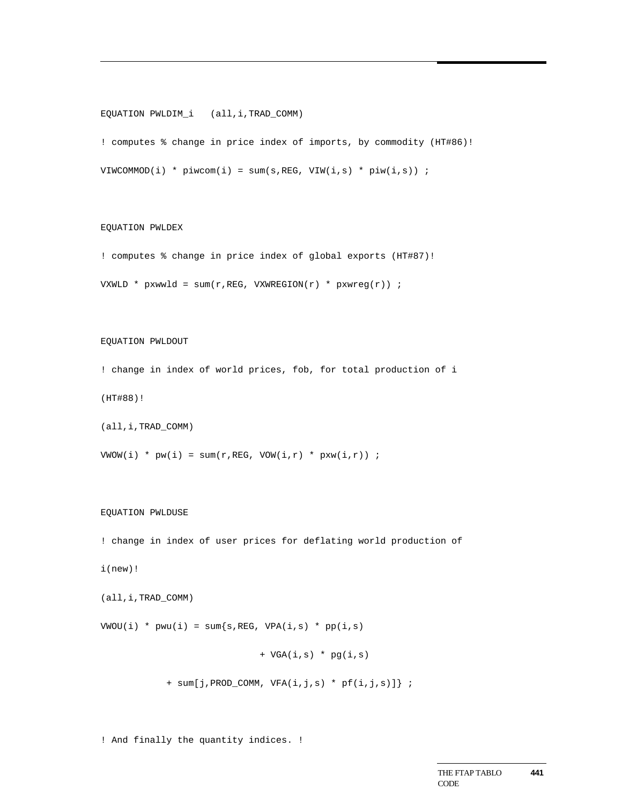```
EQUATION PWLDIM_i (all,i,TRAD_COMM)
```

```
! computes % change in price index of imports, by commodity (HT#86)!
VIWCOMMOD(i) * piwcom(i) = sum(s, REG, VIW(i, s) * piw(i, s)) ;
```
#### EQUATION PWLDEX

```
! computes % change in price index of global exports (HT#87)!
<code>VXWLD * pxwwld = sum(r,REG, VXWREGION(r) * pxwreg(r)) ;</code>
```

```
EQUATION PWLDOUT
```
! change in index of world prices, fob, for total production of i

(HT#88)!

```
(all,i,TRAD_COMM)
```
 $VWWW(i) * pw(i) = sum(r, REG, VOW(i,r) * p x w(i,r))$  ;

```
EQUATION PWLDUSE
! change in index of user prices for deflating world production of
i(new)!
(all,i,TRAD_COMM)
VWOU(i) * pwu(i) = sum{s, REG, VPA(i,s) * pp(i,s)} + VGA(i,s) * pg(i,s)
             + sum[j,PROD_COMM, VFA(i,j,s) * pf(i,j,s)]} ;
```
! And finally the quantity indices. !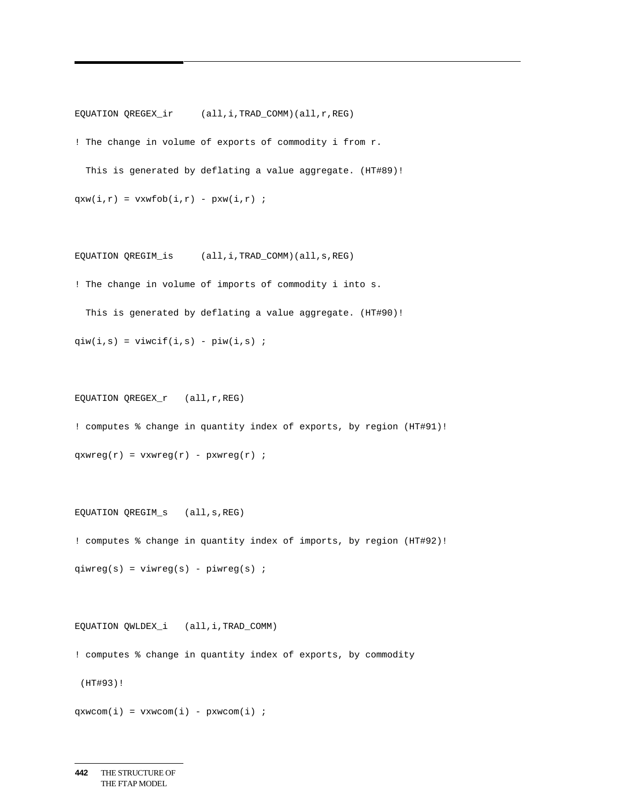EQUATION QREGEX\_ir (all,i,TRAD\_COMM)(all,r,REG)

! The change in volume of exports of commodity i from r.

This is generated by deflating a value aggregate. (HT#89)!

 $q x w(i, r) = v x w fob(i, r) - p x w(i, r)$  ;

EQUATION QREGIM\_is (all,i,TRAD\_COMM)(all,s,REG)

! The change in volume of imports of commodity i into s.

This is generated by deflating a value aggregate. (HT#90)!

 $qiw(i,s) = viwcif(i,s) - piw(i,s)$  ;

EQUATION QREGEX\_r (all,r,REG) ! computes % change in quantity index of exports, by region (HT#91)!  $qxwreg(r) = vxwreg(r) - pxwreg(r)$  ;

```
EQUATION QREGIM_s (all,s,REG)
! computes % change in quantity index of imports, by region (HT#92)!
qiwreg(s) = viwreg(s) - piwreg(s) ;
```
EQUATION QWLDEX\_i (all,i,TRAD\_COMM) ! computes % change in quantity index of exports, by commodity (HT#93)!

 $qxwcom(i) = vxwcom(i) - pxwcom(i)$  ;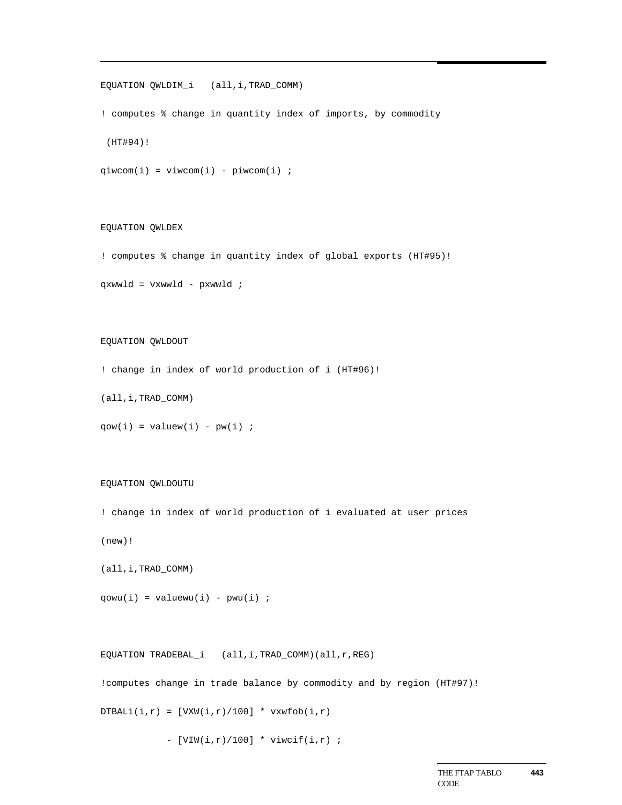```
EQUATION QWLDIM_i (all,i,TRAD_COMM)
! computes % change in quantity index of imports, by commodity
 (HT#94)!
qivcom(i) = viwcom(i) - piwcom(i) ;
```
## EQUATION QWLDEX

! computes % change in quantity index of global exports (HT#95)!

```
qxwwld = vxwwld - pxwwld ;
```

```
EQUATION QWLDOUT
```
! change in index of world production of i (HT#96)!

(all,i,TRAD\_COMM)

```
qow(i) = valuew(i) - pw(i) ;
```

```
EQUATION QWLDOUTU
```
! change in index of world production of i evaluated at user prices

(new)!

```
(all,i,TRAD_COMM)
```

```
qowu(i) = valuewu(i) - pwu(i) ;
```

```
EQUATION TRADEBAL_i (all,i,TRAD_COMM)(all,r,REG)
```
!computes change in trade balance by commodity and by region (HT#97)!

DTBALi $(i,r) = [VXW(i,r)/100] * vXW[ob(i,r)]$ 

 $-$  [VIW(i,r)/100] \* viwcif(i,r) ;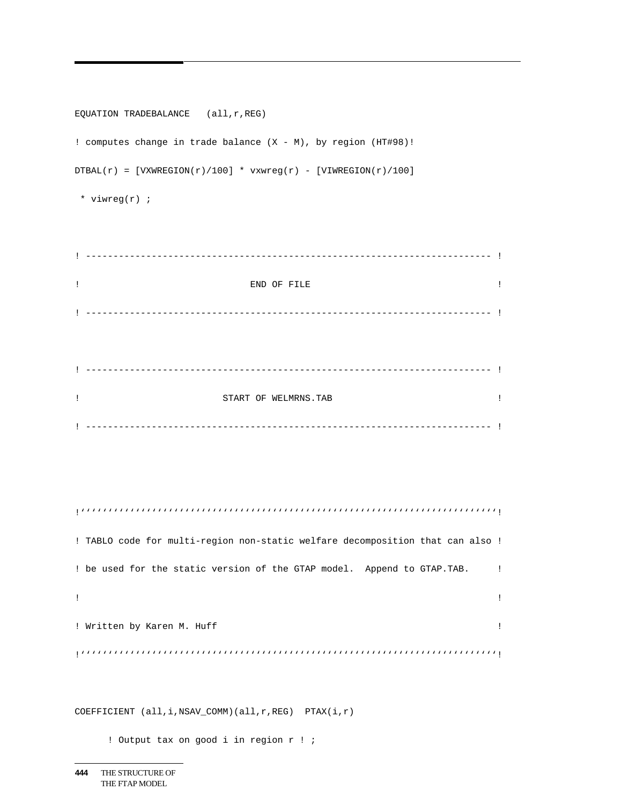```
EQUATION TRADEBALANCE (all,r,REG)
! computes change in trade balance (X - M), by region (HT#98)!
DTBAL(r) = [VXWREGION(r)/100] * vxwreg(r) - [VIWREGION(r)/100] * viwreg(r) ;
! -------------------------------------------------------------------------- !
! END OF FILE !
! -------------------------------------------------------------------------- !
! -------------------------------------------------------------------------- !
! START OF WELMRNS.TAB !
! -------------------------------------------------------------------------- !
!''''''''''''''''''''''''''''''''''''''''''''''''''''''''''''''''''''''''''''!
! TABLO code for multi-region non-static welfare decomposition that can also !
! be used for the static version of the GTAP model. Append to GTAP.TAB. !
! !
! Written by Karen M. Huff !
!''''''''''''''''''''''''''''''''''''''''''''''''''''''''''''''''''''''''''''!
COEFFICIENT (all,i,NSAV_COMM)(all,r,REG) PTAX(i,r)
     ! Output tax on good i in region r ! ;
```
**444** THE STRUCTURE OF THE FTAP MODEL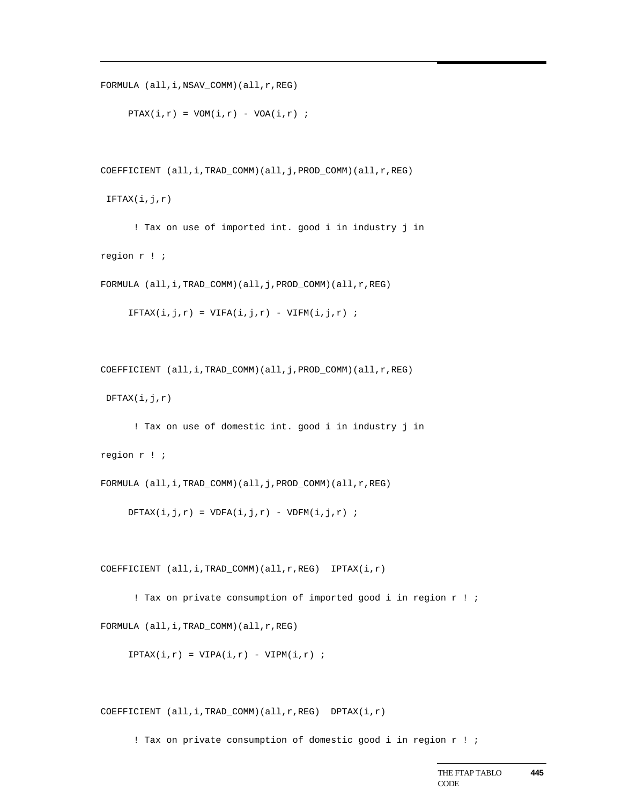```
FORMULA (all,i,NSAV_COMM)(all,r,REG)
```

```
PTAX(i, r) = VOM(i, r) - VOA(i, r);
```

```
COEFFICIENT (all,i,TRAD_COMM)(all,j,PROD_COMM)(all,r,REG)
```
 $IFTAX(i,j,r)$ 

! Tax on use of imported int. good i in industry j in

region r ! ;

FORMULA (all,i,TRAD\_COMM)(all,j,PROD\_COMM)(all,r,REG)

 $IFTAX(i,j,r) = VIFA(i,j,r) - VIFM(i,j,r)$ ;

COEFFICIENT (all,i,TRAD\_COMM)(all,j,PROD\_COMM)(all,r,REG)

 $DFTAX(i,j,r)$ 

 ! Tax on use of domestic int. good i in industry j in region r ! ;

FORMULA (all,i,TRAD\_COMM)(all,j,PROD\_COMM)(all,r,REG)

 $DFTAX(i,j,r) = VDFA(i,j,r) - VDFM(i,j,r)$ ;

COEFFICIENT  $(all,i,TRAD_COMM)(all,r,REG) IPTAX(i,r)$ 

! Tax on private consumption of imported good i in region r ! ;

FORMULA (all,i,TRAD\_COMM)(all,r,REG)

 $IPTAX(i,r) = VIPA(i,r) - VIPM(i,r)$  ;

COEFFICIENT  $(all,i,TRAD$  COMM $)(all,r,REG)$  DPTAX $(i,r)$ 

! Tax on private consumption of domestic good i in region r ! ;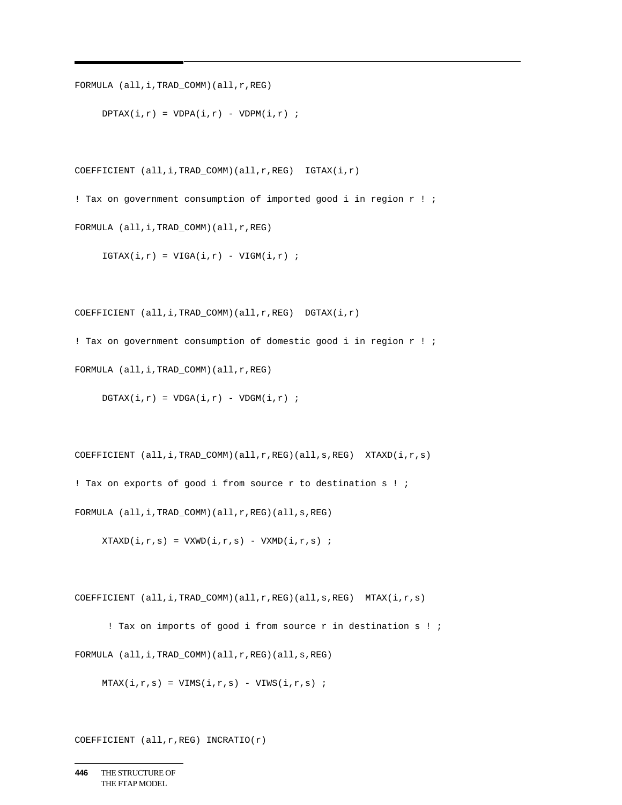```
FORMULA (all,i,TRAD_COMM)(all,r,REG)
```

```
DPTAX(i,r) = VDPA(i,r) - VDPM(i,r);
```
COEFFICIENT (all,i,TRAD\_COMM)(all,r,REG) IGTAX(i,r)

! Tax on government consumption of imported good i in region r ! ;

```
FORMULA (all,i,TRAD_COMM)(all,r,REG)
```

```
IGTAX(i,r) = VIGA(i,r) - VIGM(i,r);
```

```
COEFFICIENT (all,i,TRAD_COMM)(all,r,REG) DGTAX(i,r)
```

```
! Tax on government consumption of domestic good i in region r ! ;
FORMULA (all,i,TRAD_COMM)(all,r,REG)
```
 $DGTAX(i,r) = VDGA(i,r) - VDGM(i,r)$  ;

```
COEFFICIENT (all,i,TRAD\_COMM)(all,r,REG)(all,s,REG) XTAXD(i,r,s)! Tax on exports of good i from source r to destination s ! ;
FORMULA (all,i,TRAD_COMM)(all,r,REG)(all,s,REG)
```
 $XTAXD(i,r,s) = VXWD(i,r,s) - VXMD(i,r,s)$  ;

```
COEFFICIENT (all,i,TRAD_COMM)(all,r,REG)(all,s,REG) MTAX(i,r,s)
```
! Tax on imports of good i from source r in destination s ! ;

FORMULA (all,i,TRAD\_COMM)(all,r,REG)(all,s,REG)

 $MTAX(i,r,s) = VIMS(i,r,s) - VINS(i,r,s)$  ;

COEFFICIENT  $(all,r,REG) INCRATIO(r)$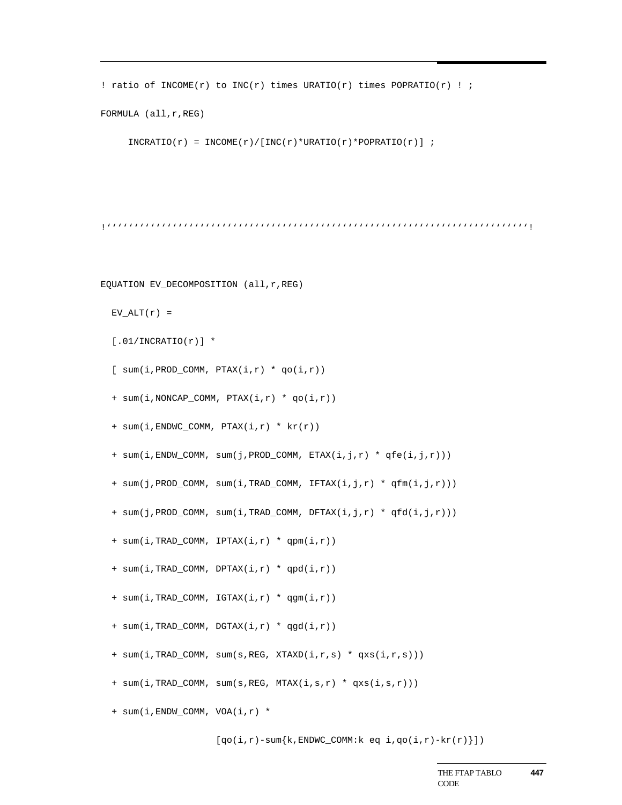```
! ratio of INCOME(r) to INC(r) times URATIO(r) times POPRATIO(r) ! ;
FORMULA (all,r,REG)
     INCRATION = INCOMP(r)/[INC(r)*URATIO(r)*POPRATION(r)];
!'''''''''''''''''''''''''''''''''''''''''''''''''''''''''''''''''''''''''''''!
EQUATION EV_DECOMPOSITION (all,r,REG)
 EV\_ALT(r) =[.01/INCRATIO(r)] *
  [ sum(i, PROD_COMM, PTAX(i,r) * qo(i,r))]
```

```
 + sum(i,NONCAP_COMM, PTAX(i,r) * qo(i,r))
```

```
 + sum(i,ENDWC_COMM, PTAX(i,r) * kr(r))
```

```
+ \text{sum}(i, \text{ENDW\_COMM}, \text{sum}(j, \text{PROD\_COMM}, \text{ETAX}(i, j, r) * \text{qfe}(i, j, r))))
```
+ sum(j,PROD\_COMM, sum(i,TRAD\_COMM, IFTAX(i,j,r) \* qfm(i,j,r)))

```
+ sum(j,PROD_COMM, sum(i,TRAD_COMM, DFTAX(i,j,r) * qfd(i,j,r)))
```

```
 + sum(i,TRAD_COMM, IPTAX(i,r) * qpm(i,r))
```

```
 + sum(i,TRAD_COMM, DPTAX(i,r) * qpd(i,r))
```

```
 + sum(i,TRAD_COMM, IGTAX(i,r) * qgm(i,r))
```

```
 + sum(i,TRAD_COMM, DGTAX(i,r) * qgd(i,r))
```

```
 + sum(i,TRAD_COMM, sum(s,REG, XTAXD(i,r,s) * qxs(i,r,s)))
```

```
 + sum(i,TRAD_COMM, sum(s,REG, MTAX(i,s,r) * qxs(i,s,r)))
```
+ sum(i,ENDW\_COMM, VOA(i,r) \*

 $[qo(i,r)-sum\{k,ENDWC\_COMM: k eq i, qo(i,r)-kr(r)\}]$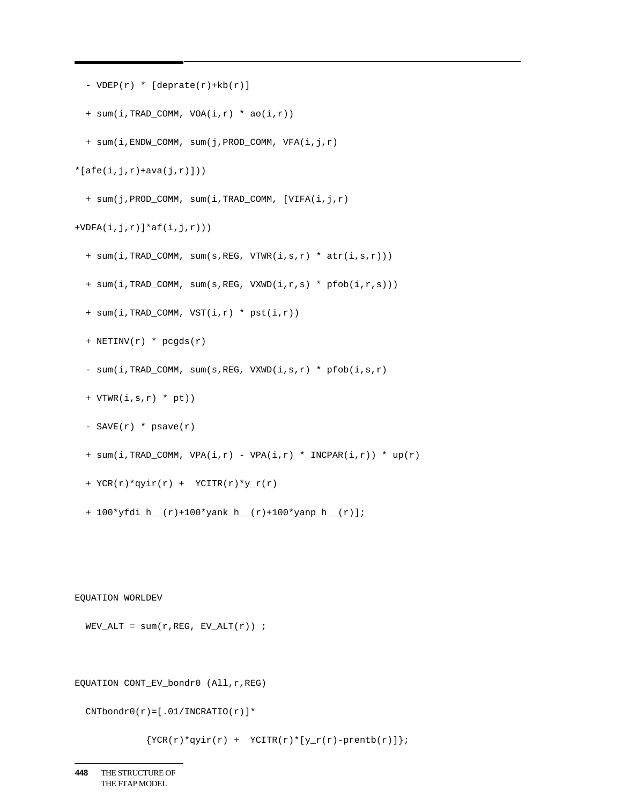```
- VDEF(r) * [degree(r)+kb(r)]
```
- + sum(i,TRAD\_COMM, VOA(i,r) \* ao(i,r))
- + sum(i,ENDW COMM, sum(j,PROD COMM, VFA(i,j,r)

```
*(afe(i,j,r)+ava(j,r))
```
+ sum(j,PROD\_COMM, sum(i,TRAD\_COMM, [VIFA(i,j,r)

```
+VDFA(i,j,r)]*af(i,j,r))
```
- + sum(i,TRAD\_COMM, sum(s,REG, VTWR(i,s,r) \* atr(i,s,r)))
- + sum(i,TRAD\_COMM, sum(s,REG, VXWD(i,r,s) \* pfob(i,r,s)))
- + sum(i,TRAD\_COMM, VST(i,r) \* pst(i,r))
- + NETINV(r) \* pcgds(r)
- sum(i,TRAD\_COMM, sum(s,REG, VXWD(i,s,r) \* pfob(i,s,r)
- + VTWR(i,s,r) \* pt))
- $SAVE(r) * psave(r)$
- +  $sum(i,TRAD_COMM, VPA(i,r) VPA(i,r) * INCPAR(i,r)) * up(r)$
- +  $YCR(r)*qyir(r) + YCITR(r)*y_r(r)$
- + 100\*yfdi\_h\_\_(r)+100\*yank\_h\_\_(r)+100\*yanp\_h\_\_(r)];

EQUATION WORLDEV

```
\texttt{WEV\_ALT} = \texttt{sum}(\texttt{r}, \texttt{REG}, \texttt{EV\_ALT}(\texttt{r})) \texttt{;}
```
EQUATION CONT\_EV\_bondr0 (All,r,REG)

```
\text{CNTbondr0}(r) = [\, .01/\text{INCRATIO}(r) \, ]*
```
 ${YCR(r)*qyir(r) + YCITR(r)*[y_r(r)-prentb(r)]};$ 

**448** THE STRUCTURE OF THE FTAP MODEL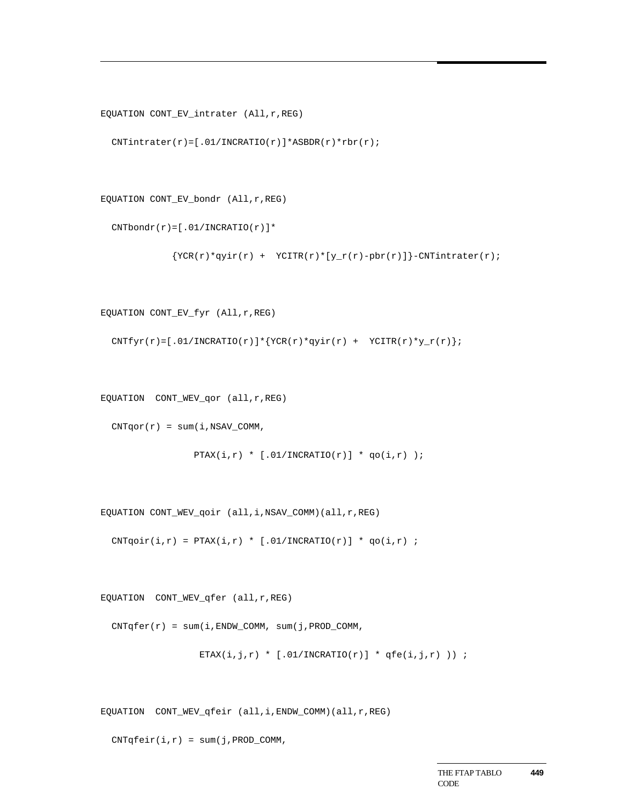```
EQUATION CONT_EV_intrater (All,r,REG)
 CNTintrater(r)=[.01/INCRATIO(r)]*ASBDR(r)*rbr(r);
```

```
EQUATION CONT_EV_bondr (All,r,REG)
```

```
\text{CNTbondr}(r) = [.01/INCRATIO(r)]*
```
 ${YCR(r)*qyir(r) + YCITR(r)*[y_r(r)-pbr(r)]}-CNTintrater(r);}$ 

```
EQUATION CONT_EV_fyr (All,r,REG)
```

```
CNTfyr(r)=[.01/INCRATIO(r)]*{YCR(r)*qyir(r) + YCITR(r)*y_r(r)};
```
EQUATION CONT\_WEV\_qor (all,r,REG)

 $CNTqor(r) = sum(i,NSAV_COMM,$ 

```
PTAX(i,r) * [.01/INCRATIO(r)] * qo(i,r) );
```
EQUATION CONT\_WEV\_qoir (all,i,NSAV\_COMM)(all,r,REG)

```
\text{CNTqoir}(i,r) = \text{PTAX}(i,r) * [.01/\text{INCRATION}(r)] * qo(i,r) ;
```

```
EQUATION CONT_WEV_qfer (all,r,REG)
```
 $CNTqfer(r) = sum(i, ENDW_COMM, sum(j,PROD_COMM,$ 

```
ETAX(i,j,r) * [.01/INCRATIO(r)] * qfe(i,j,r) )) ;
```
EQUATION CONT\_WEV\_qfeir (all,i,ENDW\_COMM)(all,r,REG)

 $CNTqfeir(i,r) = sum(j,PROD_COMM,$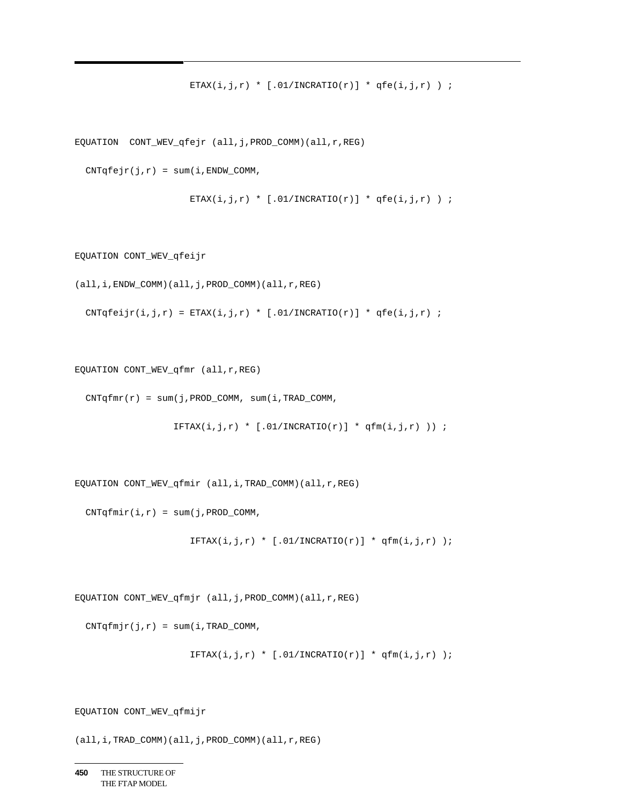ETAX(i,j,r) \*  $[.01/INCRATION(r)]$  \* qfe(i,j,r) ) ;

EQUATION CONT\_WEV\_qfejr (all,j,PROD\_COMM)(all,r,REG)

 $CNTqfejr(j,r) = sum(i, ENDW_COMM,$ 

ETAX(i,j,r) \*  $[.01/INCRATION(r)]$  \* qfe(i,j,r) ) ;

EQUATION CONT\_WEV\_qfeijr

(all,i,ENDW\_COMM)(all,j,PROD\_COMM)(all,r,REG)

 $CNTqfeijr(i,j,r) = ETAX(i,j,r) * [.01/INCRATIO(r)] * qfe(i,j,r)$  ;

EQUATION CONT\_WEV\_qfmr (all,r,REG)

 $CNTqfmr(r) = sum(j,PROD_COMM, sum(i,TRAD_COMM,$ 

 $IFTAX(i,j,r) * [.01/INCRATION]) * qfm(i,j,r) )$  ;

EQUATION CONT\_WEV\_qfmir (all,i,TRAD\_COMM)(all,r,REG)

 $CNTqfmir(i,r) = sum(j,PROD_COMM,$ 

IFTAX $(i,j,r)$  \*  $[.01/INCRATIO(r)]$  \* qfm $(i,j,r)$  );

EQUATION CONT\_WEV\_qfmjr (all,j,PROD\_COMM)(all,r,REG)

 $CNTqfmjr(j,r) = sum(i,TRAD_COMM,$ 

IFTAX(i,j,r) \* [.01/INCRATIO(r)] \*  $qfm(i,j,r)$  );

EQUATION CONT\_WEV\_qfmijr

(all,i,TRAD\_COMM)(all,j,PROD\_COMM)(all,r,REG)

**450** THE STRUCTURE OF THE FTAP MODEL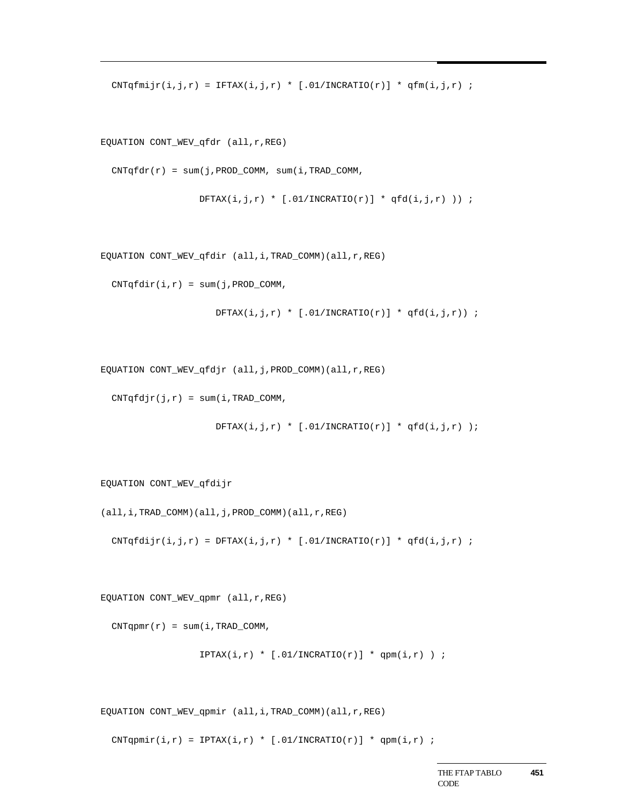```
CNTqfmijr(i,j,r) = IFTAX(i,j,r) * [.01/INCRATION]) * qfm(i,j,r);
```
EQUATION CONT\_WEV\_qfdr (all,r,REG)

 $CNTqfdr(r) = sum(j,PROD_COMM, sum(i,TRAD_COMM,$ 

DFTAX $(i,j,r)$  \*  $[.01/INCRATIO(r)]$  \*  $qfd(i,j,r)$  )) ;

EQUATION CONT\_WEV\_qfdir (all,i,TRAD\_COMM)(all,r,REG)

 $CNTqfdir(i,r) = sum(j,PROD_COMM,$ 

 $DFTAX(i,j,r) * [.01/INCRATION]) * qfd(i,j,r))$  ;

EQUATION CONT\_WEV\_qfdjr (all,j,PROD\_COMM)(all,r,REG)

 $CNTqfdjr(j,r) = sum(i,TRAD_COMM,$ 

 $DFTAX(i,j,r) * [.01/INCRATION]) * qfd(i,j,r)$  );

EQUATION CONT\_WEV\_qfdijr

(all,i,TRAD\_COMM)(all,j,PROD\_COMM)(all,r,REG)

 $\texttt{CNTqfdijr}(i,j,r) = \texttt{DFTAX}(i,j,r) * [.01/\texttt{INCRATION}(r)] * qfd(i,j,r) ;$ 

EQUATION CONT\_WEV\_qpmr (all,r,REG)

 $\text{CNTqpm}(r) = \text{sum}(i, \text{TRAD\_COMM},$ 

```
IPTAX(i, r) * [.01/INCRATION(r)] * qpm(i, r) ) ;
```
EQUATION CONT\_WEV\_qpmir (all,i,TRAD\_COMM)(all,r,REG)

 $\text{CNTqpmir}(i,r) = \text{IPTAX}(i,r) * [.01/\text{INCRATIO}(r)] * qpm(i,r)$  ;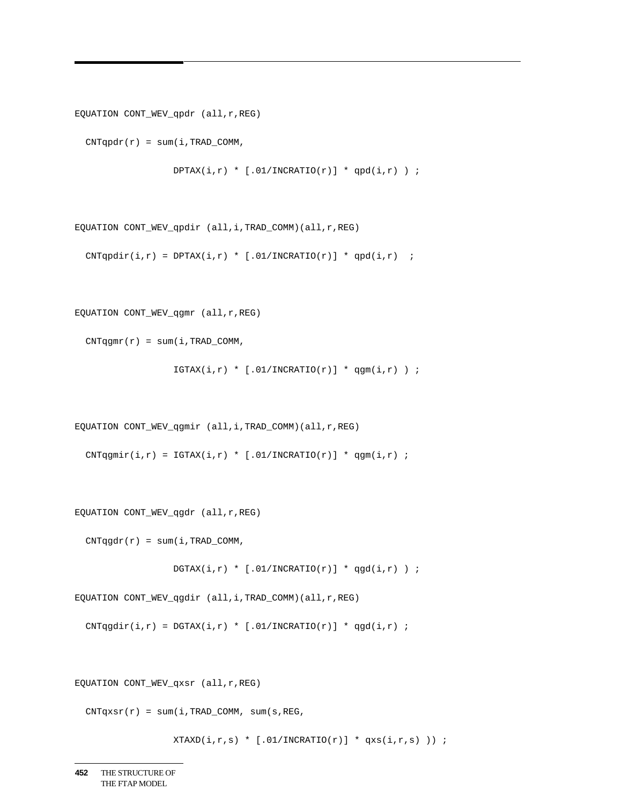```
EQUATION CONT_WEV_qpdr (all,r,REG)
```

```
CNTqpdr(r) = sum(i,TRAD_COMM,
```

```
DPTAX(i, r) * [.01/INCRATIO(r)] * qpd(i, r) ) ;
```
EQUATION CONT\_WEV\_qpdir (all,i,TRAD\_COMM)(all,r,REG)

```
\texttt{CNTqpdf}(i,r) = \texttt{DPTAX}(i,r) * [.01/\texttt{INCRATION}(r)] * \texttt{qpd}(i,r) \quad ;
```
EQUATION CONT\_WEV\_qgmr (all,r,REG)

```
CNTqgmr(r) = sum(i, TRAD_COMM,
```

```
IGTAX(i,r) * [.01/INCRATIO(r)] * qgm(i,r) ) ;
```
EQUATION CONT\_WEV\_qgmir (all,i,TRAD\_COMM)(all,r,REG)

```
CNTqgmir(i,r) = IGTAX(i,r) * [.01/INCRATIO(r)] * qgm(i,r) ;
```
EQUATION CONT\_WEV\_qgdr (all,r,REG)

 $\texttt{CNTqgdr}(r) = \texttt{sum}(i, \texttt{TRAD\_COMM},$ 

 $DGTAX(i,r) * [.01/INCRATIO(r)] * qgd(i,r) ) ;$ 

EQUATION CONT\_WEV\_qgdir (all,i,TRAD\_COMM)(all,r,REG)

 $\texttt{CNTqgdir}(i,r) = \texttt{DGTAX}(i,r) * [.01/\texttt{INCRATION}[r)] * qgd(i,r)$  ;

EQUATION CONT\_WEV\_qxsr (all,r,REG)

 $CNTqxsr(r) = sum(i, TRAD_COMM, sum(s, REG,$ 

 $\text{XTAND}(i,r,s)$  \*  $[.01/\text{INCRATION}(r)]$  \*  $qxs(i,r,s)$  )) ;

**452** THE STRUCTURE OF THE FTAP MODEL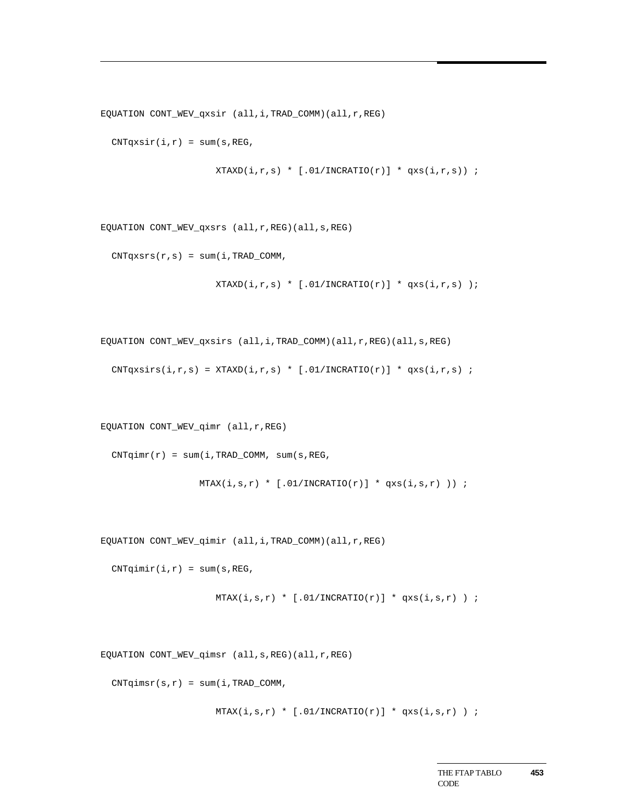```
EQUATION CONT_WEV_qxsir (all,i,TRAD_COMM)(all,r,REG)
```

```
CNTqxsir(i,r) = sum(s, REG,
```
 $XTAND(i,r,s) * [.01/INCRATION() * qxs(i,r,s))$  ;

```
EQUATION CONT_WEV_qxsrs (all,r,REG)(all,s,REG)
```

```
CNTqxsrs(r,s) = sum(i,TRAD_COMM,
```

```
\texttt{XTAND}(i,r,s) * [.01/INCRATIO(r)] * qxs(i,r,s) );
```

```
EQUATION CONT_WEV_qxsirs (all,i,TRAD_COMM)(all,r,REG)(all,s,REG)
```

```
CNTqxsirs(i,r,s) = XTAXD(i,r,s) * [.01/INCRATIO(r)] * qxs(i,r,s) ;
```
EQUATION CONT\_WEV\_qimr (all,r,REG)

 $CNTqimr(r) = sum(i, TRAD_COMM, sum(s, REG,$ 

```
MTAX(i,s,r) * [.01/INCRATION]) * qxs(i,s,r) ) ;
```
EQUATION CONT\_WEV\_qimir (all,i,TRAD\_COMM)(all,r,REG)

 $CNTqimir(i, r) = sum(s, REG, r)$ 

 $MTAX(i,s,r) * [.01/INCRATION]) * qxs(i,s,r)$  ;

EQUATION CONT\_WEV\_qimsr (all,s,REG)(all,r,REG)

 $CNTqimsr(s,r) = sum(i,TRAD_COMM,$ 

 $MTAX(i,s,r) * [.01/INCRATION(r)] * qxs(i,s,r) )$  ;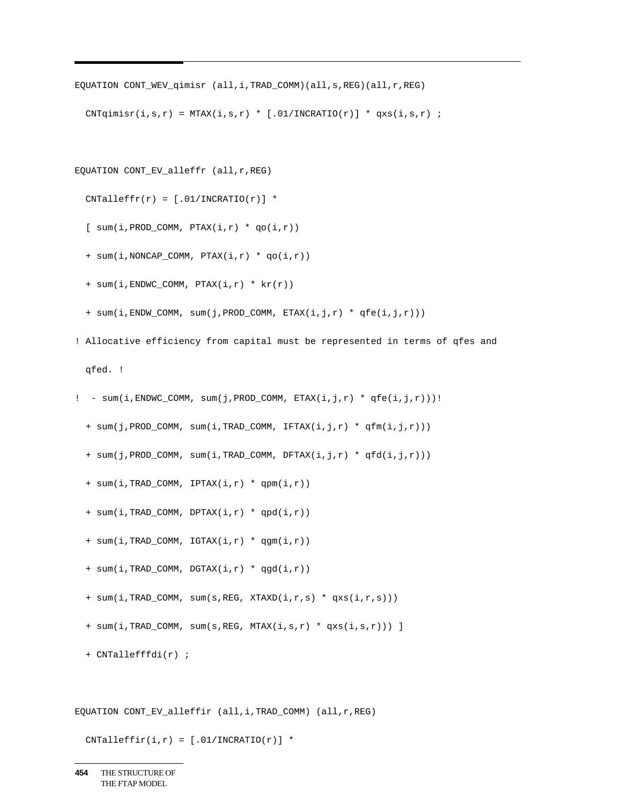```
EQUATION CONT_WEV_qimisr (all,i,TRAD_COMM)(all,s,REG)(all,r,REG)
  \text{CNTqimis}(i,s,r) = \text{MTAX}(i,s,r) * [.01/\text{INCRATION}) * qxs(i,s,r) ;
EQUATION CONT_EV_alleffr (all,r,REG)
  CNTalleffr(r) = [.01/INCRATIO(r)] *
  [ sum(i, PROD_COMM, PTAX(i,r) * qo(i,r))] + sum(i,NONCAP_COMM, PTAX(i,r) * qo(i,r))
   + sum(i,ENDWC_COMM, PTAX(i,r) * kr(r))
  + sum(i,ENDW_COMM, sum(j,PROD_COMM, ETAX(i,j,r) * qfe(i,j,r)))
! Allocative efficiency from capital must be represented in terms of qfes and
   qfed. !
! - sum(i,ENDWC_COMM, sum(j,PROD_COMM, ETAX(i,j,r) * qfe(i,j,r)))!
  + sum(j,PROD_COMM, sum(i,TRAD_COMM, IFTAX(i,j,r) * qfm(i,j,r)))
  + sum(j,PROD_COMM, sum(i,TRAD_COMM, DFTAX(i,j,r) * qfd(i,j,r)))
   + sum(i,TRAD_COMM, IPTAX(i,r) * qpm(i,r))
   + sum(i,TRAD_COMM, DPTAX(i,r) * qpd(i,r))
   + sum(i,TRAD_COMM, IGTAX(i,r) * qgm(i,r))
   + sum(i,TRAD_COMM, DGTAX(i,r) * qgd(i,r))
   + sum(i,TRAD_COMM, sum(s,REG, XTAXD(i,r,s) * qxs(i,r,s)))
   + sum(i,TRAD_COMM, sum(s,REG, MTAX(i,s,r) * qxs(i,s,r))) ]
   + CNTallefffdi(r) ;
EQUATION CONT_EV_alleffir (all,i,TRAD_COMM) (all,r,REG)
```
 $CNTalleffir(i,r) = [.01/INCRATION(i)]$  \*

**454** THE STRUCTURE OF THE FTAP MODEL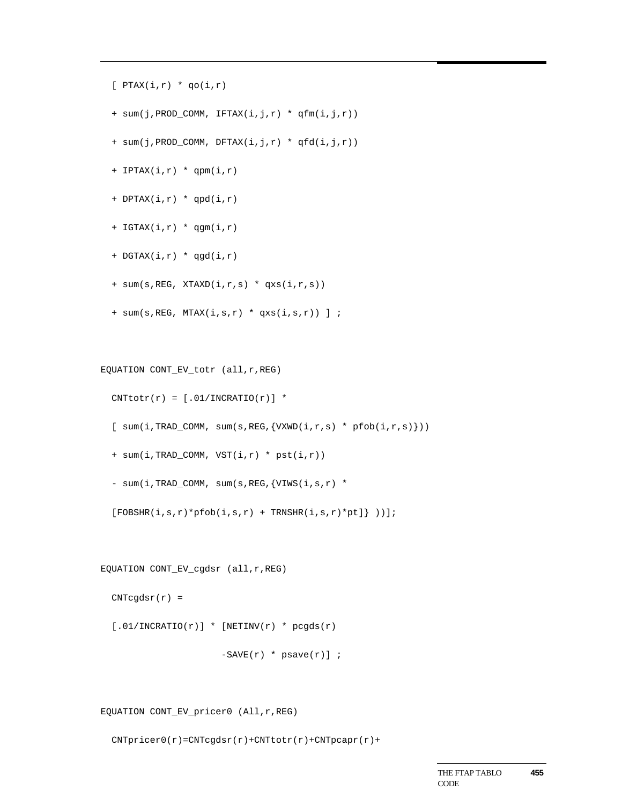```
[ PTAX(i,r) * qo(i,r) + sum(j,PROD_COMM, IFTAX(i,j,r) * qfm(i,j,r))
 + sum(j,PROD_COMM, DFTAX(i,j,r) * qfd(i,j,r))
+ IPTAX(i,r) * qpm(i,r)+ DPTAX(i, r) * qpd(i, r)+ IGTAX(i,r) * qgm(i,r) + DGTAX(i,r) * qgd(i,r)
 + sum(s,REG, XTAXD(i,r,s) * qxs(i,r,s))
 + sum(s,REG, MTAX(i,s,r) * qxs(i,s,r)) ] ;
```

```
EQUATION CONT_EV_totr (all,r,REG)
```

```
\text{CNTtotr}(r) = [.01/\text{INCRATION}(r)] *
```
 $[ sum(i, TRAD_COMM, sum(s, REG, {VXWD(i, r, s) * pfob(i, r, s)}))$ 

+ sum(i,TRAD\_COMM, VST(i,r) \* pst(i,r))

```
- sum(i,TRAD_COMM, sum(s,REG, {VIWS(i,s,r) *
```

```
[FOBSHR(i,s,r)*pfb(i,s,r) + TRNSHR(i,s,r)*pt] ))];
```

```
EQUATION CONT_EV_cgdsr (all,r,REG)
```

```
CNTcgdsr(r) =
```

```
[0.01/\texttt{INCRATION}(r)] * [\texttt{NETINV}(r) * \texttt{pcgds}(r)]
```

```
-SAVE(r) * psave(r)] ;
```

```
EQUATION CONT_EV_pricer0 (All,r,REG)
```

```
CNTpricer0(r)=CNTcgdsr(r)+CNTtotr(r)+CNTpcapr(r)+
```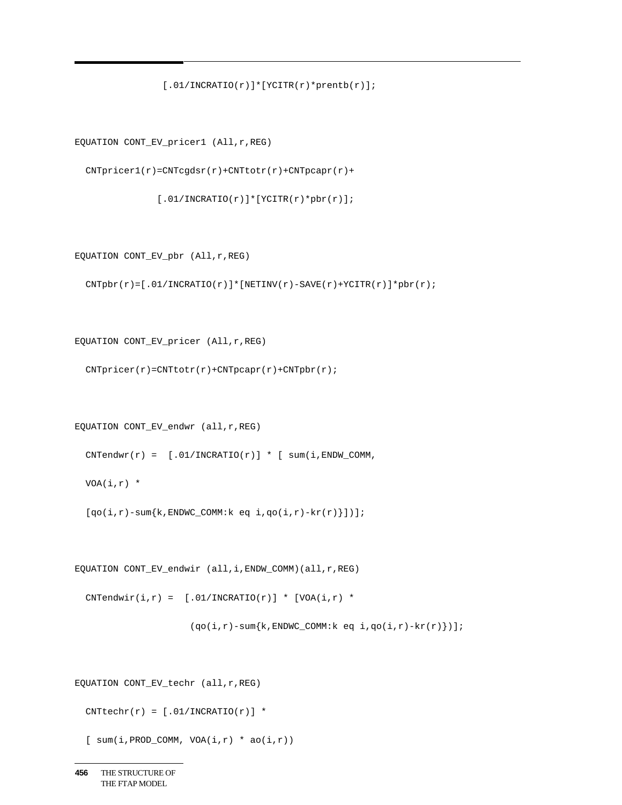$[0.01/INCRATION(r)]$ \* $[YCITR(r)*prentb(r)]$ ;

EQUATION CONT EV pricer1 (All,r,REG)

CNTpricer1(r)=CNTcgdsr(r)+CNTtotr(r)+CNTpcapr(r)+

```
[0.01/INCRATION(r)]*[YCITR(r)*pbr(r)];
```

```
EQUATION CONT_EV_pbr (All,r,REG)
```

```
\text{CNTpbr}(r) = [\, .\, 01/\text{INCRATIO}(r)\,] * [\text{NETINV}(r) - \text{SAVE}(r) + \text{YCITR}(r)\,] * \text{pbr}(r)\,;
```

```
EQUATION CONT_EV_pricer (All,r,REG)
```

```
 CNTpricer(r)=CNTtotr(r)+CNTpcapr(r)+CNTpbr(r);
```

```
EQUATION CONT_EV_endwr (all,r,REG)
```

```
\text{CNTendwr}(r) = [.01/\text{INCRATIO}(r)] * [sum(i, \text{ENDW}\_\text{COMM},
```
 $VOA(i,r)$  \*

 $[qo(i,r)-sum{k,RNDWC\_COMM:k eq i, qo(i,r)-kr(r)]$ ])];

```
EQUATION CONT_EV_endwir (all,i,ENDW_COMM)(all,r,REG)
```
 $CNTendwir(i,r) = [.01/INCRATION]) * [VOA(i,r) *$ 

 $(qo(i,r)-sum{k,ENDWC_COMM:k eq i, qo(i,r)-kr(r)})]$ ;

```
EQUATION CONT_EV_techr (all,r,REG)
```

```
\text{CNTtechn}(r) = [.01/\text{INCRATIO}(r)] *
```

```
[ sum(i, PROD_COMM, VOA(i, r) * ao(i, r))]
```
**456** THE STRUCTURE OF THE FTAP MODEL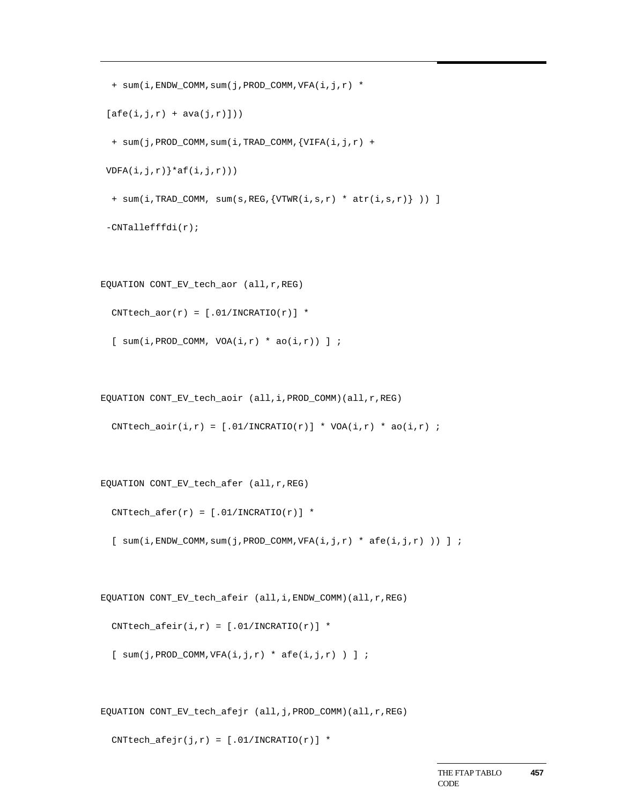```
+ sum(i,ENDW_COMM,sum(j,PROD_COMM,VFA(i,j,r) *
```

```
[afe(i,j,r) + ava(j,r)])
```
+ sum(j,PROD COMM,sum(i,TRAD COMM, {VIFA(i,j,r) +

 $VDFA(i,j,r)$ <sup>\*</sup>af(i,j,r)))

+ sum(i,TRAD\_COMM, sum(s,REG, $\{VTWR(i,s,r) * atr(i,s,r)\}\)$ ) ]

-CNTallefffdi(r);

```
EQUATION CONT_EV_tech_aor (all,r,REG)
```

```
\text{CNTtech\_aor}(r) = [.01/\text{INCRATIO}(r)] *
```

```
[ sum(i, PROD_COMM, VOA(i,r) * ao(i,r))] ;
```
EQUATION CONT\_EV\_tech\_aoir (all,i,PROD\_COMM)(all,r,REG)

 $\text{CNTtech\_aoir}(i,r) = [.01/\text{INCRATION}(r)] * \text{VOA}(i,r) * \text{ao}(i,r)$  ;

EQUATION CONT\_EV\_tech\_afer (all,r,REG)

CNTtech\_afer(r) =  $[.01/INCRATION(r)]$  \*

 $[\texttt{sum(i, ENDW_COMM, sum(j, PROD_COMM, VFA(i,j,r) * afe(i,j,r) )) }] ;$ 

EQUATION CONT\_EV\_tech\_afeir (all,i,ENDW\_COMM)(all,r,REG)

 $\text{CNTtech\_afeir}(i,r) = [.01/\text{INCRATIO}(r)]$  \*

 $[ sum(j, PROD_COMM, VFA(i,j,r) * afe(i,j,r) ) ]$  ;

EQUATION CONT\_EV\_tech\_afejr (all,j,PROD\_COMM)(all,r,REG)

 $\text{CNTtech\_afejr}(j,r) = [.01/\text{INCRATION}(r)]$  \*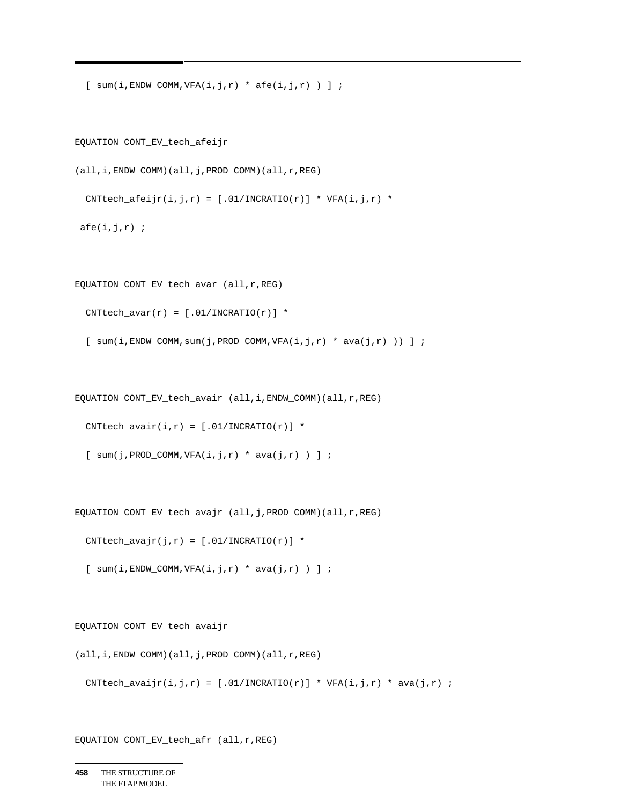$[ sum(i, ENDW_COMM, VFA(i,j,r) * afe(i,j,r) ) ]$  ;

EQUATION CONT\_EV\_tech\_afeijr

(all,i,ENDW\_COMM)(all,j,PROD\_COMM)(all,r,REG)

 $\text{CNTtech\_afeijr}(i,j,r) = [.01/ \text{INCRATIO}(r)] * \text{VFA}(i,j,r) *$ 

 $afe(i,j,r)$  ;

EQUATION CONT\_EV\_tech\_avar (all,r,REG)

 $\text{CNTtech\_avar}(r) = [.01/\text{INCRATIO}(r)]$  \*

 $[ sum(i, ENDW_COMM, sum(j, PROD_COMM, VFA(i,j,r) * ava(j,r) ) ]$  ;

EQUATION CONT\_EV\_tech\_avair (all,i,ENDW\_COMM)(all,r,REG)

 $\text{CNTtech}_\text{avair}(i,r) = [.01/\text{INCRATION}(r)]$  \*

 $[ sum(j, PROD_COMM, VFA(i,j,r) * ava(j,r) ) ]$  ;

EQUATION CONT\_EV\_tech\_avajr (all,j,PROD\_COMM)(all,r,REG)

 $\text{CNTtech\_avajr}(j,r) = [.01/\text{INCRATIO}(r)] *$ 

 $[ sum(i, ENDW_COMM, VFA(i,j,r) * ava(j,r) ) ]$  ;

EQUATION CONT\_EV\_tech\_avaijr

(all,i,ENDW\_COMM)(all,j,PROD\_COMM)(all,r,REG)

CNTtech\_avaijr(i,j,r) =  $[.01/INCRATIO(r)]$  \* VFA(i,j,r) \* ava(j,r) ;

EQUATION CONT\_EV\_tech\_afr (all,r,REG)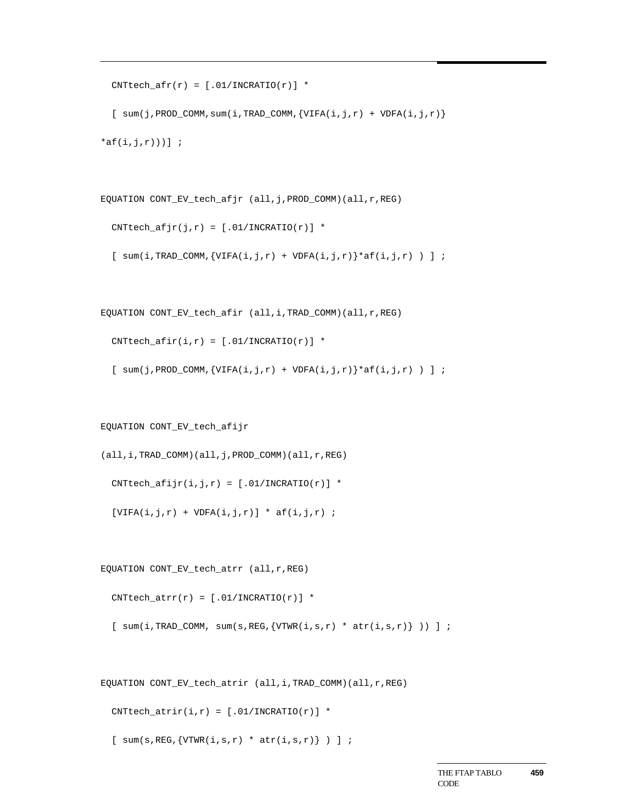```
CNTtech_afr(r) = [.01/INCRATIO(r)] *
  [ sum(j,PROD_COMM, sum(i, TRAD_COMM, {VIFA(i,j,r) + VDFA(i,j,r)} ]*af(i,j,r)));
```

```
EQUATION CONT_EV_tech_afjr (all,j,PROD_COMM)(all,r,REG)
  \text{CNTtech\_afjr}(j,r) = [.01/\text{INCRATION}(r)] *
   [\texttt{sum}(i, \texttt{TRAD\_COMM}, \{\texttt{VIFA}(i,j,r) ~+~ \texttt{VDFA}(i,j,r)\}^{\star} \texttt{af}(i,j,r) ~) ~] ~;
```
EQUATION CONT\_EV\_tech\_afir (all,i,TRAD\_COMM)(all,r,REG)

```
CNTtech_afir(i,r) = [.01/INCRATIO(r)] *
```
 $[ sum(j, PROD_COMM, \{VIFA(i,j,r) + VDFA(i,j,r)\} * af(i,j,r) ) ]$ ;

```
EQUATION CONT_EV_tech_afijr
```
(all,i,TRAD\_COMM)(all,j,PROD\_COMM)(all,r,REG)

```
\text{CNTtech\_afijr}(i,j,r) = [.01/INCRATIO(r)] *
```

```
[VIFA(i,j,r) + VDFA(i,j,r)] * af(i,j,r);
```
EQUATION CONT\_EV\_tech\_atrr (all,r,REG)

```
\text{CNTtech\_atrr}(r) = [.01/\text{INCRATIO}(r)] *
```
 $[ sum(i, TRAD_COMM, sum(s, REG, {VTWR(i,s,r) * atr(i,s,r)} ) ) ] ;$ 

EQUATION CONT\_EV\_tech\_atrir (all,i,TRAD\_COMM)(all,r,REG)

 $\text{CNTtech\_atrir}(i,r) = [.01/\text{INCRATION}(r)]$  \*

 $[ sum(s, REG, {VTWR(i,s,r) * attr(i,s,r) } ) ]$ ;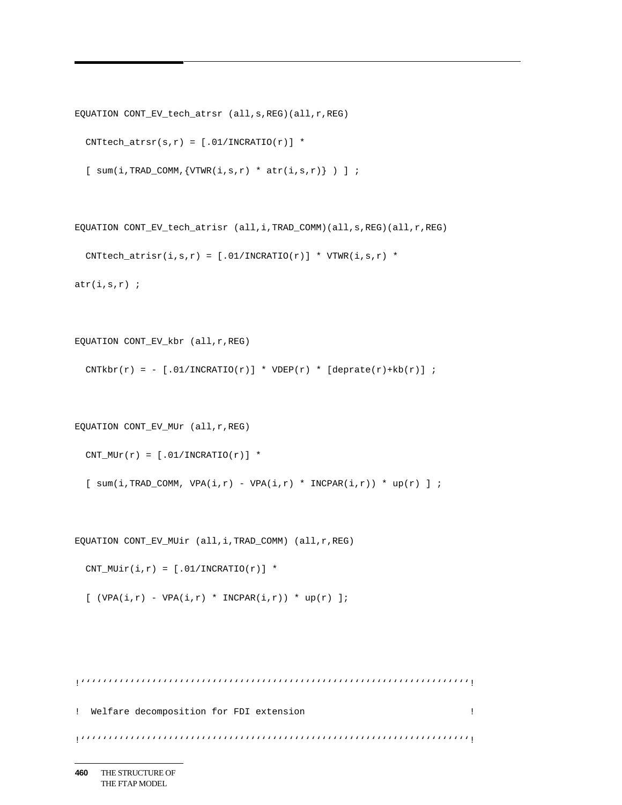```
EQUATION CONT_EV_tech_atrsr (all,s,REG)(all,r,REG)
  CNTtech a\text{trs}(s,r) = [.01/INCRATIO(r)] *
  [ sum(i, TRAD_COMM, {VTWR(i,s,r) * atr(i,s,r)} ] ]
```

```
EQUATION CONT_EV_tech_atrisr (all,i,TRAD_COMM)(all,s,REG)(all,r,REG)
  \text{CNTtech\_atrisr}(i,s,r) = [.01/\text{INCRATIO}(r)] * \text{VTWR}(i,s,r) *atr(i,s,r) ;
```

```
EQUATION CONT_EV_kbr (all,r,REG)
  C\text{NTKbr}(r) = - [.01/INCRATIO(r)] * VDEP(r) * [deprate(r)+kb(r)] ;
```

```
EQUATION CONT_EV_MUr (all,r,REG)
  CNT_MUT(r) = [.01/INCRATION(r)] *[ sum(i, TRAD_COMM, VPA(i, r) - VPA(i, r) * INCPAR(i, r)) * up(r) ] ;
```

```
EQUATION CONT_EV_MUir (all,i,TRAD_COMM) (all,r,REG)
```
 $CNT_MUir(i,r) = [.01/INCRATIO(r)]$  \*

```
[ (VPA(i,r) - VPA(i,r) * INCPAR(i,r)) * up(r) ];
```

```
!'''''''''''''''''''''''''''''''''''''''''''''''''''''''''''''''''''''''!
! Welfare decomposition for FDI extension !
!'''''''''''''''''''''''''''''''''''''''''''''''''''''''''''''''''''''''!
```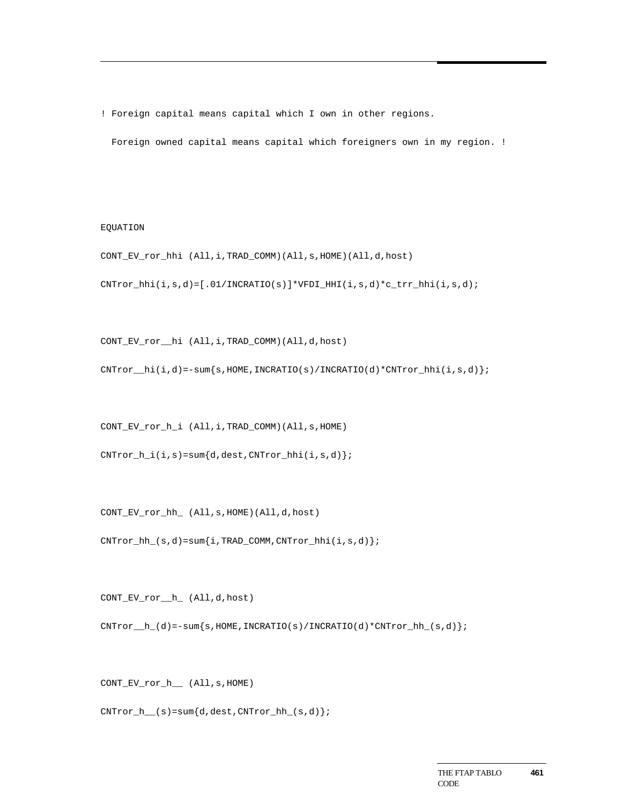! Foreign capital means capital which I own in other regions.

Foreign owned capital means capital which foreigners own in my region. !

EQUATION

CONT\_EV\_ror\_hhi (All,i,TRAD\_COMM)(All,s,HOME)(All,d,host)

 $C\text{NTror}_\text{thi}(i,s,d)=[.01/\text{INCRATIO}(s)]*VFDI_\text{HHI}(i,s,d)*c_\text{trr}_\text{thi}(i,s,d);$ 

CONT\_EV\_ror\_\_hi (All,i,TRAD\_COMM)(All,d,host)

 $C\text{NTror}\_\text{hi}(i,d)$  = -sum{s,HOME,INCRATIO(s)/INCRATIO(d)\*CNTror\_hhi(i,s,d)};

CONT\_EV\_ror\_h\_i (All,i,TRAD\_COMM)(All,s,HOME)

 $C\text{NTror}_h_i(i,s) = \text{sum}\{d,dest, C\text{NTror}_h(i,s,d)\};$ 

CONT\_EV\_ror\_hh\_ (All,s,HOME)(All,d,host)

 $C\text{NTror}_hh_ (s,d)=\text{sum}\{i,TRAD\_COMM,C\text{NTror}_hhi(i,s,d)\};$ 

CONT\_EV\_ror\_\_h\_ (All,d,host)

 $\texttt{CNTror}\_\texttt{h}(d)=\texttt{sum}\{s,\texttt{HOME},\texttt{INCRATION}(s)/\texttt{INCRATION}(d)*\texttt{CNTror}\_\texttt{h}(s,d)\};$ 

CONT\_EV\_ror\_h\_\_ (All,s,HOME)

 $C\text{NTror}_h$ <sub>(s)</sub>=sum{d,dest,CNTror\_hh<sub>(s,d)</sub>};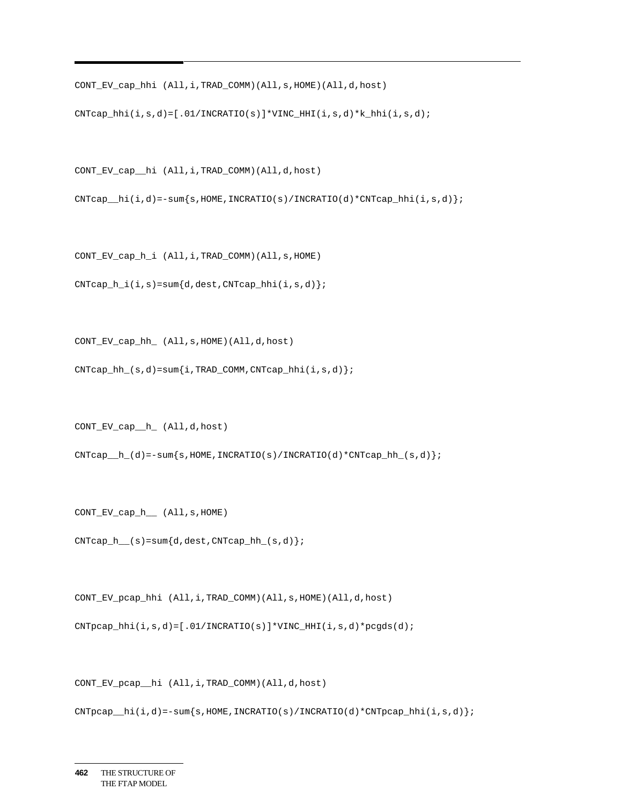```
CONT_EV_cap_hhi (All,i,TRAD_COMM)(All,s,HOME)(All,d,host)
```
 $\texttt{CNTcap}_h$ hi(i,s,d)=[.01/INCRATIO(s)]\* $\texttt{VINC}_H$ HI(i,s,d)\*k\_hhi(i,s,d);

CONT\_EV\_cap\_\_hi (All,i,TRAD\_COMM)(All,d,host)

 $CNTcap_hi(i,d)$ =-sum{s,HOME,INCRATIO(s)/INCRATIO(d)\*CNTcap\_hhi(i,s,d)};

CONT\_EV\_cap\_h\_i (All,i,TRAD\_COMM)(All,s,HOME)

 $CNTcap_h_i(i,s)=sum{d,dest,CNTcap_hhi(i,s,d)};$ 

CONT\_EV\_cap\_hh\_ (All,s,HOME)(All,d,host)

 $CNTcap_hh_{(s,d)=sum{i,TRAD\_COMM,CNTcap_hhi(i,s,d)};$ 

CONT\_EV\_cap\_\_h\_ (All,d,host)

 $\text{CNTcap\_h\_}(d) = -\text{sum}\{s, \text{HOME}, \text{INCRATIO}(s)/\text{INCRATIO}(d)*\text{CNTcap\_hh\_}(s,d)\}$ 

CONT\_EV\_cap\_h\_\_ (All,s,HOME)

 $CNTcap_h$  (s)=sum $\{d,dest, CNTcap_hh_-(s,d)\};$ 

CONT\_EV\_pcap\_hhi (All,i,TRAD\_COMM)(All,s,HOME)(All,d,host)

CNTpcap\_hhi(i,s,d)=[.01/INCRATIO(s)]\*VINC\_HHI(i,s,d)\*pcgds(d);

CONT\_EV\_pcap\_\_hi (All,i,TRAD\_COMM)(All,d,host)

 $\text{CNTpcap\_hi}(i,d)$  = -sum $\{s,HOME,INCRATIO(s)/INCRATIO(d)*CNTpcap\_hhi(i,s,d)\};$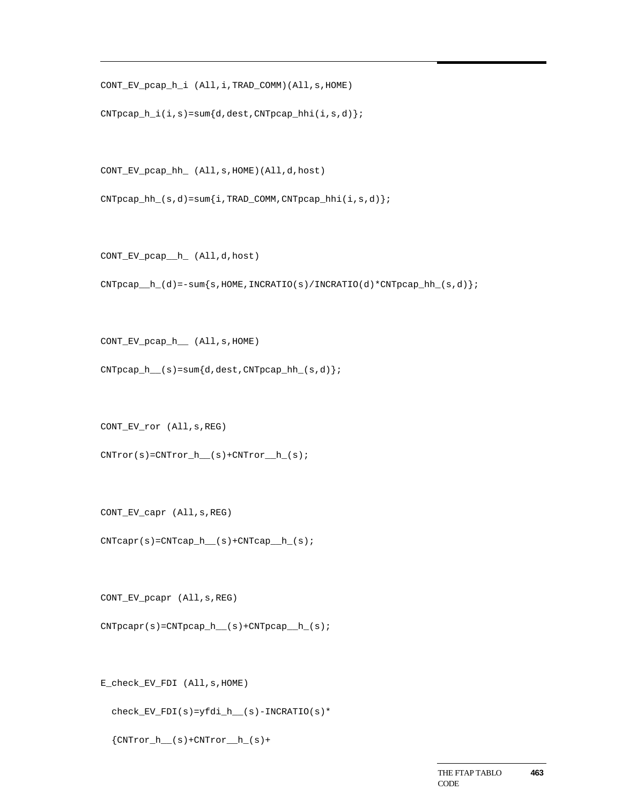```
CONT_EV_pcap_h_i (All,i,TRAD_COMM)(All,s,HOME)
```
 $C\text{NTPcap}_h_i(i,s) = \text{sum}\{d,dest, C\text{NTPcap}_h_i(i,s,d)\};$ 

CONT\_EV\_pcap\_hh\_ (All,s,HOME)(All,d,host)

 $CNTpcap_hh_{(s,d)=sum{i,TRAD_COMM,CNTpcap_hhi(i,s,d)};$ 

CONT\_EV\_pcap\_\_h\_ (All,d,host)

 $CNTpcap_h_{d} = -sum{s, HomE, INCRATIO(s)/INCRATIO(d)*CNTpcap_h_{s},d)};$ 

CONT\_EV\_pcap\_h\_\_ (All,s,HOME)

 $C\text{NTPcap}_h$  (s)=sum{d,dest,CNTpcap\_hh\_(s,d)};

CONT\_EV\_ror (All,s,REG)

 $C\text{NTror}(s) = \text{CNTror}_h(s) + \text{CNTror}_h(s);$ 

CONT\_EV\_capr (All,s,REG)

 $CNTcap(S) = CNTcap_h (s) + CNTcap_h (s);$ 

CONT\_EV\_pcapr (All,s,REG)

 $\text{CNTpcapr}(s) = \text{CNTpcap}_h_ (s) + \text{CNTpcap}_h_ (s);$ 

E\_check\_EV\_FDI (All,s,HOME)

 $check_FV_FDI(s)=yfdi_h(g)-INCRATIO(s)*$ 

 ${CNTror_h_s(s)+CNTror_h(s)+}$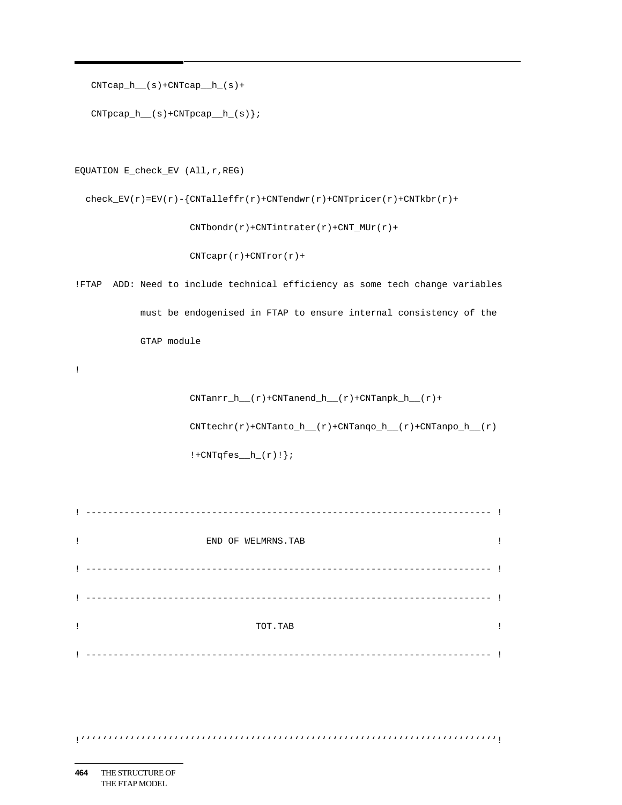```
CNTcap_h (s) + CNTcap_h (s) +
```

```
\text{CNTpcap\_h\_}(s) + \text{CNTpcap\_h\_}(s);
```

```
EQUATION E_check_EV (All,r,REG)
```

```
\texttt{check\_EV}(r)=\texttt{EV}(r)-\{\texttt{CNTalletfr}(r)+\texttt{CNTendwr}(r)+\texttt{CNTpricer}(r)+\texttt{CNTkbr}(r)+\texttt{CNT}(\texttt{CNT}+r)+\texttt{CNTkbr}(r)+\texttt{CNTkbr}(r)+\texttt{CNTkbr}(r)+\texttt{CNTkbr}(r)+\texttt{CNTkbr}(r)+\texttt{CNTkbr}(r)+\texttt{CNTkbr}(r)+\texttt{CNTkbr}(r)+\texttt{CNTkbr}(r)+\texttt{CNTkbr}(r)+\texttt{CNTkbr}(r)+\texttt{CNTkbr}(r)+\texttt{CNTkbr CNTbondr(r)+CNTintrater(r)+CNT_MUr(r)+
                                              CNTcapr(r)+CNTror(r)+
!FTAP ADD: Need to include technical efficiency as some tech change variables
                          must be endogenised in FTAP to ensure internal consistency of the
```
GTAP module

!

```
C\text{NTanrr}\_h (r)+CNTanend_h (r)+CNTanpk_h (r)+
```
 $\text{CNTtechr}(r)+\text{CNTanto\_h}\_\text{(r)}+\text{CNTango\_h}\_\text{(r)}+\text{CNTanpo\_h}\_\text{(r)}$  $!+$ CNTqfes\_h\_ $(r)!$ ;

| . _ _ _ _ _ _ _ _ _ _ _ _ _ |  |
|-----------------------------|--|
| END OF WELMRNS. TAB         |  |
|                             |  |
|                             |  |
| TOT.TAB                     |  |
|                             |  |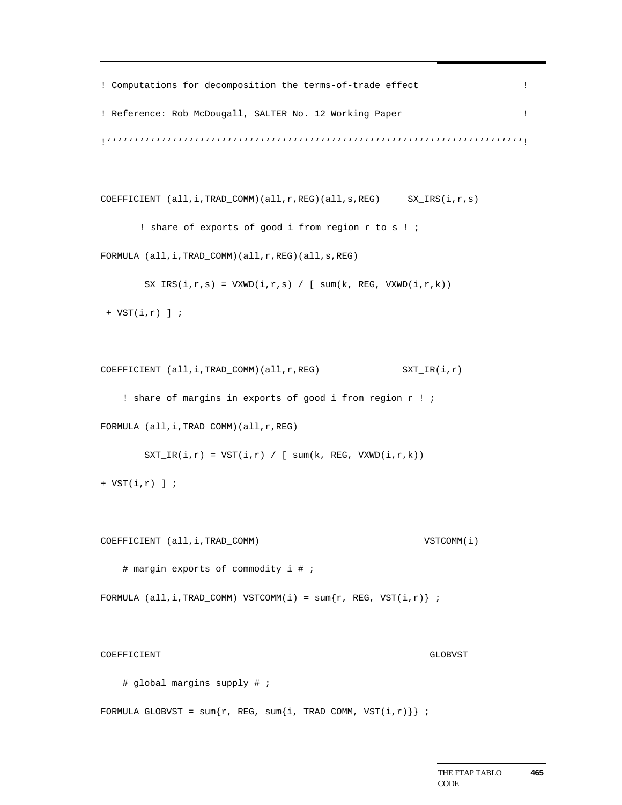```
! Computations for decomposition the terms-of-trade effect !
! Reference: Rob McDougall, SALTER No. 12 Working Paper !
!''''''''''''''''''''''''''''''''''''''''''''''''''''''''''''''''''''''''''''!
```

```
COEFFICIENT (all,i,TRAD\_COMM)(all,r,REG)(all,s,REG) SX_IRS(i,r,s)
```
! share of exports of good i from region r to s ! ;

FORMULA (all,i,TRAD\_COMM)(all,r,REG)(all,s,REG)

 $SX\_IRS(i,r,s) = VXWD(i,r,s) / [sum(k, REG, VXWD(i,r,k))$ 

+ VST(i,r) ] ;

COEFFICIENT  $(all,i,TRAD\_COMM)(all,r,REG)$  SXT $IR(i,r)$ 

! share of margins in exports of good i from region r ! ;

FORMULA (all,i,TRAD\_COMM)(all,r,REG)

 $SXT\_IR(i,r) = VST(i,r) / [sum(k, REG, VXWD(i,r,k))]$ 

+ VST(i,r) ] ;

COEFFICIENT (all,i,TRAD\_COMM) VSTCOMM(i)

# global margins supply # ;

# margin exports of commodity i # ;

FORMULA (all,i,TRAD\_COMM) VSTCOMM(i) = sum{r, REG, VST(i,r)} ;

```
COEFFICIENT GLOBVST
```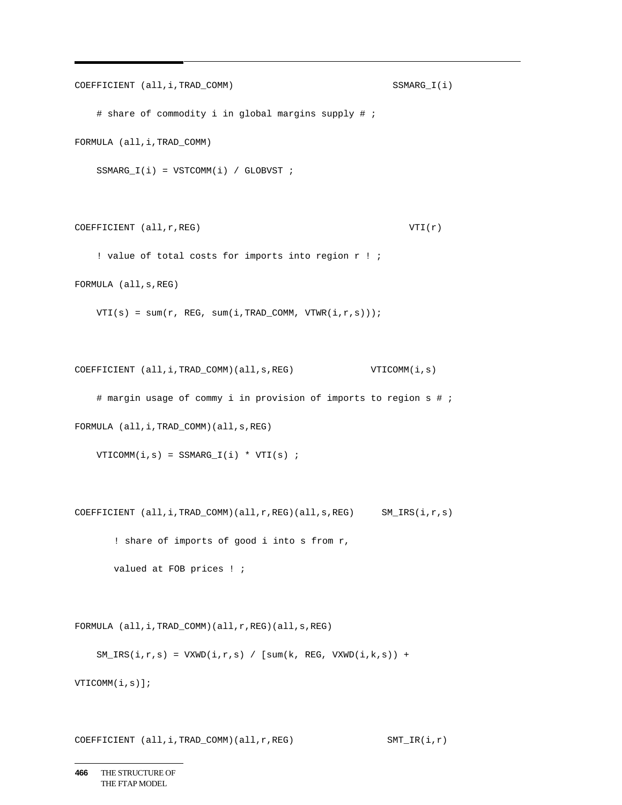```
COEFFICIENT (all, i, TRAD_COMM) SSMARG_I(i)
    # share of commodity i in global margins supply # ;
FORMULA (all,i,TRAD_COMM)
    SSMARG_I(i) = VSTCOMM(i) / GLOBVST ;
COEFFICIENT (all,r,REG) VTI(r)
    ! value of total costs for imports into region r ! ;
FORMULA (all,s,REG)
   VTI(s) = sum(r, REG, sum(i, TRAD_COMM, VTWR(i, r, s))));
COEFFICIENT (all,i,TRAD_COMM)(all,s,REG) VTICOMM(i,s)
    # margin usage of commy i in provision of imports to region s # ;
FORMULA (all,i,TRAD_COMM)(all,s,REG)
   VTICOMM(i,s) = SSMARG_i(i) * VTI(s) ;
COEFFICIENT (all,i,TRAD\_COMM)(all,r,REG)(all,s,REG) SM_IRS(i,r,s) ! share of imports of good i into s from r,
       valued at FOB prices ! ;
FORMULA (all,i,TRAD_COMM)(all,r,REG)(all,s,REG)
   SM\_IRS(i,r,s) = VXWD(i,r,s) / [sum(k, REG, VXWD(i,k,s)) +
```
VTICOMM(i,s)];

COEFFICIENT  $(a11, i, TRAD_COMM)$   $(a11, r, REG)$  SMT\_IR(i,r)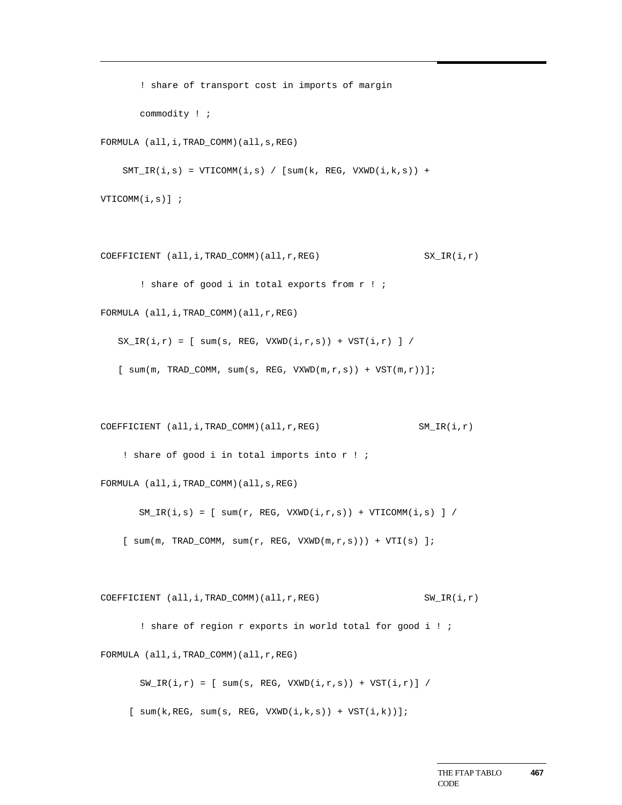! share of transport cost in imports of margin

commodity ! ;

FORMULA (all,i,TRAD\_COMM)(all,s,REG)

 $SMT\_IR(i,s) = VTICOMM(i,s) / [sum(k, REG, VXWD(i,k,s)) +$ 

VTICOMM(i,s)] ;

COEFFICIENT  $(a11,i,TRAD_COMM)(a11,r,REG)$  SX\_IR(i,r)

! share of good i in total exports from r ! ;

FORMULA (all,i,TRAD\_COMM)(all,r,REG)

 $SX\_IR(i,r) = [sum(s, REG, VXWD(i,r,s)) + VST(i,r) ]$ 

 $[ sum(m, TRAD_COMM, sum(s, REG, VXWD(m,r,s)) + VST(m,r))]$ ;

```
COEFFICIENT (a11, i, TRAD COMM)(a11, r, REG) SM IR(i, r)
```
! share of good i in total imports into r ! ;

FORMULA (all,i,TRAD\_COMM)(all,s,REG)

 $SM\_IR(i,s) = [sum(r, REG, VXWD(i,r,s)) + VTICOMM(i,s)]$ 

 $[ sum(m, TRAD_COMM, sum(r, REG, VXWD(m,r,s))) + VTI(s) ]$ ;

COEFFICIENT  $(a11,i,TRAD_COMM)(a11,r,REG)$  SW\_IR(i,r)

! share of region r exports in world total for good i ! ;

FORMULA (all,i,TRAD\_COMM)(all,r,REG)

 $SW\_IR(i,r) = [sum(s, REG, VXWD(i,r,s)) + VST(i,r)]$  /

 $[ sum(k, REG, sum(s, REG, VXWD(i,k,s)) + VST(i,k))]$ ;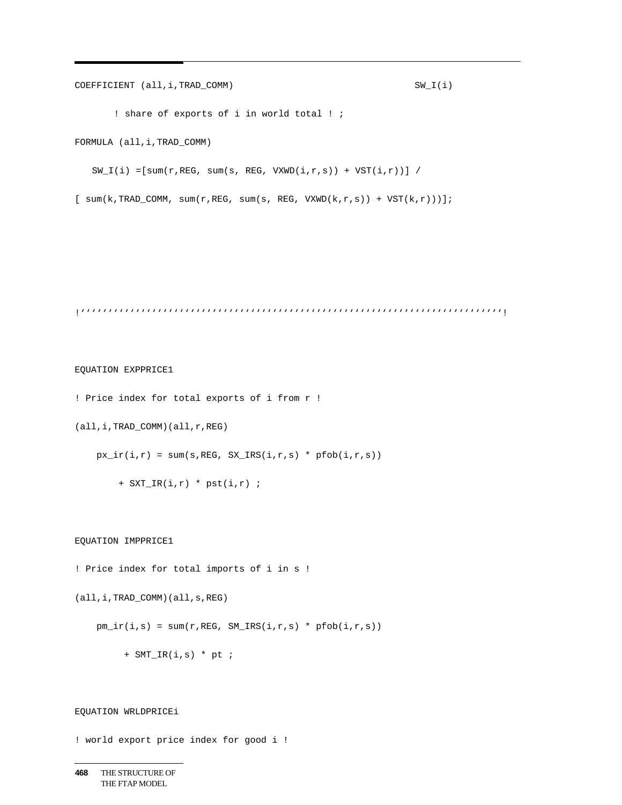```
COEFFICIENT (all, i, TRAD_COMM) SW_I(i)
```
! share of exports of i in world total ! ;

FORMULA (all,i,TRAD\_COMM)

 $SW_I(i) = [sum(r, REG, sum(s, REG, VXWD(i,r,s)) + VST(i,r))]$  /

 $[\text{ sum}(k, \text{TRAD\_COMM}, \text{ sum}(r, \text{REG}, \text{sum}(s, \text{PEG}, \text{VXWD}(k, r, s)) + \text{VST}(k, r))))];$ 

!'''''''''''''''''''''''''''''''''''''''''''''''''''''''''''''''''''''''''''''!

EQUATION EXPPRICE1

! Price index for total exports of i from r !

(all,i,TRAD\_COMM)(all,r,REG)

 $px\_ir(i,r) = sum(s, REG, SX\_IRS(i,r,s) * pfob(i,r,s))$ 

+  $SXT\_IR(i,r) * pst(i,r)$  ;

EQUATION IMPPRICE1

! Price index for total imports of i in s !

(all,i,TRAD\_COMM)(all,s,REG)

 $pm\_ir(i,s) = sum(r, REG, SM\_IRS(i,r,s) * pfob(i,r,s))$ 

+ SMT\_IR(i,s) \* pt ;

EQUATION WRLDPRICEi

! world export price index for good i !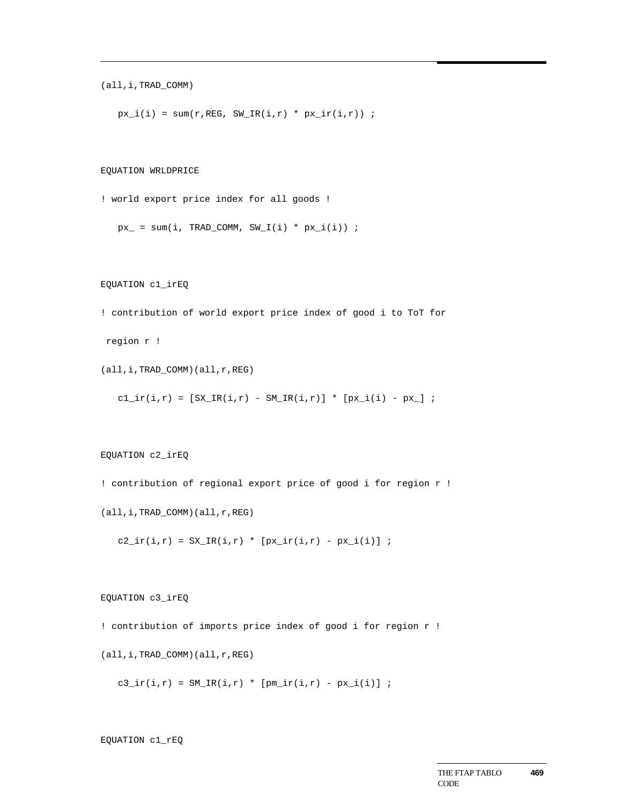(all,i,TRAD\_COMM)

 $px_i(i) = sum(r, REG, SW_{IR}(i,r) * px_ir(i,r))$  ;

EQUATION WRLDPRICE

```
! world export price index for all goods !
```
 $px_$  = sum(i, TRAD\_COMM, SW\_I(i) \*  $px_i(i)$  ;

EQUATION c1\_irEQ

```
! contribution of world export price index of good i to ToT for
 region r !
(all,i,TRAD_COMM)(all,r,REG)
```
 $cl\_ir(i,r) = [SX\_IR(i,r) - SM\_IR(i,r)] * [px_i(i) - px_i];$ 

EQUATION c2\_irEQ

! contribution of regional export price of good i for region r !

(all,i,TRAD\_COMM)(all,r,REG)

 $c2\_ir(i,r) = SX\_IR(i,r) * [px\_ir(i,r) - px\_i(i)]$ ;

EQUATION c3\_irEQ

! contribution of imports price index of good i for region r !

(all,i,TRAD\_COMM)(all,r,REG)

 $c3\_ir(i,r) = SM\_IR(i,r) * [pm\_ir(i,r) - px\_i(i)]$ ;

EQUATION c1\_rEQ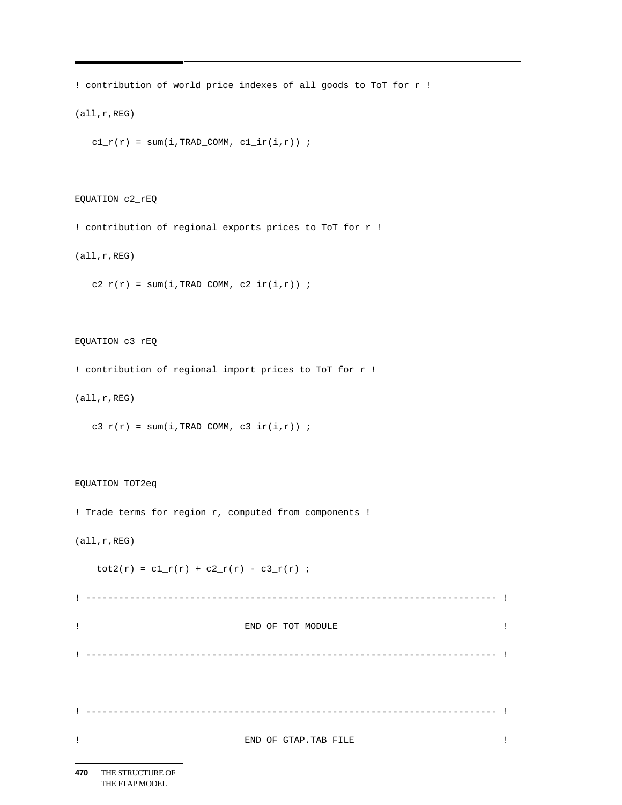```
! contribution of world price indexes of all goods to ToT for r !
(all,r,REG)
  cl_r(r) = sum(i, TRAD_COMM, cl_ir(i,r)) ;
EQUATION c2_rEQ
! contribution of regional exports prices to ToT for r !
(all,r,REG)
  c2_r(r) = sum(i, TRAD_COMM, c2_ir(i,r)) ;
EQUATION c3_rEQ
! contribution of regional import prices to ToT for r !
(all,r,REG)
  c3_r(r) = sum(i, TRAD_COMM, c3_ir(i,r)) ;
EQUATION TOT2eq
! Trade terms for region r, computed from components !
(all,r,REG)
   \cot 2(r) = c1_r(r) + c2_r(r) - c3_r(r);
! --------------------------------------------------------------------------- !
! END OF TOT MODULE !
! --------------------------------------------------------------------------- !
! --------------------------------------------------------------------------- !
! END OF GTAP.TAB FILE !
```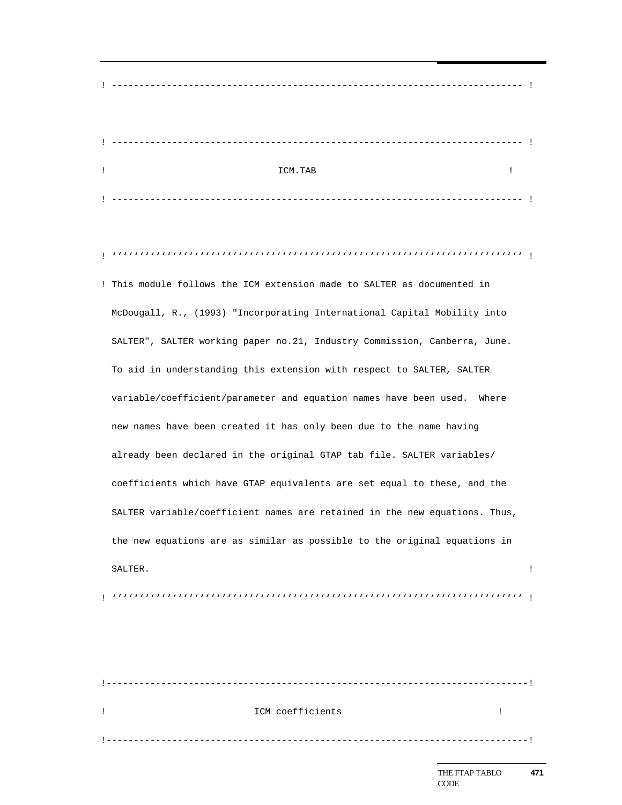| ICM.TAB |  |
|---------|--|
|         |  |

! ''''''''''''''''''''''''''''''''''''''''''''''''''''''''''''''''''''''''''' !

! This module follows the ICM extension made to SALTER as documented in McDougall, R., (1993) "Incorporating International Capital Mobility into SALTER", SALTER working paper no.21, Industry Commission, Canberra, June. To aid in understanding this extension with respect to SALTER, SALTER variable/coefficient/parameter and equation names have been used. Where new names have been created it has only been due to the name having already been declared in the original GTAP tab file. SALTER variables/ coefficients which have GTAP equivalents are set equal to these, and the SALTER variable/coefficient names are retained in the new equations. Thus, the new equations are as similar as possible to the original equations in SALTER . The set of the set of the set of the set of the set of the set of the set of the set of the set of the set of the set of the set of the set of the set of the set of the set of the set of the set of the set of the

!-----------------------------------------------------------------------------! ! ICM coefficients ! !-----------------------------------------------------------------------------!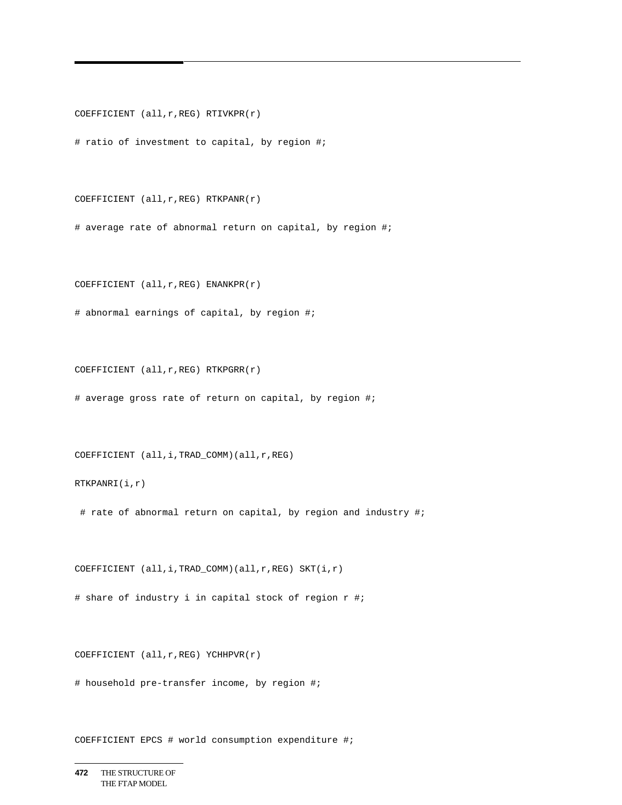```
COEFFICIENT (all,r,REG) RTIVKPR(r)
```
# ratio of investment to capital, by region #;

```
COEFFICIENT (all,r,REG) RTKPANR(r)
```
# average rate of abnormal return on capital, by region #;

COEFFICIENT (all,r,REG) ENANKPR(r)

# abnormal earnings of capital, by region #;

COEFFICIENT (all,r,REG) RTKPGRR(r)

# average gross rate of return on capital, by region #;

COEFFICIENT (all,i,TRAD\_COMM)(all,r,REG)

RTKPANRI(i,r)

# rate of abnormal return on capital, by region and industry #;

COEFFICIENT (all,i,TRAD\_COMM)(all,r,REG) SKT(i,r)

# share of industry i in capital stock of region r #;

COEFFICIENT (all,r,REG) YCHHPVR(r)

# household pre-transfer income, by region #;

COEFFICIENT EPCS # world consumption expenditure #;

**472** THE STRUCTURE OF THE FTAP MODEL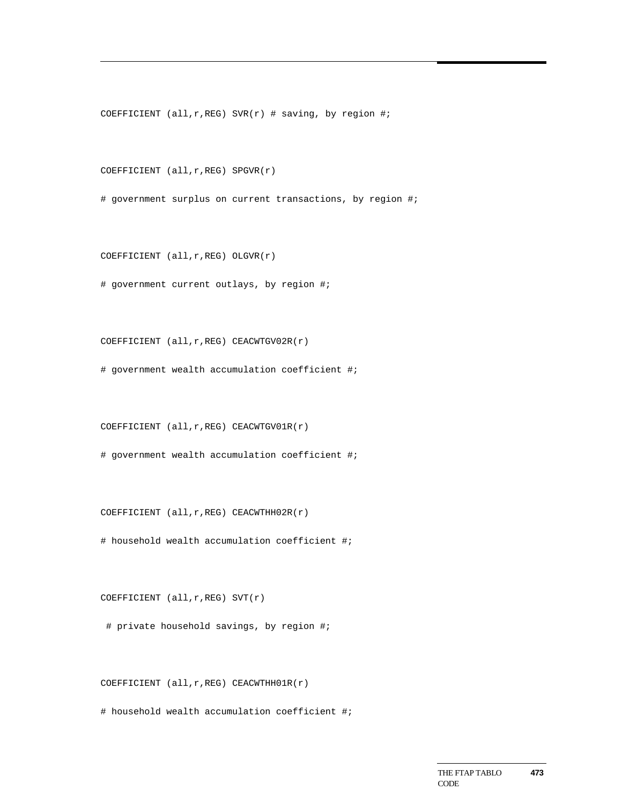```
COEFFICIENT (all,r,REG) SVR(r) # saving, by region #;
```

```
COEFFICIENT (all,r,REG) SPGVR(r)
```
# government surplus on current transactions, by region #;

COEFFICIENT (all,r,REG) OLGVR(r)

# government current outlays, by region #;

COEFFICIENT (all,r,REG) CEACWTGV02R(r)

# government wealth accumulation coefficient #;

COEFFICIENT (all,r,REG) CEACWTGV01R(r)

# government wealth accumulation coefficient #;

COEFFICIENT (all,r,REG) CEACWTHH02R(r)

# household wealth accumulation coefficient #;

COEFFICIENT (all,r,REG) SVT(r)

# private household savings, by region #;

COEFFICIENT (all,r,REG) CEACWTHH01R(r)

# household wealth accumulation coefficient #;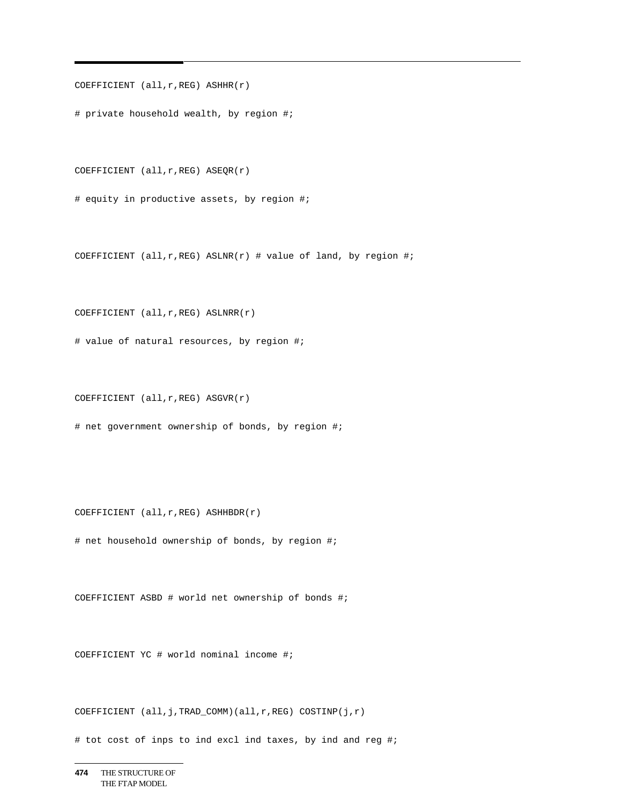```
COEFFICIENT (all,r,REG) ASHHR(r)
```
# private household wealth, by region #;

COEFFICIENT (all,r,REG) ASEQR(r)

# equity in productive assets, by region #;

COEFFICIENT (all,  $r$ , REG) ASLNR( $r$ ) # value of land, by region #;

COEFFICIENT (all,r,REG) ASLNRR(r)

# value of natural resources, by region #;

COEFFICIENT  $(all,r,REG)$  ASGVR $(r)$ 

# net government ownership of bonds, by region #;

COEFFICIENT (all,r,REG) ASHHBDR(r)

# net household ownership of bonds, by region #;

COEFFICIENT ASBD # world net ownership of bonds #;

COEFFICIENT YC # world nominal income #;

COEFFICIENT (all,j,TRAD\_COMM)(all,r,REG) COSTINP(j,r)

# tot cost of inps to ind excl ind taxes, by ind and reg #;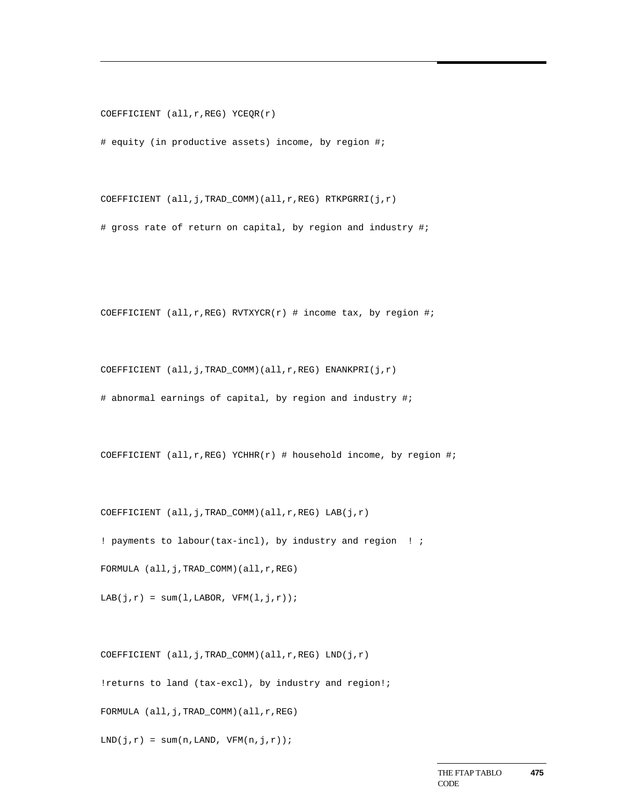```
COEFFICIENT (all,r,REG) YCEQR(r)
```
# equity (in productive assets) income, by region #;

```
COEFFICIENT (all,j,TRAD_COMM)(all,r,REG) RTKPGRRI(j,r)
# gross rate of return on capital, by region and industry #;
```
COEFFICIENT (all,  $r$ , REG) RVTXYCR( $r$ ) # income tax, by region #;

COEFFICIENT (all,j,TRAD\_COMM)(all,r,REG) ENANKPRI(j,r)

# abnormal earnings of capital, by region and industry #;

COEFFICIENT (all,r,REG) YCHHR(r) # household income, by region #;

COEFFICIENT (all,j,TRAD\_COMM)(all,r,REG) LAB(j,r)

! payments to labour(tax-incl), by industry and region ! ;

FORMULA (all,j,TRAD\_COMM)(all,r,REG)

LAB( $j,r$ ) = sum( $1,$ LABOR, VFM( $1,$  $j,r$ ));

COEFFICIENT  $(all,j,TRAD_COMM)(all,r,REG) LND(j,r)$ 

!returns to land (tax-excl), by industry and region!;

FORMULA (all,j,TRAD\_COMM)(all,r,REG)

 $LND(j,r) = sum(n, LAND, VFM(n,j,r));$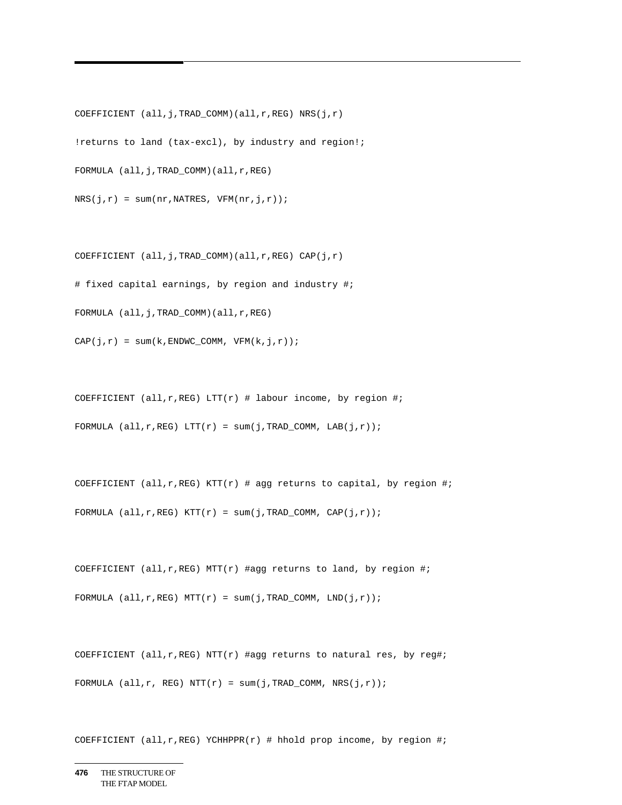COEFFICIENT (all,j,TRAD\_COMM)(all,r,REG) NRS(j,r) !returns to land (tax-excl), by industry and region!; FORMULA (all,j,TRAD\_COMM)(all,r,REG)  $NRS(j,r) = sum(nr,NATRES, VFM(nr,j,r));$ 

COEFFICIENT (all,j,TRAD\_COMM)(all,r,REG) CAP(j,r)

# fixed capital earnings, by region and industry #; FORMULA (all,j,TRAD\_COMM)(all,r,REG)

 $CAP(j,r) = sum(k, ENDWC\_COMM, VFM(k,j,r));$ 

COEFFICIENT (all,r, REG) LTT(r) # labour income, by region #; FORMULA (all,r,REG) LTT(r) = sum(j,TRAD\_COMM, LAB(j,r));

COEFFICIENT (all,  $r$ , REG) KTT( $r$ ) # agg returns to capital, by region #; FORMULA (all,r,REG)  $KTT(r) = sum(j,TRAD\_COMM, CAP(j,r));$ 

COEFFICIENT (all,r,REG) MTT(r) #agg returns to land, by region #; FORMULA  $(all,r,REG) \nMT(r) = sum(j,TRAD\_COMM, LND(j,r));$ 

COEFFICIENT (all,r, REG) NTT(r) #agg returns to natural res, by reg#; FORMULA (all,r, REG)  $NTT(r) = sum(j, TRAD\_COMM, NRS(j,r));$ 

COEFFICIENT  $(all,r,REG)$  YCHHPPR(r) # hhold prop income, by region #;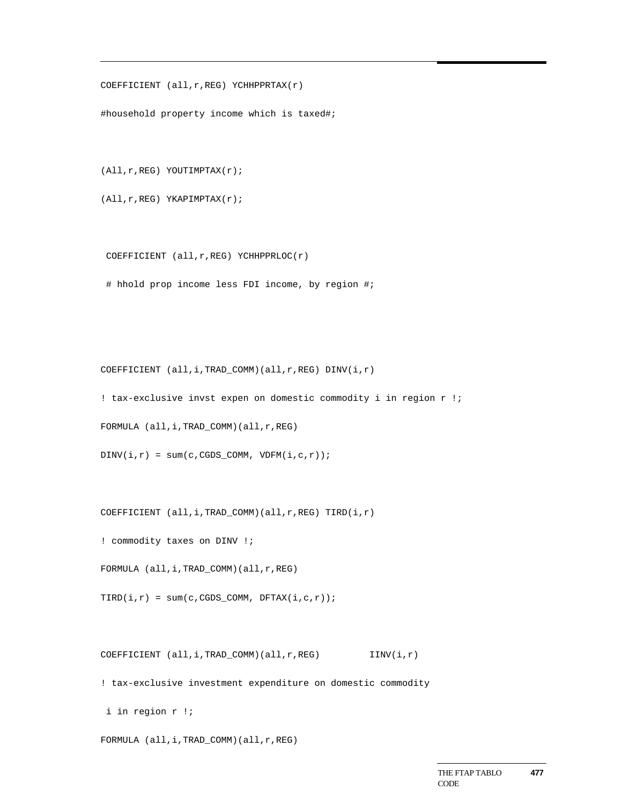```
COEFFICIENT (all,r,REG) YCHHPPRTAX(r)
```
#household property income which is taxed#;

(All,r,REG) YOUTIMPTAX(r);

```
(All,r,REG) YKAPIMPTAX(r);
```
COEFFICIENT (all,r,REG) YCHHPPRLOC(r)

# hhold prop income less FDI income, by region #;

COEFFICIENT (all,i,TRAD\_COMM)(all,r,REG) DINV(i,r)

! tax-exclusive invst expen on domestic commodity i in region r !;

FORMULA (all,i,TRAD\_COMM)(all,r,REG)

 $DINV(i,r) = sum(c,CGDS_COMM, VDFM(i,c,r));$ 

COEFFICIENT (all,i,TRAD\_COMM)(all,r,REG) TIRD(i,r)

! commodity taxes on DINV !;

FORMULA (all,i,TRAD\_COMM)(all,r,REG)

TIRD $(i,r) = sum(c, CGDS_COMM, DFTAX(i,c,r));$ 

COEFFICIENT  $(all,i,TRAD_COMM)(all,r,REG)$  IINV $(i,r)$ 

! tax-exclusive investment expenditure on domestic commodity

i in region r !;

FORMULA (all,i,TRAD\_COMM)(all,r,REG)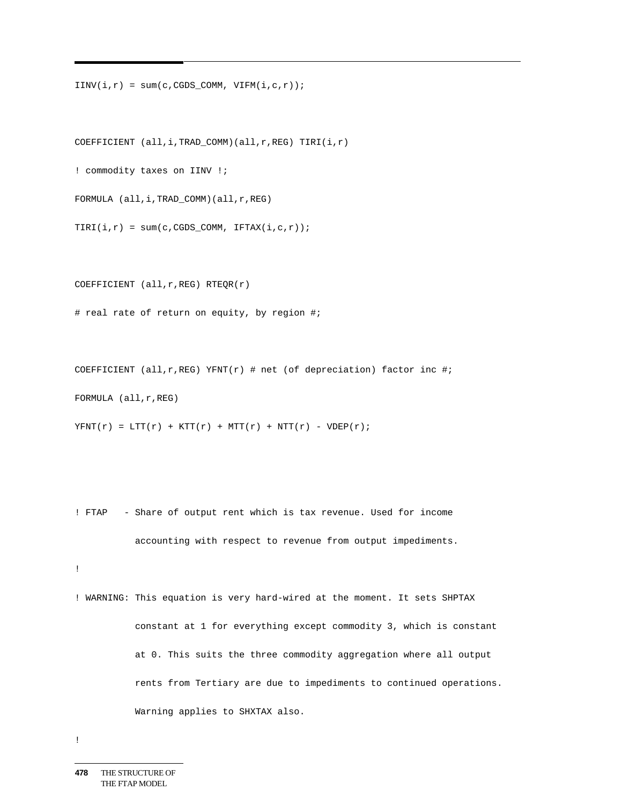```
IINV(i,r) = sum(c,CGDS_COMM, VIFM(i,c,r));
```
COEFFICIENT  $(all,i,TRAD$  COMM $)(all,r,REG)$  TIRI $(i,r)$ 

! commodity taxes on IINV !;

FORMULA (all,i,TRAD\_COMM)(all,r,REG)

TIRI $(i, r) = sum(c, CGDS_COMM, IFTAX(i, c, r));$ 

COEFFICIENT (all,r,REG) RTEQR(r)

# real rate of return on equity, by region #;

COEFFICIENT  $(all,r,REG)$  YFNT $(r)$  # net (of depreciation) factor inc #;

FORMULA (all,r,REG)

 $YFT(r) = LTT(r) + KT(r) + MTT(r) + NTT(r) - VDEP(r);$ 

! FTAP - Share of output rent which is tax revenue. Used for income accounting with respect to revenue from output impediments.

!

! WARNING: This equation is very hard-wired at the moment. It sets SHPTAX constant at 1 for everything except commodity 3, which is constant at 0. This suits the three commodity aggregation where all output rents from Tertiary are due to impediments to continued operations. Warning applies to SHXTAX also.

!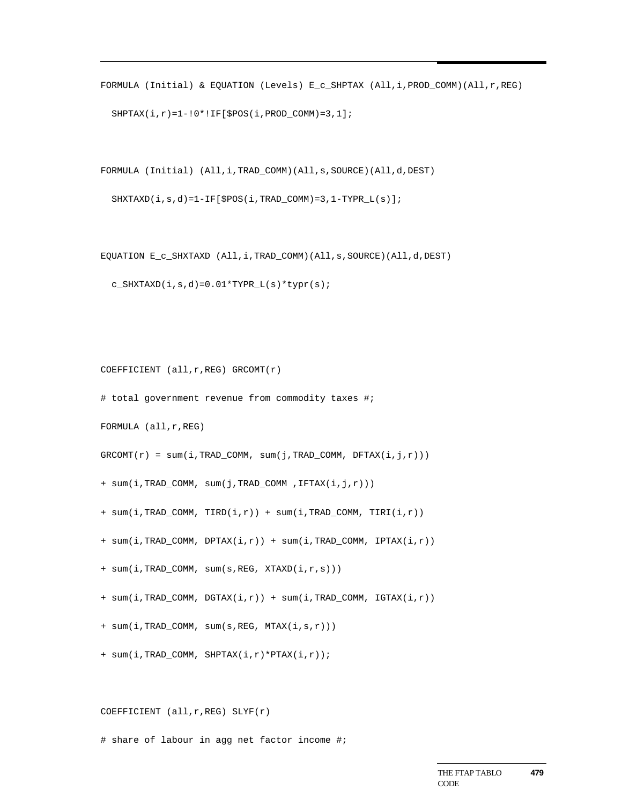```
FORMULA (Initial) & EQUATION (Levels) E_c_SHPTAX (All,i,PROD_COMM)(All,r,REG)
  SHPTAX(i,r)=1-!0*!IF[$POS(i,PROD_COMM)=3,1];
```
FORMULA (Initial) (All,i,TRAD\_COMM)(All,s,SOURCE)(All,d,DEST)

SHXTAXD(i,s,d)=1-IF[\$POS(i,TRAD\_COMM)=3,1-TYPR\_L(s)];

EQUATION E\_c\_SHXTAXD (All,i,TRAD\_COMM)(All,s,SOURCE)(All,d,DEST)

```
c\_SHXTAXD(i,s,d)=0.01*TYPR_L(s)*type(s);
```
COEFFICIENT (all,r,REG) GRCOMT(r)

# total government revenue from commodity taxes #;

FORMULA (all,r,REG)

 $GRCOMT(r) = sum(i, TRAD_COMM, sum(j, TRAD_COMM, DFTAX(i,j,r))))$ 

+ sum(i,TRAD\_COMM, sum(j,TRAD\_COMM, IFTAX(i,j,r)))

+ sum(i,TRAD\_COMM, TIRD(i,r)) + sum(i,TRAD\_COMM, TIRI(i,r))

+ sum(i,TRAD\_COMM, DPTAX(i,r)) + sum(i,TRAD\_COMM, IPTAX(i,r))

+ sum(i,TRAD\_COMM, sum(s,REG, XTAXD(i,r,s)))

+ sum(i,TRAD\_COMM, DGTAX(i,r)) + sum(i,TRAD\_COMM, IGTAX(i,r))

+ sum(i,TRAD\_COMM, sum(s,REG, MTAX(i,s,r)))

+ sum(i,TRAD\_COMM, SHPTAX(i,r)\*PTAX(i,r));

COEFFICIENT (all,r,REG) SLYF(r)

# share of labour in agg net factor income #;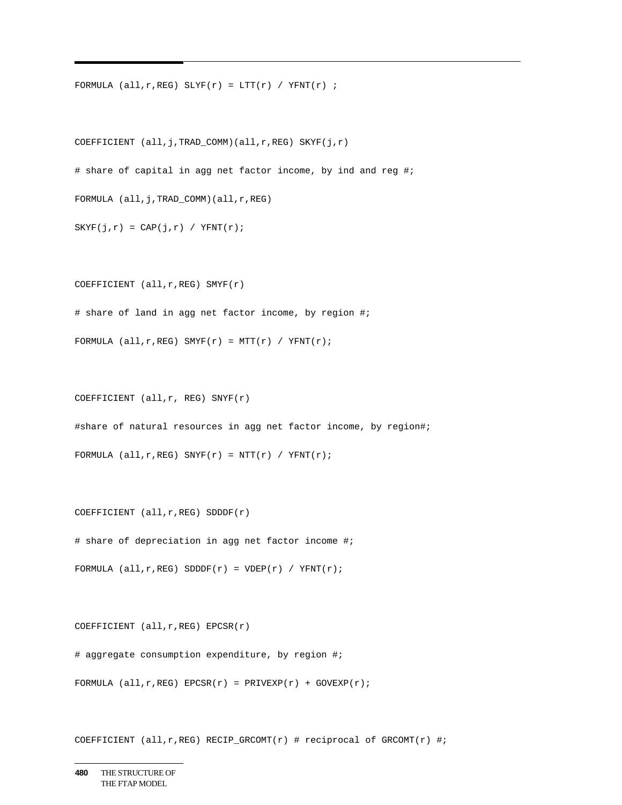```
FORMULA (all,r,REG) SLYF(r) = LTT(r) / YFNT(r) ;
```

```
COEFFICIENT (all,j,TRAD_COMM)(all,r,REG) SKYF(j,r)
```
# share of capital in agg net factor income, by ind and reg #;

FORMULA (all,j,TRAD\_COMM)(all,r,REG)

 $SKYF(j,r) = CAP(j,r) / YFNT(r);$ 

```
COEFFICIENT (all,r,REG) SMYF(r)
# share of land in agg net factor income, by region #;
FORMULA (all,r,REG) SMYF(r) = MTT(r) / YFNT(r);
```

```
COEFFICIENT (all,r, REG) SNYF(r)#share of natural resources in agg net factor income, by region#;
FORMULA (all,r,REG) SNYF(r) = NTT(r) / YFNT(r);
```

```
COEFFICIENT (all,r,REG) SDDDF(r)
# share of depreciation in agg net factor income #;
FORMULA all,r,REG) SDDDF(r) = VDEP(r) / YFNT(r);
```
COEFFICIENT (all,r,REG) EPCSR(r)

# aggregate consumption expenditure, by region #;

FORMULA (all,r,REG) EPCSR(r) =  $PRIVEXP$ ) + GOVEXP(r);

```
COEFFICIENT (a11, r, REG) RECIP_GRCOMT(r) # reciprocal of GRCOMT(r) #;
```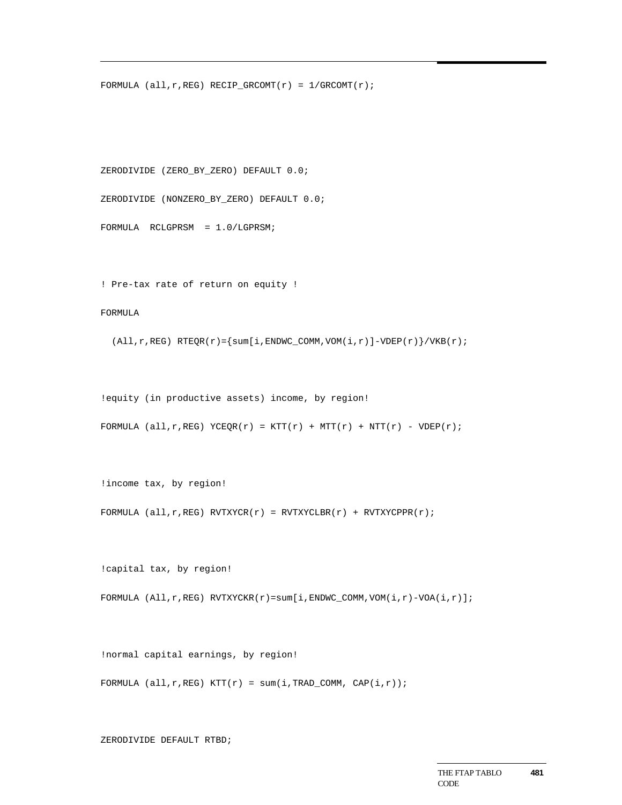FORMULA (all,r,REG) RECIP\_GRCOMT(r) =  $1/GRCOMT(r)$ ;

ZERODIVIDE (ZERO\_BY\_ZERO) DEFAULT 0.0;

ZERODIVIDE (NONZERO\_BY\_ZERO) DEFAULT 0.0;

FORMULA RCLGPRSM = 1.0/LGPRSM;

! Pre-tax rate of return on equity !

## FORMULA

 $(A11, r, REG)$  RTEQR( $r$ ) = {sum[i,ENDWC\_COMM,VOM(i, $r$ )]-VDEP( $r$ )}/VKB( $r$ );

!equity (in productive assets) income, by region!

FORMULA (all, $r, REG)$  YCEQR( $r$ ) = KTT( $r$ ) + MTT( $r$ ) + NTT( $r$ ) - VDEP( $r$ );

!income tax, by region!

FORMULA (all,r,REG) RVTXYCR(r) = RVTXYCLBR(r) + RVTXYCPPR(r);

!capital tax, by region!

FORMULA (All, $r$ ,REG) RVTXYCKR( $r$ )=sum[i,ENDWC\_COMM,VOM(i, $r$ )-VOA(i, $r$ )];

!normal capital earnings, by region!

FORMULA  $(all,r,REG)$  KTT $(r) = sum(i,TRAD\_COMM, CAP(i,r));$ 

ZERODIVIDE DEFAULT RTBD;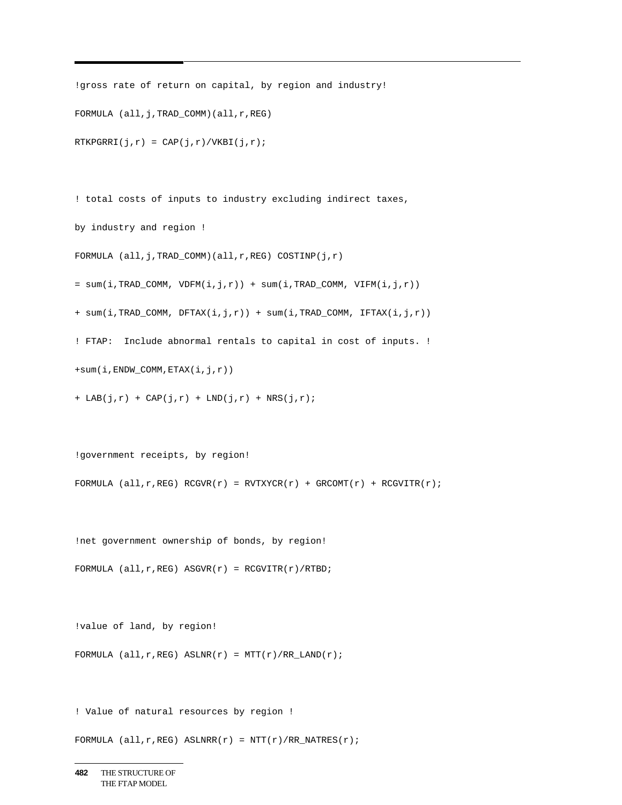```
!gross rate of return on capital, by region and industry!
FORMULA (all,j,TRAD_COMM)(all,r,REG)
RTKPGRRI(j,r) = CAP(j,r)/VKBI(j,r);
```
! total costs of inputs to industry excluding indirect taxes,

```
by industry and region !
FORMULA (all,j,TRAD_COMM)(all,r,REG) COSTINP(j,r)
= sum(i,TRAD_COMM, VDFM(i,j,r)) + sum(i,TRAD_COMM, VIFM(i,j,r))
+ sum(i,TRAD_COMM, DFTAX(i,j,r)) + sum(i,TRAD_COMM, IFTAX(i,j,r))
! FTAP: Include abnormal rentals to capital in cost of inputs. !
+sum(i,ENDW_COMM,ETAX(i,j,r))
```

```
+ LAB(j,r) + CAP(j,r) + LND(j,r) + NRS(j,r);
```
!government receipts, by region!

FORMULA (all,r,REG) RCGVR(r) = RVTXYCR(r) + GRCOMT(r) + RCGVITR(r);

!net government ownership of bonds, by region! FORMULA  $(all,r,REG)$  ASGVR $(r)$  = RCGVITR $(r)/RTBD$ ;

!value of land, by region!

FORMULA  $(all,r,REG)$  ASLNR $(r)$  = MTT $(r)/RR$ \_LAND $(r)$ ;

! Value of natural resources by region !

FORMULA  $(all,r,REG) ASLNRR(r) = NTT(r)/RR_NATRES(r);$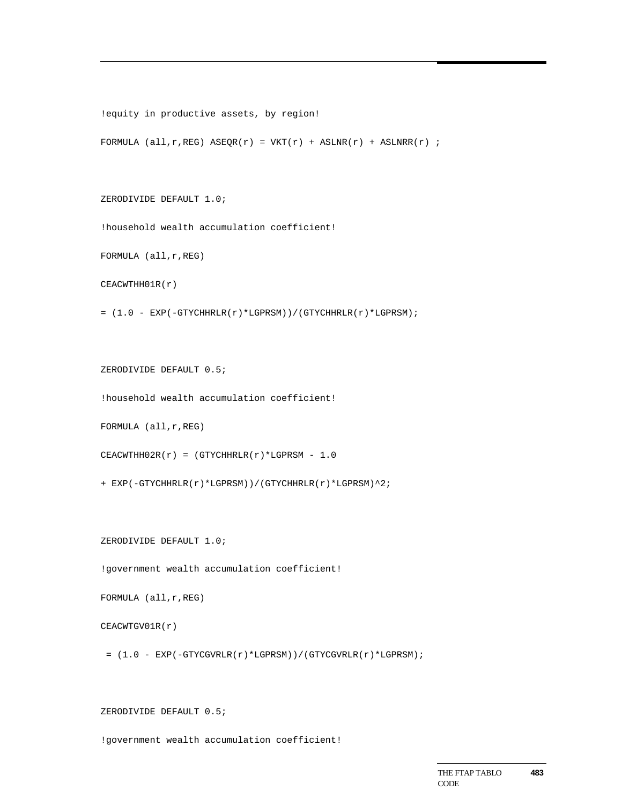```
!equity in productive assets, by region!
```
FORMULA (all,r,REG)  $\text{ASEQR}(r) = \text{VKT}(r) + \text{ASLNR}(r) + \text{ASLNRR}(r)$ ;

```
ZERODIVIDE DEFAULT 1.0;
```
!household wealth accumulation coefficient!

```
FORMULA (all,r,REG)
```

```
CEACWTHH01R(r)
```
 $= (1.0 - EXP(-GTYCHHRLR(r)*LGPRSM)) / (GTYCHHRLR(r)*LGPRSM);$ 

```
ZERODIVIDE DEFAULT 0.5;
```
!household wealth accumulation coefficient!

```
FORMULA (all,r,REG)
```
 $CEACWTHH02R(r) = (GTYCHHRLR(r)*LGPRSM - 1.0$ 

+ EXP(-GTYCHHRLR(r)\*LGPRSM))/(GTYCHHRLR(r)\*LGPRSM)^2;

ZERODIVIDE DEFAULT 1.0;

!government wealth accumulation coefficient!

```
FORMULA (all,r,REG)
```
CEACWTGV01R(r)

 $= (1.0 - EXP(-GTYCGVRLR(r)*LGPRSM)) / (GTYCGVRLR(r)*LGPRSM);$ 

ZERODIVIDE DEFAULT 0.5;

!government wealth accumulation coefficient!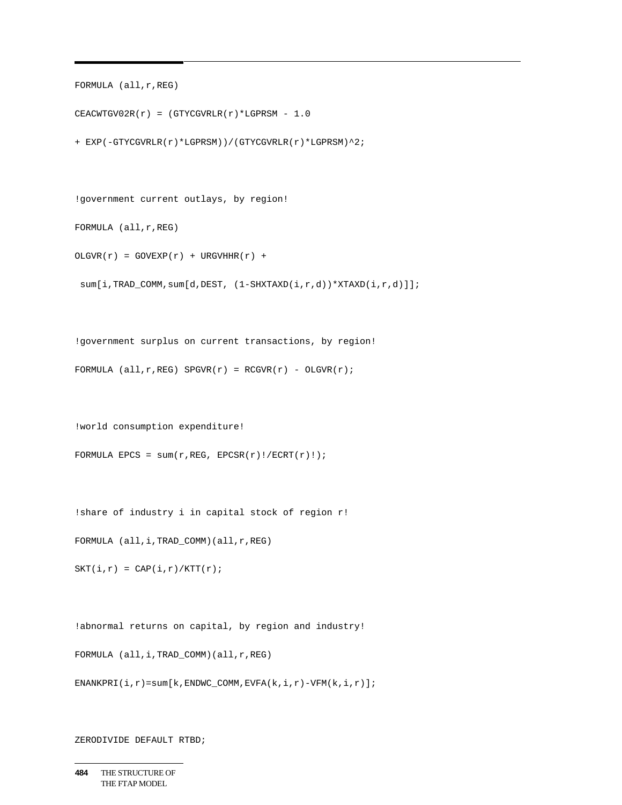```
FORMULA (all,r,REG)
CEACWTGVO2R(r) = (GTYCGVRLR(r)*LGPRSM - 1.0
```
+ EXP(-GTYCGVRLR(r)\*LGPRSM))/(GTYCGVRLR(r)\*LGPRSM)^2;

!government current outlays, by region!

```
FORMULA (all,r,REG)
```

```
OLGVR(r) = GOVEXP(r) + URGVHHR(r) +
```
sum[i,TRAD\_COMM,sum[d,DEST, (1-SHXTAXD(i,r,d))\*XTAXD(i,r,d)]];

```
!government surplus on current transactions, by region!
FORMULA (all,r,REG) SPGVR(r) = RCGVR(r) - OLGVR(r);
```
!world consumption expenditure!

```
FORMULA EPCS = sum(r, REG, EPCSR(r)!/ECT(r)!);
```
!share of industry i in capital stock of region r!

FORMULA (all,i,TRAD\_COMM)(all,r,REG)

 $SKT(i,r) = CAP(i,r)/KTT(r);$ 

!abnormal returns on capital, by region and industry!

FORMULA (all,i,TRAD\_COMM)(all,r,REG)

ENANKPRI $(i,r)$ =sum[k,ENDWC\_COMM,EVFA(k,i,r)-VFM(k,i,r)];

ZERODIVIDE DEFAULT RTBD;

**484** THE STRUCTURE OF THE FTAP MODEL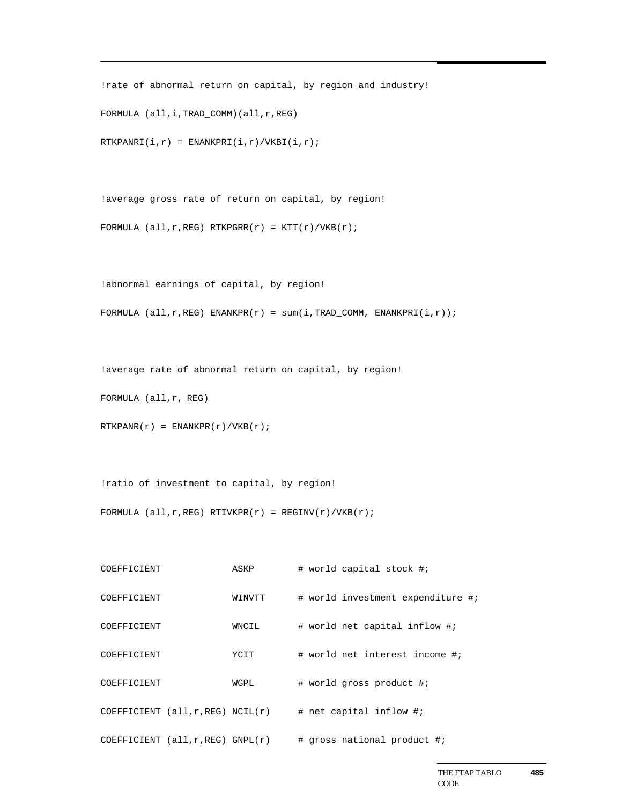```
!rate of abnormal return on capital, by region and industry!
FORMULA (all,i,TRAD_COMM)(all,r,REG)
```

```
RTKPANRI(i,r) = ENANKPRI(i,r)/VKBI(i,r);
```

```
!average gross rate of return on capital, by region!
```

```
FORMULA (all,r,REG) RTKPGRR(r) = KTT(r)/VKB(r);
```
!abnormal earnings of capital, by region!

FORMULA (all,r,REG) ENANKPR(r) = sum(i,TRAD\_COMM, ENANKPRI(i,r));

!average rate of abnormal return on capital, by region!

FORMULA (all,r, REG)

 $RTKPANK(r) = ENANKPR(r)/VKB(r);$ 

!ratio of investment to capital, by region!

FORMULA  $(all,r,REG)$  RTIVKPR $(r)$  = REGINV $(r)/VKB(r)$ ;

| COEFFICIENT                         | ASKP   | # world capital stock #;          |
|-------------------------------------|--------|-----------------------------------|
| COEFFICIENT                         | WINVTT | # world investment expenditure #; |
| COEFFICIENT                         | WNCIL  | # world net capital inflow #;     |
| COEFFICIENT                         | YCIT   | # world net interest income #;    |
| COEFFICIENT                         | WGPL   | # world gross product #;          |
| $COEFFICIENT$ (all,r,REG) $NCIL(r)$ |        | # net capital inflow #;           |
| COEFFICIENT (all,r, REG) GNPL(r)    |        | # gross national product #;       |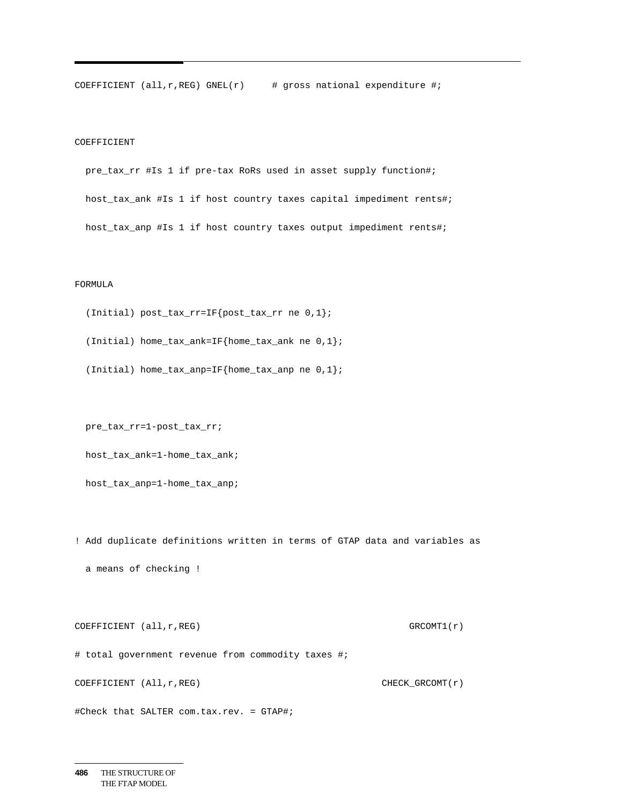COEFFICIENT  $(all,r,REG)$  GNEL $(r)$  # gross national expenditure #;

#### COEFFICIENT

 pre\_tax\_rr #Is 1 if pre-tax RoRs used in asset supply function#; host\_tax\_ank #Is 1 if host country taxes capital impediment rents#; host\_tax\_anp #Is 1 if host country taxes output impediment rents#;

#### FORMULA

(Initial) post\_tax\_rr=IF{post\_tax\_rr ne 0,1};

(Initial) home\_tax\_ank=IF{home\_tax\_ank ne 0,1};

(Initial) home\_tax\_anp=IF{home\_tax\_anp ne 0,1};

pre\_tax\_rr=1-post\_tax\_rr;

host\_tax\_ank=1-home\_tax\_ank;

host\_tax\_anp=1-home\_tax\_anp;

! Add duplicate definitions written in terms of GTAP data and variables as a means of checking !

COEFFICIENT  $(\text{all},r,\text{REG})$  GRCOMT1(*r*) # total government revenue from commodity taxes #; COEFFICIENT  $(A11, r, REG)$  CHECK\_GRCOMT $(r)$ #Check that SALTER com.tax.rev. = GTAP#;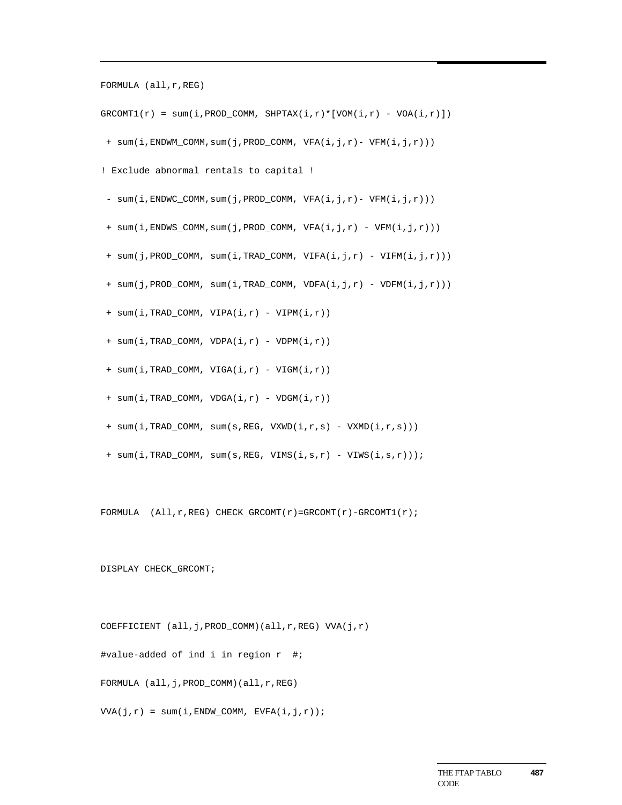```
FORMULA (all,r,REG)
```

```
GRCOMT1(r) = sum(i,PROD_COMM, SHPTAX(i,r)*[VOM(i,r) - VOA(i,r)])
+ sum(i,ENDWM COMM,sum(j,PROD COMM, VFA(i,j,r)- VFM(i,j,r)))
! Exclude abnormal rentals to capital !
 - sum(i, ENDWC_CCOMM,sum(j,PROD_COMM, VFA(i,j,r)-VFM(i,j,r)))+ sum(i,ENDWS_COMM,sum(j,PROD_COMM, VFA(i,j,r) - VFM(i,j,r)))
  + sum(j,PROD_COMM, sum(i,TRAD_COMM, VIFA(i,j,r) - VIFM(i,j,r)))
 + sum(j,PROD_COMM, sum(i,TRAD_COMM, VDFA(i,j,r) - VDFM(i,j,r)))
  + sum(i,TRAD_COMM, VIPA(i,r) - VIPM(i,r))
 + sum(i,TRAD_COMM, VDPA(i,r) - VDPM(i,r))
  + sum(i,TRAD_COMM, VIGA(i,r) - VIGM(i,r))
 + sum(i, TRAD_COMM, VDGA(i,r) - VDGM(i,r)) + sum(i,TRAD_COMM, sum(s,REG, VXWD(i,r,s) - VXMD(i,r,s)))
```

```
 + sum(i,TRAD_COMM, sum(s,REG, VIMS(i,s,r) - VIWS(i,s,r)));
```
FORMULA  $(A11, r, REG)$  CHECK\_GRCOMT( $r$ )=GRCOMT( $r$ )-GRCOMT1( $r$ );

# DISPLAY CHECK\_GRCOMT;

```
COEFFICIENT (all,j,PROD_COMM)(all,r,REG) VVA(j,r)
```
#value-added of ind i in region r #;

FORMULA (all,j,PROD\_COMM)(all,r,REG)

 $VVA(j,r) = sum(i, ENDW_COMM, EVFA(i,j,r));$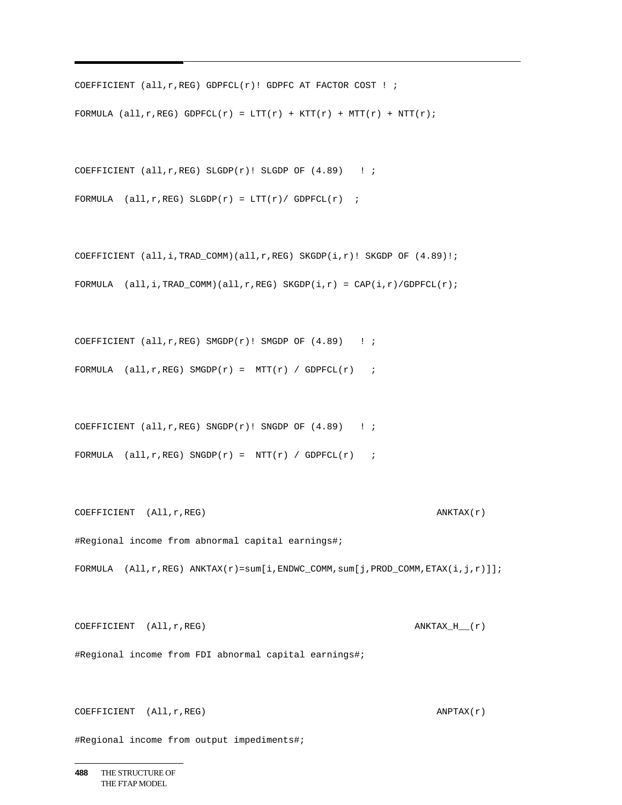```
COEFFICIENT (all,r,REG) GDPFCL(r)! GDPFC AT FACTOR COST ! ;
FORMULA (all,r,REG) GDPFCL(r) = LTT(r) + KTT(r) + MTT(r) + NTT(r);
```

```
COEFFICIENT (all,r,REG) SLGDP(r)! SLGDP OF (4.89) ! ;
FORMULA (all,r,REG) SLGDP(r) = LTT(r)/ GDPFCL(r) ;
```

```
COEFFICIENT (all,i,TRAD\_COMM)(all,r,REG) SKGDP(i,r)! SKGDP OF (4.89)!!FORMULA (all, i, TRAD\_COMM)(all, r, REG) SKGDP(i, r) = CAP(i, r)/GDPFCL(r);
```
COEFFICIENT  $(all,r,REG)$  SMGDP $(r)$ ! SMGDP OF  $(4.89)$  ! ; FORMULA (all, $r$ ,REG) SMGDP( $r$ ) = MTT( $r$ ) / GDPFCL( $r$ ) ;

COEFFICIENT  $(all,r,REG)$  SNGDP $(r)$ ! SNGDP OF  $(4.89)$  ! ; FORMULA (all, $r,$ REG) SNGDP( $r$ ) = NTT( $r$ ) / GDPFCL( $r$ ) ;

```
COEFFICIENT (A11, r, REG) ANKTAX(r)
#Regional income from abnormal capital earnings#;
FORMULA (All, r, REG) ANKTAX(r) = sum[i, ENDWC_COMM, sum[j,PROD_COMM,ETAX(i,j,r)]];
```
COEFFICIENT  $(A11, r, REG)$  ANKTAX\_H\_(r)

#Regional income from FDI abnormal capital earnings#;

```
COEFFICIENT (All,r,REG) ANPTAX(r)
```
#Regional income from output impediments#;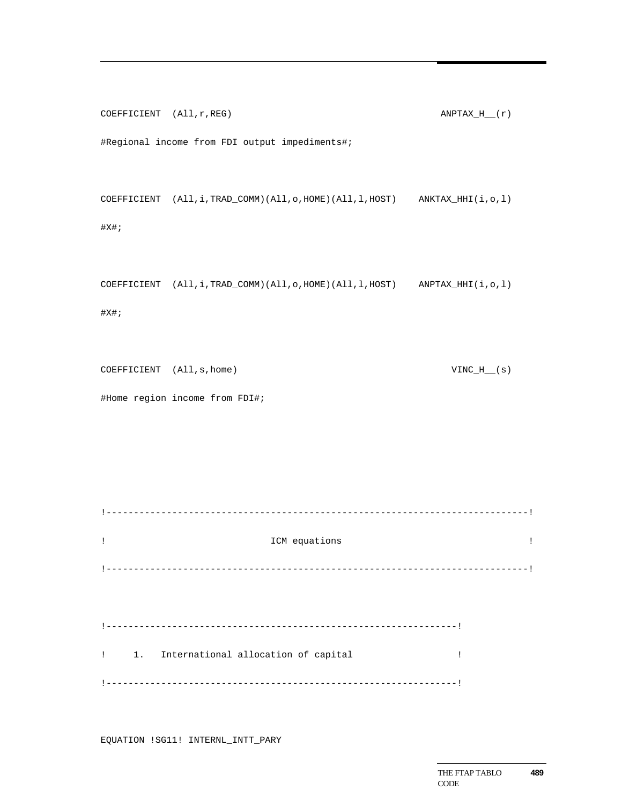```
COEFFICIENT (A11, r, REG) ANPTAX_H_(r)
#Regional income from FDI output impediments#;
COEFFICIENT (All,i,TRAD_COMM)(All,o,HOME)(All,l,HOST) ANKTAX_HHI(i,o,l)
#X#;
COEFFICIENT (All,i,TRAD_COMM)(All,o,HOME)(All,l,HOST) ANPTAX_HHI(i,o,l)
#X#;
COEFFICIENT (All, s, home) VINC_H_(s)
#Home region income from FDI#;
```

|              | ICM equations                          |  |
|--------------|----------------------------------------|--|
|              |                                        |  |
|              |                                        |  |
|              |                                        |  |
|              |                                        |  |
| $\mathbf{I}$ | 1. International allocation of capital |  |
|              |                                        |  |

EQUATION !SG11! INTERNL\_INTT\_PARY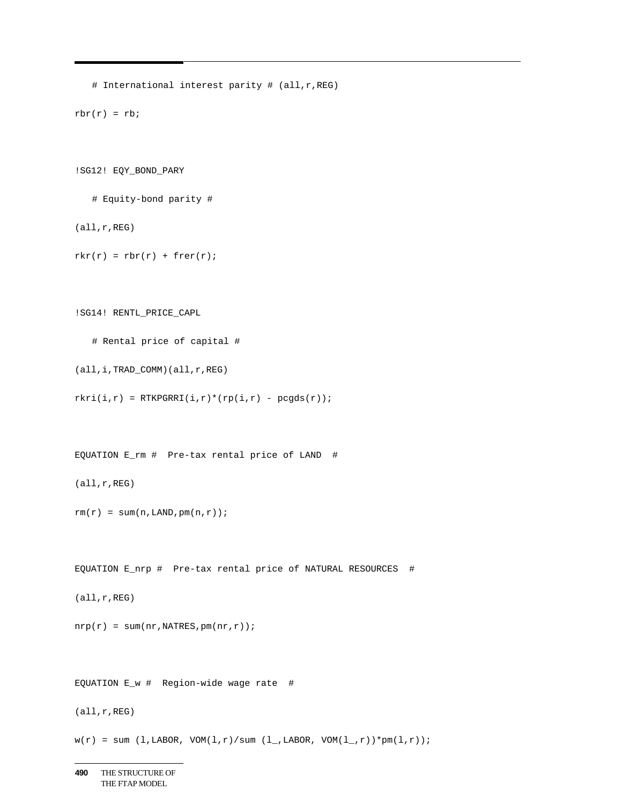```
# International interest parity # (all,r,REG)
```
 $rbr(r) = rb;$ 

!SG12! EQY\_BOND\_PARY

# Equity-bond parity #

(all,r,REG)

 $rkr(r) = rbr(r) + frer(r);$ 

!SG14! RENTL\_PRICE\_CAPL

# Rental price of capital #

```
(all,i,TRAD_COMM)(all,r,REG)
```
 $rkri(i,r) = RTKPGRRI(i,r)*(rp(i,r) - pcgds(r));$ 

EQUATION E\_rm # Pre-tax rental price of LAND #

(all,r,REG)

```
rm(r) = sum(n, LAND, pm(n, r));
```
EQUATION E\_nrp # Pre-tax rental price of NATURAL RESOURCES #

(all,r,REG)

 $\mathtt{nrp}(r) \ = \ \mathtt{sum}(\mathtt{nr},\mathtt{NATRES},\mathtt{pm}(\mathtt{nr},r))\,;$ 

EQUATION E\_w # Region-wide wage rate #

(all,r,REG)

 $w(r) = sum(1, LABOR, VOM(1, r)/sum(1, LABOR, VOM(1, r)) * pm(1, r));$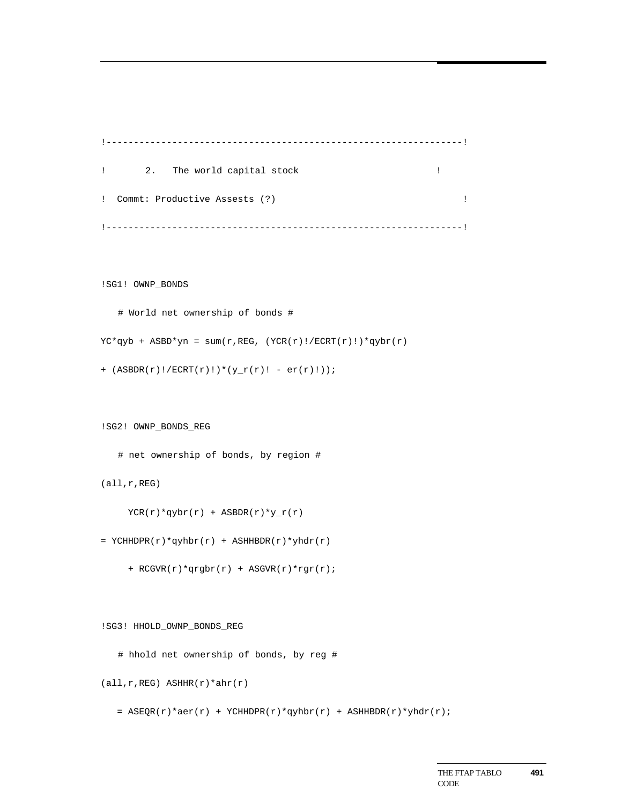```
!-----------------------------------------------------------------!
! 2. The world capital stock !
! Commt: Productive Assests (?) !
!-----------------------------------------------------------------!
```
!SG1! OWNP\_BONDS

# World net ownership of bonds #

 $YC*qyb + ASBD*yn = sum(r, REG, (YCR(r)!/ECRT(r)!)*qybr(r)$ 

+  $(ASBDR(r)!/ECRT(r)!)*(y_r(r)! - er(r)!));$ 

!SG2! OWNP\_BONDS\_REG

# net ownership of bonds, by region #

(all,r,REG)

 $YCR(r)*qybr(r) + ASBDR(r)*y_r(r)$ 

= YCHHDPR( $r$ ) \*qyhbr( $r$ ) + ASHHBDR( $r$ ) \*yhdr( $r$ )

+ RCGVR(r)\*qrgbr(r) + ASGVR(r)\*rgr(r);

```
!SG3! HHOLD_OWNP_BONDS_REG
```
# hhold net ownership of bonds, by reg #

 $(\text{all},r,\text{REG})$  ASHHR $(r)*\text{ahr}(r)$ 

=  $ASEQR(r)*aer(r) + YCHHDPR(r)*qyhbr(r) + ASHHBDR(r)*yhdr(r);$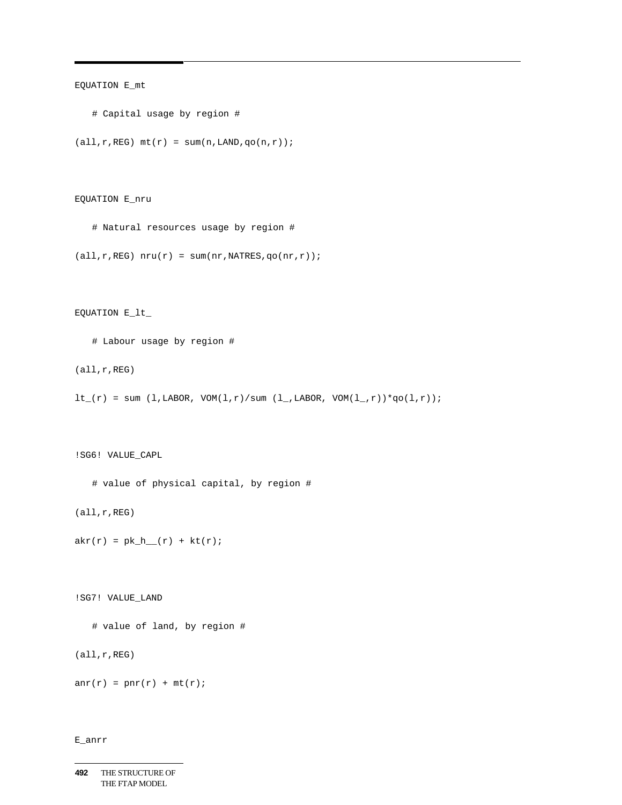#### EQUATION E\_mt

# Capital usage by region #

 $(all,r,REG)$  mt $(r)$  = sum $(n,LAND,qo(n,r))$ ;

#### EQUATION E\_nru

# Natural resources usage by region #

```
(all,r,REG) nru(r) = sum(nr, NATRES, qo(nr, r));
```
# EQUATION E\_lt\_

# Labour usage by region #

(all,r,REG)

 $lt_{r}(r) = sum (1, LABOR, VOM(1, r)/sum (1, LABOR, VOM(1, r)) * qo(1, r));$ 

### !SG6! VALUE\_CAPL

# value of physical capital, by region #

(all,r,REG)

 $akr(r) = pk_h(r) + kt(r);$ 

!SG7! VALUE\_LAND

# value of land, by region #

(all,r,REG)

 $anr(r) = pnr(r) + mt(r);$ 

E\_anrr

**492** THE STRUCTURE OF THE FTAP MODEL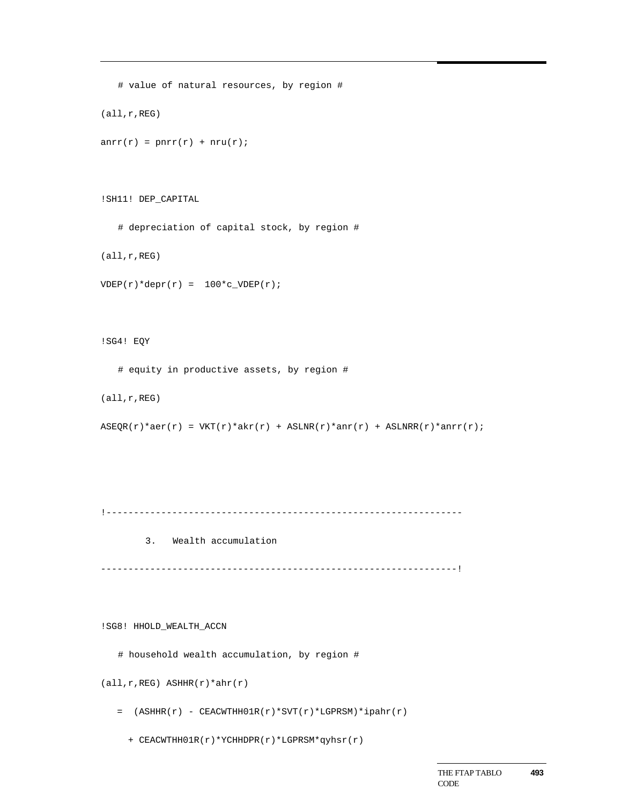```
# value of natural resources, by region #
(all,r,REG)
anrr(r) = pnrr(r) + nru(r);!SH11! DEP_CAPITAL
   # depreciation of capital stock, by region #
(all,r,REG)
VDEF(r)*depr(r) = 100*C_VDEF(r);!SG4! EQY
   # equity in productive assets, by region #
(all,r,REG)
ASEQR(r)*aer(r) = VKT(r)*akr(r) + ASLNR(r)*anr(r) + ASLNR(r)*anr(r);!-----------------------------------------------------------------
         3. Wealth accumulation
-----------------------------------------------------------------!
!SG8! HHOLD_WEALTH_ACCN
   # household wealth accumulation, by region #
(\text{all},r,\text{REG}) ASHHR(r)*\text{ahr}(r)
```
- $=$  (ASHHR(r) CEACWTHH01R(r)\*SVT(r)\*LGPRSM)\*ipahr(r)
	- + CEACWTHH01R(r)\*YCHHDPR(r)\*LGPRSM\*qyhsr(r)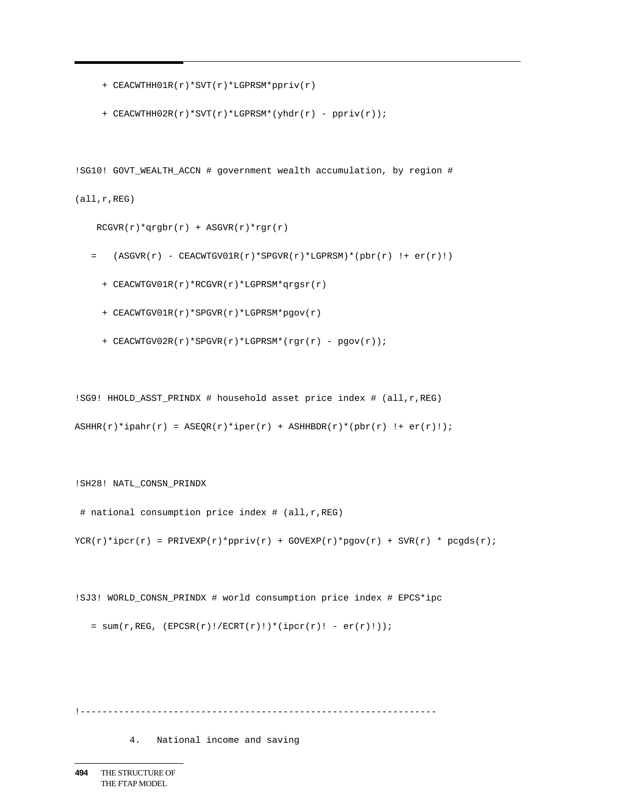```
 + CEACWTHH01R(r)*SVT(r)*LGPRSM*ppriv(r)
```

```
 + CEACWTHH02R(r)*SVT(r)*LGPRSM*(yhdr(r) - ppriv(r));
```
!SG10! GOVT\_WEALTH\_ACCN # government wealth accumulation, by region # (all,r,REG)

```
RCGVR(r)*qrgbr(r) + ASGVR(r)*rgr(r)
```
- =  $(ASGVR(r) CEACWTGVO1R(r)*SPGVR(r)*LGPRSM)*(pbr(r) !+er(r)!)$ 
	- + CEACWTGV01R(r)\*RCGVR(r)\*LGPRSM\*qrgsr(r)
	- + CEACWTGV01R(r)\*SPGVR(r)\*LGPRSM\*pgov(r)
	- + CEACWTGV02R(r)\*SPGVR(r)\*LGPRSM\*(rgr(r) pgov(r));

!SG9! HHOLD\_ASST\_PRINDX # household asset price index # (all,r,REG)

 $ASHHR(r)*ipahr(r) = ASEQR(r)*iper(r) + ASHHBDR(r)*ipbr(r) ! + er(r)!);$ 

!SH28! NATL\_CONSN\_PRINDX

# national consumption price index # (all,r,REG)

 $YCR(r)*ipcr(r) = PRIVEXP(r)*ppriv(r) + GOVEXP(r)*pgov(r) + SVR(r) * pcgds(r);$ 

!SJ3! WORLD\_CONSN\_PRINDX # world consumption price index # EPCS\*ipc

 $= \texttt{sum}(\texttt{r},\texttt{REG},~(\texttt{EPCSR}(r)!/\texttt{ECRT}(r)!)*(\texttt{ipcr}(r)!~- \texttt{er}(r)!));$ 

!-----------------------------------------------------------------

4. National income and saving

**494** THE STRUCTURE OF THE FTAP MODEL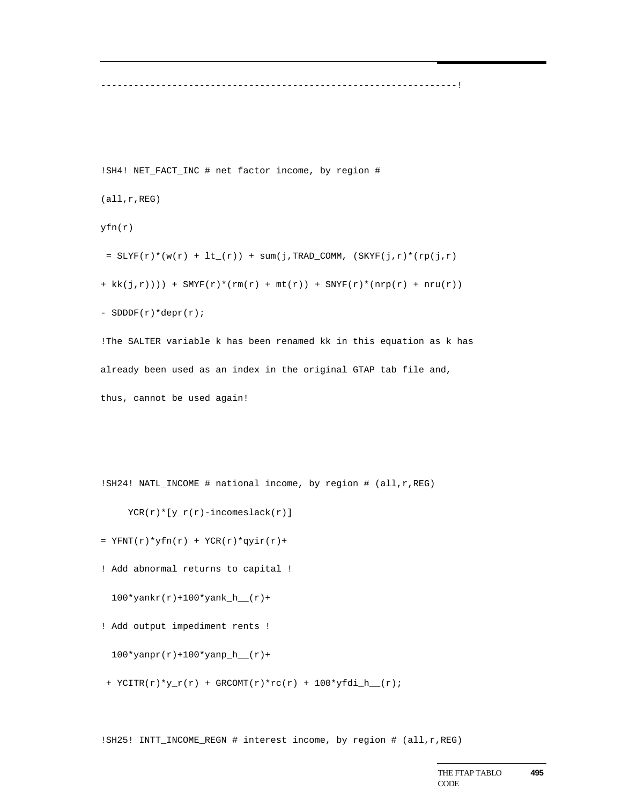-----------------------------------------------------------------!

```
!SH4! NET_FACT_INC # net factor income, by region #
```
(all,r,REG)

yfn(r)

=  $SLYF(r)*(w(r) + lt_(r)) + sum(j,TRAD\_COMM, (SKYF(j,r)*(rp(j,r))$ 

+ kk(j,r)))) + SMYF(r)\*(rm(r) + mt(r)) + SNYF(r)\*(nrp(r) + nru(r))

-  $SDDDF(r)*depr(r);$ 

!The SALTER variable k has been renamed kk in this equation as k has already been used as an index in the original GTAP tab file and, thus, cannot be used again!

!SH24! NATL\_INCOME # national income, by region # (all,r,REG)

 $YCR(r) * [y_r(r) - incomeslack(r)]$ 

- $= \text{YFNT}(r) * \text{yfn}(r) + \text{YCR}(r) * \text{qyir}(r) +$
- ! Add abnormal returns to capital !

```
100*yankr(r)+100*yank_h_(r)+
```
! Add output impediment rents !

```
 100*yanpr(r)+100*yanp_h__(r)+
```

```
+ YCITR(r)*y_r(r) + GRCOMT(r)*rc(r) + 100*yfdi_h(r);
```
!SH25! INTT\_INCOME\_REGN # interest income, by region # (all,r,REG)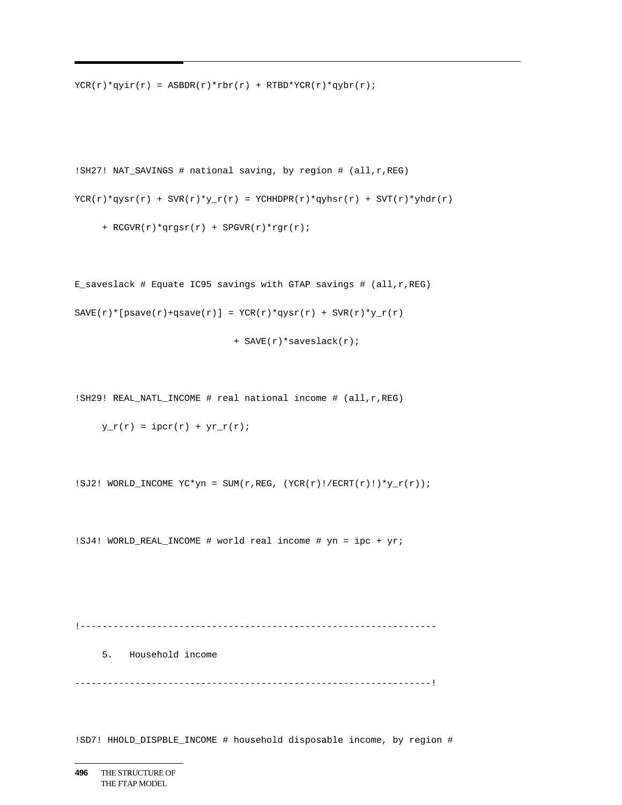```
YCR(r)*qyir(r) = ASBDR(r)*rbr(r) + RTBD*YCR(r)*qybr(r);
```

```
!SH27! NAT_SAVINGS # national saving, by region # (all,r,REG)
\texttt{YCR}(r)*\texttt{q}\texttt{ysr}(r) + \texttt{SVR}(r)*\texttt{y_r}(r) = \texttt{YCHHDPR}(r)*\texttt{q}\texttt{yhsr}(r) + \texttt{SVT}(r)*\texttt{yhdr}(r) + RCGVR(r)*qrgsr(r) + SPGVR(r)*rgr(r);
```
E\_saveslack # Equate IC95 savings with GTAP savings #  $(all,r,REG)$  $SAVE(r)*[psave(r)+qsave(r)] = YCR(r)*qysr(r) + SVR(r)*y_r(r)$ 

+ SAVE(r)\*saveslack(r);

!SH29! REAL\_NATL\_INCOME # real national income # (all,r,REG)

 $y_r(r) = 1pcr(r) + yr_r(r);$ 

!SJ2! WORLD\_INCOME  $YC*yn = SUM(r, REG, (YCR(r)!/ECRT(r)!)*y_r(r));$ 

!SJ4! WORLD\_REAL\_INCOME # world real income # yn = ipc + yr;

!-----------------------------------------------------------------

5. Household income

-----------------------------------------------------------------!

!SD7! HHOLD\_DISPBLE\_INCOME # household disposable income, by region #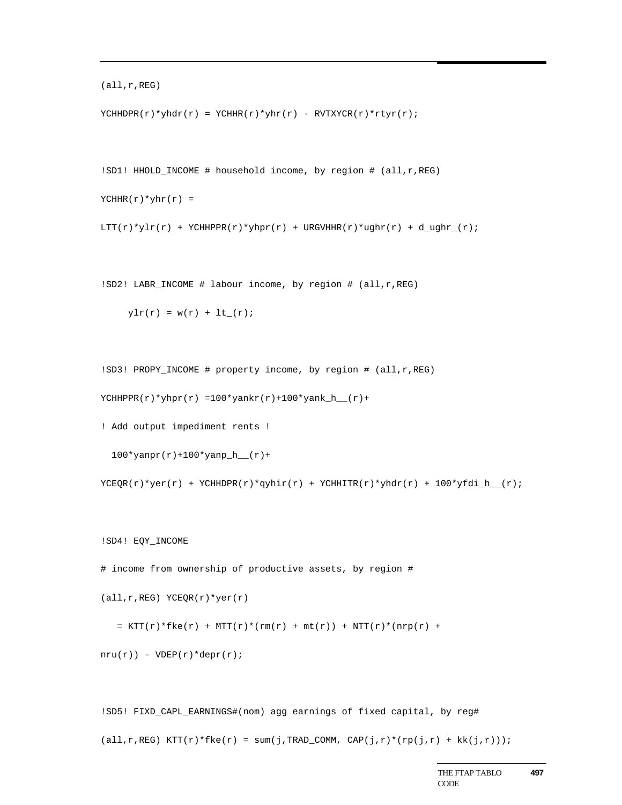```
(all,r,REG)
```

```
YCHHDPR(r)*yhdr(r) = YCHHR(r)*yhr(r) - RVTXYCR(r)*rtyr(r);
```
!SD1! HHOLD\_INCOME # household income, by region # (all,r,REG)

```
YCHHR(r) *yhr(r) =
```

```
LTT(r)*ylr(r) + YCHHPPR(r)*yhpr(r) + URGVHHR(r)*ughr(r) + d_yghr(r);
```
!SD2! LABR\_INCOME # labour income, by region # (all,r,REG)

 $ylr(r) = w(r) + lt(r);$ 

!SD3! PROPY\_INCOME # property income, by region # (all,r,REG)

 $YCHHPPR(r)*yhpr(r) =100*yankr(r)+100*yank_h(r)+100*yank_h(r)$ 

! Add output impediment rents !

```
 100*yanpr(r)+100*yanp_h__(r)+
```
 $YCEQR(r)*yer(r) + YCHHDR(r)*qyhir(r) + YCHHIR(r)*yhdr(r) + 100*yfdi_h(r);$ 

!SD4! EQY\_INCOME

# income from ownership of productive assets, by region #

```
(\text{all},r,\text{REG}) YCEQR(r)*yer(r)
```
 $= \text{KTT}(r)*\text{fke}(r) + \text{MTT}(r)*\text{(rm}(r) + \text{mt}(r)) + \text{NTT}(r)*\text{(nrp}(r) +$ 

 $nru(r)$ ) - VDEP(r)\*depr(r);

!SD5! FIXD\_CAPL\_EARNINGS#(nom) agg earnings of fixed capital, by reg#  $(\text{all},r,\text{REG})$  KTT $(r)*\text{fke}(r) = \text{sum}(j,\text{TRAD\_COMM}, \text{CAP}(j,r)*(\text{rp}(j,r) + \text{kk}(j,r)))$ ;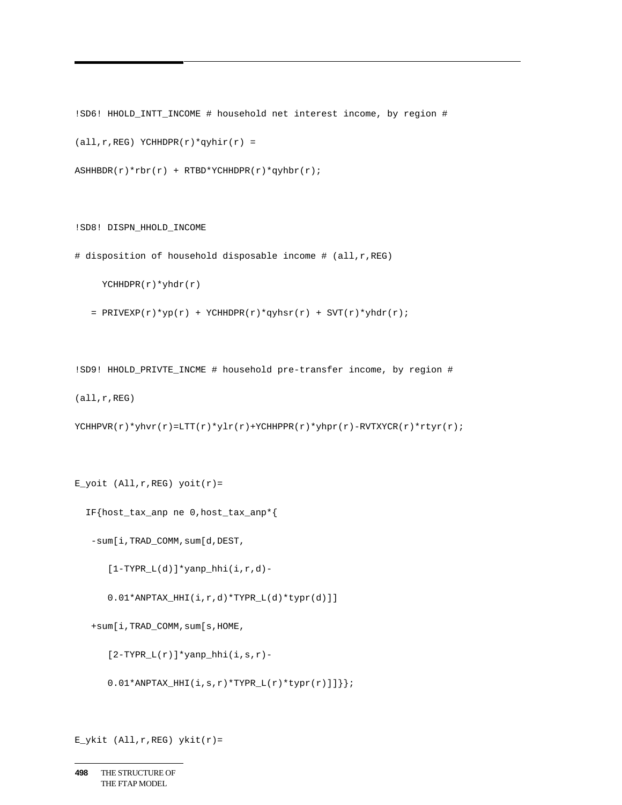```
!SD6! HHOLD_INTT_INCOME # household net interest income, by region #
(all,r,REG) YCHHDPR(r)*qyhir(r) =ASHHBDR(r)*rbr(r) + RTBD*YCHHDPR(r)*qyhbr(r);
```
#### !SD8! DISPN\_HHOLD\_INCOME

# disposition of household disposable income # (all, r, REG)

YCHHDPR(r)\*yhdr(r)

=  $PRIVEXP(Y * yp(r) + YCHHDPR(r) *qyhsr(r) + SVT(r) *yhdr(r);$ 

!SD9! HHOLD\_PRIVTE\_INCME # household pre-transfer income, by region #

(all,r,REG)

YCHHPVR(r)\*yhvr(r)=LTT(r)\*ylr(r)+YCHHPPR(r)\*yhpr(r)-RVTXYCR(r)\*rtyr(r);

E\_yoit  $(All,r,REG)$  yoit $(r)$ =

```
 IF{host_tax_anp ne 0,host_tax_anp*{
```
-sum[i,TRAD\_COMM,sum[d,DEST,

 $[1-TYPR_L(d)]$ \*yanp\_hhi(i,r,d)-

0.01\*ANPTAX\_HHI(i,r,d)\*TYPR\_L(d)\*typr(d)]]

+sum[i,TRAD\_COMM,sum[s,HOME,

 $[2-TYPR_L(r)]$ \*yanp\_hhi(i,s,r)-

 $0.01*$ ANPTAX\_HHI $(i,s,r)*$ TYPR\_L $(r)*$ typr $(r)]$ };

E\_ykit  $(All,r,REG)$  ykit $(r)$ =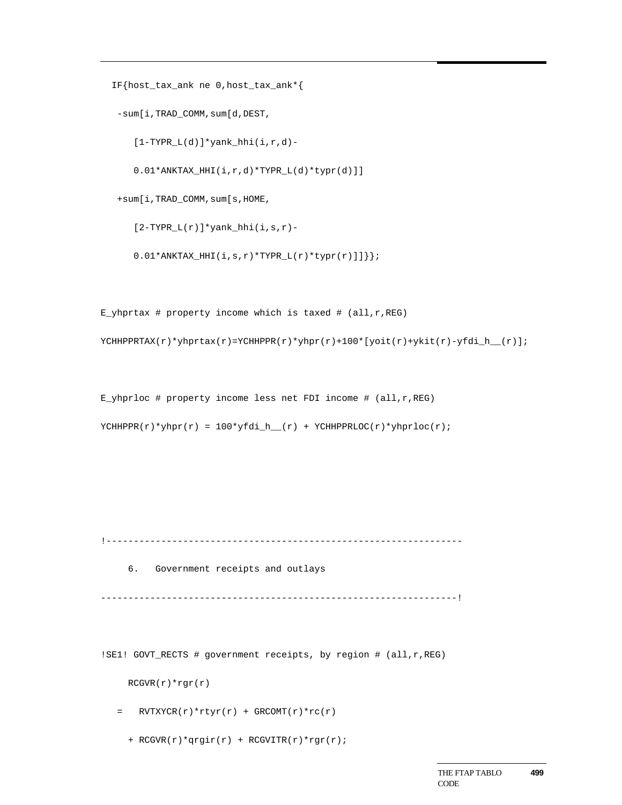```
 IF{host_tax_ank ne 0,host_tax_ank*{
```
-sum[i,TRAD\_COMM,sum[d,DEST,

 $[1-TYPR_L(d)]$ \*yank\_hhi $(i,r,d)$ -

0.01\*ANKTAX\_HHI(i,r,d)\*TYPR\_L(d)\*typr(d)]]

+sum[i,TRAD\_COMM,sum[s,HOME,

 $[2-TYPR_L(r)]$ \*yank\_hhi(i,s,r)-

 $0.01*$ ANKTAX\_HHI $(i,s,r)*$ TYPR\_L $(r)*$ typ $r(r)]$ ]};

E\_yhprtax # property income which is taxed # (all,r,REG)

 $YCHHPPRTAX(r)*yhprtax(r)=YCHHPPR(r)*yhpr(r)+100*[yoit(r)+ykit(r)-yfdi_h_(r)];$ 

E\_yhprloc # property income less net FDI income #  $(all,r,REG)$ 

 $YCHHPPR(r)*yhpr(r) = 100*yfdi_h(r) + YCHHPPRLOC(r)*yhprloc(r);$ 

!-----------------------------------------------------------------

6. Government receipts and outlays

-----------------------------------------------------------------!

!SE1! GOVT\_RECTS # government receipts, by region # (all,r,REG)

RCGVR(r)\*rgr(r)

- $=$  RVTXYCR(r)\*rtyr(r) + GRCOMT(r)\*rc(r)
	- + RCGVR(r)\*qrgir(r) + RCGVITR(r)\*rgr(r);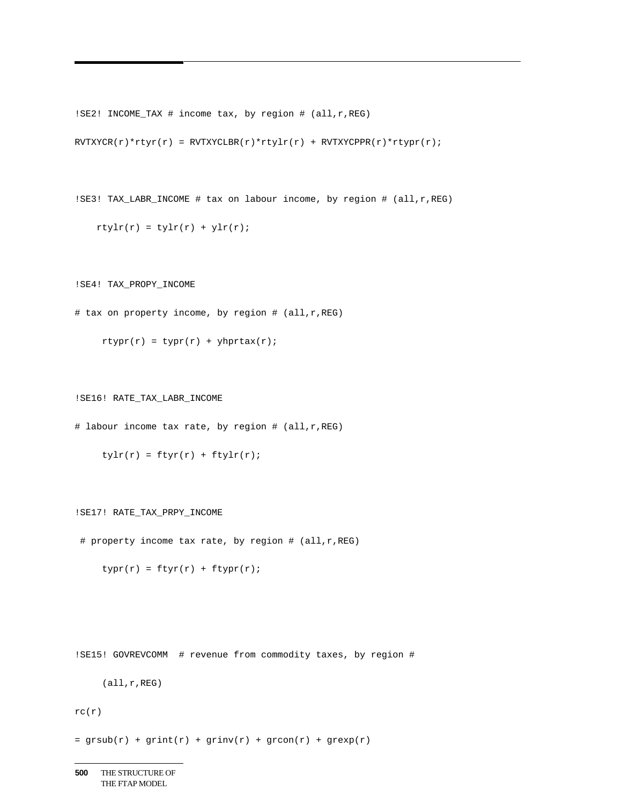```
!SE2! INCOME_TAX # income tax, by region # (all,r,REG)
RVTXYCR(r) * rtyr(r) = RVTXYZLBR(r) * rtylr(r) + RVTXYZPPR(r) * rtypr(r);
```

```
!SE3! TAX_LABR_INCOME # tax on labour income, by region # (all,r,REG)
   rtylr(r) = tylr(r) + ylr(r);
```
!SE4! TAX\_PROPY\_INCOME

```
# tax on property income, by region # (all, r, REG)
```

```
rtypr(r) = typr(r) + yhprtax(r);
```
!SE16! RATE\_TAX\_LABR\_INCOME

```
# labour income tax rate, by region # (all, r, REG)
```

```
tylr(r) = flyr(r) + flylr(r);
```
!SE17! RATE\_TAX\_PRPY\_INCOME

# property income tax rate, by region # (all, r, REG)

 $typr(r) = ftyr(r) + ftypr(r);$ 

!SE15! GOVREVCOMM # revenue from commodity taxes, by region #

(all,r,REG)

rc(r)

 $=$  grsub(r) + grint(r) + grinv(r) + grcon(r) + grexp(r)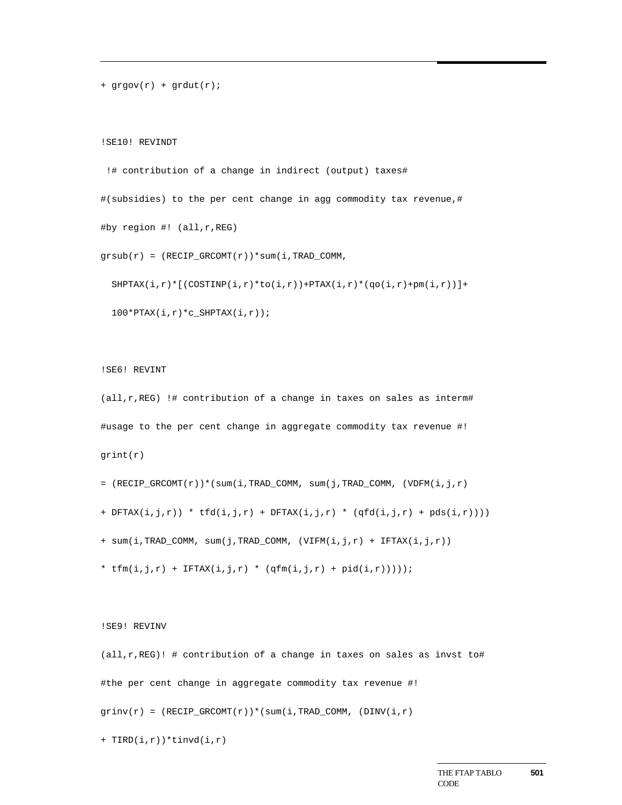```
+ grgov(r) + grdut(r);
```

```
!SE10! REVINDT
```
 !# contribution of a change in indirect (output) taxes# #(subsidies) to the per cent change in agg commodity tax revenue,# #by region #! (all,r,REG)

 $grsub(r) = (RECIP_GRCOMT(r))^*sum(i,TRAD_COMM,$ 

```
SHPTAX(i,r)*(COSTINP(i,r)*to(i,r))+PTAX(i,r)*(qo(i,r)+pm(i,r))]+
```

```
100*PTAX(i,r)*c_SHPTAX(i,r);
```
!SE6! REVINT

 $(all,r,REG)$  !# contribution of a change in taxes on sales as interm# #usage to the per cent change in aggregate commodity tax revenue #! grint(r)

 $=$   $(RECTP_GRCONT(r)) * (sum(i, TRAD_COMM, sum(j,TRAD_COMM, (VDFM(i,j,r))))$ + DFTAX $(i,j,r)$  \*  $tfd(i,j,r)$  + DFTAX $(i,j,r)$  \*  $(qfd(i,j,r)$  +  $pds(i,r))))$ + sum(i,TRAD\_COMM, sum(j,TRAD\_COMM, (VIFM(i,j,r) + IFTAX(i,j,r)) \*  $tfm(i,j,r) + IFTAX(i,j,r) * (qfm(i,j,r) + pid(i,r))))$ ;

!SE9! REVINV

```
(all,r,REG)! # contribution of a change in taxes on sales as invst to#
#the per cent change in aggregate commodity tax revenue #!
grinv(r) = (RECIP_GRCOMT(r)) * (sum(i,TRAD_COMM, (DINV(i, r)))
```
+ TIRD(i,r))\*tinvd(i,r)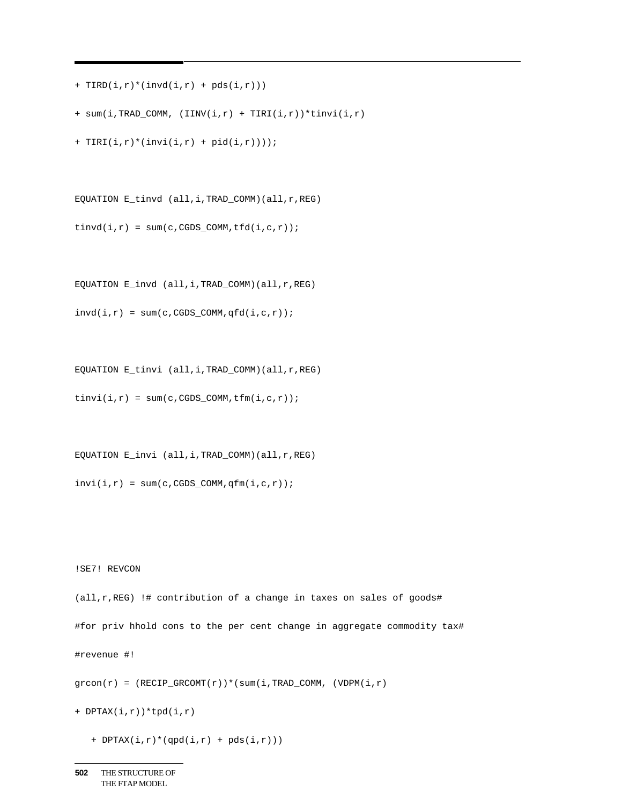```
+ TIRD(i,r)*(invd(i,r) + pds(i,r)))
```

```
+ sum(i,TRAD_COMM, (IINV(i,r) + TIRI(i,r))*tinvi(i,r)
```

```
+ TIRI(i,r)*(invi(i,r) + pid(i,r)));
```

```
EQUATION E_tinvd (all,i,TRAD_COMM)(all,r,REG)
```

```
tinvd(i,r) = sum(c, CGDS_COMM, tfd(i,c,r));
```

```
EQUATION E_invd (all,i,TRAD_COMM)(all,r,REG)
```

```
invd(i,r) = sum(c, CGDS_COMM, qfd(i,c,r));
```

```
EQUATION E_tinvi (all,i,TRAD_COMM)(all,r,REG)
```

```
tinvi(i,r) = sum(c, CGDS_COMM, tfm(i,c,r));
```

```
EQUATION E_invi (all,i,TRAD_COMM)(all,r,REG)
```

```
invi(i,r) = sum(c, CGDS_COMM, qfm(i,c,r));
```
!SE7! REVCON

```
(all,r,REG) !# contribution of a change in taxes on sales of goods#
#for priv hhold cons to the per cent change in aggregate commodity tax#
#revenue #!
grcon(r) = (RECIP_GRCOMT(r)) * (sum(i,TRAD_COMM, (VDPM(i, r)))+ DPTAX(i,r))*tpd(i,r)
```

```
+ DPTAX(i,r)*(qpd(i,r) + pds(i,r)))
```
**502** THE STRUCTURE OF THE FTAP MODEL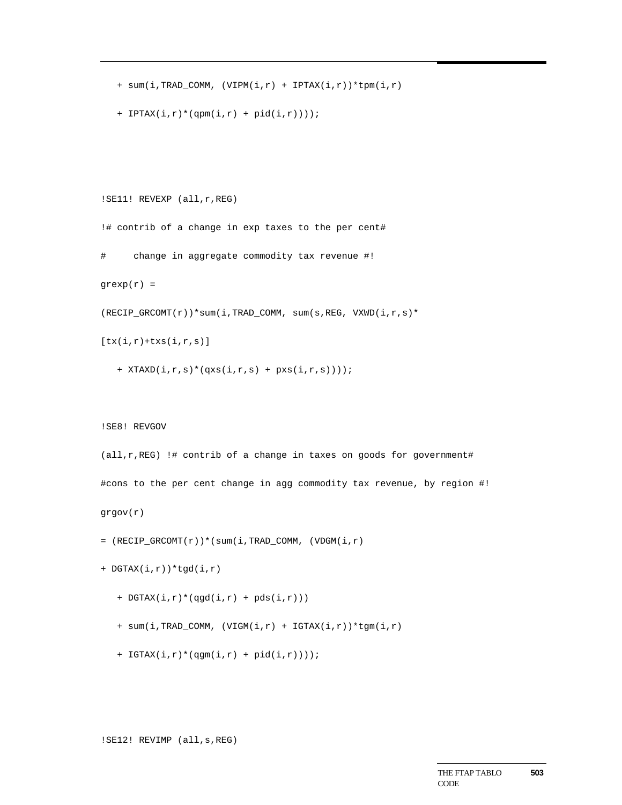```
+ sum(i,TRAD_COMM, (VIPM(i,r) + IPTAX(i,r))*tpm(i,r)
```

```
 + IPTAX(i,r)*(qpm(i,r) + pid(i,r))));
```

```
!SE11! REVEXP (all,r,REG)
!# contrib of a change in exp taxes to the per cent#
# change in aggregate commodity tax revenue #!
grexp(r) =
(RECTP_GRCOMT(r))^*sum(i,TRAD_COMM, sum(s,REG, VXWD(i, r, s))^*[tx(i,r)+txs(i,r,s)]
```
+ XTAXD(i,r,s)\*(qxs(i,r,s) + pxs(i,r,s))));

```
!SE8! REVGOV
```
 $(all,r,REG)$  !# contrib of a change in taxes on goods for government# #cons to the per cent change in agg commodity tax revenue, by region #! grgov(r)

 $=$  (RECIP\_GRCOMT(r))\*(sum(i,TRAD\_COMM, (VDGM(i,r)

```
+ DGTAX(i,r))*tgd(i,r)
```
- + DGTAX(i,r)\*(qgd(i,r) + pds(i,r)))
- + sum(i,TRAD\_COMM, (VIGM(i,r) + IGTAX(i,r))\*tgm(i,r)
- +  $IGTAX(i,r)*(qgm(i,r) + pid(i,r)))$ ;

!SE12! REVIMP (all,s,REG)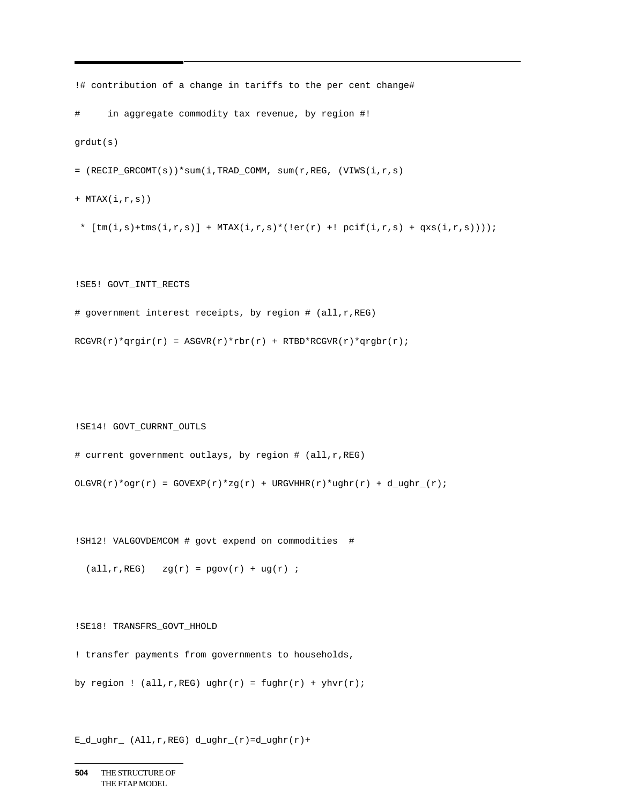!# contribution of a change in tariffs to the per cent change#

# in aggregate commodity tax revenue, by region #!

grdut(s)

= (RECIP\_GRCOMT(s))\*sum(i,TRAD\_COMM, sum(r,REG, (VIWS(i,r,s)

 $+$  MTAX $(i, r, s)$ )

\*  $[\text{tm}(i,s)+\text{tms}(i,r,s)]$  +  $\text{MTAX}(i,r,s)$  \*  $(\text{ler}(r) + ! \text{pcif}(i,r,s) + \text{qxs}(i,r,s))))$ ;

!SE5! GOVT\_INTT\_RECTS

# government interest receipts, by region # (all, r, REG)

 $RCGVR(r)*qrgir(r) = ASGVR(r)*rbr(r) + RTBD*RCGVR(r)*qrgbr(r);$ 

!SE14! GOVT\_CURRNT\_OUTLS

# current government outlays, by region # (all,r,REG)

 $OLGVR(r)*ogr(r) = GOVEXP)*zg(r) + URGVHHR(r)*ughr(r) + d_ughr(r);$ 

!SH12! VALGOVDEMCOM # govt expend on commodities #

 $(all,r,REG)$  zg $(r)$  = pgov $(r)$  + ug $(r)$  ;

!SE18! TRANSFRS\_GOVT\_HHOLD

! transfer payments from governments to households,

by region !  $(all, r, REG)$  ughr $(r) = fughr(r) + yhvr(r)$ ;

 $E_d_\text{ughr}$  (All, r, REG) d\_ughr\_(r)=d\_ughr(r)+

**504** THE STRUCTURE OF THE FTAP MODEL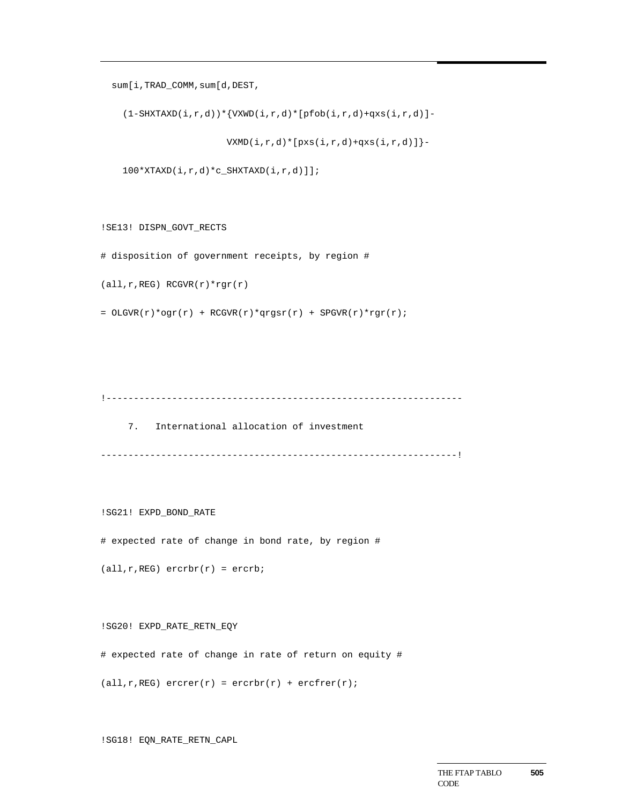sum[i,TRAD\_COMM,sum[d,DEST,

```
(1-SHXTAXD(i,r,d))*\{VXWD(i,r,d)*(pfob(i,r,d)+qxs(i,r,d))-
```
 $VXMD(i,r,d)*(pxs(i,r,d)+qxs(i,r,d)]$  -

```
 100*XTAXD(i,r,d)*c_SHXTAXD(i,r,d)]];
```
!SE13! DISPN\_GOVT\_RECTS

# disposition of government receipts, by region #

 $(\text{all},r,\text{REG})$  RCGVR $(r)*rgr(r)$ 

=  $OLGVR(r)*ogr(r) + RCGVR(r)*qrgsr(r) + SPGVR(r)*rgr(r);$ 

!-----------------------------------------------------------------

 7. International allocation of investment -----------------------------------------------------------------!

!SG21! EXPD\_BOND\_RATE

# expected rate of change in bond rate, by region #

 $(all,r,REG)$  ercrbr $(r)$  = ercrb;

!SG20! EXPD\_RATE\_RETN\_EQY

# expected rate of change in rate of return on equity #

 $(all,r,REG) ercrer(r) = ercrbr(r) + ercfrer(r);$ 

!SG18! EQN\_RATE\_RETN\_CAPL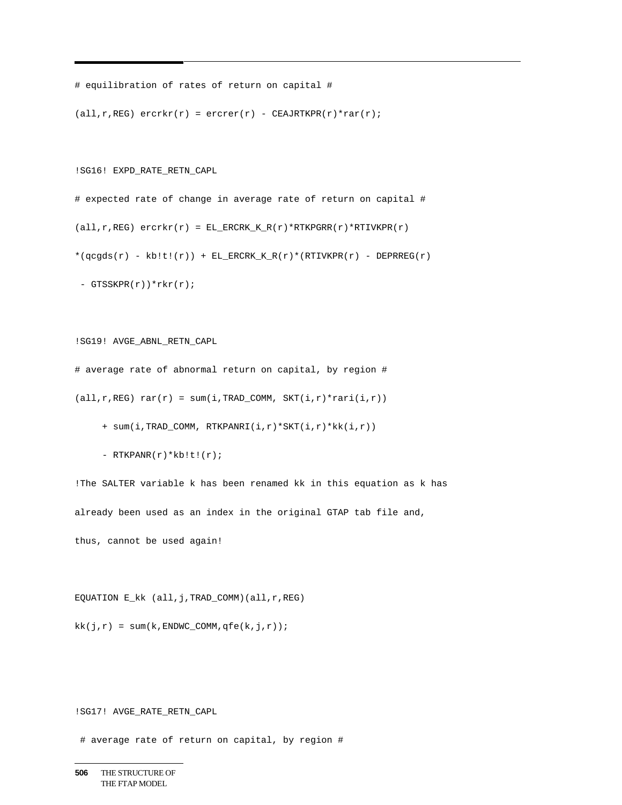```
# equilibration of rates of return on capital #
```
(all,r,REG) ercrkr(r) = ercrer(r) - CEAJRTKPR(r)\*rar(r);

!SG16! EXPD\_RATE\_RETN\_CAPL

# expected rate of change in average rate of return on capital #  $(all,r,REG) ercrkr(r) = EL\_ERCRK_K_R(r)*RTKPGRR(r)*RTIVKPR(r)$  $*(qcgds(r) - kb!t!(r)) + EL\_ERCRK_K_R(r)*(RTIVKPR(r) - DEPRREG(r)$  $-$  GTSSKPR $(r)$ ) \*  $rkr(r)$ ;

!SG19! AVGE\_ABNL\_RETN\_CAPL

# average rate of abnormal return on capital, by region #

 $(all,r,REG)  $rar(r) = sum(i,TRAD_COMM, SKT(i,r)*rari(i,r))$$ 

+ sum(i,TRAD\_COMM, RTKPANRI(i,r)\*SKT(i,r)\*kk(i,r))

```
- RTKPANR(r)*kb!t!(r);
```
!The SALTER variable k has been renamed kk in this equation as k has already been used as an index in the original GTAP tab file and,

thus, cannot be used again!

EQUATION E\_kk (all,j,TRAD\_COMM)(all,r,REG)

 $kk(j,r) = sum(k, ENDWC\_COMM, qfe(k,j,r));$ 

!SG17! AVGE\_RATE\_RETN\_CAPL

# average rate of return on capital, by region #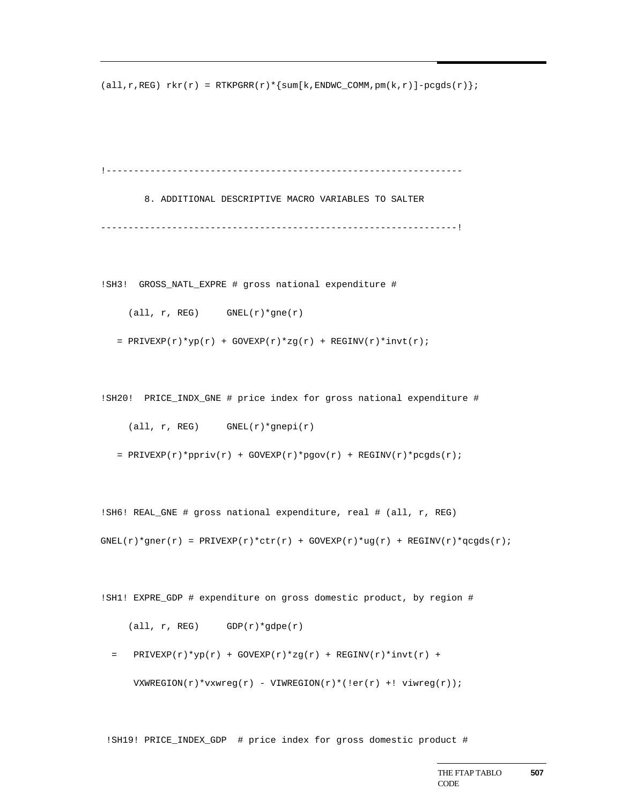$(\text{all},r,\text{REG})$  rkr(r) = RTKPGRR(r)\*{sum[k,ENDWC\_COMM,pm(k,r)]-pcqds(r)};

!-----------------------------------------------------------------

8. ADDITIONAL DESCRIPTIVE MACRO VARIABLES TO SALTER

-----------------------------------------------------------------!

!SH3! GROSS\_NATL\_EXPRE # gross national expenditure #

(all,  $r$ , REG) GNEL( $r$ )\*gne( $r$ )

=  $PRIVEXP(Y * yp(r) + GOVEXP(r) * zg(r) + REGINV(r) * invt(r);$ 

!SH20! PRICE\_INDX\_GNE # price index for gross national expenditure #

(all,  $r$ , REG) GNEL( $r$ )\*gnepi( $r$ )

=  $PRIVEXP$   $*$   $ppriv(r)$  +  $GOVEXP$   $*$   $pgov(r)$  +  $REGINV(r) * pcds(r)$ ;

!SH6! REAL\_GNE # gross national expenditure, real # (all, r, REG) GNEL(r)\*gner(r) = PRIVEXP(r)\*ctr(r) + GOVEXP(r)\*ug(r) + REGINV(r)\*qcgds(r);

!SH1! EXPRE\_GDP # expenditure on gross domestic product, by region #

(all,  $r$ , REG) GDP( $r$ )\*gdpe( $r$ )

```
PRIVEXP(Y * yp(r) + GOVEXP(r)*zg(r) + REGINV(r)*invt(r) +
```
 $VXWREGION(r)*vxwreg(r) - VIWREGION(r)*(ler(r) +! viwreg(r));$ 

!SH19! PRICE\_INDEX\_GDP # price index for gross domestic product #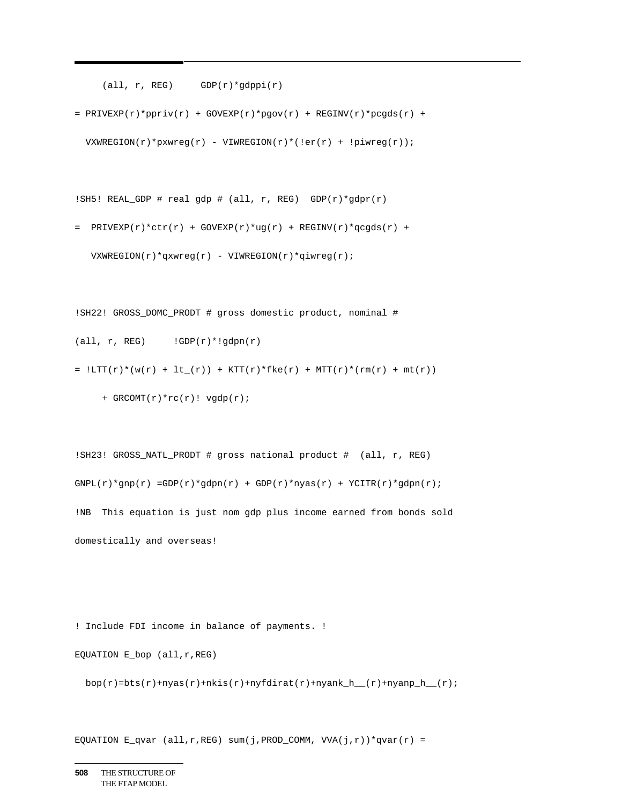(all,  $r$ , REG) GDP( $r$ )\*qdppi( $r$ )

```
= PRIVEXP(r)*ppriv(r) + GOVEXP(r)*pgov(r) + REGINV(r)*pcgds(r) +
 VXWREGION(r)*pxwreg(r) - VIWREGION(r)*(!er(r) + !piwreg(r));
```
!SH5! REAL\_GDP # real gdp # (all, r, REG)  $GDP(r)*gdpr(r)$ 

```
= PRIVEXP(r)*ctr(r) + GOVEXP(r)*ug(r) + REGINV(r)*qcgds(r) +
```
 $\verb|VXWREGION(r)*qxwreg(r) - VIWREGION(r)*qiwreg(r);$ 

```
!SH22! GROSS_DOMC_PRODT # gross domestic product, nominal #
(all, r, REG) !GDP(r)*!gdpn(r)= !LTT(r)*(w(r) + lt_-(r)) + KTT(r)*fke(r) + MTT(r)*(rm(r) + mt(r))
```

```
 + GRCOMT(r)*rc(r)! vgdp(r);
```

```
!SH23! GROSS_NATL_PRODT # gross national product # (all, r, REG)
GNPL(r) * gnp(r) = GDP(r) * gdpn(r) + GDP(r) * nyas(r) + YCITR(r) * gdpn(r);!NB This equation is just nom gdp plus income earned from bonds sold
domestically and overseas!
```
! Include FDI income in balance of payments. !

EQUATION E\_bop (all,r,REG)

 $bop(r)=bts(r)+nyas(r)+nkis(r)+nyfdirat(r)+nyank_h_{(r)+nyanp_h_{(r)};i}$ 

EQUATION E\_qvar (all,r,REG) sum(j,PROD\_COMM, VVA(j,r))\*qvar(r) =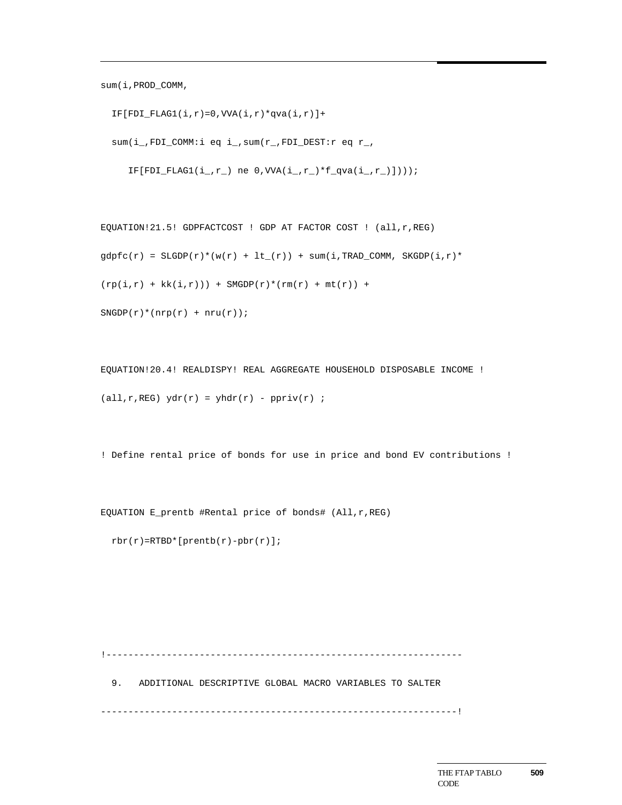```
sum(i,PROD_COMM,
```

```
IF[FDI_FLAG1(i,r)=0,VVA(i,r)*qva(i,r)]+
```
sum(i\_,FDI\_COMM:i eq i\_,sum(r\_,FDI\_DEST:r eq r\_,

```
IF[FDI_FLAG1(i_.,r_-) ne 0, VVA(i_.,r_-)*f_qva(i_.,r_-)]));
```
EQUATION!21.5! GDPFACTCOST ! GDP AT FACTOR COST ! (all, r, REG)

 $gdpfc(r) = SLGDP(r)*(w(r) + lt_(r)) + sum(i, TRAD_COMM, SKGDP(i,r)*$ 

```
(rp(i,r) + kk(i,r))) + SMGDP(r)*(rm(r) + mt(r)) +
```

```
SNGDP(r)*(nrp(r) + nru(r));
```
EQUATION!20.4! REALDISPY! REAL AGGREGATE HOUSEHOLD DISPOSABLE INCOME !

```
(\text{all},r,\text{REG}) \text{ydr}(r) = \text{yhdr}(r) - \text{ppriv}(r) ;
```
! Define rental price of bonds for use in price and bond EV contributions !

EQUATION E\_prentb #Rental price of bonds# (All,r,REG)

rbr(r)=RTBD\*[prentb(r)-pbr(r)];

!-----------------------------------------------------------------

9. ADDITIONAL DESCRIPTIVE GLOBAL MACRO VARIABLES TO SALTER

-----------------------------------------------------------------!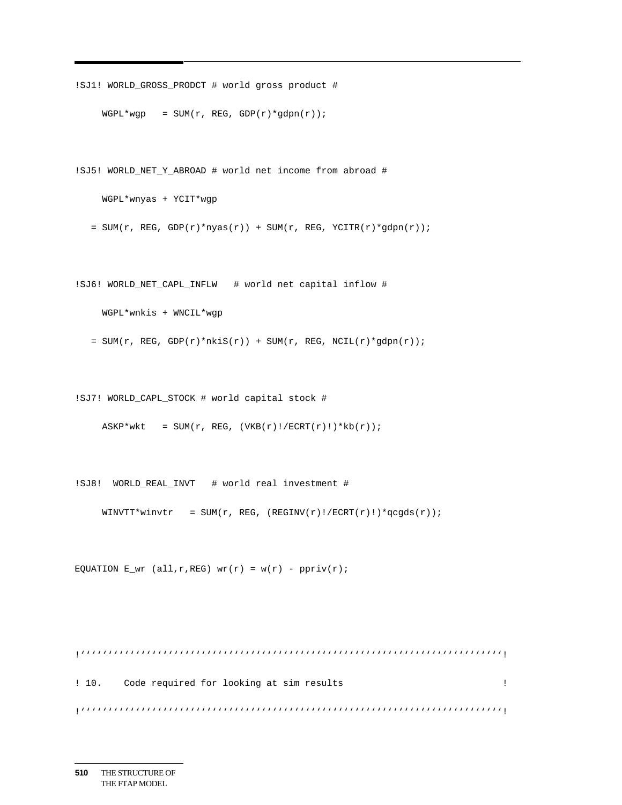```
!SJ1! WORLD_GROSS_PRODCT # world gross product #
       \texttt{WGPL*wgp} \quad = \texttt{SUM}(r, \texttt{REG}, \texttt{GDP}(r) * \texttt{gdpn}(r));
```
!SJ5! WORLD\_NET\_Y\_ABROAD # world net income from abroad #

WGPL\*wnyas + YCIT\*wgp

=  $SUM(r, REG, GDP(r)*nyas(r)) + SUM(r, REG, YCITR(r)*gdpn(r));$ 

!SJ6! WORLD\_NET\_CAPL\_INFLW # world net capital inflow #

WGPL\*wnkis + WNCIL\*wgp

=  $SUM(r, REG, GDP(r)*nkis(r)) + SUM(r, REG, NCIL(r)*gdpn(r));$ 

!SJ7! WORLD\_CAPL\_STOCK # world capital stock #

 $ASKP*wkt = SUM(r, REG, (VKB(r)!/ECT(r)!)*kb(r));$ 

!SJ8! WORLD\_REAL\_INVT # world real investment #

WINVTT\*winvtr =  $SUM(r, REG, (REGINV(r)) / ECRT(r)) * qcgds(r))$ ;

EQUATION E\_wr (all,r,REG) wr(r) =  $w(r)$  - ppriv(r);

!'''''''''''''''''''''''''''''''''''''''''''''''''''''''''''''''''''''''''''''! ! 10. Code required for looking at sim results ! !'''''''''''''''''''''''''''''''''''''''''''''''''''''''''''''''''''''''''''''!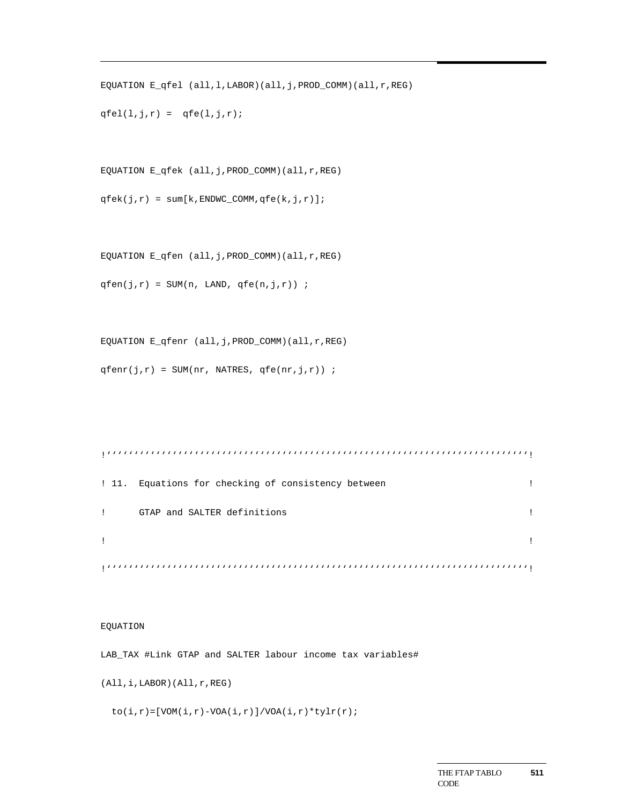```
EQUATION E_qfel (all,l,LABOR)(all,j,PROD_COMM)(all,r,REG)
qfel(1,j,r) = qfe(1,j,r);
```
EQUATION E\_qfek (all,j,PROD\_COMM)(all,r,REG)

```
qfek(j,r) = sum[k, ENDWC_COMM, qfe(k,j,r)];
```

```
EQUATION E_qfen (all,j,PROD_COMM)(all,r,REG)
```

```
qfen(j,r) = SUM(n, LAND, qfe(n,j,r)) ;
```

```
EQUATION E_qfenr (all,j,PROD_COMM)(all,r,REG)
```

```
qfenr(j,r) = SUM(nr, NATRES, qfe(nr,j,r)) ;
```

```
!'''''''''''''''''''''''''''''''''''''''''''''''''''''''''''''''''''''''''''''!
! 11. Equations for checking of consistency between !
! GTAP and SALTER definitions !
! !
!'''''''''''''''''''''''''''''''''''''''''''''''''''''''''''''''''''''''''''''!
```
## EQUATION

LAB\_TAX #Link GTAP and SALTER labour income tax variables#

(All,i,LABOR)(All,r,REG)

 $to(i,r)=[VOM(i,r)-VOA(i,r)]/VOA(i,r)*tylr(r);$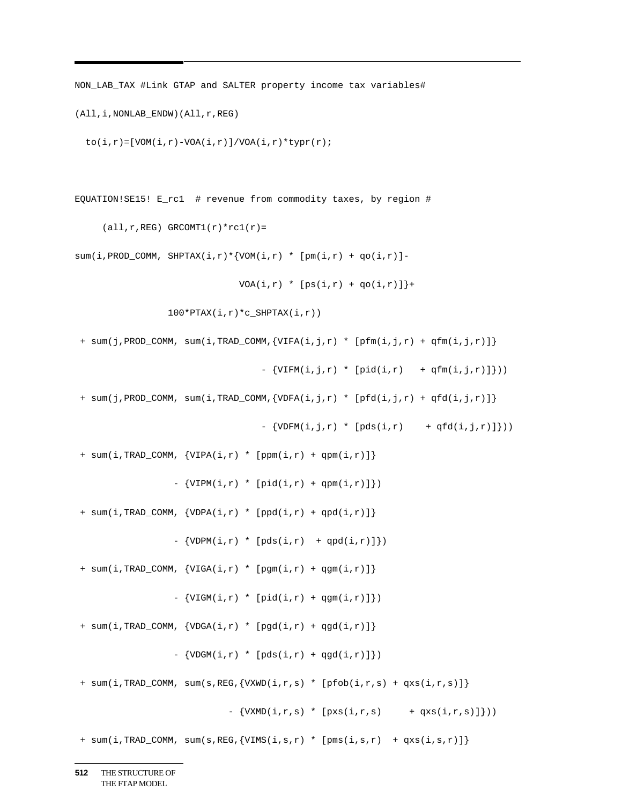```
NON_LAB_TAX #Link GTAP and SALTER property income tax variables#
(All,i,NONLAB_ENDW)(All,r,REG)
  to(i,r)=[VOM(i,r)-VOA(i,r)]/VOA(i,r)*typr(r);EQUATION!SE15! E_rc1 # revenue from commodity taxes, by region #
     (all,r,REG) GRCOMT1(r) *rcl(r) =sum(i,PROD_COMM, SHPTAX(i,r)*\{VOM(i,r) * [pm(i,r) + qo(i,r)] -VOA(i,r) * [ps(i,r) + qo(i,r)]100*PTAX(i,r)*c_SHPTAX(i,r))+ sum(j,PROD_COMM, sum(i,TRAD_COMM, {VIFA(i,j,r) * [pfm(i,j,r) + qfm(i,j,r)]}
                                  - \{VIFM(i,j,r) * [pid(i,r) + qfm(i,j,r)]\})+ sum(j,PROD_COMM, sum(i,TRAD_COMM, {VDFA(i,j,r) * [pfd(i,j,r) + qfd(i,j,r)]}
                                  - \{VDFM(i,j,r) * [pds(i,r) + qfd(i,j,r)]\}) + sum(i,TRAD_COMM, {VIPA(i,r) * [ppm(i,r) + qpm(i,r)]}
                  - \{VIPM(i,r) * [pid(i,r) + qpm(i,r)]\})+ sum(i,TRAD_COMM, \{VDPA(i,r) * [ppd(i,r) + qpd(i,r)]\}- {VDPM(i, r) * [pds(i, r) + qpd(i, r)]})
  + sum(i,TRAD_COMM, {VIGA(i,r) * [pgm(i,r) + qgm(i,r)]}
                  - \{VIGM(i,r) * [pid(i,r) + qgm(i,r)]\} + sum(i,TRAD_COMM, {VDGA(i,r) * [pgd(i,r) + qgd(i,r)]}
                  - \{VDGM(i,r) * [pds(i,r) + qgd(i,r)]\}+ sum(i,TRAD_COMM, sum(s,REG, {VXWD(i,r,s) * [pfob(i,r,s) + qxs(i,r,s)]]- \{VXMD(i,r,s) * [pxs(i,r,s) + qxs(i,r,s)]\})+ sum(i,TRAD_COMM, sum(s,REG,\{VIMS(i, s, r) * [pms(i, s, r) + qxs(i, s, r)]\}
```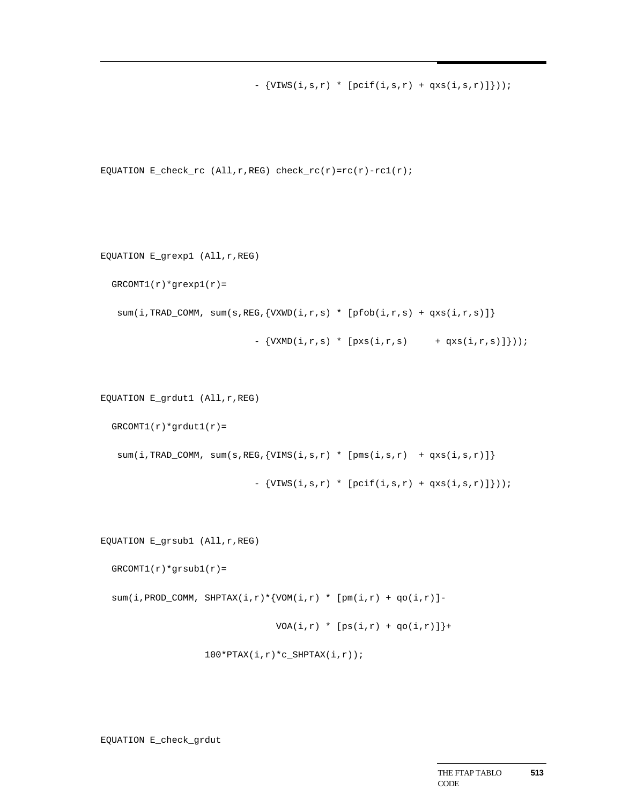- {VIWS(i,s,r) \* [pcif(i,s,r) + qxs(i,s,r)]}));

```
EQUATION E_check_rc (All,r,REG) check_rc(r)=rc(r)-rc1(r);
```

```
EQUATION E_grexp1 (All,r,REG)
 GRCOMT1(r)*green(1(r) =sum(i,TRAD_COMM, sum(s,REG, {VXWD(i,r,s) * [pfob(i,r,s) + qxs(i,r,s)]})- \{VXMD(i,r,s) * [pxs(i,r,s) + qxs(i,r,s)]\});
```
EQUATION E\_grdut1 (All,r,REG)

 $GRCOMT1(r)*grdut1(r)=$ 

```
sum(i,TRAD_COMM, sum(s,REG, {VIMS}(i,s,r) * [pms(i,s,r) + qxs(i,s,r)]- {VIWS(i,s,r) * [pcif(i,s,r) + qxs(i,s,r)]}));
```

```
EQUATION E_grsub1 (All,r,REG)
```
 $GRCOMT1(r)*grsub1(r)=$ 

```
sum(i,PROD_COMM, SHPTAX(i,r)*\{VOM(i,r) * [pm(i,r) + qo(i,r)]-
```

```
VOA(i,r) * [ps(i,r) + qo(i,r)]
```

```
100*PTAX(i,r)*c_SHPTAX(i,r));
```
EQUATION E\_check\_grdut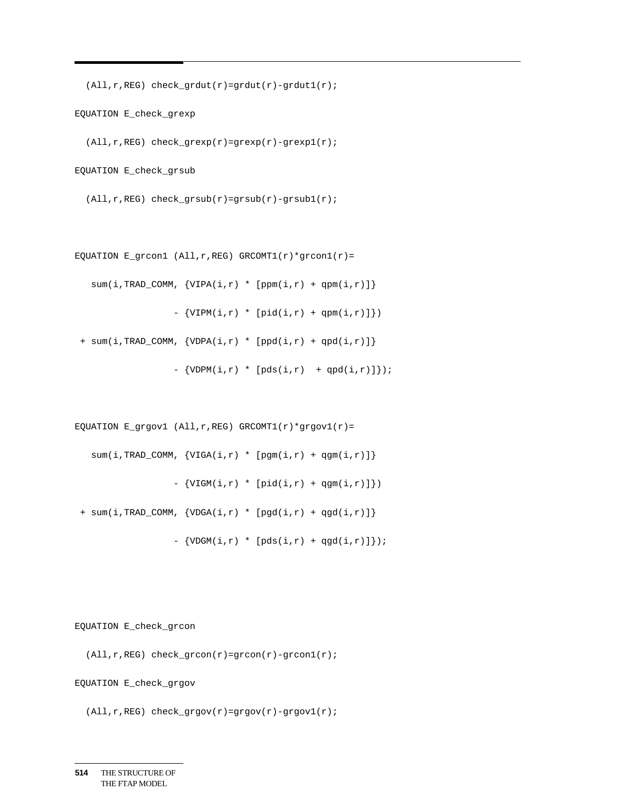```
(A11, r, REG) check_qrdut(r)=qrdut(r)-qrdut1(r);
```
EQUATION E\_check\_grexp

 $(All,r,REG)$  check\_grexp(r)=grexp(r)-grexp1(r);

EQUATION E\_check\_grsub

```
(All,r,REG) check_grsub(r)=grsub(r)-grsub1(r);
```
EQUATION E\_grcon1 (All, r, REG) GRCOMT1(r)\*grcon1(r)=

```
sum(i,TRAD_COMM, \{VIPA(i, r) * [ppm(i, r) + qpm(i, r)]\}- \{VIPM(i,r) * [pid(i,r) + qpm(i,r)]\}+ sum(i, TRAD_COMM, {VDPA(i,r) * [ppd(i,r) + qpd(i,r)]}- {VDPM(i,r) * [pds(i,r) + qpd(i,r)]});
```

```
EQUATION E_grgov1 (All,r,REG) GRCOMT1(r)*grgov1(r)=
   sum(i, TRAD_COMM, \{VIGA(i,r) * [pgm(i,r) + qgm(i,r)]\})- {VIGM(i,r) * [pid(i,r) + qgm(i,r)]}) + sum(i,TRAD_COMM, {VDGA(i,r) * [pgd(i,r) + qgd(i,r)]}
                  - \{VDGM(i,r) * [pds(i,r) + qgd(i,r)]\};
```
EQUATION E\_check\_grcon

 $(All,r,REG)$  check\_grcon(r)=grcon(r)-grcon1(r);

EQUATION E\_check\_grgov

 $(All,r,REG)$  check\_grgov(r)=grgov(r)-grgov1(r);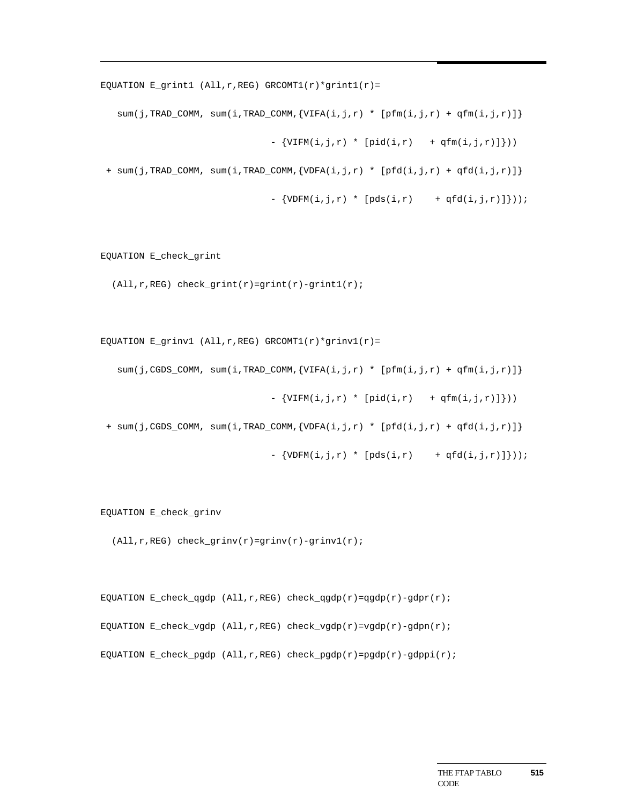```
EQUATION E qrint1 (All,r,REG) GRCOMT1(r)*qrint1(r)=
  sum(j,TRAD\_COMM, sum(i,TRAD\_COMM, \{VIFA(i,j,r) * [pfm(i,j,r) + qfm(i,j,r)]\})- \{VIFM(i,j,r) * [pid(i,r) + qfm(i,j,r)]\})+ sum(j,TRAD_COMM, sum(i,TRAD_COMM, {VDFA(i,j,r) * [pfd(i,j,r) + qfd(i,j,r)]})- \{VDFM(i,j,r) * [pds(i,r) + qfd(i,j,r)]\});
```
EQUATION E\_check\_grint

 $(All,r,REG)$  check\_grint(r)=grint(r)-grint1(r);

```
EQUATION E_grinv1 (All,r,REG) GRCOMT1(r)*grinv1(r)=
   sum(j,CGDS_COMM, sum(i,TRAD_COMM, {VIFA(i,j,r) * [pfm(i,j,r) + qfm(i,j,r)]}
                               - \{VIFM(i,j,r) * [pid(i,r) + qfm(i,j,r)]\})+ sum(j,CGDS_COMM, sum(i,TRAD_COMM,\{VDFA(i,j,r) * [pfd(i,j,r) + qfd(i,j,r)]\}- \{VDFM(i,j,r) * [pds(i,r) + qfd(i,j,r)]\});
```
EQUATION E\_check\_grinv

 $(All,r,REG)$  check\_grinv(r)=grinv(r)-grinv1(r);

EQUATION E\_check\_qgdp (All,r,REG) check\_qgdp(r)=qgdp(r)-gdpr(r); EQUATION E\_check\_vgdp (All,r,REG) check\_vgdp(r)=vgdp(r)-gdpn(r); EQUATION E\_check\_pgdp (All,r,REG) check\_pgdp(r)=pgdp(r)-gdppi(r);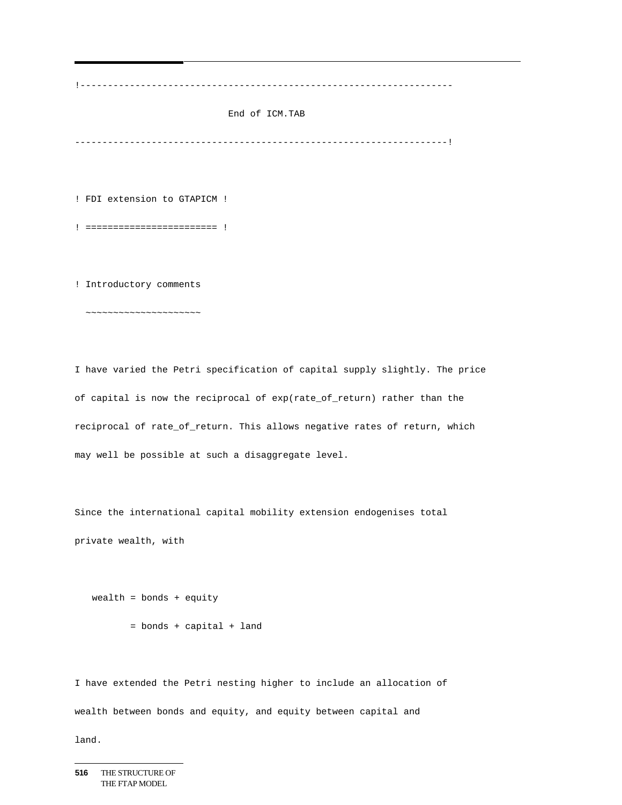!-------------------------------------------------------------------- End of ICM.TAB --------------------------------------------------------------------! ! FDI extension to GTAPICM ! ! ======================== ! ! Introductory comments

~~~~~~~~~~~~~~~~~~~~~

I have varied the Petri specification of capital supply slightly. The price of capital is now the reciprocal of exp(rate\_of\_return) rather than the reciprocal of rate\_of\_return. This allows negative rates of return, which may well be possible at such a disaggregate level.

Since the international capital mobility extension endogenises total private wealth, with

```
wealth = bonds + equity
        = bonds + capital + land
```
I have extended the Petri nesting higher to include an allocation of wealth between bonds and equity, and equity between capital and

land.

**516** THE STRUCTURE OF THE FTAP MODEL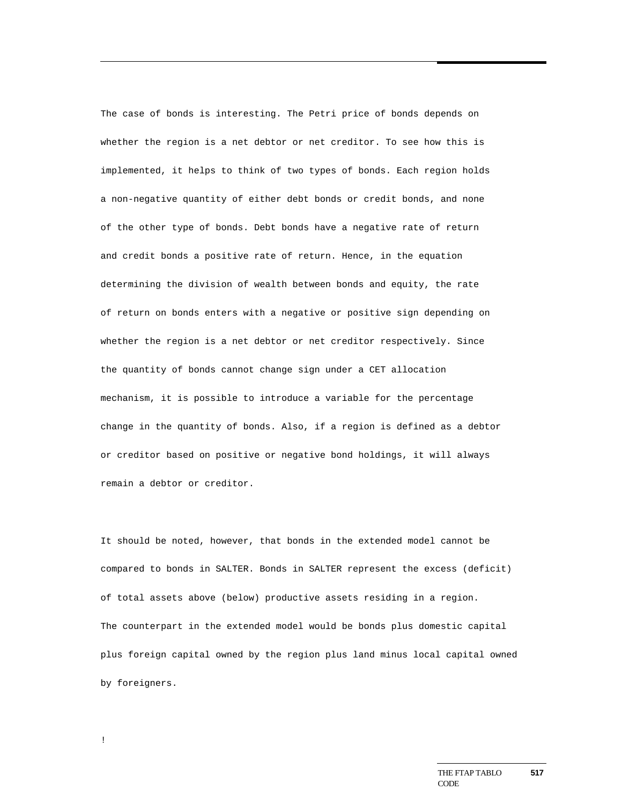The case of bonds is interesting. The Petri price of bonds depends on whether the region is a net debtor or net creditor. To see how this is implemented, it helps to think of two types of bonds. Each region holds a non-negative quantity of either debt bonds or credit bonds, and none of the other type of bonds. Debt bonds have a negative rate of return and credit bonds a positive rate of return. Hence, in the equation determining the division of wealth between bonds and equity, the rate of return on bonds enters with a negative or positive sign depending on whether the region is a net debtor or net creditor respectively. Since the quantity of bonds cannot change sign under a CET allocation mechanism, it is possible to introduce a variable for the percentage change in the quantity of bonds. Also, if a region is defined as a debtor or creditor based on positive or negative bond holdings, it will always remain a debtor or creditor.

It should be noted, however, that bonds in the extended model cannot be compared to bonds in SALTER. Bonds in SALTER represent the excess (deficit) of total assets above (below) productive assets residing in a region. The counterpart in the extended model would be bonds plus domestic capital plus foreign capital owned by the region plus land minus local capital owned by foreigners.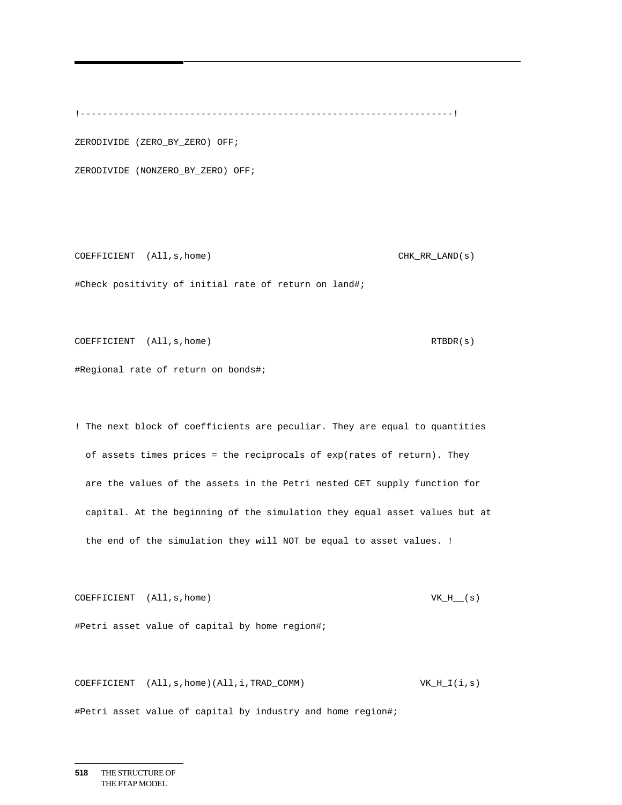!--------------------------------------------------------------------!

ZERODIVIDE (ZERO\_BY\_ZERO) OFF;

ZERODIVIDE (NONZERO\_BY\_ZERO) OFF;

COEFFICIENT (All,s,home) CHK\_RR\_LAND(s) #Check positivity of initial rate of return on land#;

COEFFICIENT (All, s, home) RTBDR(s)

#Regional rate of return on bonds#;

! The next block of coefficients are peculiar. They are equal to quantities of assets times prices = the reciprocals of exp(rates of return). They are the values of the assets in the Petri nested CET supply function for capital. At the beginning of the simulation they equal asset values but at the end of the simulation they will NOT be equal to asset values. !

 $COEFFICIENT$  (All,s,home)  $VK_H$  (s) #Petri asset value of capital by home region#;

COEFFICIENT (All,s,home)(All,i,TRAD\_COMM) VK\_H\_I(i,s) #Petri asset value of capital by industry and home region#;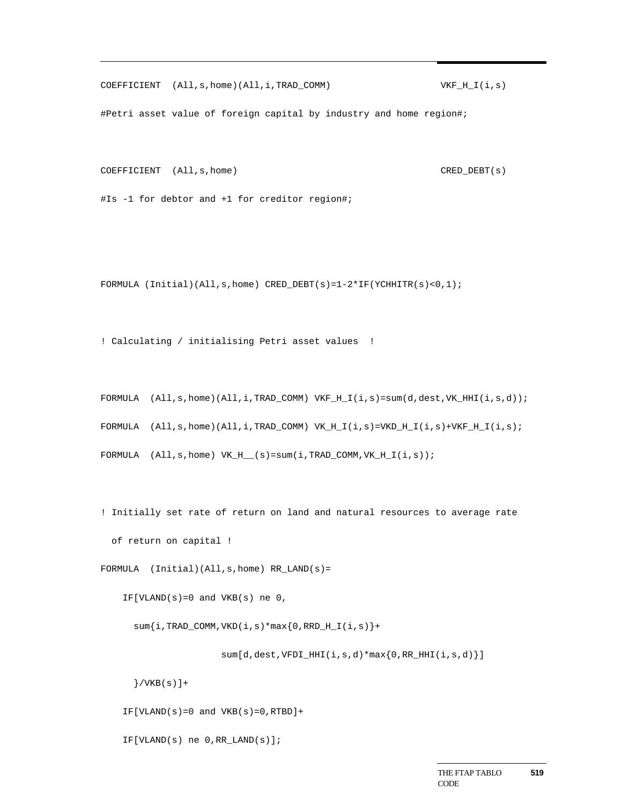```
COEFFICIENT (All,s,home)(All,i,TRAD_COMM) VKF_H_I(i,s)
```
#Petri asset value of foreign capital by industry and home region#;

```
COEFFICIENT (All,s,home) CRED_DEBT(s)
```
#Is -1 for debtor and +1 for creditor region#;

FORMULA (Initial)(All,s,home)  $CRED_DEBT(s)=1-2*IF(YCHHITR(s)<0,1);$ 

! Calculating / initialising Petri asset values !

```
FORMULA (All, s, home) (All, i, TRAD_COMM) VKF_H_1(i, s)=sum(d, dest, VK_HHI(i, s, d));
```
FORMULA  $(All,s,home)(All,i,TRAD\_COMM)$   $VK\_H_I(i,s)=VKD_H_I(i,s)+VKF_H_I(i,s);$ 

FORMULA  $(A11, s, home)$  VK\_H\_(s)=sum(i,TRAD\_COMM,VK\_H\_I(i,s));

! Initially set rate of return on land and natural resources to average rate

of return on capital !

```
FORMULA (Initial)(All,s,home) RR_LAND(s) =
```
IF[VLAND(s)=0 and VKB(s) ne  $0$ ,

 $sum{1, TRAD_COMM, VKD(i,s)*max{0, RRD_H_i(i,s)} +$ 

 $sum[d,dest,VFDI_HHI(i,s,d)*max{0,RR_HHI(i,s,d)}]$ 

}/VKB(s)]+

IF[VLAND( $s$ )=0 and VKB( $s$ )=0,RTBD]+

IF[VLAND(s) ne 0,RR\_LAND(s)];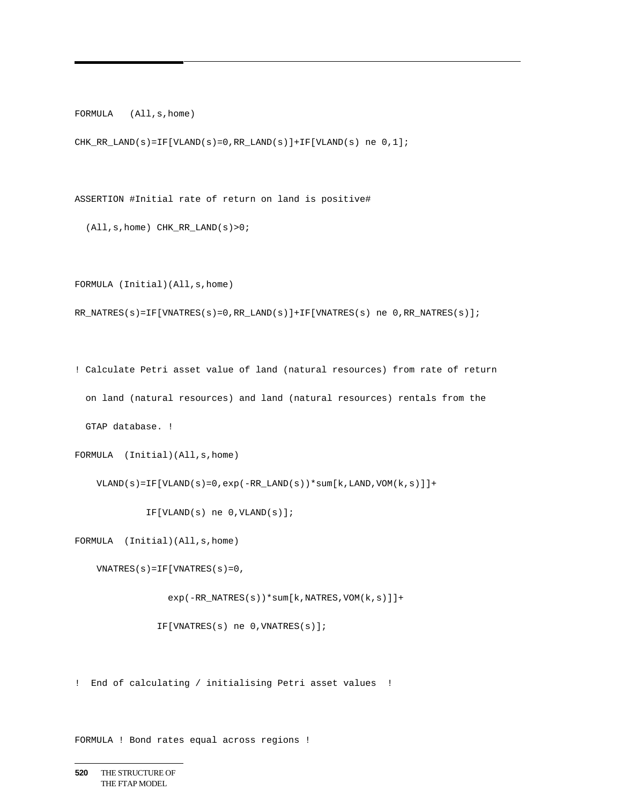FORMULA (All, s, home)

CHK\_RR\_LAND(s)=IF[VLAND(s)=0,RR\_LAND(s)]+IF[VLAND(s) ne  $0,1$ ];

ASSERTION #Initial rate of return on land is positive#

(All,s,home) CHK\_RR\_LAND(s)>0;

FORMULA (Initial)(All,s,home)

RR\_NATRES(s)=IF[VNATRES(s)=0,RR\_LAND(s)]+IF[VNATRES(s) ne  $0,RR\_NATRES$  (s)];

! Calculate Petri asset value of land (natural resources) from rate of return on land (natural resources) and land (natural resources) rentals from the GTAP database. !

```
FORMULA (Initial)(All,s,home)
```
VLAND(s)=IF[VLAND(s)=0,exp(-RR\_LAND(s))\*sum[k,LAND,VOM(k,s)]]+

IF[VLAND(s) ne 0,VLAND(s)];

FORMULA (Initial)(All, s, home)

VNATRES( $s$ ) = IF[VNATRES( $s$ ) = 0,

exp(-RR\_NATRES(s))\*sum[k,NATRES,VOM(k,s)]]+

IF[VNATRES(s) ne 0,VNATRES(s)];

! End of calculating / initialising Petri asset values !

FORMULA ! Bond rates equal across regions !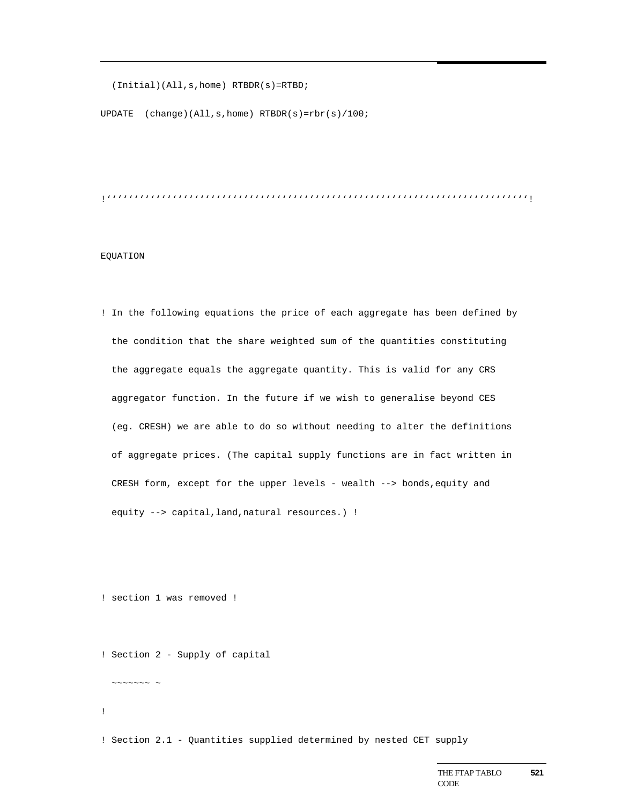(Initial)(All,s,home) RTBDR(s)=RTBD;

UPDATE (change)(All,s,home) RTBDR(s)=rbr(s)/100;

!'''''''''''''''''''''''''''''''''''''''''''''''''''''''''''''''''''''''''''''!

### EQUATION

! In the following equations the price of each aggregate has been defined by the condition that the share weighted sum of the quantities constituting the aggregate equals the aggregate quantity. This is valid for any CRS aggregator function. In the future if we wish to generalise beyond CES (eg. CRESH) we are able to do so without needing to alter the definitions of aggregate prices. (The capital supply functions are in fact written in CRESH form, except for the upper levels - wealth --> bonds,equity and equity --> capital,land,natural resources.) !

! section 1 was removed !

! Section 2 - Supply of capital

 $\sim$ ~~~~~~ ~

!

! Section 2.1 - Quantities supplied determined by nested CET supply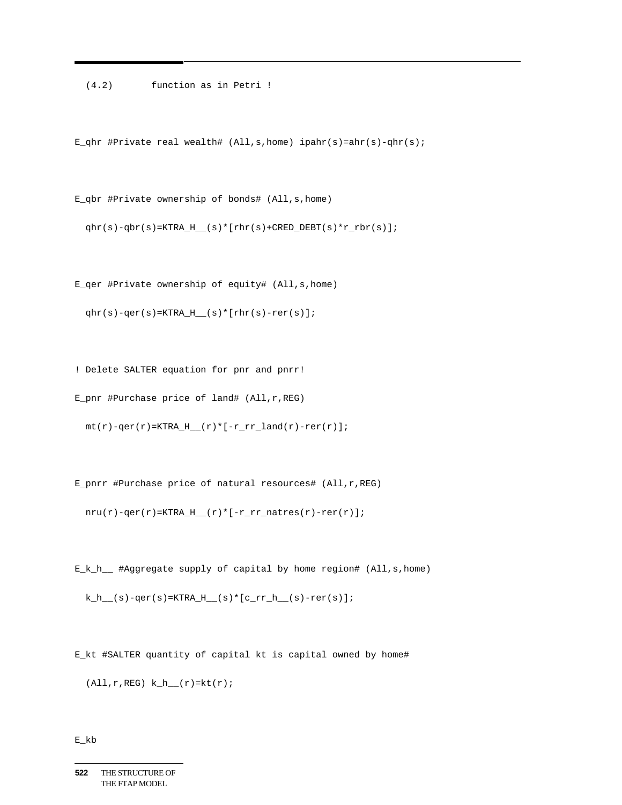(4.2) function as in Petri !

E qhr #Private real wealth# (All,s,home) ipahr(s)=ahr(s)-qhr(s);

E\_qbr #Private ownership of bonds# (All,s,home)

qhr(s)-qbr(s)=KTRA\_H\_(s)\*[rhr(s)+CRED\_DEBT(s)\*r\_rbr(s)];

E\_qer #Private ownership of equity# (All,s,home)

qhr(s)-qer(s)=KTRA\_H\_(s)\*[rhr(s)-rer(s)];

! Delete SALTER equation for pnr and pnrr!

E\_pnr #Purchase price of land# (All,r,REG)

 $mt(r)$ -qer(r)=KTRA\_H\_(r)\*[-r\_rr\_land(r)-rer(r)];

E\_pnrr #Purchase price of natural resources# (All,r,REG)

 $nru(r) - qer(r) = KTRA_H (r) * [-r_rr_ natres(r) - rer(r)]$ ;

E\_k\_h\_\_ #Aggregate supply of capital by home region# (All,s,home)

k\_h\_(s)-qer(s)=KTRA\_H\_(s)\*[c\_rr\_h\_(s)-rer(s)];

E\_kt #SALTER quantity of capital kt is capital owned by home#

 $(All,r,REG)$  k\_h\_(r)=kt(r);

E\_kb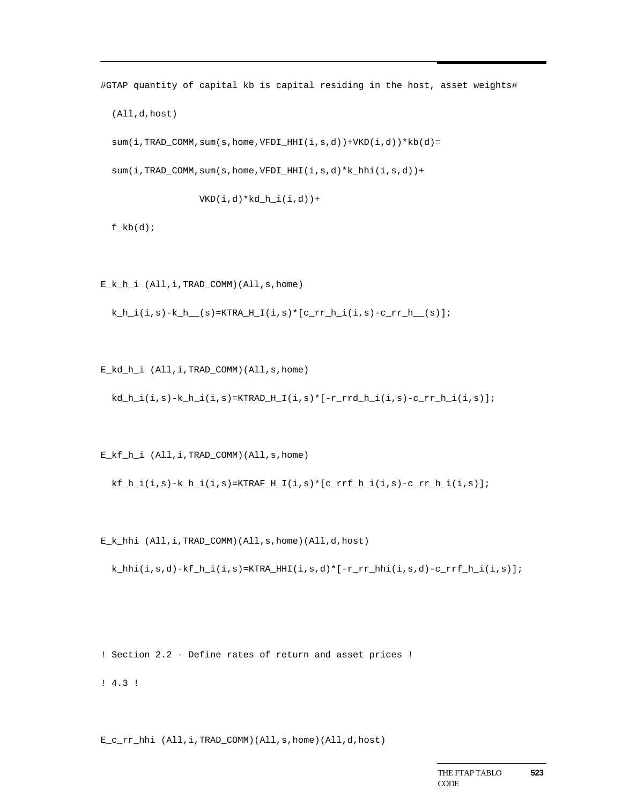#GTAP quantity of capital kb is capital residing in the host, asset weights#

(All,d,host)

 $sum(i,TRAD)$  COMM, sum(s,home, VFDI HHI(i,s,d))+VKD(i,d))\*kb(d)=

sum(i,TRAD\_COMM,sum(s,home,VFDI\_HHI(i,s,d)\*k\_hhi(i,s,d))+

```
VKD(i,d)*kd_h_i(i,d)) +
```

```
f_k(b(d);
```
E\_k\_h\_i (All,i,TRAD\_COMM)(All,s,home)

k\_h\_i(i,s)-k\_h\_(s)=KTRA\_H\_I(i,s)\*[c\_rr\_h\_i(i,s)-c\_rr\_h\_(s)];

E\_kd\_h\_i (All,i,TRAD\_COMM)(All,s,home)

 $kd_h_i(i,s)-k_h_i(i,s)=KTRAD_H_i(i,s)*(-r_rrcd_h_i(i,s)-c_rr_h_i(i,s)]$ ;

E\_kf\_h\_i (All,i,TRAD\_COMM)(All,s,home)

 $kf_h_i(i,s)-k_h_i(i,s)=KTRAF_H_i(i,s)*(c_rrf_h_i(i,s)-c_rr_h_i(i,s))$ ;

E\_k\_hhi (All,i,TRAD\_COMM)(All,s,home)(All,d,host)

k\_hhi(i,s,d)-kf\_h\_i(i,s)=KTRA\_HHI(i,s,d)\*[-r\_rr\_hhi(i,s,d)-c\_rrf\_h\_i(i,s)];

! Section 2.2 - Define rates of return and asset prices !

! 4.3 !

E\_c\_rr\_hhi (All,i,TRAD\_COMM)(All,s,home)(All,d,host)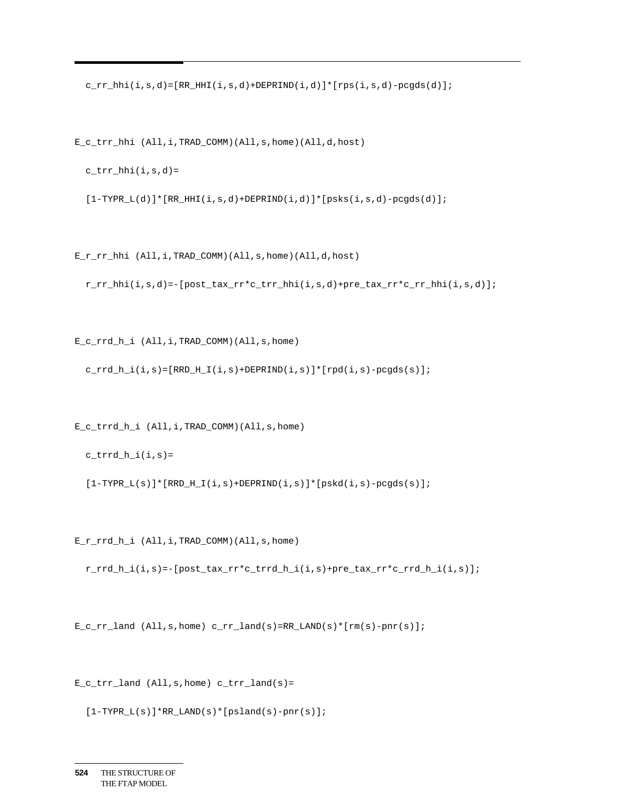c\_rr\_hhi(i,s,d)=[RR\_HHI(i,s,d)+DEPRIND(i,d)]\*[rps(i,s,d)-pcqds(d)];

E\_c\_trr\_hhi (All,i,TRAD\_COMM)(All,s,home)(All,d,host)

 $c_trr_hhi(i,s,d)=$ 

 $[1-\text{TPR}_L(d)]*[RR_\text{HHI}(i,s,d)+\text{DEPRIND}(i,d)]*[psks(i,s,d)-\text{pcgds}(d)];$ 

E\_r\_rr\_hhi (All,i,TRAD\_COMM)(All,s,home)(All,d,host)

 $r\_rr\_hhi(i,s,d)=$ -[post\_tax\_rr\*c\_trr\_hhi(i,s,d)+pre\_tax\_rr\*c\_rr\_hhi(i,s,d)];

E\_c\_rrd\_h\_i (All,i,TRAD\_COMM)(All,s,home)

 $c\_rrd_h_i(i,s)=[RRD_H_i(i,s)+DEPRIND(i,s)]*[rpd(i,s)-pcgds(s)];$ 

E\_c\_trrd\_h\_i (All,i,TRAD\_COMM)(All,s,home)

 $c_trrd_h_i(i,s)$ =

 $[1-\text{TPR}_L(s)]*[RRD_H_I(i,s)+\text{DEPRIND}(i,s)]*[pskd(i,s)-\text{pcgds}(s)];$ 

E\_r\_rrd\_h\_i (All,i,TRAD\_COMM)(All,s,home)

 $r\_rrd_h_i(i,s)$  =-[post\_tax\_rr\*c\_trrd\_h\_i(i,s)+pre\_tax\_rr\*c\_rrd\_h\_i(i,s)];

 $E_crr_land$  (All,s,home)  $c\_rr_land(s)$ =RR $_LAND(s)*(rm(s)-pnr(s))$ ;

 $E_c_trr_l$ land (All,s,home)  $c_trr_l$ land(s)=

```
[1-TYPR_L(s)]*RR_LAND(s)*[psland(s)-pnr(s)];
```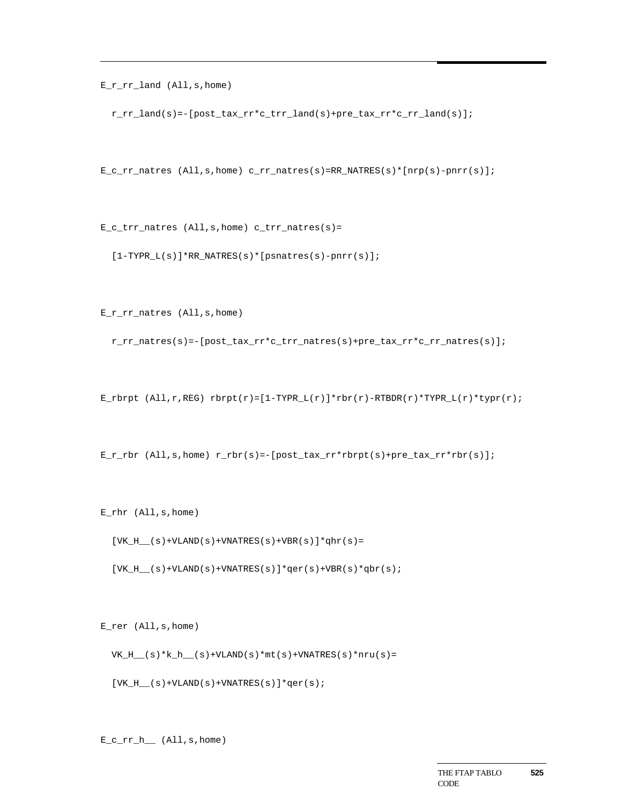E\_r\_rr\_land (All, s, home)

 $r\_rr\_land(s)$ =-[post\_tax\_ $rr*c\_trr\_land(s)+pre\_tax\_rr*c\_rr\_land(s)$ ];

 $E_crr\_natres$  (All,s,home)  $c\_rr\_natres(s)=RR\_NATRES(s)*(nrp(s)-pnrr(s))$ ;

 $E_c_trr_$ natres (All,s,home) c\_trr\_natres(s)=

```
 [1-TYPR_L(s)]*RR_NATRES(s)*[psnatres(s)-pnrr(s)];
```
E\_r\_rr\_natres (All,s,home)

r\_rr\_natres(s)=-[post\_tax\_rr\*c\_trr\_natres(s)+pre\_tax\_rr\*c\_rr\_natres(s)];

E\_rbrpt  $(All,r,REG)$  rbrpt(r)=[1-TYPR\_L(r)]\*rbr(r)-RTBDR(r)\*TYPR\_L(r)\*typr(r);

 $E_r_r$ rbr (All,s,home)  $r_r$ rbr(s)=-[post\_tax\_rr\*rbrpt(s)+pre\_tax\_rr\*rbr(s)];

E\_rhr (All, s, home)

 $[VK_H_{s}(s) + VLAND(s) + VNATRES(s) + VBR(s)] * qhr(s) =$ 

 $[VK_H_{s}](s) + VLAND(s) + VNATRES(s)]*qer(s) + VBR(s)*qbr(s);$ 

E\_rer (All, s, home)

 $VK_H_{s}$  (s)\*k\_h\_(s)+VLAND(s)\*mt(s)+VNATRES(s)\*nru(s)=

 $[VK_H_{s}(s) + VLAND(s) + VNATRES(s)]*qer(s);$ 

 $E_crr_h$  (All, s, home)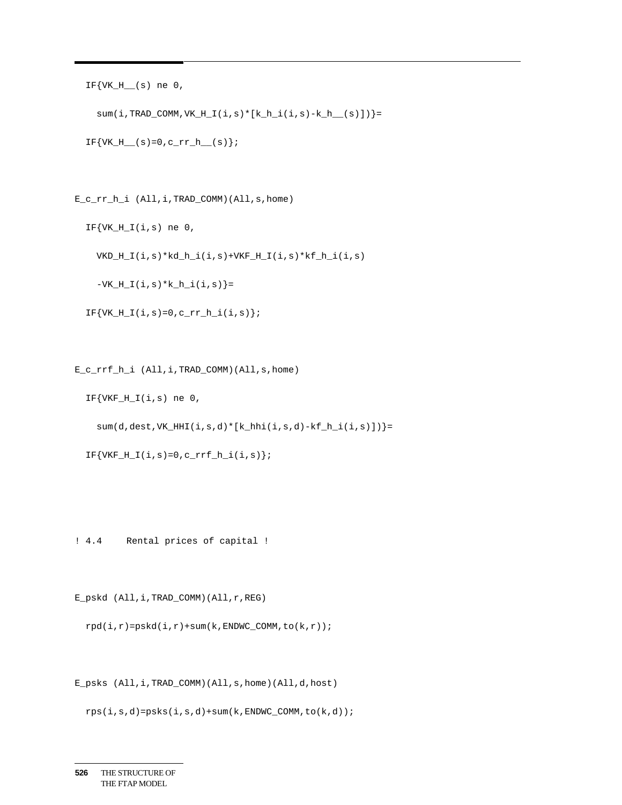$IF{VK_H__(s)}$  ne 0,

 $sum(i, TRAD_COMM, VK_H_I(i,s)*(k_h_i(i,s)-k_h(i,s))] =$ 

```
IF{VK_H_ (s) = 0, c_r r_h_ (s)};
```
E\_c\_rr\_h\_i (All,i,TRAD\_COMM)(All,s,home)

 $IF{VK_H_i(i,s)}$  ne 0,

 ${\tt VKD\_H\_I(i,s)} * k d\_h\_i(i,s) + {\tt VKF\_H\_I(i,s)} * k f\_h\_i(i,s)$ 

 $-VK_H_I(i,s)*k_h_i(i,s)$  =

 $IF{VK_H_i(i,s)=0, c_tr_h_i(i,s)};$ 

E\_c\_rrf\_h\_i (All,i,TRAD\_COMM)(All,s,home)

 $IF{VKF_H_I(i,s)}$  ne 0,

 $sum(d,dest, VK_HHI(i,s,d)*(k_hhi(i,s,d)-kf_h(i,s))$ ]

 $IF{VKF_H_I(i,s)=0, c\_rrf_h(i,s)};$ 

! 4.4 Rental prices of capital !

E\_pskd (All,i,TRAD\_COMM)(All,r,REG)

 $rpd(i,r)=pskd(i,r)+sum(k,ENDWC\_COMM,to(k,r));$ 

E\_psks (All,i,TRAD\_COMM)(All,s,home)(All,d,host)

rps(i,s,d)=psks(i,s,d)+sum(k,ENDWC\_COMM,to(k,d));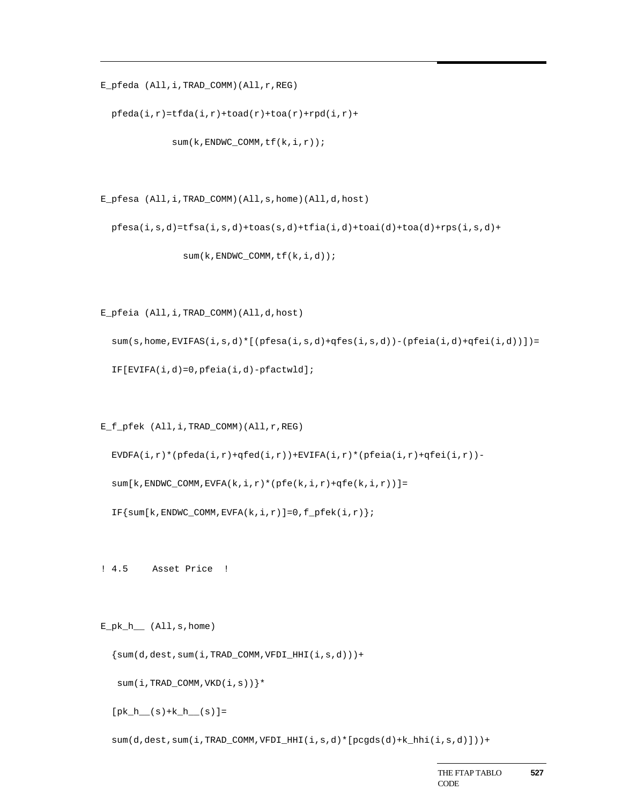```
E_pfeda (All,i,TRAD_COMM)(All,r,REG)
```

```
pfeda(i,r)=tfda(i,r)+toad(r)+toa(r)+rpd(i,r)+
```

```
sum(k, ENDWC COMM, tf(k,i,r));
```

```
E_pfesa (All,i,TRAD_COMM)(All,s,home)(All,d,host)
```

```
pfesa(i,s,d)=tfsa(i,s,d)+toas(s,d)+tfi(a(i,d)+toa(d)+toa(d)+rps(i,s,d)+
```

```
sum(k,ENDWC_COMM,tf(k,i,d));
```

```
E_pfeia (All,i,TRAD_COMM)(All,d,host)
```

```
sum(s,home,EVIFAS(i,s,d)*(pfesa(i,s,d)+qfes(i,s,d))-(pfeia(i,d)+qfei(i,d))))=
 IF[EVIFA(i,d)=0,pfeia(i,d)-pfactwld];
```

```
E_f_pfek (All,i,TRAD_COMM)(All,r,REG)
```
 $EVDFA(i,r)*(pfeda(i,r)+qfed(i,r))+EVIFA(i,r)*(pfeia(i,r)+qfei(i,r))-$ 

 $sum[k,ENDWC_COMM,EVFA(k,i,r)*(pfe(k,i,r)+qfe(k,i,r))]$  =

 $IF{sum[k,ENDWC_COMM,EVFA(k,i,r)]=0, f_pfek(i,r)};$ 

! 4.5 Asset Price !

```
E_p k_h (All, s, home)
```
 $\{sum(d,dest,sum(i,TRAD_COMM,VFDI_HHI(i,s,d))) +$ 

sum(i,TRAD\_COMM,VKD(i,s))}\*

 $[pk_h_{s}(s) + k_h_{s}(s)] =$ 

 $sum(d, dest, sum(i,TRAD_COMM, VFDI_HHI(i,s,d)*[pcgds(d)+k_hhi(i,s,d)]))$ +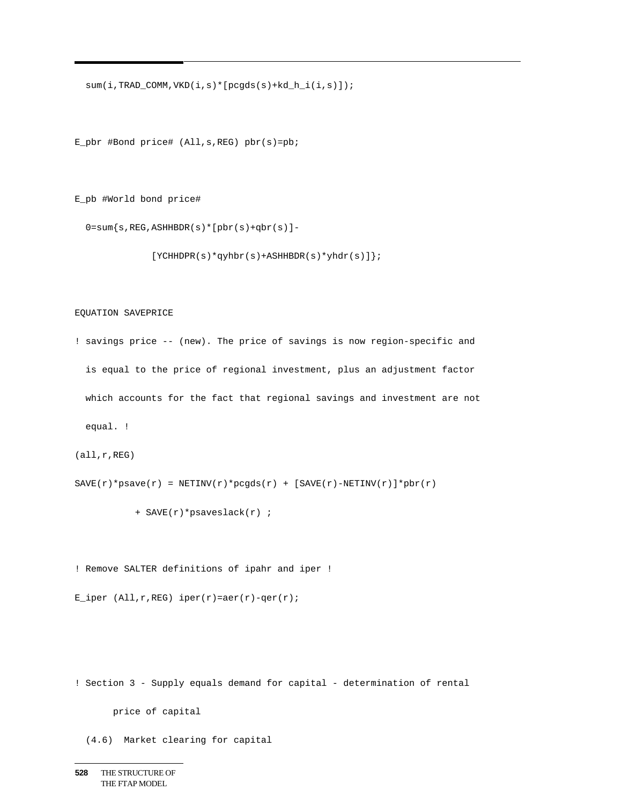sum(i,TRAD\_COMM,VKD(i,s)\*[pcgds(s)+kd\_h\_i(i,s)]);

E\_pbr #Bond price# (All,s,REG) pbr(s)=pb;

E\_pb #World bond price#

```
0=sum{s, REG, ASHHBDR(s) * [pbr(s)+qbr(s)] -}
```
 $[\texttt{YCHHDPR(s)}*qyhbr(s)+\texttt{ASHHBDR(s)}*yhdr(s)]\};$ 

#### EQUATION SAVEPRICE

```
! savings price -- (new). The price of savings is now region-specific and
  is equal to the price of regional investment, plus an adjustment factor
  which accounts for the fact that regional savings and investment are not
  equal. !
```
(all,r,REG)

SAVE(r)\*psave(r) = NETINV(r)\*pcgds(r) + [SAVE(r)-NETINV(r)]\*pbr(r)

+ SAVE(r)\*psaveslack(r) ;

! Remove SALTER definitions of ipahr and iper !

```
E_iper (All,r,REG) iper(r)=aer(r)-qer(r);
```
! Section 3 - Supply equals demand for capital - determination of rental

price of capital

(4.6) Market clearing for capital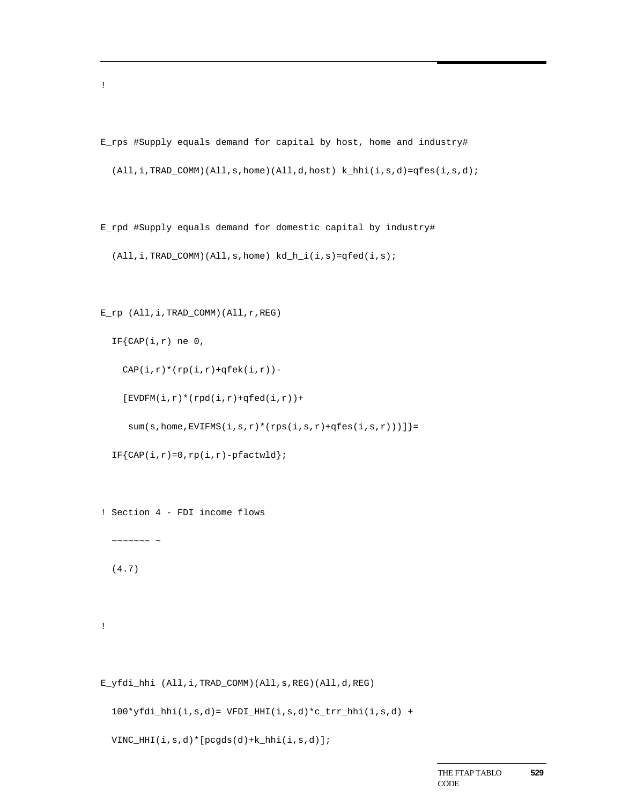E\_rps #Supply equals demand for capital by host, home and industry#

 $(All, i, TRAD_COMM)(All, s, home)(All, d, host) k_hhi(i, s, d)=qfes(i, s, d);$ 

E\_rpd #Supply equals demand for domestic capital by industry#

 $(All, i, TRAD_COMM)(All, s, home) kd_h_i(i, s) = qfed(i, s);$ 

E\_rp (All,i,TRAD\_COMM)(All,r,REG)

```
IF{CAP(i,r)} ne 0,
```
!

 $CAP(i,r)*(rp(i,r)+qfek(i,r))$ -

 $[EVDFM(i,r)*(rpd(i,r)+qfed(i,r))+$ 

 $sum(s,home,EVIFMS(i,s,r)*(rps(i,s,r)+qfes(i,s,r)))$ ]}=

```
IF{CAP(i,r)=0,rp(i,r)-pfactwld};
```
! Section 4 - FDI income flows

~~~~~~~ ~

(4.7)

```
!
```

```
E_yfdi_hhi (All,i,TRAD_COMM)(All,s,REG)(All,d,REG)
 100*yfdi_hhi(i,s,d)= VFDI_HHI(i,s,d)*c_trr_hhi(i,s,d) +
```

```
 VINC_HHI(i,s,d)*[pcgds(d)+k_hhi(i,s,d)];
```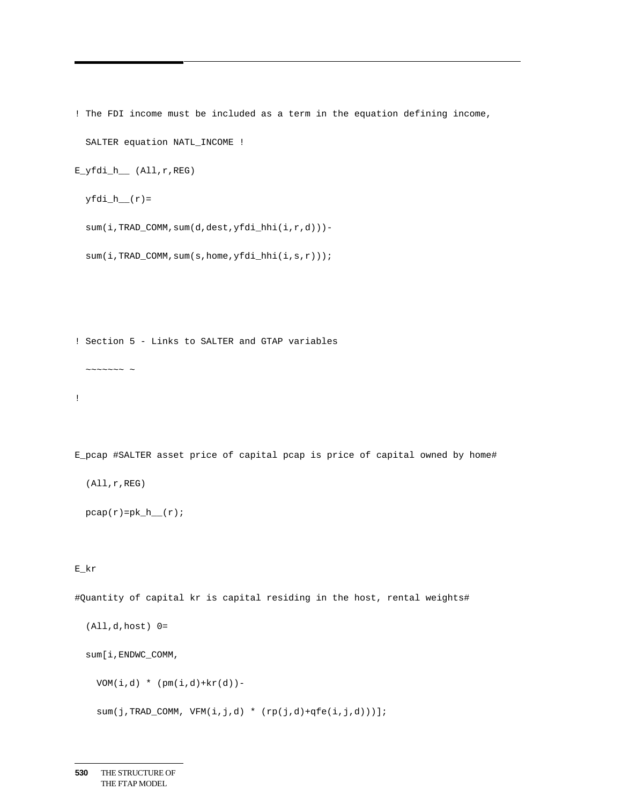! The FDI income must be included as a term in the equation defining income, SALTER equation NATL\_INCOME !

 $E_yfdi_h$  (All,  $r,REG$ )

 $yfdi_h_{r}(r)=$ 

sum(i,TRAD\_COMM,sum(d,dest,yfdi\_hhi(i,r,d)))-

sum(i,TRAD\_COMM,sum(s,home,yfdi\_hhi(i,s,r)));

! Section 5 - Links to SALTER and GTAP variables

~~~~~~~ ~

!

E\_pcap #SALTER asset price of capital pcap is price of capital owned by home#

(All,r,REG)

 $pcap(r)=pk_h(r);$ 

E\_kr

#Quantity of capital kr is capital residing in the host, rental weights#

```
 (All,d,host) 0=
 sum[i,ENDWC_COMM,
 VOM(i,d) * (pm(i,d)+kr(d)) -sum(j,TRAD_COMM, VFM(i,j,d) * (rp(j,d)+qfe(i,j,d)));
```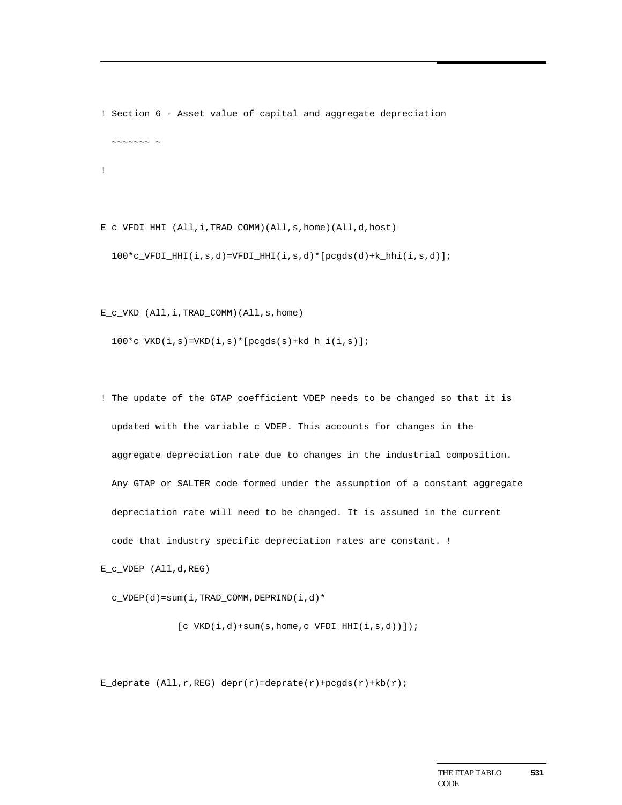! Section 6 - Asset value of capital and aggregate depreciation ~~~~~~~ ~

```
E_c_VFDI_HHI (All,i,TRAD_COMM)(All,s,home)(All,d,host)
  100*c_VFDI_HHI(i,s,d)=VFDI_HHI(i,s,d)*[pcgds(d)+k_hhi(i,s,d)];
```
E\_c\_VKD (All,i,TRAD\_COMM)(All,s,home)

 $100*c_VKD(i,s)=VKD(i,s)*(pcgds(s)+kd_h_i(i,s));$ 

! The update of the GTAP coefficient VDEP needs to be changed so that it is updated with the variable c\_VDEP. This accounts for changes in the aggregate depreciation rate due to changes in the industrial composition. Any GTAP or SALTER code formed under the assumption of a constant aggregate depreciation rate will need to be changed. It is assumed in the current code that industry specific depreciation rates are constant. !

E\_c\_VDEP (All,d,REG)

!

 $c_VDEP(d)=sum(i,TRAD_COMM,DEPRIND(i,d)*$ 

 $[c_VKD(i,d)+sum(s,home,c_VFDI_HHI(i,s,d))];$ 

E\_deprate  $(All,r,REG)$  depr(r)=deprate(r)+pcgds(r)+kb(r);

THE FTAP TABLO **CODE 531**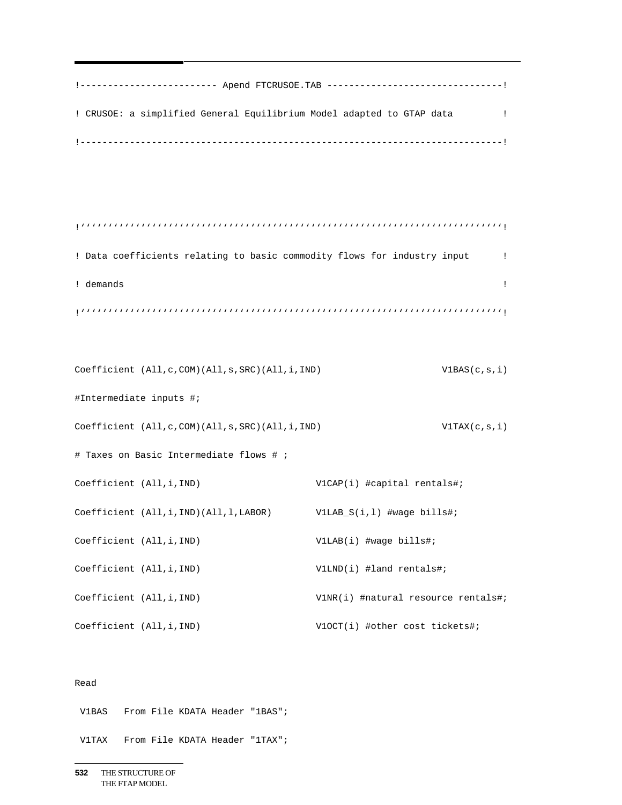|                                                                                          | ! CRUSOE: a simplified General Equilibrium Model adapted to GTAP data |                                     | $\mathbf{I}$ |
|------------------------------------------------------------------------------------------|-----------------------------------------------------------------------|-------------------------------------|--------------|
|                                                                                          |                                                                       |                                     |              |
|                                                                                          |                                                                       |                                     |              |
|                                                                                          |                                                                       |                                     |              |
|                                                                                          | .<br>.<br>.                                                           |                                     |              |
| ! Data coefficients relating to basic commodity flows for industry input<br>$\mathbf{I}$ |                                                                       |                                     |              |
| ! demands                                                                                |                                                                       |                                     | Ţ            |
|                                                                                          |                                                                       |                                     |              |
|                                                                                          |                                                                       |                                     |              |
|                                                                                          | Coefficient (All, c, COM) (All, s, SRC) (All, i, IND)                 |                                     | V1BAS(c,s,i) |
| #Intermediate inputs #;                                                                  |                                                                       |                                     |              |
|                                                                                          | Coefficient (All, c, COM) (All, s, SRC) (All, i, IND)                 |                                     | V1TAX(c,s,i) |
| # Taxes on Basic Intermediate flows # ;                                                  |                                                                       |                                     |              |
| Coefficient (All, i, IND)                                                                |                                                                       | V1CAP(i) #capital rentals#;         |              |
|                                                                                          | Coefficient (All, i, IND) (All, l, LABOR) VILAB_S(i, l) #wage bills#; |                                     |              |
| Coefficient (All, i, IND)                                                                |                                                                       | V1LAB(i) #wage bills#;              |              |
| Coefficient (All, i, IND)                                                                |                                                                       | V1LND(i) #land rentals#;            |              |
| Coefficient (All, i, IND)                                                                |                                                                       | V1NR(i) #natural resource rentals#; |              |
| Coefficient (All, i, IND)                                                                |                                                                       | V10CT(i) #other cost tickets#;      |              |

# Read

 V1BAS From File KDATA Header "1BAS"; V1TAX From File KDATA Header "1TAX";

## **532** THE STRUCTURE OF THE FTAP MODEL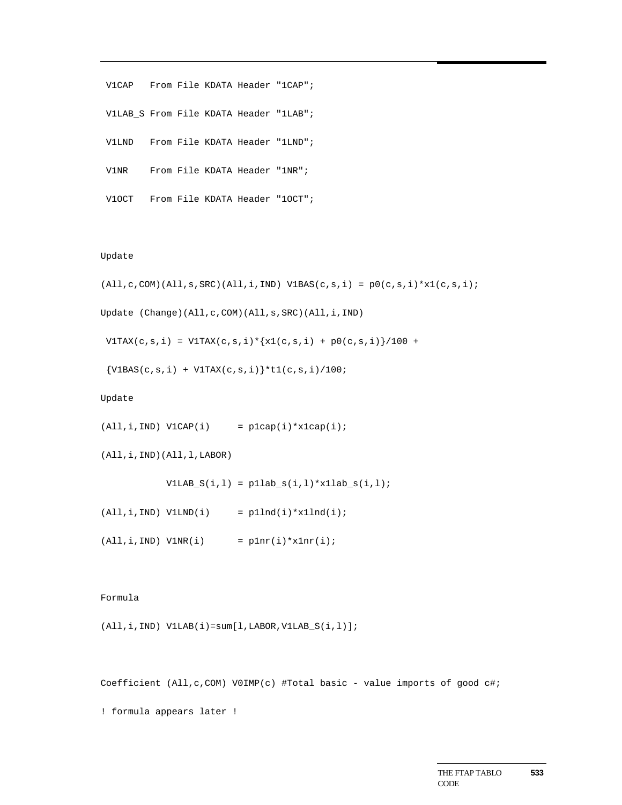```
 V1CAP From File KDATA Header "1CAP";
 V1LAB_S From File KDATA Header "1LAB";
 V1LND From File KDATA Header "1LND";
 V1NR From File KDATA Header "1NR";
 V1OCT From File KDATA Header "1OCT";
```
# Update

```
(All, c, COM) (All, s,SRC) (All, i, IND) VIBAS(c, s, i) = p0(c, s, i)*x1(c, s, i);
```

```
Update (Change)(All,c,COM)(All,s,SRC)(All,i,IND)
```

```
V1TAX(c,s,i) = V1TAX(c,s,i)*{x1(c,s,i) + p0(c,s,i)}/100 +
```

```
{V1BAS(c,s,i) + V1TAX(c,s,i)}*t1(c,s,i)/100;
```
# Update

 $(A11, i, IND)$  V1CAP(i) = p1cap(i)\*x1cap(i);

```
(All,i,IND)(All,l,LABOR)
```

```
\verb|VILAB_S(i,l)| = \verb|pllab_s(i,l)*xllab_s(i,l);
```

```
(All, i, IND) VlLND(i) = pllnd(i)*x1lnd(i);
```
 $(All, i, IND)$  V1NR(i) = p1nr(i)\*x1nr(i);

# Formula

 $(All, i, IND)$  VlLAB $(i)=sum[1, LABOR, VllAB_S(i, l)]$ ;

```
Coefficient (All,c,COM) V0IMP(c) #Total basic - value imports of good c#;
```
! formula appears later !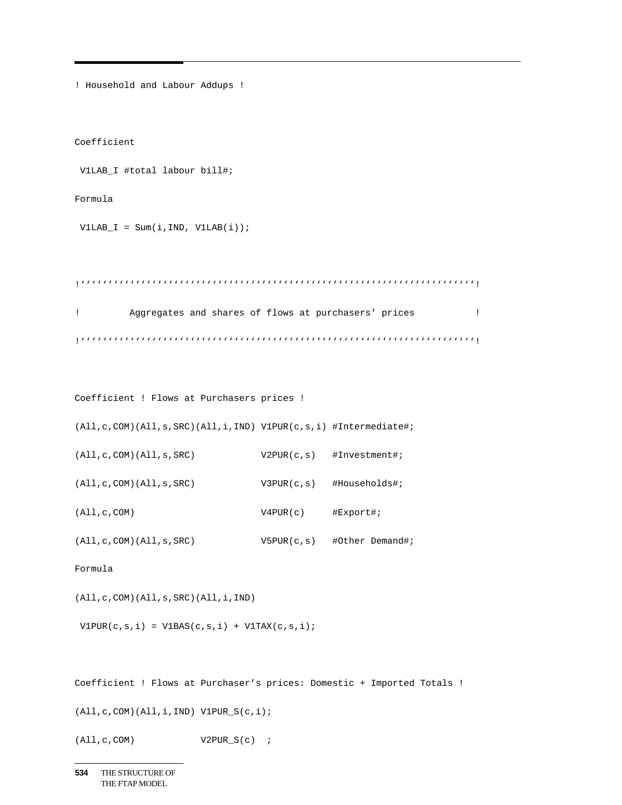```
! Household and Labour Addups !
Coefficient
 V1LAB_I #total labour bill#;
Formula
V1LAB_I = Sum(i, IND, V1LAB(i));!''''''''''''''''''''''''''''''''''''''''''''''''''''''''''''''''''''''''!
! Aggregates and shares of flows at purchasers' prices !
!''''''''''''''''''''''''''''''''''''''''''''''''''''''''''''''''''''''''!
Coefficient ! Flows at Purchasers prices !
(All,c,COM)(All,s,SRC)(All,i,IND) V1PUR(c,s,i) #Intermediate#;
(All,c,COM)(All,s,SRC) V2PUR(c,s) #Investment#;
(All,c,COM)(All,s,SRC) V3PUR(c,s) #Households#;
(All, c, COM) V4PUR(c) #Export#;
(All,c,COM)(All,s,SRC)    V5PUR(c,s)    #Other Demand#;
Formula
(All,c,COM)(All,s,SRC)(All,i,IND)
V1PUR(c,s,i) = V1BAS(c,s,i) + V1TAX(c,s,i);
Coefficient ! Flows at Purchaser's prices: Domestic + Imported Totals !
(All,c,COM)(All,i,IND) V1PUR_S(c,i);
```

```
V2PUR_S(c) ;
```
**534** THE STRUCTURE OF THE FTAP MODEL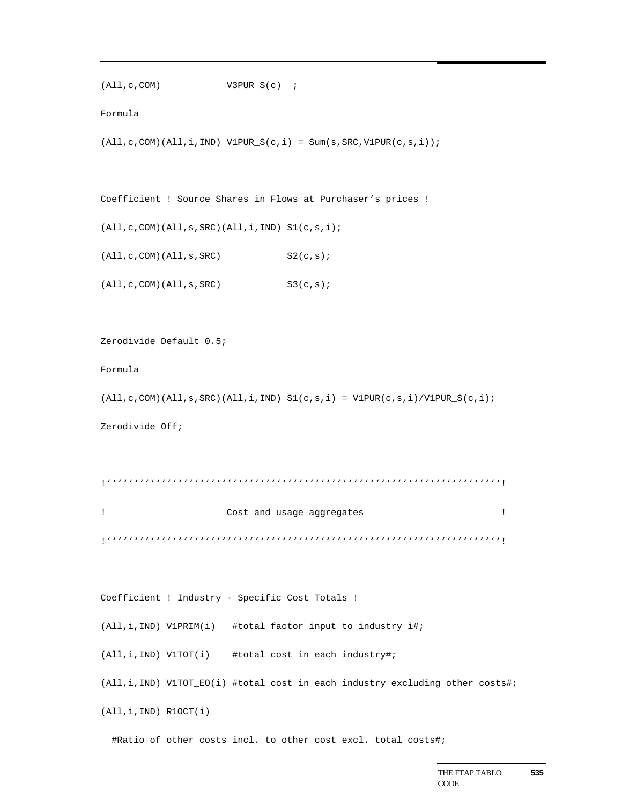$V3$ PUR $S(c)$  ;

Formula

 $(All, c, COM) (All, i, IND) \text{ V1PUR_S}(c, i) = Sum(s,SRC, V1PUR(c, s, i))$ ;

Coefficient ! Source Shares in Flows at Purchaser's prices !

 $(All,c,COM)$ (All,s,SRC)(All,i,IND) S1(c,s,i);

 $(Sall, c, COM)(All, s, SRC)$   $S2(c, s);$ 

 $(Sall, c, COM)(All, s, SRC)$   $S3(c, s);$ 

Zerodivide Default 0.5;

Formula

 $(All,c,COM)(All,s,SRC)(All,i,IND)$   $Sl(c,s,i) = V1PUR(c,s,i)/V1PUR_S(c,i);$ 

Zerodivide Off;

!''''''''''''''''''''''''''''''''''''''''''''''''''''''''''''''''''''''''! ! Cost and usage aggregates ! !''''''''''''''''''''''''''''''''''''''''''''''''''''''''''''''''''''''''!

Coefficient ! Industry - Specific Cost Totals ! (All,i,IND) V1PRIM(i) #total factor input to industry i#; (All,i,IND) V1TOT(i) #total cost in each industry#; (All,i,IND) V1TOT\_EO(i) #total cost in each industry excluding other costs#; (All,i,IND) R1OCT(i)

#Ratio of other costs incl. to other cost excl. total costs#;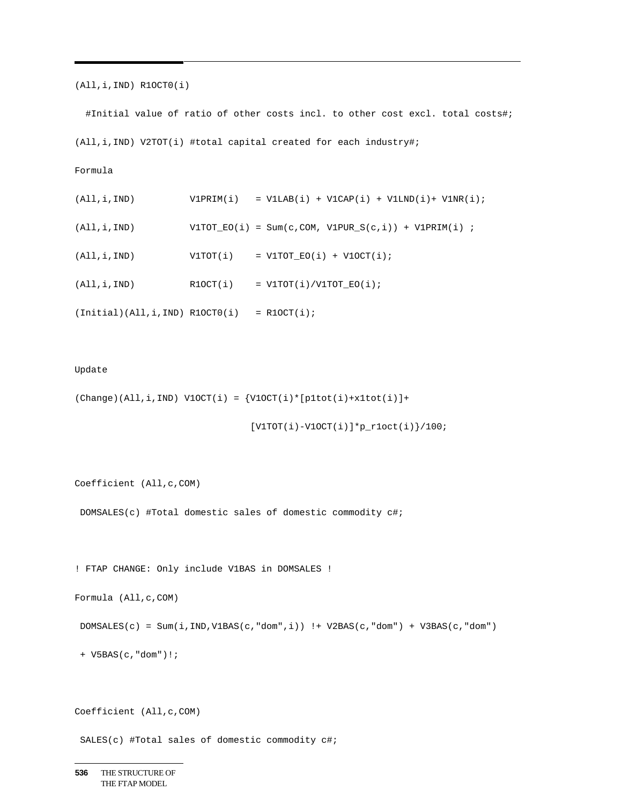```
(All,i,IND) R1OCT0(i)
```
 #Initial value of ratio of other costs incl. to other cost excl. total costs#; (All,i,IND) V2TOT(i) #total capital created for each industry#;

Formula

```
(A11, i, IND) V1PRIM(i) = V1LAB(i) + V1CAP(i) + V1IND(i) + V1NR(i);(A11,i,IND) V1TOT\_EO(i) = Sum(c,COM, VIPUR_S(c,i)) + VIPRIM(i) ;
(All, i, IND) V1TOT(i) = V1TOT(EO(i) + V1OCT(i);R10CT(i) = V1TOT(i)/V1TOT_EO(i);
```

```
(Initial)(All,i,IND) R10CT0(i) = R10CT(i);
```
Update

 $(Change)(All,i,IND) VIOCT(i) = \{VIOCT(i)*[plot(i)+x1tot(i)]+$ 

 $[V1TOT(i)-V1OCT(i)]*p_r1oct(i)]/100;$ 

Coefficient (All,c,COM)

DOMSALES(c) #Total domestic sales of domestic commodity c#;

! FTAP CHANGE: Only include V1BAS in DOMSALES !

Formula (All,c,COM)

DOMSALES(c) = Sum(i,IND,V1BAS(c,"dom",i)) !+ V2BAS(c,"dom") + V3BAS(c,"dom")

+ V5BAS(c,"dom")!;

Coefficient (All,c,COM)

SALES(c) #Total sales of domestic commodity c#;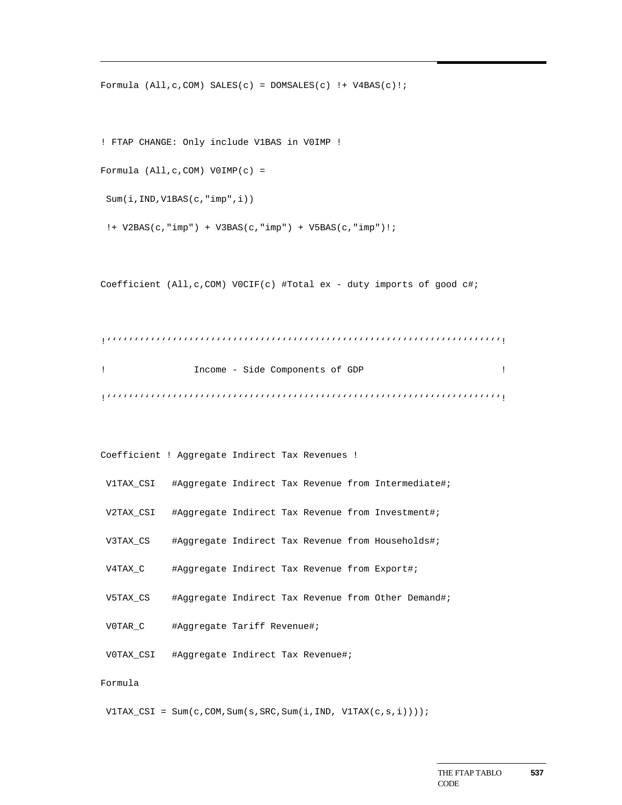```
Formula (All,c,COM) SALES(c) = DOMSALES(c) !+ V4BAS(c)!;
! FTAP CHANGE: Only include V1BAS in V0IMP !
Formula (All,c,COM) V0IMP(c) =
 Sum(i,IND,V1BAS(c,"imp",i))
  !+ V2BAS(c,"imp") + V3BAS(c,"imp") + V5BAS(c,"imp")!;
Coefficient (All,c,COM) V0CIF(c) #Total ex - duty imports of good c#;
!''''''''''''''''''''''''''''''''''''''''''''''''''''''''''''''''''''''''!
```

```
! Income - Side Components of GDP !
!''''''''''''''''''''''''''''''''''''''''''''''''''''''''''''''''''''''''!
```
Coefficient ! Aggregate Indirect Tax Revenues !

- V1TAX\_CSI #Aggregate Indirect Tax Revenue from Intermediate#;
- V2TAX\_CSI #Aggregate Indirect Tax Revenue from Investment#;
- V3TAX\_CS #Aggregate Indirect Tax Revenue from Households#;
- V4TAX\_C #Aggregate Indirect Tax Revenue from Export#;
- V5TAX\_CS #Aggregate Indirect Tax Revenue from Other Demand#;
- V0TAR\_C #Aggregate Tariff Revenue#;
- V0TAX\_CSI #Aggregate Indirect Tax Revenue#;

Formula

 $V1TAX_CSI = Sum(c, COM, Sum(s,SRC,Sum(i,IND, V1TAX(c,s,i))))$ ;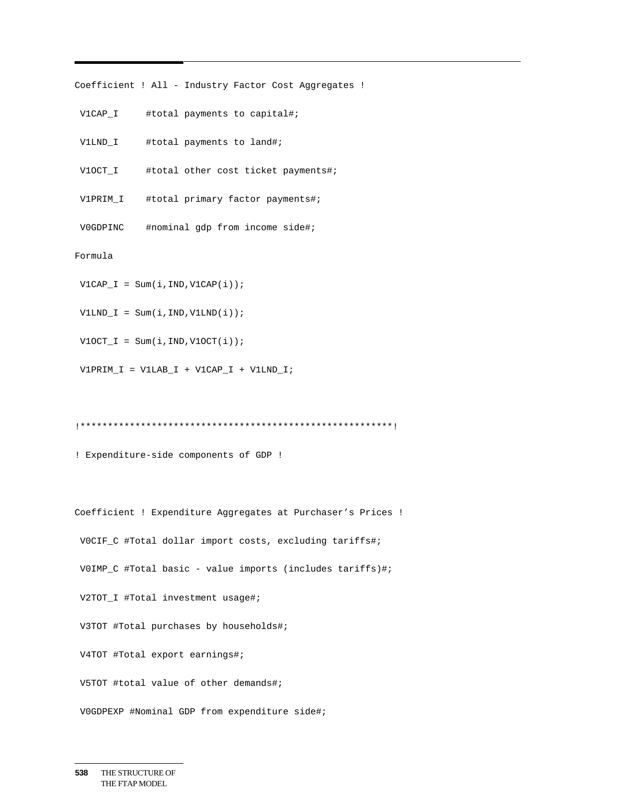Coefficient ! All - Industry Factor Cost Aggregates !

V1CAP\_I #total payments to capital#;

V1LND\_I #total payments to land#;

V1OCT\_I #total other cost ticket payments#;

V1PRIM\_I #total primary factor payments#;

V0GDPINC #nominal gdp from income side#;

Formula

 $V1CAP_I = Sum(i,IND,VICAP(i));$ 

 $V1LND_I = Sum(i,IND,V1LND(i));$ 

 $V1OCT_I = Sum(i, IND, V1OCT(i));$ 

V1PRIM\_I = V1LAB\_I + V1CAP\_I + V1LND\_I;

!\*\*\*\*\*\*\*\*\*\*\*\*\*\*\*\*\*\*\*\*\*\*\*\*\*\*\*\*\*\*\*\*\*\*\*\*\*\*\*\*\*\*\*\*\*\*\*\*\*\*\*\*\*\*\*\*\*!

! Expenditure-side components of GDP !

Coefficient ! Expenditure Aggregates at Purchaser's Prices ! V0CIF\_C #Total dollar import costs, excluding tariffs#; V0IMP\_C #Total basic - value imports (includes tariffs)#; V2TOT\_I #Total investment usage#; V3TOT #Total purchases by households#; V4TOT #Total export earnings#; V5TOT #total value of other demands#;

V0GDPEXP #Nominal GDP from expenditure side#;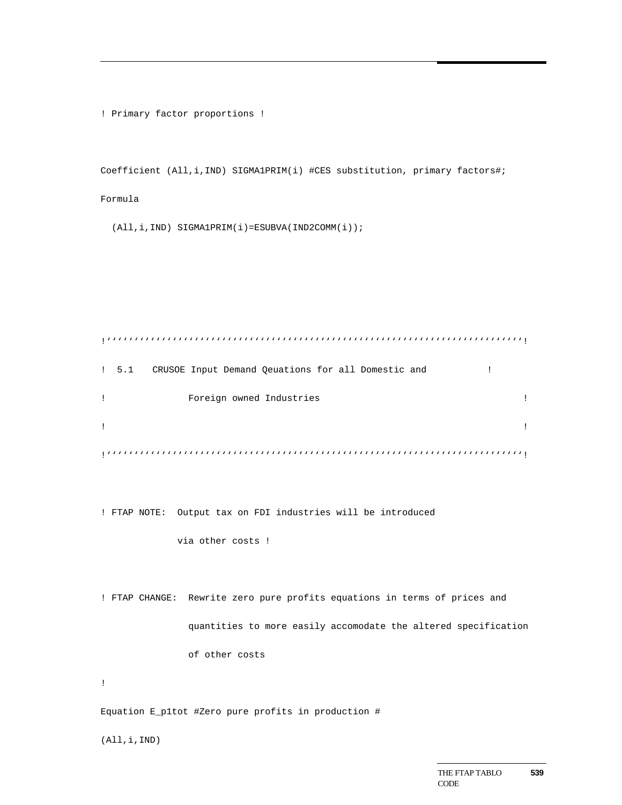! Primary factor proportions !

```
Coefficient (All,i,IND) SIGMA1PRIM(i) #CES substitution, primary factors#;
```
## Formula

(All,i,IND) SIGMA1PRIM(i)=ESUBVA(IND2COMM(i));

```
!''''''''''''''''''''''''''''''''''''''''''''''''''''''''''''''''''''''''''''!
! 5.1 CRUSOE Input Demand Qeuations for all Domestic and !
! Foreign owned Industries !
! !
!''''''''''''''''''''''''''''''''''''''''''''''''''''''''''''''''''''''''''''!
```
! FTAP NOTE: Output tax on FDI industries will be introduced

# via other costs !

! FTAP CHANGE: Rewrite zero pure profits equations in terms of prices and quantities to more easily accomodate the altered specification of other costs

!

Equation E\_p1tot #Zero pure profits in production #

(All,i,IND)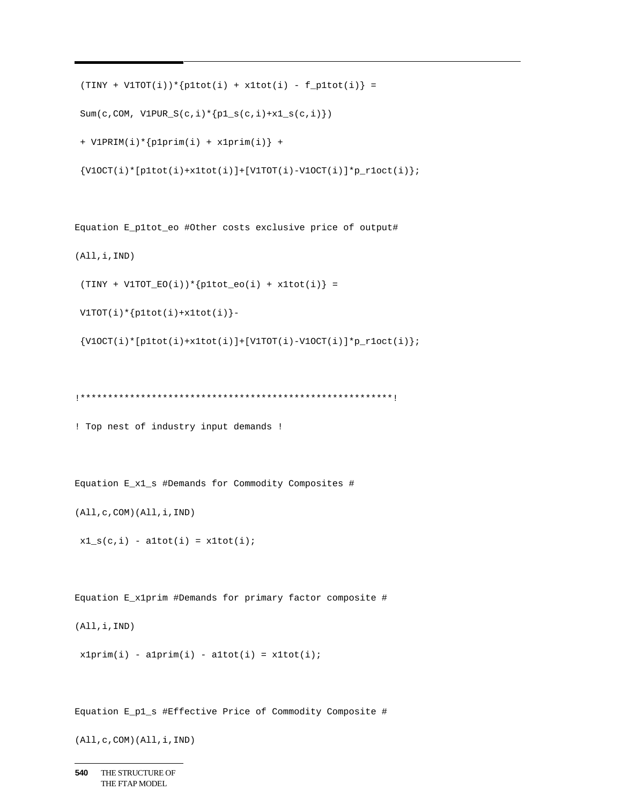```
(TINY + V1TOT(i)) * {plot(i) + x1tot(i) - f_pltot(i)} =Sum(c,COM, V1PUR_S(c,i)*{p1_s(c,i)+x1_s(c,i)})
 + V1PRIM(i)*{p1prim(i) + x1prim(i)} +
{V10CT(i)*[plot(i)+x1tot(i)]+[V1TOT(i)-V10CT(i)]*p\_r1oct(i)};
```
Equation E\_p1tot\_eo #Other costs exclusive price of output#

(All,i,IND)

 $(TINY + VITOR_EO(i)) * {pltot_eo(i) + x1tot(i)} =$ 

 $V1TOT(i)*{p1tot(i)+x1tot(i)}$ -

 ${V10CT(i)*[pltot(i)+x1tot(i)]+[V1TOT(i)-V10CT(i)]*p\_r1oct(i)};$ 

!\*\*\*\*\*\*\*\*\*\*\*\*\*\*\*\*\*\*\*\*\*\*\*\*\*\*\*\*\*\*\*\*\*\*\*\*\*\*\*\*\*\*\*\*\*\*\*\*\*\*\*\*\*\*\*\*\*!

! Top nest of industry input demands !

Equation E\_x1\_s #Demands for Commodity Composites #

(All,c,COM)(All,i,IND)

 $x1_s(c,i) - altot(i) = x1tot(i);$ 

Equation E\_x1prim #Demands for primary factor composite #

(All,i,IND)

 $x1prim(i) - a1prim(i) - a1tot(i) = x1tot(i);$ 

Equation E\_p1\_s #Effective Price of Commodity Composite #

(All,c,COM)(All,i,IND)

**540** THE STRUCTURE OF THE FTAP MODEL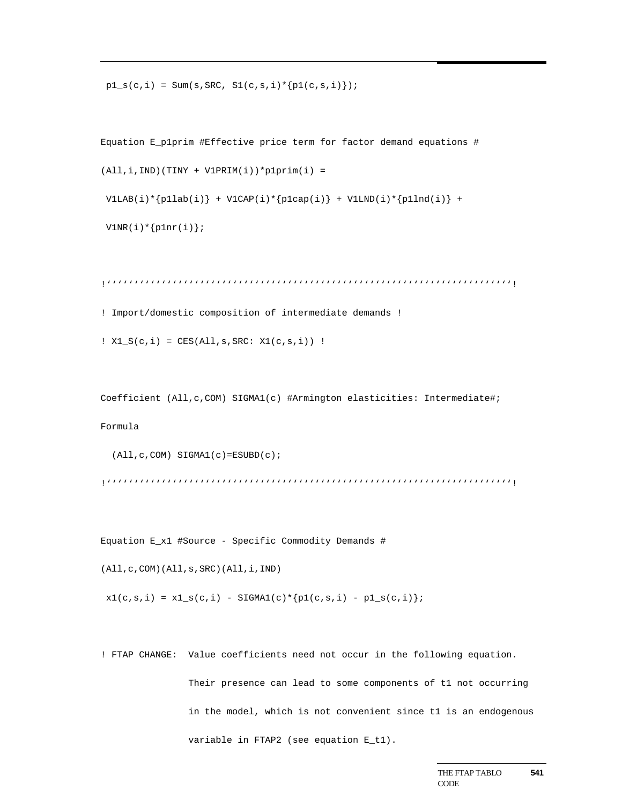```
p1_s(c,i) = Sum(s,SRC, Sl(c,s,i)*{pl(c,s,i)});
```

```
Equation E_p1prim #Effective price term for factor demand equations #
(All, i, IND) (TINY + V1PRIM(i)) * p1prim(i) =
 \verb|VILAB(i)*\{p1lab(i) + V1CAP(i)*\{p1cap(i) + V1LND(i)*\{p1Ind(i)\} + P1Ind(i))\}V1NR(i)*{p1nr(i)};!''''''''''''''''''''''''''''''''''''''''''''''''''''''''''''''''''''''''''!
! Import/domestic composition of intermediate demands !
! X1_S(c,i) = CES(All,s,SRC: X1(c,s,i)) !
```
Coefficient (All,c,COM) SIGMA1(c) #Armington elasticities: Intermediate#;

Formula

```
(All, c, COM) SIGMA1(c)=ESUBD(c);
!''''''''''''''''''''''''''''''''''''''''''''''''''''''''''''''''''''''''''!
```
Equation E\_x1 #Source - Specific Commodity Demands #

(All,c,COM)(All,s,SRC)(All,i,IND)

 $x1(c,s,i) = x1_s(c,i) - SIGMA1(c)*{p1(c,s,i) - p1_s(c,i)}$ ;

! FTAP CHANGE: Value coefficients need not occur in the following equation.

 Their presence can lead to some components of t1 not occurring in the model, which is not convenient since t1 is an endogenous variable in FTAP2 (see equation E\_t1).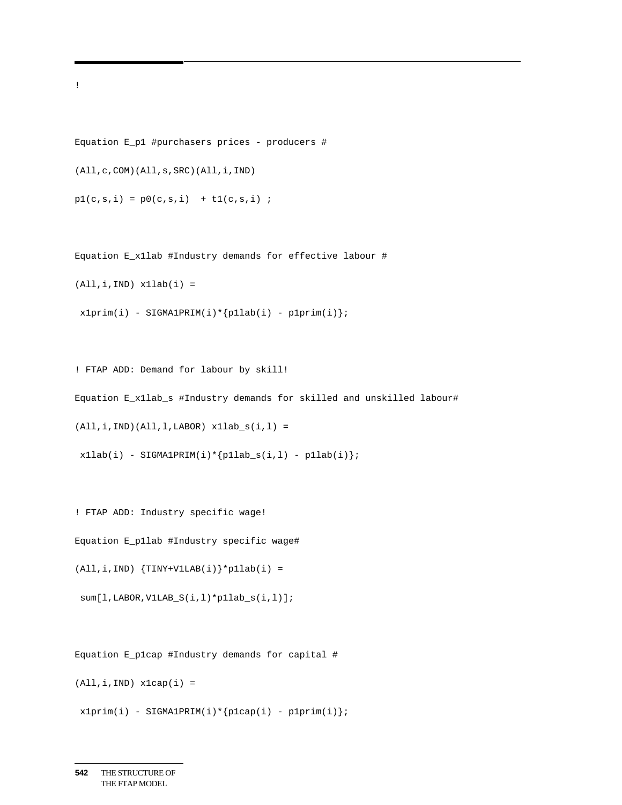```
Equation E_p1 #purchasers prices - producers #
```
(All,c,COM)(All,s,SRC)(All,i,IND)

```
p1(c,s,i) = p0(c,s,i) + t1(c,s,i)
```
Equation E\_x1lab #Industry demands for effective labour #

 $(All, i, IND)$   $x1lab(i) =$ 

```
x1prim(i) - SIGNA1PRIM(i)*{p1lab(i) - p1prim(i)};
```
! FTAP ADD: Demand for labour by skill!

Equation E\_x1lab\_s #Industry demands for skilled and unskilled labour#

```
(All, i, IND)(All, l, LABOR) xllab_s(i, l) =
```

```
x1lab(i) - SIGNA1PRIM(i)*{p1lab_s(i,l) - p1lab(i)};
```
! FTAP ADD: Industry specific wage!

Equation E\_p1lab #Industry specific wage#

```
(A11, i, IND) {TINY+V1LAB(i)}*p1lab(i) =
```
sum[l,LABOR,V1LAB\_S(i,l)\*p1lab\_s(i,l)];

Equation E\_p1cap #Industry demands for capital #

 $(All, i, IND)$   $xlcap(i) =$ 

 $x1prim(i) - SIGNA1PRIM(i)*{p1cap(i) - p1prim(i)};$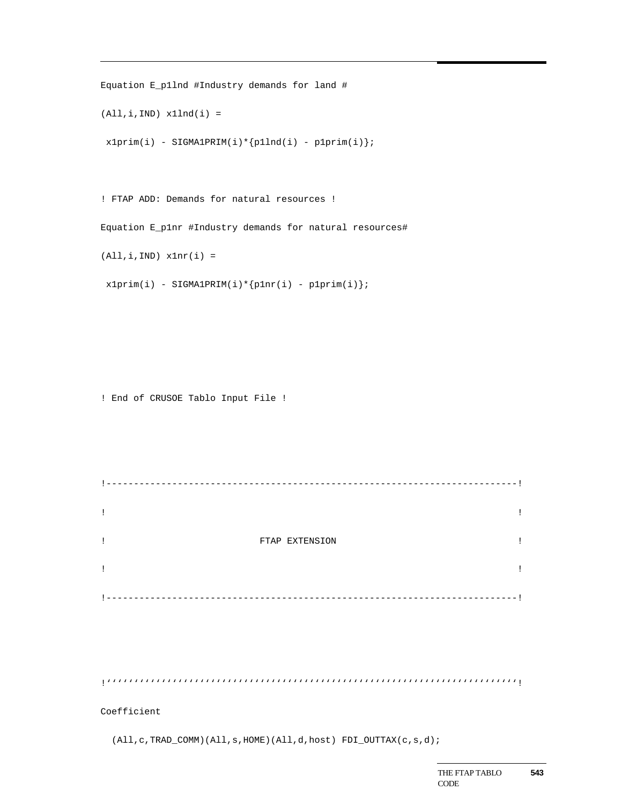```
Equation E_p1lnd #Industry demands for land #
(All, i, IND) xllnd(i) =x1prim(i) - SIGMA1PRIM(i)*[plInd(i) - plprim(i)];
```
! FTAP ADD: Demands for natural resources !

Equation E\_p1nr #Industry demands for natural resources#

```
(All, i, IND) xlnr(i) =
```

```
x1prim(i) - SIGNA1PRIM(i)*{p1nr(i) - p1prim(i)};
```
! End of CRUSOE Tablo Input File !

| FTAP EXTENSION |  |
|----------------|--|
|                |  |
|                |  |

```
!'''''''''''''''''''''''''''''''''''''''''''''''''''''''''''''''''''''''''''!
```
# Coefficient

(All,c,TRAD\_COMM)(All,s,HOME)(All,d,host) FDI\_OUTTAX(c,s,d);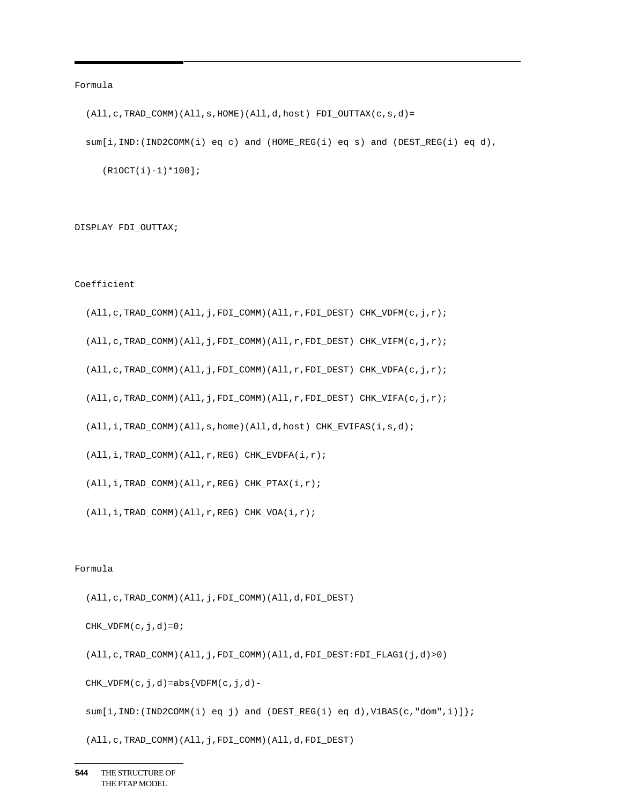#### Formula

 $(All, c, TRAD_COMM) (All, s, HOME) (All, d, host) FDI_OUTTAX(c, s, d) =$ 

 $sum[i,IND:(IND2COMM(i) eq c) and (HOMEREG(i) eq s) and (DEST REG(i) eq d),$ 

(R1OCT(i)-1)\*100];

DISPLAY FDI\_OUTTAX;

# Coefficient

 $(All,c,TRAD\_COMM)$ (All,j,FDI\_COMM)(All,r,FDI\_DEST) CHK\_VDFM(c,j,r);

 $(A11, c, TRAD_COMM) (A11, j, FDI_COMM) (A11, r, FDI_DEST) CHK_VIFM(c, j, r);$ 

 $(All, c, TRAD_COMM)$  $(All, j, FDI_COMM)$  $(All, r, FDI_DEST)$  CHK\_VDFA( $c, j, r$ );

 $(All,c,TRAD\_COMM)$ (All,j,FDI\_COMM)(All,r,FDI\_DEST) CHK\_VIFA(c,j,r);

 $(All, i,TRAD_COMM)(All, s, home)(All, d, host)  $CHK_EVIFAS(i, s, d);$$ 

(All,i,TRAD\_COMM)(All,r,REG) CHK\_EVDFA(i,r);

(All,i,TRAD\_COMM)(All,r,REG) CHK\_PTAX(i,r);

(All,i,TRAD\_COMM)(All,r,REG) CHK\_VOA(i,r);

## Formula

(All,c,TRAD\_COMM)(All,j,FDI\_COMM)(All,d,FDI\_DEST)

 $CHK_VDFM(c,j,d)=0;$ 

(All,c,TRAD\_COMM)(All,j,FDI\_COMM)(All,d,FDI\_DEST:FDI\_FLAG1(j,d)>0)

 $CHK_VDFM(c,j,d)=abs\{VDFM(c,j,d)-$ 

sum[i,IND:(IND2COMM(i) eq j) and (DEST\_REG(i) eq d),V1BAS(c,"dom",i)]};

(All,c,TRAD\_COMM)(All,j,FDI\_COMM)(All,d,FDI\_DEST)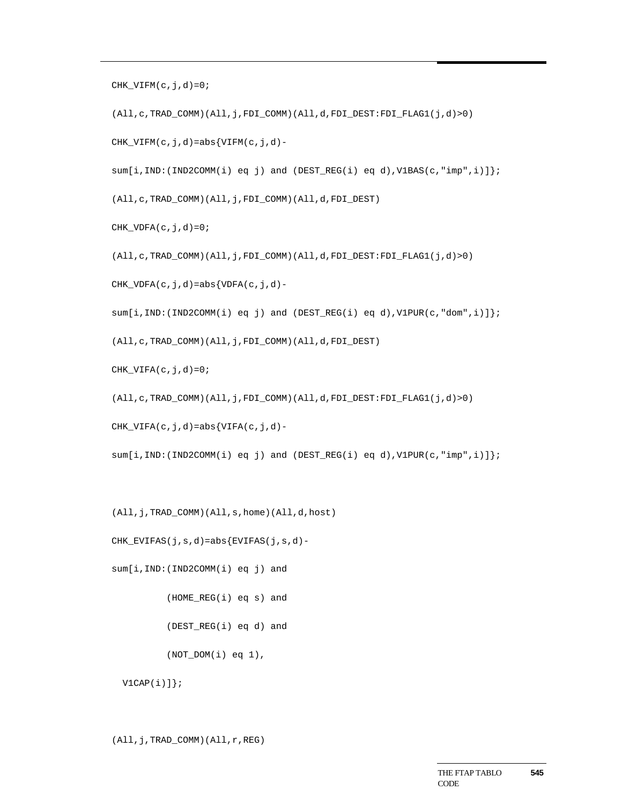CHK  $VIFM(c,j,d)=0;$ 

(All,c,TRAD\_COMM)(All,j,FDI\_COMM)(All,d,FDI\_DEST:FDI\_FLAG1(j,d)>0)

 $CHK_VIFM(c,j,d)=abs\{VIFM(c,j,d)-$ 

 $sum[i,IND:(IND2COMM(i) eq j) and (DEF\_REG(i) eq d), VIBAS(c,"imp",i)]};$ 

(All,c,TRAD\_COMM)(All,j,FDI\_COMM)(All,d,FDI\_DEST)

 $CHK_VDFA(c,j,d)=0;$ 

(All,c,TRAD\_COMM)(All,j,FDI\_COMM)(All,d,FDI\_DEST:FDI\_FLAG1(j,d)>0)

 $CHK_VDFA(c,j,d)=abs\{VDFA(c,j,d)-$ 

sum[i,IND:(IND2COMM(i) eq j) and (DEST\_REG(i) eq d),V1PUR(c,"dom",i)]};

(All,c,TRAD\_COMM)(All,j,FDI\_COMM)(All,d,FDI\_DEST)

 $CHK_VIFA(c,j,d)=0;$ 

(All,c,TRAD\_COMM)(All,j,FDI\_COMM)(All,d,FDI\_DEST:FDI\_FLAG1(j,d)>0)

 $CHK_VIFA(c,j,d)=abs\{VIFA(c,j,d)-$ 

 $sum[i,IND:(IND2COMM(i) eq j) and (DEST\_REG(i) eq d), V1PUR(c,"imp",i)]};$ 

(All,j,TRAD\_COMM)(All,s,home)(All,d,host)

 $CHK_EVIFAS(j,s,d)=abs{EVIFAS(j,s,d)}$ 

sum[i,IND:(IND2COMM(i) eq j) and

(HOME\_REG(i) eq s) and

(DEST\_REG(i) eq d) and

(NOT\_DOM(i) eq 1),

 $V1CAP(i)]$ ;

(All,j,TRAD\_COMM)(All,r,REG)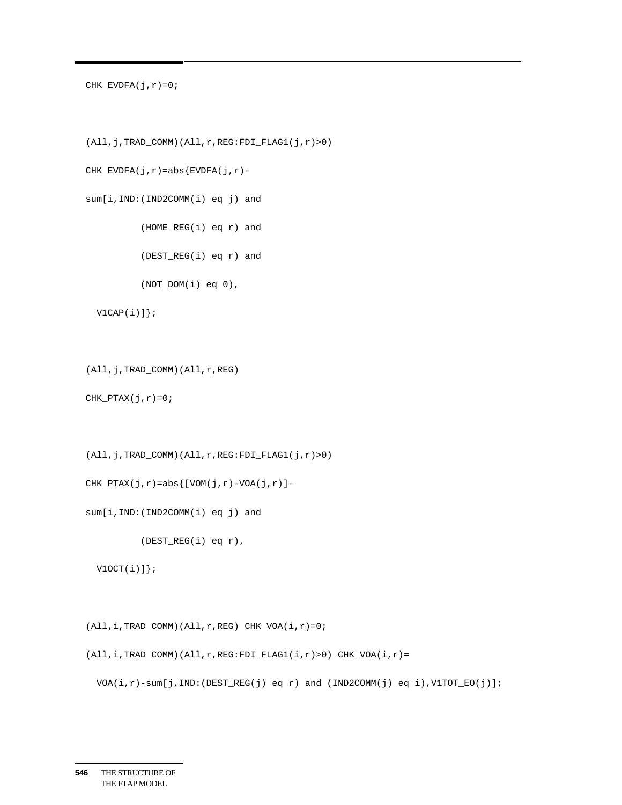CHK\_EVDFA $(j, r) = 0;$ 

```
 (All,j,TRAD_COMM)(All,r,REG:FDI_FLAG1(j,r)>0)
CHK_EVDFA(j,r)=abs{EVDFA(j,r)-} sum[i,IND:(IND2COMM(i) eq j) and
           (HOME_REG(i) eq r) and
           (DEST_REG(i) eq r) and
           (NOT_DOM(i) eq 0),
```
 $V1CAP(i)]$ ;

(All,j,TRAD\_COMM)(All,r,REG)

 $CHK_PMAX(j,r)=0;$ 

(All,j,TRAD\_COMM)(All,r,REG:FDI\_FLAG1(j,r)>0)

 $CHK_PTAX(j,r)=abs{[VOM(j,r)-VOA(j,r)]-}$ 

sum[i,IND:(IND2COMM(i) eq j) and

(DEST\_REG(i) eq r),

 $V1OCT(i)]$ ;

 $(\texttt{All},i,\texttt{TRAD\_COMM})(\texttt{All},r,\texttt{REG})$  CHK\_VOA(i,r)=0;

 $(A11,i,TRAD\_COMM)(All,r,REG:FDI_FLAG1(i,r)>0)$  CHK\_VOA(i,r)=

 $VOA(i, r) - sum[j, IND: (DEST\_REG(j) eq r) and (IND2COMM(j) eq i), VITOR_EO(j)]$ ;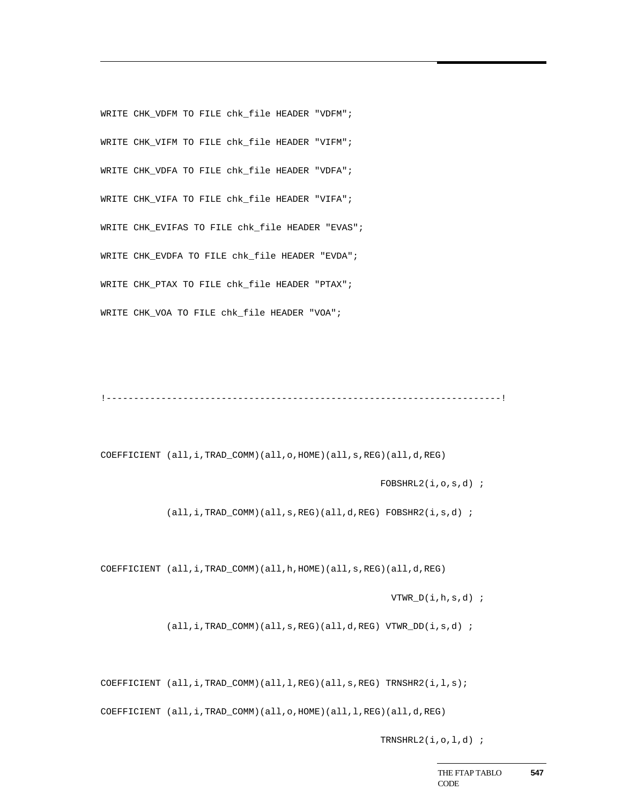WRITE CHK\_VDFM TO FILE chk\_file HEADER "VDFM"; WRITE CHK VIFM TO FILE chk file HEADER "VIFM"; WRITE CHK\_VDFA TO FILE chk\_file HEADER "VDFA"; WRITE CHK\_VIFA TO FILE chk\_file HEADER "VIFA"; WRITE CHK\_EVIFAS TO FILE chk\_file HEADER "EVAS"; WRITE CHK\_EVDFA TO FILE chk\_file HEADER "EVDA"; WRITE CHK\_PTAX TO FILE chk\_file HEADER "PTAX"; WRITE CHK\_VOA TO FILE chk\_file HEADER "VOA";

!------------------------------------------------------------------------!

COEFFICIENT (all,i,TRAD\_COMM)(all,o,HOME)(all,s,REG)(all,d,REG)

FOBSHRL2(i,o,s,d) ;

(all,i,TRAD\_COMM)(all,s,REG)(all,d,REG) FOBSHR2(i,s,d) ;

COEFFICIENT (all,i,TRAD\_COMM)(all,h,HOME)(all,s,REG)(all,d,REG)

VTWR\_D(i,h,s,d) ;

 $(all,i,TRAD_COMM)(all,s,REG)(all,d,REG) VTWR_DD(i,s,d)$  ;

<code>COEFFICIENT</code> (all,i,TRAD\_COMM)(all,l,REG)(all,s,REG) TRNSHR2(i,l,s); COEFFICIENT (all,i,TRAD\_COMM)(all,o,HOME)(all,l,REG)(all,d,REG)

 $TRNSHRL2(i, o, l, d)$  ;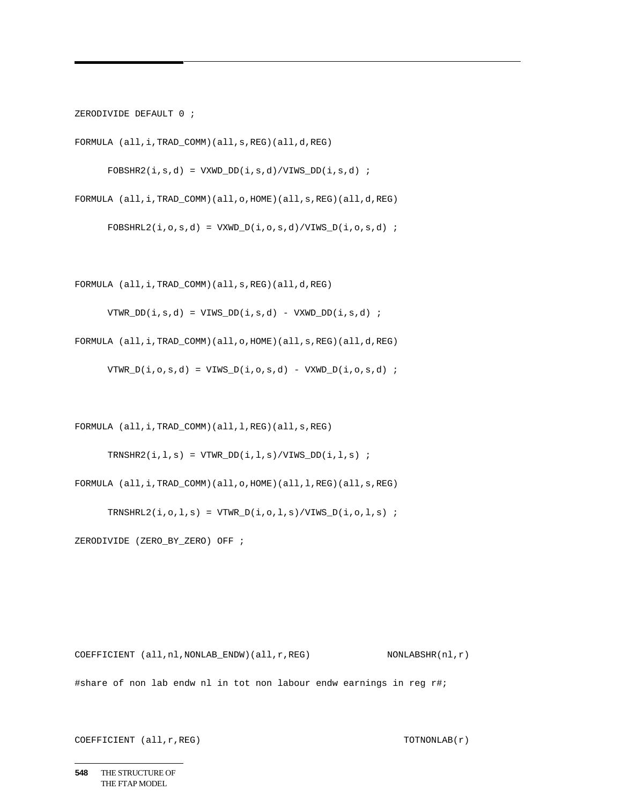ZERODIVIDE DEFAULT 0 ;

FORMULA (all,i,TRAD\_COMM)(all,s,REG)(all,d,REG)

 $FOBSHR2(i,s,d) = VXWD\_DD(i,s,d)/VINS\_DD(i,s,d)$ ;

FORMULA (all,i,TRAD\_COMM)(all,o,HOME)(all,s,REG)(all,d,REG)

 $FOBSHRL2(i, o, s, d) = VXWD_D(i, o, s, d)/VIWS_D(i, o, s, d)$  ;

FORMULA (all,i,TRAD\_COMM)(all,s,REG)(all,d,REG)

 $VTWR_DD(i,s,d) = VIWS_DD(i,s,d) - VXWD_DD(i,s,d)$  ;

FORMULA (all,i,TRAD\_COMM)(all,o,HOME)(all,s,REG)(all,d,REG)

 $VTWR_D(i, o, s, d) = VIWS_D(i, o, s, d) - VXWD_D(i, o, s, d)$ ;

FORMULA (all,i,TRAD\_COMM)(all,l,REG)(all,s,REG)

 $TRNSHR2(i,l,s) = VTWR_DD(i,l,s)/VINS_DD(i,l,s)$  ;

FORMULA (all,i,TRAD\_COMM)(all,o,HOME)(all,l,REG)(all,s,REG)

 $TRNSHRL2(i, o, l, s) = VTWR_D(i, o, l, s) / VIWS_D(i, o, l, s)$  ;

ZERODIVIDE (ZERO\_BY\_ZERO) OFF ;

```
COEFFICIENT (all,nl,NONLAB_ENDW)(all,r,REG) NONLABSHR(nl,r)
#share of non lab endw nl in tot non labour endw earnings in reg r#;
```
COEFFICIENT (all, r, REG) TOTNONLAB(r)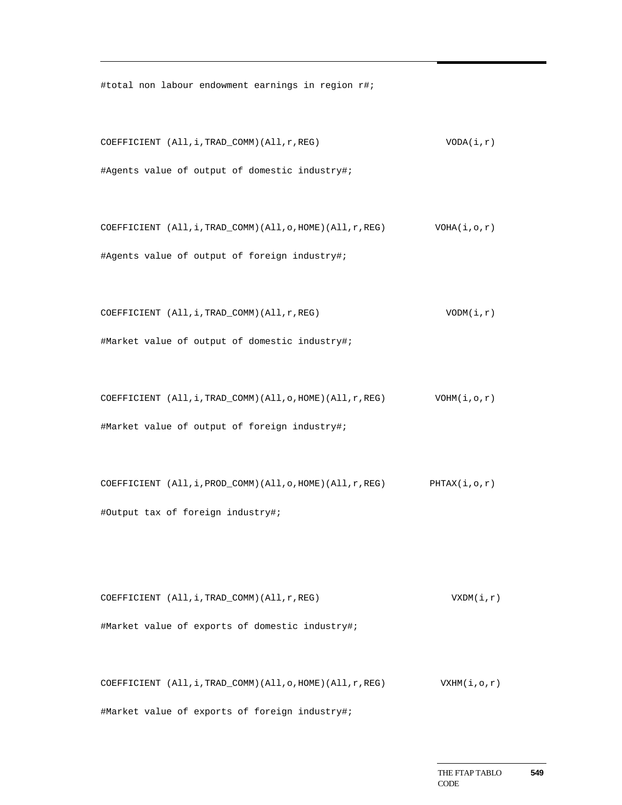#total non labour endowment earnings in region r#;

```
COEFFICIENT (A11, i, TRAD COMM)(A11, r, REG) vODA(i, r)#Agents value of output of domestic industry#;
```
COEFFICIENT (All,i,TRAD\_COMM)(All,o,HOME)(All,r,REG) VOHA(i,o,r) #Agents value of output of foreign industry#;

COEFFICIENT  $(A11,i,TRAD\_COMM)(A11,r,REG)$  VODM $(i,r)$ #Market value of output of domestic industry#;

```
COEFFICIENT (A11, i, TRAD\_COMM)(A11, o, HOME)(A11, r, REG) VOHM(i, o, r)#Market value of output of foreign industry#;
```
COEFFICIENT (All,i,PROD\_COMM)(All,o,HOME)(All,r,REG) PHTAX(i,o,r) #Output tax of foreign industry#;

COEFFICIENT  $(A11, i, TRAD\_COMM)(A11, r, REG)$  VXDM $(i, r)$ #Market value of exports of domestic industry#;

COEFFICIENT (All,i,TRAD\_COMM)(All,o,HOME)(All,r,REG) VXHM(i,o,r) #Market value of exports of foreign industry#;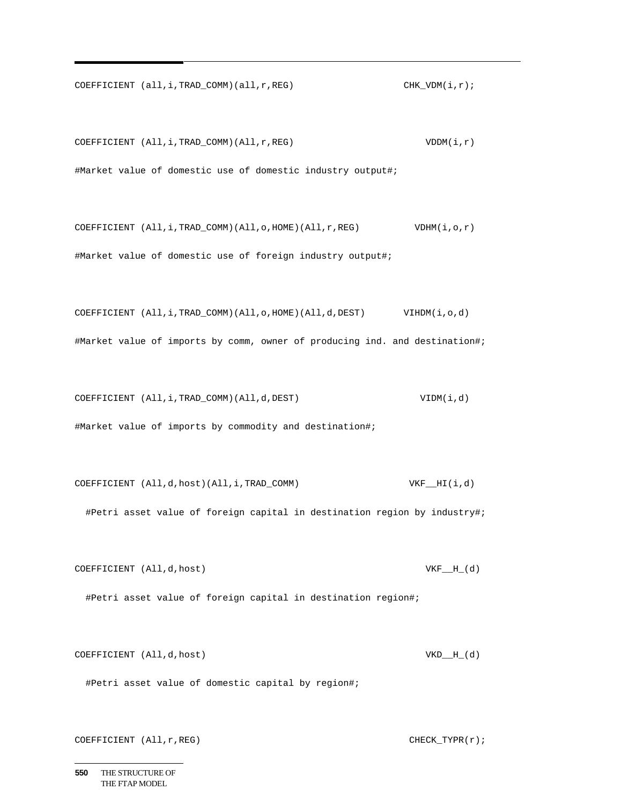COEFFICIENT  $(all, i, TRAD_COMM)$   $(all, r, REG)$  CHK\_VDM( $i, r$ );

COEFFICIENT  $(A11, i, TRAD$  COMM $)(A11, r, REG)$  vDDM $(i, r)$ #Market value of domestic use of domestic industry output#;

COEFFICIENT  $(A11, i, TRAD_COMM) (A11, o, HOME) (A11, r, REG)$  VDHM $(i, o, r)$ #Market value of domestic use of foreign industry output#;

COEFFICIENT (All,i,TRAD\_COMM)(All,o,HOME)(All,d,DEST) VIHDM(i,o,d) #Market value of imports by comm, owner of producing ind. and destination#;

COEFFICIENT  $(A11, i, TRAD\_COMM) (A11, d, DEST)$  VIDM $(i, d)$ #Market value of imports by commodity and destination#;

COEFFICIENT (All,d,host)(All,i,TRAD\_COMM) VKF\_HI(i,d)

#Petri asset value of foreign capital in destination region by industry#;

COEFFICIENT (All,d,host) VKF\_H\_(d) #Petri asset value of foreign capital in destination region#;

COEFFICIENT (All,d,host) VKD\_H\_(d)

#Petri asset value of domestic capital by region#;

COEFFICIENT  $(A11, r, REG)$  CHECK\_TYPR $(r);$ 

**550** THE STRUCTURE OF THE FTAP MODEL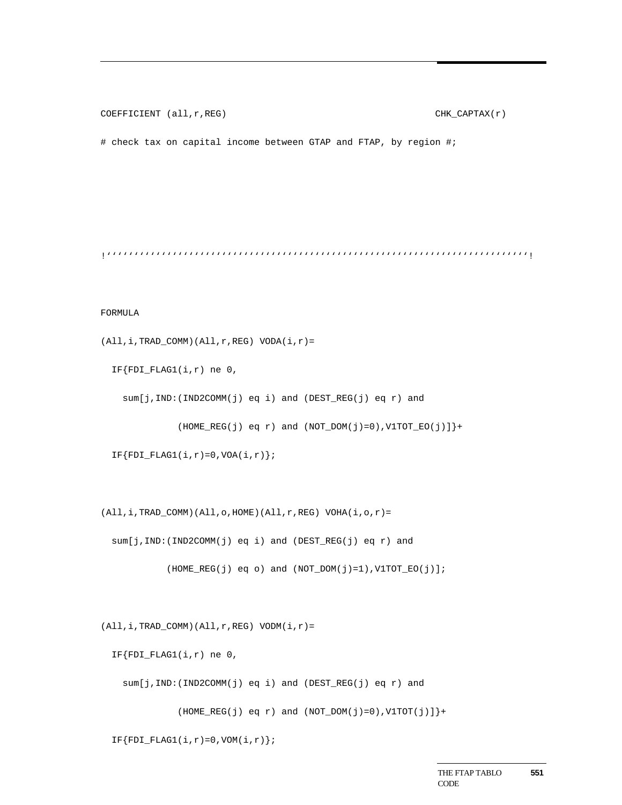COEFFICIENT  $(\text{all},r,\text{REG})$  CHK\_CAPTAX(r)

# check tax on capital income between GTAP and FTAP, by region #;

!'''''''''''''''''''''''''''''''''''''''''''''''''''''''''''''''''''''''''''''!

## FORMULA

```
(A11, i, TRAD_COMM) (All, r, REG) VODA(i, r) =
```
IF{FDI\_FLAG1(i,r) ne 0,

sum[j,IND:(IND2COMM(j) eq i) and (DEST\_REG(j) eq r) and

 $(HOME\_REG(j) eq r)$  and  $(NOT\_DOM(j)=0)$ ,  $VITOR\_EO(j)]$  +

```
IF{FDI_FLAG1(i,r)=0,VOA(i,r)};
```

```
(All, i, TRAD_COMM)(All,o,HOME)(All,r, REG) VOHA(i, o, r) =
```
sum[j,IND:(IND2COMM(j) eq i) and (DEST\_REG(j) eq r) and

 $(HOME\_REG(j) eq o) and (NOT\_DOM(j)=1)$ ,  $V1TOT\_EO(j)$ ];

```
(All,i,TRAD_COMM)(All,r,REG) VODM(i,r)=
```

```
 IF{FDI_FLAG1(i,r) ne 0,
```
sum[j,IND:(IND2COMM(j) eq i) and (DEST\_REG(j) eq r) and

 $(HOME\_REG(j) eq r) and (NOT\_DOM(j)=0)$ ,  $V1TOT(j)]$  +

 $IF{FDI_FLAG1(i,r)=0, VOM(i,r)};$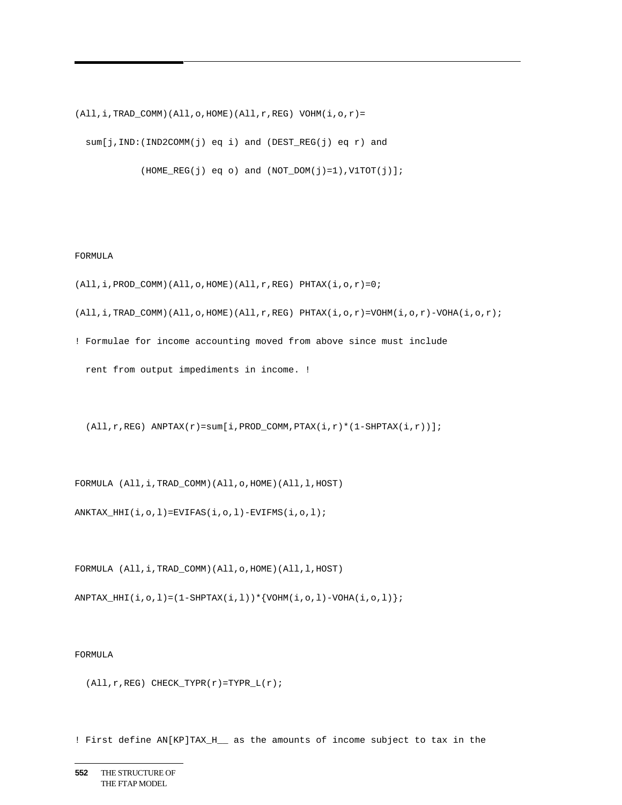$(All, i,TRAD_COMM)(All, o, HOME)(All, r, REG) VOHM(i, o, r) =$ 

sum[j,IND:(IND2COMM(j) eq i) and (DEST\_REG(j) eq r) and

(HOME\_REG(j) eq o) and (NOT\_DOM(j)=1),V1TOT(j)];

## FORMULA

 $(All, i, PROD_COMM)(All, o, HOME)(All, r, REG) PHTAX(i, o, r)=0;$ 

- $(A11, i, TRAD\_COMM) (A11, o, HOME) (A11, r, REG)  $PHTAX(i, o, r) = VOHM(i, o, r) VOHA(i, o, r);$$
- ! Formulae for income accounting moved from above since must include

rent from output impediments in income. !

 $(A11, r, REG)$  ANPTAX( $r$ )=sum[i,PROD\_COMM,PTAX(i, $r$ )\*(1-SHPTAX(i, $r$ ))];

FORMULA (All,i,TRAD\_COMM)(All,o,HOME)(All,l,HOST)

ANKTAX  $HHI(i, o, l) = EVIFAS(i, o, l) - EVIFMS(i, o, l);$ 

FORMULA (All,i,TRAD\_COMM)(All,o,HOME)(All,l,HOST)

 $A\text{NPTAX_HHI}(i, o, l) = (1-SHPTAX(i, l)) * \{VOHM(i, o, l) - VOHA(i, o, l)\};$ 

#### FORMULA

```
(All,r,REG) CHECK_TYPR(r)=TYPR_L(r);
```
! First define AN[KP]TAX\_H\_\_ as the amounts of income subject to tax in the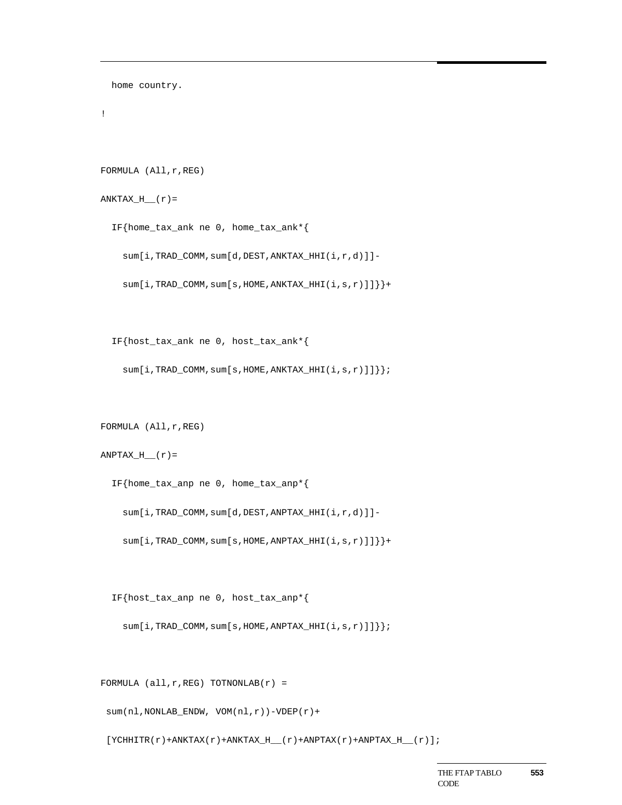```
 home country.
```
!

FORMULA (All,r,REG)

```
ANKTAX_H (r) =
```

```
 IF{home_tax_ank ne 0, home_tax_ank*{
```
sum[i,TRAD\_COMM,sum[d,DEST,ANKTAX\_HHI(i,r,d)]]-

```
sum[i,TRAD_COMM,sum[s,HOME,ANKTAX_HHI(i,s,r)]]}}+
```
IF{host\_tax\_ank ne 0, host\_tax\_ank\*{

```
sum[i,TRAD_COMM,sum[s,HOME,ANKTAX_HHI(i,s,r)]]}};
```
FORMULA (All, r, REG)

```
ANDTAX_H (r) =
```

```
 IF{home_tax_anp ne 0, home_tax_anp*{
```
sum[i,TRAD\_COMM,sum[d,DEST,ANPTAX\_HHI(i,r,d)]]-

sum[i,TRAD\_COMM,sum[s,HOME,ANPTAX\_HHI(i,s,r)]]}}+

IF{host\_tax\_anp ne 0, host\_tax\_anp\*{

sum[i,TRAD\_COMM,sum[s,HOME,ANPTAX\_HHI(i,s,r)]]}};

```
FORMULA (all,r,REG) TOTNONLAB(r) =
```

```
sum(nl,NONLAB_ENDW, VOM(nl,r))-VDEP(r)+
```
 $[YCHHITR(r) + ANKTAX(r) + ANKTAX_H_{r}(r) + ANPTAX(r) + ANPTAX_H_{r}(r)]$ ;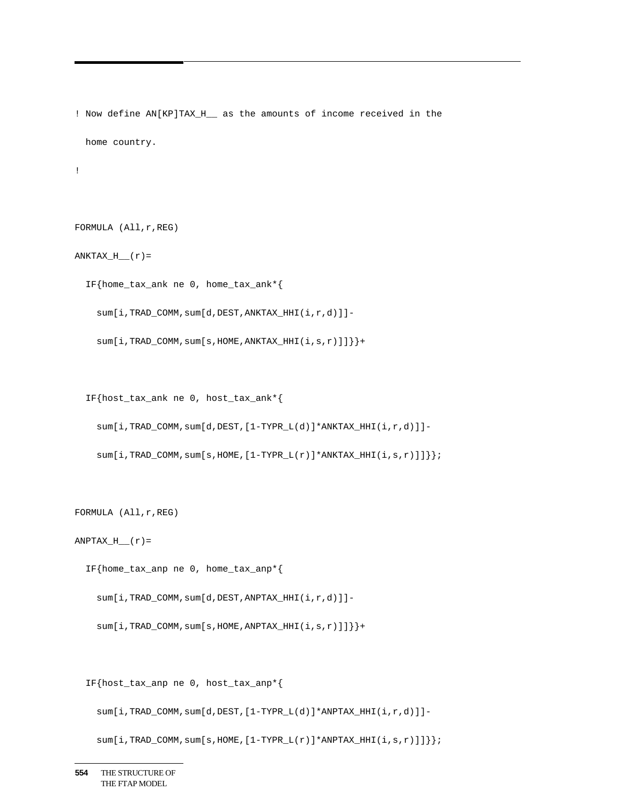! Now define AN[KP]TAX\_H\_\_ as the amounts of income received in the home country.

!

FORMULA (All, r, REG)

 $ANKTAX_H$   $(r)$  =

IF{home\_tax\_ank ne 0, home\_tax\_ank\*{

sum[i,TRAD\_COMM,sum[d,DEST,ANKTAX\_HHI(i,r,d)]]-

 $sum[i,TRAD_COMM,sum[s,HOME,ANKTAX_HHI(i,s,r)]]$ }+

IF{host\_tax\_ank ne 0, host\_tax\_ank\*{

sum[i,TRAD\_COMM,sum[d,DEST,[1-TYPR\_L(d)]\*ANKTAX\_HHI(i,r,d)]]-

 $sum[i,TRAD_COMM,sum[s,HOME, [1-TYPR_L(r)]*ANKTAX_HHI(i,s,r)]]$ 

FORMULA (All,r,REG)

 $ANDTAX_H$   $(r)$  =

IF{home\_tax\_anp ne 0, home\_tax\_anp\*{

sum[i,TRAD\_COMM,sum[d,DEST,ANPTAX\_HHI(i,r,d)]]-

sum[i,TRAD\_COMM,sum[s,HOME,ANPTAX\_HHI(i,s,r)]]}}+

IF{host\_tax\_anp ne 0, host\_tax\_anp\*{

sum[i,TRAD\_COMM,sum[d,DEST,[1-TYPR\_L(d)]\*ANPTAX\_HHI(i,r,d)]]-

 $sum[i,TRAD_COMM,sum[s,HOME, [1-TYPR_L(r)]*ANPTAX_HHI(i,s,r)]]\};$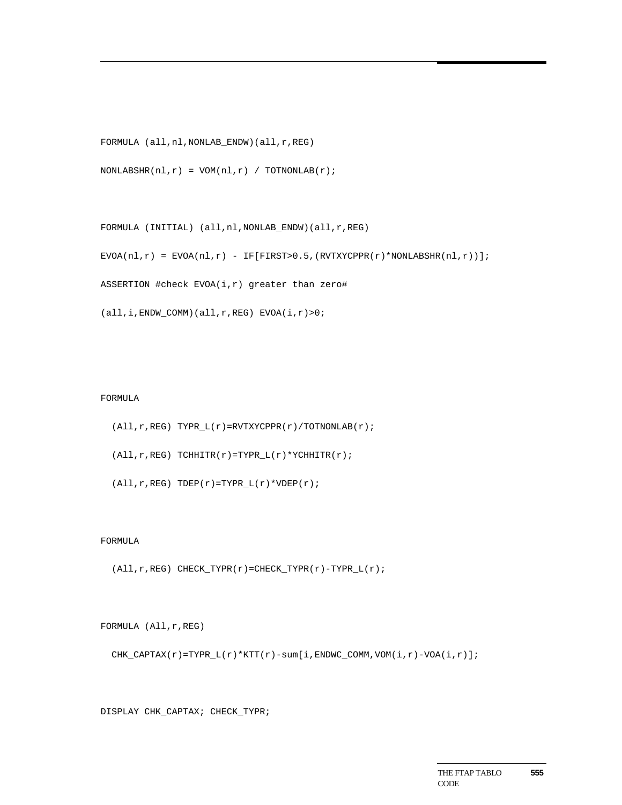```
FORMULA (all,nl,NONLAB_ENDW)(all,r,REG)
```

```
NONLABSHR(n1,r) = VOM(n1,r) / TOTNONLAB(r);
```

```
FORMULA (INITIAL) (all,nl,NONLAB_ENDW)(all,r,REG)
```
 $EVOA(nl,r) = EVOA(nl,r) - IF[FIRST>0.5,(RVTXYCPPR(r)*NONLABSHR(nl,r))]$ 

```
ASSERTION #check EVOA(i,r) greater than zero#
```

```
(all,i,ENDW_COMM)(all,r,REG) EVOA(i,r)>0;
```
### FORMULA

(All,r,REG) TYPR\_L(r)=RVTXYCPPR(r)/TOTNONLAB(r);  $(All,r,REG)$  TCHHITR $(r)$ =TYPR\_L $(r)$ \*YCHHITR $(r)$ ;  $(All,r,REG) TDEP(r)=TYPR_l(r)*VDEP(r);$ 

# FORMULA

 $(All,r,REG)$  CHECK\_TYPR(r)=CHECK\_TYPR(r)-TYPR\_L(r);

FORMULA (All,r,REG)

CHK\_CAPTAX(r)=TYPR\_L(r)\*KTT(r)-sum[i,ENDWC\_COMM,VOM(i,r)-VOA(i,r)];

DISPLAY CHK\_CAPTAX; CHECK\_TYPR;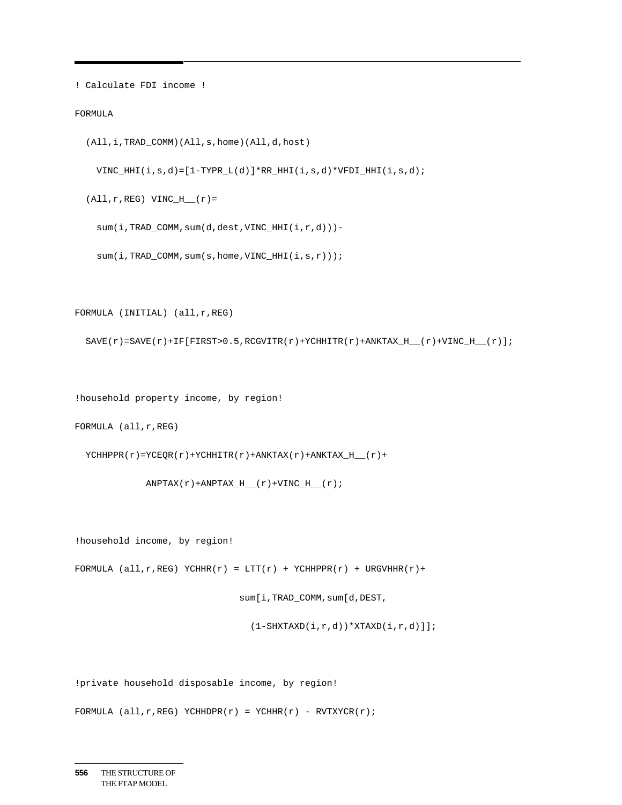! Calculate FDI income !

#### FORMULA

```
 (All,i,TRAD_COMM)(All,s,home)(All,d,host)
```
 $VINC_HHI(i,s,d)=[1-TYPR_L(d)]*RR_HHI(i,s,d)*VFDI_HHI(i,s,d);$ 

 $(All, r, REG)$  VINC\_H\_\_(r)=

```
sum(i,TRAD_COMM,sum(d,dest,VINC_HHI(i,r,d)))-
```

```
 sum(i,TRAD_COMM,sum(s,home,VINC_HHI(i,s,r)));
```
FORMULA (INITIAL) (all,r,REG)

SAVE(r)=SAVE(r)+IF[FIRST>0.5,RCGVITR(r)+YCHHITR(r)+ANKTAX\_H\_\_(r)+VINC\_H\_\_(r)];

!household property income, by region!

FORMULA (all,r,REG)

YCHHPPR( $r$ )=YCEQR( $r$ )+YCHHITR( $r$ )+ANKTAX( $r$ )+ANKTAX\_H\_\_( $r$ )+

```
ANPTAX(r) + ANPTAX_H_{r} (r) + VINC_H_{r} (r);
```
!household income, by region!

```
FORMULA (all,r,REG) YCHHR(r) = LTT(r) + YCHHPPR(r) + URGVHHR(r)+
```
sum[i,TRAD\_COMM,sum[d,DEST,

 $(1-\text{SHXTAXD}(i,r,d))*\text{XTAXD}(i,r,d)]$  ;

!private household disposable income, by region!

FORMULA (all,r,REG) YCHHDPR(r) = YCHHR(r) - RVTXYCR(r);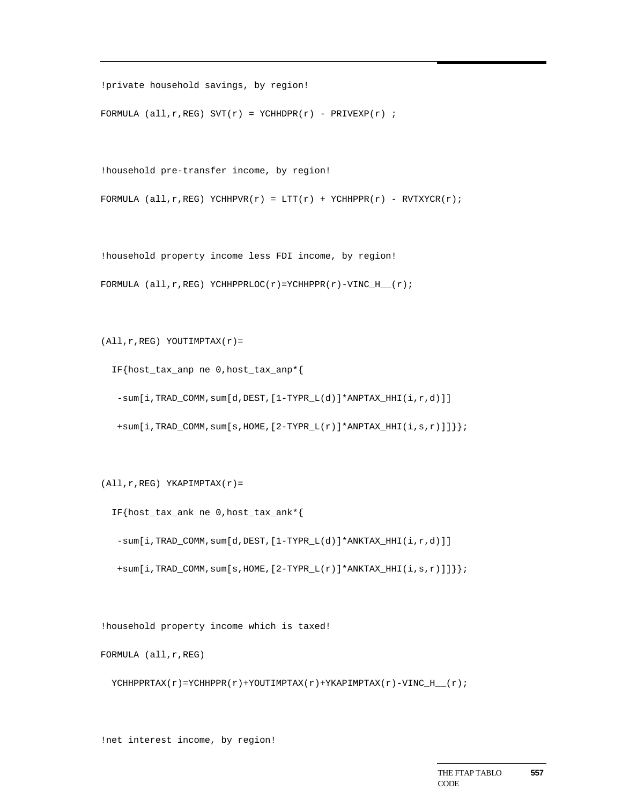```
!private household savings, by region!
FORMULA (all,r,REG) SVT(r) = YCHHDPR(r) - PRIVEXP(r) ;
```
!household pre-transfer income, by region!

```
FORMULA (al,r,REG) YCHHPVR(r) = LTT(r) + YCHHPPR(r) - RVTXYZR(r);
```
!household property income less FDI income, by region!

```
FORMULA (all,r,REG) YCHHPPRLOC(r)=YCHHPPR(r)-VINC_H__(r);
```

```
(All,r,REG) YOUTIMPTAX(r)=
```

```
 IF{host_tax_anp ne 0,host_tax_anp*{
```
-sum[i,TRAD\_COMM,sum[d,DEST,[1-TYPR\_L(d)]\*ANPTAX\_HHI(i,r,d)]]

+sum[i,TRAD\_COMM,sum[s,HOME,[2-TYPR\_L(r)]\*ANPTAX\_HHI(i,s,r)]]}};

```
(All,r,REG) YKAPIMPTAX(r) =
```

```
 IF{host_tax_ank ne 0,host_tax_ank*{
```
-sum[i,TRAD\_COMM,sum[d,DEST,[1-TYPR\_L(d)]\*ANKTAX\_HHI(i,r,d)]]

+sum[i,TRAD\_COMM,sum[s,HOME,[2-TYPR\_L(r)]\*ANKTAX\_HHI(i,s,r)]]}};

!household property income which is taxed!

FORMULA (all,r,REG)

```
YCHHPPRTAX(r)=YCHHPPR(r)+YOUTIMPTAX(r)+YKAPIMPTAX(r)-VINC_H__(r);
```

```
!net interest income, by region!
```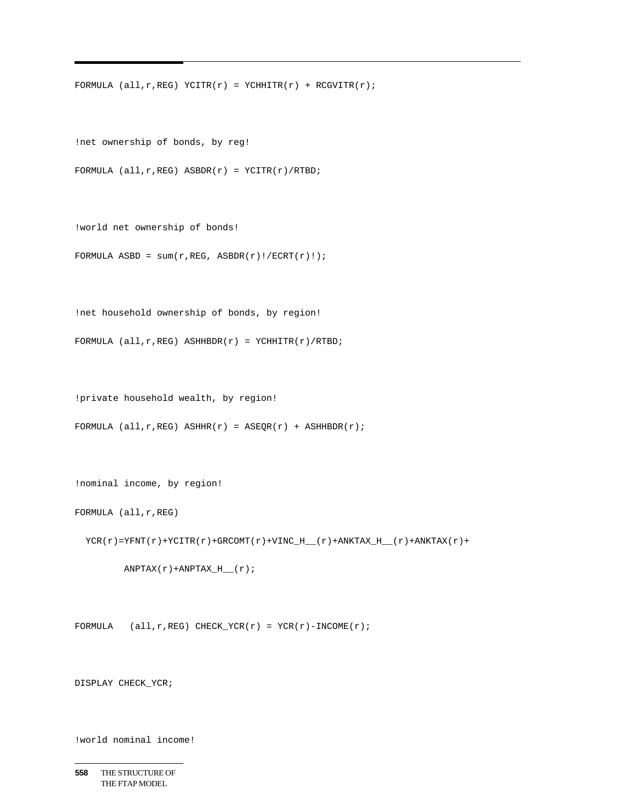FORMULA (all,r,REG) YCITR(r) = YCHHITR(r) + RCGVITR(r);

!net ownership of bonds, by reg!

FORMULA  $(all,r,REG)$  ASBDR $(r)$  = YCITR $(r)/RTBD$ ;

!world net ownership of bonds!

FORMULA ASBD =  $sum(r, REG, ASBDR(r)!/ECRT(r)!);$ 

!net household ownership of bonds, by region! FORMULA (all, $r$ ,REG) ASHHBDR( $r$ ) = YCHHITR( $r$ )/RTBD;

!private household wealth, by region!

FORMULA (all,r,REG) ASHHR(r) =  $ASEQR(r)$  + ASHHBDR(r);

!nominal income, by region!

FORMULA (all,r,REG)

 $\verb|YCR(r)=\verb|YFNT(r)+\verb|YCITR(r)+\verb|GRCOMT(r)+\verb|VINC_H__(r)+\verb|ANTAX_H__(r)+\verb|ANKTAX(r)+\verb|V:UR(r)|)$ 

 $ANPTAX(r) + ANPTAX_H(r);$ 

FORMULA (all,r,REG) CHECK\_YCR(r) = YCR(r)-INCOME(r);

DISPLAY CHECK\_YCR;

!world nominal income!

### **558** THE STRUCTURE OF THE FTAP MODEL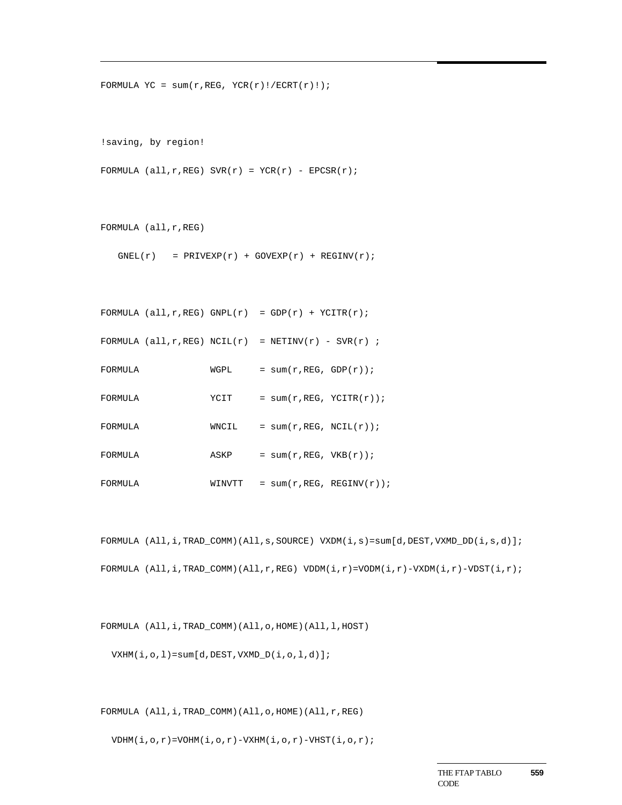```
FORMULA YC = sum(r, REG, YCR(r)!/ECT(r)!);
```
!saving, by region!

FORMULA  $(all,r,REG)$  SVR $(r)$  = YCR $(r)$  - EPCSR $(r)$ ;

```
FORMULA (all,r,REG)
```
GNEL(r) =  $PRIVERP(r)$  + GOVEXP(r) + REGINV(r);

```
FORMULA (all,r,REG) GNPL(r) = GDP(r) + YCITR(r);
```

```
FORMULA (all,r,REG) NCL(r) = NETINV(r) - SVR(r) ;
```

| FORMULA | WGPL | $= sum(r, REG, GDP(r));$ |  |
|---------|------|--------------------------|--|

FORMULA  $YCIT = sum(r, REG, YCITR(r));$ 

FORMULA  $WNCIL = sum(r, REG, NCLL(r));$ 

```
\begin{array}{ccc} \texttt{FORMULA} & \texttt{ASKP} & = \texttt{sum}(\texttt{r},\texttt{REG}, \texttt{VKB}(\texttt{r})); \end{array}
```

```
FORMULA WINTT = sum(r, REG, REGINV(r));
```
FORMULA (All,i,TRAD\_COMM)(All,s,SOURCE) VXDM(i,s)=sum[d,DEST,VXMD\_DD(i,s,d)]; FORMULA (All,i,TRAD\_COMM)(All, $r$ ,REG) VDDM(i, $r$ )=VODM(i, $r$ )-VXDM(i, $r$ )-VDST(i, $r$ );

FORMULA (All,i,TRAD\_COMM)(All,o,HOME)(All,l,HOST)

 $VXHM(i, o, l) = sum[d, DEST, VXMD_D(i, o, l, d)]$ ;

FORMULA (All,i,TRAD\_COMM)(All,o,HOME)(All,r,REG)

 $VDMM(i, o, r) = VOHM(i, o, r) - VXHM(i, o, r) - VHST(i, o, r);$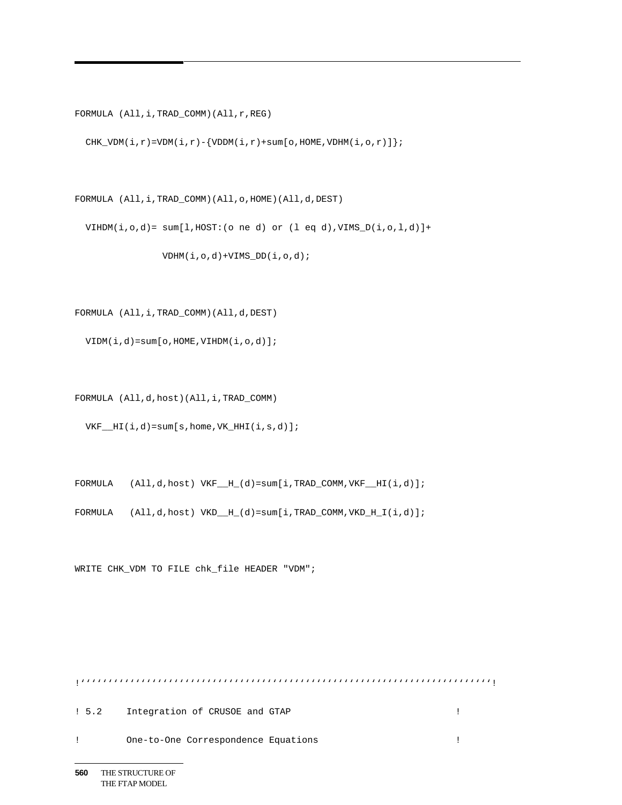```
FORMULA (All, i, TRAD_COMM)(All, r, REG)
```
CHK\_VDM(i,r)=VDM(i,r)- $\{VDDM(i,r)+sum[o,HOME, VDHM(i,o,r)]\}$ ;

FORMULA (All,i,TRAD\_COMM)(All,o,HOME)(All,d,DEST)

VIHDM( $i, o, d$ ) = sum[ $l$ ,HOST:(o ne d) or ( $l$  eq d),VIMS\_D( $i, o, l, d$ )] +

VDHM(i,o,d)+VIMS\_DD(i,o,d);

FORMULA (All,i,TRAD\_COMM)(All,d,DEST)

VIDM(i,d)=sum[o,HOME,VIHDM(i,o,d)];

FORMULA (All,d,host)(All,i,TRAD\_COMM)

```
VKF HI(i,d) = sum [s, home, VK HHI(i,s,d)];
```
FORMULA  $(All,d,host)$  VKF $_H(d)=sum[i,TRAD_COMM, VKF_HI(i,d)]$ ;

FORMULA (All,d,host) VKD\_\_H\_(d)=sum[i,TRAD\_COMM,VKD\_H\_I(i,d)];

WRITE CHK VDM TO FILE chk file HEADER "VDM";

```
!'''''''''''''''''''''''''''''''''''''''''''''''''''''''''''''''''''''''''''!
! 5.2 Integration of CRUSOE and GTAP !
! One-to-One Correspondence Equations !
```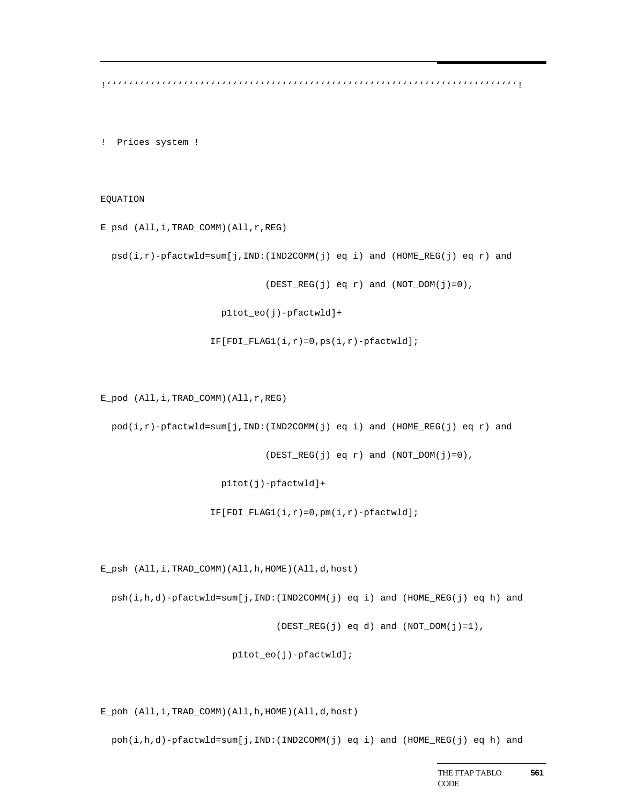!'''''''''''''''''''''''''''''''''''''''''''''''''''''''''''''''''''''''''''!

! Prices system !

EQUATION

E\_psd (All,i,TRAD\_COMM)(All,r,REG)

 $psd(i,r)-pfactwld=sum[j,IND:(IND2COMM(j) eq i) and (HOME\_REG(j) eq r) and$ 

 $(DEF\_REG(j) eq r) and (NOT\_DOM(j)=0),$ 

p1tot\_eo(j)-pfactwld]+

 $IF[FDI_FLAG1(i,r)=0,ps(i,r)-pfactwld];$ 

E\_pod (All,i,TRAD\_COMM)(All,r,REG)

pod(i,r)-pfactwld=sum[j,IND:(IND2COMM(j) eq i) and (HOME\_REG(j) eq r) and

 $(DEF\_REG(j) eq r) and (NOT\_DOM(j)=0),$ 

p1tot(j)-pfactwld]+

 $IF[FDI_FLAG1(i, r) = 0, pm(i, r) - pfactwld];$ 

E\_psh (All,i,TRAD\_COMM)(All,h,HOME)(All,d,host)

psh(i,h,d)-pfactwld=sum[j,IND:(IND2COMM(j) eq i) and (HOME\_REG(j) eq h) and

 $($ DEST\_REG $(j)$  eq d) and  $(NOT\_DOM(j)=1)$ ,

p1tot\_eo(j)-pfactwld];

E\_poh (All,i,TRAD\_COMM)(All,h,HOME)(All,d,host)

poh(i,h,d)-pfactwld=sum[j,IND:(IND2COMM(j) eq i) and (HOME\_REG(j) eq h) and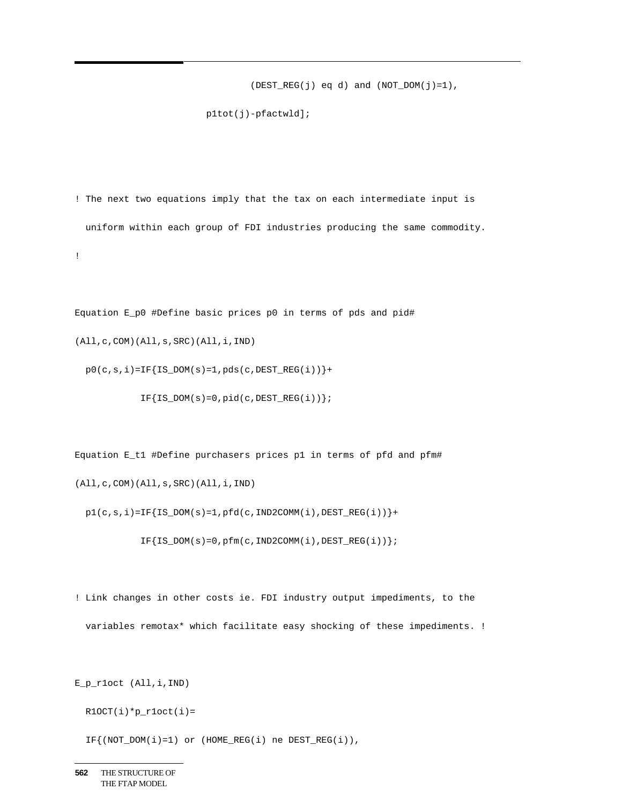$(DEF\_REG(j) eq d) and (NOT\_DOM(j)=1),$ 

```
 p1tot(j)-pfactwld];
```
! The next two equations imply that the tax on each intermediate input is uniform within each group of FDI industries producing the same commodity. !

Equation E\_p0 #Define basic prices p0 in terms of pds and pid#

(All,c,COM)(All,s,SRC)(All,i,IND)

 $p0(c,s,i)=IF{IS\_DOM(s)=1,pds(c,DEST\_REG(i))}$ +

 $IF{IS\_DOM(s)=0,pid(c,DEST\_REG(i))};$ 

Equation E\_t1 #Define purchasers prices p1 in terms of pfd and pfm# (All,c,COM)(All,s,SRC)(All,i,IND)

 $p1(c,s,i)=IF{IS\_DOM(s)=1,pfd(c,IND2COMM(i),DEST\_REG(i))}$ +

 $IF{IS\_DOM(s)=0,pfm(c,IND2COMM(i),DEST\_REG(i))};$ 

! Link changes in other costs ie. FDI industry output impediments, to the variables remotax\* which facilitate easy shocking of these impediments. !

E\_p\_r1oct (All,i,IND)

 $R10CT(i)*p_r10ct(i)=$ 

 $IF{(NOT\_DOM(i)=1)}$  or (HOME\_REG(i) ne DEST\_REG(i)),

**562** THE STRUCTURE OF THE FTAP MODEL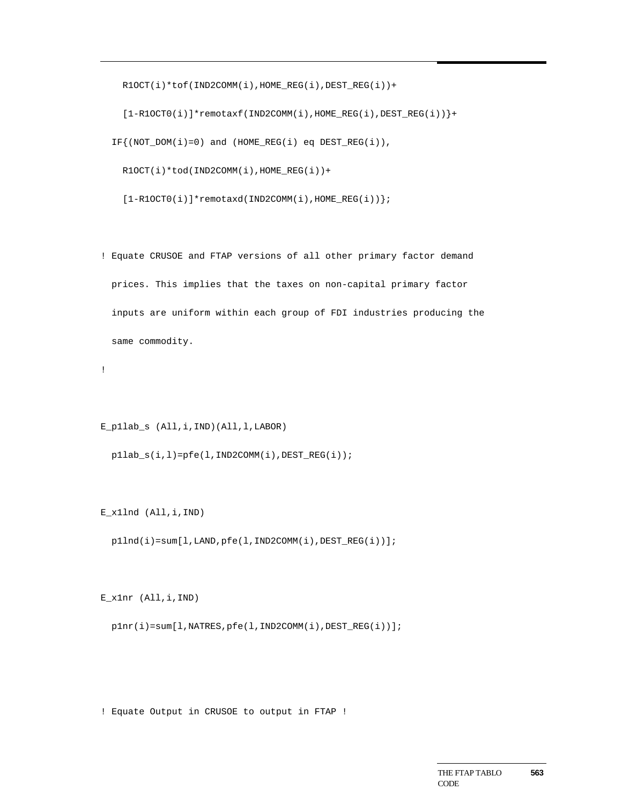```
R10CT(i)*tof(IND2COMM(i),HOME\_REG(i),DEST\_REG(i))+[1-R1OCT0(i)]*remotaxf(IND2COMM(i),HOME\_REG(i),DEST\_REG(i))]+
IF{ (NOT\_DOM(i)=0 )} and (HOME\_REG(i) eq DEST\_REG(i)),
  R1OCT(i)*tod(IND2COMM(i),HOME_REG(i))+
  [1-R1OCT0(i)]*remotaxd(IND2COMM(i),HOME\_REG(i))];
```
! Equate CRUSOE and FTAP versions of all other primary factor demand prices. This implies that the taxes on non-capital primary factor inputs are uniform within each group of FDI industries producing the same commodity.

!

E\_p1lab\_s (All,i,IND)(All,l,LABOR)

p1lab\_s(i,l)=pfe(l,IND2COMM(i),DEST\_REG(i));

E\_x1lnd (All,i,IND)

p1lnd(i)=sum[l,LAND,pfe(l,IND2COMM(i),DEST\_REG(i))];

E\_x1nr (All,i,IND)

p1nr(i)=sum[l,NATRES,pfe(l,IND2COMM(i),DEST\_REG(i))];

! Equate Output in CRUSOE to output in FTAP !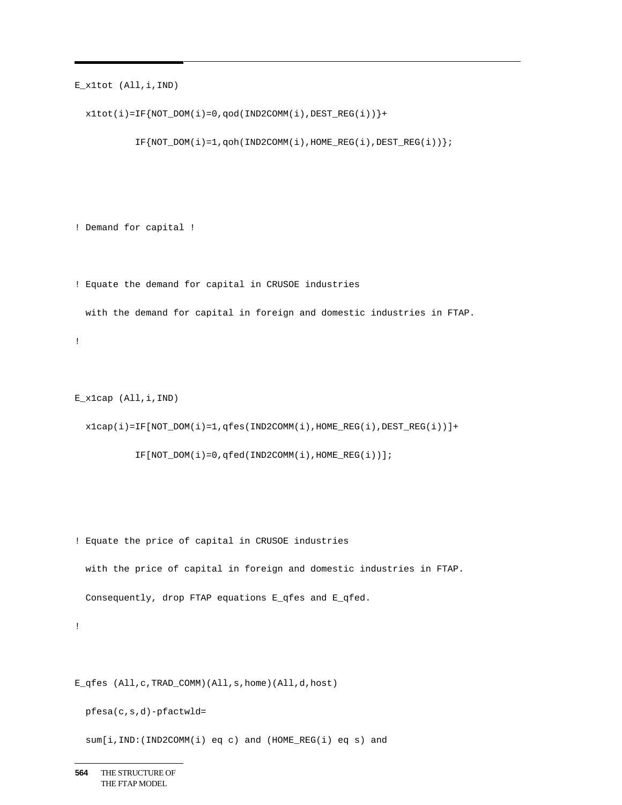```
E_x1tot (All,i,IND)
```

```
x1tot(i)=IF{NOT\_DOM(i)=0, qod(IND2COMM(i),DEST\_REG(i))}+
```
 $IF{NOT\_DOM(i)=1,qoh(IND2COMM(i),HOME\_REG(i),DEST\_REG(i))};$ 

! Demand for capital !

! Equate the demand for capital in CRUSOE industries

with the demand for capital in foreign and domestic industries in FTAP.

!

E\_x1cap (All,i,IND)

 $x1cap(i)=IF[NOT\_DOM(i)=1,qfes(IND2COMM(i),HOME\_REG(i),DEST\_REG(i))] +$ 

IF[NOT\_DOM(i)=0,qfed(IND2COMM(i),HOME\_REG(i))];

! Equate the price of capital in CRUSOE industries

with the price of capital in foreign and domestic industries in FTAP.

Consequently, drop FTAP equations E\_qfes and E\_qfed.

!

E\_qfes (All,c,TRAD\_COMM)(All,s,home)(All,d,host)

pfesa(c,s,d)-pfactwld=

sum[i,IND:(IND2COMM(i) eq c) and (HOME\_REG(i) eq s) and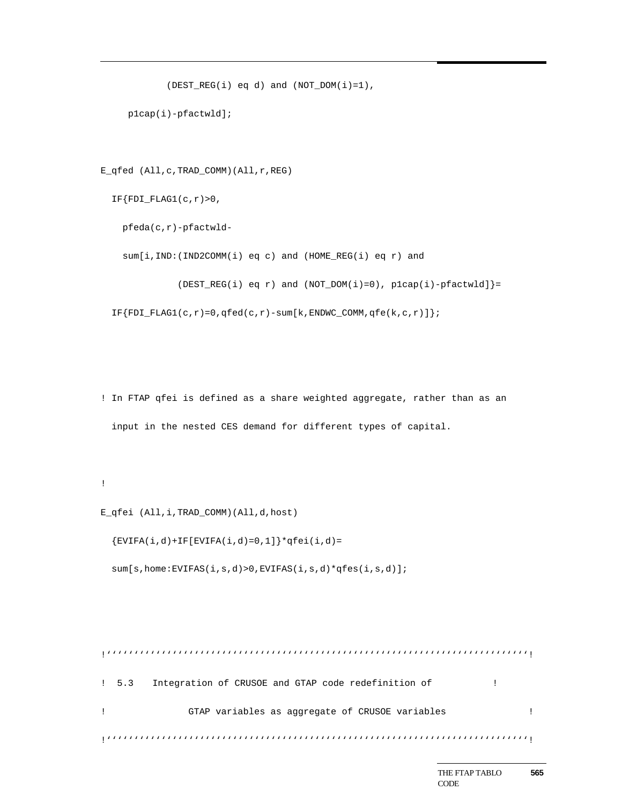```
 (DEST_REG(i) eq d) and (NOT_DOM(i)=1),
      p1cap(i)-pfactwld];
E_qfed (All,c,TRAD_COMM)(All,r,REG)
  IF{FDI_FLAG1(c,r)>0},
    pfeda(c,r)-pfactwld-
     sum[i,IND:(IND2COMM(i) eq c) and (HOME_REG(i) eq r) and
              (DEF\_REG(i) eq r) and (NOT\_DOM(i)=0), place(i)-pfactwld]IF{FDI_FLAG1(c,r)=0, qfed(c,r)-sum[k,ENDWC_COMM,qfe(k,c,r)]};
```
! In FTAP qfei is defined as a share weighted aggregate, rather than as an input in the nested CES demand for different types of capital.

```
!
```

```
E_qfei (All,i,TRAD_COMM)(All,d,host)
```
 ${\texttt{EVIFA}(i,d)+\texttt{IF}[EVIFA(i,d)=0,1]}$ \*qfei(i,d)=

sum[s,home:EVIFAS(i,s,d)>0,EVIFAS(i,s,d)\*qfes(i,s,d)];

```
!'''''''''''''''''''''''''''''''''''''''''''''''''''''''''''''''''''''''''''''!
! 5.3 Integration of CRUSOE and GTAP code redefinition of !
! GTAP variables as aggregate of CRUSOE variables !
!'''''''''''''''''''''''''''''''''''''''''''''''''''''''''''''''''''''''''''''!
```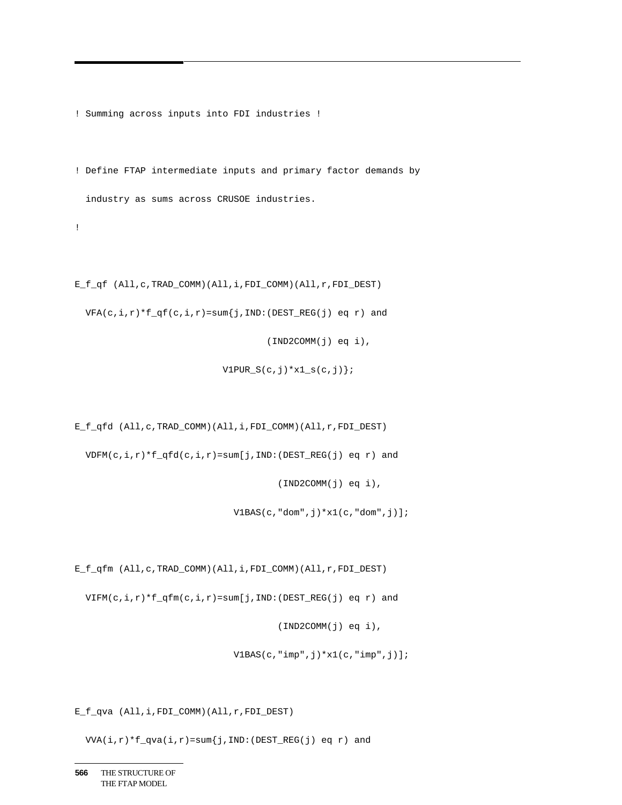! Summing across inputs into FDI industries !

! Define FTAP intermediate inputs and primary factor demands by industry as sums across CRUSOE industries.

!

E\_f\_qf (All,c,TRAD\_COMM)(All,i,FDI\_COMM)(All,r,FDI\_DEST)

 $VFA(c,i,r)*f_qf(c,i,r)=sum{j,IND:(DEF_REG(j) eq r) and}$ 

(IND2COMM(j) eq i),

 $V1$ PUR $_S(c,j) * x1_s(c,j)$ ;

E\_f\_qfd (All,c,TRAD\_COMM)(All,i,FDI\_COMM)(All,r,FDI\_DEST)

 $VDFM(c,i,r)*f_qfd(c,i,r)=sum[j,IND:(DEST\_REG(j) eq r) and$ 

(IND2COMM(j) eq i),

V1BAS(c,"dom",j)\*x1(c,"dom",j)];

E\_f\_qfm (All,c,TRAD\_COMM)(All,i,FDI\_COMM)(All,r,FDI\_DEST)

VIFM(c,i,r)\*f\_qfm(c,i,r)=sum[j,IND:(DEST\_REG(j) eq r) and

(IND2COMM(j) eq i),

 $V1BAS(c, "imp", j)*x1(c, "imp", j)]$ ;

E\_f\_qva (All,i,FDI\_COMM)(All,r,FDI\_DEST)

 $VVA(i,r)*f_qva(i,r)=sum{j,IND:(DEF_REG(j) eq r) and}$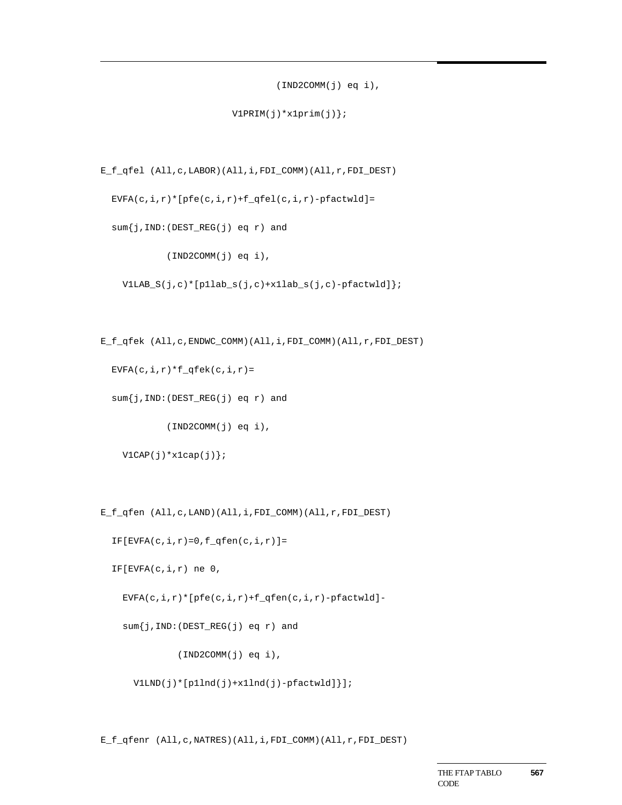```
 (IND2COMM(j) eq i),
```

```
 V1PRIM(j)*x1prim(j)};
```
E\_f\_qfel (All,c,LABOR)(All,i,FDI\_COMM)(All,r,FDI\_DEST)

 $EVFA(c,i,r)*(pfe(c,i,r)+f_qfel(c,i,r)-pfactwld]=$ 

sum{j,IND:(DEST\_REG(j) eq r) and

(IND2COMM(j) eq i),

V1LAB\_S(j,c)\*[p1lab\_s(j,c)+x1lab\_s(j,c)-pfactwld]};

E\_f\_qfek (All,c,ENDWC\_COMM)(All,i,FDI\_COMM)(All,r,FDI\_DEST)

 $EVFA(c,i,r)*f_qfek(c,i,r)=$ 

sum{j,IND:(DEST\_REG(j) eq r) and

(IND2COMM(j) eq i),

```
V1CAP(j)*x1cap(j)};
```
E\_f\_qfen (All,c,LAND)(All,i,FDI\_COMM)(All,r,FDI\_DEST)

IF[EVFA(c,i,r)=0,f\_qfen(c,i,r)]=

 $IF[EVFA(c,i,r)$  ne 0,

 $EVFA(c,i,r)*(pfe(c,i,r)+f_qfen(c,i,r)-pfactwld]-$ 

sum{j,IND:(DEST\_REG(j) eq r) and

(IND2COMM(j) eq i),

V1LND(j)\*[p1lnd(j)+x1lnd(j)-pfactwld]}];

E\_f\_qfenr (All,c,NATRES)(All,i,FDI\_COMM)(All,r,FDI\_DEST)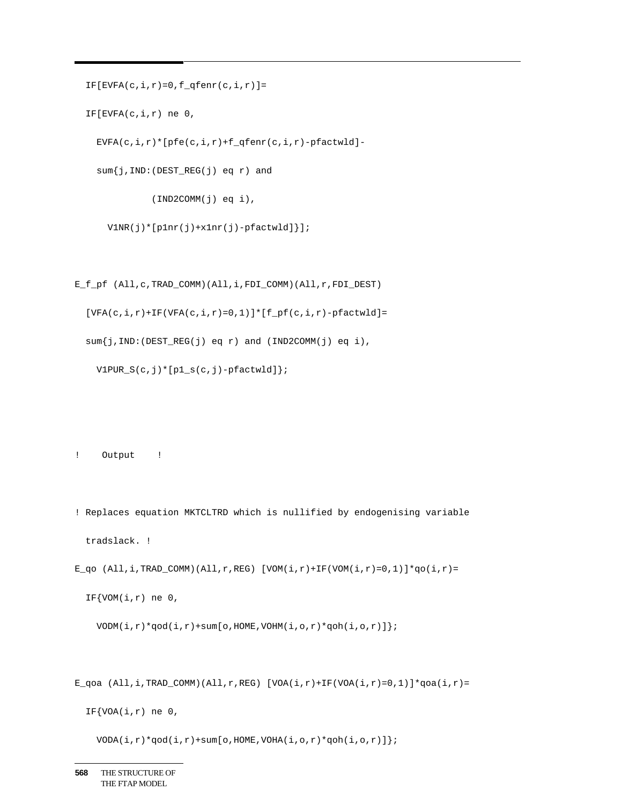```
IF[EVFA(c,i,r)=0,f_qfenr(c,i,r)]=
```

```
IF[EVFA(c,i,r) ne 0,
```
 $EVFA(c,i,r)*(pfe(c,i,r)+f_qfenn(c,i,r)-pfactwld]-$ 

sum{j,IND:(DEST\_REG(j) eq r) and

(IND2COMM(j) eq i),

```
 V1NR(j)*[p1nr(j)+x1nr(j)-pfactwld]}];
```
E\_f\_pf (All,c,TRAD\_COMM)(All,i,FDI\_COMM)(All,r,FDI\_DEST)

 $[VFA(c,i,r)+IF(VFA(c,i,r)=0,1)]*[f_pr(c,i,r)-pfactwld]=$ 

sum{j,IND:(DEST\_REG(j) eq r) and (IND2COMM(j) eq i),

 $V1PUR_S(c,j)*(p1_s(c,j)-pfactwld]$ ;

! Output !

```
! Replaces equation MKTCLTRD which is nullified by endogenising variable
  tradslack. !
```
E\_qo (All,i,TRAD\_COMM)(All, $r$ ,REG) [VOM(i, $r$ )+IF(VOM(i, $r$ )=0,1)]\*qo(i, $r$ )=

 $IF{VOM(i,r)}$  ne 0,

VODM(i,r)\*qod(i,r)+sum[o,HOME,VOHM(i,o,r)\*qoh(i,o,r)]};

E\_qoa (All,i,TRAD\_COMM)(All,r,REG) [VOA(i,r)+IF(VOA(i,r)=0,1)]\*qoa(i,r)=

 $IF{VOA(i,r)}$  ne 0,

 $VODA(i,r)*qod(i,r)+sum[o,HOME,VOHA(i,o,r)*qoh(i,o,r)]$ ;

**568** THE STRUCTURE OF THE FTAP MODEL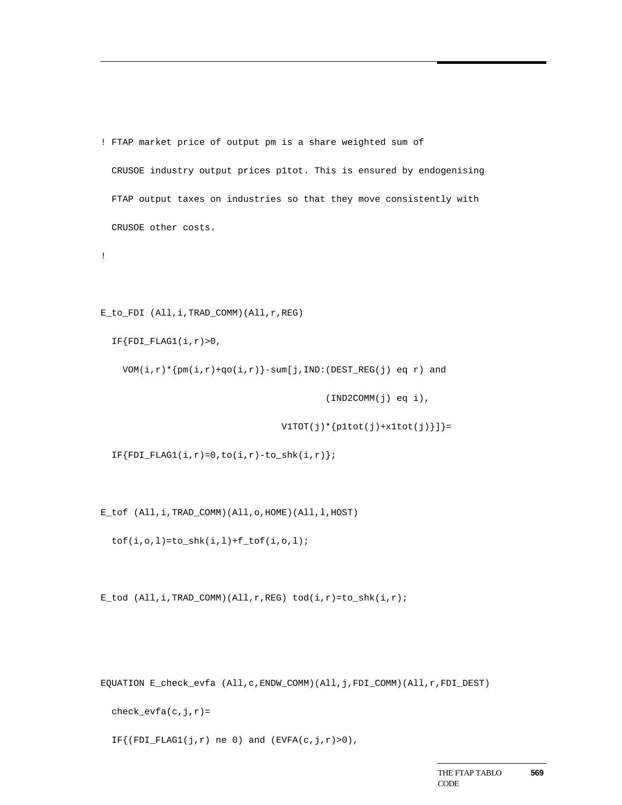! FTAP market price of output pm is a share weighted sum of CRUSOE industry output prices p1tot. This is ensured by endogenising FTAP output taxes on industries so that they move consistently with CRUSOE other costs.

```
!
```

```
E_to_FDI (All,i,TRAD_COMM)(All,r,REG)
```

```
IF{FDI_FLAG1(i,r)>0},
```
 $VOM(i,r)*{pm(i,r)+qo(i,r)}$ -sum[j,IND:(DEST\_REG(j) eq r) and

(IND2COMM(j) eq i),

 $V1TOT(j)*{p1tot(j)+x1tot(j)}$ ] =

 $IF{FDI_FLAG1(i,r)=0, to(i,r)-to\_shk(i,r)};$ 

E\_tof (All,i,TRAD\_COMM)(All,o,HOME)(All,l,HOST)

 $\text{tof}(i, o, l) = \text{to\_shk}(i, l) + \text{f\_tof}(i, o, l);$ 

 $E_t$ tod (All,i,TRAD\_COMM)(All,r,REG) tod(i,r)=to\_shk(i,r);

EQUATION E\_check\_evfa (All,c,ENDW\_COMM)(All,j,FDI\_COMM)(All,r,FDI\_DEST)

 $check\_evfa(c,j,r)=$ 

 $IF{(FDI_FLAG1(j,r) ne 0) and (EVFA(c,j,r)>0)},$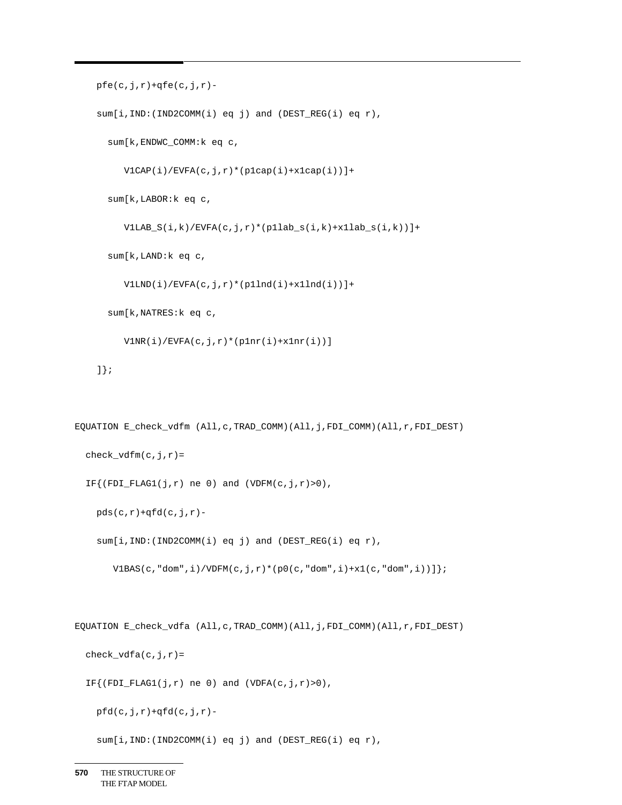```
pfe(c,j,r)+qfe(c,j,r)- sum[i,IND:(IND2COMM(i) eq j) and (DEST_REG(i) eq r),
       sum[k,ENDWC_COMM:k eq c,
         V1CAP(i)/EVFA(c,j,r)*(p1cap(i)+x1cap(i)) +
       sum[k,LABOR:k eq c,
         V1LAB_S(i,k)/EVFA(c,j,r)*(p1lab_s(i,k)+x1lab_s(i,k)) +
       sum[k,LAND:k eq c,
         V1LND(i)/EVFA(c,j,r)*(p1Ind(i)+x1Ind(i))]+ sum[k,NATRES:k eq c,
         V1NR(i)/EVFA(c,j,r)*(p1nr(i)+x1nr(i))] ]};
EQUATION E_check_vdfm (All,c,TRAD_COMM)(All,j,FDI_COMM)(All,r,FDI_DEST)
  check_vdfm(c,j,r)=IF{(FDI_FLAG1(j,r) ne 0) and (VDFM(c,j,r)>0)},
    pds(c,r)+qfd(c,j,r)- sum[i,IND:(IND2COMM(i) eq j) and (DEST_REG(i) eq r),
       V1BAS(c, "dom", i) / VDFM(c, j, r) * (p0(c, "dom", i) + x1(c, "dom", i)))];
EQUATION E_check_vdfa (All,c,TRAD_COMM)(All,j,FDI_COMM)(All,r,FDI_DEST)
  check_vdfa(c,j,r)=
```

```
IF{(FDI_FLAG1(j,r) ne 0) and (VDFA(c,j,r)>0)},
```

```
pfd(c,j,r)+qfd(c,j,r)-
```
sum[i,IND:(IND2COMM(i) eq j) and (DEST\_REG(i) eq r),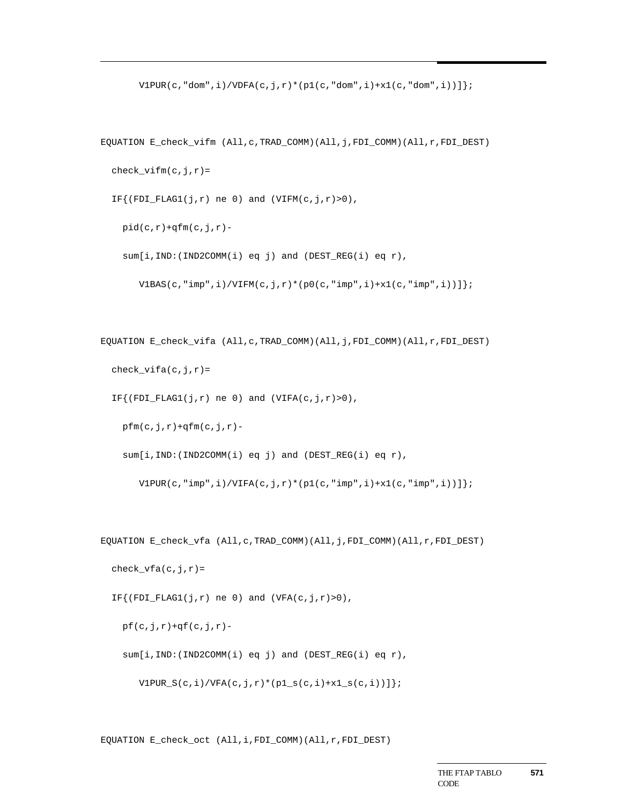$V1PUR(c, "dom", i) / VDFA(c, j, r) * (p1(c, "dom", i) + x1(c, "dom", i)))]$ ;

```
EQUATION E_check_vifm (All,c,TRAD_COMM)(All,j,FDI_COMM)(All,r,FDI_DEST)
  check_vifm(c,j,r)=IF{(FDI_FLAG1(j,r) ne 0) and (VIFM(c,j,r)>0)},pid(c,r)+qfm(c,j,r)- sum[i,IND:(IND2COMM(i) eq j) and (DEST_REG(i) eq r),
      V1BAS(c,"imp",i)/VIFM(c,j,r)*(p0(c,"imp",i)+x1(c,"imp",i))]};
```
EQUATION E\_check\_vifa (All,c,TRAD\_COMM)(All,j,FDI\_COMM)(All,r,FDI\_DEST)

```
check_vifa(c,j,r)=IF{(FDI_FLAG1(j,r) ne 0) and (VIFA(c,j,r)>0)},
```

```
pfm(c,j,r)+qfm(c,j,r)-
```
sum[i,IND:(IND2COMM(i) eq j) and (DEST\_REG(i) eq r),

 $V1PUR(c, "imp", i) / VIFA(c, j, r) * (p1(c, "imp", i) + x1(c, "imp", i))]\};$ 

```
EQUATION E_check_vfa (All,c,TRAD_COMM)(All,j,FDI_COMM)(All,r,FDI_DEST)
 check_vfa(c,j,r)=IF{(FDI_FLAG1(j,r) ne 0) and (VFA(c,j,r)>0)},
   pf(c,j,r)+qf(c,j,r)- sum[i,IND:(IND2COMM(i) eq j) and (DEST_REG(i) eq r),
```
EQUATION E\_check\_oct (All,i,FDI\_COMM)(All,r,FDI\_DEST)

 $V1PUR_S(c,i)/VFA(c,j,r)*(p1_s(c,i)+x1_s(c,i))]$ ;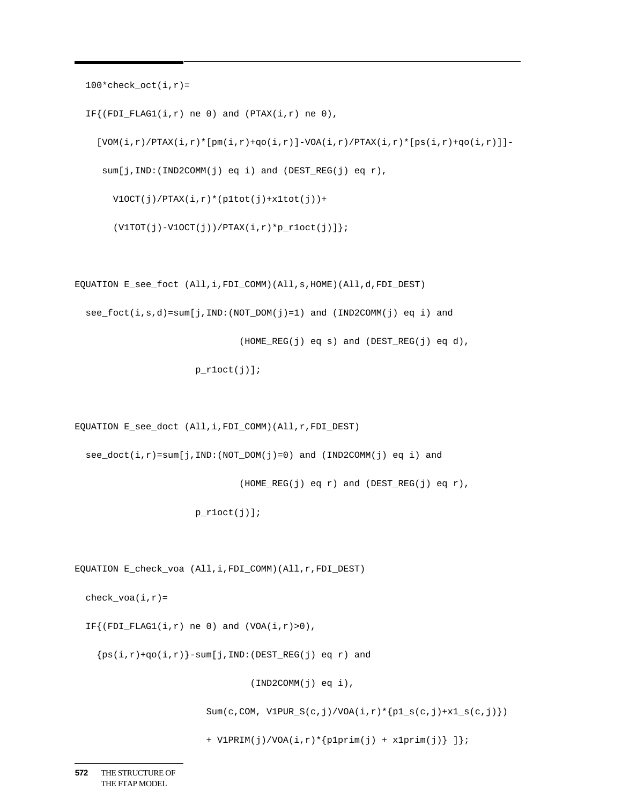```
100*check_oct(i,r)=
```

```
IF{(FDI_FLAG1(i,r) ne 0) and (PTAX(i,r) ne 0)},
```

```
[VOM(i,r)/PTAX(i,r)*(pm(i,r)+qo(i,r)]-VOA(i,r)/PTAX(i,r)*(ps(i,r)+qo(i,r))]]
```
sum[j,IND:(IND2COMM(j) eq i) and (DEST\_REG(j) eq r),

V1OCT(j)/PTAX(i,r)\*(p1tot(j)+x1tot(j))+

```
(V1TOT(j)-V1OCT(j))/PTAX(i,r)*p_r1oct(j)];
```

```
EQUATION E_see_foct (All,i,FDI_COMM)(All,s,HOME)(All,d,FDI_DEST)
```
see\_foct(i,s,d)=sum[j,IND:(NOT\_DOM(j)=1) and (IND2COMM(j) eq i) and

(HOME\_REG(j) eq s) and (DEST\_REG(j) eq d),

 $p\_r1oct(j)]$ ;

EQUATION E\_see\_doct (All,i,FDI\_COMM)(All,r,FDI\_DEST)

 $see\_doct(i,r)=sum[j,IND:(NOT\_DOM(j)=0)$  and  $(IND2COMM(j)$  eq i) and

(HOME\_REG(j) eq r) and (DEST\_REG(j) eq r),

 $p\_r1oct(j)]$ ;

EQUATION E\_check\_voa (All,i,FDI\_COMM)(All,r,FDI\_DEST)

```
check_voa(i,r)=
```
 $IF {(FDI_FLAG1(i,r) ne 0) and (VOA(i,r)>0),}$ 

 ${ps(i,r)+qo(i,r)}$ -sum[j,IND:(DEST\_REG(j) eq r) and

(IND2COMM(j) eq i),

Sum(c,COM, V1PUR\_S(c,j)/VOA(i,r)\*{ $p1_s(c,j)+x1_s(c,j)$ })

+ V1PRIM(j)/VOA(i,r)\*{p1prim(j) + x1prim(j)} ]};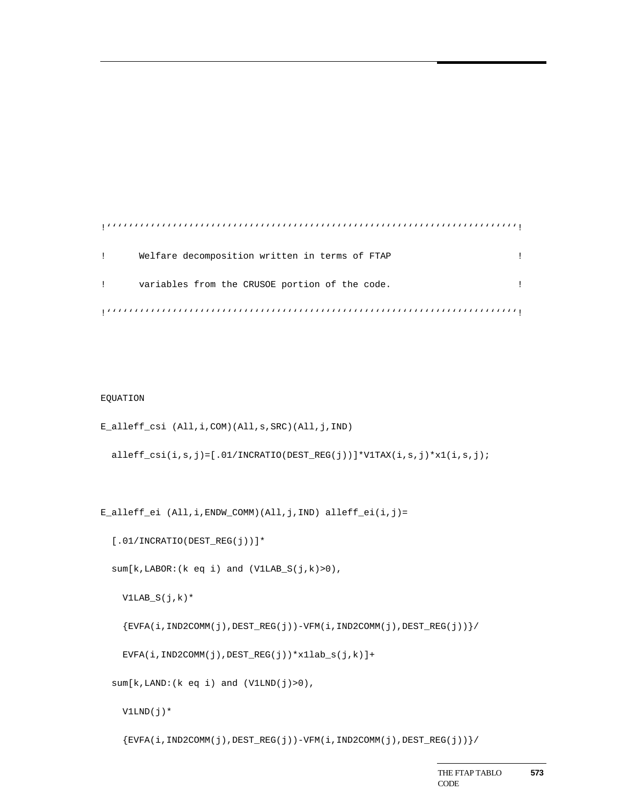```
!'''''''''''''''''''''''''''''''''''''''''''''''''''''''''''''''''''''''''''!
! Welfare decomposition written in terms of FTAP !
! variables from the CRUSOE portion of the code. !
!'''''''''''''''''''''''''''''''''''''''''''''''''''''''''''''''''''''''''''!
```
## EQUATION

```
E_alleff_csi (All,i,COM)(All,s,SRC)(All,j,IND)
```

```
alleff_csi(i,s,j)=[.01/INCRATIO(DEST_REG(j))] * VITAX(i,s,j) *x1(i,s,j);
```

```
E_alleff_ei (All,i,ENDW_COMM)(All,j,IND) alleff_ei(i,j)=
```

```
 [.01/INCRATIO(DEST_REG(j))]*
```
sum[k,LABOR:(k eq i) and (VlLAB\_S(j,k)>0),

 $V1LAB_S(j,k)*$ 

 ${EVFA(i,IND2COMM(j),DEST\_REG(j))}$ -VFM(i,IND2COMM(j),DEST\_REG(j))}/

```
 EVFA(i,IND2COMM(j),DEST_REG(j))*x1lab_s(j,k)]+
```

```
sum[k,LAND:(k eq i) and (VlLND(j)>0),
```
 $V1LND(j)*$ 

 $\{EVFA(i,IND2COMM(j),DEST\_REG(j))\}-VFM(i,IND2COMM(j),DEST\_REG(j))\}/$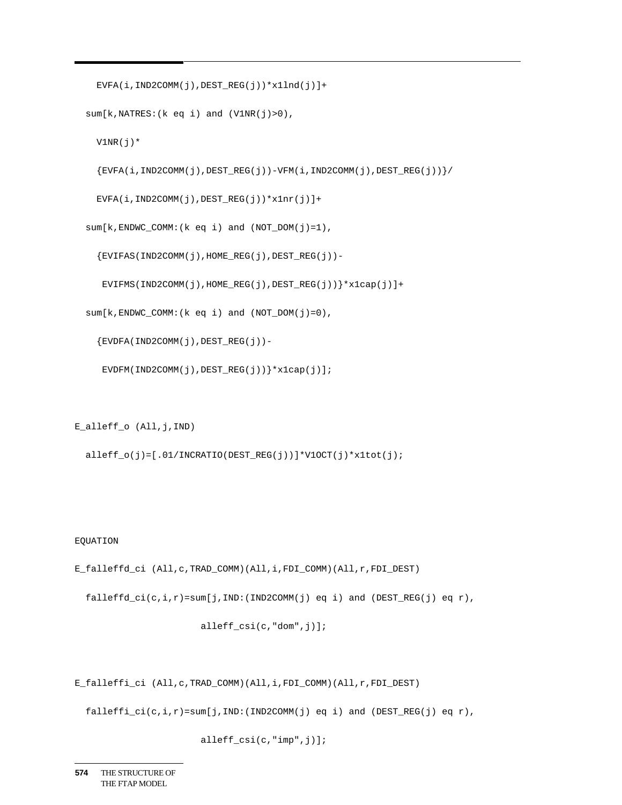```
 EVFA(i,IND2COMM(j),DEST_REG(j))*x1lnd(j)]+
```
sum[k,NATRES:(k eq i) and (V1NR(j)>0),

 $V1NR(j)*$ 

 $\{EVFA(i,IND2COMM(j),DEST\_REG(j))\}-VFM(i,IND2COMM(j),DEST\_REG(j))\}/$ 

EVFA(i,IND2COMM(j),DEST\_REG(j))\*x1nr(j)]+

sum[k,ENDWC\_COMM:(k eq i) and (NOT\_DOM(j)=1),

 ${EVIFAS(IND2COMM(j),HOME\_REG(j),DEST\_REG(j))}$  -

EVIFMS(IND2COMM(j),HOME\_REG(j),DEST\_REG(j))}\*x1cap(j)]+

sum[k,ENDWC\_COMM:(k eq i) and (NOT\_DOM(j)=0),

 ${EVDFA(IND2COMM(j),DEST\_REG(j))}$  -

EVDFM(IND2COMM(j),DEST\_REG(j))}\*x1cap(j)];

E\_alleff\_o (All,j,IND)

alleff\_o(j)=[.01/INCRATIO(DEST\_REG(j))]\*V1OCT(j)\*x1tot(j);

#### EQUATION

E\_falleffd\_ci (All,c,TRAD\_COMM)(All,i,FDI\_COMM)(All,r,FDI\_DEST)

 $falleffd_ci(c,i,r)=sum[j,IND:(IND2COMM(j) eq i) and (DEST\_REG(j) eq r),$ 

alleff\_csi(c,"dom",j)];

E\_falleffi\_ci (All,c,TRAD\_COMM)(All,i,FDI\_COMM)(All,r,FDI\_DEST)

falleffi\_ci(c,i,r)=sum[j,IND:(IND2COMM(j) eq i) and (DEST\_REG(j) eq r),

alleff\_csi(c,"imp",j)];

**574** THE STRUCTURE OF THE FTAP MODEL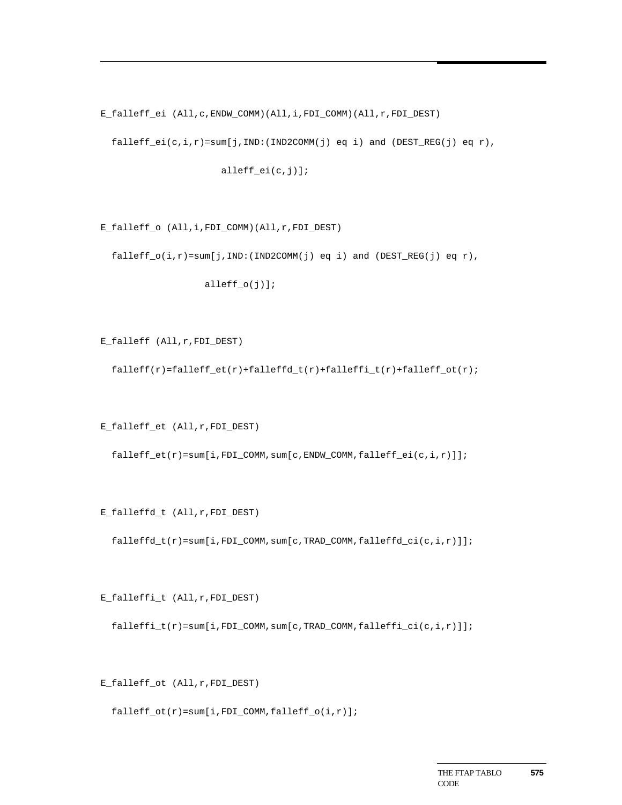E\_falleff\_ei (All,c,ENDW\_COMM)(All,i,FDI\_COMM)(All,r,FDI\_DEST)

 $falleff_ei(c,i,r)=sum[j,IND:(IND2COMM(j) eq i) and (DEST\_REG(j) eq r),$ 

alleff\_ei(c,j)];

E\_falleff\_o (All,i,FDI\_COMM)(All,r,FDI\_DEST)

 $falleff_o(i,r)=sum[j,IND:(IND2COMM(j) eq i) and (DEST\_REG(j) eq r),$ 

alleff\_o(j)];

E\_falleff (All,r,FDI\_DEST)

 $falleff(r)=falleff-et(r)+falleffd_t(r)+falleffif_t(r)+falleff_olt(r);$ 

E\_falleff\_et (All,r,FDI\_DEST)

 $falleff_et(r)=sum[i,FDI_COMM,sum[c,ENDW_COMM,falleff_ei(c,i,r)]];$ 

E\_falleffd\_t (All,r,FDI\_DEST)

falleffd\_t(r)=sum[i,FDI\_COMM,sum[c,TRAD\_COMM,falleffd\_ci(c,i,r)]];

E\_falleffi\_t (All,r,FDI\_DEST)

falleffi\_t(r)=sum[i,FDI\_COMM,sum[c,TRAD\_COMM,falleffi\_ci(c,i,r)]];

E\_falleff\_ot (All,r,FDI\_DEST)

 $falletf_{ot}(r)=sum[i,FDI_{COMM},falseff_{o}(i,r)]$ ;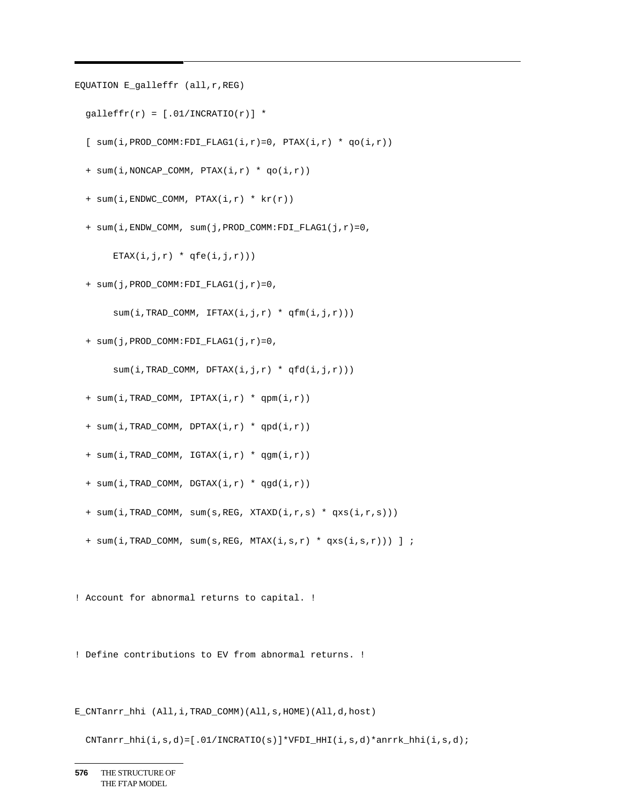```
EQUATION E galleffr (all,r,REG)
```

```
qalleff(r) = [.01/INCRATION(r)] *
```
 $[$  sum(i,PROD COMM:FDI FLAG1(i,r)=0, PTAX(i,r) \* qo(i,r))

+ sum(i,NONCAP\_COMM, PTAX(i,r) \* qo(i,r))

+ sum(i,ENDWC\_COMM, PTAX(i,r) \* kr(r))

+ sum(i,ENDW\_COMM, sum(j,PROD\_COMM:FDI\_FLAG1(j,r)=0,

 $ETAX(i,j,r) * qfe(i,j,r))$ 

+ sum(j,PROD\_COMM:FDI\_FLAG1(j,r)=0,

 $sum(i, TRAD_COMM, IFTAX(i,j,r) * qfm(i,j,r)))$ 

+ sum(j,PROD\_COMM:FDI\_FLAG1(j,r)=0,

 $sum(i,TRAD_COMM, DFTAX(i,j,r) * qfd(i,j,r)))$ 

- + sum(i,TRAD\_COMM, IPTAX(i,r) \* qpm(i,r))
- + sum(i,TRAD\_COMM, DPTAX(i,r) \* qpd(i,r))
- + sum(i,TRAD\_COMM, IGTAX(i,r) \* qgm(i,r))
- + sum(i,TRAD\_COMM, DGTAX(i,r) \* qgd(i,r))
- + sum(i,TRAD\_COMM, sum(s,REG, XTAXD(i,r,s) \* qxs(i,r,s)))
- + sum(i,TRAD\_COMM, sum(s,REG, MTAX(i,s,r) \* qxs(i,s,r))) ] ;

! Account for abnormal returns to capital. !

! Define contributions to EV from abnormal returns. !

E\_CNTanrr\_hhi (All,i,TRAD\_COMM)(All,s,HOME)(All,d,host)

 $\texttt{CNTanrr\_hhi}(i,s,d)$ =[.01/INCRATIO(s)]\*VFDI\_HHI(i,s,d)\*anrrk\_hhi(i,s,d);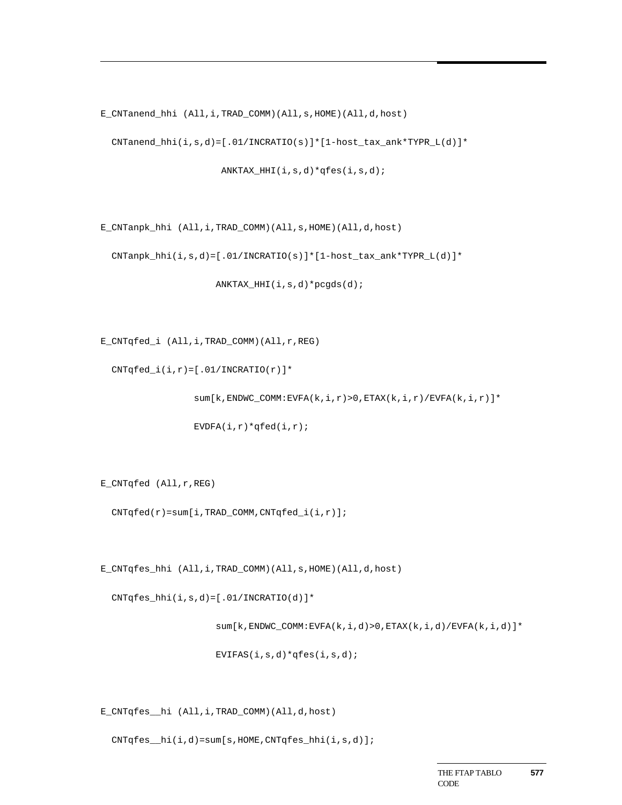E\_CNTanend\_hhi (All,i,TRAD\_COMM)(All,s,HOME)(All,d,host)

 $CNTanend_hhi(i,s,d)=[.01/INCRATIO(s)]*[1-host_tax_ank*TYPR_L(d)]*$ 

ANKTAX\_HHI(i,s,d)\*qfes(i,s,d);

E\_CNTanpk\_hhi (All,i,TRAD\_COMM)(All,s,HOME)(All,d,host)

 $C\text{NTanpk\_hhi}(i,s,d)=[.01/INCRATIO(s)]*[1-host\_tax\_ank*TYPR_L(d)]*$ 

ANKTAX\_HHI(i,s,d)\*pcgds(d);

E\_CNTqfed\_i (All,i,TRAD\_COMM)(All,r,REG)

 $CNTqfed_i(i,r)=[.01/INCRATION(c)]*$ 

 $sum[k,ENDWC_COMM:EVFA(k,i,r)>0,ETAX(k,i,r)/EVFA(k,i,r)]*$ 

 $EVDFA(i,r)*qfed(i,r);$ 

E\_CNTqfed (All,r,REG)

CNTqfed(r)=sum[i,TRAD\_COMM,CNTqfed\_i(i,r)];

E\_CNTqfes\_hhi (All,i,TRAD\_COMM)(All,s,HOME)(All,d,host)

 $CNTqfes_hhi(i,s,d)=[.01/INCRATIO(d)]*$ 

sum[k,ENDWC\_COMM:EVFA(k,i,d)>0,ETAX(k,i,d)/EVFA(k,i,d)]\*

 $EVIFAS(i,s,d)*qfes(i,s,d);$ 

E\_CNTqfes\_\_hi (All,i,TRAD\_COMM)(All,d,host)

CNTqfes\_\_hi(i,d)=sum[s,HOME,CNTqfes\_hhi(i,s,d)];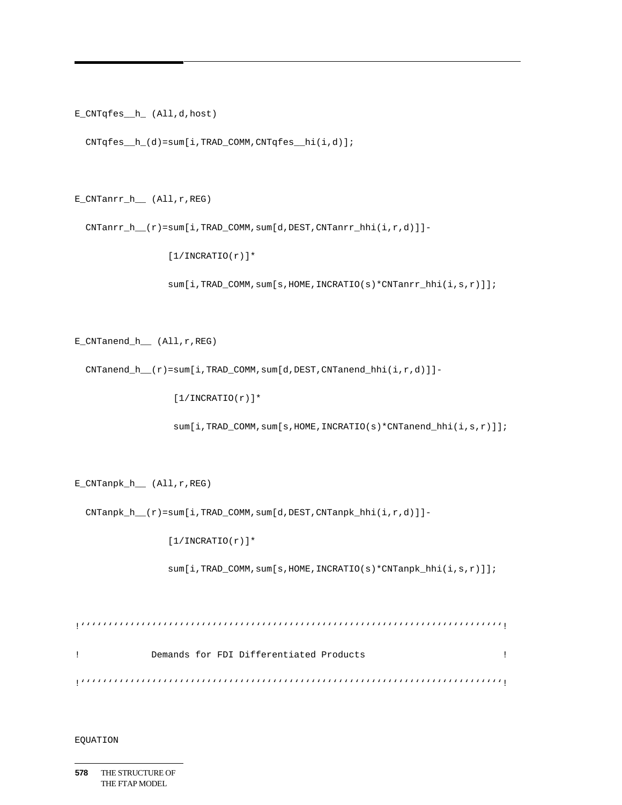E\_CNTqfes\_\_h\_ (All,d,host)

CNTqfes  $h$  (d)=sum[i,TRAD COMM,CNTqfes  $hi(i,d)$ ];

E\_CNTanrr\_h\_\_ (All,r,REG)

 $C\text{NTanrr}\_h$  (r)=sum[i,TRAD\_COMM,sum[d,DEST,CNTanrr\_hhi(i,r,d)]]-

 $[1/INCRATION()$ 

sum[i,TRAD\_COMM,sum[s,HOME,INCRATIO(s)\*CNTanrr\_hhi(i,s,r)]];

E\_CNTanend\_h\_\_ (All, r, REG)

 $CNTanend_h_{r}(r)=sum[i,TRAD_COMM,sum[d,DEST,CNTanend_hhi(i,r,d)]$ ]-

 $[1/INCRATION])$ \*

sum[i,TRAD\_COMM,sum[s,HOME,INCRATIO(s)\*CNTanend\_hhi(i,s,r)]];

E\_CNTanpk\_h\_\_ (All, r, REG)

 $CNTanpk_h_(r)=sum[i,TRAD_COMM,sum[d,DEST,CNTanpk_hhi(i,r,d)]]$ 

 $[1/INCRATION()$ <sup>\*</sup>

sum[i,TRAD\_COMM,sum[s,HOME,INCRATIO(s)\*CNTanpk\_hhi(i,s,r)]];

!'''''''''''''''''''''''''''''''''''''''''''''''''''''''''''''''''''''''''''''! ! Demands for FDI Differentiated Products ! !'''''''''''''''''''''''''''''''''''''''''''''''''''''''''''''''''''''''''''''!

EQUATION

**578** THE STRUCTURE OF THE FTAP MODEL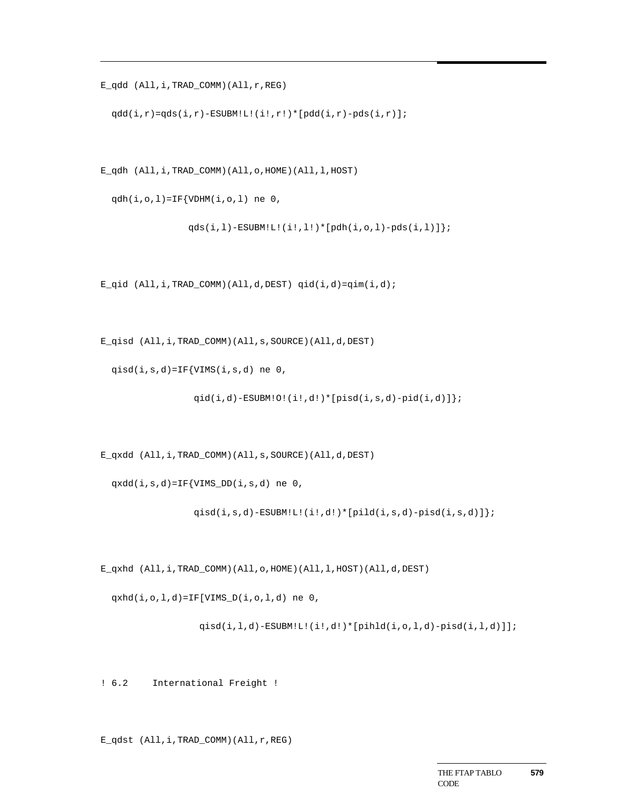E\_qdd (All,i,TRAD\_COMM)(All,r,REG)

 $qdd(i,r)=qds(i,r)-ESUBM!L!(i!,r!)*[pdd(i,r)-pds(i,r)];$ 

E\_qdh (All,i,TRAD\_COMM)(All,o,HOME)(All,l,HOST)

 $qdh(i, o, l) = IF\{VDHM(i, o, l)$  ne 0,

 $qds(i,l) - ESUBM!L!(i!,l!)*[pdh(i,o,l)-pds(i,l)]};$ 

E\_qid (All,i,TRAD\_COMM)(All,d,DEST) qid(i,d)=qim(i,d);

E\_qisd (All,i,TRAD\_COMM)(All,s,SOURCE)(All,d,DEST)

qisd(i,s,d)=IF{VIMS(i,s,d) ne  $0$ ,

 $qid(i,d)$ -ESUBM! $0!$  $(i!,d!)$ \*[ $pisd(i,s,d)$ - $pid(i,d)]$ ;

E\_qxdd (All,i,TRAD\_COMM)(All,s,SOURCE)(All,d,DEST)

 $qxdd(i,s,d)=IF{VIMS_DD(i,s,d)}$  ne 0,

qisd(i,s,d)-ESUBM!L!(i!,d!)\*[pild(i,s,d)-pisd(i,s,d)]};

E\_qxhd (All,i,TRAD\_COMM)(All,o,HOME)(All,l,HOST)(All,d,DEST)

 $qxhd(i, o, l, d) = IF[VIMS_D(i, o, l, d) ne 0,$ 

qisd(i,l,d)-ESUBM!L!(i!,d!)\*[pihld(i,o,l,d)-pisd(i,l,d)]];

! 6.2 International Freight !

E\_qdst (All,i,TRAD\_COMM)(All,r,REG)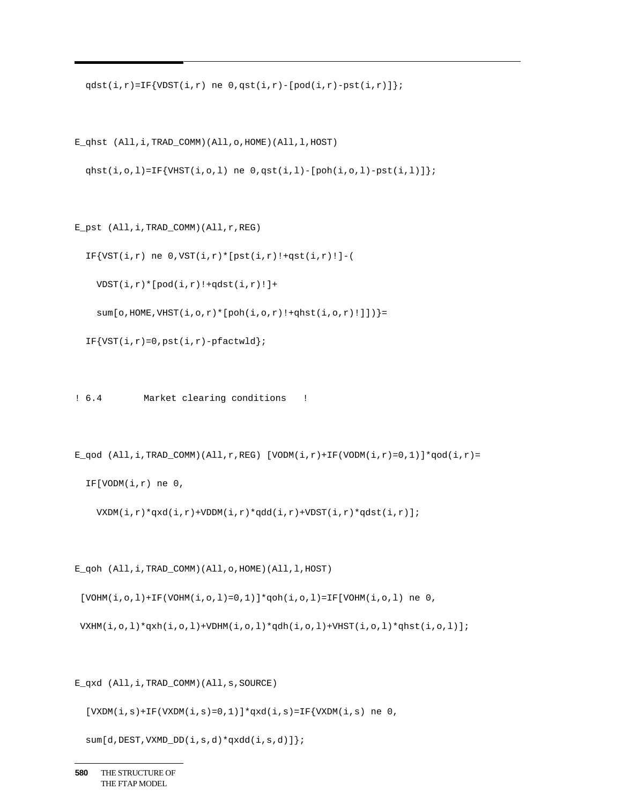```
qdst(i,r)=IF{VDST(i,r) ne 0, qst(i,r)-[pod(i,r)-pst(i,r)]};
```
E qhst (All,i,TRAD COMM)(All,o,HOME)(All,l,HOST)

qhst(i,o,l)=IF{VHST(i,o,l) ne  $0, qst(i,l)$ -[poh(i,o,l)-pst(i,l)]};

E\_pst (All,i,TRAD\_COMM)(All,r,REG)

 $IF{VST(i,r) ne 0, VST(i,r)*[pst(i,r)!+qst(i,r)!]-(}$ 

 $VDST(i,r)*(pod(i,r)!+qdst(i,r)!]+$ 

 $sum[o,HOME, VHST(i,o,r)*[poh(i,o,r)!+qhst(i,o,r)!]]]\}$ 

IF $\{VST(i,r)=0,pst(i,r)-pfactwld\}$ ;

! 6.4 Market clearing conditions !

E\_qod (All,i,TRAD\_COMM)(All,r,REG) [VODM(i,r)+IF(VODM(i,r)=0,1)]\*qod(i,r)=

IF[VODM(i,r) ne 0,

VXDM(i,r)\*qxd(i,r)+VDDM(i,r)\*qdd(i,r)+VDST(i,r)\*qdst(i,r)];

E\_qoh (All,i,TRAD\_COMM)(All,o,HOME)(All,l,HOST)

 $[VOHM(i, o, l) + IF(VOHM(i, o, l) = 0, 1)] * qoh(i, o, l) = IF[VOHM(i, o, l) ne 0,$ 

 $VXHM(i,0,1)*qxh(i,0,1)+VDHM(i,0,1)*qdh(i,0,1)+VHST(i,0,1)*qhst(i,0,1)]$ ;

E\_qxd (All,i,TRAD\_COMM)(All,s,SOURCE)

 $[VXDM(i,s)+IF(VXDM(i,s)=0,1)]*qxd(i,s)=IF{VXDM(i,s)}$  ne 0,

sum[d,DEST,VXMD\_DD(i,s,d)\*qxdd(i,s,d)]};

**580** THE STRUCTURE OF THE FTAP MODEL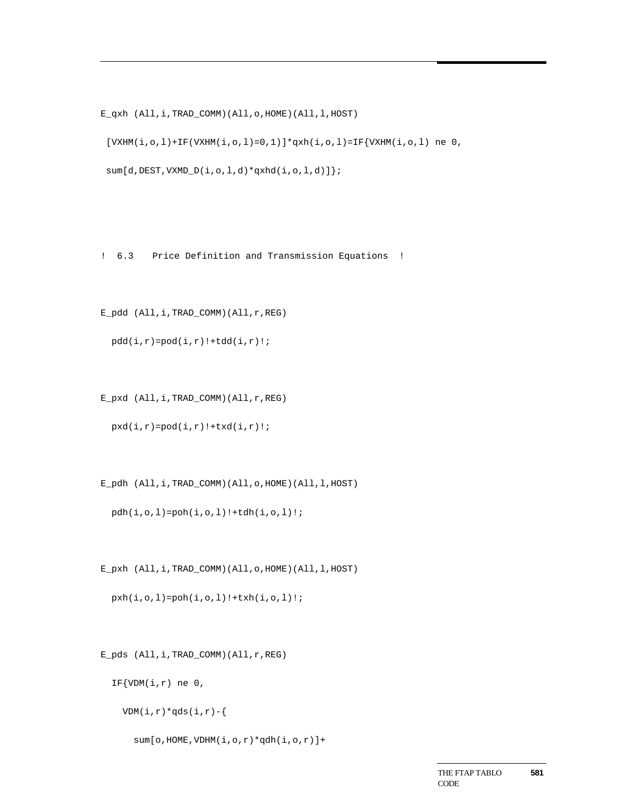E\_qxh (All,i,TRAD\_COMM)(All,o,HOME)(All,l,HOST)

 $[VXHM(i,0,1)+IF(VXHM(i,0,1)=0,1)]*qxh(i,0,1)=IF{VXHM(i,0,1)}$  ne 0,

 $sum[d,$  DEST, VXMD\_D(i,o,l,d)\*qxhd(i,o,l,d)]};

! 6.3 Price Definition and Transmission Equations !

E\_pdd (All,i,TRAD\_COMM)(All,r,REG)

 $pdd(i,r)=pod(i,r)!+tdd(i,r)!;$ 

E\_pxd (All,i,TRAD\_COMM)(All,r,REG)

```
pxd(i,r)=pod(i,r)!+txd(i,r)!;
```
E\_pdh (All,i,TRAD\_COMM)(All,o,HOME)(All,l,HOST)

 $pdh(i, o, l) = poh(i, o, l)! +tdh(i, o, l)$ 

E\_pxh (All,i,TRAD\_COMM)(All,o,HOME)(All,l,HOST)

 $pxh(i, o, l) = poh(i, o, l)! + txh(i, o, l)$ 

E\_pds (All,i,TRAD\_COMM)(All,r,REG)

 $IF{VDM(i,r)}$  ne 0,

VDM $(i,r)*qds(i,r)-$ 

 $sum[o, HOME, VDHM(i, o, r)*qdh(i, o, r)] +$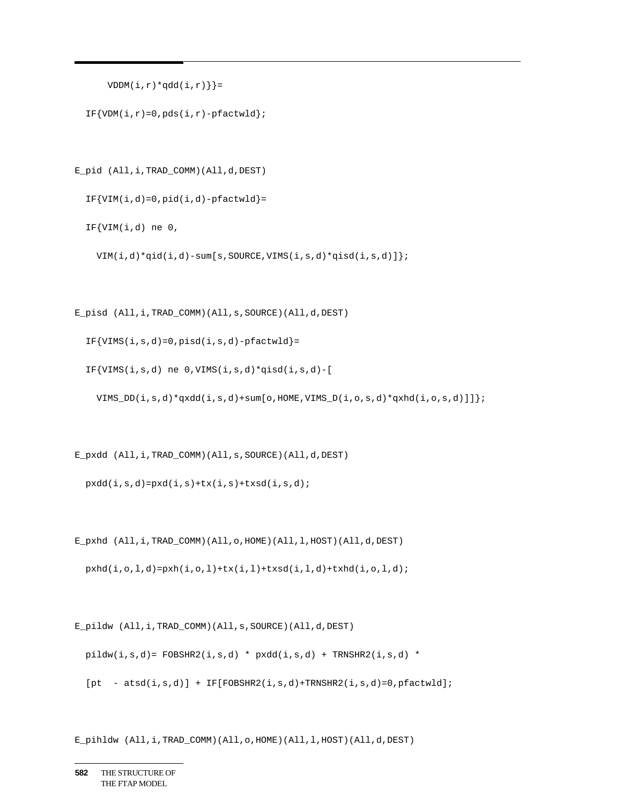```
\texttt{VDDM}(\texttt{i},\texttt{r}) * \texttt{qdd}(\texttt{i},\texttt{r}) \: \} \: \} =
```

```
IF{VDM(i,r)=0,pds(i,r)-pfactwld};
```
E\_pid (All,i,TRAD\_COMM)(All,d,DEST)

 $IF{VIM(i,d)=0,pid(i,d)-pfactwld}$ 

IF{VIM(i,d) ne 0,

VIM(i,d)\*qid(i,d)-sum[s,SOURCE,VIMS(i,s,d)\*qisd(i,s,d)]};

E\_pisd (All,i,TRAD\_COMM)(All,s,SOURCE)(All,d,DEST)

```
IF{VIMS(i,s,d)=0,pisd(i,s,d)-pfactwld}
```
IF{VIMS(i,s,d) ne 0,VIMS(i,s,d)\*qisd(i,s,d)-[

VIMS\_DD(i,s,d)\* $qxdd(i,s,d)+sum[o,HOME, VIMS_D(i,o,s,d)*qxhd(i,o,s,d)]$ };

E\_pxdd (All,i,TRAD\_COMM)(All,s,SOURCE)(All,d,DEST)

 $pxdd(i,s,d)=pxd(i,s)+tx(i,s)+txsd(i,s,d);$ 

E\_pxhd (All,i,TRAD\_COMM)(All,o,HOME)(All,l,HOST)(All,d,DEST)

 $pxhd(i, o, l, d) = pxh(i, o, l) + tx(i, l) + txsd(i, l, d) + txhd(i, o, l, d);$ 

E\_pildw (All,i,TRAD\_COMM)(All,s,SOURCE)(All,d,DEST)

 $pildw(i,s,d) = FOBSHR2(i,s,d) * pxdd(i,s,d) + TRNSHR2(i,s,d) *$ 

 $[pt - atsd(i,s,d)] + IF[FOBSHR2(i,s,d)+TRNSHR2(i,s,d)=0,pfactwld];$ 

E\_pihldw (All,i,TRAD\_COMM)(All,o,HOME)(All,l,HOST)(All,d,DEST)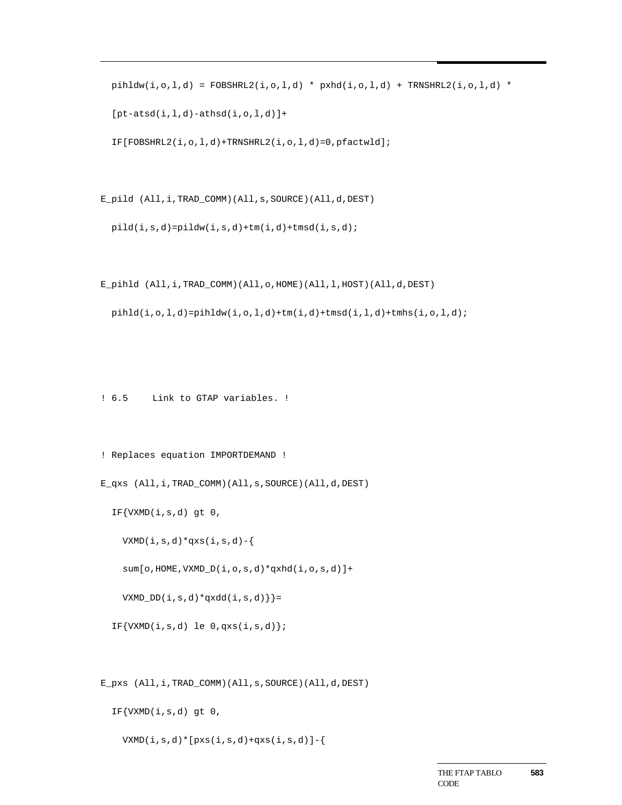```
pihldw(i,0,1,d) = FOBSHRL2(i,0,1,d) * pxhd(i,0,1,d) + TRNSHRL2(i,0,1,d) *[pt-atsd(i,l,d)-athsd(i,o,l,d)]+
```
IF[FOBSHRL2(i,o,l,d)+TRNSHRL2(i,o,l,d)=0,pfactwld];

E\_pild (All,i,TRAD\_COMM)(All,s,SOURCE)(All,d,DEST)

 $pild(i,s,d)=pildw(i,s,d)+tm(i,d)+tmsd(i,s,d);$ 

E\_pihld (All,i,TRAD\_COMM)(All,o,HOME)(All,l,HOST)(All,d,DEST)

 $pihd(i,o,l,d)=pihldw(i,o,l,d)+tm(i,d)+tmsd(i,l,d)+tmhs(i,o,l,d);$ 

! 6.5 Link to GTAP variables. !

! Replaces equation IMPORTDEMAND !

E\_qxs (All,i,TRAD\_COMM)(All,s,SOURCE)(All,d,DEST)

 $IF{VXMD(i,s,d)$  gt  $0$ ,

VXMD(i,s,d)\*qxs(i,s,d)-{

sum[o,HOME,VXMD\_D(i,o,s,d)\*qxhd(i,o,s,d)]+

 $VXMD\_DD(i,s,d)*qxdd(i,s,d)] =$ 

 $IF{VXMD(i,s,d) le 0,qxs(i,s,d)};$ 

E\_pxs (All,i,TRAD\_COMM)(All,s,SOURCE)(All,d,DEST)

 $IF{VXMD(i,s,d)$  gt  $0$ ,

 $VXMD(i,s,d)*(pxs(i,s,d)+qxs(i,s,d)]-{}$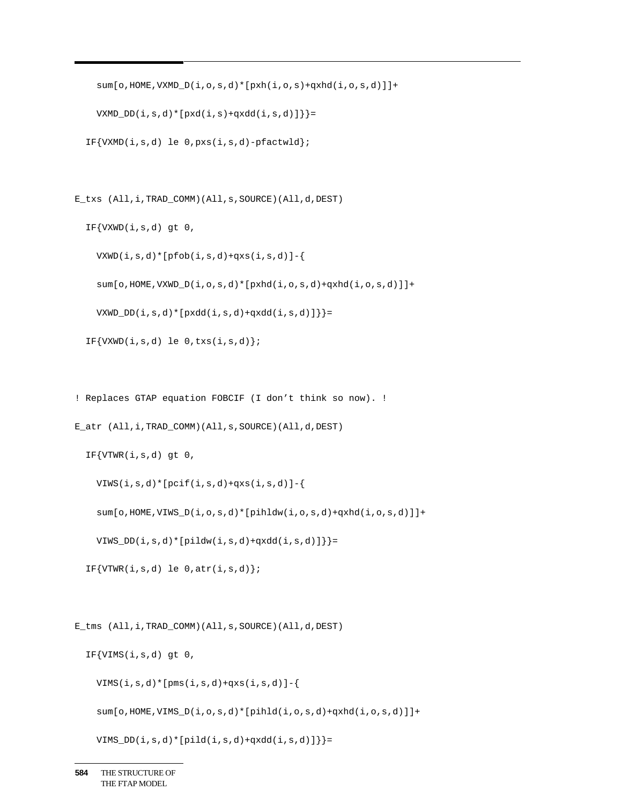```
sum[o,HOME,VXMD_D(i,o,s,d)*(pxh(i,o,s)+qxhd(i,o,s,d))]VXMD_DD(i,s,d)*(pxd(i,s)+qxdd(i,s,d)] =
IF{VXMD(i,s,d) le 0, pxs(i,s,d)-pfactwld};
```

```
E_txs (All,i,TRAD_COMM)(All,s,SOURCE)(All,d,DEST)
```

```
IF{VXWD(i,s,d) gt 0,
```
VXWD(i,s,d)\*[pfob(i,s,d)+qxs(i,s,d)]-{

sum[o,HOME,VXWD\_D(i,o,s,d)\*[pxhd(i,o,s,d)+qxhd(i,o,s,d)]]+

```
VXWD\_DD(i,s,d)*(pxdd(i,s,d)+qxdd(i,s,d)]}
```

```
IF{VXWD(i,s,d) le 0,txs(i,s,d)};
```
! Replaces GTAP equation FOBCIF (I don't think so now). !

```
E_atr (All,i,TRAD_COMM)(All,s,SOURCE)(All,d,DEST)
```

```
IF{VTWR(i,s,d) gt 0},
```

```
VIWS(i,s,d)*[pcif(i,s,d)+qxs(i,s,d)]-{
```
sum[o,HOME,VIWS\_D(i,o,s,d)\*[pihldw(i,o,s,d)+qxhd(i,o,s,d)]]+

VIWS\_DD( $i$ ,s,d)\*[pildw( $i$ ,s,d)+qxdd( $i$ ,s,d)]}}=

```
IF{VTWR(i,s,d) le 0, atr(i,s,d)};
```

```
E_tms (All,i,TRAD_COMM)(All,s,SOURCE)(All,d,DEST)
```

```
IF{VIMS(i,s,d) gt 0}
```

```
 VIMS(i,s,d)*[pms(i,s,d)+qxs(i,s,d)]-{
```
sum[o,HOME,VIMS\_D(i,o,s,d)\*[pihld(i,o,s,d)+qxhd(i,o,s,d)]]+

```
VIMS_DD(i, s, d) * [pid(i, s, d) + qxdd(i, s, d)]} =
```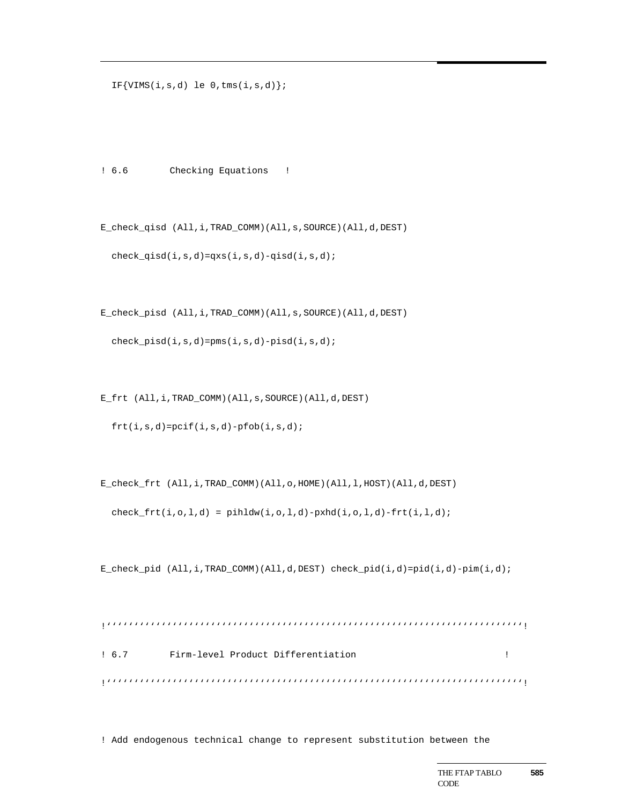```
IF{VIMS(i,s,d) le 0, tms(i,s,d)};
```
! 6.6 Checking Equations !

E\_check\_qisd (All,i,TRAD\_COMM)(All,s,SOURCE)(All,d,DEST)

check\_qisd(i,s,d)=qxs(i,s,d)-qisd(i,s,d);

E\_check\_pisd (All,i,TRAD\_COMM)(All,s,SOURCE)(All,d,DEST)

check\_pisd(i,s,d)=pms(i,s,d)-pisd(i,s,d);

E\_frt (All,i,TRAD\_COMM)(All,s,SOURCE)(All,d,DEST)

 $frt(i,s,d)=\text{pcif}(i,s,d)-\text{pfob}(i,s,d);$ 

E\_check\_frt (All,i,TRAD\_COMM)(All,o,HOME)(All,l,HOST)(All,d,DEST)

check\_frt(i,o,l,d) = pihldw(i,o,l,d)-pxhd(i,o,l,d)-frt(i,l,d);

 $E_{\text{check}_p}$ id (All,i,TRAD\_COMM)(All,d,DEST) check\_pid(i,d)=pid(i,d)-pim(i,d);

```
!''''''''''''''''''''''''''''''''''''''''''''''''''''''''''''''''''''''''''''!
! 6.7 Firm-level Product Differentiation !
!''''''''''''''''''''''''''''''''''''''''''''''''''''''''''''''''''''''''''''!
```
! Add endogenous technical change to represent substitution between the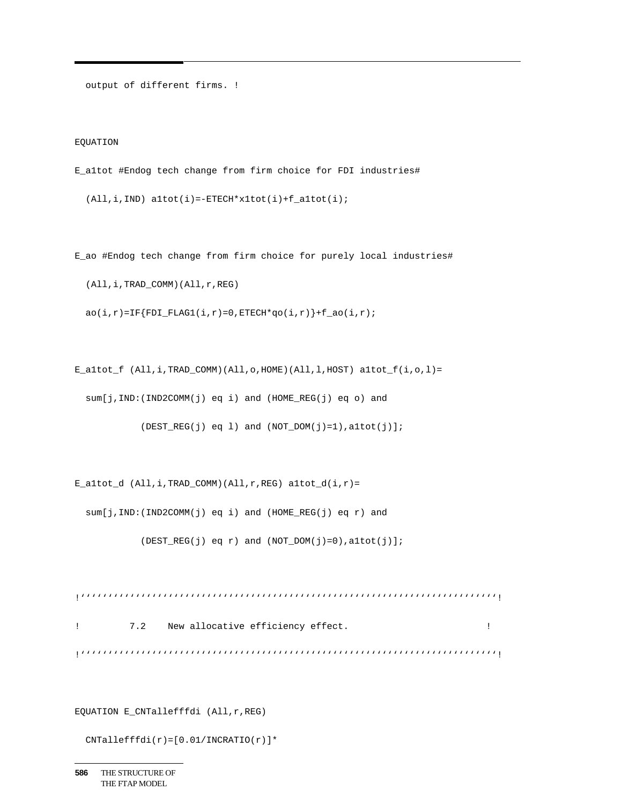output of different firms. !

#### EQUATION

E\_a1tot #Endog tech change from firm choice for FDI industries#

 $(All, i, IND)$  altot(i)=-ETECH\*x1tot(i)+f\_altot(i);

E\_ao #Endog tech change from firm choice for purely local industries#

(All,i,TRAD\_COMM)(All,r,REG)

 $a \circ (i,r) = IF\{FDI_FLAG1(i,r)=0, ETECH*qo(i,r)\}+f_a o(i,r);$ 

 $E_a1tot_f (All,i,TRAD_COMM)(All,o,HOME)(All,l,HOST) altot_f(i,o,l)=$ sum[j,IND:(IND2COMM(j) eq i) and (HOME\_REG(j) eq o) and

 $(DEF\_REG(j) eq 1) and (NOT\_DOM(j)=1), altot(j));$ 

 $E_{\text{altot}_d (All,i,TRAD_{\text{a}}) (All,r,REG)$  altot $d(i,r)$ =

sum[j,IND:(IND2COMM(j) eq i) and (HOME\_REG(j) eq r) and

 $(DEF\_REG(j) eq r)$  and  $(NOT\_DOM(j)=0)$ , altot(j)];

!''''''''''''''''''''''''''''''''''''''''''''''''''''''''''''''''''''''''''''! ! 7.2 New allocative efficiency effect. ! !''''''''''''''''''''''''''''''''''''''''''''''''''''''''''''''''''''''''''''!

EQUATION E\_CNTallefffdi (All,r,REG)

```
CNTalleffddi(r)=[0.01/INCRATION(c)]*
```
**586** THE STRUCTURE OF THE FTAP MODEL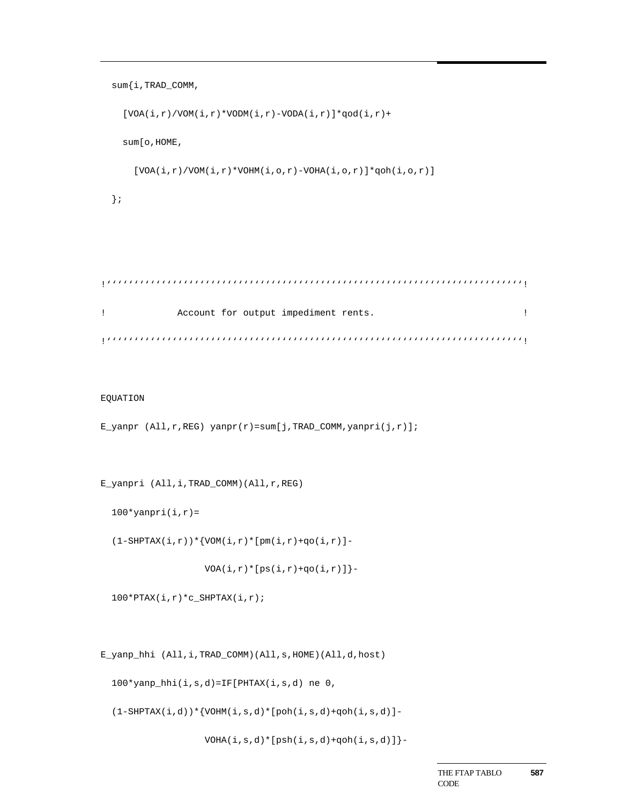```
 sum{i,TRAD_COMM,
  [VOA(i,r)/VOM(i,r)*VODM(i,r)-VODA(i,r)]*qod(i,r)+ sum[o,HOME,
```
 $[VOA(i,r)/VOM(i,r)*VOHM(i,o,r)-VOHA(i,o,r)]*qoh(i,o,r)]$ 

};

!''''''''''''''''''''''''''''''''''''''''''''''''''''''''''''''''''''''''''''! ! Account for output impediment rents. ! !''''''''''''''''''''''''''''''''''''''''''''''''''''''''''''''''''''''''''''!

# EQUATION

E\_yanpr  $(All,r,REG)$  yanpr(r)=sum[j,TRAD\_COMM,yanpri(j,r)];

E\_yanpri (All,i,TRAD\_COMM)(All,r,REG)

 $100*$ yanpri $(i,r)$ =

 $(1-SHPTAX(i,r))*\{VOM(i,r)*(pm(i,r)+qo(i,r))\}-$ 

 $VOA(i,r)*(ps(i,r)+qo(i,r))]$ -

```
100*PTAX(i,r)*c_SHPTAX(i,r);
```

```
E_yanp_hhi (All,i,TRAD_COMM)(All,s,HOME)(All,d,host)
```

```
 100*yanp_hhi(i,s,d)=IF[PHTAX(i,s,d) ne 0,
```

```
(1-SHPTAX(i,d))*\{VOHM(i,s,d)*(poh(i,s,d)+qoh(i,s,d))\}-
```
 $VOHA(i,s,d)*(psh(i,s,d)+qoh(i,s,d)]$ -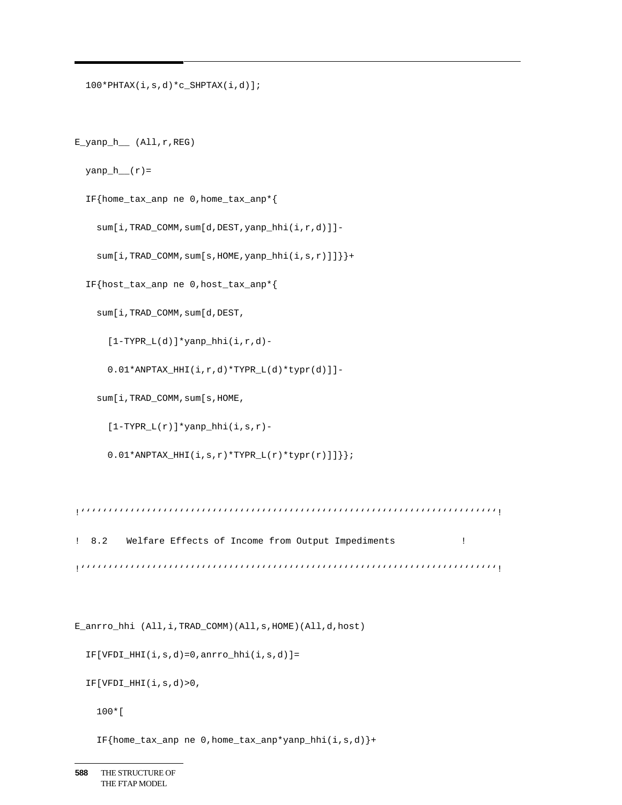100\*PHTAX(i,s,d)\*c\_SHPTAX(i,d)];

 $E_y$ anp $h$  (All,  $r$ , REG)

 $yanp_h$   $(r)$  =

IF{home\_tax\_anp ne 0,home\_tax\_anp\*{

sum[i,TRAD\_COMM,sum[d,DEST,yanp\_hhi(i,r,d)]]-

sum[i,TRAD\_COMM,sum[s,HOME,yanp\_hhi(i,s,r)]]}}+

IF{host\_tax\_anp ne 0,host\_tax\_anp\*{

sum[i,TRAD\_COMM,sum[d,DEST,

 $[1-TYPR_L(d)]$ \*yanp\_hhi(i,r,d)-

 $0.01*$ ANPTAX\_HHI $(i,r,d)*$ TYPR\_L $(d)*$ typr $(d)]$ ]-

sum[i,TRAD\_COMM,sum[s,HOME,

 $[1-TYPR_L(r)]$ \*yanp\_hhi(i,s,r)-

 $0.01*$ ANPTAX\_HHI(i,s,r)\*TYPR\_L(r)\*typr(r)]]}};

!''''''''''''''''''''''''''''''''''''''''''''''''''''''''''''''''''''''''''''! ! 8.2 Welfare Effects of Income from Output Impediments ! !''''''''''''''''''''''''''''''''''''''''''''''''''''''''''''''''''''''''''''!

E\_anrro\_hhi (All,i,TRAD\_COMM)(All,s,HOME)(All,d,host)

 $IF[VPDI_HHI(i,s,d)=0,anrro_hhi(i,s,d)]=$ 

IF[VFDI\_HHI(i,s,d)>0,

100\*[

 $IF{home\_tax\_anp ne 0,home\_tax\_anp*yanp_hhi(i,s,d)}+$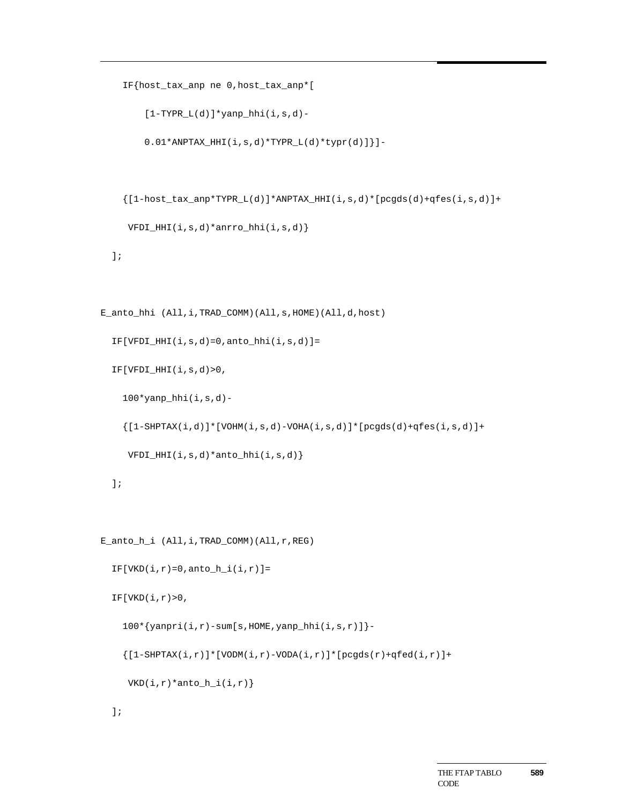```
 IF{host_tax_anp ne 0,host_tax_anp*[
    [1-TYPR_L(d)]*yanp_hhi(i,s,d)-
    0.01*ANPTAX_HHI(i,s,d)*TYPR_L(d)*type(d)]]-
```

```
\{[1-\text{host}\_\text{tax}\_\text{anp*TYPR}\_\text{L}(d)]*ANPTAX\_\text{HHI}(i,s,d)*[\text{pcgds}(d)+\text{qfes}(i,s,d)]+
```

```
 VFDI_HHI(i,s,d)*anrro_hhi(i,s,d)}
```
];

```
E_anto_hhi (All,i,TRAD_COMM)(All,s,HOME)(All,d,host)
  IF[VFDI_HHI(i,s,d)=0,anto_hhi(i,s,d)]= IF[VFDI_HHI(i,s,d)>0,
    100*yanp_hhi(i,s,d)-
    {[1-SHPTAX(i,d)]*(VOHM(i,s,d)-VOHA(i,s,d)]*(pcgds(d)+qfes(i,s,d))+} VFDI_HHI(i,s,d)*anto_hhi(i,s,d)}
   ];
E_anto_h_i (All,i,TRAD_COMM)(All,r,REG)
  IF[VKD(i, r) = 0, anto_h_i(i, r)] =IF[VKD(i,r)>0,
     100*{yanpri(i,r)-sum[s,HOME,yanp_hhi(i,s,r)]}-
    {[1-SHPTAX(i,r)]*(VODM(i,r)-VODA(i,r)]*(pcgds(r)+qfed(i,r)]+}VKD(i,r) * anto_h_i(i,r)
```
];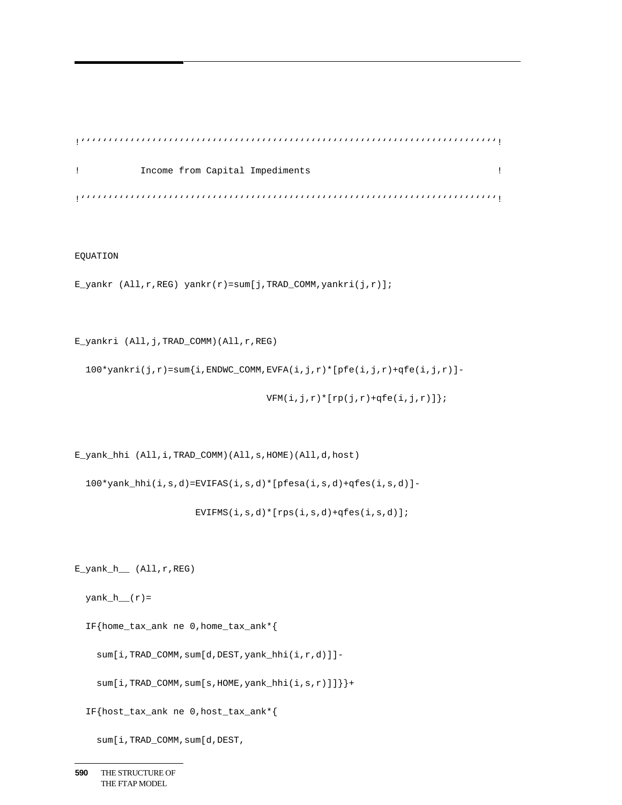!''''''''''''''''''''''''''''''''''''''''''''''''''''''''''''''''''''''''''''! ! Income from Capital Impediments ! !''''''''''''''''''''''''''''''''''''''''''''''''''''''''''''''''''''''''''''!

## EQUATION

E\_yankr  $(All,r,REG)$  yankr $(r)$ =sum[j,TRAD\_COMM,yankri(j,r)];

E\_yankri (All,j,TRAD\_COMM)(All,r,REG)

 $100*$ yankri(j,r)=sum{i,ENDWC\_COMM,EVFA(i,j,r)\*[pfe(i,j,r)+qfe(i,j,r)]-

 $VFM(i,j,r)*(rp(j,r)+qfe(i,j,r))]$ ;

E\_yank\_hhi (All,i,TRAD\_COMM)(All,s,HOME)(All,d,host)

100\*yank\_hhi(i,s,d)=EVIFAS(i,s,d)\*[pfesa(i,s,d)+qfes(i,s,d)]-

 $EVIFMS(i,s,d)*(rps(i,s,d)+qfes(i,s,d));$ 

E\_yank\_h\_\_ (All,r,REG)

 $yank_h(r)$  =

IF{home\_tax\_ank ne 0,home\_tax\_ank\*{

sum[i,TRAD\_COMM,sum[d,DEST,yank\_hhi(i,r,d)]]-

sum[i,TRAD\_COMM,sum[s,HOME,yank\_hhi(i,s,r)]]}}+

IF{host\_tax\_ank ne 0,host\_tax\_ank\*{

sum[i,TRAD\_COMM,sum[d,DEST,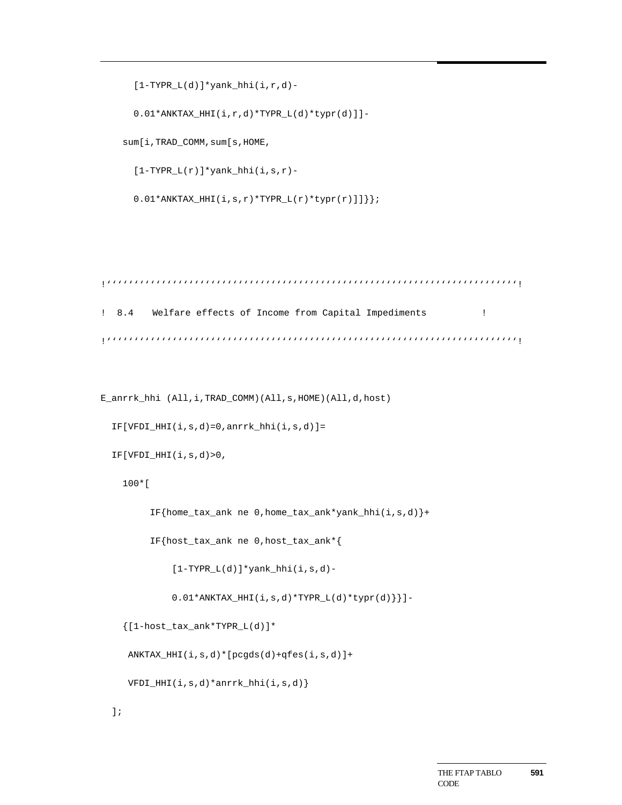```
[1-TYPR_L(d)]*yank_hhi(i,r,d)-
```
 $0.01*$ ANKTAX\_HHI $(i,r,d)*$ TYPR\_L $(d)*$ typr $(d)]$ ]-

sum[i,TRAD\_COMM,sum[s,HOME,

 $[1-TYPR_L(r)]$ \*yank\_hhi(i,s,r)-

 $0.01*$ ANKTAX\_HHI $(i,s,r)*$ TYPR\_L $(r)*$ typr $(r)$ ]]};

!'''''''''''''''''''''''''''''''''''''''''''''''''''''''''''''''''''''''''''! ! 8.4 Welfare effects of Income from Capital Impediments ! !'''''''''''''''''''''''''''''''''''''''''''''''''''''''''''''''''''''''''''!

E\_anrrk\_hhi (All,i,TRAD\_COMM)(All,s,HOME)(All,d,host)

 $IF[VFDI_HHI(i,s,d)=0,anrrk_hhi(i,s,d)]=$ 

```
 IF[VFDI_HHI(i,s,d)>0,
```
100\*[

 $IF{home\_tax\_ank ne 0,home\_tax\_ank*yank_hhi(i,s,d)}+$ 

IF{host\_tax\_ank ne 0,host\_tax\_ank\*{

 $[1-TYPR_L(d)]$ \*yank\_hhi(i,s,d)-

 $0.01*$ ANKTAX\_HHI(i,s,d)\*TYPR\_L(d)\*typr(d)}}]-

 ${[1-host\_tax\_ank*TYPR_L(d)]*}$ 

ANKTAX\_HHI(i,s,d)\*[pcgds(d)+qfes(i,s,d)]+

VFDI\_HHI(i,s,d)\*anrrk\_hhi(i,s,d)}

];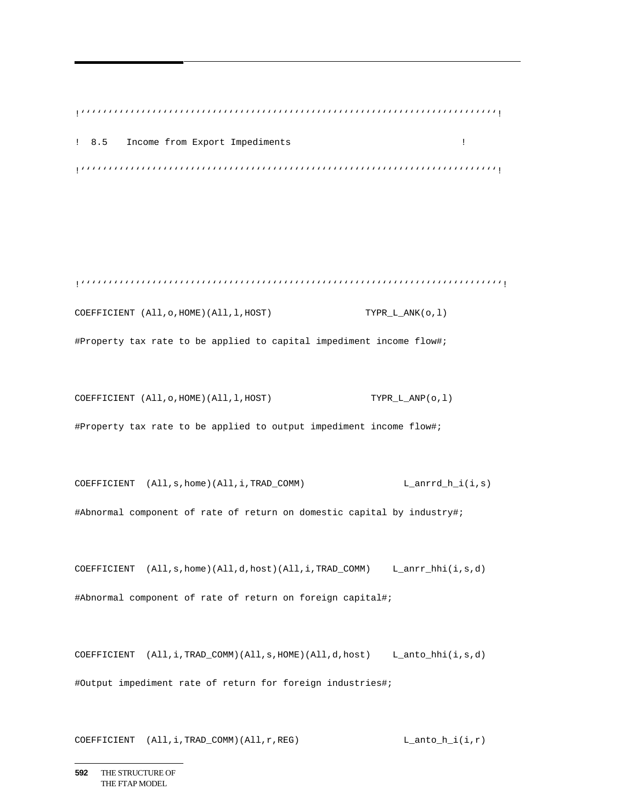!''''''''''''''''''''''''''''''''''''''''''''''''''''''''''''''''''''''''''''! ! 8.5 Income from Export Impediments ! !''''''''''''''''''''''''''''''''''''''''''''''''''''''''''''''''''''''''''''!

!'''''''''''''''''''''''''''''''''''''''''''''''''''''''''''''''''''''''''''''! COEFFICIENT (All,o,HOME)(All,l,HOST) TYPR\_L\_ANK(o,l) #Property tax rate to be applied to capital impediment income flow#;

COEFFICIENT (All,o,HOME)(All,l,HOST) TYPR\_L\_ANP(o,l) #Property tax rate to be applied to output impediment income flow#;

COEFFICIENT (All,s,home)(All,i,TRAD\_COMM) L\_anrrd\_h\_i(i,s) #Abnormal component of rate of return on domestic capital by industry#;

COEFFICIENT  $(All, s, home) (All, d, host) (All, i, TRAD_COMM)$  L\_anrr\_hhi(i,s,d) #Abnormal component of rate of return on foreign capital#;

COEFFICIENT (All,i,TRAD\_COMM)(All,s,HOME)(All,d,host) L\_anto\_hhi(i,s,d) #Output impediment rate of return for foreign industries#;

COEFFICIENT  $(All, i, TRAD\_COMM)(All, r, REG)$   $L\_anto\_h_i(i, r)$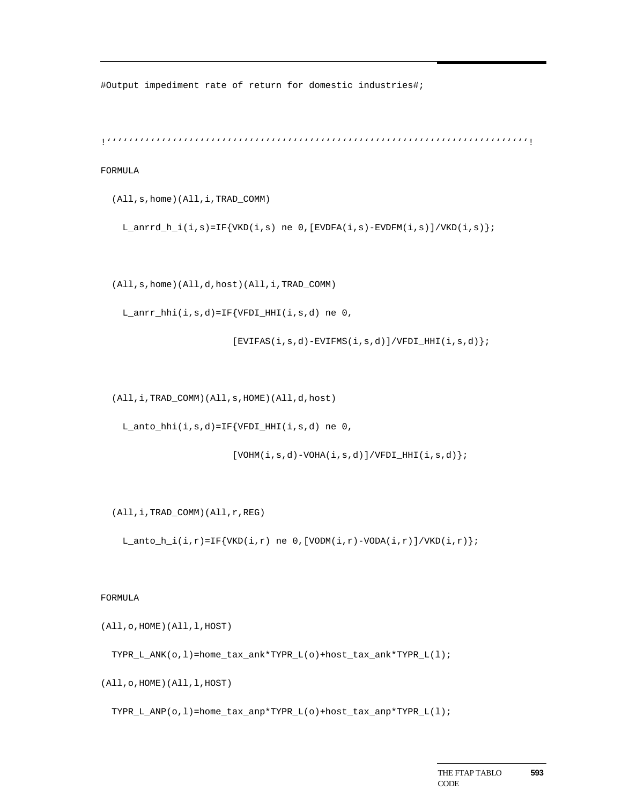#Output impediment rate of return for domestic industries#;

!'''''''''''''''''''''''''''''''''''''''''''''''''''''''''''''''''''''''''''''!

#### FORMULA

(All,s,home)(All,i,TRAD\_COMM)

L\_anrrd\_h\_i(i,s)=IF{VKD(i,s) ne 0,[EVDFA(i,s)-EVDFM(i,s)]/VKD(i,s)};

(All,s,home)(All,d,host)(All,i,TRAD\_COMM)

L\_anrr\_hhi(i,s,d)=IF{VFDI\_HHI(i,s,d) ne 0,

 $[EVIFAS(i,s,d)-EVIFMS(i,s,d)]/VFDI_HHI(i,s,d)]$ ;

(All,i,TRAD\_COMM)(All,s,HOME)(All,d,host)

 $L_anto_hhi(i,s,d)=IF\{VFDI_HHI(i,s,d)$  ne 0,

 $[VOHM(i,s,d)-VOHA(i,s,d)]/VFDI_HHI(i,s,d)};$ 

(All,i,TRAD\_COMM)(All,r,REG)

 $\texttt{L\_anto\_h\_i(i,r)=IF} \{ \texttt{VKD(i,r)} \texttt{ ne 0, [VODM(i,r)-VODA(i,r)]} / \texttt{VKD(i,r)} \} ;$ 

### FORMULA

```
(All,o,HOME)(All,l,HOST)
```
TYPR\_L\_ANK(o,l)=home\_tax\_ank\*TYPR\_L(o)+host\_tax\_ank\*TYPR\_L(l);

(All,o,HOME)(All,l,HOST)

TYPR\_L\_ANP(o,l)=home\_tax\_anp\*TYPR\_L(o)+host\_tax\_anp\*TYPR\_L(l);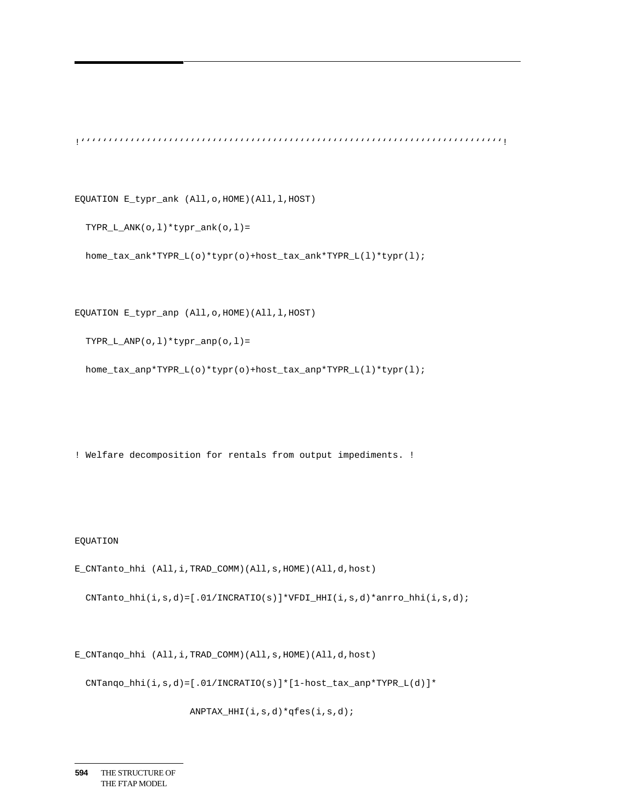!'''''''''''''''''''''''''''''''''''''''''''''''''''''''''''''''''''''''''''''!

EQUATION E\_typr\_ank (All,o,HOME)(All,l,HOST)

 $TYPR_L_MNK(o,1)*type\_ank(o,1)=$ 

home\_tax\_ank\*TYPR\_L(o)\*typr(o)+host\_tax\_ank\*TYPR\_L(l)\*typr(l);

EQUATION E\_typr\_anp (All,o,HOME)(All,l,HOST)

 $TYPR_L\_ANP(o,1)*type\_anp(o,1)=$ 

home\_tax\_anp\*TYPR\_L(o)\*typr(o)+host\_tax\_anp\*TYPR\_L(l)\*typr(l);

! Welfare decomposition for rentals from output impediments. !

## EQUATION

E\_CNTanto\_hhi (All,i,TRAD\_COMM)(All,s,HOME)(All,d,host)

 $CNTanto_hhi(i,s,d)=[.01/INCRATION(s)]*VFDI_HHI(i,s,d)*anrro_hhi(i,s,d);$ 

E\_CNTanqo\_hhi (All,i,TRAD\_COMM)(All,s,HOME)(All,d,host)

CNTanqo\_hhi(i,s,d)=[.01/INCRATIO(s)]\*[1-host\_tax\_anp\*TYPR\_L(d)]\*

ANPTAX  $HHI(i,s,d)*qfes(i,s,d);$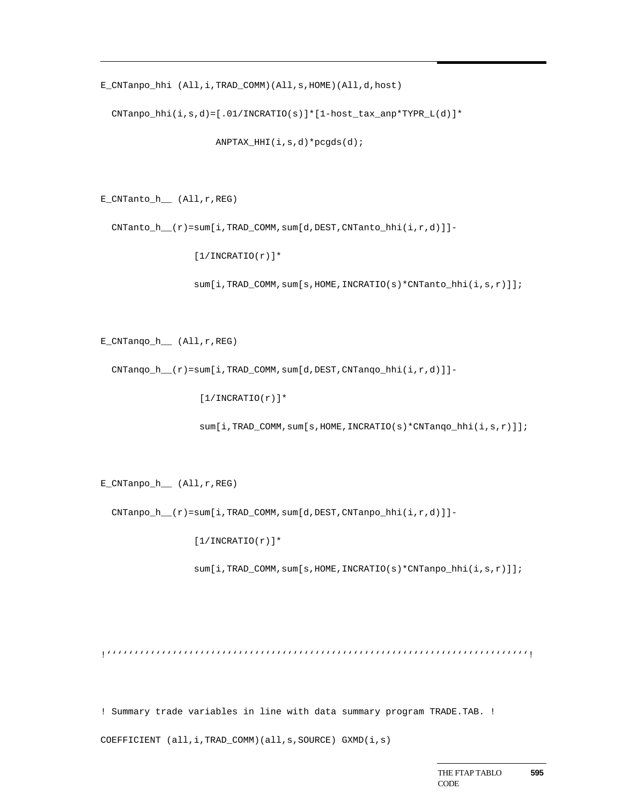E\_CNTanpo\_hhi (All,i,TRAD\_COMM)(All,s,HOME)(All,d,host)

CNTanpo\_hhi(i,s,d)=[.01/INCRATIO(s)]\*[1-host\_tax\_anp\*TYPR\_L(d)]\*

ANPTAX  $HHI(i,s,d)*pcqds(d);$ 

E\_CNTanto\_h\_\_ (All,r,REG)

 $CNTanto_h_{r}(r) = sum[i,TRAD_{r}(COMM,sum[d,DEST,CNTanto_{h}h(i,i,r,d))]$ ]-

 $[1/INCRATION()$ 

sum[i,TRAD\_COMM,sum[s,HOME,INCRATIO(s)\*CNTanto\_hhi(i,s,r)]];

E\_CNTanqo\_h\_\_ (All,r,REG)

CNTanqo\_h\_\_(r)=sum[i,TRAD\_COMM,sum[d,DEST,CNTanqo\_hhi(i,r,d)]]-

 $[1/INCRATION()$ <sup>\*</sup>

sum[i,TRAD\_COMM,sum[s,HOME,INCRATIO(s)\*CNTanqo\_hhi(i,s,r)]];

E\_CNTanpo\_h\_\_ (All,r,REG)

 $CNTanpo_h_{r}(r) = \text{sum}[i,TRAD_COMM,sum[d,DEST,CNTanpo_hhi(i,r,d)]$ ]-

 $[1/INCRATIO(r)]$ \*

sum[i,TRAD\_COMM,sum[s,HOME,INCRATIO(s)\*CNTanpo\_hhi(i,s,r)]];

!'''''''''''''''''''''''''''''''''''''''''''''''''''''''''''''''''''''''''''''!

! Summary trade variables in line with data summary program TRADE.TAB. !

COEFFICIENT (all,i,TRAD\_COMM)(all,s,SOURCE) GXMD(i,s)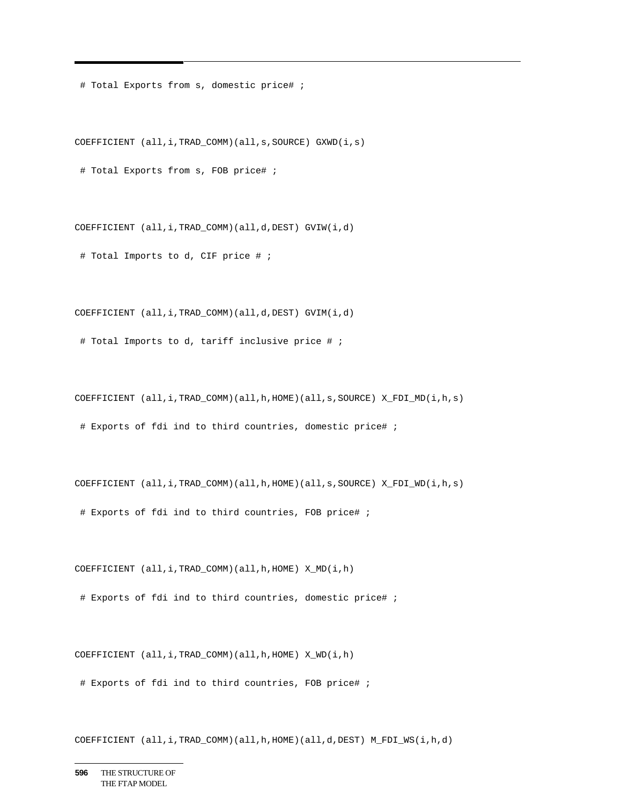# Total Exports from s, domestic price# ;

COEFFICIENT (all,i,TRAD\_COMM)(all,s,SOURCE) GXWD(i,s)

# Total Exports from s, FOB price# ;

COEFFICIENT (all,i,TRAD\_COMM)(all,d,DEST) GVIW(i,d)

# Total Imports to d, CIF price # ;

COEFFICIENT (all,i,TRAD\_COMM)(all,d,DEST) GVIM(i,d)

# Total Imports to d, tariff inclusive price # ;

COEFFICIENT (all,i,TRAD\_COMM)(all,h,HOME)(all,s,SOURCE) X\_FDI\_MD(i,h,s)

# Exports of fdi ind to third countries, domestic price# ;

COEFFICIENT (all,i,TRAD\_COMM)(all,h,HOME)(all,s,SOURCE) X\_FDI\_WD(i,h,s)

# Exports of fdi ind to third countries, FOB price# ;

COEFFICIENT (all,i,TRAD\_COMM)(all,h,HOME) X\_MD(i,h)

# Exports of fdi ind to third countries, domestic price# ;

COEFFICIENT (all,i,TRAD\_COMM)(all,h,HOME) X\_WD(i,h)

# Exports of fdi ind to third countries, FOB price# ;

COEFFICIENT (all,i,TRAD\_COMM)(all,h,HOME)(all,d,DEST) M\_FDI\_WS(i,h,d)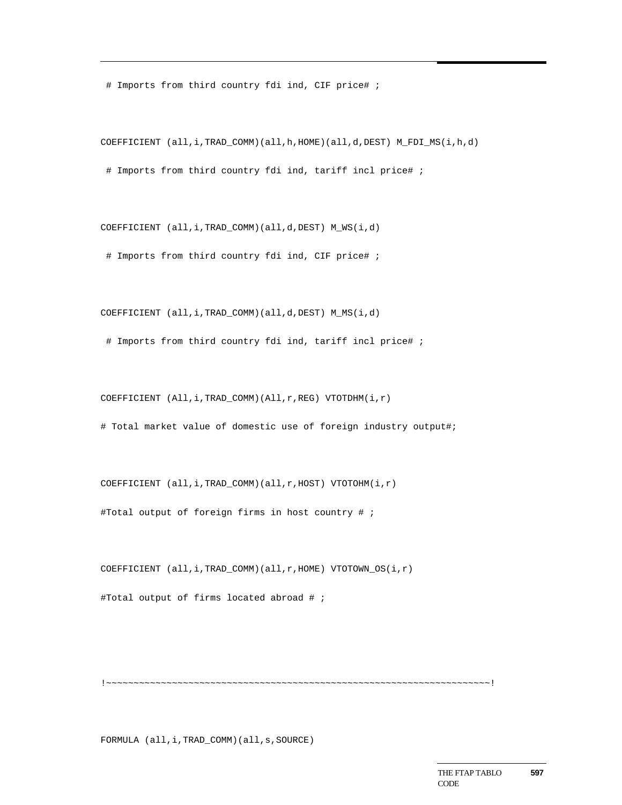# Imports from third country fdi ind, CIF price# ;

```
COEFFICIENT (all,i,TRAD_COMM)(all,h,HOME)(all,d,DEST) M_FDI_MS(i,h,d)
 # Imports from third country fdi ind, tariff incl price# ;
```
COEFFICIENT (all,i,TRAD\_COMM)(all,d,DEST) M\_WS(i,d)

# Imports from third country fdi ind, CIF price# ;

COEFFICIENT (all,i,TRAD\_COMM)(all,d,DEST) M\_MS(i,d)

# Imports from third country fdi ind, tariff incl price# ;

COEFFICIENT (All,i,TRAD\_COMM)(All,r,REG) VTOTDHM(i,r)

# Total market value of domestic use of foreign industry output#;

COEFFICIENT (all,i,TRAD\_COMM)(all,r,HOST) VTOTOHM(i,r) #Total output of foreign firms in host country # ;

COEFFICIENT (all,i,TRAD\_COMM)(all,r,HOME) VTOTOWN\_OS(i,r) #Total output of firms located abroad # ;

!~~~~~~~~~~~~~~~~~~~~~~~~~~~~~~~~~~~~~~~~~~~~~~~~~~~~~~~~~~~~~~~~~~~~~~!

FORMULA (all,i,TRAD\_COMM)(all,s,SOURCE)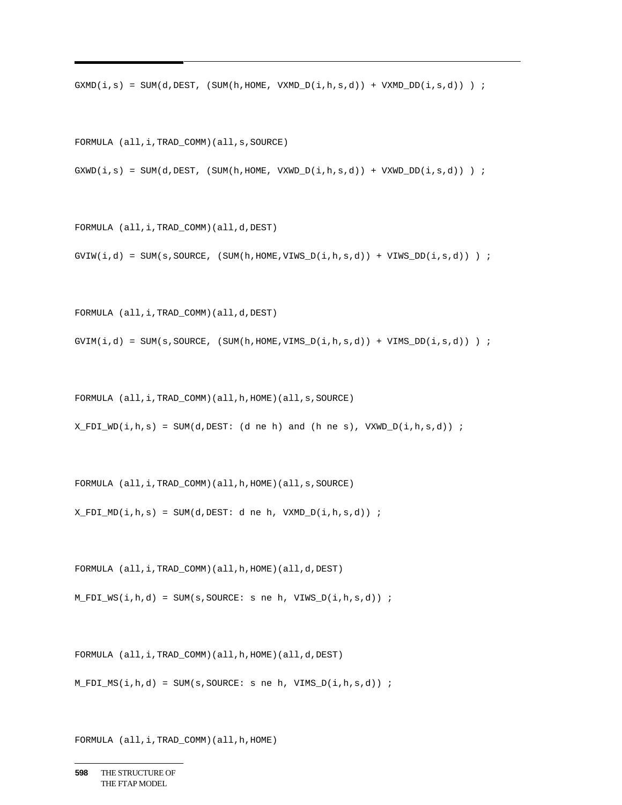```
GXMD(i,s) = SUM(d,DEST, (SUM(h,HOME, VXMD D(i,h,s,d)) + VXMD DD(i,s,d))) ;
```
FORMULA (all,i,TRAD COMM)(all,s,SOURCE)

 $GXWD(i,s) = SUM(d, DEST, (SUM(h,HOME, VXWD_D(i,h,s,d)) + VXWD_DD(i,s,d)))$  ;

FORMULA (all,i,TRAD\_COMM)(all,d,DEST)

 $GVIW(i,d) = SUM(s,SOURCE, (SUM(h,HOME, VIWS_D(i,h,s,d)) + VIWS_DD(i,s,d)))$  ;

FORMULA (all,i,TRAD\_COMM)(all,d,DEST)

 $GVIM(i,d) = SUM(s,SOURCE, (SUM(h,HOME, VIMS_D(i,h,s,d)) + VIMS_DDi(i,s,d)) )$  ;

FORMULA (all,i,TRAD\_COMM)(all,h,HOME)(all,s,SOURCE)

 $X_FDL_WD(i,h,s) = SUM(d,DEST: (d ne h) and (h ne s), VXWD_D(i,h,s,d))$  ;

FORMULA (all,i,TRAD\_COMM)(all,h,HOME)(all,s,SOURCE)

 $X$  FDI MD(i,h,s) = SUM(d,DEST: d ne h, VXMD  $D(i,h,s,d)$ ) ;

FORMULA (all,i,TRAD\_COMM)(all,h,HOME)(all,d,DEST)

 $M_FDI_WS(i,h,d) = SUM(s,SOURCE: s ne h, VINS_D(i,h,s,d))$  ;

FORMULA (all,i,TRAD\_COMM)(all,h,HOME)(all,d,DEST)

 $M_FDI_MS(i,h,d) = SUM(s,SOURCE: s ne h, VIMS_D(i,h,s,d))$  ;

FORMULA (all,i,TRAD\_COMM)(all,h,HOME)

**598** THE STRUCTURE OF THE FTAP MODEL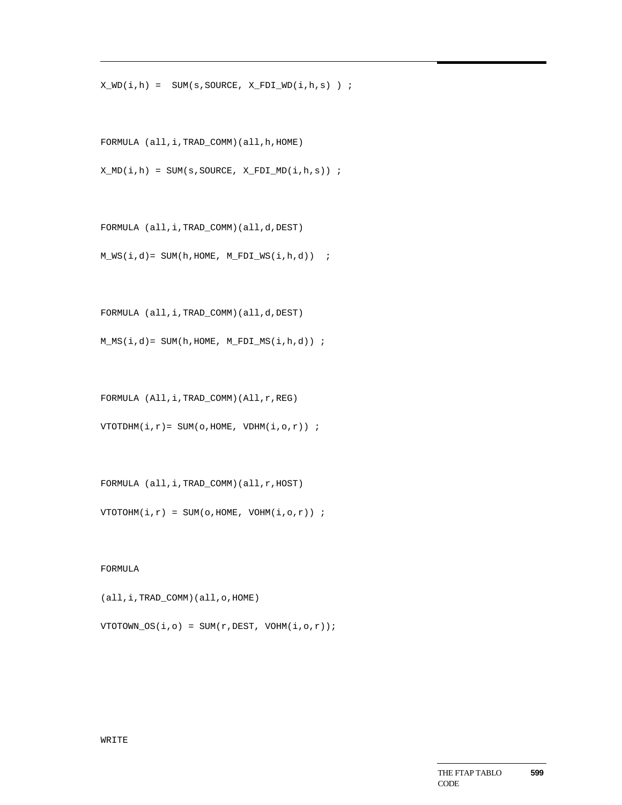$X_WD(i,h) = SUM(s,SOURCE, X_FDI_WD(i,h,s))$  ;

FORMULA (all,i,TRAD\_COMM)(all,h,HOME)

 $X_MD(i,h) = SUM(s,SOURCE, X_FDI_MD(i,h,s))$  ;

FORMULA (all,i,TRAD\_COMM)(all,d,DEST)

 $M_WS(i,d) = SUM(h,HOME, M_FDI_WS(i,h,d))$  ;

FORMULA (all,i,TRAD\_COMM)(all,d,DEST)

 $M_MS(i,d) = SUM(h,HOME, M_FDL_MS(i,h,d))$  ;

FORMULA (All,i,TRAD\_COMM)(All,r,REG)

 $VTOTDHM(i,r) = SUM(o,HOME, VDHM(i,o,r))$  ;

FORMULA (all,i,TRAD\_COMM)(all,r,HOST)

 $VTOTOHM(i,r) = SUM(o,HOME, VOHM(i,o,r))$  ;

FORMULA

(all,i,TRAD\_COMM)(all,o,HOME)

 $\verb|VTOTOWN_OS(i,o)| = \verb|SUM(r, DEST, VOHM(i,o,r))| ;$ 

WRITE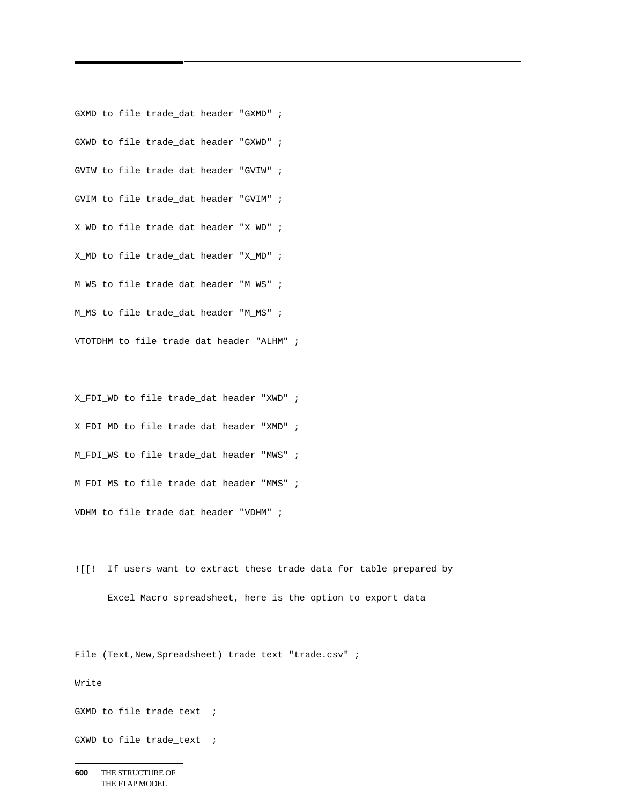GXMD to file trade\_dat header "GXMD" ; GXWD to file trade dat header "GXWD" ; GVIW to file trade\_dat header "GVIW" ; GVIM to file trade\_dat header "GVIM" ; X\_WD to file trade\_dat header "X\_WD" ; X\_MD to file trade\_dat header "X\_MD" ; M\_WS to file trade\_dat header "M\_WS" ; M\_MS to file trade\_dat header "M\_MS" ; VTOTDHM to file trade\_dat header "ALHM" ;

X\_FDI\_WD to file trade\_dat header "XWD" ; X\_FDI\_MD to file trade\_dat header "XMD" ; M\_FDI\_WS to file trade\_dat header "MWS" ; M\_FDI\_MS to file trade\_dat header "MMS" ; VDHM to file trade\_dat header "VDHM" ;

![[! If users want to extract these trade data for table prepared by Excel Macro spreadsheet, here is the option to export data

File (Text, New, Spreadsheet) trade\_text "trade.csv" ;

Write

GXMD to file trade\_text ;

GXWD to file trade\_text ;

### **600** THE STRUCTURE OF THE FTAP MODEL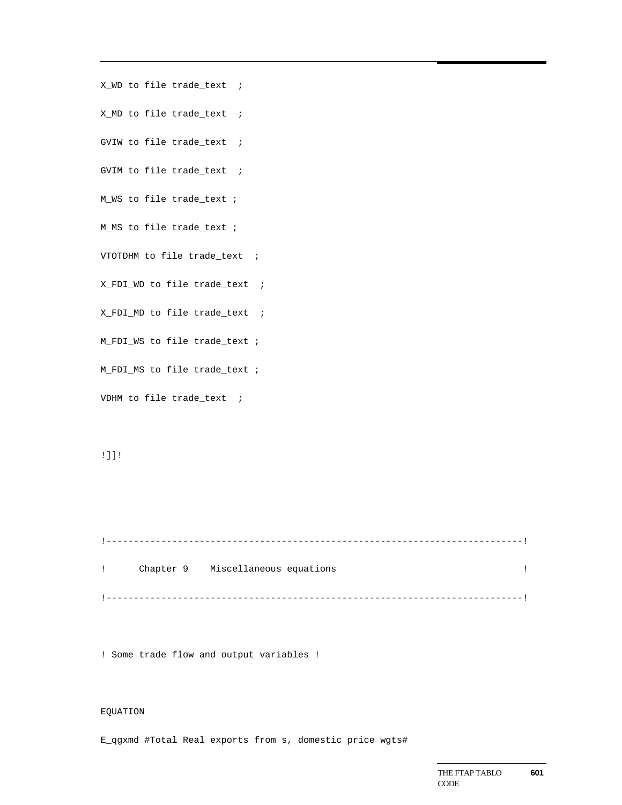X\_WD to file trade\_text ;

X\_MD to file trade\_text ;

GVIW to file trade\_text ;

GVIM to file trade\_text ;

M\_WS to file trade\_text ;

M\_MS to file trade\_text ;

VTOTDHM to file trade\_text ;

X\_FDI\_WD to file trade\_text ;

X\_FDI\_MD to file trade\_text ;

M\_FDI\_WS to file trade\_text ;

M\_FDI\_MS to file trade\_text ;

VDHM to file trade\_text ;

!]]!

!----------------------------------------------------------------------------! ! Chapter 9 Miscellaneous equations ! !----------------------------------------------------------------------------!

! Some trade flow and output variables !

# EQUATION

E\_qgxmd #Total Real exports from s, domestic price wgts#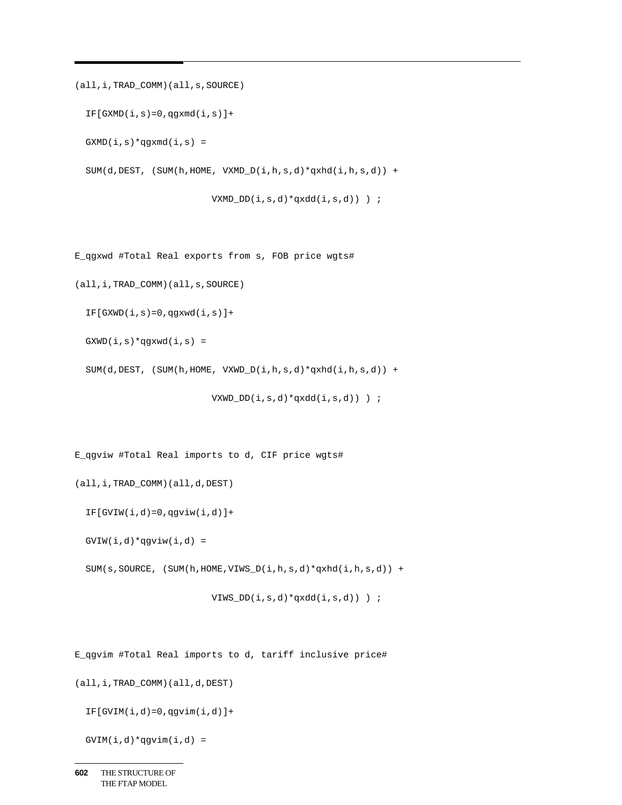(all,i,TRAD\_COMM)(all,s,SOURCE)

 $IF[GXMD(i,s)=0, qgxmd(i,s)]+$ 

 $GXMD(i,s)*qqxmd(i,s) =$ 

SUM(d,DEST, (SUM(h,HOME, VXMD\_D(i,h,s,d)\*qxhd(i,h,s,d)) +

 $VXMD_DD(i,s,d)*qxdd(i,s,d))$  ) ;

E\_qgxwd #Total Real exports from s, FOB price wgts#

(all,i,TRAD\_COMM)(all,s,SOURCE)

```
IF[GXWD(i,s)=0, qgxwd(i,s)] +
```
 $GXWD(i,s)*qgxwd(i,s) =$ 

SUM(d,DEST, (SUM(h,HOME, VXWD\_D(i,h,s,d)\*qxhd(i,h,s,d)) +

VXWD\_DD $(i,s,d)*qxdd(i,s,d))$  ) ;

E\_qgviw #Total Real imports to d, CIF price wgts#

(all,i,TRAD\_COMM)(all,d,DEST)

 $IF[GVIW(i,d)=0,qgViw(i,d)]+$ 

 $GVIW(i,d)*qgViw(i,d) =$ 

SUM(s, SOURCE, (SUM(h, HOME, VIWS\_D(i,h,s,d)\*qxhd(i,h,s,d)) +

VIWS\_DD(i,s,d)\*qxdd(i,s,d)) ) ;

E\_qgvim #Total Real imports to d, tariff inclusive price#

(all,i,TRAD\_COMM)(all,d,DEST)

 $IF[GVIM(i,d)=0,qqvim(i,d)]+$ 

 $GVIM(i,d)*qgvin(i,d) =$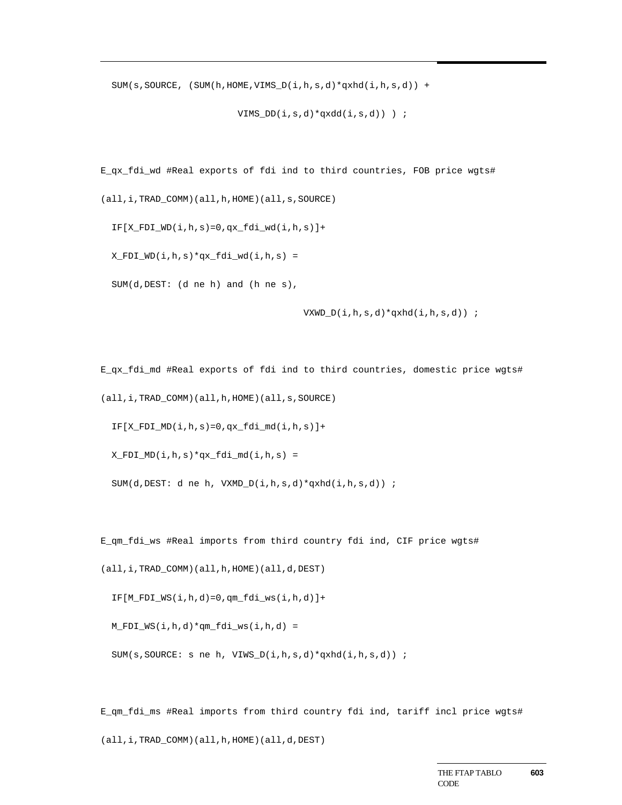$SUM(s,SOURCE, (SUM(h,HOME, VIMS_D(i,h,s,d)*qxhd(i,h,s,d)) +$ 

```
 VIMS_DD(i,s,d)*qxdd(i,s,d)) ) ;
```
E\_qx\_fdi\_wd #Real exports of fdi ind to third countries, FOB price wgts#

(all,i,TRAD\_COMM)(all,h,HOME)(all,s,SOURCE)

 $IF[X_FDI_WD(i,h,s)=0, qx_fdi_wd(i,h,s)]+$ 

 $X_FDI_WD(i,h,s)*qx_fdi_wd(i,h,s) =$ 

SUM(d,DEST: (d ne h) and (h ne s),

```
VXWD\_D(i,h,s,d)*qxhd(i,h,s,d)) ;
```
E\_qx\_fdi\_md #Real exports of fdi ind to third countries, domestic price wgts# (all,i,TRAD\_COMM)(all,h,HOME)(all,s,SOURCE)

 $IF[X_FDI_MD(i,h,s)=0, qx_fdi_M(i,h,s)]+$ 

 $X_FDI_MD(i,h,s)*qx_fdi_M(i,h,s) =$ 

SUM(d,DEST: d ne h, VXMD\_D(i,h,s,d)\*qxhd(i,h,s,d)) ;

E\_qm\_fdi\_ws #Real imports from third country fdi ind, CIF price wgts#

(all,i,TRAD\_COMM)(all,h,HOME)(all,d,DEST)

 $IF[M_FDI_WS(i,h,d)=0,qm_fdi_ws(i,h,d)]+$ 

 $M_FDI_WS(i,h,d)*qm_fdi_ws(i,h,d) =$ 

SUM(s,SOURCE: s ne h, VIWS\_D(i,h,s,d)\*qxhd(i,h,s,d)) ;

E\_qm\_fdi\_ms #Real imports from third country fdi ind, tariff incl price wgts# (all,i,TRAD\_COMM)(all,h,HOME)(all,d,DEST)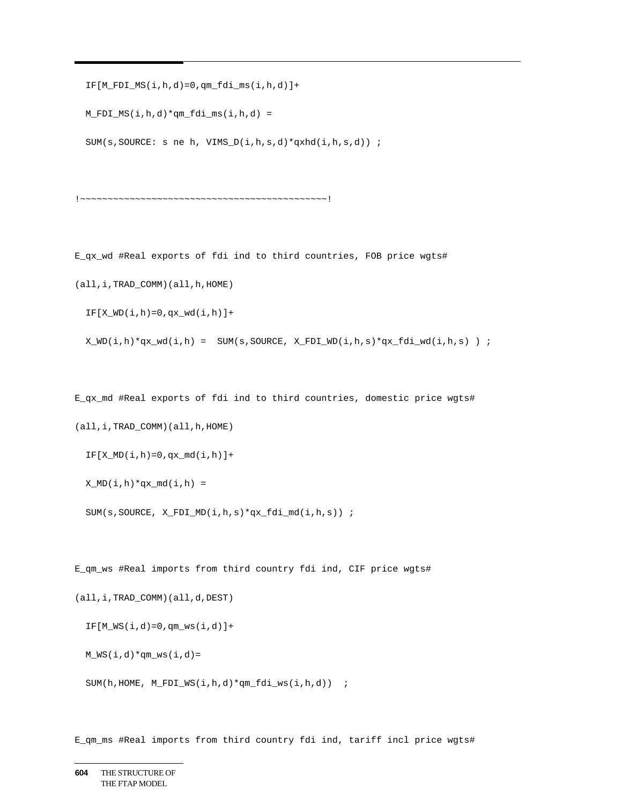$IF[M_FDI_MS(i,h,d)=0,$ qm  $fdi_ms(i,h,d)]+$ 

 $M_FDI_MS(i,h,d)*qm_fdi_ms(i,h,d) =$ 

SUM(s, SOURCE: s ne h, VIMS  $D(i,h,s,d)*qxhd(i,h,s,d)$ ) ;

!~~~~~~~~~~~~~~~~~~~~~~~~~~~~~~~~~~~~~~~~~~~~~!

E\_qx\_wd #Real exports of fdi ind to third countries, FOB price wgts#

(all,i,TRAD\_COMM)(all,h,HOME)

 $IF[X_WD(i,h)=0, qx_wd(i,h)] +$ 

 $X_WD(i,h)*qx_wd(i,h) = SUM(s,SOURCE, X_FDL_WD(i,h,s)*qx_fdi_wd(i,h,s) )$  ;

E\_qx\_md #Real exports of fdi ind to third countries, domestic price wgts#

(all,i,TRAD\_COMM)(all,h,HOME)

 $IF[X_MD(i,h)=0, qx_Md(i,h)] +$ 

 $X_MD(i,h)*qx_Md(i,h) =$ 

SUM(s,SOURCE, X\_FDI\_MD(i,h,s)\*qx\_fdi\_md(i,h,s)) ;

E\_qm\_ws #Real imports from third country fdi ind, CIF price wgts#

(all,i,TRAD\_COMM)(all,d,DEST)

 $IF[M_WS(i,d)=0,qm_Ws(i,d)]+$ 

 $M$ <sub>*M*</sub> $WS(i,d)*$ qm<sub>*\_ws* $(i,d)=$ </sub>

 $SUM(h,HOME, M_FDI_WS(i,h,d)*qm_fdi_ws(i,h,d))$  ;

E\_qm\_ms #Real imports from third country fdi ind, tariff incl price wgts#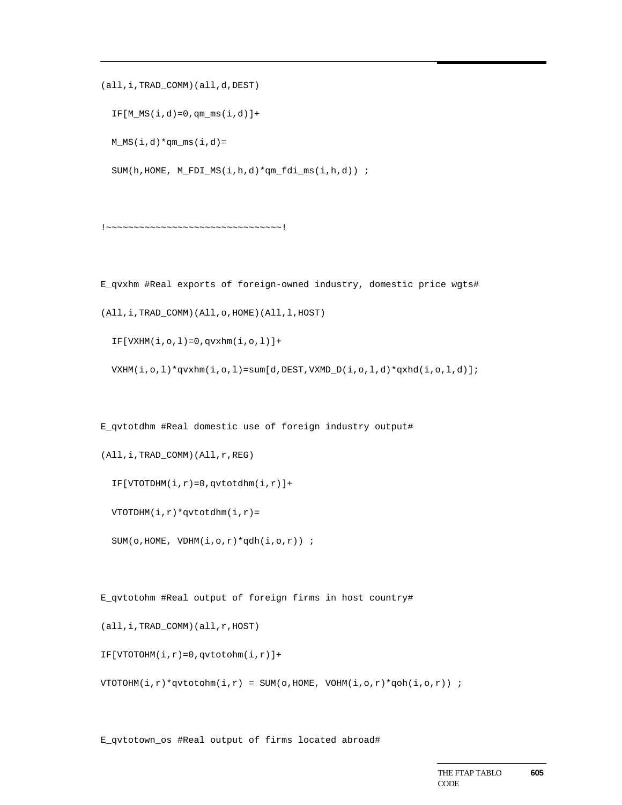```
(all,i,TRAD_COMM)(all,d,DEST)
```
 $IF[M_MS(i,d)=0, qm_ms(i,d)] +$ 

M  $MS(i,d)*$ qm ms $(i,d)=$ 

SUM(h,HOME, M\_FDI\_MS(i,h,d)\*qm\_fdi\_ms(i,h,d)) ;

!~~~~~~~~~~~~~~~~~~~~~~~~~~~~~~~~!

E\_qvxhm #Real exports of foreign-owned industry, domestic price wgts#

(All,i,TRAD\_COMM)(All,o,HOME)(All,l,HOST)

 $IF[VXHM(i, o, 1) = 0, qvxhm(i, o, 1)] +$ 

VXHM( $i, o, 1$ )\*qvxhm( $i, o, 1$ )=sum[d,DEST,VXMD\_D( $i, o, 1, d$ )\*qxhd( $i, o, 1, d$ )];

E\_qvtotdhm #Real domestic use of foreign industry output#

```
(All,i,TRAD_COMM)(All,r,REG)
```

```
IF[VTOTDHM(i,r)=0,qvtotdhm(i,r)]+
```
 $VTOTDHM(i,r)*qvtotdm(i,r)=$ 

SUM(o,HOME, VDHM(i,o,r)\*qdh(i,o,r)) ;

E\_qvtotohm #Real output of foreign firms in host country#

(all,i,TRAD\_COMM)(all,r,HOST)

IF[VTOTOHM $(i, r) = 0$ , qvtotohm $(i, r)$ ]+

 $VTOTOHM(i,r)*qvtotohm(i,r) = SUM(o,HOME, VOHM(i,o,r)*qoh(i,o,r))$  ;

E\_qvtotown\_os #Real output of firms located abroad#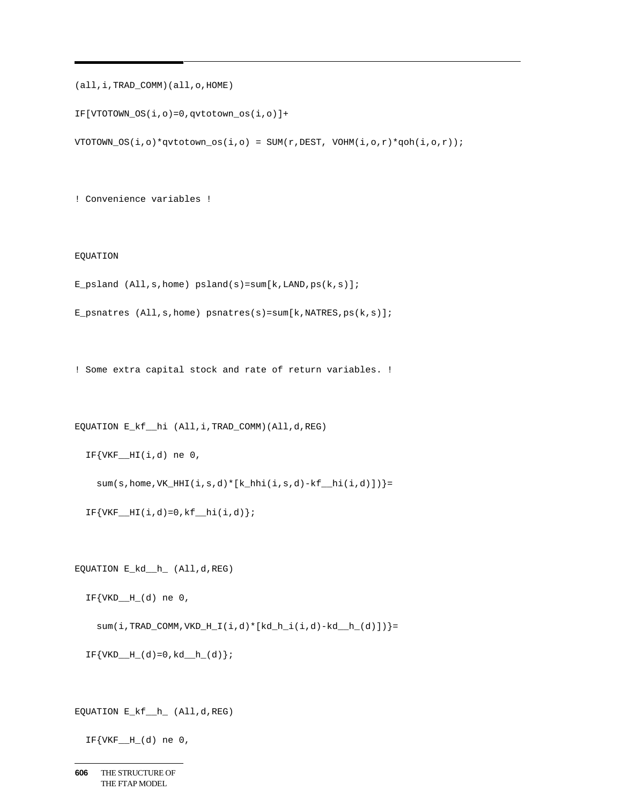(all,i,TRAD\_COMM)(all,o,HOME)

```
IF[VTOTOWN_OS(i,o)=0,qvtotown_os(i,o)]+
```
 $VTOTOWN_OS(i,o)*qvtotown_OS(i,o) = SUM(r,DEF, VOHM(i,o,r)*qoh(i,o,r));$ 

! Convenience variables !

#### EQUATION

E\_psland  $(All,s,home)$  psland $(s)$ =sum[k,LAND,ps $(k,s)$ ];

E\_psnatres (All,s,home) psnatres(s)=sum[k,NATRES,ps(k,s)];

! Some extra capital stock and rate of return variables. !

EQUATION E\_kf\_\_hi (All,i,TRAD\_COMM)(All,d,REG)

 $IF{VKF_HI(i,d)}$  ne 0,

 $sum(s,home,VK_HHI(i,s,d)*(k_hhi(i,s,d)-kf_hi(i,d)))$  =

 $IF{VKF_HI(i,d)=0, kf_hi(i,d)}$ ;

EQUATION E\_kd\_\_h\_ (All,d,REG)

 $IF{VKD_H_dd}$ , ne 0,

 $sum(i, TRAD_COMM, VKD_H_I(i,d)*(kd_h_i(i,d)-kd_h(d)))\}=$ 

 $IF{VKD_H(d)=0, kd_h(d)};$ 

EQUATION E\_kf\_\_h\_ (All,d,REG)

 $IF{VKF_H_d}d)$  ne 0,

**606** THE STRUCTURE OF THE FTAP MODEL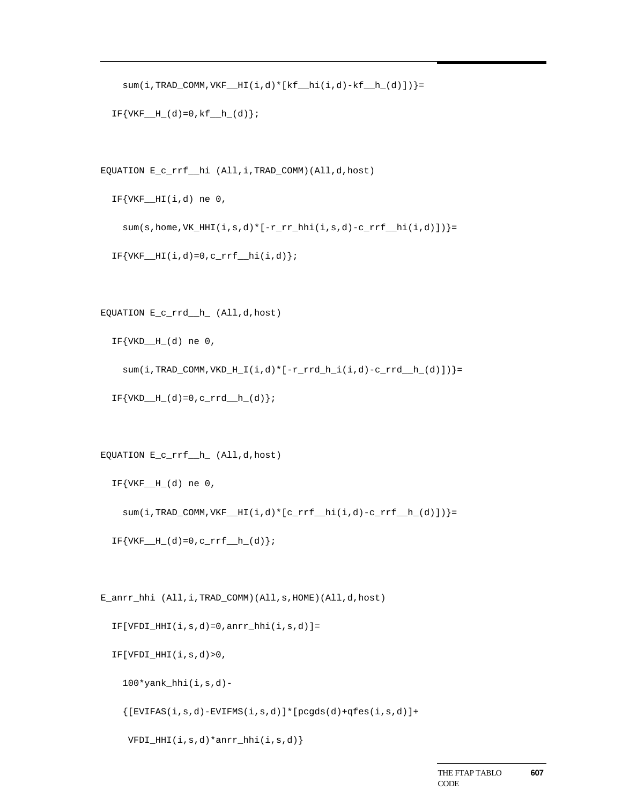```
sum(i,TRAD_COMM, VKF_HI(i,d)*(kf_hi(i,d)-kf_h(d)]) =
```
 $IF{VKF_H(d)=0, kf_h(d)};$ 

EQUATION E\_c\_rrf\_\_hi (All,i,TRAD\_COMM)(All,d,host)

```
IF{VKF_HI(i,d)} ne 0,
```
 $sum(s, home, VK_HHI(i,s,d)*(-r\_rr\_hhi(i,s,d)-c\_rrf_hii(i,d)))$ 

```
IF{WKF_HI(i,d)=0, c\_rrf_hi(i,d)};
```
EQUATION E\_c\_rrd\_\_h\_ (All,d,host)

```
IF{VKD_H_dd} ne 0,
```
 $sum(i,TRAD_COMM, VKD_H_i(i,d)*(-r_rrrd_h_i(i,d)-c_rrrd_h(d)))$  =

 $IF{VKD_H(d)=0, c_rrd_h(d)};$ 

EQUATION E\_c\_rrf\_\_h\_ (All,d,host)

```
IF{VKF_H_d}d) ne 0,
```
 $sum(i,TRAD_COMM, VKF_HI(i,d)*(c\_rrf_hi(i,d)-c\_rrf_h(d))]$ 

 $IF{VKF_H(d)=0, c_rrf_h(d)};$ 

E\_anrr\_hhi (All,i,TRAD\_COMM)(All,s,HOME)(All,d,host)

 $IF[VPDI_HHI(i,s,d)=0,anrr_hhi(i,s,d)] =$ 

IF[VFDI\_HHI(i,s,d)>0,

100\*yank\_hhi(i,s,d)-

 ${[EVIFAS(i,s,d)-EVIFMS(i,s,d)]*[pcgds(d)+qfes(i,s,d)]+}$ 

 $VFDI_HHI(i,s,d)*anrr_hhi(i,s,d)$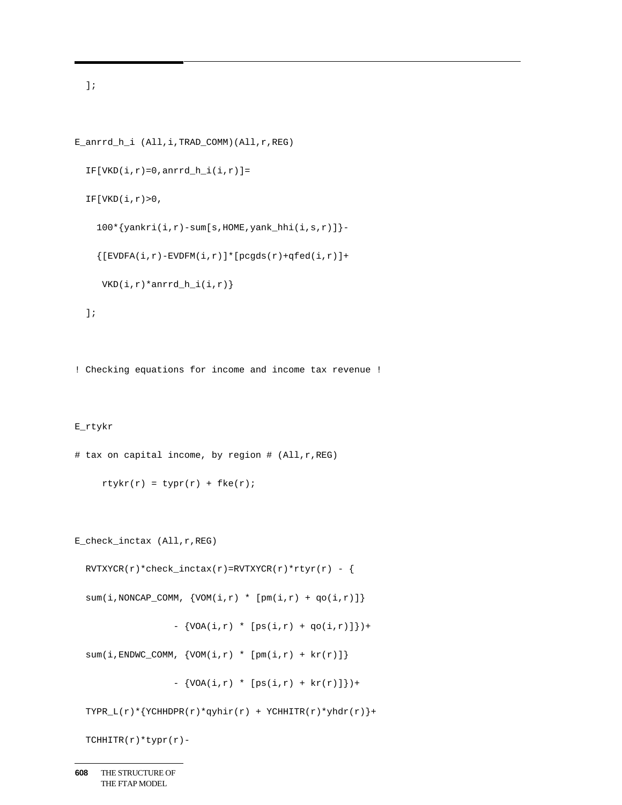```
E_anrrd_h_i (All,i,TRAD_COMM)(All,r,REG)
  IF[VKD(i, r) = 0, anrrd_h(i, r)] =IF[VKD(i,r)>0,
     100*\{\text{rankri}(i,r)-\text{sum}[s, \text{HOME}, \text{rank\_hhi}(i,s,r)]\}-{[\texttt{EVDFA}(i,r)-\texttt{EVDFM}(i,r)]*(\texttt{pcgds}(r)+\texttt{qfed}(i,r)]+}VKD(i,r)*anrrd_h_i(i,r) ];
```
! Checking equations for income and income tax revenue !

### E\_rtykr

```
# tax on capital income, by region # (All,r,REG)
    rtykr(r) = typr(r) + fke(r);
```

```
E_check_inctax (All,r,REG)
 RVTXYZR(r)*check\_intax(r)=RVTXYZR(r)*rtyr(r) - {sum(i,NONCAP\_COMM, \{VOM(i,r) * [pm(i,r) + qo(i,r)]\}- \{VOA(i,r) * [ps(i,r) + qo(i,r)]\})+
  sum(i, ENDWC_COMM, \{VOM(i,r) * [pm(i,r) + kr(r)]\}- \{VOA(i,r) * [ps(i,r) + kr(r)]\}TYPR_L(r)*{YCHHDPR(r)*qyhir(r) + YCHHITR(r)*yhdr(r)}+
 TCHHITR(r)*type(r)-
```
];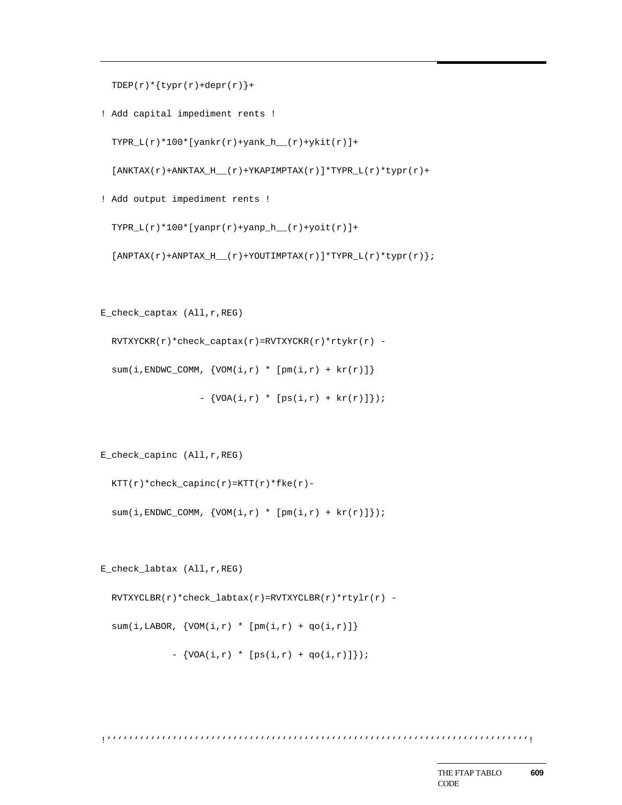```
TDEP(r) * {typr(r) + depr(r) } +
```
! Add capital impediment rents !

```
TYPR_L(r)*100*[yankr(r)+yank_h_(r)+ykit(r)]+
```

```
[ANTAX(r)+ANTAX_H_{r}(r)+YKAPIMPTAX(r)]*TYPR_L(r)*typr(r)+
```
! Add output impediment rents !

```
TYPR_L(r)*100*[yanpr(r)+yanp_h_(r)+yoit(r)]+
```

```
[\texttt{ANPTAX}(r)+\texttt{ANPTAX\_H}\_\texttt{(r)}+\texttt{YOUTIMPTAX}(r)]* \texttt{TYPE\_L}(r)*\texttt{typr}(r)\}:
```

```
E_check_captax (All,r,REG)
```

```
 RVTXYCKR(r)*check_captax(r)=RVTXYCKR(r)*rtykr(r) -
sum(i, ENDWC_COMM, \{VOM(i, r) * [pm(i, r) + kr(r)]\})
```

```
- \{VOA(i,r) * [ps(i,r) + kr(r)]\};
```

```
E_check_capinc (All,r,REG)
```

```
KTT(r)*check_capinc(r)=KTT(r)*fke(r)-
```

```
sum(i, ENDWC_COMM, \{VOM(i,r) * [pm(i,r) + kr(r)]\});
```

```
E_check_labtax (All,r,REG)
```
RVTXYCLBR(r)\*check\_labtax(r)=RVTXYCLBR(r)\*rtylr(r) -

 $sum(i, LABOR, \{VOM(i, r) * [pm(i, r) + qO(i, r)]\})$ 

```
- \{VOA(i,r) * [ps(i,r) + qO(i,r)]\};
```

```
!'''''''''''''''''''''''''''''''''''''''''''''''''''''''''''''''''''''''''''''!
```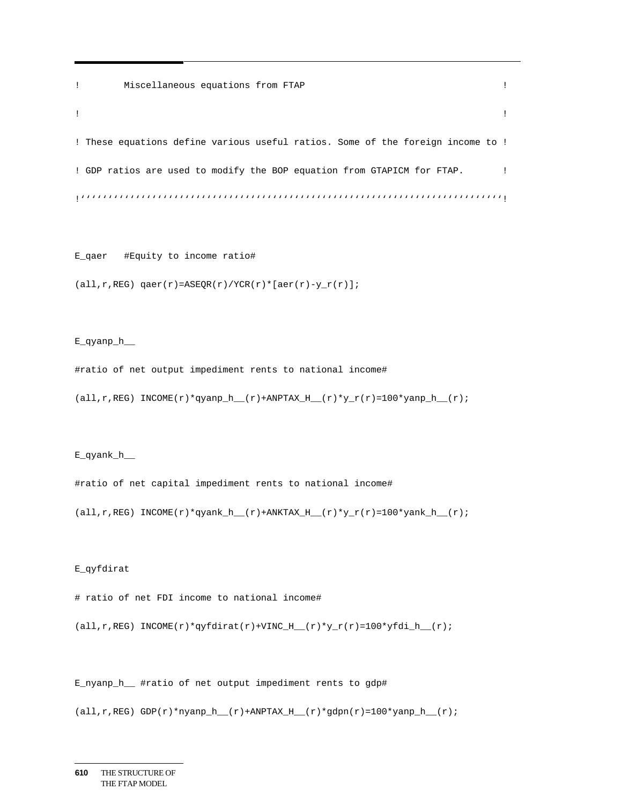! Miscellaneous equations from FTAP ! ! ! ! These equations define various useful ratios. Some of the foreign income to ! ! GDP ratios are used to modify the BOP equation from GTAPICM for FTAP.  $\qquad$  ! !'''''''''''''''''''''''''''''''''''''''''''''''''''''''''''''''''''''''''''''!

E\_qaer #Equity to income ratio#

 $all,r,REG)$  qaer(r)=ASEQR(r)/YCR(r)\*[aer(r)-y\_r(r)];

E\_qyanp\_h\_\_

#ratio of net output impediment rents to national income#

 $(\text{all},r,\text{REG})$  INCOME $(r)$ \*qyanp\_h\_(r)+ANPTAX\_H\_(r)\*y\_r(r)=100\*yanp\_h\_(r);

E\_qyank\_h\_\_

#ratio of net capital impediment rents to national income#

 $(\text{all},r,\text{REG})$  INCOME $(r)$ \*qyank\_h\_(r)+ANKTAX\_H\_(r)\*y\_r(r)=100\*yank\_h\_(r);

E\_qyfdirat

# ratio of net FDI income to national income#

(all,r,REG)  $INCOME(r)*qyfdirat(r)+VINC_H_{r}(r)*y_r(r)=100*yfdi_h_{r}(r);$ 

E\_nyanp\_h\_\_ #ratio of net output impediment rents to gdp#

 $(all,r,REG)$  GDP(r)\*nyanp\_h\_(r)+ANPTAX\_H\_(r)\*gdpn(r)=100\*yanp\_h\_(r);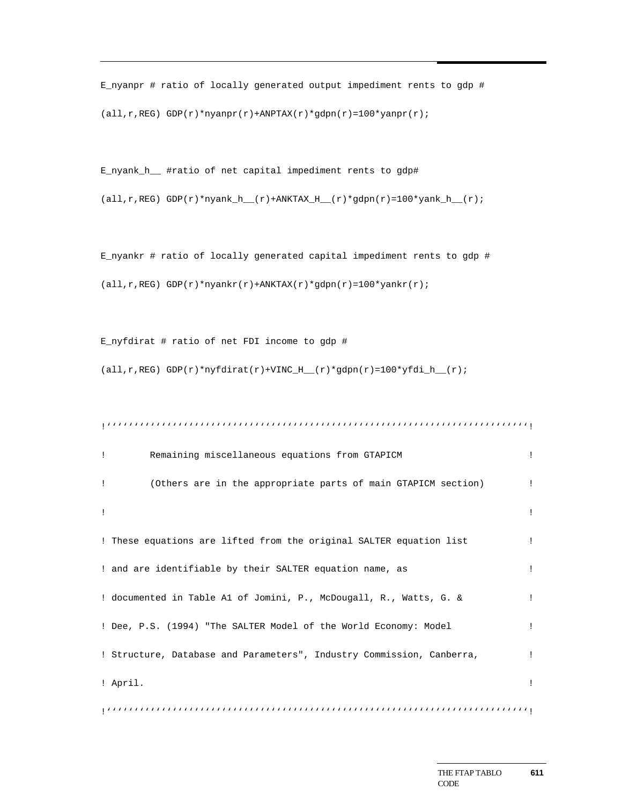```
E_nyanpr # ratio of locally generated output impediment rents to gdp #
(all,r,REG) GDP(r)*nyanpr(r)+ANDTAX(r)*gdpn(r)=100*yanpr(r);
```
E\_nyank\_h\_\_ #ratio of net capital impediment rents to gdp#

 $(all,r,REG)$  GDP(r)\*nyank\_h\_\_(r)+ANKTAX\_H\_\_(r)\*gdpn(r)=100\*yank\_h\_\_(r);

E\_nyankr # ratio of locally generated capital impediment rents to gdp #  $(all,r,REG) GDP(r)*nyankr(r)+ANKTAX(r)*gdpn(r)=100*yankr(r);$ 

E\_nyfdirat # ratio of net FDI income to gdp #

 $(\text{all},r,\text{REG})$  GDP(r)\*nyfdirat(r)+VINC\_H\_\_(r)\*gdpn(r)=100\*yfdi\_h\_\_(r);

```
!'''''''''''''''''''''''''''''''''''''''''''''''''''''''''''''''''''''''''''''!
! Remaining miscellaneous equations from GTAPICM !
! (Others are in the appropriate parts of main GTAPICM section) !
! !
! These equations are lifted from the original SALTER equation list !
! and are identifiable by their SALTER equation name, as \qquad !
! documented in Table A1 of Jomini, P., McDougall, R., Watts, G. & !
! Dee, P.S. (1994) "The SALTER Model of the World Economy: Model !
! Structure, Database and Parameters", Industry Commission, Canberra, \qquad! April. !
!'''''''''''''''''''''''''''''''''''''''''''''''''''''''''''''''''''''''''''''!
```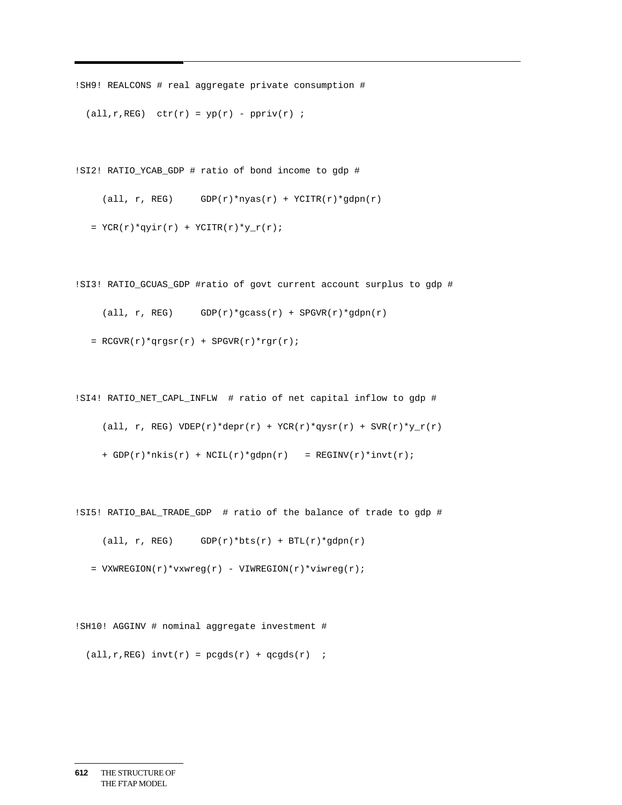!SH9! REALCONS # real aggregate private consumption #

```
(all,r,REG) ctr(r) = yp(r) - ppriv(r);
```
!SI2! RATIO\_YCAB\_GDP # ratio of bond income to gdp #

(all, r, REG)  $GDP(r) * nyas(r) + YCITR(r) * gdpn(r)$ 

=  $YCR(r)*qyir(r) + YCITR(r)*y_r(r);$ 

!SI3! RATIO\_GCUAS\_GDP #ratio of govt current account surplus to gdp #

(all, r, REG)  $GDP(r)*gcases(r) + SPGVR(r)*gdpn(r)$ 

=  $RCGVR(r)*qrgsr(r) + SPGVR(r)*rgr(r);$ 

!SI4! RATIO\_NET\_CAPL\_INFLW # ratio of net capital inflow to gdp #

(all, r, REG)  $VDEF(r)*depr(r) + YCR(r)*qysr(r) + SVR(r)*y_r(r)$ 

+ GDP(r)\*nkis(r) + NCIL(r)\*gdpn(r) = REGINV(r)\*invt(r);

!SI5! RATIO\_BAL\_TRADE\_GDP # ratio of the balance of trade to gdp #

(all, r, REG)  $GDP(r)*bts(r) + BTL(r)*gdpn(r)$ 

=  $VXWREGION(r)*vxwreg(r) - VIWREGION(r)*viwreg(r);$ 

!SH10! AGGINV # nominal aggregate investment #

 $(all,r,REG)$  invt $(r)$  =  $pcgds(r)$  +  $qcgds(r)$  ;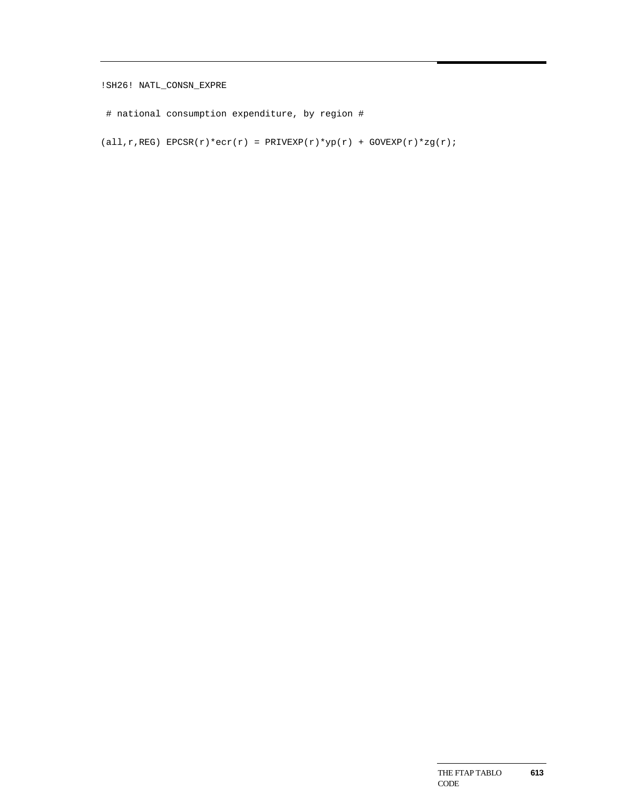### !SH26! NATL\_CONSN\_EXPRE

# national consumption expenditure, by region #

(all,r,REG) EPCSR(r)\*ecr(r) = PRIVEXP(r)\*yp(r) + GOVEXP(r)\*zg(r);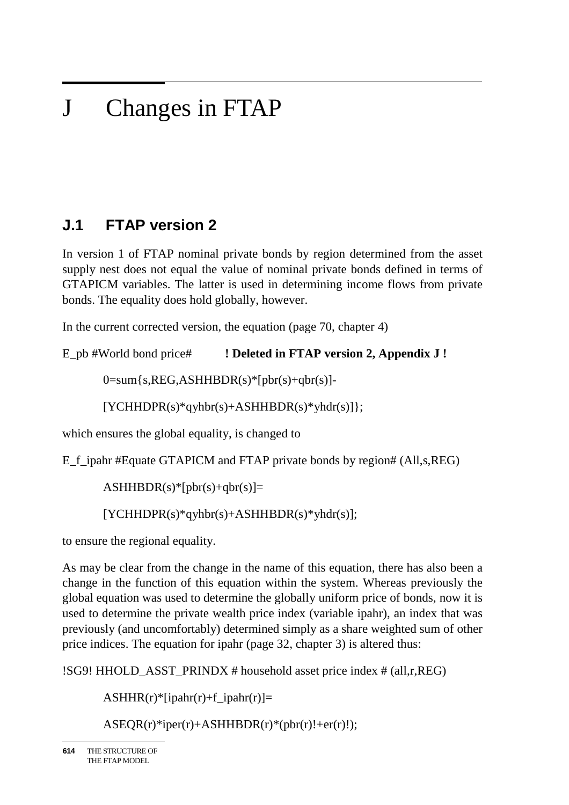# J Changes in FTAP

## **J.1 FTAP version 2**

In version 1 of FTAP nominal private bonds by region determined from the asset supply nest does not equal the value of nominal private bonds defined in terms of GTAPICM variables. The latter is used in determining income flows from private bonds. The equality does hold globally, however.

In the current corrected version, the equation (page 70, chapter 4)

E\_pb #World bond price# **! Deleted in FTAP version 2, Appendix J !**

 $0=sum{s, REG, ASHHBDR(s)*[pbr(s)+qbr(s)]-}$ 

 $[YCHHDPR(s)*qyhbr(s)+ASHHBDR(s)*yhdr(s)]$ ;

which ensures the global equality, is changed to

E\_f\_ipahr #Equate GTAPICM and FTAP private bonds by region# (All,s,REG)

 $ASHHBDR(s)*[pbr(s)+qbr(s)] =$ 

[YCHHDPR(s)\*qyhbr(s)+ASHHBDR(s)\*yhdr(s)];

to ensure the regional equality.

As may be clear from the change in the name of this equation, there has also been a change in the function of this equation within the system. Whereas previously the global equation was used to determine the globally uniform price of bonds, now it is used to determine the private wealth price index (variable ipahr), an index that was previously (and uncomfortably) determined simply as a share weighted sum of other price indices. The equation for ipahr (page 32, chapter 3) is altered thus:

!SG9! HHOLD ASST PRINDX  $#$  household asset price index  $# (all,r,REG)$ 

 $ASHHR(r)*[ipahr(r)+f\_ipahr(r)] =$ 

 $ASEQR(r)*iper(r)+ASHHBDR(r)*(pbr(r)!+er(r)!);$ 

**614** THE STRUCTURE OF THE FTAP MODEL